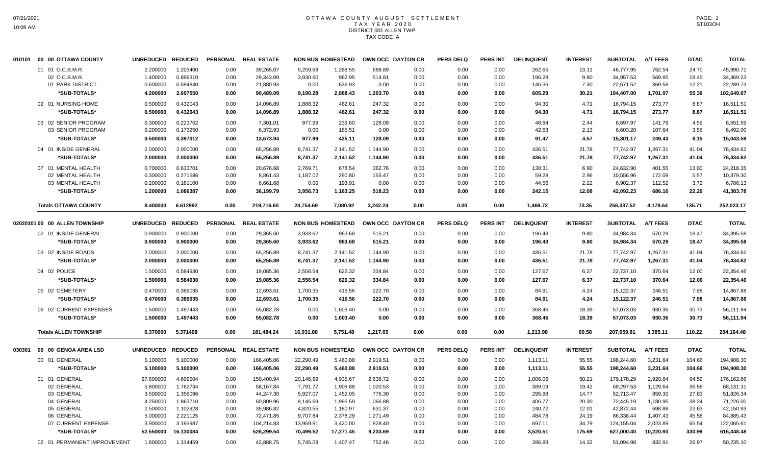## OTTAWA COUNTY AUGUST SETTLEMENT T A X Y E A R 2 0 2 0 DISTRICT 001 ALLEN TWP. TAX CODE A

| 010101 | 00 00 OTTAWA COUNTY                | <b>UNREDUCED</b>      | <b>REDUCED</b>        | <b>PERSONAL</b> | <b>REAL ESTATE</b> |           | <b>NON BUS HOMESTEAD</b> | OWN OCC DAYTON CR |                   | <b>PERS DELQ</b> | PERS INT        | <b>DELINQUENT</b>    | <b>INTEREST</b> | <b>SUBTOTAL</b> | <b>A/T FEES</b> | <b>DTAC</b> | <b>TOTAL</b>           |
|--------|------------------------------------|-----------------------|-----------------------|-----------------|--------------------|-----------|--------------------------|-------------------|-------------------|------------------|-----------------|----------------------|-----------------|-----------------|-----------------|-------------|------------------------|
|        | 01 01 O.C.B.M.R.                   | 2.200000              | 1.203400              | 0.00            | 39,265.07          | 5,259.68  | 1,288.55                 | 688.89            | 0.00              | 0.00             | 0.00            | 262.65               | 13.11           | 46.777.95       | 762.54          | 24.70       | 45,990.71              |
|        | 02 O.C.B.M.R.                      | 1.400000              | 0.899310              | 0.00            | 29,343.09          | 3,930.60  | 962.95                   | 514.81            | 0.00              | 0.00             | 0.00            | 196.28               | 9.80            | 34,957.53       | 569.85          | 18.45       | 34,369.23              |
|        | 01 PARK DISTRICT                   | 0.600000              | 0.594840              | 0.00            | 21,880.93          | 0.00      | 636.93                   | 0.00              | 0.00              | 0.00             | 0.00            | 146.36               | 7.30            | 22,671.52       | 369.58          | 12.21       | 22,289.73              |
|        | *SUB-TOTALS*                       | 4.200000              | 2.697550              | 0.00            | 90,489.09          | 9,190.28  | 2,888.43                 | 1,203.70          | 0.00              | 0.00             | 0.00            | 605.29               | 30.21           | 104,407.00      | 1,701.97        | 55.36       | 102,649.67             |
|        | 02 01 NURSING HOME                 | 0.500000              | 0.432043              | 0.00            | 14,096.89          | 1,888.32  | 462.61                   | 247.32            | 0.00              | 0.00             | 0.00            | 94.30                | 4.71            | 16,794.15       | 273.77          | 8.87        | 16,511.51              |
|        | *SUB-TOTALS*                       | 0.500000              | 0.432043              | 0.00            | 14,096.89          | 1,888.32  | 462.61                   | 247.32            | 0.00              | 0.00             | 0.00            | 94.30                | 4.71            | 16,794.15       | 273.77          | 8.87        | 16,511.51              |
|        | 03 02 SENIOR PROGRAM               | 0.300000              | 0.223762              | 0.00            | 7,301.01           | 977.99    | 239.60                   | 128.09            | 0.00              | 0.00             | 0.00            | 48.84                | 2.44            | 8,697.97        | 141.79          | 4.59        | 8,551.59               |
|        | 03 SENIOR PROGRAM                  | 0.200000              | 0.173250              | 0.00            | 6,372.93           | 0.00      | 185.51                   | 0.00              | 0.00              | 0.00             | 0.00            | 42.63                | 2.13            | 6,603.20        | 107.64          | 3.56        | 6,492.00               |
|        | *SUB-TOTALS*                       | 0.500000              | 0.397012              | 0.00            | 13,673.94          | 977.99    | 425.11                   | 128.09            | 0.00              | 0.00             | 0.00            | 91.47                | 4.57            | 15,301.17       | 249.43          | 8.15        | 15,043.59              |
|        | 04 01 INSIDE GENERAL               | 2.000000              | 2.000000              | 0.00            | 65,256.89          | 8,741.37  | 2,141.52                 | 1,144.90          | 0.00              | 0.00             | 0.00            | 436.51               | 21.78           | 77,742.97       | 1,267.31        | 41.04       | 76,434.62              |
|        | *SUB-TOTALS*                       | 2.000000              | 2.000000              | 0.00            | 65,256.89          | 8,741.37  | 2,141.52                 | 1,144.90          | 0.00              | 0.00             | 0.00            | 436.51               | 21.78           | 77,742.97       | 1,267.31        | 41.04       | 76,434.62              |
|        | 07 01 MENTAL HEALTH                | 0.700000              | 0.633701              | 0.00            | 20,676.68          | 2,769.71  | 678.54                   | 362.76            | 0.00              | 0.00             | 0.00            | 138.31               | 6.90            | 24,632.90       | 401.55          | 13.00       | 24,218.35              |
|        | 02 MENTAL HEALTH                   | 0.300000              | 0.271586              | 0.00            | 8,861.43           | 1,187.02  | 290.80                   | 155.47            | 0.00              | 0.00             | 0.00            | 59.28                | 2.96            | 10,556.96       | 172.09          | 5.57        | 10,379.30              |
|        | 03 MENTAL HEALTH                   | 0.200000              | 0.181100              | 0.00            | 6,661.68           | 0.00      | 193.91                   | 0.00              | 0.00              | 0.00             | 0.00            | 44.56                | 2.22            | 6,902.37        | 112.52          | 3.72        | 6,786.13               |
|        | *SUB-TOTALS*                       | 1.200000              | 1.086387              | 0.00            | 36,199.79          | 3,956.73  | 1,163.25                 | 518.23            | 0.00              | 0.00             | 0.00            | 242.15               | 12.08           | 42,092.23       | 686.16          | 22.29       | 41,383.78              |
|        | <b>Totals OTTAWA COUNTY</b>        | 8.400000              | 6.612992              | 0.00            | 219,716.60         | 24,754.69 | 7,080.92                 | 3,242.24          | 0.00              | 0.00             | 0.00            | 1,469.72             | 73.35           | 256,337.52      | 4,178.64        | 135.71      | 252,023.17             |
|        | 02020101 00 00 ALLEN TOWNSHIP      | <b>UNREDUCED</b>      | <b>REDUCED</b>        | <b>PERSONAL</b> | <b>REAL ESTATE</b> |           | <b>NON BUS HOMESTEAD</b> |                   | OWN OCC DAYTON CR | <b>PERS DELQ</b> | <b>PERS INT</b> | <b>DELINQUENT</b>    | <b>INTEREST</b> | <b>SUBTOTAL</b> | <b>A/T FEES</b> | <b>DTAC</b> | <b>TOTAL</b>           |
|        | 02 01 INSIDE GENERAL               | 0.900000              | 0.900000              | 0.00            | 29,365.60          | 3,933.62  | 963.68                   | 515.21            | 0.00              | 0.00             | 0.00            | 196.43               | 9.80            | 34,984.34       | 570.29          | 18.47       | 34,395.58              |
|        | *SUB-TOTALS*                       | 0.900000              | 0.900000              | 0.00            | 29,365.60          | 3,933.62  | 963.68                   | 515.21            | 0.00              | 0.00             | 0.00            | 196.43               | 9.80            | 34,984.34       | 570.29          | 18.47       | 34,395.58              |
|        |                                    |                       |                       |                 |                    |           |                          |                   |                   |                  |                 |                      |                 |                 |                 |             |                        |
|        | 03 02 INSIDE ROADS                 | 2.000000              | 2.000000              | 0.00            | 65,256.89          | 8,741.37  | 2,141.52                 | 1,144.90          | 0.00              | 0.00             | 0.00            | 436.51               | 21.78           | 77,742.97       | 1,267.31        | 41.04       | 76,434.62              |
|        | *SUB-TOTALS*                       | 2.000000              | 2.000000              | 0.00            | 65,256.89          | 8,741.37  | 2,141.52                 | 1,144.90          | 0.00              | 0.00             | 0.00            | 436.51               | 21.78           | 77,742.97       | 1,267.31        | 41.04       | 76,434.62              |
|        | 04 02 POLICE                       | 1.500000              | 0.584930              | 0.00            | 19,085.36          | 2,556.54  | 626.32                   | 334.84            | 0.00              | 0.00             | 0.00            | 127.67               | 6.37            | 22,737.10       | 370.64          | 12.00       | 22,354.46              |
|        | *SUB-TOTALS*                       | 1.500000              | 0.584930              | 0.00            | 19,085.36          | 2,556.54  | 626.32                   | 334.84            | 0.00              | 0.00             | 0.00            | 127.67               | 6.37            | 22,737.10       | 370.64          | 12.00       | 22,354.46              |
|        | 05 02 CEMETERY                     | 0.470000              | 0.389035              | 0.00            | 12,693.61          | 1,700.35  | 416.56                   | 222.70            | 0.00              | 0.00             | 0.00            | 84.91                | 4.24            | 15,122.37       | 246.51          | 7.98        | 14,867.88              |
|        | *SUB-TOTALS*                       | 0.470000              | 0.389035              | 0.00            | 12,693.61          | 1,700.35  | 416.56                   | 222.70            | 0.00              | 0.00             | 0.00            | 84.91                | 4.24            | 15,122.37       | 246.51          | 7.98        | 14,867.88              |
|        | 06 02 CURRENT EXPENSES             | 1.500000              | 1.497443              | 0.00            | 55,082.78          | 0.00      | 1,603.40                 | 0.00              | 0.00              | 0.00             | 0.00            | 368.46               | 18.39           | 57,073.03       | 930.36          | 30.73       | 56,111.94              |
|        | *SUB-TOTALS*                       | 1.500000              | 1.497443              | 0.00            | 55,082.78          | 0.00      | 1,603.40                 | 0.00              | 0.00              | 0.00             | 0.00            | 368.46               | 18.39           | 57,073.03       | 930.36          | 30.73       | 56,111.94              |
|        | <b>Totals ALLEN TOWNSHIP</b>       | 6.370000              | 5.371408              | 0.00            | 181,484.24         | 16,931.88 | 5,751.48                 | 2,217.65          | 0.00              | 0.00             | 0.00            | 1,213.98             | 60.58           | 207,659.81      | 3,385.11        | 110.22      | 204,164.48             |
| 030301 | 00 00 GENOA AREA LSD               | <b>UNREDUCED</b>      | <b>REDUCED</b>        | <b>PERSONAL</b> | <b>REAL ESTATE</b> |           | <b>NON BUS HOMESTEAD</b> |                   | OWN OCC DAYTON CR | <b>PERS DELQ</b> | <b>PERS INT</b> | <b>DELINQUENT</b>    | <b>INTEREST</b> | <b>SUBTOTAL</b> | <b>A/T FEES</b> | <b>DTAC</b> | <b>TOTAL</b>           |
|        | 00 01 GENERAL                      | 5.100000              | 5.100000              | 0.00            | 166,405.06         | 22,290.49 | 5,460.88                 | 2,919.51          |                   |                  |                 |                      | 55.55           | 198,244.60      | 3,231.64        | 104.66      | 194,908.30             |
|        | *SUB-TOTALS*                       | 5.100000              | 5.100000              | 0.00            | 166,405.06         | 22,290.49 | 5,460.88                 | 2,919.51          | 0.00<br>0.00      | 0.00<br>0.00     | 0.00<br>0.00    | 1,113.11<br>1,113.11 | 55.55           | 198,244.60      | 3,231.64        | 104.66      | 194,908.30             |
|        | 01 01 GENERAL                      | 27.600000             | 4.609504              | 0.00            | 150,400.94         | 20,146.69 | 4,935.67                 | 2,638.72          | 0.00              | 0.00             | 0.00            | 1,006.06             | 50.21           | 179,178.29      | 2,920.84        | 94.59       | 176,162.86             |
|        | 02 GENERAL                         | 5.800000              | 1.782734              | 0.00            | 58,167.84          | 7,791.77  | 1,908.88                 | 1,020.53          | 0.00              | 0.00             | 0.00            | 389.09               | 19.42           | 69,297.53       | 1,129.64        | 36.58       | 68,131.31              |
|        |                                    | 3.500000              | 1.356096              | 0.00            | 44,247.30          | 5,927.07  | 1,452.05                 | 776.30            |                   |                  |                 |                      | 14.77           | 52,713.47       | 859.30          | 27.83       |                        |
|        | 03 GENERAL<br>04 GENERAL           | 4.250000              | 1.863710              | 0.00            | 60,809.96          | 8,145.69  | 1,995.59                 | 1,066.88          | 0.00<br>0.00      | 0.00<br>0.00     | 0.00<br>0.00    | 295.98<br>406.77     | 20.30           | 72,445.19       | 1,180.95        | 38.24       | 51,826.34<br>71,226.00 |
|        | 05 GENERAL                         | 2.500000              | 1.102928              | 0.00            | 35,986.82          | 4,820.55  | 1,180.97                 | 631.37            | 0.00              | 0.00             | 0.00            | 240.72               | 12.01           | 42,872.44       | 698.88          | 22.63       | 42,150.93              |
|        | 06 GENERAL                         |                       |                       |                 |                    |           |                          |                   |                   |                  |                 |                      | 24.19           |                 |                 |             |                        |
|        |                                    | 5.000000              | 2.221125              | 0.00            | 72,471.85          | 9,707.84  | 2,378.29                 | 1,271.49          | 0.00              | 0.00             | 0.00            | 484.78               |                 | 86,338.44       | 1,407.43        | 45.58       | 84,885.43              |
|        | 07 CURRENT EXPENSE<br>*SUB-TOTALS* | 3.900000<br>52.550000 | 3.193987<br>16.130084 | 0.00            | 104,214.83         | 13,959.91 | 3,420.00                 | 1,828.40          | 0.00              | 0.00             | 0.00            | 697.11               | 34.79           | 124,155.04      | 2,023.89        | 65.54       | 122,065.61             |
|        |                                    |                       |                       | 0.00            | 526,299.54         | 70,499.52 | 17,271.45                | 9,233.69          | 0.00              | 0.00             | 0.00            | 3,520.51             | 175.69          | 627,000.40      | 10,220.93       | 330.99      | 616,448.48             |
|        | 02 01 PERMANENT IMPROVEMENT        | 1.600000              | 1.314459              | 0.00            | 42,888.75          | 5,745.09  | 1,407.47                 | 752.46            | 0.00              | 0.00             | 0.00            | 286.89               | 14.32           | 51,094.98       | 832.91          | 26.97       | 50,235.10              |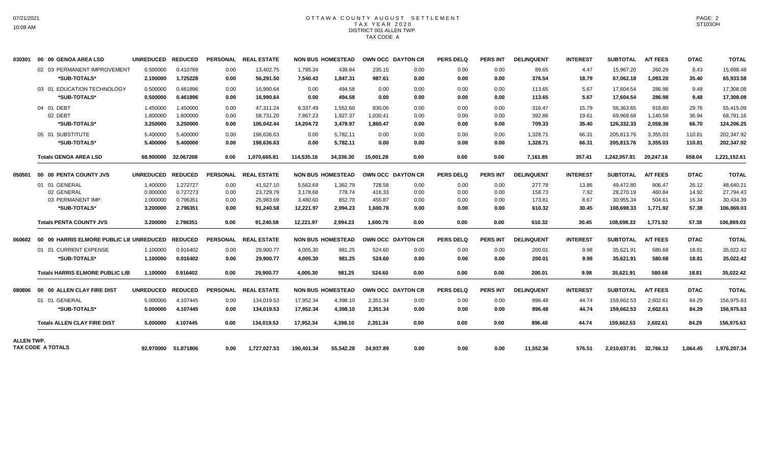## OTTAWA COUNTY AUGUST SETTLEMENT T A X Y E A R 2 0 2 0 DISTRICT 001 ALLEN TWP. TAX CODE A

| 030301            | 00 00 GENOA AREA LSD                             | UNREDUCED REDUCED |                     |                 | PERSONAL REAL ESTATE |            | <b>NON BUS HOMESTEAD</b> | OWN OCC DAYTON CR |      | <b>PERS DELQ</b> | <b>PERS INT</b> | <b>DELINQUENT</b> | <b>INTEREST</b> | SUBTOTAL        | <b>A/T FEES</b> | <b>DTAC</b> | <b>TOTAL</b> |
|-------------------|--------------------------------------------------|-------------------|---------------------|-----------------|----------------------|------------|--------------------------|-------------------|------|------------------|-----------------|-------------------|-----------------|-----------------|-----------------|-------------|--------------|
|                   | 02 03 PERMANENT IMPROVEMENT                      | 0.500000          | 0.410769            | 0.00            | 13.402.75            | 1.795.34   | 439.84                   | 235.15            | 0.00 | 0.00             | 0.00            | 89.65             | 4.47            | 15.967.20       | 260.29          | 8.43        | 15.698.48    |
|                   | *SUB-TOTALS*                                     | 2.100000          | 1.725228            | 0.00            | 56.291.50            | 7,540.43   | 1,847.31                 | 987.61            | 0.00 | 0.00             | 0.00            | 376.54            | 18.79           | 67,062.18       | 1,093.20        | 35.40       | 65,933.58    |
|                   | 03 01 EDUCATION TECHNOLOGY                       | 0.500000          | 0.461896            | 0.00            | 16.990.64            | 0.00       | 494.58                   | 0.00              | 0.00 | 0.00             | 0.00            | 113.65            | 5.67            | 17.604.54       | 286.98          | 9.48        | 17,308.08    |
|                   | *SUB-TOTALS*                                     | 0.500000          | 0.461896            | 0.00            | 16.990.64            | 0.00       | 494.58                   | 0.00              | 0.00 | 0.00             | 0.00            | 113.65            | 5.67            | 17,604.54       | 286.98          | 9.48        | 17,308.08    |
|                   | 04 01 DEBT                                       | 1.450000          | 1.450000            | 0.00            | 47.311.24            | 6,337.49   | 1,552.60                 | 830.06            | 0.00 | 0.00             | 0.00            | 316.47            | 15.79           | 56,363.65       | 918.80          | 29.76       | 55,415.09    |
|                   | 02 DEBT                                          | 1.800000          | 1.800000            | 0.00            | 58.731.20            | 7,867.23   | 1.927.37                 | 1,030.41          | 0.00 | 0.00             | 0.00            | 392.86            | 19.61           | 69.968.68       | 1.140.58        | 36.94       | 68,791.16    |
|                   | *SUB-TOTALS*                                     | 3.250000          | 3.250000            | 0.00            | 106,042.44           | 14,204.72  | 3,479.97                 | 1.860.47          | 0.00 | 0.00             | 0.00            | 709.33            | 35.40           | 126,332.33      | 2,059.38        | 66.70       | 124,206.25   |
|                   | 05 01 SUBSTITUTE                                 | 5.400000          | 5.400000            | 0.00            | 198.636.63           | 0.00       | 5.782.11                 | 0.00              | 0.00 | 0.00             | 0.00            | 1.328.71          | 66.31           | 205.813.76      | 3.355.03        | 110.81      | 202,347.92   |
|                   | *SUB-TOTALS*                                     | 5.400000          | 5.400000            | 0.00            | 198,636.63           | 0.00       | 5,782.11                 | 0.00              | 0.00 | 0.00             | 0.00            | 1,328.71          | 66.31           | 205,813.76      | 3,355.03        | 110.81      | 202,347.92   |
|                   | <b>Totals GENOA AREA LSD</b>                     |                   | 68.900000 32.067208 | 0.00            | 1.070.665.81         | 114,535.16 | 34,336.30                | 15.001.28         | 0.00 | 0.00             | 0.00            | 7,161.85          | 357.41          | 1,242,057.81    | 20,247.16       | 658.04      | 1,221,152.61 |
| 050501            | 00 00 PENTA COUNTY JVS                           | <b>UNREDUCED</b>  | <b>REDUCED</b>      | <b>PERSONAL</b> | <b>REAL ESTATE</b>   |            | <b>NON BUS HOMESTEAD</b> | OWN OCC DAYTON CR |      | <b>PERS DELQ</b> | <b>PERS INT</b> | <b>DELINQUENT</b> | <b>INTEREST</b> | <b>SUBTOTAL</b> | <b>A/T FEES</b> | <b>DTAC</b> | <b>TOTAL</b> |
|                   | 01 01 GENERAL                                    | 1.400000          | 1.272727            | 0.00            | 41,527.10            | 5,562.69   | 1,362.79                 | 728.58            | 0.00 | 0.00             | 0.00            | 277.78            | 13.86           | 49,472.80       | 806.47          | 26.12       | 48,640.21    |
|                   | 02 GENERAL                                       | 0.800000          | 0.727273            | 0.00            | 23,729.79            | 3.178.68   | 778.74                   | 416.33            | 0.00 | 0.00             | 0.00            | 158.73            | 7.92            | 28,270.19       | 460.84          | 14.92       | 27,794.43    |
|                   | 03 PERMANENT IMP.                                | 1.000000          | 0.796351            | 0.00            | 25,983.69            | 3,480.60   | 852.70                   | 455.87            | 0.00 | 0.00             | 0.00            | 173.81            | 8.67            | 30,955.34       | 504.61          | 16.34       | 30,434.39    |
|                   | *SUB-TOTALS*                                     | 3.200000          | 2.796351            | 0.00            | 91,240.58            | 12,221.97  | 2,994.23                 | 1,600.78          | 0.00 | 0.00             | 0.00            | 610.32            | 30.45           | 108,698.33      | 1,771.92        | 57.38       | 106,869.03   |
|                   | <b>Totals PENTA COUNTY JVS</b>                   | 3.200000          | 2.796351            | 0.00            | 91,240.58            | 12,221.97  | 2,994.23                 | 1,600.78          | 0.00 | 0.00             | 0.00            | 610.32            | 30.45           | 108,698.33      | 1,771.92        | 57.38       | 106,869.03   |
| 060602            | 00 00 HARRIS ELMORE PUBLIC LIE UNREDUCED REDUCED |                   |                     |                 | PERSONAL REAL ESTATE |            | <b>NON BUS HOMESTEAD</b> | OWN OCC DAYTON CR |      | <b>PERS DELQ</b> | <b>PERS INT</b> | <b>DELINQUENT</b> | <b>INTEREST</b> | <b>SUBTOTAL</b> | <b>A/T FEES</b> | <b>DTAC</b> | <b>TOTAL</b> |
|                   | 01 01 CURRENT EXPENSE                            | 1.100000          | 0.916402            | 0.00            | 29,900.77            | 4,005.30   | 981.25                   | 524.60            | 0.00 | 0.00             | 0.00            | 200.01            | 9.98            | 35,621.91       | 580.68          | 18.81       | 35,022.42    |
|                   | *SUB-TOTALS*                                     | 1.100000          | 0.916402            | 0.00            | 29,900.77            | 4,005.30   | 981.25                   | 524.60            | 0.00 | 0.00             | 0.00            | 200.01            | 9.98            | 35,621.91       | 580.68          | 18.81       | 35,022.42    |
|                   | <b>Totals HARRIS ELMORE PUBLIC LIB</b>           | 1.100000          | 0.916402            | 0.00            | 29.900.77            | 4.005.30   | 981.25                   | 524.60            | 0.00 | 0.00             | 0.00            | 200.01            | 9.98            | 35,621.91       | 580.68          | 18.81       | 35,022.42    |
| 080806            | 00 00 ALLEN CLAY FIRE DIST                       | <b>UNREDUCED</b>  | <b>REDUCED</b>      | <b>PERSONAL</b> | <b>REAL ESTATE</b>   |            | <b>NON BUS HOMESTEAD</b> | OWN OCC DAYTON CR |      | <b>PERS DELQ</b> | <b>PERS INT</b> | <b>DELINQUENT</b> | <b>INTEREST</b> | <b>SUBTOTAL</b> | <b>A/T FEES</b> | <b>DTAC</b> | <b>TOTAL</b> |
|                   | 01 01 GENERAL                                    | 5.000000          | 4.107445            | 0.00            | 134,019.53           | 17,952.34  | 4,398.10                 | 2,351.34          | 0.00 | 0.00             | 0.00            | 896.48            | 44.74           | 159,662.53      | 2.602.61        | 84.29       | 156,975.63   |
|                   | *SUB-TOTALS*                                     | 5.000000          | 4.107445            | 0.00            | 134,019.53           | 17,952.34  | 4,398.10                 | 2,351.34          | 0.00 | 0.00             | 0.00            | 896.48            | 44.74           | 159,662.53      | 2,602.61        | 84.29       | 156,975.63   |
|                   | <b>Totals ALLEN CLAY FIRE DIST</b>               | 5.000000          | 4.107445            | 0.00            | 134.019.53           | 17.952.34  | 4.398.10                 | 2,351.34          | 0.00 | 0.00             | 0.00            | 896.48            | 44.74           | 159.662.53      | 2.602.61        | 84.29       | 156,975.63   |
| <b>ALLEN TWP.</b> |                                                  |                   |                     |                 |                      |            |                          |                   |      |                  |                 |                   |                 |                 |                 |             |              |
|                   | TAX CODE A TOTALS                                |                   | 92.970000 51.871806 | 0.00            | 1.727.027.53         | 190.401.34 | 55.542.28                | 24.937.89         | 0.00 | 0.00             | 0.00            | 11,552.36         | 576.51          | 2.010.037.91    | 32.766.12       | 1.064.45    | 1,976,207.34 |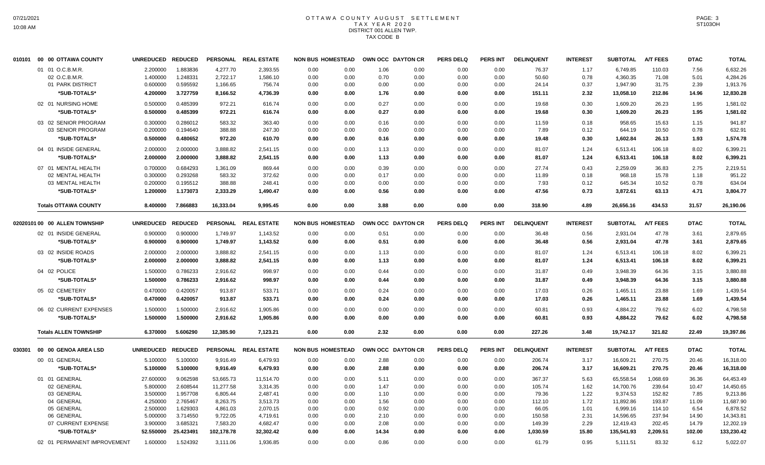## OTTAWA COUNTY AUGUST SETTLEMENT T A X Y E A R 2 0 2 0 DISTRICT 001 ALLEN TWP. TAX CODE B

| 010101 | 00 00 OTTAWA COUNTY           | UNREDUCED REDUCED |           |            | PERSONAL REAL ESTATE | <b>NON BUS HOMESTEAD</b> |      | OWN OCC DAYTON CR |      | <b>PERS DELQ</b> | <b>PERS INT</b> | <b>DELINQUENT</b> | <b>INTEREST</b> | <b>SUBTOTAL</b> | <b>A/T FEES</b> | <b>DTAC</b> | <b>TOTAL</b> |
|--------|-------------------------------|-------------------|-----------|------------|----------------------|--------------------------|------|-------------------|------|------------------|-----------------|-------------------|-----------------|-----------------|-----------------|-------------|--------------|
|        | 01 01 O.C.B.M.R.              | 2.200000          | 1.883836  | 4,277.70   | 2,393.55             | 0.00                     | 0.00 | 1.06              | 0.00 | 0.00             | 0.00            | 76.37             | 1.17            | 6,749.85        | 110.03          | 7.56        | 6,632.26     |
|        | 02 O.C.B.M.R.                 | 1.400000          | 1.248331  | 2,722.17   | 1,586.10             | 0.00                     | 0.00 | 0.70              | 0.00 | 0.00             | 0.00            | 50.60             | 0.78            | 4,360.35        | 71.08           | 5.01        | 4,284.26     |
|        | 01 PARK DISTRICT              | 0.600000          | 0.595592  | 1,166.65   | 756.74               | 0.00                     | 0.00 | 0.00              | 0.00 | 0.00             | 0.00            | 24.14             | 0.37            | 1,947.90        | 31.75           | 2.39        | 1,913.76     |
|        | *SUB-TOTALS*                  | 4.200000          | 3.727759  | 8,166.52   | 4,736.39             | 0.00                     | 0.00 | 1.76              | 0.00 | 0.00             | 0.00            | 151.11            | 2.32            | 13,058.10       | 212.86          | 14.96       | 12,830.28    |
|        | 02 01 NURSING HOME            | 0.500000          | 0.485399  | 972.21     | 616.74               | 0.00                     | 0.00 | 0.27              | 0.00 | 0.00             | 0.00            | 19.68             | 0.30            | 1,609.20        | 26.23           | 1.95        | 1,581.02     |
|        | *SUB-TOTALS*                  | 0.500000          | 0.485399  | 972.21     | 616.74               | 0.00                     | 0.00 | 0.27              | 0.00 | 0.00             | 0.00            | 19.68             | 0.30            | 1,609.20        | 26.23           | 1.95        | 1,581.02     |
|        | 03 02 SENIOR PROGRAM          | 0.300000          | 0.286012  | 583.32     | 363.40               | 0.00                     | 0.00 | 0.16              | 0.00 | 0.00             | 0.00            | 11.59             | 0.18            | 958.65          | 15.63           | 1.15        | 941.87       |
|        | 03 SENIOR PROGRAM             | 0.200000          | 0.194640  | 388.88     | 247.30               | 0.00                     | 0.00 | 0.00              | 0.00 | 0.00             | 0.00            | 7.89              | 0.12            | 644.19          | 10.50           | 0.78        | 632.91       |
|        | *SUB-TOTALS*                  | 0.500000          | 0.480652  | 972.20     | 610.70               | 0.00                     | 0.00 | 0.16              | 0.00 | 0.00             | 0.00            | 19.48             | 0.30            | 1,602.84        | 26.13           | 1.93        | 1,574.78     |
|        | 04 01 INSIDE GENERAL          | 2.000000          | 2.000000  | 3,888.82   | 2,541.15             | 0.00                     | 0.00 | 1.13              | 0.00 | 0.00             | 0.00            | 81.07             | 1.24            | 6.513.41        | 106.18          | 8.02        | 6,399.21     |
|        | *SUB-TOTALS*                  | 2.000000          | 2.000000  | 3,888.82   | 2,541.15             | 0.00                     | 0.00 | 1.13              | 0.00 | 0.00             | 0.00            | 81.07             | 1.24            | 6,513.41        | 106.18          | 8.02        | 6,399.21     |
|        | 07 01 MENTAL HEALTH           | 0.700000          | 0.684293  | 1,361.09   | 869.44               | 0.00                     | 0.00 | 0.39              | 0.00 | 0.00             | 0.00            | 27.74             | 0.43            | 2,259.09        | 36.83           | 2.75        | 2,219.51     |
|        | 02 MENTAL HEALTH              | 0.300000          | 0.293268  | 583.32     | 372.62               | 0.00                     | 0.00 | 0.17              | 0.00 | 0.00             | 0.00            | 11.89             | 0.18            | 968.18          | 15.78           | 1.18        | 951.22       |
|        | 03 MENTAL HEALTH              | 0.200000          | 0.195512  | 388.88     | 248.41               | 0.00                     | 0.00 | 0.00              | 0.00 | 0.00             | 0.00            | 7.93              | 0.12            | 645.34          | 10.52           | 0.78        | 634.04       |
|        | *SUB-TOTALS*                  | 1.200000          | 1.173073  | 2,333.29   | 1,490.47             | 0.00                     | 0.00 | 0.56              | 0.00 | 0.00             | 0.00            | 47.56             | 0.73            | 3,872.61        | 63.13           | 4.71        | 3,804.77     |
|        | <b>Totals OTTAWA COUNTY</b>   | 8.400000          | 7.866883  | 16,333.04  | 9.995.45             | 0.00                     | 0.00 | 3.88              | 0.00 | 0.00             | 0.00            | 318.90            | 4.89            | 26.656.16       | 434.53          | 31.57       | 26,190.06    |
|        |                               |                   |           |            |                      |                          |      |                   |      |                  |                 |                   |                 |                 |                 |             |              |
|        | 02020101 00 00 ALLEN TOWNSHIP | UNREDUCED REDUCED |           |            | PERSONAL REAL ESTATE | <b>NON BUS HOMESTEAD</b> |      | OWN OCC DAYTON CR |      | <b>PERS DELQ</b> | <b>PERS INT</b> | <b>DELINQUENT</b> | <b>INTEREST</b> | <b>SUBTOTAL</b> | <b>A/T FEES</b> | <b>DTAC</b> | <b>TOTAL</b> |
|        | 02 01 INSIDE GENERAL          | 0.900000          | 0.900000  | 1,749.97   | 1,143.52             | 0.00                     | 0.00 | 0.51              | 0.00 | 0.00             | 0.00            | 36.48             | 0.56            | 2,931.04        | 47.78           | 3.61        | 2,879.65     |
|        | *SUB-TOTALS*                  | 0.900000          | 0.900000  | 1,749.97   | 1,143.52             | 0.00                     | 0.00 | 0.51              | 0.00 | 0.00             | 0.00            | 36.48             | 0.56            | 2,931.04        | 47.78           | 3.61        | 2,879.65     |
|        | 03 02 INSIDE ROADS            | 2.000000          | 2.000000  | 3,888.82   | 2,541.15             | 0.00                     | 0.00 | 1.13              | 0.00 | 0.00             | 0.00            | 81.07             | 1.24            | 6,513.41        | 106.18          | 8.02        | 6,399.21     |
|        | *SUB-TOTALS*                  | 2.000000          | 2.000000  | 3,888.82   | 2,541.15             | 0.00                     | 0.00 | 1.13              | 0.00 | 0.00             | 0.00            | 81.07             | 1.24            | 6,513.41        | 106.18          | 8.02        | 6.399.21     |
|        |                               |                   |           |            |                      |                          |      |                   |      |                  |                 |                   |                 |                 |                 |             |              |
|        | 04 02 POLICE                  | 1.500000          | 0.786233  | 2,916.62   | 998.97               | 0.00                     | 0.00 | 0.44              | 0.00 | 0.00             | 0.00            | 31.87             | 0.49            | 3,948.39        | 64.36           | 3.15        | 3,880.88     |
|        | *SUB-TOTALS*                  | 1.500000          | 0.786233  | 2,916.62   | 998.97               | 0.00                     | 0.00 | 0.44              | 0.00 | 0.00             | 0.00            | 31.87             | 0.49            | 3,948.39        | 64.36           | 3.15        | 3,880.88     |
|        | 05 02 CEMETERY                | 0.470000          | 0.420057  | 913.87     | 533.71               | 0.00                     | 0.00 | 0.24              | 0.00 | 0.00             | 0.00            | 17.03             | 0.26            | 1,465.11        | 23.88           | 1.69        | 1,439.54     |
|        | *SUB-TOTALS*                  | 0.470000          | 0.420057  | 913.87     | 533.71               | 0.00                     | 0.00 | 0.24              | 0.00 | 0.00             | 0.00            | 17.03             | 0.26            | 1,465.11        | 23.88           | 1.69        | 1,439.54     |
|        | 06 02 CURRENT EXPENSES        | 1.500000          | 1.500000  | 2,916.62   | 1,905.86             | 0.00                     | 0.00 | 0.00              | 0.00 | 0.00             | 0.00            | 60.81             | 0.93            | 4,884.22        | 79.62           | 6.02        | 4,798.58     |
|        | *SUB-TOTALS*                  | 1.500000          | 1.500000  | 2,916.62   | 1,905.86             | 0.00                     | 0.00 | 0.00              | 0.00 | 0.00             | 0.00            | 60.81             | 0.93            | 4,884.22        | 79.62           | 6.02        | 4,798.58     |
|        |                               |                   |           |            |                      |                          |      |                   |      |                  |                 |                   |                 |                 |                 |             |              |
|        | <b>Totals ALLEN TOWNSHIP</b>  | 6.370000          | 5.606290  | 12,385.90  | 7,123.21             | 0.00                     | 0.00 | 2.32              | 0.00 | 0.00             | 0.00            | 227.26            | 3.48            | 19,742.17       | 321.82          | 22.49       | 19,397.86    |
| 030301 | 00 00 GENOA AREA LSD          | UNREDUCED REDUCED |           |            | PERSONAL REAL ESTATE | <b>NON BUS HOMESTEAD</b> |      | OWN OCC DAYTON CR |      | <b>PERS DELQ</b> | <b>PERS INT</b> | <b>DELINQUENT</b> | <b>INTEREST</b> | <b>SUBTOTAL</b> | <b>A/T FEES</b> | <b>DTAC</b> | <b>TOTAL</b> |
|        | 00 01 GENERAL                 | 5.100000          | 5.100000  | 9,916.49   | 6,479.93             | 0.00                     | 0.00 | 2.88              | 0.00 | 0.00             | 0.00            | 206.74            | 3.17            | 16,609.21       | 270.75          | 20.46       | 16,318.00    |
|        | *SUB-TOTALS*                  | 5.100000          | 5.100000  | 9,916.49   | 6,479.93             | 0.00                     | 0.00 | 2.88              | 0.00 | 0.00             | 0.00            | 206.74            | 3.17            | 16,609.21       | 270.75          | 20.46       | 16,318.00    |
|        | 01 01 GENERAL                 | 27.600000         | 9.062598  | 53,665.73  | 11.514.70            | 0.00                     | 0.00 | 5.11              | 0.00 | 0.00             | 0.00            | 367.37            | 5.63            | 65,558.54       | 1,068.69        | 36.36       | 64,453.49    |
|        | 02 GENERAL                    | 5.800000          | 2.608544  | 11,277.58  | 3,314.35             | 0.00                     | 0.00 | 1.47              | 0.00 | 0.00             | 0.00            | 105.74            | 1.62            | 14,700.76       | 239.64          | 10.47       | 14,450.65    |
|        | 03 GENERAL                    | 3.500000          | 1.957708  | 6,805.44   | 2,487.41             | 0.00                     | 0.00 | 1.10              | 0.00 | 0.00             | 0.00            | 79.36             | 1.22            | 9,374.53        | 152.82          | 7.85        | 9,213.86     |
|        | 04 GENERAL                    | 4.250000          | 2.765467  | 8,263.75   | 3,513.73             | 0.00                     | 0.00 | 1.56              | 0.00 | 0.00             | 0.00            | 112.10            | 1.72            | 11,892.86       | 193.87          | 11.09       | 11,687.90    |
|        | 05 GENERAL                    | 2.500000          | 1.629303  | 4,861.03   | 2,070.15             | 0.00                     | 0.00 | 0.92              | 0.00 | 0.00             | 0.00            | 66.05             | 1.01            | 6,999.16        | 114.10          | 6.54        | 6,878.52     |
|        | 06 GENERAL                    | 5.000000          | 3.714550  | 9,722.05   | 4,719.61             | 0.00                     | 0.00 | 2.10              | 0.00 | 0.00             | 0.00            | 150.58            | 2.31            | 14,596.65       | 237.94          | 14.90       | 14,343.81    |
|        | 07 CURRENT EXPENSE            | 3.900000          | 3.685321  | 7,583.20   | 4,682.47             | 0.00                     | 0.00 | 2.08              | 0.00 | 0.00             | 0.00            | 149.39            | 2.29            | 12,419.43       | 202.45          | 14.79       | 12,202.19    |
|        | *SUB-TOTALS*                  | 52.550000         | 25.423491 | 102,178.78 | 32,302.42            | 0.00                     | 0.00 | 14.34             | 0.00 | 0.00             | 0.00            | 1,030.59          | 15.80           | 135,541.93      | 2,209.51        | 102.00      | 133,230.42   |
|        | 02 01 PERMANENT IMPROVEMENT   | 1.600000          | 1.524392  | 3,111.06   | 1,936.85             | 0.00                     | 0.00 | 0.86              | 0.00 | 0.00             | 0.00            | 61.79             | 0.95            | 5,111.51        | 83.32           | 6.12        | 5,022.07     |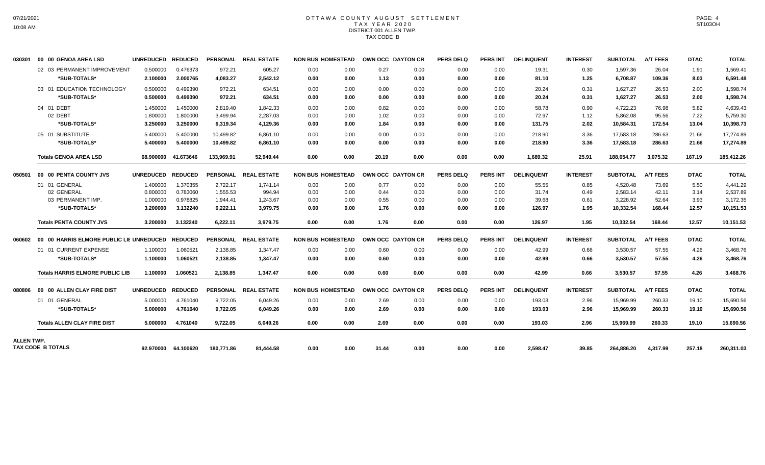# OTTAWA COUNTY AUGUST SETTLEMENT T A X Y E A R 2 0 2 0 DISTRICT 001 ALLEN TWP. TAX CODE B

| 030301            | 00 00 GENOA AREA LSD                             | UNREDUCED REDUCED |                     |            | PERSONAL REAL ESTATE | <b>NON BUS HOMESTEAD</b> |      | OWN OCC DAYTON CR |      | <b>PERS DELQ</b> | <b>PERS INT</b> | <b>DELINQUENT</b> | <b>INTEREST</b> | <b>SUBTOTAL</b> | <b>A/T FEES</b> | <b>DTAC</b> | <b>TOTAL</b> |
|-------------------|--------------------------------------------------|-------------------|---------------------|------------|----------------------|--------------------------|------|-------------------|------|------------------|-----------------|-------------------|-----------------|-----------------|-----------------|-------------|--------------|
|                   | 02 03 PERMANENT IMPROVEMENT                      | 0.500000          | 0.476373            | 972.21     | 605.27               | 0.00                     | 0.00 | 0.27              | 0.00 | 0.00             | 0.00            | 19.31             | 0.30            | 1,597.36        | 26.04           | 1.91        | 1,569.41     |
|                   | *SUB-TOTALS*                                     | 2.100000          | 2.000765            | 4,083.27   | 2,542.12             | 0.00                     | 0.00 | 1.13              | 0.00 | 0.00             | 0.00            | 81.10             | 1.25            | 6,708.87        | 109.36          | 8.03        | 6,591.48     |
|                   | 03 01 EDUCATION TECHNOLOGY                       | 0.500000          | 0.499390            | 972.21     | 634.51               | 0.00                     | 0.00 | 0.00              | 0.00 | 0.00             | 0.00            | 20.24             | 0.31            | 1.627.27        | 26.53           | 2.00        | 1.598.74     |
|                   | *SUB-TOTALS*                                     | 0.500000          | 0.499390            | 972.21     | 634.51               | 0.00                     | 0.00 | 0.00              | 0.00 | 0.00             | 0.00            | 20.24             | 0.31            | 1.627.27        | 26.53           | 2.00        | 1.598.74     |
|                   | 04 01 DEBT                                       | 1.450000          | 1.450000            | 2,819.40   | 1,842.33             | 0.00                     | 0.00 | 0.82              | 0.00 | 0.00             | 0.00            | 58.78             | 0.90            | 4,722.23        | 76.98           | 5.82        | 4,639.43     |
|                   | 02 DEBT                                          | 1.800000          | 1.800000            | 3,499.94   | 2,287.03             | 0.00                     | 0.00 | 1.02              | 0.00 | 0.00             | 0.00            | 72.97             | 1.12            | 5,862.08        | 95.56           | 7.22        | 5,759.30     |
|                   | *SUB-TOTALS*                                     | 3.250000          | 3.250000            | 6,319.34   | 4,129.36             | 0.00                     | 0.00 | 1.84              | 0.00 | 0.00             | 0.00            | 131.75            | 2.02            | 10,584.31       | 172.54          | 13.04       | 10,398.73    |
|                   | 05 01 SUBSTITUTE                                 | 5.400000          | 5.400000            | 10.499.82  | 6.861.10             | 0.00                     | 0.00 | 0.00              | 0.00 | 0.00             | 0.00            | 218.90            | 3.36            | 17.583.18       | 286.63          | 21.66       | 17.274.89    |
|                   | *SUB-TOTALS*                                     | 5.400000          | 5.400000            | 10,499.82  | 6,861.10             | 0.00                     | 0.00 | 0.00              | 0.00 | 0.00             | 0.00            | 218.90            | 3.36            | 17,583.18       | 286.63          | 21.66       | 17,274.89    |
|                   | <b>Totals GENOA AREA LSD</b>                     |                   | 68.900000 41.673646 | 133.969.91 | 52.949.44            | 0.00                     | 0.00 | 20.19             | 0.00 | 0.00             | 0.00            | 1,689.32          | 25.91           | 188.654.77      | 3.075.32        | 167.19      | 185,412.26   |
| 050501            | 00 00 PENTA COUNTY JVS                           | UNREDUCED REDUCED |                     |            | PERSONAL REAL ESTATE | <b>NON BUS HOMESTEAD</b> |      | OWN OCC DAYTON CR |      | <b>PERS DELQ</b> | <b>PERS INT</b> | <b>DELINQUENT</b> | <b>INTEREST</b> | <b>SUBTOTAL</b> | <b>A/T FEES</b> | <b>DTAC</b> | <b>TOTAL</b> |
|                   | 01 01 GENERAL                                    | 1.400000          | 1.370355            | 2,722.17   | 1,741.14             | 0.00                     | 0.00 | 0.77              | 0.00 | 0.00             | 0.00            | 55.55             | 0.85            | 4,520.48        | 73.69           | 5.50        | 4,441.29     |
|                   | 02 GENERAL                                       | 0.800000          | 0.783060            | 1.555.53   | 994.94               | 0.00                     | 0.00 | 0.44              | 0.00 | 0.00             | 0.00            | 31.74             | 0.49            | 2,583.14        | 42.11           | 3.14        | 2,537.89     |
|                   | 03 PERMANENT IMP.                                | 1.000000          | 0.978825            | 1,944.41   | 1,243.67             | 0.00                     | 0.00 | 0.55              | 0.00 | 0.00             | 0.00            | 39.68             | 0.61            | 3,228.92        | 52.64           | 3.93        | 3,172.35     |
|                   | *SUB-TOTALS*                                     | 3.200000          | 3.132240            | 6,222.11   | 3,979.75             | 0.00                     | 0.00 | 1.76              | 0.00 | 0.00             | 0.00            | 126.97            | 1.95            | 10,332.54       | 168.44          | 12.57       | 10,151.53    |
|                   | <b>Totals PENTA COUNTY JVS</b>                   | 3.200000          | 3.132240            | 6,222.11   | 3,979.75             | 0.00                     | 0.00 | 1.76              | 0.00 | 0.00             | 0.00            | 126.97            | 1.95            | 10,332.54       | 168.44          | 12.57       | 10,151.53    |
| 060602            | 00 00 HARRIS ELMORE PUBLIC LIE UNREDUCED REDUCED |                   |                     |            | PERSONAL REAL ESTATE | <b>NON BUS HOMESTEAD</b> |      | OWN OCC DAYTON CR |      | <b>PERS DELQ</b> | <b>PERS INT</b> | <b>DELINQUENT</b> | <b>INTEREST</b> | <b>SUBTOTAL</b> | <b>A/T FEES</b> | <b>DTAC</b> | <b>TOTAL</b> |
|                   | 01 01 CURRENT EXPENSE                            | 1.100000          | 1.060521            | 2,138.85   | 1,347.47             | 0.00                     | 0.00 | 0.60              | 0.00 | 0.00             | 0.00            | 42.99             | 0.66            | 3,530.57        | 57.55           | 4.26        | 3,468.76     |
|                   | *SUB-TOTALS*                                     | 1.100000          | 1.060521            | 2,138.85   | 1,347.47             | 0.00                     | 0.00 | 0.60              | 0.00 | 0.00             | 0.00            | 42.99             | 0.66            | 3,530.57        | 57.55           | 4.26        | 3,468.76     |
|                   | <b>Totals HARRIS ELMORE PUBLIC LIB</b>           | 1.100000          | 1.060521            | 2.138.85   | 1.347.47             | 0.00                     | 0.00 | 0.60              | 0.00 | 0.00             | 0.00            | 42.99             | 0.66            | 3.530.57        | 57.55           | 4.26        | 3,468.76     |
| 080806            | 00 00 ALLEN CLAY FIRE DIST                       | UNREDUCED REDUCED |                     |            | PERSONAL REAL ESTATE | <b>NON BUS HOMESTEAD</b> |      | OWN OCC DAYTON CR |      | <b>PERS DELQ</b> | <b>PERS INT</b> | <b>DELINQUENT</b> | <b>INTEREST</b> | <b>SUBTOTAL</b> | <b>A/T FEES</b> | <b>DTAC</b> | <b>TOTAL</b> |
|                   | 01 01 GENERAL                                    | 5.000000          | 4.761040            | 9.722.05   | 6.049.26             | 0.00                     | 0.00 | 2.69              | 0.00 | 0.00             | 0.00            | 193.03            | 2.96            | 15.969.99       | 260.33          | 19.10       | 15,690.56    |
|                   | *SUB-TOTALS*                                     | 5.000000          | 4.761040            | 9,722.05   | 6,049.26             | 0.00                     | 0.00 | 2.69              | 0.00 | 0.00             | 0.00            | 193.03            | 2.96            | 15,969.99       | 260.33          | 19.10       | 15,690.56    |
|                   | <b>Totals ALLEN CLAY FIRE DIST</b>               | 5.000000          | 4.761040            | 9,722.05   | 6,049.26             | 0.00                     | 0.00 | 2.69              | 0.00 | 0.00             | 0.00            | 193.03            | 2.96            | 15,969.99       | 260.33          | 19.10       | 15,690.56    |
| <b>ALLEN TWP.</b> |                                                  |                   |                     |            |                      |                          |      |                   |      |                  |                 |                   |                 |                 |                 |             |              |
|                   | TAX CODE B TOTALS                                |                   | 92.970000 64.100620 | 180,771.86 | 81.444.58            | 0.00                     | 0.00 | 31.44             | 0.00 | 0.00             | 0.00            | 2,598.47          | 39.85           | 264,886.20      | 4,317.99        | 257.18      | 260,311.03   |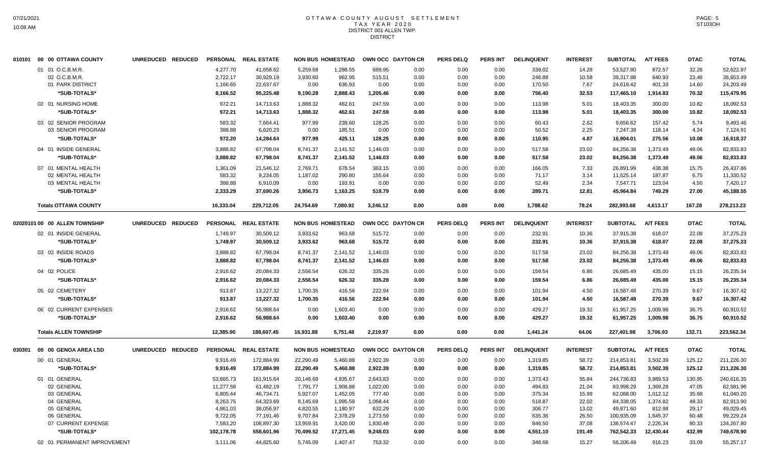#### OTTAWA COUNTY AUGUST SETTLEMENT T A X Y E A R 2 0 2 0 DISTRICT 001 ALLEN TWP. DISTRICT

|        | 010101 00 00 OTTAWA COUNTY    | UNREDUCED REDUCED |                 | PERSONAL REAL ESTATE |           | <b>NON BUS HOMESTEAD</b> | OWN OCC DAYTON CR |      | <b>PERS DELQ</b> | PERS INT        | <b>DELINQUENT</b> | <b>INTEREST</b> | <b>SUBTOTAL</b> | <b>A/T FEES</b> | <b>DTAC</b> | <b>TOTAL</b> |
|--------|-------------------------------|-------------------|-----------------|----------------------|-----------|--------------------------|-------------------|------|------------------|-----------------|-------------------|-----------------|-----------------|-----------------|-------------|--------------|
|        | 01 01 O.C.B.M.R.              |                   | 4.277.70        | 41.658.62            | 5.259.68  | 1.288.55                 | 689.95            | 0.00 | 0.00             | 0.00            | 339.02            | 14.28           | 53,527.80       | 872.57          | 32.26       | 52.622.97    |
|        | 02 O.C.B.M.R.                 |                   | 2,722.17        | 30,929.19            | 3,930.60  | 962.95                   | 515.51            | 0.00 | 0.00             | 0.00            | 246.88            | 10.58           | 39,317.88       | 640.93          | 23.46       | 38,653.49    |
|        | 01 PARK DISTRICT              |                   | 1,166.65        | 22,637.67            | 0.00      | 636.93                   | 0.00              | 0.00 | 0.00             | 0.00            | 170.50            | 7.67            | 24,619.42       | 401.33          | 14.60       | 24,203.49    |
|        | *SUB-TOTALS*                  |                   | 8,166.52        | 95,225.48            | 9,190.28  | 2,888.43                 | 1,205.46          | 0.00 | 0.00             | 0.00            | 756.40            | 32.53           | 117,465.10      | 1,914.83        | 70.32       | 115,479.95   |
|        | 02 01 NURSING HOME            |                   | 972.21          | 14.713.63            | 1.888.32  | 462.61                   | 247.59            | 0.00 | 0.00             | 0.00            | 113.98            | 5.01            | 18,403.35       | 300.00          | 10.82       | 18,092.53    |
|        | *SUB-TOTALS*                  |                   | 972.21          | 14,713.63            | 1,888.32  | 462.61                   | 247.59            | 0.00 | 0.00             | 0.00            | 113.98            | 5.01            | 18,403.35       | 300.00          | 10.82       | 18,092.53    |
|        | 03 02 SENIOR PROGRAM          |                   | 583.32          | 7.664.41             | 977.99    | 239.60                   | 128.25            | 0.00 | 0.00             | 0.00            | 60.43             | 2.62            | 9.656.62        | 157.42          | 5.74        | 9,493.46     |
|        | 03 SENIOR PROGRAM             |                   | 388.88          | 6,620.23             | 0.00      | 185.51                   | 0.00              | 0.00 | 0.00             | 0.00            | 50.52             | 2.25            | 7,247.39        | 118.14          | 4.34        | 7,124.91     |
|        | *SUB-TOTALS*                  |                   | 972.20          | 14,284.64            | 977.99    | 425.11                   | 128.25            | 0.00 | 0.00             | 0.00            | 110.95            | 4.87            | 16,904.01       | 275.56          | 10.08       | 16,618.37    |
|        | 04 01 INSIDE GENERAL          |                   | 3,888.82        | 67,798.04            | 8,741.37  | 2,141.52                 | 1,146.03          | 0.00 | 0.00             | 0.00            | 517.58            | 23.02           | 84,256.38       | 1,373.49        | 49.06       | 82,833.83    |
|        | *SUB-TOTALS*                  |                   | 3,888.82        | 67,798.04            | 8,741.37  | 2,141.52                 | 1,146.03          | 0.00 | 0.00             | 0.00            | 517.58            | 23.02           | 84,256.38       | 1,373.49        | 49.06       | 82,833.83    |
|        | 07 01 MENTAL HEALTH           |                   | 1,361.09        | 21,546.12            | 2.769.71  | 678.54                   | 363.15            | 0.00 | 0.00             | 0.00            | 166.05            | 7.33            | 26,891.99       | 438.38          | 15.75       | 26,437.86    |
|        | 02 MENTAL HEALTH              |                   | 583.32          | 9,234.05             | 1,187.02  | 290.80                   | 155.64            | 0.00 | 0.00             | 0.00            | 71.17             | 3.14            | 11,525.14       | 187.87          | 6.75        | 11,330.52    |
|        | 03 MENTAL HEALTH              |                   | 388.88          | 6,910.09             | 0.00      | 193.91                   | 0.00              | 0.00 | 0.00             | 0.00            | 52.49             | 2.34            | 7,547.71        | 123.04          | 4.50        | 7,420.17     |
|        | *SUB-TOTALS*                  |                   | 2,333.29        | 37,690.26            | 3,956.73  | 1,163.25                 | 518.79            | 0.00 | 0.00             | 0.00            | 289.71            | 12.81           | 45,964.84       | 749.29          | 27.00       | 45,188.55    |
|        | <b>Totals OTTAWA COUNTY</b>   |                   | 16,333.04       | 229,712.05           | 24,754.69 | 7,080.92                 | 3,246.12          | 0.00 | 0.00             | 0.00            | 1,788.62          | 78.24           | 282,993.68      | 4,613.17        | 167.28      | 278,213.23   |
|        | 02020101 00 00 ALLEN TOWNSHIP | UNREDUCED REDUCED |                 | PERSONAL REAL ESTATE |           | <b>NON BUS HOMESTEAD</b> | OWN OCC DAYTON CR |      | <b>PERS DELQ</b> | <b>PERS INT</b> | <b>DELINQUENT</b> | <b>INTEREST</b> | <b>SUBTOTAL</b> | <b>A/T FEES</b> | <b>DTAC</b> | <b>TOTAL</b> |
|        | 02 01 INSIDE GENERAL          |                   | 1,749.97        | 30,509.12            | 3,933.62  | 963.68                   | 515.72            | 0.00 | 0.00             | 0.00            | 232.91            | 10.36           | 37,915.38       | 618.07          | 22.08       | 37,275.23    |
|        | *SUB-TOTALS*                  |                   | 1,749.97        | 30,509.12            | 3,933.62  | 963.68                   | 515.72            | 0.00 | 0.00             | 0.00            | 232.91            | 10.36           | 37,915.38       | 618.07          | 22.08       | 37,275.23    |
|        | 03 02 INSIDE ROADS            |                   | 3,888.82        | 67,798.04            | 8,741.37  | 2,141.52                 | 1,146.03          | 0.00 | 0.00             | 0.00            | 517.58            | 23.02           | 84,256.38       | 1,373.49        | 49.06       | 82,833.83    |
|        | *SUB-TOTALS*                  |                   | 3,888.82        | 67,798.04            | 8,741.37  | 2,141.52                 | 1,146.03          | 0.00 | 0.00             | 0.00            | 517.58            | 23.02           | 84,256.38       | 1,373.49        | 49.06       | 82,833.83    |
|        | 04 02 POLICE                  |                   | 2,916.62        | 20,084.33            | 2,556.54  | 626.32                   | 335.28            | 0.00 | 0.00             | 0.00            | 159.54            | 6.86            | 26,685.49       | 435.00          | 15.15       | 26,235.34    |
|        | *SUB-TOTALS*                  |                   | 2,916.62        | 20,084.33            | 2,556.54  | 626.32                   | 335.28            | 0.00 | 0.00             | 0.00            | 159.54            | 6.86            | 26,685.49       | 435.00          | 15.15       | 26,235.34    |
|        | 05 02 CEMETERY                |                   | 913.87          | 13,227.32            | 1,700.35  | 416.56                   | 222.94            | 0.00 | 0.00             | 0.00            | 101.94            | 4.50            | 16,587.48       | 270.39          | 9.67        | 16,307.42    |
|        | *SUB-TOTALS*                  |                   | 913.87          | 13,227.32            | 1,700.35  | 416.56                   | 222.94            | 0.00 | 0.00             | 0.00            | 101.94            | 4.50            | 16,587.48       | 270.39          | 9.67        | 16,307.42    |
|        |                               |                   |                 |                      |           |                          |                   |      |                  |                 |                   |                 |                 |                 |             |              |
|        | 06 02 CURRENT EXPENSES        |                   | 2,916.62        | 56,988.64            | 0.00      | 1,603.40                 | 0.00              | 0.00 | 0.00             | 0.00            | 429.27            | 19.32           | 61,957.25       | 1,009.98        | 36.75       | 60,910.52    |
|        | *SUB-TOTALS*                  |                   | 2,916.62        | 56,988.64            | 0.00      | 1,603.40                 | 0.00              | 0.00 | 0.00             | 0.00            | 429.27            | 19.32           | 61,957.25       | 1,009.98        | 36.75       | 60,910.52    |
|        | <b>Totals ALLEN TOWNSHIP</b>  |                   | 12,385.90       | 188,607.45           | 16,931.88 | 5,751.48                 | 2.219.97          | 0.00 | 0.00             | 0.00            | 1,441.24          | 64.06           | 227,401.98      | 3,706.93        | 132.71      | 223,562.34   |
| 030301 | 00 00 GENOA AREA LSD          | UNREDUCED REDUCED | <b>PERSONAL</b> | <b>REAL ESTATE</b>   |           | <b>NON BUS HOMESTEAD</b> | OWN OCC DAYTON CR |      | <b>PERS DELQ</b> | <b>PERS INT</b> | <b>DELINQUENT</b> | <b>INTEREST</b> | <b>SUBTOTAL</b> | <b>A/T FEES</b> | <b>DTAC</b> | <b>TOTAL</b> |
|        | 00 01 GENERAL                 |                   | 9,916.49        | 172,884.99           | 22,290.49 | 5,460.88                 | 2,922.39          | 0.00 | 0.00             | 0.00            | 1,319.85          | 58.72           | 214,853.81      | 3,502.39        | 125.12      | 211,226.30   |
|        | *SUB-TOTALS*                  |                   | 9,916.49        | 172,884.99           | 22,290.49 | 5,460.88                 | 2,922.39          | 0.00 | 0.00             | 0.00            | 1,319.85          | 58.72           | 214,853.81      | 3,502.39        | 125.12      | 211,226.30   |
|        | 01 01 GENERAL                 |                   | 53,665.73       | 161.915.64           | 20.146.69 | 4.935.67                 | 2.643.83          | 0.00 | 0.00             | 0.00            | 1.373.43          | 55.84           | 244.736.83      | 3.989.53        | 130.95      | 240,616.35   |
|        | 02 GENERAL                    |                   | 11,277.58       | 61,482.19            | 7,791.77  | 1,908.88                 | 1,022.00          | 0.00 | 0.00             | 0.00            | 494.83            | 21.04           | 83,998.29       | 1,369.28        | 47.05       | 82,581.96    |
|        | 03 GENERAL                    |                   | 6,805.44        | 46,734.71            | 5,927.07  | 1,452.05                 | 777.40            | 0.00 | 0.00             | 0.00            | 375.34            | 15.99           | 62,088.00       | 1,012.12        | 35.68       | 61,040.20    |
|        | 04 GENERAL                    |                   | 8,263.75        | 64,323.69            | 8,145.69  | 1,995.59                 | 1,068.44          | 0.00 | 0.00             | 0.00            | 518.87            | 22.02           | 84,338.05       | 1,374.82        | 49.33       | 82,913.90    |
|        | 05 GENERAL                    |                   | 4,861.03        | 38,056.97            | 4,820.55  | 1,180.97                 | 632.29            | 0.00 | 0.00             | 0.00            | 306.77            | 13.02           | 49,871.60       | 812.98          | 29.17       | 49,029.45    |
|        | 06 GENERAL                    |                   | 9,722.05        | 77,191.46            | 9,707.84  | 2,378.29                 | 1,273.59          | 0.00 | 0.00             | 0.00            | 635.36            | 26.50           | 100,935.09      | 1,645.37        | 60.48       | 99,229.24    |
|        | 07 CURRENT EXPENSE            |                   | 7,583.20        | 108,897.30           | 13,959.91 | 3,420.00                 | 1,830.48          | 0.00 | 0.00             | 0.00            | 846.50            | 37.08           | 136,574.47      | 2,226.34        | 80.33       | 134,267.80   |
|        | *SUB-TOTALS*                  |                   | 102,178.78      | 558.601.96           | 70.499.52 | 17.271.45                | 9,248.03          | 0.00 | 0.00             | 0.00            | 4.551.10          | 191.49          | 762.542.33      | 12.430.44       | 432.99      | 749,678.90   |
|        | 02 01 PERMANENT IMPROVEMENT   |                   | 3.111.06        | 44.825.60            | 5.745.09  | 1.407.47                 | 753.32            | 0.00 | 0.00             | 0.00            | 348.68            | 15.27           | 56.206.49       | 916.23          | 33.09       | 55.257.17    |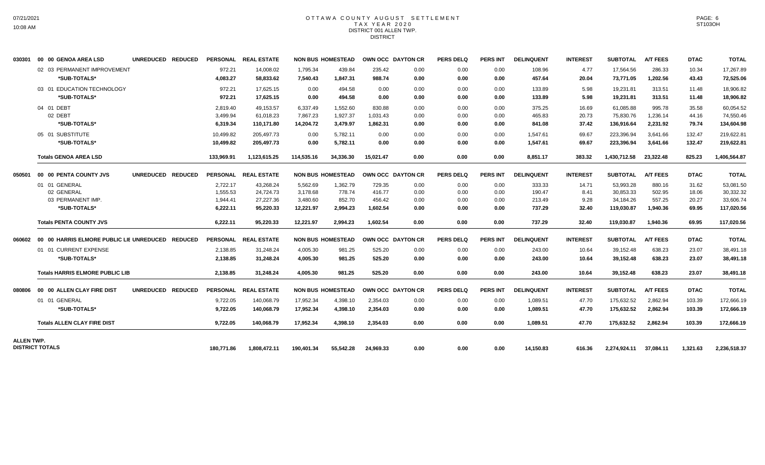## OTTAWA COUNTY AUGUST SETTLEMENT T A X Y E A R 2 0 2 0 DISTRICT 001 ALLEN TWP. DISTRICT

| 030301     | 00 00 GENOA AREA LSD                             | UNREDUCED REDUCED |            | PERSONAL REAL ESTATE |            | <b>NON BUS HOMESTEAD</b> |                   | OWN OCC DAYTON CR | <b>PERS DELQ</b> | <b>PERS INT</b> | <b>DELINQUENT</b> | <b>INTEREST</b> | <b>SUBTOTAL</b> | <b>A/T FEES</b> | <b>DTAC</b> | <b>TOTAL</b> |
|------------|--------------------------------------------------|-------------------|------------|----------------------|------------|--------------------------|-------------------|-------------------|------------------|-----------------|-------------------|-----------------|-----------------|-----------------|-------------|--------------|
|            | 02 03 PERMANENT IMPROVEMENT                      |                   | 972.21     | 14,008.02            | 1.795.34   | 439.84                   | 235.42            | 0.00              | 0.00             | 0.00            | 108.96            | 4.77            | 17,564.56       | 286.33          | 10.34       | 17,267.89    |
|            | *SUB-TOTALS*                                     |                   | 4,083.27   | 58,833.62            | 7,540.43   | 1,847.31                 | 988.74            | 0.00              | 0.00             | 0.00            | 457.64            | 20.04           | 73,771.05       | 1,202.56        | 43.43       | 72,525.06    |
|            | 03 01 EDUCATION TECHNOLOGY                       |                   | 972.21     | 17,625.15            | 0.00       | 494.58                   | 0.00              | 0.00              | 0.00             | 0.00            | 133.89            | 5.98            | 19,231.81       | 313.51          | 11.48       | 18,906.82    |
|            | *SUB-TOTALS*                                     |                   | 972.21     | 17,625.15            | 0.00       | 494.58                   | 0.00              | 0.00              | 0.00             | 0.00            | 133.89            | 5.98            | 19,231.81       | 313.51          | 11.48       | 18,906.82    |
|            | 04 01 DEBT                                       |                   | 2,819.40   | 49.153.57            | 6,337.49   | 1,552.60                 | 830.88            | 0.00              | 0.00             | 0.00            | 375.25            | 16.69           | 61,085.88       | 995.78          | 35.58       | 60,054.52    |
|            | 02 DEBT                                          |                   | 3,499.94   | 61.018.23            | 7,867.23   | 1.927.37                 | 1.031.43          | 0.00              | 0.00             | 0.00            | 465.83            | 20.73           | 75,830.76       | 1,236.14        | 44.16       | 74,550.46    |
|            | *SUB-TOTALS*                                     |                   | 6,319.34   | 110.171.80           | 14.204.72  | 3.479.97                 | 1,862.31          | 0.00              | 0.00             | 0.00            | 841.08            | 37.42           | 136,916.64      | 2.231.92        | 79.74       | 134,604.98   |
|            | 05 01 SUBSTITUTE                                 |                   | 10,499.82  | 205.497.73           | 0.00       | 5.782.11                 | 0.00              | 0.00              | 0.00             | 0.00            | 1.547.61          | 69.67           | 223.396.94      | 3.641.66        | 132.47      | 219,622.81   |
|            | *SUB-TOTALS*                                     |                   | 10,499.82  | 205,497.73           | 0.00       | 5,782.11                 | 0.00              | 0.00              | 0.00             | 0.00            | 1,547.61          | 69.67           | 223,396.94      | 3,641.66        | 132.47      | 219,622.81   |
|            | <b>Totals GENOA AREA LSD</b>                     |                   | 133,969.91 | 1,123,615.25         | 114,535.16 | 34,336.30                | 15.021.47         | 0.00              | 0.00             | 0.00            | 8,851.17          | 383.32          | 1,430,712.58    | 23,322.48       | 825.23      | 1,406,564.87 |
| 050501     | 00 00 PENTA COUNTY JVS                           | UNREDUCED REDUCED |            | PERSONAL REAL ESTATE |            | <b>NON BUS HOMESTEAD</b> | OWN OCC DAYTON CR |                   | <b>PERS DELQ</b> | <b>PERS INT</b> | <b>DELINQUENT</b> | <b>INTEREST</b> | <b>SUBTOTAL</b> | <b>A/T FEES</b> | <b>DTAC</b> | <b>TOTAL</b> |
|            | 01 01 GENERAL                                    |                   | 2,722.17   | 43,268.24            | 5,562.69   | 1,362.79                 | 729.35            | 0.00              | 0.00             | 0.00            | 333.33            | 14.71           | 53,993.28       | 880.16          | 31.62       | 53,081.50    |
|            | 02 GENERAL                                       |                   | 1.555.53   | 24,724.73            | 3,178.68   | 778.74                   | 416.77            | 0.00              | 0.00             | 0.00            | 190.47            | 8.41            | 30.853.33       | 502.95          | 18.06       | 30.332.32    |
|            | 03 PERMANENT IMP.                                |                   | 1,944.41   | 27,227.36            | 3,480.60   | 852.70                   | 456.42            | 0.00              | 0.00             | 0.00            | 213.49            | 9.28            | 34,184.26       | 557.25          | 20.27       | 33,606.74    |
|            | *SUB-TOTALS*                                     |                   | 6,222.11   | 95,220.33            | 12,221.97  | 2,994.23                 | 1,602.54          | 0.00              | 0.00             | 0.00            | 737.29            | 32.40           | 119,030.87      | 1,940.36        | 69.95       | 117,020.56   |
|            | <b>Totals PENTA COUNTY JVS</b>                   |                   | 6.222.11   | 95.220.33            | 12.221.97  | 2.994.23                 | 1.602.54          | 0.00              | 0.00             | 0.00            | 737.29            | 32.40           | 119.030.87      | 1.940.36        | 69.95       | 117,020.56   |
| 060602     | 00 00 HARRIS ELMORE PUBLIC LIE UNREDUCED REDUCED |                   |            | PERSONAL REAL ESTATE |            | <b>NON BUS HOMESTEAD</b> |                   | OWN OCC DAYTON CR | <b>PERS DELQ</b> | <b>PERS INT</b> | <b>DELINQUENT</b> | <b>INTEREST</b> | <b>SUBTOTAL</b> | <b>A/T FEES</b> | <b>DTAC</b> | <b>TOTAL</b> |
|            | 01 01 CURRENT EXPENSE                            |                   | 2,138.85   | 31,248.24            | 4,005.30   | 981.25                   | 525.20            | 0.00              | 0.00             | 0.00            | 243.00            | 10.64           | 39,152.48       | 638.23          | 23.07       | 38,491.18    |
|            | *SUB-TOTALS*                                     |                   | 2,138.85   | 31,248.24            | 4,005.30   | 981.25                   | 525.20            | 0.00              | 0.00             | 0.00            | 243.00            | 10.64           | 39,152.48       | 638.23          | 23.07       | 38,491.18    |
|            | <b>Totals HARRIS ELMORE PUBLIC LIB</b>           |                   | 2,138.85   | 31,248.24            | 4,005.30   | 981.25                   | 525.20            | 0.00              | 0.00             | 0.00            | 243.00            | 10.64           | 39,152.48       | 638.23          | 23.07       | 38,491.18    |
| 080806     | 00 00 ALLEN CLAY FIRE DIST                       | UNREDUCED REDUCED |            | PERSONAL REAL ESTATE |            | <b>NON BUS HOMESTEAD</b> |                   | OWN OCC DAYTON CR | <b>PERS DELQ</b> | <b>PERS INT</b> | <b>DELINQUENT</b> | <b>INTEREST</b> | <b>SUBTOTAL</b> | <b>A/T FEES</b> | <b>DTAC</b> | <b>TOTAL</b> |
|            | 01 01 GENERAL                                    |                   | 9,722.05   | 140,068.79           | 17,952.34  | 4,398.10                 | 2,354.03          | 0.00              | 0.00             | 0.00            | 1,089.51          | 47.70           | 175,632.52      | 2,862.94        | 103.39      | 172,666.19   |
|            | *SUB-TOTALS*                                     |                   | 9,722.05   | 140,068.79           | 17,952.34  | 4,398.10                 | 2,354.03          | 0.00              | 0.00             | 0.00            | 1,089.51          | 47.70           | 175,632.52      | 2,862.94        | 103.39      | 172,666.19   |
|            | <b>Totals ALLEN CLAY FIRE DIST</b>               |                   | 9,722.05   | 140.068.79           | 17,952.34  | 4.398.10                 | 2,354.03          | 0.00              | 0.00             | 0.00            | 1.089.51          | 47.70           | 175,632.52      | 2.862.94        | 103.39      | 172,666.19   |
| ALLEN TWP. |                                                  |                   |            |                      |            |                          |                   |                   |                  |                 |                   |                 |                 |                 |             |              |
|            | <b>DISTRICT TOTALS</b>                           |                   | 180.771.86 | 1.808.472.11         | 190,401.34 | 55,542.28                | 24.969.33         | 0.00              | 0.00             | 0.00            | 14,150.83         | 616.36          | 2.274.924.11    | 37,084.11       | 1,321.63    | 2,236,518.37 |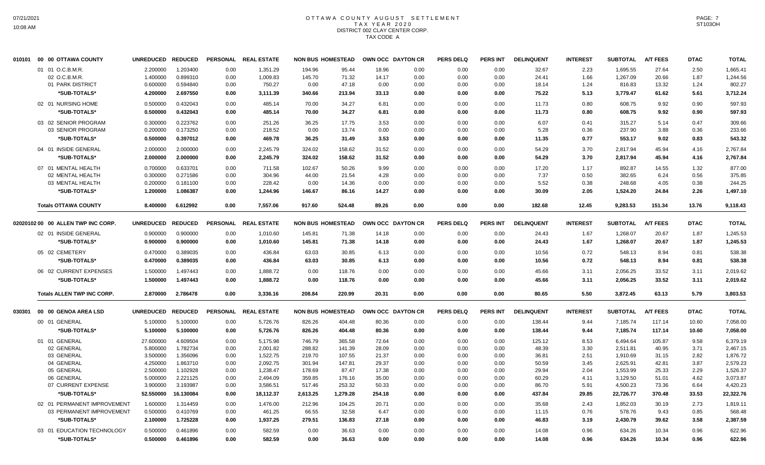# OTTAWA COUNTY AUGUST SETTLEMENT T A X Y E A R 2 0 2 0 DISTRICT 002 CLAY CENTER CORP. TAX CODE A

| 010101 | 00 00 OTTAWA COUNTY                | <b>UNREDUCED</b> | <b>REDUCED</b> |      | PERSONAL REAL ESTATE |          | <b>NON BUS HOMESTEAD</b> |        | OWN OCC DAYTON CR | <b>PERS DELQ</b> | <b>PERS INT</b> | <b>DELINQUENT</b> | <b>INTEREST</b> | <b>SUBTOTAL</b> | <b>A/T FEES</b> | <b>DTAC</b> | <b>TOTAL</b> |
|--------|------------------------------------|------------------|----------------|------|----------------------|----------|--------------------------|--------|-------------------|------------------|-----------------|-------------------|-----------------|-----------------|-----------------|-------------|--------------|
|        | 01 01 O.C.B.M.R.                   | 2.200000         | 1.203400       | 0.00 | 1,351.29             | 194.96   | 95.44                    | 18.96  | 0.00              | 0.00             | 0.00            | 32.67             | 2.23            | 1,695.55        | 27.64           | 2.50        | 1,665.41     |
|        | 02 O.C.B.M.R                       | 1.400000         | 0.899310       | 0.00 | 1,009.83             | 145.70   | 71.32                    | 14.17  | 0.00              | 0.00             | 0.00            | 24.41             | 1.66            | 1,267.09        | 20.66           | 1.87        | 1,244.56     |
|        | 01 PARK DISTRICT                   | 0.600000         | 0.594840       | 0.00 | 750.27               | 0.00     | 47.18                    | 0.00   | 0.00              | 0.00             | 0.00            | 18.14             | 1.24            | 816.83          | 13.32           | 1.24        | 802.27       |
|        | *SUB-TOTALS*                       | 4.200000         | 2.697550       | 0.00 | 3,111.39             | 340.66   | 213.94                   | 33.13  | 0.00              | 0.00             | 0.00            | 75.22             | 5.13            | 3,779.47        | 61.62           | 5.61        | 3,712.24     |
|        | 02 01 NURSING HOME                 | 0.500000         | 0.432043       | 0.00 | 485.14               | 70.00    | 34.27                    | 6.81   | 0.00              | 0.00             | 0.00            | 11.73             | 0.80            | 608.75          | 9.92            | 0.90        | 597.93       |
|        | *SUB-TOTALS*                       | 0.500000         | 0.432043       | 0.00 | 485.14               | 70.00    | 34.27                    | 6.81   | 0.00              | 0.00             | 0.00            | 11.73             | 0.80            | 608.75          | 9.92            | 0.90        | 597.93       |
|        | 03 02 SENIOR PROGRAM               | 0.300000         | 0.223762       | 0.00 | 251.26               | 36.25    | 17.75                    | 3.53   | 0.00              | 0.00             | 0.00            | 6.07              | 0.41            | 315.27          | 5.14            | 0.47        | 309.66       |
|        | 03 SENIOR PROGRAM                  | 0.200000         | 0.173250       | 0.00 | 218.52               | 0.00     | 13.74                    | 0.00   | 0.00              | 0.00             | 0.00            | 5.28              | 0.36            | 237.90          | 3.88            | 0.36        | 233.66       |
|        | *SUB-TOTALS*                       | 0.500000         | 0.397012       | 0.00 | 469.78               | 36.25    | 31.49                    | 3.53   | 0.00              | 0.00             | 0.00            | 11.35             | 0.77            | 553.17          | 9.02            | 0.83        | 543.32       |
|        | 04 01 INSIDE GENERAL               | 2.000000         | 2.000000       | 0.00 | 2,245.79             | 324.02   | 158.62                   | 31.52  | 0.00              | 0.00             | 0.00            | 54.29             | 3.70            | 2,817.94        | 45.94           | 4.16        | 2,767.84     |
|        | *SUB-TOTALS*                       | 2.000000         | 2.000000       | 0.00 | 2,245.79             | 324.02   | 158.62                   | 31.52  | 0.00              | 0.00             | 0.00            | 54.29             | 3.70            | 2,817.94        | 45.94           | 4.16        | 2,767.84     |
|        | 07 01 MENTAL HEALTH                | 0.700000         | 0.633701       | 0.00 | 711.58               | 102.67   | 50.26                    | 9.99   | 0.00              | 0.00             | 0.00            | 17.20             | 1.17            | 892.87          | 14.55           | 1.32        | 877.00       |
|        | 02 MENTAL HEALTH                   | 0.300000         | 0.271586       | 0.00 | 304.96               | 44.00    | 21.54                    | 4.28   | 0.00              | 0.00             | 0.00            | 7.37              | 0.50            | 382.65          | 6.24            | 0.56        | 375.85       |
|        | 03 MENTAL HEALTH                   | 0.200000         | 0.181100       | 0.00 | 228.42               | 0.00     | 14.36                    | 0.00   | 0.00              | 0.00             | 0.00            | 5.52              | 0.38            | 248.68          | 4.05            | 0.38        | 244.25       |
|        | *SUB-TOTALS*                       | 1.200000         | 1.086387       | 0.00 | 1.244.96             | 146.67   | 86.16                    | 14.27  | 0.00              | 0.00             | 0.00            | 30.09             | 2.05            | 1,524.20        | 24.84           | 2.26        | 1,497.10     |
|        | <b>Totals OTTAWA COUNTY</b>        | 8.400000         | 6.612992       | 0.00 | 7,557.06             | 917.60   | 524.48                   | 89.26  | 0.00              | 0.00             | 0.00            | 182.68            | 12.45           | 9,283.53        | 151.34          | 13.76       | 9,118.43     |
|        | 02020102 00 00 ALLEN TWP INC CORP. | <b>UNREDUCED</b> | <b>REDUCED</b> |      | PERSONAL REAL ESTATE |          | <b>NON BUS HOMESTEAD</b> |        | OWN OCC DAYTON CR | <b>PERS DELQ</b> | <b>PERS INT</b> | <b>DELINQUENT</b> | <b>INTEREST</b> | <b>SUBTOTAL</b> | <b>A/T FEES</b> | <b>DTAC</b> | <b>TOTAL</b> |
|        | 02 01 INSIDE GENERAL               | 0.900000         | 0.900000       | 0.00 | 1,010.60             | 145.81   | 71.38                    | 14.18  | 0.00              | 0.00             | 0.00            | 24.43             | 1.67            | 1,268.07        | 20.67           | 1.87        | 1,245.53     |
|        | *SUB-TOTALS*                       | 0.900000         | 0.900000       | 0.00 | 1,010.60             | 145.81   | 71.38                    | 14.18  | 0.00              | 0.00             | 0.00            | 24.43             | 1.67            | 1,268.07        | 20.67           | 1.87        | 1,245.53     |
|        |                                    |                  |                |      |                      |          |                          |        |                   |                  |                 |                   |                 |                 |                 |             |              |
|        | 05 02 CEMETERY                     | 0.470000         | 0.389035       | 0.00 | 436.84               | 63.03    | 30.85                    | 6.13   | 0.00              | 0.00             | 0.00            | 10.56             | 0.72            | 548.13          | 8.94            | 0.81        | 538.38       |
|        | *SUB-TOTALS*                       | 0.470000         | 0.389035       | 0.00 | 436.84               | 63.03    | 30.85                    | 6.13   | 0.00              | 0.00             | 0.00            | 10.56             | 0.72            | 548.13          | 8.94            | 0.81        | 538.38       |
|        | 06 02 CURRENT EXPENSES             | 1.500000         | 1.497443       | 0.00 | 1,888.72             | 0.00     | 118.76                   | 0.00   | 0.00              | 0.00             | 0.00            | 45.66             | 3.11            | 2,056.25        | 33.52           | 3.11        | 2,019.62     |
|        | *SUB-TOTALS*                       | 1.500000         | 1.497443       | 0.00 | 1,888.72             | 0.00     | 118.76                   | 0.00   | 0.00              | 0.00             | 0.00            | 45.66             | 3.11            | 2,056.25        | 33.52           | 3.11        | 2,019.62     |
|        | <b>Totals ALLEN TWP INC CORP.</b>  | 2.870000         | 2.786478       | 0.00 | 3,336.16             | 208.84   | 220.99                   | 20.31  | 0.00              | 0.00             | 0.00            | 80.65             | 5.50            | 3,872.45        | 63.13           | 5.79        | 3,803.53     |
| 030301 | 00 00 GENOA AREA LSD               | <b>UNREDUCED</b> | <b>REDUCED</b> |      | PERSONAL REAL ESTATE |          | <b>NON BUS HOMESTEAD</b> |        | OWN OCC DAYTON CR | <b>PERS DELQ</b> | <b>PERS INT</b> | <b>DELINQUENT</b> | <b>INTEREST</b> | <b>SUBTOTAL</b> | <b>A/T FEES</b> | <b>DTAC</b> | <b>TOTAL</b> |
|        | 00 01 GENERAL                      | 5.100000         | 5.100000       | 0.00 | 5,726.76             | 826.26   | 404.48                   | 80.36  | 0.00              | 0.00             | 0.00            | 138.44            | 9.44            | 7,185.74        | 117.14          | 10.60       | 7,058.00     |
|        | *SUB-TOTALS*                       | 5.100000         | 5.100000       | 0.00 | 5,726.76             | 826.26   | 404.48                   | 80.36  | 0.00              | 0.00             | 0.00            | 138.44            | 9.44            | 7,185.74        | 117.14          | 10.60       | 7,058.00     |
|        | 01 01 GENERAL                      | 27.600000        | 4.609504       | 0.00 | 5,175.98             | 746.79   | 365.58                   | 72.64  | 0.00              | 0.00             | 0.00            | 125.12            | 8.53            | 6.494.64        | 105.87          | 9.58        | 6,379.19     |
|        | 02 GENERAL                         | 5.800000         | 1.782734       | 0.00 | 2,001.82             | 288.82   | 141.39                   | 28.09  | 0.00              | 0.00             | 0.00            | 48.39             | 3.30            | 2,511.81        | 40.95           | 3.71        | 2,467.15     |
|        | 03 GENERAL                         | 3.500000         | 1.356096       | 0.00 | 1,522.75             | 219.70   | 107.55                   | 21.37  | 0.00              | 0.00             | 0.00            | 36.81             | 2.51            | 1,910.69        | 31.15           | 2.82        | 1,876.72     |
|        | 04 GENERAL                         | 4.250000         | 1.863710       | 0.00 | 2,092.75             | 301.94   | 147.81                   | 29.37  | 0.00              | 0.00             | 0.00            | 50.59             | 3.45            | 2,625.91        | 42.81           | 3.87        | 2,579.23     |
|        | 05 GENERAL                         | 2.500000         | 1.102928       | 0.00 | 1,238.47             | 178.69   | 87.47                    | 17.38  | 0.00              | 0.00             | 0.00            | 29.94             | 2.04            | 1,553.99        | 25.33           | 2.29        | 1,526.37     |
|        | 06 GENERAL                         | 5.000000         | 2.221125       | 0.00 | 2,494.09             | 359.85   | 176.16                   | 35.00  | 0.00              | 0.00             | 0.00            | 60.29             | 4.11            | 3,129.50        | 51.01           | 4.62        | 3,073.87     |
|        | 07 CURRENT EXPENSE                 | 3.900000         | 3.193987       | 0.00 | 3,586.51             | 517.46   | 253.32                   | 50.33  | 0.00              | 0.00             | 0.00            | 86.70             | 5.91            | 4,500.23        | 73.36           | 6.64        | 4,420.23     |
|        | *SUB-TOTALS*                       | 52.550000        | 16.130084      | 0.00 | 18,112.37            | 2,613.25 | 1,279.28                 | 254.18 | 0.00              | 0.00             | 0.00            | 437.84            | 29.85           | 22,726.77       | 370.48          | 33.53       | 22,322.76    |
|        | 02 01 PERMANENT IMPROVEMENT        | 1.600000         | 1.314459       | 0.00 | 1,476.00             | 212.96   | 104.25                   | 20.71  | 0.00              | 0.00             | 0.00            | 35.68             | 2.43            | 1,852.03        | 30.19           | 2.73        | 1,819.11     |
|        | 03 PERMANENT IMPROVEMENT           | 0.500000         | 0.410769       | 0.00 | 461.25               | 66.55    | 32.58                    | 6.47   | 0.00              | 0.00             | 0.00            | 11.15             | 0.76            | 578.76          | 9.43            | 0.85        | 568.48       |
|        | *SUB-TOTALS*                       | 2.100000         | 1.725228       | 0.00 | 1,937.25             | 279.51   | 136.83                   | 27.18  | 0.00              | 0.00             | 0.00            | 46.83             | 3.19            | 2,430.79        | 39.62           | 3.58        | 2,387.59     |
|        | 03 01 EDUCATION TECHNOLOGY         | 0.500000         | 0.461896       | 0.00 | 582.59               | 0.00     | 36.63                    | 0.00   | 0.00              | 0.00             | 0.00            | 14.08             | 0.96            | 634.26          | 10.34           | 0.96        | 622.96       |
|        | *SUB-TOTALS*                       | 0.500000         | 0.461896       | 0.00 | 582.59               | 0.00     | 36.63                    | 0.00   | 0.00              | 0.00             | 0.00            | 14.08             | 0.96            | 634.26          | 10.34           | 0.96        | 622.96       |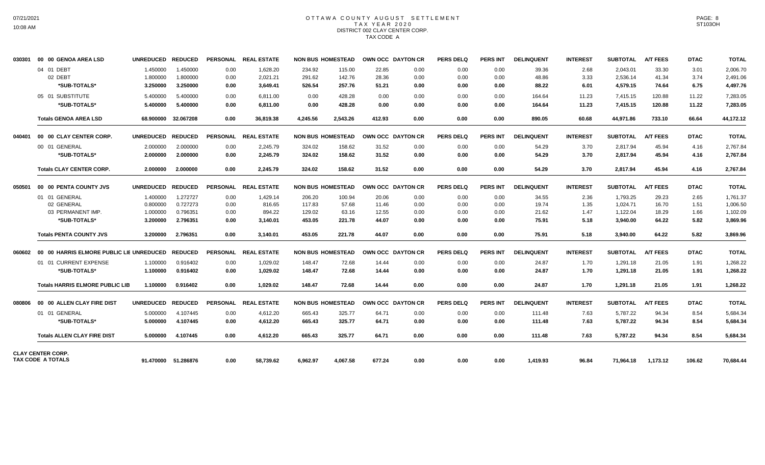# OTTAWA COUNTY AUGUST SETTLEMENT T A X Y E A R 2 0 2 0 DISTRICT 002 CLAY CENTER CORP. TAX CODE A

| 030301 | 00 00 GENOA AREA LSD                     | <b>UNREDUCED</b> | <b>REDUCED</b>      |      | PERSONAL REAL ESTATE |          | <b>NON BUS HOMESTEAD</b> |        | OWN OCC DAYTON CR | <b>PERS DELQ</b> | <b>PERS INT</b> | <b>DELINQUENT</b> | <b>INTEREST</b> | <b>SUBTOTAL</b> | <b>A/T FEES</b> | <b>DTAC</b> | <b>TOTAL</b> |
|--------|------------------------------------------|------------------|---------------------|------|----------------------|----------|--------------------------|--------|-------------------|------------------|-----------------|-------------------|-----------------|-----------------|-----------------|-------------|--------------|
|        | 04 01 DEBT                               | 1.450000         | 1.450000            | 0.00 | 1,628.20             | 234.92   | 115.00                   | 22.85  | 0.00              | 0.00             | 0.00            | 39.36             | 2.68            | 2.043.01        | 33.30           | 3.01        | 2,006.70     |
|        | 02 DEBT                                  | 1.800000         | 1.800000            | 0.00 | 2,021.21             | 291.62   | 142.76                   | 28.36  | 0.00              | 0.00             | 0.00            | 48.86             | 3.33            | 2,536.14        | 41.34           | 3.74        | 2,491.06     |
|        | *SUB-TOTALS*                             | 3.250000         | 3.250000            | 0.00 | 3,649.41             | 526.54   | 257.76                   | 51.21  | 0.00              | 0.00             | 0.00            | 88.22             | 6.01            | 4,579.15        | 74.64           | 6.75        | 4,497.76     |
|        | 05 01 SUBSTITUTE                         | 5.400000         | 5.400000            | 0.00 | 6,811.00             | 0.00     | 428.28                   | 0.00   | 0.00              | 0.00             | 0.00            | 164.64            | 11.23           | 7,415.15        | 120.88          | 11.22       | 7,283.05     |
|        | *SUB-TOTALS*                             | 5.400000         | 5.400000            | 0.00 | 6,811.00             | 0.00     | 428.28                   | 0.00   | 0.00              | 0.00             | 0.00            | 164.64            | 11.23           | 7,415.15        | 120.88          | 11.22       | 7,283.05     |
|        | <b>Totals GENOA AREA LSD</b>             |                  | 68.900000 32.067208 | 0.00 | 36,819.38            | 4.245.56 | 2,543.26                 | 412.93 | 0.00              | 0.00             | 0.00            | 890.05            | 60.68           | 44,971.86       | 733.10          | 66.64       | 44,172.12    |
| 040401 | 00 00 CLAY CENTER CORP.                  | <b>UNREDUCED</b> | <b>REDUCED</b>      |      | PERSONAL REAL ESTATE |          | <b>NON BUS HOMESTEAD</b> |        | OWN OCC DAYTON CR | <b>PERS DELQ</b> | <b>PERS INT</b> | <b>DELINQUENT</b> | <b>INTEREST</b> | <b>SUBTOTAL</b> | <b>A/T FEES</b> | <b>DTAC</b> | <b>TOTAL</b> |
|        | 00 01 GENERAL                            | 2.000000         | 2.000000            | 0.00 | 2,245.79             | 324.02   | 158.62                   | 31.52  | 0.00              | 0.00             | 0.00            | 54.29             | 3.70            | 2.817.94        | 45.94           | 4.16        | 2,767.84     |
|        | *SUB-TOTALS*                             | 2.000000         | 2.000000            | 0.00 | 2,245.79             | 324.02   | 158.62                   | 31.52  | 0.00              | 0.00             | 0.00            | 54.29             | 3.70            | 2,817.94        | 45.94           | 4.16        | 2,767.84     |
|        | <b>Totals CLAY CENTER CORP.</b>          | 2.000000         | 2.000000            | 0.00 | 2,245.79             | 324.02   | 158.62                   | 31.52  | 0.00              | 0.00             | 0.00            | 54.29             | 3.70            | 2.817.94        | 45.94           | 4.16        | 2,767.84     |
| 050501 | 00 00 PENTA COUNTY JVS                   | <b>UNREDUCED</b> | <b>REDUCED</b>      |      | PERSONAL REAL ESTATE |          | <b>NON BUS HOMESTEAD</b> |        | OWN OCC DAYTON CR | <b>PERS DELQ</b> | <b>PERS INT</b> | <b>DELINQUENT</b> | <b>INTEREST</b> | <b>SUBTOTAL</b> | <b>A/T FEES</b> | <b>DTAC</b> | <b>TOTAL</b> |
|        | 01 01 GENERAL                            | 1.400000         | 1.272727            | 0.00 | 1.429.14             | 206.20   | 100.94                   | 20.06  | 0.00              | 0.00             | 0.00            | 34.55             | 2.36            | 1.793.25        | 29.23           | 2.65        | 1.761.37     |
|        | 02 GENERAL                               | 0.800000         | 0.727273            | 0.00 | 816.65               | 117.83   | 57.68                    | 11.46  | 0.00              | 0.00             | 0.00            | 19.74             | 1.35            | 1.024.71        | 16.70           | 1.51        | 1,006.50     |
|        | 03 PERMANENT IMP.                        | 1.000000         | 0.796351            | 0.00 | 894.22               | 129.02   | 63.16                    | 12.55  | 0.00              | 0.00             | 0.00            | 21.62             | 1.47            | 1,122.04        | 18.29           | 1.66        | 1,102.09     |
|        | *SUB-TOTALS*                             | 3.200000         | 2.796351            | 0.00 | 3,140.01             | 453.05   | 221.78                   | 44.07  | 0.00              | 0.00             | 0.00            | 75.91             | 5.18            | 3,940.00        | 64.22           | 5.82        | 3,869.96     |
|        | <b>Totals PENTA COUNTY JVS</b>           | 3.200000         | 2.796351            | 0.00 | 3,140.01             | 453.05   | 221.78                   | 44.07  | 0.00              | 0.00             | 0.00            | 75.91             | 5.18            | 3,940.00        | 64.22           | 5.82        | 3,869.96     |
| 060602 | 00 00 HARRIS ELMORE PUBLIC LIE UNREDUCED |                  | <b>REDUCED</b>      |      | PERSONAL REAL ESTATE |          | <b>NON BUS HOMESTEAD</b> |        | OWN OCC DAYTON CR | <b>PERS DELQ</b> | <b>PERS INT</b> | <b>DELINQUENT</b> | <b>INTEREST</b> | <b>SUBTOTAL</b> | <b>A/T FEES</b> | <b>DTAC</b> | <b>TOTAL</b> |
|        | 01 01 CURRENT EXPENSE                    | 1.100000         | 0.916402            | 0.00 | 1,029.02             | 148.47   | 72.68                    | 14.44  | 0.00              | 0.00             | 0.00            | 24.87             | 1.70            | 1,291.18        | 21.05           | 1.91        | 1,268.22     |
|        | *SUB-TOTALS*                             | 1.100000         | 0.916402            | 0.00 | 1,029.02             | 148.47   | 72.68                    | 14.44  | 0.00              | 0.00             | 0.00            | 24.87             | 1.70            | 1,291.18        | 21.05           | 1.91        | 1,268.22     |
|        | <b>Totals HARRIS ELMORE PUBLIC LIB</b>   | 1.100000         | 0.916402            | 0.00 | 1.029.02             | 148.47   | 72.68                    | 14.44  | 0.00              | 0.00             | 0.00            | 24.87             | 1.70            | 1,291.18        | 21.05           | 1.91        | 1,268.22     |
| 080806 | 00 00 ALLEN CLAY FIRE DIST               | <b>UNREDUCED</b> | <b>REDUCED</b>      |      | PERSONAL REAL ESTATE |          | <b>NON BUS HOMESTEAD</b> |        | OWN OCC DAYTON CR | <b>PERS DELQ</b> | <b>PERS INT</b> | <b>DELINQUENT</b> | <b>INTEREST</b> | <b>SUBTOTAL</b> | <b>A/T FEES</b> | <b>DTAC</b> | <b>TOTAL</b> |
|        | 01 01 GENERAL                            | 5.000000         | 4.107445            | 0.00 | 4,612.20             | 665.43   | 325.77                   | 64.71  | 0.00              | 0.00             | 0.00            | 111.48            | 7.63            | 5.787.22        | 94.34           | 8.54        | 5,684.34     |
|        | *SUB-TOTALS*                             | 5.000000         | 4.107445            | 0.00 | 4,612.20             | 665.43   | 325.77                   | 64.71  | 0.00              | 0.00             | 0.00            | 111.48            | 7.63            | 5,787.22        | 94.34           | 8.54        | 5,684.34     |
|        | <b>Totals ALLEN CLAY FIRE DIST</b>       | 5.000000         | 4.107445            | 0.00 | 4,612.20             | 665.43   | 325.77                   | 64.71  | 0.00              | 0.00             | 0.00            | 111.48            | 7.63            | 5.787.22        | 94.34           | 8.54        | 5,684.34     |
|        | <b>CLAY CENTER CORP.</b>                 |                  |                     |      |                      |          |                          |        |                   |                  |                 |                   |                 |                 |                 |             |              |
|        | TAX CODE A TOTALS                        |                  | 91.470000 51.286876 | 0.00 | 58.739.62            | 6,962.97 | 4.067.58                 | 677.24 | 0.00              | 0.00             | 0.00            | 1.419.93          | 96.84           | 71,964.18       | 1,173.12        | 106.62      | 70,684.44    |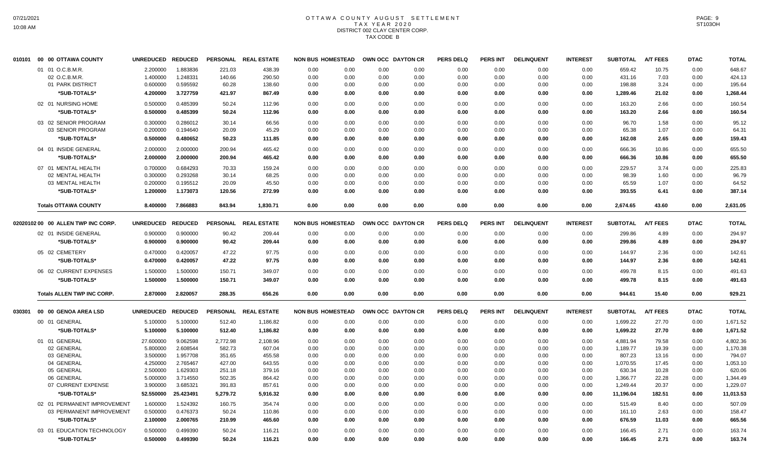# OTTAWA COUNTY AUGUST SETTLEMENT T A X Y E A R 2 0 2 0 DISTRICT 002 CLAY CENTER CORP. TAX CODE B

| 010101 | 00 00 OTTAWA COUNTY                | <b>UNREDUCED</b> | <b>REDUCED</b> | <b>PERSONAL</b> | <b>REAL ESTATE</b>   | <b>NON BUS HOMESTEAD</b> |      |      | OWN OCC DAYTON CR | <b>PERS DELQ</b> | <b>PERS INT</b> | <b>DELINQUENT</b> | <b>INTEREST</b> | <b>SUBTOTAL</b> | <b>A/T FEES</b> | <b>DTAC</b> | <b>TOTAL</b> |
|--------|------------------------------------|------------------|----------------|-----------------|----------------------|--------------------------|------|------|-------------------|------------------|-----------------|-------------------|-----------------|-----------------|-----------------|-------------|--------------|
|        | 01 01 O.C.B.M.R.                   | 2.200000         | 1.883836       | 221.03          | 438.39               | 0.00                     | 0.00 | 0.00 | 0.00              | 0.00             | 0.00            | 0.00              | 0.00            | 659.42          | 10.75           | 0.00        | 648.67       |
|        | 02 O.C.B.M.R                       | 1.400000         | 1.248331       | 140.66          | 290.50               | 0.00                     | 0.00 | 0.00 | 0.00              | 0.00             | 0.00            | 0.00              | 0.00            | 431.16          | 7.03            | 0.00        | 424.13       |
|        | 01 PARK DISTRICT                   | 0.600000         | 0.595592       | 60.28           | 138.60               | 0.00                     | 0.00 | 0.00 | 0.00              | 0.00             | 0.00            | 0.00              | 0.00            | 198.88          | 3.24            | 0.00        | 195.64       |
|        | *SUB-TOTALS*                       | 4.200000         | 3.727759       | 421.97          | 867.49               | 0.00                     | 0.00 | 0.00 | 0.00              | 0.00             | 0.00            | 0.00              | 0.00            | 1,289.46        | 21.02           | 0.00        | 1,268.44     |
|        | 02 01 NURSING HOME                 | 0.500000         | 0.485399       | 50.24           | 112.96               | 0.00                     | 0.00 | 0.00 | 0.00              | 0.00             | 0.00            | 0.00              | 0.00            | 163.20          | 2.66            | 0.00        | 160.54       |
|        | *SUB-TOTALS*                       | 0.500000         | 0.485399       | 50.24           | 112.96               | 0.00                     | 0.00 | 0.00 | 0.00              | 0.00             | 0.00            | 0.00              | 0.00            | 163.20          | 2.66            | 0.00        | 160.54       |
|        | 03 02 SENIOR PROGRAM               | 0.300000         | 0.286012       | 30.14           | 66.56                | 0.00                     | 0.00 | 0.00 | 0.00              | 0.00             | 0.00            | 0.00              | 0.00            | 96.70           | 1.58            | 0.00        | 95.12        |
|        | 03 SENIOR PROGRAM                  | 0.200000         | 0.194640       | 20.09           | 45.29                | 0.00                     | 0.00 | 0.00 | 0.00              | 0.00             | 0.00            | 0.00              | 0.00            | 65.38           | 1.07            | 0.00        | 64.31        |
|        | *SUB-TOTALS*                       | 0.500000         | 0.480652       | 50.23           | 111.85               | 0.00                     | 0.00 | 0.00 | 0.00              | 0.00             | 0.00            | 0.00              | 0.00            | 162.08          | 2.65            | 0.00        | 159.43       |
|        | 04 01 INSIDE GENERAL               | 2.000000         | 2.000000       | 200.94          | 465.42               | 0.00                     | 0.00 | 0.00 | 0.00              | 0.00             | 0.00            | 0.00              | 0.00            | 666.36          | 10.86           | 0.00        | 655.50       |
|        | *SUB-TOTALS*                       | 2.000000         | 2.000000       | 200.94          | 465.42               | 0.00                     | 0.00 | 0.00 | 0.00              | 0.00             | 0.00            | 0.00              | 0.00            | 666.36          | 10.86           | 0.00        | 655.50       |
|        | 07 01 MENTAL HEALTH                | 0.700000         | 0.684293       | 70.33           | 159.24               | 0.00                     | 0.00 | 0.00 | 0.00              | 0.00             | 0.00            | 0.00              | 0.00            | 229.57          | 3.74            | 0.00        | 225.83       |
|        | 02 MENTAL HEALTH                   | 0.300000         | 0.293268       | 30.14           | 68.25                | 0.00                     | 0.00 | 0.00 | 0.00              | 0.00             | 0.00            | 0.00              | 0.00            | 98.39           | 1.60            | 0.00        | 96.79        |
|        | 03 MENTAL HEALTH                   | 0.200000         | 0.195512       | 20.09           | 45.50                | 0.00                     | 0.00 | 0.00 | 0.00              | 0.00             | 0.00            | 0.00              | 0.00            | 65.59           | 1.07            | 0.00        | 64.52        |
|        | *SUB-TOTALS*                       | 1.200000         | 1.173073       | 120.56          | 272.99               | 0.00                     | 0.00 | 0.00 | 0.00              | 0.00             | 0.00            | 0.00              | 0.00            | 393.55          | 6.41            | 0.00        | 387.14       |
|        | <b>Totals OTTAWA COUNTY</b>        | 8.400000         | 7.866883       | 843.94          | 1,830.71             | 0.00                     | 0.00 | 0.00 | 0.00              | 0.00             | 0.00            | 0.00              | 0.00            | 2,674.65        | 43.60           | 0.00        | 2,631.05     |
|        | 02020102 00 00 ALLEN TWP INC CORP. | <b>UNREDUCED</b> | <b>REDUCED</b> | <b>PERSONAL</b> | <b>REAL ESTATE</b>   | <b>NON BUS HOMESTEAD</b> |      |      | OWN OCC DAYTON CR | <b>PERS DELQ</b> | <b>PERS INT</b> | <b>DELINQUENT</b> | <b>INTEREST</b> | <b>SUBTOTAL</b> | <b>A/T FEES</b> | <b>DTAC</b> | <b>TOTAL</b> |
|        | 02 01 INSIDE GENERAL               | 0.900000         | 0.900000       | 90.42           | 209.44               | 0.00                     | 0.00 | 0.00 | 0.00              | 0.00             | 0.00            | 0.00              | 0.00            | 299.86          | 4.89            | 0.00        | 294.97       |
|        | *SUB-TOTALS*                       | 0.900000         | 0.900000       | 90.42           | 209.44               | 0.00                     | 0.00 | 0.00 | 0.00              | 0.00             | 0.00            | 0.00              | 0.00            | 299.86          | 4.89            | 0.00        | 294.97       |
|        |                                    |                  |                |                 |                      |                          |      |      |                   |                  |                 |                   |                 |                 |                 |             |              |
|        | 05 02 CEMETERY                     | 0.470000         | 0.420057       | 47.22           | 97.75                | 0.00                     | 0.00 | 0.00 | 0.00              | 0.00             | 0.00            | 0.00              | 0.00            | 144.97          | 2.36            | 0.00        | 142.61       |
|        | *SUB-TOTALS*                       | 0.470000         | 0.420057       | 47.22           | 97.75                | 0.00                     | 0.00 | 0.00 | 0.00              | 0.00             | 0.00            | 0.00              | 0.00            | 144.97          | 2.36            | 0.00        | 142.61       |
|        | 06 02 CURRENT EXPENSES             | 1.500000         | 1.500000       | 150.71          | 349.07               | 0.00                     | 0.00 | 0.00 | 0.00              | 0.00             | 0.00            | 0.00              | 0.00            | 499.78          | 8.15            | 0.00        | 491.63       |
|        | *SUB-TOTALS*                       | 1.500000         | 1.500000       | 150.71          | 349.07               | 0.00                     | 0.00 | 0.00 | 0.00              | 0.00             | 0.00            | 0.00              | 0.00            | 499.78          | 8.15            | 0.00        | 491.63       |
|        | <b>Totals ALLEN TWP INC CORP.</b>  | 2.870000         | 2.820057       | 288.35          | 656.26               | 0.00                     | 0.00 | 0.00 | 0.00              | 0.00             | 0.00            | 0.00              | 0.00            | 944.61          | 15.40           | 0.00        | 929.21       |
| 030301 | 00 00 GENOA AREA LSD               | <b>UNREDUCED</b> | <b>REDUCED</b> |                 | PERSONAL REAL ESTATE | <b>NON BUS HOMESTEAD</b> |      |      | OWN OCC DAYTON CR | <b>PERS DELQ</b> | <b>PERS INT</b> | <b>DELINQUENT</b> | <b>INTEREST</b> | <b>SUBTOTAL</b> | <b>A/T FEES</b> | <b>DTAC</b> | <b>TOTAL</b> |
|        | 00 01 GENERAL                      | 5.100000         | 5.100000       | 512.40          | 1,186.82             | 0.00                     | 0.00 | 0.00 | 0.00              | 0.00             | 0.00            | 0.00              | 0.00            | 1,699.22        | 27.70           | 0.00        | 1,671.52     |
|        | *SUB-TOTALS*                       | 5.100000         | 5.100000       | 512.40          | 1,186.82             | 0.00                     | 0.00 | 0.00 | 0.00              | 0.00             | 0.00            | 0.00              | 0.00            | 1,699.22        | 27.70           | 0.00        | 1,671.52     |
|        | 01 01 GENERAL                      | 27.600000        | 9.062598       | 2,772.98        | 2,108.96             | 0.00                     | 0.00 | 0.00 | 0.00              | 0.00             | 0.00            | 0.00              | 0.00            | 4,881.94        | 79.58           | 0.00        | 4,802.36     |
|        | 02 GENERAL                         | 5.800000         | 2.608544       | 582.73          | 607.04               | 0.00                     | 0.00 | 0.00 | 0.00              | 0.00             | 0.00            | 0.00              | 0.00            | 1,189.77        | 19.39           | 0.00        | 1,170.38     |
|        | 03 GENERAL                         | 3.500000         | 1.957708       | 351.65          | 455.58               | 0.00                     | 0.00 | 0.00 | 0.00              | 0.00             | 0.00            | 0.00              | 0.00            | 807.23          | 13.16           | 0.00        | 794.07       |
|        | 04 GENERAL                         | 4.250000         | 2.765467       | 427.00          | 643.55               | 0.00                     | 0.00 | 0.00 | 0.00              | 0.00             | 0.00            | 0.00              | 0.00            | 1,070.55        | 17.45           | 0.00        | 1,053.10     |
|        | 05 GENERAL                         | 2.500000         | 1.629303       | 251.18          | 379.16               | 0.00                     | 0.00 | 0.00 | 0.00              | 0.00             | 0.00            | 0.00              | 0.00            | 630.34          | 10.28           | 0.00        | 620.06       |
|        | 06 GENERAL                         | 5.000000         | 3.714550       | 502.35          | 864.42               | 0.00                     | 0.00 | 0.00 | 0.00              | 0.00             | 0.00            | 0.00              | 0.00            | 1,366.77        | 22.28           | 0.00        | 1,344.49     |
|        | 07 CURRENT EXPENSE                 | 3.900000         | 3.685321       | 391.83          | 857.61               | 0.00                     | 0.00 | 0.00 | 0.00              | 0.00             | 0.00            | 0.00              | 0.00            | 1,249.44        | 20.37           | 0.00        | 1,229.07     |
|        | *SUB-TOTALS*                       | 52.550000        | 25.423491      | 5,279.72        | 5,916.32             | 0.00                     | 0.00 | 0.00 | 0.00              | 0.00             | 0.00            | 0.00              | 0.00            | 11,196.04       | 182.51          | 0.00        | 11,013.53    |
|        | 02 01 PERMANENT IMPROVEMENT        | 1.600000         | 1.524392       | 160.75          | 354.74               | 0.00                     | 0.00 | 0.00 | 0.00              | 0.00             | 0.00            | 0.00              | 0.00            | 515.49          | 8.40            | 0.00        | 507.09       |
|        | 03 PERMANENT IMPROVEMENT           | 0.500000         | 0.476373       | 50.24           | 110.86               | 0.00                     | 0.00 | 0.00 | 0.00              | 0.00             | 0.00            | 0.00              | 0.00            | 161.10          | 2.63            | 0.00        | 158.47       |
|        | *SUB-TOTALS*                       | 2.100000         | 2.000765       | 210.99          | 465.60               | 0.00                     | 0.00 | 0.00 | 0.00              | 0.00             | 0.00            | 0.00              | 0.00            | 676.59          | 11.03           | 0.00        | 665.56       |
|        | 03 01 EDUCATION TECHNOLOGY         | 0.500000         | 0.499390       | 50.24           | 116.21               | 0.00                     | 0.00 | 0.00 | 0.00              | 0.00             | 0.00            | 0.00              | 0.00            | 166.45          | 2.71            | 0.00        | 163.74       |
|        | *SUB-TOTALS*                       | 0.500000         | 0.499390       | 50.24           | 116.21               | 0.00                     | 0.00 | 0.00 | 0.00              | 0.00             | 0.00            | 0.00              | 0.00            | 166.45          | 2.71            | 0.00        | 163.74       |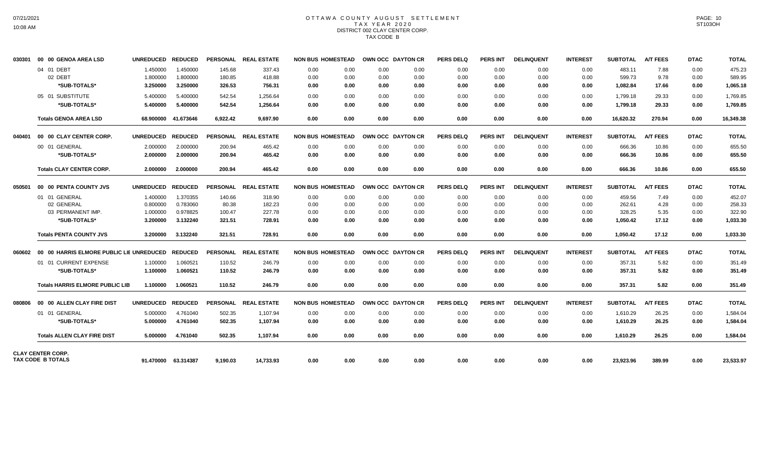# OTTAWA COUNTY AUGUST SETTLEMENT T A X Y E A R 2 0 2 0 DISTRICT 002 CLAY CENTER CORP. TAX CODE B

| 030301 | 00 00 GENOA AREA LSD                   | UNREDUCED REDUCED    |                      |                  | PERSONAL REAL ESTATE | <b>NON BUS HOMESTEAD</b> |              | OWN OCC DAYTON CR |              | <b>PERS DELQ</b> | <b>PERS INT</b> | <b>DELINQUENT</b> | <b>INTEREST</b> | <b>SUBTOTAL</b>    | <b>A/T FEES</b> | <b>DTAC</b>  | <b>TOTAL</b>     |
|--------|----------------------------------------|----------------------|----------------------|------------------|----------------------|--------------------------|--------------|-------------------|--------------|------------------|-----------------|-------------------|-----------------|--------------------|-----------------|--------------|------------------|
|        | 04 01 DEBT<br>02 DEBT                  | 1.450000             | 1.450000             | 145.68           | 337.43               | 0.00                     | 0.00         | 0.00              | 0.00         | 0.00             | 0.00            | 0.00              | 0.00            | 483.11             | 7.88            | 0.00         | 475.23<br>589.95 |
|        | *SUB-TOTALS*                           | 1.800000<br>3.250000 | 1.800000<br>3.250000 | 180.85<br>326.53 | 418.88<br>756.31     | 0.00<br>0.00             | 0.00<br>0.00 | 0.00<br>0.00      | 0.00<br>0.00 | 0.00<br>0.00     | 0.00<br>0.00    | 0.00<br>0.00      | 0.00<br>0.00    | 599.73<br>1,082.84 | 9.78<br>17.66   | 0.00<br>0.00 | 1,065.18         |
|        | 05 01 SUBSTITUTE                       | 5.400000             | 5.400000             | 542.54           | 1,256.64             | 0.00                     | 0.00         | 0.00              | 0.00         | 0.00             | 0.00            | 0.00              | 0.00            | 1,799.18           | 29.33           | 0.00         | 1,769.85         |
|        | *SUB-TOTALS*                           | 5.400000             | 5.400000             | 542.54           | 1,256.64             | 0.00                     | 0.00         | 0.00              | 0.00         | 0.00             | 0.00            | 0.00              | 0.00            | 1,799.18           | 29.33           | 0.00         | 1,769.85         |
|        | <b>Totals GENOA AREA LSD</b>           |                      | 68.900000 41.673646  | 6.922.42         | 9.697.90             | 0.00                     | 0.00         | 0.00              | 0.00         | 0.00             | 0.00            | 0.00              | 0.00            | 16,620.32          | 270.94          | 0.00         | 16,349.38        |
| 040401 | 00 00 CLAY CENTER CORP.                | UNREDUCED REDUCED    |                      |                  | PERSONAL REAL ESTATE | <b>NON BUS HOMESTEAD</b> |              | OWN OCC DAYTON CR |              | <b>PERS DELQ</b> | <b>PERS INT</b> | <b>DELINQUENT</b> | <b>INTEREST</b> | <b>SUBTOTAL</b>    | <b>A/T FEES</b> | <b>DTAC</b>  | <b>TOTAL</b>     |
|        | 00 01 GENERAL                          | 2.000000             | 2.000000             | 200.94           | 465.42               | 0.00                     | 0.00         | 0.00              | 0.00         | 0.00             | 0.00            | 0.00              | 0.00            | 666.36             | 10.86           | 0.00         | 655.50           |
|        | *SUB-TOTALS*                           | 2.000000             | 2.000000             | 200.94           | 465.42               | 0.00                     | 0.00         | 0.00              | 0.00         | 0.00             | 0.00            | 0.00              | 0.00            | 666.36             | 10.86           | 0.00         | 655.50           |
|        | <b>Totals CLAY CENTER CORP.</b>        | 2.000000             | 2.000000             | 200.94           | 465.42               | 0.00                     | 0.00         | 0.00              | 0.00         | 0.00             | 0.00            | 0.00              | 0.00            | 666.36             | 10.86           | 0.00         | 655.50           |
|        |                                        | UNREDUCED REDUCED    |                      |                  | PERSONAL REAL ESTATE | <b>NON BUS HOMESTEAD</b> |              | OWN OCC DAYTON CR |              | <b>PERS DELQ</b> | <b>PERS INT</b> | <b>DELINQUENT</b> | <b>INTEREST</b> | <b>SUBTOTAL</b>    | <b>A/T FEES</b> | <b>DTAC</b>  | <b>TOTAL</b>     |
|        | 01 01 GENERAL                          | 1.400000             | 1.370355             | 140.66           | 318.90               | 0.00                     | 0.00         | 0.00              | 0.00         | 0.00             | 0.00            | 0.00              | 0.00            | 459.56             | 7.49            | 0.00         | 452.07           |
|        | 02 GENERAL                             | 0.800000             | 0.783060             | 80.38            | 182.23               | 0.00                     | 0.00         | 0.00              | 0.00         | 0.00             | 0.00            | 0.00              | 0.00            | 262.61             | 4.28            | 0.00         | 258.33           |
|        | 03 PERMANENT IMP.                      | 1.000000             | 0.978825             | 100.47           | 227.78               | 0.00                     | $0.00\,$     | 0.00              | 0.00         | 0.00             | 0.00            | 0.00              | $0.00\,$        | 328.25             | 5.35            | 0.00         | 322.90           |
|        | *SUB-TOTALS*                           | 3.200000             | 3.132240             | 321.51           | 728.91               | 0.00                     | 0.00         | 0.00              | 0.00         | 0.00             | 0.00            | 0.00              | 0.00            | 1.050.42           | 17.12           | 0.00         | 1,033.30         |
|        | <b>Totals PENTA COUNTY JVS</b>         | 3.200000             | 3.132240             | 321.51           | 728.91               | 0.00                     | 0.00         | 0.00              | 0.00         | 0.00             | 0.00            | 0.00              | 0.00            | 1,050.42           | 17.12           | 0.00         | 1,033.30         |
|        |                                        |                      |                      |                  | PERSONAL REAL ESTATE | <b>NON BUS HOMESTEAD</b> |              | OWN OCC DAYTON CR |              | <b>PERS DELQ</b> | <b>PERS INT</b> | <b>DELINQUENT</b> | <b>INTEREST</b> | <b>SUBTOTAL</b>    | <b>A/T FEES</b> | <b>DTAC</b>  | <b>TOTAL</b>     |
|        | 01 01 CURRENT EXPENSE                  | 1.100000             | 1.060521             | 110.52           | 246.79               | 0.00                     | 0.00         | 0.00              | 0.00         | 0.00             | 0.00            | 0.00              | 0.00            | 357.31             | 5.82            | 0.00         | 351.49           |
|        | *SUB-TOTALS*                           | 1.100000             | 1.060521             | 110.52           | 246.79               | 0.00                     | 0.00         | 0.00              | 0.00         | 0.00             | 0.00            | 0.00              | 0.00            | 357.31             | 5.82            | 0.00         | 351.49           |
|        | <b>Totals HARRIS ELMORE PUBLIC LIB</b> | 1.100000             | 1.060521             | 110.52           | 246.79               | 0.00                     | 0.00         | 0.00              | 0.00         | 0.00             | 0.00            | 0.00              | 0.00            | 357.31             | 5.82            | 0.00         | 351.49           |
|        |                                        | UNREDUCED REDUCED    |                      |                  | PERSONAL REAL ESTATE | <b>NON BUS HOMESTEAD</b> |              | OWN OCC DAYTON CR |              | <b>PERS DELQ</b> | <b>PERS INT</b> | <b>DELINQUENT</b> | <b>INTEREST</b> | <b>SUBTOTAL</b>    | <b>A/T FEES</b> | <b>DTAC</b>  | <b>TOTAL</b>     |
|        | 01 01 GENERAL                          | 5.000000             | 4.761040             | 502.35           | 1,107.94             | 0.00                     | 0.00         | 0.00              | 0.00         | 0.00             | 0.00            | 0.00              | 0.00            | 1,610.29           | 26.25           | 0.00         | 1,584.04         |
|        | *SUB-TOTALS*                           | 5.000000             | 4.761040             | 502.35           | 1,107.94             | 0.00                     | 0.00         | 0.00              | 0.00         | 0.00             | 0.00            | 0.00              | 0.00            | 1,610.29           | 26.25           | 0.00         | 1,584.04         |
|        | <b>Totals ALLEN CLAY FIRE DIST</b>     | 5.000000             | 4.761040             | 502.35           | 1.107.94             | 0.00                     | 0.00         | 0.00              | 0.00         | 0.00             | 0.00            | 0.00              | 0.00            | 1.610.29           | 26.25           | 0.00         | 1,584.04         |
|        | <b>CLAY CENTER CORP.</b>               |                      |                      |                  |                      |                          |              |                   |              |                  |                 |                   |                 |                    |                 |              |                  |
|        | <b>TAX CODE B TOTALS</b>               |                      | 91.470000 63.314387  | 9.190.03         | 14.733.93            | 0.00                     | 0.00         | 0.00              | 0.00         | 0.00             | 0.00            | 0.00              | 0.00            | 23,923.96          | 389.99          | 0.00         | 23,533.97        |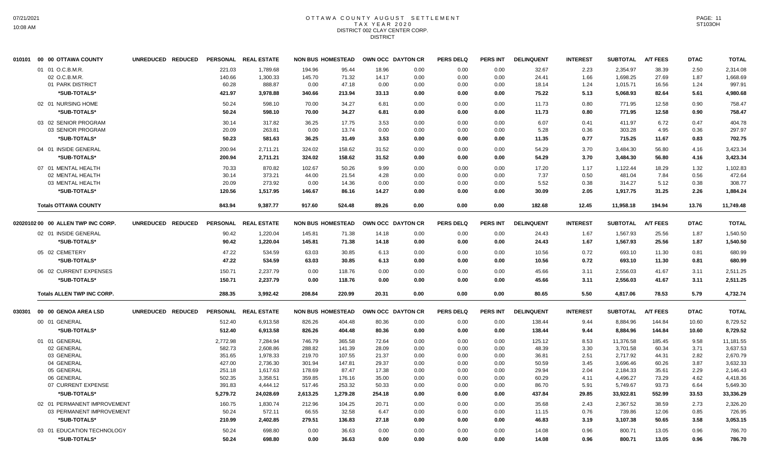### OTTAWA COUNTY AUGUST SETTLEMENT T A X Y E A R 2 0 2 0 DISTRICT 002 CLAY CENTER CORP. **DISTRICT**

|        | 010101 00 00 OTTAWA COUNTY                              | UNREDUCED REDUCED |                  | PERSONAL REAL ESTATE | <b>NON BUS HOMESTEAD</b> |                  |                | OWN OCC DAYTON CR | <b>PERS DELQ</b> | <b>PERS INT</b> | <b>DELINQUENT</b> | <b>INTEREST</b> | <b>SUBTOTAL</b>      | <b>A/T FEES</b> | <b>DTAC</b>  | <b>TOTAL</b>          |
|--------|---------------------------------------------------------|-------------------|------------------|----------------------|--------------------------|------------------|----------------|-------------------|------------------|-----------------|-------------------|-----------------|----------------------|-----------------|--------------|-----------------------|
|        | 01 01 O.C.B.M.R.<br>02 O.C.B.M.R.                       |                   | 221.03<br>140.66 | 1.789.68<br>1,300.33 | 194.96<br>145.70         | 95.44<br>71.32   | 18.96<br>14.17 | 0.00<br>0.00      | 0.00<br>0.00     | 0.00<br>0.00    | 32.67<br>24.41    | 2.23<br>1.66    | 2.354.97<br>1,698.25 | 38.39<br>27.69  | 2.50<br>1.87 | 2,314.08<br>1,668.69  |
|        | 01 PARK DISTRICT                                        |                   | 60.28            | 888.87               | 0.00                     | 47.18            | 0.00           | 0.00              | 0.00             | 0.00            | 18.14             | 1.24            | 1,015.71             | 16.56           | 1.24         | 997.91                |
|        | *SUB-TOTALS*                                            |                   | 421.97           | 3,978.88             | 340.66                   | 213.94           | 33.13          | 0.00              | 0.00             | 0.00            | 75.22             | 5.13            | 5,068.93             | 82.64           | 5.61         | 4,980.68              |
|        | 02 01 NURSING HOME                                      |                   | 50.24            | 598.10               | 70.00                    | 34.27            | 6.81           | 0.00              | 0.00             | 0.00            | 11.73             | 0.80            | 771.95               | 12.58           | 0.90         | 758.47                |
|        | *SUB-TOTALS*                                            |                   | 50.24            | 598.10               | 70.00                    | 34.27            | 6.81           | 0.00              | 0.00             | 0.00            | 11.73             | 0.80            | 771.95               | 12.58           | 0.90         | 758.47                |
|        | 03 02 SENIOR PROGRAM                                    |                   | 30.14            | 317.82               | 36.25                    | 17.75            | 3.53           | 0.00              | 0.00             | 0.00            | 6.07              | 0.41            | 411.97               | 6.72            | 0.47         | 404.78                |
|        | 03 SENIOR PROGRAM                                       |                   | 20.09            | 263.81               | 0.00                     | 13.74            | 0.00           | 0.00              | 0.00             | 0.00            | 5.28              | 0.36            | 303.28               | 4.95            | 0.36         | 297.97                |
|        | *SUB-TOTALS*                                            |                   | 50.23            | 581.63               | 36.25                    | 31.49            | 3.53           | 0.00              | 0.00             | 0.00            | 11.35             | 0.77            | 715.25               | 11.67           | 0.83         | 702.75                |
|        | 04 01 INSIDE GENERAL                                    |                   | 200.94           | 2,711.21             | 324.02                   | 158.62           | 31.52          | 0.00              | 0.00             | 0.00            | 54.29             | 3.70            | 3,484.30             | 56.80           | 4.16         | 3,423.34              |
|        | *SUB-TOTALS*                                            |                   | 200.94           | 2,711.21             | 324.02                   | 158.62           | 31.52          | 0.00              | 0.00             | 0.00            | 54.29             | 3.70            | 3,484.30             | 56.80           | 4.16         | 3,423.34              |
|        | 07 01 MENTAL HEALTH                                     |                   | 70.33            | 870.82               | 102.67                   | 50.26            | 9.99           | 0.00              | 0.00             | 0.00            | 17.20             | 1.17            | 1,122.44             | 18.29           | 1.32         | 1,102.83              |
|        | 02 MENTAL HEALTH                                        |                   | 30.14            | 373.21               | 44.00                    | 21.54            | 4.28           | 0.00              | 0.00             | 0.00            | 7.37              | 0.50            | 481.04               | 7.84            | 0.56         | 472.64                |
|        | 03 MENTAL HEALTH                                        |                   | 20.09            | 273.92               | 0.00                     | 14.36            | 0.00           | 0.00              | 0.00             | 0.00            | 5.52              | 0.38            | 314.27               | 5.12            | 0.38         | 308.77                |
|        | *SUB-TOTALS*                                            |                   | 120.56           | 1,517.95             | 146.67                   | 86.16            | 14.27          | 0.00              | 0.00             | 0.00            | 30.09             | 2.05            | 1,917.75             | 31.25           | 2.26         | 1,884.24              |
|        | <b>Totals OTTAWA COUNTY</b>                             |                   | 843.94           | 9,387.77             | 917.60                   | 524.48           | 89.26          | 0.00              | 0.00             | 0.00            | 182.68            | 12.45           | 11,958.18            | 194.94          | 13.76        | 11,749.48             |
|        | 02020102 00 00 ALLEN TWP INC CORP.                      | UNREDUCED REDUCED | <b>PERSONAL</b>  | <b>REAL ESTATE</b>   | <b>NON BUS HOMESTEAD</b> |                  |                | OWN OCC DAYTON CR | <b>PERS DELQ</b> | <b>PERS INT</b> | <b>DELINQUENT</b> | <b>INTEREST</b> | <b>SUBTOTAL</b>      | <b>A/T FEES</b> | <b>DTAC</b>  | <b>TOTAL</b>          |
|        | 02 01 INSIDE GENERAL                                    |                   | 90.42            | 1,220.04             | 145.81                   | 71.38            | 14.18          | 0.00              | 0.00             | 0.00            | 24.43             | 1.67            | 1,567.93             | 25.56           | 1.87         | 1,540.50              |
|        | *SUB-TOTALS*                                            |                   | 90.42            | 1,220.04             | 145.81                   | 71.38            | 14.18          | 0.00              | 0.00             | 0.00            | 24.43             | 1.67            | 1,567.93             | 25.56           | 1.87         | 1,540.50              |
|        | 05 02 CEMETERY                                          |                   | 47.22            | 534.59               | 63.03                    | 30.85            | 6.13           | 0.00              | 0.00             | 0.00            | 10.56             | 0.72            | 693.10               | 11.30           | 0.81         | 680.99                |
|        | *SUB-TOTALS*                                            |                   | 47.22            | 534.59               | 63.03                    | 30.85            | 6.13           | 0.00              | 0.00             | 0.00            | 10.56             | 0.72            | 693.10               | 11.30           | 0.81         | 680.99                |
|        | 06 02 CURRENT EXPENSES                                  |                   | 150.71           | 2,237.79             | 0.00                     | 118.76           | 0.00           | 0.00              | 0.00             | 0.00            | 45.66             | 3.11            | 2,556.03             | 41.67           | 3.11         | 2,511.25              |
|        | *SUB-TOTALS*                                            |                   | 150.71           | 2,237.79             | 0.00                     | 118.76           | 0.00           | 0.00              | 0.00             | 0.00            | 45.66             | 3.11            | 2,556.03             | 41.67           | 3.11         | 2,511.25              |
|        |                                                         |                   |                  |                      |                          |                  |                |                   |                  |                 |                   |                 |                      |                 |              |                       |
|        | <b>Totals ALLEN TWP INC CORP.</b>                       |                   | 288.35           | 3,992.42             | 208.84                   | 220.99           | 20.31          | 0.00              | 0.00             | 0.00            | 80.65             | 5.50            | 4,817.06             | 78.53           | 5.79         | 4,732.74              |
| 030301 | 00 00 GENOA AREA LSD                                    | UNREDUCED REDUCED |                  | PERSONAL REAL ESTATE | <b>NON BUS HOMESTEAD</b> |                  |                | OWN OCC DAYTON CR | <b>PERS DELQ</b> | <b>PERS INT</b> | <b>DELINQUENT</b> | <b>INTEREST</b> | <b>SUBTOTAL</b>      | <b>A/T FEES</b> | <b>DTAC</b>  | <b>TOTAL</b>          |
|        | 00 01 GENERAL                                           |                   | 512.40           | 6,913.58             | 826.26                   | 404.48           | 80.36          | 0.00              | 0.00             | 0.00            | 138.44            | 9.44            | 8,884.96             | 144.84          | 10.60        | 8,729.52              |
|        | *SUB-TOTALS*                                            |                   | 512.40           | 6,913.58             | 826.26                   | 404.48           | 80.36          | 0.00              | 0.00             | 0.00            | 138.44            | 9.44            | 8,884.96             | 144.84          | 10.60        | 8,729.52              |
|        | 01 01 GENERAL                                           |                   | 2,772.98         | 7,284.94             | 746.79                   | 365.58           | 72.64          | 0.00              | 0.00             | 0.00            | 125.12            | 8.53            | 11,376.58            | 185.45          | 9.58         | 11,181.55             |
|        | 02 GENERAL                                              |                   | 582.73           | 2,608.86             | 288.82                   | 141.39           | 28.09          | 0.00              | 0.00             | 0.00            | 48.39             | 3.30            | 3,701.58             | 60.34           | 3.71         | 3,637.53              |
|        | 03 GENERAL                                              |                   | 351.65           | 1,978.33             | 219.70                   | 107.55           | 21.37          | 0.00              | 0.00             | 0.00            | 36.81             | 2.51            | 2.717.92             | 44.31           | 2.82         | 2,670.79              |
|        | 04 GENERAL                                              |                   | 427.00           | 2,736.30             | 301.94                   | 147.81           | 29.37          | 0.00              | 0.00             | 0.00            | 50.59             | 3.45            | 3,696.46             | 60.26           | 3.87         | 3,632.33              |
|        | 05 GENERAL                                              |                   | 251.18           | 1,617.63             | 178.69                   | 87.47            | 17.38          | 0.00              | 0.00             | 0.00            | 29.94             | 2.04            | 2,184.33             | 35.61           | 2.29         | 2,146.43              |
|        | 06 GENERAL<br>07 CURRENT EXPENSE                        |                   | 502.35<br>391.83 | 3,358.51<br>4,444.12 | 359.85<br>517.46         | 176.16<br>253.32 | 35.00<br>50.33 | 0.00<br>0.00      | 0.00<br>0.00     | 0.00<br>0.00    | 60.29<br>86.70    | 4.11<br>5.91    | 4,496.27<br>5,749.67 | 73.29<br>93.73  | 4.62<br>6.64 | 4,418.36              |
|        | *SUB-TOTALS*                                            |                   | 5,279.72         | 24,028.69            | 2,613.25                 | 1,279.28         | 254.18         | 0.00              | 0.00             | 0.00            | 437.84            | 29.85           | 33,922.81            | 552.99          | 33.53        | 5,649.30<br>33,336.29 |
|        |                                                         |                   |                  |                      |                          |                  |                |                   |                  |                 |                   |                 |                      |                 |              |                       |
|        | 02 01 PERMANENT IMPROVEMENT<br>03 PERMANENT IMPROVEMENT |                   | 160.75<br>50.24  | 1,830.74<br>572.11   | 212.96<br>66.55          | 104.25<br>32.58  | 20.71<br>6.47  | 0.00<br>0.00      | 0.00<br>0.00     | 0.00<br>0.00    | 35.68<br>11.15    | 2.43<br>0.76    | 2,367.52<br>739.86   | 38.59<br>12.06  | 2.73<br>0.85 | 2,326.20<br>726.95    |
|        | *SUB-TOTALS*                                            |                   | 210.99           | 2,402.85             | 279.51                   | 136.83           | 27.18          | 0.00              | 0.00             | 0.00            | 46.83             | 3.19            | 3,107.38             | 50.65           | 3.58         | 3,053.15              |
|        |                                                         |                   |                  |                      |                          |                  |                |                   |                  |                 |                   |                 |                      |                 |              |                       |
|        | 03 01 EDUCATION TECHNOLOGY<br>*SUB-TOTALS*              |                   | 50.24<br>50.24   | 698.80<br>698.80     | 0.00<br>0.00             | 36.63<br>36.63   | 0.00<br>0.00   | 0.00<br>0.00      | 0.00<br>0.00     | 0.00<br>0.00    | 14.08<br>14.08    | 0.96<br>0.96    | 800.71<br>800.71     | 13.05<br>13.05  | 0.96<br>0.96 | 786.70<br>786.70      |
|        |                                                         |                   |                  |                      |                          |                  |                |                   |                  |                 |                   |                 |                      |                 |              |                       |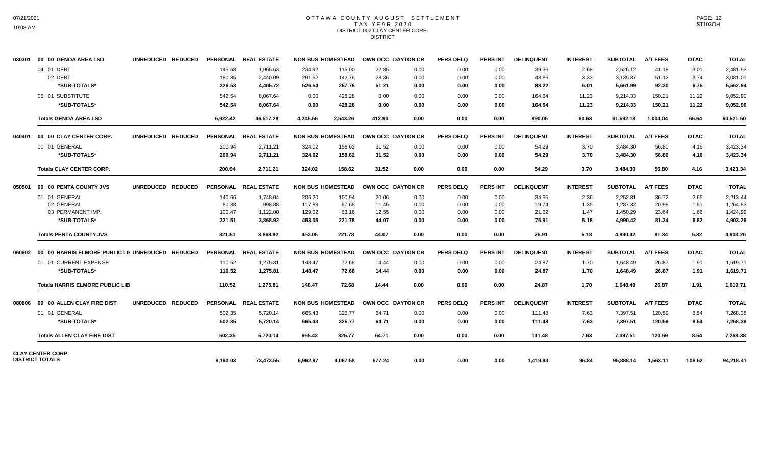### OTTAWA COUNTY AUGUST SETTLEMENT T A X Y E A R 2 0 2 0 DISTRICT 002 CLAY CENTER CORP. **DISTRICT**

| 030301 | 00 00 GENOA AREA LSD                   | UNREDUCED REDUCED |          | PERSONAL REAL ESTATE |                          | <b>NON BUS HOMESTEAD</b> | OWN OCC DAYTON CR |      | <b>PERS DELQ</b> | <b>PERS INT</b> | <b>DELINQUENT</b> | <b>INTEREST</b> | <b>SUBTOTAL</b> | <b>A/T FEES</b> | <b>DTAC</b> | <b>TOTAL</b> |
|--------|----------------------------------------|-------------------|----------|----------------------|--------------------------|--------------------------|-------------------|------|------------------|-----------------|-------------------|-----------------|-----------------|-----------------|-------------|--------------|
|        | 04 01 DEBT                             |                   | 145.68   | 1.965.63             | 234.92                   | 115.00                   | 22.85             | 0.00 | 0.00             | 0.00            | 39.36             | 2.68            | 2,526.12        | 41.18           | 3.01        | 2,481.93     |
|        | 02 DEBT                                |                   | 180.85   | 2,440.09             | 291.62                   | 142.76                   | 28.36             | 0.00 | 0.00             | 0.00            | 48.86             | 3.33            | 3,135.87        | 51.12           | 3.74        | 3,081.01     |
|        | *SUB-TOTALS*                           |                   | 326.53   | 4,405.72             | 526.54                   | 257.76                   | 51.21             | 0.00 | 0.00             | 0.00            | 88.22             | 6.01            | 5,661.99        | 92.30           | 6.75        | 5,562.94     |
|        | 05 01 SUBSTITUTE                       |                   | 542.54   | 8.067.64             | 0.00                     | 428.28                   | 0.00              | 0.00 | 0.00             | 0.00            | 164.64            | 11.23           | 9,214.33        | 150.21          | 11.22       | 9,052.90     |
|        | *SUB-TOTALS*                           |                   | 542.54   | 8,067.64             | 0.00                     | 428.28                   | 0.00              | 0.00 | 0.00             | 0.00            | 164.64            | 11.23           | 9,214.33        | 150.21          | 11.22       | 9,052.90     |
|        | <b>Totals GENOA AREA LSD</b>           |                   | 6,922.42 | 46.517.28            | 4.245.56                 | 2,543.26                 | 412.93            | 0.00 | 0.00             | 0.00            | 890.05            | 60.68           | 61.592.18       | 1.004.04        | 66.64       | 60,521.50    |
|        | 040401 00 00 CLAY CENTER CORP.         | UNREDUCED REDUCED |          | PERSONAL REAL ESTATE |                          | <b>NON BUS HOMESTEAD</b> | OWN OCC DAYTON CR |      | <b>PERS DELQ</b> | <b>PERS INT</b> | <b>DELINQUENT</b> | <b>INTEREST</b> | <b>SUBTOTAL</b> | <b>A/T FEES</b> | <b>DTAC</b> | <b>TOTAL</b> |
|        | 00 01 GENERAL                          |                   | 200.94   | 2,711.21             | 324.02                   | 158.62                   | 31.52             | 0.00 | 0.00             | 0.00            | 54.29             | 3.70            | 3,484.30        | 56.80           | 4.16        | 3,423.34     |
|        | *SUB-TOTALS*                           |                   | 200.94   | 2.711.21             | 324.02                   | 158.62                   | 31.52             | 0.00 | 0.00             | 0.00            | 54.29             | 3.70            | 3,484.30        | 56.80           | 4.16        | 3,423.34     |
|        | <b>Totals CLAY CENTER CORP.</b>        |                   | 200.94   | 2.711.21             | 324.02                   | 158.62                   | 31.52             | 0.00 | 0.00             | 0.00            | 54.29             | 3.70            | 3,484.30        | 56.80           | 4.16        | 3,423.34     |
|        | 050501 00 00 PENTA COUNTY JVS          | UNREDUCED REDUCED |          | PERSONAL REAL ESTATE |                          | <b>NON BUS HOMESTEAD</b> | OWN OCC DAYTON CR |      | <b>PERS DELQ</b> | <b>PERS INT</b> | <b>DELINQUENT</b> | <b>INTEREST</b> | <b>SUBTOTAL</b> | <b>A/T FEES</b> | <b>DTAC</b> | <b>TOTAL</b> |
|        | 01 01 GENERAL                          |                   | 140.66   | 1,748.04             | 206.20                   | 100.94                   | 20.06             | 0.00 | 0.00             | 0.00            | 34.55             | 2.36            | 2,252.81        | 36.72           | 2.65        | 2,213.44     |
|        | 02 GENERAL                             |                   | 80.38    | 998.88               | 117.83                   | 57.68                    | 11.46             | 0.00 | 0.00             | 0.00            | 19.74             | 1.35            | 1.287.32        | 20.98           | 1.51        | 1.264.83     |
|        | 03 PERMANENT IMP.                      |                   | 100.47   | 1,122.00             | 129.02                   | 63.16                    | 12.55             | 0.00 | 0.00             | 0.00            | 21.62             | 1.47            | 1,450.29        | 23.64           | 1.66        | 1,424.99     |
|        | *SUB-TOTALS*                           |                   | 321.51   | 3,868.92             | 453.05                   | 221.78                   | 44.07             | 0.00 | 0.00             | 0.00            | 75.91             | 5.18            | 4,990.42        | 81.34           | 5.82        | 4,903.26     |
|        | <b>Totals PENTA COUNTY JVS</b>         |                   | 321.51   | 3.868.92             | 453.05                   | 221.78                   | 44.07             | 0.00 | 0.00             | 0.00            | 75.91             | 5.18            | 4.990.42        | 81.34           | 5.82        | 4,903.26     |
|        |                                        |                   |          | PERSONAL REAL ESTATE | <b>NON BUS HOMESTEAD</b> |                          | OWN OCC DAYTON CR |      | <b>PERS DELQ</b> | <b>PERS INT</b> | <b>DELINQUENT</b> | <b>INTEREST</b> | <b>SUBTOTAL</b> | <b>A/T FEES</b> | <b>DTAC</b> | <b>TOTAL</b> |
|        | 01 01 CURRENT EXPENSE                  |                   | 110.52   | 1,275.81             | 148.47                   | 72.68                    | 14.44             | 0.00 | 0.00             | 0.00            | 24.87             | 1.70            | 1,648.49        | 26.87           | 1.91        | 1,619.71     |
|        | *SUB-TOTALS*                           |                   | 110.52   | 1.275.81             | 148.47                   | 72.68                    | 14.44             | 0.00 | 0.00             | 0.00            | 24.87             | 1.70            | 1,648.49        | 26.87           | 1.91        | 1,619.71     |
|        | <b>Totals HARRIS ELMORE PUBLIC LIB</b> |                   | 110.52   | 1,275.81             | 148.47                   | 72.68                    | 14.44             | 0.00 | 0.00             | 0.00            | 24.87             | 1.70            | 1,648.49        | 26.87           | 1.91        | 1,619.71     |
| 080806 | 00 00 ALLEN CLAY FIRE DIST             | UNREDUCED REDUCED |          | PERSONAL REAL ESTATE | <b>NON BUS HOMESTEAD</b> |                          | OWN OCC DAYTON CR |      | <b>PERS DELQ</b> | <b>PERS INT</b> | <b>DELINQUENT</b> | <b>INTEREST</b> | <b>SUBTOTAL</b> | <b>A/T FEES</b> | <b>DTAC</b> | <b>TOTAL</b> |
|        | 01 01 GENERAL                          |                   | 502.35   | 5,720.14             | 665.43                   | 325.77                   | 64.71             | 0.00 | 0.00             | 0.00            | 111.48            | 7.63            | 7,397.51        | 120.59          | 8.54        | 7,268.38     |
|        | *SUB-TOTALS*                           |                   | 502.35   | 5,720.14             | 665.43                   | 325.77                   | 64.71             | 0.00 | 0.00             | 0.00            | 111.48            | 7.63            | 7,397.51        | 120.59          | 8.54        | 7,268.38     |
|        | <b>Totals ALLEN CLAY FIRE DIST</b>     |                   | 502.35   | 5,720.14             | 665.43                   | 325.77                   | 64.71             | 0.00 | 0.00             | 0.00            | 111.48            | 7.63            | 7,397.51        | 120.59          | 8.54        | 7,268.38     |
|        | <b>CLAY CENTER CORP.</b>               |                   |          |                      |                          |                          |                   |      |                  |                 |                   |                 |                 |                 |             |              |
|        | <b>DISTRICT TOTALS</b>                 |                   | 9.190.03 | 73,473.55            | 6.962.97                 | 4.067.58                 | 677.24            | 0.00 | 0.00             | 0.00            | 1,419.93          | 96.84           | 95.888.14       | 1,563.11        | 106.62      | 94,218.41    |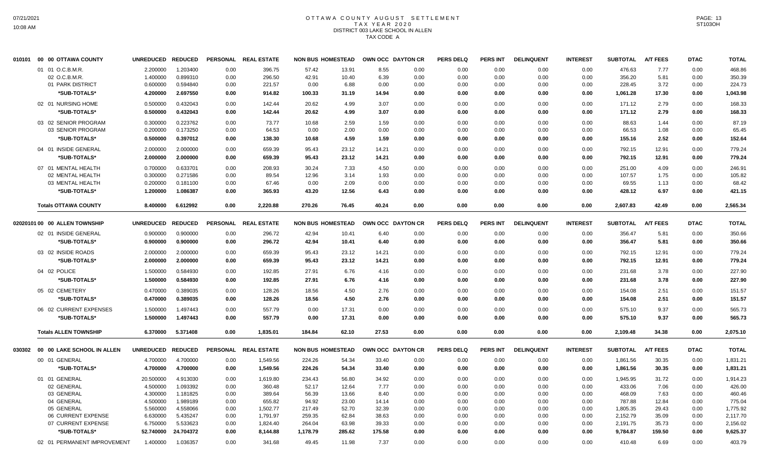## OTTAWA COUNTY AUGUST SETTLEMENT T A X Y E A R 2 0 2 0 DISTRICT 003 LAKE SCHOOL IN ALLEN TAX CODE A

| 010101 | 00 00 OTTAWA COUNTY           | UNREDUCED REDUCED |           | <b>PERSONAL</b> | <b>REAL ESTATE</b>   | <b>NON BUS HOMESTEAD</b> |        | OWN OCC DAYTON CR |      | <b>PERS DELQ</b> | PERS INT | <b>DELINQUENT</b> | <b>INTEREST</b> | <b>SUBTOTAL</b> | <b>A/T FEES</b> | <b>DTAC</b> | <b>TOTAL</b> |
|--------|-------------------------------|-------------------|-----------|-----------------|----------------------|--------------------------|--------|-------------------|------|------------------|----------|-------------------|-----------------|-----------------|-----------------|-------------|--------------|
|        | 01 01 O.C.B.M.R.              | 2.200000          | 1.203400  | 0.00            | 396.75               | 57.42                    | 13.91  | 8.55              | 0.00 | 0.00             | 0.00     | 0.00              | 0.00            | 476.63          | 7.77            | 0.00        | 468.86       |
|        | 02 O.C.B.M.R.                 | 1.400000          | 0.899310  | 0.00            | 296.50               | 42.91                    | 10.40  | 6.39              | 0.00 | 0.00             | 0.00     | 0.00              | 0.00            | 356.20          | 5.81            | 0.00        | 350.39       |
|        | 01 PARK DISTRICT              | 0.600000          | 0.594840  | 0.00            | 221.57               | 0.00                     | 6.88   | 0.00              | 0.00 | 0.00             | 0.00     | 0.00              | 0.00            | 228.45          | 3.72            | 0.00        | 224.73       |
|        | *SUB-TOTALS*                  | 4.200000          | 2.697550  | 0.00            | 914.82               | 100.33                   | 31.19  | 14.94             | 0.00 | 0.00             | 0.00     | 0.00              | 0.00            | 1,061.28        | 17.30           | 0.00        | 1,043.98     |
|        | 02 01 NURSING HOME            | 0.500000          | 0.432043  | 0.00            | 142.44               | 20.62                    | 4.99   | 3.07              | 0.00 | 0.00             | 0.00     | 0.00              | 0.00            | 171.12          | 2.79            | 0.00        | 168.33       |
|        | *SUB-TOTALS*                  | 0.500000          | 0.432043  | 0.00            | 142.44               | 20.62                    | 4.99   | 3.07              | 0.00 | 0.00             | 0.00     | 0.00              | 0.00            | 171.12          | 2.79            | 0.00        | 168.33       |
|        | 03 02 SENIOR PROGRAM          | 0.300000          | 0.223762  | 0.00            | 73.77                | 10.68                    | 2.59   | 1.59              | 0.00 | 0.00             | 0.00     | 0.00              | 0.00            | 88.63           | 1.44            | 0.00        | 87.19        |
|        | 03 SENIOR PROGRAM             | 0.200000          | 0.173250  | 0.00            | 64.53                | 0.00                     | 2.00   | 0.00              | 0.00 | 0.00             | 0.00     | 0.00              | 0.00            | 66.53           | 1.08            | 0.00        | 65.45        |
|        | *SUB-TOTALS*                  | 0.500000          | 0.397012  | 0.00            | 138.30               | 10.68                    | 4.59   | 1.59              | 0.00 | 0.00             | 0.00     | 0.00              | 0.00            | 155.16          | 2.52            | 0.00        | 152.64       |
|        | 04 01 INSIDE GENERAL          |                   | 2.000000  |                 |                      |                          |        |                   |      |                  |          |                   | 0.00            | 792.15          |                 |             |              |
|        |                               | 2.000000          |           | 0.00            | 659.39               | 95.43                    | 23.12  | 14.21             | 0.00 | 0.00             | 0.00     | 0.00              |                 |                 | 12.91           | 0.00        | 779.24       |
|        | *SUB-TOTALS*                  | 2.000000          | 2.000000  | 0.00            | 659.39               | 95.43                    | 23.12  | 14.21             | 0.00 | 0.00             | 0.00     | 0.00              | 0.00            | 792.15          | 12.91           | 0.00        | 779.24       |
|        | 07 01 MENTAL HEALTH           | 0.700000          | 0.633701  | 0.00            | 208.93               | 30.24                    | 7.33   | 4.50              | 0.00 | 0.00             | 0.00     | 0.00              | 0.00            | 251.00          | 4.09            | 0.00        | 246.91       |
|        | 02 MENTAL HEALTH              | 0.300000          | 0.271586  | 0.00            | 89.54                | 12.96                    | 3.14   | 1.93              | 0.00 | 0.00             | 0.00     | 0.00              | 0.00            | 107.57          | 1.75            | 0.00        | 105.82       |
|        | 03 MENTAL HEALTH              | 0.200000          | 0.181100  | 0.00            | 67.46                | 0.00                     | 2.09   | 0.00              | 0.00 | 0.00             | 0.00     | 0.00              | 0.00            | 69.55           | 1.13            | 0.00        | 68.42        |
|        | *SUB-TOTALS*                  | 1.200000          | 1.086387  | 0.00            | 365.93               | 43.20                    | 12.56  | 6.43              | 0.00 | 0.00             | 0.00     | 0.00              | 0.00            | 428.12          | 6.97            | 0.00        | 421.15       |
|        | <b>Totals OTTAWA COUNTY</b>   | 8.400000          | 6.612992  | 0.00            | 2,220.88             | 270.26                   | 76.45  | 40.24             | 0.00 | 0.00             | 0.00     | 0.00              | 0.00            | 2,607.83        | 42.49           | 0.00        | 2,565.34     |
|        | 02020101 00 00 ALLEN TOWNSHIP | UNREDUCED REDUCED |           | <b>PERSONAL</b> | <b>REAL ESTATE</b>   | <b>NON BUS HOMESTEAD</b> |        | OWN OCC DAYTON CR |      | <b>PERS DELQ</b> | PERS INT | <b>DELINQUENT</b> | <b>INTEREST</b> | <b>SUBTOTAL</b> | <b>A/T FEES</b> | <b>DTAC</b> | <b>TOTAL</b> |
|        | 02 01 INSIDE GENERAL          | 0.900000          | 0.900000  | 0.00            | 296.72               | 42.94                    | 10.41  | 6.40              | 0.00 | 0.00             | 0.00     | 0.00              | 0.00            | 356.47          | 5.81            | 0.00        | 350.66       |
|        | *SUB-TOTALS*                  | 0.900000          | 0.900000  | 0.00            | 296.72               | 42.94                    | 10.41  | 6.40              | 0.00 | 0.00             | 0.00     | 0.00              | 0.00            | 356.47          | 5.81            | 0.00        | 350.66       |
|        |                               |                   |           |                 |                      |                          |        |                   |      |                  |          |                   |                 |                 |                 |             |              |
|        | 03 02 INSIDE ROADS            | 2.000000          | 2.000000  | 0.00            | 659.39               | 95.43                    | 23.12  | 14.21             | 0.00 | 0.00             | 0.00     | 0.00              | 0.00            | 792.15          | 12.91           | 0.00        | 779.24       |
|        | *SUB-TOTALS*                  | 2.000000          | 2.000000  | 0.00            | 659.39               | 95.43                    | 23.12  | 14.21             | 0.00 | 0.00             | 0.00     | 0.00              | 0.00            | 792.15          | 12.91           | 0.00        | 779.24       |
|        | 04 02 POLICE                  | 1.500000          | 0.584930  | 0.00            | 192.85               | 27.91                    | 6.76   | 4.16              | 0.00 | 0.00             | 0.00     | 0.00              | 0.00            | 231.68          | 3.78            | 0.00        | 227.90       |
|        | *SUB-TOTALS*                  | 1.500000          | 0.584930  | 0.00            | 192.85               | 27.91                    | 6.76   | 4.16              | 0.00 | 0.00             | 0.00     | 0.00              | 0.00            | 231.68          | 3.78            | 0.00        | 227.90       |
|        | 05 02 CEMETERY                | 0.470000          | 0.389035  | 0.00            | 128.26               | 18.56                    | 4.50   | 2.76              | 0.00 | 0.00             | 0.00     | 0.00              | 0.00            | 154.08          | 2.51            | 0.00        | 151.57       |
|        | *SUB-TOTALS*                  | 0.470000          | 0.389035  | 0.00            | 128.26               | 18.56                    | 4.50   | 2.76              | 0.00 | 0.00             | 0.00     | 0.00              | 0.00            | 154.08          | 2.51            | 0.00        |              |
|        |                               |                   |           |                 |                      |                          |        |                   |      |                  |          |                   |                 |                 |                 |             | 151.57       |
|        | 06 02 CURRENT EXPENSES        | 1.500000          | 1.497443  | 0.00            | 557.79               | 0.00                     | 17.31  | 0.00              | 0.00 | 0.00             | 0.00     | 0.00              | 0.00            | 575.10          | 9.37            | 0.00        | 565.73       |
|        | *SUB-TOTALS*                  | 1.500000          | 1.497443  | 0.00            | 557.79               | 0.00                     | 17.31  | 0.00              | 0.00 | 0.00             | 0.00     | 0.00              | 0.00            | 575.10          | 9.37            | 0.00        | 565.73       |
|        | <b>Totals ALLEN TOWNSHIP</b>  | 6.370000          | 5.371408  | 0.00            | 1,835.01             | 184.84                   | 62.10  | 27.53             | 0.00 | 0.00             | 0.00     | 0.00              | 0.00            | 2,109.48        | 34.38           | 0.00        | 2,075.10     |
| 030302 | 00 00 LAKE SCHOOL IN ALLEN    | UNREDUCED REDUCED |           |                 | PERSONAL REAL ESTATE | <b>NON BUS HOMESTEAD</b> |        | OWN OCC DAYTON CR |      | <b>PERS DELQ</b> | PERS INT | <b>DELINQUENT</b> | <b>INTEREST</b> | <b>SUBTOTAL</b> | <b>A/T FEES</b> | <b>DTAC</b> | <b>TOTAL</b> |
|        | 00 01 GENERAL                 | 4.700000          | 4.700000  | 0.00            | 1,549.56             | 224.26                   | 54.34  | 33.40             | 0.00 | 0.00             | 0.00     | 0.00              | 0.00            | 1,861.56        | 30.35           | 0.00        | 1,831.21     |
|        | *SUB-TOTALS*                  | 4.700000          | 4.700000  | 0.00            | 1,549.56             | 224.26                   | 54.34  | 33.40             | 0.00 | 0.00             | 0.00     | 0.00              | 0.00            | 1,861.56        | 30.35           | 0.00        | 1,831.21     |
|        | 01 01 GENERAL                 | 20.500000         | 4.913030  | 0.00            | 1.619.80             | 234.43                   | 56.80  | 34.92             | 0.00 | 0.00             | 0.00     | 0.00              | 0.00            | 1.945.95        | 31.72           | 0.00        | 1,914.23     |
|        | 02 GENERAL                    | 4.500000          | 1.093392  | 0.00            | 360.48               | 52.17                    | 12.64  | 7.77              | 0.00 | 0.00             | 0.00     | 0.00              | 0.00            | 433.06          | 7.06            | 0.00        | 426.00       |
|        | 03 GENERAL                    | 4.300000          | 1.181825  | 0.00            | 389.64               | 56.39                    | 13.66  | 8.40              | 0.00 | 0.00             | 0.00     | 0.00              | 0.00            | 468.09          | 7.63            | 0.00        | 460.46       |
|        | 04 GENERAL                    | 4.500000          | 1.989189  | 0.00            | 655.82               | 94.92                    | 23.00  | 14.14             | 0.00 | 0.00             | 0.00     | 0.00              | 0.00            | 787.88          | 12.84           | 0.00        | 775.04       |
|        | 05 GENERAL                    | 5.560000          | 4.558066  | 0.00            | 1,502.77             | 217.49                   | 52.70  | 32.39             | 0.00 | 0.00             | 0.00     | 0.00              | 0.00            | 1,805.35        | 29.43           | 0.00        | 1,775.92     |
|        | 06 CURRENT EXPENSE            | 6.630000          | 5.435247  | 0.00            | 1,791.97             | 259.35                   | 62.84  | 38.63             | 0.00 | 0.00             | 0.00     | 0.00              | 0.00            | 2,152.79        | 35.09           | 0.00        | 2,117.70     |
|        | 07 CURRENT EXPENSE            | 6.750000          | 5.533623  | 0.00            | 1,824.40             | 264.04                   | 63.98  | 39.33             | 0.00 | 0.00             | 0.00     | 0.00              | 0.00            | 2,191.75        | 35.73           | 0.00        | 2,156.02     |
|        | *SUB-TOTALS*                  | 52.740000         | 24.704372 | 0.00            | 8,144.88             | 1,178.79                 | 285.62 | 175.58            | 0.00 | 0.00             | 0.00     | 0.00              | 0.00            | 9,784.87        | 159.50          | 0.00        | 9,625.37     |
|        | 02 01 PERMANENT IMPROVEMENT   | 1.400000          | 1.036357  | 0.00            | 341.68               | 49.45                    | 11.98  | 7.37              | 0.00 | 0.00             | 0.00     | 0.00              | 0.00            | 410.48          | 6.69            | 0.00        | 403.79       |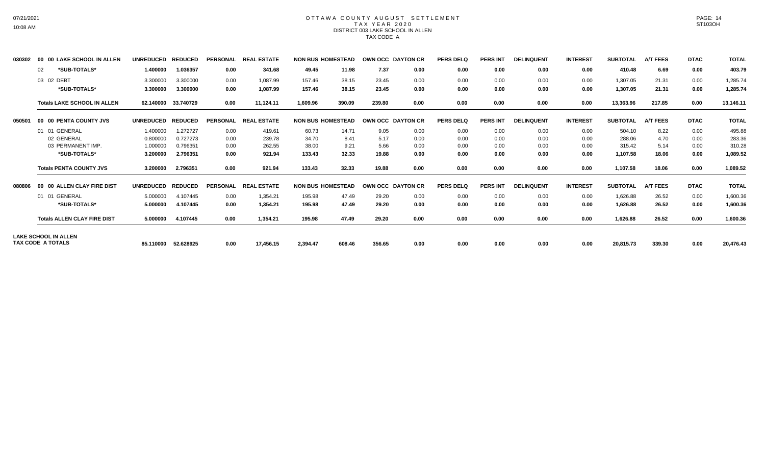#### OTTAWA COUNTY AUGUST SETTLEMENT T A X Y E A R 2 0 2 0 DISTRICT 003 LAKE SCHOOL IN ALLEN TAX CODE A

| 030302 | 00 00 LAKE SCHOOL IN ALLEN         | <b>UNREDUCED</b> | <b>REDUCED</b> | <b>PERSONAL</b> | <b>REAL ESTATE</b> | <b>NON BUS HOMESTEAD</b> |        | OWN OCC DAYTON CR |      | <b>PERS DELQ</b> | <b>PERS INT</b> | <b>DELINQUENT</b> | <b>INTEREST</b> | <b>SUBTOTAL</b> | <b>A/T FEES</b> | <b>DTAC</b> | <b>TOTAL</b> |
|--------|------------------------------------|------------------|----------------|-----------------|--------------------|--------------------------|--------|-------------------|------|------------------|-----------------|-------------------|-----------------|-----------------|-----------------|-------------|--------------|
|        | *SUB-TOTALS*<br>02                 | 1.400000         | 1.036357       | 0.00            | 341.68             | 49.45                    | 11.98  | 7.37              | 0.00 | 0.00             | 0.00            | 0.00              | 0.00            | 410.48          | 6.69            | 0.00        | 403.79       |
|        | 03 02 DEBT                         | 3.300000         | 3.300000       | 0.00            | 1,087.99           | 157.46                   | 38.15  | 23.45             | 0.00 | 0.00             | 0.00            | 0.00              | 0.00            | 1,307.05        | 21.31           | 0.00        | 1,285.74     |
|        | *SUB-TOTALS*                       | 3.300000         | 3.300000       | 0.00            | 1,087.99           | 157.46                   | 38.15  | 23.45             | 0.00 | 0.00             | 0.00            | 0.00              | 0.00            | 1,307.05        | 21.31           | 0.00        | 1,285.74     |
|        | <b>Totals LAKE SCHOOL IN ALLEN</b> | 62.140000        | 33.740729      | 0.00            | 11,124.11          | 1,609.96                 | 390.09 | 239.80            | 0.00 | 0.00             | 0.00            | 0.00              | 0.00            | 13,363.96       | 217.85          | 0.00        | 13,146.11    |
| 050501 | 00 00 PENTA COUNTY JVS             | <b>UNREDUCED</b> | <b>REDUCED</b> | <b>PERSONAL</b> | <b>REAL ESTATE</b> | <b>NON BUS HOMESTEAD</b> |        | OWN OCC DAYTON CR |      | <b>PERS DELQ</b> | <b>PERS INT</b> | <b>DELINQUENT</b> | <b>INTEREST</b> | <b>SUBTOTAL</b> | <b>A/T FEES</b> | <b>DTAC</b> | <b>TOTAL</b> |
|        | 01 01 GENERAL                      | 1.400000         | 1.272727       | 0.00            | 419.61             | 60.73                    | 14.71  | 9.05              | 0.00 | 0.00             | 0.00            | 0.00              | 0.00            | 504.10          | 8.22            | 0.00        | 495.88       |
|        | 02 GENERAL                         | 0.800000         | 0.727273       | 0.00            | 239.78             | 34.70                    | 8.41   | 5.17              | 0.00 | 0.00             | 0.00            | 0.00              | 0.00            | 288.06          | 4.70            | 0.00        | 283.36       |
|        | 03 PERMANENT IMP.                  | 1.000000         | 0.796351       | 0.00            | 262.55             | 38.00                    | 9.21   | 5.66              | 0.00 | 0.00             | 0.00            | 0.00              | 0.00            | 315.42          | 5.14            | 0.00        | 310.28       |
|        | *SUB-TOTALS*                       | 3.200000         | 2.796351       | 0.00            | 921.94             | 133.43                   | 32.33  | 19.88             | 0.00 | 0.00             | 0.00            | 0.00              | 0.00            | 1,107.58        | 18.06           | 0.00        | 1,089.52     |
|        | <b>Totals PENTA COUNTY JVS</b>     | 3.200000         | 2.796351       | 0.00            | 921.94             | 133.43                   | 32.33  | 19.88             | 0.00 | 0.00             | 0.00            | 0.00              | 0.00            | 1,107.58        | 18.06           | 0.00        | 1,089.52     |
| 080806 | 00 00 ALLEN CLAY FIRE DIST         | <b>UNREDUCED</b> | <b>REDUCED</b> | <b>PERSONAL</b> | <b>REAL ESTATE</b> | <b>NON BUS HOMESTEAD</b> |        | OWN OCC DAYTON CR |      | <b>PERS DELQ</b> | <b>PERS INT</b> | <b>DELINQUENT</b> | <b>INTEREST</b> | <b>SUBTOTAL</b> | <b>A/T FEES</b> | <b>DTAC</b> | <b>TOTAL</b> |
|        | 01 GENERAL<br>01                   | 5.000000         | 4.107445       | 0.00            | 1,354.21           | 195.98                   | 47.49  | 29.20             | 0.00 | 0.00             | 0.00            | 0.00              | 0.00            | 1,626.88        | 26.52           | 0.00        | 1,600.36     |
|        | *SUB-TOTALS*                       | 5.000000         | 4.107445       | 0.00            | 1,354.21           | 195.98                   | 47.49  | 29.20             | 0.00 | 0.00             | 0.00            | 0.00              | 0.00            | 1,626.88        | 26.52           | 0.00        | 1,600.36     |
|        | <b>Totals ALLEN CLAY FIRE DIST</b> | 5.000000         | 4.107445       | 0.00            | 1,354.21           | 195.98                   | 47.49  | 29.20             | 0.00 | 0.00             | 0.00            | 0.00              | 0.00            | 1,626.88        | 26.52           | 0.00        | 1,600.36     |
|        | <b>LAKE SCHOOL IN ALLEN</b>        |                  |                |                 |                    |                          |        |                   |      |                  |                 |                   |                 |                 |                 |             |              |
|        | TAX CODE A TOTALS                  | 85.110000        | 52.628925      | 0.00            | 17,456.15          | 2,394.47                 | 608.46 | 356.65            | 0.00 | 0.00             | 0.00            | 0.00              | 0.00            | 20,815.73       | 339.30          | 0.00        | 20,476.43    |

PAGE: 14 ST103OH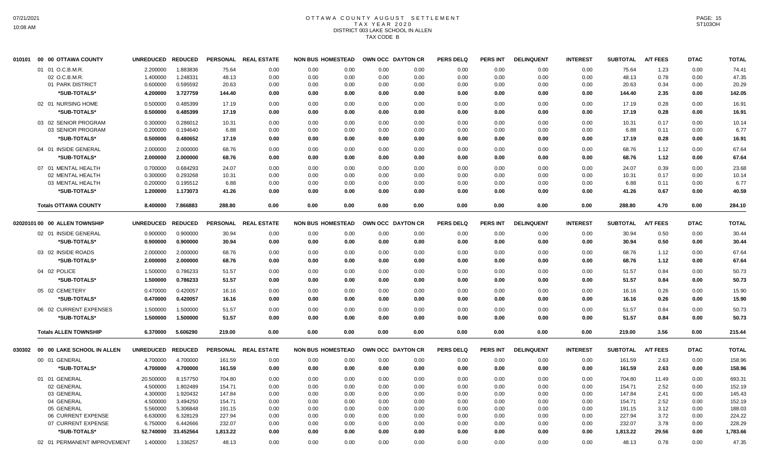## OTTAWA COUNTY AUGUST SETTLEMENT T A X Y E A R 2 0 2 0 DISTRICT 003 LAKE SCHOOL IN ALLEN TAX CODE B

| 010101 | 00 00 OTTAWA COUNTY                     | <b>UNREDUCED</b>  | <b>REDUCED</b>       | <b>PERSONAL</b> | <b>REAL ESTATE</b> | <b>NON BUS HOMESTEAD</b> |      | OWN OCC DAYTON CR |      | <b>PERS DELQ</b> | <b>PERS INT</b> | <b>DELINQUENT</b> | <b>INTEREST</b> | <b>SUBTOTAL</b> | <b>A/T FEES</b> | <b>DTAC</b> | <b>TOTAL</b> |
|--------|-----------------------------------------|-------------------|----------------------|-----------------|--------------------|--------------------------|------|-------------------|------|------------------|-----------------|-------------------|-----------------|-----------------|-----------------|-------------|--------------|
|        | 01 01 O.C.B.M.R.                        | 2.200000          | 1.883836             | 75.64           | 0.00               | 0.00                     | 0.00 | 0.00              | 0.00 | 0.00             | 0.00            | 0.00              | 0.00            | 75.64           | 1.23            | 0.00        | 74.41        |
|        | 02 O.C.B.M.R.                           | 1.400000          | 1.248331             | 48.13           | 0.00               | 0.00                     | 0.00 | 0.00              | 0.00 | 0.00             | 0.00            | 0.00              | 0.00            | 48.13           | 0.78            | 0.00        | 47.35        |
|        | 01 PARK DISTRICT                        | 0.600000          | 0.595592             | 20.63           | 0.00               | 0.00                     | 0.00 | 0.00              | 0.00 | 0.00             | 0.00            | 0.00              | 0.00            | 20.63           | 0.34            | 0.00        | 20.29        |
|        | *SUB-TOTALS*                            | 4.200000          | 3.727759             | 144.40          | 0.00               | 0.00                     | 0.00 | 0.00              | 0.00 | 0.00             | 0.00            | 0.00              | 0.00            | 144.40          | 2.35            | 0.00        | 142.05       |
|        | 02 01 NURSING HOME                      | 0.500000          | 0.485399             | 17.19           | 0.00               | 0.00                     | 0.00 | 0.00              | 0.00 | 0.00             | 0.00            | 0.00              | 0.00            | 17.19           | 0.28            | 0.00        | 16.91        |
|        | *SUB-TOTALS*                            | 0.500000          | 0.485399             | 17.19           | 0.00               | 0.00                     | 0.00 | 0.00              | 0.00 | 0.00             | 0.00            | 0.00              | 0.00            | 17.19           | 0.28            | 0.00        | 16.91        |
|        | 03 02 SENIOR PROGRAM                    | 0.300000          | 0.286012             | 10.31           | 0.00               | 0.00                     | 0.00 | 0.00              | 0.00 | 0.00             | 0.00            | 0.00              | 0.00            | 10.31           | 0.17            | 0.00        | 10.14        |
|        | 03 SENIOR PROGRAM                       | 0.200000          | 0.194640             | 6.88            | 0.00               | 0.00                     | 0.00 | 0.00              | 0.00 | 0.00             | 0.00            | 0.00              | 0.00            | 6.88            | 0.11            | 0.00        | 6.77         |
|        | *SUB-TOTALS*                            | 0.500000          | 0.480652             | 17.19           | 0.00               | 0.00                     | 0.00 | 0.00              | 0.00 | 0.00             | 0.00            | 0.00              | 0.00            | 17.19           | 0.28            | 0.00        | 16.91        |
|        | 04 01 INSIDE GENERAL                    | 2.000000          | 2.000000             | 68.76           | 0.00               | 0.00                     | 0.00 | 0.00              | 0.00 | 0.00             | 0.00            | 0.00              | 0.00            | 68.76           | 1.12            | 0.00        | 67.64        |
|        | *SUB-TOTALS*                            | 2.000000          | 2.000000             | 68.76           | 0.00               | 0.00                     | 0.00 | 0.00              | 0.00 | 0.00             | 0.00            | 0.00              | 0.00            | 68.76           | 1.12            | 0.00        | 67.64        |
|        |                                         |                   |                      |                 |                    |                          |      |                   |      |                  |                 |                   |                 |                 |                 |             |              |
|        | 07 01 MENTAL HEALTH<br>02 MENTAL HEALTH | 0.700000          | 0.684293<br>0.293268 | 24.07           | 0.00               | 0.00                     | 0.00 | 0.00              | 0.00 | 0.00             | 0.00            | 0.00              | 0.00            | 24.07           | 0.39            | 0.00        | 23.68        |
|        |                                         | 0.300000          |                      | 10.31           | 0.00               | 0.00                     | 0.00 | 0.00              | 0.00 | 0.00             | 0.00            | 0.00              | 0.00            | 10.31           | 0.17            | 0.00        | 10.14        |
|        | 03 MENTAL HEALTH                        | 0.200000          | 0.195512             | 6.88            | 0.00               | 0.00                     | 0.00 | 0.00              | 0.00 | 0.00             | 0.00            | 0.00              | 0.00            | 6.88            | 0.11            | 0.00        | 6.77         |
|        | *SUB-TOTALS*                            | 1.200000          | 1.173073             | 41.26           | 0.00               | 0.00                     | 0.00 | 0.00              | 0.00 | 0.00             | 0.00            | 0.00              | 0.00            | 41.26           | 0.67            | 0.00        | 40.59        |
|        | <b>Totals OTTAWA COUNTY</b>             | 8.400000          | 7.866883             | 288.80          | 0.00               | 0.00                     | 0.00 | 0.00              | 0.00 | 0.00             | 0.00            | 0.00              | 0.00            | 288.80          | 4.70            | 0.00        | 284.10       |
|        | 02020101 00 00 ALLEN TOWNSHIP           | UNREDUCED REDUCED |                      | <b>PERSONAL</b> | <b>REAL ESTATE</b> | <b>NON BUS HOMESTEAD</b> |      | OWN OCC DAYTON CR |      | <b>PERS DELQ</b> | <b>PERS INT</b> | <b>DELINQUENT</b> | <b>INTEREST</b> | <b>SUBTOTAL</b> | <b>A/T FEES</b> | <b>DTAC</b> | <b>TOTAL</b> |
|        | 02 01 INSIDE GENERAL                    | 0.900000          | 0.900000             | 30.94           | 0.00               | 0.00                     | 0.00 | 0.00              | 0.00 | 0.00             | 0.00            | 0.00              | 0.00            | 30.94           | 0.50            | 0.00        | 30.44        |
|        | *SUB-TOTALS*                            | 0.900000          | 0.900000             | 30.94           | 0.00               | 0.00                     | 0.00 | 0.00              | 0.00 | 0.00             | 0.00            | 0.00              | 0.00            | 30.94           | 0.50            | 0.00        | 30.44        |
|        | 03 02 INSIDE ROADS                      | 2.000000          | 2.000000             | 68.76           | 0.00               | 0.00                     | 0.00 | 0.00              | 0.00 | 0.00             | 0.00            | 0.00              | 0.00            | 68.76           | 1.12            | 0.00        | 67.64        |
|        | *SUB-TOTALS*                            | 2.000000          | 2.000000             | 68.76           | 0.00               | 0.00                     | 0.00 | 0.00              | 0.00 | 0.00             | 0.00            | 0.00              | 0.00            | 68.76           | 1.12            | 0.00        | 67.64        |
|        |                                         |                   |                      |                 |                    |                          |      |                   |      |                  |                 |                   |                 |                 |                 |             |              |
|        | 04 02 POLICE                            | 1.500000          | 0.786233             | 51.57           | 0.00               | 0.00                     | 0.00 | 0.00              | 0.00 | 0.00             | 0.00            | 0.00              | 0.00            | 51.57           | 0.84            | 0.00        | 50.73        |
|        | *SUB-TOTALS*                            | 1.500000          | 0.786233             | 51.57           | 0.00               | 0.00                     | 0.00 | 0.00              | 0.00 | 0.00             | 0.00            | 0.00              | 0.00            | 51.57           | 0.84            | 0.00        | 50.73        |
|        | 05 02 CEMETERY                          | 0.470000          | 0.420057             | 16.16           | 0.00               | 0.00                     | 0.00 | 0.00              | 0.00 | 0.00             | 0.00            | 0.00              | 0.00            | 16.16           | 0.26            | 0.00        | 15.90        |
|        | *SUB-TOTALS*                            | 0.470000          | 0.420057             | 16.16           | 0.00               | 0.00                     | 0.00 | 0.00              | 0.00 | 0.00             | 0.00            | 0.00              | 0.00            | 16.16           | 0.26            | 0.00        | 15.90        |
|        | 06 02 CURRENT EXPENSES                  | 1.500000          | 1.500000             | 51.57           | 0.00               | 0.00                     | 0.00 | 0.00              | 0.00 | 0.00             | 0.00            | 0.00              | 0.00            | 51.57           | 0.84            | 0.00        | 50.73        |
|        | *SUB-TOTALS*                            | 1.500000          | 1.500000             | 51.57           | 0.00               | 0.00                     | 0.00 | 0.00              | 0.00 | 0.00             | 0.00            | 0.00              | 0.00            | 51.57           | 0.84            | 0.00        | 50.73        |
|        | <b>Totals ALLEN TOWNSHIP</b>            | 6.370000          | 5.606290             | 219.00          | 0.00               | 0.00                     | 0.00 | 0.00              | 0.00 | 0.00             | 0.00            | 0.00              | 0.00            | 219.00          | 3.56            | 0.00        | 215.44       |
|        | 00 00 LAKE SCHOOL IN ALLEN              | UNREDUCED REDUCED |                      | <b>PERSONAL</b> | <b>REAL ESTATE</b> | <b>NON BUS HOMESTEAD</b> |      | OWN OCC DAYTON CR |      | <b>PERS DELQ</b> | PERS INT        | <b>DELINQUENT</b> | <b>INTEREST</b> | <b>SUBTOTAL</b> | <b>A/T FEES</b> | <b>DTAC</b> | <b>TOTAL</b> |
| 030302 |                                         |                   |                      |                 |                    |                          |      |                   |      |                  |                 |                   |                 |                 |                 |             |              |
|        | 00 01 GENERAL                           | 4.700000          | 4.700000             | 161.59          | 0.00               | 0.00                     | 0.00 | 0.00              | 0.00 | 0.00             | 0.00            | 0.00              | 0.00            | 161.59          | 2.63            | 0.00        | 158.96       |
|        | *SUB-TOTALS*                            | 4.700000          | 4.700000             | 161.59          | 0.00               | 0.00                     | 0.00 | 0.00              | 0.00 | 0.00             | 0.00            | 0.00              | 0.00            | 161.59          | 2.63            | 0.00        | 158.96       |
|        | 01 01 GENERAL                           | 20.500000         | 8.157750             | 704.80          | 0.00               | 0.00                     | 0.00 | 0.00              | 0.00 | 0.00             | 0.00            | 0.00              | 0.00            | 704.80          | 11.49           | 0.00        | 693.31       |
|        | 02 GENERAL                              | 4.500000          | 1.802489             | 154.71          | 0.00               | 0.00                     | 0.00 | 0.00              | 0.00 | 0.00             | 0.00            | 0.00              | 0.00            | 154.71          | 2.52            | 0.00        | 152.19       |
|        | 03 GENERAL                              | 4.300000          | 1.920432             | 147.84          | 0.00               | 0.00                     | 0.00 | 0.00              | 0.00 | 0.00             | 0.00            | 0.00              | 0.00            | 147.84          | 2.41            | 0.00        | 145.43       |
|        | 04 GENERAL                              | 4.500000          | 3.494250             | 154.71          | 0.00               | 0.00                     | 0.00 | 0.00              | 0.00 | 0.00             | 0.00            | 0.00              | 0.00            | 154.71          | 2.52            | 0.00        | 152.19       |
|        | 05 GENERAL                              | 5.560000          | 5.306848             | 191.15          | 0.00               | 0.00                     | 0.00 | 0.00              | 0.00 | 0.00             | 0.00            | 0.00              | 0.00            | 191.15          | 3.12            | 0.00        | 188.03       |
|        | 06 CURRENT EXPENSE                      | 6.630000          | 6.328129             | 227.94          | 0.00               | 0.00                     | 0.00 | 0.00              | 0.00 | 0.00             | 0.00            | 0.00              | 0.00            | 227.94          | 3.72            | 0.00        | 224.22       |
|        | 07 CURRENT EXPENSE                      | 6.750000          | 6.442666             | 232.07          | 0.00               | 0.00                     | 0.00 | 0.00              | 0.00 | 0.00             | 0.00            | 0.00              | 0.00            | 232.07          | 3.78            | 0.00        | 228.29       |
|        | *SUB-TOTALS*                            | 52.740000         | 33.452564            | 1,813.22        | 0.00               | 0.00                     | 0.00 | 0.00              | 0.00 | 0.00             | 0.00            | 0.00              | 0.00            | 1,813.22        | 29.56           | 0.00        | 1,783.66     |
|        | 02 01 PERMANENT IMPROVEMENT             | 1.400000          | 1.336257             | 48.13           | 0.00               | 0.00                     | 0.00 | 0.00              | 0.00 | 0.00             | 0.00            | 0.00              | 0.00            | 48.13           | 0.78            | 0.00        | 47.35        |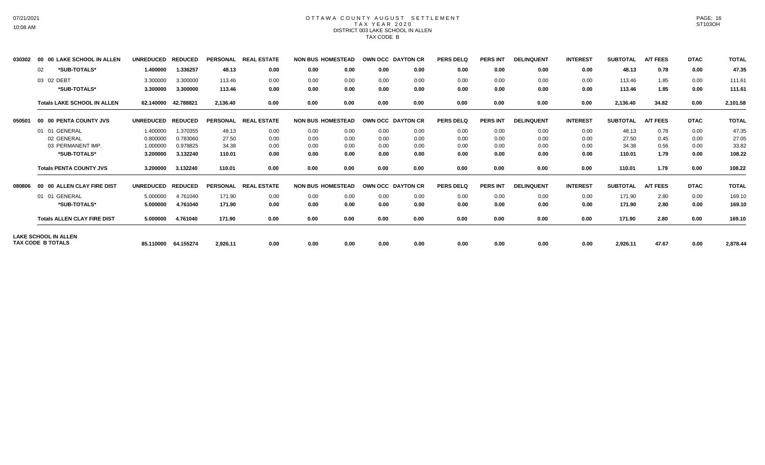# 07/21/2021 10:08 AM

#### OTTAWA COUNTY AUGUST SETTLEMENT T A X Y E A R 2 0 2 0 DISTRICT 003 LAKE SCHOOL IN ALLEN TAX CODE B

| 030302 | <b>00 LAKE SCHOOL IN ALLEN</b><br>00 | <b>UNREDUCED</b> | <b>REDUCED</b> | <b>PERSONAL</b> | <b>REAL ESTATE</b> |      | <b>NON BUS HOMESTEAD</b> | OWN OCC DAYTON CR |      | <b>PERS DELQ</b> | <b>PERS INT</b> | <b>DELINQUENT</b> | <b>INTEREST</b> | <b>SUBTOTAL</b> | <b>A/T FEES</b> | <b>DTAC</b> | <b>TOTAL</b> |
|--------|--------------------------------------|------------------|----------------|-----------------|--------------------|------|--------------------------|-------------------|------|------------------|-----------------|-------------------|-----------------|-----------------|-----------------|-------------|--------------|
|        | *SUB-TOTALS*<br>02                   | 1.400000         | 1.336257       | 48.13           | 0.00               | 0.00 | 0.00                     | 0.00              | 0.00 | 0.00             | 0.00            | 0.00              | 0.00            | 48.13           | 0.78            | 0.00        | 47.35        |
|        | 03 02 DEBT                           | 3.300000         | 3.300000       | 113.46          | 0.00               | 0.00 | 0.00                     | 0.00              | 0.00 | 0.00             | 0.00            | 0.00              | 0.00            | 113.46          | 1.85            | 0.00        | 111.61       |
|        | *SUB-TOTALS*                         | 3.300000         | 3.300000       | 113.46          | 0.00               | 0.00 | 0.00                     | 0.00              | 0.00 | 0.00             | 0.00            | 0.00              | 0.00            | 113.46          | 1.85            | 0.00        | 111.61       |
|        | <b>Totals LAKE SCHOOL IN ALLEN</b>   | 62.140000        | 42.788821      | 2,136.40        | 0.00               | 0.00 | 0.00                     | 0.00              | 0.00 | 0.00             | 0.00            | 0.00              | 0.00            | 2,136.40        | 34.82           | 0.00        | 2,101.58     |
| 050501 | 00 00 PENTA COUNTY JVS               | <b>UNREDUCED</b> | <b>REDUCED</b> | <b>PERSONAL</b> | <b>REAL ESTATE</b> |      | <b>NON BUS HOMESTEAD</b> | OWN OCC DAYTON CR |      | <b>PERS DELQ</b> | <b>PERS INT</b> | <b>DELINQUENT</b> | <b>INTEREST</b> | <b>SUBTOTAL</b> | <b>A/T FEES</b> | <b>DTAC</b> | <b>TOTAL</b> |
|        | 01 01 GENERAL                        | 1.400000         | 1.370355       | 48.13           | 0.00               | 0.00 | 0.00                     | 0.00              | 0.00 | 0.00             | 0.00            | 0.00              | 0.00            | 48.13           | 0.78            | 0.00        | 47.35        |
|        | 02 GENERAL                           | 0.800000         | 0.783060       | 27.50           | 0.00               | 0.00 | 0.00                     | 0.00              | 0.00 | 0.00             | 0.00            | 0.00              | 0.00            | 27.50           | 0.45            | 0.00        | 27.05        |
|        | 03 PERMANENT IMP.                    | 1.000000         | 0.978825       | 34.38           | 0.00               | 0.00 | 0.00                     | 0.00              | 0.00 | 0.00             | 0.00            | 0.00              | 0.00            | 34.38           | 0.56            | 0.00        | 33.82        |
|        | *SUB-TOTALS*                         | 3.200000         | 3.132240       | 110.01          | 0.00               | 0.00 | 0.00                     | 0.00              | 0.00 | 0.00             | 0.00            | 0.00              | 0.00            | 110.01          | 1.79            | 0.00        | 108.22       |
|        | <b>Totals PENTA COUNTY JVS</b>       | 3.200000         | 3.132240       | 110.01          | 0.00               | 0.00 | 0.00                     | 0.00              | 0.00 | 0.00             | 0.00            | 0.00              | 0.00            | 110.01          | 1.79            | 0.00        | 108.22       |
| 080806 | 00 00 ALLEN CLAY FIRE DIST           | <b>UNREDUCED</b> | <b>REDUCED</b> | <b>PERSONAL</b> | <b>REAL ESTATE</b> |      | <b>NON BUS HOMESTEAD</b> | OWN OCC DAYTON CR |      | <b>PERS DELQ</b> | <b>PERS INT</b> | <b>DELINQUENT</b> | <b>INTEREST</b> | <b>SUBTOTAL</b> | <b>A/T FEES</b> | <b>DTAC</b> | <b>TOTAL</b> |
|        | 01 01 GENERAL                        | 5.000000         | 4.761040       | 171.90          | 0.00               | 0.00 | 0.00                     | 0.00              | 0.00 | 0.00             | 0.00            | 0.00              | 0.00            | 171.90          | 2.80            | 0.00        | 169.10       |
|        | *SUB-TOTALS*                         | 5.000000         | 4.761040       | 171.90          | 0.00               | 0.00 | 0.00                     | 0.00              | 0.00 | 0.00             | 0.00            | 0.00              | 0.00            | 171.90          | 2.80            | 0.00        | 169.10       |
|        | <b>Totals ALLEN CLAY FIRE DIST</b>   | 5.000000         | 4.761040       | 171.90          | 0.00               | 0.00 | 0.00                     | 0.00              | 0.00 | 0.00             | 0.00            | 0.00              | 0.00            | 171.90          | 2.80            | 0.00        | 169.10       |
|        | <b>LAKE SCHOOL IN ALLEN</b>          |                  |                |                 |                    |      |                          |                   |      |                  |                 |                   |                 |                 |                 |             |              |
|        | TAX CODE B TOTALS                    | 85.110000        | 64.155274      | 2,926.11        | 0.00               | 0.00 | 0.00                     | 0.00              | 0.00 | 0.00             | 0.00            | 0.00              | 0.00            | 2,926.11        | 47.67           | 0.00        | 2,878.44     |

PAGE: 16 ST103OH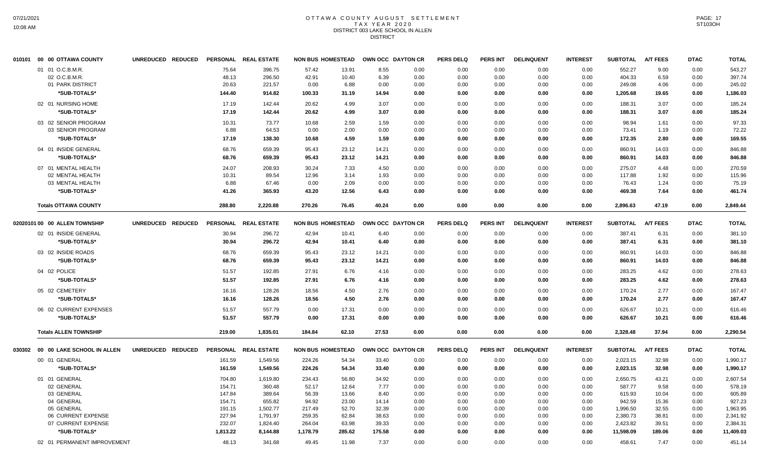### OTTAWA COUNTY AUGUST SETTLEMENT T A X Y E A R 2 0 2 0 DISTRICT 003 LAKE SCHOOL IN ALLEN DISTRICT

| 010101 00 00 OTTAWA COUNTY        | UNREDUCED REDUCED |          | PERSONAL REAL ESTATE | <b>NON BUS HOMESTEAD</b> |        | <b>OWN OCC DAYTON CR</b> |      | <b>PERS DELQ</b> | <b>PERS INT</b> | <b>DELINQUENT</b> | <b>INTEREST</b> | <b>SUBTOTAL</b> | <b>A/T FEES</b> | <b>DTAC</b> | <b>TOTAL</b> |
|-----------------------------------|-------------------|----------|----------------------|--------------------------|--------|--------------------------|------|------------------|-----------------|-------------------|-----------------|-----------------|-----------------|-------------|--------------|
| 01 01 O.C.B.M.R.                  |                   | 75.64    | 396.75               | 57.42                    | 13.91  | 8.55                     | 0.00 | 0.00             | 0.00            | 0.00              | 0.00            | 552.27          | 9.00            | 0.00        | 543.27       |
| 02 O.C.B.M.R.                     |                   | 48.13    | 296.50               | 42.91                    | 10.40  | 6.39                     | 0.00 | 0.00             | 0.00            | 0.00              | 0.00            | 404.33          | 6.59            | 0.00        | 397.74       |
| 01 PARK DISTRICT                  |                   | 20.63    | 221.57               | 0.00                     | 6.88   | 0.00                     | 0.00 | 0.00             | 0.00            | 0.00              | 0.00            | 249.08          | 4.06            | 0.00        | 245.02       |
| *SUB-TOTALS*                      |                   | 144.40   | 914.82               | 100.33                   | 31.19  | 14.94                    | 0.00 | 0.00             | 0.00            | 0.00              | 0.00            | 1,205.68        | 19.65           | 0.00        | 1,186.03     |
| 02 01 NURSING HOME                |                   | 17.19    | 142.44               | 20.62                    | 4.99   | 3.07                     | 0.00 | 0.00             | 0.00            | 0.00              | 0.00            | 188.31          | 3.07            | 0.00        | 185.24       |
| *SUB-TOTALS*                      |                   | 17.19    | 142.44               | 20.62                    | 4.99   | 3.07                     | 0.00 | 0.00             | 0.00            | 0.00              | 0.00            | 188.31          | 3.07            | 0.00        | 185.24       |
| 03 02 SENIOR PROGRAM              |                   | 10.31    | 73.77                | 10.68                    | 2.59   | 1.59                     | 0.00 | 0.00             | 0.00            | 0.00              | 0.00            | 98.94           | 1.61            | 0.00        | 97.33        |
| 03 SENIOR PROGRAM                 |                   | 6.88     | 64.53                | 0.00                     | 2.00   | 0.00                     | 0.00 | 0.00             | 0.00            | 0.00              | 0.00            | 73.41           | 1.19            | 0.00        | 72.22        |
| *SUB-TOTALS*                      |                   | 17.19    | 138.30               | 10.68                    | 4.59   | 1.59                     | 0.00 | 0.00             | 0.00            | 0.00              | 0.00            | 172.35          | 2.80            | 0.00        | 169.55       |
| 04 01 INSIDE GENERAL              |                   | 68.76    | 659.39               | 95.43                    | 23.12  | 14.21                    | 0.00 | 0.00             | 0.00            | 0.00              | 0.00            | 860.91          | 14.03           | 0.00        | 846.88       |
| *SUB-TOTALS*                      |                   | 68.76    | 659.39               | 95.43                    | 23.12  | 14.21                    | 0.00 | 0.00             | 0.00            | 0.00              | 0.00            | 860.91          | 14.03           | 0.00        | 846.88       |
| 07 01 MENTAL HEALTH               |                   | 24.07    | 208.93               | 30.24                    | 7.33   | 4.50                     | 0.00 | 0.00             | 0.00            | 0.00              | 0.00            | 275.07          | 4.48            | 0.00        | 270.59       |
| 02 MENTAL HEALTH                  |                   | 10.31    | 89.54                | 12.96                    | 3.14   | 1.93                     | 0.00 | 0.00             | 0.00            | 0.00              | 0.00            | 117.88          | 1.92            | 0.00        | 115.96       |
| 03 MENTAL HEALTH                  |                   | 6.88     | 67.46                | 0.00                     | 2.09   | 0.00                     | 0.00 | 0.00             | 0.00            | 0.00              | 0.00            | 76.43           | 1.24            | 0.00        | 75.19        |
| *SUB-TOTALS*                      |                   | 41.26    | 365.93               | 43.20                    | 12.56  | 6.43                     | 0.00 | 0.00             | 0.00            | 0.00              | 0.00            | 469.38          | 7.64            | 0.00        | 461.74       |
| <b>Totals OTTAWA COUNTY</b>       |                   | 288.80   | 2,220.88             | 270.26                   | 76.45  | 40.24                    | 0.00 | 0.00             | 0.00            | 0.00              | 0.00            | 2,896.63        | 47.19           | 0.00        | 2,849.44     |
| 02020101 00 00 ALLEN TOWNSHIP     | UNREDUCED REDUCED |          | PERSONAL REAL ESTATE | <b>NON BUS HOMESTEAD</b> |        | OWN OCC DAYTON CR        |      | <b>PERS DELQ</b> | <b>PERS INT</b> | <b>DELINQUENT</b> | <b>INTEREST</b> | <b>SUBTOTAL</b> | <b>A/T FEES</b> | <b>DTAC</b> | <b>TOTAL</b> |
| 02 01 INSIDE GENERAL              |                   | 30.94    | 296.72               | 42.94                    | 10.41  | 6.40                     | 0.00 | 0.00             | 0.00            | 0.00              | 0.00            | 387.41          | 6.31            | 0.00        | 381.10       |
| *SUB-TOTALS*                      |                   | 30.94    | 296.72               | 42.94                    | 10.41  | 6.40                     | 0.00 | 0.00             | 0.00            | 0.00              | 0.00            | 387.41          | 6.31            | 0.00        | 381.10       |
| 03 02 INSIDE ROADS                |                   | 68.76    | 659.39               | 95.43                    | 23.12  | 14.21                    | 0.00 | 0.00             | 0.00            | 0.00              | 0.00            | 860.91          | 14.03           | 0.00        | 846.88       |
| *SUB-TOTALS*                      |                   | 68.76    | 659.39               | 95.43                    | 23.12  | 14.21                    | 0.00 | 0.00             | 0.00            | 0.00              | 0.00            | 860.91          | 14.03           | 0.00        | 846.88       |
| 04 02 POLICE                      |                   | 51.57    | 192.85               | 27.91                    | 6.76   | 4.16                     | 0.00 | 0.00             | 0.00            | 0.00              | 0.00            | 283.25          | 4.62            | 0.00        | 278.63       |
| *SUB-TOTALS*                      |                   | 51.57    | 192.85               | 27.91                    | 6.76   | 4.16                     | 0.00 | 0.00             | 0.00            | 0.00              | 0.00            | 283.25          | 4.62            | 0.00        | 278.63       |
| 05 02 CEMETERY                    |                   | 16.16    | 128.26               | 18.56                    | 4.50   | 2.76                     | 0.00 | 0.00             | 0.00            | 0.00              | 0.00            | 170.24          | 2.77            | 0.00        | 167.47       |
| *SUB-TOTALS*                      |                   | 16.16    | 128.26               | 18.56                    | 4.50   | 2.76                     | 0.00 | 0.00             | 0.00            | 0.00              | 0.00            | 170.24          | 2.77            | 0.00        | 167.47       |
| 06 02 CURRENT EXPENSES            |                   | 51.57    | 557.79               | 0.00                     | 17.31  | 0.00                     | 0.00 | 0.00             | 0.00            | 0.00              | 0.00            | 626.67          | 10.21           | 0.00        | 616.46       |
| *SUB-TOTALS*                      |                   | 51.57    | 557.79               | 0.00                     | 17.31  | 0.00                     | 0.00 | 0.00             | 0.00            | 0.00              | 0.00            | 626.67          | 10.21           | 0.00        | 616.46       |
| <b>Totals ALLEN TOWNSHIP</b>      |                   | 219.00   | 1,835.01             | 184.84                   | 62.10  | 27.53                    | 0.00 | 0.00             | 0.00            | 0.00              | 0.00            | 2,328.48        | 37.94           | 0.00        | 2,290.54     |
|                                   |                   |          |                      |                          |        |                          |      |                  |                 |                   |                 |                 |                 |             |              |
| 030302 00 00 LAKE SCHOOL IN ALLEN | UNREDUCED REDUCED |          | PERSONAL REAL ESTATE | <b>NON BUS HOMESTEAD</b> |        | OWN OCC DAYTON CR        |      | <b>PERS DELQ</b> | <b>PERS INT</b> | <b>DELINQUENT</b> | <b>INTEREST</b> | <b>SUBTOTAL</b> | <b>A/T FEES</b> | <b>DTAC</b> | <b>TOTAL</b> |
| 00 01 GENERAL                     |                   | 161.59   | 1,549.56             | 224.26                   | 54.34  | 33.40                    | 0.00 | 0.00             | 0.00            | 0.00              | 0.00            | 2,023.15        | 32.98           | 0.00        | 1,990.17     |
| *SUB-TOTALS*                      |                   | 161.59   | 1,549.56             | 224.26                   | 54.34  | 33.40                    | 0.00 | 0.00             | 0.00            | 0.00              | 0.00            | 2,023.15        | 32.98           | 0.00        | 1,990.17     |
| 01 01 GENERAL                     |                   | 704.80   | 1,619.80             | 234.43                   | 56.80  | 34.92                    | 0.00 | 0.00             | 0.00            | 0.00              | 0.00            | 2,650.75        | 43.21           | 0.00        | 2,607.54     |
| 02 GENERAL                        |                   | 154.71   | 360.48               | 52.17                    | 12.64  | 7.77                     | 0.00 | 0.00             | 0.00            | 0.00              | 0.00            | 587.77          | 9.58            | 0.00        | 578.19       |
| 03 GENERAL                        |                   | 147.84   | 389.64               | 56.39                    | 13.66  | 8.40                     | 0.00 | 0.00             | 0.00            | 0.00              | 0.00            | 615.93          | 10.04           | 0.00        | 605.89       |
| 04 GENERAL                        |                   | 154.71   | 655.82               | 94.92                    | 23.00  | 14.14                    | 0.00 | 0.00             | 0.00            | 0.00              | 0.00            | 942.59          | 15.36           | 0.00        | 927.23       |
| 05 GENERAL                        |                   | 191.15   | 1,502.77             | 217.49                   | 52.70  | 32.39                    | 0.00 | 0.00             | 0.00            | 0.00              | 0.00            | 1,996.50        | 32.55           | 0.00        | 1,963.95     |
| 06 CURRENT EXPENSE                |                   | 227.94   | 1,791.97             | 259.35                   | 62.84  | 38.63                    | 0.00 | 0.00             | 0.00            | 0.00              | 0.00            | 2,380.73        | 38.81           | 0.00        | 2,341.92     |
| 07 CURRENT EXPENSE                |                   | 232.07   | 1,824.40             | 264.04                   | 63.98  | 39.33                    | 0.00 | 0.00             | 0.00            | 0.00              | 0.00            | 2,423.82        | 39.51           | 0.00        | 2,384.31     |
| *SUB-TOTALS*                      |                   | 1,813.22 | 8,144.88             | 1,178.79                 | 285.62 | 175.58                   | 0.00 | 0.00             | 0.00            | 0.00              | 0.00            | 11,598.09       | 189.06          | 0.00        | 11,409.03    |
| 02 01 PERMANENT IMPROVEMENT       |                   | 48.13    | 341.68               | 49.45                    | 11.98  | 7.37                     | 0.00 | 0.00             | 0.00            | 0.00              | 0.00            | 458.61          | 7.47            | 0.00        | 451.14       |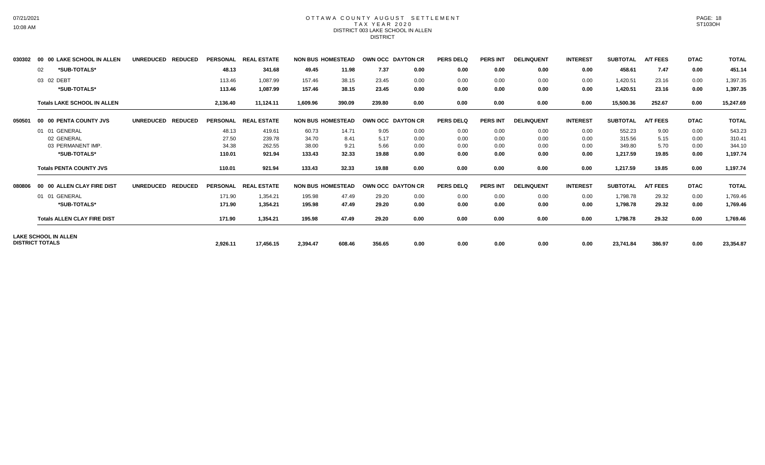# 07/21/2021 10:08 AM

#### OTTAWA COUNTY AUGUST SETTLEMENT T A X Y E A R 2 0 2 0 DISTRICT 003 LAKE SCHOOL IN ALLEN DISTRICT

| 030302 | 00 00 LAKE SCHOOL IN ALLEN                            | UNREDUCED REDUCED                  |                 | PERSONAL REAL ESTATE | <b>NON BUS HOMESTEAD</b> |        | OWN OCC DAYTON CR |      | <b>PERS DELQ</b> | <b>PERS INT</b> | <b>DELINQUENT</b> | <b>INTEREST</b> | <b>SUBTOTAL</b> | <b>A/T FEES</b> | <b>DTAC</b> | <b>TOTAL</b> |
|--------|-------------------------------------------------------|------------------------------------|-----------------|----------------------|--------------------------|--------|-------------------|------|------------------|-----------------|-------------------|-----------------|-----------------|-----------------|-------------|--------------|
|        | *SUB-TOTALS*<br>02                                    |                                    | 48.13           | 341.68               | 49.45                    | 11.98  | 7.37              | 0.00 | 0.00             | 0.00            | 0.00              | 0.00            | 458.61          | 7.47            | 0.00        | 451.14       |
|        | 03 02 DEBT                                            |                                    | 113.46          | 1,087.99             | 157.46                   | 38.15  | 23.45             | 0.00 | 0.00             | 0.00            | 0.00              | 0.00            | 1,420.51        | 23.16           | 0.00        | 1,397.35     |
|        | *SUB-TOTALS*                                          |                                    | 113.46          | 1,087.99             | 157.46                   | 38.15  | 23.45             | 0.00 | 0.00             | 0.00            | 0.00              | 0.00            | 1,420.51        | 23.16           | 0.00        | 1,397.35     |
|        | <b>Totals LAKE SCHOOL IN ALLEN</b>                    |                                    | 2,136.40        | 11,124.11            | 1,609.96                 | 390.09 | 239.80            | 0.00 | 0.00             | 0.00            | 0.00              | 0.00            | 15,500.36       | 252.67          | 0.00        | 15,247.69    |
| 050501 | 00 00 PENTA COUNTY JVS                                | <b>REDUCED</b><br><b>UNREDUCED</b> |                 | PERSONAL REAL ESTATE | <b>NON BUS HOMESTEAD</b> |        | OWN OCC DAYTON CR |      | <b>PERS DELQ</b> | <b>PERS INT</b> | <b>DELINQUENT</b> | <b>INTEREST</b> | <b>SUBTOTAL</b> | <b>A/T FEES</b> | <b>DTAC</b> | <b>TOTAL</b> |
|        | 01 01 GENERAL                                         |                                    | 48.13           | 419.61               | 60.73                    | 14.71  | 9.05              | 0.00 | 0.00             | 0.00            | 0.00              | 0.00            | 552.23          | 9.00            | 0.00        | 543.23       |
|        | 02 GENERAL                                            |                                    | 27.50           | 239.78               | 34.70                    | 8.41   | 5.17              | 0.00 | 0.00             | 0.00            | 0.00              | 0.00            | 315.56          | 5.15            | 0.00        | 310.41       |
|        | 03 PERMANENT IMP.                                     |                                    | 34.38           | 262.55               | 38.00                    | 9.21   | 5.66              | 0.00 | 0.00             | 0.00            | 0.00              | 0.00            | 349.80          | 5.70            | 0.00        | 344.10       |
|        | *SUB-TOTALS*                                          |                                    | 110.01          | 921.94               | 133.43                   | 32.33  | 19.88             | 0.00 | 0.00             | 0.00            | 0.00              | 0.00            | 1,217.59        | 19.85           | 0.00        | 1,197.74     |
|        | <b>Totals PENTA COUNTY JVS</b>                        |                                    | 110.01          | 921.94               | 133.43                   | 32.33  | 19.88             | 0.00 | 0.00             | 0.00            | 0.00              | 0.00            | 1,217.59        | 19.85           | 0.00        | 1,197.74     |
| 080806 | 00 00 ALLEN CLAY FIRE DIST                            | <b>UNREDUCED</b><br><b>REDUCED</b> | <b>PERSONAL</b> | <b>REAL ESTATE</b>   | <b>NON BUS HOMESTEAD</b> |        | OWN OCC DAYTON CR |      | <b>PERS DELO</b> | <b>PERS INT</b> | <b>DELINQUENT</b> | <b>INTEREST</b> | <b>SUBTOTAL</b> | <b>A/T FEES</b> | <b>DTAC</b> | <b>TOTAL</b> |
|        | 01 01 GENERAL                                         |                                    | 171.90          | 1,354.21             | 195.98                   | 47.49  | 29.20             | 0.00 | 0.00             | 0.00            | 0.00              | 0.00            | 1,798.78        | 29.32           | 0.00        | 1,769.46     |
|        | *SUB-TOTALS*                                          |                                    | 171.90          | 1,354.21             | 195.98                   | 47.49  | 29.20             | 0.00 | 0.00             | 0.00            | 0.00              | 0.00            | 1,798.78        | 29.32           | 0.00        | 1,769.46     |
|        | <b>Totals ALLEN CLAY FIRE DIST</b>                    |                                    | 171.90          | 1,354.21             | 195.98                   | 47.49  | 29.20             | 0.00 | 0.00             | 0.00            | 0.00              | 0.00            | 1,798.78        | 29.32           | 0.00        | 1,769.46     |
|        | <b>LAKE SCHOOL IN ALLEN</b><br><b>DISTRICT TOTALS</b> |                                    |                 |                      |                          |        |                   | 0.00 |                  |                 |                   |                 |                 |                 |             |              |
|        |                                                       |                                    | 2,926.11        | 17,456.15            | 2,394.47                 | 608.46 | 356.65            |      | 0.00             | 0.00            | 0.00              | 0.00            | 23,741.84       | 386.97          | 0.00        | 23,354.87    |

PAGE: 18 ST103OH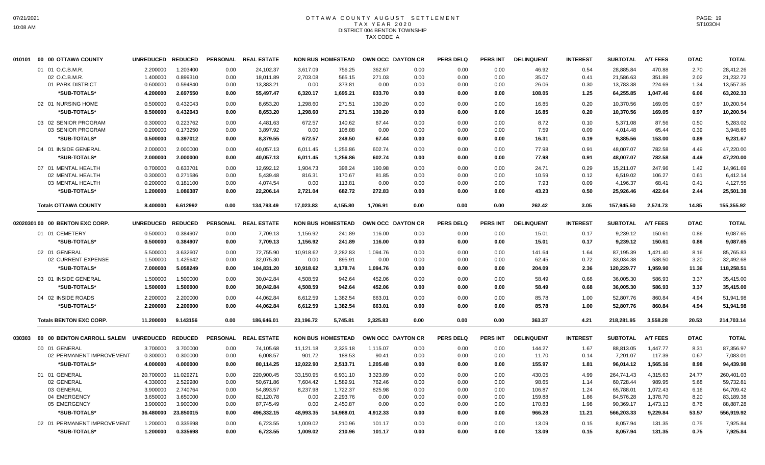## OTTAWA COUNTY AUGUST SETTLEMENT T A X Y E A R 2 0 2 0 DISTRICT 004 BENTON TOWNSHIP TAX CODE A

|        | 010101 00 00 OTTAWA COUNTY      | UNREDUCED REDUCED |                |                 | PERSONAL REAL ESTATE |           | <b>NON BUS HOMESTEAD</b> | OWN OCC DAYTON CR |      | <b>PERS DELQ</b> | <b>PERS INT</b> | <b>DELINQUENT</b> | <b>INTEREST</b> | <b>SUBTOTAL</b> | <b>A/T FEES</b> | <b>DTAC</b> | <b>TOTAL</b> |
|--------|---------------------------------|-------------------|----------------|-----------------|----------------------|-----------|--------------------------|-------------------|------|------------------|-----------------|-------------------|-----------------|-----------------|-----------------|-------------|--------------|
|        | 01 01 O.C.B.M.R.                | 2.200000          | 1.203400       | 0.00            | 24.102.37            | 3.617.09  | 756.25                   | 362.67            | 0.00 | 0.00             | 0.00            | 46.92             | 0.54            | 28.885.84       | 470.88          | 2.70        | 28,412.26    |
|        | 02 O.C.B.M.R.                   | 1.400000          | 0.899310       | 0.00            | 18,011.89            | 2,703.08  | 565.15                   | 271.03            | 0.00 | 0.00             | 0.00            | 35.07             | 0.41            | 21,586.63       | 351.89          | 2.02        | 21,232.72    |
|        | 01 PARK DISTRICT                | 0.600000          | 0.594840       | 0.00            | 13,383.21            | 0.00      | 373.81                   | 0.00              | 0.00 | 0.00             | 0.00            | 26.06             | 0.30            | 13,783.38       | 224.69          | 1.34        | 13,557.35    |
|        | *SUB-TOTALS*                    | 4.200000          | 2.697550       | 0.00            | 55,497.47            | 6,320.17  | 1,695.21                 | 633.70            | 0.00 | 0.00             | 0.00            | 108.05            | 1.25            | 64,255.85       | 1,047.46        | 6.06        | 63,202.33    |
|        | 02 01 NURSING HOME              | 0.500000          | 0.432043       | 0.00            | 8.653.20             | 1.298.60  | 271.51                   | 130.20            | 0.00 | 0.00             | 0.00            | 16.85             | 0.20            | 10,370.56       | 169.05          | 0.97        | 10.200.54    |
|        | *SUB-TOTALS*                    | 0.500000          | 0.432043       | 0.00            | 8,653.20             | 1,298.60  | 271.51                   | 130.20            | 0.00 | 0.00             | 0.00            | 16.85             | 0.20            | 10,370.56       | 169.05          | 0.97        | 10,200.54    |
|        | 03 02 SENIOR PROGRAM            | 0.300000          | 0.223762       | 0.00            | 4,481.63             | 672.57    | 140.62                   | 67.44             | 0.00 | 0.00             | 0.00            | 8.72              | 0.10            | 5,371.08        | 87.56           | 0.50        | 5,283.02     |
|        | 03 SENIOR PROGRAM               | 0.200000          | 0.173250       | 0.00            | 3,897.92             | 0.00      | 108.88                   | 0.00              | 0.00 | 0.00             | 0.00            | 7.59              | 0.09            | 4,014.48        | 65.44           | 0.39        | 3,948.65     |
|        | *SUB-TOTALS*                    | 0.500000          | 0.397012       | 0.00            | 8,379.55             | 672.57    | 249.50                   | 67.44             | 0.00 | 0.00             | 0.00            | 16.31             | 0.19            | 9,385.56        | 153.00          | 0.89        | 9,231.67     |
|        | 04 01 INSIDE GENERAL            | 2.000000          | 2.000000       | 0.00            | 40,057.13            | 6,011.45  | 1,256.86                 | 602.74            | 0.00 | 0.00             | 0.00            | 77.98             | 0.91            | 48,007.07       | 782.58          | 4.49        | 47,220.00    |
|        | *SUB-TOTALS*                    | 2.000000          | 2.000000       | 0.00            | 40,057.13            | 6,011.45  | 1,256.86                 | 602.74            | 0.00 | 0.00             | 0.00            | 77.98             | 0.91            | 48,007.07       | 782.58          | 4.49        | 47,220.00    |
|        | 07 01 MENTAL HEALTH             | 0.700000          | 0.633701       | 0.00            | 12,692.12            | 1,904.73  | 398.24                   | 190.98            | 0.00 | 0.00             | 0.00            | 24.71             | 0.29            | 15,211.07       | 247.96          | 1.42        | 14,961.69    |
|        | 02 MENTAL HEALTH                | 0.300000          | 0.271586       | 0.00            | 5,439.48             | 816.31    | 170.67                   | 81.85             | 0.00 | 0.00             | 0.00            | 10.59             | 0.12            | 6.519.02        | 106.27          | 0.61        | 6.412.14     |
|        | 03 MENTAL HEALTH                | 0.200000          | 0.181100       | 0.00            | 4,074.54             | 0.00      | 113.81                   | 0.00              | 0.00 | 0.00             | 0.00            | 7.93              | 0.09            | 4,196.37        | 68.41           | 0.41        | 4,127.55     |
|        | *SUB-TOTALS*                    | 1.200000          | 1.086387       | 0.00            | 22,206.14            | 2,721.04  | 682.72                   | 272.83            | 0.00 | 0.00             | 0.00            | 43.23             | 0.50            | 25,926.46       | 422.64          | 2.44        | 25,501.38    |
|        | <b>Totals OTTAWA COUNTY</b>     | 8.400000          | 6.612992       | 0.00            | 134,793.49           | 17,023.83 | 4,155.80                 | 1,706.91          | 0.00 | 0.00             | 0.00            | 262.42            | 3.05            | 157,945.50      | 2,574.73        | 14.85       | 155,355.92   |
|        | 02020301 00 00 BENTON EXC CORP. | <b>UNREDUCED</b>  | <b>REDUCED</b> | <b>PERSONAL</b> | <b>REAL ESTATE</b>   |           | <b>NON BUS HOMESTEAD</b> | OWN OCC DAYTON CR |      | <b>PERS DELQ</b> | <b>PERS INT</b> | <b>DELINQUENT</b> | <b>INTEREST</b> | <b>SUBTOTAL</b> | <b>A/T FEES</b> | <b>DTAC</b> | <b>TOTAL</b> |
|        | 01 01 CEMETERY                  | 0.500000          | 0.384907       | 0.00            | 7,709.13             | 1,156.92  | 241.89                   | 116.00            | 0.00 | 0.00             | 0.00            | 15.01             | 0.17            | 9,239.12        | 150.61          | 0.86        | 9,087.65     |
|        | *SUB-TOTALS*                    | 0.500000          | 0.384907       | 0.00            | 7,709.13             | 1,156.92  | 241.89                   | 116.00            | 0.00 | 0.00             | 0.00            | 15.01             | 0.17            | 9,239.12        | 150.61          | 0.86        | 9,087.65     |
|        | 02 01 GENERAL                   | 5.500000          | 3.632607       | 0.00            | 72,755.90            | 10,918.62 | 2.282.83                 | 1,094.76          | 0.00 | 0.00             | 0.00            | 141.64            | 1.64            | 87,195.39       | 1,421.40        | 8.16        | 85,765.83    |
|        | 02 CURRENT EXPENSE              | 1.500000          | 1.425642       | 0.00            | 32,075.30            | 0.00      | 895.91                   | 0.00              | 0.00 | 0.00             | 0.00            | 62.45             | 0.72            | 33,034.38       | 538.50          | 3.20        | 32,492.68    |
|        | *SUB-TOTALS*                    | 7.000000          | 5.058249       | 0.00            | 104,831.20           | 10,918.62 | 3,178.74                 | 1,094.76          | 0.00 | 0.00             | 0.00            | 204.09            | 2.36            | 120,229.77      | 1.959.90        | 11.36       | 118,258.51   |
|        | 03 01 INSIDE GENERAL            | 1.500000          | 1.500000       | 0.00            | 30,042.84            | 4,508.59  | 942.64                   | 452.06            | 0.00 | 0.00             | 0.00            | 58.49             | 0.68            | 36,005.30       | 586.93          | 3.37        | 35,415.00    |
|        | *SUB-TOTALS*                    | 1.500000          | 1.500000       | 0.00            | 30,042.84            | 4,508.59  | 942.64                   | 452.06            | 0.00 | 0.00             | 0.00            | 58.49             | 0.68            | 36,005.30       | 586.93          | 3.37        | 35,415.00    |
|        | 04 02 INSIDE ROADS              | 2.200000          | 2.200000       | 0.00            | 44,062.84            | 6,612.59  | 1,382.54                 | 663.01            | 0.00 | 0.00             | 0.00            | 85.78             | 1.00            | 52,807.76       | 860.84          | 4.94        | 51,941.98    |
|        | *SUB-TOTALS*                    | 2.200000          | 2.200000       | 0.00            | 44,062.84            | 6,612.59  | 1,382.54                 | 663.01            | 0.00 | 0.00             | 0.00            | 85.78             | 1.00            | 52,807.76       | 860.84          | 4.94        | 51,941.98    |
|        | <b>Totals BENTON EXC CORP.</b>  | 11.200000         | 9.143156       | 0.00            | 186,646.01           | 23,196.72 | 5,745.81                 | 2,325.83          | 0.00 | 0.00             | 0.00            | 363.37            | 4.21            | 218,281.95      | 3,558.28        | 20.53       | 214,703.14   |
| 030303 | 00 00 BENTON CARROLL SALEM      | UNREDUCED REDUCED |                |                 | PERSONAL REAL ESTATE |           | <b>NON BUS HOMESTEAD</b> | OWN OCC DAYTON CR |      | <b>PERS DELQ</b> | PERS INT        | <b>DELINQUENT</b> | <b>INTEREST</b> | <b>SUBTOTAL</b> | <b>A/T FEES</b> | <b>DTAC</b> | <b>TOTAL</b> |
|        | 00 01 GENERAL                   | 3.700000          | 3.700000       | 0.00            | 74,105.68            | 11,121.18 | 2,325.18                 | 1,115.07          | 0.00 | 0.00             | 0.00            | 144.27            | 1.67            | 88,813.05       | 1,447.77        | 8.31        | 87,356.97    |
|        | 02 PERMANENT IMPROVEMENT        | 0.300000          | 0.300000       | 0.00            | 6,008.57             | 901.72    | 188.53                   | 90.41             | 0.00 | 0.00             | 0.00            | 11.70             | 0.14            | 7,201.07        | 117.39          | 0.67        | 7,083.01     |
|        | *SUB-TOTALS*                    | 4.000000          | 4.000000       | 0.00            | 80,114.25            | 12,022.90 | 2,513.71                 | 1,205.48          | 0.00 | 0.00             | 0.00            | 155.97            | 1.81            | 96,014.12       | 1,565.16        | 8.98        | 94,439.98    |
|        | 01 01 GENERAL                   | 20.700000         | 11.029271      | 0.00            | 220,900.45           | 33,150.95 | 6,931.10                 | 3,323.89          | 0.00 | 0.00             | 0.00            | 430.05            | 4.99            | 264,741.43      | 4,315.63        | 24.77       | 260,401.03   |
|        | 02 GENERAL                      | 4.330000          | 2.529980       | 0.00            | 50,671.86            | 7,604.42  | 1,589.91                 | 762.46            | 0.00 | 0.00             | 0.00            | 98.65             | 1.14            | 60,728.44       | 989.95          | 5.68        | 59,732.81    |
|        | 03 GENERAL                      | 3.900000          | 2.740764       | 0.00            | 54,893.57            | 8,237.98  | 1,722.37                 | 825.98            | 0.00 | 0.00             | 0.00            | 106.87            | 1.24            | 65,788.01       | 1.072.43        | 6.16        | 64,709.42    |
|        | 04 EMERGENCY                    | 3.650000          | 3.650000       | 0.00            | 82,120.78            | 0.00      | 2,293.76                 | 0.00              | 0.00 | 0.00             | 0.00            | 159.88            | 1.86            | 84,576.28       | 1,378.70        | 8.20        | 83,189.38    |
|        | 05 EMERGENCY                    | 3.900000          | 3.900000       | 0.00            | 87,745.49            | 0.00      | 2,450.87                 | 0.00              | 0.00 | 0.00             | 0.00            | 170.83            | 1.98            | 90,369.17       | 1,473.13        | 8.76        | 88,887.28    |
|        | *SUB-TOTALS*                    | 36.480000         | 23.850015      | 0.00            | 496,332.15           | 48,993.35 | 14,988.01                | 4,912.33          | 0.00 | 0.00             | 0.00            | 966.28            | 11.21           | 566,203.33      | 9.229.84        | 53.57       | 556.919.92   |
|        | 02 01 PERMANENT IMPROVEMENT     | 1.200000          | 0.335698       | 0.00            | 6,723.55             | 1,009.02  | 210.96                   | 101.17            | 0.00 | 0.00             | 0.00            | 13.09             | 0.15            | 8,057.94        | 131.35          | 0.75        | 7.925.84     |
|        | *SUB-TOTALS*                    | 1.200000          | 0.335698       | 0.00            | 6,723.55             | 1,009.02  | 210.96                   | 101.17            | 0.00 | 0.00             | 0.00            | 13.09             | 0.15            | 8,057.94        | 131.35          | 0.75        | 7,925.84     |
|        |                                 |                   |                |                 |                      |           |                          |                   |      |                  |                 |                   |                 |                 |                 |             |              |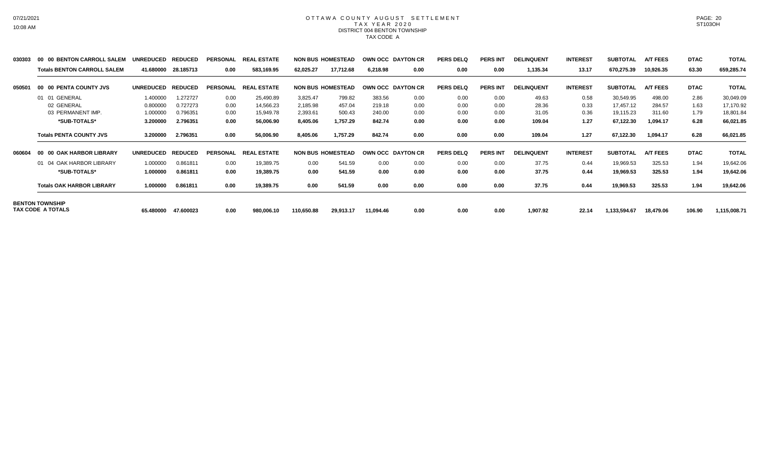#### OTTAWA COUNTY AUGUST SETTLEMENT T A X Y E A R 2 0 2 0 DISTRICT 004 BENTON TOWNSHIP TAX CODE A

| 030303 | 00 00 BENTON CARROLL SALEM         | <b>UNREDUCED</b> | <b>REDUCED</b> | <b>PERSONAL</b> | <b>REAL ESTATE</b>      |           | <b>NON BUS HOMESTEAD</b> |           | OWN OCC DAYTON CR | <b>PERS DELQ</b> | <b>PERS INT</b> | <b>DELINQUENT</b> | <b>INTEREST</b> | <b>SUBTOTAL</b> | <b>A/T FEES</b> | <b>DTAC</b> | <b>TOTAL</b> |
|--------|------------------------------------|------------------|----------------|-----------------|-------------------------|-----------|--------------------------|-----------|-------------------|------------------|-----------------|-------------------|-----------------|-----------------|-----------------|-------------|--------------|
|        | <b>Totals BENTON CARROLL SALEM</b> | 41.680000        | 28.185713      | 0.00            | 583,169.95              | 62,025.27 | 17,712.68                | 6,218.98  | 0.00              | 0.00             | 0.00            | 1,135.34          | 13.17           | 670,275.39      | 10,926.35       | 63.30       | 659,285.74   |
| 050501 | 00 00 PENTA COUNTY JVS             | <b>UNREDUCED</b> | <b>REDUCED</b> | <b>PERSONAL</b> | <b>REAL</b><br>L ESTATE |           | <b>NON BUS HOMESTEAD</b> |           | OWN OCC DAYTON CR | <b>PERS DELQ</b> | <b>PERS INT</b> | <b>DELINQUENT</b> | <b>INTEREST</b> | <b>SUBTOTAL</b> | <b>A/T FEES</b> | <b>DTAC</b> | <b>TOTAL</b> |
|        | 01 01 GENERAL                      | 1.400000         | 1.272727       | 0.00            | 25,490.89               | 3,825.47  | 799.82                   | 383.56    | 0.00              | 0.00             | 0.00            | 49.63             | 0.58            | 30,549.95       | 498.00          | 2.86        | 30,049.09    |
|        | 02 GENERAL                         | 0.800000         | 0.727273       | 0.00            | 14,566.23               | 2,185.98  | 457.04                   | 219.18    | 0.00              | 0.00             | 0.00            | 28.36             | 0.33            | 17,457.12       | 284.57          | 1.63        | 17,170.92    |
|        | 03 PERMANENT IMP.                  | 1.000000         | 0.796351       | 0.00            | 15,949.78               | 2,393.61  | 500.43                   | 240.00    | 0.00              | 0.00             | 0.00            | 31.05             | 0.36            | 19,115.23       | 311.60          | 1.79        | 18,801.84    |
|        | *SUB-TOTALS*                       | 3.200000         | 2.796351       | 0.00            | 56,006.90               | 8,405.06  | 1,757.29                 | 842.74    | 0.00              | 0.00             | 0.00            | 109.04            | 1.27            | 67,122.30       | 1,094.17        | 6.28        | 66,021.85    |
|        | <b>Totals PENTA COUNTY JVS</b>     | 3.200000         | 2.796351       | 0.00            | 56,006.90               | 8,405.06  | 1,757.29                 | 842.74    | 0.00              | 0.00             | 0.00            | 109.04            | 1.27            | 67,122.30       | 1,094.17        | 6.28        | 66,021.85    |
| 060604 | 00 00 OAK HARBOR LIBRARY           | <b>UNREDUCED</b> | <b>REDUCED</b> | <b>PERSONAL</b> | <b>REAL ESTATE</b>      |           | <b>NON BUS HOMESTEAD</b> |           | OWN OCC DAYTON CR | <b>PERS DELQ</b> | <b>PERS INT</b> | <b>DELINQUENT</b> | <b>INTEREST</b> | <b>SUBTOTAL</b> | <b>A/T FEES</b> | <b>DTAC</b> | <b>TOTAL</b> |
|        | 01 04 OAK HARBOR LIBRARY           | 1.000000         | 0.861811       | 0.00            | 19,389.75               | 0.00      | 541.59                   | 0.00      | 0.00              | 0.00             | 0.00            | 37.75             | 0.44            | 19,969.53       | 325.53          | 1.94        | 19,642.06    |
|        | *SUB-TOTALS*                       | 1.000000         | 0.861811       | 0.00            | 19,389.75               | 0.00      | 541.59                   | 0.00      | 0.00              | 0.00             | 0.00            | 37.75             | 0.44            | 19,969.53       | 325.53          | 1.94        | 19,642.06    |
|        | <b>Totals OAK HARBOR LIBRARY</b>   | 1.000000         | 0.861811       | 0.00            | 19,389.75               | 0.00      | 541.59                   | 0.00      | 0.00              | 0.00             | 0.00            | 37.75             | 0.44            | 19,969.53       | 325.53          | 1.94        | 19,642.06    |
|        | <b>BENTON TOWNSHIP</b>             |                  |                |                 |                         |           |                          |           |                   |                  |                 |                   |                 |                 |                 |             |              |
|        | TAX CODE A TOTALS                  | 65.480000        | 47.600023      | 0.00            | 980,006.10              | 10,650.88 | 29,913.17                | 11,094.46 | 0.00              | 0.00             | 0.00            | 1,907.92          | 22.14           | 1,133,594.67    | 18,479.06       | 106.90      | 1,115,008.71 |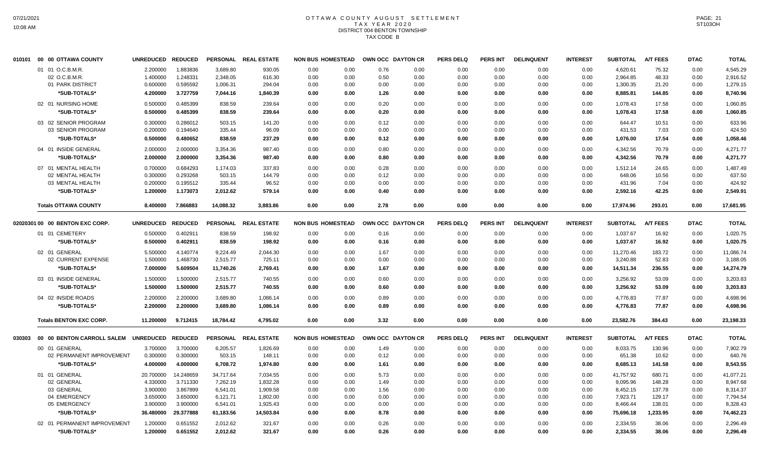## OTTAWA COUNTY AUGUST SETTLEMENT T A X Y E A R 2 0 2 0 DISTRICT 004 BENTON TOWNSHIP TAX CODE B

| 010101 00 00 OTTAWA COUNTY      |                                                                                                                                                                                      |                                                                                                   |                                                                                                                                                                                                                                                                                                                                                                                                                                                                                                                                                                                                                                                    |                                                                                                  |                                                                                                                                                     |                                                                              |                                                                                                                                                                                                                                                                                                                                                                                          |                                                                                              | <b>PERS DELQ</b>                                                                                                                    | PERS INT                                                                                 | <b>DELINQUENT</b>                                                                       | <b>INTEREST</b>                                                                   | <b>SUBTOTAL</b>                                                                                         | <b>A/T FEES</b>                                                                                                                                              | <b>DTAC</b>                                                                                                 | <b>TOTAL</b>                                                                        |
|---------------------------------|--------------------------------------------------------------------------------------------------------------------------------------------------------------------------------------|---------------------------------------------------------------------------------------------------|----------------------------------------------------------------------------------------------------------------------------------------------------------------------------------------------------------------------------------------------------------------------------------------------------------------------------------------------------------------------------------------------------------------------------------------------------------------------------------------------------------------------------------------------------------------------------------------------------------------------------------------------------|--------------------------------------------------------------------------------------------------|-----------------------------------------------------------------------------------------------------------------------------------------------------|------------------------------------------------------------------------------|------------------------------------------------------------------------------------------------------------------------------------------------------------------------------------------------------------------------------------------------------------------------------------------------------------------------------------------------------------------------------------------|----------------------------------------------------------------------------------------------|-------------------------------------------------------------------------------------------------------------------------------------|------------------------------------------------------------------------------------------|-----------------------------------------------------------------------------------------|-----------------------------------------------------------------------------------|---------------------------------------------------------------------------------------------------------|--------------------------------------------------------------------------------------------------------------------------------------------------------------|-------------------------------------------------------------------------------------------------------------|-------------------------------------------------------------------------------------|
| 01 01 O.C.B.M.R.                |                                                                                                                                                                                      | 1.883836                                                                                          | 3.689.80                                                                                                                                                                                                                                                                                                                                                                                                                                                                                                                                                                                                                                           | 930.05                                                                                           | 0.00                                                                                                                                                |                                                                              | 0.76                                                                                                                                                                                                                                                                                                                                                                                     | 0.00                                                                                         | 0.00                                                                                                                                | 0.00                                                                                     | 0.00                                                                                    | 0.00                                                                              | 4.620.61                                                                                                | 75.32                                                                                                                                                        | 0.00                                                                                                        | 4,545.29                                                                            |
| 02 O.C.B.M.R.                   |                                                                                                                                                                                      | 1.248331                                                                                          | 2,348.05                                                                                                                                                                                                                                                                                                                                                                                                                                                                                                                                                                                                                                           | 616.30                                                                                           | 0.00                                                                                                                                                |                                                                              | 0.50                                                                                                                                                                                                                                                                                                                                                                                     | 0.00                                                                                         | 0.00                                                                                                                                | 0.00                                                                                     | 0.00                                                                                    | 0.00                                                                              | 2,964.85                                                                                                | 48.33                                                                                                                                                        | 0.00                                                                                                        | 2,916.52                                                                            |
| 01 PARK DISTRICT                |                                                                                                                                                                                      | 0.595592                                                                                          | 1,006.31                                                                                                                                                                                                                                                                                                                                                                                                                                                                                                                                                                                                                                           | 294.04                                                                                           | 0.00                                                                                                                                                |                                                                              | 0.00                                                                                                                                                                                                                                                                                                                                                                                     | 0.00                                                                                         | 0.00                                                                                                                                | 0.00                                                                                     | 0.00                                                                                    | 0.00                                                                              | 1,300.35                                                                                                | 21.20                                                                                                                                                        | 0.00                                                                                                        | 1,279.15                                                                            |
| *SUB-TOTALS*                    |                                                                                                                                                                                      | 3.727759                                                                                          | 7,044.16                                                                                                                                                                                                                                                                                                                                                                                                                                                                                                                                                                                                                                           | 1,840.39                                                                                         | 0.00                                                                                                                                                |                                                                              | 1.26                                                                                                                                                                                                                                                                                                                                                                                     | 0.00                                                                                         | 0.00                                                                                                                                | 0.00                                                                                     | 0.00                                                                                    | 0.00                                                                              | 8,885.81                                                                                                | 144.85                                                                                                                                                       | 0.00                                                                                                        | 8,740.96                                                                            |
| 02 01 NURSING HOME              |                                                                                                                                                                                      | 0.485399                                                                                          | 838.59                                                                                                                                                                                                                                                                                                                                                                                                                                                                                                                                                                                                                                             | 239.64                                                                                           | 0.00                                                                                                                                                |                                                                              |                                                                                                                                                                                                                                                                                                                                                                                          | 0.00                                                                                         | 0.00                                                                                                                                | 0.00                                                                                     | 0.00                                                                                    |                                                                                   |                                                                                                         | 17.58                                                                                                                                                        | 0.00                                                                                                        | 1,060.85                                                                            |
| *SUB-TOTALS*                    |                                                                                                                                                                                      | 0.485399                                                                                          | 838.59                                                                                                                                                                                                                                                                                                                                                                                                                                                                                                                                                                                                                                             | 239.64                                                                                           | 0.00                                                                                                                                                |                                                                              |                                                                                                                                                                                                                                                                                                                                                                                          | 0.00                                                                                         | 0.00                                                                                                                                | 0.00                                                                                     | 0.00                                                                                    | 0.00                                                                              | 1,078.43                                                                                                | 17.58                                                                                                                                                        | 0.00                                                                                                        | 1,060.85                                                                            |
|                                 |                                                                                                                                                                                      |                                                                                                   |                                                                                                                                                                                                                                                                                                                                                                                                                                                                                                                                                                                                                                                    |                                                                                                  |                                                                                                                                                     |                                                                              |                                                                                                                                                                                                                                                                                                                                                                                          |                                                                                              |                                                                                                                                     |                                                                                          |                                                                                         |                                                                                   |                                                                                                         |                                                                                                                                                              |                                                                                                             |                                                                                     |
|                                 |                                                                                                                                                                                      |                                                                                                   |                                                                                                                                                                                                                                                                                                                                                                                                                                                                                                                                                                                                                                                    |                                                                                                  |                                                                                                                                                     |                                                                              |                                                                                                                                                                                                                                                                                                                                                                                          |                                                                                              |                                                                                                                                     |                                                                                          |                                                                                         |                                                                                   |                                                                                                         |                                                                                                                                                              |                                                                                                             | 633.96                                                                              |
|                                 |                                                                                                                                                                                      |                                                                                                   |                                                                                                                                                                                                                                                                                                                                                                                                                                                                                                                                                                                                                                                    |                                                                                                  |                                                                                                                                                     |                                                                              |                                                                                                                                                                                                                                                                                                                                                                                          |                                                                                              |                                                                                                                                     |                                                                                          |                                                                                         |                                                                                   |                                                                                                         |                                                                                                                                                              |                                                                                                             | 424.50                                                                              |
|                                 |                                                                                                                                                                                      |                                                                                                   |                                                                                                                                                                                                                                                                                                                                                                                                                                                                                                                                                                                                                                                    |                                                                                                  |                                                                                                                                                     |                                                                              |                                                                                                                                                                                                                                                                                                                                                                                          |                                                                                              |                                                                                                                                     |                                                                                          |                                                                                         |                                                                                   |                                                                                                         |                                                                                                                                                              |                                                                                                             | 1,058.46                                                                            |
| 04 01 INSIDE GENERAL            |                                                                                                                                                                                      |                                                                                                   | 3,354.36                                                                                                                                                                                                                                                                                                                                                                                                                                                                                                                                                                                                                                           |                                                                                                  | 0.00                                                                                                                                                |                                                                              | 0.80                                                                                                                                                                                                                                                                                                                                                                                     | 0.00                                                                                         | 0.00                                                                                                                                | 0.00                                                                                     | 0.00                                                                                    | 0.00                                                                              |                                                                                                         | 70.79                                                                                                                                                        | 0.00                                                                                                        | 4,271.77                                                                            |
| *SUB-TOTALS*                    |                                                                                                                                                                                      | 2.000000                                                                                          | 3,354.36                                                                                                                                                                                                                                                                                                                                                                                                                                                                                                                                                                                                                                           | 987.40                                                                                           | 0.00                                                                                                                                                |                                                                              | 0.80                                                                                                                                                                                                                                                                                                                                                                                     | 0.00                                                                                         | 0.00                                                                                                                                | 0.00                                                                                     | 0.00                                                                                    | 0.00                                                                              | 4,342.56                                                                                                | 70.79                                                                                                                                                        | 0.00                                                                                                        | 4,271.77                                                                            |
| 07 01 MENTAL HEALTH             |                                                                                                                                                                                      | 0.684293                                                                                          | 1,174.03                                                                                                                                                                                                                                                                                                                                                                                                                                                                                                                                                                                                                                           | 337.83                                                                                           | 0.00                                                                                                                                                |                                                                              | 0.28                                                                                                                                                                                                                                                                                                                                                                                     | 0.00                                                                                         | 0.00                                                                                                                                | 0.00                                                                                     | 0.00                                                                                    | 0.00                                                                              | 1,512.14                                                                                                | 24.65                                                                                                                                                        | 0.00                                                                                                        | 1,487.49                                                                            |
| 02 MENTAL HEALTH                |                                                                                                                                                                                      | 0.293268                                                                                          | 503.15                                                                                                                                                                                                                                                                                                                                                                                                                                                                                                                                                                                                                                             | 144.79                                                                                           | 0.00                                                                                                                                                |                                                                              | 0.12                                                                                                                                                                                                                                                                                                                                                                                     | 0.00                                                                                         | 0.00                                                                                                                                | 0.00                                                                                     | 0.00                                                                                    | 0.00                                                                              | 648.06                                                                                                  | 10.56                                                                                                                                                        | 0.00                                                                                                        | 637.50                                                                              |
| 03 MENTAL HEALTH                |                                                                                                                                                                                      | 0.195512                                                                                          | 335.44                                                                                                                                                                                                                                                                                                                                                                                                                                                                                                                                                                                                                                             | 96.52                                                                                            | 0.00                                                                                                                                                |                                                                              | 0.00                                                                                                                                                                                                                                                                                                                                                                                     | 0.00                                                                                         | 0.00                                                                                                                                | 0.00                                                                                     | 0.00                                                                                    | 0.00                                                                              | 431.96                                                                                                  | 7.04                                                                                                                                                         | 0.00                                                                                                        | 424.92                                                                              |
| *SUB-TOTALS*                    |                                                                                                                                                                                      | 1.173073                                                                                          | 2,012.62                                                                                                                                                                                                                                                                                                                                                                                                                                                                                                                                                                                                                                           | 579.14                                                                                           | 0.00                                                                                                                                                |                                                                              | 0.40                                                                                                                                                                                                                                                                                                                                                                                     | 0.00                                                                                         | 0.00                                                                                                                                | 0.00                                                                                     | 0.00                                                                                    | 0.00                                                                              | 2,592.16                                                                                                | 42.25                                                                                                                                                        | 0.00                                                                                                        | 2.549.91                                                                            |
| <b>Totals OTTAWA COUNTY</b>     |                                                                                                                                                                                      | 7.866883                                                                                          | 14,088.32                                                                                                                                                                                                                                                                                                                                                                                                                                                                                                                                                                                                                                          | 3,883.86                                                                                         | 0.00                                                                                                                                                |                                                                              | 2.78                                                                                                                                                                                                                                                                                                                                                                                     | 0.00                                                                                         | 0.00                                                                                                                                | 0.00                                                                                     | 0.00                                                                                    | 0.00                                                                              | 17,974.96                                                                                               | 293.01                                                                                                                                                       | 0.00                                                                                                        | 17,681.95                                                                           |
| 02020301 00 00 BENTON EXC CORP. |                                                                                                                                                                                      |                                                                                                   | <b>PERSONAL</b>                                                                                                                                                                                                                                                                                                                                                                                                                                                                                                                                                                                                                                    | <b>REAL ESTATE</b>                                                                               |                                                                                                                                                     |                                                                              |                                                                                                                                                                                                                                                                                                                                                                                          |                                                                                              | <b>PERS DELQ</b>                                                                                                                    | <b>PERS INT</b>                                                                          | <b>DELINQUENT</b>                                                                       | <b>INTEREST</b>                                                                   | <b>SUBTOTAL</b>                                                                                         | <b>A/T FEES</b>                                                                                                                                              | <b>DTAC</b>                                                                                                 | <b>TOTAL</b>                                                                        |
|                                 |                                                                                                                                                                                      |                                                                                                   |                                                                                                                                                                                                                                                                                                                                                                                                                                                                                                                                                                                                                                                    |                                                                                                  |                                                                                                                                                     |                                                                              |                                                                                                                                                                                                                                                                                                                                                                                          |                                                                                              |                                                                                                                                     |                                                                                          |                                                                                         |                                                                                   |                                                                                                         |                                                                                                                                                              |                                                                                                             | 1,020.75                                                                            |
|                                 |                                                                                                                                                                                      |                                                                                                   |                                                                                                                                                                                                                                                                                                                                                                                                                                                                                                                                                                                                                                                    |                                                                                                  |                                                                                                                                                     |                                                                              |                                                                                                                                                                                                                                                                                                                                                                                          |                                                                                              |                                                                                                                                     |                                                                                          |                                                                                         |                                                                                   |                                                                                                         |                                                                                                                                                              |                                                                                                             | 1,020.75                                                                            |
|                                 |                                                                                                                                                                                      |                                                                                                   |                                                                                                                                                                                                                                                                                                                                                                                                                                                                                                                                                                                                                                                    |                                                                                                  |                                                                                                                                                     |                                                                              |                                                                                                                                                                                                                                                                                                                                                                                          |                                                                                              |                                                                                                                                     |                                                                                          |                                                                                         |                                                                                   |                                                                                                         |                                                                                                                                                              |                                                                                                             |                                                                                     |
|                                 |                                                                                                                                                                                      |                                                                                                   |                                                                                                                                                                                                                                                                                                                                                                                                                                                                                                                                                                                                                                                    |                                                                                                  |                                                                                                                                                     |                                                                              |                                                                                                                                                                                                                                                                                                                                                                                          |                                                                                              |                                                                                                                                     |                                                                                          |                                                                                         |                                                                                   |                                                                                                         |                                                                                                                                                              |                                                                                                             | 11.086.74                                                                           |
|                                 |                                                                                                                                                                                      |                                                                                                   |                                                                                                                                                                                                                                                                                                                                                                                                                                                                                                                                                                                                                                                    |                                                                                                  |                                                                                                                                                     |                                                                              |                                                                                                                                                                                                                                                                                                                                                                                          |                                                                                              |                                                                                                                                     |                                                                                          |                                                                                         |                                                                                   |                                                                                                         |                                                                                                                                                              |                                                                                                             | 3,188.05                                                                            |
|                                 |                                                                                                                                                                                      |                                                                                                   |                                                                                                                                                                                                                                                                                                                                                                                                                                                                                                                                                                                                                                                    | 2,769.41                                                                                         |                                                                                                                                                     |                                                                              |                                                                                                                                                                                                                                                                                                                                                                                          |                                                                                              |                                                                                                                                     |                                                                                          | 0.00                                                                                    |                                                                                   |                                                                                                         |                                                                                                                                                              |                                                                                                             | 14,274.79                                                                           |
| 03 01 INSIDE GENERAL            |                                                                                                                                                                                      | 1.500000                                                                                          | 2,515.77                                                                                                                                                                                                                                                                                                                                                                                                                                                                                                                                                                                                                                           | 740.55                                                                                           | 0.00                                                                                                                                                |                                                                              | 0.60                                                                                                                                                                                                                                                                                                                                                                                     | 0.00                                                                                         | 0.00                                                                                                                                | 0.00                                                                                     | 0.00                                                                                    | 0.00                                                                              | 3,256.92                                                                                                | 53.09                                                                                                                                                        | 0.00                                                                                                        | 3,203.83                                                                            |
| *SUB-TOTALS*                    |                                                                                                                                                                                      | 1.500000                                                                                          | 2,515.77                                                                                                                                                                                                                                                                                                                                                                                                                                                                                                                                                                                                                                           | 740.55                                                                                           | 0.00                                                                                                                                                |                                                                              | 0.60                                                                                                                                                                                                                                                                                                                                                                                     | 0.00                                                                                         | 0.00                                                                                                                                | 0.00                                                                                     | 0.00                                                                                    | 0.00                                                                              | 3,256.92                                                                                                | 53.09                                                                                                                                                        | 0.00                                                                                                        | 3,203.83                                                                            |
| 04 02 INSIDE ROADS              |                                                                                                                                                                                      | 2.200000                                                                                          | 3,689.80                                                                                                                                                                                                                                                                                                                                                                                                                                                                                                                                                                                                                                           | 1,086.14                                                                                         | 0.00                                                                                                                                                |                                                                              | 0.89                                                                                                                                                                                                                                                                                                                                                                                     | 0.00                                                                                         | 0.00                                                                                                                                | 0.00                                                                                     | 0.00                                                                                    | 0.00                                                                              | 4,776.83                                                                                                | 77.87                                                                                                                                                        | 0.00                                                                                                        | 4,698.96                                                                            |
| *SUB-TOTALS*                    |                                                                                                                                                                                      | 2.200000                                                                                          | 3,689.80                                                                                                                                                                                                                                                                                                                                                                                                                                                                                                                                                                                                                                           | 1.086.14                                                                                         | 0.00                                                                                                                                                |                                                                              | 0.89                                                                                                                                                                                                                                                                                                                                                                                     | 0.00                                                                                         | 0.00                                                                                                                                | 0.00                                                                                     | 0.00                                                                                    | 0.00                                                                              | 4,776.83                                                                                                | 77.87                                                                                                                                                        | 0.00                                                                                                        | 4,698.96                                                                            |
|                                 |                                                                                                                                                                                      |                                                                                                   |                                                                                                                                                                                                                                                                                                                                                                                                                                                                                                                                                                                                                                                    |                                                                                                  |                                                                                                                                                     |                                                                              |                                                                                                                                                                                                                                                                                                                                                                                          |                                                                                              |                                                                                                                                     |                                                                                          |                                                                                         |                                                                                   |                                                                                                         |                                                                                                                                                              |                                                                                                             | 23,198.33                                                                           |
|                                 |                                                                                                                                                                                      |                                                                                                   |                                                                                                                                                                                                                                                                                                                                                                                                                                                                                                                                                                                                                                                    |                                                                                                  |                                                                                                                                                     |                                                                              |                                                                                                                                                                                                                                                                                                                                                                                          |                                                                                              |                                                                                                                                     |                                                                                          |                                                                                         |                                                                                   |                                                                                                         |                                                                                                                                                              |                                                                                                             |                                                                                     |
|                                 |                                                                                                                                                                                      |                                                                                                   |                                                                                                                                                                                                                                                                                                                                                                                                                                                                                                                                                                                                                                                    |                                                                                                  |                                                                                                                                                     |                                                                              |                                                                                                                                                                                                                                                                                                                                                                                          |                                                                                              |                                                                                                                                     |                                                                                          |                                                                                         |                                                                                   |                                                                                                         |                                                                                                                                                              |                                                                                                             | <b>TOTAL</b>                                                                        |
| 00 01 GENERAL                   |                                                                                                                                                                                      | 3.700000                                                                                          | 6,205.57                                                                                                                                                                                                                                                                                                                                                                                                                                                                                                                                                                                                                                           | 1,826.69                                                                                         | 0.00                                                                                                                                                |                                                                              | 1.49                                                                                                                                                                                                                                                                                                                                                                                     | 0.00                                                                                         | 0.00                                                                                                                                | 0.00                                                                                     | 0.00                                                                                    | 0.00                                                                              | 8,033.75                                                                                                | 130.96                                                                                                                                                       | 0.00                                                                                                        | 7,902.79                                                                            |
|                                 |                                                                                                                                                                                      |                                                                                                   | 503.15                                                                                                                                                                                                                                                                                                                                                                                                                                                                                                                                                                                                                                             |                                                                                                  |                                                                                                                                                     |                                                                              |                                                                                                                                                                                                                                                                                                                                                                                          | 0.00                                                                                         | 0.00                                                                                                                                | 0.00                                                                                     | 0.00                                                                                    |                                                                                   |                                                                                                         |                                                                                                                                                              | 0.00                                                                                                        | 640.76                                                                              |
| *SUB-TOTALS*                    |                                                                                                                                                                                      | 4.000000                                                                                          | 6,708.72                                                                                                                                                                                                                                                                                                                                                                                                                                                                                                                                                                                                                                           | 1,974.80                                                                                         | 0.00                                                                                                                                                |                                                                              | 1.61                                                                                                                                                                                                                                                                                                                                                                                     | 0.00                                                                                         | 0.00                                                                                                                                | 0.00                                                                                     | 0.00                                                                                    | 0.00                                                                              | 8,685.13                                                                                                | 141.58                                                                                                                                                       | 0.00                                                                                                        | 8,543.55                                                                            |
| 01 01 GENERAL                   |                                                                                                                                                                                      | 14.248659                                                                                         | 34,717.64                                                                                                                                                                                                                                                                                                                                                                                                                                                                                                                                                                                                                                          | 7,034.55                                                                                         | 0.00                                                                                                                                                |                                                                              | 5.73                                                                                                                                                                                                                                                                                                                                                                                     | 0.00                                                                                         | 0.00                                                                                                                                | 0.00                                                                                     | 0.00                                                                                    | 0.00                                                                              | 41,757.92                                                                                               | 680.71                                                                                                                                                       | 0.00                                                                                                        | 41,077.21                                                                           |
| 02 GENERAL                      |                                                                                                                                                                                      | 3.711330                                                                                          | 7,262.19                                                                                                                                                                                                                                                                                                                                                                                                                                                                                                                                                                                                                                           | 1,832.28                                                                                         | 0.00                                                                                                                                                |                                                                              | 1.49                                                                                                                                                                                                                                                                                                                                                                                     | 0.00                                                                                         | 0.00                                                                                                                                | 0.00                                                                                     | 0.00                                                                                    | 0.00                                                                              | 9,095.96                                                                                                | 148.28                                                                                                                                                       | 0.00                                                                                                        | 8,947.68                                                                            |
| 03 GENERAL                      |                                                                                                                                                                                      | 3.867899                                                                                          | 6,541.01                                                                                                                                                                                                                                                                                                                                                                                                                                                                                                                                                                                                                                           | 1,909.58                                                                                         | 0.00                                                                                                                                                |                                                                              | 1.56                                                                                                                                                                                                                                                                                                                                                                                     | 0.00                                                                                         | 0.00                                                                                                                                | 0.00                                                                                     | 0.00                                                                                    | 0.00                                                                              | 8,452.15                                                                                                | 137.78                                                                                                                                                       | 0.00                                                                                                        | 8.314.37                                                                            |
| 04 EMERGENCY                    |                                                                                                                                                                                      | 3.650000                                                                                          | 6,121.71                                                                                                                                                                                                                                                                                                                                                                                                                                                                                                                                                                                                                                           | 1,802.00                                                                                         | 0.00                                                                                                                                                |                                                                              | 0.00                                                                                                                                                                                                                                                                                                                                                                                     | 0.00                                                                                         | 0.00                                                                                                                                | 0.00                                                                                     | 0.00                                                                                    | 0.00                                                                              | 7,923.71                                                                                                | 129.17                                                                                                                                                       | 0.00                                                                                                        | 7,794.54                                                                            |
| 05 EMERGENCY                    |                                                                                                                                                                                      | 3.900000                                                                                          | 6,541.01                                                                                                                                                                                                                                                                                                                                                                                                                                                                                                                                                                                                                                           | 1,925.43                                                                                         | 0.00                                                                                                                                                |                                                                              | 0.00                                                                                                                                                                                                                                                                                                                                                                                     | 0.00                                                                                         | 0.00                                                                                                                                | 0.00                                                                                     | 0.00                                                                                    | 0.00                                                                              | 8,466.44                                                                                                | 138.01                                                                                                                                                       | 0.00                                                                                                        | 8,328.43                                                                            |
| *SUB-TOTALS*                    |                                                                                                                                                                                      | 29.377888                                                                                         | 61,183.56                                                                                                                                                                                                                                                                                                                                                                                                                                                                                                                                                                                                                                          | 14,503.84                                                                                        | 0.00                                                                                                                                                |                                                                              | 8.78                                                                                                                                                                                                                                                                                                                                                                                     | 0.00                                                                                         | 0.00                                                                                                                                | 0.00                                                                                     | 0.00                                                                                    | 0.00                                                                              | 75,696.18                                                                                               | 1,233.95                                                                                                                                                     | 0.00                                                                                                        | 74,462.23                                                                           |
|                                 |                                                                                                                                                                                      | 0.651552                                                                                          | 2,012.62                                                                                                                                                                                                                                                                                                                                                                                                                                                                                                                                                                                                                                           | 321.67                                                                                           | 0.00                                                                                                                                                |                                                                              | 0.26                                                                                                                                                                                                                                                                                                                                                                                     | 0.00                                                                                         | 0.00                                                                                                                                | 0.00                                                                                     | 0.00                                                                                    | 0.00                                                                              | 2,334.55                                                                                                | 38.06                                                                                                                                                        | 0.00                                                                                                        | 2,296.49                                                                            |
| *SUB-TOTALS*                    |                                                                                                                                                                                      | 0.651552                                                                                          | 2.012.62                                                                                                                                                                                                                                                                                                                                                                                                                                                                                                                                                                                                                                           | 321.67                                                                                           | 0.00                                                                                                                                                |                                                                              | 0.26                                                                                                                                                                                                                                                                                                                                                                                     | 0.00                                                                                         | 0.00                                                                                                                                | 0.00                                                                                     | 0.00                                                                                    | 0.00                                                                              | 2.334.55                                                                                                | 38.06                                                                                                                                                        | 0.00                                                                                                        | 2,296.49                                                                            |
|                                 | 03 02 SENIOR PROGRAM<br>03 SENIOR PROGRAM<br>*SUB-TOTALS*<br>01 01 CEMETERY<br>*SUB-TOTALS*<br>02 01 GENERAL<br>02 CURRENT EXPENSE<br>*SUB-TOTALS*<br><b>Totals BENTON EXC CORP.</b> | 2.000000<br>00 00 BENTON CARROLL SALEM<br>02 PERMANENT IMPROVEMENT<br>02 01 PERMANENT IMPROVEMENT | UNREDUCED REDUCED<br>2.200000<br>1.400000<br>0.600000<br>4.200000<br>0.500000<br>0.500000<br>0.286012<br>0.300000<br>0.200000<br>0.194640<br>0.480652<br>0.500000<br>2.000000<br>2.000000<br>0.700000<br>0.300000<br>0.200000<br>1.200000<br>8.400000<br>UNREDUCED REDUCED<br>0.402911<br>0.500000<br>0.500000<br>0.402911<br>4.140774<br>5.500000<br>1.468730<br>1.500000<br>7.000000<br>5.609504<br>1.500000<br>1.500000<br>2.200000<br>2.200000<br>11.200000<br>9.712415<br>UNREDUCED REDUCED<br>3.700000<br>0.300000<br>0.300000<br>4.000000<br>20.700000<br>4.330000<br>3.900000<br>3.650000<br>3.900000<br>36.480000<br>1.200000<br>1.200000 | 503.15<br>335.44<br>838.59<br>838.59<br>838.59<br>9.224.49<br>2,515.77<br>11,740.26<br>18,784.42 | PERSONAL REAL ESTATE<br>141.20<br>96.09<br>237.29<br>987.40<br>198.92<br>198.92<br>2,044.30<br>725.11<br>4,795.02<br>PERSONAL REAL ESTATE<br>148.11 | 0.00<br>0.00<br>0.00<br>0.00<br>0.00<br>0.00<br>0.00<br>0.00<br>0.00<br>0.00 | <b>NON BUS HOMESTEAD</b><br>0.00<br>0.00<br>0.00<br>0.00<br>0.00<br>0.00<br>0.00<br>0.00<br>0.00<br>0.00<br>0.00<br>0.00<br>0.00<br>0.00<br>0.00<br>0.00<br><b>NON BUS HOMESTEAD</b><br>0.00<br>0.00<br>0.00<br>0.00<br>0.00<br>0.00<br>0.00<br>0.00<br>0.00<br>0.00<br><b>NON BUS HOMESTEAD</b><br>0.00<br>0.00<br>0.00<br>0.00<br>0.00<br>0.00<br>0.00<br>0.00<br>0.00<br>0.00<br>0.00 | 0.20<br>0.20<br>0.12<br>0.00<br>0.12<br>0.16<br>0.16<br>1.67<br>0.00<br>1.67<br>3.32<br>0.12 | OWN OCC DAYTON CR<br>0.00<br>0.00<br>0.00<br>OWN OCC DAYTON CR<br>0.00<br>0.00<br>0.00<br>0.00<br>0.00<br>0.00<br>OWN OCC DAYTON CR | 0.00<br>0.00<br>0.00<br>0.00<br>0.00<br>0.00<br>0.00<br>0.00<br>0.00<br><b>PERS DELQ</b> | 0.00<br>0.00<br>0.00<br>0.00<br>0.00<br>0.00<br>0.00<br>0.00<br>0.00<br><b>PERS INT</b> | 0.00<br>0.00<br>0.00<br>0.00<br>0.00<br>0.00<br>0.00<br>0.00<br><b>DELINQUENT</b> | 0.00<br>0.00<br>0.00<br>0.00<br>0.00<br>0.00<br>0.00<br>0.00<br>0.00<br>0.00<br><b>INTEREST</b><br>0.00 | 1,078.43<br>644.47<br>431.53<br>1,076.00<br>4,342.56<br>1,037.67<br>1,037.67<br>11.270.46<br>3,240.88<br>14,511.34<br>23,582.76<br><b>SUBTOTAL</b><br>651.38 | 10.51<br>7.03<br>17.54<br>16.92<br>16.92<br>183.72<br>52.83<br>236.55<br>384.43<br><b>A/T FEES</b><br>10.62 | 0.00<br>0.00<br>0.00<br>0.00<br>0.00<br>0.00<br>0.00<br>0.00<br>0.00<br><b>DTAC</b> |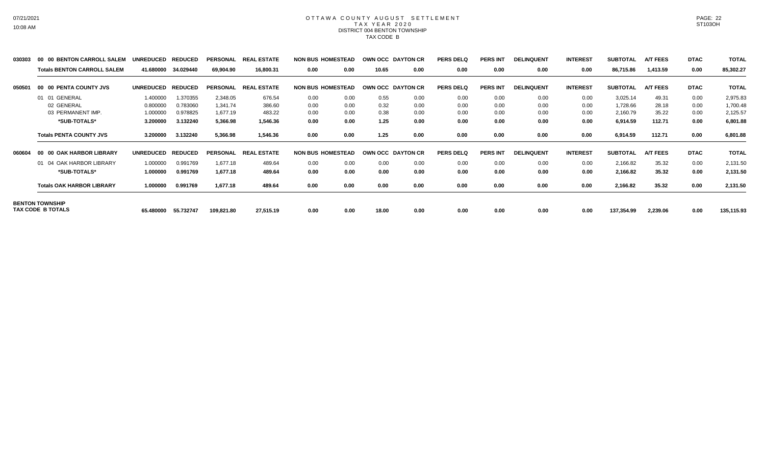#### OTTAWA COUNTY AUGUST SETTLEMENT T A X Y E A R 2 0 2 0 DISTRICT 004 BENTON TOWNSHIP TAX CODE B

| 030303 | 00 00 BENTON CARROLL SALEM         | <b>UNREDUCED</b> | <b>REDUCED</b> | <b>PERSONAL</b> | <b>REAL ESTATE</b> | <b>NON BUS HOMESTEAD</b> |      |       | OWN OCC DAYTON CR        | <b>PERS DELQ</b> | <b>PERS INT</b> | <b>DELINQUENT</b> | <b>INTEREST</b> | <b>SUBTOTAL</b> | <b>A/T FEES</b> | <b>DTAC</b> | <b>TOTAL</b> |
|--------|------------------------------------|------------------|----------------|-----------------|--------------------|--------------------------|------|-------|--------------------------|------------------|-----------------|-------------------|-----------------|-----------------|-----------------|-------------|--------------|
|        | <b>Totals BENTON CARROLL SALEM</b> | 41.680000        | 34.029440      | 69,904.90       | 16,800.31          | 0.00                     | 0.00 | 10.65 | 0.00                     | 0.00             | 0.00            | 0.00              | 0.00            | 86,715.86       | 1,413.59        | 0.00        | 85,302.27    |
| 050501 | 00 00 PENTA COUNTY JVS             | <b>UNREDUCED</b> | <b>REDUCED</b> | <b>PERSONAL</b> | <b>REAL ESTATE</b> | <b>NON BUS HOMESTEAD</b> |      |       | <b>OWN OCC DAYTON CR</b> | <b>PERS DELQ</b> | <b>PERS INT</b> | <b>DELINQUENT</b> | <b>INTEREST</b> | <b>SUBTOTAL</b> | <b>A/T FEES</b> | <b>DTAC</b> | <b>TOTAL</b> |
|        | 01 01 GENERAL                      | 1.400000         | 1.370355       | 2,348.05        | 676.54             | 0.00                     | 0.00 | 0.55  | 0.00                     | 0.00             | 0.00            | 0.00              | 0.00            | 3,025.14        | 49.31           | 0.00        | 2,975.83     |
|        | 02 GENERAL                         | 0.800000         | 0.783060       | 1,341.74        | 386.60             | 0.00                     | 0.00 | 0.32  | 0.00                     | 0.00             | 0.00            | 0.00              | 0.00            | 1,728.66        | 28.18           | 0.00        | 1,700.48     |
|        | 03 PERMANENT IMP.                  | 1.000000         | 0.978825       | 1,677.19        | 483.22             | 0.00                     | 0.00 | 0.38  | 0.00                     | 0.00             | 0.00            | 0.00              | 0.00            | 2,160.79        | 35.22           | 0.00        | 2,125.57     |
|        | *SUB-TOTALS*                       | 3.200000         | 3.132240       | 5,366.98        | 1,546.36           | 0.00                     | 0.00 | 1.25  | 0.00                     | 0.00             | 0.00            | 0.00              | 0.00            | 6,914.59        | 112.71          | 0.00        | 6,801.88     |
|        | <b>Totals PENTA COUNTY JVS</b>     | 3.200000         | 3.132240       | 5,366.98        | 1,546.36           | 0.00                     | 0.00 | 1.25  | 0.00                     | 0.00             | 0.00            | 0.00              | 0.00            | 6,914.59        | 112.71          | 0.00        | 6,801.88     |
| 060604 | 00 00 OAK HARBOR LIBRARY           | <b>UNREDUCED</b> | <b>REDUCED</b> | <b>PERSONAL</b> | <b>REAL ESTATE</b> | <b>NON BUS HOMESTEAD</b> |      |       | OWN OCC DAYTON CR        | <b>PERS DELQ</b> | <b>PERS INT</b> | <b>DELINQUENT</b> | <b>INTEREST</b> | <b>SUBTOTAL</b> | <b>A/T FEES</b> | <b>DTAC</b> | <b>TOTAL</b> |
|        | 01 04 OAK HARBOR LIBRARY           | 1.000000         | 0.991769       | 1,677.18        | 489.64             | 0.00                     | 0.00 | 0.00  | 0.00                     | 0.00             | 0.00            | 0.00              | 0.00            | 2,166.82        | 35.32           | 0.00        | 2,131.50     |
|        | *SUB-TOTALS*                       | 1.000000         | 0.991769       | 1,677.18        | 489.64             | 0.00                     | 0.00 | 0.00  | 0.00                     | 0.00             | 0.00            | 0.00              | 0.00            | 2,166.82        | 35.32           | 0.00        | 2,131.50     |
|        | <b>Totals OAK HARBOR LIBRARY</b>   | 1.000000         | 0.991769       | 1,677.18        | 489.64             | 0.00                     | 0.00 | 0.00  | 0.00                     | 0.00             | 0.00            | 0.00              | 0.00            | 2,166.82        | 35.32           | 0.00        | 2,131.50     |
|        | <b>BENTON TOWNSHIP</b>             |                  |                |                 |                    |                          |      |       |                          |                  |                 |                   |                 |                 |                 |             |              |
|        | TAX CODE B TOTALS                  | 65.480000        | 55.732747      | 109,821.80      | 27,515.19          | 0.00                     | 0.00 | 18.00 | 0.00                     | 0.00             | 0.00            | 0.00              | 0.00            | 137,354.99      | 2,239.06        | 0.00        | 135,115.93   |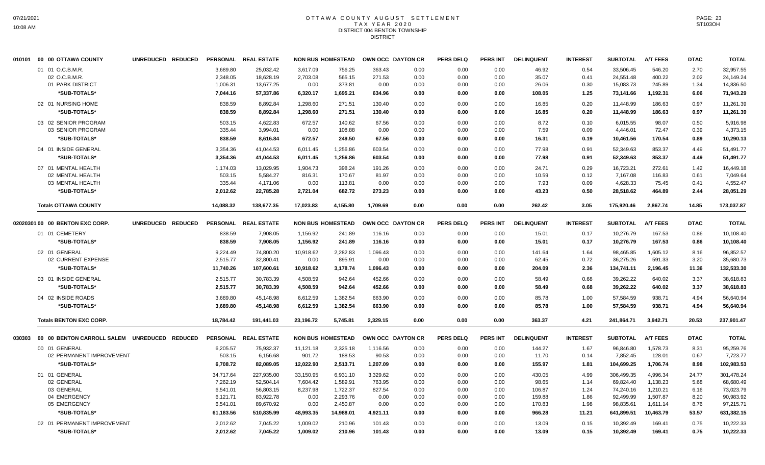#### OTTAWA COUNTY AUGUST SETTLEMENT T A X Y E A R 2 0 2 0 DISTRICT 004 BENTON TOWNSHIP **DISTRICT**

|        | 010101 00 00 OTTAWA COUNTY                            | UNREDUCED REDUCED |                                  | PERSONAL REAL ESTATE                |                              | <b>NON BUS HOMESTEAD</b>   | OWN OCC DAYTON CR        |                      | <b>PERS DELQ</b>     | <b>PERS INT</b>      | <b>DELINQUENT</b>       | <b>INTEREST</b>      | <b>SUBTOTAL</b>                     | <b>A/T FEES</b>            | <b>DTAC</b>          | <b>TOTAL</b>                        |
|--------|-------------------------------------------------------|-------------------|----------------------------------|-------------------------------------|------------------------------|----------------------------|--------------------------|----------------------|----------------------|----------------------|-------------------------|----------------------|-------------------------------------|----------------------------|----------------------|-------------------------------------|
|        | 01 01 O.C.B.M.R.<br>02 O.C.B.M.R.<br>01 PARK DISTRICT |                   | 3.689.80<br>2,348.05<br>1,006.31 | 25,032.42<br>18,628.19<br>13,677.25 | 3,617.09<br>2,703.08<br>0.00 | 756.25<br>565.15<br>373.81 | 363.43<br>271.53<br>0.00 | 0.00<br>0.00<br>0.00 | 0.00<br>0.00<br>0.00 | 0.00<br>0.00<br>0.00 | 46.92<br>35.07<br>26.06 | 0.54<br>0.41<br>0.30 | 33,506.45<br>24,551.48<br>15,083.73 | 546.20<br>400.22<br>245.89 | 2.70<br>2.02<br>1.34 | 32,957.55<br>24,149.24<br>14,836.50 |
|        | *SUB-TOTALS*                                          |                   | 7.044.16                         | 57,337.86                           | 6,320.17                     | 1.695.21                   | 634.96                   | 0.00                 | 0.00                 | 0.00                 | 108.05                  | 1.25                 | 73,141.66                           | 1.192.31                   | 6.06                 | 71,943.29                           |
|        | 02 01 NURSING HOME                                    |                   | 838.59                           | 8,892.84                            | 1,298.60                     | 271.51                     | 130.40                   | 0.00                 | 0.00                 | 0.00                 | 16.85                   | 0.20                 | 11,448.99                           | 186.63                     | 0.97                 | 11,261.39                           |
|        | *SUB-TOTALS*                                          |                   | 838.59                           | 8,892.84                            | 1,298.60                     | 271.51                     | 130.40                   | 0.00                 | 0.00                 | 0.00                 | 16.85                   | 0.20                 | 11,448.99                           | 186.63                     | 0.97                 | 11,261.39                           |
|        | 03 02 SENIOR PROGRAM<br>03 SENIOR PROGRAM             |                   | 503.15<br>335.44                 | 4,622.83<br>3,994.01                | 672.57<br>0.00               | 140.62<br>108.88           | 67.56<br>0.00            | 0.00<br>0.00         | 0.00<br>0.00         | 0.00<br>0.00         | 8.72<br>7.59            | 0.10<br>0.09         | 6,015.55<br>4,446.01                | 98.07<br>72.47             | 0.50<br>0.39         | 5,916.98<br>4,373.15                |
|        | *SUB-TOTALS*                                          |                   | 838.59                           | 8,616.84                            | 672.57                       | 249.50                     | 67.56                    | 0.00                 | 0.00                 | 0.00                 | 16.31                   | 0.19                 | 10,461.56                           | 170.54                     | 0.89                 | 10,290.13                           |
|        | 04 01 INSIDE GENERAL                                  |                   | 3,354.36                         | 41.044.53                           | 6,011.45                     | 1.256.86                   | 603.54                   | 0.00                 | 0.00                 | 0.00                 | 77.98                   | 0.91                 | 52.349.63                           | 853.37                     | 4.49                 | 51,491.77                           |
|        | *SUB-TOTALS*                                          |                   | 3,354.36                         | 41,044.53                           | 6,011.45                     | 1,256.86                   | 603.54                   | 0.00                 | 0.00                 | 0.00                 | 77.98                   | 0.91                 | 52,349.63                           | 853.37                     | 4.49                 | 51,491.77                           |
|        | 07 01 MENTAL HEALTH                                   |                   | 1,174.03                         | 13,029.95                           | 1,904.73                     | 398.24                     | 191.26                   | 0.00                 | 0.00                 | 0.00                 | 24.71                   | 0.29                 | 16,723.21                           | 272.61                     | 1.42                 | 16,449.18                           |
|        | 02 MENTAL HEALTH                                      |                   | 503.15                           | 5,584.27                            | 816.31                       | 170.67                     | 81.97                    | 0.00                 | 0.00                 | 0.00                 | 10.59                   | 0.12                 | 7,167.08                            | 116.83                     | 0.61                 | 7,049.64                            |
|        | 03 MENTAL HEALTH                                      |                   | 335.44                           | 4,171.06                            | 0.00                         | 113.81                     | 0.00                     | 0.00                 | 0.00                 | 0.00                 | 7.93                    | 0.09                 | 4,628.33                            | 75.45                      | 0.41                 | 4,552.47                            |
|        | *SUB-TOTALS*                                          |                   | 2,012.62                         | 22,785.28                           | 2,721.04                     | 682.72                     | 273.23                   | 0.00                 | 0.00                 | 0.00                 | 43.23                   | 0.50                 | 28,518.62                           | 464.89                     | 2.44                 | 28,051.29                           |
|        | <b>Totals OTTAWA COUNTY</b>                           |                   | 14,088.32                        | 138,677.35                          | 17,023.83                    | 4,155.80                   | 1,709.69                 | 0.00                 | 0.00                 | 0.00                 | 262.42                  | 3.05                 | 175,920.46                          | 2,867.74                   | 14.85                | 173,037.87                          |
|        | 02020301 00 00 BENTON EXC CORP.                       | UNREDUCED REDUCED |                                  | PERSONAL REAL ESTATE                |                              | <b>NON BUS HOMESTEAD</b>   |                          | OWN OCC DAYTON CR    | <b>PERS DELQ</b>     | <b>PERS INT</b>      | <b>DELINQUENT</b>       | <b>INTEREST</b>      | <b>SUBTOTAL</b>                     | <b>A/T FEES</b>            | <b>DTAC</b>          | <b>TOTAL</b>                        |
|        | 01 01 CEMETERY                                        |                   | 838.59                           | 7,908.05                            | 1,156.92                     | 241.89                     | 116.16                   | 0.00                 | 0.00                 | 0.00                 | 15.01                   | 0.17                 | 10,276.79                           | 167.53                     | 0.86                 | 10,108.40                           |
|        | *SUB-TOTALS*                                          |                   | 838.59                           | 7,908.05                            | 1,156.92                     | 241.89                     | 116.16                   | 0.00                 | 0.00                 | 0.00                 | 15.01                   | 0.17                 | 10,276.79                           | 167.53                     | 0.86                 | 10,108.40                           |
|        | 02 01 GENERAL                                         |                   | 9.224.49                         | 74.800.20                           | 10.918.62                    | 2.282.83                   | 1,096.43                 | 0.00                 | 0.00                 | 0.00                 | 141.64                  | 1.64                 | 98.465.85                           | 1.605.12                   | 8.16                 | 96.852.57                           |
|        | 02 CURRENT EXPENSE                                    |                   | 2,515.77                         | 32,800.41                           | 0.00                         | 895.91                     | 0.00                     | 0.00                 | 0.00                 | 0.00                 | 62.45                   | 0.72                 | 36,275.26                           | 591.33                     | 3.20                 | 35,680.73                           |
|        | *SUB-TOTALS*                                          |                   | 11,740.26                        | 107,600.61                          | 10,918.62                    | 3,178.74                   | 1,096.43                 | 0.00                 | 0.00                 | 0.00                 | 204.09                  | 2.36                 | 134,741.11                          | 2,196.45                   | 11.36                | 132,533.30                          |
|        | 03 01 INSIDE GENERAL                                  |                   | 2,515.77                         | 30,783.39                           | 4,508.59                     | 942.64                     | 452.66                   | 0.00                 | 0.00                 | 0.00                 | 58.49                   | 0.68                 | 39,262.22                           | 640.02                     | 3.37                 | 38,618.83                           |
|        | *SUB-TOTALS*                                          |                   | 2,515.77                         | 30,783.39                           | 4,508.59                     | 942.64                     | 452.66                   | 0.00                 | 0.00                 | 0.00                 | 58.49                   | 0.68                 | 39,262.22                           | 640.02                     | 3.37                 | 38,618.83                           |
|        | 04 02 INSIDE ROADS                                    |                   | 3,689.80                         | 45.148.98                           | 6,612.59                     | 1,382.54                   | 663.90                   | 0.00                 | 0.00                 | 0.00                 | 85.78                   | 1.00                 | 57,584.59                           | 938.71                     | 4.94                 | 56,640.94                           |
|        | *SUB-TOTALS*                                          |                   | 3,689.80                         | 45,148.98                           | 6,612.59                     | 1,382.54                   | 663.90                   | 0.00                 | 0.00                 | 0.00                 | 85.78                   | 1.00                 | 57,584.59                           | 938.71                     | 4.94                 | 56,640.94                           |
|        | <b>Totals BENTON EXC CORP.</b>                        |                   | 18,784.42                        | 191.441.03                          | 23,196.72                    | 5.745.81                   | 2,329.15                 | 0.00                 | 0.00                 | 0.00                 | 363.37                  | 4.21                 | 241,864.71                          | 3.942.71                   | 20.53                | 237,901.47                          |
| 030303 | 00 00 BENTON CARROLL SALEM UNREDUCED REDUCED          |                   |                                  | PERSONAL REAL ESTATE                |                              | <b>NON BUS HOMESTEAD</b>   |                          | OWN OCC DAYTON CR    | <b>PERS DELQ</b>     | PERS INT             | <b>DELINQUENT</b>       | <b>INTEREST</b>      | <b>SUBTOTAL</b>                     | <b>A/T FEES</b>            | <b>DTAC</b>          | <b>TOTAL</b>                        |
|        | 00 01 GENERAL                                         |                   | 6,205.57                         | 75,932.37                           | 11,121.18                    | 2,325.18                   | 1,116.56                 | 0.00                 | 0.00                 | 0.00                 | 144.27                  | 1.67                 | 96,846.80                           | 1,578.73                   | 8.31                 | 95,259.76                           |
|        | 02 PERMANENT IMPROVEMENT                              |                   | 503.15                           | 6,156.68                            | 901.72                       | 188.53                     | 90.53                    | 0.00                 | 0.00                 | 0.00                 | 11.70                   | 0.14                 | 7,852.45                            | 128.01                     | 0.67                 | 7,723.77                            |
|        | *SUB-TOTALS*                                          |                   | 6,708.72                         | 82,089.05                           | 12,022.90                    | 2,513.71                   | 1,207.09                 | 0.00                 | 0.00                 | 0.00                 | 155.97                  | 1.81                 | 104,699.25                          | 1,706.74                   | 8.98                 | 102,983.53                          |
|        | 01 01 GENERAL                                         |                   | 34,717.64                        | 227,935.00                          | 33,150.95                    | 6,931.10                   | 3,329.62                 | 0.00                 | 0.00                 | 0.00                 | 430.05                  | 4.99                 | 306,499.35                          | 4,996.34                   | 24.77                | 301,478.24                          |
|        | 02 GENERAL                                            |                   | 7,262.19                         | 52,504.14                           | 7,604.42                     | 1,589.91                   | 763.95                   | 0.00                 | 0.00                 | 0.00                 | 98.65                   | 1.14                 | 69,824.40                           | 1,138.23                   | 5.68                 | 68,680.49                           |
|        | 03 GENERAL                                            |                   | 6,541.01                         | 56,803.15                           | 8,237.98                     | 1,722.37                   | 827.54                   | 0.00                 | 0.00                 | 0.00                 | 106.87                  | 1.24                 | 74,240.16                           | 1,210.21                   | 6.16                 | 73,023.79                           |
|        | 04 EMERGENCY                                          |                   | 6,121.71                         | 83,922.78                           | 0.00                         | 2,293.76                   | 0.00                     | 0.00                 | 0.00                 | 0.00                 | 159.88                  | 1.86                 | 92,499.99                           | 1,507.87                   | 8.20                 | 90,983.92                           |
|        | 05 EMERGENCY                                          |                   | 6,541.01                         | 89,670.92                           | 0.00                         | 2,450.87                   | 0.00                     | 0.00                 | 0.00                 | 0.00                 | 170.83                  | 1.98                 | 98,835.61                           | 1,611.14                   | 8.76                 | 97,215.71                           |
|        | *SUB-TOTALS*                                          |                   | 61,183.56                        | 510,835.99                          | 48,993.35                    | 14,988.01                  | 4,921.11                 | 0.00                 | 0.00                 | 0.00                 | 966.28                  | 11.21                | 641,899.51                          | 10,463.79                  | 53.57                | 631,382.15                          |
|        | 02 01 PERMANENT IMPROVEMENT                           |                   | 2,012.62                         | 7,045.22                            | 1,009.02                     | 210.96                     | 101.43                   | 0.00                 | 0.00                 | 0.00                 | 13.09                   | 0.15                 | 10.392.49                           | 169.41                     | 0.75                 | 10,222.33                           |
|        | *SUB-TOTALS*                                          |                   | 2,012.62                         | 7,045.22                            | 1,009.02                     | 210.96                     | 101.43                   | 0.00                 | 0.00                 | 0.00                 | 13.09                   | 0.15                 | 10,392.49                           | 169.41                     | 0.75                 | 10,222.33                           |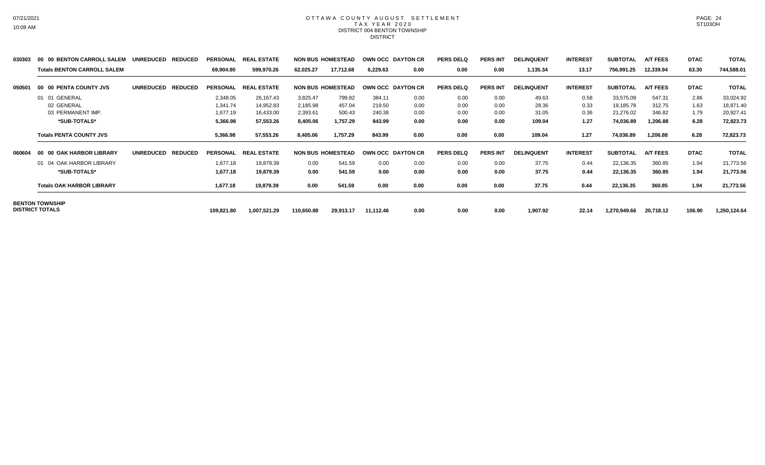#### OTTAWA COUNTY AUGUST SETTLEMENT T A X Y E A R 2 0 2 0 DISTRICT 004 BENTON TOWNSHIP DISTRICT

| 030303 | 00 00 BENTON CARROLL SALEM         | <b>UNREDUCED</b><br><b>REDUCED</b> | <b>PERSONAL</b> | <b>REAL ESTATE</b> |            | <b>NON BUS HOMESTEAD</b> |           | OWN OCC DAYTON CR | <b>PERS DELQ</b> | <b>PERS INT</b> | <b>DELINQUENT</b> | <b>INTEREST</b> | <b>SUBTOTAL</b> | <b>A/T FEES</b> | <b>DTAC</b> | <b>TOTAL</b> |
|--------|------------------------------------|------------------------------------|-----------------|--------------------|------------|--------------------------|-----------|-------------------|------------------|-----------------|-------------------|-----------------|-----------------|-----------------|-------------|--------------|
|        | <b>Totals BENTON CARROLL SALEM</b> |                                    | 69,904.90       | 599,970.26         | 62,025.27  | 17,712.68                | 6,229.63  | 0.00              | 0.00             | 0.00            | 1,135.34          | 13.17           | 756,991.25      | 12,339.94       | 63.30       | 744,588.01   |
| 050501 | 00 00 PENTA COUNTY JVS             | <b>REDUCED</b><br><b>UNREDUCED</b> | <b>PERSONAL</b> | <b>REAL ESTATE</b> |            | <b>NON BUS HOMESTEAD</b> |           | OWN OCC DAYTON CR | <b>PERS DELQ</b> | <b>PERS INT</b> | <b>DELINQUENT</b> | <b>INTEREST</b> | <b>SUBTOTAL</b> | <b>A/T FEES</b> | <b>DTAC</b> | <b>TOTAL</b> |
|        | 01 01 GENERAL                      |                                    | 2,348.05        | 26,167.43          | 3,825.47   | 799.82                   | 384.11    | 0.00              | 0.00             | 0.00            | 49.63             | 0.58            | 33,575.09       | 547.31          | 2.86        | 33,024.92    |
|        | 02 GENERAL                         |                                    | 1,341.74        | 14,952.83          | 2,185.98   | 457.04                   | 219.50    | 0.00              | 0.00             | 0.00            | 28.36             | 0.33            | 19,185.78       | 312.75          | 1.63        | 18,871.40    |
|        | 03 PERMANENT IMP.                  |                                    | 1,677.19        | 16,433.00          | 2,393.61   | 500.43                   | 240.38    | 0.00              | 0.00             | 0.00            | 31.05             | 0.36            | 21,276.02       | 346.82          | 1.79        | 20,927.41    |
|        | *SUB-TOTALS*                       |                                    | 5,366.98        | 57,553.26          | 8,405.06   | 1,757.29                 | 843.99    | 0.00              | 0.00             | 0.00            | 109.04            | 1.27            | 74,036.89       | 1,206.88        | 6.28        | 72,823.73    |
|        | <b>Totals PENTA COUNTY JVS</b>     |                                    | 5,366.98        | 57,553.26          | 8,405.06   | 1,757.29                 | 843.99    | 0.00              | 0.00             | 0.00            | 109.04            | 1.27            | 74,036.89       | 1,206.88        | 6.28        | 72,823.73    |
| 060604 | <b>00 OAK HARBOR LIBRARY</b>       | <b>REDUCED</b><br><b>UNREDUCED</b> | <b>PERSONAL</b> | <b>REAL ESTATE</b> |            | <b>NON BUS HOMESTEAD</b> |           | OWN OCC DAYTON CR | <b>PERS DELQ</b> | PERS INT        | <b>DELINQUENT</b> | <b>INTEREST</b> | <b>SUBTOTAL</b> | <b>A/T FEES</b> | <b>DTAC</b> | <b>TOTAL</b> |
|        | 01 04 OAK HARBOR LIBRARY           |                                    | 1,677.18        | 19,879.39          | 0.00       | 541.59                   | 0.00      | 0.00              | 0.00             | 0.00            | 37.75             | 0.44            | 22,136.35       | 360.85          | 1.94        | 21,773.56    |
|        | *SUB-TOTALS*                       |                                    | 1,677.18        | 19,879.39          | 0.00       | 541.59                   | 0.00      | 0.00              | 0.00             | 0.00            | 37.75             | 0.44            | 22,136.35       | 360.85          | 1.94        | 21,773.56    |
|        | <b>Totals OAK HARBOR LIBRARY</b>   |                                    | 1,677.18        | 19,879.39          | 0.00       | 541.59                   | 0.00      | 0.00              | 0.00             | 0.00            | 37.75             | 0.44            | 22,136.35       | 360.85          | 1.94        | 21,773.56    |
|        | <b>BENTON TOWNSHIP</b>             |                                    |                 |                    |            |                          |           |                   |                  |                 |                   |                 |                 |                 |             |              |
|        | <b>DISTRICT TOTALS</b>             |                                    | 109,821.80      | 1,007,521.29       | 110,650.88 | 29,913.17                | 11,112.46 | 0.00              | 0.00             | 0.00            | 1,907.92          | 22.14           | 1,270,949.66    | 20,718.12       | 106.90      | 1,250,124.64 |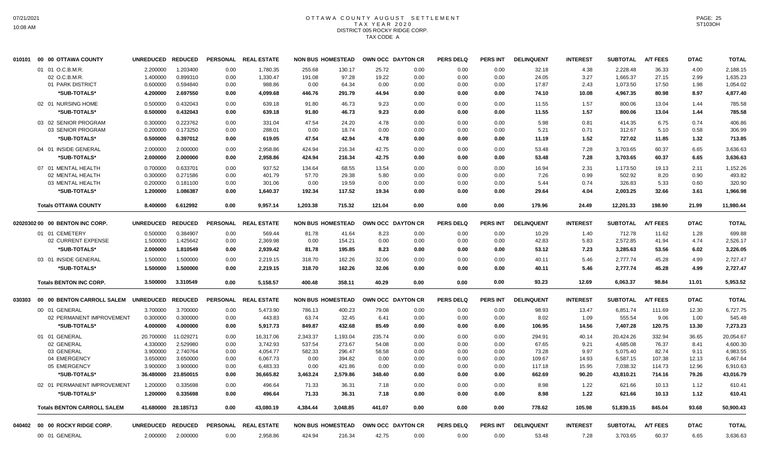## OTTAWA COUNTY AUGUST SETTLEMENT T A X Y E A R 2 0 2 0 DISTRICT 005 ROCKY RIDGE CORP. TAX CODE A

| 010101 | 00 00 OTTAWA COUNTY                | UNREDUCED REDUCED |                     | <b>PERSONAL</b> | <b>REAL ESTATE</b>   |          | <b>NON BUS HOMESTEAD</b> | OWN OCC DAYTON CR |      | <b>PERS DELQ</b> | PERS INT        | <b>DELINQUENT</b> | <b>INTEREST</b> | <b>SUBTOTAL</b> | <b>A/T FEES</b> | <b>DTAC</b> | <b>TOTAL</b> |
|--------|------------------------------------|-------------------|---------------------|-----------------|----------------------|----------|--------------------------|-------------------|------|------------------|-----------------|-------------------|-----------------|-----------------|-----------------|-------------|--------------|
|        | 01 01 O.C.B.M.R.                   | 2.200000          | 1.203400            | 0.00            | 1,780.35             | 255.68   | 130.17                   | 25.72             | 0.00 | 0.00             | 0.00            | 32.18             | 4.38            | 2,228.48        | 36.33           | 4.00        | 2,188.15     |
|        | 02 O.C.B.M.R.                      | 1.400000          | 0.899310            | 0.00            | 1,330.47             | 191.08   | 97.28                    | 19.22             | 0.00 | 0.00             | 0.00            | 24.05             | 3.27            | 1,665.37        | 27.15           | 2.99        | 1,635.23     |
|        | 01 PARK DISTRICT                   | 0.600000          | 0.594840            | 0.00            | 988.86               | 0.00     | 64.34                    | 0.00              | 0.00 | 0.00             | 0.00            | 17.87             | 2.43            | 1,073.50        | 17.50           | 1.98        | 1,054.02     |
|        | *SUB-TOTALS*                       | 4.200000          | 2.697550            | 0.00            | 4,099.68             | 446.76   | 291.79                   | 44.94             | 0.00 | 0.00             | 0.00            | 74.10             | 10.08           | 4,967.35        | 80.98           | 8.97        | 4,877.40     |
|        | 02 01 NURSING HOME                 | 0.500000          | 0.432043            | 0.00            | 639.18               | 91.80    | 46.73                    | 9.23              | 0.00 | 0.00             | 0.00            | 11.55             | 1.57            | 800.06          | 13.04           | 1.44        | 785.58       |
|        | *SUB-TOTALS*                       | 0.500000          | 0.432043            | 0.00            | 639.18               | 91.80    | 46.73                    | 9.23              | 0.00 | 0.00             | 0.00            | 11.55             | 1.57            | 800.06          | 13.04           | 1.44        | 785.58       |
|        | 03 02 SENIOR PROGRAM               | 0.300000          | 0.223762            | 0.00            | 331.04               | 47.54    | 24.20                    | 4.78              | 0.00 | 0.00             | 0.00            | 5.98              | 0.81            | 414.35          | 6.75            | 0.74        | 406.86       |
|        | 03 SENIOR PROGRAM                  | 0.200000          | 0.173250            | 0.00            | 288.01               | 0.00     | 18.74                    | 0.00              | 0.00 | 0.00             | 0.00            | 5.21              | 0.71            | 312.67          | 5.10            | 0.58        | 306.99       |
|        | *SUB-TOTALS*                       | 0.500000          | 0.397012            | 0.00            | 619.05               | 47.54    | 42.94                    | 4.78              | 0.00 | 0.00             | 0.00            | 11.19             | 1.52            | 727.02          | 11.85           | 1.32        | 713.85       |
|        | 04 01 INSIDE GENERAL               | 2.000000          | 2.000000            | 0.00            | 2,958.86             | 424.94   | 216.34                   | 42.75             | 0.00 | 0.00             | 0.00            | 53.48             | 7.28            | 3,703.65        | 60.37           | 6.65        | 3,636.63     |
|        | *SUB-TOTALS*                       | 2.000000          | 2.000000            | 0.00            | 2,958.86             | 424.94   | 216.34                   | 42.75             | 0.00 | 0.00             | 0.00            | 53.48             | 7.28            | 3,703.65        | 60.37           | 6.65        | 3,636.63     |
|        | 07 01 MENTAL HEALTH                | 0.700000          | 0.633701            | 0.00            | 937.52               | 134.64   | 68.55                    | 13.54             | 0.00 | 0.00             | 0.00            | 16.94             | 2.31            | 1.173.50        | 19.13           | 2.11        | 1.152.26     |
|        | 02 MENTAL HEALTH                   | 0.300000          | 0.271586            | 0.00            | 401.79               | 57.70    | 29.38                    | 5.80              | 0.00 | 0.00             | 0.00            | 7.26              | 0.99            | 502.92          | 8.20            | 0.90        | 493.82       |
|        | 03 MENTAL HEALTH                   | 0.200000          | 0.181100            | 0.00            | 301.06               | 0.00     | 19.59                    | 0.00              | 0.00 | 0.00             | 0.00            | 5.44              | 0.74            | 326.83          | 5.33            | 0.60        | 320.90       |
|        | *SUB-TOTALS*                       | 1.200000          | 1.086387            | 0.00            | 1,640.37             | 192.34   | 117.52                   | 19.34             | 0.00 | 0.00             | 0.00            | 29.64             | 4.04            | 2,003.25        | 32.66           | 3.61        | 1,966.98     |
|        | <b>Totals OTTAWA COUNTY</b>        | 8.400000          | 6.612992            | 0.00            | 9.957.14             | 1.203.38 | 715.32                   | 121.04            | 0.00 | 0.00             | 0.00            | 179.96            | 24.49           | 12,201.33       | 198.90          | 21.99       | 11,980.44    |
|        | 02020302 00 00 BENTON INC CORP.    | <b>UNREDUCED</b>  | <b>REDUCED</b>      | <b>PERSONAL</b> | <b>REAL ESTATE</b>   |          | <b>NON BUS HOMESTEAD</b> | OWN OCC DAYTON CR |      | <b>PERS DELQ</b> | <b>PERS INT</b> | <b>DELINQUENT</b> | <b>INTEREST</b> | <b>SUBTOTAL</b> | <b>A/T FEES</b> | <b>DTAC</b> | <b>TOTAL</b> |
|        | 01 01 CEMETERY                     | 0.500000          | 0.384907            | 0.00            | 569.44               | 81.78    | 41.64                    | 8.23              | 0.00 | 0.00             | 0.00            | 10.29             | 1.40            | 712.78          | 11.62           | 1.28        | 699.88       |
|        | 02 CURRENT EXPENSE                 | 1.500000          | 1.425642            | 0.00            | 2,369.98             | 0.00     | 154.21                   | 0.00              | 0.00 | 0.00             | 0.00            | 42.83             | 5.83            | 2,572.85        | 41.94           | 4.74        | 2,526.17     |
|        | *SUB-TOTALS*                       | 2.000000          | 1.810549            | 0.00            | 2,939.42             | 81.78    | 195.85                   | 8.23              | 0.00 | 0.00             | 0.00            | 53.12             | 7.23            | 3,285.63        | 53.56           | 6.02        | 3,226.05     |
|        | 03 01 INSIDE GENERAL               | 1.500000          | 1.500000            | 0.00            | 2,219.15             | 318.70   | 162.26                   | 32.06             | 0.00 | 0.00             | 0.00            | 40.11             | 5.46            | 2,777.74        | 45.28           | 4.99        | 2,727.47     |
|        | *SUB-TOTALS*                       | 1.500000          | 1.500000            | 0.00            | 2.219.15             | 318.70   | 162.26                   | 32.06             | 0.00 | 0.00             | 0.00            | 40.11             | 5.46            | 2,777.74        | 45.28           | 4.99        | 2,727.47     |
|        | <b>Totals BENTON INC CORP.</b>     | 3.500000          | 3.310549            | 0.00            | 5.158.57             | 400.48   | 358.11                   | 40.29             | 0.00 | 0.00             | 0.00            | 93.23             | 12.69           | 6,063.37        | 98.84           | 11.01       | 5,953.52     |
| 030303 | 00 00 BENTON CARROLL SALEM         | UNREDUCED REDUCED |                     |                 | PERSONAL REAL ESTATE |          | <b>NON BUS HOMESTEAD</b> | OWN OCC DAYTON CR |      | <b>PERS DELQ</b> | PERS INT        | <b>DELINQUENT</b> | <b>INTEREST</b> | <b>SUBTOTAL</b> | <b>A/T FEES</b> | <b>DTAC</b> | <b>TOTAL</b> |
|        | 00 01 GENERAL                      | 3.700000          | 3.700000            | 0.00            | 5,473.90             | 786.13   | 400.23                   | 79.08             | 0.00 | 0.00             | 0.00            | 98.93             | 13.47           | 6,851.74        | 111.69          | 12.30       | 6.727.75     |
|        | 02 PERMANENT IMPROVEMENT           | 0.300000          | 0.300000            | 0.00            | 443.83               | 63.74    | 32.45                    | 6.41              | 0.00 | 0.00             | 0.00            | 8.02              | 1.09            | 555.54          | 9.06            | 1.00        | 545.48       |
|        | *SUB-TOTALS*                       | 4.000000          | 4.000000            | 0.00            | 5,917.73             | 849.87   | 432.68                   | 85.49             | 0.00 | 0.00             | 0.00            | 106.95            | 14.56           | 7,407.28        | 120.75          | 13.30       | 7,273.23     |
|        | 01 01 GENERAL                      | 20.700000         | 11.029271           | 0.00            | 16,317.06            | 2,343.37 | 1,193.04                 | 235.74            | 0.00 | 0.00             | 0.00            | 294.91            | 40.14           | 20,424.26       | 332.94          | 36.65       | 20,054.67    |
|        | 02 GENERAL                         | 4.330000          | 2.529980            | 0.00            | 3,742.93             | 537.54   | 273.67                   | 54.08             | 0.00 | 0.00             | 0.00            | 67.65             | 9.21            | 4,685.08        | 76.37           | 8.41        | 4,600.30     |
|        | 03 GENERAL                         | 3.900000          | 2.740764            | 0.00            | 4,054.77             | 582.33   | 296.47                   | 58.58             | 0.00 | 0.00             | 0.00            | 73.28             | 9.97            | 5,075.40        | 82.74           | 9.11        | 4,983.55     |
|        | 04 EMERGENCY                       | 3.650000          | 3.650000            | 0.00            | 6,067.73             | 0.00     | 394.82                   | 0.00              | 0.00 | 0.00             | 0.00            | 109.67            | 14.93           | 6,587.15        | 107.38          | 12.13       | 6,467.64     |
|        | 05 EMERGENCY                       | 3.900000          | 3.900000            | 0.00            | 6,483.33             | 0.00     | 421.86                   | 0.00              | 0.00 | 0.00             | 0.00            | 117.18            | 15.95           | 7,038.32        | 114.73          | 12.96       | 6,910.63     |
|        | *SUB-TOTALS*                       | 36.480000         | 23.850015           | 0.00            | 36,665.82            | 3,463.24 | 2,579.86                 | 348.40            | 0.00 | 0.00             | 0.00            | 662.69            | 90.20           | 43,810.21       | 714.16          | 79.26       | 43,016.79    |
|        | 02 01 PERMANENT IMPROVEMENT        | 1.200000          | 0.335698            | 0.00            | 496.64               | 71.33    | 36.31                    | 7.18              | 0.00 | 0.00             | 0.00            | 8.98              | 1.22            | 621.66          | 10.13           | 1.12        | 610.41       |
|        | *SUB-TOTALS*                       | 1.200000          | 0.335698            | 0.00            | 496.64               | 71.33    | 36.31                    | 7.18              | 0.00 | 0.00             | 0.00            | 8.98              | 1.22            | 621.66          | 10.13           | 1.12        | 610.41       |
|        | <b>Totals BENTON CARROLL SALEM</b> |                   | 41.680000 28.185713 | 0.00            | 43,080.19            | 4,384.44 | 3,048.85                 | 441.07            | 0.00 | 0.00             | 0.00            | 778.62            | 105.98          | 51,839.15       | 845.04          | 93.68       | 50,900.43    |
|        | 040402 00 00 ROCKY RIDGE CORP.     | UNREDUCED REDUCED |                     |                 | PERSONAL REAL ESTATE |          | <b>NON BUS HOMESTEAD</b> | OWN OCC DAYTON CR |      | <b>PERS DELQ</b> | PERS INT        | <b>DELINQUENT</b> | <b>INTEREST</b> | <b>SUBTOTAL</b> | <b>A/T FEES</b> | <b>DTAC</b> | <b>TOTAL</b> |
|        | 00 01 GENERAL                      | 2.000000          | 2.000000            | 0.00            | 2,958.86             | 424.94   | 216.34                   | 42.75             | 0.00 | 0.00             | 0.00            | 53.48             | 7.28            | 3,703.65        | 60.37           | 6.65        | 3,636.63     |
|        |                                    |                   |                     |                 |                      |          |                          |                   |      |                  |                 |                   |                 |                 |                 |             |              |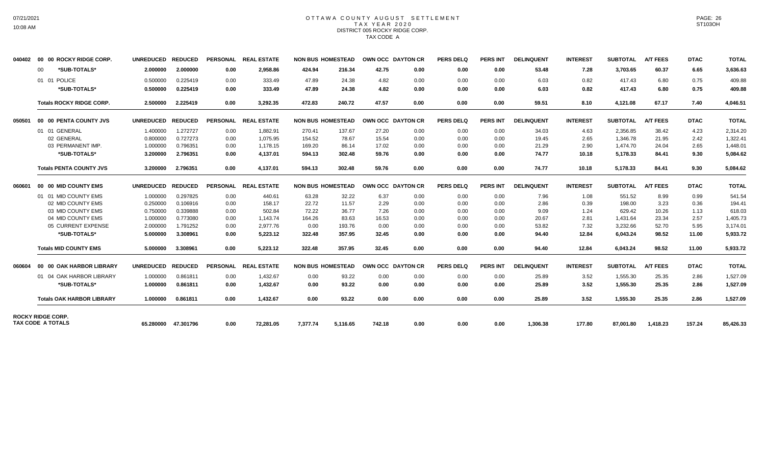# 07/21/2021 10:08 AM

#### OTTAWA COUNTY AUGUST SETTLEMENT T A X Y E A R 2 0 2 0 DISTRICT 005 ROCKY RIDGE CORP. TAX CODE A

| 040402 | 00 00 ROCKY RIDGE CORP.                       | UNREDUCED REDUCED |                     |                 | PERSONAL REAL ESTATE |          | <b>NON BUS HOMESTEAD</b> | OWN OCC DAYTON CR |      | <b>PERS DELQ</b> | <b>PERS INT</b> | <b>DELINQUENT</b> | <b>INTEREST</b> | <b>SUBTOTAL</b> | <b>A/T FEES</b> | <b>DTAC</b> | <b>TOTAL</b> |
|--------|-----------------------------------------------|-------------------|---------------------|-----------------|----------------------|----------|--------------------------|-------------------|------|------------------|-----------------|-------------------|-----------------|-----------------|-----------------|-------------|--------------|
|        | *SUB-TOTALS*<br>$00 \,$                       | 2.000000          | 2.000000            | 0.00            | 2,958.86             | 424.94   | 216.34                   | 42.75             | 0.00 | 0.00             | 0.00            | 53.48             | 7.28            | 3,703.65        | 60.37           | 6.65        | 3,636.63     |
|        | 01 01 POLICE                                  | 0.500000          | 0.225419            | 0.00            | 333.49               | 47.89    | 24.38                    | 4.82              | 0.00 | 0.00             | 0.00            | 6.03              | 0.82            | 417.43          | 6.80            | 0.75        | 409.88       |
|        | *SUB-TOTALS*                                  | 0.500000          | 0.225419            | 0.00            | 333.49               | 47.89    | 24.38                    | 4.82              | 0.00 | 0.00             | 0.00            | 6.03              | 0.82            | 417.43          | 6.80            | 0.75        | 409.88       |
|        | <b>Totals ROCKY RIDGE CORP.</b>               | 2.500000          | 2.225419            | 0.00            | 3,292.35             | 472.83   | 240.72                   | 47.57             | 0.00 | 0.00             | 0.00            | 59.51             | 8.10            | 4,121.08        | 67.17           | 7.40        | 4,046.51     |
| 050501 | 00 00 PENTA COUNTY JVS                        | UNREDUCED REDUCED |                     |                 | PERSONAL REAL ESTATE |          | <b>NON BUS HOMESTEAD</b> | OWN OCC DAYTON CR |      | <b>PERS DELQ</b> | <b>PERS INT</b> | <b>DELINQUENT</b> | <b>INTEREST</b> | <b>SUBTOTAL</b> | <b>A/T FEES</b> | <b>DTAC</b> | <b>TOTAL</b> |
|        | 01 01 GENERAL                                 | 1.400000          | 1.272727            | 0.00            | 1,882.91             | 270.41   | 137.67                   | 27.20             | 0.00 | 0.00             | 0.00            | 34.03             | 4.63            | 2,356.85        | 38.42           | 4.23        | 2,314.20     |
|        | 02 GENERAL                                    | 0.800000          | 0.727273            | 0.00            | 1,075.95             | 154.52   | 78.67                    | 15.54             | 0.00 | 0.00             | 0.00            | 19.45             | 2.65            | 1,346.78        | 21.95           | 2.42        | 1,322.41     |
|        | 03 PERMANENT IMP.                             | 1.000000          | 0.796351            | 0.00            | 1,178.15             | 169.20   | 86.14                    | 17.02             | 0.00 | 0.00             | 0.00            | 21.29             | 2.90            | 1,474.70        | 24.04           | 2.65        | 1,448.01     |
|        | *SUB-TOTALS*                                  | 3.200000          | 2.796351            | 0.00            | 4,137.01             | 594.13   | 302.48                   | 59.76             | 0.00 | 0.00             | 0.00            | 74.77             | 10.18           | 5,178.33        | 84.41           | 9.30        | 5,084.62     |
|        | <b>Totals PENTA COUNTY JVS</b>                | 3.200000          | 2.796351            | 0.00            | 4.137.01             | 594.13   | 302.48                   | 59.76             | 0.00 | 0.00             | 0.00            | 74.77             | 10.18           | 5,178.33        | 84.41           | 9.30        | 5.084.62     |
| 060601 | 00 00 MID COUNTY EMS                          | <b>UNREDUCED</b>  | <b>REDUCED</b>      | <b>PERSONAL</b> | <b>REAL ESTATE</b>   |          | <b>NON BUS HOMESTEAD</b> | OWN OCC DAYTON CR |      | <b>PERS DELQ</b> | <b>PERS INT</b> | <b>DELINQUENT</b> | <b>INTEREST</b> | <b>SUBTOTAL</b> | <b>A/T FEES</b> | <b>DTAC</b> | <b>TOTAL</b> |
|        | 01 01 MID COUNTY EMS                          | 1.000000          | 0.297825            | 0.00            | 440.61               | 63.28    | 32.22                    | 6.37              | 0.00 | 0.00             | 0.00            | 7.96              | 1.08            | 551.52          | 8.99            | 0.99        | 541.54       |
|        | 02 MID COUNTY EMS                             | 0.250000          | 0.106916            | 0.00            | 158.17               | 22.72    | 11.57                    | 2.29              | 0.00 | 0.00             | 0.00            | 2.86              | 0.39            | 198.00          | 3.23            | 0.36        | 194.41       |
|        | 03 MID COUNTY EMS                             | 0.750000          | 0.339888            | 0.00            | 502.84               | 72.22    | 36.77                    | 7.26              | 0.00 | 0.00             | 0.00            | 9.09              | 1.24            | 629.42          | 10.26           | 1.13        | 618.03       |
|        | 04 MID COUNTY EMS                             | 1.000000          | 0.773080            | 0.00            | 1,143.74             | 164.26   | 83.63                    | 16.53             | 0.00 | 0.00             | 0.00            | 20.67             | 2.81            | 1,431.64        | 23.34           | 2.57        | 1,405.73     |
|        | 05 CURRENT EXPENSE                            | 2.000000          | 1.791252            | 0.00            | 2,977.76             | 0.00     | 193.76                   | 0.00              | 0.00 | 0.00             | 0.00            | 53.82             | 7.32            | 3,232.66        | 52.70           | 5.95        | 3,174.01     |
|        | *SUB-TOTALS*                                  | 5.000000          | 3.308961            | 0.00            | 5,223.12             | 322.48   | 357.95                   | 32.45             | 0.00 | 0.00             | 0.00            | 94.40             | 12.84           | 6,043.24        | 98.52           | 11.00       | 5,933.72     |
|        | <b>Totals MID COUNTY EMS</b>                  | 5.000000          | 3.308961            | 0.00            | 5.223.12             | 322.48   | 357.95                   | 32.45             | 0.00 | 0.00             | 0.00            | 94.40             | 12.84           | 6.043.24        | 98.52           | 11.00       | 5,933.72     |
| 060604 | 00 00 OAK HARBOR LIBRARY                      | UNREDUCED REDUCED |                     |                 | PERSONAL REAL ESTATE |          | <b>NON BUS HOMESTEAD</b> | OWN OCC DAYTON CR |      | <b>PERS DELQ</b> | <b>PERS INT</b> | <b>DELINQUENT</b> | <b>INTEREST</b> | <b>SUBTOTAL</b> | <b>A/T FEES</b> | <b>DTAC</b> | <b>TOTAL</b> |
|        | 01 04 OAK HARBOR LIBRARY                      | 1.000000          | 0.861811            | 0.00            | 1,432.67             | 0.00     | 93.22                    | 0.00              | 0.00 | 0.00             | 0.00            | 25.89             | 3.52            | 1,555.30        | 25.35           | 2.86        | 1,527.09     |
|        | *SUB-TOTALS*                                  | 1.000000          | 0.861811            | 0.00            | 1.432.67             | 0.00     | 93.22                    | 0.00              | 0.00 | 0.00             | 0.00            | 25.89             | 3.52            | 1,555.30        | 25.35           | 2.86        | 1,527.09     |
|        | <b>Totals OAK HARBOR LIBRARY</b>              | 1.000000          | 0.861811            | 0.00            | 1,432.67             | 0.00     | 93.22                    | 0.00              | 0.00 | 0.00             | 0.00            | 25.89             | 3.52            | 1,555.30        | 25.35           | 2.86        | 1,527.09     |
|        | <b>ROCKY RIDGE CORP.</b><br>TAX CODE A TOTALS |                   | 65.280000 47.301796 | 0.00            | 72,281.05            | 7,377.74 | 5,116.65                 | 742.18            | 0.00 | 0.00             | 0.00            | 1,306.38          | 177.80          | 87,001.80       | 1,418.23        | 157.24      | 85,426.33    |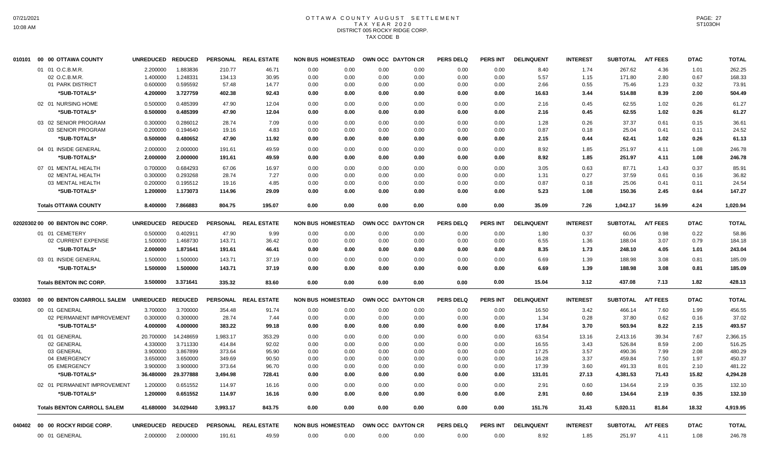# OTTAWA COUNTY AUGUST SETTLEMENT T A X Y E A R 2 0 2 0 DISTRICT 005 ROCKY RIDGE CORP. TAX CODE B

|        | 010101 00 00 OTTAWA COUNTY         | UNREDUCED REDUCED |                     |          | PERSONAL REAL ESTATE | <b>NON BUS HOMESTEAD</b> |      | OWN OCC DAYTON CR | PERS DELQ        | <b>PERS INT</b> | <b>DELINQUENT</b> | <b>INTEREST</b> | <b>SUBTOTAL</b> | <b>A/T FEES</b> | <b>DTAC</b> | <b>TOTAL</b> |
|--------|------------------------------------|-------------------|---------------------|----------|----------------------|--------------------------|------|-------------------|------------------|-----------------|-------------------|-----------------|-----------------|-----------------|-------------|--------------|
|        | 01 01 O.C.B.M.R.                   | 2.200000          | 1.883836            | 210.77   | 46.71                | 0.00<br>0.00             | 0.00 | 0.00              | 0.00             | 0.00            | 8.40              | 1.74            | 267.62          | 4.36            | 1.01        | 262.25       |
|        | 02 O.C.B.M.R.                      | 1.400000          | 1.248331            | 134.13   | 30.95                | 0.00<br>0.00             | 0.00 | 0.00              | 0.00             | 0.00            | 5.57              | 1.15            | 171.80          | 2.80            | 0.67        | 168.33       |
|        | 01 PARK DISTRICT                   | 0.600000          | 0.595592            | 57.48    | 14.77                | 0.00<br>0.00             | 0.00 | 0.00              | 0.00             | 0.00            | 2.66              | 0.55            | 75.46           | 1.23            | 0.32        | 73.91        |
|        | *SUB-TOTALS*                       | 4.200000          | 3.727759            | 402.38   | 92.43                | 0.00<br>0.00             | 0.00 | 0.00              | 0.00             | 0.00            | 16.63             | 3.44            | 514.88          | 8.39            | 2.00        | 504.49       |
|        | 02 01 NURSING HOME                 | 0.500000          | 0.485399            | 47.90    | 12.04                | 0.00<br>0.00             | 0.00 | 0.00              | 0.00             | 0.00            | 2.16              | 0.45            | 62.55           | 1.02            | 0.26        | 61.27        |
|        | *SUB-TOTALS*                       | 0.500000          | 0.485399            | 47.90    | 12.04                | 0.00<br>0.00             | 0.00 | 0.00              | 0.00             | 0.00            | 2.16              | 0.45            | 62.55           | 1.02            | 0.26        | 61.27        |
|        | 03 02 SENIOR PROGRAM               | 0.300000          | 0.286012            | 28.74    | 7.09                 | 0.00<br>0.00             | 0.00 | 0.00              | 0.00             | 0.00            | 1.28              | 0.26            | 37.37           | 0.61            | 0.15        | 36.61        |
|        | 03 SENIOR PROGRAM                  | 0.200000          | 0.194640            | 19.16    | 4.83                 | 0.00<br>0.00             | 0.00 | 0.00              | 0.00             | 0.00            | 0.87              | 0.18            | 25.04           | 0.41            | 0.11        | 24.52        |
|        | *SUB-TOTALS*                       | 0.500000          | 0.480652            | 47.90    | 11.92                | 0.00<br>0.00             | 0.00 | 0.00              | 0.00             | 0.00            | 2.15              | 0.44            | 62.41           | 1.02            | 0.26        | 61.13        |
|        | 04 01 INSIDE GENERAL               | 2.000000          | 2.000000            | 191.61   | 49.59                | 0.00<br>0.00             | 0.00 | 0.00              | 0.00             | 0.00            | 8.92              | 1.85            | 251.97          | 4.11            | 1.08        | 246.78       |
|        | *SUB-TOTALS*                       | 2.000000          | 2.000000            | 191.61   | 49.59                | 0.00<br>0.00             | 0.00 | 0.00              | 0.00             | 0.00            | 8.92              | 1.85            | 251.97          | 4.11            | 1.08        | 246.78       |
|        | 07 01 MENTAL HEALTH                | 0.700000          | 0.684293            | 67.06    | 16.97                | 0.00<br>0.00             | 0.00 | 0.00              | 0.00             | 0.00            | 3.05              | 0.63            | 87.71           | 1.43            | 0.37        | 85.91        |
|        | 02 MENTAL HEALTH                   | 0.300000          | 0.293268            | 28.74    | 7.27                 | 0.00<br>0.00             | 0.00 | 0.00              | 0.00             | 0.00            | 1.31              | 0.27            | 37.59           | 0.61            | 0.16        | 36.82        |
|        | 03 MENTAL HEALTH                   | 0.200000          | 0.195512            | 19.16    | 4.85                 | 0.00<br>0.00             | 0.00 | 0.00              | 0.00             | 0.00            | 0.87              | 0.18            | 25.06           | 0.41            | 0.11        | 24.54        |
|        | *SUB-TOTALS*                       | 1.200000          | 1.173073            | 114.96   | 29.09                | 0.00<br>0.00             | 0.00 | 0.00              | 0.00             | 0.00            | 5.23              | 1.08            | 150.36          | 2.45            | 0.64        | 147.27       |
|        | <b>Totals OTTAWA COUNTY</b>        | 8.400000          | 7.866883            | 804.75   | 195.07               | 0.00<br>0.00             | 0.00 | 0.00              | 0.00             | 0.00            | 35.09             | 7.26            | 1,042.17        | 16.99           | 4.24        | 1,020.94     |
|        | 02020302 00 00 BENTON INC CORP.    | <b>UNREDUCED</b>  | <b>REDUCED</b>      |          | PERSONAL REAL ESTATE | <b>NON BUS HOMESTEAD</b> |      | OWN OCC DAYTON CR | <b>PERS DELQ</b> | <b>PERS INT</b> | <b>DELINQUENT</b> | <b>INTEREST</b> | <b>SUBTOTAL</b> | <b>A/T FEES</b> | <b>DTAC</b> | <b>TOTAL</b> |
|        | 01 01 CEMETERY                     | 0.500000          | 0.402911            | 47.90    | 9.99                 | 0.00<br>0.00             | 0.00 | 0.00              | 0.00             | 0.00            | 1.80              | 0.37            | 60.06           | 0.98            | 0.22        | 58.86        |
|        | 02 CURRENT EXPENSE                 | 1.500000          | 1.468730            | 143.71   | 36.42                | 0.00<br>0.00             | 0.00 | 0.00              | 0.00             | 0.00            | 6.55              | 1.36            | 188.04          | 3.07            | 0.79        | 184.18       |
|        | *SUB-TOTALS*                       | 2.000000          | 1.871641            | 191.61   | 46.41                | 0.00<br>0.00             | 0.00 | 0.00              | 0.00             | 0.00            | 8.35              | 1.73            | 248.10          | 4.05            | 1.01        | 243.04       |
|        | 03 01 INSIDE GENERAL               | 1.500000          | 1.500000            | 143.71   | 37.19                | 0.00<br>0.00             | 0.00 | 0.00              | 0.00             | 0.00            | 6.69              | 1.39            | 188.98          | 3.08            | 0.81        | 185.09       |
|        | *SUB-TOTALS*                       | 1.500000          | 1.500000            | 143.71   | 37.19                | 0.00<br>0.00             | 0.00 | 0.00              | 0.00             | 0.00            | 6.69              | 1.39            | 188.98          | 3.08            | 0.81        | 185.09       |
|        | <b>Totals BENTON INC CORP.</b>     | 3.500000          | 3.371641            | 335.32   | 83.60                | 0.00<br>0.00             | 0.00 | 0.00              | 0.00             | 0.00            | 15.04             | 3.12            | 437.08          | 7.13            | 1.82        | 428.13       |
| 030303 | 00 00 BENTON CARROLL SALEM         | UNREDUCED REDUCED |                     |          | PERSONAL REAL ESTATE | <b>NON BUS HOMESTEAD</b> |      | OWN OCC DAYTON CR | <b>PERS DELQ</b> | PERS INT        | <b>DELINQUENT</b> | <b>INTEREST</b> | <b>SUBTOTAL</b> | <b>A/T FEES</b> | <b>DTAC</b> | <b>TOTAL</b> |
|        | 00 01 GENERAL                      | 3.700000          | 3.700000            | 354.48   | 91.74                | 0.00<br>0.00             | 0.00 | 0.00              | 0.00             | 0.00            | 16.50             | 3.42            | 466.14          | 7.60            | 1.99        | 456.55       |
|        | 02 PERMANENT IMPROVEMENT           | 0.300000          | 0.300000            | 28.74    | 7.44                 | 0.00<br>0.00             | 0.00 | 0.00              | 0.00             | 0.00            | 1.34              | 0.28            | 37.80           | 0.62            | 0.16        | 37.02        |
|        | *SUB-TOTALS*                       | 4.000000          | 4.000000            | 383.22   | 99.18                | 0.00<br>0.00             | 0.00 | 0.00              | 0.00             | 0.00            | 17.84             | 3.70            | 503.94          | 8.22            | 2.15        | 493.57       |
|        | 01 01 GENERAL                      | 20.700000         | 14.248659           | 1,983.17 | 353.29               | 0.00<br>0.00             | 0.00 | 0.00              | 0.00             | 0.00            | 63.54             | 13.16           | 2,413.16        | 39.34           | 7.67        | 2,366.15     |
|        | 02 GENERAL                         | 4.330000          | 3.711330            | 414.84   | 92.02                | 0.00<br>0.00             | 0.00 | 0.00              | 0.00             | 0.00            | 16.55             | 3.43            | 526.84          | 8.59            | 2.00        | 516.25       |
|        | 03 GENERAL                         | 3.900000          | 3.867899            | 373.64   | 95.90                | 0.00<br>0.00             | 0.00 | 0.00              | 0.00             | 0.00            | 17.25             | 3.57            | 490.36          | 7.99            | 2.08        | 480.29       |
|        | 04 EMERGENCY                       | 3.650000          | 3.650000            | 349.69   | 90.50                | 0.00<br>0.00             | 0.00 | 0.00              | 0.00             | 0.00            | 16.28             | 3.37            | 459.84          | 7.50            | 1.97        | 450.37       |
|        | 05 EMERGENCY                       | 3.900000          | 3.900000            | 373.64   | 96.70                | 0.00<br>0.00             | 0.00 | 0.00              | 0.00             | 0.00            | 17.39             | 3.60            | 491.33          | 8.01            | 2.10        | 481.22       |
|        | *SUB-TOTALS*                       | 36.480000         | 29.377888           | 3,494.98 | 728.41               | 0.00<br>0.00             | 0.00 | 0.00              | 0.00             | 0.00            | 131.01            | 27.13           | 4,381.53        | 71.43           | 15.82       | 4,294.28     |
|        | 02 01 PERMANENT IMPROVEMENT        | 1.200000          | 0.651552            | 114.97   | 16.16                | 0.00<br>0.00             | 0.00 | 0.00              | 0.00             | 0.00            | 2.91              | 0.60            | 134.64          | 2.19            | 0.35        | 132.10       |
|        | *SUB-TOTALS*                       | 1.200000          | 0.651552            | 114.97   | 16.16                | 0.00<br>0.00             | 0.00 | 0.00              | 0.00             | 0.00            | 2.91              | 0.60            | 134.64          | 2.19            | 0.35        | 132.10       |
|        | <b>Totals BENTON CARROLL SALEM</b> |                   | 41.680000 34.029440 | 3,993.17 | 843.75               | 0.00<br>0.00             | 0.00 | 0.00              | 0.00             | 0.00            | 151.76            | 31.43           | 5,020.11        | 81.84           | 18.32       | 4,919.95     |
|        | 040402 00 00 ROCKY RIDGE CORP.     | UNREDUCED REDUCED |                     |          | PERSONAL REAL ESTATE | <b>NON BUS HOMESTEAD</b> |      | OWN OCC DAYTON CR | <b>PERS DELQ</b> | PERS INT        | <b>DELINQUENT</b> | <b>INTEREST</b> | <b>SUBTOTAL</b> | <b>A/T FEES</b> | <b>DTAC</b> | <b>TOTAL</b> |
|        | 00 01 GENERAL                      | 2.000000          | 2.000000            | 191.61   | 49.59                | 0.00<br>0.00             | 0.00 | 0.00              | 0.00             | 0.00            | 8.92              | 1.85            | 251.97          | 4.11            | 1.08        | 246.78       |
|        |                                    |                   |                     |          |                      |                          |      |                   |                  |                 |                   |                 |                 |                 |             |              |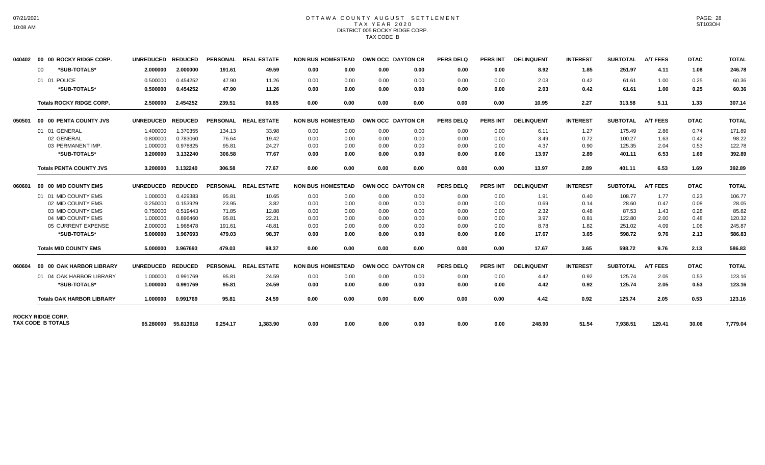# 07/21/2021 10:08 AM

#### OTTAWA COUNTY AUGUST SETTLEMENT T A X Y E A R 2 0 2 0 DISTRICT 005 ROCKY RIDGE CORP. TAX CODE B

| 040402 | 00 00 ROCKY RIDGE CORP.                              | UNREDUCED REDUCED |                     |                 | PERSONAL REAL ESTATE | <b>NON BUS HOMESTEAD</b> |      | OWN OCC DAYTON CR |      | <b>PERS DELQ</b> | <b>PERS INT</b> | <b>DELINQUENT</b> | <b>INTEREST</b> | <b>SUBTOTAL</b> | <b>A/T FEES</b> | <b>DTAC</b> | <b>TOTAL</b> |
|--------|------------------------------------------------------|-------------------|---------------------|-----------------|----------------------|--------------------------|------|-------------------|------|------------------|-----------------|-------------------|-----------------|-----------------|-----------------|-------------|--------------|
|        | *SUB-TOTALS*<br>00                                   | 2.000000          | 2.000000            | 191.61          | 49.59                | 0.00                     | 0.00 | 0.00              | 0.00 | 0.00             | 0.00            | 8.92              | 1.85            | 251.97          | 4.11            | 1.08        | 246.78       |
|        | 01 01 POLICE                                         | 0.500000          | 0.454252            | 47.90           | 11.26                | 0.00                     | 0.00 | 0.00              | 0.00 | 0.00             | 0.00            | 2.03              | 0.42            | 61.61           | 1.00            | 0.25        | 60.36        |
|        | *SUB-TOTALS*                                         | 0.500000          | 0.454252            | 47.90           | 11.26                | 0.00                     | 0.00 | 0.00              | 0.00 | 0.00             | 0.00            | 2.03              | 0.42            | 61.61           | 1.00            | 0.25        | 60.36        |
|        | <b>Totals ROCKY RIDGE CORP.</b>                      | 2.500000          | 2.454252            | 239.51          | 60.85                | 0.00                     | 0.00 | 0.00              | 0.00 | 0.00             | 0.00            | 10.95             | 2.27            | 313.58          | 5.11            | 1.33        | 307.14       |
| 050501 | 00 00 PENTA COUNTY JVS                               | UNREDUCED REDUCED |                     |                 | PERSONAL REAL ESTATE | <b>NON BUS HOMESTEAD</b> |      | OWN OCC DAYTON CR |      | <b>PERS DELQ</b> | <b>PERS INT</b> | <b>DELINQUENT</b> | <b>INTEREST</b> | <b>SUBTOTAL</b> | <b>A/T FEES</b> | <b>DTAC</b> | <b>TOTAL</b> |
|        | 01 01 GENERAL                                        | 1.400000          | 1.370355            | 134.13          | 33.98                | 0.00                     | 0.00 | 0.00              | 0.00 | 0.00             | 0.00            | 6.11              | 1.27            | 175.49          | 2.86            | 0.74        | 171.89       |
|        | 02 GENERAL                                           | 0.800000          | 0.783060            | 76.64           | 19.42                | 0.00                     | 0.00 | 0.00              | 0.00 | 0.00             | 0.00            | 3.49              | 0.72            | 100.27          | 1.63            | 0.42        | 98.22        |
|        | 03 PERMANENT IMP.                                    | 1.000000          | 0.978825            | 95.81           | 24.27                | 0.00                     | 0.00 | 0.00              | 0.00 | 0.00             | 0.00            | 4.37              | 0.90            | 125.35          | 2.04            | 0.53        | 122.78       |
|        | *SUB-TOTALS*                                         | 3.200000          | 3.132240            | 306.58          | 77.67                | 0.00                     | 0.00 | 0.00              | 0.00 | 0.00             | 0.00            | 13.97             | 2.89            | 401.11          | 6.53            | 1.69        | 392.89       |
|        | <b>Totals PENTA COUNTY JVS</b>                       | 3.200000          | 3.132240            | 306.58          | 77.67                | 0.00                     | 0.00 | 0.00              | 0.00 | 0.00             | 0.00            | 13.97             | 2.89            | 401.11          | 6.53            | 1.69        | 392.89       |
| 060601 | 00 00 MID COUNTY EMS                                 | <b>UNREDUCED</b>  | <b>REDUCED</b>      | <b>PERSONAL</b> | <b>REAL ESTATE</b>   | <b>NON BUS HOMESTEAD</b> |      | OWN OCC DAYTON CR |      | <b>PERS DELQ</b> | <b>PERS INT</b> | <b>DELINQUENT</b> | <b>INTEREST</b> | <b>SUBTOTAL</b> | <b>A/T FEES</b> | <b>DTAC</b> | <b>TOTAL</b> |
|        | 01 01 MID COUNTY EMS                                 | 1.000000          | 0.429383            | 95.81           | 10.65                | 0.00                     | 0.00 | 0.00              | 0.00 | 0.00             | 0.00            | 1.91              | 0.40            | 108.77          | 1.77            | 0.23        | 106.77       |
|        | 02 MID COUNTY EMS                                    | 0.250000          | 0.153929            | 23.95           | 3.82                 | 0.00                     | 0.00 | 0.00              | 0.00 | 0.00             | 0.00            | 0.69              | 0.14            | 28.60           | 0.47            | 0.08        | 28.05        |
|        | 03 MID COUNTY EMS                                    | 0.750000          | 0.519443            | 71.85           | 12.88                | 0.00                     | 0.00 | 0.00              | 0.00 | 0.00             | 0.00            | 2.32              | 0.48            | 87.53           | 1.43            | 0.28        | 85.82        |
|        | 04 MID COUNTY EMS                                    | 1.000000          | 0.896460            | 95.81           | 22.21                | 0.00                     | 0.00 | 0.00              | 0.00 | 0.00             | 0.00            | 3.97              | 0.81            | 122.80          | 2.00            | 0.48        | 120.32       |
|        | 05 CURRENT EXPENSE                                   | 2.000000          | 1.968478            | 191.61          | 48.81                | 0.00                     | 0.00 | 0.00              | 0.00 | 0.00             | 0.00            | 8.78              | 1.82            | 251.02          | 4.09            | 1.06        | 245.87       |
|        | *SUB-TOTALS*                                         | 5.000000          | 3.967693            | 479.03          | 98.37                | 0.00                     | 0.00 | 0.00              | 0.00 | 0.00             | 0.00            | 17.67             | 3.65            | 598.72          | 9.76            | 2.13        | 586.83       |
|        | <b>Totals MID COUNTY EMS</b>                         | 5.000000          | 3.967693            | 479.03          | 98.37                | 0.00                     | 0.00 | 0.00              | 0.00 | 0.00             | 0.00            | 17.67             | 3.65            | 598.72          | 9.76            | 2.13        | 586.83       |
| 060604 | 00 00 OAK HARBOR LIBRARY                             | UNREDUCED REDUCED |                     |                 | PERSONAL REAL ESTATE | <b>NON BUS HOMESTEAD</b> |      | OWN OCC DAYTON CR |      | <b>PERS DELQ</b> | <b>PERS INT</b> | <b>DELINQUENT</b> | <b>INTEREST</b> | <b>SUBTOTAL</b> | <b>A/T FEES</b> | <b>DTAC</b> | <b>TOTAL</b> |
|        | 01 04 OAK HARBOR LIBRARY                             | 1.000000          | 0.991769            | 95.81           | 24.59                | 0.00                     | 0.00 | 0.00              | 0.00 | 0.00             | 0.00            | 4.42              | 0.92            | 125.74          | 2.05            | 0.53        | 123.16       |
|        | *SUB-TOTALS*                                         | 1.000000          | 0.991769            | 95.81           | 24.59                | 0.00                     | 0.00 | 0.00              | 0.00 | 0.00             | 0.00            | 4.42              | 0.92            | 125.74          | 2.05            | 0.53        | 123.16       |
|        | <b>Totals OAK HARBOR LIBRARY</b>                     | 1.000000          | 0.991769            | 95.81           | 24.59                | 0.00                     | 0.00 | 0.00              | 0.00 | 0.00             | 0.00            | 4.42              | 0.92            | 125.74          | 2.05            | 0.53        | 123.16       |
|        | <b>ROCKY RIDGE CORP.</b><br><b>TAX CODE B TOTALS</b> |                   | 65.280000 55.813918 | 6.254.17        | 1.383.90             | 0.00                     | 0.00 | 0.00              | 0.00 | 0.00             | 0.00            | 248.90            | 51.54           | 7,938.51        | 129.41          | 30.06       | 7,779.04     |
|        |                                                      |                   |                     |                 |                      |                          |      |                   |      |                  |                 |                   |                 |                 |                 |             |              |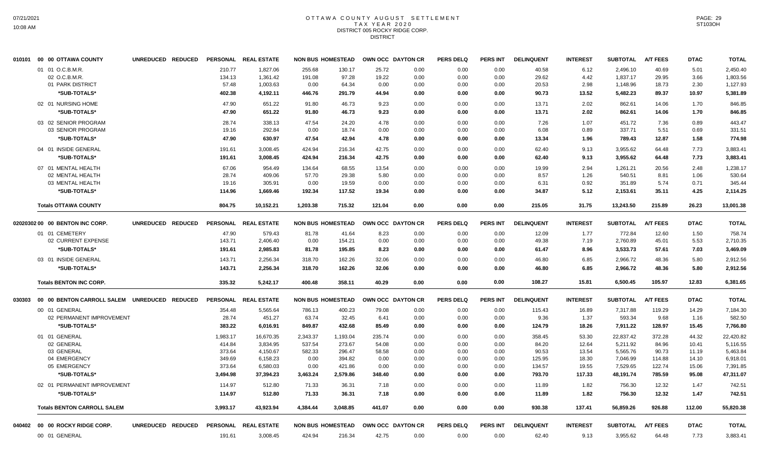### OTTAWA COUNTY AUGUST SETTLEMENT T A X Y E A R 2 0 2 0 DISTRICT 005 ROCKY RIDGE CORP. **DISTRICT**

| 40.58<br>40.69<br>01 01 O.C.B.M.R.<br>210.77<br>1.827.06<br>255.68<br>130.17<br>25.72<br>0.00<br>0.00<br>0.00<br>6.12<br>2.496.10<br>5.01<br>02 O.C.B.M.R.<br>97.28<br>19.22<br>4.42<br>3.66<br>134.13<br>1,361.42<br>191.08<br>0.00<br>0.00<br>0.00<br>29.62<br>1,837.17<br>29.95<br>01 PARK DISTRICT<br>57.48<br>64.34<br>2.30<br>1,003.63<br>0.00<br>0.00<br>0.00<br>0.00<br>0.00<br>20.53<br>2.98<br>1,148.96<br>18.73<br>*SUB-TOTALS*<br>402.38<br>446.76<br>44.94<br>0.00<br>0.00<br>90.73<br>13.52<br>5,482.23<br>89.37<br>10.97<br>4,192.11<br>291.79<br>0.00<br>02 01 NURSING HOME<br>46.73<br>2.02<br>47.90<br>651.22<br>91.80<br>9.23<br>0.00<br>0.00<br>0.00<br>13.71<br>862.61<br>14.06<br>1.70<br>*SUB-TOTALS*<br>862.61<br>47.90<br>651.22<br>91.80<br>46.73<br>9.23<br>0.00<br>0.00<br>0.00<br>13.71<br>2.02<br>14.06<br>1.70<br>03 02 SENIOR PROGRAM<br>28.74<br>338.13<br>47.54<br>24.20<br>4.78<br>0.00<br>0.00<br>0.00<br>7.26<br>1.07<br>451.72<br>7.36<br>0.89<br>5.51<br>03 SENIOR PROGRAM<br>19.16<br>292.84<br>0.00<br>18.74<br>0.00<br>0.00<br>0.00<br>0.00<br>6.08<br>0.89<br>337.71<br>0.69<br>*SUB-TOTALS*<br>47.54<br>42.94<br>12.87<br>1.58<br>47.90<br>630.97<br>4.78<br>0.00<br>0.00<br>0.00<br>13.34<br>1.96<br>789.43<br>04 01 INSIDE GENERAL<br>3,008.45<br>424.94<br>216.34<br>42.75<br>0.00<br>0.00<br>0.00<br>62.40<br>9.13<br>3,955.62<br>64.48<br>7.73<br>191.61<br>42.75<br>3,955.62<br>7.73<br>*SUB-TOTALS*<br>191.61<br>3,008.45<br>424.94<br>216.34<br>0.00<br>0.00<br>0.00<br>62.40<br>9.13<br>64.48<br>07 01 MENTAL HEALTH<br>67.06<br>954.49<br>134.64<br>68.55<br>13.54<br>0.00<br>0.00<br>0.00<br>19.99<br>2.94<br>1,261.21<br>20.56<br>2.48<br>28.74<br>409.06<br>57.70<br>29.38<br>5.80<br>0.00<br>0.00<br>8.57<br>540.51<br>8.81<br>1.06<br>02 MENTAL HEALTH<br>0.00<br>1.26<br>03 MENTAL HEALTH<br>19.16<br>305.91<br>0.00<br>19.59<br>0.00<br>0.00<br>0.00<br>0.00<br>6.31<br>0.92<br>351.89<br>5.74<br>0.71<br>*SUB-TOTALS*<br>192.34<br>117.52<br>5.12<br>4.25<br>114.96<br>1,669.46<br>19.34<br>0.00<br>0.00<br>0.00<br>34.87<br>2,153.61<br>35.11<br><b>Totals OTTAWA COUNTY</b><br>804.75<br>10.152.21<br>1.203.38<br>715.32<br>121.04<br>0.00<br>0.00<br>0.00<br>215.05<br>31.75<br>13.243.50<br>215.89<br>26.23<br>UNREDUCED REDUCED<br>PERSONAL REAL ESTATE<br><b>NON BUS HOMESTEAD</b><br>OWN OCC DAYTON CR<br><b>PERS DELQ</b><br><b>PERS INT</b><br><b>DELINQUENT</b><br><b>INTEREST</b><br><b>SUBTOTAL</b><br><b>A/T FEES</b><br><b>DTAC</b><br>01 01 CEMETERY<br>47.90<br>579.43<br>81.78<br>41.64<br>8.23<br>0.00<br>0.00<br>0.00<br>12.09<br>1.77<br>772.84<br>12.60<br>1.50<br>758.74<br>02 CURRENT EXPENSE<br>143.71<br>2,760.89<br>2,406.40<br>0.00<br>154.21<br>0.00<br>0.00<br>0.00<br>0.00<br>49.38<br>7.19<br>45.01<br>5.53<br>*SUB-TOTALS*<br>191.61<br>2,985.83<br>81.78<br>195.85<br>8.23<br>0.00<br>0.00<br>0.00<br>61.47<br>8.96<br>3,533.73<br>57.61<br>7.03<br>03 01 INSIDE GENERAL<br>143.71<br>2,256.34<br>318.70<br>162.26<br>32.06<br>0.00<br>6.85<br>2,966.72<br>48.36<br>0.00<br>0.00<br>46.80<br>5.80<br>*SUB-TOTALS*<br>143.71<br>2,256.34<br>2,966.72<br>318.70<br>162.26<br>32.06<br>0.00<br>0.00<br>0.00<br>46.80<br>6.85<br>48.36<br>5.80<br><b>Totals BENTON INC CORP.</b><br>335.32<br>5,242.17<br>400.48<br>358.11<br>40.29<br>0.00<br>0.00<br>0.00<br>108.27<br>15.81<br>6,500.45<br>105.97<br>12.83<br>00 00 BENTON CARROLL SALEM UNREDUCED REDUCED<br>PERSONAL REAL ESTATE<br><b>NON BUS HOMESTEAD</b><br>OWN OCC DAYTON CR<br><b>PERS DELQ</b><br>PERS INT<br><b>DELINQUENT</b><br><b>INTEREST</b><br><b>SUBTOTAL</b><br><b>A/T FEES</b><br><b>DTAC</b><br>00 01 GENERAL<br>354.48<br>5,565.64<br>786.13<br>400.23<br>79.08<br>0.00<br>0.00<br>0.00<br>115.43<br>16.89<br>7,317.88<br>119.29<br>14.29<br>02 PERMANENT IMPROVEMENT<br>28.74<br>451.27<br>63.74<br>32.45<br>6.41<br>0.00<br>0.00<br>0.00<br>9.36<br>1.37<br>593.34<br>9.68<br>1.16<br>383.22<br>*SUB-TOTALS*<br>6,016.91<br>849.87<br>432.68<br>85.49<br>0.00<br>0.00<br>0.00<br>124.79<br>18.26<br>7,911.22<br>128.97<br>15.45<br>358.45<br>44.32<br>01 01 GENERAL<br>1,983.17<br>16,670.35<br>2,343.37<br>1,193.04<br>235.74<br>0.00<br>0.00<br>0.00<br>53.30<br>22,837.42<br>372.28<br>02 GENERAL<br>537.54<br>273.67<br>84.20<br>12.64<br>5.211.92<br>84.96<br>414.84<br>3.834.95<br>54.08<br>0.00<br>0.00<br>0.00<br>10.41<br>03 GENERAL<br>373.64<br>4,150.67<br>582.33<br>296.47<br>58.58<br>0.00<br>0.00<br>0.00<br>90.53<br>13.54<br>5,565.76<br>90.73<br>11.19<br>04 EMERGENCY<br>349.69<br>6,158.23<br>0.00<br>394.82<br>0.00<br>0.00<br>0.00<br>0.00<br>125.95<br>18.30<br>7,046.99<br>114.88<br>14.10<br>05 EMERGENCY<br>373.64<br>6.580.03<br>0.00<br>421.86<br>0.00<br>0.00<br>0.00<br>0.00<br>134.57<br>19.55<br>7,529.65<br>122.74<br>15.06<br>*SUB-TOTALS*<br>3.494.98<br>37,394.23<br>3,463.24<br>2,579.86<br>348.40<br>0.00<br>0.00<br>0.00<br>793.70<br>117.33<br>48,191.74<br>785.59<br>95.08<br>02 01 PERMANENT IMPROVEMENT<br>114.97<br>512.80<br>71.33<br>36.31<br>7.18<br>0.00<br>0.00<br>0.00<br>1.82<br>756.30<br>12.32<br>1.47<br>11.89<br>756.30<br>*SUB-TOTALS*<br>114.97<br>512.80<br>71.33<br>36.31<br>0.00<br>1.82<br>12.32<br>1.47<br>7.18<br>0.00<br>0.00<br>11.89<br>112.00<br><b>Totals BENTON CARROLL SALEM</b><br>3,993.17<br>43,923.94<br>4,384.44<br>3,048.85<br>441.07<br>0.00<br>0.00<br>0.00<br>930.38<br>137.41<br>56,859.26<br>926.88<br>00 00 ROCKY RIDGE CORP.<br>UNREDUCED REDUCED<br>PERSONAL REAL ESTATE<br><b>NON BUS HOMESTEAD</b><br>OWN OCC DAYTON CR<br><b>PERS DELQ</b><br>PERS INT<br><b>DELINQUENT</b><br><b>INTEREST</b><br><b>SUBTOTAL</b><br><b>A/T FEES</b><br><b>DTAC</b><br>3,955.62<br>00 01 GENERAL<br>191.61<br>3,008.45<br>424.94<br>216.34<br>42.75<br>0.00<br>0.00<br>0.00<br>62.40<br>9.13<br>64.48<br>7.73 | 010101 00 00 OTTAWA COUNTY | UNREDUCED REDUCED | PERSONAL REAL ESTATE | <b>NON BUS HOMESTEAD</b> | OWN OCC DAYTON CR | <b>PERS DELQ</b> | <b>PERS INT</b> | <b>DELINQUENT</b> | <b>INTEREST</b> | <b>SUBTOTAL</b> | <b>A/T FEES</b> | <b>DTAC</b> | <b>TOTAL</b> |
|-----------------------------------------------------------------------------------------------------------------------------------------------------------------------------------------------------------------------------------------------------------------------------------------------------------------------------------------------------------------------------------------------------------------------------------------------------------------------------------------------------------------------------------------------------------------------------------------------------------------------------------------------------------------------------------------------------------------------------------------------------------------------------------------------------------------------------------------------------------------------------------------------------------------------------------------------------------------------------------------------------------------------------------------------------------------------------------------------------------------------------------------------------------------------------------------------------------------------------------------------------------------------------------------------------------------------------------------------------------------------------------------------------------------------------------------------------------------------------------------------------------------------------------------------------------------------------------------------------------------------------------------------------------------------------------------------------------------------------------------------------------------------------------------------------------------------------------------------------------------------------------------------------------------------------------------------------------------------------------------------------------------------------------------------------------------------------------------------------------------------------------------------------------------------------------------------------------------------------------------------------------------------------------------------------------------------------------------------------------------------------------------------------------------------------------------------------------------------------------------------------------------------------------------------------------------------------------------------------------------------------------------------------------------------------------------------------------------------------------------------------------------------------------------------------------------------------------------------------------------------------------------------------------------------------------------------------------------------------------------------------------------------------------------------------------------------------------------------------------------------------------------------------------------------------------------------------------------------------------------------------------------------------------------------------------------------------------------------------------------------------------------------------------------------------------------------------------------------------------------------------------------------------------------------------------------------------------------------------------------------------------------------------------------------------------------------------------------------------------------------------------------------------------------------------------------------------------------------------------------------------------------------------------------------------------------------------------------------------------------------------------------------------------------------------------------------------------------------------------------------------------------------------------------------------------------------------------------------------------------------------------------------------------------------------------------------------------------------------------------------------------------------------------------------------------------------------------------------------------------------------------------------------------------------------------------------------------------------------------------------------------------------------------------------------------------------------------------------------------------------------------------------------------------------------------------------------------------------------------------------------------------------------------------------------------------------------------------------------------------------------------------------------------------------------------------------------------------------------------------------------------------------------------------------------------------------------------------------------------------------------------------------------------------------------------------------------------------------------------------------------------------------------------------------------------------------------------------------------------------------------------------------------------------------------------------------------------------------------------------------------------------------------------------------------------------------------------------------------------------------------------------------------------------------------------------------------------------------------------|----------------------------|-------------------|----------------------|--------------------------|-------------------|------------------|-----------------|-------------------|-----------------|-----------------|-----------------|-------------|--------------|
| 02020302 00 00 BENTON INC CORP.<br>030303<br>040402                                                                                                                                                                                                                                                                                                                                                                                                                                                                                                                                                                                                                                                                                                                                                                                                                                                                                                                                                                                                                                                                                                                                                                                                                                                                                                                                                                                                                                                                                                                                                                                                                                                                                                                                                                                                                                                                                                                                                                                                                                                                                                                                                                                                                                                                                                                                                                                                                                                                                                                                                                                                                                                                                                                                                                                                                                                                                                                                                                                                                                                                                                                                                                                                                                                                                                                                                                                                                                                                                                                                                                                                                                                                                                                                                                                                                                                                                                                                                                                                                                                                                                                                                                                                                                                                                                                                                                                                                                                                                                                                                                                                                                                                                                                                                                                                                                                                                                                                                                                                                                                                                                                                                                                                                                                                                                                                                                                                                                                                                                                                                                                                                                                                                                                                                                                                       |                            |                   |                      |                          |                   |                  |                 |                   |                 |                 |                 |             | 2,450.40     |
|                                                                                                                                                                                                                                                                                                                                                                                                                                                                                                                                                                                                                                                                                                                                                                                                                                                                                                                                                                                                                                                                                                                                                                                                                                                                                                                                                                                                                                                                                                                                                                                                                                                                                                                                                                                                                                                                                                                                                                                                                                                                                                                                                                                                                                                                                                                                                                                                                                                                                                                                                                                                                                                                                                                                                                                                                                                                                                                                                                                                                                                                                                                                                                                                                                                                                                                                                                                                                                                                                                                                                                                                                                                                                                                                                                                                                                                                                                                                                                                                                                                                                                                                                                                                                                                                                                                                                                                                                                                                                                                                                                                                                                                                                                                                                                                                                                                                                                                                                                                                                                                                                                                                                                                                                                                                                                                                                                                                                                                                                                                                                                                                                                                                                                                                                                                                                                                           |                            |                   |                      |                          |                   |                  |                 |                   |                 |                 |                 |             | 1,803.56     |
|                                                                                                                                                                                                                                                                                                                                                                                                                                                                                                                                                                                                                                                                                                                                                                                                                                                                                                                                                                                                                                                                                                                                                                                                                                                                                                                                                                                                                                                                                                                                                                                                                                                                                                                                                                                                                                                                                                                                                                                                                                                                                                                                                                                                                                                                                                                                                                                                                                                                                                                                                                                                                                                                                                                                                                                                                                                                                                                                                                                                                                                                                                                                                                                                                                                                                                                                                                                                                                                                                                                                                                                                                                                                                                                                                                                                                                                                                                                                                                                                                                                                                                                                                                                                                                                                                                                                                                                                                                                                                                                                                                                                                                                                                                                                                                                                                                                                                                                                                                                                                                                                                                                                                                                                                                                                                                                                                                                                                                                                                                                                                                                                                                                                                                                                                                                                                                                           |                            |                   |                      |                          |                   |                  |                 |                   |                 |                 |                 |             | 1,127.93     |
|                                                                                                                                                                                                                                                                                                                                                                                                                                                                                                                                                                                                                                                                                                                                                                                                                                                                                                                                                                                                                                                                                                                                                                                                                                                                                                                                                                                                                                                                                                                                                                                                                                                                                                                                                                                                                                                                                                                                                                                                                                                                                                                                                                                                                                                                                                                                                                                                                                                                                                                                                                                                                                                                                                                                                                                                                                                                                                                                                                                                                                                                                                                                                                                                                                                                                                                                                                                                                                                                                                                                                                                                                                                                                                                                                                                                                                                                                                                                                                                                                                                                                                                                                                                                                                                                                                                                                                                                                                                                                                                                                                                                                                                                                                                                                                                                                                                                                                                                                                                                                                                                                                                                                                                                                                                                                                                                                                                                                                                                                                                                                                                                                                                                                                                                                                                                                                                           |                            |                   |                      |                          |                   |                  |                 |                   |                 |                 |                 |             | 5,381.89     |
|                                                                                                                                                                                                                                                                                                                                                                                                                                                                                                                                                                                                                                                                                                                                                                                                                                                                                                                                                                                                                                                                                                                                                                                                                                                                                                                                                                                                                                                                                                                                                                                                                                                                                                                                                                                                                                                                                                                                                                                                                                                                                                                                                                                                                                                                                                                                                                                                                                                                                                                                                                                                                                                                                                                                                                                                                                                                                                                                                                                                                                                                                                                                                                                                                                                                                                                                                                                                                                                                                                                                                                                                                                                                                                                                                                                                                                                                                                                                                                                                                                                                                                                                                                                                                                                                                                                                                                                                                                                                                                                                                                                                                                                                                                                                                                                                                                                                                                                                                                                                                                                                                                                                                                                                                                                                                                                                                                                                                                                                                                                                                                                                                                                                                                                                                                                                                                                           |                            |                   |                      |                          |                   |                  |                 |                   |                 |                 |                 |             | 846.85       |
|                                                                                                                                                                                                                                                                                                                                                                                                                                                                                                                                                                                                                                                                                                                                                                                                                                                                                                                                                                                                                                                                                                                                                                                                                                                                                                                                                                                                                                                                                                                                                                                                                                                                                                                                                                                                                                                                                                                                                                                                                                                                                                                                                                                                                                                                                                                                                                                                                                                                                                                                                                                                                                                                                                                                                                                                                                                                                                                                                                                                                                                                                                                                                                                                                                                                                                                                                                                                                                                                                                                                                                                                                                                                                                                                                                                                                                                                                                                                                                                                                                                                                                                                                                                                                                                                                                                                                                                                                                                                                                                                                                                                                                                                                                                                                                                                                                                                                                                                                                                                                                                                                                                                                                                                                                                                                                                                                                                                                                                                                                                                                                                                                                                                                                                                                                                                                                                           |                            |                   |                      |                          |                   |                  |                 |                   |                 |                 |                 |             | 846.85       |
|                                                                                                                                                                                                                                                                                                                                                                                                                                                                                                                                                                                                                                                                                                                                                                                                                                                                                                                                                                                                                                                                                                                                                                                                                                                                                                                                                                                                                                                                                                                                                                                                                                                                                                                                                                                                                                                                                                                                                                                                                                                                                                                                                                                                                                                                                                                                                                                                                                                                                                                                                                                                                                                                                                                                                                                                                                                                                                                                                                                                                                                                                                                                                                                                                                                                                                                                                                                                                                                                                                                                                                                                                                                                                                                                                                                                                                                                                                                                                                                                                                                                                                                                                                                                                                                                                                                                                                                                                                                                                                                                                                                                                                                                                                                                                                                                                                                                                                                                                                                                                                                                                                                                                                                                                                                                                                                                                                                                                                                                                                                                                                                                                                                                                                                                                                                                                                                           |                            |                   |                      |                          |                   |                  |                 |                   |                 |                 |                 |             | 443.47       |
|                                                                                                                                                                                                                                                                                                                                                                                                                                                                                                                                                                                                                                                                                                                                                                                                                                                                                                                                                                                                                                                                                                                                                                                                                                                                                                                                                                                                                                                                                                                                                                                                                                                                                                                                                                                                                                                                                                                                                                                                                                                                                                                                                                                                                                                                                                                                                                                                                                                                                                                                                                                                                                                                                                                                                                                                                                                                                                                                                                                                                                                                                                                                                                                                                                                                                                                                                                                                                                                                                                                                                                                                                                                                                                                                                                                                                                                                                                                                                                                                                                                                                                                                                                                                                                                                                                                                                                                                                                                                                                                                                                                                                                                                                                                                                                                                                                                                                                                                                                                                                                                                                                                                                                                                                                                                                                                                                                                                                                                                                                                                                                                                                                                                                                                                                                                                                                                           |                            |                   |                      |                          |                   |                  |                 |                   |                 |                 |                 |             | 331.51       |
|                                                                                                                                                                                                                                                                                                                                                                                                                                                                                                                                                                                                                                                                                                                                                                                                                                                                                                                                                                                                                                                                                                                                                                                                                                                                                                                                                                                                                                                                                                                                                                                                                                                                                                                                                                                                                                                                                                                                                                                                                                                                                                                                                                                                                                                                                                                                                                                                                                                                                                                                                                                                                                                                                                                                                                                                                                                                                                                                                                                                                                                                                                                                                                                                                                                                                                                                                                                                                                                                                                                                                                                                                                                                                                                                                                                                                                                                                                                                                                                                                                                                                                                                                                                                                                                                                                                                                                                                                                                                                                                                                                                                                                                                                                                                                                                                                                                                                                                                                                                                                                                                                                                                                                                                                                                                                                                                                                                                                                                                                                                                                                                                                                                                                                                                                                                                                                                           |                            |                   |                      |                          |                   |                  |                 |                   |                 |                 |                 |             | 774.98       |
|                                                                                                                                                                                                                                                                                                                                                                                                                                                                                                                                                                                                                                                                                                                                                                                                                                                                                                                                                                                                                                                                                                                                                                                                                                                                                                                                                                                                                                                                                                                                                                                                                                                                                                                                                                                                                                                                                                                                                                                                                                                                                                                                                                                                                                                                                                                                                                                                                                                                                                                                                                                                                                                                                                                                                                                                                                                                                                                                                                                                                                                                                                                                                                                                                                                                                                                                                                                                                                                                                                                                                                                                                                                                                                                                                                                                                                                                                                                                                                                                                                                                                                                                                                                                                                                                                                                                                                                                                                                                                                                                                                                                                                                                                                                                                                                                                                                                                                                                                                                                                                                                                                                                                                                                                                                                                                                                                                                                                                                                                                                                                                                                                                                                                                                                                                                                                                                           |                            |                   |                      |                          |                   |                  |                 |                   |                 |                 |                 |             | 3,883.41     |
|                                                                                                                                                                                                                                                                                                                                                                                                                                                                                                                                                                                                                                                                                                                                                                                                                                                                                                                                                                                                                                                                                                                                                                                                                                                                                                                                                                                                                                                                                                                                                                                                                                                                                                                                                                                                                                                                                                                                                                                                                                                                                                                                                                                                                                                                                                                                                                                                                                                                                                                                                                                                                                                                                                                                                                                                                                                                                                                                                                                                                                                                                                                                                                                                                                                                                                                                                                                                                                                                                                                                                                                                                                                                                                                                                                                                                                                                                                                                                                                                                                                                                                                                                                                                                                                                                                                                                                                                                                                                                                                                                                                                                                                                                                                                                                                                                                                                                                                                                                                                                                                                                                                                                                                                                                                                                                                                                                                                                                                                                                                                                                                                                                                                                                                                                                                                                                                           |                            |                   |                      |                          |                   |                  |                 |                   |                 |                 |                 |             | 3,883.41     |
|                                                                                                                                                                                                                                                                                                                                                                                                                                                                                                                                                                                                                                                                                                                                                                                                                                                                                                                                                                                                                                                                                                                                                                                                                                                                                                                                                                                                                                                                                                                                                                                                                                                                                                                                                                                                                                                                                                                                                                                                                                                                                                                                                                                                                                                                                                                                                                                                                                                                                                                                                                                                                                                                                                                                                                                                                                                                                                                                                                                                                                                                                                                                                                                                                                                                                                                                                                                                                                                                                                                                                                                                                                                                                                                                                                                                                                                                                                                                                                                                                                                                                                                                                                                                                                                                                                                                                                                                                                                                                                                                                                                                                                                                                                                                                                                                                                                                                                                                                                                                                                                                                                                                                                                                                                                                                                                                                                                                                                                                                                                                                                                                                                                                                                                                                                                                                                                           |                            |                   |                      |                          |                   |                  |                 |                   |                 |                 |                 |             | 1,238.17     |
|                                                                                                                                                                                                                                                                                                                                                                                                                                                                                                                                                                                                                                                                                                                                                                                                                                                                                                                                                                                                                                                                                                                                                                                                                                                                                                                                                                                                                                                                                                                                                                                                                                                                                                                                                                                                                                                                                                                                                                                                                                                                                                                                                                                                                                                                                                                                                                                                                                                                                                                                                                                                                                                                                                                                                                                                                                                                                                                                                                                                                                                                                                                                                                                                                                                                                                                                                                                                                                                                                                                                                                                                                                                                                                                                                                                                                                                                                                                                                                                                                                                                                                                                                                                                                                                                                                                                                                                                                                                                                                                                                                                                                                                                                                                                                                                                                                                                                                                                                                                                                                                                                                                                                                                                                                                                                                                                                                                                                                                                                                                                                                                                                                                                                                                                                                                                                                                           |                            |                   |                      |                          |                   |                  |                 |                   |                 |                 |                 |             | 530.64       |
|                                                                                                                                                                                                                                                                                                                                                                                                                                                                                                                                                                                                                                                                                                                                                                                                                                                                                                                                                                                                                                                                                                                                                                                                                                                                                                                                                                                                                                                                                                                                                                                                                                                                                                                                                                                                                                                                                                                                                                                                                                                                                                                                                                                                                                                                                                                                                                                                                                                                                                                                                                                                                                                                                                                                                                                                                                                                                                                                                                                                                                                                                                                                                                                                                                                                                                                                                                                                                                                                                                                                                                                                                                                                                                                                                                                                                                                                                                                                                                                                                                                                                                                                                                                                                                                                                                                                                                                                                                                                                                                                                                                                                                                                                                                                                                                                                                                                                                                                                                                                                                                                                                                                                                                                                                                                                                                                                                                                                                                                                                                                                                                                                                                                                                                                                                                                                                                           |                            |                   |                      |                          |                   |                  |                 |                   |                 |                 |                 |             | 345.44       |
|                                                                                                                                                                                                                                                                                                                                                                                                                                                                                                                                                                                                                                                                                                                                                                                                                                                                                                                                                                                                                                                                                                                                                                                                                                                                                                                                                                                                                                                                                                                                                                                                                                                                                                                                                                                                                                                                                                                                                                                                                                                                                                                                                                                                                                                                                                                                                                                                                                                                                                                                                                                                                                                                                                                                                                                                                                                                                                                                                                                                                                                                                                                                                                                                                                                                                                                                                                                                                                                                                                                                                                                                                                                                                                                                                                                                                                                                                                                                                                                                                                                                                                                                                                                                                                                                                                                                                                                                                                                                                                                                                                                                                                                                                                                                                                                                                                                                                                                                                                                                                                                                                                                                                                                                                                                                                                                                                                                                                                                                                                                                                                                                                                                                                                                                                                                                                                                           |                            |                   |                      |                          |                   |                  |                 |                   |                 |                 |                 |             | 2,114.25     |
|                                                                                                                                                                                                                                                                                                                                                                                                                                                                                                                                                                                                                                                                                                                                                                                                                                                                                                                                                                                                                                                                                                                                                                                                                                                                                                                                                                                                                                                                                                                                                                                                                                                                                                                                                                                                                                                                                                                                                                                                                                                                                                                                                                                                                                                                                                                                                                                                                                                                                                                                                                                                                                                                                                                                                                                                                                                                                                                                                                                                                                                                                                                                                                                                                                                                                                                                                                                                                                                                                                                                                                                                                                                                                                                                                                                                                                                                                                                                                                                                                                                                                                                                                                                                                                                                                                                                                                                                                                                                                                                                                                                                                                                                                                                                                                                                                                                                                                                                                                                                                                                                                                                                                                                                                                                                                                                                                                                                                                                                                                                                                                                                                                                                                                                                                                                                                                                           |                            |                   |                      |                          |                   |                  |                 |                   |                 |                 |                 |             | 13,001.38    |
|                                                                                                                                                                                                                                                                                                                                                                                                                                                                                                                                                                                                                                                                                                                                                                                                                                                                                                                                                                                                                                                                                                                                                                                                                                                                                                                                                                                                                                                                                                                                                                                                                                                                                                                                                                                                                                                                                                                                                                                                                                                                                                                                                                                                                                                                                                                                                                                                                                                                                                                                                                                                                                                                                                                                                                                                                                                                                                                                                                                                                                                                                                                                                                                                                                                                                                                                                                                                                                                                                                                                                                                                                                                                                                                                                                                                                                                                                                                                                                                                                                                                                                                                                                                                                                                                                                                                                                                                                                                                                                                                                                                                                                                                                                                                                                                                                                                                                                                                                                                                                                                                                                                                                                                                                                                                                                                                                                                                                                                                                                                                                                                                                                                                                                                                                                                                                                                           |                            |                   |                      |                          |                   |                  |                 |                   |                 |                 |                 |             | <b>TOTAL</b> |
|                                                                                                                                                                                                                                                                                                                                                                                                                                                                                                                                                                                                                                                                                                                                                                                                                                                                                                                                                                                                                                                                                                                                                                                                                                                                                                                                                                                                                                                                                                                                                                                                                                                                                                                                                                                                                                                                                                                                                                                                                                                                                                                                                                                                                                                                                                                                                                                                                                                                                                                                                                                                                                                                                                                                                                                                                                                                                                                                                                                                                                                                                                                                                                                                                                                                                                                                                                                                                                                                                                                                                                                                                                                                                                                                                                                                                                                                                                                                                                                                                                                                                                                                                                                                                                                                                                                                                                                                                                                                                                                                                                                                                                                                                                                                                                                                                                                                                                                                                                                                                                                                                                                                                                                                                                                                                                                                                                                                                                                                                                                                                                                                                                                                                                                                                                                                                                                           |                            |                   |                      |                          |                   |                  |                 |                   |                 |                 |                 |             |              |
|                                                                                                                                                                                                                                                                                                                                                                                                                                                                                                                                                                                                                                                                                                                                                                                                                                                                                                                                                                                                                                                                                                                                                                                                                                                                                                                                                                                                                                                                                                                                                                                                                                                                                                                                                                                                                                                                                                                                                                                                                                                                                                                                                                                                                                                                                                                                                                                                                                                                                                                                                                                                                                                                                                                                                                                                                                                                                                                                                                                                                                                                                                                                                                                                                                                                                                                                                                                                                                                                                                                                                                                                                                                                                                                                                                                                                                                                                                                                                                                                                                                                                                                                                                                                                                                                                                                                                                                                                                                                                                                                                                                                                                                                                                                                                                                                                                                                                                                                                                                                                                                                                                                                                                                                                                                                                                                                                                                                                                                                                                                                                                                                                                                                                                                                                                                                                                                           |                            |                   |                      |                          |                   |                  |                 |                   |                 |                 |                 |             | 2,710.35     |
|                                                                                                                                                                                                                                                                                                                                                                                                                                                                                                                                                                                                                                                                                                                                                                                                                                                                                                                                                                                                                                                                                                                                                                                                                                                                                                                                                                                                                                                                                                                                                                                                                                                                                                                                                                                                                                                                                                                                                                                                                                                                                                                                                                                                                                                                                                                                                                                                                                                                                                                                                                                                                                                                                                                                                                                                                                                                                                                                                                                                                                                                                                                                                                                                                                                                                                                                                                                                                                                                                                                                                                                                                                                                                                                                                                                                                                                                                                                                                                                                                                                                                                                                                                                                                                                                                                                                                                                                                                                                                                                                                                                                                                                                                                                                                                                                                                                                                                                                                                                                                                                                                                                                                                                                                                                                                                                                                                                                                                                                                                                                                                                                                                                                                                                                                                                                                                                           |                            |                   |                      |                          |                   |                  |                 |                   |                 |                 |                 |             | 3,469.09     |
|                                                                                                                                                                                                                                                                                                                                                                                                                                                                                                                                                                                                                                                                                                                                                                                                                                                                                                                                                                                                                                                                                                                                                                                                                                                                                                                                                                                                                                                                                                                                                                                                                                                                                                                                                                                                                                                                                                                                                                                                                                                                                                                                                                                                                                                                                                                                                                                                                                                                                                                                                                                                                                                                                                                                                                                                                                                                                                                                                                                                                                                                                                                                                                                                                                                                                                                                                                                                                                                                                                                                                                                                                                                                                                                                                                                                                                                                                                                                                                                                                                                                                                                                                                                                                                                                                                                                                                                                                                                                                                                                                                                                                                                                                                                                                                                                                                                                                                                                                                                                                                                                                                                                                                                                                                                                                                                                                                                                                                                                                                                                                                                                                                                                                                                                                                                                                                                           |                            |                   |                      |                          |                   |                  |                 |                   |                 |                 |                 |             | 2,912.56     |
|                                                                                                                                                                                                                                                                                                                                                                                                                                                                                                                                                                                                                                                                                                                                                                                                                                                                                                                                                                                                                                                                                                                                                                                                                                                                                                                                                                                                                                                                                                                                                                                                                                                                                                                                                                                                                                                                                                                                                                                                                                                                                                                                                                                                                                                                                                                                                                                                                                                                                                                                                                                                                                                                                                                                                                                                                                                                                                                                                                                                                                                                                                                                                                                                                                                                                                                                                                                                                                                                                                                                                                                                                                                                                                                                                                                                                                                                                                                                                                                                                                                                                                                                                                                                                                                                                                                                                                                                                                                                                                                                                                                                                                                                                                                                                                                                                                                                                                                                                                                                                                                                                                                                                                                                                                                                                                                                                                                                                                                                                                                                                                                                                                                                                                                                                                                                                                                           |                            |                   |                      |                          |                   |                  |                 |                   |                 |                 |                 |             | 2,912.56     |
|                                                                                                                                                                                                                                                                                                                                                                                                                                                                                                                                                                                                                                                                                                                                                                                                                                                                                                                                                                                                                                                                                                                                                                                                                                                                                                                                                                                                                                                                                                                                                                                                                                                                                                                                                                                                                                                                                                                                                                                                                                                                                                                                                                                                                                                                                                                                                                                                                                                                                                                                                                                                                                                                                                                                                                                                                                                                                                                                                                                                                                                                                                                                                                                                                                                                                                                                                                                                                                                                                                                                                                                                                                                                                                                                                                                                                                                                                                                                                                                                                                                                                                                                                                                                                                                                                                                                                                                                                                                                                                                                                                                                                                                                                                                                                                                                                                                                                                                                                                                                                                                                                                                                                                                                                                                                                                                                                                                                                                                                                                                                                                                                                                                                                                                                                                                                                                                           |                            |                   |                      |                          |                   |                  |                 |                   |                 |                 |                 |             | 6,381.65     |
|                                                                                                                                                                                                                                                                                                                                                                                                                                                                                                                                                                                                                                                                                                                                                                                                                                                                                                                                                                                                                                                                                                                                                                                                                                                                                                                                                                                                                                                                                                                                                                                                                                                                                                                                                                                                                                                                                                                                                                                                                                                                                                                                                                                                                                                                                                                                                                                                                                                                                                                                                                                                                                                                                                                                                                                                                                                                                                                                                                                                                                                                                                                                                                                                                                                                                                                                                                                                                                                                                                                                                                                                                                                                                                                                                                                                                                                                                                                                                                                                                                                                                                                                                                                                                                                                                                                                                                                                                                                                                                                                                                                                                                                                                                                                                                                                                                                                                                                                                                                                                                                                                                                                                                                                                                                                                                                                                                                                                                                                                                                                                                                                                                                                                                                                                                                                                                                           |                            |                   |                      |                          |                   |                  |                 |                   |                 |                 |                 |             | <b>TOTAL</b> |
|                                                                                                                                                                                                                                                                                                                                                                                                                                                                                                                                                                                                                                                                                                                                                                                                                                                                                                                                                                                                                                                                                                                                                                                                                                                                                                                                                                                                                                                                                                                                                                                                                                                                                                                                                                                                                                                                                                                                                                                                                                                                                                                                                                                                                                                                                                                                                                                                                                                                                                                                                                                                                                                                                                                                                                                                                                                                                                                                                                                                                                                                                                                                                                                                                                                                                                                                                                                                                                                                                                                                                                                                                                                                                                                                                                                                                                                                                                                                                                                                                                                                                                                                                                                                                                                                                                                                                                                                                                                                                                                                                                                                                                                                                                                                                                                                                                                                                                                                                                                                                                                                                                                                                                                                                                                                                                                                                                                                                                                                                                                                                                                                                                                                                                                                                                                                                                                           |                            |                   |                      |                          |                   |                  |                 |                   |                 |                 |                 |             | 7.184.30     |
|                                                                                                                                                                                                                                                                                                                                                                                                                                                                                                                                                                                                                                                                                                                                                                                                                                                                                                                                                                                                                                                                                                                                                                                                                                                                                                                                                                                                                                                                                                                                                                                                                                                                                                                                                                                                                                                                                                                                                                                                                                                                                                                                                                                                                                                                                                                                                                                                                                                                                                                                                                                                                                                                                                                                                                                                                                                                                                                                                                                                                                                                                                                                                                                                                                                                                                                                                                                                                                                                                                                                                                                                                                                                                                                                                                                                                                                                                                                                                                                                                                                                                                                                                                                                                                                                                                                                                                                                                                                                                                                                                                                                                                                                                                                                                                                                                                                                                                                                                                                                                                                                                                                                                                                                                                                                                                                                                                                                                                                                                                                                                                                                                                                                                                                                                                                                                                                           |                            |                   |                      |                          |                   |                  |                 |                   |                 |                 |                 |             | 582.50       |
|                                                                                                                                                                                                                                                                                                                                                                                                                                                                                                                                                                                                                                                                                                                                                                                                                                                                                                                                                                                                                                                                                                                                                                                                                                                                                                                                                                                                                                                                                                                                                                                                                                                                                                                                                                                                                                                                                                                                                                                                                                                                                                                                                                                                                                                                                                                                                                                                                                                                                                                                                                                                                                                                                                                                                                                                                                                                                                                                                                                                                                                                                                                                                                                                                                                                                                                                                                                                                                                                                                                                                                                                                                                                                                                                                                                                                                                                                                                                                                                                                                                                                                                                                                                                                                                                                                                                                                                                                                                                                                                                                                                                                                                                                                                                                                                                                                                                                                                                                                                                                                                                                                                                                                                                                                                                                                                                                                                                                                                                                                                                                                                                                                                                                                                                                                                                                                                           |                            |                   |                      |                          |                   |                  |                 |                   |                 |                 |                 |             | 7,766.80     |
|                                                                                                                                                                                                                                                                                                                                                                                                                                                                                                                                                                                                                                                                                                                                                                                                                                                                                                                                                                                                                                                                                                                                                                                                                                                                                                                                                                                                                                                                                                                                                                                                                                                                                                                                                                                                                                                                                                                                                                                                                                                                                                                                                                                                                                                                                                                                                                                                                                                                                                                                                                                                                                                                                                                                                                                                                                                                                                                                                                                                                                                                                                                                                                                                                                                                                                                                                                                                                                                                                                                                                                                                                                                                                                                                                                                                                                                                                                                                                                                                                                                                                                                                                                                                                                                                                                                                                                                                                                                                                                                                                                                                                                                                                                                                                                                                                                                                                                                                                                                                                                                                                                                                                                                                                                                                                                                                                                                                                                                                                                                                                                                                                                                                                                                                                                                                                                                           |                            |                   |                      |                          |                   |                  |                 |                   |                 |                 |                 |             | 22,420.82    |
|                                                                                                                                                                                                                                                                                                                                                                                                                                                                                                                                                                                                                                                                                                                                                                                                                                                                                                                                                                                                                                                                                                                                                                                                                                                                                                                                                                                                                                                                                                                                                                                                                                                                                                                                                                                                                                                                                                                                                                                                                                                                                                                                                                                                                                                                                                                                                                                                                                                                                                                                                                                                                                                                                                                                                                                                                                                                                                                                                                                                                                                                                                                                                                                                                                                                                                                                                                                                                                                                                                                                                                                                                                                                                                                                                                                                                                                                                                                                                                                                                                                                                                                                                                                                                                                                                                                                                                                                                                                                                                                                                                                                                                                                                                                                                                                                                                                                                                                                                                                                                                                                                                                                                                                                                                                                                                                                                                                                                                                                                                                                                                                                                                                                                                                                                                                                                                                           |                            |                   |                      |                          |                   |                  |                 |                   |                 |                 |                 |             | 5,116.55     |
|                                                                                                                                                                                                                                                                                                                                                                                                                                                                                                                                                                                                                                                                                                                                                                                                                                                                                                                                                                                                                                                                                                                                                                                                                                                                                                                                                                                                                                                                                                                                                                                                                                                                                                                                                                                                                                                                                                                                                                                                                                                                                                                                                                                                                                                                                                                                                                                                                                                                                                                                                                                                                                                                                                                                                                                                                                                                                                                                                                                                                                                                                                                                                                                                                                                                                                                                                                                                                                                                                                                                                                                                                                                                                                                                                                                                                                                                                                                                                                                                                                                                                                                                                                                                                                                                                                                                                                                                                                                                                                                                                                                                                                                                                                                                                                                                                                                                                                                                                                                                                                                                                                                                                                                                                                                                                                                                                                                                                                                                                                                                                                                                                                                                                                                                                                                                                                                           |                            |                   |                      |                          |                   |                  |                 |                   |                 |                 |                 |             | 5,463.84     |
|                                                                                                                                                                                                                                                                                                                                                                                                                                                                                                                                                                                                                                                                                                                                                                                                                                                                                                                                                                                                                                                                                                                                                                                                                                                                                                                                                                                                                                                                                                                                                                                                                                                                                                                                                                                                                                                                                                                                                                                                                                                                                                                                                                                                                                                                                                                                                                                                                                                                                                                                                                                                                                                                                                                                                                                                                                                                                                                                                                                                                                                                                                                                                                                                                                                                                                                                                                                                                                                                                                                                                                                                                                                                                                                                                                                                                                                                                                                                                                                                                                                                                                                                                                                                                                                                                                                                                                                                                                                                                                                                                                                                                                                                                                                                                                                                                                                                                                                                                                                                                                                                                                                                                                                                                                                                                                                                                                                                                                                                                                                                                                                                                                                                                                                                                                                                                                                           |                            |                   |                      |                          |                   |                  |                 |                   |                 |                 |                 |             | 6,918.01     |
|                                                                                                                                                                                                                                                                                                                                                                                                                                                                                                                                                                                                                                                                                                                                                                                                                                                                                                                                                                                                                                                                                                                                                                                                                                                                                                                                                                                                                                                                                                                                                                                                                                                                                                                                                                                                                                                                                                                                                                                                                                                                                                                                                                                                                                                                                                                                                                                                                                                                                                                                                                                                                                                                                                                                                                                                                                                                                                                                                                                                                                                                                                                                                                                                                                                                                                                                                                                                                                                                                                                                                                                                                                                                                                                                                                                                                                                                                                                                                                                                                                                                                                                                                                                                                                                                                                                                                                                                                                                                                                                                                                                                                                                                                                                                                                                                                                                                                                                                                                                                                                                                                                                                                                                                                                                                                                                                                                                                                                                                                                                                                                                                                                                                                                                                                                                                                                                           |                            |                   |                      |                          |                   |                  |                 |                   |                 |                 |                 |             | 7,391.85     |
|                                                                                                                                                                                                                                                                                                                                                                                                                                                                                                                                                                                                                                                                                                                                                                                                                                                                                                                                                                                                                                                                                                                                                                                                                                                                                                                                                                                                                                                                                                                                                                                                                                                                                                                                                                                                                                                                                                                                                                                                                                                                                                                                                                                                                                                                                                                                                                                                                                                                                                                                                                                                                                                                                                                                                                                                                                                                                                                                                                                                                                                                                                                                                                                                                                                                                                                                                                                                                                                                                                                                                                                                                                                                                                                                                                                                                                                                                                                                                                                                                                                                                                                                                                                                                                                                                                                                                                                                                                                                                                                                                                                                                                                                                                                                                                                                                                                                                                                                                                                                                                                                                                                                                                                                                                                                                                                                                                                                                                                                                                                                                                                                                                                                                                                                                                                                                                                           |                            |                   |                      |                          |                   |                  |                 |                   |                 |                 |                 |             | 47,311.07    |
|                                                                                                                                                                                                                                                                                                                                                                                                                                                                                                                                                                                                                                                                                                                                                                                                                                                                                                                                                                                                                                                                                                                                                                                                                                                                                                                                                                                                                                                                                                                                                                                                                                                                                                                                                                                                                                                                                                                                                                                                                                                                                                                                                                                                                                                                                                                                                                                                                                                                                                                                                                                                                                                                                                                                                                                                                                                                                                                                                                                                                                                                                                                                                                                                                                                                                                                                                                                                                                                                                                                                                                                                                                                                                                                                                                                                                                                                                                                                                                                                                                                                                                                                                                                                                                                                                                                                                                                                                                                                                                                                                                                                                                                                                                                                                                                                                                                                                                                                                                                                                                                                                                                                                                                                                                                                                                                                                                                                                                                                                                                                                                                                                                                                                                                                                                                                                                                           |                            |                   |                      |                          |                   |                  |                 |                   |                 |                 |                 |             | 742.51       |
|                                                                                                                                                                                                                                                                                                                                                                                                                                                                                                                                                                                                                                                                                                                                                                                                                                                                                                                                                                                                                                                                                                                                                                                                                                                                                                                                                                                                                                                                                                                                                                                                                                                                                                                                                                                                                                                                                                                                                                                                                                                                                                                                                                                                                                                                                                                                                                                                                                                                                                                                                                                                                                                                                                                                                                                                                                                                                                                                                                                                                                                                                                                                                                                                                                                                                                                                                                                                                                                                                                                                                                                                                                                                                                                                                                                                                                                                                                                                                                                                                                                                                                                                                                                                                                                                                                                                                                                                                                                                                                                                                                                                                                                                                                                                                                                                                                                                                                                                                                                                                                                                                                                                                                                                                                                                                                                                                                                                                                                                                                                                                                                                                                                                                                                                                                                                                                                           |                            |                   |                      |                          |                   |                  |                 |                   |                 |                 |                 |             | 742.51       |
|                                                                                                                                                                                                                                                                                                                                                                                                                                                                                                                                                                                                                                                                                                                                                                                                                                                                                                                                                                                                                                                                                                                                                                                                                                                                                                                                                                                                                                                                                                                                                                                                                                                                                                                                                                                                                                                                                                                                                                                                                                                                                                                                                                                                                                                                                                                                                                                                                                                                                                                                                                                                                                                                                                                                                                                                                                                                                                                                                                                                                                                                                                                                                                                                                                                                                                                                                                                                                                                                                                                                                                                                                                                                                                                                                                                                                                                                                                                                                                                                                                                                                                                                                                                                                                                                                                                                                                                                                                                                                                                                                                                                                                                                                                                                                                                                                                                                                                                                                                                                                                                                                                                                                                                                                                                                                                                                                                                                                                                                                                                                                                                                                                                                                                                                                                                                                                                           |                            |                   |                      |                          |                   |                  |                 |                   |                 |                 |                 |             | 55,820.38    |
|                                                                                                                                                                                                                                                                                                                                                                                                                                                                                                                                                                                                                                                                                                                                                                                                                                                                                                                                                                                                                                                                                                                                                                                                                                                                                                                                                                                                                                                                                                                                                                                                                                                                                                                                                                                                                                                                                                                                                                                                                                                                                                                                                                                                                                                                                                                                                                                                                                                                                                                                                                                                                                                                                                                                                                                                                                                                                                                                                                                                                                                                                                                                                                                                                                                                                                                                                                                                                                                                                                                                                                                                                                                                                                                                                                                                                                                                                                                                                                                                                                                                                                                                                                                                                                                                                                                                                                                                                                                                                                                                                                                                                                                                                                                                                                                                                                                                                                                                                                                                                                                                                                                                                                                                                                                                                                                                                                                                                                                                                                                                                                                                                                                                                                                                                                                                                                                           |                            |                   |                      |                          |                   |                  |                 |                   |                 |                 |                 |             | <b>TOTAL</b> |
|                                                                                                                                                                                                                                                                                                                                                                                                                                                                                                                                                                                                                                                                                                                                                                                                                                                                                                                                                                                                                                                                                                                                                                                                                                                                                                                                                                                                                                                                                                                                                                                                                                                                                                                                                                                                                                                                                                                                                                                                                                                                                                                                                                                                                                                                                                                                                                                                                                                                                                                                                                                                                                                                                                                                                                                                                                                                                                                                                                                                                                                                                                                                                                                                                                                                                                                                                                                                                                                                                                                                                                                                                                                                                                                                                                                                                                                                                                                                                                                                                                                                                                                                                                                                                                                                                                                                                                                                                                                                                                                                                                                                                                                                                                                                                                                                                                                                                                                                                                                                                                                                                                                                                                                                                                                                                                                                                                                                                                                                                                                                                                                                                                                                                                                                                                                                                                                           |                            |                   |                      |                          |                   |                  |                 |                   |                 |                 |                 |             | 3,883.41     |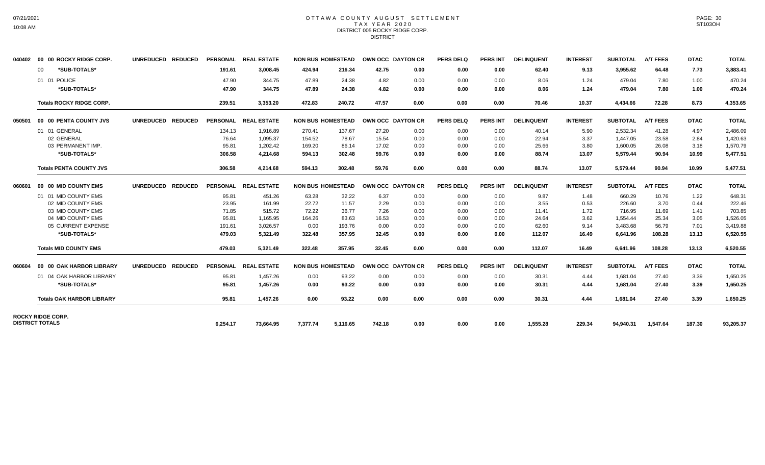# 07/21/2021 10:08 AM

#### OTTAWA COUNTY AUGUST SETTLEMENT T A X Y E A R 2 0 2 0 DISTRICT 005 ROCKY RIDGE CORP. **DISTRICT**

| 040402 | 00 00 ROCKY RIDGE CORP.                            | UNREDUCED REDUCED |          | PERSONAL REAL ESTATE |          | <b>NON BUS HOMESTEAD</b> | OWN OCC DAYTON CR |      | PERS DELO        | <b>PERS INT</b> | <b>DELINQUENT</b> | <b>INTEREST</b> | <b>SUBTOTAL</b> | <b>A/T FEES</b> | <b>DTAC</b> | <b>TOTAL</b> |
|--------|----------------------------------------------------|-------------------|----------|----------------------|----------|--------------------------|-------------------|------|------------------|-----------------|-------------------|-----------------|-----------------|-----------------|-------------|--------------|
|        | *SUB-TOTALS*<br>00                                 |                   | 191.61   | 3,008.45             | 424.94   | 216.34                   | 42.75             | 0.00 | 0.00             | 0.00            | 62.40             | 9.13            | 3,955.62        | 64.48           | 7.73        | 3,883.41     |
|        | 01 01 POLICE                                       |                   | 47.90    | 344.75               | 47.89    | 24.38                    | 4.82              | 0.00 | 0.00             | 0.00            | 8.06              | 1.24            | 479.04          | 7.80            | 1.00        | 470.24       |
|        | *SUB-TOTALS*                                       |                   | 47.90    | 344.75               | 47.89    | 24.38                    | 4.82              | 0.00 | 0.00             | 0.00            | 8.06              | 1.24            | 479.04          | 7.80            | 1.00        | 470.24       |
|        | <b>Totals ROCKY RIDGE CORP.</b>                    |                   | 239.51   | 3.353.20             | 472.83   | 240.72                   | 47.57             | 0.00 | 0.00             | 0.00            | 70.46             | 10.37           | 4,434.66        | 72.28           | 8.73        | 4,353.65     |
| 050501 | 00 00 PENTA COUNTY JVS                             | UNREDUCED REDUCED |          | PERSONAL REAL ESTATE |          | <b>NON BUS HOMESTEAD</b> | OWN OCC DAYTON CR |      | <b>PERS DELQ</b> | <b>PERS INT</b> | <b>DELINQUENT</b> | <b>INTEREST</b> | <b>SUBTOTAL</b> | <b>A/T FEES</b> | <b>DTAC</b> | <b>TOTAL</b> |
|        | 01 01 GENERAL                                      |                   | 134.13   | 1,916.89             | 270.41   | 137.67                   | 27.20             | 0.00 | 0.00             | 0.00            | 40.14             | 5.90            | 2,532.34        | 41.28           | 4.97        | 2,486.09     |
|        | 02 GENERAL                                         |                   | 76.64    | 1,095.37             | 154.52   | 78.67                    | 15.54             | 0.00 | 0.00             | 0.00            | 22.94             | 3.37            | 1,447.05        | 23.58           | 2.84        | 1,420.63     |
|        | 03 PERMANENT IMP.                                  |                   | 95.81    | 1,202.42             | 169.20   | 86.14                    | 17.02             | 0.00 | 0.00             | 0.00            | 25.66             | 3.80            | 1,600.05        | 26.08           | 3.18        | 1,570.79     |
|        | *SUB-TOTALS*                                       |                   | 306.58   | 4.214.68             | 594.13   | 302.48                   | 59.76             | 0.00 | 0.00             | 0.00            | 88.74             | 13.07           | 5,579.44        | 90.94           | 10.99       | 5,477.51     |
|        | <b>Totals PENTA COUNTY JVS</b>                     |                   | 306.58   | 4,214.68             | 594.13   | 302.48                   | 59.76             | 0.00 | 0.00             | 0.00            | 88.74             | 13.07           | 5,579.44        | 90.94           | 10.99       | 5,477.51     |
| 060601 | 00 00 MID COUNTY EMS                               | UNREDUCED REDUCED |          | PERSONAL REAL ESTATE |          | <b>NON BUS HOMESTEAD</b> | OWN OCC DAYTON CR |      | <b>PERS DELQ</b> | <b>PERS INT</b> | <b>DELINQUENT</b> | <b>INTEREST</b> | <b>SUBTOTAL</b> | <b>A/T FEES</b> | <b>DTAC</b> | <b>TOTAL</b> |
|        | 01 01 MID COUNTY EMS                               |                   | 95.81    | 451.26               | 63.28    | 32.22                    | 6.37              | 0.00 | 0.00             | 0.00            | 9.87              | 1.48            | 660.29          | 10.76           | 1.22        | 648.31       |
|        | 02 MID COUNTY EMS                                  |                   | 23.95    | 161.99               | 22.72    | 11.57                    | 2.29              | 0.00 | 0.00             | 0.00            | 3.55              | 0.53            | 226.60          | 3.70            | 0.44        | 222.46       |
|        | 03 MID COUNTY EMS                                  |                   | 71.85    | 515.72               | 72.22    | 36.77                    | 7.26              | 0.00 | 0.00             | 0.00            | 11.41             | 1.72            | 716.95          | 11.69           | 1.41        | 703.85       |
|        | 04 MID COUNTY EMS                                  |                   | 95.81    | 1,165.95             | 164.26   | 83.63                    | 16.53             | 0.00 | 0.00             | 0.00            | 24.64             | 3.62            | 1,554.44        | 25.34           | 3.05        | 1,526.05     |
|        | 05 CURRENT EXPENSE                                 |                   | 191.61   | 3,026.57             | 0.00     | 193.76                   | 0.00              | 0.00 | 0.00             | 0.00            | 62.60             | 9.14            | 3,483.68        | 56.79           | 7.01        | 3,419.88     |
|        | *SUB-TOTALS*                                       |                   | 479.03   | 5,321.49             | 322.48   | 357.95                   | 32.45             | 0.00 | 0.00             | 0.00            | 112.07            | 16.49           | 6,641.96        | 108.28          | 13.13       | 6,520.55     |
|        | <b>Totals MID COUNTY EMS</b>                       |                   | 479.03   | 5.321.49             | 322.48   | 357.95                   | 32.45             | 0.00 | 0.00             | 0.00            | 112.07            | 16.49           | 6.641.96        | 108.28          | 13.13       | 6,520.55     |
| 060604 | 00 00 OAK HARBOR LIBRARY                           | UNREDUCED REDUCED |          | PERSONAL REAL ESTATE |          | <b>NON BUS HOMESTEAD</b> | OWN OCC DAYTON CR |      | <b>PERS DELQ</b> | PERS INT        | <b>DELINQUENT</b> | <b>INTEREST</b> | <b>SUBTOTAL</b> | <b>A/T FEES</b> | <b>DTAC</b> | <b>TOTAL</b> |
|        | 01 04 OAK HARBOR LIBRARY                           |                   | 95.81    | 1,457.26             | 0.00     | 93.22                    | 0.00              | 0.00 | 0.00             | 0.00            | 30.31             | 4.44            | 1,681.04        | 27.40           | 3.39        | 1,650.25     |
|        | *SUB-TOTALS*                                       |                   | 95.81    | 1,457.26             | 0.00     | 93.22                    | 0.00              | 0.00 | 0.00             | 0.00            | 30.31             | 4.44            | 1,681.04        | 27.40           | 3.39        | 1,650.25     |
|        | <b>Totals OAK HARBOR LIBRARY</b>                   |                   | 95.81    | 1,457.26             | 0.00     | 93.22                    | 0.00              | 0.00 | 0.00             | 0.00            | 30.31             | 4.44            | 1,681.04        | 27.40           | 3.39        | 1,650.25     |
|        | <b>ROCKY RIDGE CORP.</b><br><b>DISTRICT TOTALS</b> |                   | 6,254.17 | 73.664.95            | 7,377.74 | 5,116.65                 | 742.18            | 0.00 | 0.00             | 0.00            | 1,555.28          | 229.34          | 94,940.31       | 1,547.64        | 187.30      | 93,205.37    |
|        |                                                    |                   |          |                      |          |                          |                   |      |                  |                 |                   |                 |                 |                 |             |              |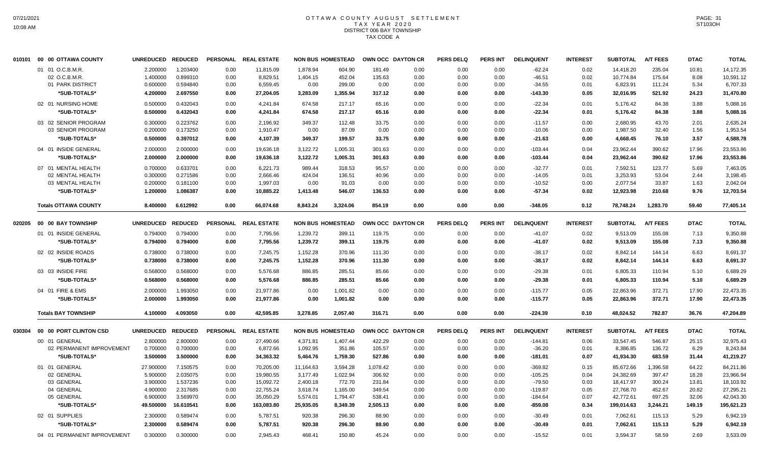## OTTAWA COUNTY AUGUST SETTLEMENT T A X Y E A R 2 0 2 0 DISTRICT 006 BAY TOWNSHIP TAX CODE A

| 010101 | 00 00 OTTAWA COUNTY         | <b>UNREDUCED</b>  | <b>REDUCED</b> | <b>PERSONAL</b> | <b>REAL ESTATE</b>   |           | <b>NON BUS HOMESTEAD</b> |          | OWN OCC DAYTON CR | <b>PERS DELQ</b> | <b>PERS INT</b> | <b>DELINQUENT</b> | <b>INTEREST</b> | <b>SUBTOTAL</b> | A/T FEES        | <b>DTAC</b> | <b>TOTAL</b> |
|--------|-----------------------------|-------------------|----------------|-----------------|----------------------|-----------|--------------------------|----------|-------------------|------------------|-----------------|-------------------|-----------------|-----------------|-----------------|-------------|--------------|
|        | 01 01 O.C.B.M.R.            | 2.200000          | 1.203400       | 0.00            | 11,815.09            | 1.878.94  | 604.90                   | 181.49   | 0.00              | 0.00             | 0.00            | $-62.24$          | 0.02            | 14.418.20       | 235.04          | 10.81       | 14,172.35    |
|        | 02 O.C.B.M.R.               | 1.400000          | 0.899310       | 0.00            | 8,829.51             | 1,404.15  | 452.04                   | 135.63   | 0.00              | 0.00             | 0.00            | $-46.51$          | 0.02            | 10,774.84       | 175.64          | 8.08        | 10,591.12    |
|        | 01 PARK DISTRICT            | 0.600000          | 0.594840       | 0.00            | 6,559.45             | 0.00      | 299.00                   | 0.00     | 0.00              | 0.00             | 0.00            | $-34.55$          | 0.01            | 6.823.91        | 111.24          | 5.34        | 6,707.33     |
|        | *SUB-TOTALS*                | 4.200000          | 2.697550       | 0.00            | 27,204.05            | 3,283.09  | 1,355.94                 | 317.12   | 0.00              | 0.00             | 0.00            | $-143.30$         | 0.05            | 32,016.95       | 521.92          | 24.23       | 31,470.80    |
|        | 02 01 NURSING HOME          | 0.500000          | 0.432043       | 0.00            | 4,241.84             | 674.58    | 217.17                   | 65.16    | 0.00              | 0.00             | 0.00            | $-22.34$          | 0.01            | 5,176.42        | 84.38           | 3.88        | 5,088.16     |
|        | *SUB-TOTALS*                | 0.500000          | 0.432043       | 0.00            | 4,241.84             | 674.58    | 217.17                   | 65.16    | 0.00              | 0.00             | 0.00            | $-22.34$          | 0.01            | 5,176.42        | 84.38           | 3.88        | 5,088.16     |
|        | 03 02 SENIOR PROGRAM        | 0.300000          | 0.223762       | 0.00            | 2,196.92             | 349.37    | 112.48                   | 33.75    | 0.00              | 0.00             | 0.00            | $-11.57$          | 0.00            | 2,680.95        | 43.70           | 2.01        | 2,635.24     |
|        | 03 SENIOR PROGRAM           | 0.200000          | 0.173250       | 0.00            | 1,910.47             | 0.00      | 87.09                    | 0.00     | 0.00              | 0.00             | 0.00            | $-10.06$          | 0.00            | 1,987.50        | 32.40           | 1.56        | 1,953.54     |
|        | *SUB-TOTALS*                | 0.500000          | 0.397012       | 0.00            | 4,107.39             | 349.37    | 199.57                   | 33.75    | 0.00              | 0.00             | 0.00            | $-21.63$          | 0.00            | 4,668.45        | 76.10           | 3.57        | 4,588.78     |
|        | 04 01 INSIDE GENERAL        | 2.000000          | 2.000000       | 0.00            | 19,636.18            | 3,122.72  | 1,005.31                 | 301.63   | 0.00              | 0.00             | 0.00            | $-103.44$         | 0.04            | 23,962.44       | 390.62          | 17.96       | 23,553.86    |
|        | *SUB-TOTALS*                | 2.000000          | 2.000000       | 0.00            | 19,636.18            | 3,122.72  | 1,005.31                 | 301.63   | 0.00              | 0.00             | 0.00            | $-103.44$         | 0.04            | 23,962.44       | 390.62          | 17.96       | 23,553.86    |
|        | 07 01 MENTAL HEALTH         | 0.700000          | 0.633701       | 0.00            | 6,221.73             | 989.44    | 318.53                   | 95.57    | 0.00              | 0.00             | 0.00            | $-32.77$          | 0.01            | 7,592.51        | 123.77          | 5.69        | 7,463.05     |
|        | 02 MENTAL HEALTH            | 0.300000          | 0.271586       | 0.00            | 2,666.46             | 424.04    | 136.51                   | 40.96    | 0.00              | 0.00             | 0.00            | $-14.05$          | 0.01            | 3,253.93        | 53.04           | 2.44        | 3,198.45     |
|        | 03 MENTAL HEALTH            | 0.200000          | 0.181100       | 0.00            | 1,997.03             | 0.00      | 91.03                    | 0.00     | 0.00              | 0.00             | 0.00            | $-10.52$          | 0.00            | 2,077.54        | 33.87           | 1.63        | 2,042.04     |
|        | *SUB-TOTALS*                | 1.200000          | 1.086387       | 0.00            | 10,885.22            | 1,413.48  | 546.07                   | 136.53   | 0.00              | 0.00             | 0.00            | $-57.34$          | 0.02            | 12,923.98       | 210.68          | 9.76        | 12,703.54    |
|        | <b>Totals OTTAWA COUNTY</b> | 8.400000          | 6.612992       | 0.00            | 66,074.68            | 8,843.24  | 3,324.06                 | 854.19   | 0.00              | 0.00             | 0.00            | $-348.05$         | 0.12            | 78,748.24       | 1,283.70        | 59.40       | 77,405.14    |
| 020205 | 00 00 BAY TOWNSHIP          | <b>UNREDUCED</b>  | <b>REDUCED</b> | <b>PERSONAL</b> | <b>REAL ESTATE</b>   |           | <b>NON BUS HOMESTEAD</b> |          | OWN OCC DAYTON CR | <b>PERS DELQ</b> | <b>PERS INT</b> | <b>DELINQUENT</b> | <b>INTEREST</b> | <b>SUBTOTAL</b> | <b>A/T FEES</b> | <b>DTAC</b> | <b>TOTAL</b> |
|        | 01 01 INSIDE GENERAL        | 0.794000          | 0.794000       | 0.00            | 7,795.56             | 1,239.72  | 399.11                   | 119.75   | 0.00              | 0.00             | 0.00            | $-41.07$          | 0.02            | 9,513.09        | 155.08          | 7.13        | 9,350.88     |
|        | *SUB-TOTALS*                | 0.794000          | 0.794000       | 0.00            | 7,795.56             | 1,239.72  | 399.11                   | 119.75   | 0.00              | 0.00             | 0.00            | $-41.07$          | 0.02            | 9,513.09        | 155.08          | 7.13        | 9,350.88     |
|        |                             |                   |                |                 |                      |           |                          |          |                   |                  |                 |                   |                 |                 |                 |             |              |
|        | 02 02 INSIDE ROADS          | 0.738000          | 0.738000       | 0.00            | 7,245.75             | 1,152.28  | 370.96                   | 111.30   | 0.00              | 0.00             | 0.00            | $-38.17$          | 0.02            | 8,842.14        | 144.14          | 6.63        | 8,691.37     |
|        | *SUB-TOTALS*                | 0.738000          | 0.738000       | 0.00            | 7,245.75             | 1,152.28  | 370.96                   | 111.30   | 0.00              | 0.00             | 0.00            | $-38.17$          | 0.02            | 8,842.14        | 144.14          | 6.63        | 8,691.37     |
|        | 03 03 INSIDE FIRE           | 0.568000          | 0.568000       | 0.00            | 5,576.68             | 886.85    | 285.51                   | 85.66    | 0.00              | 0.00             | 0.00            | $-29.38$          | 0.01            | 6,805.33        | 110.94          | 5.10        | 6,689.29     |
|        | *SUB-TOTALS*                | 0.568000          | 0.568000       | 0.00            | 5,576.68             | 886.85    | 285.51                   | 85.66    | 0.00              | 0.00             | 0.00            | $-29.38$          | 0.01            | 6,805.33        | 110.94          | 5.10        | 6,689.29     |
|        | 04 01 FIRE & EMS            | 2.000000          | 1.993050       | 0.00            | 21,977.86            | 0.00      | 1,001.82                 | 0.00     | 0.00              | 0.00             | 0.00            | $-115.77$         | 0.05            | 22,863.96       | 372.71          | 17.90       | 22,473.35    |
|        | *SUB-TOTALS*                | 2.000000          | 1.993050       | 0.00            | 21,977.86            | 0.00      | 1,001.82                 | 0.00     | 0.00              | 0.00             | 0.00            | $-115.77$         | 0.05            | 22,863.96       | 372.71          | 17.90       | 22,473.35    |
|        | <b>Totals BAY TOWNSHIP</b>  | 4.100000          | 4.093050       | 0.00            | 42,595.85            | 3,278.85  | 2,057.40                 | 316.71   | 0.00              | 0.00             | 0.00            | $-224.39$         | 0.10            | 48,024.52       | 782.87          | 36.76       | 47,204.89    |
| 030304 | 00 00 PORT CLINTON CSD      | UNREDUCED REDUCED |                |                 | PERSONAL REAL ESTATE |           | <b>NON BUS HOMESTEAD</b> |          | OWN OCC DAYTON CR | <b>PERS DELQ</b> | <b>PERS INT</b> | <b>DELINQUENT</b> | <b>INTEREST</b> | <b>SUBTOTAL</b> | <b>A/T FEES</b> | <b>DTAC</b> | <b>TOTAL</b> |
|        | 00 01 GENERAL               | 2.800000          | 2.800000       | 0.00            | 27,490.66            | 4,371.81  | 1,407.44                 | 422.29   | 0.00              | 0.00             | 0.00            | $-144.81$         | 0.06            | 33,547.45       | 546.87          | 25.15       | 32,975.43    |
|        | 02 PERMANENT IMPROVEMENT    | 0.700000          | 0.700000       | 0.00            | 6,872.66             | 1,092.95  | 351.86                   | 105.57   | 0.00              | 0.00             | 0.00            | $-36.20$          | 0.01            | 8,386.85        | 136.72          | 6.29        | 8,243.84     |
|        | *SUB-TOTALS*                | 3.500000          | 3.500000       | 0.00            | 34,363.32            | 5,464.76  | 1,759.30                 | 527.86   | 0.00              | 0.00             | 0.00            | $-181.01$         | 0.07            | 41,934.30       | 683.59          | 31.44       | 41,219.27    |
|        | 01 01 GENERAL               | 27.900000         | 7.150575       | 0.00            | 70,205.00            | 11,164.63 | 3,594.28                 | 1,078.42 | 0.00              | 0.00             | 0.00            | $-369.82$         | 0.15            | 85,672.66       | 1,396.58        | 64.22       | 84,211.86    |
|        | 02 GENERAL                  | 5.900000          | 2.035075       | 0.00            | 19,980.55            | 3,177.49  | 1,022.94                 | 306.92   | 0.00              | 0.00             | 0.00            | $-105.25$         | 0.04            | 24,382.69       | 397.47          | 18.28       | 23,966.94    |
|        | 03 GENERAL                  | 3.900000          | 1.537236       | 0.00            | 15,092.72            | 2,400.18  | 772.70                   | 231.84   | 0.00              | 0.00             | 0.00            | -79.50            | 0.03            | 18,417.97       | 300.24          | 13.81       | 18,103.92    |
|        | 04 GENERAL                  | 4.900000          | 2.317685       | 0.00            | 22,755.24            | 3,618.74  | 1,165.00                 | 349.54   | 0.00              | 0.00             | 0.00            | $-119.87$         | 0.05            | 27,768.70       | 452.67          | 20.82       | 27,295.21    |
|        | 05 GENERAL                  | 6.900000          | 3.569970       | 0.00            | 35,050.29            | 5,574.01  | 1,794.47                 | 538.41   | 0.00              | 0.00             | 0.00            | $-184.64$         | 0.07            | 42,772.61       | 697.25          | 32.06       | 42,043.30    |
|        | *SUB-TOTALS*                | 49.500000         | 16.610541      | 0.00            | 163,083.80           | 25,935.05 | 8,349.39                 | 2,505.13 | 0.00              | 0.00             | 0.00            | $-859.08$         | 0.34            | 199,014.63      | 3,244.21        | 149.19      | 195,621.23   |
|        | 02 01 SUPPLIES              | 2.300000          | 0.589474       | 0.00            | 5,787.51             | 920.38    | 296.30                   | 88.90    | 0.00              | 0.00             | 0.00            | $-30.49$          | 0.01            | 7,062.61        | 115.13          | 5.29        | 6,942.19     |
|        | *SUB-TOTALS*                | 2.300000          | 0.589474       | 0.00            | 5,787.51             | 920.38    | 296.30                   | 88.90    | 0.00              | 0.00             | 0.00            | $-30.49$          | 0.01            | 7,062.61        | 115.13          | 5.29        | 6,942.19     |
|        | 04 01 PERMANENT IMPROVEMENT | 0.300000          | 0.300000       | 0.00            | 2,945.43             | 468.41    | 150.80                   | 45.24    | 0.00              | 0.00             | 0.00            | $-15.52$          | 0.01            | 3,594.37        | 58.59           | 2.69        | 3,533.09     |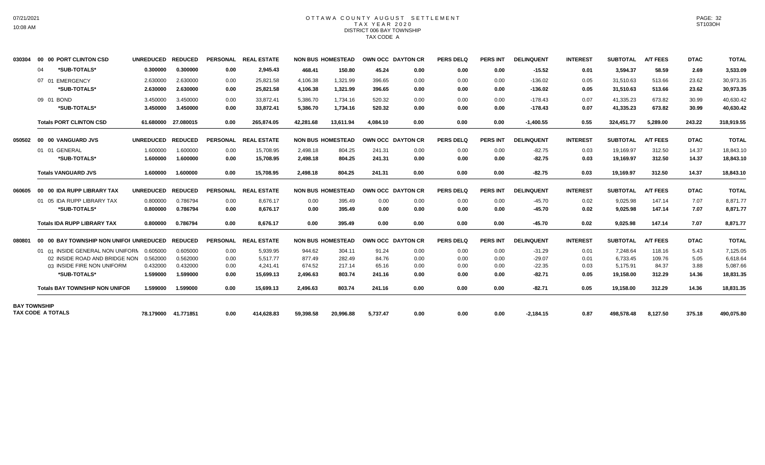#### OTTAWA COUNTY AUGUST SETTLEMENT T A X Y E A R 2 0 2 0 DISTRICT 006 BAY TOWNSHIP TAX CODE A

| 030304 | 00 00 PORT CLINTON CSD                          | UNREDUCED REDUCED |                     |                 | PERSONAL REAL ESTATE |           | <b>NON BUS HOMESTEAD</b> |          | <b>OWN OCC DAYTON CR</b> | <b>PERS DELQ</b> | <b>PERS INT</b> | <b>DELINQUENT</b> | <b>INTEREST</b> | <b>SUBTOTAL</b> | <b>A/T FEES</b> | <b>DTAC</b> | <b>TOTAL</b> |
|--------|-------------------------------------------------|-------------------|---------------------|-----------------|----------------------|-----------|--------------------------|----------|--------------------------|------------------|-----------------|-------------------|-----------------|-----------------|-----------------|-------------|--------------|
|        | *SUB-TOTALS*<br>04                              | 0.300000          | 0.300000            | 0.00            | 2,945.43             | 468.41    | 150.80                   | 45.24    | 0.00                     | 0.00             | 0.00            | $-15.52$          | 0.01            | 3,594.37        | 58.59           | 2.69        | 3,533.09     |
|        | 07 01 EMERGENCY                                 | 2.630000          | 2.630000            | 0.00            | 25.821.58            | 4,106.38  | 1.321.99                 | 396.65   | 0.00                     | 0.00             | 0.00            | $-136.02$         | 0.05            | 31.510.63       | 513.66          | 23.62       | 30,973.35    |
|        | *SUB-TOTALS*                                    | 2.630000          | 2.630000            | 0.00            | 25.821.58            | 4,106.38  | 1,321.99                 | 396.65   | 0.00                     | 0.00             | 0.00            | $-136.02$         | 0.05            | 31,510.63       | 513.66          | 23.62       | 30,973.35    |
|        | 09 01 BOND                                      | 3.450000          | 3.450000            | 0.00            | 33,872.41            | 5,386.70  | 1,734.16                 | 520.32   | 0.00                     | 0.00             | 0.00            | $-178.43$         | 0.07            | 41,335.23       | 673.82          | 30.99       | 40,630.42    |
|        | *SUB-TOTALS*                                    | 3.450000          | 3.450000            | 0.00            | 33,872.41            | 5,386.70  | 1,734.16                 | 520.32   | 0.00                     | 0.00             | 0.00            | $-178.43$         | 0.07            | 41,335.23       | 673.82          | 30.99       | 40,630.42    |
|        | <b>Totals PORT CLINTON CSD</b>                  |                   | 61.680000 27.080015 | 0.00            | 265,874.05           | 42,281.68 | 13,611.94                | 4.084.10 | 0.00                     | 0.00             | 0.00            | $-1,400.55$       | 0.55            | 324,451.77      | 5,289.00        | 243.22      | 318,919.55   |
| 050502 | 00 00 VANGUARD JVS                              | UNREDUCED REDUCED |                     | <b>PERSONAL</b> | <b>REAL ESTATE</b>   |           | <b>NON BUS HOMESTEAD</b> |          | OWN OCC DAYTON CR        | <b>PERS DELQ</b> | <b>PERS INT</b> | <b>DELINQUENT</b> | <b>INTEREST</b> | <b>SUBTOTAL</b> | <b>A/T FEES</b> | <b>DTAC</b> | <b>TOTAL</b> |
|        | 01 01 GENERAL                                   | 1.600000          | 1.600000            | 0.00            | 15.708.95            | 2,498.18  | 804.25                   | 241.31   | 0.00                     | 0.00             | 0.00            | $-82.75$          | 0.03            | 19,169.97       | 312.50          | 14.37       | 18,843.10    |
|        | *SUB-TOTALS*                                    | 1.600000          | 1.600000            | 0.00            | 15,708.95            | 2,498.18  | 804.25                   | 241.31   | 0.00                     | 0.00             | 0.00            | $-82.75$          | 0.03            | 19,169.97       | 312.50          | 14.37       | 18,843.10    |
|        | <b>Totals VANGUARD JVS</b>                      | 1.600000          | 1.600000            | 0.00            | 15.708.95            | 2.498.18  | 804.25                   | 241.31   | 0.00                     | 0.00             | 0.00            | $-82.75$          | 0.03            | 19.169.97       | 312.50          | 14.37       | 18,843.10    |
| 060605 | 00 00 IDA RUPP LIBRARY TAX                      | <b>UNREDUCED</b>  | <b>REDUCED</b>      | <b>PERSONAL</b> | <b>REAL ESTATE</b>   |           | <b>NON BUS HOMESTEAD</b> |          | OWN OCC DAYTON CR        | <b>PERS DELQ</b> | <b>PERS INT</b> | <b>DELINQUENT</b> | <b>INTEREST</b> | <b>SUBTOTAL</b> | <b>A/T FEES</b> | <b>DTAC</b> | <b>TOTAL</b> |
|        | 01 05 IDA RUPP LIBRARY TAX                      | 0.800000          | 0.786794            | 0.00            | 8.676.17             | 0.00      | 395.49                   | 0.00     | 0.00                     | 0.00             | 0.00            | $-45.70$          | 0.02            | 9,025.98        | 147.14          | 7.07        | 8,871.77     |
|        | *SUB-TOTALS*                                    | 0.800000          | 0.786794            | 0.00            | 8.676.17             | 0.00      | 395.49                   | 0.00     | 0.00                     | 0.00             | 0.00            | $-45.70$          | 0.02            | 9,025.98        | 147.14          | 7.07        | 8,871.77     |
|        | <b>Totals IDA RUPP LIBRARY TAX</b>              | 0.800000          | 0.786794            | 0.00            | 8.676.17             | 0.00      | 395.49                   | 0.00     | 0.00                     | 0.00             | 0.00            | $-45.70$          | 0.02            | 9,025.98        | 147.14          | 7.07        | 8,871.77     |
| 080801 | 00 00 BAY TOWNSHIP NON UNIFOI UNREDUCED REDUCED |                   |                     | <b>PERSONAL</b> | <b>REAL ESTATE</b>   |           | <b>NON BUS HOMESTEAD</b> |          | OWN OCC DAYTON CR        | <b>PERS DELQ</b> | <b>PERS INT</b> | <b>DELINQUENT</b> | <b>INTEREST</b> | <b>SUBTOTAL</b> | <b>A/T FEES</b> | <b>DTAC</b> | <b>TOTAL</b> |
|        | 01 01 INSIDE GENERAL NON UNIFORN                | 0.605000          | 0.605000            | 0.00            | 5.939.95             | 944.62    | 304.11                   | 91.24    | 0.00                     | 0.00             | 0.00            | $-31.29$          | 0.01            | 7.248.64        | 118.16          | 5.43        | 7,125.05     |
|        | 02 INSIDE ROAD AND BRIDGE NON                   | 0.562000          | 0.562000            | 0.00            | 5,517.77             | 877.49    | 282.49                   | 84.76    | 0.00                     | 0.00             | 0.00            | $-29.07$          | 0.01            | 6,733.45        | 109.76          | 5.05        | 6,618.64     |
|        | 03 INSIDE FIRE NON UNIFORM                      | 0.432000          | 0.432000            | 0.00            | 4.241.41             | 674.52    | 217.14                   | 65.16    | 0.00                     | 0.00             | 0.00            | $-22.35$          | 0.03            | 5,175.91        | 84.37           | 3.88        | 5,087.66     |
|        | *SUB-TOTALS*                                    | 1.599000          | 1.599000            | 0.00            | 15,699.13            | 2,496.63  | 803.74                   | 241.16   | 0.00                     | 0.00             | 0.00            | $-82.71$          | 0.05            | 19,158.00       | 312.29          | 14.36       | 18,831.35    |
|        | <b>Totals BAY TOWNSHIP NON UNIFOR</b>           | 1.599000          | 1.599000            | 0.00            | 15,699.13            | 2,496.63  | 803.74                   | 241.16   | 0.00                     | 0.00             | 0.00            | $-82.71$          | 0.05            | 19,158.00       | 312.29          | 14.36       | 18,831.35    |
|        | <b>BAY TOWNSHIP</b>                             |                   |                     |                 |                      |           |                          |          |                          |                  |                 |                   |                 |                 |                 |             |              |
|        | TAX CODE A TOTALS                               |                   | 78.179000 41.771851 | 0.00            | 414,628.83           | 59,398.58 | 20,996.88                | 5,737.47 | 0.00                     | 0.00             | 0.00            | $-2,184.15$       | 0.87            | 498,578.48      | 8,127.50        | 375.18      | 490,075.80   |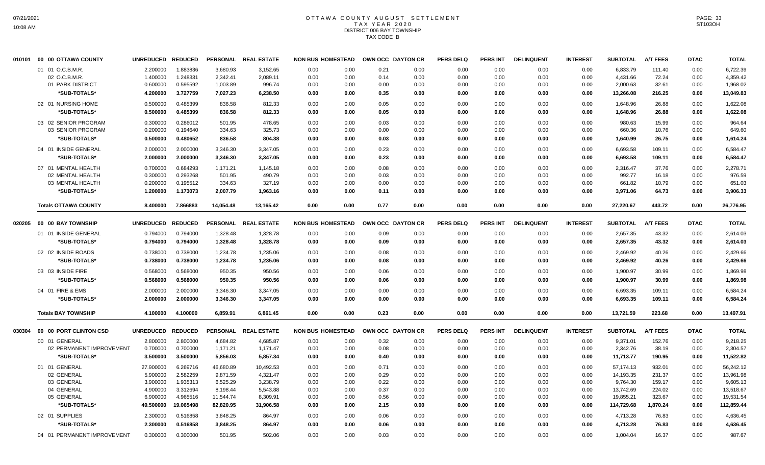## OTTAWA COUNTY AUGUST SETTLEMENT T A X Y E A R 2 0 2 0 DISTRICT 006 BAY TOWNSHIP TAX CODE B

|        | 010101 00 00 OTTAWA COUNTY  | <b>UNREDUCED</b>  | <b>REDUCED</b> | <b>PERSONAL</b> | <b>REAL ESTATE</b>   | <b>NON BUS HOMESTEAD</b> |      | OWN OCC DAYTON CR |      | <b>PERS DELQ</b> | <b>PERS INT</b> | <b>DELINQUENT</b> | <b>INTEREST</b> | <b>SUBTOTAL</b> | <b>A/T FEES</b> | <b>DTAC</b> | <b>TOTAL</b> |
|--------|-----------------------------|-------------------|----------------|-----------------|----------------------|--------------------------|------|-------------------|------|------------------|-----------------|-------------------|-----------------|-----------------|-----------------|-------------|--------------|
|        | 01 01 O.C.B.M.R.            | 2.200000          | 1.883836       | 3,680.93        | 3,152.65             | 0.00                     | 0.00 | 0.21              | 0.00 | 0.00             | 0.00            | 0.00              | 0.00            | 6,833.79        | 111.40          | 0.00        | 6,722.39     |
|        | 02 O.C.B.M.R.               | 1.400000          | 1.248331       | 2,342.41        | 2,089.11             | 0.00                     | 0.00 | 0.14              | 0.00 | 0.00             | 0.00            | 0.00              | 0.00            | 4,431.66        | 72.24           | 0.00        | 4,359.42     |
|        | 01 PARK DISTRICT            | 0.600000          | 0.595592       | 1,003.89        | 996.74               | 0.00                     | 0.00 | 0.00              | 0.00 | 0.00             | 0.00            | 0.00              | 0.00            | 2,000.63        | 32.61           | 0.00        | 1,968.02     |
|        | *SUB-TOTALS*                | 4.200000          | 3.727759       | 7,027.23        | 6,238.50             | 0.00                     | 0.00 | 0.35              | 0.00 | 0.00             | 0.00            | 0.00              | 0.00            | 13,266.08       | 216.25          | 0.00        | 13,049.83    |
|        | 02 01 NURSING HOME          | 0.500000          | 0.485399       | 836.58          | 812.33               | 0.00                     | 0.00 | 0.05              | 0.00 | 0.00             | 0.00            | 0.00              | 0.00            | 1,648.96        | 26.88           | 0.00        | 1,622.08     |
|        | *SUB-TOTALS*                | 0.500000          | 0.485399       | 836.58          | 812.33               | 0.00                     | 0.00 | 0.05              | 0.00 | 0.00             | 0.00            | 0.00              | 0.00            | 1.648.96        | 26.88           | 0.00        | 1,622.08     |
|        | 03 02 SENIOR PROGRAM        | 0.300000          | 0.286012       | 501.95          | 478.65               | 0.00                     | 0.00 | 0.03              | 0.00 | 0.00             | 0.00            | 0.00              | 0.00            | 980.63          | 15.99           | 0.00        | 964.64       |
|        | 03 SENIOR PROGRAM           | 0.200000          | 0.194640       | 334.63          | 325.73               | 0.00                     | 0.00 | 0.00              | 0.00 | 0.00             | 0.00            | 0.00              | 0.00            | 660.36          | 10.76           | 0.00        | 649.60       |
|        | *SUB-TOTALS*                | 0.500000          | 0.480652       | 836.58          | 804.38               | 0.00                     | 0.00 | 0.03              | 0.00 | 0.00             | 0.00            | 0.00              | 0.00            | 1,640.99        | 26.75           | 0.00        | 1,614.24     |
|        | 04 01 INSIDE GENERAL        | 2.000000          | 2.000000       | 3,346.30        | 3,347.05             | 0.00                     | 0.00 | 0.23              | 0.00 | 0.00             | 0.00            | 0.00              | 0.00            | 6.693.58        | 109.11          | 0.00        | 6.584.47     |
|        | *SUB-TOTALS*                | 2.000000          | 2.000000       | 3,346.30        | 3,347.05             | 0.00                     | 0.00 | 0.23              | 0.00 | 0.00             | 0.00            | 0.00              | 0.00            | 6,693.58        | 109.11          | 0.00        | 6,584.47     |
|        | 07 01 MENTAL HEALTH         | 0.700000          | 0.684293       | 1,171.21        | 1,145.18             | 0.00                     | 0.00 | 0.08              | 0.00 | 0.00             | 0.00            | 0.00              | 0.00            | 2,316.47        | 37.76           | 0.00        | 2,278.71     |
|        | 02 MENTAL HEALTH            | 0.300000          | 0.293268       | 501.95          | 490.79               | 0.00                     | 0.00 | 0.03              | 0.00 | 0.00             | 0.00            | 0.00              | 0.00            | 992.77          | 16.18           | 0.00        | 976.59       |
|        | 03 MENTAL HEALTH            | 0.200000          | 0.195512       | 334.63          | 327.19               | 0.00                     | 0.00 | 0.00              | 0.00 | 0.00             | 0.00            | 0.00              | 0.00            | 661.82          | 10.79           | 0.00        | 651.03       |
|        | *SUB-TOTALS*                | 1.200000          | 1.173073       | 2,007.79        | 1,963.16             | 0.00                     | 0.00 | 0.11              | 0.00 | 0.00             | 0.00            | 0.00              | 0.00            | 3,971.06        | 64.73           | 0.00        | 3,906.33     |
|        | <b>Totals OTTAWA COUNTY</b> | 8.400000          | 7.866883       | 14,054.48       | 13,165.42            | 0.00                     | 0.00 | 0.77              | 0.00 | 0.00             | 0.00            | 0.00              | 0.00            | 27,220.67       | 443.72          | 0.00        | 26,776.95    |
| 020205 | 00 00 BAY TOWNSHIP          | <b>UNREDUCED</b>  | <b>REDUCED</b> | <b>PERSONAL</b> | <b>REAL ESTATE</b>   | <b>NON BUS HOMESTEAD</b> |      | OWN OCC DAYTON CR |      | <b>PERS DELQ</b> | <b>PERS INT</b> | <b>DELINQUENT</b> | <b>INTEREST</b> | <b>SUBTOTAL</b> | <b>A/T FEES</b> | <b>DTAC</b> | <b>TOTAL</b> |
|        | 01 01 INSIDE GENERAL        | 0.794000          | 0.794000       | 1,328.48        | 1,328.78             | 0.00                     | 0.00 | 0.09              | 0.00 | 0.00             | 0.00            | 0.00              | 0.00            | 2,657.35        | 43.32           | 0.00        | 2,614.03     |
|        | *SUB-TOTALS*                | 0.794000          | 0.794000       | 1,328.48        | 1,328.78             | 0.00                     | 0.00 | 0.09              | 0.00 | 0.00             | 0.00            | 0.00              | 0.00            | 2,657.35        | 43.32           | 0.00        | 2,614.03     |
|        |                             |                   |                |                 |                      |                          |      |                   |      |                  |                 |                   |                 |                 |                 |             |              |
|        | 02 02 INSIDE ROADS          | 0.738000          | 0.738000       | 1,234.78        | 1,235.06             | 0.00                     | 0.00 | 0.08              | 0.00 | 0.00             | 0.00            | 0.00              | 0.00            | 2,469.92        | 40.26           | 0.00        | 2,429.66     |
|        | *SUB-TOTALS*                | 0.738000          | 0.738000       | 1,234.78        | 1,235.06             | 0.00                     | 0.00 | 0.08              | 0.00 | 0.00             | 0.00            | 0.00              | 0.00            | 2,469.92        | 40.26           | 0.00        | 2,429.66     |
|        | 03 03 INSIDE FIRE           | 0.568000          | 0.568000       | 950.35          | 950.56               | 0.00                     | 0.00 | 0.06              | 0.00 | 0.00             | 0.00            | 0.00              | 0.00            | 1,900.97        | 30.99           | 0.00        | 1,869.98     |
|        | *SUB-TOTALS*                | 0.568000          | 0.568000       | 950.35          | 950.56               | 0.00                     | 0.00 | 0.06              | 0.00 | 0.00             | 0.00            | 0.00              | 0.00            | 1,900.97        | 30.99           | 0.00        | 1,869.98     |
|        | 04 01 FIRE & EMS            | 2.000000          | 2.000000       | 3,346.30        | 3,347.05             | 0.00                     | 0.00 | 0.00              | 0.00 | 0.00             | 0.00            | 0.00              | 0.00            | 6,693.35        | 109.11          | 0.00        | 6,584.24     |
|        | *SUB-TOTALS*                | 2.000000          | 2.000000       | 3,346.30        | 3,347.05             | 0.00                     | 0.00 | 0.00              | 0.00 | 0.00             | 0.00            | 0.00              | 0.00            | 6,693.35        | 109.11          | 0.00        | 6,584.24     |
|        | <b>Totals BAY TOWNSHIP</b>  | 4.100000          | 4.100000       | 6.859.91        | 6,861.45             | 0.00                     | 0.00 | 0.23              | 0.00 | 0.00             | 0.00            | 0.00              | 0.00            | 13,721.59       | 223.68          | 0.00        | 13,497.91    |
| 030304 | 00 00 PORT CLINTON CSD      | UNREDUCED REDUCED |                |                 | PERSONAL REAL ESTATE | <b>NON BUS HOMESTEAD</b> |      | OWN OCC DAYTON CR |      | <b>PERS DELQ</b> | <b>PERS INT</b> | <b>DELINQUENT</b> | <b>INTEREST</b> | <b>SUBTOTAL</b> | <b>A/T FEES</b> | <b>DTAC</b> | <b>TOTAL</b> |
|        | 00 01 GENERAL               | 2.800000          | 2.800000       | 4,684.82        | 4,685.87             | 0.00                     | 0.00 | 0.32              | 0.00 | 0.00             | 0.00            | 0.00              | 0.00            | 9,371.01        | 152.76          | 0.00        | 9,218.25     |
|        | 02 PERMANENT IMPROVEMENT    | 0.700000          | 0.700000       | 1,171.21        | 1,171.47             | 0.00                     | 0.00 | 0.08              | 0.00 | 0.00             | 0.00            | 0.00              | 0.00            | 2,342.76        | 38.19           | 0.00        | 2,304.57     |
|        | *SUB-TOTALS*                | 3.500000          | 3.500000       | 5,856.03        | 5,857.34             | 0.00                     | 0.00 | 0.40              | 0.00 | 0.00             | 0.00            | 0.00              | 0.00            | 11,713.77       | 190.95          | 0.00        | 11,522.82    |
|        | 01 01 GENERAL               | 27.900000         | 6.269716       | 46,680.89       | 10,492.53            | 0.00                     | 0.00 | 0.71              | 0.00 | 0.00             | 0.00            | 0.00              | 0.00            | 57,174.13       | 932.01          | 0.00        | 56,242.12    |
|        | 02 GENERAL                  | 5.900000          | 2.582259       | 9,871.59        | 4,321.47             | 0.00                     | 0.00 | 0.29              | 0.00 | 0.00             | 0.00            | 0.00              | 0.00            | 14,193.35       | 231.37          | 0.00        | 13,961.98    |
|        | 03 GENERAL                  | 3.900000          | 1.935313       | 6,525.29        | 3,238.79             | 0.00                     | 0.00 | 0.22              | 0.00 | 0.00             | 0.00            | 0.00              | 0.00            | 9,764.30        | 159.17          | 0.00        | 9,605.13     |
|        | 04 GENERAL                  | 4.900000          | 3.312694       | 8,198.44        | 5,543.88             | 0.00                     | 0.00 | 0.37              | 0.00 | 0.00             | 0.00            | 0.00              | 0.00            | 13,742.69       | 224.02          | 0.00        | 13,518.67    |
|        | 05 GENERAL                  | 6.900000          | 4.965516       | 11,544.74       | 8,309.91             | 0.00                     | 0.00 | 0.56              | 0.00 | 0.00             | 0.00            | 0.00              | 0.00            | 19,855.21       | 323.67          | 0.00        | 19,531.54    |
|        | *SUB-TOTALS*                | 49.500000         | 19.065498      | 82,820.95       | 31,906.58            | 0.00                     | 0.00 | 2.15              | 0.00 | 0.00             | 0.00            | 0.00              | 0.00            | 114,729.68      | 1,870.24        | 0.00        | 112,859.44   |
|        | 02 01 SUPPLIES              | 2.300000          | 0.516858       | 3,848.25        | 864.97               | 0.00                     | 0.00 | 0.06              | 0.00 | 0.00             | 0.00            | 0.00              | 0.00            | 4,713.28        | 76.83           | 0.00        | 4,636.45     |
|        | *SUB-TOTALS*                | 2.300000          | 0.516858       | 3,848.25        | 864.97               | 0.00                     | 0.00 | 0.06              | 0.00 | 0.00             | 0.00            | 0.00              | 0.00            | 4,713.28        | 76.83           | 0.00        | 4,636.45     |
|        | 04 01 PERMANENT IMPROVEMENT | 0.300000          | 0.300000       | 501.95          | 502.06               | 0.00                     | 0.00 | 0.03              | 0.00 | 0.00             | 0.00            | 0.00              | 0.00            | 1,004.04        | 16.37           | 0.00        | 987.67       |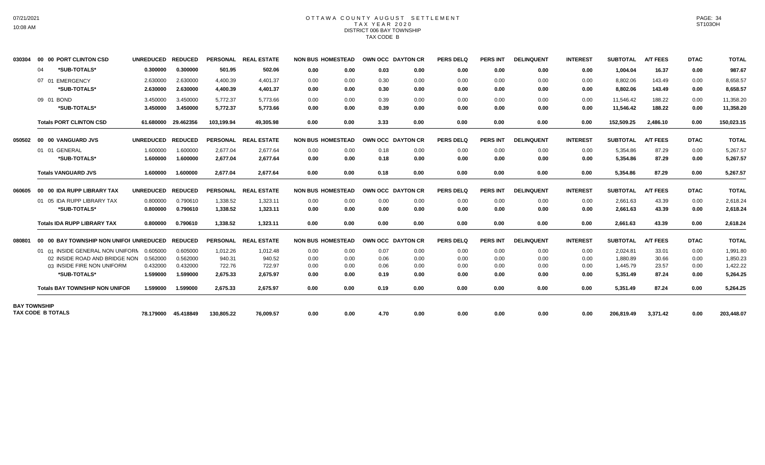## OTTAWA COUNTY AUGUST SETTLEMENT T A X Y E A R 2 0 2 0 DISTRICT 006 BAY TOWNSHIP TAX CODE B

| 030304              | 00 00 PORT CLINTON CSD                  | UNREDUCED REDUCED |                     |            | PERSONAL REAL ESTATE | <b>NON BUS HOMESTEAD</b> |      | OWN OCC DAYTON CR |      | <b>PERS DELQ</b> | <b>PERS INT</b> | <b>DELINQUENT</b> | <b>INTEREST</b> | <b>SUBTOTAL</b> | <b>A/T FEES</b> | <b>DTAC</b> | <b>TOTAL</b> |
|---------------------|-----------------------------------------|-------------------|---------------------|------------|----------------------|--------------------------|------|-------------------|------|------------------|-----------------|-------------------|-----------------|-----------------|-----------------|-------------|--------------|
|                     | *SUB-TOTALS*<br>04                      | 0.300000          | 0.300000            | 501.95     | 502.06               | 0.00                     | 0.00 | 0.03              | 0.00 | 0.00             | 0.00            | 0.00              | 0.00            | 1,004.04        | 16.37           | 0.00        | 987.67       |
|                     | 07 01 EMERGENCY                         | 2.630000          | 2.630000            | 4,400.39   | 4,401.37             | 0.00                     | 0.00 | 0.30              | 0.00 | 0.00             | 0.00            | 0.00              | 0.00            | 8,802.06        | 143.49          | 0.00        | 8,658.57     |
|                     | *SUB-TOTALS*                            | 2.630000          | 2.630000            | 4,400.39   | 4.401.37             | 0.00                     | 0.00 | 0.30              | 0.00 | 0.00             | 0.00            | 0.00              | 0.00            | 8,802.06        | 143.49          | 0.00        | 8,658.57     |
|                     | 09 01 BOND                              | 3.450000          | 3.450000            | 5,772.37   | 5,773.66             | 0.00                     | 0.00 | 0.39              | 0.00 | 0.00             | 0.00            | 0.00              | 0.00            | 11,546.42       | 188.22          | 0.00        | 11,358.20    |
|                     | *SUB-TOTALS*                            | 3.450000          | 3.450000            | 5,772.37   | 5,773.66             | 0.00                     | 0.00 | 0.39              | 0.00 | 0.00             | 0.00            | 0.00              | 0.00            | 11,546.42       | 188.22          | 0.00        | 11,358.20    |
|                     | <b>Totals PORT CLINTON CSD</b>          |                   | 61.680000 29.462356 | 103.199.94 | 49.305.98            | 0.00                     | 0.00 | 3.33              | 0.00 | 0.00             | 0.00            | 0.00              | 0.00            | 152.509.25      | 2.486.10        | 0.00        | 150,023.15   |
| 050502              | 00 00 VANGUARD JVS                      | UNREDUCED REDUCED |                     |            | PERSONAL REAL ESTATE | <b>NON BUS HOMESTEAD</b> |      | OWN OCC DAYTON CR |      | <b>PERS DELQ</b> | <b>PERS INT</b> | <b>DELINQUENT</b> | <b>INTEREST</b> | <b>SUBTOTAL</b> | <b>A/T FEES</b> | <b>DTAC</b> | <b>TOTAL</b> |
|                     | 01 01 GENERAL                           | 1.600000          | 1.600000            | 2.677.04   | 2.677.64             | 0.00                     | 0.00 | 0.18              | 0.00 | 0.00             | 0.00            | 0.00              | 0.00            | 5.354.86        | 87.29           | 0.00        | 5,267.57     |
|                     | *SUB-TOTALS*                            | 1.600000          | 1.600000            | 2,677.04   | 2,677.64             | 0.00                     | 0.00 | 0.18              | 0.00 | 0.00             | 0.00            | 0.00              | 0.00            | 5,354.86        | 87.29           | 0.00        | 5,267.57     |
|                     | <b>Totals VANGUARD JVS</b>              | 1.600000          | 1.600000            | 2,677.04   | 2,677.64             | 0.00                     | 0.00 | 0.18              | 0.00 | 0.00             | 0.00            | 0.00              | 0.00            | 5,354.86        | 87.29           | 0.00        | 5,267.57     |
| 060605              | 00 00 IDA RUPP LIBRARY TAX              | <b>UNREDUCED</b>  | <b>REDUCED</b>      |            | PERSONAL REAL ESTATE | <b>NON BUS HOMESTEAD</b> |      | OWN OCC DAYTON CR |      | PERS DELQ        | <b>PERS INT</b> | <b>DELINQUENT</b> | <b>INTEREST</b> | <b>SUBTOTAL</b> | <b>A/T FEES</b> | <b>DTAC</b> | <b>TOTAL</b> |
|                     | 01 05 IDA RUPP LIBRARY TAX              | 0.800000          | 0.790610            | 1.338.52   | 1.323.11             | 0.00                     | 0.00 | 0.00              | 0.00 | 0.00             | 0.00            | 0.00              | 0.00            | 2.661.63        | 43.39           | 0.00        | 2,618.24     |
|                     | *SUB-TOTALS*                            | 0.800000          | 0.790610            | 1,338.52   | 1,323.11             | 0.00                     | 0.00 | 0.00              | 0.00 | 0.00             | 0.00            | 0.00              | 0.00            | 2,661.63        | 43.39           | 0.00        | 2,618.24     |
|                     | <b>Totals IDA RUPP LIBRARY TAX</b>      | 0.800000          | 0.790610            | 1,338.52   | 1,323.11             | 0.00                     | 0.00 | 0.00              | 0.00 | 0.00             | 0.00            | 0.00              | 0.00            | 2,661.63        | 43.39           | 0.00        | 2,618.24     |
| 080801              | 00 00 BAY TOWNSHIP NON UNIFOI UNREDUCED |                   | <b>REDUCED</b>      |            | PERSONAL REAL ESTATE | <b>NON BUS HOMESTEAD</b> |      | OWN OCC DAYTON CR |      | <b>PERS DELQ</b> | <b>PERS INT</b> | <b>DELINQUENT</b> | <b>INTEREST</b> | <b>SUBTOTAL</b> | <b>A/T FEES</b> | <b>DTAC</b> | <b>TOTAL</b> |
|                     | 01 01 INSIDE GENERAL NON UNIFORN        | 0.605000          | 0.605000            | 1,012.26   | 1,012.48             | 0.00                     | 0.00 | 0.07              | 0.00 | 0.00             | 0.00            | 0.00              | 0.00            | 2,024.81        | 33.01           | 0.00        | 1,991.80     |
|                     | 02 INSIDE ROAD AND BRIDGE NON           | 0.562000          | 0.562000            | 940.31     | 940.52               | 0.00                     | 0.00 | 0.06              | 0.00 | 0.00             | 0.00            | 0.00              | 0.00            | 1.880.89        | 30.66           | 0.00        | 1.850.23     |
|                     | 03 INSIDE FIRE NON UNIFORM              | 0.432000          | 0.432000            | 722.76     | 722.97               | 0.00                     | 0.00 | 0.06              | 0.00 | 0.00             | 0.00            | 0.00              | 0.00            | 1.445.79        | 23.57           | 0.00        | 1,422.22     |
|                     | *SUB-TOTALS*                            | 1.599000          | 1.599000            | 2,675.33   | 2,675.97             | 0.00                     | 0.00 | 0.19              | 0.00 | 0.00             | 0.00            | 0.00              | 0.00            | 5,351.49        | 87.24           | 0.00        | 5,264.25     |
|                     | <b>Totals BAY TOWNSHIP NON UNIFOR</b>   | 1.599000          | 1.599000            | 2.675.33   | 2.675.97             | 0.00                     | 0.00 | 0.19              | 0.00 | 0.00             | 0.00            | 0.00              | 0.00            | 5,351.49        | 87.24           | 0.00        | 5,264.25     |
| <b>BAY TOWNSHIP</b> |                                         |                   |                     |            |                      |                          |      |                   |      |                  |                 |                   |                 |                 |                 |             |              |
|                     | <b>TAX CODE B TOTALS</b>                |                   | 78.179000 45.418849 | 130,805.22 | 76,009.57            | 0.00                     | 0.00 | 4.70              | 0.00 | 0.00             | 0.00            | 0.00              | 0.00            | 206,819.49      | 3,371.42        | 0.00        | 203,448.07   |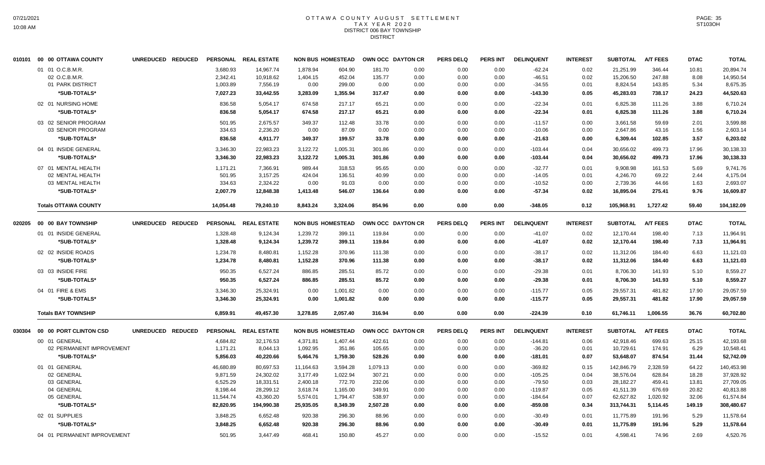#### OTTAWA COUNTY AUGUST SETTLEMENT T A X Y E A R 2 0 2 0 DISTRICT 006 BAY TOWNSHIP **DISTRICT**

|        | 010101 00 00 OTTAWA COUNTY  | UNREDUCED REDUCED                  |           | PERSONAL REAL ESTATE |           | <b>NON BUS HOMESTEAD</b> |          | OWN OCC DAYTON CR | <b>PERS DELQ</b> | <b>PERS INT</b> | <b>DELINQUENT</b> | <b>INTEREST</b> | <b>SUBTOTAL</b> | <b>A/T FEES</b> | <b>DTAC</b> | <b>TOTAL</b> |
|--------|-----------------------------|------------------------------------|-----------|----------------------|-----------|--------------------------|----------|-------------------|------------------|-----------------|-------------------|-----------------|-----------------|-----------------|-------------|--------------|
|        | 01 01 O.C.B.M.R.            |                                    | 3,680.93  | 14,967.74            | 1,878.94  | 604.90                   | 181.70   | 0.00              | 0.00             | 0.00            | $-62.24$          | 0.02            | 21,251.99       | 346.44          | 10.81       | 20,894.74    |
|        | 02 O.C.B.M.R.               |                                    | 2,342.41  | 10,918.62            | 1,404.15  | 452.04                   | 135.77   | 0.00              | 0.00             | 0.00            | $-46.51$          | 0.02            | 15,206.50       | 247.88          | 8.08        | 14,950.54    |
|        | 01 PARK DISTRICT            |                                    | 1,003.89  | 7,556.19             | 0.00      | 299.00                   | 0.00     | 0.00              | 0.00             | 0.00            | $-34.55$          | 0.01            | 8,824.54        | 143.85          | 5.34        | 8,675.35     |
|        | *SUB-TOTALS*                |                                    | 7,027.23  | 33,442.55            | 3,283.09  | 1,355.94                 | 317.47   | 0.00              | 0.00             | 0.00            | $-143.30$         | 0.05            | 45,283.03       | 738.17          | 24.23       | 44,520.63    |
|        | 02 01 NURSING HOME          |                                    | 836.58    | 5,054.17             | 674.58    | 217.17                   | 65.21    | 0.00              | 0.00             | 0.00            | $-22.34$          | 0.01            | 6,825.38        | 111.26          | 3.88        | 6,710.24     |
|        | *SUB-TOTALS*                |                                    | 836.58    | 5.054.17             | 674.58    | 217.17                   | 65.21    | 0.00              | 0.00             | 0.00            | $-22.34$          | 0.01            | 6.825.38        | 111.26          | 3.88        | 6.710.24     |
|        |                             |                                    |           |                      |           |                          |          |                   |                  |                 |                   |                 |                 |                 |             |              |
|        | 03 02 SENIOR PROGRAM        |                                    | 501.95    | 2,675.57             | 349.37    | 112.48                   | 33.78    | 0.00              | 0.00             | 0.00            | $-11.57$          | 0.00            | 3,661.58        | 59.69           | 2.01        | 3,599.88     |
|        | 03 SENIOR PROGRAM           |                                    | 334.63    | 2,236.20             | 0.00      | 87.09                    | 0.00     | 0.00              | 0.00             | 0.00            | $-10.06$          | 0.00            | 2,647.86        | 43.16           | 1.56        | 2,603.14     |
|        | *SUB-TOTALS*                |                                    | 836.58    | 4,911.77             | 349.37    | 199.57                   | 33.78    | 0.00              | 0.00             | 0.00            | $-21.63$          | 0.00            | 6,309.44        | 102.85          | 3.57        | 6,203.02     |
|        | 04 01 INSIDE GENERAL        |                                    | 3,346.30  | 22,983.23            | 3,122.72  | 1,005.31                 | 301.86   | 0.00              | 0.00             | 0.00            | $-103.44$         | 0.04            | 30,656.02       | 499.73          | 17.96       | 30,138.33    |
|        | *SUB-TOTALS*                |                                    | 3,346.30  | 22,983.23            | 3,122.72  | 1,005.31                 | 301.86   | 0.00              | 0.00             | 0.00            | $-103.44$         | 0.04            | 30,656.02       | 499.73          | 17.96       | 30,138.33    |
|        | 07 01 MENTAL HEALTH         |                                    | 1,171.21  | 7,366.91             | 989.44    | 318.53                   | 95.65    | 0.00              | 0.00             | 0.00            | $-32.77$          | 0.01            | 9,908.98        | 161.53          | 5.69        | 9,741.76     |
|        | 02 MENTAL HEALTH            |                                    | 501.95    | 3,157.25             | 424.04    | 136.51                   | 40.99    | 0.00              | 0.00             | 0.00            | $-14.05$          | 0.01            | 4,246.70        | 69.22           | 2.44        | 4,175.04     |
|        | 03 MENTAL HEALTH            |                                    | 334.63    | 2,324.22             | 0.00      | 91.03                    | 0.00     | 0.00              | 0.00             | 0.00            | $-10.52$          | 0.00            | 2,739.36        | 44.66           | 1.63        | 2,693.07     |
|        | *SUB-TOTALS*                |                                    | 2,007.79  | 12,848.38            | 1,413.48  | 546.07                   | 136.64   | 0.00              | 0.00             | 0.00            | $-57.34$          | 0.02            | 16,895.04       | 275.41          | 9.76        | 16,609.87    |
|        | <b>Totals OTTAWA COUNTY</b> |                                    | 14,054.48 | 79.240.10            | 8,843.24  | 3,324.06                 | 854.96   | 0.00              | 0.00             | 0.00            | $-348.05$         | 0.12            | 105,968.91      | 1,727.42        | 59.40       | 104,182.09   |
| 020205 | 00 00 BAY TOWNSHIP          | <b>REDUCED</b><br><b>UNREDUCED</b> |           | PERSONAL REAL ESTATE |           | <b>NON BUS HOMESTEAD</b> |          | OWN OCC DAYTON CR | <b>PERS DELQ</b> | PERS INT        | <b>DELINQUENT</b> | <b>INTEREST</b> | <b>SUBTOTAL</b> | <b>A/T FEES</b> | <b>DTAC</b> | <b>TOTAL</b> |
|        |                             |                                    |           |                      |           |                          |          |                   |                  |                 |                   |                 |                 |                 |             |              |
|        | 01 01 INSIDE GENERAL        |                                    | 1,328.48  | 9,124.34             | 1,239.72  | 399.11                   | 119.84   | 0.00              | 0.00             | 0.00            | $-41.07$          | 0.02            | 12,170.44       | 198.40          | 7.13        | 11,964.91    |
|        | *SUB-TOTALS*                |                                    | 1,328.48  | 9,124.34             | 1,239.72  | 399.11                   | 119.84   | 0.00              | 0.00             | 0.00            | $-41.07$          | 0.02            | 12,170.44       | 198.40          | 7.13        | 11,964.91    |
|        | 02 02 INSIDE ROADS          |                                    | 1,234.78  | 8,480.81             | 1,152.28  | 370.96                   | 111.38   | 0.00              | 0.00             | 0.00            | $-38.17$          | 0.02            | 11,312.06       | 184.40          | 6.63        | 11,121.03    |
|        | *SUB-TOTALS*                |                                    | 1,234.78  | 8,480.81             | 1,152.28  | 370.96                   | 111.38   | 0.00              | 0.00             | 0.00            | $-38.17$          | 0.02            | 11,312.06       | 184.40          | 6.63        | 11,121.03    |
|        |                             |                                    |           |                      |           |                          |          |                   |                  |                 |                   |                 |                 |                 |             |              |
|        | 03 03 INSIDE FIRE           |                                    | 950.35    | 6,527.24             | 886.85    | 285.51                   | 85.72    | 0.00              | 0.00             | 0.00            | $-29.38$          | 0.01            | 8,706.30        | 141.93          | 5.10        | 8,559.27     |
|        | *SUB-TOTALS*                |                                    | 950.35    | 6,527.24             | 886.85    | 285.51                   | 85.72    | 0.00              | 0.00             | 0.00            | $-29.38$          | 0.01            | 8,706.30        | 141.93          | 5.10        | 8,559.27     |
|        | 04 01 FIRE & EMS            |                                    | 3,346.30  | 25,324.91            | 0.00      | 1,001.82                 | 0.00     | 0.00              | 0.00             | 0.00            | $-115.77$         | 0.05            | 29,557.31       | 481.82          | 17.90       | 29,057.59    |
|        | *SUB-TOTALS*                |                                    | 3,346.30  | 25,324.91            | 0.00      | 1,001.82                 | 0.00     | 0.00              | 0.00             | 0.00            | $-115.77$         | 0.05            | 29,557.31       | 481.82          | 17.90       | 29,057.59    |
|        | <b>Totals BAY TOWNSHIP</b>  |                                    | 6,859.91  | 49,457.30            | 3,278.85  | 2,057.40                 | 316.94   | 0.00              | 0.00             | 0.00            | $-224.39$         | 0.10            | 61,746.11       | 1,006.55        | 36.76       | 60,702.80    |
|        |                             |                                    |           |                      |           |                          |          |                   |                  |                 |                   |                 |                 |                 |             |              |
| 030304 | 00 00 PORT CLINTON CSD      | UNREDUCED REDUCED                  |           | PERSONAL REAL ESTATE |           | <b>NON BUS HOMESTEAD</b> |          | OWN OCC DAYTON CR | <b>PERS DELQ</b> | <b>PERS INT</b> | <b>DELINQUENT</b> | <b>INTEREST</b> | <b>SUBTOTAL</b> | <b>A/T FEES</b> | <b>DTAC</b> | <b>TOTAL</b> |
|        | 00 01 GENERAL               |                                    | 4,684.82  | 32,176.53            | 4,371.81  | 1,407.44                 | 422.61   | 0.00              | 0.00             | 0.00            | $-144.81$         | 0.06            | 42,918.46       | 699.63          | 25.15       | 42,193.68    |
|        | 02 PERMANENT IMPROVEMENT    |                                    | 1,171.21  | 8,044.13             | 1,092.95  | 351.86                   | 105.65   | 0.00              | 0.00             | 0.00            | $-36.20$          | 0.01            | 10,729.61       | 174.91          | 6.29        | 10,548.41    |
|        | *SUB-TOTALS*                |                                    | 5,856.03  | 40,220.66            | 5,464.76  | 1,759.30                 | 528.26   | 0.00              | 0.00             | 0.00            | $-181.01$         | 0.07            | 53,648.07       | 874.54          | 31.44       | 52,742.09    |
|        |                             |                                    |           |                      |           |                          |          |                   |                  |                 |                   |                 |                 |                 |             |              |
|        | 01 01 GENERAL               |                                    | 46,680.89 | 80,697.53            | 11,164.63 | 3,594.28                 | 1,079.13 | 0.00              | 0.00             | 0.00            | $-369.82$         | 0.15            | 142,846.79      | 2,328.59        | 64.22       | 140,453.98   |
|        | 02 GENERAL                  |                                    | 9,871.59  | 24,302.02            | 3,177.49  | 1,022.94                 | 307.21   | 0.00              | 0.00             | 0.00            | $-105.25$         | 0.04            | 38,576.04       | 628.84          | 18.28       | 37,928.92    |
|        | 03 GENERAL                  |                                    | 6,525.29  | 18,331.51            | 2,400.18  | 772.70                   | 232.06   | 0.00              | 0.00             | 0.00            | $-79.50$          | 0.03            | 28,182.27       | 459.41          | 13.81       | 27,709.05    |
|        | 04 GENERAL                  |                                    | 8,198.44  | 28,299.12            | 3,618.74  | 1,165.00                 | 349.91   | 0.00              | 0.00             | 0.00            | $-119.87$         | 0.05            | 41,511.39       | 676.69          | 20.82       | 40,813.88    |
|        | 05 GENERAL                  |                                    | 11,544.74 | 43,360.20            | 5,574.01  | 1,794.47                 | 538.97   | 0.00              | 0.00             | 0.00            | $-184.64$         | 0.07            | 62,627.82       | 1,020.92        | 32.06       | 61,574.84    |
|        | *SUB-TOTALS*                |                                    | 82,820.95 | 194,990.38           | 25,935.05 | 8,349.39                 | 2,507.28 | 0.00              | 0.00             | 0.00            | $-859.08$         | 0.34            | 313,744.31      | 5,114.45        | 149.19      | 308,480.67   |
|        | 02 01 SUPPLIES              |                                    | 3,848.25  | 6,652.48             | 920.38    | 296.30                   | 88.96    | 0.00              | 0.00             | 0.00            | $-30.49$          | 0.01            | 11,775.89       | 191.96          | 5.29        | 11,578.64    |
|        | *SUB-TOTALS*                |                                    | 3,848.25  | 6,652.48             | 920.38    | 296.30                   | 88.96    | 0.00              | 0.00             | 0.00            | $-30.49$          | 0.01            | 11,775.89       | 191.96          | 5.29        | 11,578.64    |
|        | 04 01 PERMANENT IMPROVEMENT |                                    | 501.95    | 3,447.49             | 468.41    | 150.80                   | 45.27    | 0.00              | 0.00             | 0.00            | $-15.52$          | 0.01            | 4,598.41        | 74.96           | 2.69        | 4,520.76     |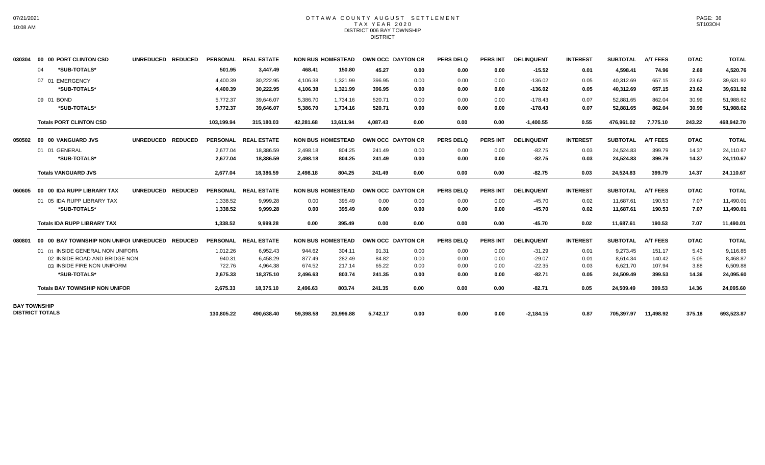#### OTTAWA COUNTY AUGUST SETTLEMENT T A X Y E A R 2 0 2 0 DISTRICT 006 BAY TOWNSHIP DISTRICT

| 030304                 |    | 00 00 PORT CLINTON CSD                          | UNREDUCED REDUCED |            | PERSONAL REAL ESTATE |           | <b>NON BUS HOMESTEAD</b> | OWN OCC DAYTON CR |      | <b>PERS DELQ</b> | <b>PERS INT</b> | <b>DELINQUENT</b> | <b>INTEREST</b> | <b>SUBTOTAL</b>      | <b>A/T FEES</b> | <b>DTAC</b> | <b>TOTAL</b> |
|------------------------|----|-------------------------------------------------|-------------------|------------|----------------------|-----------|--------------------------|-------------------|------|------------------|-----------------|-------------------|-----------------|----------------------|-----------------|-------------|--------------|
|                        | 04 | *SUB-TOTALS*                                    |                   | 501.95     | 3,447.49             | 468.41    | 150.80                   | 45.27             | 0.00 | 0.00             | 0.00            | $-15.52$          | 0.01            | 4,598.41             | 74.96           | 2.69        | 4,520.76     |
|                        |    | 07 01 EMERGENCY                                 |                   | 4,400.39   | 30,222.95            | 4,106.38  | 1,321.99                 | 396.95            | 0.00 | 0.00             | 0.00            | $-136.02$         | 0.05            | 40,312.69            | 657.15          | 23.62       | 39,631.92    |
|                        |    | *SUB-TOTALS*                                    |                   | 4,400.39   | 30.222.95            | 4,106.38  | 1,321.99                 | 396.95            | 0.00 | 0.00             | 0.00            | $-136.02$         | 0.05            | 40,312.69            | 657.15          | 23.62       | 39,631.92    |
|                        |    | 09 01 BOND                                      |                   | 5,772.37   | 39.646.07            | 5.386.70  | 1.734.16                 | 520.71            | 0.00 | 0.00             | 0.00            | $-178.43$         | 0.07            | 52.881.65            | 862.04          | 30.99       | 51.988.62    |
|                        |    | *SUB-TOTALS*                                    |                   | 5,772.37   | 39,646.07            | 5,386.70  | 1,734.16                 | 520.71            | 0.00 | 0.00             | 0.00            | $-178.43$         | 0.07            | 52,881.65            | 862.04          | 30.99       | 51,988.62    |
|                        |    | <b>Totals PORT CLINTON CSD</b>                  |                   | 103,199.94 | 315,180.03           | 42,281.68 | 13,611.94                | 4.087.43          | 0.00 | 0.00             | 0.00            | $-1,400.55$       | 0.55            | 476.961.02           | 7,775.10        | 243.22      | 468,942.70   |
| 050502                 |    | 00 00 VANGUARD JVS                              | UNREDUCED REDUCED |            | PERSONAL REAL ESTATE |           | <b>NON BUS HOMESTEAD</b> | OWN OCC DAYTON CR |      | <b>PERS DELQ</b> | <b>PERS INT</b> | <b>DELINQUENT</b> | <b>INTEREST</b> | <b>SUBTOTAL</b>      | <b>A/T FEES</b> | <b>DTAC</b> | <b>TOTAL</b> |
|                        |    | 01 01 GENERAL                                   |                   | 2,677.04   | 18,386.59            | 2,498.18  | 804.25                   | 241.49            | 0.00 | 0.00             | 0.00            | $-82.75$          | 0.03            | 24,524.83            | 399.79          | 14.37       | 24,110.67    |
|                        |    | *SUB-TOTALS*                                    |                   | 2.677.04   | 18,386.59            | 2,498.18  | 804.25                   | 241.49            | 0.00 | 0.00             | 0.00            | $-82.75$          | 0.03            | 24,524.83            | 399.79          | 14.37       | 24,110.67    |
|                        |    | <b>Totals VANGUARD JVS</b>                      |                   | 2,677.04   | 18,386.59            | 2,498.18  | 804.25                   | 241.49            | 0.00 | 0.00             | 0.00            | $-82.75$          | 0.03            | 24,524.83            | 399.79          | 14.37       | 24,110.67    |
| 060605                 |    | 00 00 IDA RUPP LIBRARY TAX                      | UNREDUCED REDUCED |            | PERSONAL REAL ESTATE |           | <b>NON BUS HOMESTEAD</b> | OWN OCC DAYTON CR |      | <b>PERS DELQ</b> | <b>PERS INT</b> | <b>DELINQUENT</b> | <b>INTEREST</b> | <b>SUBTOTAL</b>      | <b>A/T FEES</b> | <b>DTAC</b> | <b>TOTAL</b> |
|                        |    | 01 05 IDA RUPP LIBRARY TAX                      |                   | 1,338.52   | 9,999.28             | 0.00      | 395.49                   | 0.00              | 0.00 | 0.00             | 0.00            | $-45.70$          | 0.02            | 11,687.61            | 190.53          | 7.07        | 11,490.01    |
|                        |    | *SUB-TOTALS*                                    |                   | 1,338.52   | 9,999.28             | 0.00      | 395.49                   | 0.00              | 0.00 | 0.00             | 0.00            | $-45.70$          | 0.02            | 11,687.61            | 190.53          | 7.07        | 11,490.01    |
|                        |    | <b>Totals IDA RUPP LIBRARY TAX</b>              |                   | 1,338.52   | 9,999.28             | 0.00      | 395.49                   | 0.00              | 0.00 | 0.00             | 0.00            | $-45.70$          | 0.02            | 11,687.61            | 190.53          | 7.07        | 11,490.01    |
| 080801                 |    | 00 00 BAY TOWNSHIP NON UNIFOI UNREDUCED REDUCED |                   |            | PERSONAL REAL ESTATE |           | <b>NON BUS HOMESTEAD</b> | OWN OCC DAYTON CR |      | <b>PERS DELQ</b> | <b>PERS INT</b> | <b>DELINQUENT</b> | <b>INTEREST</b> | <b>SUBTOTAL</b>      | <b>A/T FEES</b> | <b>DTAC</b> | <b>TOTAL</b> |
|                        |    | 01 01 INSIDE GENERAL NON UNIFORM                |                   | 1,012.26   | 6,952.43             | 944.62    | 304.11                   | 91.31             | 0.00 | 0.00             | 0.00            | $-31.29$          | 0.01            | 9,273.45             | 151.17          | 5.43        | 9,116.85     |
|                        |    | 02 INSIDE ROAD AND BRIDGE NON                   |                   | 940.31     | 6.458.29             | 877.49    | 282.49                   | 84.82             | 0.00 | 0.00             | 0.00            | $-29.07$          | 0.01            | 8.614.34             | 140.42          | 5.05        | 8.468.87     |
|                        |    | 03 INSIDE FIRE NON UNIFORM                      |                   | 722.76     | 4.964.38             | 674.52    | 217.14                   | 65.22             | 0.00 | 0.00             | 0.00            | $-22.35$          | 0.03            | 6,621.70             | 107.94          | 3.88        | 6,509.88     |
|                        |    | *SUB-TOTALS*                                    |                   | 2,675.33   | 18,375.10            | 2,496.63  | 803.74                   | 241.35            | 0.00 | 0.00             | 0.00            | $-82.71$          | 0.05            | 24,509.49            | 399.53          | 14.36       | 24,095.60    |
|                        |    | <b>Totals BAY TOWNSHIP NON UNIFOR</b>           |                   | 2,675.33   | 18,375.10            | 2,496.63  | 803.74                   | 241.35            | 0.00 | 0.00             | 0.00            | $-82.71$          | 0.05            | 24,509.49            | 399.53          | 14.36       | 24,095.60    |
| <b>BAY TOWNSHIP</b>    |    |                                                 |                   |            |                      |           |                          |                   |      |                  |                 |                   |                 |                      |                 |             |              |
| <b>DISTRICT TOTALS</b> |    |                                                 |                   | 130,805.22 | 490,638.40           | 59,398.58 | 20,996.88                | 5,742.17          | 0.00 | 0.00             | 0.00            | $-2,184.15$       | 0.87            | 705,397.97 11,498.92 |                 | 375.18      | 693,523.87   |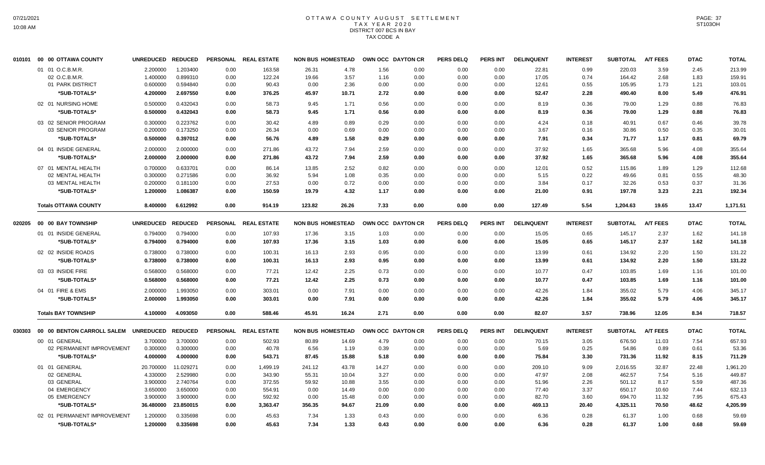# OTTAWA COUNTY AUGUST SETTLEMENT T A X Y E A R 2 0 2 0 DISTRICT 007 BCS IN BAY TAX CODE A

| 010101 | 00 00 OTTAWA COUNTY                  | <b>UNREDUCED</b> | <b>REDUCED</b> |                 | PERSONAL REAL ESTATE | <b>NON BUS HOMESTEAD</b> |       |       | OWN OCC DAYTON CR | <b>PERS DELQ</b> | <b>PERS INT</b> | <b>DELINQUENT</b> | <b>INTEREST</b> | <b>SUBTOTAL</b> | <b>A/T FEES</b> | <b>DTAC</b> | <b>TOTAL</b> |
|--------|--------------------------------------|------------------|----------------|-----------------|----------------------|--------------------------|-------|-------|-------------------|------------------|-----------------|-------------------|-----------------|-----------------|-----------------|-------------|--------------|
|        | 01 01 O.C.B.M.R                      | 2.200000         | 1.203400       | 0.00            | 163.58               | 26.31                    | 4.78  | 1.56  | 0.00              | 0.00             | 0.00            | 22.81             | 0.99            | 220.03          | 3.59            | 2.45        | 213.99       |
|        | 02 O.C.B.M.R.                        | 1.400000         | 0.899310       | 0.00            | 122.24               | 19.66                    | 3.57  | 1.16  | 0.00              | 0.00             | 0.00            | 17.05             | 0.74            | 164.42          | 2.68            | 1.83        | 159.91       |
|        | 01 PARK DISTRICT                     | 0.600000         | 0.594840       | 0.00            | 90.43                | 0.00                     | 2.36  | 0.00  | 0.00              | 0.00             | 0.00            | 12.61             | 0.55            | 105.95          | 1.73            | 1.21        | 103.01       |
|        | *SUB-TOTALS*                         | 4.200000         | 2.697550       | 0.00            | 376.25               | 45.97                    | 10.71 | 2.72  | 0.00              | 0.00             | 0.00            | 52.47             | 2.28            | 490.40          | 8.00            | 5.49        | 476.91       |
|        | 02 01 NURSING HOME                   | 0.500000         | 0.432043       | 0.00            | 58.73                | 9.45                     | 1.71  | 0.56  | 0.00              | 0.00             | 0.00            | 8.19              | 0.36            | 79.00           | 1.29            | 0.88        | 76.83        |
|        | *SUB-TOTALS*                         | 0.500000         | 0.432043       | 0.00            | 58.73                | 9.45                     | 1.71  | 0.56  | 0.00              | 0.00             | 0.00            | 8.19              | 0.36            | 79.00           | 1.29            | 0.88        | 76.83        |
|        | 03 02 SENIOR PROGRAM                 | 0.300000         | 0.223762       | 0.00            | 30.42                | 4.89                     | 0.89  | 0.29  | 0.00              | 0.00             | 0.00            | 4.24              | 0.18            | 40.91           | 0.67            | 0.46        | 39.78        |
|        | 03 SENIOR PROGRAM                    | 0.200000         | 0.173250       | 0.00            | 26.34                | 0.00                     | 0.69  | 0.00  | 0.00              | 0.00             | 0.00            | 3.67              | 0.16            | 30.86           | 0.50            | 0.35        | 30.01        |
|        | *SUB-TOTALS*                         | 0.500000         | 0.397012       | 0.00            | 56.76                | 4.89                     | 1.58  | 0.29  | 0.00              | 0.00             | 0.00            | 7.91              | 0.34            | 71.77           | 1.17            | 0.81        | 69.79        |
|        | 04 01 INSIDE GENERAL                 | 2.000000         | 2.000000       | 0.00            | 271.86               | 43.72                    | 7.94  | 2.59  | 0.00              | 0.00             | 0.00            | 37.92             | 1.65            | 365.68          | 5.96            | 4.08        | 355.64       |
|        | *SUB-TOTALS*                         | 2.000000         | 2.000000       | 0.00            | 271.86               | 43.72                    | 7.94  | 2.59  | 0.00              | 0.00             | 0.00            | 37.92             | 1.65            | 365.68          | 5.96            | 4.08        | 355.64       |
|        | 07 01 MENTAL HEALTH                  | 0.700000         | 0.633701       | 0.00            | 86.14                | 13.85                    | 2.52  | 0.82  | 0.00              | 0.00             | 0.00            | 12.01             | 0.52            | 115.86          | 1.89            | 1.29        | 112.68       |
|        | 02 MENTAL HEALTH                     | 0.300000         | 0.271586       | 0.00            | 36.92                | 5.94                     | 1.08  | 0.35  | 0.00              | 0.00             | 0.00            | 5.15              | 0.22            | 49.66           | 0.81            | 0.55        | 48.30        |
|        | 03 MENTAL HEALTH                     | 0.200000         | 0.181100       | 0.00            | 27.53                | 0.00                     | 0.72  | 0.00  | 0.00              | 0.00             | 0.00            | 3.84              | 0.17            | 32.26           | 0.53            | 0.37        | 31.36        |
|        | *SUB-TOTALS*                         | 1.200000         | 1.086387       | 0.00            | 150.59               | 19.79                    | 4.32  | 1.17  | 0.00              | 0.00             | 0.00            | 21.00             | 0.91            | 197.78          | 3.23            | 2.21        | 192.34       |
|        | <b>Totals OTTAWA COUNTY</b>          | 8.400000         | 6.612992       | 0.00            | 914.19               | 123.82                   | 26.26 | 7.33  | 0.00              | 0.00             | 0.00            | 127.49            | 5.54            | 1,204.63        | 19.65           | 13.47       | 1,171.51     |
| 020205 | 00 00 BAY TOWNSHIP                   | <b>UNREDUCED</b> | <b>REDUCED</b> |                 | PERSONAL REAL ESTATE | <b>NON BUS HOMESTEAD</b> |       |       | OWN OCC DAYTON CR | <b>PERS DELQ</b> | PERS INT        | <b>DELINQUENT</b> | <b>INTEREST</b> | <b>SUBTOTAL</b> | <b>A/T FEES</b> | <b>DTAC</b> | <b>TOTAL</b> |
|        | 01 01 INSIDE GENERAL                 | 0.794000         | 0.794000       | 0.00            | 107.93               | 17.36                    | 3.15  | 1.03  | 0.00              | 0.00             | 0.00            | 15.05             | 0.65            | 145.17          | 2.37            | 1.62        | 141.18       |
|        | *SUB-TOTALS*                         | 0.794000         | 0.794000       | 0.00            | 107.93               | 17.36                    | 3.15  | 1.03  | 0.00              | 0.00             | 0.00            | 15.05             | 0.65            | 145.17          | 2.37            | 1.62        | 141.18       |
|        | 02 02 INSIDE ROADS                   | 0.738000         | 0.738000       | 0.00            | 100.31               | 16.13                    | 2.93  | 0.95  | 0.00              | 0.00             | 0.00            | 13.99             | 0.61            | 134.92          | 2.20            | 1.50        | 131.22       |
|        | *SUB-TOTALS*                         | 0.738000         | 0.738000       | 0.00            | 100.31               | 16.13                    | 2.93  | 0.95  | 0.00              | 0.00             | 0.00            | 13.99             | 0.61            | 134.92          | 2.20            | 1.50        | 131.22       |
|        | 03 03 INSIDE FIRE                    | 0.568000         | 0.568000       | 0.00            | 77.21                | 12.42                    | 2.25  | 0.73  | 0.00              | 0.00             | 0.00            | 10.77             | 0.47            | 103.85          | 1.69            | 1.16        | 101.00       |
|        | *SUB-TOTALS*                         | 0.568000         | 0.568000       | 0.00            | 77.21                | 12.42                    | 2.25  | 0.73  | 0.00              | 0.00             | 0.00            | 10.77             | 0.47            | 103.85          | 1.69            | 1.16        | 101.00       |
|        | 04 01 FIRE & EMS                     | 2.000000         | 1.993050       | 0.00            | 303.01               | 0.00                     | 7.91  | 0.00  | 0.00              | 0.00             | 0.00            | 42.26             | 1.84            | 355.02          | 5.79            | 4.06        | 345.17       |
|        | *SUB-TOTALS*                         | 2.000000         | 1.993050       | 0.00            | 303.01               | 0.00                     | 7.91  | 0.00  | 0.00              | 0.00             | 0.00            | 42.26             | 1.84            | 355.02          | 5.79            | 4.06        | 345.17       |
|        | <b>Totals BAY TOWNSHIP</b>           | 4.100000         | 4.093050       | 0.00            | 588.46               | 45.91                    | 16.24 | 2.71  | 0.00              | 0.00             | 0.00            | 82.07             | 3.57            | 738.96          | 12.05           | 8.34        | 718.57       |
| 030303 | 00 00 BENTON CARROLL SALEM UNREDUCED |                  | <b>REDUCED</b> | <b>PERSONAL</b> | <b>REAL ESTATE</b>   | <b>NON BUS HOMESTEAD</b> |       |       | OWN OCC DAYTON CR | <b>PERS DELQ</b> | <b>PERS INT</b> | <b>DELINQUENT</b> | <b>INTEREST</b> | <b>SUBTOTAL</b> | <b>A/T FEES</b> | <b>DTAC</b> | <b>TOTAL</b> |
|        | 00 01 GENERAL                        | 3.700000         | 3.700000       | 0.00            | 502.93               | 80.89                    | 14.69 | 4.79  | 0.00              | 0.00             | 0.00            | 70.15             | 3.05            | 676.50          | 11.03           | 7.54        | 657.93       |
|        | 02 PERMANENT IMPROVEMENT             | 0.300000         | 0.300000       | 0.00            | 40.78                | 6.56                     | 1.19  | 0.39  | 0.00              | 0.00             | 0.00            | 5.69              | 0.25            | 54.86           | 0.89            | 0.61        | 53.36        |
|        | *SUB-TOTALS*                         | 4.000000         | 4.000000       | 0.00            | 543.71               | 87.45                    | 15.88 | 5.18  | 0.00              | 0.00             | 0.00            | 75.84             | 3.30            | 731.36          | 11.92           | 8.15        | 711.29       |
|        | 01 01 GENERAL                        | 20.700000        | 11.029271      | 0.00            | 1,499.19             | 241.12                   | 43.78 | 14.27 | 0.00              | 0.00             | 0.00            | 209.10            | 9.09            | 2,016.55        | 32.87           | 22.48       | 1,961.20     |
|        | 02 GENERAL                           | 4.330000         | 2.529980       | 0.00            | 343.90               | 55.31                    | 10.04 | 3.27  | 0.00              | 0.00             | 0.00            | 47.97             | 2.08            | 462.57          | 7.54            | 5.16        | 449.87       |
|        | 03 GENERAL                           | 3.900000         | 2.740764       | 0.00            | 372.55               | 59.92                    | 10.88 | 3.55  | 0.00              | 0.00             | 0.00            | 51.96             | 2.26            | 501.12          | 8.17            | 5.59        | 487.36       |
|        | 04 EMERGENCY                         | 3.650000         | 3.650000       | 0.00            | 554.91               | 0.00                     | 14.49 | 0.00  | 0.00              | 0.00             | 0.00            | 77.40             | 3.37            | 650.17          | 10.60           | 7.44        | 632.13       |
|        | 05 EMERGENCY                         | 3.900000         | 3.900000       | 0.00            | 592.92               | 0.00                     | 15.48 | 0.00  | 0.00              | 0.00             | 0.00            | 82.70             | 3.60            | 694.70          | 11.32           | 7.95        | 675.43       |
|        | *SUB-TOTALS*                         | 36.480000        | 23.850015      | 0.00            | 3,363.47             | 356.35                   | 94.67 | 21.09 | 0.00              | 0.00             | 0.00            | 469.13            | 20.40           | 4,325.11        | 70.50           | 48.62       | 4,205.99     |
|        | 02 01 PERMANENT IMPROVEMENT          | 1.200000         | 0.335698       | 0.00            | 45.63                | 7.34                     | 1.33  | 0.43  | 0.00              | 0.00             | 0.00            | 6.36              | 0.28            | 61.37           | 1.00            | 0.68        | 59.69        |
|        | *SUB-TOTALS*                         | 1.200000         | 0.335698       | 0.00            | 45.63                | 7.34                     | 1.33  | 0.43  | 0.00              | 0.00             | 0.00            | 6.36              | 0.28            | 61.37           | 1.00            | 0.68        | 59.69        |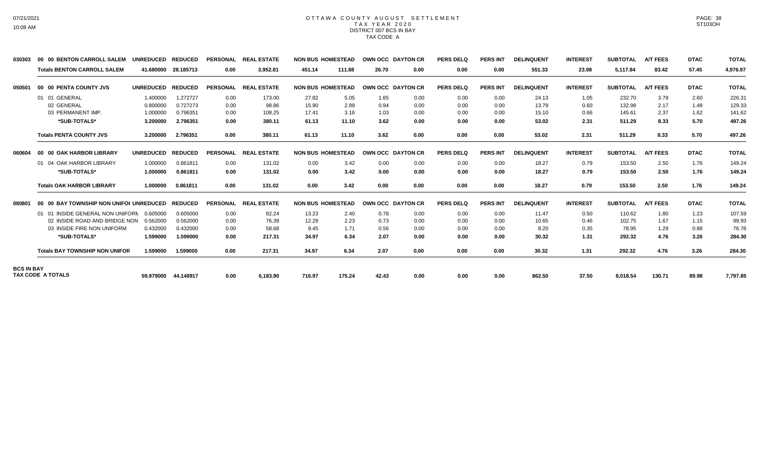## OTTAWA COUNTY AUGUST SETTLEMENT T A X Y E A R 2 0 2 0 DISTRICT 007 BCS IN BAY TAX CODE A

| 030303            | 00 00 BENTON CARROLL SALEM              | <b>UNREDUCED</b> | <b>REDUCED</b> | <b>PERSONAL</b> | <b>REAL ESTATE</b> |        | <b>NON BUS HOMESTEAD</b> |       | OWN OCC DAYTON CR        | <b>PERS DELQ</b> | <b>PERS INT</b> | <b>DELINQUENT</b> | <b>INTEREST</b> | <b>SUBTOTAL</b> | <b>A/T FEES</b> | <b>DTAC</b> | <b>TOTAL</b> |
|-------------------|-----------------------------------------|------------------|----------------|-----------------|--------------------|--------|--------------------------|-------|--------------------------|------------------|-----------------|-------------------|-----------------|-----------------|-----------------|-------------|--------------|
|                   | <b>Totals BENTON CARROLL SALEM</b>      | 41.680000        | 28.185713      | 0.00            | 3,952.81           | 451.14 | 111.88                   | 26.70 | 0.00                     | 0.00             | 0.00            | 551.33            | 23.98           | 5,117.84        | 83.42           | 57.45       | 4,976.97     |
| 050501            | 00 00 PENTA COUNTY JVS                  | <b>UNREDUCED</b> | <b>REDUCED</b> | <b>PERSONAL</b> | <b>REAL ESTATE</b> |        | <b>NON BUS HOMESTEAD</b> |       | <b>OWN OCC DAYTON CR</b> | <b>PERS DELQ</b> | <b>PERS INT</b> | <b>DELINQUENT</b> | <b>INTEREST</b> | <b>SUBTOTAL</b> | <b>A/T FEES</b> | <b>DTAC</b> | <b>TOTAL</b> |
|                   | 01 01 GENERAL                           | 1.400000         | 1.272727       | 0.00            | 173.00             | 27.82  | 5.05                     | 1.65  | 0.00                     | 0.00             | 0.00            | 24.13             | 1.05            | 232.70          | 3.79            | 2.60        | 226.31       |
|                   | 02 GENERAL                              | 0.800000         | 0.727273       | 0.00            | 98.86              | 15.90  | 2.89                     | 0.94  | 0.00                     | 0.00             | 0.00            | 13.79             | 0.60            | 132.98          | 2.17            | 1.48        | 129.33       |
|                   | 03 PERMANENT IMP.                       | 1.000000         | 0.796351       | 0.00            | 108.25             | 17.41  | 3.16                     | 1.03  | 0.00                     | 0.00             | 0.00            | 15.10             | 0.66            | 145.61          | 2.37            | 1.62        | 141.62       |
|                   | *SUB-TOTALS*                            | 3.200000         | 2.796351       | 0.00            | 380.11             | 61.13  | 11.10                    | 3.62  | 0.00                     | 0.00             | 0.00            | 53.02             | 2.31            | 511.29          | 8.33            | 5.70        | 497.26       |
|                   | <b>Totals PENTA COUNTY JVS</b>          | 3.200000         | 2.796351       | 0.00            | 380.11             | 61.13  | 11.10                    | 3.62  | 0.00                     | 0.00             | 0.00            | 53.02             | 2.31            | 511.29          | 8.33            | 5.70        | 497.26       |
| 060604            | 00 00 OAK HARBOR LIBRARY                | <b>UNREDUCED</b> | <b>REDUCED</b> | <b>PERSONAL</b> | <b>REAL ESTATE</b> |        | <b>NON BUS HOMESTEAD</b> |       | <b>OWN OCC DAYTON CR</b> | <b>PERS DELQ</b> | <b>PERS INT</b> | <b>DELINQUENT</b> | <b>INTEREST</b> | <b>SUBTOTAL</b> | <b>A/T FEES</b> | <b>DTAC</b> | <b>TOTAL</b> |
|                   | 01 04 OAK HARBOR LIBRARY                | 1.000000         | 0.861811       | 0.00            | 131.02             | 0.00   | 3.42                     | 0.00  | 0.00                     | 0.00             | 0.00            | 18.27             | 0.79            | 153.50          | 2.50            | 1.76        | 149.24       |
|                   | *SUB-TOTALS*                            | 1.000000         | 0.861811       | 0.00            | 131.02             | 0.00   | 3.42                     | 0.00  | 0.00                     | 0.00             | 0.00            | 18.27             | 0.79            | 153.50          | 2.50            | 1.76        | 149.24       |
|                   | <b>Totals OAK HARBOR LIBRARY</b>        | 1.000000         | 0.861811       | 0.00            | 131.02             | 0.00   | 3.42                     | 0.00  | 0.00                     | 0.00             | 0.00            | 18.27             | 0.79            | 153.50          | 2.50            | 1.76        | 149.24       |
| 080801            | 00 00 BAY TOWNSHIP NON UNIFOI UNREDUCED |                  | <b>REDUCED</b> | <b>PERSONAL</b> | <b>REAL ESTATE</b> |        | <b>NON BUS HOMESTEAD</b> |       | <b>OWN OCC DAYTON CR</b> | <b>PERS DELQ</b> | <b>PERS INT</b> | <b>DELINQUENT</b> | <b>INTEREST</b> | <b>SUBTOTAL</b> | <b>A/T FEES</b> | <b>DTAC</b> | <b>TOTAL</b> |
|                   | 01 01 INSIDE GENERAL NON UNIFORN        | 0.605000         | 0.605000       | 0.00            | 82.24              | 13.23  | 2.40                     | 0.78  | 0.00                     | 0.00             | 0.00            | 11.47             | 0.50            | 110.62          | 1.80            | 1.23        | 107.59       |
|                   | 02 INSIDE ROAD AND BRIDGE NON           | 0.562000         | 0.562000       | 0.00            | 76.39              | 12.29  | 2.23                     | 0.73  | 0.00                     | 0.00             | 0.00            | 10.65             | 0.46            | 102.75          | 1.67            | 1.15        | 99.93        |
|                   | 03 INSIDE FIRE NON UNIFORM              | 0.432000         | 0.432000       | 0.00            | 58.68              | 9.45   | 1.71                     | 0.56  | 0.00                     | 0.00             | 0.00            | 8.20              | 0.35            | 78.95           | 1.29            | 0.88        | 76.78        |
|                   | *SUB-TOTALS*                            | 1.599000         | 1.599000       | 0.00            | 217.31             | 34.97  | 6.34                     | 2.07  | 0.00                     | 0.00             | 0.00            | 30.32             | 1.31            | 292.32          | 4.76            | 3.26        | 284.30       |
|                   | <b>Totals BAY TOWNSHIP NON UNIFOR</b>   | 1.599000         | 1.599000       | 0.00            | 217.31             | 34.97  | 6.34                     | 2.07  | 0.00                     | 0.00             | 0.00            | 30.32             | 1.31            | 292.32          | 4.76            | 3.26        | 284.30       |
| <b>BCS IN BAY</b> |                                         |                  |                |                 |                    |        |                          |       |                          |                  |                 |                   |                 |                 |                 |             |              |
|                   | <b>TAX CODE A TOTALS</b>                | 59.979000        | 44.148917      | 0.00            | 6,183.90           | 716.97 | 175.24                   | 42.43 | 0.00                     | 0.00             | 0.00            | 862.50            | 37.50           | 8,018.54        | 130.71          | 89.98       | 7,797.85     |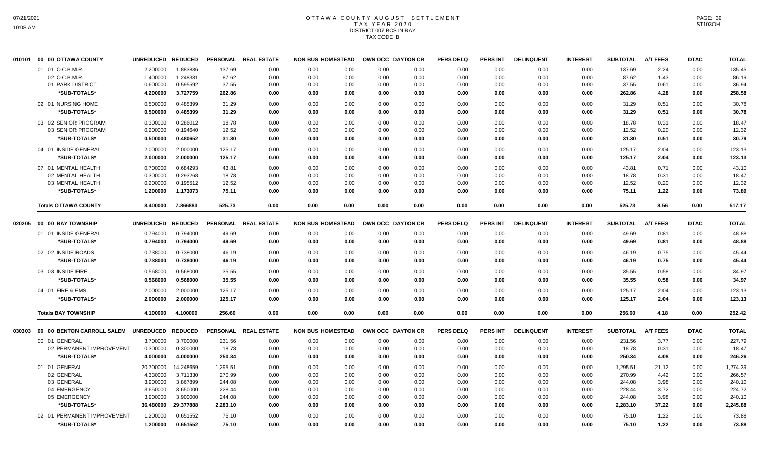# OTTAWA COUNTY AUGUST SETTLEMENT T A X Y E A R 2 0 2 0 DISTRICT 007 BCS IN BAY TAX CODE B

| 010101 | 00 00 OTTAWA COUNTY                  | <b>UNREDUCED</b> | <b>REDUCED</b> | <b>PERSONAL</b> | <b>REAL ESTATE</b>   | <b>NON BUS HOMESTEAD</b> |      | <b>OWN OCC DAYTON CR</b> |      | <b>PERS DELQ</b> | <b>PERS INT</b> | <b>DELINQUENT</b> | <b>INTEREST</b> | <b>SUBTOTAL</b> | <b>A/T FEES</b> | <b>DTAC</b> | <b>TOTAL</b> |
|--------|--------------------------------------|------------------|----------------|-----------------|----------------------|--------------------------|------|--------------------------|------|------------------|-----------------|-------------------|-----------------|-----------------|-----------------|-------------|--------------|
|        | 01 01 O.C.B.M.R.                     | 2.200000         | 1.883836       | 137.69          | 0.00                 | 0.00                     | 0.00 | 0.00                     | 0.00 | 0.00             | 0.00            | 0.00              | 0.00            | 137.69          | 2.24            | 0.00        | 135.45       |
|        | 02 O.C.B.M.R                         | 1.400000         | 1.248331       | 87.62           | 0.00                 | 0.00                     | 0.00 | 0.00                     | 0.00 | 0.00             | 0.00            | 0.00              | 0.00            | 87.62           | 1.43            | 0.00        | 86.19        |
|        | 01 PARK DISTRICT                     | 0.600000         | 0.595592       | 37.55           | 0.00                 | 0.00                     | 0.00 | 0.00                     | 0.00 | 0.00             | 0.00            | 0.00              | 0.00            | 37.55           | 0.61            | 0.00        | 36.94        |
|        | *SUB-TOTALS*                         | 4.200000         | 3.727759       | 262.86          | 0.00                 | 0.00                     | 0.00 | 0.00                     | 0.00 | 0.00             | 0.00            | 0.00              | 0.00            | 262.86          | 4.28            | 0.00        | 258.58       |
|        | 02 01 NURSING HOME                   | 0.500000         | 0.485399       | 31.29           | 0.00                 | 0.00                     | 0.00 | 0.00                     | 0.00 | 0.00             | 0.00            | 0.00              | 0.00            | 31.29           | 0.51            | 0.00        | 30.78        |
|        | *SUB-TOTALS*                         | 0.500000         | 0.485399       | 31.29           | 0.00                 | 0.00                     | 0.00 | 0.00                     | 0.00 | 0.00             | 0.00            | 0.00              | 0.00            | 31.29           | 0.51            | 0.00        | 30.78        |
|        | 03 02 SENIOR PROGRAM                 | 0.300000         | 0.286012       | 18.78           | 0.00                 | 0.00                     | 0.00 | 0.00                     | 0.00 | 0.00             | 0.00            | 0.00              | 0.00            | 18.78           | 0.31            | 0.00        | 18.47        |
|        | 03 SENIOR PROGRAM                    | 0.200000         | 0.194640       | 12.52           | 0.00                 | 0.00                     | 0.00 | 0.00                     | 0.00 | 0.00             | 0.00            | 0.00              | 0.00            | 12.52           | 0.20            | 0.00        | 12.32        |
|        | *SUB-TOTALS*                         | 0.500000         | 0.480652       | 31.30           | 0.00                 | 0.00                     | 0.00 | 0.00                     | 0.00 | 0.00             | 0.00            | 0.00              | 0.00            | 31.30           | 0.51            | 0.00        | 30.79        |
|        | 04 01 INSIDE GENERAL                 | 2.000000         | 2.000000       | 125.17          | 0.00                 | 0.00                     | 0.00 | 0.00                     | 0.00 | 0.00             | 0.00            | 0.00              | 0.00            | 125.17          | 2.04            | 0.00        | 123.13       |
|        | *SUB-TOTALS*                         | 2.000000         | 2.000000       | 125.17          | 0.00                 | 0.00                     | 0.00 | 0.00                     | 0.00 | 0.00             | 0.00            | 0.00              | 0.00            | 125.17          | 2.04            | 0.00        | 123.13       |
|        | 07 01 MENTAL HEALTH                  | 0.700000         | 0.684293       | 43.81           | 0.00                 | 0.00                     | 0.00 | 0.00                     | 0.00 | 0.00             | 0.00            | 0.00              | 0.00            | 43.81           | 0.71            | 0.00        | 43.10        |
|        | 02 MENTAL HEALTH                     | 0.300000         | 0.293268       | 18.78           | 0.00                 | 0.00                     | 0.00 | 0.00                     | 0.00 | 0.00             | 0.00            | 0.00              | 0.00            | 18.78           | 0.31            | 0.00        | 18.47        |
|        | 03 MENTAL HEALTH                     | 0.200000         | 0.195512       | 12.52           | 0.00                 | 0.00                     | 0.00 | 0.00                     | 0.00 | 0.00             | 0.00            | 0.00              | 0.00            | 12.52           | 0.20            | 0.00        | 12.32        |
|        | *SUB-TOTALS*                         | 1.200000         | 1.173073       | 75.11           | 0.00                 | 0.00                     | 0.00 | 0.00                     | 0.00 | 0.00             | 0.00            | 0.00              | 0.00            | 75.11           | 1.22            | 0.00        | 73.89        |
|        | <b>Totals OTTAWA COUNTY</b>          | 8.400000         | 7.866883       | 525.73          | 0.00                 | 0.00                     | 0.00 | 0.00                     | 0.00 | 0.00             | 0.00            | 0.00              | 0.00            | 525.73          | 8.56            | 0.00        | 517.17       |
| 020205 | 00 00 BAY TOWNSHIP                   | <b>UNREDUCED</b> | <b>REDUCED</b> |                 | PERSONAL REAL ESTATE | <b>NON BUS HOMESTEAD</b> |      | OWN OCC DAYTON CR        |      | <b>PERS DELQ</b> | PERS INT        | <b>DELINQUENT</b> | <b>INTEREST</b> | <b>SUBTOTAL</b> | <b>A/T FEES</b> | <b>DTAC</b> | <b>TOTAL</b> |
|        | 01 01 INSIDE GENERAL                 | 0.794000         | 0.794000       | 49.69           | 0.00                 | 0.00                     | 0.00 | 0.00                     | 0.00 | 0.00             | 0.00            | 0.00              | 0.00            | 49.69           | 0.81            | 0.00        | 48.88        |
|        | *SUB-TOTALS*                         | 0.794000         | 0.794000       | 49.69           | 0.00                 | 0.00                     | 0.00 | 0.00                     | 0.00 | 0.00             | 0.00            | 0.00              | 0.00            | 49.69           | 0.81            | 0.00        | 48.88        |
|        | 02 02 INSIDE ROADS                   | 0.738000         | 0.738000       | 46.19           | 0.00                 | 0.00                     | 0.00 | 0.00                     | 0.00 | 0.00             | 0.00            | 0.00              | 0.00            | 46.19           | 0.75            | 0.00        | 45.44        |
|        | *SUB-TOTALS*                         | 0.738000         | 0.738000       | 46.19           | 0.00                 | 0.00                     | 0.00 | 0.00                     | 0.00 | 0.00             | 0.00            | 0.00              | 0.00            | 46.19           | 0.75            | 0.00        | 45.44        |
|        |                                      |                  |                |                 |                      |                          |      |                          |      |                  |                 |                   |                 |                 |                 |             |              |
|        | 03 03 INSIDE FIRE                    | 0.568000         | 0.568000       | 35.55           | 0.00                 | 0.00                     | 0.00 | 0.00                     | 0.00 | 0.00             | 0.00            | 0.00              | 0.00            | 35.55           | 0.58            | 0.00        | 34.97        |
|        | *SUB-TOTALS*                         | 0.568000         | 0.568000       | 35.55           | 0.00                 | 0.00                     | 0.00 | 0.00                     | 0.00 | 0.00             | 0.00            | 0.00              | 0.00            | 35.55           | 0.58            | 0.00        | 34.97        |
|        | 04 01 FIRE & EMS                     | 2.000000         | 2.000000       | 125.17          | 0.00                 | 0.00                     | 0.00 | 0.00                     | 0.00 | 0.00             | 0.00            | 0.00              | 0.00            | 125.17          | 2.04            | 0.00        | 123.13       |
|        | *SUB-TOTALS*                         | 2.000000         | 2.000000       | 125.17          | 0.00                 | 0.00                     | 0.00 | 0.00                     | 0.00 | 0.00             | 0.00            | 0.00              | 0.00            | 125.17          | 2.04            | 0.00        | 123.13       |
|        | <b>Totals BAY TOWNSHIP</b>           | 4.100000         | 4.100000       | 256.60          | 0.00                 | 0.00                     | 0.00 | 0.00                     | 0.00 | 0.00             | 0.00            | 0.00              | 0.00            | 256.60          | 4.18            | 0.00        | 252.42       |
| 030303 | 00 00 BENTON CARROLL SALEM UNREDUCED |                  | <b>REDUCED</b> | <b>PERSONAL</b> | <b>REAL ESTATE</b>   | <b>NON BUS HOMESTEAD</b> |      | OWN OCC DAYTON CR        |      | <b>PERS DELQ</b> | <b>PERS INT</b> | <b>DELINQUENT</b> | <b>INTEREST</b> | <b>SUBTOTAL</b> | <b>A/T FEES</b> | <b>DTAC</b> | <b>TOTAL</b> |
|        | 00 01 GENERAL                        | 3.700000         | 3.700000       | 231.56          | 0.00                 | 0.00                     | 0.00 | 0.00                     | 0.00 | 0.00             | 0.00            | 0.00              | 0.00            | 231.56          | 3.77            | 0.00        | 227.79       |
|        | 02 PERMANENT IMPROVEMENT             | 0.300000         | 0.300000       | 18.78           | 0.00                 | 0.00                     | 0.00 | 0.00                     | 0.00 | 0.00             | 0.00            | 0.00              | 0.00            | 18.78           | 0.31            | 0.00        | 18.47        |
|        | *SUB-TOTALS*                         | 4.000000         | 4.000000       | 250.34          | 0.00                 | 0.00                     | 0.00 | 0.00                     | 0.00 | 0.00             | 0.00            | 0.00              | 0.00            | 250.34          | 4.08            | 0.00        | 246.26       |
|        | 01 01 GENERAL                        | 20.700000        | 14.248659      | 1,295.51        | 0.00                 | 0.00                     | 0.00 | 0.00                     | 0.00 | 0.00             | 0.00            | 0.00              | 0.00            | 1,295.51        | 21.12           | 0.00        | 1,274.39     |
|        | 02 GENERAL                           | 4.330000         | 3.711330       | 270.99          | 0.00                 | 0.00                     | 0.00 | 0.00                     | 0.00 | 0.00             | 0.00            | 0.00              | 0.00            | 270.99          | 4.42            | 0.00        | 266.57       |
|        | 03 GENERAL                           | 3.900000         | 3.867899       | 244.08          | 0.00                 | 0.00                     | 0.00 | 0.00                     | 0.00 | 0.00             | 0.00            | 0.00              | 0.00            | 244.08          | 3.98            | 0.00        | 240.10       |
|        | 04 EMERGENCY                         | 3.650000         | 3.650000       | 228.44          | 0.00                 | 0.00                     | 0.00 | 0.00                     | 0.00 | 0.00             | 0.00            | 0.00              | 0.00            | 228.44          | 3.72            | 0.00        | 224.72       |
|        | 05 EMERGENCY                         | 3.900000         | 3.900000       | 244.08          | 0.00                 | 0.00                     | 0.00 | 0.00                     | 0.00 | 0.00             | 0.00            | 0.00              | 0.00            | 244.08          | 3.98            | 0.00        | 240.10       |
|        | *SUB-TOTALS*                         | 36.480000        | 29.377888      | 2,283.10        | 0.00                 | 0.00                     | 0.00 | 0.00                     | 0.00 | 0.00             | 0.00            | 0.00              | 0.00            | 2,283.10        | 37.22           | 0.00        | 2,245.88     |
|        | 02 01 PERMANENT IMPROVEMENT          | 1.200000         | 0.651552       | 75.10           | 0.00                 | 0.00                     | 0.00 | 0.00                     | 0.00 | 0.00             | 0.00            | 0.00              | 0.00            | 75.10           | 1.22            | 0.00        | 73.88        |
|        | *SUB-TOTALS*                         | 1.200000         | 0.651552       | 75.10           | 0.00                 | 0.00                     | 0.00 | 0.00                     | 0.00 | 0.00             | 0.00            | 0.00              | 0.00            | 75.10           | 1.22            | 0.00        | 73.88        |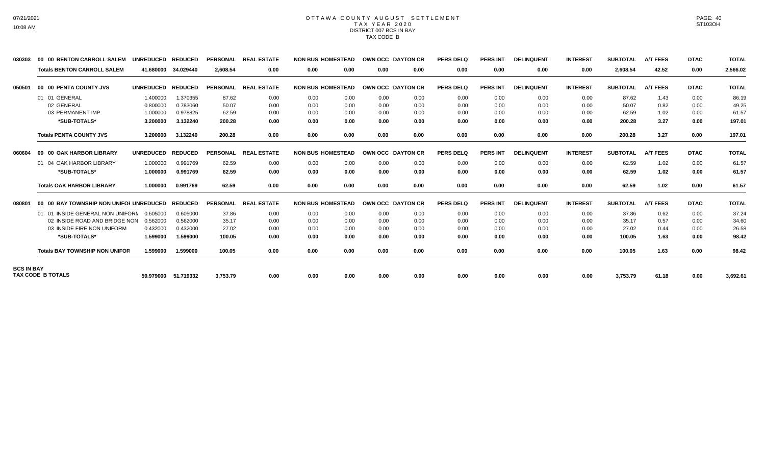## OTTAWA COUNTY AUGUST SETTLEMENT T A X Y E A R 2 0 2 0 DISTRICT 007 BCS IN BAY TAX CODE B

| 030303            | 00 00 BENTON CARROLL SALEM              | <b>UNREDUCED</b> | <b>REDUCED</b> | <b>PERSONAL</b> | <b>REAL ESTATE</b> |      | <b>NON BUS HOMESTEAD</b> |                | OWN OCC DAYTON CR        | <b>PERS DELQ</b> | <b>PERS INT</b> | <b>DELINQUENT</b> | <b>INTEREST</b> | <b>SUBTOTAL</b> | <b>A/T FEES</b> | <b>DTAC</b> | <b>TOTAL</b> |
|-------------------|-----------------------------------------|------------------|----------------|-----------------|--------------------|------|--------------------------|----------------|--------------------------|------------------|-----------------|-------------------|-----------------|-----------------|-----------------|-------------|--------------|
|                   | <b>Totals BENTON CARROLL SALEM</b>      | 41.680000        | 34.029440      | 2.608.54        | 0.00               | 0.00 | 0.00                     | 0.00           | 0.00                     | 0.00             | 0.00            | 0.00              | 0.00            | 2,608.54        | 42.52           | 0.00        | 2,566.02     |
| 050501            | 00 00 PENTA COUNTY JVS                  | <b>UNREDUCED</b> | <b>REDUCED</b> | <b>PERSONAL</b> | <b>REAL ESTATE</b> |      | <b>NON BUS HOMESTEAD</b> | <b>OWN OCC</b> | <b>DAYTON CR</b>         | <b>PERS DELQ</b> | <b>PERS INT</b> | <b>DELINQUENT</b> | <b>INTEREST</b> | <b>SUBTOTAL</b> | <b>A/T FEES</b> | <b>DTAC</b> | <b>TOTAL</b> |
|                   | 01 01 GENERAL                           | 1.400000         | 1.370355       | 87.62           | 0.00               | 0.00 | 0.00                     | 0.00           | 0.00                     | 0.00             | 0.00            | 0.00              | 0.00            | 87.62           | 1.43            | 0.00        | 86.19        |
|                   | 02 GENERAL                              | 0.800000         | 0.783060       | 50.07           | 0.00               | 0.00 | 0.00                     | 0.00           | 0.00                     | 0.00             | 0.00            | 0.00              | 0.00            | 50.07           | 0.82            | 0.00        | 49.25        |
|                   | 03 PERMANENT IMP.                       | 1.000000         | 0.978825       | 62.59           | 0.00               | 0.00 | 0.00                     | 0.00           | 0.00                     | 0.00             | 0.00            | 0.00              | 0.00            | 62.59           | 1.02            | 0.00        | 61.57        |
|                   | *SUB-TOTALS*                            | 3.200000         | 3.132240       | 200.28          | 0.00               | 0.00 | 0.00                     | 0.00           | 0.00                     | 0.00             | 0.00            | 0.00              | 0.00            | 200.28          | 3.27            | 0.00        | 197.01       |
|                   | <b>Totals PENTA COUNTY JVS</b>          | 3.200000         | 3.132240       | 200.28          | 0.00               | 0.00 | 0.00                     | 0.00           | 0.00                     | 0.00             | 0.00            | 0.00              | 0.00            | 200.28          | 3.27            | 0.00        | 197.01       |
| 060604            | 00 00 OAK HARBOR LIBRARY                | <b>UNREDUCED</b> | <b>REDUCED</b> | <b>PERSONAL</b> | <b>REAL ESTATE</b> |      | <b>NON BUS HOMESTEAD</b> |                | <b>OWN OCC DAYTON CR</b> | <b>PERS DELQ</b> | <b>PERS INT</b> | <b>DELINQUENT</b> | <b>INTEREST</b> | <b>SUBTOTAL</b> | <b>A/T FEES</b> | <b>DTAC</b> | <b>TOTAL</b> |
|                   | 01 04 OAK HARBOR LIBRARY                | 1.000000         | 0.991769       | 62.59           | 0.00               | 0.00 | 0.00                     | 0.00           | 0.00                     | 0.00             | 0.00            | 0.00              | 0.00            | 62.59           | 1.02            | 0.00        | 61.57        |
|                   | *SUB-TOTALS*                            | 1.000000         | 0.991769       | 62.59           | 0.00               | 0.00 | 0.00                     | 0.00           | 0.00                     | 0.00             | 0.00            | 0.00              | 0.00            | 62.59           | 1.02            | 0.00        | 61.57        |
|                   | <b>Totals OAK HARBOR LIBRARY</b>        | 1.000000         | 0.991769       | 62.59           | 0.00               | 0.00 | 0.00                     | 0.00           | 0.00                     | 0.00             | 0.00            | 0.00              | 0.00            | 62.59           | 1.02            | 0.00        | 61.57        |
| 080801            | 00 00 BAY TOWNSHIP NON UNIFOI UNREDUCED |                  | <b>REDUCED</b> | <b>PERSONAL</b> | <b>REAL ESTATE</b> |      | <b>NON BUS HOMESTEAD</b> |                | OWN OCC DAYTON CR        | <b>PERS DELQ</b> | <b>PERS INT</b> | <b>DELINQUENT</b> | <b>INTEREST</b> | <b>SUBTOTAL</b> | <b>A/T FEES</b> | <b>DTAC</b> | <b>TOTAL</b> |
|                   | 01 01 INSIDE GENERAL NON UNIFORN        | 0.605000         | 0.605000       | 37.86           | 0.00               | 0.00 | 0.00                     | 0.00           | 0.00                     | 0.00             | 0.00            | 0.00              | 0.00            | 37.86           | 0.62            | 0.00        | 37.24        |
|                   | 02 INSIDE ROAD AND BRIDGE NON           | 0.562000         | 0.562000       | 35.17           | 0.00               | 0.00 | 0.00                     | 0.00           | 0.00                     | 0.00             | 0.00            | 0.00              | 0.00            | 35.17           | 0.57            | 0.00        | 34.60        |
|                   | 03 INSIDE FIRE NON UNIFORM              | 0.432000         | 0.432000       | 27.02           | 0.00               | 0.00 | 0.00                     | 0.00           | 0.00                     | 0.00             | 0.00            | 0.00              | 0.00            | 27.02           | 0.44            | 0.00        | 26.58        |
|                   | *SUB-TOTALS*                            | 1.599000         | 1.599000       | 100.05          | 0.00               | 0.00 | 0.00                     | 0.00           | 0.00                     | 0.00             | 0.00            | 0.00              | 0.00            | 100.05          | 1.63            | 0.00        | 98.42        |
|                   | <b>Totals BAY TOWNSHIP NON UNIFOR</b>   | 1.599000         | 1.599000       | 100.05          | 0.00               | 0.00 | 0.00                     | 0.00           | 0.00                     | 0.00             | 0.00            | 0.00              | 0.00            | 100.05          | 1.63            | 0.00        | 98.42        |
| <b>BCS IN BAY</b> |                                         |                  |                |                 |                    |      |                          |                |                          |                  |                 |                   |                 |                 |                 |             |              |
|                   | <b>TAX CODE B TOTALS</b>                | 59.979000        | 51.719332      | 3,753.79        | 0.00               | 0.00 | 0.00                     | 0.00           | 0.00                     | 0.00             | 0.00            | 0.00              | 0.00            | 3,753.79        | 61.18           | 0.00        | 3,692.61     |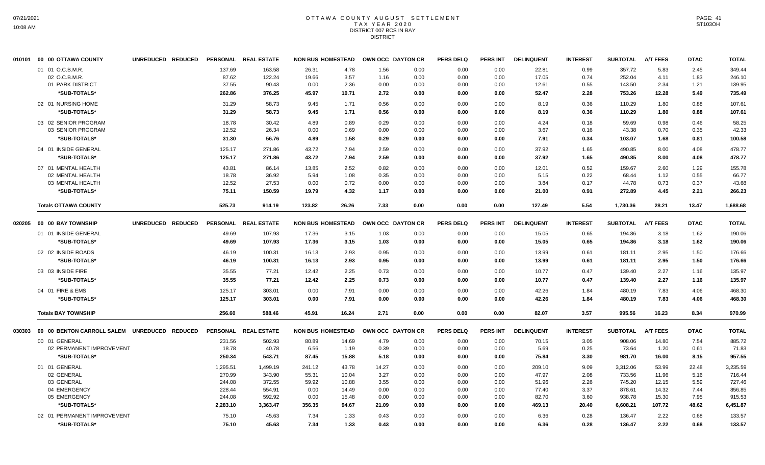## OTTAWA COUNTY AUGUST SETTLEMENT T A X Y E A R 2 0 2 0 DISTRICT 007 BCS IN BAY DISTRICT

| 010101 | 00 00 OTTAWA COUNTY                          | UNREDUCED REDUCED |          | PERSONAL REAL ESTATE | <b>NON BUS HOMESTEAD</b> |       |       | OWN OCC DAYTON CR | <b>PERS DELQ</b> | <b>PERS INT</b> | <b>DELINQUENT</b> | <b>INTEREST</b> | <b>SUBTOTAL</b> | <b>A/T FEES</b> | <b>DTAC</b> | <b>TOTAL</b> |
|--------|----------------------------------------------|-------------------|----------|----------------------|--------------------------|-------|-------|-------------------|------------------|-----------------|-------------------|-----------------|-----------------|-----------------|-------------|--------------|
|        | 01 01 O.C.B.M.R.                             |                   | 137.69   | 163.58               | 26.31                    | 4.78  | 1.56  | 0.00              | 0.00             | 0.00            | 22.81             | 0.99            | 357.72          | 5.83            | 2.45        | 349.44       |
|        | 02 O.C.B.M.R.                                |                   | 87.62    | 122.24               | 19.66                    | 3.57  | 1.16  | 0.00              | 0.00             | 0.00            | 17.05             | 0.74            | 252.04          | 4.11            | 1.83        | 246.10       |
|        | 01 PARK DISTRICT                             |                   | 37.55    | 90.43                | 0.00                     | 2.36  | 0.00  | 0.00              | 0.00             | 0.00            | 12.61             | 0.55            | 143.50          | 2.34            | 1.21        | 139.95       |
|        | *SUB-TOTALS*                                 |                   | 262.86   | 376.25               | 45.97                    | 10.71 | 2.72  | 0.00              | 0.00             | 0.00            | 52.47             | 2.28            | 753.26          | 12.28           | 5.49        | 735.49       |
|        | 02 01 NURSING HOME                           |                   | 31.29    | 58.73                | 9.45                     | 1.71  | 0.56  | 0.00              | 0.00             | 0.00            | 8.19              | 0.36            | 110.29          | 1.80            | 0.88        | 107.61       |
|        | *SUB-TOTALS*                                 |                   | 31.29    | 58.73                | 9.45                     | 1.71  | 0.56  | 0.00              | 0.00             | 0.00            | 8.19              | 0.36            | 110.29          | 1.80            | 0.88        | 107.61       |
|        | 03 02 SENIOR PROGRAM                         |                   | 18.78    | 30.42                | 4.89                     | 0.89  | 0.29  | 0.00              | 0.00             | 0.00            | 4.24              | 0.18            | 59.69           | 0.98            | 0.46        | 58.25        |
|        | 03 SENIOR PROGRAM                            |                   | 12.52    | 26.34                | 0.00                     | 0.69  | 0.00  | 0.00              | 0.00             | 0.00            | 3.67              | 0.16            | 43.38           | 0.70            | 0.35        | 42.33        |
|        | *SUB-TOTALS*                                 |                   | 31.30    | 56.76                | 4.89                     | 1.58  | 0.29  | 0.00              | 0.00             | 0.00            | 7.91              | 0.34            | 103.07          | 1.68            | 0.81        | 100.58       |
|        | 04 01 INSIDE GENERAL                         |                   | 125.17   | 271.86               | 43.72                    | 7.94  | 2.59  | 0.00              | 0.00             | 0.00            | 37.92             | 1.65            | 490.85          | 8.00            | 4.08        | 478.77       |
|        | *SUB-TOTALS*                                 |                   | 125.17   | 271.86               | 43.72                    | 7.94  | 2.59  | 0.00              | 0.00             | 0.00            | 37.92             | 1.65            | 490.85          | 8.00            | 4.08        | 478.77       |
|        | 07 01 MENTAL HEALTH                          |                   | 43.81    | 86.14                | 13.85                    | 2.52  | 0.82  | 0.00              | 0.00             | 0.00            | 12.01             | 0.52            | 159.67          | 2.60            | 1.29        | 155.78       |
|        | 02 MENTAL HEALTH                             |                   | 18.78    | 36.92                | 5.94                     | 1.08  | 0.35  | 0.00              | 0.00             | 0.00            | 5.15              | 0.22            | 68.44           | 1.12            | 0.55        | 66.77        |
|        | 03 MENTAL HEALTH                             |                   | 12.52    | 27.53                | 0.00                     | 0.72  | 0.00  | 0.00              | 0.00             | 0.00            | 3.84              | 0.17            | 44.78           | 0.73            | 0.37        | 43.68        |
|        | *SUB-TOTALS*                                 |                   | 75.11    | 150.59               | 19.79                    | 4.32  | 1.17  | 0.00              | 0.00             | 0.00            | 21.00             | 0.91            | 272.89          | 4.45            | 2.21        | 266.23       |
|        | <b>Totals OTTAWA COUNTY</b>                  |                   | 525.73   | 914.19               | 123.82                   | 26.26 | 7.33  | 0.00              | 0.00             | 0.00            | 127.49            | 5.54            | 1,730.36        | 28.21           | 13.47       | 1,688.68     |
| 020205 | 00 00 BAY TOWNSHIP                           | UNREDUCED REDUCED |          | PERSONAL REAL ESTATE | <b>NON BUS HOMESTEAD</b> |       |       | OWN OCC DAYTON CR | <b>PERS DELQ</b> | <b>PERS INT</b> | <b>DELINQUENT</b> | <b>INTEREST</b> | <b>SUBTOTAL</b> | <b>A/T FEES</b> | <b>DTAC</b> | <b>TOTAL</b> |
|        | 01 01 INSIDE GENERAL                         |                   | 49.69    | 107.93               | 17.36                    | 3.15  | 1.03  | 0.00              | 0.00             | 0.00            | 15.05             | 0.65            | 194.86          | 3.18            | 1.62        | 190.06       |
|        | *SUB-TOTALS*                                 |                   | 49.69    | 107.93               | 17.36                    | 3.15  | 1.03  | 0.00              | 0.00             | 0.00            | 15.05             | 0.65            | 194.86          | 3.18            | 1.62        | 190.06       |
|        | 02 02 INSIDE ROADS                           |                   | 46.19    | 100.31               | 16.13                    | 2.93  | 0.95  | 0.00              | 0.00             | 0.00            | 13.99             | 0.61            | 181.11          | 2.95            | 1.50        | 176.66       |
|        | *SUB-TOTALS*                                 |                   | 46.19    | 100.31               | 16.13                    | 2.93  | 0.95  | 0.00              | 0.00             | 0.00            | 13.99             | 0.61            | 181.11          | 2.95            | 1.50        | 176.66       |
|        | 03 03 INSIDE FIRE                            |                   | 35.55    | 77.21                | 12.42                    | 2.25  | 0.73  | 0.00              | 0.00             | 0.00            | 10.77             | 0.47            | 139.40          | 2.27            | 1.16        | 135.97       |
|        | *SUB-TOTALS*                                 |                   | 35.55    | 77.21                | 12.42                    | 2.25  | 0.73  | 0.00              | 0.00             | 0.00            | 10.77             | 0.47            | 139.40          | 2.27            | 1.16        | 135.97       |
|        | 04 01 FIRE & EMS                             |                   | 125.17   | 303.01               | 0.00                     | 7.91  | 0.00  | 0.00              | 0.00             | 0.00            | 42.26             | 1.84            | 480.19          | 7.83            | 4.06        | 468.30       |
|        | *SUB-TOTALS*                                 |                   | 125.17   | 303.01               | 0.00                     | 7.91  | 0.00  | 0.00              | 0.00             | 0.00            | 42.26             | 1.84            | 480.19          | 7.83            | 4.06        | 468.30       |
|        | <b>Totals BAY TOWNSHIP</b>                   |                   | 256.60   | 588.46               | 45.91                    | 16.24 | 2.71  | 0.00              | 0.00             | 0.00            | 82.07             | 3.57            | 995.56          | 16.23           | 8.34        | 970.99       |
| 030303 | 00 00 BENTON CARROLL SALEM UNREDUCED REDUCED |                   |          | PERSONAL REAL ESTATE | <b>NON BUS HOMESTEAD</b> |       |       | OWN OCC DAYTON CR | <b>PERS DELQ</b> | <b>PERS INT</b> | <b>DELINQUENT</b> | <b>INTEREST</b> | <b>SUBTOTAL</b> | <b>A/T FEES</b> | <b>DTAC</b> | <b>TOTAL</b> |
|        | 00 01 GENERAL                                |                   | 231.56   | 502.93               | 80.89                    | 14.69 | 4.79  | 0.00              | 0.00             | 0.00            | 70.15             | 3.05            | 908.06          | 14.80           | 7.54        | 885.72       |
|        | 02 PERMANENT IMPROVEMENT                     |                   | 18.78    | 40.78                | 6.56                     | 1.19  | 0.39  | 0.00              | 0.00             | 0.00            | 5.69              | 0.25            | 73.64           | 1.20            | 0.61        | 71.83        |
|        | *SUB-TOTALS*                                 |                   | 250.34   | 543.71               | 87.45                    | 15.88 | 5.18  | 0.00              | 0.00             | 0.00            | 75.84             | 3.30            | 981.70          | 16.00           | 8.15        | 957.55       |
|        | 01 01 GENERAL                                |                   | 1,295.51 | 1,499.19             | 241.12                   | 43.78 | 14.27 | 0.00              | 0.00             | 0.00            | 209.10            | 9.09            | 3,312.06        | 53.99           | 22.48       | 3,235.59     |
|        | 02 GENERAL                                   |                   | 270.99   | 343.90               | 55.31                    | 10.04 | 3.27  | 0.00              | 0.00             | 0.00            | 47.97             | 2.08            | 733.56          | 11.96           | 5.16        | 716.44       |
|        | 03 GENERAL                                   |                   | 244.08   | 372.55               | 59.92                    | 10.88 | 3.55  | 0.00              | 0.00             | 0.00            | 51.96             | 2.26            | 745.20          | 12.15           | 5.59        | 727.46       |
|        | 04 EMERGENCY                                 |                   | 228.44   | 554.91               | 0.00                     | 14.49 | 0.00  | 0.00              | 0.00             | 0.00            | 77.40             | 3.37            | 878.61          | 14.32           | 7.44        | 856.85       |
|        | 05 EMERGENCY                                 |                   | 244.08   | 592.92               | 0.00                     | 15.48 | 0.00  | 0.00              | 0.00             | 0.00            | 82.70             | 3.60            | 938.78          | 15.30           | 7.95        | 915.53       |
|        | *SUB-TOTALS*                                 |                   | 2,283.10 | 3,363.47             | 356.35                   | 94.67 | 21.09 | 0.00              | 0.00             | 0.00            | 469.13            | 20.40           | 6,608.21        | 107.72          | 48.62       | 6,451.87     |
|        | 02 01 PERMANENT IMPROVEMENT                  |                   | 75.10    | 45.63                | 7.34                     | 1.33  | 0.43  | 0.00              | 0.00             | 0.00            | 6.36              | 0.28            | 136.47          | 2.22            | 0.68        | 133.57       |
|        | *SUB-TOTALS*                                 |                   | 75.10    | 45.63                | 7.34                     | 1.33  | 0.43  | 0.00              | 0.00             | 0.00            | 6.36              | 0.28            | 136.47          | 2.22            | 0.68        | 133.57       |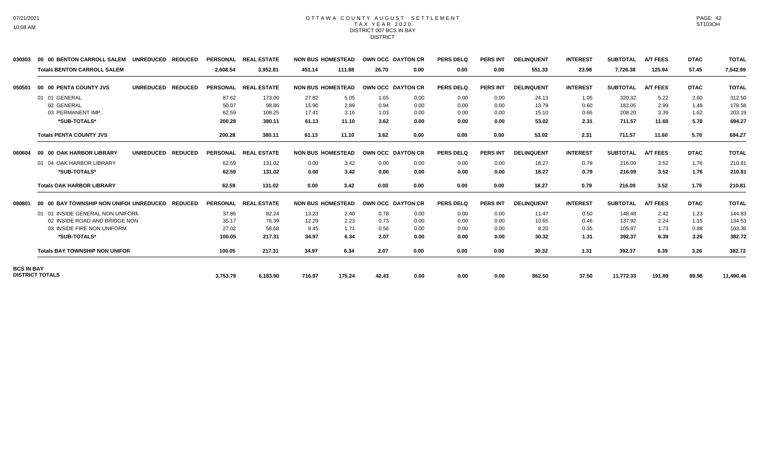#### OTTAWA COUNTY AUGUST SETTLEMENT T A X Y E A R 2 0 2 0 DISTRICT 007 BCS IN BAY DISTRICT

| <b>Totals BENTON CARROLL SALEM</b> |                                                                                          |                                                                                                                                                       |                                                              |                                                                                                                                                                                              |        |                                                                                            |       |                                                                     |                 |                   |                 |                 |                 |             |              |
|------------------------------------|------------------------------------------------------------------------------------------|-------------------------------------------------------------------------------------------------------------------------------------------------------|--------------------------------------------------------------|----------------------------------------------------------------------------------------------------------------------------------------------------------------------------------------------|--------|--------------------------------------------------------------------------------------------|-------|---------------------------------------------------------------------|-----------------|-------------------|-----------------|-----------------|-----------------|-------------|--------------|
|                                    |                                                                                          | 2.608.54                                                                                                                                              | 3,952.81                                                     | 451.14                                                                                                                                                                                       | 111.88 | 26.70                                                                                      | 0.00  | 0.00                                                                | 0.00            | 551.33            | 23.98           | 7,726.38        | 125.94          | 57.45       | 7,542.99     |
| 00 00 PENTA COUNTY JVS             | <b>UNREDUCED</b>                                                                         |                                                                                                                                                       | <b>REAL ESTATE</b>                                           |                                                                                                                                                                                              |        |                                                                                            |       | <b>PERS DELQ</b>                                                    | <b>PERS INT</b> | <b>DELINQUENT</b> | <b>INTEREST</b> | <b>SUBTOTAL</b> | <b>A/T FEES</b> | <b>DTAC</b> | <b>TOTAL</b> |
|                                    |                                                                                          |                                                                                                                                                       | 173.00                                                       | 27.82                                                                                                                                                                                        | 5.05   | 1.65                                                                                       | 0.00  | 0.00                                                                | 0.00            | 24.13             | 1.05            | 320.32          | 5.22            | 2.60        | 312.50       |
| 02 GENERAL                         |                                                                                          |                                                                                                                                                       | 98.86                                                        | 15.90                                                                                                                                                                                        | 2.89   | 0.94                                                                                       | 0.00  | 0.00                                                                | 0.00            | 13.79             | 0.60            | 183.05          | 2.99            | 1.48        | 178.58       |
| 03 PERMANENT IMP.                  |                                                                                          |                                                                                                                                                       | 108.25                                                       | 17.41                                                                                                                                                                                        | 3.16   | 1.03                                                                                       | 0.00  | 0.00                                                                | 0.00            | 15.10             | 0.66            | 208.20          | 3.39            | 1.62        | 203.19       |
| *SUB-TOTALS*                       |                                                                                          |                                                                                                                                                       | 380.11                                                       | 61.13                                                                                                                                                                                        | 11.10  | 3.62                                                                                       | 0.00  | 0.00                                                                | 0.00            | 53.02             | 2.31            | 711.57          | 11.60           | 5.70        | 694.27       |
| <b>Totals PENTA COUNTY JVS</b>     |                                                                                          |                                                                                                                                                       | 380.11                                                       | 61.13                                                                                                                                                                                        | 11.10  | 3.62                                                                                       | 0.00  | 0.00                                                                | 0.00            | 53.02             | 2.31            | 711.57          | 11.60           | 5.70        | 694.27       |
| 00 00 OAK HARBOR LIBRARY           | <b>UNREDUCED</b>                                                                         |                                                                                                                                                       | <b>REAL ESTATE</b>                                           |                                                                                                                                                                                              |        |                                                                                            |       | <b>PERS DELQ</b>                                                    | <b>PERS INT</b> | <b>DELINQUENT</b> | <b>INTEREST</b> | <b>SUBTOTAL</b> | <b>A/T FEES</b> | <b>DTAC</b> | <b>TOTAL</b> |
|                                    |                                                                                          |                                                                                                                                                       | 131.02                                                       | 0.00                                                                                                                                                                                         | 3.42   | 0.00                                                                                       | 0.00  | 0.00                                                                | 0.00            | 18.27             | 0.79            | 216.09          | 3.52            | 1.76        | 210.81       |
| *SUB-TOTALS*                       |                                                                                          |                                                                                                                                                       | 131.02                                                       | 0.00                                                                                                                                                                                         | 3.42   | 0.00                                                                                       | 0.00  | 0.00                                                                | 0.00            | 18.27             | 0.79            | 216.09          | 3.52            | 1.76        | 210.81       |
| <b>Totals OAK HARBOR LIBRARY</b>   |                                                                                          |                                                                                                                                                       | 131.02                                                       | 0.00                                                                                                                                                                                         | 3.42   | 0.00                                                                                       | 0.00  | 0.00                                                                | 0.00            | 18.27             | 0.79            | 216.09          | 3.52            | 1.76        | 210.81       |
|                                    |                                                                                          |                                                                                                                                                       | <b>REAL ESTATE</b>                                           |                                                                                                                                                                                              |        |                                                                                            |       | <b>PERS DELQ</b>                                                    | <b>PERS INT</b> | <b>DELINQUENT</b> | <b>INTEREST</b> | <b>SUBTOTAL</b> | <b>A/T FEES</b> | <b>DTAC</b> | <b>TOTAL</b> |
|                                    |                                                                                          |                                                                                                                                                       | 82.24                                                        | 13.23                                                                                                                                                                                        | 2.40   | 0.78                                                                                       | 0.00  | 0.00                                                                | 0.00            | 11.47             | 0.50            | 148.48          | 2.42            | 1.23        | 144.83       |
|                                    |                                                                                          |                                                                                                                                                       | 76.39                                                        | 12.29                                                                                                                                                                                        | 2.23   | 0.73                                                                                       | 0.00  | 0.00                                                                | 0.00            | 10.65             | 0.46            | 137.92          | 2.24            | 1.15        | 134.53       |
| 03 INSIDE FIRE NON UNIFORM         |                                                                                          |                                                                                                                                                       | 58.68                                                        | 9.45                                                                                                                                                                                         | 1.71   | 0.56                                                                                       | 0.00  | 0.00                                                                | 0.00            | 8.20              | 0.35            | 105.97          | 1.73            | 0.88        | 103.36       |
| *SUB-TOTALS*                       |                                                                                          |                                                                                                                                                       | 217.31                                                       | 34.97                                                                                                                                                                                        | 6.34   | 2.07                                                                                       | 0.00  | 0.00                                                                | 0.00            | 30.32             | 1.31            | 392.37          | 6.39            | 3.26        | 382.72       |
|                                    |                                                                                          |                                                                                                                                                       | 217.31                                                       | 34.97                                                                                                                                                                                        | 6.34   | 2.07                                                                                       | 0.00  | 0.00                                                                | 0.00            | 30.32             | 1.31            | 392.37          | 6.39            | 3.26        | 382.72       |
|                                    |                                                                                          |                                                                                                                                                       |                                                              |                                                                                                                                                                                              |        |                                                                                            |       |                                                                     |                 |                   |                 |                 |                 |             | 11,490.46    |
|                                    | 01 01 GENERAL<br>01 04 OAK HARBOR LIBRARY<br><b>BCS IN BAY</b><br><b>DISTRICT TOTALS</b> | 00 00 BAY TOWNSHIP NON UNIFOI UNREDUCED<br>01 01 INSIDE GENERAL NON UNIFORM<br>02 INSIDE ROAD AND BRIDGE NON<br><b>Totals BAY TOWNSHIP NON UNIFOR</b> | <b>REDUCED</b><br>200.28<br><b>REDUCED</b><br><b>REDUCED</b> | <b>PERSONAL</b><br>87.62<br>50.07<br>62.59<br>200.28<br><b>PERSONAL</b><br>62.59<br>62.59<br>62.59<br><b>PERSONAL</b><br>37.86<br>35.17<br>27.02<br>100.05<br>100.05<br>3,753.79<br>6,183.90 | 716.97 | <b>NON BUS HOMESTEAD</b><br><b>NON BUS HOMESTEAD</b><br><b>NON BUS HOMESTEAD</b><br>175.24 | 42.43 | OWN OCC DAYTON CR<br>OWN OCC DAYTON CR<br>OWN OCC DAYTON CR<br>0.00 | 0.00            | 0.00              | 862.50          | 37.50           | 11,772.33       | 191.89      | 89.98        |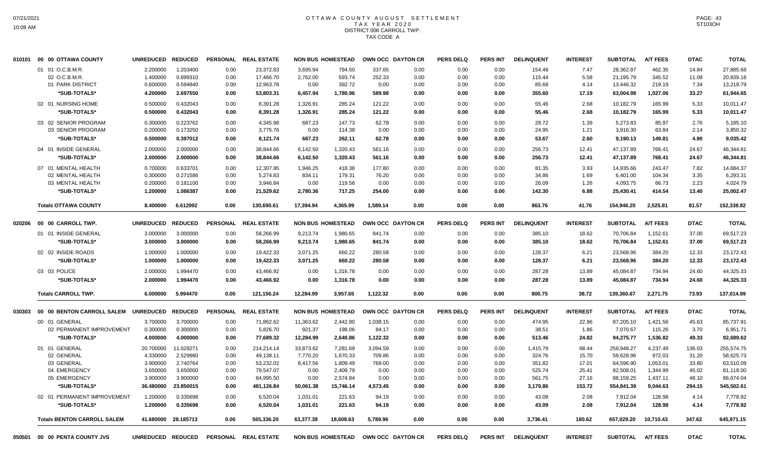# OTTAWA COUNTY AUGUST SETTLEMENT T A X Y E A R 2 0 2 0 DISTRICT 008 CARROLL TWP. TAX CODE A

|        | 010101 00 00 OTTAWA COUNTY           | <b>UNREDUCED</b>  | <b>REDUCED</b> | <b>PERSONAL</b> | <b>REAL ESTATE</b>   |           | <b>NON BUS HOMESTEAD</b> |          | OWN OCC DAYTON CR | <b>PERS DELQ</b> | <b>PERS INT</b> | <b>DELINQUENT</b> | <b>INTEREST</b> | <b>SUBTOTAL</b> | <b>A/T FEES</b> | <b>DTAC</b> | <b>TOTAL</b> |
|--------|--------------------------------------|-------------------|----------------|-----------------|----------------------|-----------|--------------------------|----------|-------------------|------------------|-----------------|-------------------|-----------------|-----------------|-----------------|-------------|--------------|
|        | 01 01 O.C.B.M.R.                     | 2.200000          | 1.203400       | 0.00            | 23,372.83            | 3.695.94  | 794.50                   | 337.65   | 0.00              | 0.00             | 0.00            | 154.48            | 7.47            | 28,362.87       | 462.35          | 14.84       | 27,885.68    |
|        | 02 O.C.B.M.R                         | 1.400000          | 0.899310       | 0.00            | 17,466.70            | 2,762.00  | 593.74                   | 252.33   | 0.00              | 0.00             | 0.00            | 115.44            | 5.58            | 21,195.79       | 345.52          | 11.09       | 20,839.18    |
|        | 01 PARK DISTRICT                     | 0.600000          | 0.594840       | 0.00            | 12,963.78            | 0.00      | 392.72                   | 0.00     | 0.00              | 0.00             | 0.00            | 85.68             | 4.14            | 13,446.32       | 219.19          | 7.34        | 13,219.79    |
|        | *SUB-TOTALS*                         | 4.200000          | 2.697550       | 0.00            | 53,803.31            | 6,457.94  | 1,780.96                 | 589.98   | 0.00              | 0.00             | 0.00            | 355.60            | 17.19           | 63,004.98       | 1,027.06        | 33.27       | 61,944.65    |
|        | 02 01 NURSING HOME                   | 0.500000          | 0.432043       | 0.00            | 8,391.28             | 1,326.91  | 285.24                   | 121.22   | 0.00              | 0.00             | 0.00            | 55.46             | 2.68            | 10,182.79       | 165.99          | 5.33        | 10,011.47    |
|        | *SUB-TOTALS*                         | 0.500000          | 0.432043       | 0.00            | 8,391.28             | 1,326.91  | 285.24                   | 121.22   | 0.00              | 0.00             | 0.00            | 55.46             | 2.68            | 10,182.79       | 165.99          | 5.33        | 10,011.47    |
|        | 03 02 SENIOR PROGRAM                 | 0.300000          | 0.223762       | 0.00            | 4.345.98             | 687.23    | 147.73                   | 62.78    | 0.00              | 0.00             | 0.00            | 28.72             | 1.39            | 5.273.83        | 85.97           | 2.76        | 5,185.10     |
|        | 03 SENIOR PROGRAM                    | 0.200000          | 0.173250       | 0.00            | 3,775.76             | 0.00      | 114.38                   | 0.00     | 0.00              | 0.00             | 0.00            | 24.95             | 1.21            | 3,916.30        | 63.84           | 2.14        | 3,850.32     |
|        | *SUB-TOTALS*                         | 0.500000          | 0.397012       | 0.00            | 8,121.74             | 687.23    | 262.11                   | 62.78    | 0.00              | 0.00             | 0.00            | 53.67             | 2.60            | 9,190.13        | 149.81          | 4.90        | 9,035.42     |
|        | 04 01 INSIDE GENERAL                 | 2.000000          | 2.000000       | 0.00            | 38,844.66            | 6,142.50  | 1,320.43                 | 561.16   | 0.00              | 0.00             | 0.00            | 256.73            | 12.41           | 47,137.89       | 768.41          | 24.67       | 46,344.81    |
|        | *SUB-TOTALS*                         | 2.000000          | 2.000000       | 0.00            | 38,844.66            | 6,142.50  | 1,320.43                 | 561.16   | 0.00              | 0.00             | 0.00            | 256.73            | 12.41           | 47,137.89       | 768.41          | 24.67       | 46,344.81    |
|        | 07 01 MENTAL HEALTH                  | 0.700000          | 0.633701       | 0.00            | 12,307.95            | 1,946.25  | 418.38                   | 177.80   | 0.00              | 0.00             | 0.00            | 81.35             | 3.93            | 14,935.66       | 243.47          | 7.82        | 14,684.37    |
|        | 02 MENTAL HEALTH                     | 0.300000          | 0.271586       | 0.00            | 5,274.83             | 834.11    | 179.31                   | 76.20    | 0.00              | 0.00             | 0.00            | 34.86             | 1.69            | 6,401.00        | 104.34          | 3.35        | 6,293.31     |
|        | 03 MENTAL HEALTH                     | 0.200000          | 0.181100       | 0.00            | 3,946.84             | 0.00      | 119.56                   | 0.00     | 0.00              | 0.00             | 0.00            | 26.09             | 1.26            | 4,093.75        | 66.73           | 2.23        | 4,024.79     |
|        | *SUB-TOTALS*                         | 1.200000          | 1.086387       | 0.00            | 21,529.62            | 2,780.36  | 717.25                   | 254.00   | 0.00              | 0.00             | 0.00            | 142.30            | 6.88            | 25,430.41       | 414.54          | 13.40       | 25,002.47    |
|        | <b>Totals OTTAWA COUNTY</b>          | 8.400000          | 6.612992       | 0.00            | 130,690.61           | 17,394.94 | 4,365.99                 | 1.589.14 | 0.00              | 0.00             | 0.00            | 863.76            | 41.76           | 154,946.20      | 2,525.81        | 81.57       | 152,338.82   |
| 020206 | 00 00 CARROLL TWP.                   | <b>UNREDUCED</b>  | <b>REDUCED</b> |                 | PERSONAL REAL ESTATE |           | <b>NON BUS HOMESTEAD</b> |          | OWN OCC DAYTON CR | <b>PERS DELQ</b> | <b>PERS INT</b> | <b>DELINQUENT</b> | <b>INTEREST</b> | <b>SUBTOTAL</b> | <b>A/T FEES</b> | <b>DTAC</b> | <b>TOTAL</b> |
|        | 01 01 INSIDE GENERAL                 | 3.000000          | 3.000000       | 0.00            | 58,266.99            | 9,213.74  | 1,980.65                 | 841.74   | 0.00              | 0.00             | 0.00            | 385.10            | 18.62           | 70,706.84       | 1,152.61        | 37.00       | 69,517.23    |
|        | *SUB-TOTALS*                         | 3.000000          | 3.000000       | 0.00            | 58,266.99            | 9,213.74  | 1,980.65                 | 841.74   | 0.00              | 0.00             | 0.00            | 385.10            | 18.62           | 70,706.84       | 1,152.61        | 37.00       | 69,517.23    |
|        |                                      |                   |                |                 |                      |           |                          |          |                   |                  |                 |                   |                 |                 |                 |             |              |
|        | 02 02 INSIDE ROADS                   | 1.000000          | 1.000000       | 0.00            | 19,422.33            | 3,071.25  | 660.22                   | 280.58   | 0.00              | 0.00             | 0.00            | 128.37            | 6.21            | 23,568.96       | 384.20          | 12.33       | 23,172.43    |
|        | *SUB-TOTALS*                         | 1.000000          | 1.000000       | 0.00            | 19,422.33            | 3,071.25  | 660.22                   | 280.58   | 0.00              | 0.00             | 0.00            | 128.37            | 6.21            | 23,568.96       | 384.20          | 12.33       | 23,172.43    |
|        | 03 03 POLICE                         | 2.000000          | 1.994470       | 0.00            | 43,466.92            | 0.00      | 1,316.78                 | 0.00     | 0.00              | 0.00             | 0.00            | 287.28            | 13.89           | 45,084.87       | 734.94          | 24.60       | 44,325.33    |
|        | *SUB-TOTALS*                         | 2.000000          | 1.994470       | 0.00            | 43.466.92            | 0.00      | 1,316.78                 | 0.00     | 0.00              | 0.00             | 0.00            | 287.28            | 13.89           | 45.084.87       | 734.94          | 24.60       | 44,325.33    |
|        | <b>Totals CARROLL TWP.</b>           | 6.000000          | 5.994470       | 0.00            | 121,156.24           | 12,284.99 | 3,957.65                 | 1,122.32 | 0.00              | 0.00             | 0.00            | 800.75            | 38.72           | 139,360.67      | 2,271.75        | 73.93       | 137,014.99   |
| 030303 | 00 00 BENTON CARROLL SALEM UNREDUCED |                   | <b>REDUCED</b> | <b>PERSONAL</b> | <b>REAL ESTATE</b>   |           | <b>NON BUS HOMESTEAD</b> |          | OWN OCC DAYTON CR | <b>PERS DELQ</b> | <b>PERS INT</b> | <b>DELINQUENT</b> | <b>INTEREST</b> | <b>SUBTOTAL</b> | <b>A/T FEES</b> | <b>DTAC</b> | <b>TOTAL</b> |
|        | 00 01 GENERAL                        | 3.700000          | 3.700000       | 0.00            | 71,862.62            | 11,363.62 | 2,442.80                 | 1,038.15 | 0.00              | 0.00             | 0.00            | 474.95            | 22.96           | 87,205.10       | 1,421.56        | 45.63       | 85,737.91    |
|        | 02 PERMANENT IMPROVEMENT             | 0.300000          | 0.300000       | 0.00            | 5,826.70             | 921.37    | 198.06                   | 84.17    | 0.00              | 0.00             | 0.00            | 38.51             | 1.86            | 7,070.67        | 115.26          | 3.70        | 6,951.71     |
|        | *SUB-TOTALS*                         | 4.000000          | 4.000000       | 0.00            | 77,689.32            | 12,284.99 | 2,640.86                 | 1,122.32 | 0.00              | 0.00             | 0.00            | 513.46            | 24.82           | 94,275.77       | 1,536.82        | 49.33       | 92,689.62    |
|        | 01 01 GENERAL                        | 20.700000         | 11.029271      | 0.00            | 214,214.14           | 33,873.62 | 7,281.69                 | 3,094.59 | 0.00              | 0.00             | 0.00            | 1,415.79          | 68.44           | 259,948.27      | 4,237.49        | 136.03      | 255,574.75   |
|        | 02 GENERAL                           | 4.330000          | 2.529980       | 0.00            | 49,138.11            | 7,770.20  | 1,670.33                 | 709.86   | 0.00              | 0.00             | 0.00            | 324.76            | 15.70           | 59,628.96       | 972.03          | 31.20       | 58,625.73    |
|        | 03 GENERAL                           | 3.900000          | 2.740764       | 0.00            | 53,232.02            | 8,417.56  | 1,809.49                 | 769.00   | 0.00              | 0.00             | 0.00            | 351.82            | 17.01           | 64,596.90       | 1,053.01        | 33.80       | 63,510.09    |
|        | 04 EMERGENCY                         | 3.650000          | 3.650000       | 0.00            | 79,547.07            | 0.00      | 2,409.79                 | 0.00     | 0.00              | 0.00             | 0.00            | 525.74            | 25.41           | 82,508.01       | 1,344.99        | 45.02       | 81,118.00    |
|        | 05 EMERGENCY                         | 3.900000          | 3.900000       | 0.00            | 84,995.50            | 0.00      | 2,574.84                 | 0.00     | 0.00              | 0.00             | 0.00            | 561.75            | 27.16           | 88,159.25       | 1,437.11        | 48.10       | 86,674.04    |
|        | *SUB-TOTALS*                         | 36.480000         | 23.850015      | 0.00            | 481,126.84           | 50,061.38 | 15,746.14                | 4,573.45 | 0.00              | 0.00             | 0.00            | 3,179.86          | 153.72          | 554,841.39      | 9,044.63        | 294.15      | 545,502.61   |
|        | 02 01 PERMANENT IMPROVEMENT          | 1.200000          | 0.335698       | 0.00            | 6,520.04             | 1,031.01  | 221.63                   | 94.19    | 0.00              | 0.00             | 0.00            | 43.09             | 2.08            | 7,912.04        | 128.98          | 4.14        | 7,778.92     |
|        | *SUB-TOTALS*                         | 1.200000          | 0.335698       | 0.00            | 6,520.04             | 1,031.01  | 221.63                   | 94.19    | 0.00              | 0.00             | 0.00            | 43.09             | 2.08            | 7,912.04        | 128.98          | 4.14        | 7,778.92     |
|        | <b>Totals BENTON CARROLL SALEM</b>   | 41.680000         | 28.185713      | 0.00            | 565,336.20           | 63,377.38 | 18,608.63                | 5,789.96 | 0.00              | 0.00             | 0.00            | 3,736.41          | 180.62          | 657,029.20      | 10,710.43       | 347.62      | 645,971.15   |
| 050501 | 00 00 PENTA COUNTY JVS               | UNREDUCED REDUCED |                |                 | PERSONAL REAL ESTATE |           | <b>NON BUS HOMESTEAD</b> |          | OWN OCC DAYTON CR | <b>PERS DELQ</b> | <b>PERS INT</b> | <b>DELINQUENT</b> | <b>INTEREST</b> | <b>SUBTOTAL</b> | <b>A/T FEES</b> | <b>DTAC</b> | <b>TOTAL</b> |

PAGE: 43 ST103OH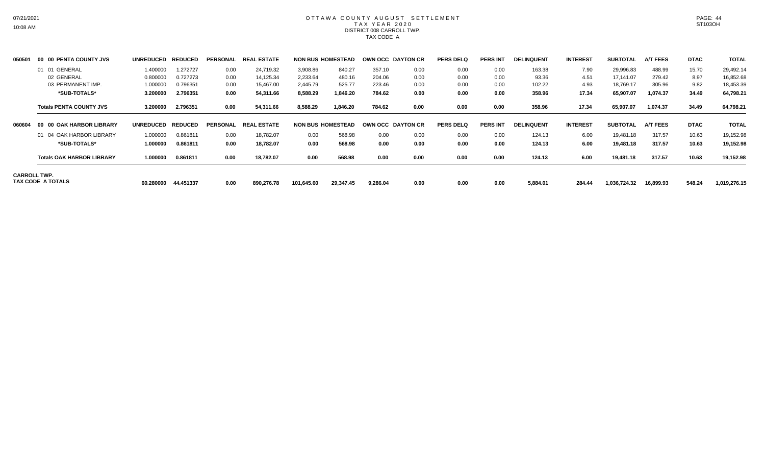# OTTAWA COUNTY AUGUST SETTLEMENT T A X Y E A R 2 0 2 0 DISTRICT 008 CARROLL TWP. TAX CODE A

| 050501 | 00 00 PENTA COUNTY JVS                   | UNREDUCED REDUCED |           | <b>PERSONAL</b> | <b>REAL ESTATE</b> |            | <b>NON BUS HOMESTEAD</b> | OWN OCC DAYTON CR |      | <b>PERS DELQ</b> | <b>PERS INT</b> | <b>DELINQUENT</b> | <b>INTEREST</b> | <b>SUBTOTAL</b> | <b>A/T FEES</b> | <b>DTAC</b> | <b>TOTAL</b> |
|--------|------------------------------------------|-------------------|-----------|-----------------|--------------------|------------|--------------------------|-------------------|------|------------------|-----------------|-------------------|-----------------|-----------------|-----------------|-------------|--------------|
|        | 01 01 GENERAL                            | 1.400000          | 1.272727  | 0.00            | 24,719.32          | 3,908.86   | 840.27                   | 357.10            | 0.00 | 0.00             | 0.00            | 163.38            | 7.90            | 29,996.83       | 488.99          | 15.70       | 29,492.14    |
|        | 02 GENERAL                               | 0.800000          | 0.727273  | 0.00            | 14,125.34          | 2,233.64   | 480.16                   | 204.06            | 0.00 | 0.00             | 0.00            | 93.36             | 4.51            | 17,141.07       | 279.42          | 8.97        | 16,852.68    |
|        | 03 PERMANENT IMP.                        | 1.000000          | 0.796351  | 0.00            | 15,467.00          | 2,445.79   | 525.77                   | 223.46            | 0.00 | 0.00             | 0.00            | 102.22            | 4.93            | 18,769.17       | 305.96          | 9.82        | 18,453.39    |
|        | *SUB-TOTALS*                             | 3.200000          | 2.796351  | 0.00            | 54,311.66          | 8,588.29   | 1,846.20                 | 784.62            | 0.00 | 0.00             | 0.00            | 358.96            | 17.34           | 65,907.07       | 1,074.37        | 34.49       | 64,798.21    |
|        | <b>Totals PENTA COUNTY JVS</b>           | 3.200000          | 2.796351  | 0.00            | 54,311.66          | 8,588.29   | 1,846.20                 | 784.62            | 0.00 | 0.00             | 0.00            | 358.96            | 17.34           | 65,907.07       | 1,074.37        | 34.49       | 64,798.21    |
| 060604 | 00 00 OAK HARBOR LIBRARY                 | UNREDUCED REDUCED |           | PERSONAL        | <b>REAL ESTATE</b> |            | <b>NON BUS HOMESTEAD</b> | OWN OCC DAYTON CR |      | <b>PERS DELQ</b> | <b>PERS INT</b> | <b>DELINQUENT</b> | <b>INTEREST</b> | <b>SUBTOTAL</b> | <b>A/T FEES</b> | <b>DTAC</b> | <b>TOTAL</b> |
|        | 01 04 OAK HARBOR LIBRARY                 | 1.000000          | 0.861811  | 0.00            | 18,782.07          | 0.00       | 568.98                   | 0.00              | 0.00 | 0.00             | 0.00            | 124.13            | 6.00            | 19,481.18       | 317.57          | 10.63       | 19,152.98    |
|        | *SUB-TOTALS*                             | 1.000000          | 0.861811  | 0.00            | 18.782.07          | 0.00       | 568.98                   | 0.00              | 0.00 | 0.00             | 0.00            | 124.13            | 6.00            | 19,481.18       | 317.57          | 10.63       | 19,152.98    |
|        | <b>Totals OAK HARBOR LIBRARY</b>         | 1.000000          | 0.861811  | 0.00            | 18,782.07          | 0.00       | 568.98                   | 0.00              | 0.00 | 0.00             | 0.00            | 124.13            | 6.00            | 19,481.18       | 317.57          | 10.63       | 19,152.98    |
|        | <b>CARROLL TWP.</b><br>TAX CODE A TOTALS | 60.280000         | 44.451337 | 0.00            | 890.276.78         | 101,645.60 | 29,347.45                | 9,286.04          | 0.00 | 0.00             | 0.00            | 5,884.01          | 284.44          | 1,036,724.32    | 16,899.93       | 548.24      | 1,019,276.15 |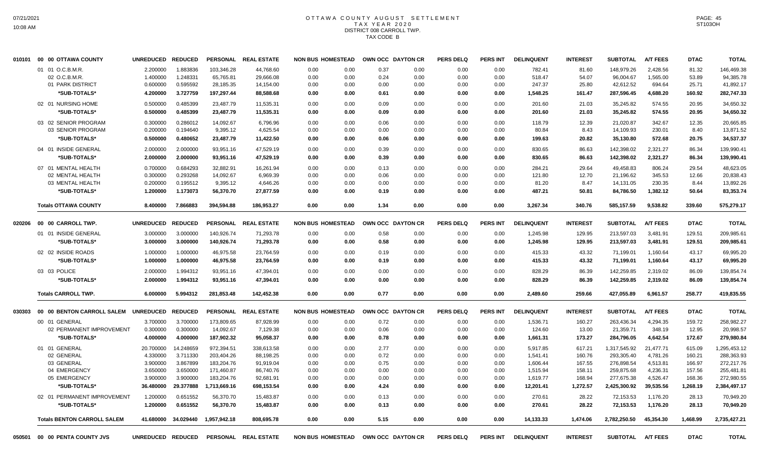# OTTAWA COUNTY AUGUST SETTLEMENT T A X Y E A R 2 0 2 0 DISTRICT 008 CARROLL TWP. TAX CODE B

|        | 010101 00 00 OTTAWA COUNTY           | <b>UNREDUCED</b>  | <b>REDUCED</b> |                 | PERSONAL REAL ESTATE | <b>NON BUS HOMESTEAD</b> |      |      | OWN OCC DAYTON CR        | <b>PERS DELQ</b> | <b>PERS INT</b> | <b>DELINQUENT</b> | <b>INTEREST</b> | <b>SUBTOTAL</b> | <b>A/T FEES</b> | <b>DTAC</b> | <b>TOTAL</b> |
|--------|--------------------------------------|-------------------|----------------|-----------------|----------------------|--------------------------|------|------|--------------------------|------------------|-----------------|-------------------|-----------------|-----------------|-----------------|-------------|--------------|
|        | 01 01 O.C.B.M.R                      | 2.200000          | 1.883836       | 103,346.28      | 44,768.60            | 0.00                     | 0.00 | 0.37 | 0.00                     | 0.00             | 0.00            | 782.41            | 81.60           | 148,979.26      | 2,428.56        | 81.32       | 146,469.38   |
|        | 02 O.C.B.M.R.                        | 1.400000          | 1.248331       | 65,765.81       | 29,666.08            | 0.00                     | 0.00 | 0.24 | 0.00                     | 0.00             | 0.00            | 518.47            | 54.07           | 96,004.67       | 1,565.00        | 53.89       | 94,385.78    |
|        | 01 PARK DISTRICT                     | 0.600000          | 0.595592       | 28,185.35       | 14,154.00            | 0.00                     | 0.00 | 0.00 | 0.00                     | 0.00             | 0.00            | 247.37            | 25.80           | 42,612.52       | 694.64          | 25.71       | 41,892.17    |
|        | *SUB-TOTALS*                         | 4.200000          | 3.727759       | 197,297.44      | 88,588.68            | 0.00                     | 0.00 | 0.61 | 0.00                     | 0.00             | 0.00            | 1,548.25          | 161.47          | 287,596.45      | 4,688.20        | 160.92      | 282,747.33   |
|        | 02 01 NURSING HOME                   | 0.500000          | 0.485399       | 23,487.79       | 11,535.31            | 0.00                     | 0.00 | 0.09 | 0.00                     | 0.00             | 0.00            | 201.60            | 21.03           | 35,245.82       | 574.55          | 20.95       | 34,650.32    |
|        | *SUB-TOTALS*                         | 0.500000          | 0.485399       | 23,487.79       | 11,535.31            | 0.00                     | 0.00 | 0.09 | 0.00                     | 0.00             | 0.00            | 201.60            | 21.03           | 35,245.82       | 574.55          | 20.95       | 34,650.32    |
|        | 03 02 SENIOR PROGRAM                 | 0.300000          | 0.286012       | 14,092.67       | 6,796.96             | 0.00                     | 0.00 | 0.06 | 0.00                     | 0.00             | 0.00            | 118.79            | 12.39           | 21,020.87       | 342.67          | 12.35       | 20,665.85    |
|        | 03 SENIOR PROGRAM                    | 0.200000          | 0.194640       | 9,395.12        | 4,625.54             | 0.00                     | 0.00 | 0.00 | 0.00                     | 0.00             | 0.00            | 80.84             | 8.43            | 14,109.93       | 230.01          | 8.40        | 13,871.52    |
|        | *SUB-TOTALS*                         | 0.500000          | 0.480652       | 23,487.79       | 11,422.50            | 0.00                     | 0.00 | 0.06 | 0.00                     | 0.00             | 0.00            | 199.63            | 20.82           | 35,130.80       | 572.68          | 20.75       | 34,537.37    |
|        | 04 01 INSIDE GENERAL                 | 2.000000          | 2.000000       | 93,951.16       | 47,529.19            | 0.00                     | 0.00 | 0.39 | 0.00                     | 0.00             | 0.00            | 830.65            | 86.63           | 142.398.02      | 2.321.27        | 86.34       | 139,990.41   |
|        | *SUB-TOTALS*                         | 2.000000          | 2.000000       | 93,951.16       | 47,529.19            | 0.00                     | 0.00 | 0.39 | 0.00                     | 0.00             | 0.00            | 830.65            | 86.63           | 142,398.02      | 2,321.27        | 86.34       | 139,990.41   |
|        | 07 01 MENTAL HEALTH                  | 0.700000          | 0.684293       | 32,882.91       | 16,261.94            | 0.00                     | 0.00 | 0.13 | 0.00                     | 0.00             | 0.00            | 284.21            | 29.64           | 49,458.83       | 806.24          | 29.54       | 48,623.05    |
|        | 02 MENTAL HEALTH                     | 0.300000          | 0.293268       | 14,092.67       | 6,969.39             | 0.00                     | 0.00 | 0.06 | 0.00                     | 0.00             | 0.00            | 121.80            | 12.70           | 21,196.62       | 345.53          | 12.66       | 20,838.43    |
|        | 03 MENTAL HEALTH                     | 0.200000          | 0.195512       | 9,395.12        | 4,646.26             | 0.00                     | 0.00 | 0.00 | 0.00                     | 0.00             | 0.00            | 81.20             | 8.47            | 14,131.05       | 230.35          | 8.44        | 13,892.26    |
|        | *SUB-TOTALS*                         | 1.200000          | 1.173073       | 56,370.70       | 27,877.59            | 0.00                     | 0.00 | 0.19 | 0.00                     | 0.00             | 0.00            | 487.21            | 50.81           | 84,786.50       | 1,382.12        | 50.64       | 83,353.74    |
|        | <b>Totals OTTAWA COUNTY</b>          | 8.400000          | 7.866883       | 394,594.88      | 186,953.27           | 0.00                     | 0.00 | 1.34 | 0.00                     | 0.00             | 0.00            | 3,267.34          | 340.76          | 585,157.59      | 9,538.82        | 339.60      | 575,279.17   |
| 020206 | 00 00 CARROLL TWP.                   | <b>UNREDUCED</b>  | <b>REDUCED</b> | <b>PERSONAL</b> | <b>REAL ESTATE</b>   | <b>NON BUS HOMESTEAD</b> |      |      | OWN OCC DAYTON CR        | <b>PERS DELQ</b> | <b>PERS INT</b> | <b>DELINQUENT</b> | <b>INTEREST</b> | <b>SUBTOTAL</b> | <b>A/T FEES</b> | <b>DTAC</b> | <b>TOTAL</b> |
|        | 01 01 INSIDE GENERAL                 | 3.000000          | 3.000000       | 140,926.74      | 71,293.78            | 0.00                     | 0.00 | 0.58 | 0.00                     | 0.00             | 0.00            | 1,245.98          | 129.95          | 213,597.03      | 3,481.91        | 129.51      | 209,985.61   |
|        | *SUB-TOTALS*                         | 3.000000          | 3.000000       | 140,926.74      | 71,293.78            | 0.00                     | 0.00 | 0.58 | 0.00                     | 0.00             | 0.00            | 1,245.98          | 129.95          | 213,597.03      | 3,481.91        | 129.51      | 209,985.61   |
|        |                                      |                   |                |                 |                      |                          |      |      |                          |                  |                 |                   |                 |                 |                 |             |              |
|        | 02 02 INSIDE ROADS                   | 1.000000          | 1.000000       | 46,975.58       | 23,764.59            | 0.00                     | 0.00 | 0.19 | 0.00                     | 0.00             | 0.00            | 415.33            | 43.32           | 71,199.01       | 1.160.64        | 43.17       | 69,995.20    |
|        | *SUB-TOTALS*                         | 1.000000          | 1.000000       | 46,975.58       | 23,764.59            | 0.00                     | 0.00 | 0.19 | 0.00                     | 0.00             | 0.00            | 415.33            | 43.32           | 71,199.01       | 1,160.64        | 43.17       | 69,995.20    |
|        | 03 03 POLICE                         | 2.000000          | 1.994312       | 93,951.16       | 47,394.01            | 0.00                     | 0.00 | 0.00 | 0.00                     | 0.00             | 0.00            | 828.29            | 86.39           | 142,259.85      | 2,319.02        | 86.09       | 139,854.74   |
|        | *SUB-TOTALS*                         | 2.000000          | 1.994312       | 93,951.16       | 47,394.01            | 0.00                     | 0.00 | 0.00 | 0.00                     | 0.00             | 0.00            | 828.29            | 86.39           | 142,259.85      | 2,319.02        | 86.09       | 139,854.74   |
|        | <b>Totals CARROLL TWP.</b>           | 6.000000          | 5.994312       | 281.853.48      | 142,452.38           | 0.00                     | 0.00 | 0.77 | 0.00                     | 0.00             | 0.00            | 2,489.60          | 259.66          | 427,055.89      | 6,961.57        | 258.77      | 419,835.55   |
| 030303 | 00 00 BENTON CARROLL SALEM UNREDUCED |                   | <b>REDUCED</b> |                 | PERSONAL REAL ESTATE | <b>NON BUS HOMESTEAD</b> |      |      | OWN OCC DAYTON CR        | <b>PERS DELQ</b> | <b>PERS INT</b> | <b>DELINQUENT</b> | <b>INTEREST</b> | <b>SUBTOTAL</b> | <b>A/T FEES</b> | <b>DTAC</b> | <b>TOTAL</b> |
|        | 00 01 GENERAL                        | 3.700000          | 3.700000       | 173.809.65      | 87.928.99            | 0.00                     | 0.00 | 0.72 | 0.00                     | 0.00             | 0.00            | 1,536.71          | 160.27          | 263.436.34      | 4.294.35        | 159.72      | 258,982.27   |
|        | 02 PERMANENT IMPROVEMENT             | 0.300000          | 0.300000       | 14,092.67       | 7,129.38             | 0.00                     | 0.00 | 0.06 | 0.00                     | 0.00             | 0.00            | 124.60            | 13.00           | 21,359.71       | 348.19          | 12.95       | 20,998.57    |
|        | *SUB-TOTALS*                         | 4.000000          | 4.000000       | 187,902.32      | 95,058.37            | 0.00                     | 0.00 | 0.78 | 0.00                     | 0.00             | 0.00            | 1,661.31          | 173.27          | 284,796.05      | 4,642.54        | 172.67      | 279,980.84   |
|        | 01 01 GENERAL                        | 20.700000         | 14.248659      | 972,394.51      | 338.613.58           | 0.00                     | 0.00 | 2.77 | 0.00                     | 0.00             | 0.00            | 5.917.85          | 617.21          | 1.317.545.92    | 21.477.71       | 615.09      | 1,295,453.12 |
|        | 02 GENERAL                           | 4.330000          | 3.711330       | 203,404.26      | 88,198.25            | 0.00                     | 0.00 | 0.72 | 0.00                     | 0.00             | 0.00            | 1,541.41          | 160.76          | 293,305.40      | 4,781.26        | 160.21      | 288,363.93   |
|        | 03 GENERAL                           | 3.900000          | 3.867899       | 183,204.76      | 91,919.04            | 0.00                     | 0.00 | 0.75 | 0.00                     | 0.00             | 0.00            | 1,606.44          | 167.55          | 276,898.54      | 4,513.81        | 166.97      | 272,217.76   |
|        | 04 EMERGENCY                         | 3.650000          | 3.650000       | 171,460.87      | 86,740.76            | 0.00                     | 0.00 | 0.00 | 0.00                     | 0.00             | 0.00            | 1,515.94          | 158.11          | 259,875.68      | 4,236.31        | 157.56      | 255,481.81   |
|        | 05 EMERGENCY                         | 3.900000          | 3.900000       | 183,204.76      | 92,681.91            | 0.00                     | 0.00 | 0.00 | 0.00                     | 0.00             | 0.00            | 1,619.77          | 168.94          | 277,675.38      | 4,526.47        | 168.36      | 272,980.55   |
|        | *SUB-TOTALS*                         | 36.480000         | 29.377888      | 1,713,669.16    | 698,153.54           | 0.00                     | 0.00 | 4.24 | 0.00                     | 0.00             | 0.00            | 12,201.41         | 1,272.57        | 2,425,300.92    | 39,535.56       | 1,268.19    | 2,384,497.17 |
|        | 02 01 PERMANENT IMPROVEMENT          | 1.200000          | 0.651552       | 56,370.70       | 15,483.87            | 0.00                     | 0.00 | 0.13 | 0.00                     | 0.00             | 0.00            | 270.61            | 28.22           | 72,153.53       | 1,176.20        | 28.13       | 70,949.20    |
|        | *SUB-TOTALS*                         | 1.200000          | 0.651552       | 56,370.70       | 15,483.87            | 0.00                     | 0.00 | 0.13 | 0.00                     | 0.00             | 0.00            | 270.61            | 28.22           | 72,153.53       | 1,176.20        | 28.13       | 70,949.20    |
|        | <b>Totals BENTON CARROLL SALEM</b>   | 41.680000         | 34.029440      | 1,957,942.18    | 808,695.78           | 0.00                     | 0.00 | 5.15 | 0.00                     | 0.00             | 0.00            | 14,133.33         | 1,474.06        | 2,782,250.50    | 45,354.30       | 1,468.99    | 2,735,427.21 |
| 050501 | 00 00 PENTA COUNTY JVS               | UNREDUCED REDUCED |                |                 | PERSONAL REAL ESTATE | <b>NON BUS HOMESTEAD</b> |      |      | <b>OWN OCC DAYTON CR</b> | <b>PERS DELQ</b> | <b>PERS INT</b> | <b>DELINQUENT</b> | <b>INTEREST</b> | <b>SUBTOTAL</b> | <b>A/T FEES</b> | <b>DTAC</b> | <b>TOTAL</b> |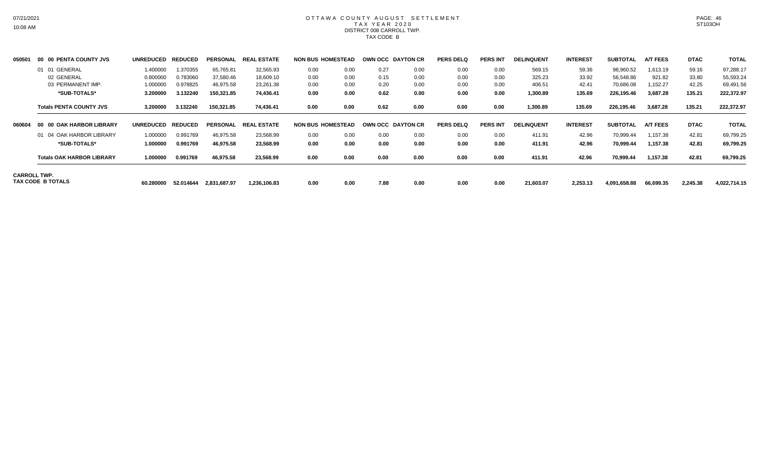# OTTAWA COUNTY AUGUST SETTLEMENT T A X Y E A R 2 0 2 0 DISTRICT 008 CARROLL TWP. TAX CODE B

| 050501 | 00 00 PENTA COUNTY JVS                   | UNREDUCED REDUCED |           | <b>PERSONAL</b> | <b>REAL ESTATE</b> | <b>NON BUS HOMESTEAD</b> |      | OWN OCC DAYTON CR |      | <b>PERS DELQ</b> | <b>PERS INT</b> | <b>DELINQUENT</b> | <b>INTEREST</b> | <b>SUBTOTAL</b> | <b>A/T FEES</b> | <b>DTAC</b> | <b>TOTAL</b> |
|--------|------------------------------------------|-------------------|-----------|-----------------|--------------------|--------------------------|------|-------------------|------|------------------|-----------------|-------------------|-----------------|-----------------|-----------------|-------------|--------------|
|        | 01 01 GENERAL                            | 1.400000          | 1.370355  | 65,765.81       | 32,565.93          | 0.00                     | 0.00 | 0.27              | 0.00 | 0.00             | 0.00            | 569.15            | 59.36           | 98,960.52       | 1,613.19        | 59.16       | 97,288.17    |
|        | 02 GENERAL                               | 0.800000          | 0.783060  | 37,580.46       | 18,609.10          | 0.00                     | 0.00 | 0.15              | 0.00 | 0.00             | 0.00            | 325.23            | 33.92           | 56,548.86       | 921.82          | 33.80       | 55,593.24    |
|        | 03 PERMANENT IMP.                        | 1.000000          | 0.978825  | 46,975.58       | 23,261.38          | 0.00                     | 0.00 | 0.20              | 0.00 | 0.00             | 0.00            | 406.51            | 42.41           | 70,686.08       | 152.27          | 42.25       | 69,491.56    |
|        | *SUB-TOTALS*                             | 3.200000          | 3.132240  | 150,321.85      | 74,436.41          | 0.00                     | 0.00 | 0.62              | 0.00 | 0.00             | 0.00            | 1,300.89          | 135.69          | 226,195.46      | 3,687.28        | 135.21      | 222,372.97   |
|        | <b>Totals PENTA COUNTY JVS</b>           | 3.200000          | 3.132240  | 150,321.85      | 74,436.41          | 0.00                     | 0.00 | 0.62              | 0.00 | 0.00             | 0.00            | 1,300.89          | 135.69          | 226,195.46      | 3,687.28        | 135.21      | 222,372.97   |
| 060604 | 00 00 OAK HARBOR LIBRARY                 | UNREDUCED REDUCED |           | <b>PERSONAL</b> | <b>REAL ESTATE</b> | <b>NON BUS HOMESTEAD</b> |      | OWN OCC DAYTON CR |      | <b>PERS DELQ</b> | <b>PERS INT</b> | <b>DELINQUENT</b> | <b>INTEREST</b> | <b>SUBTOTAL</b> | <b>A/T FEES</b> | <b>DTAC</b> | <b>TOTAL</b> |
|        | 01 04 OAK HARBOR LIBRARY                 | 1.000000          | 0.991769  | 46,975.58       | 23,568.99          | 0.00                     | 0.00 | 0.00              | 0.00 | 0.00             | 0.00            | 411.91            | 42.96           | 70,999.44       | 1,157.38        | 42.81       | 69,799.25    |
|        | *SUB-TOTALS*                             | 1.000000          | 0.991769  | 46,975.58       | 23,568.99          | 0.00                     | 0.00 | 0.00              | 0.00 | 0.00             | 0.00            | 411.91            | 42.96           | 70,999.44       | 1,157.38        | 42.81       | 69,799.25    |
|        | <b>Totals OAK HARBOR LIBRARY</b>         | 1.000000          | 0.991769  | 46,975.58       | 23,568.99          | 0.00                     | 0.00 | 0.00              | 0.00 | 0.00             | 0.00            | 411.91            | 42.96           | 70,999.44       | 1,157.38        | 42.81       | 69,799.25    |
|        | <b>CARROLL TWP.</b><br>TAX CODE B TOTALS | 60.280000         | 52.014644 | 2,831,687.97    | 1,236,106.83       | 0.00                     | 0.00 | 7.88              | 0.00 | 0.00             | 0.00            | 21,603.07         | 2,253.13        | 4,091,658.88    | 66,699.35       | 2,245.38    | 4,022,714.15 |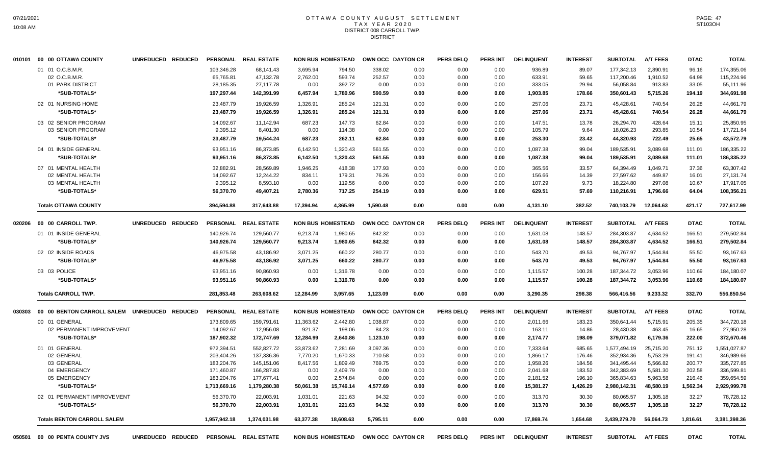## OTTAWA COUNTY AUGUST SETTLEMENT T A X Y E A R 2 0 2 0 DISTRICT 008 CARROLL TWP. **DISTRICT**

|        | 010101 00 00 OTTAWA COUNTY                            | UNREDUCED REDUCED |                                      | PERSONAL REAL ESTATE                |                              | <b>NON BUS HOMESTEAD</b>   |                          | OWN OCC DAYTON CR    | PERS DELQ            | <b>PERS INT</b>      | <b>DELINQUENT</b>          | <b>INTEREST</b>         | <b>SUBTOTAL</b>                       | <b>A/T FEES</b>                | <b>DTAC</b>             | <b>TOTAL</b>                          |
|--------|-------------------------------------------------------|-------------------|--------------------------------------|-------------------------------------|------------------------------|----------------------------|--------------------------|----------------------|----------------------|----------------------|----------------------------|-------------------------|---------------------------------------|--------------------------------|-------------------------|---------------------------------------|
|        | 01 01 O.C.B.M.R.<br>02 O.C.B.M.R.<br>01 PARK DISTRICT |                   | 103.346.28<br>65,765.81<br>28,185.35 | 68.141.43<br>47,132.78<br>27,117.78 | 3.695.94<br>2,762.00<br>0.00 | 794.50<br>593.74<br>392.72 | 338.02<br>252.57<br>0.00 | 0.00<br>0.00<br>0.00 | 0.00<br>0.00<br>0.00 | 0.00<br>0.00<br>0.00 | 936.89<br>633.91<br>333.05 | 89.07<br>59.65<br>29.94 | 177.342.13<br>117,200.46<br>56,058.84 | 2.890.91<br>1,910.52<br>913.83 | 96.16<br>64.98<br>33.05 | 174,355.06<br>115,224.96<br>55,111.96 |
|        | *SUB-TOTALS*                                          |                   | 197,297.44                           | 142,391.99                          | 6,457.94                     | 1,780.96                   | 590.59                   | 0.00                 | 0.00                 | 0.00                 | 1,903.85                   | 178.66                  | 350,601.43                            | 5,715.26                       | 194.19                  | 344,691.98                            |
|        | 02 01 NURSING HOME                                    |                   | 23,487.79                            | 19,926.59                           | 1,326.91                     | 285.24                     | 121.31                   | 0.00                 | 0.00                 | 0.00                 | 257.06                     | 23.71                   | 45,428.61                             | 740.54                         | 26.28                   | 44,661.79                             |
|        | *SUB-TOTALS*                                          |                   | 23,487.79                            | 19.926.59                           | 1,326.91                     | 285.24                     | 121.31                   | 0.00                 | 0.00                 | 0.00                 | 257.06                     | 23.71                   | 45,428.61                             | 740.54                         | 26.28                   | 44,661.79                             |
|        | 03 02 SENIOR PROGRAM                                  |                   | 14,092.67                            | 11.142.94                           | 687.23                       | 147.73                     | 62.84                    | 0.00                 | 0.00                 | 0.00                 | 147.51                     | 13.78                   | 26,294.70                             | 428.64                         | 15.11                   | 25.850.95                             |
|        | 03 SENIOR PROGRAM                                     |                   | 9,395.12                             | 8,401.30                            | 0.00                         | 114.38                     | 0.00                     | 0.00                 | 0.00                 | 0.00                 | 105.79                     | 9.64                    | 18,026.23                             | 293.85                         | 10.54                   | 17,721.84                             |
|        | *SUB-TOTALS*                                          |                   | 23,487.79                            | 19,544.24                           | 687.23                       | 262.11                     | 62.84                    | 0.00                 | 0.00                 | 0.00                 | 253.30                     | 23.42                   | 44,320.93                             | 722.49                         | 25.65                   | 43,572.79                             |
|        | 04 01 INSIDE GENERAL                                  |                   | 93,951.16                            | 86,373.85                           | 6,142.50                     | 1,320.43                   | 561.55                   | 0.00                 | 0.00                 | 0.00                 | 1,087.38                   | 99.04                   | 189,535.91                            | 3,089.68                       | 111.01                  | 186,335.22                            |
|        | *SUB-TOTALS*                                          |                   | 93,951.16                            | 86,373.85                           | 6,142.50                     | 1,320.43                   | 561.55                   | 0.00                 | 0.00                 | 0.00                 | 1,087.38                   | 99.04                   | 189,535.91                            | 3,089.68                       | 111.01                  | 186,335.22                            |
|        | 07 01 MENTAL HEALTH                                   |                   | 32,882.91                            | 28.569.89                           | 1.946.25                     | 418.38                     | 177.93                   | 0.00                 | 0.00                 | 0.00                 | 365.56                     | 33.57                   | 64.394.49                             | 1.049.71                       | 37.36                   | 63.307.42                             |
|        | 02 MENTAL HEALTH                                      |                   | 14,092.67                            | 12,244.22                           | 834.11                       | 179.31                     | 76.26                    | 0.00                 | 0.00                 | 0.00                 | 156.66                     | 14.39                   | 27,597.62                             | 449.87                         | 16.01                   | 27,131.74                             |
|        | 03 MENTAL HEALTH                                      |                   | 9,395.12                             | 8,593.10                            | 0.00                         | 119.56                     | 0.00                     | 0.00                 | 0.00                 | 0.00                 | 107.29                     | 9.73                    | 18,224.80                             | 297.08                         | 10.67                   | 17,917.05                             |
|        | *SUB-TOTALS*                                          |                   | 56,370.70                            | 49,407.21                           | 2,780.36                     | 717.25                     | 254.19                   | 0.00                 | 0.00                 | 0.00                 | 629.51                     | 57.69                   | 110,216.91                            | 1,796.66                       | 64.04                   | 108,356.21                            |
|        | <b>Totals OTTAWA COUNTY</b>                           |                   | 394,594.88                           | 317.643.88                          | 17.394.94                    | 4.365.99                   | 1.590.48                 | 0.00                 | 0.00                 | 0.00                 | 4,131.10                   | 382.52                  | 740.103.79                            | 12.064.63                      | 421.17                  | 727,617.99                            |
| 020206 | 00 00 CARROLL TWP.                                    | UNREDUCED REDUCED |                                      | PERSONAL REAL ESTATE                |                              | <b>NON BUS HOMESTEAD</b>   |                          | OWN OCC DAYTON CR    | <b>PERS DELQ</b>     | PERS INT             | <b>DELINQUENT</b>          | <b>INTEREST</b>         | <b>SUBTOTAL</b>                       | <b>A/T FEES</b>                | <b>DTAC</b>             | <b>TOTAL</b>                          |
|        | 01 01 INSIDE GENERAL                                  |                   | 140,926.74                           | 129,560.77                          | 9,213.74                     | 1,980.65                   | 842.32                   | 0.00                 | 0.00                 | 0.00                 | 1,631.08                   | 148.57                  | 284,303.87                            | 4,634.52                       | 166.51                  | 279,502.84                            |
|        | *SUB-TOTALS*                                          |                   | 140,926.74                           | 129,560.77                          | 9,213.74                     | 1,980.65                   | 842.32                   | 0.00                 | 0.00                 | 0.00                 | 1,631.08                   | 148.57                  | 284,303.87                            | 4,634.52                       | 166.51                  | 279,502.84                            |
|        | 02 02 INSIDE ROADS                                    |                   | 46,975.58                            | 43,186.92                           | 3,071.25                     | 660.22                     | 280.77                   | 0.00                 | 0.00                 | 0.00                 | 543.70                     | 49.53                   | 94,767.97                             | 1,544.84                       | 55.50                   | 93,167.63                             |
|        | *SUB-TOTALS*                                          |                   | 46,975.58                            | 43,186.92                           | 3,071.25                     | 660.22                     | 280.77                   | 0.00                 | 0.00                 | 0.00                 | 543.70                     | 49.53                   | 94,767.97                             | 1,544.84                       | 55.50                   | 93,167.63                             |
|        | 03 03 POLICE                                          |                   | 93,951.16                            | 90,860.93                           | 0.00                         | 1,316.78                   | 0.00                     | 0.00                 | 0.00                 | 0.00                 | 1,115.57                   | 100.28                  | 187,344.72                            | 3,053.96                       | 110.69                  | 184,180.07                            |
|        | *SUB-TOTALS*                                          |                   | 93,951.16                            | 90,860.93                           | 0.00                         | 1,316.78                   | 0.00                     | 0.00                 | 0.00                 | 0.00                 | 1,115.57                   | 100.28                  | 187.344.72                            | 3,053.96                       | 110.69                  | 184,180.07                            |
|        |                                                       |                   |                                      |                                     |                              |                            |                          |                      |                      |                      |                            |                         |                                       |                                |                         |                                       |
|        | <b>Totals CARROLL TWP.</b>                            |                   | 281,853.48                           | 263,608.62                          | 12,284.99                    | 3,957.65                   | 1,123.09                 | 0.00                 | 0.00                 | 0.00                 | 3,290.35                   | 298.38                  | 566,416.56                            | 9,233.32                       | 332.70                  | 556,850.54                            |
| 030303 | 00 00 BENTON CARROLL SALEM UNREDUCED REDUCED          |                   |                                      | PERSONAL REAL ESTATE                |                              | <b>NON BUS HOMESTEAD</b>   |                          | OWN OCC DAYTON CR    | <b>PERS DELQ</b>     | <b>PERS INT</b>      | <b>DELINQUENT</b>          | <b>INTEREST</b>         | <b>SUBTOTAL</b>                       | <b>A/T FEES</b>                | <b>DTAC</b>             | <b>TOTAL</b>                          |
|        | 00 01 GENERAL                                         |                   | 173,809.65                           | 159,791.61                          | 11,363.62                    | 2,442.80                   | 1,038.87                 | 0.00                 | 0.00                 | 0.00                 | 2,011.66                   | 183.23                  | 350,641.44                            | 5,715.91                       | 205.35                  | 344,720.18                            |
|        | 02 PERMANENT IMPROVEMENT                              |                   | 14,092.67                            | 12,956.08                           | 921.37                       | 198.06                     | 84.23                    | 0.00                 | 0.00                 | 0.00                 | 163.11                     | 14.86                   | 28,430.38                             | 463.45                         | 16.65                   | 27,950.28                             |
|        | *SUB-TOTALS*                                          |                   | 187,902.32                           | 172,747.69                          | 12,284.99                    | 2,640.86                   | 1,123.10                 | 0.00                 | 0.00                 | 0.00                 | 2,174.77                   | 198.09                  | 379,071.82                            | 6,179.36                       | 222.00                  | 372,670.46                            |
|        | 01 01 GENERAL                                         |                   | 972,394.51                           | 552,827.72                          | 33,873.62                    | 7,281.69                   | 3,097.36                 | 0.00                 | 0.00                 | 0.00                 | 7,333.64                   | 685.65                  | 1,577,494.19                          | 25,715.20                      | 751.12                  | 1,551,027.87                          |
|        | 02 GENERAL                                            |                   | 203,404.26                           | 137,336.36                          | 7,770.20                     | 1,670.33                   | 710.58                   | 0.00                 | 0.00                 | 0.00                 | 1,866.17                   | 176.46                  | 352,934.36                            | 5,753.29                       | 191.41                  | 346,989.66                            |
|        | 03 GENERAL                                            |                   | 183,204.76                           | 145,151.06                          | 8,417.56                     | 1,809.49                   | 769.75                   | 0.00                 | 0.00                 | 0.00                 | 1,958.26                   | 184.56                  | 341,495.44                            | 5,566.82                       | 200.77                  | 335,727.85                            |
|        | 04 EMERGENCY                                          |                   | 171,460.87                           | 166,287.83                          | 0.00                         | 2,409.79                   | 0.00                     | 0.00                 | 0.00                 | 0.00                 | 2,041.68                   | 183.52                  | 342,383.69                            | 5,581.30                       | 202.58                  | 336,599.81                            |
|        | 05 EMERGENCY                                          |                   | 183,204.76                           | 177,677.41                          | 0.00                         | 2,574.84                   | 0.00                     | 0.00                 | 0.00                 | 0.00                 | 2,181.52                   | 196.10                  | 365,834.63                            | 5,963.58                       | 216.46                  | 359,654.59                            |
|        | *SUB-TOTALS*                                          |                   | 1,713,669.16                         | 1,179,280.38                        | 50,061.38                    | 15,746.14                  | 4,577.69                 | 0.00                 | 0.00                 | 0.00                 | 15,381.27                  | 1,426.29                | 2,980,142.31                          | 48,580.19                      | 1,562.34                | 2,929,999.78                          |
|        | 02 01 PERMANENT IMPROVEMENT                           |                   | 56,370.70                            | 22,003.91                           | 1,031.01                     | 221.63                     | 94.32                    | 0.00                 | 0.00                 | 0.00                 | 313.70                     | 30.30                   | 80,065.57                             | 1,305.18                       | 32.27                   | 78,728.12                             |
|        | *SUB-TOTALS*                                          |                   | 56,370.70                            | 22,003.91                           | 1,031.01                     | 221.63                     | 94.32                    | 0.00                 | 0.00                 | 0.00                 | 313.70                     | 30.30                   | 80,065.57                             | 1,305.18                       | 32.27                   | 78,728.12                             |
|        | <b>Totals BENTON CARROLL SALEM</b>                    |                   | 1,957,942.18                         | 1,374,031.98                        | 63,377.38                    | 18,608.63                  | 5,795.11                 | 0.00                 | 0.00                 | 0.00                 | 17,869.74                  | 1,654.68                | 3,439,279.70                          | 56,064.73                      | 1,816.61                | 3,381,398.36                          |
| 050501 | 00 00 PENTA COUNTY JVS                                | UNREDUCED REDUCED |                                      | PERSONAL REAL ESTATE                |                              | <b>NON BUS HOMESTEAD</b>   |                          | OWN OCC DAYTON CR    | <b>PERS DELQ</b>     | <b>PERS INT</b>      | <b>DELINQUENT</b>          | <b>INTEREST</b>         | <b>SUBTOTAL</b>                       | <b>A/T FEES</b>                | <b>DTAC</b>             | <b>TOTAL</b>                          |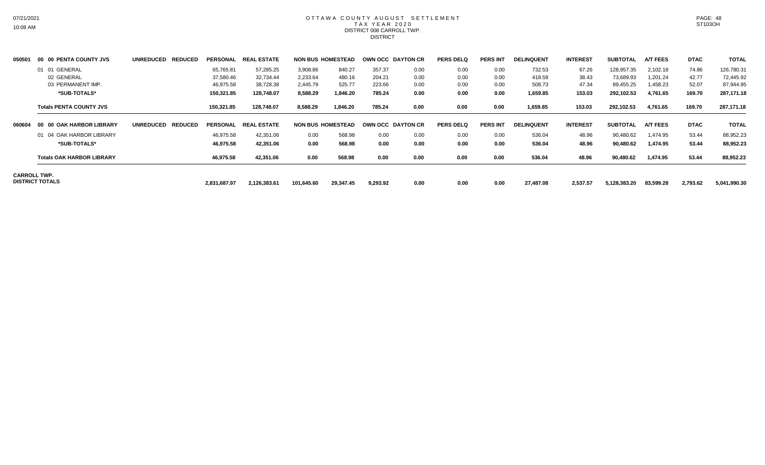## OTTAWA COUNTY AUGUST SETTLEMENT T A X Y E A R 2 0 2 0 DISTRICT 008 CARROLL TWP. **DISTRICT**

| 050501              | 00 00 PENTA COUNTY JVS           | <b>UNREDUCED</b><br><b>REDUCED</b> | <b>PERSONAL</b> | <b>REAL ESTATE</b> |            | <b>NON BUS HOMESTEAD</b> | OWN OCC DAYTON CR |      | <b>PERS DELQ</b> | <b>PERS INT</b> | <b>DELINQUENT</b> | <b>INTEREST</b> | <b>SUBTOTAL</b> | <b>A/T FEES</b> | <b>DTAC</b> | <b>TOTAL</b> |
|---------------------|----------------------------------|------------------------------------|-----------------|--------------------|------------|--------------------------|-------------------|------|------------------|-----------------|-------------------|-----------------|-----------------|-----------------|-------------|--------------|
|                     | 01 01 GENERAL                    |                                    | 65,765.81       | 57,285.25          | 3,908.86   | 840.27                   | 357.37            | 0.00 | 0.00             | 0.00            | 732.53            | 67.26           | 128,957.35      | 2,102.18        | 74.86       | 126,780.31   |
|                     | 02 GENERAL                       |                                    | 37,580.46       | 32,734.44          | 2,233.64   | 480.16                   | 204.21            | 0.00 | 0.00             | 0.00            | 418.59            | 38.43           | 73,689.93       | 1,201.24        | 42.77       | 72,445.92    |
|                     | 03 PERMANENT IMP.                |                                    | 46,975.58       | 38,728.38          | 2,445.79   | 525.77                   | 223.66            | 0.00 | 0.00             | 0.00            | 508.73            | 47.34           | 89,455.25       | ,458.23         | 52.07       | 87,944.95    |
|                     | *SUB-TOTALS*                     |                                    | 150,321.85      | 128,748.07         | 8,588.29   | 1,846.20                 | 785.24            | 0.00 | 0.00             | 0.00            | 1,659.85          | 153.03          | 292,102.53      | 4,761.65        | 169.70      | 287,171.18   |
|                     | <b>Totals PENTA COUNTY JVS</b>   |                                    | 150,321.85      | 128,748.07         | 8,588.29   | 1,846.20                 | 785.24            | 0.00 | 0.00             | 0.00            | 1,659.85          | 153.03          | 292,102.53      | 4,761.65        | 169.70      | 287,171.18   |
| 060604              | 00 00 OAK HARBOR LIBRARY         | UNREDUCED REDUCED                  | <b>PERSONAL</b> | <b>REAL ESTATE</b> |            | <b>NON BUS HOMESTEAD</b> | OWN OCC DAYTON CR |      | <b>PERS DELQ</b> | <b>PERS INT</b> | <b>DELINQUENT</b> | <b>INTEREST</b> | <b>SUBTOTAL</b> | <b>A/T FEES</b> | <b>DTAC</b> | <b>TOTAL</b> |
|                     | 01 04 OAK HARBOR LIBRARY         |                                    | 46,975.58       | 42,351.06          | 0.00       | 568.98                   | 0.00              | 0.00 | 0.00             | 0.00            | 536.04            | 48.96           | 90,480.62       | 1,474.95        | 53.44       | 88,952.23    |
|                     | *SUB-TOTALS*                     |                                    | 46,975.58       | 42.351.06          | 0.00       | 568.98                   | 0.00              | 0.00 | 0.00             | 0.00            | 536.04            | 48.96           | 90,480.62       | 1,474.95        | 53.44       | 88,952.23    |
|                     | <b>Totals OAK HARBOR LIBRARY</b> |                                    | 46,975.58       | 42,351.06          | 0.00       | 568.98                   | 0.00              | 0.00 | 0.00             | 0.00            | 536.04            | 48.96           | 90,480.62       | 1,474.95        | 53.44       | 88,952.23    |
| <b>CARROLL TWP.</b> | DISTRICT TOTALS                  |                                    | 2,831,687.97    | 2,126,383.61       | 101,645.60 | 29,347.45                | 9,293.92          | 0.00 | 0.00             | 0.00            | 27,487.08         | 2,537.57        | 5,128,383.20    | 83,599.28       | 2,793.62    | 5,041,990.30 |
|                     |                                  |                                    |                 |                    |            |                          |                   |      |                  |                 |                   |                 |                 |                 |             |              |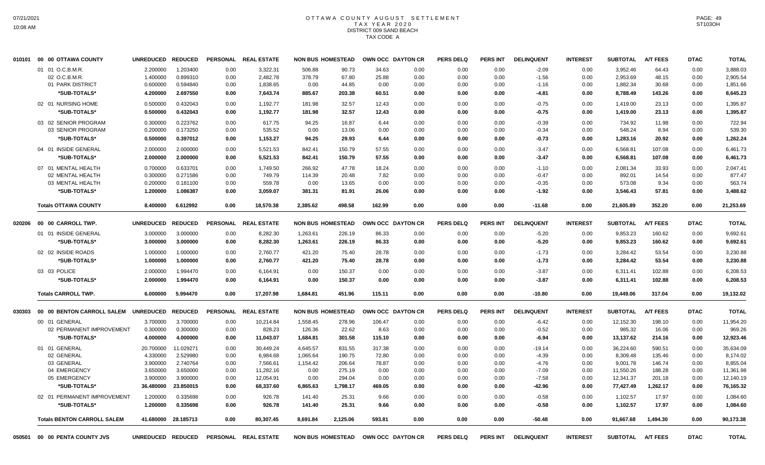# OTTAWA COUNTY AUGUST SETTLEMENT T A X Y E A R 2 0 2 0 DISTRICT 009 SAND BEACH TAX CODE A

|        | 010101 00 00 OTTAWA COUNTY           | <b>UNREDUCED</b>  | <b>REDUCED</b> |      | PERSONAL REAL ESTATE | <b>NON BUS HOMESTEAD</b> |          |        | OWN OCC DAYTON CR                   | <b>PERS DELQ</b> | <b>PERS INT</b> | <b>DELINQUENT</b> | <b>INTEREST</b> | <b>SUBTOTAL</b>   | <b>A/T FEES</b> | <b>DTAC</b> | <b>TOTAL</b> |
|--------|--------------------------------------|-------------------|----------------|------|----------------------|--------------------------|----------|--------|-------------------------------------|------------------|-----------------|-------------------|-----------------|-------------------|-----------------|-------------|--------------|
|        | 01 01 O.C.B.M.R.                     | 2.200000          | 1.203400       | 0.00 | 3,322.31             | 506.88                   | 90.73    | 34.63  | 0.00                                | 0.00             | 0.00            | $-2.09$           | 0.00            | 3,952.46          | 64.43           | 0.00        | 3,888.03     |
|        | 02 O.C.B.M.R                         | 1.400000          | 0.899310       | 0.00 | 2,482.78             | 378.79                   | 67.80    | 25.88  | 0.00                                | 0.00             | 0.00            | $-1.56$           | 0.00            | 2,953.69          | 48.15           | 0.00        | 2,905.54     |
|        | 01 PARK DISTRICT                     | 0.600000          | 0.594840       | 0.00 | 1,838.65             | 0.00                     | 44.85    | 0.00   | 0.00                                | 0.00             | 0.00            | $-1.16$           | 0.00            | 1,882.34          | 30.68           | 0.00        | 1,851.66     |
|        | *SUB-TOTALS*                         | 4.200000          | 2.697550       | 0.00 | 7,643.74             | 885.67                   | 203.38   | 60.51  | 0.00                                | 0.00             | 0.00            | $-4.81$           | 0.00            | 8,788.49          | 143.26          | 0.00        | 8,645.23     |
|        | 02 01 NURSING HOME                   | 0.500000          | 0.432043       | 0.00 | 1,192.77             | 181.98                   | 32.57    | 12.43  | 0.00                                | 0.00             | 0.00            | $-0.75$           | 0.00            | 1,419.00          | 23.13           | 0.00        | 1,395.87     |
|        | *SUB-TOTALS*                         | 0.500000          | 0.432043       | 0.00 | 1,192.77             | 181.98                   | 32.57    | 12.43  | 0.00                                | 0.00             | 0.00            | -0.75             | 0.00            | 1,419.00          | 23.13           | 0.00        | 1,395.87     |
|        | 03 02 SENIOR PROGRAM                 | 0.300000          | 0.223762       | 0.00 | 617.75               | 94.25                    | 16.87    | 6.44   | 0.00                                | 0.00             | 0.00            | $-0.39$           | 0.00            | 734.92            | 11.98           | 0.00        | 722.94       |
|        | 03 SENIOR PROGRAM                    | 0.200000          | 0.173250       | 0.00 | 535.52               | 0.00                     | 13.06    | 0.00   | 0.00                                | 0.00             | 0.00            | $-0.34$           | 0.00            | 548.24            | 8.94            | 0.00        | 539.30       |
|        | *SUB-TOTALS*                         | 0.500000          | 0.397012       | 0.00 | 1,153.27             | 94.25                    | 29.93    | 6.44   | 0.00                                | 0.00             | 0.00            | $-0.73$           | 0.00            | 1,283.16          | 20.92           | 0.00        | 1,262.24     |
|        | 04 01 INSIDE GENERAL                 | 2.000000          | 2.000000       | 0.00 | 5,521.53             | 842.41                   | 150.79   | 57.55  | 0.00                                | 0.00             | 0.00            | $-3.47$           | 0.00            | 6,568.81          | 107.08          | 0.00        | 6,461.73     |
|        | *SUB-TOTALS*                         | 2.000000          | 2.000000       | 0.00 | 5,521.53             | 842.41                   | 150.79   | 57.55  | 0.00                                | 0.00             | 0.00            | $-3.47$           | 0.00            | 6,568.81          | 107.08          | 0.00        | 6,461.73     |
|        | 07 01 MENTAL HEALTH                  | 0.700000          | 0.633701       | 0.00 | 1.749.50             | 266.92                   | 47.78    | 18.24  | 0.00                                | 0.00             | 0.00            | $-1.10$           | 0.00            | 2.081.34          | 33.93           | 0.00        | 2.047.41     |
|        | 02 MENTAL HEALTH                     | 0.300000          | 0.271586       | 0.00 | 749.79               | 114.39                   | 20.48    | 7.82   | 0.00                                | 0.00             | 0.00            | $-0.47$           | 0.00            | 892.01            | 14.54           | 0.00        | 877.47       |
|        | 03 MENTAL HEALTH                     | 0.200000          | 0.181100       | 0.00 | 559.78               | 0.00                     | 13.65    | 0.00   | 0.00                                | 0.00             | 0.00            | $-0.35$           | 0.00            | 573.08            | 9.34            | 0.00        | 563.74       |
|        | *SUB-TOTALS*                         | 1.200000          | 1.086387       | 0.00 | 3,059.07             | 381.31                   | 81.91    | 26.06  | 0.00                                | 0.00             | 0.00            | $-1.92$           | 0.00            | 3,546.43          | 57.81           | 0.00        | 3,488.62     |
|        | <b>Totals OTTAWA COUNTY</b>          | 8.400000          | 6.612992       | 0.00 | 18,570.38            | 2,385.62                 | 498.58   | 162.99 | 0.00                                | 0.00             | 0.00            | $-11.68$          | 0.00            | 21,605.89         | 352.20          | 0.00        | 21,253.69    |
| 020206 | 00 00 CARROLL TWP.                   | <b>UNREDUCED</b>  | <b>REDUCED</b> |      | PERSONAL REAL ESTATE | <b>NON BUS HOMESTEAD</b> |          |        | OWN OCC DAYTON CR                   | <b>PERS DELQ</b> | <b>PERS INT</b> | <b>DELINQUENT</b> | <b>INTEREST</b> | <b>SUBTOTAL</b>   | <b>A/T FEES</b> | <b>DTAC</b> | <b>TOTAL</b> |
|        | 01 01 INSIDE GENERAL                 | 3.000000          | 3.000000       | 0.00 | 8,282.30             | 1,263.61                 | 226.19   | 86.33  | 0.00                                | 0.00             | 0.00            | $-5.20$           | 0.00            | 9,853.23          | 160.62          | 0.00        | 9,692.61     |
|        | *SUB-TOTALS*                         | 3.000000          | 3.000000       | 0.00 | 8,282.30             | 1,263.61                 | 226.19   | 86.33  | 0.00                                | 0.00             | 0.00            | $-5.20$           | 0.00            | 9,853.23          | 160.62          | 0.00        | 9,692.61     |
|        |                                      |                   |                |      |                      |                          |          |        |                                     |                  |                 |                   |                 |                   |                 |             |              |
|        | 02 02 INSIDE ROADS                   | 1.000000          | 1.000000       | 0.00 | 2,760.77             | 421.20                   | 75.40    | 28.78  | 0.00                                | 0.00             | 0.00            | $-1.73$           | 0.00            | 3,284.42          | 53.54           | 0.00        | 3,230.88     |
|        | *SUB-TOTALS*                         | 1.000000          | 1.000000       | 0.00 | 2,760.77             | 421.20                   | 75.40    | 28.78  | 0.00                                | 0.00             | 0.00            | $-1.73$           | 0.00            | 3,284.42          | 53.54           | 0.00        | 3,230.88     |
|        | 03 03 POLICE                         | 2.000000          | 1.994470       | 0.00 | 6,164.91             | 0.00                     | 150.37   | 0.00   | 0.00                                | 0.00             | 0.00            | $-3.87$           | 0.00            | 6,311.41          | 102.88          | 0.00        | 6,208.53     |
|        | *SUB-TOTALS*                         | 2.000000          | 1.994470       | 0.00 | 6,164.91             | 0.00                     | 150.37   | 0.00   | 0.00                                | 0.00             | 0.00            | $-3.87$           | 0.00            | 6,311.41          | 102.88          | 0.00        | 6,208.53     |
|        | <b>Totals CARROLL TWP.</b>           | 6.000000          | 5.994470       | 0.00 | 17,207.98            | 1,684.81                 | 451.96   | 115.11 | 0.00                                | 0.00             | 0.00            | $-10.80$          | 0.00            | 19,449.06         | 317.04          | 0.00        | 19,132.02    |
| 030303 | 00 00 BENTON CARROLL SALEM UNREDUCED |                   | <b>REDUCED</b> |      | PERSONAL REAL ESTATE | <b>NON BUS HOMESTEAD</b> |          |        | OWN OCC DAYTON CR                   | <b>PERS DELQ</b> | <b>PERS INT</b> | <b>DELINQUENT</b> | <b>INTEREST</b> | <b>SUBTOTAL</b>   | <b>A/T FEES</b> | <b>DTAC</b> | <b>TOTAL</b> |
|        | 00 01 GENERAL                        | 3.700000          | 3.700000       | 0.00 | 10,214.84            | 1,558.45                 | 278.96   | 106.47 | 0.00                                | 0.00             | 0.00            | $-6.42$           | 0.00            | 12,152.30         | 198.10          | 0.00        | 11,954.20    |
|        | 02 PERMANENT IMPROVEMENT             | 0.300000          | 0.300000       | 0.00 | 828.23               | 126.36                   | 22.62    | 8.63   | 0.00                                | 0.00             | 0.00            | $-0.52$           | 0.00            | 985.32            | 16.06           | 0.00        | 969.26       |
|        | *SUB-TOTALS*                         | 4.000000          | 4.000000       | 0.00 | 11,043.07            | 1,684.81                 | 301.58   | 115.10 | 0.00                                | 0.00             | 0.00            | -6.94             | 0.00            | 13,137.62         | 214.16          | 0.00        | 12,923.46    |
|        | 01 01 GENERAL                        | 20.700000         | 11.029271      | 0.00 | 30,449.24            | 4,645.57                 | 831.55   | 317.38 | 0.00                                | 0.00             | 0.00            | $-19.14$          | 0.00            | 36,224.60         | 590.51          | 0.00        | 35,634.09    |
|        | 02 GENERAL                           | 4.330000          | 2.529980       | 0.00 | 6,984.68             | 1,065.64                 | 190.75   | 72.80  | 0.00                                | 0.00             | 0.00            | $-4.39$           | 0.00            | 8,309.48          | 135.46          | 0.00        | 8,174.02     |
|        | 03 GENERAL                           | 3.900000          | 2.740764       | 0.00 | 7,566.61             | 1,154.42                 | 206.64   | 78.87  | 0.00                                | 0.00             | 0.00            | $-4.76$           | 0.00            | 9,001.78          | 146.74          | 0.00        | 8.855.04     |
|        | 04 EMERGENCY                         | 3.650000          | 3.650000       | 0.00 | 11,282.16            | 0.00                     | 275.19   | 0.00   | 0.00                                | 0.00             | 0.00            | $-7.09$           | 0.00            | 11,550.26         | 188.28          | 0.00        | 11,361.98    |
|        | 05 EMERGENCY                         | 3.900000          | 3.900000       | 0.00 | 12,054.91            | 0.00                     | 294.04   | 0.00   | 0.00                                | 0.00             | 0.00            | $-7.58$           | 0.00            | 12,341.37         | 201.18          | 0.00        | 12,140.19    |
|        | *SUB-TOTALS*                         | 36.480000         | 23.850015      | 0.00 | 68,337.60            | 6,865.63                 | 1,798.17 | 469.05 | 0.00                                | 0.00             | 0.00            | -42.96            | 0.00            | 77,427.49         | 1,262.17        | 0.00        | 76,165.32    |
|        | 02 01 PERMANENT IMPROVEMENT          | 1.200000          | 0.335698       | 0.00 | 926.78               | 141.40                   | 25.31    | 9.66   | 0.00                                | 0.00             | 0.00            | $-0.58$           | 0.00            | 1,102.57          | 17.97           | 0.00        | 1,084.60     |
|        | *SUB-TOTALS*                         | 1.200000          | 0.335698       | 0.00 | 926.78               | 141.40                   | 25.31    | 9.66   | 0.00                                | 0.00             | 0.00            | $-0.58$           | 0.00            | 1,102.57          | 17.97           | 0.00        | 1,084.60     |
|        | <b>Totals BENTON CARROLL SALEM</b>   | 41.680000         | 28.185713      | 0.00 | 80,307.45            | 8,691.84                 | 2,125.06 | 593.81 | 0.00                                | 0.00             | 0.00            | $-50.48$          | 0.00            | 91,667.68         | 1,494.30        | 0.00        | 90,173.38    |
| 050501 | 00 00 PENTA COUNTY JVS               | UNREDUCED REDUCED |                |      | PERSONAL REAL ESTATE |                          |          |        | NON BUS HOMESTEAD OWN OCC DAYTON CR | <b>PERS DELQ</b> | <b>PERS INT</b> | <b>DELINQUENT</b> | <b>INTEREST</b> | SUBTOTAL A/T FEES |                 | <b>DTAC</b> | <b>TOTAL</b> |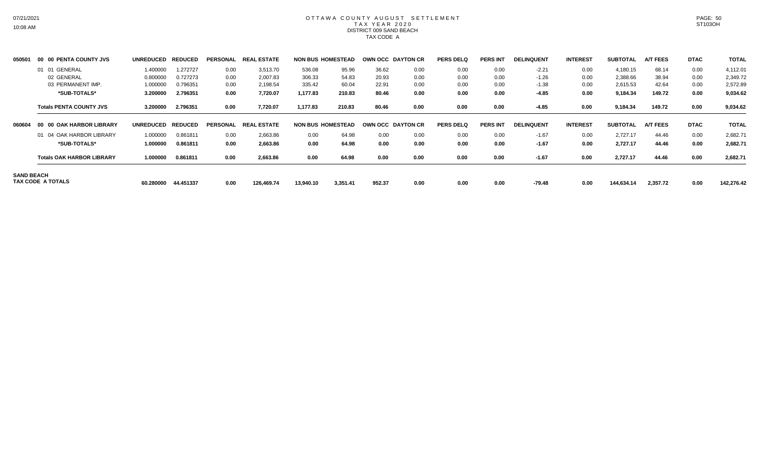# OTTAWA COUNTY AUGUST SETTLEMENT T A X Y E A R 2 0 2 0 DISTRICT 009 SAND BEACH TAX CODE A

| 050501            | 00 00 PENTA COUNTY JVS           | <b>UNREDUCED</b> | <b>REDUCED</b> | <b>PERSONAL</b> | <b>REAL ESTATE</b> | <b>NON BUS HOMESTEAD</b> |          | OWN OCC DAYTON CR |      | <b>PERS DELQ</b> | <b>PERS INT</b> | <b>DELINQUENT</b> | <b>INTEREST</b> | <b>SUBTOTAL</b> | <b>A/T FEES</b> | <b>DTAC</b> | <b>TOTAL</b> |
|-------------------|----------------------------------|------------------|----------------|-----------------|--------------------|--------------------------|----------|-------------------|------|------------------|-----------------|-------------------|-----------------|-----------------|-----------------|-------------|--------------|
|                   | 01 01 GENERAL                    | 1.400000         | 1.272727       | 0.00            | 3,513.70           | 536.08                   | 95.96    | 36.62             | 0.00 | 0.00             | 0.00            | $-2.21$           | 0.00            | 4,180.15        | 68.14           | 0.00        | 4,112.01     |
|                   | 02 GENERAL                       | 0.800000         | 0.727273       | 0.00            | 2.007.83           | 306.33                   | 54.83    | 20.93             | 0.00 | 0.00             | 0.00            | $-1.26$           | 0.00            | 2,388.66        | 38.94           | 0.00        | 2,349.72     |
|                   | 03 PERMANENT IMP.                | 1.000000         | 0.796351       | 0.00            | 2,198.54           | 335.42                   | 60.04    | 22.91             | 0.00 | 0.00             | 0.00            | $-1.38$           | 0.00            | 2,615.53        | 42.64           | 0.00        | 2,572.89     |
|                   | *SUB-TOTALS*                     | 3.200000         | 2.796351       | 0.00            | 7,720.07           | 1,177.83                 | 210.83   | 80.46             | 0.00 | 0.00             | 0.00            | $-4.85$           | 0.00            | 9,184.34        | 149.72          | 0.00        | 9,034.62     |
|                   | <b>Totals PENTA COUNTY JVS</b>   | 3.200000         | 2.796351       | 0.00            | 7,720.07           | 1,177.83                 | 210.83   | 80.46             | 0.00 | 0.00             | 0.00            | $-4.85$           | 0.00            | 9,184.34        | 149.72          | 0.00        | 9,034.62     |
| 060604            | 00 00 OAK HARBOR LIBRARY         | <b>UNREDUCED</b> | <b>REDUCED</b> | <b>PERSONAL</b> | <b>REAL ESTATE</b> | <b>NON BUS HOMESTEAD</b> |          | OWN OCC DAYTON CR |      | <b>PERS DELQ</b> | <b>PERS INT</b> | <b>DELINQUENT</b> | <b>INTEREST</b> | <b>SUBTOTAL</b> | <b>A/T FEES</b> | <b>DTAC</b> | <b>TOTAL</b> |
|                   | 01 04 OAK HARBOR LIBRARY         | 1.000000         | 0.861811       | 0.00            | 2,663.86           | 0.00                     | 64.98    | 0.00              | 0.00 | 0.00             | 0.00            | $-1.67$           | 0.00            | 2,727.17        | 44.46           | 0.00        | 2,682.71     |
|                   | *SUB-TOTALS*                     | 1.000000         | 0.861811       | 0.00            | 2,663.86           | 0.00                     | 64.98    | 0.00              | 0.00 | 0.00             | 0.00            | $-1.67$           | 0.00            | 2,727.17        | 44.46           | 0.00        | 2,682.71     |
|                   | <b>Totals OAK HARBOR LIBRARY</b> | 1.000000         | 0.861811       | 0.00            | 2,663.86           | 0.00                     | 64.98    | 0.00              | 0.00 | 0.00             | 0.00            | $-1.67$           | 0.00            | 2,727.17        | 44.46           | 0.00        | 2,682.71     |
| <b>SAND BEACH</b> | TAX CODE A TOTALS                | 60.280000        | 44.451337      | 0.00            | 126,469.74         | 13,940.10                | 3,351.41 | 952.37            | 0.00 | 0.00             | 0.00            | $-79.48$          | 0.00            | 144,634.14      | 2,357.72        | 0.00        | 142,276.42   |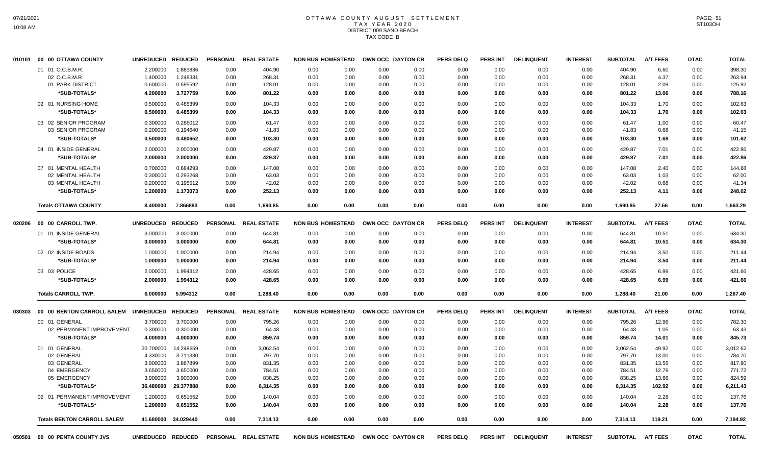# OTTAWA COUNTY AUGUST SETTLEMENT T A X Y E A R 2 0 2 0 DISTRICT 009 SAND BEACH TAX CODE B

|        | 010101 00 00 OTTAWA COUNTY           | <b>UNREDUCED</b>  | <b>REDUCED</b> | <b>PERSONAL</b> | <b>REAL ESTATE</b>   | <b>NON BUS HOMESTEAD</b> |      |      | OWN OCC DAYTON CR                   | <b>PERS DELQ</b> | <b>PERS INT</b> | <b>DELINQUENT</b> | <b>INTEREST</b> | <b>SUBTOTAL</b> | <b>A/T FEES</b> | <b>DTAC</b> | <b>TOTAL</b> |
|--------|--------------------------------------|-------------------|----------------|-----------------|----------------------|--------------------------|------|------|-------------------------------------|------------------|-----------------|-------------------|-----------------|-----------------|-----------------|-------------|--------------|
|        | 01 01 O.C.B.M.R.                     | 2.200000          | 1.883836       | 0.00            | 404.90               | 0.00                     | 0.00 | 0.00 | 0.00                                | 0.00             | 0.00            | 0.00              | 0.00            | 404.90          | 6.60            | 0.00        | 398.30       |
|        | 02 O.C.B.M.R                         | 1.400000          | 1.248331       | 0.00            | 268.31               | 0.00                     | 0.00 | 0.00 | 0.00                                | 0.00             | 0.00            | 0.00              | 0.00            | 268.31          | 4.37            | 0.00        | 263.94       |
|        | 01 PARK DISTRICT                     | 0.600000          | 0.595592       | 0.00            | 128.01               | 0.00                     | 0.00 | 0.00 | 0.00                                | 0.00             | 0.00            | 0.00              | 0.00            | 128.01          | 2.09            | 0.00        | 125.92       |
|        | *SUB-TOTALS*                         | 4.200000          | 3.727759       | 0.00            | 801.22               | 0.00                     | 0.00 | 0.00 | 0.00                                | 0.00             | 0.00            | 0.00              | 0.00            | 801.22          | 13.06           | 0.00        | 788.16       |
|        | 02 01 NURSING HOME                   | 0.500000          | 0.485399       | 0.00            | 104.33               | 0.00                     | 0.00 | 0.00 | 0.00                                | 0.00             | 0.00            | 0.00              | 0.00            | 104.33          | 1.70            | 0.00        | 102.63       |
|        | *SUB-TOTALS*                         | 0.500000          | 0.485399       | 0.00            | 104.33               | 0.00                     | 0.00 | 0.00 | 0.00                                | 0.00             | 0.00            | 0.00              | 0.00            | 104.33          | 1.70            | 0.00        | 102.63       |
|        | 03 02 SENIOR PROGRAM                 | 0.300000          | 0.286012       | 0.00            | 61.47                | 0.00                     | 0.00 | 0.00 | 0.00                                | 0.00             | 0.00            | 0.00              | 0.00            | 61.47           | 1.00            | 0.00        | 60.47        |
|        | 03 SENIOR PROGRAM                    | 0.200000          | 0.194640       | 0.00            | 41.83                | 0.00                     | 0.00 | 0.00 | 0.00                                | 0.00             | 0.00            | 0.00              | 0.00            | 41.83           | 0.68            | 0.00        | 41.15        |
|        | *SUB-TOTALS*                         | 0.500000          | 0.480652       | 0.00            | 103.30               | 0.00                     | 0.00 | 0.00 | 0.00                                | 0.00             | 0.00            | 0.00              | 0.00            | 103.30          | 1.68            | 0.00        | 101.62       |
|        | 04 01 INSIDE GENERAL                 | 2.000000          | 2.000000       | 0.00            | 429.87               | 0.00                     | 0.00 | 0.00 | 0.00                                | 0.00             | 0.00            | 0.00              | 0.00            | 429.87          | 7.01            | 0.00        | 422.86       |
|        | *SUB-TOTALS*                         | 2.000000          | 2.000000       | 0.00            | 429.87               | 0.00                     | 0.00 | 0.00 | 0.00                                | 0.00             | 0.00            | 0.00              | 0.00            | 429.87          | 7.01            | 0.00        | 422.86       |
|        | 07 01 MENTAL HEALTH                  | 0.700000          | 0.684293       | 0.00            | 147.08               | 0.00                     | 0.00 | 0.00 | 0.00                                | 0.00             | 0.00            | 0.00              | 0.00            | 147.08          | 2.40            | 0.00        | 144.68       |
|        | 02 MENTAL HEALTH                     | 0.300000          | 0.293268       | 0.00            | 63.03                | 0.00                     | 0.00 | 0.00 | 0.00                                | 0.00             | 0.00            | 0.00              | 0.00            | 63.03           | 1.03            | 0.00        | 62.00        |
|        | 03 MENTAL HEALTH                     | 0.200000          | 0.195512       | 0.00            | 42.02                | 0.00                     | 0.00 | 0.00 | 0.00                                | 0.00             | 0.00            | 0.00              | 0.00            | 42.02           | 0.68            | 0.00        | 41.34        |
|        | *SUB-TOTALS*                         | 1.200000          | 1.173073       | 0.00            | 252.13               | 0.00                     | 0.00 | 0.00 | 0.00                                | 0.00             | 0.00            | 0.00              | 0.00            | 252.13          | 4.11            | 0.00        | 248.02       |
|        | <b>Totals OTTAWA COUNTY</b>          | 8.400000          | 7.866883       | 0.00            | 1,690.85             | 0.00                     | 0.00 | 0.00 | 0.00                                | 0.00             | 0.00            | 0.00              | 0.00            | 1,690.85        | 27.56           | 0.00        | 1.663.29     |
| 020206 | 00 00 CARROLL TWP.                   | <b>UNREDUCED</b>  | <b>REDUCED</b> |                 | PERSONAL REAL ESTATE | <b>NON BUS HOMESTEAD</b> |      |      | OWN OCC DAYTON CR                   | <b>PERS DELQ</b> | <b>PERS INT</b> | <b>DELINQUENT</b> | <b>INTEREST</b> | <b>SUBTOTAL</b> | <b>A/T FEES</b> | <b>DTAC</b> | <b>TOTAL</b> |
|        | 01 01 INSIDE GENERAL                 | 3.000000          | 3.000000       | 0.00            | 644.81               | 0.00                     | 0.00 | 0.00 | 0.00                                | 0.00             | 0.00            | 0.00              | 0.00            | 644.81          | 10.51           | 0.00        | 634.30       |
|        | *SUB-TOTALS*                         | 3.000000          | 3.000000       | 0.00            | 644.81               | 0.00                     | 0.00 | 0.00 | 0.00                                | 0.00             | 0.00            | 0.00              | 0.00            | 644.81          | 10.51           | 0.00        | 634.30       |
|        | 02 02 INSIDE ROADS                   | 1.000000          | 1.000000       | 0.00            | 214.94               | 0.00                     | 0.00 | 0.00 | 0.00                                | 0.00             | 0.00            | 0.00              | 0.00            | 214.94          | 3.50            | 0.00        | 211.44       |
|        |                                      |                   |                |                 |                      |                          |      |      |                                     |                  |                 |                   |                 |                 |                 |             |              |
|        | *SUB-TOTALS*                         | 1.000000          | 1.000000       | 0.00            | 214.94               | 0.00                     | 0.00 | 0.00 | 0.00                                | 0.00             | 0.00            | 0.00              | 0.00            | 214.94          | 3.50            | 0.00        | 211.44       |
|        | 03 03 POLICE                         | 2.000000          | 1.994312       | 0.00            | 428.65               | 0.00                     | 0.00 | 0.00 | 0.00                                | 0.00             | 0.00            | 0.00              | 0.00            | 428.65          | 6.99            | 0.00        | 421.66       |
|        | *SUB-TOTALS*                         | 2.000000          | 1.994312       | 0.00            | 428.65               | 0.00                     | 0.00 | 0.00 | 0.00                                | 0.00             | 0.00            | 0.00              | 0.00            | 428.65          | 6.99            | 0.00        | 421.66       |
|        | <b>Totals CARROLL TWP.</b>           | 6.000000          | 5.994312       | 0.00            | 1,288.40             | 0.00                     | 0.00 | 0.00 | 0.00                                | 0.00             | 0.00            | 0.00              | 0.00            | 1,288.40        | 21.00           | 0.00        | 1,267.40     |
| 030303 | 00 00 BENTON CARROLL SALEM UNREDUCED |                   | <b>REDUCED</b> |                 | PERSONAL REAL ESTATE | <b>NON BUS HOMESTEAD</b> |      |      | OWN OCC DAYTON CR                   | <b>PERS DELQ</b> | <b>PERS INT</b> | <b>DELINQUENT</b> | <b>INTEREST</b> | <b>SUBTOTAL</b> | <b>A/T FEES</b> | <b>DTAC</b> | <b>TOTAL</b> |
|        | 00 01 GENERAL                        | 3.700000          | 3.700000       | 0.00            | 795.26               | 0.00                     | 0.00 | 0.00 | 0.00                                | 0.00             | 0.00            | 0.00              | 0.00            | 795.26          | 12.96           | 0.00        | 782.30       |
|        | 02 PERMANENT IMPROVEMENT             | 0.300000          | 0.300000       | 0.00            | 64.48                | 0.00                     | 0.00 | 0.00 | 0.00                                | 0.00             | 0.00            | 0.00              | 0.00            | 64.48           | 1.05            | 0.00        | 63.43        |
|        | *SUB-TOTALS*                         | 4.000000          | 4.000000       | 0.00            | 859.74               | 0.00                     | 0.00 | 0.00 | 0.00                                | 0.00             | 0.00            | 0.00              | 0.00            | 859.74          | 14.01           | 0.00        | 845.73       |
|        | 01 01 GENERAL                        | 20.700000         | 14.248659      | 0.00            | 3,062.54             | 0.00                     | 0.00 | 0.00 | 0.00                                | 0.00             | 0.00            | 0.00              | 0.00            | 3.062.54        | 49.92           | 0.00        | 3,012.62     |
|        | 02 GENERAL                           | 4.330000          | 3.711330       | 0.00            | 797.70               | 0.00                     | 0.00 | 0.00 | 0.00                                | 0.00             | 0.00            | 0.00              | 0.00            | 797.70          | 13.00           | 0.00        | 784.70       |
|        | 03 GENERAL                           | 3.900000          | 3.867899       | 0.00            | 831.35               | 0.00                     | 0.00 | 0.00 | 0.00                                | 0.00             | 0.00            | 0.00              | 0.00            | 831.35          | 13.55           | 0.00        | 817.80       |
|        | 04 EMERGENCY                         | 3.650000          | 3.650000       | 0.00            | 784.51               | 0.00                     | 0.00 | 0.00 | 0.00                                | 0.00             | 0.00            | 0.00              | 0.00            | 784.51          | 12.79           | 0.00        | 771.72       |
|        | 05 EMERGENCY                         | 3.900000          | 3.900000       | 0.00            | 838.25               | 0.00                     | 0.00 | 0.00 | 0.00                                | 0.00             | 0.00            | 0.00              | 0.00            | 838.25          | 13.66           | 0.00        | 824.59       |
|        | *SUB-TOTALS*                         | 36.480000         | 29.377888      | 0.00            | 6,314.35             | 0.00                     | 0.00 | 0.00 | 0.00                                | 0.00             | 0.00            | 0.00              | 0.00            | 6.314.35        | 102.92          | 0.00        | 6,211.43     |
|        | 02 01 PERMANENT IMPROVEMENT          | 1.200000          | 0.651552       | 0.00            | 140.04               | 0.00                     | 0.00 | 0.00 | 0.00                                | 0.00             | 0.00            | 0.00              | 0.00            | 140.04          | 2.28            | 0.00        | 137.76       |
|        | *SUB-TOTALS*                         | 1.200000          | 0.651552       | 0.00            | 140.04               | 0.00                     | 0.00 | 0.00 | 0.00                                | 0.00             | 0.00            | 0.00              | 0.00            | 140.04          | 2.28            | 0.00        | 137.76       |
|        | <b>Totals BENTON CARROLL SALEM</b>   | 41.680000         | 34.029440      | 0.00            | 7,314.13             | 0.00                     | 0.00 | 0.00 | 0.00                                | 0.00             | 0.00            | 0.00              | 0.00            | 7,314.13        | 119.21          | 0.00        | 7,194.92     |
| 050501 | 00 00 PENTA COUNTY JVS               | UNREDUCED REDUCED |                |                 | PERSONAL REAL ESTATE |                          |      |      | NON BUS HOMESTEAD OWN OCC DAYTON CR | <b>PERS DELQ</b> | <b>PERS INT</b> | <b>DELINQUENT</b> | <b>INTEREST</b> | <b>SUBTOTAL</b> | <b>A/T FEES</b> | <b>DTAC</b> | <b>TOTAL</b> |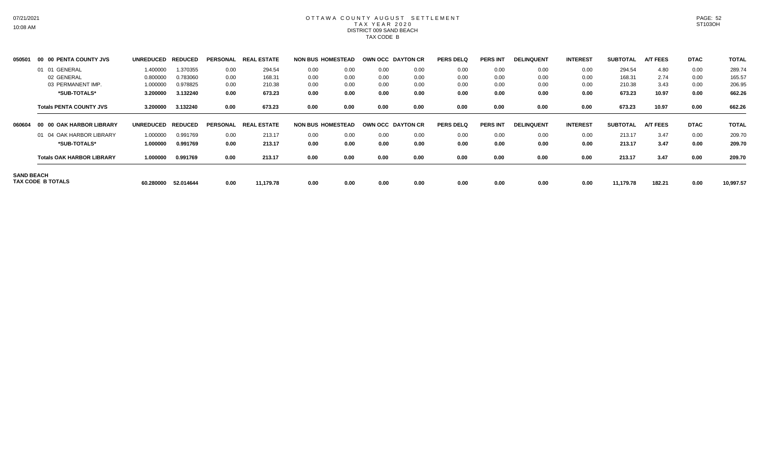# OTTAWA COUNTY AUGUST SETTLEMENT T A X Y E A R 2 0 2 0 DISTRICT 009 SAND BEACH TAX CODE B

| 050501            | 00 00 PENTA COUNTY JVS           | <b>UNREDUCED</b> | <b>REDUCED</b> | <b>PERSONAL</b> | <b>REAL ESTATE</b> |                          | <b>NON BUS HOMESTEAD</b> | OWN OCC DAYTON CR |      | <b>PERS DELQ</b> | <b>PERS INT</b> | <b>DELINQUENT</b> | <b>INTEREST</b> | <b>SUBTOTAL</b> | <b>A/T FEES</b> | <b>DTAC</b> | <b>TOTAL</b> |
|-------------------|----------------------------------|------------------|----------------|-----------------|--------------------|--------------------------|--------------------------|-------------------|------|------------------|-----------------|-------------------|-----------------|-----------------|-----------------|-------------|--------------|
|                   | 01 01 GENERAL                    | 1.400000         | 1.370355       | 0.00            | 294.54             | 0.00                     | 0.00                     | 0.00              | 0.00 | 0.00             | 0.00            | 0.00              | 0.00            | 294.54          | 4.80            | 0.00        | 289.74       |
|                   | 02 GENERAL                       | 0.800000         | 0.783060       | 0.00            | 168.31             | 0.00                     | 0.00                     | 0.00              | 0.00 | 0.00             | 0.00            | 0.00              | 0.00            | 168.31          | 2.74            | 0.00        | 165.57       |
|                   | 03 PERMANENT IMP.                | 1.000000         | 0.978825       | 0.00            | 210.38             | 0.00                     | 0.00                     | 0.00              | 0.00 | 0.00             | 0.00            | 0.00              | 0.00            | 210.38          | 3.43            | 0.00        | 206.95       |
|                   | *SUB-TOTALS*                     | 3.200000         | 3.132240       | 0.00            | 673.23             | 0.00                     | 0.00                     | 0.00              | 0.00 | 0.00             | 0.00            | 0.00              | 0.00            | 673.23          | 10.97           | 0.00        | 662.26       |
|                   | <b>Totals PENTA COUNTY JVS</b>   | 3.200000         | 3.132240       | 0.00            | 673.23             | 0.00                     | 0.00                     | 0.00              | 0.00 | 0.00             | 0.00            | 0.00              | 0.00            | 673.23          | 10.97           | 0.00        | 662.26       |
| 060604            | 00 00 OAK HARBOR LIBRARY         | <b>UNREDUCED</b> | <b>REDUCED</b> | <b>PERSONAL</b> | <b>REAL ESTATE</b> | <b>NON BUS HOMESTEAD</b> |                          | OWN OCC DAYTON CR |      | <b>PERS DELQ</b> | <b>PERS INT</b> | <b>DELINQUENT</b> | <b>INTEREST</b> | <b>SUBTOTAL</b> | <b>A/T FEES</b> | <b>DTAC</b> | <b>TOTAL</b> |
|                   | 01 04 OAK HARBOR LIBRARY         | 1.000000         | 0.991769       | 0.00            | 213.17             | 0.00                     | 0.00                     | 0.00              | 0.00 | 0.00             | 0.00            | 0.00              | 0.00            | 213.17          | 3.47            | 0.00        | 209.70       |
|                   | *SUB-TOTALS*                     | 1.000000         | 0.991769       | 0.00            | 213.17             | 0.00                     | 0.00                     | 0.00              | 0.00 | 0.00             | 0.00            | 0.00              | 0.00            | 213.17          | 3.47            | 0.00        | 209.70       |
|                   | <b>Totals OAK HARBOR LIBRARY</b> | 1.000000         | 0.991769       | 0.00            | 213.17             | 0.00                     | 0.00                     | 0.00              | 0.00 | 0.00             | 0.00            | 0.00              | 0.00            | 213.17          | 3.47            | 0.00        | 209.70       |
| <b>SAND BEACH</b> | TAX CODE B TOTALS                | 60.280000        | 52.014644      | 0.00            | 11,179.78          | 0.00                     | 0.00                     | 0.00              | 0.00 | 0.00             | 0.00            | 0.00              | 0.00            | 11,179.78       | 182.21          | 0.00        | 10,997.57    |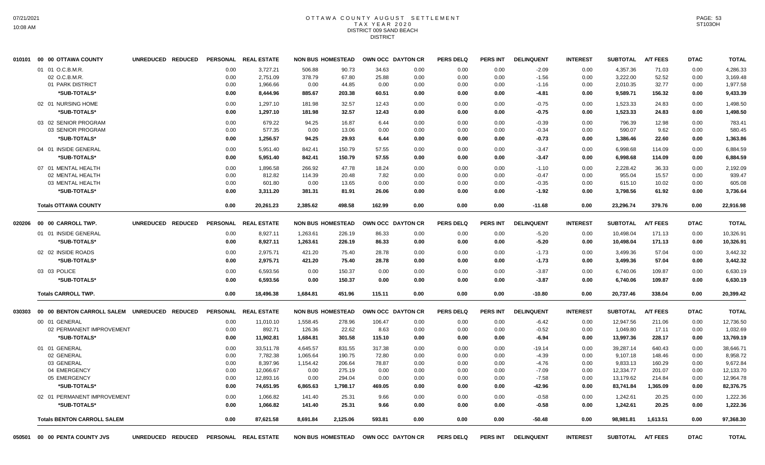#### OTTAWA COUNTY AUGUST SETTLEMENT T A X Y E A R 2 0 2 0 DISTRICT 009 SAND BEACH **DISTRICT**

|        | 010101 00 00 OTTAWA COUNTY                   | UNREDUCED REDUCED |      | PERSONAL REAL ESTATE | <b>NON BUS HOMESTEAD</b> |                          |        | OWN OCC DAYTON CR | <b>PERS DELQ</b> | <b>PERS INT</b> | <b>DELINQUENT</b> | <b>INTEREST</b> | <b>SUBTOTAL</b>   | <b>A/T FEES</b> | <b>DTAC</b> | <b>TOTAL</b> |
|--------|----------------------------------------------|-------------------|------|----------------------|--------------------------|--------------------------|--------|-------------------|------------------|-----------------|-------------------|-----------------|-------------------|-----------------|-------------|--------------|
|        | 01 01 O.C.B.M.R.                             |                   | 0.00 | 3,727.21             | 506.88                   | 90.73                    | 34.63  | 0.00              | 0.00             | 0.00            | $-2.09$           | 0.00            | 4,357.36          | 71.03           | 0.00        | 4,286.33     |
|        | 02 O.C.B.M.R.                                |                   | 0.00 | 2,751.09             | 378.79                   | 67.80                    | 25.88  | 0.00              | 0.00             | 0.00            | $-1.56$           | 0.00            | 3,222.00          | 52.52           | 0.00        | 3,169.48     |
|        | 01 PARK DISTRICT                             |                   | 0.00 | 1,966.66             | 0.00                     | 44.85                    | 0.00   | 0.00              | 0.00             | 0.00            | $-1.16$           | 0.00            | 2,010.35          | 32.77           | 0.00        | 1,977.58     |
|        | *SUB-TOTALS*                                 |                   | 0.00 | 8,444.96             | 885.67                   | 203.38                   | 60.51  | 0.00              | 0.00             | 0.00            | $-4.81$           | 0.00            | 9,589.71          | 156.32          | 0.00        | 9,433.39     |
|        | 02 01 NURSING HOME                           |                   | 0.00 | 1,297.10             | 181.98                   | 32.57                    | 12.43  | 0.00              | 0.00             | 0.00            | $-0.75$           | 0.00            | 1,523.33          | 24.83           | 0.00        | 1,498.50     |
|        | *SUB-TOTALS*                                 |                   | 0.00 | 1,297.10             | 181.98                   | 32.57                    | 12.43  | 0.00              | 0.00             | 0.00            | $-0.75$           | 0.00            | 1,523.33          | 24.83           | 0.00        | 1,498.50     |
|        | 03 02 SENIOR PROGRAM                         |                   | 0.00 | 679.22               | 94.25                    | 16.87                    | 6.44   | 0.00              | 0.00             | 0.00            | $-0.39$           | 0.00            | 796.39            | 12.98           | 0.00        | 783.41       |
|        | 03 SENIOR PROGRAM                            |                   | 0.00 | 577.35               | 0.00                     | 13.06                    | 0.00   | 0.00              | 0.00             | 0.00            | $-0.34$           | 0.00            | 590.07            | 9.62            | 0.00        | 580.45       |
|        | *SUB-TOTALS*                                 |                   | 0.00 | 1,256.57             | 94.25                    | 29.93                    | 6.44   | 0.00              | 0.00             | 0.00            | $-0.73$           | 0.00            | 1,386.46          | 22.60           | 0.00        | 1,363.86     |
|        | 04 01 INSIDE GENERAL                         |                   | 0.00 | 5,951.40             | 842.41                   | 150.79                   | 57.55  | 0.00              | 0.00             | 0.00            | $-3.47$           | 0.00            | 6,998.68          | 114.09          | 0.00        | 6,884.59     |
|        | *SUB-TOTALS*                                 |                   | 0.00 | 5,951.40             | 842.41                   | 150.79                   | 57.55  | 0.00              | 0.00             | 0.00            | $-3.47$           | 0.00            | 6,998.68          | 114.09          | 0.00        | 6,884.59     |
|        | 07 01 MENTAL HEALTH                          |                   | 0.00 | 1,896.58             | 266.92                   | 47.78                    | 18.24  | 0.00              | 0.00             | 0.00            | $-1.10$           | 0.00            | 2,228.42          | 36.33           | 0.00        | 2,192.09     |
|        | 02 MENTAL HEALTH                             |                   | 0.00 | 812.82               | 114.39                   | 20.48                    | 7.82   | 0.00              | 0.00             | 0.00            | $-0.47$           | 0.00            | 955.04            | 15.57           | 0.00        | 939.47       |
|        | 03 MENTAL HEALTH                             |                   | 0.00 | 601.80               | 0.00                     | 13.65                    | 0.00   | 0.00              | 0.00             | 0.00            | $-0.35$           | 0.00            | 615.10            | 10.02           | 0.00        | 605.08       |
|        | *SUB-TOTALS*                                 |                   | 0.00 | 3,311.20             | 381.31                   | 81.91                    | 26.06  | 0.00              | 0.00             | 0.00            | $-1.92$           | 0.00            | 3,798.56          | 61.92           | 0.00        | 3,736.64     |
|        | <b>Totals OTTAWA COUNTY</b>                  |                   | 0.00 | 20,261.23            | 2.385.62                 | 498.58                   | 162.99 | 0.00              | 0.00             | 0.00            | $-11.68$          | 0.00            | 23,296.74         | 379.76          | 0.00        | 22,916.98    |
| 020206 | 00 00 CARROLL TWP.                           | UNREDUCED REDUCED |      | PERSONAL REAL ESTATE | <b>NON BUS HOMESTEAD</b> |                          |        | OWN OCC DAYTON CR | <b>PERS DELQ</b> | PERS INT        | <b>DELINQUENT</b> | <b>INTEREST</b> | <b>SUBTOTAL</b>   | <b>A/T FEES</b> | <b>DTAC</b> | <b>TOTAL</b> |
|        | 01 01 INSIDE GENERAL                         |                   | 0.00 | 8,927.11             | 1,263.61                 | 226.19                   | 86.33  | 0.00              | 0.00             | 0.00            | $-5.20$           | 0.00            | 10,498.04         | 171.13          | 0.00        | 10,326.91    |
|        | *SUB-TOTALS*                                 |                   | 0.00 | 8,927.11             | 1,263.61                 | 226.19                   | 86.33  | 0.00              | 0.00             | 0.00            | $-5.20$           | 0.00            | 10,498.04         | 171.13          | 0.00        | 10,326.91    |
|        |                                              |                   |      |                      |                          |                          |        |                   |                  |                 |                   |                 |                   |                 |             |              |
|        | 02 02 INSIDE ROADS                           |                   | 0.00 | 2,975.71             | 421.20                   | 75.40                    | 28.78  | 0.00              | 0.00             | 0.00            | $-1.73$           | 0.00            | 3,499.36          | 57.04           | 0.00        | 3,442.32     |
|        | *SUB-TOTALS*                                 |                   | 0.00 | 2,975.71             | 421.20                   | 75.40                    | 28.78  | 0.00              | 0.00             | 0.00            | $-1.73$           | 0.00            | 3,499.36          | 57.04           | 0.00        | 3,442.32     |
|        | 03 03 POLICE                                 |                   | 0.00 | 6,593.56             | 0.00                     | 150.37                   | 0.00   | 0.00              | 0.00             | 0.00            | $-3.87$           | 0.00            | 6,740.06          | 109.87          | 0.00        | 6,630.19     |
|        | *SUB-TOTALS*                                 |                   | 0.00 | 6,593.56             | 0.00                     | 150.37                   | 0.00   | 0.00              | 0.00             | 0.00            | $-3.87$           | 0.00            | 6,740.06          | 109.87          | 0.00        | 6,630.19     |
|        | <b>Totals CARROLL TWP.</b>                   |                   | 0.00 | 18,496.38            | 1,684.81                 | 451.96                   | 115.11 | 0.00              | 0.00             | 0.00            | $-10.80$          | 0.00            | 20,737.46         | 338.04          | 0.00        | 20,399.42    |
| 030303 | 00 00 BENTON CARROLL SALEM UNREDUCED REDUCED |                   |      | PERSONAL REAL ESTATE | <b>NON BUS HOMESTEAD</b> |                          |        | OWN OCC DAYTON CR | <b>PERS DELQ</b> | PERS INT        | <b>DELINQUENT</b> | <b>INTEREST</b> | <b>SUBTOTAL</b>   | <b>A/T FEES</b> | <b>DTAC</b> | <b>TOTAL</b> |
|        | 00 01 GENERAL                                |                   | 0.00 | 11,010.10            | 1,558.45                 | 278.96                   | 106.47 | 0.00              | 0.00             | 0.00            | $-6.42$           | 0.00            | 12,947.56         | 211.06          | 0.00        | 12,736.50    |
|        | 02 PERMANENT IMPROVEMENT                     |                   | 0.00 | 892.71               | 126.36                   | 22.62                    | 8.63   | 0.00              | 0.00             | 0.00            | $-0.52$           | 0.00            | 1,049.80          | 17.11           | 0.00        | 1,032.69     |
|        | *SUB-TOTALS*                                 |                   | 0.00 | 11,902.81            | 1,684.81                 | 301.58                   | 115.10 | 0.00              | 0.00             | 0.00            | $-6.94$           | 0.00            | 13,997.36         | 228.17          | 0.00        | 13,769.19    |
|        | 01 01 GENERAL                                |                   | 0.00 | 33,511.78            | 4.645.57                 | 831.55                   | 317.38 | 0.00              | 0.00             | 0.00            | $-19.14$          | 0.00            | 39,287.14         | 640.43          | 0.00        | 38.646.71    |
|        | 02 GENERAL                                   |                   | 0.00 | 7,782.38             | 1,065.64                 | 190.75                   | 72.80  | 0.00              | 0.00             | 0.00            | $-4.39$           | 0.00            | 9,107.18          | 148.46          | 0.00        | 8,958.72     |
|        | 03 GENERAL                                   |                   | 0.00 | 8,397.96             | 1,154.42                 | 206.64                   | 78.87  | 0.00              | 0.00             | 0.00            | -4.76             | 0.00            | 9,833.13          | 160.29          | 0.00        | 9,672.84     |
|        | 04 EMERGENCY                                 |                   | 0.00 | 12,066.67            | 0.00                     | 275.19                   | 0.00   | 0.00              | 0.00             | 0.00            | $-7.09$           | 0.00            | 12,334.77         | 201.07          | 0.00        | 12,133.70    |
|        | 05 EMERGENCY                                 |                   | 0.00 | 12,893.16            | 0.00                     | 294.04                   | 0.00   | 0.00              | 0.00             | 0.00            | $-7.58$           | 0.00            | 13,179.62         | 214.84          | 0.00        | 12,964.78    |
|        | *SUB-TOTALS*                                 |                   | 0.00 | 74,651.95            | 6,865.63                 | 1,798.17                 | 469.05 | 0.00              | 0.00             | 0.00            | -42.96            | 0.00            | 83,741.84         | 1,365.09        | 0.00        | 82,376.75    |
|        | 02 01 PERMANENT IMPROVEMENT                  |                   | 0.00 | 1,066.82             | 141.40                   | 25.31                    | 9.66   | 0.00              | 0.00             | 0.00            | $-0.58$           | 0.00            | 1,242.61          | 20.25           | 0.00        | 1,222.36     |
|        | *SUB-TOTALS*                                 |                   | 0.00 | 1,066.82             | 141.40                   | 25.31                    | 9.66   | 0.00              | 0.00             | 0.00            | $-0.58$           | 0.00            | 1,242.61          | 20.25           | 0.00        | 1,222.36     |
|        | <b>Totals BENTON CARROLL SALEM</b>           |                   | 0.00 | 87,621.58            | 8,691.84                 | 2,125.06                 | 593.81 | 0.00              | 0.00             | 0.00            | $-50.48$          | 0.00            | 98,981.81         | 1,613.51        | 0.00        | 97,368.30    |
| 050501 | 00 00 PENTA COUNTY JVS                       | UNREDUCED REDUCED |      | PERSONAL REAL ESTATE |                          | <b>NON BUS HOMESTEAD</b> |        | OWN OCC DAYTON CR | <b>PERS DELQ</b> | <b>PERS INT</b> | <b>DELINQUENT</b> | <b>INTEREST</b> | SUBTOTAL A/T FEES |                 | <b>DTAC</b> | <b>TOTAL</b> |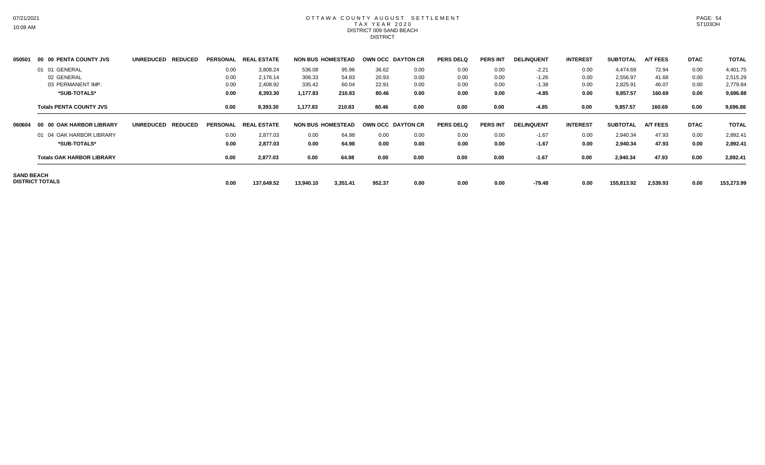#### OTTAWA COUNTY AUGUST SETTLEMENT T A X Y E A R 2 0 2 0 DISTRICT 009 SAND BEACH **DISTRICT**

| 050501            | 00 00 PENTA COUNTY JVS           | <b>UNREDUCED</b><br><b>REDUCED</b> | <b>PERSONAL</b> | <b>REA!</b><br>. ESTATE |                          | <b>NON BUS HOMESTEAD</b> | OWN OCC DAYTON CR |      | <b>PERS DELQ</b> | <b>PERS INT</b> | <b>DELINQUENT</b> | <b>INTEREST</b> | <b>SUBTOTAL</b> | <b>A/T FEES</b> | <b>DTAC</b> | <b>TOTAL</b> |
|-------------------|----------------------------------|------------------------------------|-----------------|-------------------------|--------------------------|--------------------------|-------------------|------|------------------|-----------------|-------------------|-----------------|-----------------|-----------------|-------------|--------------|
|                   | 01 01 GENERAL                    |                                    | 0.00            | 3,808.24                | 536.08                   | 95.96                    | 36.62             | 0.00 | 0.00             | 0.00            | $-2.21$           | 0.00            | 4,474.69        | 72.94           | 0.00        | 4,401.75     |
|                   | 02 GENERAL                       |                                    | 0.00            | 2,176.14                | 306.33                   | 54.83                    | 20.93             | 0.00 | 0.00             | 0.00            | $-1.26$           | 0.00            | 2,556.97        | 41.68           | 0.00        | 2,515.29     |
|                   | 03 PERMANENT IMP.                |                                    | 0.00            | 2,408.92                | 335.42                   | 60.04                    | 22.91             | 0.00 | 0.00             | 0.00            | $-1.38$           | 0.00            | 2,825.91        | 46.07           | 0.00        | 2,779.84     |
|                   | *SUB-TOTALS*                     |                                    | 0.00            | 8,393.30                | 1,177.83                 | 210.83                   | 80.46             | 0.00 | 0.00             | 0.00            | $-4.85$           | 0.00            | 9,857.57        | 160.69          | 0.00        | 9,696.88     |
|                   | <b>Totals PENTA COUNTY JVS</b>   |                                    | 0.00            | 8,393.30                | 1,177.83                 | 210.83                   | 80.46             | 0.00 | 0.00             | 0.00            | $-4.85$           | 0.00            | 9,857.57        | 160.69          | 0.00        | 9,696.88     |
| 060604            | 00 00 OAK HARBOR LIBRARY         | <b>REDUCED</b><br><b>UNREDUCED</b> |                 | PERSONAL REAL ESTATE    | <b>NON BUS HOMESTEAD</b> |                          | OWN OCC DAYTON CR |      | <b>PERS DELQ</b> | <b>PERS INT</b> | <b>DELINQUENT</b> | <b>INTEREST</b> | <b>SUBTOTAL</b> | <b>A/T FEES</b> | <b>DTAC</b> | <b>TOTAL</b> |
|                   | 01 04 OAK HARBOR LIBRARY         |                                    | 0.00            | 2,877.03                | 0.00                     | 64.98                    | 0.00              | 0.00 | 0.00             | 0.00            | $-1.67$           | 0.00            | 2,940.34        | 47.93           | 0.00        | 2,892.41     |
|                   | *SUB-TOTALS*                     |                                    | 0.00            | 2,877.03                | 0.00                     | 64.98                    | 0.00              | 0.00 | 0.00             | 0.00            | $-1.67$           | 0.00            | 2,940.34        | 47.93           | 0.00        | 2,892.41     |
|                   | <b>Totals OAK HARBOR LIBRARY</b> |                                    | 0.00            | 2,877.03                | 0.00                     | 64.98                    | 0.00              | 0.00 | 0.00             | 0.00            | $-1.67$           | 0.00            | 2,940.34        | 47.93           | 0.00        | 2,892.41     |
| <b>SAND BEACH</b> | <b>DISTRICT TOTALS</b>           |                                    | 0.00            | 137,649.52              | 13,940.10                | 3,351.41                 | 952.37            | 0.00 | 0.00             | 0.00            | $-79.48$          | 0.00            | 155,813.92      | 2,539.93        | 0.00        | 153,273.99   |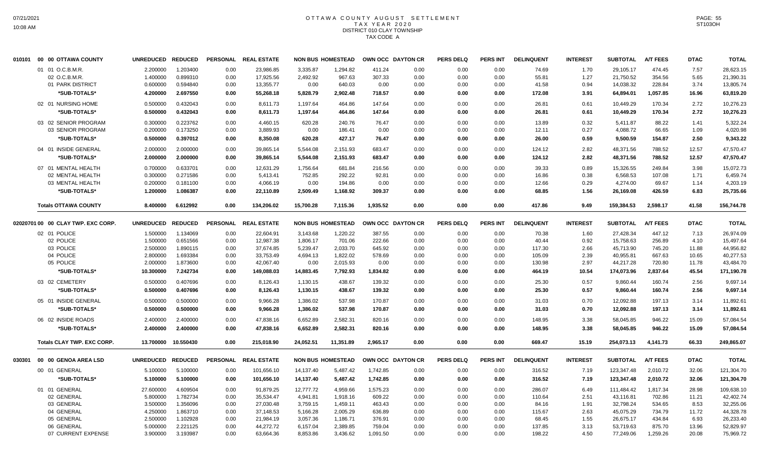# OTTAWA COUNTY AUGUST SETTLEMENT T A X Y E A R 2 0 2 0 DISTRICT 010 CLAY TOWNSHIP TAX CODE A

|        | 010101 00 00 OTTAWA COUNTY         | UNREDUCED REDUCED |           |      | PERSONAL REAL ESTATE |           | <b>NON BUS HOMESTEAD</b> | OWN OCC DAYTON CR |      | <b>PERS DELQ</b> | PERS INT        | <b>DELINQUENT</b> | <b>INTEREST</b> | <b>SUBTOTAL</b> | <b>A/T FEES</b> | <b>DTAC</b> | <b>TOTAL</b> |
|--------|------------------------------------|-------------------|-----------|------|----------------------|-----------|--------------------------|-------------------|------|------------------|-----------------|-------------------|-----------------|-----------------|-----------------|-------------|--------------|
|        | 01 01 O.C.B.M.R.                   | 2.200000          | 1.203400  | 0.00 | 23.986.85            | 3.335.87  | 1.294.82                 | 411.24            | 0.00 | 0.00             | 0.00            | 74.69             | 1.70            | 29.105.17       | 474.45          | 7.57        | 28.623.15    |
|        | 02 O.C.B.M.R.                      | 1.400000          | 0.899310  | 0.00 | 17,925.56            | 2,492.92  | 967.63                   | 307.33            | 0.00 | 0.00             | 0.00            | 55.81             | 1.27            | 21,750.52       | 354.56          | 5.65        | 21,390.31    |
|        | 01 PARK DISTRICT                   | 0.600000          | 0.594840  | 0.00 | 13,355.77            | 0.00      | 640.03                   | 0.00              | 0.00 | 0.00             | 0.00            | 41.58             | 0.94            | 14,038.32       | 228.84          | 3.74        | 13,805.74    |
|        | *SUB-TOTALS*                       | 4.200000          | 2.697550  | 0.00 | 55,268.18            | 5,828.79  | 2,902.48                 | 718.57            | 0.00 | 0.00             | 0.00            | 172.08            | 3.91            | 64,894.01       | 1,057.85        | 16.96       | 63,819.20    |
|        | 02 01 NURSING HOME                 | 0.500000          | 0.432043  | 0.00 | 8,611.73             | 1,197.64  | 464.86                   | 147.64            | 0.00 | 0.00             | 0.00            | 26.81             | 0.61            | 10,449.29       | 170.34          | 2.72        | 10,276.23    |
|        | *SUB-TOTALS*                       | 0.500000          | 0.432043  | 0.00 | 8,611.73             | 1,197.64  | 464.86                   | 147.64            | 0.00 | 0.00             | 0.00            | 26.81             | 0.61            | 10,449.29       | 170.34          | 2.72        | 10,276.23    |
|        |                                    |                   |           |      |                      |           |                          |                   |      |                  |                 |                   |                 |                 |                 |             |              |
|        | 03 02 SENIOR PROGRAM               | 0.300000          | 0.223762  | 0.00 | 4,460.15             | 620.28    | 240.76                   | 76.47             | 0.00 | 0.00             | 0.00            | 13.89             | 0.32            | 5,411.87        | 88.22           | 1.41        | 5,322.24     |
|        | 03 SENIOR PROGRAM                  | 0.200000          | 0.173250  | 0.00 | 3,889.93             | 0.00      | 186.41                   | 0.00              | 0.00 | 0.00             | 0.00            | 12.11             | 0.27            | 4,088.72        | 66.65           | 1.09        | 4,020.98     |
|        | *SUB-TOTALS*                       | 0.500000          | 0.397012  | 0.00 | 8,350.08             | 620.28    | 427.17                   | 76.47             | 0.00 | 0.00             | 0.00            | 26.00             | 0.59            | 9,500.59        | 154.87          | 2.50        | 9,343.22     |
|        | 04 01 INSIDE GENERAL               | 2.000000          | 2.000000  | 0.00 | 39,865.14            | 5,544.08  | 2,151.93                 | 683.47            | 0.00 | 0.00             | 0.00            | 124.12            | 2.82            | 48,371.56       | 788.52          | 12.57       | 47,570.47    |
|        | *SUB-TOTALS*                       | 2.000000          | 2.000000  | 0.00 | 39,865.14            | 5,544.08  | 2,151.93                 | 683.47            | 0.00 | 0.00             | 0.00            | 124.12            | 2.82            | 48,371.56       | 788.52          | 12.57       | 47,570.47    |
|        | 07 01 MENTAL HEALTH                | 0.700000          | 0.633701  | 0.00 | 12,631.29            | 1,756.64  | 681.84                   | 216.56            | 0.00 | 0.00             | 0.00            | 39.33             | 0.89            | 15,326.55       | 249.84          | 3.98        | 15,072.73    |
|        | 02 MENTAL HEALTH                   | 0.300000          | 0.271586  | 0.00 | 5,413.41             | 752.85    | 292.22                   | 92.81             | 0.00 | 0.00             | 0.00            | 16.86             | 0.38            | 6,568.53        | 107.08          | 1.71        | 6,459.74     |
|        | 03 MENTAL HEALTH                   | 0.200000          | 0.181100  | 0.00 | 4,066.19             | 0.00      | 194.86                   | 0.00              | 0.00 | 0.00             | 0.00            | 12.66             | 0.29            | 4,274.00        | 69.67           | 1.14        | 4,203.19     |
|        | *SUB-TOTALS*                       | 1.200000          | 1.086387  | 0.00 | 22,110.89            | 2,509.49  | 1,168.92                 | 309.37            | 0.00 | 0.00             | 0.00            | 68.85             | 1.56            | 26,169.08       | 426.59          | 6.83        | 25,735.66    |
|        | <b>Totals OTTAWA COUNTY</b>        | 8.400000          | 6.612992  | 0.00 | 134,206.02           | 15,700.28 | 7,115.36                 | 1,935.52          | 0.00 | 0.00             | 0.00            | 417.86            | 9.49            | 159,384.53      | 2,598.17        | 41.58       | 156,744.78   |
|        | 02020701 00 00 CLAY TWP. EXC CORP. | UNREDUCED REDUCED |           |      | PERSONAL REAL ESTATE |           | <b>NON BUS HOMESTEAD</b> | OWN OCC DAYTON CR |      | <b>PERS DELQ</b> | PERS INT        | <b>DELINQUENT</b> | <b>INTEREST</b> | <b>SUBTOTAL</b> | <b>A/T FEES</b> | <b>DTAC</b> | <b>TOTAL</b> |
|        | 02 01 POLICE                       | 1.500000          | 1.134069  | 0.00 | 22,604.91            | 3,143.68  | 1,220.22                 | 387.55            | 0.00 | 0.00             | 0.00            | 70.38             | 1.60            | 27,428.34       | 447.12          | 7.13        | 26,974.09    |
|        | 02 POLICE                          | 1.500000          | 0.651566  | 0.00 | 12,987.38            | 1,806.17  | 701.06                   | 222.66            | 0.00 | 0.00             | 0.00            | 40.44             | 0.92            | 15,758.63       | 256.89          | 4.10        | 15,497.64    |
|        | 03 POLICE                          | 2.500000          | 1.890115  | 0.00 | 37,674.85            | 5,239.47  | 2,033.70                 | 645.92            | 0.00 | 0.00             | 0.00            | 117.30            | 2.66            | 45,713.90       | 745.20          | 11.88       | 44,956.82    |
|        | 04 POLICE                          | 2.800000          | 1.693384  | 0.00 | 33,753.49            | 4,694.13  | 1,822.02                 | 578.69            | 0.00 | 0.00             | 0.00            | 105.09            | 2.39            | 40,955.81       | 667.63          | 10.65       | 40,277.53    |
|        | 05 POLICE                          | 2.000000          | 1.873600  | 0.00 | 42,067.40            | 0.00      | 2,015.93                 | 0.00              | 0.00 | 0.00             | 0.00            | 130.98            | 2.97            | 44,217.28       | 720.80          | 11.78       | 43,484.70    |
|        | *SUB-TOTALS*                       | 10.300000         | 7.242734  | 0.00 | 149,088.03           | 14,883.45 | 7,792.93                 | 1,834.82          | 0.00 | 0.00             | 0.00            | 464.19            | 10.54           | 174,073.96      | 2,837.64        | 45.54       | 171,190.78   |
|        | 03 02 CEMETERY                     | 0.500000          | 0.407696  | 0.00 | 8,126.43             | 1,130.15  | 438.67                   | 139.32            | 0.00 | 0.00             | 0.00            | 25.30             | 0.57            | 9,860.44        | 160.74          | 2.56        | 9,697.14     |
|        | *SUB-TOTALS*                       | 0.500000          | 0.407696  | 0.00 | 8,126.43             | 1,130.15  | 438.67                   | 139.32            | 0.00 | 0.00             | 0.00            | 25.30             | 0.57            | 9,860.44        | 160.74          | 2.56        | 9,697.14     |
|        | 05 01 INSIDE GENERAL               | 0.500000          | 0.500000  | 0.00 | 9,966.28             | 1,386.02  | 537.98                   | 170.87            | 0.00 | 0.00             | 0.00            | 31.03             | 0.70            | 12,092.88       | 197.13          | 3.14        | 11,892.61    |
|        | *SUB-TOTALS*                       | 0.500000          | 0.500000  | 0.00 |                      |           | 537.98                   | 170.87            | 0.00 | 0.00             | 0.00            |                   | 0.70            |                 | 197.13          |             |              |
|        |                                    |                   |           |      | 9,966.28             | 1,386.02  |                          |                   |      |                  |                 | 31.03             |                 | 12,092.88       |                 | 3.14        | 11,892.61    |
|        | 06 02 INSIDE ROADS                 | 2.400000          | 2.400000  | 0.00 | 47,838.16            | 6,652.89  | 2,582.31                 | 820.16            | 0.00 | 0.00             | 0.00            | 148.95            | 3.38            | 58,045.85       | 946.22          | 15.09       | 57,084.54    |
|        | *SUB-TOTALS*                       | 2.400000          | 2.400000  | 0.00 | 47,838.16            | 6,652.89  | 2,582.31                 | 820.16            | 0.00 | 0.00             | 0.00            | 148.95            | 3.38            | 58,045.85       | 946.22          | 15.09       | 57,084.54    |
|        | Totals CLAY TWP. EXC CORP.         | 13.700000         | 10.550430 | 0.00 | 215,018.90           | 24,052.51 | 11,351.89                | 2,965.17          | 0.00 | 0.00             | 0.00            | 669.47            | 15.19           | 254,073.13      | 4,141.73        | 66.33       | 249,865.07   |
| 030301 | 00 00 GENOA AREA LSD               | UNREDUCED REDUCED |           |      | PERSONAL REAL ESTATE |           | <b>NON BUS HOMESTEAD</b> | OWN OCC DAYTON CR |      | <b>PERS DELQ</b> | <b>PERS INT</b> | <b>DELINQUENT</b> | <b>INTEREST</b> | <b>SUBTOTAL</b> | <b>A/T FEES</b> | <b>DTAC</b> | <b>TOTAL</b> |
|        | 00 01 GENERAL                      | 5.100000          | 5.100000  | 0.00 | 101,656.10           | 14,137.40 | 5,487.42                 | 1,742.85          | 0.00 | 0.00             | 0.00            | 316.52            | 7.19            | 123,347.48      | 2,010.72        | 32.06       | 121,304.70   |
|        | *SUB-TOTALS*                       | 5.100000          | 5.100000  | 0.00 | 101,656.10           | 14,137.40 | 5,487.42                 | 1,742.85          | 0.00 | 0.00             | 0.00            | 316.52            | 7.19            | 123,347.48      | 2,010.72        | 32.06       | 121,304.70   |
|        | 01 01 GENERAL                      | 27.600000         | 4.609504  | 0.00 | 91,879.25            | 12,777.72 | 4,959.66                 | 1,575.23          | 0.00 | 0.00             | 0.00            | 286.07            | 6.49            | 111,484.42      | 1,817.34        | 28.98       | 109,638.10   |
|        | 02 GENERAL                         | 5.800000          | 1.782734  | 0.00 | 35,534.47            | 4,941.81  | 1,918.16                 | 609.22            | 0.00 | 0.00             | 0.00            | 110.64            | 2.51            | 43,116.81       | 702.86          | 11.21       | 42,402.74    |
|        | 03 GENERAL                         | 3.500000          | 1.356096  | 0.00 | 27,030.48            | 3,759.15  | 1,459.11                 | 463.43            | 0.00 | 0.00             | 0.00            | 84.16             | 1.91            | 32,798.24       | 534.65          | 8.53        | 32,255.06    |
|        | 04 GENERAL                         | 4.250000          | 1.863710  | 0.00 | 37,148.53            | 5,166.28  | 2,005.29                 | 636.89            | 0.00 | 0.00             | 0.00            | 115.67            | 2.63            | 45,075.29       | 734.79          | 11.72       | 44,328.78    |
|        | 05 GENERAL                         | 2.500000          | 1.102928  | 0.00 | 21,984.19            | 3,057.36  | 1,186.71                 | 376.91            | 0.00 | 0.00             | 0.00            | 68.45             | 1.55            | 26,675.17       | 434.84          | 6.93        | 26,233.40    |
|        | 06 GENERAL                         | 5.000000          | 2.221125  | 0.00 | 44,272.72            | 6,157.04  | 2,389.85                 | 759.04            | 0.00 | 0.00             | 0.00            | 137.85            | 3.13            | 53,719.63       | 875.70          | 13.96       | 52,829.97    |
|        | 07 CURRENT EXPENSE                 | 3.900000          | 3.193987  | 0.00 | 63,664.36            | 8,853.86  | 3,436.62                 | 1,091.50          | 0.00 | 0.00             | 0.00            | 198.22            | 4.50            | 77,249.06       | 1,259.26        | 20.08       | 75,969.72    |
|        |                                    |                   |           |      |                      |           |                          |                   |      |                  |                 |                   |                 |                 |                 |             |              |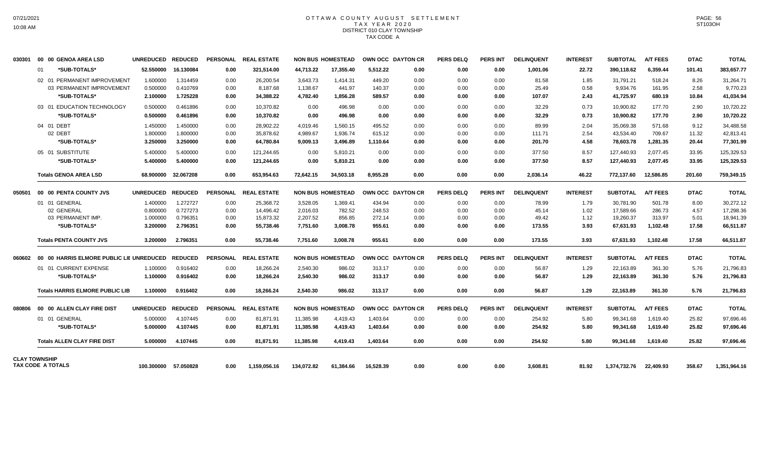## OTTAWA COUNTY AUGUST SETTLEMENT T A X Y E A R 2 0 2 0 DISTRICT 010 CLAY TOWNSHIP TAX CODE A

| 030301               |    | 00 00 GENOA AREA LSD                   | UNREDUCED REDUCED |                      |                 | PERSONAL REAL ESTATE |            | <b>NON BUS HOMESTEAD</b> |           | OWN OCC DAYTON CR        | <b>PERS DELQ</b> | <b>PERS INT</b> | <b>DELINQUENT</b> | <b>INTEREST</b> | <b>SUBTOTAL</b> | <b>A/T FEES</b> | <b>DTAC</b> | <b>TOTAL</b> |
|----------------------|----|----------------------------------------|-------------------|----------------------|-----------------|----------------------|------------|--------------------------|-----------|--------------------------|------------------|-----------------|-------------------|-----------------|-----------------|-----------------|-------------|--------------|
|                      | 01 | *SUB-TOTALS*                           | 52.550000         | 16.130084            | 0.00            | 321,514.00           | 44.713.22  | 17.355.40                | 5.512.22  | 0.00                     | 0.00             | 0.00            | 1.001.06          | 22.72           | 390.118.62      | 6.359.44        | 101.41      | 383,657.77   |
|                      |    | 02 01 PERMANENT IMPROVEMENT            | 1.600000          | 1.314459             | 0.00            | 26,200.54            | 3,643.73   | 1,414.31                 | 449.20    | 0.00                     | 0.00             | 0.00            | 81.58             | 1.85            | 31,791.21       | 518.24          | 8.26        | 31,264.71    |
|                      |    | 03 PERMANENT IMPROVEMENT               | 0.500000          | 0.410769             | 0.00            | 8,187.68             | 1,138.67   | 441.97                   | 140.37    | 0.00                     | 0.00             | 0.00            | 25.49             | 0.58            | 9,934.76        | 161.95          | 2.58        | 9,770.23     |
|                      |    | *SUB-TOTALS*                           | 2.100000          | 1.725228             | 0.00            | 34,388.22            | 4,782.40   | 1,856.28                 | 589.57    | 0.00                     | 0.00             | 0.00            | 107.07            | 2.43            | 41,725.97       | 680.19          | 10.84       | 41,034.94    |
|                      |    | 03 01 EDUCATION TECHNOLOGY             | 0.500000          | 0.461896             | 0.00            | 10.370.82            | 0.00       | 496.98                   | 0.00      | 0.00                     | 0.00             | 0.00            | 32.29             | 0.73            | 10.900.82       | 177.70          | 2.90        | 10,720.22    |
|                      |    | *SUB-TOTALS*                           | 0.500000          | 0.461896             | 0.00            | 10.370.82            | 0.00       | 496.98                   | 0.00      | 0.00                     | 0.00             | 0.00            | 32.29             | 0.73            | 10.900.82       | 177.70          | 2.90        | 10,720.22    |
|                      |    | 04 01 DEBT                             | 1.450000          | 1.450000             | 0.00            | 28,902.22            | 4,019.46   | 1,560.15                 | 495.52    | 0.00                     | 0.00             | 0.00            | 89.99             | 2.04            | 35,069.38       | 571.68          | 9.12        | 34,488.58    |
|                      |    | 02 DEBT                                | 1.800000          | 1.800000             | 0.00            | 35.878.62            | 4,989.67   | 1,936.74                 | 615.12    | 0.00                     | 0.00             | 0.00            | 111.71            | 2.54            | 43,534.40       | 709.67          | 11.32       | 42,813.41    |
|                      |    | *SUB-TOTALS*                           | 3.250000          | 3.250000             | 0.00            | 64,780.84            | 9,009.13   | 3,496.89                 | 1,110.64  | 0.00                     | 0.00             | 0.00            | 201.70            | 4.58            | 78,603.78       | 1,281.35        | 20.44       | 77,301.99    |
|                      |    | 05 01 SUBSTITUTE                       | 5.400000          | 5.400000             | 0.00            | 121,244.65           | 0.00       | 5,810.21                 | 0.00      | 0.00                     | 0.00             | 0.00            | 377.50            | 8.57            | 127,440.93      | 2,077.45        | 33.95       | 125,329.53   |
|                      |    | *SUB-TOTALS*                           | 5.400000          | 5.400000             | 0.00            | 121,244.65           | 0.00       | 5,810.21                 | 0.00      | 0.00                     | 0.00             | 0.00            | 377.50            | 8.57            | 127,440.93      | 2.077.45        | 33.95       | 125,329.53   |
|                      |    | <b>Totals GENOA AREA LSD</b>           | 68.900000         | 32.067208            | 0.00            | 653,954.63           | 72,642.15  | 34,503.18                | 8.955.28  | 0.00                     | 0.00             | 0.00            | 2,036.14          | 46.22           | 772.137.60      | 12,586.85       | 201.60      | 759,349.15   |
| 050501               |    | 00 00 PENTA COUNTY JVS                 | UNREDUCED REDUCED |                      | <b>PERSONAL</b> | <b>REAL ESTATE</b>   |            | <b>NON BUS HOMESTEAD</b> |           | OWN OCC DAYTON CR        | <b>PERS DELQ</b> | <b>PERS INT</b> | <b>DELINQUENT</b> | <b>INTEREST</b> | <b>SUBTOTAL</b> | <b>A/T FEES</b> | <b>DTAC</b> | <b>TOTAL</b> |
|                      |    | 01 01 GENERAL                          | 1.400000          | 1.272727             | 0.00            | 25,368.72            | 3,528.05   | 1,369.41                 | 434.94    | 0.00                     | 0.00             | 0.00            | 78.99             | 1.79            | 30,781.90       | 501.78          | 8.00        | 30,272.12    |
|                      |    | 02 GENERAL                             | 0.800000          | 0.727273             | 0.00            | 14,496.42            | 2,016.03   | 782.52                   | 248.53    | 0.00                     | 0.00             | 0.00            | 45.14             | 1.02            | 17,589.66       | 286.73          | 4.57        | 17,298.36    |
|                      |    | 03 PERMANENT IMP.                      | 1.000000          | 0.796351             | 0.00            | 15,873.32            | 2,207.52   | 856.85                   | 272.14    | 0.00                     | 0.00             | 0.00            | 49.42             | 1.12            | 19,260.37       | 313.97          | 5.01        | 18,941.39    |
|                      |    | *SUB-TOTALS*                           | 3.200000          | 2.796351             | 0.00            | 55.738.46            | 7.751.60   | 3.008.78                 | 955.61    | 0.00                     | 0.00             | 0.00            | 173.55            | 3.93            | 67.631.93       | 1.102.48        | 17.58       | 66,511.87    |
|                      |    | <b>Totals PENTA COUNTY JVS</b>         | 3.200000          | 2.796351             | 0.00            | 55.738.46            | 7.751.60   | 3.008.78                 | 955.61    | 0.00                     | 0.00             | 0.00            | 173.55            | 3.93            | 67.631.93       | 1.102.48        | 17.58       | 66,511.87    |
|                      |    |                                        |                   |                      |                 | PERSONAL REAL ESTATE |            | <b>NON BUS HOMESTEAD</b> |           | <b>OWN OCC DAYTON CR</b> | <b>PERS DELQ</b> | <b>PERS INT</b> | <b>DELINQUENT</b> | <b>INTEREST</b> | SUBTOTAL        | <b>A/T FEES</b> | <b>DTAC</b> | <b>TOTAL</b> |
|                      |    | 01 01 CURRENT EXPENSE                  | 1.100000          | 0.916402             | 0.00            | 18,266.24            | 2,540.30   | 986.02                   | 313.17    | 0.00                     | 0.00             | 0.00            | 56.87             | 1.29            | 22,163.89       | 361.30          | 5.76        | 21,796.83    |
|                      |    | *SUB-TOTALS*                           | 1.100000          | 0.916402             | 0.00            | 18.266.24            | 2,540.30   | 986.02                   | 313.17    | 0.00                     | 0.00             | 0.00            | 56.87             | 1.29            | 22,163.89       | 361.30          | 5.76        | 21,796.83    |
|                      |    | <b>Totals HARRIS ELMORE PUBLIC LIB</b> | 1.100000          | 0.916402             | 0.00            | 18,266.24            | 2,540.30   | 986.02                   | 313.17    | 0.00                     | 0.00             | 0.00            | 56.87             | 1.29            | 22,163.89       | 361.30          | 5.76        | 21,796.83    |
| 080806               |    | 00 00 ALLEN CLAY FIRE DIST             | UNREDUCED REDUCED |                      |                 | PERSONAL REAL ESTATE |            | <b>NON BUS HOMESTEAD</b> |           | OWN OCC DAYTON CR        | <b>PERS DELQ</b> | <b>PERS INT</b> | <b>DELINQUENT</b> | <b>INTEREST</b> | <b>SUBTOTAL</b> | <b>A/T FEES</b> | <b>DTAC</b> | <b>TOTAL</b> |
|                      |    | 01 01 GENERAL                          | 5.000000          | 4.107445             | 0.00            | 81,871.91            | 11,385.98  | 4,419.43                 | 1,403.64  | 0.00                     | 0.00             | 0.00            | 254.92            | 5.80            | 99,341.68       | 1,619.40        | 25.82       | 97,696.46    |
|                      |    | *SUB-TOTALS*                           | 5.000000          | 4.107445             | 0.00            | 81,871.91            | 11,385.98  | 4,419.43                 | 1,403.64  | 0.00                     | 0.00             | 0.00            | 254.92            | 5.80            | 99,341.68       | 1,619.40        | 25.82       | 97,696.46    |
|                      |    | <b>Totals ALLEN CLAY FIRE DIST</b>     | 5.000000          | 4.107445             | 0.00            | 81,871.91            | 11,385.98  | 4,419.43                 | 1,403.64  | 0.00                     | 0.00             | 0.00            | 254.92            | 5.80            | 99,341.68       | 1,619.40        | 25.82       | 97,696.46    |
| <b>CLAY TOWNSHIP</b> |    | TAX CODE A TOTALS                      |                   | 100.300000 57.050828 | 0.00            | 1.159.056.16         | 134.072.82 | 61.384.66                | 16.528.39 | 0.00                     | 0.00             | 0.00            | 3.608.81          | 81.92           | 1,374,732.76    | 22.409.93       | 358.67      | 1,351,964.16 |
|                      |    |                                        |                   |                      |                 |                      |            |                          |           |                          |                  |                 |                   |                 |                 |                 |             |              |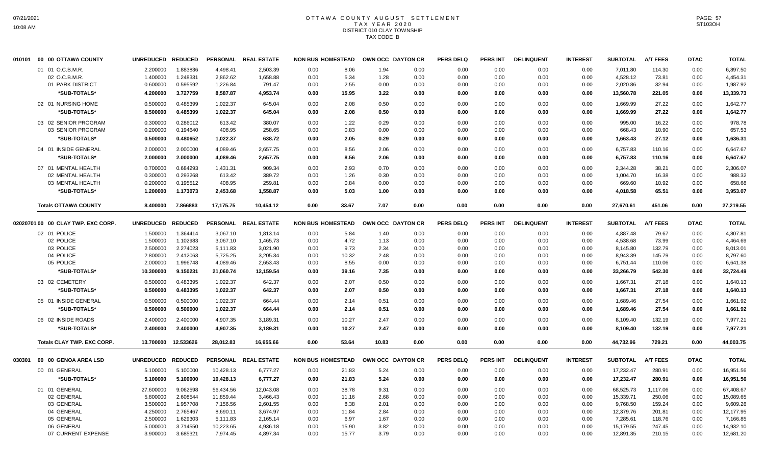# OTTAWA COUNTY AUGUST SETTLEMENT T A X Y E A R 2 0 2 0 DISTRICT 010 CLAY TOWNSHIP TAX CODE B

|        | 010101 00 00 OTTAWA COUNTY         | UNREDUCED REDUCED |                |           | PERSONAL REAL ESTATE | <b>NON BUS HOMESTEAD</b> |       | OWN OCC DAYTON CR |      | <b>PERS DELQ</b> | <b>PERS INT</b> | <b>DELINQUENT</b> | <b>INTEREST</b> | <b>SUBTOTAL</b> | <b>A/T FEES</b> | <b>DTAC</b> | <b>TOTAL</b> |
|--------|------------------------------------|-------------------|----------------|-----------|----------------------|--------------------------|-------|-------------------|------|------------------|-----------------|-------------------|-----------------|-----------------|-----------------|-------------|--------------|
|        | 01 01 O.C.B.M.R.                   | 2.200000          | 1.883836       | 4,498.41  | 2,503.39             | 0.00                     | 8.06  | 1.94              | 0.00 | 0.00             | 0.00            | 0.00              | 0.00            | 7,011.80        | 114.30          | 0.00        | 6,897.50     |
|        | 02 O.C.B.M.R.                      | 1.400000          | 1.248331       | 2,862.62  | 1,658.88             | 0.00                     | 5.34  | 1.28              | 0.00 | 0.00             | 0.00            | 0.00              | 0.00            | 4,528.12        | 73.81           | 0.00        | 4,454.31     |
|        | 01 PARK DISTRICT                   | 0.600000          | 0.595592       | 1,226.84  | 791.47               | 0.00                     | 2.55  | 0.00              | 0.00 | 0.00             | 0.00            | 0.00              | 0.00            | 2,020.86        | 32.94           | 0.00        | 1,987.92     |
|        | *SUB-TOTALS*                       | 4.200000          | 3.727759       | 8,587.87  | 4,953.74             | 0.00                     | 15.95 | 3.22              | 0.00 | 0.00             | 0.00            | 0.00              | 0.00            | 13,560.78       | 221.05          | 0.00        | 13,339.73    |
|        | 02 01 NURSING HOME                 | 0.500000          | 0.485399       | 1,022.37  | 645.04               | 0.00                     | 2.08  | 0.50              | 0.00 | 0.00             | 0.00            | 0.00              | 0.00            | 1,669.99        | 27.22           | 0.00        | 1.642.77     |
|        | *SUB-TOTALS*                       | 0.500000          | 0.485399       | 1,022.37  | 645.04               | 0.00                     | 2.08  | 0.50              | 0.00 | 0.00             | 0.00            | 0.00              | 0.00            | 1,669.99        | 27.22           | 0.00        | 1,642.77     |
|        |                                    |                   |                |           |                      |                          |       |                   |      |                  |                 |                   |                 |                 |                 |             |              |
|        | 03 02 SENIOR PROGRAM               | 0.300000          | 0.286012       | 613.42    | 380.07               | 0.00                     | 1.22  | 0.29              | 0.00 | 0.00             | 0.00            | 0.00              | 0.00            | 995.00          | 16.22           | 0.00        | 978.78       |
|        | 03 SENIOR PROGRAM                  | 0.200000          | 0.194640       | 408.95    | 258.65               | 0.00                     | 0.83  | 0.00              | 0.00 | 0.00             | 0.00            | 0.00              | 0.00            | 668.43          | 10.90           | 0.00        | 657.53       |
|        | *SUB-TOTALS*                       | 0.500000          | 0.480652       | 1,022.37  | 638.72               | 0.00                     | 2.05  | 0.29              | 0.00 | 0.00             | 0.00            | 0.00              | 0.00            | 1,663.43        | 27.12           | 0.00        | 1,636.31     |
|        | 04 01 INSIDE GENERAL               | 2.000000          | 2.000000       | 4,089.46  | 2,657.75             | 0.00                     | 8.56  | 2.06              | 0.00 | 0.00             | 0.00            | 0.00              | 0.00            | 6,757.83        | 110.16          | 0.00        | 6,647.67     |
|        | *SUB-TOTALS*                       | 2.000000          | 2.000000       | 4,089.46  | 2,657.75             | 0.00                     | 8.56  | 2.06              | 0.00 | 0.00             | 0.00            | 0.00              | 0.00            | 6,757.83        | 110.16          | 0.00        | 6,647.67     |
|        | 07 01 MENTAL HEALTH                | 0.700000          | 0.684293       | 1,431.31  | 909.34               | 0.00                     | 2.93  | 0.70              | 0.00 | 0.00             | 0.00            | 0.00              | 0.00            | 2,344.28        | 38.21           | 0.00        | 2,306.07     |
|        | 02 MENTAL HEALTH                   | 0.300000          | 0.293268       | 613.42    | 389.72               | 0.00                     | 1.26  | 0.30              | 0.00 | 0.00             | 0.00            | 0.00              | 0.00            | 1,004.70        | 16.38           | 0.00        | 988.32       |
|        | 03 MENTAL HEALTH                   | 0.200000          | 0.195512       | 408.95    | 259.81               | 0.00                     | 0.84  | 0.00              | 0.00 | 0.00             | 0.00            | 0.00              | 0.00            | 669.60          | 10.92           | 0.00        | 658.68       |
|        | *SUB-TOTALS*                       | 1.200000          | 1.173073       | 2,453.68  | 1,558.87             | 0.00                     | 5.03  | 1.00              | 0.00 | 0.00             | 0.00            | 0.00              | 0.00            | 4,018.58        | 65.51           | 0.00        | 3,953.07     |
|        | <b>Totals OTTAWA COUNTY</b>        | 8.400000          | 7.866883       | 17,175.75 | 10,454.12            | 0.00                     | 33.67 | 7.07              | 0.00 | 0.00             | 0.00            | 0.00              | 0.00            | 27,670.61       | 451.06          | 0.00        | 27,219.55    |
|        | 02020701 00 00 CLAY TWP. EXC CORP. | <b>UNREDUCED</b>  | <b>REDUCED</b> |           | PERSONAL REAL ESTATE | <b>NON BUS HOMESTEAD</b> |       | OWN OCC DAYTON CR |      | <b>PERS DELQ</b> | <b>PERS INT</b> | <b>DELINQUENT</b> | <b>INTEREST</b> | <b>SUBTOTAL</b> | <b>A/T FEES</b> | <b>DTAC</b> | <b>TOTAL</b> |
|        |                                    |                   |                |           |                      |                          |       |                   |      |                  |                 |                   |                 |                 |                 |             |              |
|        | 02 01 POLICE                       | 1.500000          | 1.364414       | 3,067.10  | 1,813.14             | 0.00                     | 5.84  | 1.40              | 0.00 | 0.00             | 0.00            | 0.00              | 0.00            | 4,887.48        | 79.67           | 0.00        | 4,807.81     |
|        | 02 POLICE                          | 1.500000          | 1.102983       | 3,067.10  | 1,465.73             | 0.00                     | 4.72  | 1.13              | 0.00 | 0.00             | 0.00            | 0.00              | 0.00            | 4,538.68        | 73.99           | 0.00        | 4,464.69     |
|        | 03 POLICE                          | 2.500000          | 2.274023       | 5,111.83  | 3,021.90             | 0.00                     | 9.73  | 2.34              | 0.00 | 0.00             | 0.00            | 0.00              | 0.00            | 8,145.80        | 132.79          | 0.00        | 8,013.01     |
|        | 04 POLICE                          | 2.800000          | 2.412063       | 5,725.25  | 3,205.34             | 0.00                     | 10.32 | 2.48              | 0.00 | 0.00             | 0.00            | 0.00              | 0.00            | 8,943.39        | 145.79          | 0.00        | 8,797.60     |
|        | 05 POLICE                          | 2.000000          | 1.996748       | 4,089.46  | 2,653.43             | 0.00                     | 8.55  | 0.00              | 0.00 | 0.00             | 0.00            | 0.00              | 0.00            | 6,751.44        | 110.06          | 0.00        | 6,641.38     |
|        | *SUB-TOTALS*                       | 10.300000         | 9.150231       | 21,060.74 | 12,159.54            | 0.00                     | 39.16 | 7.35              | 0.00 | 0.00             | 0.00            | 0.00              | 0.00            | 33,266.79       | 542.30          | 0.00        | 32,724.49    |
|        | 03 02 CEMETERY                     | 0.500000          | 0.483395       | 1,022.37  | 642.37               | 0.00                     | 2.07  | 0.50              | 0.00 | 0.00             | 0.00            | 0.00              | 0.00            | 1.667.31        | 27.18           | 0.00        | 1.640.13     |
|        | *SUB-TOTALS*                       | 0.500000          | 0.483395       | 1,022.37  | 642.37               | 0.00                     | 2.07  | 0.50              | 0.00 | 0.00             | 0.00            | 0.00              | 0.00            | 1,667.31        | 27.18           | 0.00        | 1,640.13     |
|        | 05 01 INSIDE GENERAL               | 0.500000          | 0.500000       | 1,022.37  | 664.44               | 0.00                     | 2.14  | 0.51              | 0.00 | 0.00             | 0.00            | 0.00              | 0.00            | 1,689.46        | 27.54           | 0.00        | 1,661.92     |
|        | *SUB-TOTALS*                       | 0.500000          | 0.500000       | 1,022.37  | 664.44               | 0.00                     | 2.14  | 0.51              | 0.00 | 0.00             | 0.00            | 0.00              | 0.00            | 1,689.46        | 27.54           | 0.00        | 1,661.92     |
|        | 06 02 INSIDE ROADS                 | 2.400000          | 2.400000       | 4,907.35  | 3,189.31             | 0.00                     | 10.27 | 2.47              | 0.00 | 0.00             | 0.00            | 0.00              | 0.00            | 8,109.40        | 132.19          | 0.00        | 7,977.21     |
|        | *SUB-TOTALS*                       | 2.400000          | 2.400000       | 4,907.35  | 3,189.31             | 0.00                     | 10.27 | 2.47              | 0.00 | 0.00             | 0.00            | 0.00              | 0.00            | 8,109.40        | 132.19          | 0.00        | 7,977.21     |
|        | Totals CLAY TWP. EXC CORP.         | 13.700000         | 12.533626      | 28,012.83 | 16,655.66            | 0.00                     | 53.64 | 10.83             | 0.00 | 0.00             | 0.00            | 0.00              | 0.00            | 44,732.96       | 729.21          | 0.00        | 44,003.75    |
| 030301 | 00 00 GENOA AREA LSD               | UNREDUCED REDUCED |                |           | PERSONAL REAL ESTATE | <b>NON BUS HOMESTEAD</b> |       | OWN OCC DAYTON CR |      | <b>PERS DELQ</b> | PERS INT        | <b>DELINQUENT</b> | <b>INTEREST</b> | <b>SUBTOTAL</b> | <b>A/T FEES</b> | <b>DTAC</b> | <b>TOTAL</b> |
|        | 00 01 GENERAL                      | 5.100000          | 5.100000       | 10,428.13 | 6,777.27             | 0.00                     | 21.83 | 5.24              | 0.00 | 0.00             | 0.00            | 0.00              | 0.00            | 17,232.47       | 280.91          | 0.00        | 16,951.56    |
|        |                                    |                   |                |           |                      |                          |       |                   |      |                  |                 |                   |                 |                 |                 |             |              |
|        | *SUB-TOTALS*                       | 5.100000          | 5.100000       | 10,428.13 | 6,777.27             | 0.00                     | 21.83 | 5.24              | 0.00 | 0.00             | 0.00            | 0.00              | 0.00            | 17,232.47       | 280.91          | 0.00        | 16,951.56    |
|        | 01 01 GENERAL                      | 27.600000         | 9.062598       | 56,434.56 | 12,043.08            | 0.00                     | 38.78 | 9.31              | 0.00 | 0.00             | 0.00            | 0.00              | 0.00            | 68,525.73       | 1,117.06        | 0.00        | 67,408.67    |
|        | 02 GENERAL                         | 5.800000          | 2.608544       | 11,859.44 | 3,466.43             | 0.00                     | 11.16 | 2.68              | 0.00 | 0.00             | 0.00            | 0.00              | 0.00            | 15,339.71       | 250.06          | 0.00        | 15,089.65    |
|        | 03 GENERAL                         | 3.500000          | 1.957708       | 7,156.56  | 2,601.55             | 0.00                     | 8.38  | 2.01              | 0.00 | 0.00             | 0.00            | 0.00              | 0.00            | 9,768.50        | 159.24          | 0.00        | 9,609.26     |
|        | 04 GENERAL                         | 4.250000          | 2.765467       | 8,690.11  | 3,674.97             | 0.00                     | 11.84 | 2.84              | 0.00 | 0.00             | 0.00            | 0.00              | 0.00            | 12,379.76       | 201.81          | 0.00        | 12,177.95    |
|        | 05 GENERAL                         | 2.500000          | 1.629303       | 5,111.83  | 2,165.14             | 0.00                     | 6.97  | 1.67              | 0.00 | 0.00             | 0.00            | 0.00              | 0.00            | 7,285.61        | 118.76          | 0.00        | 7,166.85     |
|        | 06 GENERAL                         | 5.000000          | 3.714550       | 10,223.65 | 4,936.18             | 0.00                     | 15.90 | 3.82              | 0.00 | 0.00             | 0.00            | 0.00              | 0.00            | 15,179.55       | 247.45          | 0.00        | 14,932.10    |
|        | 07 CURRENT EXPENSE                 | 3.900000          | 3.685321       | 7,974.45  | 4,897.34             | 0.00                     | 15.77 | 3.79              | 0.00 | 0.00             | 0.00            | 0.00              | 0.00            | 12,891.35       | 210.15          | 0.00        | 12,681.20    |
|        |                                    |                   |                |           |                      |                          |       |                   |      |                  |                 |                   |                 |                 |                 |             |              |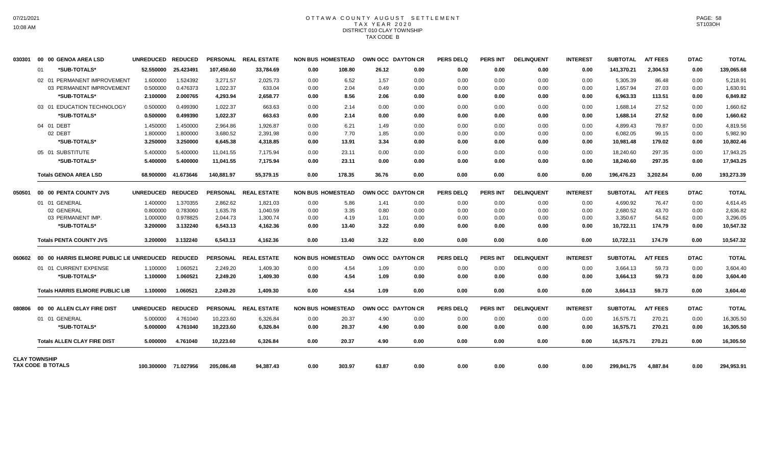# OTTAWA COUNTY AUGUST SETTLEMENT T A X Y E A R 2 0 2 0 DISTRICT 010 CLAY TOWNSHIP TAX CODE B

| 030301 | 00 00 GENOA AREA LSD                             | <b>UNREDUCED</b>  | <b>REDUCED</b>       | <b>PERSONAL</b> | <b>REAL ESTATE</b>   | <b>NON BUS HOMESTEAD</b> |        |       | OWN OCC DAYTON CR | <b>PERS DELQ</b> | <b>PERS INT</b> | <b>DELINQUENT</b> | <b>INTEREST</b> | <b>SUBTOTAL</b> | <b>A/T FEES</b> | <b>DTAC</b> | <b>TOTAL</b> |
|--------|--------------------------------------------------|-------------------|----------------------|-----------------|----------------------|--------------------------|--------|-------|-------------------|------------------|-----------------|-------------------|-----------------|-----------------|-----------------|-------------|--------------|
|        | *SUB-TOTALS*<br>01                               | 52.550000         | 25.423491            | 107,450.60      | 33,784.69            | 0.00                     | 108.80 | 26.12 | 0.00              | 0.00             | 0.00            | 0.00              | 0.00            | 141,370.21      | 2,304.53        | 0.00        | 139,065.68   |
|        | 02 01 PERMANENT IMPROVEMENT                      | 1.600000          | 1.524392             | 3.271.57        | 2,025.73             | 0.00                     | 6.52   | 1.57  | 0.00              | 0.00             | 0.00            | 0.00              | 0.00            | 5,305.39        | 86.48           | 0.00        | 5,218.91     |
|        | 03 PERMANENT IMPROVEMENT                         | 0.500000          | 0.476373             | 1,022.37        | 633.04               | 0.00                     | 2.04   | 0.49  | 0.00              | 0.00             | 0.00            | 0.00              | 0.00            | 1,657.94        | 27.03           | 0.00        | 1,630.91     |
|        | *SUB-TOTALS*                                     | 2.100000          | 2.000765             | 4,293.94        | 2,658.77             | 0.00                     | 8.56   | 2.06  | 0.00              | 0.00             | 0.00            | 0.00              | 0.00            | 6,963.33        | 113.51          | 0.00        | 6,849.82     |
|        | 03 01 EDUCATION TECHNOLOGY                       | 0.500000          | 0.499390             | 1,022.37        | 663.63               | 0.00                     | 2.14   | 0.00  | 0.00              | 0.00             | 0.00            | 0.00              | 0.00            | 1,688.14        | 27.52           | 0.00        | 1,660.62     |
|        | *SUB-TOTALS*                                     | 0.500000          | 0.499390             | 1,022.37        | 663.63               | 0.00                     | 2.14   | 0.00  | 0.00              | 0.00             | 0.00            | 0.00              | 0.00            | 1.688.14        | 27.52           | 0.00        | 1,660.62     |
|        | 04 01 DEBT                                       | 1.450000          | 1.450000             | 2,964.86        | 1,926.87             | 0.00                     | 6.21   | 1.49  | 0.00              | 0.00             | 0.00            | 0.00              | 0.00            | 4.899.43        | 79.87           | 0.00        | 4,819.56     |
|        | 02 DEBT                                          | 1.800000          | 1.800000             | 3,680.52        | 2,391.98             | 0.00                     | 7.70   | 1.85  | 0.00              | 0.00             | 0.00            | 0.00              | 0.00            | 6,082.05        | 99.15           | 0.00        | 5,982.90     |
|        | *SUB-TOTALS*                                     | 3.250000          | 3.250000             | 6,645.38        | 4,318.85             | 0.00                     | 13.91  | 3.34  | 0.00              | 0.00             | 0.00            | 0.00              | 0.00            | 10,981.48       | 179.02          | 0.00        | 10,802.46    |
|        | 05 01 SUBSTITUTE                                 | 5.400000          | 5.400000             | 11,041.55       | 7,175.94             | 0.00                     | 23.11  | 0.00  | 0.00              | 0.00             | 0.00            | 0.00              | 0.00            | 18,240.60       | 297.35          | 0.00        | 17,943.25    |
|        | *SUB-TOTALS*                                     | 5.400000          | 5.400000             | 11.041.55       | 7,175.94             | 0.00                     | 23.11  | 0.00  | 0.00              | 0.00             | 0.00            | 0.00              | 0.00            | 18,240.60       | 297.35          | 0.00        | 17,943.25    |
|        | <b>Totals GENOA AREA LSD</b>                     | 68.900000         | 41.673646            | 140,881.97      | 55,379.15            | 0.00                     | 178.35 | 36.76 | 0.00              | 0.00             | 0.00            | 0.00              | 0.00            | 196,476.23      | 3,202.84        | 0.00        | 193,273.39   |
| 050501 | 00 00 PENTA COUNTY JVS                           | <b>UNREDUCED</b>  | <b>REDUCED</b>       | <b>PERSONAL</b> | <b>REAL ESTATE</b>   | <b>NON BUS HOMESTEAD</b> |        |       | OWN OCC DAYTON CR | <b>PERS DELQ</b> | <b>PERS INT</b> | <b>DELINQUENT</b> | <b>INTEREST</b> | <b>SUBTOTAL</b> | <b>A/T FEES</b> | <b>DTAC</b> | <b>TOTAL</b> |
|        | 01 01 GENERAL                                    | 1.400000          | 1.370355             | 2,862.62        | 1,821.03             | 0.00                     | 5.86   | 1.41  | 0.00              | 0.00             | 0.00            | 0.00              | 0.00            | 4,690.92        | 76.47           | 0.00        | 4,614.45     |
|        | 02 GENERAL                                       | 0.800000          | 0.783060             | 1,635.78        | 1,040.59             | 0.00                     | 3.35   | 0.80  | 0.00              | 0.00             | 0.00            | 0.00              | 0.00            | 2,680.52        | 43.70           | 0.00        | 2,636.82     |
|        | 03 PERMANENT IMP.                                | 1.000000          | 0.978825             | 2,044.73        | 1,300.74             | 0.00                     | 4.19   | 1.01  | 0.00              | 0.00             | 0.00            | 0.00              | 0.00            | 3,350.67        | 54.62           | 0.00        | 3,296.05     |
|        | *SUB-TOTALS*                                     | 3.200000          | 3.132240             | 6,543.13        | 4,162.36             | 0.00                     | 13.40  | 3.22  | 0.00              | 0.00             | 0.00            | 0.00              | 0.00            | 10,722.11       | 174.79          | 0.00        | 10,547.32    |
|        | <b>Totals PENTA COUNTY JVS</b>                   | 3.200000          | 3.132240             | 6.543.13        | 4,162.36             | 0.00                     | 13.40  | 3.22  | 0.00              | 0.00             | 0.00            | 0.00              | 0.00            | 10,722.11       | 174.79          | 0.00        | 10,547.32    |
| 060602 | 00 00 HARRIS ELMORE PUBLIC LIE UNREDUCED REDUCED |                   |                      |                 | PERSONAL REAL ESTATE | <b>NON BUS HOMESTEAD</b> |        |       | OWN OCC DAYTON CR | <b>PERS DELO</b> | PERS INT        | <b>DELINQUENT</b> | <b>INTEREST</b> | <b>SUBTOTAL</b> | <b>A/T FEES</b> | <b>DTAC</b> | <b>TOTAL</b> |
|        | 01 01 CURRENT EXPENSE                            | 1.100000          | 1.060521             | 2.249.20        | 1,409.30             | 0.00                     | 4.54   | 1.09  | 0.00              | 0.00             | 0.00            | 0.00              | 0.00            | 3,664.13        | 59.73           | 0.00        | 3,604.40     |
|        | *SUB-TOTALS*                                     | 1.100000          | 1.060521             | 2,249.20        | 1,409.30             | 0.00                     | 4.54   | 1.09  | 0.00              | 0.00             | 0.00            | 0.00              | 0.00            | 3,664.13        | 59.73           | 0.00        | 3,604.40     |
|        | <b>Totals HARRIS ELMORE PUBLIC LIB</b>           | 1.100000          | 1.060521             | 2.249.20        | 1.409.30             | 0.00                     | 4.54   | 1.09  | 0.00              | 0.00             | 0.00            | 0.00              | 0.00            | 3,664.13        | 59.73           | 0.00        | 3,604.40     |
| 080806 | 00 00 ALLEN CLAY FIRE DIST                       | UNREDUCED REDUCED |                      |                 | PERSONAL REAL ESTATE | <b>NON BUS HOMESTEAD</b> |        |       | OWN OCC DAYTON CR | <b>PERS DELQ</b> | <b>PERS INT</b> | <b>DELINQUENT</b> | <b>INTEREST</b> | <b>SUBTOTAL</b> | <b>A/T FEES</b> | <b>DTAC</b> | <b>TOTAL</b> |
|        | 01 01 GENERAL                                    | 5.000000          | 4.761040             | 10,223.60       | 6,326.84             | 0.00                     | 20.37  | 4.90  | 0.00              | 0.00             | 0.00            | 0.00              | 0.00            | 16,575.71       | 270.21          | 0.00        | 16,305.50    |
|        | *SUB-TOTALS*                                     | 5.000000          | 4.761040             | 10,223.60       | 6,326.84             | 0.00                     | 20.37  | 4.90  | 0.00              | 0.00             | 0.00            | 0.00              | 0.00            | 16,575.71       | 270.21          | 0.00        | 16,305.50    |
|        | <b>Totals ALLEN CLAY FIRE DIST</b>               | 5.000000          | 4.761040             | 10.223.60       | 6.326.84             | 0.00                     | 20.37  | 4.90  | 0.00              | 0.00             | 0.00            | 0.00              | 0.00            | 16.575.71       | 270.21          | 0.00        | 16,305.50    |
|        | <b>CLAY TOWNSHIP</b><br><b>TAX CODE B TOTALS</b> |                   | 100.300000 71.027956 | 205,086.48      | 94,387.43            | 0.00                     | 303.97 | 63.87 | 0.00              | 0.00             | 0.00            | 0.00              | 0.00            | 299,841.75      | 4,887.84        | 0.00        | 294,953.91   |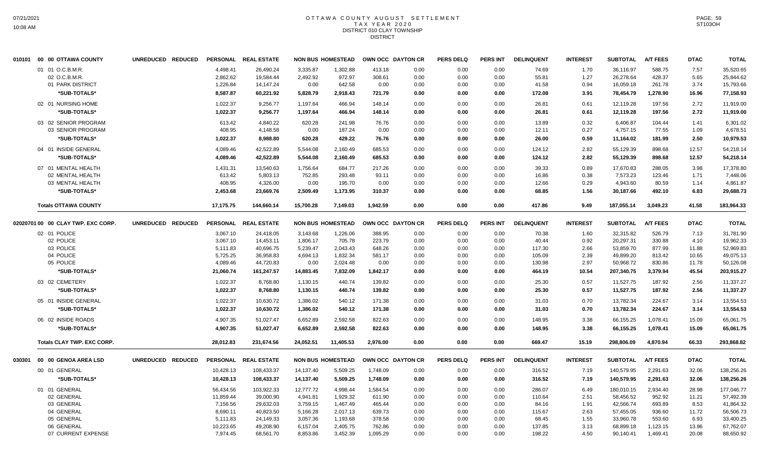## OTTAWA COUNTY AUGUST SETTLEMENT T A X Y E A R 2 0 2 0 DISTRICT 010 CLAY TOWNSHIP DISTRICT

|        | 010101 00 00 OTTAWA COUNTY         | UNREDUCED REDUCED |           | PERSONAL REAL ESTATE |           | <b>NON BUS HOMESTEAD</b> |          | OWN OCC DAYTON CR | <b>PERS DELQ</b> | <b>PERS INT</b> | <b>DELINQUENT</b> | <b>INTEREST</b> | <b>SUBTOTAL</b> | <b>A/T FEES</b> | <b>DTAC</b> | <b>TOTAL</b> |
|--------|------------------------------------|-------------------|-----------|----------------------|-----------|--------------------------|----------|-------------------|------------------|-----------------|-------------------|-----------------|-----------------|-----------------|-------------|--------------|
|        | 01 01 O.C.B.M.R.                   |                   | 4,498.41  | 26,490.24            | 3,335.87  | 1,302.88                 | 413.18   | 0.00              | 0.00             | 0.00            | 74.69             | 1.70            | 36,116.97       | 588.75          | 7.57        | 35,520.65    |
|        | 02 O.C.B.M.R.                      |                   | 2,862.62  | 19,584.44            | 2,492.92  | 972.97                   | 308.61   | 0.00              | 0.00             | 0.00            | 55.81             | 1.27            | 26,278.64       | 428.37          | 5.65        | 25,844.62    |
|        | 01 PARK DISTRICT                   |                   | 1,226.84  | 14,147.24            | 0.00      | 642.58                   | 0.00     | 0.00              | 0.00             | 0.00            | 41.58             | 0.94            | 16,059.18       | 261.78          | 3.74        | 15,793.66    |
|        | *SUB-TOTALS*                       |                   | 8,587.87  | 60,221.92            | 5,828.79  | 2,918.43                 | 721.79   | 0.00              | 0.00             | 0.00            | 172.08            | 3.91            | 78,454.79       | 1,278.90        | 16.96       | 77,158.93    |
|        | 02 01 NURSING HOME                 |                   | 1,022.37  | 9,256.77             | 1,197.64  | 466.94                   | 148.14   | 0.00              | 0.00             | 0.00            | 26.81             | 0.61            | 12,119.28       | 197.56          | 2.72        | 11,919.00    |
|        | *SUB-TOTALS*                       |                   | 1,022.37  | 9,256.77             | 1,197.64  | 466.94                   | 148.14   | 0.00              | 0.00             | 0.00            | 26.81             | 0.61            | 12,119.28       | 197.56          | 2.72        | 11,919.00    |
|        | 03 02 SENIOR PROGRAM               |                   | 613.42    | 4.840.22             | 620.28    | 241.98                   | 76.76    | 0.00              | 0.00             | 0.00            | 13.89             | 0.32            | 6,406.87        | 104.44          | 1.41        | 6.301.02     |
|        | 03 SENIOR PROGRAM                  |                   | 408.95    | 4,148.58             | 0.00      | 187.24                   | 0.00     | 0.00              | 0.00             | 0.00            | 12.11             | 0.27            | 4,757.15        | 77.55           | 1.09        | 4.678.51     |
|        | *SUB-TOTALS*                       |                   | 1,022.37  | 8,988.80             | 620.28    | 429.22                   | 76.76    | 0.00              | 0.00             | 0.00            | 26.00             | 0.59            | 11,164.02       | 181.99          | 2.50        | 10,979.53    |
|        | 04 01 INSIDE GENERAL               |                   | 4,089.46  | 42.522.89            | 5,544.08  | 2,160.49                 | 685.53   | 0.00              | 0.00             | 0.00            | 124.12            | 2.82            | 55,129.39       | 898.68          | 12.57       | 54.218.14    |
|        | *SUB-TOTALS*                       |                   | 4,089.46  | 42,522.89            | 5,544.08  | 2,160.49                 | 685.53   | 0.00              | 0.00             | 0.00            | 124.12            | 2.82            | 55,129.39       | 898.68          | 12.57       | 54,218.14    |
|        | 07 01 MENTAL HEALTH                |                   | 1,431.31  | 13,540.63            | 1,756.64  | 684.77                   | 217.26   | 0.00              | 0.00             | 0.00            | 39.33             | 0.89            | 17,670.83       | 288.05          | 3.98        | 17,378.80    |
|        | 02 MENTAL HEALTH                   |                   | 613.42    | 5,803.13             | 752.85    | 293.48                   | 93.11    | 0.00              | 0.00             | 0.00            | 16.86             | 0.38            | 7,573.23        | 123.46          | 1.71        | 7,448.06     |
|        | 03 MENTAL HEALTH                   |                   | 408.95    | 4,326.00             | 0.00      | 195.70                   | 0.00     | 0.00              | 0.00             | 0.00            | 12.66             | 0.29            | 4,943.60        | 80.59           | 1.14        | 4,861.87     |
|        | *SUB-TOTALS*                       |                   | 2,453.68  | 23,669.76            | 2,509.49  | 1,173.95                 | 310.37   | 0.00              | 0.00             | 0.00            | 68.85             | 1.56            | 30,187.66       | 492.10          | 6.83        | 29,688.73    |
|        | <b>Totals OTTAWA COUNTY</b>        |                   | 17,175.75 | 144,660.14           | 15,700.28 | 7,149.03                 | 1,942.59 | 0.00              | 0.00             | 0.00            | 417.86            | 9.49            | 187,055.14      | 3,049.23        | 41.58       | 183,964.33   |
|        | 02020701 00 00 CLAY TWP. EXC CORP. | UNREDUCED REDUCED |           | PERSONAL REAL ESTATE |           | <b>NON BUS HOMESTEAD</b> |          | OWN OCC DAYTON CR | <b>PERS DELQ</b> | <b>PERS INT</b> | <b>DELINQUENT</b> | <b>INTEREST</b> | <b>SUBTOTAL</b> | <b>A/T FEES</b> | <b>DTAC</b> | <b>TOTAL</b> |
|        | 02 01 POLICE                       |                   | 3,067.10  | 24,418.05            | 3,143.68  | 1,226.06                 | 388.95   | 0.00              | 0.00             | 0.00            | 70.38             | 1.60            | 32,315.82       | 526.79          | 7.13        | 31,781.90    |
|        | 02 POLICE                          |                   | 3,067.10  | 14,453.11            | 1,806.17  | 705.78                   | 223.79   | 0.00              | 0.00             | 0.00            | 40.44             | 0.92            | 20,297.31       | 330.88          | 4.10        | 19,962.33    |
|        | 03 POLICE                          |                   | 5,111.83  | 40,696.75            | 5,239.47  | 2,043.43                 | 648.26   | 0.00              | 0.00             | 0.00            | 117.30            | 2.66            | 53,859.70       | 877.99          | 11.88       | 52,969.83    |
|        | 04 POLICE                          |                   | 5,725.25  | 36,958.83            | 4,694.13  | 1,832.34                 | 581.17   | 0.00              | 0.00             | 0.00            | 105.09            | 2.39            | 49,899.20       | 813.42          | 10.65       | 49,075.13    |
|        | 05 POLICE                          |                   | 4,089.46  | 44,720.83            | 0.00      | 2,024.48                 | 0.00     | 0.00              | 0.00             | 0.00            | 130.98            | 2.97            | 50,968.72       | 830.86          | 11.78       | 50,126.08    |
|        | *SUB-TOTALS*                       |                   | 21,060.74 | 161,247.57           | 14,883.45 | 7,832.09                 | 1,842.17 | 0.00              | 0.00             | 0.00            | 464.19            | 10.54           | 207,340.75      | 3,379.94        | 45.54       | 203,915.27   |
|        | 03 02 CEMETERY                     |                   | 1,022.37  | 8,768.80             | 1,130.15  | 440.74                   | 139.82   | 0.00              | 0.00             | 0.00            | 25.30             | 0.57            | 11,527.75       | 187.92          | 2.56        | 11,337.27    |
|        | *SUB-TOTALS*                       |                   | 1,022.37  | 8,768.80             | 1,130.15  | 440.74                   | 139.82   | 0.00              | 0.00             | 0.00            | 25.30             | 0.57            | 11,527.75       | 187.92          | 2.56        | 11,337.27    |
|        | 05 01 INSIDE GENERAL               |                   | 1.022.37  | 10,630.72            | 1,386.02  | 540.12                   | 171.38   | 0.00              | 0.00             | 0.00            | 31.03             | 0.70            | 13,782.34       | 224.67          | 3.14        | 13,554.53    |
|        | *SUB-TOTALS*                       |                   | 1,022.37  | 10,630.72            | 1,386.02  | 540.12                   | 171.38   | 0.00              | 0.00             | 0.00            | 31.03             | 0.70            | 13,782.34       | 224.67          | 3.14        | 13,554.53    |
|        | 06 02 INSIDE ROADS                 |                   | 4,907.35  | 51,027.47            | 6,652.89  | 2,592.58                 | 822.63   | 0.00              | 0.00             | 0.00            | 148.95            | 3.38            | 66,155.25       | 1,078.41        | 15.09       | 65,061.75    |
|        | *SUB-TOTALS*                       |                   | 4,907.35  | 51.027.47            | 6,652.89  | 2,592.58                 | 822.63   | 0.00              | 0.00             | 0.00            | 148.95            | 3.38            | 66.155.25       | 1.078.41        | 15.09       | 65,061.75    |
|        | Totals CLAY TWP. EXC CORP.         |                   | 28,012.83 | 231,674.56           | 24,052.51 | 11,405.53                | 2,976.00 | 0.00              | 0.00             | 0.00            | 669.47            | 15.19           | 298,806.09      | 4,870.94        | 66.33       | 293,868.82   |
| 030301 | 00 00 GENOA AREA LSD               | UNREDUCED REDUCED |           | PERSONAL REAL ESTATE |           | <b>NON BUS HOMESTEAD</b> |          | OWN OCC DAYTON CR | <b>PERS DELQ</b> | <b>PERS INT</b> | <b>DELINQUENT</b> | <b>INTEREST</b> | <b>SUBTOTAL</b> | <b>A/T FEES</b> | <b>DTAC</b> | <b>TOTAL</b> |
|        | 00 01 GENERAL                      |                   | 10,428.13 | 108,433.37           | 14,137.40 | 5,509.25                 | 1,748.09 | 0.00              | 0.00             | 0.00            | 316.52            | 7.19            | 140,579.95      | 2,291.63        | 32.06       | 138,256.26   |
|        | *SUB-TOTALS*                       |                   | 10,428.13 | 108,433.37           | 14,137.40 | 5,509.25                 | 1,748.09 | 0.00              | 0.00             | 0.00            | 316.52            | 7.19            | 140,579.95      | 2,291.63        | 32.06       | 138,256.26   |
|        | 01 01 GENERAL                      |                   | 56,434.56 | 103,922.33           | 12,777.72 | 4.998.44                 | 1,584.54 | 0.00              | 0.00             | 0.00            | 286.07            | 6.49            | 180,010.15      | 2,934.40        | 28.98       | 177.046.77   |
|        | 02 GENERAL                         |                   | 11,859.44 | 39,000.90            | 4,941.81  | 1,929.32                 | 611.90   | 0.00              | 0.00             | 0.00            | 110.64            | 2.51            | 58,456.52       | 952.92          | 11.21       | 57,492.39    |
|        | 03 GENERAL                         |                   | 7,156.56  | 29,632.03            | 3,759.15  | 1,467.49                 | 465.44   | 0.00              | 0.00             | 0.00            | 84.16             | 1.91            | 42,566.74       | 693.89          | 8.53        | 41,864.32    |
|        | 04 GENERAL                         |                   | 8,690.11  | 40,823.50            | 5,166.28  | 2,017.13                 | 639.73   | 0.00              | 0.00             | 0.00            | 115.67            | 2.63            | 57,455.05       | 936.60          | 11.72       | 56,506.73    |
|        | 05 GENERAL                         |                   | 5,111.83  | 24,149.33            | 3,057.36  | 1,193.68                 | 378.58   | 0.00              | 0.00             | 0.00            | 68.45             | 1.55            | 33,960.78       | 553.60          | 6.93        | 33,400.25    |
|        | 06 GENERAL                         |                   | 10,223.65 | 49,208.90            | 6,157.04  | 2,405.75                 | 762.86   | 0.00              | 0.00             | 0.00            | 137.85            | 3.13            | 68,899.18       | 1,123.15        | 13.96       | 67,762.07    |
|        | 07 CURRENT EXPENSE                 |                   | 7,974.45  | 68,561.70            | 8,853.86  | 3,452.39                 | 1,095.29 | 0.00              | 0.00             | 0.00            | 198.22            | 4.50            | 90,140.41       | 1,469.41        | 20.08       | 88,650.92    |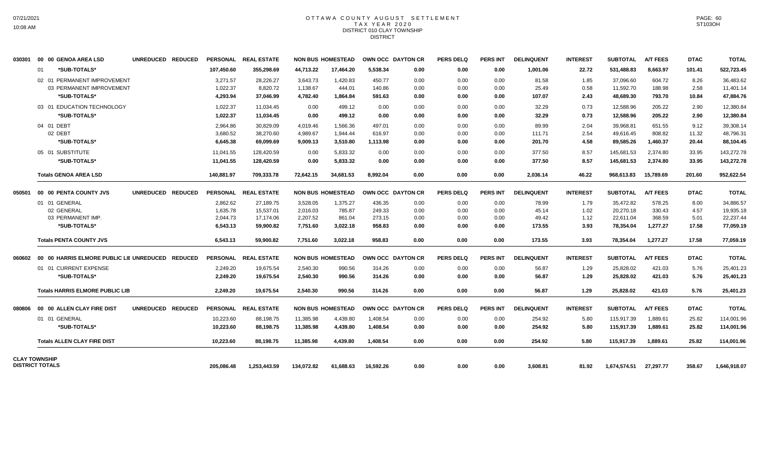### OTTAWA COUNTY AUGUST SETTLEMENT T A X Y E A R 2 0 2 0 DISTRICT 010 CLAY TOWNSHIP DISTRICT

|                                                |                                                  |                   | UNREDUCED REDUCED | <b>PERSONAL</b> | <b>REAL ESTATE</b>   |            | <b>NON BUS HOMESTEAD</b> |           | OWN OCC DAYTON CR | <b>PERS DELQ</b> | PERS INT        | <b>DELINQUENT</b> | <b>INTEREST</b> | <b>SUBTOTAL</b> | <b>A/T FEES</b> | <b>DTAC</b> | <b>TOTAL</b> |
|------------------------------------------------|--------------------------------------------------|-------------------|-------------------|-----------------|----------------------|------------|--------------------------|-----------|-------------------|------------------|-----------------|-------------------|-----------------|-----------------|-----------------|-------------|--------------|
|                                                | *SUB-TOTALS*<br>01                               |                   |                   | 107.450.60      | 355.298.69           | 44.713.22  | 17.464.20                | 5.538.34  | 0.00              | 0.00             | 0.00            | 1.001.06          | 22.72           | 531.488.83      | 8.663.97        | 101.41      | 522,723.45   |
|                                                | 02 01 PERMANENT IMPROVEMENT                      |                   |                   | 3,271.57        | 28,226.27            | 3,643.73   | 1,420.83                 | 450.77    | 0.00              | 0.00             | 0.00            | 81.58             | 1.85            | 37,096.60       | 604.72          | 8.26        | 36,483.62    |
|                                                | 03 PERMANENT IMPROVEMENT                         |                   |                   | 1,022.37        | 8,820.72             | 1,138.67   | 444.01                   | 140.86    | 0.00              | 0.00             | 0.00            | 25.49             | 0.58            | 11,592.70       | 188.98          | 2.58        | 11,401.14    |
|                                                | *SUB-TOTALS*                                     |                   |                   | 4,293.94        | 37,046.99            | 4,782.40   | 1,864.84                 | 591.63    | 0.00              | 0.00             | 0.00            | 107.07            | 2.43            | 48,689.30       | 793.70          | 10.84       | 47,884.76    |
|                                                | 03 01 EDUCATION TECHNOLOGY                       |                   |                   | 1,022.37        | 11,034.45            | 0.00       | 499.12                   | 0.00      | 0.00              | 0.00             | 0.00            | 32.29             | 0.73            | 12,588.96       | 205.22          | 2.90        | 12,380.84    |
|                                                | *SUB-TOTALS*                                     |                   |                   | 1,022.37        | 11,034.45            | 0.00       | 499.12                   | 0.00      | 0.00              | 0.00             | 0.00            | 32.29             | 0.73            | 12,588.96       | 205.22          | 2.90        | 12,380.84    |
|                                                | 04 01 DEBT                                       |                   |                   | 2,964.86        | 30,829.09            | 4,019.46   | 1,566.36                 | 497.01    | 0.00              | 0.00             | 0.00            | 89.99             | 2.04            | 39,968.81       | 651.55          | 9.12        | 39,308.14    |
|                                                | 02 DEBT                                          |                   |                   | 3.680.52        | 38,270.60            | 4,989.67   | 1.944.44                 | 616.97    | 0.00              | 0.00             | 0.00            | 111.71            | 2.54            | 49,616.45       | 808.82          | 11.32       | 48,796.31    |
|                                                | *SUB-TOTALS*                                     |                   |                   | 6,645.38        | 69,099.69            | 9,009.13   | 3,510.80                 | 1,113.98  | 0.00              | 0.00             | 0.00            | 201.70            | 4.58            | 89,585.26       | 1,460.37        | 20.44       | 88,104.45    |
|                                                | 05 01 SUBSTITUTE                                 |                   |                   | 11,041.55       | 128,420.59           | 0.00       | 5,833.32                 | 0.00      | 0.00              | 0.00             | 0.00            | 377.50            | 8.57            | 145,681.53      | 2,374.80        | 33.95       | 143,272.78   |
|                                                | *SUB-TOTALS*                                     |                   |                   | 11,041.55       | 128,420.59           | 0.00       | 5,833.32                 | 0.00      | 0.00              | 0.00             | 0.00            | 377.50            | 8.57            | 145,681.53      | 2,374.80        | 33.95       | 143,272.78   |
|                                                | <b>Totals GENOA AREA LSD</b>                     |                   |                   | 140,881.97      | 709,333.78           | 72,642.15  | 34,681.53                | 8.992.04  | 0.00              | 0.00             | 0.00            | 2,036.14          | 46.22           | 968,613.83      | 15,789.69       | 201.60      | 952,622.54   |
| 050501                                         | 00 00 PENTA COUNTY JVS                           | UNREDUCED REDUCED |                   |                 | PERSONAL REAL ESTATE |            | <b>NON BUS HOMESTEAD</b> |           | OWN OCC DAYTON CR | <b>PERS DELQ</b> | <b>PERS INT</b> | <b>DELINQUENT</b> | <b>INTEREST</b> | <b>SUBTOTAL</b> | <b>A/T FEES</b> | <b>DTAC</b> | <b>TOTAL</b> |
|                                                | 01 01 GENERAL                                    |                   |                   | 2.862.62        | 27.189.75            | 3,528.05   | 1.375.27                 | 436.35    | 0.00              | 0.00             | 0.00            | 78.99             | 1.79            | 35.472.82       | 578.25          | 8.00        | 34.886.57    |
|                                                | 02 GENERAL                                       |                   |                   | 1,635.78        | 15,537.01            | 2,016.03   | 785.87                   | 249.33    | 0.00              | 0.00             | 0.00            | 45.14             | 1.02            | 20,270.18       | 330.43          | 4.57        | 19,935.18    |
|                                                | 03 PERMANENT IMP.                                |                   |                   | 2,044.73        | 17,174.06            | 2,207.52   | 861.04                   | 273.15    | 0.00              | 0.00             | 0.00            | 49.42             | 1.12            | 22,611.04       | 368.59          | 5.01        | 22,237.44    |
|                                                | *SUB-TOTALS*                                     |                   |                   | 6,543.13        | 59.900.82            | 7,751.60   | 3,022.18                 | 958.83    | 0.00              | 0.00             | 0.00            | 173.55            | 3.93            | 78,354.04       | 1,277.27        | 17.58       | 77,059.19    |
|                                                | <b>Totals PENTA COUNTY JVS</b>                   |                   |                   | 6.543.13        | 59.900.82            | 7,751.60   | 3,022.18                 | 958.83    | 0.00              | 0.00             | 0.00            | 173.55            | 3.93            | 78,354.04       | 1,277.27        | 17.58       | 77,059.19    |
| 060602                                         | 00 00 HARRIS ELMORE PUBLIC LIE UNREDUCED REDUCED |                   |                   |                 | PERSONAL REAL ESTATE |            | <b>NON BUS HOMESTEAD</b> |           | OWN OCC DAYTON CR | <b>PERS DELQ</b> | <b>PERS INT</b> | <b>DELINQUENT</b> | <b>INTEREST</b> | <b>SUBTOTAL</b> | <b>A/T FEES</b> | <b>DTAC</b> | <b>TOTAL</b> |
|                                                | 01 01 CURRENT EXPENSE                            |                   |                   | 2,249.20        | 19,675.54            | 2,540.30   | 990.56                   | 314.26    | 0.00              | 0.00             | 0.00            | 56.87             | 1.29            | 25,828.02       | 421.03          | 5.76        | 25,401.23    |
|                                                | *SUB-TOTALS*                                     |                   |                   | 2,249.20        | 19,675.54            | 2,540.30   | 990.56                   | 314.26    | 0.00              | 0.00             | 0.00            | 56.87             | 1.29            | 25,828.02       | 421.03          | 5.76        | 25,401.23    |
|                                                | <b>Totals HARRIS ELMORE PUBLIC LIB</b>           |                   |                   | 2.249.20        | 19.675.54            | 2.540.30   | 990.56                   | 314.26    | 0.00              | 0.00             | 0.00            | 56.87             | 1.29            | 25,828.02       | 421.03          | 5.76        | 25,401.23    |
| 080806                                         | 00 00 ALLEN CLAY FIRE DIST                       | UNREDUCED REDUCED |                   |                 | PERSONAL REAL ESTATE |            | <b>NON BUS HOMESTEAD</b> |           | OWN OCC DAYTON CR | <b>PERS DELQ</b> | <b>PERS INT</b> | <b>DELINQUENT</b> | <b>INTEREST</b> | <b>SUBTOTAL</b> | <b>A/T FEES</b> | <b>DTAC</b> | <b>TOTAL</b> |
|                                                | 01 01 GENERAL                                    |                   |                   | 10,223.60       | 88,198.75            | 11,385.98  | 4,439.80                 | 1,408.54  | 0.00              | 0.00             | 0.00            | 254.92            | 5.80            | 115,917.39      | 1,889.61        | 25.82       | 114,001.96   |
|                                                | *SUB-TOTALS*                                     |                   |                   | 10,223.60       | 88,198.75            | 11,385.98  | 4,439.80                 | 1,408.54  | 0.00              | 0.00             | 0.00            | 254.92            | 5.80            | 115,917.39      | 1,889.61        | 25.82       | 114,001.96   |
|                                                | <b>Totals ALLEN CLAY FIRE DIST</b>               |                   |                   | 10,223.60       | 88,198.75            | 11,385.98  | 4,439.80                 | 1,408.54  | 0.00              | 0.00             | 0.00            | 254.92            | 5.80            | 115,917.39      | 1,889.61        | 25.82       | 114,001.96   |
| <b>CLAY TOWNSHIP</b><br><b>DISTRICT TOTALS</b> |                                                  |                   |                   | 205.086.48      | 1,253,443.59         | 134,072.82 | 61,688.63                | 16,592.26 | 0.00              | 0.00             | 0.00            | 3,608.81          | 81.92           | 1,674,574.51    | 27,297.77       | 358.67      | 1,646,918.07 |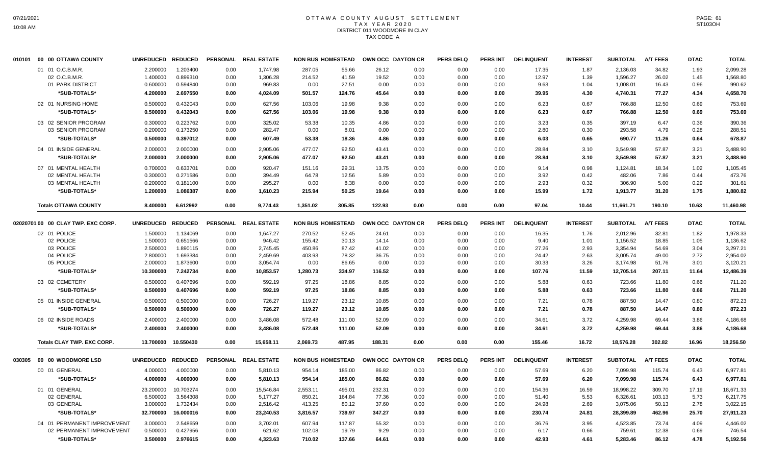# OTTAWA COUNTY AUGUST SETTLEMENT T A X Y E A R 2 0 2 0 DISTRICT 011 WOODMORE IN CLAY TAX CODE A

| 010101 | 00 00 OTTAWA COUNTY                | UNREDUCED REDUCED    |                     | <b>PERSONAL</b> | <b>REAL ESTATE</b>   | <b>NON BUS HOMESTEAD</b> |                 | OWN OCC DAYTON CR |              | <b>PERS DELQ</b> | <b>PERS INT</b> | <b>DELINQUENT</b> | <b>INTEREST</b> | <b>SUBTOTAL</b>    | A/T FEES        | <b>DTAC</b>  | <b>TOTAL</b>       |
|--------|------------------------------------|----------------------|---------------------|-----------------|----------------------|--------------------------|-----------------|-------------------|--------------|------------------|-----------------|-------------------|-----------------|--------------------|-----------------|--------------|--------------------|
|        | 01 01 O.C.B.M.R.                   | 2.200000             | 1.203400            | 0.00            | 1.747.98             | 287.05                   | 55.66           | 26.12             | 0.00         | 0.00             | 0.00            | 17.35             | 1.87            | 2.136.03           | 34.82           | 1.93         | 2,099.28           |
|        | 02 O.C.B.M.R.                      | 1.400000             | 0.899310            | 0.00            | 1,306.28             | 214.52                   | 41.59           | 19.52             | 0.00         | 0.00             | 0.00            | 12.97             | 1.39            | 1,596.27           | 26.02           | 1.45         | 1,568.80           |
|        | 01 PARK DISTRICT                   | 0.600000             | 0.594840            | 0.00            | 969.83               | 0.00                     | 27.51           | 0.00              | 0.00         | 0.00             | 0.00            | 9.63              | 1.04            | 1,008.01           | 16.43           | 0.96         | 990.62             |
|        | *SUB-TOTALS*                       | 4.200000             | 2.697550            | 0.00            | 4,024.09             | 501.57                   | 124.76          | 45.64             | 0.00         | 0.00             | 0.00            | 39.95             | 4.30            | 4,740.31           | 77.27           | 4.34         | 4.658.70           |
|        | 02 01 NURSING HOME                 | 0.500000             | 0.432043            | 0.00            | 627.56               | 103.06                   | 19.98           | 9.38              | 0.00         | 0.00             | 0.00            | 6.23              | 0.67            | 766.88             | 12.50           | 0.69         | 753.69             |
|        |                                    |                      |                     |                 |                      |                          |                 |                   |              |                  |                 |                   |                 |                    |                 |              |                    |
|        | *SUB-TOTALS*                       | 0.500000             | 0.432043            | 0.00            | 627.56               | 103.06                   | 19.98           | 9.38              | 0.00         | 0.00             | 0.00            | 6.23              | 0.67            | 766.88             | 12.50           | 0.69         | 753.69             |
|        | 03 02 SENIOR PROGRAM               | 0.300000             | 0.223762            | 0.00            | 325.02               | 53.38                    | 10.35           | 4.86              | 0.00         | 0.00             | 0.00            | 3.23              | 0.35            | 397.19             | 6.47            | 0.36         | 390.36             |
|        | 03 SENIOR PROGRAM                  | 0.200000             | 0.173250            | 0.00            | 282.47               | 0.00                     | 8.01            | 0.00              | 0.00         | 0.00             | 0.00            | 2.80              | 0.30            | 293.58             | 4.79            | 0.28         | 288.51             |
|        | *SUB-TOTALS*                       | 0.500000             | 0.397012            | 0.00            | 607.49               | 53.38                    | 18.36           | 4.86              | 0.00         | 0.00             | 0.00            | 6.03              | 0.65            | 690.77             | 11.26           | 0.64         | 678.87             |
|        | 04 01 INSIDE GENERAL               | 2.000000             | 2.000000            | 0.00            | 2,905.06             | 477.07                   | 92.50           | 43.41             | 0.00         | 0.00             | 0.00            | 28.84             | 3.10            | 3,549.98           | 57.87           | 3.21         | 3,488.90           |
|        | *SUB-TOTALS*                       | 2.000000             | 2.000000            | 0.00            | 2,905.06             | 477.07                   | 92.50           | 43.41             | 0.00         | 0.00             | 0.00            | 28.84             | 3.10            | 3,549.98           | 57.87           | 3.21         | 3,488.90           |
|        | 07 01 MENTAL HEALTH                | 0.700000             | 0.633701            | 0.00            | 920.47               | 151.16                   | 29.31           | 13.75             | 0.00         | 0.00             | 0.00            | 9.14              | 0.98            | 1,124.81           | 18.34           | 1.02         | 1,105.45           |
|        | 02 MENTAL HEALTH                   | 0.300000             | 0.271586            | 0.00            | 394.49               | 64.78                    | 12.56           | 5.89              | 0.00         | 0.00             | 0.00            | 3.92              | 0.42            | 482.06             | 7.86            | 0.44         | 473.76             |
|        | 03 MENTAL HEALTH                   | 0.200000             | 0.181100            | 0.00            | 295.27               | 0.00                     | 8.38            | 0.00              | 0.00         | 0.00             | 0.00            | 2.93              | 0.32            | 306.90             | 5.00            | 0.29         | 301.61             |
|        | *SUB-TOTALS*                       | 1.200000             | 1.086387            | 0.00            | 1,610.23             | 215.94                   | 50.25           | 19.64             | 0.00         | 0.00             | 0.00            | 15.99             | 1.72            | 1,913.77           | 31.20           | 1.75         | 1,880.82           |
|        | <b>Totals OTTAWA COUNTY</b>        | 8.400000             | 6.612992            | 0.00            | 9,774.43             | 1,351.02                 | 305.85          | 122.93            | 0.00         | 0.00             | 0.00            | 97.04             | 10.44           | 11,661.71          | 190.10          | 10.63        | 11,460.98          |
|        |                                    |                      |                     |                 |                      |                          |                 |                   |              |                  |                 |                   |                 |                    |                 |              |                    |
|        | 02020701 00 00 CLAY TWP. EXC CORP. | UNREDUCED REDUCED    |                     |                 | PERSONAL REAL ESTATE | <b>NON BUS HOMESTEAD</b> |                 | OWN OCC DAYTON CR |              | <b>PERS DELQ</b> | <b>PERS INT</b> | <b>DELINQUENT</b> | <b>INTEREST</b> | <b>SUBTOTAL</b>    | <b>A/T FEES</b> | <b>DTAC</b>  | <b>TOTAL</b>       |
|        | 02 01 POLICE                       | 1.500000             | 1.134069            | 0.00            | 1,647.27             | 270.52                   | 52.45           | 24.61             | 0.00         | 0.00             | 0.00            | 16.35             | 1.76            | 2,012.96           | 32.81           | 1.82         | 1,978.33           |
|        | 02 POLICE                          | 1.500000             | 0.651566            | 0.00            | 946.42               | 155.42                   | 30.13           | 14.14             | 0.00         | 0.00             | 0.00            | 9.40              | 1.01            | 1.156.52           | 18.85           | 1.05         | 1,136.62           |
|        | 03 POLICE                          | 2.500000             | 1.890115            | 0.00            | 2,745.45             | 450.86                   | 87.42           | 41.02             | 0.00         | 0.00             | 0.00            | 27.26             | 2.93            | 3,354.94           | 54.69           | 3.04         | 3,297.21           |
|        | 04 POLICE                          | 2.800000             | 1.693384            | 0.00            | 2,459.69             | 403.93                   | 78.32           | 36.75             | 0.00         | 0.00             | 0.00            | 24.42             | 2.63            | 3,005.74           | 49.00           | 2.72         | 2,954.02           |
|        | 05 POLICE                          | 2.000000             | 1.873600            | 0.00            | 3,054.74             | 0.00                     | 86.65           | 0.00              | 0.00         | 0.00             | 0.00            | 30.33             | 3.26            | 3,174.98           | 51.76           | 3.01         | 3,120.21           |
|        | *SUB-TOTALS*                       | 10.300000            | 7.242734            | 0.00            | 10,853.57            | 1,280.73                 | 334.97          | 116.52            | 0.00         | 0.00             | 0.00            | 107.76            | 11.59           | 12,705.14          | 207.11          | 11.64        | 12,486.39          |
|        | 03 02 CEMETERY                     | 0.500000             | 0.407696            | 0.00            | 592.19               | 97.25                    | 18.86           | 8.85              | 0.00         | 0.00             | 0.00            | 5.88              | 0.63            | 723.66             | 11.80           | 0.66         | 711.20             |
|        | *SUB-TOTALS*                       | 0.500000             | 0.407696            | 0.00            | 592.19               | 97.25                    | 18.86           | 8.85              | 0.00         | 0.00             | 0.00            | 5.88              | 0.63            | 723.66             | 11.80           | 0.66         | 711.20             |
|        | 05 01 INSIDE GENERAL               | 0.500000             | 0.500000            | 0.00            | 726.27               | 119.27                   | 23.12           | 10.85             | 0.00         | 0.00             | 0.00            | 7.21              | 0.78            | 887.50             | 14.47           | 0.80         | 872.23             |
|        | *SUB-TOTALS*                       | 0.500000             | 0.500000            | 0.00            | 726.27               | 119.27                   | 23.12           | 10.85             | 0.00         | 0.00             | 0.00            | 7.21              | 0.78            | 887.50             | 14.47           | 0.80         | 872.23             |
|        | 06 02 INSIDE ROADS                 | 2.400000             | 2.400000            | 0.00            | 3,486.08             | 572.48                   | 111.00          | 52.09             | 0.00         | 0.00             | 0.00            | 34.61             | 3.72            | 4,259.98           | 69.44           | 3.86         | 4,186.68           |
|        |                                    |                      |                     |                 |                      |                          |                 |                   |              |                  |                 |                   |                 |                    |                 |              |                    |
|        | *SUB-TOTALS*                       | 2.400000             | 2.400000            | 0.00            | 3,486.08             | 572.48                   | 111.00          | 52.09             | 0.00         | 0.00             | 0.00            | 34.61             | 3.72            | 4,259.98           | 69.44           | 3.86         | 4,186.68           |
|        | <b>Totals CLAY TWP, EXC CORP.</b>  |                      | 13.700000 10.550430 | 0.00            | 15,658.11            | 2.069.73                 | 487.95          | 188.31            | 0.00         | 0.00             | 0.00            | 155.46            | 16.72           | 18.576.28          | 302.82          | 16.96        | 18,256.50          |
| 030305 | 00 00 WOODMORE LSD                 | UNREDUCED REDUCED    |                     |                 | PERSONAL REAL ESTATE | <b>NON BUS HOMESTEAD</b> |                 | OWN OCC DAYTON CR |              | <b>PERS DELQ</b> | <b>PERS INT</b> | <b>DELINQUENT</b> | <b>INTEREST</b> | <b>SUBTOTAL</b>    | <b>A/T FEES</b> | <b>DTAC</b>  | <b>TOTAL</b>       |
|        | 00 01 GENERAL                      | 4.000000             | 4.000000            | 0.00            | 5,810.13             | 954.14                   | 185.00          | 86.82             | 0.00         | 0.00             | 0.00            | 57.69             | 6.20            | 7,099.98           | 115.74          | 6.43         | 6,977.81           |
|        | *SUB-TOTALS*                       | 4.000000             | 4.000000            | 0.00            | 5,810.13             | 954.14                   | 185.00          | 86.82             | 0.00         | 0.00             | 0.00            | 57.69             | 6.20            | 7,099.98           | 115.74          | 6.43         | 6,977.81           |
|        | 01 01 GENERAL                      | 23.200000            | 10.703274           | 0.00            | 15,546.84            | 2,553.11                 | 495.01          | 232.31            | 0.00         | 0.00             | 0.00            | 154.36            | 16.59           | 18,998.22          | 309.70          | 17.19        | 18,671.33          |
|        | 02 GENERAL                         | 6.500000             | 3.564308            | 0.00            | 5,177.27             | 850.21                   | 164.84          | 77.36             | 0.00         | 0.00             | 0.00            | 51.40             | 5.53            | 6,326.61           | 103.13          | 5.73         | 6,217.75           |
|        | 03 GENERAL                         | 3.000000             | 1.732434            | 0.00            | 2,516.42             | 413.25                   | 80.12           | 37.60             | 0.00         | 0.00             | 0.00            | 24.98             | 2.69            | 3,075.06           | 50.13           | 2.78         | 3,022.15           |
|        | *SUB-TOTALS*                       | 32.700000            | 16.000016           | 0.00            | 23,240.53            | 3,816.57                 | 739.97          | 347.27            | 0.00         | 0.00             | 0.00            | 230.74            | 24.81           | 28,399.89          | 462.96          | 25.70        | 27,911.23          |
|        | 04 01 PERMANENT IMPROVEMENT        |                      | 2.548659            |                 |                      |                          |                 |                   |              |                  |                 |                   |                 |                    |                 |              |                    |
|        | 02 PERMANENT IMPROVEMENT           | 3.000000<br>0.500000 | 0.427956            | 0.00<br>0.00    | 3,702.01<br>621.62   | 607.94<br>102.08         | 117.87<br>19.79 | 55.32<br>9.29     | 0.00<br>0.00 | 0.00<br>0.00     | 0.00<br>0.00    | 36.76             | 3.95<br>0.66    | 4,523.85<br>759.61 | 73.74<br>12.38  | 4.09<br>0.69 | 4,446.02<br>746.54 |
|        |                                    |                      |                     |                 |                      |                          |                 |                   |              |                  |                 | 6.17              |                 |                    |                 |              |                    |
|        | *SUB-TOTALS*                       | 3.500000             | 2.976615            | 0.00            | 4,323.63             | 710.02                   | 137.66          | 64.61             | 0.00         | 0.00             | 0.00            | 42.93             | 4.61            | 5,283.46           | 86.12           | 4.78         | 5,192.56           |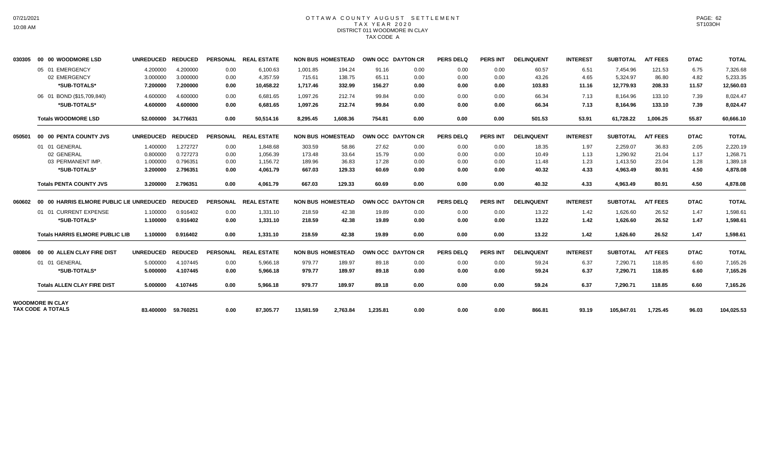# OTTAWA COUNTY AUGUST SETTLEMENT T A X Y E A R 2 0 2 0 DISTRICT 011 WOODMORE IN CLAY TAX CODE A

| 030305 | 00 00 WOODMORE LSD                               | <b>UNREDUCED</b>                 | <b>REDUCED</b>                   |                      | PERSONAL REAL ESTATE              |                                | <b>NON BUS HOMESTEAD</b>   | OWN OCC DAYTON CR        |                      | <b>PERS DELQ</b>     | <b>PERS INT</b>      | <b>DELINQUENT</b>        | <b>INTEREST</b>       | <b>SUBTOTAL</b>                   | <b>A/T FEES</b>           | <b>DTAC</b>           | <b>TOTAL</b>                      |
|--------|--------------------------------------------------|----------------------------------|----------------------------------|----------------------|-----------------------------------|--------------------------------|----------------------------|--------------------------|----------------------|----------------------|----------------------|--------------------------|-----------------------|-----------------------------------|---------------------------|-----------------------|-----------------------------------|
|        | 05 01 EMERGENCY<br>02 EMERGENCY<br>*SUB-TOTALS*  | 4.200000<br>3.000000<br>7.200000 | 4.200000<br>3.000000<br>7.200000 | 0.00<br>0.00<br>0.00 | 6,100.63<br>4,357.59<br>10.458.22 | 1,001.85<br>715.61<br>1.717.46 | 194.24<br>138.75<br>332.99 | 91.16<br>65.11<br>156.27 | 0.00<br>0.00<br>0.00 | 0.00<br>0.00<br>0.00 | 0.00<br>0.00<br>0.00 | 60.57<br>43.26<br>103.83 | 6.51<br>4.65<br>11.16 | 7,454.96<br>5,324.97<br>12.779.93 | 121.53<br>86.80<br>208.33 | 6.75<br>4.82<br>11.57 | 7,326.68<br>5,233.35<br>12,560.03 |
|        | 06 01 BOND (\$15,709,840)                        | 4.600000                         | 4.600000                         | 0.00                 | 6.681.65                          | 1.097.26                       | 212.74                     | 99.84                    | 0.00                 | 0.00                 | 0.00                 | 66.34                    | 7.13                  | 8,164.96                          | 133.10                    | 7.39                  | 8.024.47                          |
|        | *SUB-TOTALS*                                     | 4.600000                         | 4.600000                         | 0.00                 | 6.681.65                          | 1.097.26                       | 212.74                     | 99.84                    | 0.00                 | 0.00                 | 0.00                 | 66.34                    | 7.13                  | 8,164.96                          | 133.10                    | 7.39                  | 8,024.47                          |
|        | <b>Totals WOODMORE LSD</b>                       |                                  | 52.000000 34.776631              | 0.00                 | 50.514.16                         | 8.295.45                       | 1.608.36                   | 754.81                   | 0.00                 | 0.00                 | 0.00                 | 501.53                   | 53.91                 | 61.728.22                         | 1.006.25                  | 55.87                 | 60,666.10                         |
| 050501 | 00 00 PENTA COUNTY JVS                           | UNREDUCED REDUCED                |                                  |                      | PERSONAL REAL ESTATE              | <b>NON BUS HOMESTEAD</b>       |                            | OWN OCC DAYTON CR        |                      | <b>PERS DELQ</b>     | <b>PERS INT</b>      | <b>DELINQUENT</b>        | <b>INTEREST</b>       | <b>SUBTOTAL</b>                   | <b>A/T FEES</b>           | <b>DTAC</b>           | <b>TOTAL</b>                      |
|        | 01 01 GENERAL                                    | 1.400000                         | 1.272727                         | 0.00                 | 1.848.68                          | 303.59                         | 58.86                      | 27.62                    | 0.00                 | 0.00                 | 0.00                 | 18.35                    | 1.97                  | 2,259.07                          | 36.83                     | 2.05                  | 2,220.19                          |
|        | 02 GENERAL                                       | 0.800000                         | 0.727273                         | 0.00                 | 1.056.39                          | 173.48                         | 33.64                      | 15.79                    | 0.00                 | 0.00                 | 0.00                 | 10.49                    | 1.13                  | 1,290.92                          | 21.04                     | 1.17                  | 1,268.71                          |
|        | 03 PERMANENT IMP.                                | 1.000000                         | 0.796351                         | 0.00                 | 1,156.72                          | 189.96                         | 36.83                      | 17.28                    | 0.00                 | 0.00                 | 0.00                 | 11.48                    | 1.23                  | 1,413.50                          | 23.04                     | 1.28                  | 1,389.18                          |
|        | *SUB-TOTALS*                                     | 3.200000                         | 2.796351                         | 0.00                 | 4,061.79                          | 667.03                         | 129.33                     | 60.69                    | 0.00                 | 0.00                 | 0.00                 | 40.32                    | 4.33                  | 4,963.49                          | 80.91                     | 4.50                  | 4,878.08                          |
|        | <b>Totals PENTA COUNTY JVS</b>                   | 3.200000                         | 2.796351                         | 0.00                 | 4,061.79                          | 667.03                         | 129.33                     | 60.69                    | 0.00                 | 0.00                 | 0.00                 | 40.32                    | 4.33                  | 4,963.49                          | 80.91                     | 4.50                  | 4,878.08                          |
| 060602 | 00 00 HARRIS ELMORE PUBLIC LIE UNREDUCED REDUCED |                                  |                                  | <b>PERSONAL</b>      | <b>REAL ESTATE</b>                | <b>NON BUS HOMESTEAD</b>       |                            | OWN OCC DAYTON CR        |                      | <b>PERS DELQ</b>     | <b>PERS INT</b>      | <b>DELINQUENT</b>        | <b>INTEREST</b>       | <b>SUBTOTAL</b>                   | <b>A/T FEES</b>           | <b>DTAC</b>           | <b>TOTAL</b>                      |
|        | 01 01 CURRENT EXPENSE                            | 1.100000                         | 0.916402                         | 0.00                 | 1,331.10                          | 218.59                         | 42.38                      | 19.89                    | 0.00                 | 0.00                 | 0.00                 | 13.22                    | 1.42                  | 1,626.60                          | 26.52                     | 1.47                  | 1,598.61                          |
|        | *SUB-TOTALS*                                     | 1.100000                         | 0.916402                         | 0.00                 | 1,331.10                          | 218.59                         | 42.38                      | 19.89                    | 0.00                 | 0.00                 | 0.00                 | 13.22                    | 1.42                  | 1,626.60                          | 26.52                     | 1.47                  | 1,598.61                          |
|        | <b>Totals HARRIS ELMORE PUBLIC LIB</b>           | 1.100000                         | 0.916402                         | 0.00                 | 1.331.10                          | 218.59                         | 42.38                      | 19.89                    | 0.00                 | 0.00                 | 0.00                 | 13.22                    | 1.42                  | 1,626.60                          | 26.52                     | 1.47                  | 1,598.61                          |
| 080806 | 00 00 ALLEN CLAY FIRE DIST                       | <b>UNREDUCED</b>                 | <b>REDUCED</b>                   |                      | PERSONAL REAL ESTATE              | <b>NON BUS HOMESTEAD</b>       |                            | OWN OCC DAYTON CR        |                      | <b>PERS DELQ</b>     | <b>PERS INT</b>      | <b>DELINQUENT</b>        | <b>INTEREST</b>       | <b>SUBTOTAL</b>                   | <b>A/T FEES</b>           | <b>DTAC</b>           | <b>TOTAL</b>                      |
|        | 01 01 GENERAL                                    | 5.000000                         | 4.107445                         | 0.00                 | 5.966.18                          | 979.77                         | 189.97                     | 89.18                    | 0.00                 | 0.00                 | 0.00                 | 59.24                    | 6.37                  | 7.290.71                          | 118.85                    | 6.60                  | 7,165.26                          |
|        | *SUB-TOTALS*                                     | 5.000000                         | 4.107445                         | 0.00                 | 5,966.18                          | 979.77                         | 189.97                     | 89.18                    | 0.00                 | 0.00                 | 0.00                 | 59.24                    | 6.37                  | 7,290.71                          | 118.85                    | 6.60                  | 7,165.26                          |
|        | <b>Totals ALLEN CLAY FIRE DIST</b>               | 5.000000                         | 4.107445                         | 0.00                 | 5.966.18                          | 979.77                         | 189.97                     | 89.18                    | 0.00                 | 0.00                 | 0.00                 | 59.24                    | 6.37                  | 7.290.71                          | 118.85                    | 6.60                  | 7,165.26                          |
|        | <b>WOODMORE IN CLAY</b><br>TAX CODE A TOTALS     |                                  |                                  |                      |                                   |                                |                            |                          |                      |                      |                      |                          |                       |                                   |                           |                       |                                   |
|        |                                                  |                                  | 83.400000 59.760251              | 0.00                 | 87,305.77                         | 13,581.59                      | 2,763.84                   | 1,235.81                 | 0.00                 | 0.00                 | 0.00                 | 866.81                   | 93.19                 | 105,847.01                        | 1,725.45                  | 96.03                 | 104,025.53                        |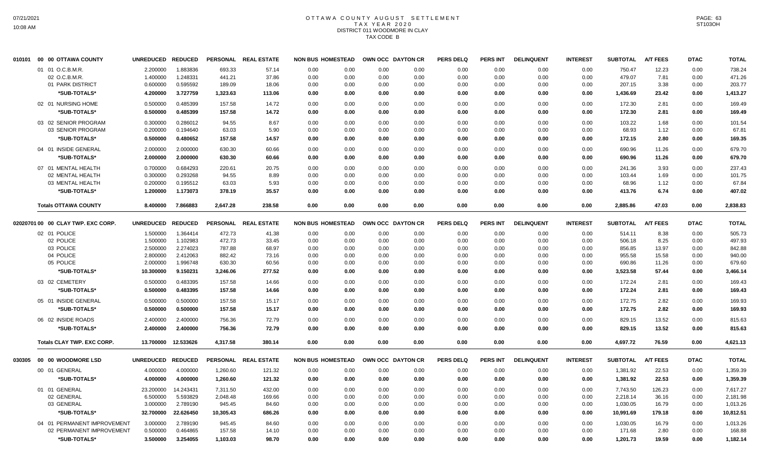# OTTAWA COUNTY AUGUST SETTLEMENT T A X Y E A R 2 0 2 0 DISTRICT 011 WOODMORE IN CLAY TAX CODE B

| 00 00 OTTAWA COUNTY                |                                                                                                                                                                                                                                                          |                                                                                 |                                                                                                                                                                                                                                                                                                                                                                                        |                                                                                                                                              |                                                                                                                                                                                                   |                                                                                                      |                                                                                                                                                                                                  |                                                                                                              | <b>PERS DELQ</b>                                                                                                                                                            | <b>PERS INT</b>                                                                                                          | <b>DELINQUENT</b>                                                                                                       | <b>INTEREST</b>                                                                                                           | <b>SUBTOTAL</b>                                                                                                         | <b>A/T FEES</b>                                                                                                                                       | <b>DTAC</b>                                                                                                                            | <b>TOTAL</b>                                                                                                        |
|------------------------------------|----------------------------------------------------------------------------------------------------------------------------------------------------------------------------------------------------------------------------------------------------------|---------------------------------------------------------------------------------|----------------------------------------------------------------------------------------------------------------------------------------------------------------------------------------------------------------------------------------------------------------------------------------------------------------------------------------------------------------------------------------|----------------------------------------------------------------------------------------------------------------------------------------------|---------------------------------------------------------------------------------------------------------------------------------------------------------------------------------------------------|------------------------------------------------------------------------------------------------------|--------------------------------------------------------------------------------------------------------------------------------------------------------------------------------------------------|--------------------------------------------------------------------------------------------------------------|-----------------------------------------------------------------------------------------------------------------------------------------------------------------------------|--------------------------------------------------------------------------------------------------------------------------|-------------------------------------------------------------------------------------------------------------------------|---------------------------------------------------------------------------------------------------------------------------|-------------------------------------------------------------------------------------------------------------------------|-------------------------------------------------------------------------------------------------------------------------------------------------------|----------------------------------------------------------------------------------------------------------------------------------------|---------------------------------------------------------------------------------------------------------------------|
| 01 01 O.C.B.M.R.                   | 2.200000                                                                                                                                                                                                                                                 | 1.883836                                                                        | 693.33                                                                                                                                                                                                                                                                                                                                                                                 | 57.14                                                                                                                                        | 0.00                                                                                                                                                                                              | 0.00                                                                                                 | 0.00                                                                                                                                                                                             | 0.00                                                                                                         | 0.00                                                                                                                                                                        | 0.00                                                                                                                     | 0.00                                                                                                                    | 0.00                                                                                                                      | 750.47                                                                                                                  | 12.23                                                                                                                                                 | 0.00                                                                                                                                   | 738.24                                                                                                              |
| 02 O.C.B.M.R                       | 1.400000                                                                                                                                                                                                                                                 | 1.248331                                                                        | 441.21                                                                                                                                                                                                                                                                                                                                                                                 | 37.86                                                                                                                                        | 0.00                                                                                                                                                                                              | 0.00                                                                                                 | 0.00                                                                                                                                                                                             | 0.00                                                                                                         | 0.00                                                                                                                                                                        | 0.00                                                                                                                     | 0.00                                                                                                                    | 0.00                                                                                                                      | 479.07                                                                                                                  | 7.81                                                                                                                                                  | 0.00                                                                                                                                   | 471.26                                                                                                              |
| 01 PARK DISTRICT                   | 0.600000                                                                                                                                                                                                                                                 | 0.595592                                                                        | 189.09                                                                                                                                                                                                                                                                                                                                                                                 | 18.06                                                                                                                                        | 0.00                                                                                                                                                                                              | 0.00                                                                                                 | 0.00                                                                                                                                                                                             | 0.00                                                                                                         | 0.00                                                                                                                                                                        | 0.00                                                                                                                     | 0.00                                                                                                                    | 0.00                                                                                                                      | 207.15                                                                                                                  | 3.38                                                                                                                                                  | 0.00                                                                                                                                   | 203.77                                                                                                              |
| *SUB-TOTALS*                       | 4.200000                                                                                                                                                                                                                                                 | 3.727759                                                                        | 1,323.63                                                                                                                                                                                                                                                                                                                                                                               | 113.06                                                                                                                                       | 0.00                                                                                                                                                                                              | 0.00                                                                                                 | 0.00                                                                                                                                                                                             | 0.00                                                                                                         | 0.00                                                                                                                                                                        | 0.00                                                                                                                     | 0.00                                                                                                                    | 0.00                                                                                                                      | 1,436.69                                                                                                                | 23.42                                                                                                                                                 | 0.00                                                                                                                                   | 1,413.27                                                                                                            |
| 02 01 NURSING HOME                 | 0.500000                                                                                                                                                                                                                                                 | 0.485399                                                                        | 157.58                                                                                                                                                                                                                                                                                                                                                                                 | 14.72                                                                                                                                        | 0.00                                                                                                                                                                                              | 0.00                                                                                                 | 0.00                                                                                                                                                                                             | 0.00                                                                                                         | 0.00                                                                                                                                                                        | 0.00                                                                                                                     | 0.00                                                                                                                    | 0.00                                                                                                                      | 172.30                                                                                                                  | 2.81                                                                                                                                                  | 0.00                                                                                                                                   | 169.49                                                                                                              |
| *SUB-TOTALS*                       | 0.500000                                                                                                                                                                                                                                                 | 0.485399                                                                        | 157.58                                                                                                                                                                                                                                                                                                                                                                                 | 14.72                                                                                                                                        | 0.00                                                                                                                                                                                              | 0.00                                                                                                 | 0.00                                                                                                                                                                                             | 0.00                                                                                                         | 0.00                                                                                                                                                                        | 0.00                                                                                                                     | 0.00                                                                                                                    | 0.00                                                                                                                      | 172.30                                                                                                                  | 2.81                                                                                                                                                  | 0.00                                                                                                                                   | 169.49                                                                                                              |
|                                    |                                                                                                                                                                                                                                                          |                                                                                 |                                                                                                                                                                                                                                                                                                                                                                                        |                                                                                                                                              |                                                                                                                                                                                                   |                                                                                                      |                                                                                                                                                                                                  |                                                                                                              |                                                                                                                                                                             |                                                                                                                          |                                                                                                                         |                                                                                                                           |                                                                                                                         |                                                                                                                                                       |                                                                                                                                        | 101.54                                                                                                              |
|                                    |                                                                                                                                                                                                                                                          |                                                                                 |                                                                                                                                                                                                                                                                                                                                                                                        |                                                                                                                                              |                                                                                                                                                                                                   |                                                                                                      |                                                                                                                                                                                                  |                                                                                                              |                                                                                                                                                                             |                                                                                                                          |                                                                                                                         |                                                                                                                           |                                                                                                                         |                                                                                                                                                       |                                                                                                                                        | 67.81                                                                                                               |
|                                    |                                                                                                                                                                                                                                                          |                                                                                 |                                                                                                                                                                                                                                                                                                                                                                                        |                                                                                                                                              |                                                                                                                                                                                                   |                                                                                                      |                                                                                                                                                                                                  |                                                                                                              |                                                                                                                                                                             |                                                                                                                          |                                                                                                                         |                                                                                                                           |                                                                                                                         |                                                                                                                                                       |                                                                                                                                        | 169.35                                                                                                              |
|                                    |                                                                                                                                                                                                                                                          |                                                                                 |                                                                                                                                                                                                                                                                                                                                                                                        |                                                                                                                                              |                                                                                                                                                                                                   |                                                                                                      |                                                                                                                                                                                                  |                                                                                                              |                                                                                                                                                                             |                                                                                                                          |                                                                                                                         |                                                                                                                           |                                                                                                                         |                                                                                                                                                       |                                                                                                                                        | 679.70                                                                                                              |
|                                    |                                                                                                                                                                                                                                                          |                                                                                 |                                                                                                                                                                                                                                                                                                                                                                                        |                                                                                                                                              |                                                                                                                                                                                                   |                                                                                                      |                                                                                                                                                                                                  |                                                                                                              |                                                                                                                                                                             |                                                                                                                          |                                                                                                                         |                                                                                                                           |                                                                                                                         |                                                                                                                                                       |                                                                                                                                        | 679.70                                                                                                              |
|                                    |                                                                                                                                                                                                                                                          |                                                                                 |                                                                                                                                                                                                                                                                                                                                                                                        |                                                                                                                                              |                                                                                                                                                                                                   |                                                                                                      |                                                                                                                                                                                                  |                                                                                                              |                                                                                                                                                                             |                                                                                                                          |                                                                                                                         |                                                                                                                           |                                                                                                                         |                                                                                                                                                       |                                                                                                                                        |                                                                                                                     |
|                                    |                                                                                                                                                                                                                                                          |                                                                                 |                                                                                                                                                                                                                                                                                                                                                                                        |                                                                                                                                              |                                                                                                                                                                                                   |                                                                                                      |                                                                                                                                                                                                  |                                                                                                              |                                                                                                                                                                             |                                                                                                                          |                                                                                                                         |                                                                                                                           |                                                                                                                         |                                                                                                                                                       |                                                                                                                                        | 237.43<br>101.75                                                                                                    |
|                                    |                                                                                                                                                                                                                                                          |                                                                                 |                                                                                                                                                                                                                                                                                                                                                                                        |                                                                                                                                              |                                                                                                                                                                                                   |                                                                                                      |                                                                                                                                                                                                  |                                                                                                              |                                                                                                                                                                             |                                                                                                                          |                                                                                                                         |                                                                                                                           |                                                                                                                         |                                                                                                                                                       |                                                                                                                                        |                                                                                                                     |
|                                    |                                                                                                                                                                                                                                                          |                                                                                 |                                                                                                                                                                                                                                                                                                                                                                                        |                                                                                                                                              |                                                                                                                                                                                                   |                                                                                                      |                                                                                                                                                                                                  |                                                                                                              |                                                                                                                                                                             |                                                                                                                          |                                                                                                                         |                                                                                                                           |                                                                                                                         |                                                                                                                                                       |                                                                                                                                        | 67.84<br>407.02                                                                                                     |
|                                    |                                                                                                                                                                                                                                                          |                                                                                 |                                                                                                                                                                                                                                                                                                                                                                                        |                                                                                                                                              |                                                                                                                                                                                                   |                                                                                                      |                                                                                                                                                                                                  |                                                                                                              |                                                                                                                                                                             |                                                                                                                          |                                                                                                                         |                                                                                                                           |                                                                                                                         |                                                                                                                                                       |                                                                                                                                        |                                                                                                                     |
| <b>Totals OTTAWA COUNTY</b>        | 8.400000                                                                                                                                                                                                                                                 |                                                                                 |                                                                                                                                                                                                                                                                                                                                                                                        | 238.58                                                                                                                                       | 0.00                                                                                                                                                                                              | 0.00                                                                                                 | 0.00                                                                                                                                                                                             | 0.00                                                                                                         | 0.00                                                                                                                                                                        | 0.00                                                                                                                     | 0.00                                                                                                                    | 0.00                                                                                                                      | 2,885.86                                                                                                                | 47.03                                                                                                                                                 | 0.00                                                                                                                                   | 2,838.83                                                                                                            |
| 02020701 00 00 CLAY TWP. EXC CORP. |                                                                                                                                                                                                                                                          | <b>REDUCED</b>                                                                  |                                                                                                                                                                                                                                                                                                                                                                                        |                                                                                                                                              |                                                                                                                                                                                                   |                                                                                                      |                                                                                                                                                                                                  |                                                                                                              | <b>PERS DELQ</b>                                                                                                                                                            | <b>PERS INT</b>                                                                                                          | <b>DELINQUENT</b>                                                                                                       | <b>INTEREST</b>                                                                                                           | <b>SUBTOTAL</b>                                                                                                         | <b>A/T FEES</b>                                                                                                                                       | <b>DTAC</b>                                                                                                                            | <b>TOTAL</b>                                                                                                        |
| 02 01 POLICE                       | 1.500000                                                                                                                                                                                                                                                 | 1.364414                                                                        | 472.73                                                                                                                                                                                                                                                                                                                                                                                 | 41.38                                                                                                                                        | 0.00                                                                                                                                                                                              | 0.00                                                                                                 | 0.00                                                                                                                                                                                             | 0.00                                                                                                         | 0.00                                                                                                                                                                        | 0.00                                                                                                                     | 0.00                                                                                                                    | 0.00                                                                                                                      | 514.11                                                                                                                  | 8.38                                                                                                                                                  | 0.00                                                                                                                                   | 505.73                                                                                                              |
| 02 POLICE                          | 1.500000                                                                                                                                                                                                                                                 | 1.102983                                                                        | 472.73                                                                                                                                                                                                                                                                                                                                                                                 | 33.45                                                                                                                                        | 0.00                                                                                                                                                                                              | 0.00                                                                                                 | 0.00                                                                                                                                                                                             | 0.00                                                                                                         | 0.00                                                                                                                                                                        | 0.00                                                                                                                     | 0.00                                                                                                                    | 0.00                                                                                                                      | 506.18                                                                                                                  | 8.25                                                                                                                                                  | 0.00                                                                                                                                   | 497.93                                                                                                              |
| 03 POLICE                          | 2.500000                                                                                                                                                                                                                                                 | 2.274023                                                                        | 787.88                                                                                                                                                                                                                                                                                                                                                                                 | 68.97                                                                                                                                        | 0.00                                                                                                                                                                                              | 0.00                                                                                                 | 0.00                                                                                                                                                                                             | 0.00                                                                                                         | 0.00                                                                                                                                                                        | 0.00                                                                                                                     | 0.00                                                                                                                    | 0.00                                                                                                                      | 856.85                                                                                                                  | 13.97                                                                                                                                                 | 0.00                                                                                                                                   | 842.88                                                                                                              |
| 04 POLICE                          | 2.800000                                                                                                                                                                                                                                                 | 2.412063                                                                        | 882.42                                                                                                                                                                                                                                                                                                                                                                                 | 73.16                                                                                                                                        | 0.00                                                                                                                                                                                              | 0.00                                                                                                 | 0.00                                                                                                                                                                                             | 0.00                                                                                                         | 0.00                                                                                                                                                                        | 0.00                                                                                                                     | 0.00                                                                                                                    | 0.00                                                                                                                      | 955.58                                                                                                                  | 15.58                                                                                                                                                 | 0.00                                                                                                                                   | 940.00                                                                                                              |
| 05 POLICE                          | 2.000000                                                                                                                                                                                                                                                 | 1.996748                                                                        | 630.30                                                                                                                                                                                                                                                                                                                                                                                 | 60.56                                                                                                                                        | 0.00                                                                                                                                                                                              | 0.00                                                                                                 | 0.00                                                                                                                                                                                             | 0.00                                                                                                         | 0.00                                                                                                                                                                        | 0.00                                                                                                                     | 0.00                                                                                                                    | 0.00                                                                                                                      | 690.86                                                                                                                  | 11.26                                                                                                                                                 | 0.00                                                                                                                                   | 679.60                                                                                                              |
| *SUB-TOTALS*                       | 10.300000                                                                                                                                                                                                                                                | 9.150231                                                                        | 3,246.06                                                                                                                                                                                                                                                                                                                                                                               | 277.52                                                                                                                                       | 0.00                                                                                                                                                                                              | 0.00                                                                                                 | 0.00                                                                                                                                                                                             | 0.00                                                                                                         | 0.00                                                                                                                                                                        | 0.00                                                                                                                     | 0.00                                                                                                                    | 0.00                                                                                                                      | 3,523.58                                                                                                                | 57.44                                                                                                                                                 | 0.00                                                                                                                                   | 3,466.14                                                                                                            |
| 03 02 CEMETERY                     | 0.500000                                                                                                                                                                                                                                                 | 0.483395                                                                        | 157.58                                                                                                                                                                                                                                                                                                                                                                                 | 14.66                                                                                                                                        | 0.00                                                                                                                                                                                              | 0.00                                                                                                 | 0.00                                                                                                                                                                                             | 0.00                                                                                                         | 0.00                                                                                                                                                                        | 0.00                                                                                                                     | 0.00                                                                                                                    | 0.00                                                                                                                      | 172.24                                                                                                                  | 2.81                                                                                                                                                  | 0.00                                                                                                                                   | 169.43                                                                                                              |
| *SUB-TOTALS*                       | 0.500000                                                                                                                                                                                                                                                 | 0.483395                                                                        | 157.58                                                                                                                                                                                                                                                                                                                                                                                 | 14.66                                                                                                                                        | 0.00                                                                                                                                                                                              | 0.00                                                                                                 | 0.00                                                                                                                                                                                             | 0.00                                                                                                         | 0.00                                                                                                                                                                        | 0.00                                                                                                                     | 0.00                                                                                                                    | 0.00                                                                                                                      | 172.24                                                                                                                  | 2.81                                                                                                                                                  | 0.00                                                                                                                                   | 169.43                                                                                                              |
| 05 01 INSIDE GENERAL               | 0.500000                                                                                                                                                                                                                                                 | 0.500000                                                                        | 157.58                                                                                                                                                                                                                                                                                                                                                                                 |                                                                                                                                              | 0.00                                                                                                                                                                                              |                                                                                                      |                                                                                                                                                                                                  |                                                                                                              | 0.00                                                                                                                                                                        | 0.00                                                                                                                     | 0.00                                                                                                                    | 0.00                                                                                                                      | 172.75                                                                                                                  |                                                                                                                                                       | 0.00                                                                                                                                   | 169.93                                                                                                              |
| *SUB-TOTALS*                       | 0.500000                                                                                                                                                                                                                                                 | 0.500000                                                                        | 157.58                                                                                                                                                                                                                                                                                                                                                                                 | 15.17                                                                                                                                        | 0.00                                                                                                                                                                                              | 0.00                                                                                                 | 0.00                                                                                                                                                                                             | 0.00                                                                                                         | 0.00                                                                                                                                                                        | 0.00                                                                                                                     | 0.00                                                                                                                    | 0.00                                                                                                                      | 172.75                                                                                                                  | 2.82                                                                                                                                                  | 0.00                                                                                                                                   | 169.93                                                                                                              |
| 06 02 INSIDE ROADS                 |                                                                                                                                                                                                                                                          | 2.400000                                                                        |                                                                                                                                                                                                                                                                                                                                                                                        |                                                                                                                                              |                                                                                                                                                                                                   |                                                                                                      |                                                                                                                                                                                                  |                                                                                                              |                                                                                                                                                                             |                                                                                                                          |                                                                                                                         |                                                                                                                           |                                                                                                                         |                                                                                                                                                       |                                                                                                                                        | 815.63                                                                                                              |
| *SUB-TOTALS*                       | 2.400000                                                                                                                                                                                                                                                 | 2.400000                                                                        | 756.36                                                                                                                                                                                                                                                                                                                                                                                 | 72.79                                                                                                                                        | 0.00                                                                                                                                                                                              | 0.00                                                                                                 | 0.00                                                                                                                                                                                             | 0.00                                                                                                         | 0.00                                                                                                                                                                        | 0.00                                                                                                                     | 0.00                                                                                                                    | 0.00                                                                                                                      | 829.15                                                                                                                  | 13.52                                                                                                                                                 | 0.00                                                                                                                                   | 815.63                                                                                                              |
| <b>Totals CLAY TWP, EXC CORP.</b>  |                                                                                                                                                                                                                                                          | 12.533626                                                                       | 4,317.58                                                                                                                                                                                                                                                                                                                                                                               | 380.14                                                                                                                                       | 0.00                                                                                                                                                                                              | 0.00                                                                                                 | 0.00                                                                                                                                                                                             | 0.00                                                                                                         | 0.00                                                                                                                                                                        | 0.00                                                                                                                     | 0.00                                                                                                                    | 0.00                                                                                                                      | 4,697.72                                                                                                                | 76.59                                                                                                                                                 | 0.00                                                                                                                                   | 4,621.13                                                                                                            |
|                                    |                                                                                                                                                                                                                                                          |                                                                                 |                                                                                                                                                                                                                                                                                                                                                                                        |                                                                                                                                              |                                                                                                                                                                                                   |                                                                                                      |                                                                                                                                                                                                  |                                                                                                              |                                                                                                                                                                             |                                                                                                                          |                                                                                                                         |                                                                                                                           |                                                                                                                         |                                                                                                                                                       |                                                                                                                                        | <b>TOTAL</b>                                                                                                        |
|                                    |                                                                                                                                                                                                                                                          |                                                                                 |                                                                                                                                                                                                                                                                                                                                                                                        |                                                                                                                                              |                                                                                                                                                                                                   |                                                                                                      |                                                                                                                                                                                                  |                                                                                                              |                                                                                                                                                                             |                                                                                                                          |                                                                                                                         |                                                                                                                           |                                                                                                                         |                                                                                                                                                       |                                                                                                                                        |                                                                                                                     |
|                                    |                                                                                                                                                                                                                                                          |                                                                                 |                                                                                                                                                                                                                                                                                                                                                                                        |                                                                                                                                              |                                                                                                                                                                                                   |                                                                                                      |                                                                                                                                                                                                  |                                                                                                              |                                                                                                                                                                             |                                                                                                                          |                                                                                                                         |                                                                                                                           |                                                                                                                         |                                                                                                                                                       |                                                                                                                                        | 1,359.39                                                                                                            |
|                                    |                                                                                                                                                                                                                                                          |                                                                                 |                                                                                                                                                                                                                                                                                                                                                                                        |                                                                                                                                              |                                                                                                                                                                                                   |                                                                                                      |                                                                                                                                                                                                  |                                                                                                              |                                                                                                                                                                             |                                                                                                                          |                                                                                                                         |                                                                                                                           |                                                                                                                         |                                                                                                                                                       |                                                                                                                                        | 1,359.39                                                                                                            |
|                                    |                                                                                                                                                                                                                                                          |                                                                                 |                                                                                                                                                                                                                                                                                                                                                                                        |                                                                                                                                              |                                                                                                                                                                                                   |                                                                                                      |                                                                                                                                                                                                  |                                                                                                              |                                                                                                                                                                             |                                                                                                                          |                                                                                                                         |                                                                                                                           |                                                                                                                         |                                                                                                                                                       |                                                                                                                                        | 7,617.27                                                                                                            |
| 02 GENERAL                         | 6.500000                                                                                                                                                                                                                                                 | 5.593829                                                                        | 2,048.48                                                                                                                                                                                                                                                                                                                                                                               | 169.66                                                                                                                                       | 0.00                                                                                                                                                                                              | 0.00                                                                                                 | 0.00                                                                                                                                                                                             | 0.00                                                                                                         | 0.00                                                                                                                                                                        | 0.00                                                                                                                     | 0.00                                                                                                                    | 0.00                                                                                                                      | 2,218.14                                                                                                                | 36.16                                                                                                                                                 | 0.00                                                                                                                                   | 2,181.98                                                                                                            |
| 03 GENERAL                         | 3.000000                                                                                                                                                                                                                                                 | 2.789190                                                                        | 945.45                                                                                                                                                                                                                                                                                                                                                                                 | 84.60                                                                                                                                        | 0.00                                                                                                                                                                                              | 0.00                                                                                                 | 0.00                                                                                                                                                                                             | 0.00                                                                                                         | 0.00                                                                                                                                                                        | 0.00                                                                                                                     | 0.00                                                                                                                    | 0.00                                                                                                                      | 1,030.05                                                                                                                | 16.79                                                                                                                                                 | 0.00                                                                                                                                   | 1,013.26                                                                                                            |
| *SUB-TOTALS*                       |                                                                                                                                                                                                                                                          | 22.626450                                                                       | 10,305.43                                                                                                                                                                                                                                                                                                                                                                              | 686.26                                                                                                                                       | 0.00                                                                                                                                                                                              | 0.00                                                                                                 | 0.00                                                                                                                                                                                             | 0.00                                                                                                         | 0.00                                                                                                                                                                        | 0.00                                                                                                                     | 0.00                                                                                                                    | 0.00                                                                                                                      | 10,991.69                                                                                                               | 179.18                                                                                                                                                | 0.00                                                                                                                                   | 10,812.51                                                                                                           |
|                                    | 3.000000                                                                                                                                                                                                                                                 | 2.789190                                                                        | 945.45                                                                                                                                                                                                                                                                                                                                                                                 | 84.60                                                                                                                                        | 0.00                                                                                                                                                                                              | 0.00                                                                                                 | 0.00                                                                                                                                                                                             | 0.00                                                                                                         | 0.00                                                                                                                                                                        | 0.00                                                                                                                     | 0.00                                                                                                                    | 0.00                                                                                                                      | 1,030.05                                                                                                                | 16.79                                                                                                                                                 | 0.00                                                                                                                                   | 1,013.26                                                                                                            |
|                                    | 0.500000                                                                                                                                                                                                                                                 | 0.464865                                                                        | 157.58                                                                                                                                                                                                                                                                                                                                                                                 | 14.10                                                                                                                                        | 0.00                                                                                                                                                                                              | 0.00                                                                                                 | 0.00                                                                                                                                                                                             | 0.00                                                                                                         | 0.00                                                                                                                                                                        | 0.00                                                                                                                     | 0.00                                                                                                                    | 0.00                                                                                                                      | 171.68                                                                                                                  | 2.80                                                                                                                                                  | 0.00                                                                                                                                   | 168.88                                                                                                              |
| *SUB-TOTALS*                       | 3.500000                                                                                                                                                                                                                                                 | 3.254055                                                                        | 1,103.03                                                                                                                                                                                                                                                                                                                                                                               | 98.70                                                                                                                                        | 0.00                                                                                                                                                                                              | 0.00                                                                                                 | 0.00                                                                                                                                                                                             | 0.00                                                                                                         | 0.00                                                                                                                                                                        | 0.00                                                                                                                     | 0.00                                                                                                                    | 0.00                                                                                                                      | 1,201.73                                                                                                                | 19.59                                                                                                                                                 | 0.00                                                                                                                                   | 1,182.14                                                                                                            |
|                                    | 03 02 SENIOR PROGRAM<br>03 SENIOR PROGRAM<br>*SUB-TOTALS*<br>04 01 INSIDE GENERAL<br>*SUB-TOTALS*<br>07 01 MENTAL HEALTH<br>02 MENTAL HEALTH<br>03 MENTAL HEALTH<br>*SUB-TOTALS*<br>00 00 WOODMORE LSD<br>00 01 GENERAL<br>*SUB-TOTALS*<br>01 01 GENERAL | 0.300000<br>2.400000<br>04 01 PERMANENT IMPROVEMENT<br>02 PERMANENT IMPROVEMENT | UNREDUCED REDUCED<br>0.286012<br>0.200000<br>0.194640<br>0.480652<br>0.500000<br>2.000000<br>2.000000<br>2.000000<br>2.000000<br>0.684293<br>0.700000<br>0.293268<br>0.300000<br>0.200000<br>0.195512<br>1.173073<br>1.200000<br>7.866883<br><b>UNREDUCED</b><br>13.700000<br>UNREDUCED REDUCED<br>4.000000<br>4.000000<br>4.000000<br>4.000000<br>14.243431<br>23.200000<br>32.700000 | 94.55<br>63.03<br>157.58<br>630.30<br>630.30<br>220.61<br>94.55<br>63.03<br>378.19<br>2,647.28<br>756.36<br>1,260.60<br>1,260.60<br>7,311.50 | PERSONAL REAL ESTATE<br>8.67<br>5.90<br>14.57<br>60.66<br>60.66<br>20.75<br>8.89<br>5.93<br>35.57<br>PERSONAL REAL ESTATE<br>15.17<br>72.79<br>PERSONAL REAL ESTATE<br>121.32<br>121.32<br>432.00 | 0.00<br>0.00<br>0.00<br>0.00<br>0.00<br>0.00<br>0.00<br>0.00<br>0.00<br>0.00<br>0.00<br>0.00<br>0.00 | <b>NON BUS HOMESTEAD</b><br>0.00<br>0.00<br>0.00<br>0.00<br>0.00<br>0.00<br>0.00<br>0.00<br>0.00<br><b>NON BUS HOMESTEAD</b><br>0.00<br>0.00<br><b>NON BUS HOMESTEAD</b><br>0.00<br>0.00<br>0.00 | 0.00<br>0.00<br>0.00<br>0.00<br>0.00<br>0.00<br>0.00<br>0.00<br>0.00<br>0.00<br>0.00<br>0.00<br>0.00<br>0.00 | OWN OCC DAYTON CR<br>0.00<br>0.00<br>0.00<br>0.00<br>0.00<br>0.00<br>0.00<br>0.00<br>0.00<br>OWN OCC DAYTON CR<br>0.00<br>0.00<br>OWN OCC DAYTON CR<br>0.00<br>0.00<br>0.00 | 0.00<br>0.00<br>0.00<br>0.00<br>0.00<br>0.00<br>0.00<br>0.00<br>0.00<br>0.00<br><b>PERS DELQ</b><br>0.00<br>0.00<br>0.00 | 0.00<br>0.00<br>0.00<br>0.00<br>0.00<br>0.00<br>0.00<br>0.00<br>0.00<br>0.00<br><b>PERS INT</b><br>0.00<br>0.00<br>0.00 | 0.00<br>0.00<br>0.00<br>0.00<br>0.00<br>0.00<br>0.00<br>0.00<br>0.00<br>0.00<br><b>DELINQUENT</b><br>0.00<br>0.00<br>0.00 | 0.00<br>0.00<br>0.00<br>0.00<br>0.00<br>0.00<br>0.00<br>0.00<br>0.00<br>0.00<br><b>INTEREST</b><br>0.00<br>0.00<br>0.00 | 103.22<br>68.93<br>172.15<br>690.96<br>690.96<br>241.36<br>103.44<br>68.96<br>413.76<br>829.15<br><b>SUBTOTAL</b><br>1,381.92<br>1,381.92<br>7,743.50 | 1.68<br>1.12<br>2.80<br>11.26<br>11.26<br>3.93<br>1.69<br>1.12<br>6.74<br>2.82<br>13.52<br><b>A/T FEES</b><br>22.53<br>22.53<br>126.23 | 0.00<br>0.00<br>0.00<br>0.00<br>0.00<br>0.00<br>0.00<br>0.00<br>0.00<br>0.00<br><b>DTAC</b><br>0.00<br>0.00<br>0.00 |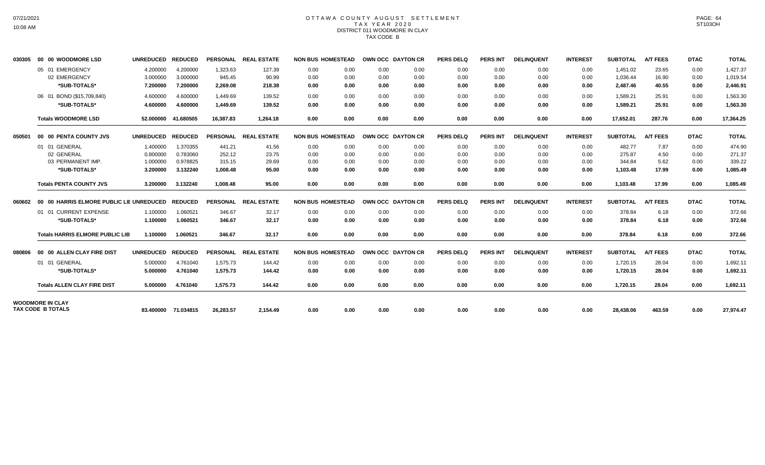# OTTAWA COUNTY AUGUST SETTLEMENT T A X Y E A R 2 0 2 0 DISTRICT 011 WOODMORE IN CLAY TAX CODE B

| 030305 | 00 00 WOODMORE LSD                                  | <b>UNREDUCED</b>     | <b>REDUCED</b>       |                    | PERSONAL REAL ESTATE | <b>NON BUS HOMESTEAD</b> |              | OWN OCC DAYTON CR |              | <b>PERS DELQ</b> | <b>PERS INT</b> | <b>DELINQUENT</b> | <b>INTEREST</b> | <b>SUBTOTAL</b>      | <b>A/T FEES</b> | <b>DTAC</b>  | <b>TOTAL</b>         |
|--------|-----------------------------------------------------|----------------------|----------------------|--------------------|----------------------|--------------------------|--------------|-------------------|--------------|------------------|-----------------|-------------------|-----------------|----------------------|-----------------|--------------|----------------------|
|        | 05 01 EMERGENCY<br>02 EMERGENCY                     | 4.200000<br>3.000000 | 4.200000<br>3.000000 | 1,323.63<br>945.45 | 127.39<br>90.99      | 0.00<br>0.00             | 0.00<br>0.00 | 0.00<br>0.00      | 0.00<br>0.00 | 0.00<br>0.00     | 0.00<br>0.00    | 0.00<br>0.00      | 0.00<br>0.00    | 1,451.02<br>1,036.44 | 23.65<br>16.90  | 0.00<br>0.00 | 1,427.37<br>1,019.54 |
|        | *SUB-TOTALS*                                        | 7.200000             | 7.200000             | 2,269.08           | 218.38               | 0.00                     | 0.00         | 0.00              | 0.00         | 0.00             | 0.00            | 0.00              | 0.00            | 2,487.46             | 40.55           | 0.00         | 2,446.91             |
|        | 06 01 BOND (\$15,709,840)                           | 4.600000             | 4.600000             | 1.449.69           | 139.52               | 0.00                     | 0.00         | 0.00              | 0.00         | 0.00             | 0.00            | 0.00              | 0.00            | 1,589.21             | 25.91           | 0.00         | 1,563.30             |
|        | *SUB-TOTALS*                                        | 4.600000             | 4.600000             | 1,449.69           | 139.52               | 0.00                     | 0.00         | 0.00              | 0.00         | 0.00             | 0.00            | 0.00              | 0.00            | 1,589.21             | 25.91           | 0.00         | 1,563.30             |
|        | <b>Totals WOODMORE LSD</b>                          | 52.000000            | 41.680505            | 16,387.83          | 1,264.18             | 0.00                     | 0.00         | 0.00              | 0.00         | 0.00             | 0.00            | 0.00              | 0.00            | 17,652.01            | 287.76          | 0.00         | 17,364.25            |
| 050501 | 00 00 PENTA COUNTY JVS                              | UNREDUCED REDUCED    |                      |                    | PERSONAL REAL ESTATE | <b>NON BUS HOMESTEAD</b> |              | OWN OCC DAYTON CR |              | <b>PERS DELQ</b> | PERS INT        | <b>DELINQUENT</b> | <b>INTEREST</b> | <b>SUBTOTAL</b>      | <b>A/T FEES</b> | <b>DTAC</b>  | <b>TOTAL</b>         |
|        | 01 01 GENERAL                                       | 1.400000             | 1.370355             | 441.21             | 41.56                | 0.00                     | 0.00         | 0.00              | 0.00         | 0.00             | 0.00            | 0.00              | 0.00            | 482.77               | 7.87            | 0.00         | 474.90               |
|        | 02 GENERAL                                          | 0.800000             | 0.783060             | 252.12             | 23.75                | 0.00                     | 0.00         | 0.00              | 0.00         | 0.00             | 0.00            | 0.00              | 0.00            | 275.87               | 4.50            | 0.00         | 271.37               |
|        | 03 PERMANENT IMP.                                   | 1.000000             | 0.978825             | 315.15             | 29.69                | 0.00                     | 0.00         | 0.00              | 0.00         | 0.00             | 0.00            | 0.00              | 0.00            | 344.84               | 5.62            | 0.00         | 339.22               |
|        | *SUB-TOTALS*                                        | 3.200000             | 3.132240             | 1,008.48           | 95.00                | 0.00                     | 0.00         | 0.00              | 0.00         | 0.00             | 0.00            | 0.00              | 0.00            | 1,103.48             | 17.99           | 0.00         | 1,085.49             |
|        | <b>Totals PENTA COUNTY JVS</b>                      | 3.200000             | 3.132240             | 1,008.48           | 95.00                | 0.00                     | 0.00         | 0.00              | 0.00         | 0.00             | 0.00            | 0.00              | 0.00            | 1,103.48             | 17.99           | 0.00         | 1,085.49             |
| 060602 | 00 00 HARRIS ELMORE PUBLIC LIE UNREDUCED            |                      | <b>REDUCED</b>       |                    | PERSONAL REAL ESTATE | <b>NON BUS HOMESTEAD</b> |              | OWN OCC DAYTON CR |              | <b>PERS DELQ</b> | <b>PERS INT</b> | <b>DELINQUENT</b> | <b>INTEREST</b> | <b>SUBTOTAL</b>      | <b>A/T FEES</b> | <b>DTAC</b>  | <b>TOTAL</b>         |
|        | 01 01 CURRENT EXPENSE                               | 1.100000             | 1.060521             | 346.67             | 32.17                | 0.00                     | 0.00         | 0.00              | 0.00         | 0.00             | 0.00            | 0.00              | 0.00            | 378.84               | 6.18            | 0.00         | 372.66               |
|        | *SUB-TOTALS*                                        | 1.100000             | 1.060521             | 346.67             | 32.17                | 0.00                     | 0.00         | 0.00              | 0.00         | 0.00             | 0.00            | 0.00              | 0.00            | 378.84               | 6.18            | 0.00         | 372.66               |
|        | <b>Totals HARRIS ELMORE PUBLIC LIB</b>              | 1.100000             | 1.060521             | 346.67             | 32.17                | 0.00                     | 0.00         | 0.00              | 0.00         | 0.00             | 0.00            | 0.00              | 0.00            | 378.84               | 6.18            | 0.00         | 372.66               |
| 080806 | 00 00 ALLEN CLAY FIRE DIST                          | UNREDUCED REDUCED    |                      |                    | PERSONAL REAL ESTATE | <b>NON BUS HOMESTEAD</b> |              | OWN OCC DAYTON CR |              | <b>PERS DELQ</b> | <b>PERS INT</b> | <b>DELINQUENT</b> | <b>INTEREST</b> | <b>SUBTOTAL</b>      | <b>A/T FEES</b> | <b>DTAC</b>  | <b>TOTAL</b>         |
|        | 01 01 GENERAL                                       | 5.000000             | 4.761040             | 1.575.73           | 144.42               | 0.00                     | 0.00         | 0.00              | 0.00         | 0.00             | 0.00            | 0.00              | 0.00            | 1.720.15             | 28.04           | 0.00         | 1,692.11             |
|        | *SUB-TOTALS*                                        | 5.000000             | 4.761040             | 1.575.73           | 144.42               | 0.00                     | 0.00         | 0.00              | 0.00         | 0.00             | 0.00            | 0.00              | 0.00            | 1,720.15             | 28.04           | 0.00         | 1,692.11             |
|        | <b>Totals ALLEN CLAY FIRE DIST</b>                  | 5.000000             | 4.761040             | 1,575.73           | 144.42               | 0.00                     | 0.00         | 0.00              | 0.00         | 0.00             | 0.00            | 0.00              | 0.00            | 1,720.15             | 28.04           | 0.00         | 1,692.11             |
|        | <b>WOODMORE IN CLAY</b><br><b>TAX CODE B TOTALS</b> |                      |                      |                    |                      |                          |              |                   |              |                  |                 |                   |                 |                      |                 |              |                      |
|        |                                                     |                      | 83.400000 71.034815  | 26,283.57          | 2,154.49             | 0.00                     | 0.00         | 0.00              | 0.00         | 0.00             | 0.00            | 0.00              | 0.00            | 28,438.06            | 463.59          | 0.00         | 27,974.47            |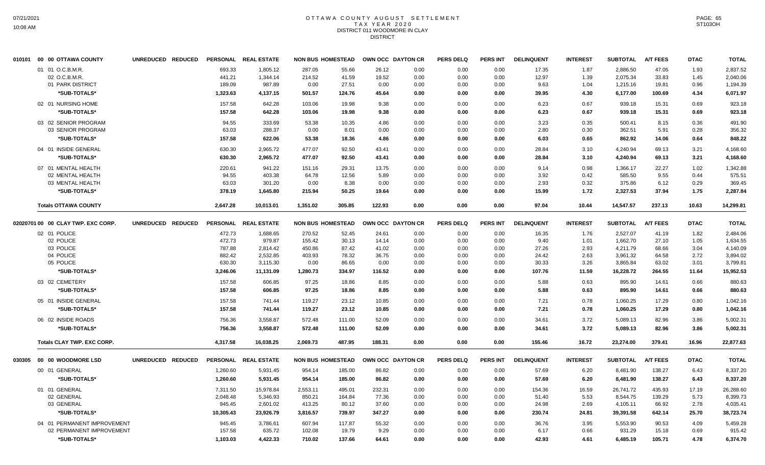## OTTAWA COUNTY AUGUST SETTLEMENT T A X Y E A R 2 0 2 0 DISTRICT 011 WOODMORE IN CLAY DISTRICT

| 01 01 O.C.B.M.R.<br>693.33<br>1,805.12<br>287.05<br>55.66<br>26.12<br>0.00<br>0.00<br>0.00<br>17.35<br>1.87<br>2,886.50<br>47.05<br>1.93<br>2,837.52<br>02 O.C.B.M.R.<br>19.52<br>12.97<br>33.83<br>441.21<br>1,344.14<br>214.52<br>41.59<br>0.00<br>0.00<br>0.00<br>1.39<br>2,075.34<br>1.45<br>2,040.06<br>01 PARK DISTRICT<br>189.09<br>987.89<br>0.00<br>27.51<br>0.00<br>0.00<br>0.00<br>0.00<br>9.63<br>1.04<br>1,215.16<br>19.81<br>0.96<br>1,194.39<br>*SUB-TOTALS*<br>1,323.63<br>4,137.15<br>501.57<br>124.76<br>45.64<br>4.30<br>6,177.00<br>4.34<br>0.00<br>0.00<br>0.00<br>39.95<br>100.69<br>6,071.97<br>02 01 NURSING HOME<br>157.58<br>642.28<br>103.06<br>9.38<br>0.67<br>939.18<br>19.98<br>0.00<br>0.00<br>0.00<br>6.23<br>15.31<br>0.69<br>923.18<br>*SUB-TOTALS*<br>157.58<br>642.28<br>103.06<br>19.98<br>9.38<br>0.00<br>0.67<br>15.31<br>0.69<br>923.18<br>0.00<br>0.00<br>6.23<br>939.18<br>03 02 SENIOR PROGRAM<br>94.55<br>333.69<br>53.38<br>10.35<br>4.86<br>0.00<br>3.23<br>0.35<br>500.41<br>8.15<br>0.36<br>491.90<br>0.00<br>0.00<br>03 SENIOR PROGRAM<br>63.03<br>288.37<br>362.51<br>5.91<br>0.00<br>8.01<br>0.00<br>0.00<br>0.00<br>0.00<br>2.80<br>0.30<br>0.28<br>356.32<br>*SUB-TOTALS*<br>157.58<br>622.06<br>53.38<br>18.36<br>4.86<br>0.65<br>14.06<br>0.64<br>848.22<br>0.00<br>0.00<br>0.00<br>6.03<br>862.92<br>477.07<br>92.50<br>04 01 INSIDE GENERAL<br>630.30<br>2,965.72<br>43.41<br>0.00<br>0.00<br>0.00<br>28.84<br>3.10<br>4,240.94<br>69.13<br>3.21<br>4,168.60<br>*SUB-TOTALS*<br>630.30<br>2,965.72<br>477.07<br>92.50<br>43.41<br>0.00<br>0.00<br>0.00<br>28.84<br>3.10<br>4,240.94<br>69.13<br>3.21<br>4,168.60<br>07 01 MENTAL HEALTH<br>220.61<br>941.22<br>151.16<br>29.31<br>13.75<br>0.00<br>0.00<br>0.00<br>9.14<br>0.98<br>1,366.17<br>22.27<br>1.02<br>1,342.88<br>403.38<br>585.50<br>9.55<br>02 MENTAL HEALTH<br>94.55<br>64.78<br>12.56<br>5.89<br>0.00<br>0.00<br>0.00<br>3.92<br>0.42<br>0.44<br>575.51<br>8.38<br>03 MENTAL HEALTH<br>63.03<br>301.20<br>0.00<br>0.00<br>0.00<br>0.00<br>0.00<br>2.93<br>0.32<br>375.86<br>6.12<br>0.29<br>369.45<br>*SUB-TOTALS*<br>378.19<br>1,645.80<br>215.94<br>50.25<br>19.64<br>0.00<br>0.00<br>0.00<br>15.99<br>1.72<br>2,327.53<br>37.94<br>1.75<br>2,287.84<br>2,647.28<br>305.85<br>122.93<br>14,547.57<br>237.13<br>10.63<br><b>Totals OTTAWA COUNTY</b><br>10.013.01<br>1,351.02<br>0.00<br>0.00<br>0.00<br>97.04<br>10.44<br>14,299.81<br>02020701 00 00 CLAY TWP. EXC CORP.<br>UNREDUCED REDUCED<br>PERSONAL REAL ESTATE<br><b>NON BUS HOMESTEAD</b><br>OWN OCC DAYTON CR<br><b>PERS DELQ</b><br><b>PERS INT</b><br><b>DELINQUENT</b><br><b>INTEREST</b><br><b>SUBTOTAL</b><br><b>A/T FEES</b><br><b>DTAC</b><br><b>TOTAL</b><br>02 01 POLICE<br>472.73<br>1,688.65<br>270.52<br>52.45<br>24.61<br>0.00<br>0.00<br>0.00<br>16.35<br>1.76<br>2,527.07<br>41.19<br>1.82<br>2,484.06<br>472.73<br>27.10<br>02 POLICE<br>979.87<br>155.42<br>30.13<br>0.00<br>0.00<br>0.00<br>9.40<br>1,662.70<br>1.05<br>1,634.55<br>14.14<br>1.01<br>03 POLICE<br>787.88<br>450.86<br>87.42<br>2.93<br>68.66<br>2,814.42<br>41.02<br>0.00<br>0.00<br>0.00<br>27.26<br>4,211.79<br>3.04<br>4,140.09<br>04 POLICE<br>882.42<br>2,532.85<br>403.93<br>78.32<br>36.75<br>0.00<br>2.63<br>3,961.32<br>64.58<br>2.72<br>0.00<br>0.00<br>24.42<br>3,894.02<br>05 POLICE<br>630.30<br>3,115.30<br>0.00<br>86.65<br>0.00<br>3.26<br>3,865.84<br>63.02<br>3.01<br>0.00<br>0.00<br>0.00<br>30.33<br>3,799.81<br>*SUB-TOTALS*<br>3,246.06<br>11,131.09<br>1,280.73<br>334.97<br>116.52<br>0.00<br>11.59<br>16,228.72<br>264.55<br>11.64<br>15,952.53<br>0.00<br>0.00<br>107.76<br>03 02 CEMETERY<br>157.58<br>606.85<br>97.25<br>18.86<br>0.63<br>895.90<br>8.85<br>0.00<br>0.00<br>0.00<br>5.88<br>14.61<br>0.66<br>880.63<br>157.58<br>97.25<br>*SUB-TOTALS*<br>606.85<br>18.86<br>8.85<br>0.00<br>0.00<br>0.00<br>5.88<br>0.63<br>895.90<br>14.61<br>0.66<br>880.63<br>05 01 INSIDE GENERAL<br>157.58<br>741.44<br>119.27<br>23.12<br>10.85<br>0.00<br>0.00<br>0.00<br>7.21<br>0.78<br>1,060.25<br>17.29<br>0.80<br>1,042.16<br>157.58<br>*SUB-TOTALS*<br>741.44<br>119.27<br>23.12<br>10.85<br>0.00<br>0.00<br>0.00<br>7.21<br>0.78<br>1,060.25<br>17.29<br>0.80<br>1,042.16<br>06 02 INSIDE ROADS<br>756.36<br>3.558.87<br>572.48<br>52.09<br>0.00<br>0.00<br>34.61<br>3.72<br>5,089.13<br>82.96<br>3.86<br>111.00<br>0.00<br>5,002.31<br>756.36<br>*SUB-TOTALS*<br>3,558.87<br>572.48<br>111.00<br>52.09<br>0.00<br>0.00<br>0.00<br>34.61<br>3.72<br>5,089.13<br>82.96<br>3.86<br>5,002.31<br>4,317.58<br>16.038.25<br>2.069.73<br>487.95<br>188.31<br>0.00<br>0.00<br>0.00<br>155.46<br>16.72<br>23.274.00<br>379.41<br>16.96<br>22,877.63<br><b>Totals CLAY TWP, EXC CORP.</b><br><b>A/T FEES</b><br>00 00 WOODMORE LSD<br>UNREDUCED REDUCED<br>PERSONAL REAL ESTATE<br><b>NON BUS HOMESTEAD</b><br>OWN OCC DAYTON CR<br><b>PERS DELQ</b><br><b>PERS INT</b><br><b>DELINQUENT</b><br><b>INTEREST</b><br><b>SUBTOTAL</b><br><b>DTAC</b><br><b>TOTAL</b><br>00 01 GENERAL<br>1,260.60<br>5,931.45<br>954.14<br>185.00<br>86.82<br>0.00<br>0.00<br>0.00<br>57.69<br>6.20<br>8,481.90<br>138.27<br>6.43<br>8,337.20<br>*SUB-TOTALS*<br>1,260.60<br>954.14<br>185.00<br>86.82<br>0.00<br>0.00<br>0.00<br>57.69<br>138.27<br>6.43<br>5,931.45<br>6.20<br>8,481.90<br>8,337.20<br>01 01 GENERAL<br>15,978.84<br>2,553.11<br>495.01<br>232.31<br>0.00<br>0.00<br>154.36<br>16.59<br>435.93<br>17.19<br>7,311.50<br>0.00<br>26.741.72<br>26,288.60<br>02 GENERAL<br>2,048.48<br>5,346.93<br>850.21<br>164.84<br>77.36<br>0.00<br>5.53<br>8,544.75<br>139.29<br>5.73<br>8,399.73<br>0.00<br>0.00<br>51.40<br>03 GENERAL<br>945.45<br>2,601.02<br>413.25<br>80.12<br>37.60<br>0.00<br>24.98<br>2.69<br>66.92<br>2.78<br>0.00<br>0.00<br>4,105.11<br>4,035.41<br>*SUB-TOTALS*<br>25.70<br>10,305.43<br>23,926.79<br>3,816.57<br>739.97<br>347.27<br>0.00<br>0.00<br>230.74<br>24.81<br>39,391.58<br>642.14<br>38,723.74<br>0.00<br>04 01 PERMANENT IMPROVEMENT<br>945.45<br>3.786.61<br>607.94<br>117.87<br>55.32<br>36.76<br>3.95<br>5.553.90<br>90.53<br>4.09<br>0.00<br>0.00<br>0.00<br>5.459.28<br>02 PERMANENT IMPROVEMENT<br>157.58<br>635.72<br>102.08<br>19.79<br>9.29<br>0.00<br>0.00<br>0.00<br>6.17<br>0.66<br>931.29<br>15.18<br>0.69<br>915.42<br>*SUB-TOTALS*<br>4.422.33<br>710.02<br>137.66<br>4.61<br>6.485.19<br>105.71<br>4.78<br>1.103.03<br>64.61<br>0.00<br>0.00<br>0.00<br>42.93<br>6,374.70 | 010101 | 00 00 OTTAWA COUNTY | UNREDUCED REDUCED | PERSONAL REAL ESTATE | <b>NON BUS HOMESTEAD</b> | OWN OCC DAYTON CR | <b>PERS DELQ</b> | <b>PERS INT</b> | <b>DELINQUENT</b> | <b>INTEREST</b> | <b>SUBTOTAL</b> | <b>A/T FEES</b> | <b>DTAC</b> | <b>TOTAL</b> |
|----------------------------------------------------------------------------------------------------------------------------------------------------------------------------------------------------------------------------------------------------------------------------------------------------------------------------------------------------------------------------------------------------------------------------------------------------------------------------------------------------------------------------------------------------------------------------------------------------------------------------------------------------------------------------------------------------------------------------------------------------------------------------------------------------------------------------------------------------------------------------------------------------------------------------------------------------------------------------------------------------------------------------------------------------------------------------------------------------------------------------------------------------------------------------------------------------------------------------------------------------------------------------------------------------------------------------------------------------------------------------------------------------------------------------------------------------------------------------------------------------------------------------------------------------------------------------------------------------------------------------------------------------------------------------------------------------------------------------------------------------------------------------------------------------------------------------------------------------------------------------------------------------------------------------------------------------------------------------------------------------------------------------------------------------------------------------------------------------------------------------------------------------------------------------------------------------------------------------------------------------------------------------------------------------------------------------------------------------------------------------------------------------------------------------------------------------------------------------------------------------------------------------------------------------------------------------------------------------------------------------------------------------------------------------------------------------------------------------------------------------------------------------------------------------------------------------------------------------------------------------------------------------------------------------------------------------------------------------------------------------------------------------------------------------------------------------------------------------------------------------------------------------------------------------------------------------------------------------------------------------------------------------------------------------------------------------------------------------------------------------------------------------------------------------------------------------------------------------------------------------------------------------------------------------------------------------------------------------------------------------------------------------------------------------------------------------------------------------------------------------------------------------------------------------------------------------------------------------------------------------------------------------------------------------------------------------------------------------------------------------------------------------------------------------------------------------------------------------------------------------------------------------------------------------------------------------------------------------------------------------------------------------------------------------------------------------------------------------------------------------------------------------------------------------------------------------------------------------------------------------------------------------------------------------------------------------------------------------------------------------------------------------------------------------------------------------------------------------------------------------------------------------------------------------------------------------------------------------------------------------------------------------------------------------------------------------------------------------------------------------------------------------------------------------------------------------------------------------------------------------------------------------------------------------------------------------------------------------------------------------------------------------------------------------------------------------------------------------------------------------------------------------------------------------------------------------------------------------------------------------------------------------------------------------------------------------------------------------------------------------------------------------------------------------------------------------------------------------------------------------------------------------------------------------------------------------------------------------------------------------------------------------------------------------------------------------------------------------------------------------------------------------------------------------------------------------------------------------------------------------------------------------------------------------------------------------------------------------------------------------------------------------------------------------------------------------------------------------------------------------------------------------------------------------------------------------------------------------------------------------------|--------|---------------------|-------------------|----------------------|--------------------------|-------------------|------------------|-----------------|-------------------|-----------------|-----------------|-----------------|-------------|--------------|
|                                                                                                                                                                                                                                                                                                                                                                                                                                                                                                                                                                                                                                                                                                                                                                                                                                                                                                                                                                                                                                                                                                                                                                                                                                                                                                                                                                                                                                                                                                                                                                                                                                                                                                                                                                                                                                                                                                                                                                                                                                                                                                                                                                                                                                                                                                                                                                                                                                                                                                                                                                                                                                                                                                                                                                                                                                                                                                                                                                                                                                                                                                                                                                                                                                                                                                                                                                                                                                                                                                                                                                                                                                                                                                                                                                                                                                                                                                                                                                                                                                                                                                                                                                                                                                                                                                                                                                                                                                                                                                                                                                                                                                                                                                                                                                                                                                                                                                                                                                                                                                                                                                                                                                                                                                                                                                                                                                                                                                                                                                                                                                                                                                                                                                                                                                                                                                                                                                                                                                                                                                                                                                                                                                                                                                                                                                                                                                                                                                                                                                          |        |                     |                   |                      |                          |                   |                  |                 |                   |                 |                 |                 |             |              |
|                                                                                                                                                                                                                                                                                                                                                                                                                                                                                                                                                                                                                                                                                                                                                                                                                                                                                                                                                                                                                                                                                                                                                                                                                                                                                                                                                                                                                                                                                                                                                                                                                                                                                                                                                                                                                                                                                                                                                                                                                                                                                                                                                                                                                                                                                                                                                                                                                                                                                                                                                                                                                                                                                                                                                                                                                                                                                                                                                                                                                                                                                                                                                                                                                                                                                                                                                                                                                                                                                                                                                                                                                                                                                                                                                                                                                                                                                                                                                                                                                                                                                                                                                                                                                                                                                                                                                                                                                                                                                                                                                                                                                                                                                                                                                                                                                                                                                                                                                                                                                                                                                                                                                                                                                                                                                                                                                                                                                                                                                                                                                                                                                                                                                                                                                                                                                                                                                                                                                                                                                                                                                                                                                                                                                                                                                                                                                                                                                                                                                                          |        |                     |                   |                      |                          |                   |                  |                 |                   |                 |                 |                 |             |              |
|                                                                                                                                                                                                                                                                                                                                                                                                                                                                                                                                                                                                                                                                                                                                                                                                                                                                                                                                                                                                                                                                                                                                                                                                                                                                                                                                                                                                                                                                                                                                                                                                                                                                                                                                                                                                                                                                                                                                                                                                                                                                                                                                                                                                                                                                                                                                                                                                                                                                                                                                                                                                                                                                                                                                                                                                                                                                                                                                                                                                                                                                                                                                                                                                                                                                                                                                                                                                                                                                                                                                                                                                                                                                                                                                                                                                                                                                                                                                                                                                                                                                                                                                                                                                                                                                                                                                                                                                                                                                                                                                                                                                                                                                                                                                                                                                                                                                                                                                                                                                                                                                                                                                                                                                                                                                                                                                                                                                                                                                                                                                                                                                                                                                                                                                                                                                                                                                                                                                                                                                                                                                                                                                                                                                                                                                                                                                                                                                                                                                                                          |        |                     |                   |                      |                          |                   |                  |                 |                   |                 |                 |                 |             |              |
|                                                                                                                                                                                                                                                                                                                                                                                                                                                                                                                                                                                                                                                                                                                                                                                                                                                                                                                                                                                                                                                                                                                                                                                                                                                                                                                                                                                                                                                                                                                                                                                                                                                                                                                                                                                                                                                                                                                                                                                                                                                                                                                                                                                                                                                                                                                                                                                                                                                                                                                                                                                                                                                                                                                                                                                                                                                                                                                                                                                                                                                                                                                                                                                                                                                                                                                                                                                                                                                                                                                                                                                                                                                                                                                                                                                                                                                                                                                                                                                                                                                                                                                                                                                                                                                                                                                                                                                                                                                                                                                                                                                                                                                                                                                                                                                                                                                                                                                                                                                                                                                                                                                                                                                                                                                                                                                                                                                                                                                                                                                                                                                                                                                                                                                                                                                                                                                                                                                                                                                                                                                                                                                                                                                                                                                                                                                                                                                                                                                                                                          |        |                     |                   |                      |                          |                   |                  |                 |                   |                 |                 |                 |             |              |
|                                                                                                                                                                                                                                                                                                                                                                                                                                                                                                                                                                                                                                                                                                                                                                                                                                                                                                                                                                                                                                                                                                                                                                                                                                                                                                                                                                                                                                                                                                                                                                                                                                                                                                                                                                                                                                                                                                                                                                                                                                                                                                                                                                                                                                                                                                                                                                                                                                                                                                                                                                                                                                                                                                                                                                                                                                                                                                                                                                                                                                                                                                                                                                                                                                                                                                                                                                                                                                                                                                                                                                                                                                                                                                                                                                                                                                                                                                                                                                                                                                                                                                                                                                                                                                                                                                                                                                                                                                                                                                                                                                                                                                                                                                                                                                                                                                                                                                                                                                                                                                                                                                                                                                                                                                                                                                                                                                                                                                                                                                                                                                                                                                                                                                                                                                                                                                                                                                                                                                                                                                                                                                                                                                                                                                                                                                                                                                                                                                                                                                          |        |                     |                   |                      |                          |                   |                  |                 |                   |                 |                 |                 |             |              |
|                                                                                                                                                                                                                                                                                                                                                                                                                                                                                                                                                                                                                                                                                                                                                                                                                                                                                                                                                                                                                                                                                                                                                                                                                                                                                                                                                                                                                                                                                                                                                                                                                                                                                                                                                                                                                                                                                                                                                                                                                                                                                                                                                                                                                                                                                                                                                                                                                                                                                                                                                                                                                                                                                                                                                                                                                                                                                                                                                                                                                                                                                                                                                                                                                                                                                                                                                                                                                                                                                                                                                                                                                                                                                                                                                                                                                                                                                                                                                                                                                                                                                                                                                                                                                                                                                                                                                                                                                                                                                                                                                                                                                                                                                                                                                                                                                                                                                                                                                                                                                                                                                                                                                                                                                                                                                                                                                                                                                                                                                                                                                                                                                                                                                                                                                                                                                                                                                                                                                                                                                                                                                                                                                                                                                                                                                                                                                                                                                                                                                                          |        |                     |                   |                      |                          |                   |                  |                 |                   |                 |                 |                 |             |              |
|                                                                                                                                                                                                                                                                                                                                                                                                                                                                                                                                                                                                                                                                                                                                                                                                                                                                                                                                                                                                                                                                                                                                                                                                                                                                                                                                                                                                                                                                                                                                                                                                                                                                                                                                                                                                                                                                                                                                                                                                                                                                                                                                                                                                                                                                                                                                                                                                                                                                                                                                                                                                                                                                                                                                                                                                                                                                                                                                                                                                                                                                                                                                                                                                                                                                                                                                                                                                                                                                                                                                                                                                                                                                                                                                                                                                                                                                                                                                                                                                                                                                                                                                                                                                                                                                                                                                                                                                                                                                                                                                                                                                                                                                                                                                                                                                                                                                                                                                                                                                                                                                                                                                                                                                                                                                                                                                                                                                                                                                                                                                                                                                                                                                                                                                                                                                                                                                                                                                                                                                                                                                                                                                                                                                                                                                                                                                                                                                                                                                                                          |        |                     |                   |                      |                          |                   |                  |                 |                   |                 |                 |                 |             |              |
|                                                                                                                                                                                                                                                                                                                                                                                                                                                                                                                                                                                                                                                                                                                                                                                                                                                                                                                                                                                                                                                                                                                                                                                                                                                                                                                                                                                                                                                                                                                                                                                                                                                                                                                                                                                                                                                                                                                                                                                                                                                                                                                                                                                                                                                                                                                                                                                                                                                                                                                                                                                                                                                                                                                                                                                                                                                                                                                                                                                                                                                                                                                                                                                                                                                                                                                                                                                                                                                                                                                                                                                                                                                                                                                                                                                                                                                                                                                                                                                                                                                                                                                                                                                                                                                                                                                                                                                                                                                                                                                                                                                                                                                                                                                                                                                                                                                                                                                                                                                                                                                                                                                                                                                                                                                                                                                                                                                                                                                                                                                                                                                                                                                                                                                                                                                                                                                                                                                                                                                                                                                                                                                                                                                                                                                                                                                                                                                                                                                                                                          |        |                     |                   |                      |                          |                   |                  |                 |                   |                 |                 |                 |             |              |
|                                                                                                                                                                                                                                                                                                                                                                                                                                                                                                                                                                                                                                                                                                                                                                                                                                                                                                                                                                                                                                                                                                                                                                                                                                                                                                                                                                                                                                                                                                                                                                                                                                                                                                                                                                                                                                                                                                                                                                                                                                                                                                                                                                                                                                                                                                                                                                                                                                                                                                                                                                                                                                                                                                                                                                                                                                                                                                                                                                                                                                                                                                                                                                                                                                                                                                                                                                                                                                                                                                                                                                                                                                                                                                                                                                                                                                                                                                                                                                                                                                                                                                                                                                                                                                                                                                                                                                                                                                                                                                                                                                                                                                                                                                                                                                                                                                                                                                                                                                                                                                                                                                                                                                                                                                                                                                                                                                                                                                                                                                                                                                                                                                                                                                                                                                                                                                                                                                                                                                                                                                                                                                                                                                                                                                                                                                                                                                                                                                                                                                          |        |                     |                   |                      |                          |                   |                  |                 |                   |                 |                 |                 |             |              |
|                                                                                                                                                                                                                                                                                                                                                                                                                                                                                                                                                                                                                                                                                                                                                                                                                                                                                                                                                                                                                                                                                                                                                                                                                                                                                                                                                                                                                                                                                                                                                                                                                                                                                                                                                                                                                                                                                                                                                                                                                                                                                                                                                                                                                                                                                                                                                                                                                                                                                                                                                                                                                                                                                                                                                                                                                                                                                                                                                                                                                                                                                                                                                                                                                                                                                                                                                                                                                                                                                                                                                                                                                                                                                                                                                                                                                                                                                                                                                                                                                                                                                                                                                                                                                                                                                                                                                                                                                                                                                                                                                                                                                                                                                                                                                                                                                                                                                                                                                                                                                                                                                                                                                                                                                                                                                                                                                                                                                                                                                                                                                                                                                                                                                                                                                                                                                                                                                                                                                                                                                                                                                                                                                                                                                                                                                                                                                                                                                                                                                                          |        |                     |                   |                      |                          |                   |                  |                 |                   |                 |                 |                 |             |              |
|                                                                                                                                                                                                                                                                                                                                                                                                                                                                                                                                                                                                                                                                                                                                                                                                                                                                                                                                                                                                                                                                                                                                                                                                                                                                                                                                                                                                                                                                                                                                                                                                                                                                                                                                                                                                                                                                                                                                                                                                                                                                                                                                                                                                                                                                                                                                                                                                                                                                                                                                                                                                                                                                                                                                                                                                                                                                                                                                                                                                                                                                                                                                                                                                                                                                                                                                                                                                                                                                                                                                                                                                                                                                                                                                                                                                                                                                                                                                                                                                                                                                                                                                                                                                                                                                                                                                                                                                                                                                                                                                                                                                                                                                                                                                                                                                                                                                                                                                                                                                                                                                                                                                                                                                                                                                                                                                                                                                                                                                                                                                                                                                                                                                                                                                                                                                                                                                                                                                                                                                                                                                                                                                                                                                                                                                                                                                                                                                                                                                                                          |        |                     |                   |                      |                          |                   |                  |                 |                   |                 |                 |                 |             |              |
|                                                                                                                                                                                                                                                                                                                                                                                                                                                                                                                                                                                                                                                                                                                                                                                                                                                                                                                                                                                                                                                                                                                                                                                                                                                                                                                                                                                                                                                                                                                                                                                                                                                                                                                                                                                                                                                                                                                                                                                                                                                                                                                                                                                                                                                                                                                                                                                                                                                                                                                                                                                                                                                                                                                                                                                                                                                                                                                                                                                                                                                                                                                                                                                                                                                                                                                                                                                                                                                                                                                                                                                                                                                                                                                                                                                                                                                                                                                                                                                                                                                                                                                                                                                                                                                                                                                                                                                                                                                                                                                                                                                                                                                                                                                                                                                                                                                                                                                                                                                                                                                                                                                                                                                                                                                                                                                                                                                                                                                                                                                                                                                                                                                                                                                                                                                                                                                                                                                                                                                                                                                                                                                                                                                                                                                                                                                                                                                                                                                                                                          |        |                     |                   |                      |                          |                   |                  |                 |                   |                 |                 |                 |             |              |
|                                                                                                                                                                                                                                                                                                                                                                                                                                                                                                                                                                                                                                                                                                                                                                                                                                                                                                                                                                                                                                                                                                                                                                                                                                                                                                                                                                                                                                                                                                                                                                                                                                                                                                                                                                                                                                                                                                                                                                                                                                                                                                                                                                                                                                                                                                                                                                                                                                                                                                                                                                                                                                                                                                                                                                                                                                                                                                                                                                                                                                                                                                                                                                                                                                                                                                                                                                                                                                                                                                                                                                                                                                                                                                                                                                                                                                                                                                                                                                                                                                                                                                                                                                                                                                                                                                                                                                                                                                                                                                                                                                                                                                                                                                                                                                                                                                                                                                                                                                                                                                                                                                                                                                                                                                                                                                                                                                                                                                                                                                                                                                                                                                                                                                                                                                                                                                                                                                                                                                                                                                                                                                                                                                                                                                                                                                                                                                                                                                                                                                          |        |                     |                   |                      |                          |                   |                  |                 |                   |                 |                 |                 |             |              |
|                                                                                                                                                                                                                                                                                                                                                                                                                                                                                                                                                                                                                                                                                                                                                                                                                                                                                                                                                                                                                                                                                                                                                                                                                                                                                                                                                                                                                                                                                                                                                                                                                                                                                                                                                                                                                                                                                                                                                                                                                                                                                                                                                                                                                                                                                                                                                                                                                                                                                                                                                                                                                                                                                                                                                                                                                                                                                                                                                                                                                                                                                                                                                                                                                                                                                                                                                                                                                                                                                                                                                                                                                                                                                                                                                                                                                                                                                                                                                                                                                                                                                                                                                                                                                                                                                                                                                                                                                                                                                                                                                                                                                                                                                                                                                                                                                                                                                                                                                                                                                                                                                                                                                                                                                                                                                                                                                                                                                                                                                                                                                                                                                                                                                                                                                                                                                                                                                                                                                                                                                                                                                                                                                                                                                                                                                                                                                                                                                                                                                                          |        |                     |                   |                      |                          |                   |                  |                 |                   |                 |                 |                 |             |              |
|                                                                                                                                                                                                                                                                                                                                                                                                                                                                                                                                                                                                                                                                                                                                                                                                                                                                                                                                                                                                                                                                                                                                                                                                                                                                                                                                                                                                                                                                                                                                                                                                                                                                                                                                                                                                                                                                                                                                                                                                                                                                                                                                                                                                                                                                                                                                                                                                                                                                                                                                                                                                                                                                                                                                                                                                                                                                                                                                                                                                                                                                                                                                                                                                                                                                                                                                                                                                                                                                                                                                                                                                                                                                                                                                                                                                                                                                                                                                                                                                                                                                                                                                                                                                                                                                                                                                                                                                                                                                                                                                                                                                                                                                                                                                                                                                                                                                                                                                                                                                                                                                                                                                                                                                                                                                                                                                                                                                                                                                                                                                                                                                                                                                                                                                                                                                                                                                                                                                                                                                                                                                                                                                                                                                                                                                                                                                                                                                                                                                                                          |        |                     |                   |                      |                          |                   |                  |                 |                   |                 |                 |                 |             |              |
|                                                                                                                                                                                                                                                                                                                                                                                                                                                                                                                                                                                                                                                                                                                                                                                                                                                                                                                                                                                                                                                                                                                                                                                                                                                                                                                                                                                                                                                                                                                                                                                                                                                                                                                                                                                                                                                                                                                                                                                                                                                                                                                                                                                                                                                                                                                                                                                                                                                                                                                                                                                                                                                                                                                                                                                                                                                                                                                                                                                                                                                                                                                                                                                                                                                                                                                                                                                                                                                                                                                                                                                                                                                                                                                                                                                                                                                                                                                                                                                                                                                                                                                                                                                                                                                                                                                                                                                                                                                                                                                                                                                                                                                                                                                                                                                                                                                                                                                                                                                                                                                                                                                                                                                                                                                                                                                                                                                                                                                                                                                                                                                                                                                                                                                                                                                                                                                                                                                                                                                                                                                                                                                                                                                                                                                                                                                                                                                                                                                                                                          |        |                     |                   |                      |                          |                   |                  |                 |                   |                 |                 |                 |             |              |
|                                                                                                                                                                                                                                                                                                                                                                                                                                                                                                                                                                                                                                                                                                                                                                                                                                                                                                                                                                                                                                                                                                                                                                                                                                                                                                                                                                                                                                                                                                                                                                                                                                                                                                                                                                                                                                                                                                                                                                                                                                                                                                                                                                                                                                                                                                                                                                                                                                                                                                                                                                                                                                                                                                                                                                                                                                                                                                                                                                                                                                                                                                                                                                                                                                                                                                                                                                                                                                                                                                                                                                                                                                                                                                                                                                                                                                                                                                                                                                                                                                                                                                                                                                                                                                                                                                                                                                                                                                                                                                                                                                                                                                                                                                                                                                                                                                                                                                                                                                                                                                                                                                                                                                                                                                                                                                                                                                                                                                                                                                                                                                                                                                                                                                                                                                                                                                                                                                                                                                                                                                                                                                                                                                                                                                                                                                                                                                                                                                                                                                          |        |                     |                   |                      |                          |                   |                  |                 |                   |                 |                 |                 |             |              |
|                                                                                                                                                                                                                                                                                                                                                                                                                                                                                                                                                                                                                                                                                                                                                                                                                                                                                                                                                                                                                                                                                                                                                                                                                                                                                                                                                                                                                                                                                                                                                                                                                                                                                                                                                                                                                                                                                                                                                                                                                                                                                                                                                                                                                                                                                                                                                                                                                                                                                                                                                                                                                                                                                                                                                                                                                                                                                                                                                                                                                                                                                                                                                                                                                                                                                                                                                                                                                                                                                                                                                                                                                                                                                                                                                                                                                                                                                                                                                                                                                                                                                                                                                                                                                                                                                                                                                                                                                                                                                                                                                                                                                                                                                                                                                                                                                                                                                                                                                                                                                                                                                                                                                                                                                                                                                                                                                                                                                                                                                                                                                                                                                                                                                                                                                                                                                                                                                                                                                                                                                                                                                                                                                                                                                                                                                                                                                                                                                                                                                                          |        |                     |                   |                      |                          |                   |                  |                 |                   |                 |                 |                 |             |              |
|                                                                                                                                                                                                                                                                                                                                                                                                                                                                                                                                                                                                                                                                                                                                                                                                                                                                                                                                                                                                                                                                                                                                                                                                                                                                                                                                                                                                                                                                                                                                                                                                                                                                                                                                                                                                                                                                                                                                                                                                                                                                                                                                                                                                                                                                                                                                                                                                                                                                                                                                                                                                                                                                                                                                                                                                                                                                                                                                                                                                                                                                                                                                                                                                                                                                                                                                                                                                                                                                                                                                                                                                                                                                                                                                                                                                                                                                                                                                                                                                                                                                                                                                                                                                                                                                                                                                                                                                                                                                                                                                                                                                                                                                                                                                                                                                                                                                                                                                                                                                                                                                                                                                                                                                                                                                                                                                                                                                                                                                                                                                                                                                                                                                                                                                                                                                                                                                                                                                                                                                                                                                                                                                                                                                                                                                                                                                                                                                                                                                                                          |        |                     |                   |                      |                          |                   |                  |                 |                   |                 |                 |                 |             |              |
|                                                                                                                                                                                                                                                                                                                                                                                                                                                                                                                                                                                                                                                                                                                                                                                                                                                                                                                                                                                                                                                                                                                                                                                                                                                                                                                                                                                                                                                                                                                                                                                                                                                                                                                                                                                                                                                                                                                                                                                                                                                                                                                                                                                                                                                                                                                                                                                                                                                                                                                                                                                                                                                                                                                                                                                                                                                                                                                                                                                                                                                                                                                                                                                                                                                                                                                                                                                                                                                                                                                                                                                                                                                                                                                                                                                                                                                                                                                                                                                                                                                                                                                                                                                                                                                                                                                                                                                                                                                                                                                                                                                                                                                                                                                                                                                                                                                                                                                                                                                                                                                                                                                                                                                                                                                                                                                                                                                                                                                                                                                                                                                                                                                                                                                                                                                                                                                                                                                                                                                                                                                                                                                                                                                                                                                                                                                                                                                                                                                                                                          |        |                     |                   |                      |                          |                   |                  |                 |                   |                 |                 |                 |             |              |
|                                                                                                                                                                                                                                                                                                                                                                                                                                                                                                                                                                                                                                                                                                                                                                                                                                                                                                                                                                                                                                                                                                                                                                                                                                                                                                                                                                                                                                                                                                                                                                                                                                                                                                                                                                                                                                                                                                                                                                                                                                                                                                                                                                                                                                                                                                                                                                                                                                                                                                                                                                                                                                                                                                                                                                                                                                                                                                                                                                                                                                                                                                                                                                                                                                                                                                                                                                                                                                                                                                                                                                                                                                                                                                                                                                                                                                                                                                                                                                                                                                                                                                                                                                                                                                                                                                                                                                                                                                                                                                                                                                                                                                                                                                                                                                                                                                                                                                                                                                                                                                                                                                                                                                                                                                                                                                                                                                                                                                                                                                                                                                                                                                                                                                                                                                                                                                                                                                                                                                                                                                                                                                                                                                                                                                                                                                                                                                                                                                                                                                          |        |                     |                   |                      |                          |                   |                  |                 |                   |                 |                 |                 |             |              |
|                                                                                                                                                                                                                                                                                                                                                                                                                                                                                                                                                                                                                                                                                                                                                                                                                                                                                                                                                                                                                                                                                                                                                                                                                                                                                                                                                                                                                                                                                                                                                                                                                                                                                                                                                                                                                                                                                                                                                                                                                                                                                                                                                                                                                                                                                                                                                                                                                                                                                                                                                                                                                                                                                                                                                                                                                                                                                                                                                                                                                                                                                                                                                                                                                                                                                                                                                                                                                                                                                                                                                                                                                                                                                                                                                                                                                                                                                                                                                                                                                                                                                                                                                                                                                                                                                                                                                                                                                                                                                                                                                                                                                                                                                                                                                                                                                                                                                                                                                                                                                                                                                                                                                                                                                                                                                                                                                                                                                                                                                                                                                                                                                                                                                                                                                                                                                                                                                                                                                                                                                                                                                                                                                                                                                                                                                                                                                                                                                                                                                                          |        |                     |                   |                      |                          |                   |                  |                 |                   |                 |                 |                 |             |              |
|                                                                                                                                                                                                                                                                                                                                                                                                                                                                                                                                                                                                                                                                                                                                                                                                                                                                                                                                                                                                                                                                                                                                                                                                                                                                                                                                                                                                                                                                                                                                                                                                                                                                                                                                                                                                                                                                                                                                                                                                                                                                                                                                                                                                                                                                                                                                                                                                                                                                                                                                                                                                                                                                                                                                                                                                                                                                                                                                                                                                                                                                                                                                                                                                                                                                                                                                                                                                                                                                                                                                                                                                                                                                                                                                                                                                                                                                                                                                                                                                                                                                                                                                                                                                                                                                                                                                                                                                                                                                                                                                                                                                                                                                                                                                                                                                                                                                                                                                                                                                                                                                                                                                                                                                                                                                                                                                                                                                                                                                                                                                                                                                                                                                                                                                                                                                                                                                                                                                                                                                                                                                                                                                                                                                                                                                                                                                                                                                                                                                                                          |        |                     |                   |                      |                          |                   |                  |                 |                   |                 |                 |                 |             |              |
|                                                                                                                                                                                                                                                                                                                                                                                                                                                                                                                                                                                                                                                                                                                                                                                                                                                                                                                                                                                                                                                                                                                                                                                                                                                                                                                                                                                                                                                                                                                                                                                                                                                                                                                                                                                                                                                                                                                                                                                                                                                                                                                                                                                                                                                                                                                                                                                                                                                                                                                                                                                                                                                                                                                                                                                                                                                                                                                                                                                                                                                                                                                                                                                                                                                                                                                                                                                                                                                                                                                                                                                                                                                                                                                                                                                                                                                                                                                                                                                                                                                                                                                                                                                                                                                                                                                                                                                                                                                                                                                                                                                                                                                                                                                                                                                                                                                                                                                                                                                                                                                                                                                                                                                                                                                                                                                                                                                                                                                                                                                                                                                                                                                                                                                                                                                                                                                                                                                                                                                                                                                                                                                                                                                                                                                                                                                                                                                                                                                                                                          |        |                     |                   |                      |                          |                   |                  |                 |                   |                 |                 |                 |             |              |
|                                                                                                                                                                                                                                                                                                                                                                                                                                                                                                                                                                                                                                                                                                                                                                                                                                                                                                                                                                                                                                                                                                                                                                                                                                                                                                                                                                                                                                                                                                                                                                                                                                                                                                                                                                                                                                                                                                                                                                                                                                                                                                                                                                                                                                                                                                                                                                                                                                                                                                                                                                                                                                                                                                                                                                                                                                                                                                                                                                                                                                                                                                                                                                                                                                                                                                                                                                                                                                                                                                                                                                                                                                                                                                                                                                                                                                                                                                                                                                                                                                                                                                                                                                                                                                                                                                                                                                                                                                                                                                                                                                                                                                                                                                                                                                                                                                                                                                                                                                                                                                                                                                                                                                                                                                                                                                                                                                                                                                                                                                                                                                                                                                                                                                                                                                                                                                                                                                                                                                                                                                                                                                                                                                                                                                                                                                                                                                                                                                                                                                          |        |                     |                   |                      |                          |                   |                  |                 |                   |                 |                 |                 |             |              |
|                                                                                                                                                                                                                                                                                                                                                                                                                                                                                                                                                                                                                                                                                                                                                                                                                                                                                                                                                                                                                                                                                                                                                                                                                                                                                                                                                                                                                                                                                                                                                                                                                                                                                                                                                                                                                                                                                                                                                                                                                                                                                                                                                                                                                                                                                                                                                                                                                                                                                                                                                                                                                                                                                                                                                                                                                                                                                                                                                                                                                                                                                                                                                                                                                                                                                                                                                                                                                                                                                                                                                                                                                                                                                                                                                                                                                                                                                                                                                                                                                                                                                                                                                                                                                                                                                                                                                                                                                                                                                                                                                                                                                                                                                                                                                                                                                                                                                                                                                                                                                                                                                                                                                                                                                                                                                                                                                                                                                                                                                                                                                                                                                                                                                                                                                                                                                                                                                                                                                                                                                                                                                                                                                                                                                                                                                                                                                                                                                                                                                                          |        |                     |                   |                      |                          |                   |                  |                 |                   |                 |                 |                 |             |              |
|                                                                                                                                                                                                                                                                                                                                                                                                                                                                                                                                                                                                                                                                                                                                                                                                                                                                                                                                                                                                                                                                                                                                                                                                                                                                                                                                                                                                                                                                                                                                                                                                                                                                                                                                                                                                                                                                                                                                                                                                                                                                                                                                                                                                                                                                                                                                                                                                                                                                                                                                                                                                                                                                                                                                                                                                                                                                                                                                                                                                                                                                                                                                                                                                                                                                                                                                                                                                                                                                                                                                                                                                                                                                                                                                                                                                                                                                                                                                                                                                                                                                                                                                                                                                                                                                                                                                                                                                                                                                                                                                                                                                                                                                                                                                                                                                                                                                                                                                                                                                                                                                                                                                                                                                                                                                                                                                                                                                                                                                                                                                                                                                                                                                                                                                                                                                                                                                                                                                                                                                                                                                                                                                                                                                                                                                                                                                                                                                                                                                                                          |        |                     |                   |                      |                          |                   |                  |                 |                   |                 |                 |                 |             |              |
|                                                                                                                                                                                                                                                                                                                                                                                                                                                                                                                                                                                                                                                                                                                                                                                                                                                                                                                                                                                                                                                                                                                                                                                                                                                                                                                                                                                                                                                                                                                                                                                                                                                                                                                                                                                                                                                                                                                                                                                                                                                                                                                                                                                                                                                                                                                                                                                                                                                                                                                                                                                                                                                                                                                                                                                                                                                                                                                                                                                                                                                                                                                                                                                                                                                                                                                                                                                                                                                                                                                                                                                                                                                                                                                                                                                                                                                                                                                                                                                                                                                                                                                                                                                                                                                                                                                                                                                                                                                                                                                                                                                                                                                                                                                                                                                                                                                                                                                                                                                                                                                                                                                                                                                                                                                                                                                                                                                                                                                                                                                                                                                                                                                                                                                                                                                                                                                                                                                                                                                                                                                                                                                                                                                                                                                                                                                                                                                                                                                                                                          |        |                     |                   |                      |                          |                   |                  |                 |                   |                 |                 |                 |             |              |
|                                                                                                                                                                                                                                                                                                                                                                                                                                                                                                                                                                                                                                                                                                                                                                                                                                                                                                                                                                                                                                                                                                                                                                                                                                                                                                                                                                                                                                                                                                                                                                                                                                                                                                                                                                                                                                                                                                                                                                                                                                                                                                                                                                                                                                                                                                                                                                                                                                                                                                                                                                                                                                                                                                                                                                                                                                                                                                                                                                                                                                                                                                                                                                                                                                                                                                                                                                                                                                                                                                                                                                                                                                                                                                                                                                                                                                                                                                                                                                                                                                                                                                                                                                                                                                                                                                                                                                                                                                                                                                                                                                                                                                                                                                                                                                                                                                                                                                                                                                                                                                                                                                                                                                                                                                                                                                                                                                                                                                                                                                                                                                                                                                                                                                                                                                                                                                                                                                                                                                                                                                                                                                                                                                                                                                                                                                                                                                                                                                                                                                          |        |                     |                   |                      |                          |                   |                  |                 |                   |                 |                 |                 |             |              |
|                                                                                                                                                                                                                                                                                                                                                                                                                                                                                                                                                                                                                                                                                                                                                                                                                                                                                                                                                                                                                                                                                                                                                                                                                                                                                                                                                                                                                                                                                                                                                                                                                                                                                                                                                                                                                                                                                                                                                                                                                                                                                                                                                                                                                                                                                                                                                                                                                                                                                                                                                                                                                                                                                                                                                                                                                                                                                                                                                                                                                                                                                                                                                                                                                                                                                                                                                                                                                                                                                                                                                                                                                                                                                                                                                                                                                                                                                                                                                                                                                                                                                                                                                                                                                                                                                                                                                                                                                                                                                                                                                                                                                                                                                                                                                                                                                                                                                                                                                                                                                                                                                                                                                                                                                                                                                                                                                                                                                                                                                                                                                                                                                                                                                                                                                                                                                                                                                                                                                                                                                                                                                                                                                                                                                                                                                                                                                                                                                                                                                                          |        |                     |                   |                      |                          |                   |                  |                 |                   |                 |                 |                 |             |              |
|                                                                                                                                                                                                                                                                                                                                                                                                                                                                                                                                                                                                                                                                                                                                                                                                                                                                                                                                                                                                                                                                                                                                                                                                                                                                                                                                                                                                                                                                                                                                                                                                                                                                                                                                                                                                                                                                                                                                                                                                                                                                                                                                                                                                                                                                                                                                                                                                                                                                                                                                                                                                                                                                                                                                                                                                                                                                                                                                                                                                                                                                                                                                                                                                                                                                                                                                                                                                                                                                                                                                                                                                                                                                                                                                                                                                                                                                                                                                                                                                                                                                                                                                                                                                                                                                                                                                                                                                                                                                                                                                                                                                                                                                                                                                                                                                                                                                                                                                                                                                                                                                                                                                                                                                                                                                                                                                                                                                                                                                                                                                                                                                                                                                                                                                                                                                                                                                                                                                                                                                                                                                                                                                                                                                                                                                                                                                                                                                                                                                                                          |        |                     |                   |                      |                          |                   |                  |                 |                   |                 |                 |                 |             |              |
|                                                                                                                                                                                                                                                                                                                                                                                                                                                                                                                                                                                                                                                                                                                                                                                                                                                                                                                                                                                                                                                                                                                                                                                                                                                                                                                                                                                                                                                                                                                                                                                                                                                                                                                                                                                                                                                                                                                                                                                                                                                                                                                                                                                                                                                                                                                                                                                                                                                                                                                                                                                                                                                                                                                                                                                                                                                                                                                                                                                                                                                                                                                                                                                                                                                                                                                                                                                                                                                                                                                                                                                                                                                                                                                                                                                                                                                                                                                                                                                                                                                                                                                                                                                                                                                                                                                                                                                                                                                                                                                                                                                                                                                                                                                                                                                                                                                                                                                                                                                                                                                                                                                                                                                                                                                                                                                                                                                                                                                                                                                                                                                                                                                                                                                                                                                                                                                                                                                                                                                                                                                                                                                                                                                                                                                                                                                                                                                                                                                                                                          |        |                     |                   |                      |                          |                   |                  |                 |                   |                 |                 |                 |             |              |
|                                                                                                                                                                                                                                                                                                                                                                                                                                                                                                                                                                                                                                                                                                                                                                                                                                                                                                                                                                                                                                                                                                                                                                                                                                                                                                                                                                                                                                                                                                                                                                                                                                                                                                                                                                                                                                                                                                                                                                                                                                                                                                                                                                                                                                                                                                                                                                                                                                                                                                                                                                                                                                                                                                                                                                                                                                                                                                                                                                                                                                                                                                                                                                                                                                                                                                                                                                                                                                                                                                                                                                                                                                                                                                                                                                                                                                                                                                                                                                                                                                                                                                                                                                                                                                                                                                                                                                                                                                                                                                                                                                                                                                                                                                                                                                                                                                                                                                                                                                                                                                                                                                                                                                                                                                                                                                                                                                                                                                                                                                                                                                                                                                                                                                                                                                                                                                                                                                                                                                                                                                                                                                                                                                                                                                                                                                                                                                                                                                                                                                          | 030305 |                     |                   |                      |                          |                   |                  |                 |                   |                 |                 |                 |             |              |
|                                                                                                                                                                                                                                                                                                                                                                                                                                                                                                                                                                                                                                                                                                                                                                                                                                                                                                                                                                                                                                                                                                                                                                                                                                                                                                                                                                                                                                                                                                                                                                                                                                                                                                                                                                                                                                                                                                                                                                                                                                                                                                                                                                                                                                                                                                                                                                                                                                                                                                                                                                                                                                                                                                                                                                                                                                                                                                                                                                                                                                                                                                                                                                                                                                                                                                                                                                                                                                                                                                                                                                                                                                                                                                                                                                                                                                                                                                                                                                                                                                                                                                                                                                                                                                                                                                                                                                                                                                                                                                                                                                                                                                                                                                                                                                                                                                                                                                                                                                                                                                                                                                                                                                                                                                                                                                                                                                                                                                                                                                                                                                                                                                                                                                                                                                                                                                                                                                                                                                                                                                                                                                                                                                                                                                                                                                                                                                                                                                                                                                          |        |                     |                   |                      |                          |                   |                  |                 |                   |                 |                 |                 |             |              |
|                                                                                                                                                                                                                                                                                                                                                                                                                                                                                                                                                                                                                                                                                                                                                                                                                                                                                                                                                                                                                                                                                                                                                                                                                                                                                                                                                                                                                                                                                                                                                                                                                                                                                                                                                                                                                                                                                                                                                                                                                                                                                                                                                                                                                                                                                                                                                                                                                                                                                                                                                                                                                                                                                                                                                                                                                                                                                                                                                                                                                                                                                                                                                                                                                                                                                                                                                                                                                                                                                                                                                                                                                                                                                                                                                                                                                                                                                                                                                                                                                                                                                                                                                                                                                                                                                                                                                                                                                                                                                                                                                                                                                                                                                                                                                                                                                                                                                                                                                                                                                                                                                                                                                                                                                                                                                                                                                                                                                                                                                                                                                                                                                                                                                                                                                                                                                                                                                                                                                                                                                                                                                                                                                                                                                                                                                                                                                                                                                                                                                                          |        |                     |                   |                      |                          |                   |                  |                 |                   |                 |                 |                 |             |              |
|                                                                                                                                                                                                                                                                                                                                                                                                                                                                                                                                                                                                                                                                                                                                                                                                                                                                                                                                                                                                                                                                                                                                                                                                                                                                                                                                                                                                                                                                                                                                                                                                                                                                                                                                                                                                                                                                                                                                                                                                                                                                                                                                                                                                                                                                                                                                                                                                                                                                                                                                                                                                                                                                                                                                                                                                                                                                                                                                                                                                                                                                                                                                                                                                                                                                                                                                                                                                                                                                                                                                                                                                                                                                                                                                                                                                                                                                                                                                                                                                                                                                                                                                                                                                                                                                                                                                                                                                                                                                                                                                                                                                                                                                                                                                                                                                                                                                                                                                                                                                                                                                                                                                                                                                                                                                                                                                                                                                                                                                                                                                                                                                                                                                                                                                                                                                                                                                                                                                                                                                                                                                                                                                                                                                                                                                                                                                                                                                                                                                                                          |        |                     |                   |                      |                          |                   |                  |                 |                   |                 |                 |                 |             |              |
|                                                                                                                                                                                                                                                                                                                                                                                                                                                                                                                                                                                                                                                                                                                                                                                                                                                                                                                                                                                                                                                                                                                                                                                                                                                                                                                                                                                                                                                                                                                                                                                                                                                                                                                                                                                                                                                                                                                                                                                                                                                                                                                                                                                                                                                                                                                                                                                                                                                                                                                                                                                                                                                                                                                                                                                                                                                                                                                                                                                                                                                                                                                                                                                                                                                                                                                                                                                                                                                                                                                                                                                                                                                                                                                                                                                                                                                                                                                                                                                                                                                                                                                                                                                                                                                                                                                                                                                                                                                                                                                                                                                                                                                                                                                                                                                                                                                                                                                                                                                                                                                                                                                                                                                                                                                                                                                                                                                                                                                                                                                                                                                                                                                                                                                                                                                                                                                                                                                                                                                                                                                                                                                                                                                                                                                                                                                                                                                                                                                                                                          |        |                     |                   |                      |                          |                   |                  |                 |                   |                 |                 |                 |             |              |
|                                                                                                                                                                                                                                                                                                                                                                                                                                                                                                                                                                                                                                                                                                                                                                                                                                                                                                                                                                                                                                                                                                                                                                                                                                                                                                                                                                                                                                                                                                                                                                                                                                                                                                                                                                                                                                                                                                                                                                                                                                                                                                                                                                                                                                                                                                                                                                                                                                                                                                                                                                                                                                                                                                                                                                                                                                                                                                                                                                                                                                                                                                                                                                                                                                                                                                                                                                                                                                                                                                                                                                                                                                                                                                                                                                                                                                                                                                                                                                                                                                                                                                                                                                                                                                                                                                                                                                                                                                                                                                                                                                                                                                                                                                                                                                                                                                                                                                                                                                                                                                                                                                                                                                                                                                                                                                                                                                                                                                                                                                                                                                                                                                                                                                                                                                                                                                                                                                                                                                                                                                                                                                                                                                                                                                                                                                                                                                                                                                                                                                          |        |                     |                   |                      |                          |                   |                  |                 |                   |                 |                 |                 |             |              |
|                                                                                                                                                                                                                                                                                                                                                                                                                                                                                                                                                                                                                                                                                                                                                                                                                                                                                                                                                                                                                                                                                                                                                                                                                                                                                                                                                                                                                                                                                                                                                                                                                                                                                                                                                                                                                                                                                                                                                                                                                                                                                                                                                                                                                                                                                                                                                                                                                                                                                                                                                                                                                                                                                                                                                                                                                                                                                                                                                                                                                                                                                                                                                                                                                                                                                                                                                                                                                                                                                                                                                                                                                                                                                                                                                                                                                                                                                                                                                                                                                                                                                                                                                                                                                                                                                                                                                                                                                                                                                                                                                                                                                                                                                                                                                                                                                                                                                                                                                                                                                                                                                                                                                                                                                                                                                                                                                                                                                                                                                                                                                                                                                                                                                                                                                                                                                                                                                                                                                                                                                                                                                                                                                                                                                                                                                                                                                                                                                                                                                                          |        |                     |                   |                      |                          |                   |                  |                 |                   |                 |                 |                 |             |              |
|                                                                                                                                                                                                                                                                                                                                                                                                                                                                                                                                                                                                                                                                                                                                                                                                                                                                                                                                                                                                                                                                                                                                                                                                                                                                                                                                                                                                                                                                                                                                                                                                                                                                                                                                                                                                                                                                                                                                                                                                                                                                                                                                                                                                                                                                                                                                                                                                                                                                                                                                                                                                                                                                                                                                                                                                                                                                                                                                                                                                                                                                                                                                                                                                                                                                                                                                                                                                                                                                                                                                                                                                                                                                                                                                                                                                                                                                                                                                                                                                                                                                                                                                                                                                                                                                                                                                                                                                                                                                                                                                                                                                                                                                                                                                                                                                                                                                                                                                                                                                                                                                                                                                                                                                                                                                                                                                                                                                                                                                                                                                                                                                                                                                                                                                                                                                                                                                                                                                                                                                                                                                                                                                                                                                                                                                                                                                                                                                                                                                                                          |        |                     |                   |                      |                          |                   |                  |                 |                   |                 |                 |                 |             |              |
|                                                                                                                                                                                                                                                                                                                                                                                                                                                                                                                                                                                                                                                                                                                                                                                                                                                                                                                                                                                                                                                                                                                                                                                                                                                                                                                                                                                                                                                                                                                                                                                                                                                                                                                                                                                                                                                                                                                                                                                                                                                                                                                                                                                                                                                                                                                                                                                                                                                                                                                                                                                                                                                                                                                                                                                                                                                                                                                                                                                                                                                                                                                                                                                                                                                                                                                                                                                                                                                                                                                                                                                                                                                                                                                                                                                                                                                                                                                                                                                                                                                                                                                                                                                                                                                                                                                                                                                                                                                                                                                                                                                                                                                                                                                                                                                                                                                                                                                                                                                                                                                                                                                                                                                                                                                                                                                                                                                                                                                                                                                                                                                                                                                                                                                                                                                                                                                                                                                                                                                                                                                                                                                                                                                                                                                                                                                                                                                                                                                                                                          |        |                     |                   |                      |                          |                   |                  |                 |                   |                 |                 |                 |             |              |
|                                                                                                                                                                                                                                                                                                                                                                                                                                                                                                                                                                                                                                                                                                                                                                                                                                                                                                                                                                                                                                                                                                                                                                                                                                                                                                                                                                                                                                                                                                                                                                                                                                                                                                                                                                                                                                                                                                                                                                                                                                                                                                                                                                                                                                                                                                                                                                                                                                                                                                                                                                                                                                                                                                                                                                                                                                                                                                                                                                                                                                                                                                                                                                                                                                                                                                                                                                                                                                                                                                                                                                                                                                                                                                                                                                                                                                                                                                                                                                                                                                                                                                                                                                                                                                                                                                                                                                                                                                                                                                                                                                                                                                                                                                                                                                                                                                                                                                                                                                                                                                                                                                                                                                                                                                                                                                                                                                                                                                                                                                                                                                                                                                                                                                                                                                                                                                                                                                                                                                                                                                                                                                                                                                                                                                                                                                                                                                                                                                                                                                          |        |                     |                   |                      |                          |                   |                  |                 |                   |                 |                 |                 |             |              |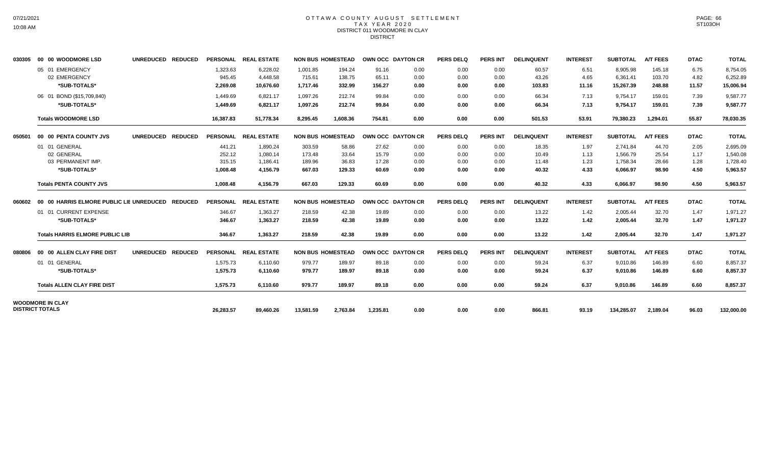## OTTAWA COUNTY AUGUST SETTLEMENT T A X Y E A R 2 0 2 0 DISTRICT 011 WOODMORE IN CLAY DISTRICT

| 030305 | 00 00 WOODMORE LSD                               | UNREDUCED REDUCED |           | PERSONAL REAL ESTATE |           | <b>NON BUS HOMESTEAD</b> | OWN OCC DAYTON CR |      | <b>PERS DELQ</b> | <b>PERS INT</b> | <b>DELINQUENT</b> | <b>INTEREST</b> | <b>SUBTOTAL</b> | <b>A/T FEES</b> | <b>DTAC</b> | <b>TOTAL</b> |
|--------|--------------------------------------------------|-------------------|-----------|----------------------|-----------|--------------------------|-------------------|------|------------------|-----------------|-------------------|-----------------|-----------------|-----------------|-------------|--------------|
|        | 05 01 EMERGENCY                                  |                   | 1,323.63  | 6,228.02             | 1,001.85  | 194.24                   | 91.16             | 0.00 | 0.00             | 0.00            | 60.57             | 6.51            | 8,905.98        | 145.18          | 6.75        | 8,754.05     |
|        | 02 EMERGENCY                                     |                   | 945.45    | 4.448.58             | 715.61    | 138.75                   | 65.11             | 0.00 | 0.00             | 0.00            | 43.26             | 4.65            | 6,361.41        | 103.70          | 4.82        | 6,252.89     |
|        | *SUB-TOTALS*                                     |                   | 2,269.08  | 10.676.60            | 1,717.46  | 332.99                   | 156.27            | 0.00 | 0.00             | 0.00            | 103.83            | 11.16           | 15,267.39       | 248.88          | 11.57       | 15,006.94    |
|        | 06 01 BOND (\$15,709,840)                        |                   | 1.449.69  | 6,821.17             | 1,097.26  | 212.74                   | 99.84             | 0.00 | 0.00             | 0.00            | 66.34             | 7.13            | 9,754.17        | 159.01          | 7.39        | 9.587.77     |
|        | *SUB-TOTALS*                                     |                   | 1,449.69  | 6,821.17             | 1.097.26  | 212.74                   | 99.84             | 0.00 | 0.00             | 0.00            | 66.34             | 7.13            | 9,754.17        | 159.01          | 7.39        | 9,587.77     |
|        | <b>Totals WOODMORE LSD</b>                       |                   | 16,387.83 | 51,778.34            | 8.295.45  | 1.608.36                 | 754.81            | 0.00 | 0.00             | 0.00            | 501.53            | 53.91           | 79.380.23       | 1.294.01        | 55.87       | 78,030.35    |
| 050501 | 00 00 PENTA COUNTY JVS                           | UNREDUCED REDUCED |           | PERSONAL REAL ESTATE |           | <b>NON BUS HOMESTEAD</b> | OWN OCC DAYTON CR |      | <b>PERS DELQ</b> | <b>PERS INT</b> | <b>DELINQUENT</b> | <b>INTEREST</b> | <b>SUBTOTAL</b> | <b>A/T FEES</b> | <b>DTAC</b> | <b>TOTAL</b> |
|        | 01 01 GENERAL                                    |                   | 441.21    | 1,890.24             | 303.59    | 58.86                    | 27.62             | 0.00 | 0.00             | 0.00            | 18.35             | 1.97            | 2,741.84        | 44.70           | 2.05        | 2,695.09     |
|        | 02 GENERAL                                       |                   | 252.12    | 1.080.14             | 173.48    | 33.64                    | 15.79             | 0.00 | 0.00             | 0.00            | 10.49             | 1.13            | 1.566.79        | 25.54           | 1.17        | 1,540.08     |
|        | 03 PERMANENT IMP.                                |                   | 315.15    | 1.186.41             | 189.96    | 36.83                    | 17.28             | 0.00 | 0.00             | 0.00            | 11.48             | 1.23            | 1.758.34        | 28.66           | 1.28        | 1,728.40     |
|        | *SUB-TOTALS*                                     |                   | 1,008.48  | 4.156.79             | 667.03    | 129.33                   | 60.69             | 0.00 | 0.00             | 0.00            | 40.32             | 4.33            | 6.066.97        | 98.90           | 4.50        | 5,963.57     |
|        | <b>Totals PENTA COUNTY JVS</b>                   |                   | 1,008.48  | 4,156.79             | 667.03    | 129.33                   | 60.69             | 0.00 | 0.00             | 0.00            | 40.32             | 4.33            | 6,066.97        | 98.90           | 4.50        | 5,963.57     |
| 060602 | 00 00 HARRIS ELMORE PUBLIC LIE UNREDUCED REDUCED |                   |           | PERSONAL REAL ESTATE |           | <b>NON BUS HOMESTEAD</b> | OWN OCC DAYTON CR |      | <b>PERS DELQ</b> | <b>PERS INT</b> | <b>DELINQUENT</b> | <b>INTEREST</b> | <b>SUBTOTAL</b> | <b>A/T FEES</b> | <b>DTAC</b> | <b>TOTAL</b> |
|        | 01 01 CURRENT EXPENSE                            |                   | 346.67    | 1,363.27             | 218.59    | 42.38                    | 19.89             | 0.00 | 0.00             | 0.00            | 13.22             | 1.42            | 2,005.44        | 32.70           | 1.47        | 1,971.27     |
|        | *SUB-TOTALS*                                     |                   | 346.67    | 1,363.27             | 218.59    | 42.38                    | 19.89             | 0.00 | 0.00             | 0.00            | 13.22             | 1.42            | 2,005.44        | 32.70           | 1.47        | 1,971.27     |
|        | <b>Totals HARRIS ELMORE PUBLIC LIB</b>           |                   | 346.67    | 1,363.27             | 218.59    | 42.38                    | 19.89             | 0.00 | 0.00             | 0.00            | 13.22             | 1.42            | 2,005.44        | 32.70           | 1.47        | 1,971.27     |
| 080806 | 00 00 ALLEN CLAY FIRE DIST                       | UNREDUCED REDUCED |           | PERSONAL REAL ESTATE |           | <b>NON BUS HOMESTEAD</b> | OWN OCC DAYTON CR |      | <b>PERS DELQ</b> | <b>PERS INT</b> | <b>DELINQUENT</b> | <b>INTEREST</b> | <b>SUBTOTAL</b> | <b>A/T FEES</b> | <b>DTAC</b> | <b>TOTAL</b> |
|        | 01 01 GENERAL                                    |                   | 1,575.73  | 6,110.60             | 979.77    | 189.97                   | 89.18             | 0.00 | 0.00             | 0.00            | 59.24             | 6.37            | 9,010.86        | 146.89          | 6.60        | 8,857.37     |
|        | *SUB-TOTALS*                                     |                   | 1,575.73  | 6,110.60             | 979.77    | 189.97                   | 89.18             | 0.00 | 0.00             | 0.00            | 59.24             | 6.37            | 9,010.86        | 146.89          | 6.60        | 8,857.37     |
|        | <b>Totals ALLEN CLAY FIRE DIST</b>               |                   | 1.575.73  | 6.110.60             | 979.77    | 189.97                   | 89.18             | 0.00 | 0.00             | 0.00            | 59.24             | 6.37            | 9,010.86        | 146.89          | 6.60        | 8,857.37     |
|        | <b>WOODMORE IN CLAY</b>                          |                   |           |                      |           |                          |                   |      |                  |                 |                   |                 |                 |                 |             |              |
|        | <b>DISTRICT TOTALS</b>                           |                   | 26,283.57 | 89,460.26            | 13,581.59 | 2,763.84                 | 1,235.81          | 0.00 | 0.00             | 0.00            | 866.81            | 93.19           | 134,285.07      | 2,189.04        | 96.03       | 132,000.00   |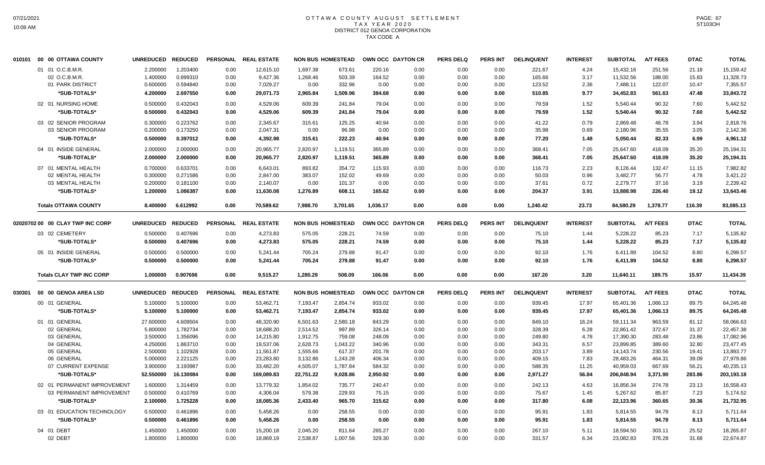# OTTAWA COUNTY AUGUST SETTLEMENT T A X Y E A R 2 0 2 0 DISTRICT 012 GENOA CORPORATION TAX CODE A

| 010101 | 00 00 OTTAWA COUNTY              | <b>UNREDUCED</b> | <b>REDUCED</b> |      | PERSONAL REAL ESTATE |           | <b>NON BUS HOMESTEAD</b> |          | OWN OCC DAYTON CR | <b>PERS DELQ</b> | <b>PERS INT</b> | <b>DELINQUENT</b> | <b>INTEREST</b> | <b>SUBTOTAL</b> | <b>A/T FEES</b> | <b>DTAC</b> | <b>TOTAL</b> |
|--------|----------------------------------|------------------|----------------|------|----------------------|-----------|--------------------------|----------|-------------------|------------------|-----------------|-------------------|-----------------|-----------------|-----------------|-------------|--------------|
|        | 01 01 O.C.B.M.R.                 | 2.200000         | 1.203400       | 0.00 | 12,615.10            | 1,697.38  | 673.61                   | 220.16   | 0.00              | 0.00             | 0.00            | 221.67            | 4.24            | 15,432.16       | 251.56          | 21.18       | 15,159.42    |
|        | 02 O.C.B.M.R.                    | 1.400000         | 0.899310       | 0.00 | 9,427.36             | 1,268.46  | 503.39                   | 164.52   | 0.00              | 0.00             | 0.00            | 165.66            | 3.17            | 11,532.56       | 188.00          | 15.83       | 11,328.73    |
|        | 01 PARK DISTRICT                 | 0.600000         | 0.594840       | 0.00 | 7,029.27             | 0.00      | 332.96                   | 0.00     | 0.00              | 0.00             | 0.00            | 123.52            | 2.36            | 7,488.11        | 122.07          | 10.47       | 7,355.57     |
|        | *SUB-TOTALS*                     | 4.200000         | 2.697550       | 0.00 | 29,071.73            | 2,965.84  | 1,509.96                 | 384.68   | 0.00              | 0.00             | 0.00            | 510.85            | 9.77            | 34,452.83       | 561.63          | 47.48       | 33,843.72    |
|        | 02 01 NURSING HOME               | 0.500000         | 0.432043       | 0.00 | 4,529.06             | 609.39    | 241.84                   | 79.04    | 0.00              | 0.00             | 0.00            | 79.59             | 1.52            | 5,540.44        | 90.32           | 7.60        | 5,442.52     |
|        | *SUB-TOTALS*                     | 0.500000         | 0.432043       | 0.00 | 4,529.06             | 609.39    | 241.84                   | 79.04    | 0.00              | 0.00             | 0.00            | 79.59             | 1.52            | 5,540.44        | 90.32           | 7.60        | 5,442.52     |
|        | 03 02 SENIOR PROGRAM             | 0.300000         | 0.223762       | 0.00 | 2,345.67             | 315.61    | 125.25                   | 40.94    | 0.00              | 0.00             | 0.00            | 41.22             | 0.79            | 2,869.48        | 46.78           | 3.94        | 2,818.76     |
|        | 03 SENIOR PROGRAM                | 0.200000         | 0.173250       | 0.00 | 2,047.31             | 0.00      | 96.98                    | 0.00     | 0.00              | 0.00             | 0.00            | 35.98             | 0.69            | 2,180.96        | 35.55           | 3.05        | 2,142.36     |
|        | *SUB-TOTALS*                     | 0.500000         | 0.397012       | 0.00 | 4,392.98             | 315.61    | 222.23                   | 40.94    | 0.00              | 0.00             | 0.00            | 77.20             | 1.48            | 5,050.44        | 82.33           | 6.99        | 4,961.12     |
|        | 04 01 INSIDE GENERAL             | 2.000000         | 2.000000       | 0.00 | 20,965.77            | 2,820.97  | 1,119.51                 | 365.89   | 0.00              | 0.00             | 0.00            | 368.41            | 7.05            | 25,647.60       | 418.09          | 35.20       | 25,194.31    |
|        | *SUB-TOTALS*                     | 2.000000         | 2.000000       | 0.00 | 20,965.77            | 2,820.97  | 1,119.51                 | 365.89   | 0.00              | 0.00             | 0.00            | 368.41            | 7.05            | 25,647.60       | 418.09          | 35.20       | 25,194.31    |
|        | 07 01 MENTAL HEALTH              | 0.700000         | 0.633701       | 0.00 | 6,643.01             | 893.82    | 354.72                   | 115.93   | 0.00              | 0.00             | 0.00            | 116.73            | 2.23            | 8,126.44        | 132.47          | 11.15       | 7,982.82     |
|        | 02 MENTAL HEALTH                 | 0.300000         | 0.271586       | 0.00 | 2,847.00             | 383.07    | 152.02                   | 49.69    | 0.00              | 0.00             | 0.00            | 50.03             | 0.96            | 3,482.77        | 56.77           | 4.78        | 3,421.22     |
|        | 03 MENTAL HEALTH                 | 0.200000         | 0.181100       | 0.00 | 2,140.07             | 0.00      | 101.37                   | 0.00     | 0.00              | 0.00             | 0.00            | 37.61             | 0.72            | 2,279.77        | 37.16           | 3.19        | 2,239.42     |
|        | *SUB-TOTALS*                     | 1.200000         | 1.086387       | 0.00 | 11,630.08            | 1,276.89  | 608.11                   | 165.62   | 0.00              | 0.00             | 0.00            | 204.37            | 3.91            | 13,888.98       | 226.40          | 19.12       | 13,643.46    |
|        | <b>Totals OTTAWA COUNTY</b>      | 8.400000         | 6.612992       | 0.00 | 70.589.62            | 7.988.70  | 3.701.65                 | 1,036.17 | 0.00              | 0.00             | 0.00            | 1.240.42          | 23.73           | 84.580.29       | 1.378.77        | 116.39      | 83,085.13    |
|        |                                  |                  |                |      |                      |           |                          |          |                   |                  |                 |                   |                 |                 |                 |             |              |
|        | 02020702 00 00 CLAY TWP INC CORP | <b>UNREDUCED</b> | <b>REDUCED</b> |      | PERSONAL REAL ESTATE |           | <b>NON BUS HOMESTEAD</b> |          | OWN OCC DAYTON CR | <b>PERS DELQ</b> | <b>PERS INT</b> | <b>DELINQUENT</b> | <b>INTEREST</b> | <b>SUBTOTAL</b> | <b>A/T FEES</b> | <b>DTAC</b> | <b>TOTAL</b> |
|        | 03 02 CEMETERY                   | 0.500000         | 0.407696       | 0.00 | 4,273.83             | 575.05    | 228.21                   | 74.59    | 0.00              | 0.00             | 0.00            | 75.10             | 1.44            | 5,228.22        | 85.23           | 7.17        | 5,135.82     |
|        | *SUB-TOTALS*                     | 0.500000         | 0.407696       | 0.00 | 4,273.83             | 575.05    | 228.21                   | 74.59    | 0.00              | 0.00             | 0.00            | 75.10             | 1.44            | 5,228.22        | 85.23           | 7.17        | 5,135.82     |
|        | 05 01 INSIDE GENERAL             | 0.500000         | 0.500000       | 0.00 | 5,241.44             | 705.24    | 279.88                   | 91.47    | 0.00              | 0.00             | 0.00            | 92.10             | 1.76            | 6,411.89        | 104.52          | 8.80        | 6,298.57     |
|        | *SUB-TOTALS*                     | 0.500000         | 0.500000       | 0.00 | 5,241.44             | 705.24    | 279.88                   | 91.47    | 0.00              | 0.00             | 0.00            | 92.10             | 1.76            | 6,411.89        | 104.52          | 8.80        | 6,298.57     |
|        | <b>Totals CLAY TWP INC CORP</b>  | 1.000000         | 0.907696       | 0.00 | 9,515.27             | 1,280.29  | 508.09                   | 166.06   | 0.00              | 0.00             | 0.00            | 167.20            | 3.20            | 11,640.11       | 189.75          | 15.97       | 11,434.39    |
| 030301 | 00 00 GENOA AREA LSD             | <b>UNREDUCED</b> | <b>REDUCED</b> |      | PERSONAL REAL ESTATE |           | <b>NON BUS HOMESTEAD</b> |          | OWN OCC DAYTON CR | <b>PERS DELQ</b> | <b>PERS INT</b> | <b>DELINQUENT</b> | <b>INTEREST</b> | <b>SUBTOTAL</b> | <b>A/T FEES</b> | <b>DTAC</b> | <b>TOTAL</b> |
|        | 00 01 GENERAL                    | 5.100000         | 5.100000       | 0.00 | 53,462.71            | 7,193.47  | 2,854.74                 | 933.02   | 0.00              | 0.00             | 0.00            | 939.45            | 17.97           | 65,401.36       | 1,066.13        | 89.75       | 64,245.48    |
|        | *SUB-TOTALS*                     | 5.100000         | 5.100000       | 0.00 | 53,462.71            | 7,193.47  | 2,854.74                 | 933.02   | 0.00              | 0.00             | 0.00            | 939.45            | 17.97           | 65,401.36       | 1,066.13        | 89.75       | 64,245.48    |
|        | 01 01 GENERAL                    | 27.600000        | 4.609504       | 0.00 | 48,320.90            | 6,501.63  | 2,580.18                 | 843.29   | 0.00              | 0.00             | 0.00            | 849.10            | 16.24           | 59,111.34       | 963.59          | 81.12       | 58,066.63    |
|        | 02 GENERAL                       | 5.800000         | 1.782734       | 0.00 | 18,688.20            | 2,514.52  | 997.89                   | 326.14   | 0.00              | 0.00             | 0.00            | 328.39            | 6.28            | 22,861.42       | 372.67          | 31.37       | 22,457.38    |
|        | 03 GENERAL                       | 3.500000         | 1.356096       | 0.00 | 14,215.80            | 1,912.75  | 759.08                   | 248.09   | 0.00              | 0.00             | 0.00            | 249.80            | 4.78            | 17,390.30       | 283.48          | 23.86       | 17,082.96    |
|        | 04 GENERAL                       | 4.250000         | 1.863710       | 0.00 | 19,537.06            | 2,628.73  | 1,043.22                 | 340.96   | 0.00              | 0.00             | 0.00            | 343.31            | 6.57            | 23,899.85       | 389.60          | 32.80       | 23,477.45    |
|        | 05 GENERAL                       | 2.500000         | 1.102928       | 0.00 | 11,561.87            | 1,555.66  | 617.37                   | 201.78   | 0.00              | 0.00             | 0.00            | 203.17            | 3.89            | 14,143.74       | 230.56          | 19.41       | 13,893.77    |
|        | 06 GENERAL                       | 5.000000         | 2.221125       | 0.00 | 23,283.80            | 3,132.86  | 1,243.28                 | 406.34   | 0.00              | 0.00             | 0.00            | 409.15            | 7.83            | 28,483.26       | 464.31          | 39.09       | 27,979.86    |
|        | 07 CURRENT EXPENSE               | 3.900000         | 3.193987       | 0.00 | 33,482.20            | 4,505.07  | 1,787.84                 | 584.32   | 0.00              | 0.00             | 0.00            | 588.35            | 11.25           | 40,959.03       | 667.69          | 56.21       | 40,235.13    |
|        | *SUB-TOTALS*                     | 52.550000        | 16.130084      | 0.00 | 169,089.83           | 22,751.22 | 9,028.86                 | 2,950.92 | 0.00              | 0.00             | 0.00            | 2,971.27          | 56.84           | 206,848.94      | 3,371.90        | 283.86      | 203,193.18   |
|        | 02 01 PERMANENT IMPROVEMENT      | 1.600000         | 1.314459       | 0.00 | 13,779.32            | 1,854.02  | 735.77                   | 240.47   | 0.00              | 0.00             | 0.00            | 242.13            | 4.63            | 16,856.34       | 274.78          | 23.13       | 16,558.43    |
|        | 03 PERMANENT IMPROVEMENT         | 0.500000         | 0.410769       | 0.00 | 4,306.04             | 579.38    | 229.93                   | 75.15    | 0.00              | 0.00             | 0.00            | 75.67             | 1.45            | 5,267.62        | 85.87           | 7.23        | 5,174.52     |
|        | *SUB-TOTALS*                     | 2.100000         | 1.725228       | 0.00 | 18,085.36            | 2,433.40  | 965.70                   | 315.62   | 0.00              | 0.00             | 0.00            | 317.80            | 6.08            | 22,123.96       | 360.65          | 30.36       | 21,732.95    |
|        | 03 01 EDUCATION TECHNOLOGY       | 0.500000         | 0.461896       | 0.00 | 5,458.26             | 0.00      | 258.55                   | 0.00     | 0.00              | 0.00             | 0.00            | 95.91             | 1.83            | 5,814.55        | 94.78           | 8.13        | 5,711.64     |
|        | *SUB-TOTALS*                     | 0.500000         | 0.461896       | 0.00 | 5,458.26             | 0.00      | 258.55                   | 0.00     | 0.00              | 0.00             | 0.00            | 95.91             | 1.83            | 5,814.55        | 94.78           | 8.13        | 5,711.64     |
|        | 04 01 DEBT                       | 1.450000         | 1.450000       | 0.00 | 15,200.18            | 2,045.20  | 811.64                   | 265.27   | 0.00              | 0.00             | 0.00            | 267.10            | 5.11            | 18,594.50       | 303.11          | 25.52       | 18,265.87    |
|        | 02 DEBT                          | 1.800000         | 1.800000       | 0.00 | 18,869.19            | 2,538.87  | 1,007.56                 | 329.30   | 0.00              | 0.00             | 0.00            | 331.57            | 6.34            | 23,082.83       | 376.28          | 31.68       | 22,674.87    |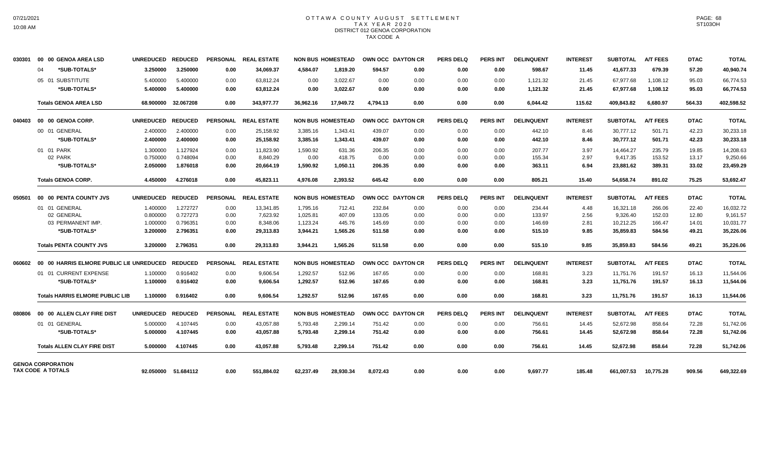## OTTAWA COUNTY AUGUST SETTLEMENT T A X Y E A R 2 0 2 0 DISTRICT 012 GENOA CORPORATION TAX CODE A

| 030301                   |    | 00 00 GENOA AREA LSD                     | <b>UNREDUCED</b> | <b>REDUCED</b>      |                 | PERSONAL REAL ESTATE |           | <b>NON BUS HOMESTEAD</b> |          | OWN OCC DAYTON CR | <b>PERS DELQ</b> | <b>PERS INT</b> | <b>DELINQUENT</b> | <b>INTEREST</b> | <b>SUBTOTAL</b> | <b>A/T FEES</b> | <b>DTAC</b> | <b>TOTAL</b> |
|--------------------------|----|------------------------------------------|------------------|---------------------|-----------------|----------------------|-----------|--------------------------|----------|-------------------|------------------|-----------------|-------------------|-----------------|-----------------|-----------------|-------------|--------------|
|                          | 04 | *SUB-TOTALS*                             | 3.250000         | 3.250000            | 0.00            | 34.069.37            | 4.584.07  | 1.819.20                 | 594.57   | 0.00              | 0.00             | 0.00            | 598.67            | 11.45           | 41.677.33       | 679.39          | 57.20       | 40.940.74    |
|                          |    | 05 01 SUBSTITUTE                         | 5.400000         | 5.400000            | 0.00            | 63,812.24            | 0.00      | 3,022.67                 | 0.00     | 0.00              | 0.00             | 0.00            | 1,121.32          | 21.45           | 67,977.68       | 1,108.12        | 95.03       | 66,774.53    |
|                          |    | *SUB-TOTALS*                             | 5.400000         | 5.400000            | 0.00            | 63,812.24            | 0.00      | 3,022.67                 | 0.00     | 0.00              | 0.00             | 0.00            | 1,121.32          | 21.45           | 67,977.68       | 1,108.12        | 95.03       | 66,774.53    |
|                          |    | <b>Totals GENOA AREA LSD</b>             | 68.900000        | 32.067208           | 0.00            | 343,977.77           | 36.962.16 | 17,949.72                | 4.794.13 | 0.00              | 0.00             | 0.00            | 6,044.42          | 115.62          | 409.843.82      | 6.680.97        | 564.33      | 402,598.52   |
| 040403                   |    | 00 00 GENOA CORP.                        | <b>UNREDUCED</b> | <b>REDUCED</b>      |                 | PERSONAL REAL ESTATE |           | <b>NON BUS HOMESTEAD</b> |          | OWN OCC DAYTON CR | <b>PERS DELQ</b> | <b>PERS INT</b> | <b>DELINQUENT</b> | <b>INTEREST</b> | <b>SUBTOTAL</b> | <b>A/T FEES</b> | <b>DTAC</b> | <b>TOTAL</b> |
|                          |    | 00 01 GENERAL                            | 2.400000         | 2.400000            | 0.00            | 25,158.92            | 3,385.16  | 1,343.41                 | 439.07   | 0.00              | 0.00             | 0.00            | 442.10            | 8.46            | 30,777.12       | 501.71          | 42.23       | 30,233.18    |
|                          |    | *SUB-TOTALS*                             | 2.400000         | 2.400000            | 0.00            | 25,158.92            | 3,385.16  | 1,343.41                 | 439.07   | 0.00              | 0.00             | 0.00            | 442.10            | 8.46            | 30,777.12       | 501.71          | 42.23       | 30,233.18    |
|                          |    | 01 01 PARK                               | 1.300000         | 1.127924            | 0.00            | 11.823.90            | 1,590.92  | 631.36                   | 206.35   | 0.00              | 0.00             | 0.00            | 207.77            | 3.97            | 14,464.27       | 235.79          | 19.85       | 14.208.63    |
|                          |    | 02 PARK                                  | 0.750000         | 0.748094            | 0.00            | 8,840.29             | 0.00      | 418.75                   | 0.00     | 0.00              | 0.00             | 0.00            | 155.34            | 2.97            | 9,417.35        | 153.52          | 13.17       | 9,250.66     |
|                          |    | *SUB-TOTALS*                             | 2.050000         | 1.876018            | 0.00            | 20,664.19            | 1,590.92  | 1.050.11                 | 206.35   | 0.00              | 0.00             | 0.00            | 363.11            | 6.94            | 23,881.62       | 389.31          | 33.02       | 23,459.29    |
|                          |    | <b>Totals GENOA CORP.</b>                | 4.450000         | 4.276018            | 0.00            | 45,823.11            | 4.976.08  | 2,393.52                 | 645.42   | 0.00              | 0.00             | 0.00            | 805.21            | 15.40           | 54,658.74       | 891.02          | 75.25       | 53,692.47    |
| 050501                   |    | 00 00 PENTA COUNTY JVS                   | <b>UNREDUCED</b> | <b>REDUCED</b>      | <b>PERSONAL</b> | <b>REAL ESTATE</b>   |           | <b>NON BUS HOMESTEAD</b> |          | OWN OCC DAYTON CR | <b>PERS DELQ</b> | <b>PERS INT</b> | <b>DELINQUENT</b> | <b>INTEREST</b> | <b>SUBTOTAL</b> | <b>A/T FEES</b> | <b>DTAC</b> | <b>TOTAL</b> |
|                          |    | 01 01 GENERAL                            | 1.400000         | 1.272727            | 0.00            | 13,341.85            | 1,795.16  | 712.41                   | 232.84   | 0.00              | 0.00             | 0.00            | 234.44            | 4.48            | 16,321.18       | 266.06          | 22.40       | 16,032.72    |
|                          |    | 02 GENERAL                               | 0.800000         | 0.727273            | 0.00            | 7,623.92             | 1,025.81  | 407.09                   | 133.05   | 0.00              | 0.00             | 0.00            | 133.97            | 2.56            | 9,326.40        | 152.03          | 12.80       | 9,161.57     |
|                          |    | 03 PERMANENT IMP.                        | 1.000000         | 0.796351            | 0.00            | 8,348.06             | 1,123.24  | 445.76                   | 145.69   | 0.00              | 0.00             | 0.00            | 146.69            | 2.81            | 10,212.25       | 166.47          | 14.01       | 10,031.77    |
|                          |    | *SUB-TOTALS*                             | 3.200000         | 2.796351            | 0.00            | 29,313.83            | 3,944.21  | 1,565.26                 | 511.58   | 0.00              | 0.00             | 0.00            | 515.10            | 9.85            | 35,859.83       | 584.56          | 49.21       | 35,226.06    |
|                          |    | <b>Totals PENTA COUNTY JVS</b>           | 3.200000         | 2.796351            | 0.00            | 29,313.83            | 3,944.21  | 1,565.26                 | 511.58   | 0.00              | 0.00             | 0.00            | 515.10            | 9.85            | 35,859.83       | 584.56          | 49.21       | 35,226.06    |
| 060602                   |    | 00 00 HARRIS ELMORE PUBLIC LIE UNREDUCED |                  | <b>REDUCED</b>      | <b>PERSONAL</b> | <b>REAL ESTATE</b>   |           | <b>NON BUS HOMESTEAD</b> |          | OWN OCC DAYTON CR | <b>PERS DELQ</b> | <b>PERS INT</b> | <b>DELINQUENT</b> | <b>INTEREST</b> | <b>SUBTOTAL</b> | <b>A/T FEES</b> | <b>DTAC</b> | <b>TOTAL</b> |
|                          |    | 01 01 CURRENT EXPENSE                    | 1.100000         | 0.916402            | 0.00            | 9,606.54             | 1,292.57  | 512.96                   | 167.65   | 0.00              | 0.00             | 0.00            | 168.81            | 3.23            | 11,751.76       | 191.57          | 16.13       | 11,544.06    |
|                          |    | *SUB-TOTALS*                             | 1.100000         | 0.916402            | 0.00            | 9,606.54             | 1,292.57  | 512.96                   | 167.65   | 0.00              | 0.00             | 0.00            | 168.81            | 3.23            | 11,751.76       | 191.57          | 16.13       | 11,544.06    |
|                          |    | <b>Totals HARRIS ELMORE PUBLIC LIB</b>   | 1.100000         | 0.916402            | 0.00            | 9.606.54             | 1.292.57  | 512.96                   | 167.65   | 0.00              | 0.00             | 0.00            | 168.81            | 3.23            | 11.751.76       | 191.57          | 16.13       | 11.544.06    |
| 080806                   |    | 00 00 ALLEN CLAY FIRE DIST               | <b>UNREDUCED</b> | <b>REDUCED</b>      |                 | PERSONAL REAL ESTATE |           | <b>NON BUS HOMESTEAD</b> |          | OWN OCC DAYTON CR | <b>PERS DELQ</b> | PERS INT        | <b>DELINQUENT</b> | <b>INTEREST</b> | <b>SUBTOTAL</b> | <b>A/T FEES</b> | <b>DTAC</b> | <b>TOTAL</b> |
|                          |    | 01 01 GENERAL                            | 5.000000         | 4.107445            | 0.00            | 43,057.88            | 5,793.48  | 2,299.14                 | 751.42   | 0.00              | 0.00             | 0.00            | 756.61            | 14.45           | 52,672.98       | 858.64          | 72.28       | 51,742.06    |
|                          |    | *SUB-TOTALS*                             | 5.000000         | 4.107445            | 0.00            | 43,057.88            | 5,793.48  | 2,299.14                 | 751.42   | 0.00              | 0.00             | 0.00            | 756.61            | 14.45           | 52,672.98       | 858.64          | 72.28       | 51,742.06    |
|                          |    | <b>Totals ALLEN CLAY FIRE DIST</b>       | 5.000000         | 4.107445            | 0.00            | 43,057.88            | 5,793.48  | 2,299.14                 | 751.42   | 0.00              | 0.00             | 0.00            | 756.61            | 14.45           | 52,672.98       | 858.64          | 72.28       | 51,742.06    |
| <b>GENOA CORPORATION</b> |    |                                          |                  |                     |                 |                      |           |                          |          |                   |                  |                 |                   |                 |                 |                 |             |              |
| <b>TAX CODE A TOTALS</b> |    |                                          |                  | 92.050000 51.684112 | 0.00            | 551,884.02           | 62,237.49 | 28,930.34                | 8,072.43 | 0.00              | 0.00             | 0.00            | 9,697.77          | 185.48          | 661,007.53      | 10,775.28       | 909.56      | 649,322.69   |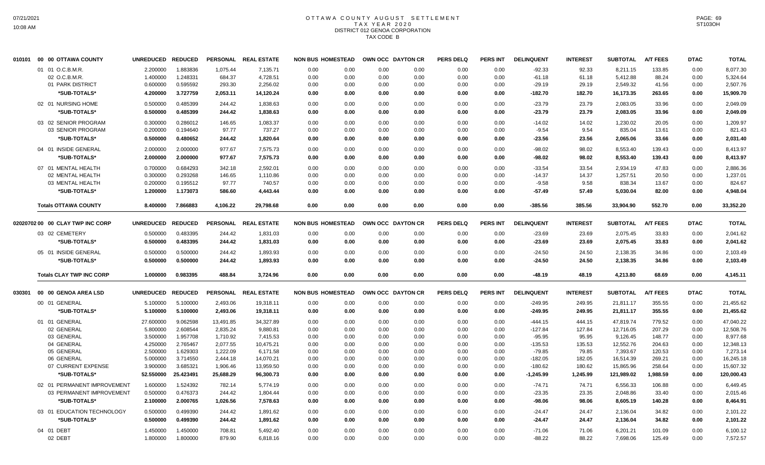# OTTAWA COUNTY AUGUST SETTLEMENT T A X Y E A R 2 0 2 0 DISTRICT 012 GENOA CORPORATION TAX CODE B

| 010101 | 00 00 OTTAWA COUNTY              | <b>UNREDUCED</b>     | <b>REDUCED</b>       |                      | PERSONAL REAL ESTATE  | <b>NON BUS HOMESTEAD</b> |              |              | OWN OCC DAYTON CR | <b>PERS DELQ</b> | <b>PERS INT</b> | <b>DELINQUENT</b>     | <b>INTEREST</b> | <b>SUBTOTAL</b>       | <b>A/T FEES</b>  | <b>DTAC</b>  | <b>TOTAL</b>          |
|--------|----------------------------------|----------------------|----------------------|----------------------|-----------------------|--------------------------|--------------|--------------|-------------------|------------------|-----------------|-----------------------|-----------------|-----------------------|------------------|--------------|-----------------------|
|        | 01 01 O.C.B.M.R.                 | 2.200000             | 1.883836             | 1,075.44             | 7,135.71              | 0.00                     | 0.00         | 0.00         | 0.00              | 0.00             | 0.00            | $-92.33$              | 92.33           | 8,211.15              | 133.85           | 0.00         | 8,077.30              |
|        | 02 O.C.B.M.R.                    | 1.400000             | 1.248331             | 684.37               | 4,728.51              | 0.00                     | 0.00         | 0.00         | 0.00              | 0.00             | 0.00            | $-61.18$              | 61.18           | 5,412.88              | 88.24            | 0.00         | 5,324.64              |
|        | 01 PARK DISTRICT                 | 0.600000             | 0.595592             | 293.30               | 2,256.02              | 0.00                     | 0.00         | 0.00         | 0.00              | 0.00             | 0.00            | $-29.19$              | 29.19           | 2,549.32              | 41.56            | 0.00         | 2,507.76              |
|        | *SUB-TOTALS*                     | 4.200000             | 3.727759             | 2,053.11             | 14,120.24             | 0.00                     | 0.00         | 0.00         | 0.00              | 0.00             | 0.00            | $-182.70$             | 182.70          | 16,173.35             | 263.65           | 0.00         | 15,909.70             |
|        | 02 01 NURSING HOME               | 0.500000             | 0.485399             | 244.42               | 1,838.63              | 0.00                     | 0.00         | 0.00         | 0.00              | 0.00             | 0.00            | $-23.79$              | 23.79           | 2,083.05              | 33.96            | 0.00         | 2,049.09              |
|        | *SUB-TOTALS*                     | 0.500000             | 0.485399             | 244.42               | 1,838.63              | 0.00                     | 0.00         | 0.00         | 0.00              | 0.00             | 0.00            | $-23.79$              | 23.79           | 2,083.05              | 33.96            | 0.00         | 2,049.09              |
|        | 03 02 SENIOR PROGRAM             | 0.300000             | 0.286012             | 146.65               | 1,083.37              | 0.00                     | 0.00         | 0.00         | 0.00              | 0.00             | 0.00            | $-14.02$              | 14.02           | 1,230.02              | 20.05            | 0.00         | 1,209.97              |
|        | 03 SENIOR PROGRAM                | 0.200000             | 0.194640             | 97.77                | 737.27                | 0.00                     | 0.00         | 0.00         | 0.00              | 0.00             | 0.00            | $-9.54$               | 9.54            | 835.04                | 13.61            | 0.00         | 821.43                |
|        | *SUB-TOTALS*                     | 0.500000             | 0.480652             | 244.42               | 1,820.64              | 0.00                     | 0.00         | 0.00         | 0.00              | 0.00             | 0.00            | $-23.56$              | 23.56           | 2,065.06              | 33.66            | 0.00         | 2,031.40              |
|        | 04 01 INSIDE GENERAL             | 2.000000             | 2.000000             | 977.67               | 7,575.73              | 0.00                     | 0.00         | 0.00         | 0.00              | 0.00             | 0.00            | $-98.02$              | 98.02           | 8,553.40              | 139.43           | 0.00         | 8,413.97              |
|        | *SUB-TOTALS*                     | 2.000000             | 2.000000             | 977.67               | 7,575.73              | 0.00                     | 0.00         | 0.00         | 0.00              | 0.00             | 0.00            | -98.02                | 98.02           | 8,553.40              | 139.43           | 0.00         | 8,413.97              |
|        | 07 01 MENTAL HEALTH              | 0.700000             | 0.684293             | 342.18               | 2,592.01              | 0.00                     | 0.00         | 0.00         | 0.00              | 0.00             | 0.00            | $-33.54$              | 33.54           | 2,934.19              | 47.83            | 0.00         | 2,886.36              |
|        | 02 MENTAL HEALTH                 | 0.300000             | 0.293268             | 146.65               | 1,110.86              | 0.00                     | 0.00         | 0.00         | 0.00              | 0.00             | 0.00            | $-14.37$              | 14.37           | 1,257.51              | 20.50            | 0.00         | 1,237.01              |
|        | 03 MENTAL HEALTH                 | 0.200000             | 0.195512             | 97.77                | 740.57                | 0.00                     | 0.00         | 0.00         | 0.00              | 0.00             | 0.00            | $-9.58$               | 9.58            | 838.34                | 13.67            | 0.00         | 824.67                |
|        | *SUB-TOTALS*                     | 1.200000             | 1.173073             | 586.60               | 4,443.44              | 0.00                     | 0.00         | 0.00         | 0.00              | 0.00             | 0.00            | $-57.49$              | 57.49           | 5,030.04              | 82.00            | 0.00         | 4,948.04              |
|        | <b>Totals OTTAWA COUNTY</b>      | 8.400000             | 7.866883             | 4.106.22             | 29.798.68             | 0.00                     | 0.00         | 0.00         | 0.00              | 0.00             | 0.00            | $-385.56$             | 385.56          | 33,904.90             | 552.70           | 0.00         | 33,352.20             |
|        | 02020702 00 00 CLAY TWP INC CORP | <b>UNREDUCED</b>     | <b>REDUCED</b>       |                      | PERSONAL REAL ESTATE  | <b>NON BUS HOMESTEAD</b> |              |              | OWN OCC DAYTON CR | <b>PERS DELQ</b> | <b>PERS INT</b> | <b>DELINQUENT</b>     | <b>INTEREST</b> | <b>SUBTOTAL</b>       | <b>A/T FEES</b>  | <b>DTAC</b>  | <b>TOTAL</b>          |
|        | 03 02 CEMETERY                   |                      |                      |                      |                       |                          |              |              |                   |                  |                 |                       |                 |                       |                  |              |                       |
|        |                                  | 0.500000             | 0.483395             | 244.42               | 1,831.03              | 0.00                     | 0.00         | 0.00         | 0.00              | 0.00             | 0.00            | $-23.69$              | 23.69           | 2,075.45              | 33.83            | 0.00         | 2,041.62              |
|        | *SUB-TOTALS*                     | 0.500000             | 0.483395             | 244.42               | 1,831.03              | 0.00                     | 0.00         | 0.00         | 0.00              | 0.00             | 0.00            | $-23.69$              | 23.69           | 2,075.45              | 33.83            | 0.00         | 2,041.62              |
|        | 05 01 INSIDE GENERAL             | 0.500000             | 0.500000             | 244.42               | 1,893.93              | 0.00                     | 0.00         | 0.00         | 0.00              | 0.00             | 0.00            | $-24.50$              | 24.50           | 2,138.35              | 34.86            | 0.00         | 2,103.49              |
|        | *SUB-TOTALS*                     | 0.500000             | 0.500000             | 244.42               | 1,893.93              | 0.00                     | 0.00         | 0.00         | 0.00              | 0.00             | 0.00            | $-24.50$              | 24.50           | 2,138.35              | 34.86            | 0.00         | 2,103.49              |
|        | <b>Totals CLAY TWP INC CORP</b>  | 1.000000             | 0.983395             | 488.84               | 3,724.96              | 0.00                     | 0.00         | 0.00         | 0.00              | 0.00             | 0.00            | $-48.19$              | 48.19           | 4,213.80              | 68.69            | 0.00         | 4,145.11              |
| 030301 | 00 00 GENOA AREA LSD             | <b>UNREDUCED</b>     | <b>REDUCED</b>       |                      | PERSONAL REAL ESTATE  | <b>NON BUS HOMESTEAD</b> |              |              | OWN OCC DAYTON CR | <b>PERS DELQ</b> | <b>PERS INT</b> | <b>DELINQUENT</b>     | <b>INTEREST</b> | <b>SUBTOTAL</b>       | <b>A/T FEES</b>  | <b>DTAC</b>  | <b>TOTAL</b>          |
|        | 00 01 GENERAL                    | 5.100000             | 5.100000             | 2,493.06             | 19,318.11             | 0.00                     | 0.00         | 0.00         | 0.00              | 0.00             | 0.00            | $-249.95$             | 249.95          | 21,811.17             | 355.55           | 0.00         | 21,455.62             |
|        | *SUB-TOTALS*                     | 5.100000             | 5.100000             | 2,493.06             | 19,318.11             | 0.00                     | 0.00         | 0.00         | 0.00              | 0.00             | 0.00            | $-249.95$             | 249.95          | 21,811.17             | 355.55           | 0.00         | 21,455.62             |
|        |                                  |                      |                      |                      |                       |                          |              |              |                   |                  |                 |                       |                 |                       |                  |              |                       |
|        | 01 01 GENERAL                    | 27.600000            | 9.062598             | 13,491.85            | 34,327.89             | 0.00                     | 0.00         | 0.00         | 0.00              | 0.00             | 0.00            | $-444.15$             | 444.15          | 47,819.74             | 779.52           | 0.00         | 47,040.22             |
|        | 02 GENERAL                       | 5.800000             | 2.608544<br>1.957708 | 2,835.24             | 9,880.81              | 0.00<br>0.00             | 0.00         | 0.00         | 0.00              | 0.00<br>0.00     | 0.00<br>0.00    | $-127.84$             | 127.84<br>95.95 | 12,716.05             | 207.29<br>148.77 | 0.00         | 12,508.76             |
|        | 03 GENERAL<br>04 GENERAL         | 3.500000<br>4.250000 | 2.765467             | 1,710.92<br>2,077.55 | 7,415.53<br>10,475.21 | 0.00                     | 0.00<br>0.00 | 0.00<br>0.00 | 0.00<br>0.00      | 0.00             | 0.00            | $-95.95$<br>$-135.53$ | 135.53          | 9,126.45<br>12,552.76 | 204.63           | 0.00<br>0.00 | 8,977.68<br>12,348.13 |
|        | 05 GENERAL                       | 2.500000             | 1.629303             | 1,222.09             | 6,171.58              | 0.00                     | 0.00         | 0.00         | 0.00              | 0.00             | 0.00            | $-79.85$              | 79.85           | 7,393.67              | 120.53           | 0.00         | 7,273.14              |
|        | 06 GENERAL                       | 5.000000             | 3.714550             | 2,444.18             | 14,070.21             | 0.00                     | 0.00         | 0.00         | 0.00              | 0.00             | 0.00            | $-182.05$             | 182.05          | 16,514.39             | 269.21           | 0.00         | 16,245.18             |
|        | 07 CURRENT EXPENSE               | 3.900000             | 3.685321             | 1,906.46             | 13,959.50             | 0.00                     | 0.00         | 0.00         | 0.00              | 0.00             | 0.00            | $-180.62$             | 180.62          | 15,865.96             | 258.64           | 0.00         | 15,607.32             |
|        | *SUB-TOTALS*                     | 52.550000            | 25.423491            | 25,688.29            | 96,300.73             | 0.00                     | 0.00         | 0.00         | 0.00              | 0.00             | 0.00            | $-1,245.99$           | 1,245.99        | 121,989.02            | 1,988.59         | 0.00         | 120,000.43            |
|        | 02 01 PERMANENT IMPROVEMENT      | 1.600000             | 1.524392             | 782.14               | 5.774.19              | 0.00                     | 0.00         | 0.00         | 0.00              | 0.00             | 0.00            | $-74.71$              | 74.71           | 6,556.33              | 106.88           | 0.00         | 6,449.45              |
|        | 03 PERMANENT IMPROVEMENT         | 0.500000             | 0.476373             | 244.42               | 1,804.44              | 0.00                     | 0.00         | 0.00         | 0.00              | 0.00             | 0.00            | $-23.35$              | 23.35           | 2,048.86              | 33.40            | 0.00         | 2,015.46              |
|        | *SUB-TOTALS*                     | 2.100000             | 2.000765             | 1,026.56             | 7,578.63              | 0.00                     | 0.00         | 0.00         | 0.00              | 0.00             | 0.00            | $-98.06$              | 98.06           | 8,605.19              | 140.28           | 0.00         | 8,464.91              |
|        | 03 01 EDUCATION TECHNOLOGY       | 0.500000             | 0.499390             | 244.42               | 1,891.62              | 0.00                     | 0.00         | 0.00         | 0.00              | 0.00             | 0.00            | $-24.47$              | 24.47           | 2,136.04              | 34.82            | 0.00         | 2,101.22              |
|        | *SUB-TOTALS*                     | 0.500000             | 0.499390             | 244.42               | 1,891.62              | 0.00                     | 0.00         | 0.00         | 0.00              | 0.00             | 0.00            | $-24.47$              | 24.47           | 2,136.04              | 34.82            | 0.00         | 2,101.22              |
|        | 04 01 DEBT                       | 1.450000             | 1.450000             | 708.81               | 5,492.40              | 0.00                     | 0.00         | 0.00         | 0.00              | 0.00             | 0.00            | $-71.06$              | 71.06           | 6,201.21              | 101.09           | 0.00         | 6,100.12              |
|        | 02 DEBT                          | 1.800000             | 1.800000             | 879.90               | 6,818.16              | 0.00                     | 0.00         | 0.00         | 0.00              | 0.00             | 0.00            | $-88.22$              | 88.22           | 7,698.06              | 125.49           | 0.00         | 7,572.57              |
|        |                                  |                      |                      |                      |                       |                          |              |              |                   |                  |                 |                       |                 |                       |                  |              |                       |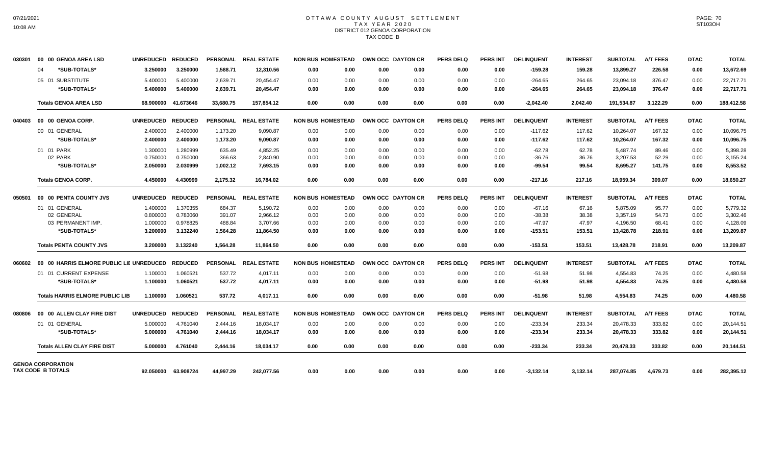## OTTAWA COUNTY AUGUST SETTLEMENT T A X Y E A R 2 0 2 0 DISTRICT 012 GENOA CORPORATION TAX CODE B

| 030301 | 00 00 GENOA AREA LSD                     | <b>UNREDUCED</b> | <b>REDUCED</b> |                 | PERSONAL REAL ESTATE |                          | <b>NON BUS HOMESTEAD</b> |      | OWN OCC DAYTON CR | <b>PERS DELQ</b> | <b>PERS INT</b> | <b>DELINQUENT</b> | <b>INTEREST</b> | <b>SUBTOTAL</b> | <b>A/T FEES</b> | <b>DTAC</b> | <b>TOTAL</b> |
|--------|------------------------------------------|------------------|----------------|-----------------|----------------------|--------------------------|--------------------------|------|-------------------|------------------|-----------------|-------------------|-----------------|-----------------|-----------------|-------------|--------------|
|        | *SUB-TOTALS*<br>04                       | 3.250000         | 3.250000       | 1.588.71        | 12.310.56            | 0.00                     | 0.00                     | 0.00 | 0.00              | 0.00             | 0.00            | $-159.28$         | 159.28          | 13,899.27       | 226.58          | 0.00        | 13,672.69    |
|        | 05 01 SUBSTITUTE                         | 5.400000         | 5.400000       | 2.639.71        | 20.454.47            | 0.00                     | 0.00                     | 0.00 | 0.00              | 0.00             | 0.00            | $-264.65$         | 264.65          | 23.094.18       | 376.47          | 0.00        | 22.717.71    |
|        | *SUB-TOTALS*                             | 5.400000         | 5.400000       | 2,639.71        | 20,454.47            | 0.00                     | 0.00                     | 0.00 | 0.00              | 0.00             | 0.00            | $-264.65$         | 264.65          | 23,094.18       | 376.47          | 0.00        | 22,717.71    |
|        | <b>Totals GENOA AREA LSD</b>             | 68.900000        | 41.673646      | 33.680.75       | 157.854.12           | 0.00                     | 0.00                     | 0.00 | 0.00              | 0.00             | 0.00            | $-2.042.40$       | 2.042.40        | 191.534.87      | 3.122.29        | 0.00        | 188,412.58   |
| 040403 | 00 00 GENOA CORP.                        | <b>UNREDUCED</b> | <b>REDUCED</b> |                 | PERSONAL REAL ESTATE | <b>NON BUS HOMESTEAD</b> |                          |      | OWN OCC DAYTON CR | <b>PERS DELO</b> | <b>PERS INT</b> | <b>DELINQUENT</b> | <b>INTEREST</b> | <b>SUBTOTAL</b> | <b>A/T FEES</b> | <b>DTAC</b> | <b>TOTAL</b> |
|        | 00 01 GENERAL                            | 2.400000         | 2.400000       | 1,173.20        | 9,090.87             | 0.00                     | 0.00                     | 0.00 | 0.00              | 0.00             | 0.00            | $-117.62$         | 117.62          | 10,264.07       | 167.32          | 0.00        | 10,096.75    |
|        | *SUB-TOTALS*                             | 2.400000         | 2.400000       | 1,173.20        | 9,090.87             | 0.00                     | 0.00                     | 0.00 | 0.00              | 0.00             | 0.00            | $-117.62$         | 117.62          | 10,264.07       | 167.32          | 0.00        | 10,096.75    |
|        | 01 01 PARK                               | 1.300000         | 1.280999       | 635.49          | 4.852.25             | 0.00                     | 0.00                     | 0.00 | 0.00              | 0.00             | 0.00            | $-62.78$          | 62.78           | 5,487.74        | 89.46           | 0.00        | 5.398.28     |
|        | 02 PARK                                  | 0.750000         | 0.750000       | 366.63          | 2,840.90             | 0.00                     | 0.00                     | 0.00 | 0.00              | 0.00             | 0.00            | $-36.76$          | 36.76           | 3,207.53        | 52.29           | 0.00        | 3,155.24     |
|        | *SUB-TOTALS*                             | 2.050000         | 2.030999       | 1,002.12        | 7,693.15             | 0.00                     | 0.00                     | 0.00 | 0.00              | 0.00             | 0.00            | -99.54            | 99.54           | 8,695.27        | 141.75          | 0.00        | 8,553.52     |
|        | <b>Totals GENOA CORP.</b>                | 4.450000         | 4.430999       | 2,175.32        | 16.784.02            | 0.00                     | 0.00                     | 0.00 | 0.00              | 0.00             | 0.00            | $-217.16$         | 217.16          | 18.959.34       | 309.07          | 0.00        | 18,650.27    |
| 050501 | 00 00 PENTA COUNTY JVS                   | <b>UNREDUCED</b> | <b>REDUCED</b> |                 | PERSONAL REAL ESTATE | <b>NON BUS HOMESTEAD</b> |                          |      | OWN OCC DAYTON CR | <b>PERS DELQ</b> | <b>PERS INT</b> | <b>DELINQUENT</b> | <b>INTEREST</b> | <b>SUBTOTAL</b> | <b>A/T FEES</b> | <b>DTAC</b> | <b>TOTAL</b> |
|        | 01 01 GENERAL                            | 1.400000         | 1.370355       | 684.37          | 5,190.72             | 0.00                     | 0.00                     | 0.00 | 0.00              | 0.00             | 0.00            | $-67.16$          | 67.16           | 5,875.09        | 95.77           | 0.00        | 5,779.32     |
|        | 02 GENERAL                               | 0.800000         | 0.783060       | 391.07          | 2,966.12             | 0.00                     | 0.00                     | 0.00 | 0.00              | 0.00             | 0.00            | $-38.38$          | 38.38           | 3,357.19        | 54.73           | 0.00        | 3,302.46     |
|        | 03 PERMANENT IMP.                        | 1.000000         | 0.978825       | 488.84          | 3,707.66             | 0.00                     | 0.00                     | 0.00 | 0.00              | 0.00             | 0.00            | $-47.97$          | 47.97           | 4,196.50        | 68.41           | 0.00        | 4,128.09     |
|        | *SUB-TOTALS*                             | 3.200000         | 3.132240       | 1,564.28        | 11.864.50            | 0.00                     | 0.00                     | 0.00 | 0.00              | 0.00             | 0.00            | $-153.51$         | 153.51          | 13,428.78       | 218.91          | 0.00        | 13,209.87    |
|        | <b>Totals PENTA COUNTY JVS</b>           | 3.200000         | 3.132240       | 1,564.28        | 11,864.50            | 0.00                     | 0.00                     | 0.00 | 0.00              | 0.00             | 0.00            | $-153.51$         | 153.51          | 13,428.78       | 218.91          | 0.00        | 13,209.87    |
| 060602 | 00 00 HARRIS ELMORE PUBLIC LIE UNREDUCED |                  | <b>REDUCED</b> | <b>PERSONAL</b> | <b>REAL ESTATE</b>   | <b>NON BUS HOMESTEAD</b> |                          |      | OWN OCC DAYTON CR | <b>PERS DELQ</b> | <b>PERS INT</b> | <b>DELINQUENT</b> | <b>INTEREST</b> | <b>SUBTOTAL</b> | <b>A/T FEES</b> | <b>DTAC</b> | <b>TOTAL</b> |
|        | 01 01 CURRENT EXPENSE                    | 1.100000         | 1.060521       | 537.72          | 4,017.11             | 0.00                     | 0.00                     | 0.00 | 0.00              | 0.00             | 0.00            | $-51.98$          | 51.98           | 4,554.83        | 74.25           | 0.00        | 4,480.58     |
|        | *SUB-TOTALS*                             | 1.100000         | 1.060521       | 537.72          | 4,017.11             | 0.00                     | 0.00                     | 0.00 | 0.00              | 0.00             | 0.00            | $-51.98$          | 51.98           | 4,554.83        | 74.25           | 0.00        | 4,480.58     |
|        | <b>Totals HARRIS ELMORE PUBLIC LIB</b>   | 1.100000         | 1.060521       | 537.72          | 4,017.11             | 0.00                     | 0.00                     | 0.00 | 0.00              | 0.00             | 0.00            | $-51.98$          | 51.98           | 4,554.83        | 74.25           | 0.00        | 4,480.58     |
| 080806 | 00 00 ALLEN CLAY FIRE DIST               | <b>UNREDUCED</b> | <b>REDUCED</b> |                 | PERSONAL REAL ESTATE | <b>NON BUS HOMESTEAD</b> |                          |      | OWN OCC DAYTON CR | <b>PERS DELQ</b> | <b>PERS INT</b> | <b>DELINQUENT</b> | <b>INTEREST</b> | <b>SUBTOTAL</b> | <b>A/T FEES</b> | <b>DTAC</b> | <b>TOTAL</b> |
|        | 01 01 GENERAL                            | 5.000000         | 4.761040       | 2,444.16        | 18,034.17            | 0.00                     | 0.00                     | 0.00 | 0.00              | 0.00             | 0.00            | $-233.34$         | 233.34          | 20,478.33       | 333.82          | 0.00        | 20,144.51    |
|        | *SUB-TOTALS*                             | 5.000000         | 4.761040       | 2,444.16        | 18.034.17            | 0.00                     | 0.00                     | 0.00 | 0.00              | 0.00             | 0.00            | $-233.34$         | 233.34          | 20,478.33       | 333.82          | 0.00        | 20,144.51    |
|        | <b>Totals ALLEN CLAY FIRE DIST</b>       | 5.000000         | 4.761040       | 2,444.16        | 18.034.17            | 0.00                     | 0.00                     | 0.00 | 0.00              | 0.00             | 0.00            | $-233.34$         | 233.34          | 20,478.33       | 333.82          | 0.00        | 20,144.51    |
|        | <b>GENOA CORPORATION</b>                 |                  |                |                 |                      |                          |                          |      |                   |                  |                 |                   |                 |                 |                 |             |              |
|        | TAX CODE B TOTALS                        | 92.050000        | 63.908724      | 44.997.29       | 242.077.56           | 0.00                     | 0.00                     | 0.00 | 0.00              | 0.00             | 0.00            | $-3,132.14$       | 3.132.14        | 287.074.85      | 4.679.73        | 0.00        | 282,395.12   |

PAGE: 70 ST103OH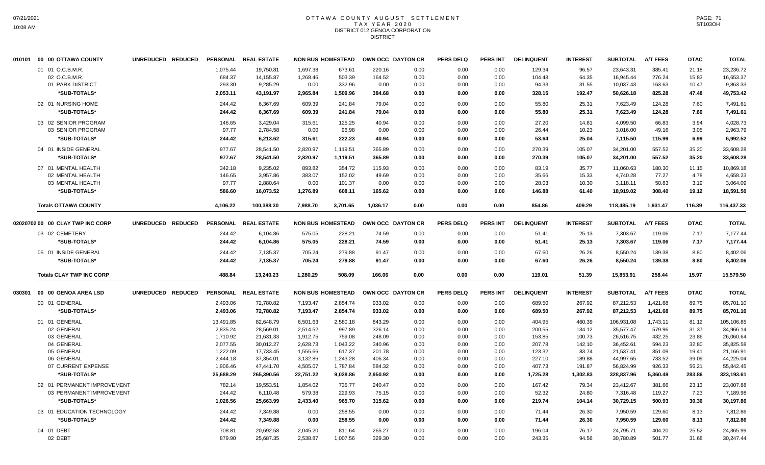## OTTAWA COUNTY AUGUST SETTLEMENT T A X Y E A R 2 0 2 0 DISTRICT 012 GENOA CORPORATION **DISTRICT**

|        | 010101 00 00 OTTAWA COUNTY       | UNREDUCED REDUCED |           | PERSONAL REAL ESTATE | <b>NON BUS HOMESTEAD</b> |                          |          | OWN OCC DAYTON CR | <b>PERS DELQ</b> | <b>PERS INT</b> | <b>DELINQUENT</b> | <b>INTEREST</b> | <b>SUBTOTAL</b> | <b>A/T FEES</b> | <b>DTAC</b> | <b>TOTAL</b> |
|--------|----------------------------------|-------------------|-----------|----------------------|--------------------------|--------------------------|----------|-------------------|------------------|-----------------|-------------------|-----------------|-----------------|-----------------|-------------|--------------|
|        | 01 01 O.C.B.M.R.                 |                   | 1.075.44  | 19.750.81            | 1.697.38                 | 673.61                   | 220.16   | 0.00              | 0.00             | 0.00            | 129.34            | 96.57           | 23,643.31       | 385.41          | 21.18       | 23,236.72    |
|        | 02 O.C.B.M.R.                    |                   | 684.37    | 14,155.87            | 1,268.46                 | 503.39                   | 164.52   | 0.00              | 0.00             | 0.00            | 104.48            | 64.35           | 16,945.44       | 276.24          | 15.83       | 16,653.37    |
|        | 01 PARK DISTRICT                 |                   | 293.30    | 9,285.29             | 0.00                     | 332.96                   | 0.00     | 0.00              | 0.00             | 0.00            | 94.33             | 31.55           | 10,037.43       | 163.63          | 10.47       | 9,863.33     |
|        | *SUB-TOTALS*                     |                   | 2,053.11  | 43,191.97            | 2,965.84                 | 1,509.96                 | 384.68   | 0.00              | 0.00             | 0.00            | 328.15            | 192.47          | 50,626.18       | 825.28          | 47.48       | 49,753.42    |
|        | 02 01 NURSING HOME               |                   | 244.42    | 6,367.69             | 609.39                   | 241.84                   | 79.04    | 0.00              | 0.00             | 0.00            | 55.80             | 25.31           | 7,623.49        | 124.28          | 7.60        | 7,491.61     |
|        | *SUB-TOTALS*                     |                   | 244.42    | 6,367.69             | 609.39                   | 241.84                   | 79.04    | 0.00              | 0.00             | 0.00            | 55.80             | 25.31           | 7,623.49        | 124.28          | 7.60        | 7,491.61     |
|        |                                  |                   |           |                      |                          |                          |          |                   |                  |                 |                   |                 |                 |                 |             |              |
|        | 03 02 SENIOR PROGRAM             |                   | 146.65    | 3.429.04             | 315.61                   | 125.25                   | 40.94    | 0.00              | 0.00             | 0.00            | 27.20             | 14.81           | 4.099.50        | 66.83           | 3.94        | 4,028.73     |
|        | 03 SENIOR PROGRAM                |                   | 97.77     | 2,784.58             | 0.00                     | 96.98                    | 0.00     | 0.00              | 0.00             | 0.00            | 26.44             | 10.23           | 3,016.00        | 49.16           | 3.05        | 2,963.79     |
|        | *SUB-TOTALS*                     |                   | 244.42    | 6,213.62             | 315.61                   | 222.23                   | 40.94    | 0.00              | 0.00             | 0.00            | 53.64             | 25.04           | 7,115.50        | 115.99          | 6.99        | 6,992.52     |
|        | 04 01 INSIDE GENERAL             |                   | 977.67    | 28,541.50            | 2,820.97                 | 1,119.51                 | 365.89   | 0.00              | 0.00             | 0.00            | 270.39            | 105.07          | 34,201.00       | 557.52          | 35.20       | 33,608.28    |
|        | *SUB-TOTALS*                     |                   | 977.67    | 28,541.50            | 2,820.97                 | 1,119.51                 | 365.89   | 0.00              | 0.00             | 0.00            | 270.39            | 105.07          | 34,201.00       | 557.52          | 35.20       | 33,608.28    |
|        | 07 01 MENTAL HEALTH              |                   | 342.18    | 9.235.02             | 893.82                   | 354.72                   | 115.93   | 0.00              | 0.00             | 0.00            | 83.19             | 35.77           | 11.060.63       | 180.30          | 11.15       | 10.869.18    |
|        | 02 MENTAL HEALTH                 |                   | 146.65    | 3,957.86             | 383.07                   | 152.02                   | 49.69    | 0.00              | 0.00             | 0.00            | 35.66             | 15.33           | 4,740.28        | 77.27           | 4.78        | 4,658.23     |
|        | 03 MENTAL HEALTH                 |                   | 97.77     | 2,880.64             | 0.00                     | 101.37                   | 0.00     | 0.00              | 0.00             | 0.00            | 28.03             | 10.30           | 3,118.11        | 50.83           | 3.19        | 3,064.09     |
|        | *SUB-TOTALS*                     |                   | 586.60    | 16,073.52            | 1,276.89                 | 608.11                   | 165.62   | 0.00              | 0.00             | 0.00            | 146.88            | 61.40           | 18,919.02       | 308.40          | 19.12       | 18,591.50    |
|        | <b>Totals OTTAWA COUNTY</b>      |                   | 4.106.22  | 100.388.30           | 7.988.70                 | 3.701.65                 | 1.036.17 | 0.00              | 0.00             | 0.00            | 854.86            | 409.29          | 118,485.19      | 1,931.47        | 116.39      | 116,437.33   |
|        | 02020702 00 00 CLAY TWP INC CORP | UNREDUCED REDUCED |           | PERSONAL REAL ESTATE | <b>NON BUS HOMESTEAD</b> |                          |          | OWN OCC DAYTON CR | <b>PERS DELQ</b> | <b>PERS INT</b> | <b>DELINQUENT</b> | <b>INTEREST</b> | <b>SUBTOTAL</b> | <b>A/T FEES</b> | <b>DTAC</b> | <b>TOTAL</b> |
|        |                                  |                   |           |                      |                          |                          |          |                   |                  |                 |                   |                 |                 |                 |             |              |
|        | 03 02 CEMETERY                   |                   | 244.42    | 6,104.86             | 575.05                   | 228.21                   | 74.59    | 0.00              | 0.00             | 0.00            | 51.41             | 25.13           | 7,303.67        | 119.06          | 7.17        | 7,177.44     |
|        | *SUB-TOTALS*                     |                   | 244.42    | 6,104.86             | 575.05                   | 228.21                   | 74.59    | 0.00              | 0.00             | 0.00            | 51.41             | 25.13           | 7,303.67        | 119.06          | 7.17        | 7,177.44     |
|        | 05 01 INSIDE GENERAL             |                   | 244.42    | 7,135.37             | 705.24                   | 279.88                   | 91.47    | 0.00              | 0.00             | 0.00            | 67.60             | 26.26           | 8,550.24        | 139.38          | 8.80        | 8,402.06     |
|        | *SUB-TOTALS*                     |                   | 244.42    | 7,135.37             | 705.24                   | 279.88                   | 91.47    | 0.00              | 0.00             | 0.00            | 67.60             | 26.26           | 8,550.24        | 139.38          | 8.80        | 8,402.06     |
|        | <b>Totals CLAY TWP INC CORP</b>  |                   | 488.84    | 13,240.23            | 1,280.29                 | 508.09                   | 166.06   | 0.00              | 0.00             | 0.00            | 119.01            | 51.39           | 15,853.91       | 258.44          | 15.97       | 15,579.50    |
|        |                                  |                   |           |                      |                          |                          |          |                   |                  |                 |                   |                 |                 |                 |             |              |
| 030301 | 00 00 GENOA AREA LSD             | UNREDUCED REDUCED |           | PERSONAL REAL ESTATE |                          | <b>NON BUS HOMESTEAD</b> |          | OWN OCC DAYTON CR | <b>PERS DELQ</b> | <b>PERS INT</b> | <b>DELINQUENT</b> | <b>INTEREST</b> | <b>SUBTOTAL</b> | <b>A/T FEES</b> | <b>DTAC</b> | <b>TOTAL</b> |
|        | 00 01 GENERAL                    |                   | 2,493.06  | 72,780.82            | 7,193.47                 | 2,854.74                 | 933.02   | 0.00              | 0.00             | 0.00            | 689.50            | 267.92          | 87,212.53       | 1,421.68        | 89.75       | 85,701.10    |
|        | *SUB-TOTALS*                     |                   | 2,493.06  | 72,780.82            | 7,193.47                 | 2,854.74                 | 933.02   | 0.00              | 0.00             | 0.00            | 689.50            | 267.92          | 87,212.53       | 1,421.68        | 89.75       | 85,701.10    |
|        | 01 01 GENERAL                    |                   | 13,491.85 | 82.648.79            | 6,501.63                 | 2,580.18                 | 843.29   | 0.00              | 0.00             | 0.00            | 404.95            | 460.39          | 106,931.08      | 1,743.11        | 81.12       | 105,106.85   |
|        | 02 GENERAL                       |                   | 2,835.24  | 28,569.01            | 2,514.52                 | 997.89                   | 326.14   | 0.00              | 0.00             | 0.00            | 200.55            | 134.12          | 35,577.47       | 579.96          | 31.37       | 34,966.14    |
|        | 03 GENERAL                       |                   | 1,710.92  | 21,631.33            | 1,912.75                 | 759.08                   | 248.09   | 0.00              | 0.00             | 0.00            | 153.85            | 100.73          | 26,516.75       | 432.25          | 23.86       | 26,060.64    |
|        | 04 GENERAL                       |                   | 2,077.55  | 30,012.27            | 2,628.73                 | 1,043.22                 | 340.96   | 0.00              | 0.00             | 0.00            | 207.78            | 142.10          | 36,452.61       | 594.23          | 32.80       | 35,825.58    |
|        | 05 GENERAL                       |                   | 1,222.09  | 17,733.45            | 1,555.66                 | 617.37                   | 201.78   | 0.00              | 0.00             | 0.00            | 123.32            | 83.74           | 21,537.41       | 351.09          | 19.41       | 21,166.91    |
|        | 06 GENERAL                       |                   | 2,444.18  | 37,354.01            | 3,132.86                 | 1,243.28                 | 406.34   | 0.00              | 0.00             | 0.00            | 227.10            | 189.88          | 44,997.65       | 733.52          | 39.09       | 44,225.04    |
|        | 07 CURRENT EXPENSE               |                   | 1,906.46  | 47,441.70            | 4,505.07                 | 1,787.84                 | 584.32   | 0.00              | 0.00             | 0.00            | 407.73            | 191.87          | 56,824.99       | 926.33          | 56.21       | 55,842.45    |
|        | *SUB-TOTALS*                     |                   | 25,688.29 | 265,390.56           | 22,751.22                | 9,028.86                 | 2,950.92 | 0.00              | 0.00             | 0.00            | 1,725.28          | 1,302.83        | 328,837.96      | 5,360.49        | 283.86      | 323,193.61   |
|        | 02 01 PERMANENT IMPROVEMENT      |                   | 782.14    | 19,553.51            | 1,854.02                 | 735.77                   | 240.47   | 0.00              | 0.00             | 0.00            | 167.42            | 79.34           | 23,412.67       | 381.66          | 23.13       | 23,007.88    |
|        | 03 PERMANENT IMPROVEMENT         |                   | 244.42    | 6,110.48             | 579.38                   | 229.93                   | 75.15    | 0.00              | 0.00             | 0.00            | 52.32             | 24.80           | 7,316.48        | 119.27          | 7.23        | 7,189.98     |
|        | *SUB-TOTALS*                     |                   | 1,026.56  | 25,663.99            | 2,433.40                 | 965.70                   | 315.62   | 0.00              | 0.00             | 0.00            | 219.74            | 104.14          | 30,729.15       | 500.93          | 30.36       | 30,197.86    |
|        | 03 01 EDUCATION TECHNOLOGY       |                   | 244.42    | 7.349.88             | 0.00                     | 258.55                   | 0.00     | 0.00              | 0.00             | 0.00            | 71.44             | 26.30           | 7.950.59        | 129.60          | 8.13        | 7,812.86     |
|        | *SUB-TOTALS*                     |                   | 244.42    | 7,349.88             | 0.00                     | 258.55                   | 0.00     | 0.00              | 0.00             | 0.00            | 71.44             | 26.30           | 7,950.59        | 129.60          | 8.13        | 7,812.86     |
|        |                                  |                   |           |                      |                          |                          |          |                   |                  |                 |                   |                 |                 |                 |             |              |
|        | 04 01 DEBT                       |                   | 708.81    | 20,692.58            | 2,045.20                 | 811.64                   | 265.27   | 0.00              | 0.00             | 0.00            | 196.04            | 76.17           | 24,795.71       | 404.20          | 25.52       | 24,365.99    |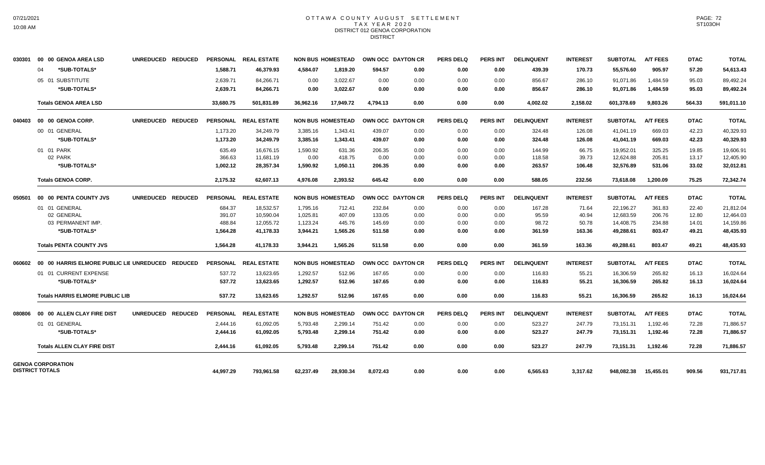## OTTAWA COUNTY AUGUST SETTLEMENT T A X Y E A R 2 0 2 0 DISTRICT 012 GENOA CORPORATION **DISTRICT**

| 030301 | 00 00 GENOA AREA LSD                             | UNREDUCED REDUCED |                 | PERSONAL REAL ESTATE |           | <b>NON BUS HOMESTEAD</b> | OWN OCC DAYTON CR |      | <b>PERS DELQ</b> | <b>PERS INT</b> | <b>DELINQUENT</b> | <b>INTEREST</b> | SUBTOTAL        | <b>A/T FEES</b> | <b>DTAC</b> | <b>TOTAL</b> |
|--------|--------------------------------------------------|-------------------|-----------------|----------------------|-----------|--------------------------|-------------------|------|------------------|-----------------|-------------------|-----------------|-----------------|-----------------|-------------|--------------|
|        | *SUB-TOTALS*<br>04                               |                   | 1.588.71        | 46.379.93            | 4.584.07  | 1.819.20                 | 594.57            | 0.00 | 0.00             | 0.00            | 439.39            | 170.73          | 55.576.60       | 905.97          | 57.20       | 54,613.43    |
|        | 05 01 SUBSTITUTE                                 |                   | 2,639.71        | 84,266.71            | 0.00      | 3,022.67                 | 0.00              | 0.00 | 0.00             | 0.00            | 856.67            | 286.10          | 91,071.86       | 1,484.59        | 95.03       | 89,492.24    |
|        | *SUB-TOTALS*                                     |                   | 2,639.71        | 84.266.71            | 0.00      | 3,022.67                 | 0.00              | 0.00 | 0.00             | 0.00            | 856.67            | 286.10          | 91,071.86       | 1,484.59        | 95.03       | 89,492.24    |
|        | <b>Totals GENOA AREA LSD</b>                     |                   | 33,680.75       | 501,831.89           | 36,962.16 | 17.949.72                | 4.794.13          | 0.00 | 0.00             | 0.00            | 4,002.02          | 2,158.02        | 601,378.69      | 9.803.26        | 564.33      | 591,011.10   |
| 040403 | 00 00 GENOA CORP.                                | UNREDUCED REDUCED |                 | PERSONAL REAL ESTATE |           | <b>NON BUS HOMESTEAD</b> | OWN OCC DAYTON CR |      | <b>PERS DELQ</b> | <b>PERS INT</b> | <b>DELINQUENT</b> | <b>INTEREST</b> | <b>SUBTOTAL</b> | <b>A/T FEES</b> | <b>DTAC</b> | <b>TOTAL</b> |
|        | 00 01 GENERAL                                    |                   | 1,173.20        | 34,249.79            | 3,385.16  | 1,343.41                 | 439.07            | 0.00 | 0.00             | 0.00            | 324.48            | 126.08          | 41,041.19       | 669.03          | 42.23       | 40,329.93    |
|        | *SUB-TOTALS*                                     |                   | 1,173.20        | 34,249.79            | 3,385.16  | 1,343.41                 | 439.07            | 0.00 | 0.00             | 0.00            | 324.48            | 126.08          | 41,041.19       | 669.03          | 42.23       | 40,329.93    |
|        | 01 01 PARK                                       |                   | 635.49          | 16.676.15            | 1,590.92  | 631.36                   | 206.35            | 0.00 | 0.00             | 0.00            | 144.99            | 66.75           | 19,952.01       | 325.25          | 19.85       | 19,606.91    |
|        | 02 PARK                                          |                   | 366.63          | 11.681.19            | 0.00      | 418.75                   | 0.00              | 0.00 | 0.00             | 0.00            | 118.58            | 39.73           | 12,624.88       | 205.81          | 13.17       | 12,405.90    |
|        | *SUB-TOTALS*                                     |                   | 1,002.12        | 28,357.34            | 1,590.92  | 1,050.11                 | 206.35            | 0.00 | 0.00             | 0.00            | 263.57            | 106.48          | 32,576.89       | 531.06          | 33.02       | 32,012.81    |
|        | <b>Totals GENOA CORP.</b>                        |                   | 2,175.32        | 62,607.13            | 4,976.08  | 2,393.52                 | 645.42            | 0.00 | 0.00             | 0.00            | 588.05            | 232.56          | 73,618.08       | 1,200.09        | 75.25       | 72,342.74    |
| 050501 | 00 00 PENTA COUNTY JVS                           | UNREDUCED REDUCED |                 | PERSONAL REAL ESTATE |           | <b>NON BUS HOMESTEAD</b> | OWN OCC DAYTON CR |      | <b>PERS DELQ</b> | <b>PERS INT</b> | <b>DELINQUENT</b> | <b>INTEREST</b> | <b>SUBTOTAL</b> | <b>A/T FEES</b> | <b>DTAC</b> | <b>TOTAL</b> |
|        | 01 01 GENERAL                                    |                   | 684.37          | 18,532.57            | 1,795.16  | 712.41                   | 232.84            | 0.00 | 0.00             | 0.00            | 167.28            | 71.64           | 22,196.27       | 361.83          | 22.40       | 21,812.04    |
|        | 02 GENERAL                                       |                   | 391.07          | 10,590.04            | 1,025.81  | 407.09                   | 133.05            | 0.00 | 0.00             | 0.00            | 95.59             | 40.94           | 12,683.59       | 206.76          | 12.80       | 12,464.03    |
|        | 03 PERMANENT IMP.                                |                   | 488.84          | 12,055.72            | 1,123.24  | 445.76                   | 145.69            | 0.00 | 0.00             | 0.00            | 98.72             | 50.78           | 14,408.75       | 234.88          | 14.01       | 14,159.86    |
|        | *SUB-TOTALS*                                     |                   | 1,564.28        | 41,178.33            | 3.944.21  | 1,565.26                 | 511.58            | 0.00 | 0.00             | 0.00            | 361.59            | 163.36          | 49,288.61       | 803.47          | 49.21       | 48,435.93    |
|        | <b>Totals PENTA COUNTY JVS</b>                   |                   | 1,564.28        | 41,178.33            | 3.944.21  | 1,565.26                 | 511.58            | 0.00 | 0.00             | 0.00            | 361.59            | 163.36          | 49,288.61       | 803.47          | 49.21       | 48,435.93    |
| 060602 | 00 00 HARRIS ELMORE PUBLIC LIE UNREDUCED REDUCED |                   | <b>PERSONAL</b> | <b>REAL ESTATE</b>   |           | <b>NON BUS HOMESTEAD</b> | OWN OCC DAYTON CR |      | <b>PERS DELQ</b> | <b>PERS INT</b> | <b>DELINQUENT</b> | <b>INTEREST</b> | <b>SUBTOTAL</b> | <b>A/T FEES</b> | <b>DTAC</b> | <b>TOTAL</b> |
|        | 01 01 CURRENT EXPENSE                            |                   | 537.72          | 13,623.65            | 1,292.57  | 512.96                   | 167.65            | 0.00 | 0.00             | 0.00            | 116.83            | 55.21           | 16,306.59       | 265.82          | 16.13       | 16,024.64    |
|        | *SUB-TOTALS*                                     |                   | 537.72          | 13,623.65            | 1,292.57  | 512.96                   | 167.65            | 0.00 | 0.00             | 0.00            | 116.83            | 55.21           | 16,306.59       | 265.82          | 16.13       | 16,024.64    |
|        | <b>Totals HARRIS ELMORE PUBLIC LIB</b>           |                   | 537.72          | 13,623.65            | 1,292.57  | 512.96                   | 167.65            | 0.00 | 0.00             | 0.00            | 116.83            | 55.21           | 16,306.59       | 265.82          | 16.13       | 16,024.64    |
| 080806 | 00 00 ALLEN CLAY FIRE DIST                       | UNREDUCED REDUCED |                 | PERSONAL REAL ESTATE |           | <b>NON BUS HOMESTEAD</b> | OWN OCC DAYTON CR |      | <b>PERS DELQ</b> | <b>PERS INT</b> | <b>DELINQUENT</b> | <b>INTEREST</b> | <b>SUBTOTAL</b> | <b>A/T FEES</b> | <b>DTAC</b> | <b>TOTAL</b> |
|        | 01 01 GENERAL                                    |                   | 2.444.16        | 61.092.05            | 5.793.48  | 2.299.14                 | 751.42            | 0.00 | 0.00             | 0.00            | 523.27            | 247.79          | 73.151.31       | 1.192.46        | 72.28       | 71,886.57    |
|        | *SUB-TOTALS*                                     |                   | 2,444.16        | 61,092.05            | 5,793.48  | 2,299.14                 | 751.42            | 0.00 | 0.00             | 0.00            | 523.27            | 247.79          | 73,151.31       | 1,192.46        | 72.28       | 71,886.57    |
|        | <b>Totals ALLEN CLAY FIRE DIST</b>               |                   | 2,444.16        | 61,092.05            | 5,793.48  | 2,299.14                 | 751.42            | 0.00 | 0.00             | 0.00            | 523.27            | 247.79          | 73,151.31       | 1,192.46        | 72.28       | 71,886.57    |
|        | <b>GENOA CORPORATION</b>                         |                   |                 |                      |           |                          |                   |      |                  |                 |                   |                 |                 |                 |             |              |
|        | <b>DISTRICT TOTALS</b>                           |                   | 44,997.29       | 793,961.58           | 62,237.49 | 28,930.34                | 8,072.43          | 0.00 | 0.00             | 0.00            | 6,565.63          | 3,317.62        | 948,082.38      | 15,455.01       | 909.56      | 931,717.81   |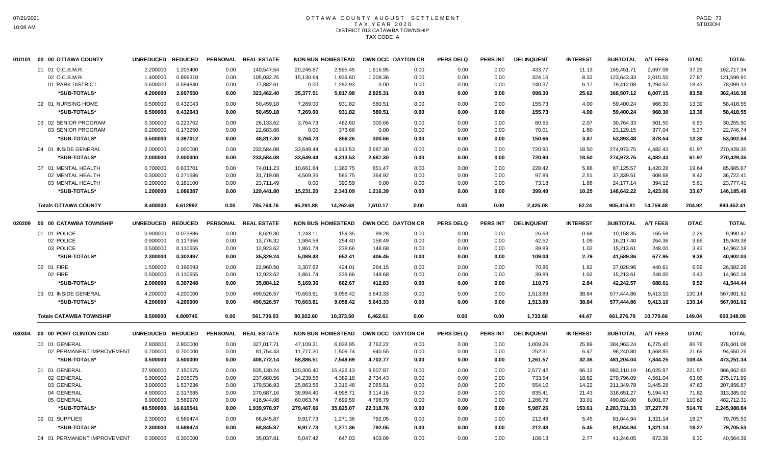# OTTAWA COUNTY AUGUST SETTLEMENT T A X Y E A R 2 0 2 0 DISTRICT 013 CATAWBA TOWNSHIP TAX CODE A

|        | 010101  00  00 OTTAWA COUNTY   | UNREDUCED REDUCED |                | <b>PERSONAL</b> | <b>REAL ESTATE</b>   |            | <b>NON BUS HOMESTEAD</b> | OWN OCC DAYTON CR |      | <b>PERS DELQ</b> | <b>PERS INT</b> | <b>DELINQUENT</b> | <b>INTEREST</b> | <b>SUBTOTAL</b> | <b>A/T FEES</b> | <b>DTAC</b> | <b>TOTAL</b> |
|--------|--------------------------------|-------------------|----------------|-----------------|----------------------|------------|--------------------------|-------------------|------|------------------|-----------------|-------------------|-----------------|-----------------|-----------------|-------------|--------------|
|        | 01 01 O.C.B.M.R.               | 2.200000          | 1.203400       | 0.00            | 140,547.54           | 20,246.87  | 2.595.45                 | 1,616.95          | 0.00 | 0.00             | 0.00            | 433.77            | 11.13           | 165,451.71      | 2,697.08        | 37.29       | 162,717.34   |
|        | 02 O.C.B.M.R                   | 1.400000          | 0.899310       | 0.00            | 105,032.25           | 15,130.64  | 1,939.60                 | 1,208.36          | 0.00 | 0.00             | 0.00            | 324.16            | 8.32            | 123,643.33      | 2,015.55        | 27.87       | 121,599.91   |
|        | 01 PARK DISTRICT               | 0.600000          | 0.594840       | 0.00            | 77,882.61            | 0.00       | 1.282.93                 | 0.00              | 0.00 | 0.00             | 0.00            | 240.37            | 6.17            | 79,412.08       | 1.294.52        | 18.43       | 78,099.13    |
|        | *SUB-TOTALS*                   | 4.200000          | 2.697550       | 0.00            | 323,462.40           | 35,377.51  | 5,817.98                 | 2,825.31          | 0.00 | 0.00             | 0.00            | 998.30            | 25.62           | 368,507.12      | 6,007.15        | 83.59       | 362,416.38   |
|        | 02 01 NURSING HOME             | 0.500000          | 0.432043       | 0.00            | 50,459.18            | 7,269.00   | 931.82                   | 580.51            | 0.00 | 0.00             | 0.00            | 155.73            | 4.00            | 59,400.24       | 968.30          | 13.39       | 58,418.55    |
|        | *SUB-TOTALS*                   | 0.500000          | 0.432043       | 0.00            | 50,459.18            | 7,269.00   | 931.82                   | 580.51            | 0.00 | 0.00             | 0.00            | 155.73            | 4.00            | 59,400.24       | 968.30          | 13.39       | 58,418.55    |
|        |                                |                   |                |                 |                      |            |                          |                   |      |                  |                 |                   |                 |                 |                 |             |              |
|        | 03 02 SENIOR PROGRAM           | 0.300000          | 0.223762       | 0.00            | 26,133.62            | 3,764.73   | 482.60                   | 300.66            | 0.00 | 0.00             | 0.00            | 80.65             | 2.07            | 30,764.33       | 501.50          | 6.93        | 30,255.90    |
|        | 03 SENIOR PROGRAM              | 0.200000          | 0.173250       | 0.00            | 22,683.68            | 0.00       | 373.66                   | 0.00              | 0.00 | 0.00             | 0.00            | 70.01             | 1.80            | 23,129.15       | 377.04          | 5.37        | 22,746.74    |
|        | *SUB-TOTALS*                   | 0.500000          | 0.397012       | 0.00            | 48,817.30            | 3,764.73   | 856.26                   | 300.66            | 0.00 | 0.00             | 0.00            | 150.66            | 3.87            | 53,893.48       | 878.54          | 12.30       | 53,002.64    |
|        | 04 01 INSIDE GENERAL           | 2.000000          | 2.000000       | 0.00            | 233,584.08           | 33,649.44  | 4,313.53                 | 2,687.30          | 0.00 | 0.00             | 0.00            | 720.90            | 18.50           | 274,973.75      | 4,482.43        | 61.97       | 270,429.35   |
|        | *SUB-TOTALS*                   | 2.000000          | 2.000000       | 0.00            | 233,584.08           | 33,649.44  | 4,313.53                 | 2,687.30          | 0.00 | 0.00             | 0.00            | 720.90            | 18.50           | 274,973.75      | 4,482.43        | 61.97       | 270,429.35   |
|        | 07 01 MENTAL HEALTH            | 0.700000          | 0.633701       | 0.00            | 74,011.23            | 10,661.84  | 1,366.75                 | 851.47            | 0.00 | 0.00             | 0.00            | 228.42            | 5.86            | 87,125.57       | 1,420.26        | 19.64       | 85,685.67    |
|        | 02 MENTAL HEALTH               | 0.300000          | 0.271586       | 0.00            | 31,719.08            | 4,569.36   | 585.75                   | 364.92            | 0.00 | 0.00             | 0.00            | 97.89             | 2.51            | 37,339.51       | 608.68          | 8.42        | 36,722.41    |
|        | 03 MENTAL HEALTH               | 0.200000          | 0.181100       | 0.00            | 23,711.49            | 0.00       | 390.59                   | 0.00              | 0.00 | 0.00             | 0.00            | 73.18             | 1.88            | 24,177.14       | 394.12          | 5.61        | 23,777.41    |
|        | *SUB-TOTALS*                   | 1.200000          | 1.086387       | 0.00            | 129,441.80           | 15,231.20  | 2,343.09                 | 1,216.39          | 0.00 | 0.00             | 0.00            | 399.49            | 10.25           | 148,642.22      | 2,423.06        | 33.67       | 146,185.49   |
|        | <b>Totals OTTAWA COUNTY</b>    | 8.400000          | 6.612992       | 0.00            | 785,764.76           | 95,291.88  | 14,262.68                | 7,610.17          | 0.00 | 0.00             | 0.00            | 2,425.08          | 62.24           | 905,416.81      | 14,759.48       | 204.92      | 890,452.41   |
|        |                                |                   |                |                 |                      |            |                          |                   |      |                  |                 |                   |                 |                 |                 |             |              |
| 020209 | 00 00 CATAWBA TOWNSHIP         | <b>UNREDUCED</b>  | <b>REDUCED</b> |                 | PERSONAL REAL ESTATE |            | <b>NON BUS HOMESTEAD</b> | OWN OCC DAYTON CR |      | <b>PERS DELQ</b> | <b>PERS INT</b> | <b>DELINQUENT</b> | <b>INTEREST</b> | <b>SUBTOTAL</b> | <b>A/T FEES</b> | <b>DTAC</b> | <b>TOTAL</b> |
|        | 01 01 POLICE                   | 0.900000          | 0.073886       | 0.00            | 8,629.30             | 1,243.11   | 159.35                   | 99.28             | 0.00 | 0.00             | 0.00            | 26.63             | 0.68            | 10,158.35       | 165.59          | 2.29        | 9.990.47     |
|        | 02 POLICE                      | 0.900000          | 0.117956       | 0.00            | 13,776.32            | 1.984.58   | 254.40                   | 158.49            | 0.00 | 0.00             | 0.00            | 42.52             | 1.09            | 16.217.40       | 264.36          | 3.66        | 15,949.38    |
|        | 03 POLICE                      | 0.500000          | 0.110655       | 0.00            | 12,923.62            | 1,861.74   | 238.66                   | 148.68            | 0.00 | 0.00             | 0.00            | 39.89             | 1.02            | 15,213.61       | 248.00          | 3.43        | 14,962.18    |
|        | *SUB-TOTALS*                   | 2.300000          | 0.302497       | 0.00            | 35,329.24            | 5,089.43   | 652.41                   | 406.45            | 0.00 | 0.00             | 0.00            | 109.04            | 2.79            | 41,589.36       | 677.95          | 9.38        | 40,902.03    |
|        | 02 01 FIRE                     | 1.500000          | 0.196593       | 0.00            | 22,960.50            | 3,307.62   | 424.01                   | 264.15            | 0.00 | 0.00             | 0.00            | 70.86             | 1.82            | 27,028.96       | 440.61          | 6.09        | 26,582.26    |
|        | 02 FIRE                        | 0.500000          | 0.110655       | 0.00            | 12,923.62            | 1,861.74   | 238.66                   | 148.68            | 0.00 | 0.00             | 0.00            | 39.89             | 1.02            | 15,213.61       | 248.00          | 3.43        | 14,962.18    |
|        | *SUB-TOTALS*                   | 2.000000          | 0.307248       | 0.00            | 35,884.12            | 5,169.36   | 662.67                   | 412.83            | 0.00 | 0.00             | 0.00            | 110.75            | 2.84            | 42,242.57       | 688.61          | 9.52        | 41,544.44    |
|        | 03 01 INSIDE GENERAL           | 4.200000          | 4.200000       | 0.00            | 490,526.57           | 70,663.81  | 9,058.42                 | 5,643.33          | 0.00 | 0.00             | 0.00            | 1,513.89          | 38.84           | 577,444.86      | 9.413.10        | 130.14      | 567,901.62   |
|        | *SUB-TOTALS*                   | 4.200000          | 4.200000       | 0.00            | 490,526.57           | 70,663.81  | 9,058.42                 | 5,643.33          | 0.00 | 0.00             | 0.00            | 1,513.89          | 38.84           | 577,444.86      | 9,413.10        | 130.14      | 567,901.62   |
|        |                                |                   |                |                 |                      |            |                          |                   |      |                  |                 |                   |                 |                 |                 |             |              |
|        | <b>Totals CATAWBA TOWNSHIP</b> | 8.500000          | 4.809745       | 0.00            | 561,739.93           | 80,922.60  | 10,373.50                | 6,462.61          | 0.00 | 0.00             | 0.00            | 1,733.68          | 44.47           | 661,276.79      | 10,779.66       | 149.04      | 650,348.09   |
| 030304 | 00 00 PORT CLINTON CSD         | UNREDUCED REDUCED |                |                 | PERSONAL REAL ESTATE |            | <b>NON BUS HOMESTEAD</b> | OWN OCC DAYTON CR |      | <b>PERS DELQ</b> | <b>PERS INT</b> | <b>DELINQUENT</b> | <b>INTEREST</b> | <b>SUBTOTAL</b> | <b>A/T FEES</b> | <b>DTAC</b> | <b>TOTAL</b> |
|        | 00 01 GENERAL                  | 2.800000          | 2.800000       | 0.00            | 327,017.71           | 47,109.21  | 6,038.95                 | 3,762.22          | 0.00 | 0.00             | 0.00            | 1,009.26          | 25.89           | 384,963.24      | 6,275.40        | 86.76       | 378,601.08   |
|        | 02 PERMANENT IMPROVEMENT       | 0.700000          | 0.700000       | 0.00            | 81,754.43            | 11,777.30  | 1,509.74                 | 940.55            | 0.00 | 0.00             | 0.00            | 252.31            | 6.47            | 96,240.80       | 1,568.85        | 21.69       | 94,650.26    |
|        | *SUB-TOTALS*                   | 3.500000          | 3.500000       | 0.00            | 408,772.14           | 58,886.51  | 7,548.69                 | 4,702.77          | 0.00 | 0.00             | 0.00            | 1,261.57          | 32.36           | 481,204.04      | 7,844.25        | 108.45      | 473,251.34   |
|        | 01 01 GENERAL                  | 27.900000         | 7.150575       | 0.00            | 835,130.24           | 120,306.40 | 15,422.13                | 9,607.87          | 0.00 | 0.00             | 0.00            | 2,577.42          | 66.13           | 983,110.19      | 16,025.97       | 221.57      | 966,862.65   |
|        | 02 GENERAL                     | 5.900000          | 2.035075       | 0.00            | 237,680.56           | 34,239.56  | 4,389.18                 | 2,734.43          | 0.00 | 0.00             | 0.00            | 733.54            | 18.82           | 279,796.09      | 4,561.04        | 63.06       | 275,171.99   |
|        | 03 GENERAL                     | 3.900000          | 1.537236       | 0.00            | 179,536.93           | 25,863.56  | 3,315.46                 | 2,065.51          | 0.00 | 0.00             | 0.00            | 554.10            | 14.22           | 211,349.78      | 3,445.28        | 47.63       | 207,856.87   |
|        | 04 GENERAL                     | 4.900000          | 2.317685       | 0.00            | 270,687.16           | 38,994.40  | 4,998.71                 | 3,114.16          | 0.00 | 0.00             | 0.00            | 835.41            | 21.43           | 318,651.27      | 5,194.43        | 71.82       | 313,385.02   |
|        | 05 GENERAL                     | 6.900000          | 3.569970       | 0.00            | 416,944.08           | 60,063.74  | 7,699.59                 | 4,796.79          | 0.00 | 0.00             | 0.00            | 1,286.79          | 33.01           | 490,824.00      | 8,001.07        | 110.62      | 482,712.31   |
|        | *SUB-TOTALS*                   | 49.500000         | 16.610541      | 0.00            | 1,939,978.97         | 279,467.66 | 35,825.07                | 22,318.76         | 0.00 | 0.00             | 0.00            | 5,987.26          | 153.61          | 2,283,731.33    | 37,227.79       | 514.70      | 2,245,988.84 |
|        | 02 01 SUPPLIES                 | 2.300000          | 0.589474       | 0.00            | 68,845.87            | 9,917.73   | 1,271.36                 | 792.05            | 0.00 | 0.00             | 0.00            | 212.48            | 5.45            | 81,044.94       | 1,321.14        | 18.27       | 79,705.53    |
|        | *SUB-TOTALS*                   | 2.300000          | 0.589474       | 0.00            | 68,845.87            | 9,917.73   | 1,271.36                 | 792.05            | 0.00 | 0.00             | 0.00            | 212.48            | 5.45            | 81,044.94       | 1,321.14        | 18.27       | 79,705.53    |
|        |                                |                   |                |                 |                      |            |                          |                   |      |                  |                 |                   |                 |                 |                 |             |              |
|        | 04 01 PERMANENT IMPROVEMENT    | 0.300000          | 0.300000       | 0.00            | 35,037.61            | 5.047.42   | 647.03                   | 403.09            | 0.00 | 0.00             | 0.00            | 108.13            | 2.77            | 41,246.05       | 672.36          | 9.30        | 40,564.39    |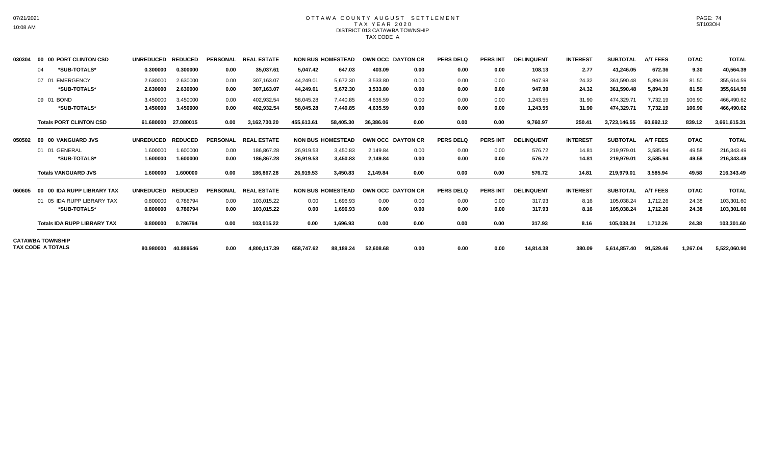### OTTAWA COUNTY AUGUST SETTLEMENT T A X Y E A R 2 0 2 0 DISTRICT 013 CATAWBA TOWNSHIP TAX CODE A

| 030304 | 00 00 PORT CLINTON CSD             | <b>UNREDUCED</b>  | <b>REDUCED</b> | <b>PERSONAL</b> | <b>REAL ESTATE</b> |            | <b>NON BUS HOMESTEAD</b> |           | OWN OCC DAYTON CR | <b>PERS DELQ</b> | <b>PERS INT</b> | <b>DELINQUENT</b> | <b>INTEREST</b> | <b>SUBTOTAL</b> | <b>A/T FEES</b> | <b>DTAC</b> | <b>TOTAL</b> |
|--------|------------------------------------|-------------------|----------------|-----------------|--------------------|------------|--------------------------|-----------|-------------------|------------------|-----------------|-------------------|-----------------|-----------------|-----------------|-------------|--------------|
|        | *SUB-TOTALS*<br>04                 | 0.300000          | 0.300000       | 0.00            | 35,037.61          | 5,047.42   | 647.03                   | 403.09    | 0.00              | 0.00             | 0.00            | 108.13            | 2.77            | 41,246.05       | 672.36          | 9.30        | 40,564.39    |
|        | <b>EMERGENCY</b><br>07 01          | 2.630000          | 2.630000       | 0.00            | 307,163.07         | 44,249.01  | 5,672.30                 | 3,533.80  | 0.00              | 0.00             | 0.00            | 947.98            | 24.32           | 361,590.48      | 5,894.39        | 81.50       | 355,614.59   |
|        | *SUB-TOTALS*                       | 2.630000          | 2.630000       | 0.00            | 307,163.07         | 44,249.01  | 5,672.30                 | 3,533.80  | 0.00              | 0.00             | 0.00            | 947.98            | 24.32           | 361,590.48      | 5,894.39        | 81.50       | 355,614.59   |
|        | 09 01<br><b>BOND</b>               | 3.450000          | 3.450000       | 0.00            | 402,932.54         | 58,045.28  | 7.440.85                 | 4.635.59  | 0.00              | 0.00             | 0.00            | 1,243.55          | 31.90           | 474.329.7       | 7.732.19        | 106.90      | 466,490.62   |
|        | *SUB-TOTALS*                       | 3.450000          | 3.450000       | 0.00            | 402,932.54         | 58,045.28  | 7,440.85                 | 4,635.59  | 0.00              | 0.00             | 0.00            | 1,243.55          | 31.90           | 474,329.71      | 7,732.19        | 106.90      | 466,490.62   |
|        | <b>Totals PORT CLINTON CSD</b>     | 61.680000         | 27.080015      | 0.00            | 3.162.730.20       | 455,613.61 | 58,405.30                | 36,386.06 | 0.00              | 0.00             | 0.00            | 9,760.97          | 250.41          | 3.723.146.55    | 60,692.12       | 839.12      | 3,661,615.31 |
| 050502 | 00 00 VANGUARD JVS                 | <b>UNREDUCED</b>  | <b>REDUCED</b> | <b>PERSONAL</b> | <b>REAL ESTATE</b> |            | <b>NON BUS HOMESTEAD</b> |           | OWN OCC DAYTON CR | <b>PERS DELQ</b> | <b>PERS INT</b> | <b>DELINQUENT</b> | <b>INTEREST</b> | <b>SUBTOTAL</b> | <b>A/T FEES</b> | <b>DTAC</b> | <b>TOTAL</b> |
|        | 01 01 GENERAL                      | 1.600000          | 1.600000       | 0.00            | 186,867.28         | 26,919.53  | 3.450.83                 | 2.149.84  | 0.00              | 0.00             | 0.00            | 576.72            | 14.81           | 219,979.01      | 3.585.94        | 49.58       | 216,343.49   |
|        | *SUB-TOTALS*                       | 1.600000          | 1.600000       | 0.00            | 186,867.28         | 26,919.53  | 3,450.83                 | 2,149.84  | 0.00              | 0.00             | 0.00            | 576.72            | 14.81           | 219,979.01      | 3,585.94        | 49.58       | 216,343.49   |
|        | <b>Totals VANGUARD JVS</b>         | 1.600000          | 1.600000       | 0.00            | 186,867.28         | 26,919.53  | 3,450.83                 | 2,149.84  | 0.00              | 0.00             | 0.00            | 576.72            | 14.81           | 219,979.01      | 3,585.94        | 49.58       | 216,343.49   |
| 060605 | 00 00 IDA RUPP LIBRARY TAX         | UNREDUCED REDUCED |                | <b>PERSONAL</b> | <b>REAL ESTATE</b> |            | <b>NON BUS HOMESTEAD</b> |           | OWN OCC DAYTON CR | <b>PERS DELO</b> | <b>PERS INT</b> | <b>DELINQUENT</b> | <b>INTEREST</b> | <b>SUBTOTAL</b> | <b>A/T FEES</b> | <b>DTAC</b> | <b>TOTAL</b> |
|        | 05 IDA RUPP LIBRARY TAX            | 0.800000          | 0.786794       | 0.00            | 103.015.22         | 0.00       | 1.696.93                 | 0.00      | 0.00              | 0.00             | 0.00            | 317.93            | 8.16            | 105.038.24      | 1.712.26        | 24.38       | 103,301.60   |
|        | *SUB-TOTALS*                       | 0.800000          | 0.786794       | 0.00            | 103,015.22         | 0.00       | 1,696.93                 | 0.00      | 0.00              | 0.00             | 0.00            | 317.93            | 8.16            | 105,038.24      | 1,712.26        | 24.38       | 103,301.60   |
|        | <b>Totals IDA RUPP LIBRARY TAX</b> | 0.800000          | 0.786794       | 0.00            | 103,015.22         | 0.00       | 1,696.93                 | 0.00      | 0.00              | 0.00             | 0.00            | 317.93            | 8.16            | 105,038.24      | 1,712.26        | 24.38       | 103,301.60   |
|        | <b>CATAWBA TOWNSHIP</b>            |                   |                |                 |                    |            |                          |           |                   |                  |                 |                   |                 |                 |                 |             |              |
|        | TAX CODE A TOTALS                  | 80.980000         | 40.889546      | 0.00            | 4,800,117.39       | 658,747.62 | 88,189.24                | 52,608.68 | 0.00              | 0.00             | 0.00            | 14,814.38         | 380.09          | 5,614,857.40    | 91,529.46       | 1,267.04    | 5,522,060.90 |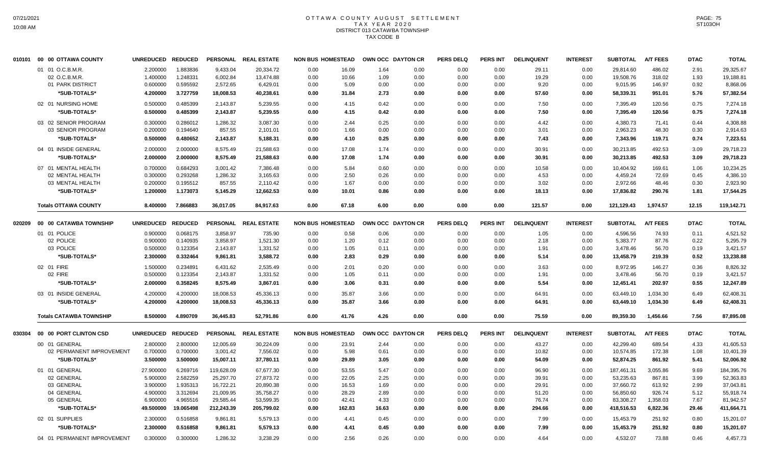# OTTAWA COUNTY AUGUST SETTLEMENT T A X Y E A R 2 0 2 0 DISTRICT 013 CATAWBA TOWNSHIP TAX CODE B

| 010101 |              | 00 00 OTTAWA COUNTY            | UNREDUCED REDUCED |                |            | PERSONAL REAL ESTATE | <b>NON BUS HOMESTEAD</b> |        |       | OWN OCC DAYTON CR | <b>PERS DELQ</b> | <b>PERS INT</b> | <b>DELINQUENT</b> | <b>INTEREST</b> | <b>SUBTOTAL</b> | <b>A/T FEES</b> | <b>DTAC</b> | <b>TOTAL</b> |
|--------|--------------|--------------------------------|-------------------|----------------|------------|----------------------|--------------------------|--------|-------|-------------------|------------------|-----------------|-------------------|-----------------|-----------------|-----------------|-------------|--------------|
|        |              | 01 01 O.C.B.M.R.               | 2.200000          | 1.883836       | 9,433.04   | 20,334.72            | 0.00                     | 16.09  | 1.64  | 0.00              | 0.00             | 0.00            | 29.11             | 0.00            | 29,814.60       | 486.02          | 2.91        | 29,325.67    |
|        |              | 02 O.C.B.M.R                   | 1.400000          | 1.248331       | 6,002.84   | 13,474.88            | 0.00                     | 10.66  | 1.09  | 0.00              | 0.00             | 0.00            | 19.29             | 0.00            | 19,508.76       | 318.02          | 1.93        | 19,188.81    |
|        |              | 01 PARK DISTRICT               | 0.600000          | 0.595592       | 2,572.65   | 6,429.01             | 0.00                     | 5.09   | 0.00  | 0.00              | 0.00             | 0.00            | 9.20              | 0.00            | 9,015.95        | 146.97          | 0.92        | 8,868.06     |
|        |              | *SUB-TOTALS*                   | 4.200000          | 3.727759       | 18,008.53  | 40,238.61            | 0.00                     | 31.84  | 2.73  | 0.00              | 0.00             | 0.00            | 57.60             | 0.00            | 58,339.31       | 951.01          | 5.76        | 57,382.54    |
|        |              | 02 01 NURSING HOME             | 0.500000          | 0.485399       | 2,143.87   | 5,239.55             | 0.00                     | 4.15   | 0.42  | 0.00              | 0.00             | 0.00            | 7.50              | 0.00            | 7,395.49        | 120.56          | 0.75        | 7,274.18     |
|        |              | *SUB-TOTALS*                   | 0.500000          | 0.485399       | 2,143.87   | 5,239.55             | 0.00                     | 4.15   | 0.42  | 0.00              | 0.00             | 0.00            | 7.50              | 0.00            | 7,395.49        | 120.56          | 0.75        | 7,274.18     |
|        |              | 03 02 SENIOR PROGRAM           | 0.300000          | 0.286012       | 1,286.32   | 3,087.30             | 0.00                     | 2.44   | 0.25  | 0.00              | 0.00             | 0.00            | 4.42              | 0.00            | 4,380.73        | 71.41           | 0.44        | 4,308.88     |
|        |              | 03 SENIOR PROGRAM              | 0.200000          | 0.194640       | 857.55     | 2,101.01             | 0.00                     | 1.66   | 0.00  | 0.00              | 0.00             | 0.00            | 3.01              | 0.00            | 2,963.23        | 48.30           | 0.30        | 2,914.63     |
|        |              | *SUB-TOTALS*                   | 0.500000          | 0.480652       | 2,143.87   | 5,188.31             | 0.00                     | 4.10   | 0.25  | 0.00              | 0.00             | 0.00            | 7.43              | 0.00            | 7,343.96        | 119.71          | 0.74        | 7,223.51     |
|        |              | 04 01 INSIDE GENERAL           | 2.000000          | 2.000000       | 8,575.49   | 21,588.63            | 0.00                     | 17.08  | 1.74  | 0.00              | 0.00             | 0.00            | 30.91             | 0.00            | 30,213.85       | 492.53          | 3.09        | 29,718.23    |
|        |              | *SUB-TOTALS*                   | 2.000000          | 2.000000       | 8,575.49   | 21,588.63            | 0.00                     | 17.08  | 1.74  | 0.00              | 0.00             | 0.00            | 30.91             | 0.00            | 30,213.85       | 492.53          | 3.09        | 29,718.23    |
|        |              | 07 01 MENTAL HEALTH            | 0.700000          | 0.684293       | 3,001.42   | 7,386.48             | 0.00                     | 5.84   | 0.60  | 0.00              | 0.00             | 0.00            | 10.58             | 0.00            | 10,404.92       | 169.61          | 1.06        | 10,234.25    |
|        |              | 02 MENTAL HEALTH               | 0.300000          | 0.293268       | 1,286.32   | 3,165.63             | 0.00                     | 2.50   | 0.26  | 0.00              | 0.00             | 0.00            | 4.53              | 0.00            | 4,459.24        | 72.69           | 0.45        | 4,386.10     |
|        |              | 03 MENTAL HEALTH               | 0.200000          | 0.195512       | 857.55     | 2,110.42             | 0.00                     | 1.67   | 0.00  | 0.00              | 0.00             | 0.00            | 3.02              | 0.00            | 2,972.66        | 48.46           | 0.30        | 2,923.90     |
|        |              | *SUB-TOTALS*                   | 1.200000          | 1.173073       | 5,145.29   | 12,662.53            | 0.00                     | 10.01  | 0.86  | 0.00              | 0.00             | 0.00            | 18.13             | 0.00            | 17,836.82       | 290.76          | 1.81        | 17,544.25    |
|        |              | <b>Totals OTTAWA COUNTY</b>    | 8.400000          | 7.866883       | 36,017.05  | 84,917.63            | 0.00                     | 67.18  | 6.00  | 0.00              | 0.00             | 0.00            | 121.57            | 0.00            | 121,129.43      | 1,974.57        | 12.15       | 119,142.71   |
|        |              |                                |                   |                |            |                      |                          |        |       |                   |                  |                 |                   |                 |                 |                 |             |              |
| 020209 |              | 00 00 CATAWBA TOWNSHIP         | <b>UNREDUCED</b>  | <b>REDUCED</b> |            | PERSONAL REAL ESTATE | <b>NON BUS HOMESTEAD</b> |        |       | OWN OCC DAYTON CR | <b>PERS DELQ</b> | <b>PERS INT</b> | <b>DELINQUENT</b> | <b>INTEREST</b> | <b>SUBTOTAL</b> | <b>A/T FEES</b> | <b>DTAC</b> | <b>TOTAL</b> |
|        | 01 01 POLICE |                                | 0.900000          | 0.068175       | 3,858.97   | 735.90               | 0.00                     | 0.58   | 0.06  | 0.00              | 0.00             | 0.00            | 1.05              | 0.00            | 4,596.56        | 74.93           | 0.11        | 4,521.52     |
|        |              | 02 POLICE                      | 0.900000          | 0.140935       | 3.858.97   | 1,521.30             | 0.00                     | 1.20   | 0.12  | 0.00              | 0.00             | 0.00            | 2.18              | 0.00            | 5.383.77        | 87.76           | 0.22        | 5,295.79     |
|        |              | 03 POLICE                      | 0.500000          | 0.123354       | 2,143.87   | 1,331.52             | 0.00                     | 1.05   | 0.11  | 0.00              | 0.00             | 0.00            | 1.91              | 0.00            | 3,478.46        | 56.70           | 0.19        | 3,421.57     |
|        |              | *SUB-TOTALS*                   | 2.300000          | 0.332464       | 9,861.81   | 3,588.72             | 0.00                     | 2.83   | 0.29  | 0.00              | 0.00             | 0.00            | 5.14              | 0.00            | 13,458.79       | 219.39          | 0.52        | 13,238.88    |
|        | 02 01 FIRE   |                                | 1.500000          | 0.234891       | 6,431.62   | 2,535.49             | 0.00                     | 2.01   | 0.20  | 0.00              | 0.00             | 0.00            | 3.63              | 0.00            | 8,972.95        | 146.27          | 0.36        | 8,826.32     |
|        |              | 02 FIRE                        | 0.500000          | 0.123354       | 2,143.87   | 1,331.52             | 0.00                     | 1.05   | 0.11  | 0.00              | 0.00             | 0.00            | 1.91              | 0.00            | 3,478.46        | 56.70           | 0.19        | 3,421.57     |
|        |              | *SUB-TOTALS*                   | 2.000000          | 0.358245       | 8,575.49   | 3,867.01             | 0.00                     | 3.06   | 0.31  | 0.00              | 0.00             | 0.00            | 5.54              | 0.00            | 12,451.41       | 202.97          | 0.55        | 12,247.89    |
|        |              | 03 01 INSIDE GENERAL           | 4.200000          | 4.200000       | 18,008.53  | 45,336.13            | 0.00                     | 35.87  | 3.66  | 0.00              | 0.00             | 0.00            | 64.91             | 0.00            | 63,449.10       | 1.034.30        | 6.49        | 62,408.31    |
|        |              | *SUB-TOTALS*                   | 4.200000          | 4.200000       | 18,008.53  | 45,336.13            | 0.00                     | 35.87  | 3.66  | 0.00              | 0.00             | 0.00            | 64.91             | 0.00            | 63,449.10       | 1.034.30        | 6.49        | 62,408.31    |
|        |              | <b>Totals CATAWBA TOWNSHIP</b> | 8.500000          | 4.890709       | 36,445.83  | 52,791.86            | 0.00                     | 41.76  | 4.26  | 0.00              | 0.00             | 0.00            | 75.59             | 0.00            | 89,359.30       | 1,456.66        | 7.56        | 87,895.08    |
| 030304 |              | 00 00 PORT CLINTON CSD         | UNREDUCED REDUCED |                |            | PERSONAL REAL ESTATE | <b>NON BUS HOMESTEAD</b> |        |       | OWN OCC DAYTON CR | <b>PERS DELQ</b> | PERS INT        | <b>DELINQUENT</b> | <b>INTEREST</b> | <b>SUBTOTAL</b> | <b>A/T FEES</b> | <b>DTAC</b> | <b>TOTAL</b> |
|        |              | 00 01 GENERAL                  | 2.800000          | 2.800000       | 12,005.69  | 30,224.09            | 0.00                     | 23.91  | 2.44  | 0.00              | 0.00             | 0.00            | 43.27             | 0.00            | 42,299.40       | 689.54          | 4.33        | 41,605.53    |
|        |              | 02 PERMANENT IMPROVEMENT       | 0.700000          | 0.700000       | 3,001.42   | 7,556.02             | 0.00                     | 5.98   | 0.61  | 0.00              | 0.00             | 0.00            | 10.82             | 0.00            | 10,574.85       | 172.38          | 1.08        | 10,401.39    |
|        |              |                                |                   |                |            |                      |                          |        |       |                   |                  |                 |                   |                 |                 |                 |             |              |
|        |              | *SUB-TOTALS*                   | 3.500000          | 3.500000       | 15,007.11  | 37,780.11            | 0.00                     | 29.89  | 3.05  | 0.00              | 0.00             | 0.00            | 54.09             | 0.00            | 52,874.25       | 861.92          | 5.41        | 52,006.92    |
|        |              | 01 01 GENERAL                  | 27.900000         | 6.269716       | 119,628.09 | 67,677.30            | 0.00                     | 53.55  | 5.47  | 0.00              | 0.00             | 0.00            | 96.90             | 0.00            | 187,461.31      | 3,055.86        | 9.69        | 184,395.76   |
|        |              | 02 GENERAL                     | 5.900000          | 2.582259       | 25,297.70  | 27,873.72            | 0.00                     | 22.05  | 2.25  | 0.00              | 0.00             | 0.00            | 39.91             | 0.00            | 53,235.63       | 867.81          | 3.99        | 52,363.83    |
|        |              | 03 GENERAL                     | 3.900000          | 1.935313       | 16,722.21  | 20,890.38            | 0.00                     | 16.53  | 1.69  | 0.00              | 0.00             | 0.00            | 29.91             | 0.00            | 37,660.72       | 613.92          | 2.99        | 37,043.81    |
|        |              | 04 GENERAL                     | 4.900000          | 3.312694       | 21,009.95  | 35,758.27            | 0.00                     | 28.29  | 2.89  | 0.00              | 0.00             | 0.00            | 51.20             | 0.00            | 56,850.60       | 926.74          | 5.12        | 55,918.74    |
|        |              | 05 GENERAL                     | 6.900000          | 4.965516       | 29,585.44  | 53,599.35            | 0.00                     | 42.41  | 4.33  | 0.00              | 0.00             | 0.00            | 76.74             | 0.00            | 83,308.27       | 1,358.03        | 7.67        | 81,942.57    |
|        |              | *SUB-TOTALS*                   | 49.500000         | 19.065498      | 212,243.39 | 205,799.02           | 0.00                     | 162.83 | 16.63 | 0.00              | 0.00             | 0.00            | 294.66            | 0.00            | 418,516.53      | 6,822.36        | 29.46       | 411,664.71   |
|        |              | 02 01 SUPPLIES                 | 2.300000          | 0.516858       | 9,861.81   | 5,579.13             | 0.00                     | 4.41   | 0.45  | 0.00              | 0.00             | 0.00            | 7.99              | 0.00            | 15,453.79       | 251.92          | 0.80        | 15,201.07    |
|        |              | <b>*SUB-TOTALS*</b>            | 2.300000          | 0.516858       | 9,861.81   | 5,579.13             | 0.00                     | 4.41   | 0.45  | 0.00              | 0.00             | 0.00            | 7.99              | 0.00            | 15,453.79       | 251.92          | 0.80        | 15,201.07    |
|        |              | 04 01 PERMANENT IMPROVEMENT    | 0.300000          | 0.300000       | 1.286.32   | 3.238.29             | 0.00                     | 2.56   | 0.26  | 0.00              | 0.00             | 0.00            | 4.64              | 0.00            | 4,532.07        | 73.88           | 0.46        | 4,457.73     |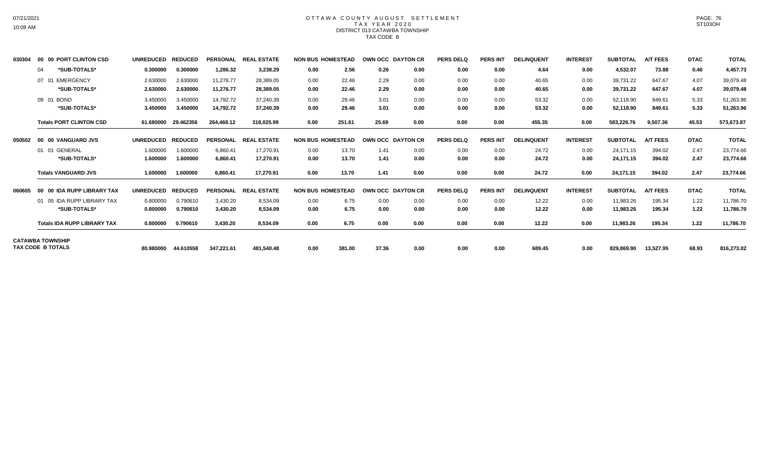## OTTAWA COUNTY AUGUST SETTLEMENT T A X Y E A R 2 0 2 0 DISTRICT 013 CATAWBA TOWNSHIP TAX CODE B

| 030304 | 00 00 PORT CLINTON CSD             | UNREDUCED REDUCED |                     | <b>PERSONAL</b> | <b>REAL ESTATE</b> | <b>NON BUS HOMESTEAD</b> |        |       | OWN OCC DAYTON CR | <b>PERS DELO</b> | <b>PERS INT</b> | <b>DELINQUENT</b> | <b>INTEREST</b> | <b>SUBTOTAL</b> | <b>A/T FEES</b> | <b>DTAC</b> | <b>TOTAL</b> |
|--------|------------------------------------|-------------------|---------------------|-----------------|--------------------|--------------------------|--------|-------|-------------------|------------------|-----------------|-------------------|-----------------|-----------------|-----------------|-------------|--------------|
|        | *SUB-TOTALS*<br>04                 | 0.300000          | 0.300000            | 1,286.32        | 3,238.29           | 0.00                     | 2.56   | 0.26  | 0.00              | 0.00             | 0.00            | 4.64              | 0.00            | 4,532.07        | 73.88           | 0.46        | 4,457.73     |
|        | <b>EMERGENCY</b><br>07<br>. O1     | 2.630000          | 2.630000            | 11.276.77       | 28.389.05          | 0.00                     | 22.46  | 2.29  | 0.00              | 0.00             | 0.00            | 40.65             | 0.00            | 39.731.22       | 647.67          | 4.07        | 39,079.48    |
|        | *SUB-TOTALS*                       | 2.630000          | 2.630000            | 11,276.77       | 28,389.05          | 0.00                     | 22.46  | 2.29  | 0.00              | 0.00             | 0.00            | 40.65             | 0.00            | 39,731.22       | 647.67          | 4.07        | 39,079.48    |
|        | <b>BOND</b><br>09 01               | 3.450000          | 3.450000            | 14,792.72       | 37,240.39          | 0.00                     | 29.46  | 3.01  | 0.00              | 0.00             | 0.00            | 53.32             | 0.00            | 52,118.90       | 849.61          | 5.33        | 51,263.96    |
|        | *SUB-TOTALS*                       | 3.450000          | 3.450000            | 14,792.72       | 37,240.39          | 0.00                     | 29.46  | 3.01  | 0.00              | 0.00             | 0.00            | 53.32             | 0.00            | 52,118.90       | 849.61          | 5.33        | 51,263.96    |
|        | <b>Totals PORT CLINTON CSD</b>     | 61.680000         | 29.462356           | 264,468.12      | 318,025.99         | 0.00                     | 251.61 | 25.69 | 0.00              | 0.00             | 0.00            | 455.35            | 0.00            | 583,226.76      | 9,507.36        | 45.53       | 573,673.87   |
| 050502 | 00 00 VANGUARD JVS                 | <b>UNREDUCED</b>  | <b>REDUCED</b>      | <b>PERSONAL</b> | <b>REAL ESTATE</b> | <b>NON BUS HOMESTEAD</b> |        |       | OWN OCC DAYTON CR | <b>PERS DELQ</b> | <b>PERS INT</b> | <b>DELINQUENT</b> | <b>INTEREST</b> | <b>SUBTOTAL</b> | <b>A/T FEES</b> | <b>DTAC</b> | <b>TOTAL</b> |
|        | 01 GENERAL<br>01                   | 1.600000          | 1.600000            | 6,860.41        | 17,270.91          | 0.00                     | 13.70  | 1.41  | 0.00              | 0.00             | 0.00            | 24.72             | 0.00            | 24.171.15       | 394.02          | 2.47        | 23,774.66    |
|        | *SUB-TOTALS*                       | 1.600000          | 1.600000            | 6,860.41        | 17,270.91          | 0.00                     | 13.70  | 1.41  | 0.00              | 0.00             | 0.00            | 24.72             | 0.00            | 24,171.15       | 394.02          | 2.47        | 23,774.66    |
|        | <b>Totals VANGUARD JVS</b>         | 1.600000          | 1.600000            | 6,860.41        | 17,270.91          | 0.00                     | 13.70  | 1.41  | 0.00              | 0.00             | 0.00            | 24.72             | 0.00            | 24,171.15       | 394.02          | 2.47        | 23,774.66    |
| 060605 | 00 00 IDA RUPP LIBRARY TAX         | <b>UNREDUCED</b>  | <b>REDUCED</b>      | <b>PERSONAL</b> | <b>REAL ESTATE</b> | <b>NON BUS HOMESTEAD</b> |        |       | OWN OCC DAYTON CR | <b>PERS DELQ</b> | <b>PERS INT</b> | <b>DELINQUENT</b> | <b>INTEREST</b> | <b>SUBTOTAL</b> | <b>A/T FEES</b> | <b>DTAC</b> | <b>TOTAL</b> |
|        | 01 05 IDA RUPP LIBRARY TAX         | 0.800000          | 0.790610            | 3,430.20        | 8,534.09           | 0.00                     | 6.75   | 0.00  | 0.00              | 0.00             | 0.00            | 12.22             | 0.00            | 11,983.26       | 195.34          | 1.22        | 11,786.70    |
|        | *SUB-TOTALS*                       | 0.800000          | 0.790610            | 3.430.20        | 8.534.09           | 0.00                     | 6.75   | 0.00  | 0.00              | 0.00             | 0.00            | 12.22             | 0.00            | 11,983.26       | 195.34          | 1.22        | 11,786.70    |
|        | <b>Totals IDA RUPP LIBRARY TAX</b> | 0.800000          | 0.790610            | 3,430.20        | 8,534.09           | 0.00                     | 6.75   | 0.00  | 0.00              | 0.00             | 0.00            | 12.22             | 0.00            | 11,983.26       | 195.34          | 1.22        | 11,786.70    |
|        | <b>CATAWBA TOWNSHIP</b>            |                   |                     |                 |                    |                          |        |       |                   |                  |                 |                   |                 |                 |                 |             |              |
|        | TAX CODE B TOTALS                  |                   | 80.980000 44.610558 | 347,221.61      | 481,540.48         | 0.00                     | 381.00 | 37.36 | 0.00              | 0.00             | 0.00            | 689.45            | 0.00            | 829,869.90      | 13.527.95       | 68.93       | 816,273.02   |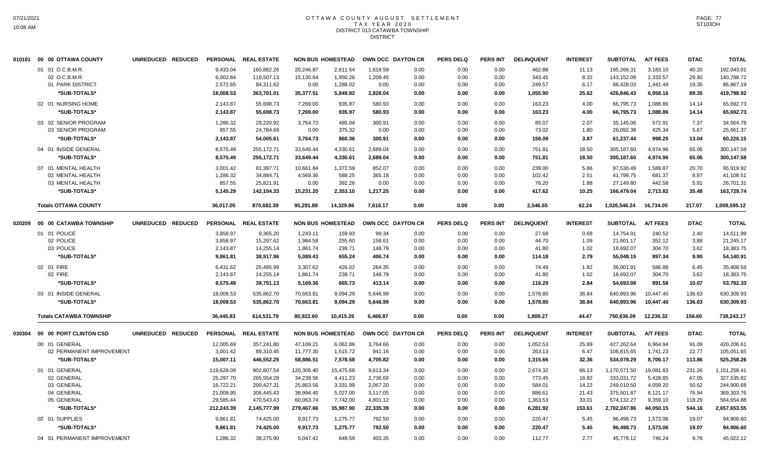## OTTAWA COUNTY AUGUST SETTLEMENT T A X Y E A R 2 0 2 0 DISTRICT 013 CATAWBA TOWNSHIP DISTRICT

|        | 010101 00 00 OTTAWA COUNTY     | UNREDUCED REDUCED |            | PERSONAL REAL ESTATE |            | <b>NON BUS HOMESTEAD</b> |           | OWN OCC DAYTON CR | <b>PERS DELQ</b> | <b>PERS INT</b> | <b>DELINQUENT</b> | <b>INTEREST</b> | <b>SUBTOTAL</b> | <b>A/T FEES</b> | <b>DTAC</b> | <b>TOTAL</b> |
|--------|--------------------------------|-------------------|------------|----------------------|------------|--------------------------|-----------|-------------------|------------------|-----------------|-------------------|-----------------|-----------------|-----------------|-------------|--------------|
|        | 01 01 O.C.B.M.R.               |                   | 9.433.04   | 160.882.26           | 20.246.87  | 2.611.54                 | 1.618.59  | 0.00              | 0.00             | 0.00            | 462.88            | 11.13           | 195.266.31      | 3.183.10        | 40.20       | 192.043.01   |
|        | 02 O.C.B.M.R.                  |                   | 6,002.84   | 118,507.13           | 15,130.64  | 1,950.26                 | 1,209.45  | 0.00              | 0.00             | 0.00            | 343.45            | 8.32            | 143,152.09      | 2,333.57        | 29.80       | 140,788.72   |
|        | 01 PARK DISTRICT               |                   | 2,572.65   | 84,311.62            | 0.00       | 1,288.02                 | 0.00      | 0.00              | 0.00             | 0.00            | 249.57            | 6.17            | 88,428.03       | 1,441.49        | 19.35       | 86,967.19    |
|        | *SUB-TOTALS*                   |                   | 18,008.53  | 363,701.01           | 35,377.51  | 5,849.82                 | 2,828.04  | 0.00              | 0.00             | 0.00            | 1,055.90          | 25.62           | 426,846.43      | 6,958.16        | 89.35       | 419,798.92   |
|        | 02 01 NURSING HOME             |                   | 2,143.87   | 55,698.73            | 7,269.00   | 935.97                   | 580.93    | 0.00              | 0.00             | 0.00            | 163.23            | 4.00            | 66,795.73       | 1,088.86        | 14.14       | 65,692.73    |
|        | *SUB-TOTALS*                   |                   | 2,143.87   | 55,698.73            | 7,269.00   | 935.97                   | 580.93    | 0.00              | 0.00             | 0.00            | 163.23            | 4.00            | 66,795.73       | 1,088.86        | 14.14       | 65,692.73    |
|        |                                |                   |            |                      |            |                          |           |                   |                  |                 |                   |                 |                 |                 |             |              |
|        | 03 02 SENIOR PROGRAM           |                   | 1,286.32   | 29,220.92            | 3,764.73   | 485.04                   | 300.91    | 0.00              | 0.00             | 0.00            | 85.07             | 2.07            | 35,145.06       | 572.91          | 7.37        | 34,564.78    |
|        | 03 SENIOR PROGRAM              |                   | 857.55     | 24,784.69            | 0.00       | 375.32                   | 0.00      | 0.00              | 0.00             | 0.00            | 73.02             | 1.80            | 26,092.38       | 425.34          | 5.67        | 25,661.37    |
|        | *SUB-TOTALS*                   |                   | 2,143.87   | 54,005.61            | 3,764.73   | 860.36                   | 300.91    | 0.00              | 0.00             | 0.00            | 158.09            | 3.87            | 61,237.44       | 998.25          | 13.04       | 60,226.15    |
|        | 04 01 INSIDE GENERAL           |                   | 8,575.49   | 255,172.71           | 33,649.44  | 4,330.61                 | 2,689.04  | 0.00              | 0.00             | 0.00            | 751.81            | 18.50           | 305,187.60      | 4,974.96        | 65.06       | 300,147.58   |
|        | *SUB-TOTALS*                   |                   | 8,575.49   | 255,172.71           | 33,649.44  | 4,330.61                 | 2,689.04  | 0.00              | 0.00             | 0.00            | 751.81            | 18.50           | 305,187.60      | 4,974.96        | 65.06       | 300,147.58   |
|        | 07 01 MENTAL HEALTH            |                   | 3,001.42   | 81,397.71            | 10,661.84  | 1,372.59                 | 852.07    | 0.00              | 0.00             | 0.00            | 239.00            | 5.86            | 97,530.49       | 1.589.87        | 20.70       | 95.919.92    |
|        | 02 MENTAL HEALTH               |                   | 1,286.32   | 34,884.71            | 4,569.36   | 588.25                   | 365.18    | 0.00              | 0.00             | 0.00            | 102.42            | 2.51            | 41,798.75       | 681.37          | 8.87        | 41,108.51    |
|        | 03 MENTAL HEALTH               |                   | 857.55     | 25,821.91            | 0.00       | 392.26                   | 0.00      | 0.00              | 0.00             | 0.00            | 76.20             | 1.88            | 27,149.80       | 442.58          | 5.91        | 26,701.31    |
|        | *SUB-TOTALS*                   |                   | 5,145.29   | 142,104.33           | 15,231.20  | 2,353.10                 | 1,217.25  | 0.00              | 0.00             | 0.00            | 417.62            | 10.25           | 166,479.04      | 2,713.82        | 35.48       | 163,729.74   |
|        | <b>Totals OTTAWA COUNTY</b>    |                   | 36,017.05  | 870,682.39           | 95.291.88  | 14,329.86                | 7.616.17  | 0.00              | 0.00             | 0.00            | 2,546.65          | 62.24           | 1,026,546.24    | 16,734.05       | 217.07      | 1,009,595.12 |
| 020209 | 00 00 CATAWBA TOWNSHIP         | UNREDUCED REDUCED |            | PERSONAL REAL ESTATE |            | <b>NON BUS HOMESTEAD</b> |           | OWN OCC DAYTON CR | <b>PERS DELQ</b> | <b>PERS INT</b> | <b>DELINQUENT</b> | <b>INTEREST</b> | <b>SUBTOTAL</b> | <b>A/T FEES</b> | <b>DTAC</b> | <b>TOTAL</b> |
|        |                                |                   |            |                      |            |                          |           |                   |                  |                 |                   |                 |                 |                 |             |              |
|        | 01 01 POLICE                   |                   | 3,858.97   | 9,365.20             | 1,243.11   | 159.93                   | 99.34     | 0.00              | 0.00             | 0.00            | 27.68             | 0.68            | 14,754.91       | 240.52          | 2.40        | 14,511.99    |
|        | 02 POLICE                      |                   | 3,858.97   | 15,297.62            | 1,984.58   | 255.60                   | 158.61    | 0.00              | 0.00             | 0.00            | 44.70             | 1.09            | 21,601.17       | 352.12          | 3.88        | 21,245.17    |
|        | 03 POLICE                      |                   | 2,143.87   | 14,255.14            | 1,861.74   | 239.71                   | 148.79    | 0.00              | 0.00             | 0.00            | 41.80             | 1.02            | 18,692.07       | 304.70          | 3.62        | 18,383.75    |
|        | *SUB-TOTALS*                   |                   | 9,861.81   | 38,917.96            | 5,089.43   | 655.24                   | 406.74    | 0.00              | 0.00             | 0.00            | 114.18            | 2.79            | 55,048.15       | 897.34          | 9.90        | 54,140.91    |
|        | 02 01 FIRE                     |                   | 6,431.62   | 25,495.99            | 3,307.62   | 426.02                   | 264.35    | 0.00              | 0.00             | 0.00            | 74.49             | 1.82            | 36,001.91       | 586.88          | 6.45        | 35,408.58    |
|        | 02 FIRE                        |                   | 2,143.87   | 14,255.14            | 1,861.74   | 239.71                   | 148.79    | 0.00              | 0.00             | 0.00            | 41.80             | 1.02            | 18,692.07       | 304.70          | 3.62        | 18,383.75    |
|        | *SUB-TOTALS*                   |                   | 8,575.49   | 39,751.13            | 5,169.36   | 665.73                   | 413.14    | 0.00              | 0.00             | 0.00            | 116.29            | 2.84            | 54,693.98       | 891.58          | 10.07       | 53,792.33    |
|        | 03 01 INSIDE GENERAL           |                   | 18,008.53  | 535,862.70           | 70,663.81  | 9,094.29                 | 5,646.99  | 0.00              | 0.00             | 0.00            | 1,578.80          | 38.84           | 640,893.96      | 10,447.40       | 136.63      | 630,309.93   |
|        | *SUB-TOTALS*                   |                   | 18,008.53  | 535,862.70           | 70,663.81  | 9,094.29                 | 5,646.99  | 0.00              | 0.00             | 0.00            | 1,578.80          | 38.84           | 640,893.96      | 10,447.40       | 136.63      | 630,309.93   |
|        | <b>Totals CATAWBA TOWNSHIP</b> |                   | 36,445.83  | 614,531.79           | 80,922.60  | 10,415.26                | 6,466.87  | 0.00              | 0.00             | 0.00            | 1,809.27          | 44.47           | 750.636.09      | 12,236.32       | 156.60      | 738,243.17   |
| 030304 | 00 00 PORT CLINTON CSD         | UNREDUCED REDUCED |            | PERSONAL REAL ESTATE |            | <b>NON BUS HOMESTEAD</b> |           | OWN OCC DAYTON CR | <b>PERS DELQ</b> | PERS INT        | <b>DELINQUENT</b> | <b>INTEREST</b> | <b>SUBTOTAL</b> | <b>A/T FEES</b> | <b>DTAC</b> | <b>TOTAL</b> |
|        | 00 01 GENERAL                  |                   | 12,005.69  | 357,241.80           | 47,109.21  | 6,062.86                 | 3,764.66  | 0.00              | 0.00             | 0.00            | 1,052.53          | 25.89           | 427,262.64      | 6,964.94        | 91.09       | 420,206.61   |
|        | 02 PERMANENT IMPROVEMENT       |                   | 3,001.42   | 89,310.45            | 11,777.30  | 1,515.72                 | 941.16    | 0.00              | 0.00             | 0.00            | 263.13            | 6.47            | 106,815.65      | 1,741.23        | 22.77       | 105,051.65   |
|        |                                |                   |            |                      |            |                          |           |                   |                  |                 |                   |                 |                 |                 |             |              |
|        | *SUB-TOTALS*                   |                   | 15,007.11  | 446,552.25           | 58,886.51  | 7,578.58                 | 4,705.82  | 0.00              | 0.00             | 0.00            | 1,315.66          | 32.36           | 534,078.29      | 8,706.17        | 113.86      | 525,258.26   |
|        | 01 01 GENERAL                  |                   | 119,628.09 | 902,807.54           | 120,306.40 | 15,475.68                | 9,613.34  | 0.00              | 0.00             | 0.00            | 2,674.32          | 66.13           | 1,170,571.50    | 19,081.83       | 231.26      | 1,151,258.41 |
|        | 02 GENERAL                     |                   | 25,297.70  | 265,554.28           | 34,239.56  | 4,411.23                 | 2,736.68  | 0.00              | 0.00             | 0.00            | 773.45            | 18.82           | 333,031.72      | 5,428.85        | 67.05       | 327,535.82   |
|        | 03 GENERAL                     |                   | 16,722.21  | 200,427.31           | 25,863.56  | 3,331.99                 | 2,067.20  | 0.00              | 0.00             | 0.00            | 584.01            | 14.22           | 249,010.50      | 4,059.20        | 50.62       | 244,900.68   |
|        | 04 GENERAL                     |                   | 21,009.95  | 306,445.43           | 38,994.40  | 5,027.00                 | 3,117.05  | 0.00              | 0.00             | 0.00            | 886.61            | 21.43           | 375,501.87      | 6,121.17        | 76.94       | 369,303.76   |
|        | 05 GENERAL                     |                   | 29,585.44  | 470,543.43           | 60,063.74  | 7,742.00                 | 4,801.12  | 0.00              | 0.00             | 0.00            | 1,363.53          | 33.01           | 574,132.27      | 9,359.10        | 118.29      | 564,654.88   |
|        | *SUB-TOTALS*                   |                   | 212,243.39 | 2,145,777.99         | 279,467.66 | 35,987.90                | 22,335.39 | 0.00              | 0.00             | 0.00            | 6,281.92          | 153.61          | 2,702,247.86    | 44,050.15       | 544.16      | 2,657,653.55 |
|        | 02 01 SUPPLIES                 |                   | 9,861.81   | 74,425.00            | 9,917.73   | 1,275.77                 | 792.50    | 0.00              | 0.00             | 0.00            | 220.47            | 5.45            | 96,498.73       | 1,573.06        | 19.07       | 94,906.60    |
|        | *SUB-TOTALS*                   |                   | 9,861.81   | 74,425.00            | 9,917.73   | 1,275.77                 | 792.50    | 0.00              | 0.00             | 0.00            | 220.47            | 5.45            | 96,498.73       | 1,573.06        | 19.07       | 94,906.60    |
|        | 04 01 PERMANENT IMPROVEMENT    |                   | 1,286.32   | 38,275.90            | 5,047.42   | 649.59                   | 403.35    | 0.00              | 0.00             | 0.00            | 112.77            | 2.77            | 45,778.12       | 746.24          | 9.76        | 45,022.12    |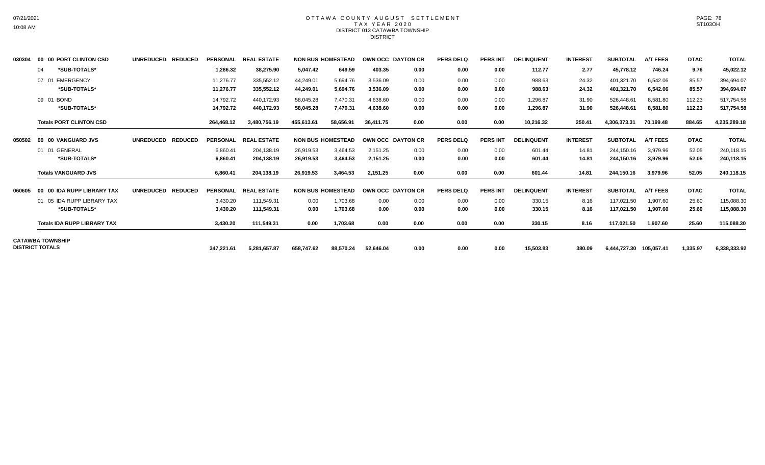#### OTTAWA COUNTY AUGUST SETTLEMENT T A X Y E A R 2 0 2 0 DISTRICT 013 CATAWBA TOWNSHIP **DISTRICT**

| 030304 | 00 00 PORT CLINTON CSD             | <b>UNREDUCED</b><br><b>REDUCED</b> |            | PERSONAL REAL ESTATE |            | <b>NON BUS HOMESTEAD</b> |           | OWN OCC DAYTON CR | <b>PERS DELQ</b> | <b>PERS INT</b> | <b>DELINQUENT</b> | <b>INTEREST</b> | <b>SUBTOTAL</b>         | <b>A/T FEES</b> | <b>DTAC</b> | <b>TOTAL</b> |
|--------|------------------------------------|------------------------------------|------------|----------------------|------------|--------------------------|-----------|-------------------|------------------|-----------------|-------------------|-----------------|-------------------------|-----------------|-------------|--------------|
|        | *SUB-TOTALS*<br>04                 |                                    | 1,286.32   | 38,275.90            | 5,047.42   | 649.59                   | 403.35    | 0.00              | 0.00             | 0.00            | 112.77            | 2.77            | 45,778.12               | 746.24          | 9.76        | 45,022.12    |
|        | EMERGENCY<br>07 01                 |                                    | 11.276.77  | 335,552.12           | 44.249.01  | 5,694.76                 | 3.536.09  | 0.00              | 0.00             | 0.00            | 988.63            | 24.32           | 401,321.70              | 6.542.06        | 85.57       | 394,694.07   |
|        | *SUB-TOTALS*                       |                                    | 11,276.77  | 335,552.12           | 44,249.01  | 5,694.76                 | 3,536.09  | 0.00              | 0.00             | 0.00            | 988.63            | 24.32           | 401,321.70              | 6,542.06        | 85.57       | 394,694.07   |
|        | 09 01<br><b>BOND</b>               |                                    | 14,792.72  | 440,172.93           | 58,045.28  | 7,470.31                 | 4,638.60  | 0.00              | 0.00             | 0.00            | 1,296.87          | 31.90           | 526,448.61              | 8,581.80        | 112.23      | 517,754.58   |
|        | *SUB-TOTALS*                       |                                    | 14,792.72  | 440,172.93           | 58,045.28  | 7,470.31                 | 4,638.60  | 0.00              | 0.00             | 0.00            | 1,296.87          | 31.90           | 526,448.61              | 8,581.80        | 112.23      | 517,754.58   |
|        | <b>Totals PORT CLINTON CSD</b>     |                                    | 264,468.12 | 3,480,756.19         | 455,613.61 | 58,656.91                | 36.411.75 | 0.00              | 0.00             | 0.00            | 10,216.32         | 250.41          | 4,306,373.31            | 70,199.48       | 884.65      | 4,235,289.18 |
| 050502 | 00 00 VANGUARD JVS                 | <b>REDUCED</b><br><b>UNREDUCED</b> |            | PERSONAL REAL ESTATE |            | <b>NON BUS HOMESTEAD</b> |           | OWN OCC DAYTON CR | <b>PERS DELQ</b> | <b>PERS INT</b> | <b>DELINQUENT</b> | <b>INTEREST</b> | <b>SUBTOTAL</b>         | <b>A/T FEES</b> | <b>DTAC</b> | <b>TOTAL</b> |
|        | 01 01 GENERAL                      |                                    | 6,860.41   | 204,138.19           | 26,919.53  | 3,464.53                 | 2,151.25  | 0.00              | 0.00             | 0.00            | 601.44            | 14.81           | 244,150.16              | 3,979.96        | 52.05       | 240,118.15   |
|        | *SUB-TOTALS*                       |                                    | 6,860.41   | 204,138.19           | 26,919.53  | 3,464.53                 | 2,151.25  | 0.00              | 0.00             | 0.00            | 601.44            | 14.81           | 244,150.16              | 3,979.96        | 52.05       | 240,118.15   |
|        | <b>Totals VANGUARD JVS</b>         |                                    | 6.860.41   | 204,138.19           | 26,919.53  | 3.464.53                 | 2.151.25  | 0.00              | 0.00             | 0.00            | 601.44            | 14.81           | 244.150.16              | 3.979.96        | 52.05       | 240,118.15   |
| 060605 | 00 00 IDA RUPP LIBRARY TAX         | <b>REDUCED</b><br><b>UNREDUCED</b> |            | PERSONAL REAL ESTATE |            | <b>NON BUS HOMESTEAD</b> |           | OWN OCC DAYTON CR | <b>PERS DELQ</b> | <b>PERS INT</b> | <b>DELINQUENT</b> | <b>INTEREST</b> | <b>SUBTOTAL</b>         | <b>A/T FEES</b> | <b>DTAC</b> | <b>TOTAL</b> |
|        | 01 05 IDA RUPP LIBRARY TAX         |                                    | 3,430.20   | 111,549.31           | 0.00       | 1,703.68                 | 0.00      | 0.00              | 0.00             | 0.00            | 330.15            | 8.16            | 117,021.50              | 1,907.60        | 25.60       | 115,088.30   |
|        | *SUB-TOTALS*                       |                                    | 3,430.20   | 111,549.31           | 0.00       | 1,703.68                 | 0.00      | 0.00              | 0.00             | 0.00            | 330.15            | 8.16            | 117,021.50              | 1,907.60        | 25.60       | 115,088.30   |
|        | <b>Totals IDA RUPP LIBRARY TAX</b> |                                    | 3,430.20   | 111,549.31           | 0.00       | 1,703.68                 | 0.00      | 0.00              | 0.00             | 0.00            | 330.15            | 8.16            | 117,021.50              | 1,907.60        | 25.60       | 115,088.30   |
|        | <b>CATAWBA TOWNSHIP</b>            |                                    |            |                      |            |                          |           |                   |                  |                 |                   |                 |                         |                 |             |              |
|        | <b>DISTRICT TOTALS</b>             |                                    | 347.221.61 | 5,281,657.87         | 658.747.62 | 88,570.24                | 52,646.04 | 0.00              | 0.00             | 0.00            | 15.503.83         | 380.09          | 6,444,727.30 105,057.41 |                 | 1,335.97    | 6,338,333.92 |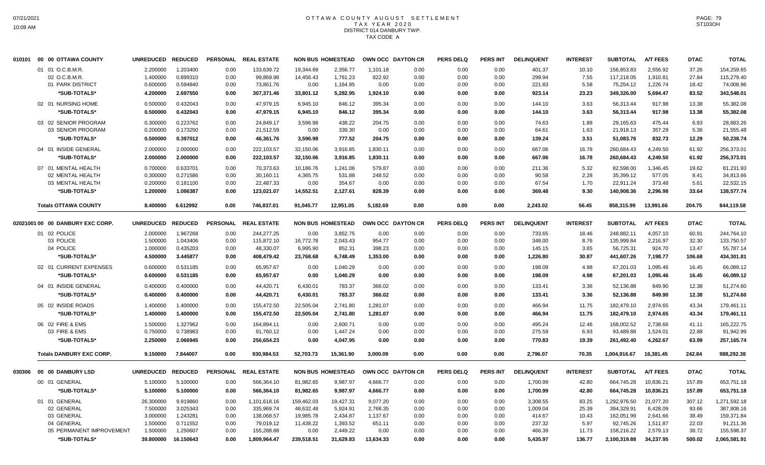# OTTAWA COUNTY AUGUST SETTLEMENT T A X Y E A R 2 0 2 0 DISTRICT 014 DANBURY TWP. TAX CODE A

| 010101 | 00 00 OTTAWA COUNTY              | <b>UNREDUCED</b>  | <b>REDUCED</b> |                 | PERSONAL REAL ESTATE |            | <b>NON BUS HOMESTEAD</b> | OWN OCC DAYTON CR |      | <b>PERS DELQ</b> | <b>PERS INT</b> | <b>DELINQUENT</b> | <b>INTEREST</b> | <b>SUBTOTAL</b> | <b>A/T FEES</b> | <b>DTAC</b> | <b>TOTAL</b> |
|--------|----------------------------------|-------------------|----------------|-----------------|----------------------|------------|--------------------------|-------------------|------|------------------|-----------------|-------------------|-----------------|-----------------|-----------------|-------------|--------------|
|        | 01 01 O.C.B.M.R.                 | 2.200000          | 1.203400       | 0.00            | 133,639.72           | 19,344.69  | 2,356.77                 | 1,101.18          | 0.00 | 0.00             | 0.00            | 401.37            | 10.10           | 156,853.83      | 2,556.92        | 37.26       | 154,259.65   |
|        | 02 O.C.B.M.R.                    | 1.400000          | 0.899310       | 0.00            | 99,869.98            | 14,456.43  | 1,761.23                 | 822.92            | 0.00 | 0.00             | 0.00            | 299.94            | 7.55            | 117,218.05      | 1,910.81        | 27.84       | 115,279.40   |
|        | 01 PARK DISTRICT                 | 0.600000          | 0.594840       | 0.00            | 73,861.76            | 0.00       | 1,164.95                 | 0.00              | 0.00 | 0.00             | 0.00            | 221.83            | 5.58            | 75,254.12       | 1,226.74        | 18.42       | 74,008.96    |
|        | *SUB-TOTALS*                     | 4.200000          | 2.697550       | 0.00            | 307,371.46           | 33,801.12  | 5,282.95                 | 1,924.10          | 0.00 | 0.00             | 0.00            | 923.14            | 23.23           | 349,326.00      | 5,694.47        | 83.52       | 343,548.01   |
|        | 02 01 NURSING HOME               | 0.500000          | 0.432043       | 0.00            | 47,979.15            | 6,945.10   | 846.12                   | 395.34            | 0.00 | 0.00             | 0.00            | 144.10            | 3.63            | 56,313.44       | 917.98          | 13.38       | 55,382.08    |
|        | *SUB-TOTALS*                     | 0.500000          | 0.432043       | 0.00            | 47,979.15            | 6,945.10   | 846.12                   | 395.34            | 0.00 | 0.00             | 0.00            | 144.10            | 3.63            | 56,313.44       | 917.98          | 13.38       | 55,382.08    |
|        | 03 02 SENIOR PROGRAM             | 0.300000          | 0.223762       | 0.00            | 24,849.17            | 3,596.98   | 438.22                   | 204.75            | 0.00 | 0.00             | 0.00            | 74.63             | 1.88            | 29,165.63       | 475.44          | 6.93        | 28,683.26    |
|        | 03 SENIOR PROGRAM                | 0.200000          | 0.173250       | 0.00            | 21,512.59            | 0.00       | 339.30                   | 0.00              | 0.00 | 0.00             | 0.00            | 64.61             | 1.63            | 21,918.13       | 357.29          | 5.36        | 21,555.48    |
|        | *SUB-TOTALS*                     | 0.500000          | 0.397012       | 0.00            | 46,361.76            | 3,596.98   | 777.52                   | 204.75            | 0.00 | 0.00             | 0.00            | 139.24            | 3.51            | 51,083.76       | 832.73          | 12.29       | 50,238.74    |
|        | 04 01 INSIDE GENERAL             | 2.000000          | 2.000000       | 0.00            | 222,103.57           | 32,150.06  | 3,916.85                 | 1,830.11          | 0.00 | 0.00             | 0.00            | 667.06            | 16.78           | 260,684.43      | 4,249.50        | 61.92       | 256,373.01   |
|        | *SUB-TOTALS*                     | 2.000000          | 2.000000       | 0.00            | 222,103.57           | 32,150.06  | 3,916.85                 | 1,830.11          | 0.00 | 0.00             | 0.00            | 667.06            | 16.78           | 260,684.43      | 4,249.50        | 61.92       | 256,373.01   |
|        | 07 01 MENTAL HEALTH              | 0.700000          | 0.633701       | 0.00            | 70,373.63            | 10,186.76  | 1,241.06                 | 579.87            | 0.00 | 0.00             | 0.00            | 211.36            | 5.32            | 82,598.00       | 1.346.45        | 19.62       | 81,231.93    |
|        | 02 MENTAL HEALTH                 | 0.300000          | 0.271586       | 0.00            | 30,160.11            | 4,365.75   | 531.88                   | 248.52            | 0.00 | 0.00             | 0.00            | 90.58             | 2.28            | 35,399.12       | 577.05          | 8.41        | 34,813.66    |
|        | 03 MENTAL HEALTH                 | 0.200000          | 0.181100       | 0.00            | 22,487.33            | 0.00       | 354.67                   | 0.00              | 0.00 | 0.00             | 0.00            | 67.54             | 1.70            | 22,911.24       | 373.48          | 5.61        | 22,532.15    |
|        | *SUB-TOTALS*                     | 1.200000          | 1.086387       | 0.00            | 123,021.07           | 14,552.51  | 2,127.61                 | 828.39            | 0.00 | 0.00             | 0.00            | 369.48            | 9.30            | 140,908.36      | 2,296.98        | 33.64       | 138,577.74   |
|        | <b>Totals OTTAWA COUNTY</b>      | 8.400000          | 6.612992       | 0.00            | 746,837.01           | 91,045.77  | 12,951.05                | 5,182.69          | 0.00 | 0.00             | 0.00            | 2,243.02          | 56.45           | 858,315.99      | 13,991.66       | 204.75      | 844,119.58   |
|        | 02021001 00 00 DANBURY EXC CORP. | UNREDUCED REDUCED |                | <b>PERSONAL</b> | <b>REAL ESTATE</b>   |            | <b>NON BUS HOMESTEAD</b> | OWN OCC DAYTON CR |      | <b>PERS DELQ</b> | <b>PERS INT</b> | <b>DELINQUENT</b> | <b>INTEREST</b> | <b>SUBTOTAL</b> | <b>A/T FEES</b> | <b>DTAC</b> | <b>TOTAL</b> |
|        | 01 02 POLICE                     | 2.000000          | 1.967268       | 0.00            | 244,277.25           | 0.00       | 3,852.75                 | 0.00              | 0.00 | 0.00             | 0.00            | 733.65            | 18.46           | 248,882.11      | 4,057.10        | 60.91       | 244,764.10   |
|        | 03 POLICE                        | 1.500000          | 1.043406       | 0.00            | 115,872.10           | 16,772.78  | 2,043.43                 | 954.77            | 0.00 | 0.00             | 0.00            | 348.00            | 8.76            | 135.999.84      | 2,216.97        | 32.30       | 133,750.57   |
|        | 04 POLICE                        | 1.000000          | 0.435203       | 0.00            | 48,330.07            | 6,995.90   | 852.31                   | 398.23            | 0.00 | 0.00             | 0.00            | 145.15            | 3.65            | 56,725.31       | 924.70          | 13.47       | 55,787.14    |
|        | *SUB-TOTALS*                     | 4.500000          | 3.445877       | 0.00            | 408,479.42           | 23,768.68  | 6,748.49                 | 1,353.00          | 0.00 | 0.00             | 0.00            | 1,226.80          | 30.87           | 441,607.26      | 7,198.77        | 106.68      | 434,301.81   |
|        | 02 01 CURRENT EXPENSES           | 0.600000          | 0.531185       | 0.00            | 65,957.67            | 0.00       | 1,040.29                 | 0.00              | 0.00 | 0.00             | 0.00            | 198.09            | 4.98            | 67,201.03       | 1,095.46        | 16.45       | 66,089.12    |
|        | *SUB-TOTALS*                     | 0.600000          | 0.531185       | 0.00            | 65,957.67            | 0.00       | 1,040.29                 | 0.00              | 0.00 | 0.00             | 0.00            | 198.09            | 4.98            | 67,201.03       | 1,095.46        | 16.45       | 66,089.12    |
|        | 04 01 INSIDE GENERAL             | 0.400000          | 0.400000       | 0.00            | 44,420.71            | 6,430.01   | 783.37                   | 366.02            | 0.00 | 0.00             | 0.00            | 133.41            | 3.36            | 52,136.88       | 849.90          | 12.38       | 51,274.60    |
|        | *SUB-TOTALS*                     | 0.400000          | 0.400000       | 0.00            | 44,420.71            | 6,430.01   | 783.37                   | 366.02            | 0.00 | 0.00             | 0.00            | 133.41            | 3.36            | 52,136.88       | 849.90          | 12.38       | 51,274.60    |
|        | 05 02 INSIDE ROADS               | 1.400000          | 1.400000       | 0.00            | 155,472.50           | 22,505.04  | 2,741.80                 | 1,281.07          | 0.00 | 0.00             | 0.00            | 466.94            | 11.75           | 182,479.10      | 2,974.65        | 43.34       | 179,461.11   |
|        | *SUB-TOTALS*                     | 1.400000          | 1.400000       | 0.00            | 155,472.50           | 22,505.04  | 2,741.80                 | 1,281.07          | 0.00 | 0.00             | 0.00            | 466.94            | 11.75           | 182,479.10      | 2,974.65        | 43.34       | 179,461.11   |
|        | 06 02 FIRE & EMS                 | 1.500000          | 1.327962       | 0.00            | 164,894.11           | 0.00       | 2,600.71                 | 0.00              | 0.00 | 0.00             | 0.00            | 495.24            | 12.46           | 168,002.52      | 2,738.66        | 41.11       | 165,222.75   |
|        | 03 FIRE & EMS                    | 0.750000          | 0.738983       | 0.00            | 91,760.12            | 0.00       | 1,447.24                 | 0.00              | 0.00 | 0.00             | 0.00            | 275.59            | 6.93            | 93,489.88       | 1,524.01        | 22.88       | 91,942.99    |
|        | *SUB-TOTALS*                     | 2.250000          | 2.066945       | 0.00            | 256,654.23           | 0.00       | 4,047.95                 | 0.00              | 0.00 | 0.00             | 0.00            | 770.83            | 19.39           | 261,492.40      | 4,262.67        | 63.99       | 257,165.74   |
|        | <b>Totals DANBURY EXC CORP.</b>  | 9.150000          | 7.844007       | 0.00            | 930,984.53           | 52,703.73  | 15,361.90                | 3,000.09          | 0.00 | 0.00             | 0.00            | 2,796.07          | 70.35           | 1,004,916.67    | 16,381.45       | 242.84      | 988,292.38   |
| 030306 | 00 00 DANBURY LSD                | UNREDUCED REDUCED |                | <b>PERSONAL</b> | <b>REAL ESTATE</b>   |            | <b>NON BUS HOMESTEAD</b> | OWN OCC DAYTON CR |      | <b>PERS DELQ</b> | <b>PERS INT</b> | <b>DELINQUENT</b> | <b>INTEREST</b> | <b>SUBTOTAL</b> | <b>A/T FEES</b> | <b>DTAC</b> | <b>TOTAL</b> |
|        | 00 01 GENERAL                    | 5.100000          | 5.100000       | 0.00            | 566,364.10           | 81,982.65  | 9,987.97                 | 4,666.77          | 0.00 | 0.00             | 0.00            | 1,700.99          | 42.80           | 664,745.28      | 10,836.21       | 157.89      | 653,751.18   |
|        | *SUB-TOTALS*                     | 5.100000          | 5.100000       | 0.00            | 566,364.10           | 81,982.65  | 9,987.97                 | 4,666.77          | 0.00 | 0.00             | 0.00            | 1,700.99          | 42.80           | 664,745.28      | 10,836.21       | 157.89      | 653,751.18   |
|        | 01 01 GENERAL                    | 26.300000         | 9.919860       | 0.00            | 1,101,618.16         | 159,462.03 | 19,427.31                | 9,077.20          | 0.00 | 0.00             | 0.00            | 3,308.55          | 83.25           | 1,292,976.50    | 21,077.20       | 307.12      | 1,271,592.18 |
|        | 02 GENERAL                       | 7.500000          | 3.025343       | 0.00            | 335,969.74           | 48,632.48  | 5,924.91                 | 2,768.35          | 0.00 | 0.00             | 0.00            | 1,009.04          | 25.39           | 394,329.91      | 6,428.09        | 93.66       | 387,808.16   |
|        | 03 GENERAL                       | 3.000000          | 1.243281       | 0.00            | 138,068.57           | 19,985.78  | 2,434.87                 | 1,137.67          | 0.00 | 0.00             | 0.00            | 414.67            | 10.43           | 162,051.99      | 2,641.66        | 38.49       | 159,371.84   |
|        | 04 GENERAL                       | 1.500000          | 0.711552       | 0.00            | 79,019.12            | 11,438.22  | 1,393.52                 | 651.11            | 0.00 | 0.00             | 0.00            | 237.32            | 5.97            | 92,745.26       | 1,511.87        | 22.03       | 91,211.36    |
|        | 05 PERMANENT IMPROVEMENT         | 1.500000          | 1.250607       | 0.00            | 155,288.88           | 0.00       | 2,449.22                 | 0.00              | 0.00 | 0.00             | 0.00            | 466.39            | 11.73           | 158,216.22      | 2,579.13        | 38.72       | 155,598.37   |
|        | *SUB-TOTALS*                     | 39.800000         | 16.150643      | 0.00            | 1,809,964.47         | 239,518.51 | 31,629.83                | 13,634.33         | 0.00 | 0.00             | 0.00            | 5,435.97          | 136.77          | 2,100,319.88    | 34,237.95       | 500.02      | 2,065,581.91 |
|        |                                  |                   |                |                 |                      |            |                          |                   |      |                  |                 |                   |                 |                 |                 |             |              |

PAGE: 79 ST103OH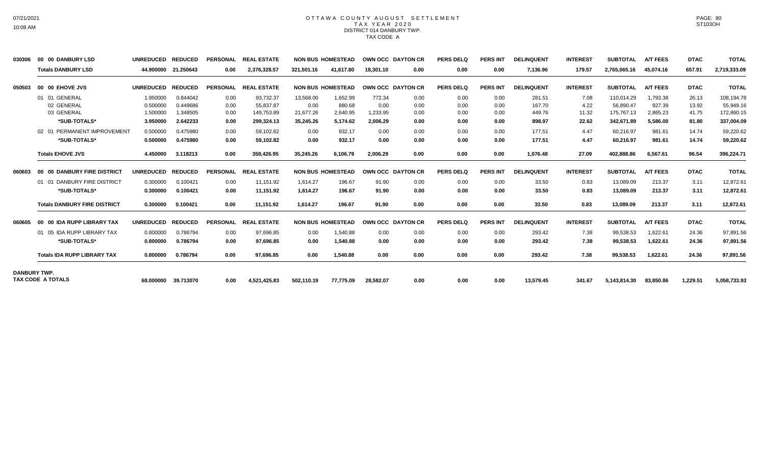### OTTAWA COUNTY AUGUST SETTLEMENT T A X Y E A R 2 0 2 0 DISTRICT 014 DANBURY TWP. TAX CODE A

| 030306              | 00 00 DANBURY LSD                   | <b>UNREDUCED</b> | <b>REDUCED</b>      | <b>PERSONAL</b> | <b>REAL ESTATE</b> |            | <b>NON BUS HOMESTEAD</b> | <b>OWN OCC DAYTON CR</b> |      | <b>PERS DELQ</b> | <b>PERS INT</b> | <b>DELINQUENT</b> | <b>INTEREST</b> | <b>SUBTOTAL</b> | <b>A/T FEES</b> | <b>DTAC</b> | <b>TOTAL</b> |
|---------------------|-------------------------------------|------------------|---------------------|-----------------|--------------------|------------|--------------------------|--------------------------|------|------------------|-----------------|-------------------|-----------------|-----------------|-----------------|-------------|--------------|
|                     | <b>Totals DANBURY LSD</b>           |                  | 44.900000 21.250643 | 0.00            | 2,376,328.57       | 321,501.16 | 41.617.80                | 18.301.10                | 0.00 | 0.00             | 0.00            | 7,136.96          | 179.57          | 2.765.065.16    | 45.074.16       | 657.91      | 2,719,333.09 |
| 050503              | 00 00 EHOVE JVS                     | <b>UNREDUCED</b> | <b>REDUCED</b>      | <b>PERSONAL</b> | <b>REAL ESTATE</b> |            | <b>NON BUS HOMESTEAD</b> | OWN OCC DAYTON CR        |      | PERS DELO        | <b>PERS INT</b> | <b>DELINQUENT</b> | <b>INTEREST</b> | <b>SUBTOTAL</b> | <b>A/T FEES</b> | <b>DTAC</b> | <b>TOTAL</b> |
|                     | 01 01 GENERAL                       | 1.950000         | 0.844042            | 0.00            | 93,732.37          | 13,568.00  | 1,652.99                 | 772.34                   | 0.00 | 0.00             | 0.00            | 281.51            | 7.08            | 110,014.29      | 1,793.38        | 26.13       | 108,194.78   |
|                     | 02 GENERAL                          | 0.500000         | 0.449686            | 0.00            | 55,837.87          | 0.00       | 880.68                   | 0.00                     | 0.00 | 0.00             | 0.00            | 167.70            | 4.22            | 56,890.47       | 927.39          | 13.92       | 55,949.16    |
|                     | 03 GENERAL                          | 1.500000         | 1.348505            | 0.00            | 149,753.89         | 21,677.26  | 2,640.95                 | 1,233.95                 | 0.00 | 0.00             | 0.00            | 449.76            | 11.32           | 175,767.13      | 2,865.23        | 41.75       | 172,860.15   |
|                     | *SUB-TOTALS*                        | 3.950000         | 2.642233            | 0.00            | 299,324.13         | 35,245.26  | 5,174.62                 | 2,006.29                 | 0.00 | 0.00             | 0.00            | 898.97            | 22.62           | 342,671.89      | 5,586.00        | 81.80       | 337,004.09   |
|                     | 02 01 PERMANENT IMPROVEMENT         | 0.500000         | 0.475980            | 0.00            | 59.102.82          | 0.00       | 932.17                   | 0.00                     | 0.00 | 0.00             | 0.00            | 177.51            | 4.47            | 60,216.97       | 981.61          | 14.74       | 59,220.62    |
|                     | *SUB-TOTALS*                        | 0.500000         | 0.475980            | 0.00            | 59,102.82          | 0.00       | 932.17                   | 0.00                     | 0.00 | 0.00             | 0.00            | 177.51            | 4.47            | 60,216.97       | 981.61          | 14.74       | 59,220.62    |
|                     | <b>Totals EHOVE JVS</b>             | 4.450000         | 3.118213            | 0.00            | 358.426.95         | 35.245.26  | 6.106.79                 | 2.006.29                 | 0.00 | 0.00             | 0.00            | 1.076.48          | 27.09           | 402.888.86      | 6,567.61        | 96.54       | 396,224.71   |
| 060603              | 00 00 DANBURY FIRE DISTRICT         | <b>UNREDUCED</b> | <b>REDUCED</b>      | <b>PERSONAL</b> | <b>REAL ESTATE</b> |            | <b>NON BUS HOMESTEAD</b> | OWN OCC DAYTON CR        |      | <b>PERS DELQ</b> | <b>PERS INT</b> | <b>DELINQUENT</b> | <b>INTEREST</b> | <b>SUBTOTAL</b> | <b>A/T FEES</b> | <b>DTAC</b> | <b>TOTAL</b> |
|                     | 01 01 DANBURY FIRE DISTRICT         | 0.300000         | 0.100421            | 0.00            | 11.151.92          | 1.614.27   | 196.67                   | 91.90                    | 0.00 | 0.00             | 0.00            | 33.50             | 0.83            | 13.089.09       | 213.37          | 3.11        | 12,872.61    |
|                     | *SUB-TOTALS*                        | 0.300000         | 0.100421            | 0.00            | 11,151.92          | 1.614.27   | 196.67                   | 91.90                    | 0.00 | 0.00             | 0.00            | 33.50             | 0.83            | 13,089.09       | 213.37          | 3.11        | 12,872.61    |
|                     | <b>Totals DANBURY FIRE DISTRICT</b> | 0.300000         | 0.100421            | 0.00            | 11.151.92          | 1.614.27   | 196.67                   | 91.90                    | 0.00 | 0.00             | 0.00            | 33.50             | 0.83            | 13,089.09       | 213.37          | 3.11        | 12,872.61    |
| 060605              | 00 00 IDA RUPP LIBRARY TAX          | <b>UNREDUCED</b> | <b>REDUCED</b>      | <b>PERSONAL</b> | <b>REAL ESTATE</b> |            | <b>NON BUS HOMESTEAD</b> | OWN OCC DAYTON CR        |      | <b>PERS DELO</b> | <b>PERS INT</b> | <b>DELINQUENT</b> | <b>INTEREST</b> | <b>SUBTOTAL</b> | <b>A/T FEES</b> | <b>DTAC</b> | <b>TOTAL</b> |
|                     | 01 05 IDA RUPP LIBRARY TAX          | 0.800000         | 0.786794            | 0.00            | 97,696.85          | 0.00       | 1,540.88                 | 0.00                     | 0.00 | 0.00             | 0.00            | 293.42            | 7.38            | 99,538.53       | 1,622.61        | 24.36       | 97,891.56    |
|                     | *SUB-TOTALS*                        | 0.800000         | 0.786794            | 0.00            | 97,696.85          | 0.00       | 1,540.88                 | 0.00                     | 0.00 | 0.00             | 0.00            | 293.42            | 7.38            | 99,538.53       | 1,622.61        | 24.36       | 97,891.56    |
|                     | <b>Totals IDA RUPP LIBRARY TAX</b>  | 0.800000         | 0.786794            | 0.00            | 97,696.85          | 0.00       | 1,540.88                 | 0.00                     | 0.00 | 0.00             | 0.00            | 293.42            | 7.38            | 99,538.53       | 1,622.61        | 24.36       | 97,891.56    |
| <b>DANBURY TWP.</b> |                                     |                  |                     |                 |                    |            |                          |                          |      |                  |                 |                   |                 |                 |                 |             |              |
|                     | <b>TAX CODE A TOTALS</b>            | 68.000000        | 39.713070           | 0.00            | 4,521,425.83       | 502,110.19 | 77,775.09                | 28,582.07                | 0.00 | 0.00             | 0.00            | 13,579.45         | 341.67          | 5,143,814.30    | 83,850.86       | 1,229.51    | 5,058,733.93 |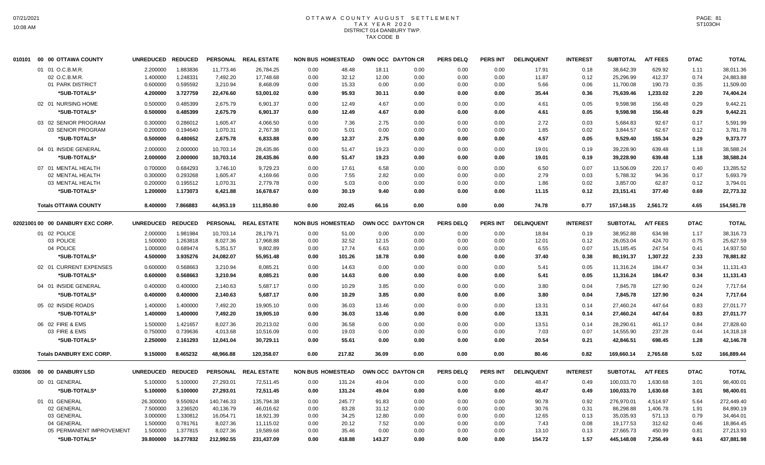# OTTAWA COUNTY AUGUST SETTLEMENT T A X Y E A R 2 0 2 0 DISTRICT 014 DANBURY TWP. TAX CODE B

| 010101  00  00 OTTAWA COUNTY     | UNREDUCED REDUCED |           |            | PERSONAL REAL ESTATE | <b>NON BUS HOMESTEAD</b> |        | OWN OCC DAYTON CR |      | <b>PERS DELQ</b> | <b>PERS INT</b> | <b>DELINQUENT</b> | <b>INTEREST</b> | <b>SUBTOTAL</b> | <b>A/T FEES</b> | <b>DTAC</b> | <b>TOTAL</b> |
|----------------------------------|-------------------|-----------|------------|----------------------|--------------------------|--------|-------------------|------|------------------|-----------------|-------------------|-----------------|-----------------|-----------------|-------------|--------------|
| 01 01 O.C.B.M.R.                 | 2.200000          | 1.883836  | 11,773.46  | 26,784.25            | 0.00                     | 48.48  | 18.11             | 0.00 | 0.00             | 0.00            | 17.91             | 0.18            | 38,642.39       | 629.92          | 1.11        | 38,011.36    |
| 02 O.C.B.M.R                     | 1.400000          | 1.248331  | 7,492.20   | 17,748.68            | 0.00                     | 32.12  | 12.00             | 0.00 | 0.00             | 0.00            | 11.87             | 0.12            | 25,296.99       | 412.37          | 0.74        | 24,883.88    |
| 01 PARK DISTRICT                 | 0.600000          | 0.595592  | 3,210.94   | 8,468.09             | 0.00                     | 15.33  | 0.00              | 0.00 | 0.00             | 0.00            | 5.66              | 0.06            | 11,700.08       | 190.73          | 0.35        | 11,509.00    |
| *SUB-TOTALS*                     | 4.200000          | 3.727759  | 22,476.60  | 53,001.02            | 0.00                     | 95.93  | 30.11             | 0.00 | 0.00             | 0.00            | 35.44             | 0.36            | 75,639.46       | 1,233.02        | 2.20        | 74,404.24    |
| 02 01 NURSING HOME               | 0.500000          | 0.485399  | 2,675.79   | 6,901.37             | 0.00                     | 12.49  | 4.67              | 0.00 | 0.00             | 0.00            | 4.61              | 0.05            | 9,598.98        | 156.48          | 0.29        | 9,442.21     |
| *SUB-TOTALS*                     | 0.500000          | 0.485399  | 2,675.79   | 6,901.37             | 0.00                     | 12.49  | 4.67              | 0.00 | 0.00             | 0.00            | 4.61              | 0.05            | 9,598.98        | 156.48          | 0.29        | 9,442.21     |
| 03 02 SENIOR PROGRAM             | 0.300000          | 0.286012  | 1,605.47   | 4,066.50             | 0.00                     | 7.36   | 2.75              | 0.00 | 0.00             | 0.00            | 2.72              | 0.03            | 5,684.83        | 92.67           | 0.17        | 5,591.99     |
| 03 SENIOR PROGRAM                | 0.200000          | 0.194640  | 1,070.31   | 2,767.38             | 0.00                     | 5.01   | 0.00              | 0.00 | 0.00             | 0.00            | 1.85              | 0.02            | 3,844.57        | 62.67           | 0.12        | 3,781.78     |
| *SUB-TOTALS*                     | 0.500000          | 0.480652  | 2,675.78   | 6,833.88             | 0.00                     | 12.37  | 2.75              | 0.00 | 0.00             | 0.00            | 4.57              | 0.05            | 9,529.40        | 155.34          | 0.29        | 9,373.77     |
| 04 01 INSIDE GENERAL             | 2.000000          | 2.000000  | 10,703.14  | 28,435.86            | 0.00                     | 51.47  | 19.23             | 0.00 | 0.00             | 0.00            | 19.01             | 0.19            | 39,228.90       | 639.48          | 1.18        | 38,588.24    |
| *SUB-TOTALS*                     | 2.000000          | 2.000000  | 10,703.14  | 28,435.86            | 0.00                     | 51.47  | 19.23             | 0.00 | 0.00             | 0.00            | 19.01             | 0.19            | 39,228.90       | 639.48          | 1.18        | 38,588.24    |
| 07 01 MENTAL HEALTH              | 0.700000          | 0.684293  | 3,746.10   | 9,729.23             | 0.00                     | 17.61  | 6.58              | 0.00 | 0.00             | 0.00            | 6.50              | 0.07            | 13,506.09       | 220.17          | 0.40        | 13,285.52    |
| 02 MENTAL HEALTH                 | 0.300000          | 0.293268  | 1,605.47   | 4,169.66             | 0.00                     | 7.55   | 2.82              | 0.00 | 0.00             | 0.00            | 2.79              | 0.03            | 5,788.32        | 94.36           | 0.17        | 5,693.79     |
| 03 MENTAL HEALTH                 | 0.200000          | 0.195512  | 1,070.31   | 2,779.78             | 0.00                     | 5.03   | 0.00              | 0.00 | 0.00             | 0.00            | 1.86              | 0.02            | 3,857.00        | 62.87           | 0.12        | 3,794.01     |
| *SUB-TOTALS*                     | 1.200000          | 1.173073  | 6,421.88   | 16,678.67            | 0.00                     | 30.19  | 9.40              | 0.00 | 0.00             | 0.00            | 11.15             | 0.12            | 23,151.41       | 377.40          | 0.69        | 22,773.32    |
| <b>Totals OTTAWA COUNTY</b>      | 8.400000          | 7.866883  | 44,953.19  | 111,850.80           | 0.00                     | 202.45 | 66.16             | 0.00 | 0.00             | 0.00            | 74.78             | 0.77            | 157,148.15      | 2,561.72        | 4.65        | 154,581.78   |
| 02021001 00 00 DANBURY EXC CORP. | UNREDUCED REDUCED |           |            | PERSONAL REAL ESTATE | <b>NON BUS HOMESTEAD</b> |        | OWN OCC DAYTON CR |      | <b>PERS DELQ</b> | <b>PERS INT</b> | <b>DELINQUENT</b> | <b>INTEREST</b> | <b>SUBTOTAL</b> | <b>A/T FEES</b> | <b>DTAC</b> | <b>TOTAL</b> |
| 01 02 POLICE                     | 2.000000          | 1.981984  | 10,703.14  | 28,179.71            | 0.00                     | 51.00  | 0.00              | 0.00 | 0.00             | 0.00            | 18.84             | 0.19            | 38,952.88       | 634.98          | 1.17        | 38,316.73    |
| 03 POLICE                        | 1.500000          | 1.263818  | 8,027.36   | 17,968.88            | 0.00                     | 32.52  | 12.15             | 0.00 | 0.00             | 0.00            | 12.01             | 0.12            | 26,053.04       | 424.70          | 0.75        | 25,627.59    |
| 04 POLICE                        | 1.000000          | 0.689474  | 5,351.57   | 9,802.89             | 0.00                     | 17.74  | 6.63              | 0.00 | 0.00             | 0.00            | 6.55              | 0.07            | 15,185.45       | 247.54          | 0.41        | 14,937.50    |
| *SUB-TOTALS*                     | 4.500000          | 3.935276  | 24,082.07  | 55,951.48            | 0.00                     | 101.26 | 18.78             | 0.00 | 0.00             | 0.00            | 37.40             | 0.38            | 80,191.37       | 1,307.22        | 2.33        | 78,881.82    |
| 02 01 CURRENT EXPENSES           | 0.600000          | 0.568663  | 3,210.94   | 8,085.21             | 0.00                     | 14.63  | 0.00              | 0.00 | 0.00             | 0.00            | 5.41              | 0.05            | 11,316.24       | 184.47          | 0.34        | 11,131.43    |
| *SUB-TOTALS*                     | 0.600000          | 0.568663  | 3,210.94   | 8,085.21             | 0.00                     | 14.63  | 0.00              | 0.00 | 0.00             | 0.00            | 5.41              | 0.05            | 11,316.24       | 184.47          | 0.34        | 11,131.43    |
| 04 01 INSIDE GENERAL             | 0.400000          | 0.400000  | 2,140.63   | 5,687.17             | 0.00                     | 10.29  | 3.85              | 0.00 | 0.00             | 0.00            | 3.80              | 0.04            | 7,845.78        | 127.90          | 0.24        | 7,717.64     |
| *SUB-TOTALS*                     | 0.400000          | 0.400000  | 2,140.63   | 5,687.17             | 0.00                     | 10.29  | 3.85              | 0.00 | 0.00             | 0.00            | 3.80              | 0.04            | 7,845.78        | 127.90          | 0.24        | 7,717.64     |
| 05 02 INSIDE ROADS               | 1.400000          | 1.400000  | 7,492.20   | 19,905.10            | 0.00                     | 36.03  | 13.46             | 0.00 | 0.00             | 0.00            | 13.31             | 0.14            | 27,460.24       | 447.64          | 0.83        | 27,011.77    |
| *SUB-TOTALS*                     | 1.400000          | 1.400000  | 7,492.20   | 19,905.10            | 0.00                     | 36.03  | 13.46             | 0.00 | 0.00             | 0.00            | 13.31             | 0.14            | 27,460.24       | 447.64          | 0.83        | 27,011.77    |
| 06 02 FIRE & EMS                 | 1.500000          | 1.421657  | 8,027.36   | 20,213.02            | 0.00                     | 36.58  | 0.00              | 0.00 | 0.00             | 0.00            | 13.51             | 0.14            | 28,290.61       | 461.17          | 0.84        | 27,828.60    |
| 03 FIRE & EMS                    | 0.750000          | 0.739636  | 4,013.68   | 10,516.09            | 0.00                     | 19.03  | 0.00              | 0.00 | 0.00             | 0.00            | 7.03              | 0.07            | 14,555.90       | 237.28          | 0.44        | 14,318.18    |
| *SUB-TOTALS*                     | 2.250000          | 2.161293  | 12,041.04  | 30,729.11            | 0.00                     | 55.61  | 0.00              | 0.00 | 0.00             | 0.00            | 20.54             | 0.21            | 42,846.51       | 698.45          | 1.28        | 42,146.78    |
| <b>Totals DANBURY EXC CORP.</b>  | 9.150000          | 8.465232  | 48,966.88  | 120,358.07           | 0.00                     | 217.82 | 36.09             | 0.00 | 0.00             | 0.00            | 80.46             | 0.82            | 169,660.14      | 2,765.68        | 5.02        | 166,889.44   |
|                                  | UNREDUCED REDUCED |           |            | PERSONAL REAL ESTATE | <b>NON BUS HOMESTEAD</b> |        | OWN OCC DAYTON CR |      | <b>PERS DELQ</b> | <b>PERS INT</b> | <b>DELINQUENT</b> | <b>INTEREST</b> | <b>SUBTOTAL</b> | <b>A/T FEES</b> | <b>DTAC</b> | <b>TOTAL</b> |
| 00 01 GENERAL                    | 5.100000          | 5.100000  | 27,293.01  | 72,511.45            | 0.00                     | 131.24 | 49.04             | 0.00 | 0.00             | 0.00            | 48.47             | 0.49            | 100,033.70      | 1,630.68        | 3.01        | 98,400.01    |
| *SUB-TOTALS*                     | 5.100000          | 5.100000  | 27,293.01  | 72,511.45            | 0.00                     | 131.24 | 49.04             | 0.00 | 0.00             | 0.00            | 48.47             | 0.49            | 100,033.70      | 1,630.68        | 3.01        | 98,400.01    |
| 01 01 GENERAL                    | 26.300000         | 9.550924  | 140,746.33 | 135,794.38           | 0.00                     | 245.77 | 91.83             | 0.00 | 0.00             | 0.00            | 90.78             | 0.92            | 276,970.01      | 4,514.97        | 5.64        | 272,449.40   |
| 02 GENERAL                       | 7.500000          | 3.236520  | 40,136.79  | 46,016.62            | 0.00                     | 83.28  | 31.12             | 0.00 | 0.00             | 0.00            | 30.76             | 0.31            | 86,298.88       | 1,406.78        | 1.91        | 84,890.19    |
| 03 GENERAL                       | 3.000000          | 1.330812  | 16,054.71  | 18,921.39            | 0.00                     | 34.25  | 12.80             | 0.00 | 0.00             | 0.00            | 12.65             | 0.13            | 35,035.93       | 571.13          | 0.79        | 34,464.01    |
| 04 GENERAL                       | 1.500000          | 0.781761  | 8,027.36   | 11,115.02            | 0.00                     | 20.12  | 7.52              | 0.00 | 0.00             | 0.00            | 7.43              | 0.08            | 19,177.53       | 312.62          | 0.46        | 18,864.45    |
| 05 PERMANENT IMPROVEMENT         | 1.500000          | 1.377815  | 8,027.36   | 19,589.68            | 0.00                     | 35.46  | 0.00              | 0.00 | 0.00             | 0.00            | 13.10             | 0.13            | 27,665.73       | 450.99          | 0.81        | 27,213.93    |
| *SUB-TOTALS*                     | 39.800000         | 16.277832 | 212,992.55 | 231,437.09           | 0.00                     | 418.88 | 143.27            | 0.00 | 0.00             | 0.00            | 154.72            | 1.57            | 445,148.08      | 7,256.49        | 9.61        | 437,881.98   |
|                                  |                   |           |            |                      |                          |        |                   |      |                  |                 |                   |                 |                 |                 |             |              |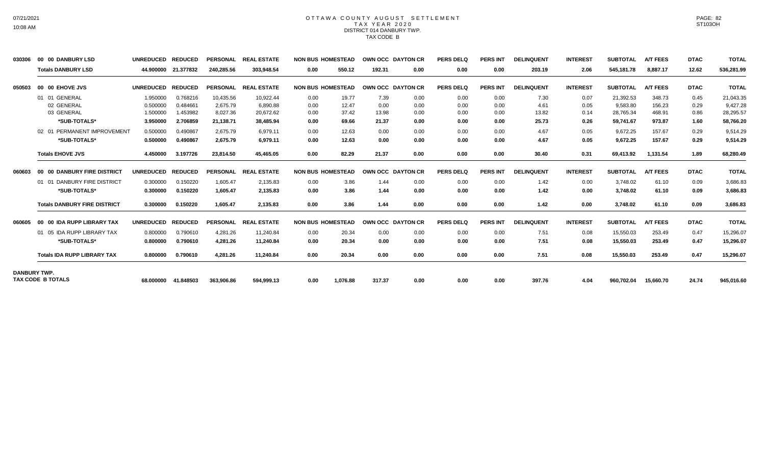### OTTAWA COUNTY AUGUST SETTLEMENT T A X Y E A R 2 0 2 0 DISTRICT 014 DANBURY TWP. TAX CODE B

| 030306              | 00 00 DANBURY LSD                   | <b>UNREDUCED</b> | <b>REDUCED</b> | <b>PERSONAL</b> | <b>REAL ESTATE</b> |      | <b>NON BUS HOMESTEAD</b> |        | <b>OWN OCC DAYTON CR</b> | <b>PERS DELQ</b> | <b>PERS INT</b> | <b>DELINQUENT</b> | <b>INTEREST</b> | <b>SUBTOTAL</b> | <b>A/T FEES</b> | <b>DTAC</b> | <b>TOTAL</b> |
|---------------------|-------------------------------------|------------------|----------------|-----------------|--------------------|------|--------------------------|--------|--------------------------|------------------|-----------------|-------------------|-----------------|-----------------|-----------------|-------------|--------------|
|                     | <b>Totals DANBURY LSD</b>           | 44.900000        | 21.377832      | 240,285.56      | 303,948.54         | 0.00 | 550.12                   | 192.31 | 0.00                     | 0.00             | 0.00            | 203.19            | 2.06            | 545,181.78      | 8,887.17        | 12.62       | 536,281.99   |
| 050503              | 00 00 EHOVE JVS                     | <b>UNREDUCED</b> | <b>REDUCED</b> | <b>PERSONAL</b> | <b>REAL ESTATE</b> |      | <b>NON BUS HOMESTEAD</b> |        | OWN OCC DAYTON CR        | <b>PERS DELO</b> | <b>PERS INT</b> | <b>DELINQUENT</b> | <b>INTEREST</b> | <b>SUBTOTAL</b> | <b>A/T FEES</b> | <b>DTAC</b> | <b>TOTAL</b> |
|                     | 01 01 GENERAL                       | 1.950000         | 0.768216       | 10,435.56       | 10,922.44          | 0.00 | 19.77                    | 7.39   | 0.00                     | 0.00             | 0.00            | 7.30              | 0.07            | 21,392.53       | 348.73          | 0.45        | 21,043.35    |
|                     | 02 GENERAL                          | 0.500000         | 0.484661       | 2.675.79        | 6.890.88           | 0.00 | 12.47                    | 0.00   | 0.00                     | 0.00             | 0.00            | 4.61              | 0.05            | 9.583.80        | 156.23          | 0.29        | 9.427.28     |
|                     | 03 GENERAL                          | 1.500000         | 1.453982       | 8,027.36        | 20.672.62          | 0.00 | 37.42                    | 13.98  | 0.00                     | 0.00             | 0.00            | 13.82             | 0.14            | 28,765.34       | 468.91          | 0.86        | 28,295.57    |
|                     | *SUB-TOTALS*                        | 3.950000         | 2.706859       | 21,138.71       | 38.485.94          | 0.00 | 69.66                    | 21.37  | 0.00                     | 0.00             | 0.00            | 25.73             | 0.26            | 59,741.67       | 973.87          | 1.60        | 58,766.20    |
|                     | 02 01 PERMANENT IMPROVEMENT         | 0.500000         | 0.490867       | 2,675.79        | 6,979.11           | 0.00 | 12.63                    | 0.00   | 0.00                     | 0.00             | 0.00            | 4.67              | 0.05            | 9,672.25        | 157.67          | 0.29        | 9,514.29     |
|                     | *SUB-TOTALS*                        | 0.500000         | 0.490867       | 2,675.79        | 6,979.11           | 0.00 | 12.63                    | 0.00   | 0.00                     | 0.00             | 0.00            | 4.67              | 0.05            | 9,672.25        | 157.67          | 0.29        | 9.514.29     |
|                     | <b>Totals EHOVE JVS</b>             | 4.450000         | 3.197726       | 23,814.50       | 45.465.05          | 0.00 | 82.29                    | 21.37  | 0.00                     | 0.00             | 0.00            | 30.40             | 0.31            | 69.413.92       | 1,131.54        | 1.89        | 68,280.49    |
| 060603              | 00 00 DANBURY FIRE DISTRICT         | <b>UNREDUCED</b> | <b>REDUCED</b> | <b>PERSONAL</b> | <b>REAL ESTATE</b> |      | <b>NON BUS HOMESTEAD</b> |        | OWN OCC DAYTON CR        | <b>PERS DELQ</b> | <b>PERS INT</b> | <b>DELINQUENT</b> | <b>INTEREST</b> | <b>SUBTOTAL</b> | <b>A/T FEES</b> | <b>DTAC</b> | <b>TOTAL</b> |
|                     | 01 01 DANBURY FIRE DISTRICT         | 0.300000         | 0.150220       | 1.605.47        | 2,135.83           | 0.00 | 3.86                     | 1.44   | 0.00                     | 0.00             | 0.00            | 1.42              | 0.00            | 3.748.02        | 61.10           | 0.09        | 3,686.83     |
|                     | *SUB-TOTALS*                        | 0.300000         | 0.150220       | 1,605.47        | 2,135.83           | 0.00 | 3.86                     | 1.44   | 0.00                     | 0.00             | 0.00            | 1.42              | 0.00            | 3,748.02        | 61.10           | 0.09        | 3,686.83     |
|                     | <b>Totals DANBURY FIRE DISTRICT</b> | 0.300000         | 0.150220       | 1.605.47        | 2.135.83           | 0.00 | 3.86                     | 1.44   | 0.00                     | 0.00             | 0.00            | 1.42              | 0.00            | 3,748.02        | 61.10           | 0.09        | 3,686.83     |
| 060605              | 00 00 IDA RUPP LIBRARY TAX          | <b>UNREDUCED</b> | <b>REDUCED</b> | <b>PERSONAL</b> | <b>REAL ESTATE</b> |      | <b>NON BUS HOMESTEAD</b> |        | OWN OCC DAYTON CR        | <b>PERS DELQ</b> | <b>PERS INT</b> | <b>DELINQUENT</b> | <b>INTEREST</b> | <b>SUBTOTAL</b> | <b>A/T FEES</b> | <b>DTAC</b> | <b>TOTAL</b> |
|                     | 01 05 IDA RUPP LIBRARY TAX          | 0.800000         | 0.790610       | 4.281.26        | 11.240.84          | 0.00 | 20.34                    | 0.00   | 0.00                     | 0.00             | 0.00            | 7.51              | 0.08            | 15,550.03       | 253.49          | 0.47        | 15,296.07    |
|                     | *SUB-TOTALS*                        | 0.800000         | 0.790610       | 4,281.26        | 11,240.84          | 0.00 | 20.34                    | 0.00   | 0.00                     | 0.00             | 0.00            | 7.51              | 0.08            | 15,550.03       | 253.49          | 0.47        | 15,296.07    |
|                     | <b>Totals IDA RUPP LIBRARY TAX</b>  | 0.800000         | 0.790610       | 4,281.26        | 11.240.84          | 0.00 | 20.34                    | 0.00   | 0.00                     | 0.00             | 0.00            | 7.51              | 0.08            | 15,550.03       | 253.49          | 0.47        | 15,296.07    |
| <b>DANBURY TWP.</b> | <b>TAX CODE B TOTALS</b>            | 68.000000        | 41.848503      | 363,906.86      | 594.999.13         | 0.00 | 1.076.88                 | 317.37 | 0.00                     | 0.00             | 0.00            | 397.76            | 4.04            | 960,702.04      | 15.660.70       | 24.74       | 945,016.60   |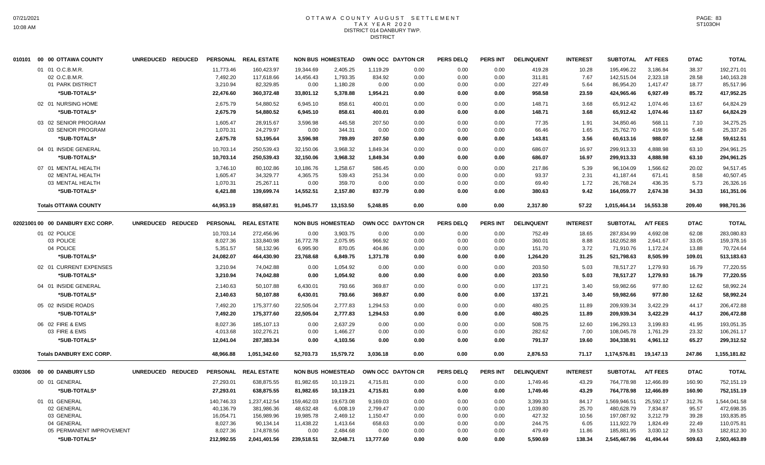### OTTAWA COUNTY AUGUST SETTLEMENT T A X Y E A R 2 0 2 0 DISTRICT 014 DANBURY TWP. **DISTRICT**

| 010101 00 00 OTTAWA COUNTY       | UNREDUCED REDUCED |            | PERSONAL REAL ESTATE |            | <b>NON BUS HOMESTEAD</b> |                   | OWN OCC DAYTON CR | <b>PERS DELQ</b> | PERS INT        | <b>DELINQUENT</b> | <b>INTEREST</b> | <b>SUBTOTAL</b> | <b>A/T FEES</b> | <b>DTAC</b> | <b>TOTAL</b> |
|----------------------------------|-------------------|------------|----------------------|------------|--------------------------|-------------------|-------------------|------------------|-----------------|-------------------|-----------------|-----------------|-----------------|-------------|--------------|
| 01 01 O.C.B.M.R.                 |                   | 11,773.46  | 160,423.97           | 19,344.69  | 2,405.25                 | 1,119.29          | 0.00              | 0.00             | 0.00            | 419.28            | 10.28           | 195,496.22      | 3,186.84        | 38.37       | 192,271.01   |
| 02 O.C.B.M.R.                    |                   | 7,492.20   | 117,618.66           | 14,456.43  | 1,793.35                 | 834.92            | 0.00              | 0.00             | 0.00            | 311.81            | 7.67            | 142,515.04      | 2,323.18        | 28.58       | 140,163.28   |
| 01 PARK DISTRICT                 |                   | 3,210.94   | 82,329.85            | 0.00       | 1,180.28                 | 0.00              | 0.00              | 0.00             | 0.00            | 227.49            | 5.64            | 86,954.20       | 1,417.47        | 18.77       | 85,517.96    |
| *SUB-TOTALS*                     |                   | 22,476.60  | 360,372.48           | 33,801.12  | 5,378.88                 | 1,954.21          | 0.00              | 0.00             | 0.00            | 958.58            | 23.59           | 424,965.46      | 6,927.49        | 85.72       | 417,952.25   |
| 02 01 NURSING HOME               |                   | 2,675.79   | 54,880.52            | 6,945.10   | 858.61                   | 400.01            | 0.00              | 0.00             | 0.00            | 148.71            | 3.68            | 65,912.42       | 1,074.46        | 13.67       | 64,824.29    |
| *SUB-TOTALS*                     |                   | 2,675.79   | 54,880.52            | 6,945.10   | 858.61                   | 400.01            | 0.00              | 0.00             | 0.00            | 148.71            | 3.68            | 65,912.42       | 1,074.46        | 13.67       | 64,824.29    |
| 03 02 SENIOR PROGRAM             |                   | 1,605.47   | 28,915.67            | 3,596.98   | 445.58                   | 207.50            | 0.00              | 0.00             | 0.00            | 77.35             | 1.91            | 34,850.46       | 568.11          | 7.10        | 34,275.25    |
| 03 SENIOR PROGRAM                |                   | 1,070.31   | 24,279.97            | 0.00       | 344.31                   | 0.00              | 0.00              | 0.00             | 0.00            | 66.46             | 1.65            | 25,762.70       | 419.96          | 5.48        | 25,337.26    |
| *SUB-TOTALS*                     |                   | 2,675.78   | 53,195.64            | 3,596.98   | 789.89                   | 207.50            | 0.00              | 0.00             | 0.00            | 143.81            | 3.56            | 60,613.16       | 988.07          | 12.58       | 59,612.51    |
| 04 01 INSIDE GENERAL             |                   | 10,703.14  | 250,539.43           | 32,150.06  | 3,968.32                 | 1,849.34          | 0.00              | 0.00             | 0.00            | 686.07            | 16.97           | 299,913.33      | 4,888.98        | 63.10       | 294,961.25   |
| *SUB-TOTALS*                     |                   | 10,703.14  | 250,539.43           | 32,150.06  | 3,968.32                 | 1,849.34          | 0.00              | 0.00             | 0.00            | 686.07            | 16.97           | 299,913.33      | 4.888.98        | 63.10       | 294,961.25   |
| 07 01 MENTAL HEALTH              |                   | 3.746.10   | 80.102.86            | 10.186.76  | 1.258.67                 | 586.45            | 0.00              | 0.00             | 0.00            | 217.86            | 5.39            | 96.104.09       | 1.566.62        | 20.02       | 94.517.45    |
| 02 MENTAL HEALTH                 |                   | 1,605.47   | 34,329.77            | 4,365.75   | 539.43                   | 251.34            | 0.00              | 0.00             | 0.00            | 93.37             | 2.31            | 41,187.44       | 671.41          | 8.58        | 40,507.45    |
| 03 MENTAL HEALTH                 |                   | 1,070.31   | 25,267.11            | 0.00       | 359.70                   | 0.00              | 0.00              | 0.00             | 0.00            | 69.40             | 1.72            | 26,768.24       | 436.35          | 5.73        | 26,326.16    |
| *SUB-TOTALS*                     |                   | 6,421.88   | 139,699.74           | 14,552.51  | 2,157.80                 | 837.79            | 0.00              | 0.00             | 0.00            | 380.63            | 9.42            | 164,059.77      | 2,674.38        | 34.33       | 161,351.06   |
| <b>Totals OTTAWA COUNTY</b>      |                   | 44,953.19  | 858,687.81           | 91,045.77  | 13,153.50                | 5,248.85          | 0.00              | 0.00             | 0.00            | 2,317.80          | 57.22           | 1,015,464.14    | 16,553.38       | 209.40      | 998,701.36   |
| 02021001 00 00 DANBURY EXC CORP. | UNREDUCED REDUCED |            | PERSONAL REAL ESTATE |            | <b>NON BUS HOMESTEAD</b> | OWN OCC DAYTON CR |                   | <b>PERS DELQ</b> | <b>PERS INT</b> | <b>DELINQUENT</b> | <b>INTEREST</b> | <b>SUBTOTAL</b> | <b>A/T FEES</b> | <b>DTAC</b> | <b>TOTAL</b> |
| 01 02 POLICE                     |                   | 10,703.14  | 272,456.96           | 0.00       | 3,903.75                 | 0.00              | 0.00              | 0.00             | 0.00            | 752.49            | 18.65           | 287,834.99      | 4,692.08        | 62.08       | 283,080.83   |
| 03 POLICE                        |                   | 8,027.36   | 133,840.98           | 16,772.78  | 2,075.95                 | 966.92            | 0.00              | 0.00             | 0.00            | 360.01            | 8.88            | 162,052.88      | 2,641.67        | 33.05       | 159,378.16   |
| 04 POLICE                        |                   | 5,351.57   | 58,132.96            | 6,995.90   | 870.05                   | 404.86            | 0.00              | 0.00             | 0.00            | 151.70            | 3.72            | 71,910.76       | 1,172.24        | 13.88       | 70,724.64    |
| *SUB-TOTALS*                     |                   | 24,082.07  | 464,430.90           | 23,768.68  | 6,849.75                 | 1,371.78          | 0.00              | 0.00             | 0.00            | 1,264.20          | 31.25           | 521,798.63      | 8,505.99        | 109.01      | 513,183.63   |
| 02 01 CURRENT EXPENSES           |                   | 3,210.94   | 74,042.88            | 0.00       | 1,054.92                 | 0.00              | 0.00              | 0.00             | 0.00            | 203.50            | 5.03            | 78,517.27       | 1,279.93        | 16.79       | 77,220.55    |
| *SUB-TOTALS*                     |                   | 3,210.94   | 74,042.88            | 0.00       | 1,054.92                 | 0.00              | 0.00              | 0.00             | 0.00            | 203.50            | 5.03            | 78,517.27       | 1,279.93        | 16.79       | 77,220.55    |
| 04 01 INSIDE GENERAL             |                   | 2,140.63   | 50,107.88            | 6,430.01   | 793.66                   | 369.87            | 0.00              | 0.00             | 0.00            | 137.21            | 3.40            | 59,982.66       | 977.80          | 12.62       | 58,992.24    |
| *SUB-TOTALS*                     |                   | 2,140.63   | 50,107.88            | 6,430.01   | 793.66                   | 369.87            | 0.00              | 0.00             | 0.00            | 137.21            | 3.40            | 59,982.66       | 977.80          | 12.62       | 58,992.24    |
| 05 02 INSIDE ROADS               |                   | 7,492.20   | 175,377.60           | 22,505.04  | 2,777.83                 | 1,294.53          | 0.00              | 0.00             | 0.00            | 480.25            | 11.89           | 209,939.34      | 3,422.29        | 44.17       | 206,472.88   |
| *SUB-TOTALS*                     |                   | 7,492.20   | 175,377.60           | 22,505.04  | 2,777.83                 | 1,294.53          | 0.00              | 0.00             | 0.00            | 480.25            | 11.89           | 209,939.34      | 3,422.29        | 44.17       | 206,472.88   |
| 06 02 FIRE & EMS                 |                   | 8,027.36   | 185,107.13           | 0.00       | 2,637.29                 | 0.00              | 0.00              | 0.00             | 0.00            | 508.75            | 12.60           | 196,293.13      | 3,199.83        | 41.95       | 193,051.35   |
| 03 FIRE & EMS                    |                   | 4,013.68   | 102,276.21           | 0.00       | 1,466.27                 | 0.00              | 0.00              | 0.00             | 0.00            | 282.62            | 7.00            | 108,045.78      | 1,761.29        | 23.32       | 106,261.17   |
| *SUB-TOTALS*                     |                   | 12,041.04  | 287,383.34           | 0.00       | 4,103.56                 | 0.00              | 0.00              | 0.00             | 0.00            | 791.37            | 19.60           | 304,338.91      | 4,961.12        | 65.27       | 299,312.52   |
| <b>Totals DANBURY EXC CORP.</b>  |                   | 48,966.88  | 1,051,342.60         | 52,703.73  | 15,579.72                | 3,036.18          | 0.00              | 0.00             | 0.00            | 2,876.53          | 71.17           | 1,174,576.81    | 19,147.13       | 247.86      | 1,155,181.82 |
|                                  | UNREDUCED REDUCED |            | PERSONAL REAL ESTATE |            | <b>NON BUS HOMESTEAD</b> | OWN OCC DAYTON CR |                   | <b>PERS DELQ</b> | <b>PERS INT</b> | <b>DELINQUENT</b> | <b>INTEREST</b> | <b>SUBTOTAL</b> | <b>A/T FEES</b> | <b>DTAC</b> | <b>TOTAL</b> |
| 00 01 GENERAL                    |                   | 27,293.01  | 638,875.55           | 81,982.65  | 10,119.21                | 4,715.81          | 0.00              | 0.00             | 0.00            | 1,749.46          | 43.29           | 764,778.98      | 12,466.89       | 160.90      | 752,151.19   |
| *SUB-TOTALS*                     |                   | 27,293.01  | 638,875.55           | 81,982.65  | 10,119.21                | 4,715.81          | 0.00              | 0.00             | 0.00            | 1,749.46          | 43.29           | 764,778.98      | 12,466.89       | 160.90      | 752,151.19   |
| 01 01 GENERAL                    |                   | 140,746.33 | 1,237,412.54         | 159,462.03 | 19,673.08                | 9,169.03          | 0.00              | 0.00             | 0.00            | 3,399.33          | 84.17           | 1.569.946.51    | 25,592.17       | 312.76      | 1,544,041.58 |
| 02 GENERAL                       |                   | 40,136.79  | 381,986.36           | 48,632.48  | 6,008.19                 | 2,799.47          | 0.00              | 0.00             | 0.00            | 1,039.80          | 25.70           | 480,628.79      | 7,834.87        | 95.57       | 472,698.35   |
| 03 GENERAL                       |                   | 16,054.71  | 156,989.96           | 19,985.78  | 2,469.12                 | 1,150.47          | 0.00              | 0.00             | 0.00            | 427.32            | 10.56           | 197,087.92      | 3,212.79        | 39.28       | 193,835.85   |
| 04 GENERAL                       |                   | 8,027.36   | 90,134.14            | 11,438.22  | 1.413.64                 | 658.63            | 0.00              | 0.00             | 0.00            | 244.75            | 6.05            | 111,922.79      | 1,824.49        | 22.49       | 110,075.81   |
| 05 PERMANENT IMPROVEMENT         |                   | 8,027.36   | 174,878.56           | 0.00       | 2,484.68                 | 0.00              | 0.00              | 0.00             | 0.00            | 479.49            | 11.86           | 185,881.95      | 3,030.12        | 39.53       | 182,812.30   |
| *SUB-TOTALS*                     |                   | 212.992.55 | 2,041,401.56         | 239.518.51 | 32.048.71                | 13,777.60         | 0.00              | 0.00             | 0.00            | 5.590.69          | 138.34          | 2.545.467.96    | 41.494.44       | 509.63      | 2,503,463.89 |
|                                  |                   |            |                      |            |                          |                   |                   |                  |                 |                   |                 |                 |                 |             |              |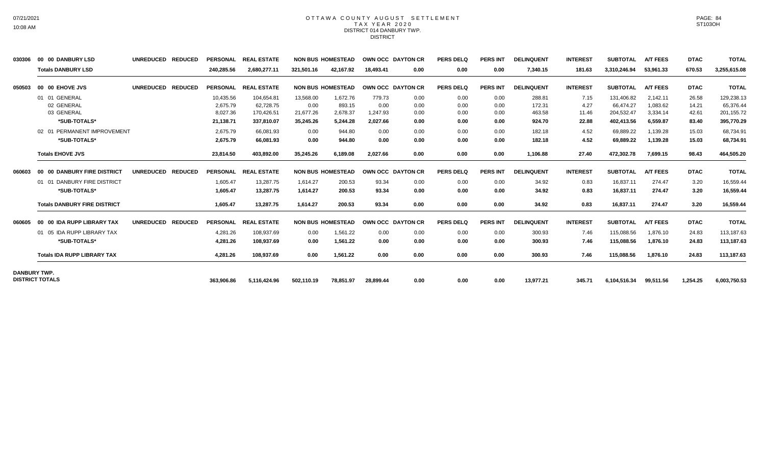#### OTTAWA COUNTY AUGUST SETTLEMENT T A X Y E A R 2 0 2 0 DISTRICT 014 DANBURY TWP. **DISTRICT**

| 030306              | 00 00 DANBURY LSD                   | <b>UNREDUCED</b><br><b>REDUCED</b> | <b>PERSONAL</b> | <b>REAL ESTATE</b> |            | <b>NON BUS HOMESTEAD</b> |           | <b>OWN OCC DAYTON CR</b> | <b>PERS DELQ</b> | <b>PERS INT</b> | <b>DELINQUENT</b> | <b>INTEREST</b> | <b>SUBTOTAL</b> | <b>A/T FEES</b> | <b>DTAC</b> | <b>TOTAL</b> |
|---------------------|-------------------------------------|------------------------------------|-----------------|--------------------|------------|--------------------------|-----------|--------------------------|------------------|-----------------|-------------------|-----------------|-----------------|-----------------|-------------|--------------|
|                     | <b>Totals DANBURY LSD</b>           |                                    | 240,285.56      | 2,680,277.11       | 321,501.16 | 42,167.92                | 18.493.41 | 0.00                     | 0.00             | 0.00            | 7,340.15          | 181.63          | 3,310,246.94    | 53,961.33       | 670.53      | 3,255,615.08 |
| 050503              | 00 00 EHOVE JVS                     | <b>UNREDUCED</b><br><b>REDUCED</b> | <b>PERSONAL</b> | <b>REAL ESTATE</b> |            | <b>NON BUS HOMESTEAD</b> |           | OWN OCC DAYTON CR        | <b>PERS DELQ</b> | <b>PERS INT</b> | <b>DELINQUENT</b> | <b>INTEREST</b> | <b>SUBTOTAL</b> | <b>A/T FEES</b> | <b>DTAC</b> | <b>TOTAL</b> |
|                     | 01 01 GENERAL                       |                                    | 10,435.56       | 104,654.81         | 13,568.00  | 1,672.76                 | 779.73    | 0.00                     | 0.00             | 0.00            | 288.81            | 7.15            | 131,406.82      | 2.142.11        | 26.58       | 129,238.13   |
|                     | 02 GENERAL                          |                                    | 2,675.79        | 62,728.75          | 0.00       | 893.15                   | 0.00      | 0.00                     | 0.00             | 0.00            | 172.31            | 4.27            | 66,474.27       | 1,083.62        | 14.21       | 65,376.44    |
|                     | 03 GENERAL                          |                                    | 8,027.36        | 170,426.51         | 21,677.26  | 2,678.37                 | 1,247.93  | 0.00                     | 0.00             | 0.00            | 463.58            | 11.46           | 204,532.47      | 3,334.14        | 42.61       | 201, 155. 72 |
|                     | *SUB-TOTALS*                        |                                    | 21,138.71       | 337.810.07         | 35,245.26  | 5.244.28                 | 2.027.66  | 0.00                     | 0.00             | 0.00            | 924.70            | 22.88           | 402,413.56      | 6.559.87        | 83.40       | 395,770.29   |
|                     | 02 01 PERMANENT IMPROVEMENT         |                                    | 2,675.79        | 66,081.93          | 0.00       | 944.80                   | 0.00      | 0.00                     | 0.00             | 0.00            | 182.18            | 4.52            | 69,889.22       | 1,139.28        | 15.03       | 68,734.91    |
|                     | *SUB-TOTALS*                        |                                    | 2,675.79        | 66,081.93          | 0.00       | 944.80                   | 0.00      | 0.00                     | 0.00             | 0.00            | 182.18            | 4.52            | 69,889.22       | 1,139.28        | 15.03       | 68,734.91    |
|                     | <b>Totals EHOVE JVS</b>             |                                    | 23,814.50       | 403,892.00         | 35,245.26  | 6,189.08                 | 2,027.66  | 0.00                     | 0.00             | 0.00            | 1,106.88          | 27.40           | 472,302.78      | 7,699.15        | 98.43       | 464,505.20   |
| 060603              | 00 00 DANBURY FIRE DISTRICT         | <b>UNREDUCED</b><br><b>REDUCED</b> | <b>PERSONAL</b> | <b>REAL ESTATE</b> |            | <b>NON BUS HOMESTEAD</b> |           | OWN OCC DAYTON CR        | <b>PERS DELQ</b> | <b>PERS INT</b> | <b>DELINQUENT</b> | <b>INTEREST</b> | <b>SUBTOTAL</b> | <b>A/T FEES</b> | <b>DTAC</b> | <b>TOTAL</b> |
|                     | 01 01 DANBURY FIRE DISTRICT         |                                    | 1.605.47        | 13.287.75          | 1.614.27   | 200.53                   | 93.34     | 0.00                     | 0.00             | 0.00            | 34.92             | 0.83            | 16.837.11       | 274.47          | 3.20        | 16,559.44    |
|                     | *SUB-TOTALS*                        |                                    | 1.605.47        | 13,287.75          | 1,614.27   | 200.53                   | 93.34     | 0.00                     | 0.00             | 0.00            | 34.92             | 0.83            | 16,837.11       | 274.47          | 3.20        | 16,559.44    |
|                     | <b>Totals DANBURY FIRE DISTRICT</b> |                                    | 1,605.47        | 13,287.75          | 1.614.27   | 200.53                   | 93.34     | 0.00                     | 0.00             | 0.00            | 34.92             | 0.83            | 16,837.11       | 274.47          | 3.20        | 16,559.44    |
| 060605              | 00 00 IDA RUPP LIBRARY TAX          | <b>UNREDUCED</b><br><b>REDUCED</b> | <b>PERSONAL</b> | <b>REAL ESTATE</b> |            | <b>NON BUS HOMESTEAD</b> |           | OWN OCC DAYTON CR        | <b>PERS DELQ</b> | <b>PERS INT</b> | <b>DELINQUENT</b> | <b>INTEREST</b> | <b>SUBTOTAL</b> | <b>A/T FEES</b> | <b>DTAC</b> | <b>TOTAL</b> |
|                     | 01 05 IDA RUPP LIBRARY TAX          |                                    | 4,281.26        | 108,937.69         | 0.00       | 1,561.22                 | 0.00      | 0.00                     | 0.00             | 0.00            | 300.93            | 7.46            | 115,088.56      | 1,876.10        | 24.83       | 113,187.63   |
|                     | *SUB-TOTALS*                        |                                    | 4.281.26        | 108.937.69         | 0.00       | 1.561.22                 | 0.00      | 0.00                     | 0.00             | 0.00            | 300.93            | 7.46            | 115,088.56      | 1.876.10        | 24.83       | 113,187.63   |
|                     | <b>Totals IDA RUPP LIBRARY TAX</b>  |                                    | 4,281.26        | 108,937.69         | 0.00       | 1,561.22                 | 0.00      | 0.00                     | 0.00             | 0.00            | 300.93            | 7.46            | 115,088.56      | 1,876.10        | 24.83       | 113,187.63   |
| <b>DANBURY TWP.</b> |                                     |                                    |                 |                    |            |                          |           |                          |                  |                 |                   |                 |                 |                 |             |              |
|                     | <b>DISTRICT TOTALS</b>              |                                    | 363.906.86      | 5,116,424.96       | 502,110.19 | 78.851.97                | 28,899.44 | 0.00                     | 0.00             | 0.00            | 13,977.21         | 345.71          | 6,104,516.34    | 99,511.56       | 1,254.25    | 6,003,750.53 |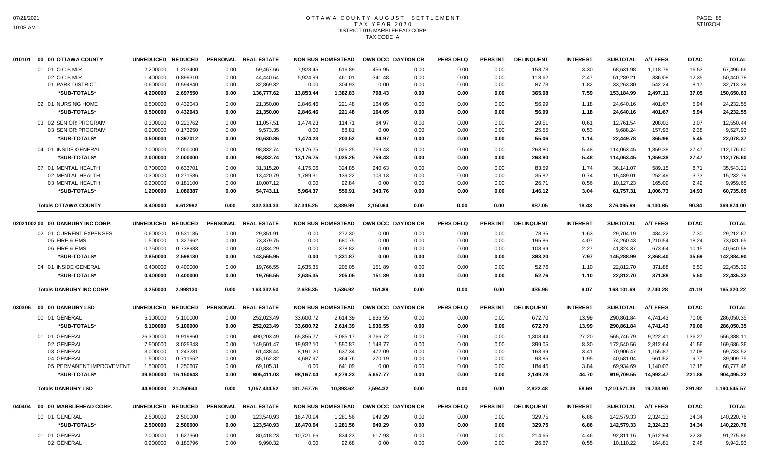# OTTAWA COUNTY AUGUST SETTLEMENT T A X Y E A R 2 0 2 0 DISTRICT 015 MARBLEHEAD CORP. TAX CODE A

|        | 010101  00  00 OTTAWA COUNTY     | UNREDUCED REDUCED    |                      |                 | PERSONAL REAL ESTATE |                        | <b>NON BUS HOMESTEAD</b> | OWN OCC DAYTON CR |              | <b>PERS DELQ</b> | <b>PERS INT</b> | <b>DELINQUENT</b> | <b>INTEREST</b> | <b>SUBTOTAL</b>          | <b>A/T FEES</b>      | <b>DTAC</b> | <b>TOTAL</b> |
|--------|----------------------------------|----------------------|----------------------|-----------------|----------------------|------------------------|--------------------------|-------------------|--------------|------------------|-----------------|-------------------|-----------------|--------------------------|----------------------|-------------|--------------|
|        | 01 01 O.C.B.M.R.                 | 2.200000             | 1.203400             | 0.00            | 59,467.66            | 7,928.45               | 616.89                   | 456.95            | 0.00         | 0.00             | 0.00            | 158.73            | 3.30            | 68,631.98                | 1,118.79             | 16.53       | 67,496.66    |
|        | 02 O.C.B.M.R.                    | 1.400000             | 0.899310             | 0.00            | 44,440.64            | 5,924.99               | 461.01                   | 341.48            | 0.00         | 0.00             | 0.00            | 118.62            | 2.47            | 51,289.21                | 836.08               | 12.35       | 50,440.78    |
|        | 01 PARK DISTRICT                 | 0.600000             | 0.594840             | 0.00            | 32,869.32            | 0.00                   | 304.93                   | 0.00              | 0.00         | 0.00             | 0.00            | 87.73             | 1.82            | 33,263.80                | 542.24               | 8.17        | 32,713.39    |
|        | *SUB-TOTALS*                     | 4.200000             | 2.697550             | 0.00            | 136,777.62           | 13,853.44              | 1,382.83                 | 798.43            | 0.00         | 0.00             | 0.00            | 365.08            | 7.59            | 153,184.99               | 2,497.11             | 37.05       | 150,650.83   |
|        | 02 01 NURSING HOME               | 0.500000             | 0.432043             | 0.00            | 21,350.00            | 2,846.46               | 221.48                   | 164.05            | 0.00         | 0.00             | 0.00            | 56.99             | 1.18            | 24,640.16                | 401.67               | 5.94        | 24,232.55    |
|        | *SUB-TOTALS*                     | 0.500000             | 0.432043             | 0.00            | 21,350.00            | 2,846.46               | 221.48                   | 164.05            | 0.00         | 0.00             | 0.00            | 56.99             | 1.18            | 24,640.16                | 401.67               | 5.94        | 24,232.55    |
|        |                                  |                      |                      |                 |                      |                        |                          |                   |              |                  |                 |                   |                 |                          |                      |             |              |
|        | 03 02 SENIOR PROGRAM             | 0.300000             | 0.223762             | 0.00            | 11,057.51            | 1.474.23               | 114.71                   | 84.97             | 0.00         | 0.00             | 0.00            | 29.51             | 0.61            | 12,761.54                | 208.03               | 3.07        | 12.550.44    |
|        | 03 SENIOR PROGRAM                | 0.200000             | 0.173250             | 0.00            | 9,573.35             | 0.00                   | 88.81                    | 0.00              | 0.00         | 0.00             | 0.00            | 25.55             | 0.53            | 9,688.24                 | 157.93               | 2.38        | 9,527.93     |
|        | *SUB-TOTALS*                     | 0.500000             | 0.397012             | 0.00            | 20,630.86            | 1,474.23               | 203.52                   | 84.97             | 0.00         | 0.00             | 0.00            | 55.06             | 1.14            | 22,449.78                | 365.96               | 5.45        | 22,078.37    |
|        | 04 01 INSIDE GENERAL             | 2.000000             | 2.000000             | 0.00            | 98,832.74            | 13,176.75              | 1,025.25                 | 759.43            | 0.00         | 0.00             | 0.00            | 263.80            | 5.48            | 114,063.45               | 1,859.38             | 27.47       | 112,176.60   |
|        | *SUB-TOTALS*                     | 2.000000             | 2.000000             | 0.00            | 98,832.74            | 13,176.75              | 1,025.25                 | 759.43            | 0.00         | 0.00             | 0.00            | 263.80            | 5.48            | 114,063.45               | 1,859.38             | 27.47       | 112,176.60   |
|        | 07 01 MENTAL HEALTH              | 0.700000             | 0.633701             | 0.00            | 31,315.20            | 4,175.06               | 324.85                   | 240.63            | 0.00         | 0.00             | 0.00            | 83.59             | 1.74            | 36,141.07                | 589.15               | 8.71        | 35,543.21    |
|        | 02 MENTAL HEALTH                 | 0.300000             | 0.271586             | 0.00            | 13,420.79            | 1,789.31               | 139.22                   | 103.13            | 0.00         | 0.00             | 0.00            | 35.82             | 0.74            | 15,489.01                | 252.49               | 3.73        | 15,232.79    |
|        | 03 MENTAL HEALTH                 | 0.200000             | 0.181100             | 0.00            | 10,007.12            | 0.00                   | 92.84                    | 0.00              | 0.00         | 0.00             | 0.00            | 26.71             | 0.56            | 10,127.23                | 165.09               | 2.49        | 9,959.65     |
|        | *SUB-TOTALS*                     | 1.200000             | 1.086387             | 0.00            | 54,743.11            | 5,964.37               | 556.91                   | 343.76            | 0.00         | 0.00             | 0.00            | 146.12            | 3.04            | 61,757.31                | 1,006.73             | 14.93       | 60,735.65    |
|        | <b>Totals OTTAWA COUNTY</b>      | 8.400000             | 6.612992             | 0.00            | 332,334.33           | 37,315.25              | 3,389.99                 | 2,150.64          | 0.00         | 0.00             | 0.00            | 887.05            | 18.43           | 376,095.69               | 6,130.85             | 90.84       | 369,874.00   |
|        | 02021002 00 00 DANBURY INC CORP. | UNREDUCED REDUCED    |                      |                 | PERSONAL REAL ESTATE |                        | <b>NON BUS HOMESTEAD</b> | OWN OCC DAYTON CR |              | <b>PERS DELQ</b> | <b>PERS INT</b> | <b>DELINQUENT</b> | <b>INTEREST</b> | <b>SUBTOTAL</b>          | <b>A/T FEES</b>      | <b>DTAC</b> | <b>TOTAL</b> |
|        | 02 01 CURRENT EXPENSES           | 0.600000             | 0.531185             | 0.00            | 29,351.91            | 0.00                   | 272.30                   | 0.00              | 0.00         | 0.00             | 0.00            | 78.35             | 1.63            | 29,704.19                | 484.22               | 7.30        | 29,212.67    |
|        | 05 FIRE & EMS                    | 1.500000             | 1.327962             | 0.00            | 73,379.75            | 0.00                   | 680.75                   | 0.00              | 0.00         | 0.00             | 0.00            | 195.86            | 4.07            | 74,260.43                | 1,210.54             | 18.24       | 73,031.65    |
|        | 06 FIRE & EMS                    | 0.750000             | 0.738983             | 0.00            | 40,834.29            | 0.00                   | 378.82                   | 0.00              | 0.00         | 0.00             | 0.00            | 108.99            | 2.27            | 41,324.37                | 673.64               | 10.15       | 40,640.58    |
|        | *SUB-TOTALS*                     | 2.850000             | 2.598130             | 0.00            | 143,565.95           | 0.00                   | 1,331.87                 | 0.00              | 0.00         | 0.00             | 0.00            | 383.20            | 7.97            | 145,288.99               | 2,368.40             | 35.69       | 142,884.90   |
|        | 04 01 INSIDE GENERAL             | 0.400000             | 0.400000             | 0.00            | 19,766.55            | 2,635.35               | 205.05                   | 151.89            | 0.00         | 0.00             | 0.00            | 52.76             | 1.10            | 22,812.70                | 371.88               | 5.50        | 22,435.32    |
|        | *SUB-TOTALS*                     | 0.400000             | 0.400000             | 0.00            | 19,766.55            | 2,635.35               | 205.05                   | 151.89            | 0.00         | 0.00             | 0.00            | 52.76             | 1.10            | 22,812.70                | 371.88               | 5.50        | 22,435.32    |
|        | <b>Totals DANBURY INC CORP.</b>  | 3.250000             | 2.998130             | 0.00            | 163,332.50           | 2,635.35               | 1,536.92                 | 151.89            | 0.00         | 0.00             | 0.00            | 435.96            | 9.07            | 168,101.69               | 2,740.28             | 41.19       | 165,320.22   |
| 030306 | 00 00 DANBURY LSD                | UNREDUCED REDUCED    |                      | <b>PERSONAL</b> | <b>REAL ESTATE</b>   |                        | <b>NON BUS HOMESTEAD</b> | OWN OCC DAYTON CR |              | <b>PERS DELQ</b> | <b>PERS INT</b> | <b>DELINQUENT</b> | <b>INTEREST</b> | <b>SUBTOTAL</b>          | <b>A/T FEES</b>      | <b>DTAC</b> | <b>TOTAL</b> |
|        | 00 01 GENERAL                    | 5.100000             | 5.100000             | 0.00            | 252,023.49           | 33,600.72              | 2,614.39                 | 1,936.55          | 0.00         | 0.00             | 0.00            | 672.70            | 13.99           | 290,861.84               | 4,741.43             | 70.06       | 286,050.35   |
|        | *SUB-TOTALS*                     | 5.100000             | 5.100000             | 0.00            | 252,023.49           | 33,600.72              | 2,614.39                 | 1,936.55          | 0.00         | 0.00             | 0.00            | 672.70            | 13.99           | 290,861.84               | 4,741.43             | 70.06       | 286,050.35   |
|        | 01 01 GENERAL                    | 26.300000            | 9.919860             | 0.00            | 490,203.49           | 65,355.77              | 5,085.17                 | 3,766.72          | 0.00         | 0.00             | 0.00            | 1,308.44          | 27.20           | 565,746.79               | 9,222.41             | 136.27      | 556,388.11   |
|        | 02 GENERAL                       | 7.500000             | 3.025343             | 0.00            | 149,501.47           | 19,932.10              | 1,550.87                 | 1,148.77          | 0.00         | 0.00             | 0.00            | 399.05            | 8.30            | 172,540.56               | 2,812.64             | 41.56       | 169,686.36   |
|        | 03 GENERAL                       | 3.000000             | 1.243281             | 0.00            | 61,438.44            | 8,191.20               | 637.34                   | 472.09            | 0.00         | 0.00             | 0.00            | 163.99            | 3.41            | 70,906.47                | 1,155.87             | 17.08       | 69,733.52    |
|        | 04 GENERAL                       | 1.500000             | 0.711552             | 0.00            | 35,162.32            | 4,687.97               | 364.76                   | 270.19            | 0.00         | 0.00             | 0.00            | 93.85             | 1.95            | 40,581.04                | 661.52               | 9.77        | 39,909.75    |
|        | 05 PERMANENT IMPROVEMENT         | 1.500000             | 1.250607             | 0.00            | 69,105.31            | 0.00                   | 641.09                   | 0.00              | 0.00         | 0.00             | 0.00            | 184.45            | 3.84            | 69,934.69                | 1,140.03             | 17.18       | 68,777.48    |
|        | *SUB-TOTALS*                     | 39,800000            | 16.150643            | 0.00            | 805,411.03           | 98,167.04              | 8.279.23                 | 5.657.77          | 0.00         | 0.00             | 0.00            | 2,149.78          | 44.70           | 919.709.55               | 14.992.47            | 221.86      | 904,495.22   |
|        | <b>Totals DANBURY LSD</b>        |                      | 44.900000 21.250643  | 0.00            | 1,057,434.52         | 131,767.76             | 10,893.62                | 7,594.32          | 0.00         | 0.00             | 0.00            | 2,822.48          | 58.69           | 1,210,571.39             | 19,733.90            | 291.92      | 1,190,545.57 |
| 040404 | 00 00 MARBLEHEAD CORP.           | UNREDUCED REDUCED    |                      | <b>PERSONAL</b> | <b>REAL ESTATE</b>   |                        | <b>NON BUS HOMESTEAD</b> | OWN OCC DAYTON CR |              | <b>PERS DELQ</b> | <b>PERS INT</b> | <b>DELINQUENT</b> | <b>INTEREST</b> | <b>SUBTOTAL</b>          | <b>A/T FEES</b>      | <b>DTAC</b> | <b>TOTAL</b> |
|        |                                  |                      |                      |                 |                      |                        |                          |                   |              |                  |                 |                   |                 |                          |                      |             |              |
|        | 00 01 GENERAL<br>*SUB-TOTALS*    | 2.500000<br>2.500000 | 2.500000<br>2.500000 | 0.00<br>0.00    | 123,540.93           | 16,470.94<br>16,470.94 | 1,281.56<br>1,281.56     | 949.29<br>949.29  | 0.00<br>0.00 | 0.00<br>0.00     | 0.00<br>0.00    | 329.75<br>329.75  | 6.86<br>6.86    | 142,579.33<br>142,579.33 | 2,324.23<br>2,324.23 | 34.34       | 140,220.76   |
|        |                                  |                      |                      |                 | 123,540.93           |                        |                          |                   |              |                  |                 |                   |                 |                          |                      | 34.34       | 140,220.76   |
|        | 01 01 GENERAL                    | 2.000000             | 1.627360             | 0.00            | 80,418.23            | 10,721.66              | 834.23                   | 617.93            | 0.00         | 0.00             | 0.00            | 214.65            | 4.46            | 92,811.16                | 1,512.94             | 22.36       | 91,275.86    |
|        | 02 GENERAL                       | 0.200000             | 0.180796             | 0.00            | 9,990.32             | 0.00                   | 92.68                    | 0.00              | 0.00         | 0.00             | 0.00            | 26.67             | 0.55            | 10,110.22                | 164.81               | 2.48        | 9,942.93     |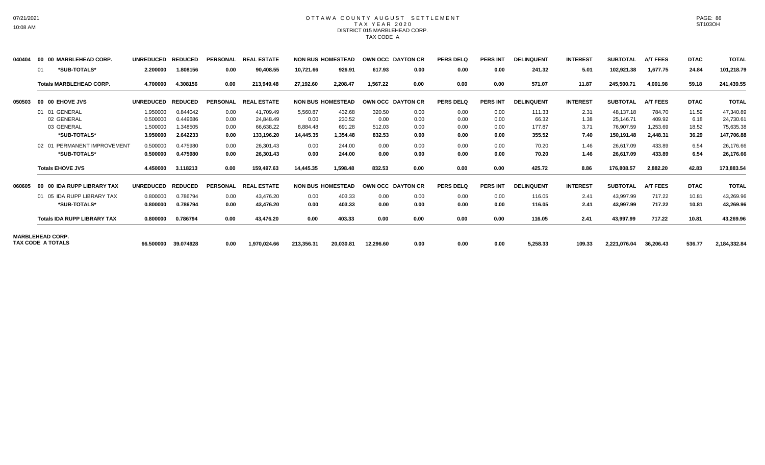### OTTAWA COUNTY AUGUST SETTLEMENT T A X Y E A R 2 0 2 0 DISTRICT 015 MARBLEHEAD CORP. TAX CODE A

| 040404 | 00 00 MARBLEHEAD CORP.             | <b>UNREDUCED</b> | <b>REDUCED</b> | <b>PERSONAL</b> | <b>REAL ESTATE</b> |            | <b>NON BUS HOMESTEAD</b> | OWN OCC DAYTON CR |      | <b>PERS DELQ</b> | <b>PERS INT</b> | <b>DELINQUENT</b> | <b>INTEREST</b> | <b>SUBTOTAL</b> | <b>A/T FEES</b> | <b>DTAC</b> | <b>TOTAL</b> |
|--------|------------------------------------|------------------|----------------|-----------------|--------------------|------------|--------------------------|-------------------|------|------------------|-----------------|-------------------|-----------------|-----------------|-----------------|-------------|--------------|
|        | *SUB-TOTALS*<br>01                 | 2.200000         | 1.808156       | 0.00            | 90,408.55          | 10,721.66  | 926.91                   | 617.93            | 0.00 | 0.00             | 0.00            | 241.32            | 5.01            | 102,921.38      | 1,677.75        | 24.84       | 101,218.79   |
|        | <b>Totals MARBLEHEAD CORP.</b>     | 4.700000         | 4.308156       | 0.00            | 213,949.48         | 27,192.60  | 2,208.47                 | 1.567.22          | 0.00 | 0.00             | 0.00            | 571.07            | 11.87           | 245,500.71      | 4.001.98        | 59.18       | 241,439.55   |
| 050503 | 00 00 EHOVE JVS                    | <b>UNREDUCED</b> | <b>REDUCED</b> | <b>PERSONAL</b> | <b>REAL ESTATE</b> |            | <b>NON BUS HOMESTEAD</b> | OWN OCC DAYTON CR |      | <b>PERS DELQ</b> | <b>PERS INT</b> | <b>DELINQUENT</b> | <b>INTEREST</b> | <b>SUBTOTAL</b> | <b>A/T FEES</b> | <b>DTAC</b> | <b>TOTAL</b> |
|        | 01 01 GENERAL                      | 1.950000         | 0.844042       | 0.00            | 41,709.49          | 5,560.87   | 432.68                   | 320.50            | 0.00 | 0.00             | 0.00            | 111.33            | 2.31            | 48,137.18       | 784.70          | 11.59       | 47,340.89    |
|        | 02 GENERAL                         | 0.500000         | 0.449686       | 0.00            | 24.848.49          | 0.00       | 230.52                   | 0.00              | 0.00 | 0.00             | 0.00            | 66.32             | 1.38            | 25,146.71       | 409.92          | 6.18        | 24,730.61    |
|        | 03 GENERAL                         | 1.500000         | 1.348505       | 0.00            | 66,638.22          | 8,884.48   | 691.28                   | 512.03            | 0.00 | 0.00             | 0.00            | 177.87            | 3.71            | 76,907.59       | 1,253.69        | 18.52       | 75,635.38    |
|        | *SUB-TOTALS*                       | 3.950000         | 2.642233       | 0.00            | 133,196.20         | 14,445.35  | 1,354.48                 | 832.53            | 0.00 | 0.00             | 0.00            | 355.52            | 7.40            | 150,191.48      | 2,448.31        | 36.29       | 147,706.88   |
|        | 02 01 PERMANENT IMPROVEMENT        | 0.500000         | 0.475980       | 0.00            | 26.301.43          | 0.00       | 244.00                   | 0.00              | 0.00 | 0.00             | 0.00            | 70.20             | 1.46            | 26,617.09       | 433.89          | 6.54        | 26,176.66    |
|        | *SUB-TOTALS*                       | 0.500000         | 0.475980       | 0.00            | 26,301.43          | 0.00       | 244.00                   | 0.00              | 0.00 | 0.00             | 0.00            | 70.20             | 1.46            | 26,617.09       | 433.89          | 6.54        | 26,176.66    |
|        | <b>Totals EHOVE JVS</b>            | 4.450000         | 3.118213       | 0.00            | 159,497.63         | 14,445.35  | 1,598.48                 | 832.53            | 0.00 | 0.00             | 0.00            | 425.72            | 8.86            | 176,808.57      | 2,882.20        | 42.83       | 173,883.54   |
| 060605 | 00 00 IDA RUPP LIBRARY TAX         | <b>UNREDUCED</b> | <b>REDUCED</b> | <b>PERSONAL</b> | <b>REAL ESTATE</b> |            | <b>NON BUS HOMESTEAD</b> | OWN OCC DAYTON CR |      | <b>PERS DELQ</b> | <b>PERS INT</b> | <b>DELINQUENT</b> | <b>INTEREST</b> | <b>SUBTOTAL</b> | <b>A/T FEES</b> | <b>DTAC</b> | <b>TOTAL</b> |
|        | 01 05 IDA RUPP LIBRARY TAX         | 0.800000         | 0.786794       | 0.00            | 43.476.20          | 0.00       | 403.33                   | 0.00              | 0.00 | 0.00             | 0.00            | 116.05            | 2.41            | 43.997.99       | 717.22          | 10.81       | 43,269.96    |
|        | *SUB-TOTALS*                       | 0.800000         | 0.786794       | 0.00            | 43,476.20          | 0.00       | 403.33                   | 0.00              | 0.00 | 0.00             | 0.00            | 116.05            | 2.41            | 43,997.99       | 717.22          | 10.81       | 43,269.96    |
|        | <b>Totals IDA RUPP LIBRARY TAX</b> | 0.800000         | 0.786794       | 0.00            | 43,476.20          | 0.00       | 403.33                   | 0.00              | 0.00 | 0.00             | 0.00            | 116.05            | 2.41            | 43,997.99       | 717.22          | 10.81       | 43,269.96    |
|        | <b>MARBLEHEAD CORP.</b>            |                  |                |                 |                    |            |                          |                   |      |                  |                 |                   |                 |                 |                 |             |              |
|        | <b>TAX CODE A TOTALS</b>           | 66.500000        | 39.074928      | 0.00            | 1,970,024.66       | 213,356.31 | 20,030.81                | 12,296.60         | 0.00 | 0.00             | 0.00            | 5,258.33          | 109.33          | 2,221,076.04    | 36,206.43       | 536.77      | 2,184,332.84 |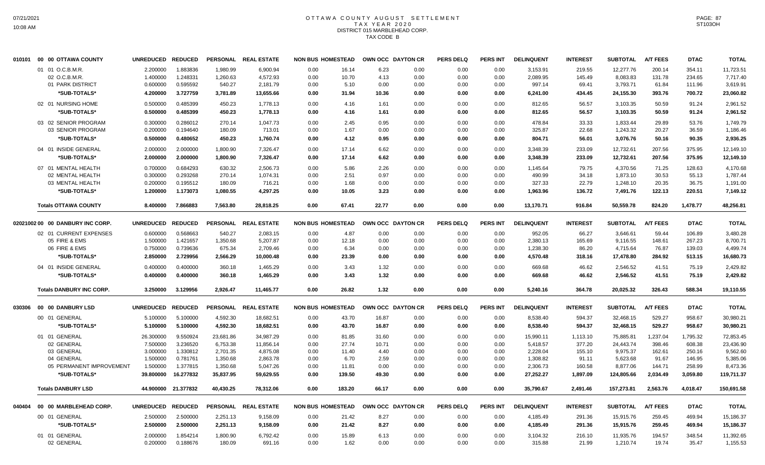# OTTAWA COUNTY AUGUST SETTLEMENT T A X Y E A R 2 0 2 0 DISTRICT 015 MARBLEHEAD CORP. TAX CODE B

|        | 010101 00 00 OTTAWA COUNTY       | UNREDUCED REDUCED |                     |           | PERSONAL REAL ESTATE | <b>NON BUS HOMESTEAD</b> |        | OWN OCC DAYTON CR |      | <b>PERS DELQ</b> | <b>PERS INT</b> | <b>DELINQUENT</b> | <b>INTEREST</b> | <b>SUBTOTAL</b> | <b>A/T FEES</b> | <b>DTAC</b> | <b>TOTAL</b> |
|--------|----------------------------------|-------------------|---------------------|-----------|----------------------|--------------------------|--------|-------------------|------|------------------|-----------------|-------------------|-----------------|-----------------|-----------------|-------------|--------------|
|        | 01 01 O.C.B.M.R.                 | 2.200000          | 1.883836            | 1,980.99  | 6.900.94             | 0.00                     | 16.14  | 6.23              | 0.00 | 0.00             | 0.00            | 3,153.91          | 219.55          | 12.277.76       | 200.14          | 354.11      | 11,723.51    |
|        | 02 O.C.B.M.R.                    | 1.400000          | 1.248331            | 1,260.63  | 4,572.93             | 0.00                     | 10.70  | 4.13              | 0.00 | 0.00             | 0.00            | 2,089.95          | 145.49          | 8,083.83        | 131.78          | 234.65      | 7,717.40     |
|        | 01 PARK DISTRICT                 | 0.600000          | 0.595592            | 540.27    | 2,181.79             | 0.00                     | 5.10   | 0.00              | 0.00 | 0.00             | 0.00            | 997.14            | 69.41           | 3,793.71        | 61.84           | 111.96      | 3,619.91     |
|        | *SUB-TOTALS*                     | 4.200000          | 3.727759            | 3,781.89  | 13,655.66            | 0.00                     | 31.94  | 10.36             | 0.00 | 0.00             | 0.00            | 6,241.00          | 434.45          | 24,155.30       | 393.76          | 700.72      | 23,060.82    |
|        | 02 01 NURSING HOME               | 0.500000          | 0.485399            | 450.23    | 1,778.13             | 0.00                     | 4.16   | 1.61              | 0.00 | 0.00             | 0.00            | 812.65            | 56.57           | 3,103.35        | 50.59           | 91.24       | 2,961.52     |
|        | *SUB-TOTALS*                     | 0.500000          | 0.485399            | 450.23    | 1,778.13             | 0.00                     | 4.16   | 1.61              | 0.00 | 0.00             | 0.00            | 812.65            | 56.57           | 3,103.35        | 50.59           | 91.24       | 2,961.52     |
|        | 03 02 SENIOR PROGRAM             | 0.300000          | 0.286012            | 270.14    | 1,047.73             | 0.00                     | 2.45   | 0.95              | 0.00 | 0.00             | 0.00            | 478.84            | 33.33           | 1,833.44        | 29.89           | 53.76       | 1,749.79     |
|        | 03 SENIOR PROGRAM                | 0.200000          | 0.194640            | 180.09    | 713.01               | 0.00                     | 1.67   | 0.00              | 0.00 | 0.00             | 0.00            | 325.87            | 22.68           | 1,243.32        | 20.27           | 36.59       | 1,186.46     |
|        | *SUB-TOTALS*                     | 0.500000          | 0.480652            | 450.23    | 1,760.74             | 0.00                     | 4.12   | 0.95              | 0.00 | 0.00             | 0.00            | 804.71            | 56.01           | 3,076.76        | 50.16           | 90.35       | 2,936.25     |
|        | 04 01 INSIDE GENERAL             | 2.000000          | 2.000000            | 1,800.90  | 7,326.47             | 0.00                     | 17.14  | 6.62              | 0.00 | 0.00             | 0.00            | 3,348.39          | 233.09          | 12,732.61       | 207.56          | 375.95      | 12,149.10    |
|        | *SUB-TOTALS*                     | 2.000000          | 2.000000            | 1,800.90  | 7,326.47             | 0.00                     | 17.14  | 6.62              | 0.00 | 0.00             | 0.00            | 3,348.39          | 233.09          | 12,732.61       | 207.56          | 375.95      | 12,149.10    |
|        | 07 01 MENTAL HEALTH              | 0.700000          | 0.684293            | 630.32    | 2.506.73             | 0.00                     | 5.86   | 2.26              | 0.00 | 0.00             | 0.00            | 1.145.64          | 79.75           | 4.370.56        | 71.25           | 128.63      | 4,170.68     |
|        | 02 MENTAL HEALTH                 | 0.300000          | 0.293268            | 270.14    | 1,074.31             | 0.00                     | 2.51   | 0.97              | 0.00 | 0.00             | 0.00            | 490.99            | 34.18           | 1,873.10        | 30.53           | 55.13       | 1,787.44     |
|        | 03 MENTAL HEALTH                 | 0.200000          | 0.195512            | 180.09    | 716.21               | 0.00                     | 1.68   | 0.00              | 0.00 | 0.00             | 0.00            | 327.33            | 22.79           | 1,248.10        | 20.35           | 36.75       | 1,191.00     |
|        | *SUB-TOTALS*                     | 1.200000          | 1.173073            | 1,080.55  | 4,297.25             | 0.00                     | 10.05  | 3.23              | 0.00 | 0.00             | 0.00            | 1,963.96          | 136.72          | 7,491.76        | 122.13          | 220.51      | 7,149.12     |
|        | <b>Totals OTTAWA COUNTY</b>      | 8.400000          | 7.866883            | 7.563.80  | 28.818.25            | 0.00                     | 67.41  | 22.77             | 0.00 | 0.00             | 0.00            | 13,170.71         | 916.84          | 50,559.78       | 824.20          | 1,478.77    | 48,256.81    |
|        | 02021002 00 00 DANBURY INC CORP. | UNREDUCED REDUCED |                     |           | PERSONAL REAL ESTATE | <b>NON BUS HOMESTEAD</b> |        | OWN OCC DAYTON CR |      | <b>PERS DELQ</b> | <b>PERS INT</b> | <b>DELINQUENT</b> | <b>INTEREST</b> | <b>SUBTOTAL</b> | <b>A/T FEES</b> | <b>DTAC</b> | <b>TOTAL</b> |
|        | 02 01 CURRENT EXPENSES           | 0.600000          | 0.568663            | 540.27    | 2,083.15             | 0.00                     | 4.87   | 0.00              | 0.00 | 0.00             | 0.00            | 952.05            | 66.27           | 3,646.61        | 59.44           | 106.89      | 3,480.28     |
|        | 05 FIRE & EMS                    | 1.500000          | 1.421657            | 1,350.68  | 5,207.87             | 0.00                     | 12.18  | 0.00              | 0.00 | 0.00             | 0.00            | 2,380.13          | 165.69          | 9,116.55        | 148.61          | 267.23      | 8,700.71     |
|        | 06 FIRE & EMS                    | 0.750000          | 0.739636            | 675.34    | 2,709.46             | 0.00                     | 6.34   | 0.00              | 0.00 | 0.00             | 0.00            | 1,238.30          | 86.20           | 4,715.64        | 76.87           | 139.03      | 4,499.74     |
|        | *SUB-TOTALS*                     | 2.850000          | 2.729956            | 2,566.29  | 10,000.48            | 0.00                     | 23.39  | 0.00              | 0.00 | 0.00             | 0.00            | 4,570.48          | 318.16          | 17,478.80       | 284.92          | 513.15      | 16,680.73    |
|        | 04 01 INSIDE GENERAL             | 0.400000          | 0.400000            | 360.18    | 1,465.29             | 0.00                     | 3.43   | 1.32              | 0.00 | 0.00             | 0.00            | 669.68            | 46.62           | 2,546.52        | 41.51           | 75.19       | 2,429.82     |
|        | *SUB-TOTALS*                     | 0.400000          | 0.400000            | 360.18    | 1,465.29             | 0.00                     | 3.43   | 1.32              | 0.00 | 0.00             | 0.00            | 669.68            | 46.62           | 2,546.52        | 41.51           | 75.19       | 2,429.82     |
|        | <b>Totals DANBURY INC CORP.</b>  | 3.250000          | 3.129956            | 2,926.47  | 11,465.77            | 0.00                     | 26.82  | 1.32              | 0.00 | 0.00             | 0.00            | 5,240.16          | 364.78          | 20,025.32       | 326.43          | 588.34      | 19,110.55    |
| 030306 | 00 00 DANBURY LSD                | UNREDUCED REDUCED |                     |           | PERSONAL REAL ESTATE | <b>NON BUS HOMESTEAD</b> |        | OWN OCC DAYTON CR |      | <b>PERS DELQ</b> | <b>PERS INT</b> | <b>DELINQUENT</b> | <b>INTEREST</b> | <b>SUBTOTAL</b> | <b>A/T FEES</b> | <b>DTAC</b> | <b>TOTAL</b> |
|        | 00 01 GENERAL                    | 5.100000          | 5.100000            | 4,592.30  | 18,682.51            | 0.00                     | 43.70  | 16.87             | 0.00 | 0.00             | 0.00            | 8,538.40          | 594.37          | 32,468.15       | 529.27          | 958.67      | 30,980.21    |
|        | *SUB-TOTALS*                     | 5.100000          | 5.100000            | 4,592.30  | 18,682.51            | 0.00                     | 43.70  | 16.87             | 0.00 | 0.00             | 0.00            | 8,538.40          | 594.37          | 32,468.15       | 529.27          | 958.67      | 30,980.21    |
|        | 01 01 GENERAL                    | 26.300000         | 9.550924            | 23,681.86 | 34,987.29            | 0.00                     | 81.85  | 31.60             | 0.00 | 0.00             | 0.00            | 15,990.11         | 1,113.10        | 75,885.81       | 1,237.04        | 1,795.32    | 72,853.45    |
|        | 02 GENERAL                       | 7.500000          | 3.236520            | 6,753.38  | 11.856.14            | 0.00                     | 27.74  | 10.71             | 0.00 | 0.00             | 0.00            | 5.418.57          | 377.20          | 24.443.74       | 398.46          | 608.38      | 23,436.90    |
|        | 03 GENERAL                       | 3.000000          | 1.330812            | 2,701.35  | 4,875.08             | 0.00                     | 11.40  | 4.40              | 0.00 | 0.00             | 0.00            | 2,228.04          | 155.10          | 9,975.37        | 162.61          | 250.16      | 9,562.60     |
|        | 04 GENERAL                       | 1.500000          | 0.781761            | 1,350.68  | 2,863.78             | 0.00                     | 6.70   | 2.59              | 0.00 | 0.00             | 0.00            | 1,308.82          | 91.11           | 5,623.68        | 91.67           | 146.95      | 5,385.06     |
|        | 05 PERMANENT IMPROVEMENT         | 1.500000          | 1.377815            | 1,350.68  | 5,047.26             | 0.00                     | 11.81  | 0.00              | 0.00 | 0.00             | 0.00            | 2,306.73          | 160.58          | 8,877.06        | 144.71          | 258.99      | 8,473.36     |
|        | *SUB-TOTALS*                     | 39.800000         | 16.277832           | 35,837.95 | 59,629.55            | 0.00                     | 139.50 | 49.30             | 0.00 | 0.00             | 0.00            | 27,252.27         | 1,897.09        | 124,805.66      | 2,034.49        | 3,059.80    | 119,711.37   |
|        | <b>Totals DANBURY LSD</b>        |                   | 44.900000 21.377832 | 40,430.25 | 78.312.06            | 0.00                     | 183.20 | 66.17             | 0.00 | 0.00             | 0.00            | 35,790.67         | 2,491.46        | 157,273.81      | 2,563.76        | 4,018.47    | 150,691.58   |
| 040404 | 00 00 MARBLEHEAD CORP.           | UNREDUCED REDUCED |                     |           | PERSONAL REAL ESTATE | <b>NON BUS HOMESTEAD</b> |        | OWN OCC DAYTON CR |      | <b>PERS DELQ</b> | <b>PERS INT</b> | <b>DELINQUENT</b> | <b>INTEREST</b> | <b>SUBTOTAL</b> | <b>A/T FEES</b> | <b>DTAC</b> | <b>TOTAL</b> |
|        | 00 01 GENERAL                    | 2.500000          | 2.500000            | 2,251.13  | 9,158.09             | 0.00                     | 21.42  | 8.27              | 0.00 | 0.00             | 0.00            | 4,185.49          | 291.36          | 15,915.76       | 259.45          | 469.94      | 15,186.37    |
|        | *SUB-TOTALS*                     | 2.500000          | 2.500000            | 2,251.13  | 9,158.09             | 0.00                     | 21.42  | 8.27              | 0.00 | 0.00             | 0.00            | 4,185.49          | 291.36          | 15,915.76       | 259.45          | 469.94      | 15,186.37    |
|        | 01 01 GENERAL                    | 2.000000          | 1.854214            | 1,800.90  | 6,792.42             | 0.00                     | 15.89  | 6.13              | 0.00 | 0.00             | 0.00            | 3,104.32          | 216.10          | 11,935.76       | 194.57          | 348.54      | 11,392.65    |
|        | 02 GENERAL                       | 0.200000          | 0.188676            | 180.09    | 691.16               | 0.00                     | 1.62   | 0.00              | 0.00 | 0.00             | 0.00            | 315.88            | 21.99           | 1,210.74        | 19.74           | 35.47       | 1,155.53     |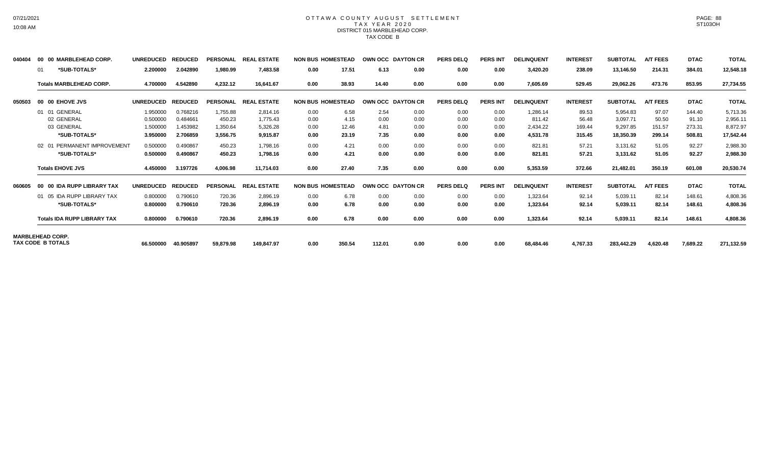### OTTAWA COUNTY AUGUST SETTLEMENT T A X Y E A R 2 0 2 0 DISTRICT 015 MARBLEHEAD CORP. TAX CODE B

| 040404 | 00 00 MARBLEHEAD CORP.                              | <b>UNREDUCED</b> | <b>REDUCED</b> | <b>PERSONAL</b> | <b>REAL ESTATE</b> | <b>NON BUS HOMESTEAD</b> |        | OWN OCC DAYTON CR |                  | <b>PERS DELQ</b> | <b>PERS INT</b> | <b>DELINQUENT</b> | <b>INTEREST</b> | <b>SUBTOTAL</b> | <b>A/T FEES</b> | <b>DTAC</b> | <b>TOTAL</b> |
|--------|-----------------------------------------------------|------------------|----------------|-----------------|--------------------|--------------------------|--------|-------------------|------------------|------------------|-----------------|-------------------|-----------------|-----------------|-----------------|-------------|--------------|
|        | *SUB-TOTALS*<br>01                                  | 2.200000         | 2.042890       | 1,980.99        | 7,483.58           | 0.00                     | 17.51  | 6.13              | 0.00             | 0.00             | 0.00            | 3,420.20          | 238.09          | 13,146.50       | 214.31          | 384.01      | 12,548.18    |
|        | <b>Totals MARBLEHEAD CORP.</b>                      | 4.700000         | 4.542890       | 4,232.12        | 16,641.67          | 0.00                     | 38.93  | 14.40             | 0.00             | 0.00             | 0.00            | 7,605.69          | 529.45          | 29,062.26       | 473.76          | 853.95      | 27,734.55    |
| 050503 | 00 00 EHOVE JVS                                     | <b>UNREDUCED</b> | <b>REDUCED</b> | <b>PERSONAL</b> | <b>REAL ESTATE</b> | <b>NON BUS HOMESTEAD</b> |        | OWN OCC DAYTON CR |                  | <b>PERS DELQ</b> | <b>PERS INT</b> | <b>DELINQUENT</b> | <b>INTEREST</b> | <b>SUBTOTAL</b> | <b>A/T FEES</b> | <b>DTAC</b> | <b>TOTAL</b> |
|        | 01 01 GENERAL                                       | 1.950000         | 0.768216       | 1,755.88        | 2,814.16           | 0.00                     | 6.58   | 2.54              | 0.00             | 0.00             | 0.00            | 1,286.14          | 89.53           | 5,954.83        | 97.07           | 144.40      | 5,713.36     |
|        | 02 GENERAL                                          | 0.500000         | 0.484661       | 450.23          | 1.775.43           | 0.00                     | 4.15   | 0.00              | 0.00             | 0.00             | 0.00            | 811.42            | 56.48           | 3,097.71        | 50.50           | 91.10       | 2,956.11     |
|        | 03 GENERAL                                          | 1.500000         | 1.453982       | 1,350.64        | 5,326.28           | 0.00                     | 12.46  | 4.81              | 0.00             | 0.00             | 0.00            | 2,434.22          | 169.44          | 9,297.85        | 151.57          | 273.31      | 8,872.97     |
|        | *SUB-TOTALS*                                        | 3.950000         | 2.706859       | 3,556.75        | 9,915.87           | 0.00                     | 23.19  | 7.35              | 0.00             | 0.00             | 0.00            | 4,531.78          | 315.45          | 18,350.39       | 299.14          | 508.81      | 17,542.44    |
|        | 02 01 PERMANENT IMPROVEMENT                         | 0.500000         | 0.490867       | 450.23          | 1,798.16           | 0.00                     | 4.21   | 0.00              | 0.00             | 0.00             | 0.00            | 821.81            | 57.21           | 3.131.62        | 51.05           | 92.27       | 2,988.30     |
|        | *SUB-TOTALS*                                        | 0.500000         | 0.490867       | 450.23          | 1,798.16           | 0.00                     | 4.21   | 0.00              | 0.00             | 0.00             | 0.00            | 821.81            | 57.21           | 3,131.62        | 51.05           | 92.27       | 2,988.30     |
|        | <b>Totals EHOVE JVS</b>                             | 4.450000         | 3.197726       | 4,006.98        | 11,714.03          | 0.00                     | 27.40  | 7.35              | 0.00             | 0.00             | 0.00            | 5,353.59          | 372.66          | 21,482.01       | 350.19          | 601.08      | 20,530.74    |
| 060605 | 00 00 IDA RUPP LIBRARY TAX                          | <b>UNREDUCED</b> | <b>REDUCED</b> | <b>PERSONAL</b> | <b>REAL ESTATE</b> | <b>NON BUS HOMESTEAD</b> |        | <b>OWN OCC</b>    | <b>DAYTON CR</b> | <b>PERS DELQ</b> | <b>PERS INT</b> | <b>DELINQUENT</b> | <b>INTEREST</b> | <b>SUBTOTAL</b> | <b>A/T FEES</b> | <b>DTAC</b> | <b>TOTAL</b> |
|        | 01 05 IDA RUPP LIBRARY TAX                          | 0.800000         | 0.790610       | 720.36          | 2,896.19           | 0.00                     | 6.78   | 0.00              | 0.00             | 0.00             | 0.00            | 1,323.64          | 92.14           | 5,039.11        | 82.14           | 148.61      | 4,808.36     |
|        | *SUB-TOTALS*                                        | 0.800000         | 0.790610       | 720.36          | 2.896.19           | 0.00                     | 6.78   | 0.00              | 0.00             | 0.00             | 0.00            | 1.323.64          | 92.14           | 5,039.11        | 82.14           | 148.61      | 4,808.36     |
|        | <b>Totals IDA RUPP LIBRARY TAX</b>                  | 0.800000         | 0.790610       | 720.36          | 2,896.19           | 0.00                     | 6.78   | 0.00              | 0.00             | 0.00             | 0.00            | 1,323.64          | 92.14           | 5,039.11        | 82.14           | 148.61      | 4,808.36     |
|        | <b>MARBLEHEAD CORP.</b><br><b>TAX CODE B TOTALS</b> |                  |                |                 |                    |                          |        |                   |                  |                  |                 |                   |                 |                 |                 |             |              |
|        |                                                     | 66.500000        | 40.905897      | 59,879.98       | 149.847.97         | 0.00                     | 350.54 | 112.01            | 0.00             | 0.00             | 0.00            | 68,484.46         | 4,767.33        | 283,442.29      | 4,620.48        | 7,689.22    | 271,132.59   |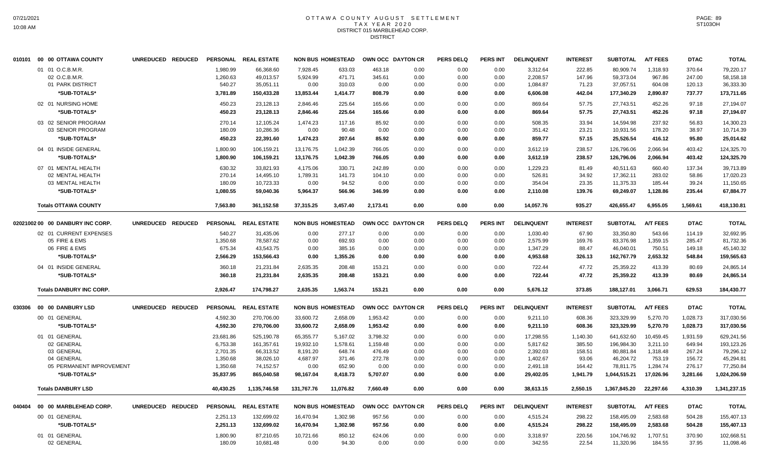### OTTAWA COUNTY AUGUST SETTLEMENT T A X Y E A R 2 0 2 0 DISTRICT 015 MARBLEHEAD CORP. DISTRICT

| 010101 00 00 OTTAWA COUNTY                            |                                                                                                                                     |                          |                                                                                  |                                                                                                  |                                                                                                                                                                                                                |                                                                                               |                                                                                                                                                                                                            |                                                                                  | <b>PERS DELQ</b>                                                                                                                                         | <b>PERS INT</b>                                                      | <b>DELINQUENT</b>                                                    | <b>INTEREST</b>                                                                                                | <b>SUBTOTAL</b>                                                                   | <b>A/T FEES</b>                                                                                                     | <b>DTAC</b>                                                                                    | <b>TOTAL</b>                                                                        |
|-------------------------------------------------------|-------------------------------------------------------------------------------------------------------------------------------------|--------------------------|----------------------------------------------------------------------------------|--------------------------------------------------------------------------------------------------|----------------------------------------------------------------------------------------------------------------------------------------------------------------------------------------------------------------|-----------------------------------------------------------------------------------------------|------------------------------------------------------------------------------------------------------------------------------------------------------------------------------------------------------------|----------------------------------------------------------------------------------|----------------------------------------------------------------------------------------------------------------------------------------------------------|----------------------------------------------------------------------|----------------------------------------------------------------------|----------------------------------------------------------------------------------------------------------------|-----------------------------------------------------------------------------------|---------------------------------------------------------------------------------------------------------------------|------------------------------------------------------------------------------------------------|-------------------------------------------------------------------------------------|
| 01 01 O.C.B.M.R.<br>02 O.C.B.M.R.<br>01 PARK DISTRICT |                                                                                                                                     |                          | 1,980.99<br>1,260.63<br>540.27                                                   | 66,368.60<br>49,013.57<br>35,051.11                                                              | 7,928.45<br>5,924.99<br>0.00                                                                                                                                                                                   | 633.03<br>471.71<br>310.03                                                                    | 463.18<br>345.61<br>0.00                                                                                                                                                                                   | 0.00<br>0.00<br>0.00                                                             | 0.00<br>0.00<br>0.00                                                                                                                                     | 0.00<br>0.00<br>0.00                                                 | 3,312.64<br>2,208.57<br>1,084.87                                     | 222.85<br>147.96<br>71.23                                                                                      | 80,909.74<br>59,373.04<br>37,057.51                                               | 1,318.93<br>967.86<br>604.08                                                                                        | 370.64<br>247.00<br>120.13                                                                     | 79,220.17<br>58,158.18<br>36,333.30                                                 |
|                                                       |                                                                                                                                     |                          |                                                                                  |                                                                                                  |                                                                                                                                                                                                                |                                                                                               |                                                                                                                                                                                                            |                                                                                  |                                                                                                                                                          |                                                                      |                                                                      |                                                                                                                |                                                                                   |                                                                                                                     |                                                                                                | 173,711.65                                                                          |
| *SUB-TOTALS*                                          |                                                                                                                                     |                          | 450.23                                                                           | 23.128.13                                                                                        | 2.846.46                                                                                                                                                                                                       | 225.64                                                                                        | 165.66                                                                                                                                                                                                     | 0.00                                                                             | 0.00                                                                                                                                                     | 0.00                                                                 | 869.64                                                               | 57.75                                                                                                          | 27,743.51                                                                         | 452.26                                                                                                              | 97.18                                                                                          | 27,194.07<br>27,194.07                                                              |
| 03 02 SENIOR PROGRAM<br>03 SENIOR PROGRAM             |                                                                                                                                     |                          | 270.14<br>180.09                                                                 | 12,105.24<br>10,286.36                                                                           | 1,474.23<br>0.00                                                                                                                                                                                               | 117.16<br>90.48                                                                               | 85.92<br>0.00                                                                                                                                                                                              | 0.00<br>0.00                                                                     | 0.00<br>0.00                                                                                                                                             | 0.00<br>0.00                                                         | 508.35<br>351.42                                                     | 33.94<br>23.21                                                                                                 | 14,594.98<br>10,931.56                                                            | 237.92<br>178.20                                                                                                    | 56.83<br>38.97                                                                                 | 14,300.23<br>10,714.39                                                              |
| *SUB-TOTALS*                                          |                                                                                                                                     |                          | 450.23                                                                           | 22,391.60                                                                                        | 1,474.23                                                                                                                                                                                                       | 207.64                                                                                        | 85.92                                                                                                                                                                                                      | 0.00                                                                             | 0.00                                                                                                                                                     | 0.00                                                                 | 859.77                                                               | 57.15                                                                                                          | 25,526.54                                                                         | 416.12                                                                                                              | 95.80                                                                                          | 25,014.62                                                                           |
| 04 01 INSIDE GENERAL<br>*SUB-TOTALS*                  |                                                                                                                                     |                          | 1,800.90<br>1,800.90                                                             | 106.159.21<br>106,159.21                                                                         | 13,176.75<br>13,176.75                                                                                                                                                                                         | 1.042.39<br>1,042.39                                                                          | 766.05<br>766.05                                                                                                                                                                                           | 0.00<br>0.00                                                                     | 0.00<br>0.00                                                                                                                                             | 0.00<br>0.00                                                         | 3,612.19                                                             | 238.57<br>238.57                                                                                               | 126.796.06<br>126,796.06                                                          | 2.066.94<br>2,066.94                                                                                                | 403.42<br>403.42                                                                               | 124.325.70<br>124,325.70                                                            |
| 07 01 MENTAL HEALTH                                   |                                                                                                                                     |                          | 630.32                                                                           | 33,821.93                                                                                        | 4,175.06                                                                                                                                                                                                       | 330.71                                                                                        | 242.89                                                                                                                                                                                                     | 0.00                                                                             | 0.00                                                                                                                                                     | 0.00                                                                 | 1,229.23                                                             | 81.49                                                                                                          | 40,511.63                                                                         | 660.40                                                                                                              | 137.34                                                                                         | 39,713.89<br>17,020.23                                                              |
| 03 MENTAL HEALTH                                      |                                                                                                                                     |                          | 180.09                                                                           | 10,723.33                                                                                        | 0.00                                                                                                                                                                                                           | 94.52                                                                                         | 0.00                                                                                                                                                                                                       | 0.00                                                                             | 0.00                                                                                                                                                     | 0.00                                                                 | 354.04                                                               | 23.35                                                                                                          | 11,375.33                                                                         | 185.44                                                                                                              | 39.24                                                                                          | 11,150.65                                                                           |
| *SUB-TOTALS*                                          |                                                                                                                                     |                          | 1.080.55                                                                         | 59.040.36                                                                                        | 5.964.37                                                                                                                                                                                                       | 566.96                                                                                        | 346.99                                                                                                                                                                                                     | 0.00                                                                             | 0.00                                                                                                                                                     | 0.00                                                                 | 2,110.08                                                             | 139.76                                                                                                         | 69,249.07                                                                         | 1.128.86                                                                                                            | 235.44                                                                                         | 67.884.77                                                                           |
| <b>Totals OTTAWA COUNTY</b>                           |                                                                                                                                     |                          | 7,563.80                                                                         | 361,152.58                                                                                       | 37,315.25                                                                                                                                                                                                      | 3,457.40                                                                                      | 2,173.41                                                                                                                                                                                                   | 0.00                                                                             | 0.00                                                                                                                                                     | 0.00                                                                 | 14,057.76                                                            | 935.27                                                                                                         | 426,655.47                                                                        | 6,955.05                                                                                                            | 1,569.61                                                                                       | 418,130.81                                                                          |
| 02021002 00 00 DANBURY INC CORP.                      |                                                                                                                                     |                          |                                                                                  |                                                                                                  |                                                                                                                                                                                                                |                                                                                               |                                                                                                                                                                                                            |                                                                                  | <b>PERS DELQ</b>                                                                                                                                         | <b>PERS INT</b>                                                      | <b>DELINQUENT</b>                                                    | <b>INTEREST</b>                                                                                                | <b>SUBTOTAL</b>                                                                   | <b>A/T FEES</b>                                                                                                     | <b>DTAC</b>                                                                                    | <b>TOTAL</b>                                                                        |
| 02 01 CURRENT EXPENSES                                |                                                                                                                                     |                          | 540.27                                                                           | 31.435.06                                                                                        | 0.00                                                                                                                                                                                                           | 277.17                                                                                        | 0.00                                                                                                                                                                                                       | 0.00                                                                             | 0.00                                                                                                                                                     | 0.00                                                                 | 1.030.40                                                             | 67.90                                                                                                          | 33.350.80                                                                         | 543.66                                                                                                              | 114.19                                                                                         | 32.692.95                                                                           |
| 05 FIRE & EMS                                         |                                                                                                                                     |                          | 1,350.68                                                                         | 78,587.62                                                                                        | 0.00                                                                                                                                                                                                           | 692.93                                                                                        | 0.00                                                                                                                                                                                                       | 0.00                                                                             | 0.00                                                                                                                                                     | 0.00                                                                 | 2,575.99                                                             | 169.76                                                                                                         | 83,376.98                                                                         | 1,359.15                                                                                                            | 285.47                                                                                         | 81,732.36                                                                           |
|                                                       |                                                                                                                                     |                          |                                                                                  |                                                                                                  |                                                                                                                                                                                                                |                                                                                               |                                                                                                                                                                                                            |                                                                                  |                                                                                                                                                          |                                                                      |                                                                      |                                                                                                                |                                                                                   |                                                                                                                     |                                                                                                | 45,140.32                                                                           |
|                                                       |                                                                                                                                     |                          |                                                                                  |                                                                                                  |                                                                                                                                                                                                                |                                                                                               |                                                                                                                                                                                                            |                                                                                  |                                                                                                                                                          |                                                                      |                                                                      |                                                                                                                |                                                                                   |                                                                                                                     |                                                                                                | 159,565.63                                                                          |
| 04 01 INSIDE GENERAL                                  |                                                                                                                                     |                          | 360.18                                                                           | 21,231.84                                                                                        | 2,635.35                                                                                                                                                                                                       | 208.48                                                                                        | 153.21                                                                                                                                                                                                     | 0.00                                                                             | 0.00                                                                                                                                                     | 0.00                                                                 | 722.44                                                               | 47.72                                                                                                          | 25,359.22                                                                         | 413.39                                                                                                              | 80.69                                                                                          | 24.865.14                                                                           |
|                                                       |                                                                                                                                     |                          |                                                                                  |                                                                                                  |                                                                                                                                                                                                                |                                                                                               |                                                                                                                                                                                                            |                                                                                  |                                                                                                                                                          |                                                                      |                                                                      |                                                                                                                |                                                                                   |                                                                                                                     |                                                                                                | 24.865.14                                                                           |
| <b>Totals DANBURY INC CORP.</b>                       |                                                                                                                                     |                          | 2,926.47                                                                         | 174,798.27                                                                                       | 2,635.35                                                                                                                                                                                                       | 1,563.74                                                                                      | 153.21                                                                                                                                                                                                     | 0.00                                                                             | 0.00                                                                                                                                                     | 0.00                                                                 | 5,676.12                                                             | 373.85                                                                                                         | 188,127.01                                                                        | 3,066.71                                                                                                            | 629.53                                                                                         | 184,430.77                                                                          |
| 00 00 DANBURY LSD                                     |                                                                                                                                     |                          |                                                                                  |                                                                                                  |                                                                                                                                                                                                                |                                                                                               |                                                                                                                                                                                                            |                                                                                  | <b>PERS DELQ</b>                                                                                                                                         | <b>PERS INT</b>                                                      | <b>DELINQUENT</b>                                                    | <b>INTEREST</b>                                                                                                | <b>SUBTOTAL</b>                                                                   | <b>A/T FEES</b>                                                                                                     | <b>DTAC</b>                                                                                    | <b>TOTAL</b>                                                                        |
| 00 01 GENERAL                                         |                                                                                                                                     |                          | 4,592.30                                                                         | 270,706.00                                                                                       | 33,600.72                                                                                                                                                                                                      | 2,658.09                                                                                      | 1,953.42                                                                                                                                                                                                   | 0.00                                                                             | 0.00                                                                                                                                                     | 0.00                                                                 | 9,211.10                                                             | 608.36                                                                                                         | 323,329.99                                                                        | 5,270.70                                                                                                            | 1,028.73                                                                                       | 317,030.56                                                                          |
| *SUB-TOTALS*                                          |                                                                                                                                     |                          | 4,592.30                                                                         | 270,706.00                                                                                       | 33.600.72                                                                                                                                                                                                      | 2.658.09                                                                                      | 1.953.42                                                                                                                                                                                                   | 0.00                                                                             | 0.00                                                                                                                                                     | 0.00                                                                 | 9,211.10                                                             | 608.36                                                                                                         | 323,329.99                                                                        | 5.270.70                                                                                                            | 1,028.73                                                                                       | 317,030.56                                                                          |
| 01 01 GENERAL                                         |                                                                                                                                     |                          | 23,681.86                                                                        | 525,190.78                                                                                       | 65,355.77                                                                                                                                                                                                      | 5,167.02                                                                                      | 3,798.32                                                                                                                                                                                                   | 0.00                                                                             | 0.00                                                                                                                                                     | 0.00                                                                 | 17,298.55                                                            | 1,140.30                                                                                                       | 641,632.60                                                                        | 10.459.45                                                                                                           | 1,931.59                                                                                       | 629,241.56                                                                          |
| 02 GENERAL                                            |                                                                                                                                     |                          | 6,753.38                                                                         | 161,357.61                                                                                       | 19,932.10                                                                                                                                                                                                      | 1,578.61                                                                                      | 1,159.48                                                                                                                                                                                                   | 0.00                                                                             | 0.00                                                                                                                                                     | 0.00                                                                 | 5,817.62                                                             | 385.50                                                                                                         | 196,984.30                                                                        | 3,211.10                                                                                                            | 649.94                                                                                         | 193,123.26                                                                          |
|                                                       |                                                                                                                                     |                          |                                                                                  |                                                                                                  |                                                                                                                                                                                                                |                                                                                               |                                                                                                                                                                                                            |                                                                                  |                                                                                                                                                          |                                                                      |                                                                      |                                                                                                                |                                                                                   |                                                                                                                     |                                                                                                | 79,296.12                                                                           |
|                                                       |                                                                                                                                     |                          |                                                                                  |                                                                                                  |                                                                                                                                                                                                                |                                                                                               |                                                                                                                                                                                                            |                                                                                  |                                                                                                                                                          |                                                                      |                                                                      |                                                                                                                |                                                                                   |                                                                                                                     |                                                                                                | 45,294.81                                                                           |
| *SUB-TOTALS*                                          |                                                                                                                                     |                          | 35,837.95                                                                        | 865,040.58                                                                                       | 98.167.04                                                                                                                                                                                                      | 8.418.73                                                                                      | 5.707.07                                                                                                                                                                                                   | 0.00                                                                             | 0.00                                                                                                                                                     | 0.00                                                                 | 29,402.05                                                            | 1.941.79                                                                                                       | 1.044.515.21                                                                      | 17.026.96                                                                                                           | 3.281.66                                                                                       | 77,250.84<br>1,024,206.59                                                           |
| <b>Totals DANBURY LSD</b>                             |                                                                                                                                     |                          | 40,430.25                                                                        | 1,135,746.58                                                                                     | 131,767.76                                                                                                                                                                                                     | 11,076.82                                                                                     | 7,660.49                                                                                                                                                                                                   | 0.00                                                                             | 0.00                                                                                                                                                     | 0.00                                                                 | 38,613.15                                                            | 2,550.15                                                                                                       | 1,367,845.20                                                                      | 22,297.66                                                                                                           | 4,310.39                                                                                       | 1,341,237.15                                                                        |
| 00 00 MARBLEHEAD CORP.                                |                                                                                                                                     |                          |                                                                                  | <b>REAL ESTATE</b>                                                                               |                                                                                                                                                                                                                |                                                                                               |                                                                                                                                                                                                            |                                                                                  | <b>PERS DELQ</b>                                                                                                                                         | <b>PERS INT</b>                                                      | <b>DELINQUENT</b>                                                    | <b>INTEREST</b>                                                                                                | <b>SUBTOTAL</b>                                                                   | <b>A/T FEES</b>                                                                                                     | <b>DTAC</b>                                                                                    | <b>TOTAL</b>                                                                        |
| 00 01 GENERAL                                         |                                                                                                                                     |                          | 2.251.13                                                                         | 132.699.02                                                                                       | 16.470.94                                                                                                                                                                                                      | 1,302.98                                                                                      | 957.56                                                                                                                                                                                                     | 0.00                                                                             | 0.00                                                                                                                                                     | 0.00                                                                 | 4,515.24                                                             | 298.22                                                                                                         | 158.495.09                                                                        | 2.583.68                                                                                                            | 504.28                                                                                         | 155,407.13                                                                          |
| *SUB-TOTALS*                                          |                                                                                                                                     |                          | 2,251.13                                                                         | 132,699.02                                                                                       | 16,470.94                                                                                                                                                                                                      | 1,302.98                                                                                      | 957.56                                                                                                                                                                                                     | 0.00                                                                             | 0.00                                                                                                                                                     | 0.00                                                                 | 4,515.24                                                             | 298.22                                                                                                         | 158,495.09                                                                        | 2,583.68                                                                                                            | 504.28                                                                                         | 155,407.13                                                                          |
| 01 01 GENERAL<br>02 GENERAL                           |                                                                                                                                     |                          | 1,800.90<br>180.09                                                               | 87,210.65<br>10,681.48                                                                           | 10,721.66<br>0.00                                                                                                                                                                                              | 850.12<br>94.30                                                                               | 624.06<br>0.00                                                                                                                                                                                             | 0.00<br>0.00                                                                     | 0.00<br>0.00                                                                                                                                             | 0.00<br>0.00                                                         | 3,318.97<br>342.55                                                   | 220.56<br>22.54                                                                                                | 104,746.92<br>11,320.96                                                           | 1,707.51<br>184.55                                                                                                  | 370.90<br>37.95                                                                                | 102,668.51<br>11,098.46                                                             |
|                                                       | *SUB-TOTALS*<br>02 01 NURSING HOME<br>02 MENTAL HEALTH<br>06 FIRE & EMS<br>*SUB-TOTALS*<br>*SUB-TOTALS*<br>03 GENERAL<br>04 GENERAL | 05 PERMANENT IMPROVEMENT | UNREDUCED REDUCED<br>UNREDUCED REDUCED<br>UNREDUCED REDUCED<br>UNREDUCED REDUCED | 3,781.89<br>450.23<br>270.14<br>675.34<br>2,566.29<br>360.18<br>2,701.35<br>1,350.68<br>1,350.68 | PERSONAL REAL ESTATE<br>150,433.28<br>23,128.13<br>14,495.10<br>PERSONAL REAL ESTATE<br>43,543.75<br>153,566.43<br>21,231.84<br>PERSONAL REAL ESTATE<br>66,313.52<br>38,026.10<br>74,152.57<br><b>PERSONAL</b> | 13,853.44<br>2,846.46<br>1,789.31<br>0.00<br>0.00<br>2,635.35<br>8,191.20<br>4,687.97<br>0.00 | <b>NON BUS HOMESTEAD</b><br>1,414.77<br>225.64<br>141.73<br><b>NON BUS HOMESTEAD</b><br>385.16<br>1,355.26<br>208.48<br><b>NON BUS HOMESTEAD</b><br>648.74<br>371.46<br>652.90<br><b>NON BUS HOMESTEAD</b> | 808.79<br>165.66<br>104.10<br>0.00<br>0.00<br>153.21<br>476.49<br>272.78<br>0.00 | OWN OCC DAYTON CR<br>0.00<br>0.00<br>0.00<br>OWN OCC DAYTON CR<br>0.00<br>0.00<br>0.00<br>OWN OCC DAYTON CR<br>0.00<br>0.00<br>0.00<br>OWN OCC DAYTON CR | 0.00<br>0.00<br>0.00<br>0.00<br>0.00<br>0.00<br>0.00<br>0.00<br>0.00 | 0.00<br>0.00<br>0.00<br>0.00<br>0.00<br>0.00<br>0.00<br>0.00<br>0.00 | 6,606.08<br>869.64<br>3,612.19<br>526.81<br>1,347.29<br>4,953.68<br>722.44<br>2,392.03<br>1,402.67<br>2,491.18 | 442.04<br>57.75<br>34.92<br>88.47<br>326.13<br>47.72<br>158.51<br>93.06<br>164.42 | 177,340.29<br>27,743.51<br>17,362.11<br>46,040.01<br>162,767.79<br>25,359.22<br>80,881.84<br>46,204.72<br>78,811.75 | 2,890.87<br>452.26<br>283.02<br>750.51<br>2,653.32<br>413.39<br>1,318.48<br>753.19<br>1,284.74 | 737.77<br>97.18<br>58.86<br>149.18<br>548.84<br>80.69<br>267.24<br>156.72<br>276.17 |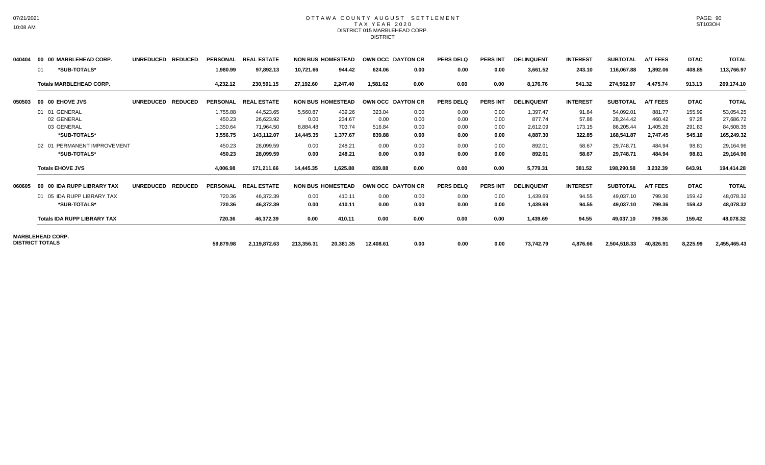#### OTTAWA COUNTY AUGUST SETTLEMENT T A X Y E A R 2 0 2 0 DISTRICT 015 MARBLEHEAD CORP. DISTRICT

| 040404 | 00 00 MARBLEHEAD CORP.             | UNREDUCED REDUCED                  | <b>PERSONAL</b> | <b>REAL ESTATE</b>   |            | <b>NON BUS HOMESTEAD</b> | OWN OCC DAYTON CR |      | <b>PERS DELQ</b> | <b>PERS INT</b> | <b>DELINQUENT</b> | <b>INTEREST</b> | <b>SUBTOTAL</b> | <b>A/T FEES</b> | <b>DTAC</b> | <b>TOTAL</b> |
|--------|------------------------------------|------------------------------------|-----------------|----------------------|------------|--------------------------|-------------------|------|------------------|-----------------|-------------------|-----------------|-----------------|-----------------|-------------|--------------|
|        | *SUB-TOTALS*<br>01                 |                                    | 1,980.99        | 97,892.13            | 10,721.66  | 944.42                   | 624.06            | 0.00 | 0.00             | 0.00            | 3,661.52          | 243.10          | 116,067.88      | 1,892.06        | 408.85      | 113,766.97   |
|        | <b>Totals MARBLEHEAD CORP.</b>     |                                    | 4,232.12        | 230,591.15           | 27,192.60  | 2,247.40                 | 1.581.62          | 0.00 | 0.00             | 0.00            | 8,176.76          | 541.32          | 274,562.97      | 4.475.74        | 913.13      | 269,174.10   |
| 050503 | 00 00 EHOVE JVS                    | UNREDUCED REDUCED                  |                 | PERSONAL REAL ESTATE |            | <b>NON BUS HOMESTEAD</b> | OWN OCC DAYTON CR |      | <b>PERS DELQ</b> | <b>PERS INT</b> | <b>DELINQUENT</b> | <b>INTEREST</b> | <b>SUBTOTAL</b> | <b>A/T FEES</b> | <b>DTAC</b> | <b>TOTAL</b> |
|        | 01 01 GENERAL                      |                                    | 1,755.88        | 44,523.65            | 5,560.87   | 439.26                   | 323.04            | 0.00 | 0.00             | 0.00            | 1,397.47          | 91.84           | 54,092.01       | 881.77          | 155.99      | 53,054.25    |
|        | 02 GENERAL                         |                                    | 450.23          | 26,623.92            | 0.00       | 234.67                   | 0.00              | 0.00 | 0.00             | 0.00            | 877.74            | 57.86           | 28,244.42       | 460.42          | 97.28       | 27,686.72    |
|        | 03 GENERAL                         |                                    | 1,350.64        | 71.964.50            | 8,884.48   | 703.74                   | 516.84            | 0.00 | 0.00             | 0.00            | 2,612.09          | 173.15          | 86,205.44       | 1,405.26        | 291.83      | 84,508.35    |
|        | *SUB-TOTALS*                       |                                    | 3,556.75        | 143,112.07           | 14,445.35  | 1.377.67                 | 839.88            | 0.00 | 0.00             | 0.00            | 4,887.30          | 322.85          | 168,541.87      | 2.747.45        | 545.10      | 165,249.32   |
|        | 02 01 PERMANENT IMPROVEMENT        |                                    | 450.23          | 28,099.59            | 0.00       | 248.21                   | 0.00              | 0.00 | 0.00             | 0.00            | 892.01            | 58.67           | 29,748.71       | 484.94          | 98.81       | 29,164.96    |
|        | *SUB-TOTALS*                       |                                    | 450.23          | 28.099.59            | 0.00       | 248.21                   | 0.00              | 0.00 | 0.00             | 0.00            | 892.01            | 58.67           | 29,748.71       | 484.94          | 98.81       | 29,164.96    |
|        | <b>Totals EHOVE JVS</b>            |                                    | 4,006.98        | 171,211.66           | 14,445.35  | 1,625.88                 | 839.88            | 0.00 | 0.00             | 0.00            | 5,779.31          | 381.52          | 198,290.58      | 3,232.39        | 643.91      | 194,414.28   |
| 060605 | 00 00 IDA RUPP LIBRARY TAX         | <b>UNREDUCED</b><br><b>REDUCED</b> | <b>PERSONAL</b> | <b>REAL ESTATE</b>   |            | <b>NON BUS HOMESTEAD</b> | OWN OCC DAYTON CR |      | <b>PERS DELQ</b> | <b>PERS INT</b> | <b>DELINQUENT</b> | <b>INTEREST</b> | <b>SUBTOTAL</b> | <b>A/T FEES</b> | <b>DTAC</b> | <b>TOTAL</b> |
|        | 01 05 IDA RUPP LIBRARY TAX         |                                    | 720.36          | 46.372.39            | 0.00       | 410.11                   | 0.00              | 0.00 | 0.00             | 0.00            | 1,439.69          | 94.55           | 49,037.10       | 799.36          | 159.42      | 48,078.32    |
|        | *SUB-TOTALS*                       |                                    | 720.36          | 46,372.39            | 0.00       | 410.11                   | 0.00              | 0.00 | 0.00             | 0.00            | 1,439.69          | 94.55           | 49,037.10       | 799.36          | 159.42      | 48,078.32    |
|        | <b>Totals IDA RUPP LIBRARY TAX</b> |                                    | 720.36          | 46,372.39            | 0.00       | 410.11                   | 0.00              | 0.00 | 0.00             | 0.00            | 1,439.69          | 94.55           | 49,037.10       | 799.36          | 159.42      | 48,078.32    |
|        | <b>MARBLEHEAD CORP.</b>            |                                    |                 |                      |            |                          |                   |      |                  |                 |                   |                 |                 |                 |             |              |
|        | <b>DISTRICT TOTALS</b>             |                                    | 59,879.98       | 2,119,872.63         | 213,356.31 | 20,381.35                | 12,408.61         | 0.00 | 0.00             | 0.00            | 73,742.79         | 4,876.66        | 2,504,518.33    | 40,826.91       | 8,225.99    | 2,455,465.43 |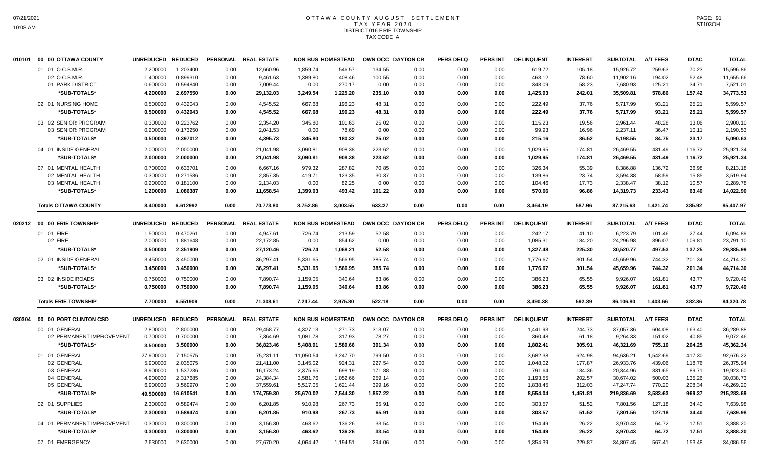# OTTAWA COUNTY AUGUST SETTLEMENT T A X Y E A R 2 0 2 0 DISTRICT 016 ERIE TOWNSHIP TAX CODE A

| 01 01 O.C.B.M.R.<br>2.200000<br>1.203400<br>0.00<br>12,660.96<br>1,859.74<br>546.57<br>134.55<br>0.00<br>0.00<br>0.00<br>619.72<br>105.18<br>15,926.72<br>259.63<br>70.23<br>0.899310<br>02 O.C.B.M.R<br>1.400000<br>1,389.80<br>408.46<br>100.55<br>0.00<br>0.00<br>0.00<br>463.12<br>78.60<br>11,902.16<br>194.02<br>52.48<br>0.00<br>9,461.63<br>01 PARK DISTRICT<br>0.600000<br>0.594840<br>125.21<br>34.71<br>0.00<br>7,009.44<br>0.00<br>270.17<br>0.00<br>0.00<br>0.00<br>0.00<br>343.09<br>58.23<br>7,680.93<br>2.697550<br>*SUB-TOTALS*<br>4.200000<br>29,132.03<br>3,249.54<br>1,225.20<br>235.10<br>0.00<br>0.00<br>1,425.93<br>242.01<br>35,509.81<br>578.86<br>157.42<br>0.00<br>0.00<br>0.432043<br>222.49<br>5,717.99<br>02 01 NURSING HOME<br>0.500000<br>4,545.52<br>667.68<br>196.23<br>48.31<br>0.00<br>0.00<br>0.00<br>37.76<br>93.21<br>25.21<br>0.00<br>*SUB-TOTALS*<br>0.500000<br>0.432043<br>0.00<br>4,545.52<br>667.68<br>196.23<br>48.31<br>0.00<br>0.00<br>0.00<br>222.49<br>37.76<br>5,717.99<br>93.21<br>25.21<br>0.223762<br>03 02 SENIOR PROGRAM<br>0.300000<br>0.00<br>2.354.20<br>345.80<br>101.63<br>25.02<br>0.00<br>0.00<br>0.00<br>115.23<br>19.56<br>2,961.44<br>48.28<br>13.06<br>03 SENIOR PROGRAM<br>0.200000<br>0.173250<br>0.00<br>2,041.53<br>0.00<br>78.69<br>0.00<br>0.00<br>0.00<br>0.00<br>99.93<br>16.96<br>2,237.11<br>36.47<br>10.11<br>0.397012<br>*SUB-TOTALS*<br>0.500000<br>0.00<br>4,395.73<br>345.80<br>180.32<br>25.02<br>0.00<br>0.00<br>0.00<br>215.16<br>36.52<br>5,198.55<br>84.75<br>23.17<br>04 01 INSIDE GENERAL<br>2.000000<br>2.000000<br>3,090.81<br>908.38<br>223.62<br>0.00<br>0.00<br>1,029.95<br>26,469.55<br>431.49<br>116.72<br>0.00<br>21,041.98<br>0.00<br>174.81<br>*SUB-TOTALS*<br>2.000000<br>2.000000<br>908.38<br>223.62<br>0.00<br>0.00<br>1,029.95<br>26,469.55<br>431.49<br>116.72<br>0.00<br>21,041.98<br>3,090.81<br>0.00<br>174.81<br>07 01 MENTAL HEALTH<br>0.700000<br>0.633701<br>6,667.16<br>979.32<br>287.82<br>70.85<br>0.00<br>326.34<br>8,386.88<br>36.98<br>0.00<br>0.00<br>0.00<br>55.39<br>136.72<br>02 MENTAL HEALTH<br>0.300000<br>0.271586<br>2,857.35<br>123.35<br>58.59<br>0.00<br>419.71<br>30.37<br>0.00<br>0.00<br>0.00<br>139.86<br>23.74<br>3,594.38<br>15.85<br>03 MENTAL HEALTH<br>0.200000<br>0.181100<br>0.00<br>2,134.03<br>0.00<br>82.25<br>0.00<br>0.00<br>0.00<br>0.00<br>104.46<br>17.73<br>2,338.47<br>38.12<br>10.57<br>1.086387<br>14,319.73<br>233.43<br>63.40<br>*SUB-TOTALS*<br>1.200000<br>11,658.54<br>1,399.03<br>493.42<br>101.22<br>0.00<br>0.00<br>0.00<br>570.66<br>96.86<br>0.00<br><b>Totals OTTAWA COUNTY</b><br>8.400000<br>6.612992<br>0.00<br>70,773.80<br>8,752.86<br>3,003.55<br>633.27<br>0.00<br>0.00<br>0.00<br>3,464.19<br>587.96<br>87,215.63<br>1,421.74<br>385.92 | 15,596.86    |
|---------------------------------------------------------------------------------------------------------------------------------------------------------------------------------------------------------------------------------------------------------------------------------------------------------------------------------------------------------------------------------------------------------------------------------------------------------------------------------------------------------------------------------------------------------------------------------------------------------------------------------------------------------------------------------------------------------------------------------------------------------------------------------------------------------------------------------------------------------------------------------------------------------------------------------------------------------------------------------------------------------------------------------------------------------------------------------------------------------------------------------------------------------------------------------------------------------------------------------------------------------------------------------------------------------------------------------------------------------------------------------------------------------------------------------------------------------------------------------------------------------------------------------------------------------------------------------------------------------------------------------------------------------------------------------------------------------------------------------------------------------------------------------------------------------------------------------------------------------------------------------------------------------------------------------------------------------------------------------------------------------------------------------------------------------------------------------------------------------------------------------------------------------------------------------------------------------------------------------------------------------------------------------------------------------------------------------------------------------------------------------------------------------------------------------------------------------------------------------------------------------------------------------------------------------------------------------------------------------------------------------------------------------------------------------------------------------------------------------------------------------------------------------------------------------------------|--------------|
|                                                                                                                                                                                                                                                                                                                                                                                                                                                                                                                                                                                                                                                                                                                                                                                                                                                                                                                                                                                                                                                                                                                                                                                                                                                                                                                                                                                                                                                                                                                                                                                                                                                                                                                                                                                                                                                                                                                                                                                                                                                                                                                                                                                                                                                                                                                                                                                                                                                                                                                                                                                                                                                                                                                                                                                                                     |              |
|                                                                                                                                                                                                                                                                                                                                                                                                                                                                                                                                                                                                                                                                                                                                                                                                                                                                                                                                                                                                                                                                                                                                                                                                                                                                                                                                                                                                                                                                                                                                                                                                                                                                                                                                                                                                                                                                                                                                                                                                                                                                                                                                                                                                                                                                                                                                                                                                                                                                                                                                                                                                                                                                                                                                                                                                                     | 11,655.66    |
|                                                                                                                                                                                                                                                                                                                                                                                                                                                                                                                                                                                                                                                                                                                                                                                                                                                                                                                                                                                                                                                                                                                                                                                                                                                                                                                                                                                                                                                                                                                                                                                                                                                                                                                                                                                                                                                                                                                                                                                                                                                                                                                                                                                                                                                                                                                                                                                                                                                                                                                                                                                                                                                                                                                                                                                                                     | 7,521.01     |
|                                                                                                                                                                                                                                                                                                                                                                                                                                                                                                                                                                                                                                                                                                                                                                                                                                                                                                                                                                                                                                                                                                                                                                                                                                                                                                                                                                                                                                                                                                                                                                                                                                                                                                                                                                                                                                                                                                                                                                                                                                                                                                                                                                                                                                                                                                                                                                                                                                                                                                                                                                                                                                                                                                                                                                                                                     | 34,773.53    |
|                                                                                                                                                                                                                                                                                                                                                                                                                                                                                                                                                                                                                                                                                                                                                                                                                                                                                                                                                                                                                                                                                                                                                                                                                                                                                                                                                                                                                                                                                                                                                                                                                                                                                                                                                                                                                                                                                                                                                                                                                                                                                                                                                                                                                                                                                                                                                                                                                                                                                                                                                                                                                                                                                                                                                                                                                     | 5,599.57     |
|                                                                                                                                                                                                                                                                                                                                                                                                                                                                                                                                                                                                                                                                                                                                                                                                                                                                                                                                                                                                                                                                                                                                                                                                                                                                                                                                                                                                                                                                                                                                                                                                                                                                                                                                                                                                                                                                                                                                                                                                                                                                                                                                                                                                                                                                                                                                                                                                                                                                                                                                                                                                                                                                                                                                                                                                                     | 5,599.57     |
|                                                                                                                                                                                                                                                                                                                                                                                                                                                                                                                                                                                                                                                                                                                                                                                                                                                                                                                                                                                                                                                                                                                                                                                                                                                                                                                                                                                                                                                                                                                                                                                                                                                                                                                                                                                                                                                                                                                                                                                                                                                                                                                                                                                                                                                                                                                                                                                                                                                                                                                                                                                                                                                                                                                                                                                                                     |              |
|                                                                                                                                                                                                                                                                                                                                                                                                                                                                                                                                                                                                                                                                                                                                                                                                                                                                                                                                                                                                                                                                                                                                                                                                                                                                                                                                                                                                                                                                                                                                                                                                                                                                                                                                                                                                                                                                                                                                                                                                                                                                                                                                                                                                                                                                                                                                                                                                                                                                                                                                                                                                                                                                                                                                                                                                                     | 2,900.10     |
|                                                                                                                                                                                                                                                                                                                                                                                                                                                                                                                                                                                                                                                                                                                                                                                                                                                                                                                                                                                                                                                                                                                                                                                                                                                                                                                                                                                                                                                                                                                                                                                                                                                                                                                                                                                                                                                                                                                                                                                                                                                                                                                                                                                                                                                                                                                                                                                                                                                                                                                                                                                                                                                                                                                                                                                                                     | 2,190.53     |
|                                                                                                                                                                                                                                                                                                                                                                                                                                                                                                                                                                                                                                                                                                                                                                                                                                                                                                                                                                                                                                                                                                                                                                                                                                                                                                                                                                                                                                                                                                                                                                                                                                                                                                                                                                                                                                                                                                                                                                                                                                                                                                                                                                                                                                                                                                                                                                                                                                                                                                                                                                                                                                                                                                                                                                                                                     | 5,090.63     |
|                                                                                                                                                                                                                                                                                                                                                                                                                                                                                                                                                                                                                                                                                                                                                                                                                                                                                                                                                                                                                                                                                                                                                                                                                                                                                                                                                                                                                                                                                                                                                                                                                                                                                                                                                                                                                                                                                                                                                                                                                                                                                                                                                                                                                                                                                                                                                                                                                                                                                                                                                                                                                                                                                                                                                                                                                     | 25,921.34    |
|                                                                                                                                                                                                                                                                                                                                                                                                                                                                                                                                                                                                                                                                                                                                                                                                                                                                                                                                                                                                                                                                                                                                                                                                                                                                                                                                                                                                                                                                                                                                                                                                                                                                                                                                                                                                                                                                                                                                                                                                                                                                                                                                                                                                                                                                                                                                                                                                                                                                                                                                                                                                                                                                                                                                                                                                                     | 25,921.34    |
|                                                                                                                                                                                                                                                                                                                                                                                                                                                                                                                                                                                                                                                                                                                                                                                                                                                                                                                                                                                                                                                                                                                                                                                                                                                                                                                                                                                                                                                                                                                                                                                                                                                                                                                                                                                                                                                                                                                                                                                                                                                                                                                                                                                                                                                                                                                                                                                                                                                                                                                                                                                                                                                                                                                                                                                                                     | 8,213.18     |
|                                                                                                                                                                                                                                                                                                                                                                                                                                                                                                                                                                                                                                                                                                                                                                                                                                                                                                                                                                                                                                                                                                                                                                                                                                                                                                                                                                                                                                                                                                                                                                                                                                                                                                                                                                                                                                                                                                                                                                                                                                                                                                                                                                                                                                                                                                                                                                                                                                                                                                                                                                                                                                                                                                                                                                                                                     | 3,519.94     |
|                                                                                                                                                                                                                                                                                                                                                                                                                                                                                                                                                                                                                                                                                                                                                                                                                                                                                                                                                                                                                                                                                                                                                                                                                                                                                                                                                                                                                                                                                                                                                                                                                                                                                                                                                                                                                                                                                                                                                                                                                                                                                                                                                                                                                                                                                                                                                                                                                                                                                                                                                                                                                                                                                                                                                                                                                     | 2,289.78     |
|                                                                                                                                                                                                                                                                                                                                                                                                                                                                                                                                                                                                                                                                                                                                                                                                                                                                                                                                                                                                                                                                                                                                                                                                                                                                                                                                                                                                                                                                                                                                                                                                                                                                                                                                                                                                                                                                                                                                                                                                                                                                                                                                                                                                                                                                                                                                                                                                                                                                                                                                                                                                                                                                                                                                                                                                                     | 14,022.90    |
|                                                                                                                                                                                                                                                                                                                                                                                                                                                                                                                                                                                                                                                                                                                                                                                                                                                                                                                                                                                                                                                                                                                                                                                                                                                                                                                                                                                                                                                                                                                                                                                                                                                                                                                                                                                                                                                                                                                                                                                                                                                                                                                                                                                                                                                                                                                                                                                                                                                                                                                                                                                                                                                                                                                                                                                                                     | 85,407.97    |
|                                                                                                                                                                                                                                                                                                                                                                                                                                                                                                                                                                                                                                                                                                                                                                                                                                                                                                                                                                                                                                                                                                                                                                                                                                                                                                                                                                                                                                                                                                                                                                                                                                                                                                                                                                                                                                                                                                                                                                                                                                                                                                                                                                                                                                                                                                                                                                                                                                                                                                                                                                                                                                                                                                                                                                                                                     |              |
| <b>NON BUS HOMESTEAD</b><br><b>PERS DELQ</b><br><b>DELINQUENT</b><br><b>A/T FEES</b><br><b>DTAC</b><br>020212 00 00 ERIE TOWNSHIP<br><b>UNREDUCED</b><br><b>REDUCED</b><br><b>PERSONAL</b><br><b>REAL ESTATE</b><br>OWN OCC DAYTON CR<br><b>PERS INT</b><br><b>INTEREST</b><br><b>SUBTOTAL</b>                                                                                                                                                                                                                                                                                                                                                                                                                                                                                                                                                                                                                                                                                                                                                                                                                                                                                                                                                                                                                                                                                                                                                                                                                                                                                                                                                                                                                                                                                                                                                                                                                                                                                                                                                                                                                                                                                                                                                                                                                                                                                                                                                                                                                                                                                                                                                                                                                                                                                                                      | <b>TOTAL</b> |
| 242.17<br>27.44<br>01 01 FIRE<br>1.500000<br>0.470261<br>0.00<br>4,947.61<br>726.74<br>213.59<br>52.58<br>0.00<br>0.00<br>0.00<br>41.10<br>6,223.79<br>101.46                                                                                                                                                                                                                                                                                                                                                                                                                                                                                                                                                                                                                                                                                                                                                                                                                                                                                                                                                                                                                                                                                                                                                                                                                                                                                                                                                                                                                                                                                                                                                                                                                                                                                                                                                                                                                                                                                                                                                                                                                                                                                                                                                                                                                                                                                                                                                                                                                                                                                                                                                                                                                                                       | 6,094.89     |
| 02 FIRE<br>2.000000<br>1.881648<br>0.00<br>22,172.85<br>0.00<br>854.62<br>0.00<br>0.00<br>0.00<br>0.00<br>1,085.31<br>184.20<br>24,296.98<br>396.07<br>109.81                                                                                                                                                                                                                                                                                                                                                                                                                                                                                                                                                                                                                                                                                                                                                                                                                                                                                                                                                                                                                                                                                                                                                                                                                                                                                                                                                                                                                                                                                                                                                                                                                                                                                                                                                                                                                                                                                                                                                                                                                                                                                                                                                                                                                                                                                                                                                                                                                                                                                                                                                                                                                                                       | 23,791.10    |
| 497.53<br>*SUB-TOTALS*<br>2.351909<br>726.74<br>52.58<br>1,327.48<br>225.30<br>30,520.77<br>137.25<br>3.500000<br>0.00<br>27,120.46<br>1,068.21<br>0.00<br>0.00<br>0.00                                                                                                                                                                                                                                                                                                                                                                                                                                                                                                                                                                                                                                                                                                                                                                                                                                                                                                                                                                                                                                                                                                                                                                                                                                                                                                                                                                                                                                                                                                                                                                                                                                                                                                                                                                                                                                                                                                                                                                                                                                                                                                                                                                                                                                                                                                                                                                                                                                                                                                                                                                                                                                             | 29,885.99    |
| 02 01 INSIDE GENERAL<br>3.450000<br>36,297.41<br>1,566.95<br>385.74<br>0.00<br>1,776.67<br>45,659.96<br>744.32<br>3.450000<br>0.00<br>5,331.65<br>0.00<br>0.00<br>301.54<br>201.34                                                                                                                                                                                                                                                                                                                                                                                                                                                                                                                                                                                                                                                                                                                                                                                                                                                                                                                                                                                                                                                                                                                                                                                                                                                                                                                                                                                                                                                                                                                                                                                                                                                                                                                                                                                                                                                                                                                                                                                                                                                                                                                                                                                                                                                                                                                                                                                                                                                                                                                                                                                                                                  | 44,714.30    |
| *SUB-TOTALS*<br>3.450000<br>3.450000<br>36,297.41<br>5,331.65<br>1,566.95<br>385.74<br>0.00<br>1,776.67<br>301.54<br>45,659.96<br>744.32<br>201.34<br>0.00<br>0.00<br>0.00                                                                                                                                                                                                                                                                                                                                                                                                                                                                                                                                                                                                                                                                                                                                                                                                                                                                                                                                                                                                                                                                                                                                                                                                                                                                                                                                                                                                                                                                                                                                                                                                                                                                                                                                                                                                                                                                                                                                                                                                                                                                                                                                                                                                                                                                                                                                                                                                                                                                                                                                                                                                                                          | 44,714.30    |
| 03 02 INSIDE ROADS<br>0.750000<br>0.750000<br>340.64<br>0.00<br>386.23<br>65.55<br>9,926.07<br>161.81<br>43.77<br>0.00<br>7,890.74<br>1,159.05<br>83.86<br>0.00<br>0.00                                                                                                                                                                                                                                                                                                                                                                                                                                                                                                                                                                                                                                                                                                                                                                                                                                                                                                                                                                                                                                                                                                                                                                                                                                                                                                                                                                                                                                                                                                                                                                                                                                                                                                                                                                                                                                                                                                                                                                                                                                                                                                                                                                                                                                                                                                                                                                                                                                                                                                                                                                                                                                             | 9,720.49     |
| 0.750000<br>0.750000<br>340.64<br>83.86<br>0.00<br>386.23<br>65.55<br>9,926.07<br>161.81<br>43.77<br>*SUB-TOTALS*<br>0.00<br>7,890.74<br>1,159.05<br>0.00<br>0.00                                                                                                                                                                                                                                                                                                                                                                                                                                                                                                                                                                                                                                                                                                                                                                                                                                                                                                                                                                                                                                                                                                                                                                                                                                                                                                                                                                                                                                                                                                                                                                                                                                                                                                                                                                                                                                                                                                                                                                                                                                                                                                                                                                                                                                                                                                                                                                                                                                                                                                                                                                                                                                                   | 9,720.49     |
| 2,975.80<br>7.700000<br>6.551909<br>71,308.61<br>7,217.44<br>522.18<br>3,490.38<br>592.39<br>86,106.80<br>1,403.66<br>382.36<br><b>Totals ERIE TOWNSHIP</b><br>0.00<br>0.00<br>0.00<br>0.00                                                                                                                                                                                                                                                                                                                                                                                                                                                                                                                                                                                                                                                                                                                                                                                                                                                                                                                                                                                                                                                                                                                                                                                                                                                                                                                                                                                                                                                                                                                                                                                                                                                                                                                                                                                                                                                                                                                                                                                                                                                                                                                                                                                                                                                                                                                                                                                                                                                                                                                                                                                                                         | 84,320.78    |
|                                                                                                                                                                                                                                                                                                                                                                                                                                                                                                                                                                                                                                                                                                                                                                                                                                                                                                                                                                                                                                                                                                                                                                                                                                                                                                                                                                                                                                                                                                                                                                                                                                                                                                                                                                                                                                                                                                                                                                                                                                                                                                                                                                                                                                                                                                                                                                                                                                                                                                                                                                                                                                                                                                                                                                                                                     |              |
| 00 00 PORT CLINTON CSD<br><b>UNREDUCED</b><br><b>REDUCED</b><br><b>PERSONAL</b><br><b>REAL ESTATE</b><br><b>NON BUS HOMESTEAD</b><br>OWN OCC DAYTON CR<br><b>PERS DELQ</b><br><b>PERS INT</b><br><b>DELINQUENT</b><br><b>INTEREST</b><br><b>SUBTOTAL</b><br><b>A/T FEES</b><br><b>DTAC</b><br>030304                                                                                                                                                                                                                                                                                                                                                                                                                                                                                                                                                                                                                                                                                                                                                                                                                                                                                                                                                                                                                                                                                                                                                                                                                                                                                                                                                                                                                                                                                                                                                                                                                                                                                                                                                                                                                                                                                                                                                                                                                                                                                                                                                                                                                                                                                                                                                                                                                                                                                                                | <b>TOTAL</b> |
| 163.40<br>00 01 GENERAL<br>2.800000<br>2.800000<br>0.00<br>29,458.77<br>4,327.13<br>1,271.73<br>313.07<br>0.00<br>0.00<br>0.00<br>1,441.93<br>244.73<br>37,057.36<br>604.08                                                                                                                                                                                                                                                                                                                                                                                                                                                                                                                                                                                                                                                                                                                                                                                                                                                                                                                                                                                                                                                                                                                                                                                                                                                                                                                                                                                                                                                                                                                                                                                                                                                                                                                                                                                                                                                                                                                                                                                                                                                                                                                                                                                                                                                                                                                                                                                                                                                                                                                                                                                                                                         | 36,289.88    |
| 02 PERMANENT IMPROVEMENT<br>0.700000<br>0.700000<br>1,081.78<br>317.93<br>78.27<br>0.00<br>0.00<br>360.48<br>61.18<br>9,264.33<br>151.02<br>40.85<br>0.00<br>7,364.69<br>0.00                                                                                                                                                                                                                                                                                                                                                                                                                                                                                                                                                                                                                                                                                                                                                                                                                                                                                                                                                                                                                                                                                                                                                                                                                                                                                                                                                                                                                                                                                                                                                                                                                                                                                                                                                                                                                                                                                                                                                                                                                                                                                                                                                                                                                                                                                                                                                                                                                                                                                                                                                                                                                                       | 9,072.46     |
| *SUB-TOTALS*<br>3.500000<br>3.500000<br>36,823.46<br>5,408.91<br>1,589.66<br>391.34<br>0.00<br>0.00<br>1,802.41<br>305.91<br>46,321.69<br>755.10<br>204.25<br>0.00<br>0.00                                                                                                                                                                                                                                                                                                                                                                                                                                                                                                                                                                                                                                                                                                                                                                                                                                                                                                                                                                                                                                                                                                                                                                                                                                                                                                                                                                                                                                                                                                                                                                                                                                                                                                                                                                                                                                                                                                                                                                                                                                                                                                                                                                                                                                                                                                                                                                                                                                                                                                                                                                                                                                          | 45,362.34    |
| 01 01 GENERAL<br>27.900000<br>7.150575<br>75,231.11<br>11,050.54<br>3,247.70<br>799.50<br>0.00<br>0.00<br>0.00<br>3,682.38<br>624.98<br>94,636.21<br>1,542.69<br>417.30<br>0.00                                                                                                                                                                                                                                                                                                                                                                                                                                                                                                                                                                                                                                                                                                                                                                                                                                                                                                                                                                                                                                                                                                                                                                                                                                                                                                                                                                                                                                                                                                                                                                                                                                                                                                                                                                                                                                                                                                                                                                                                                                                                                                                                                                                                                                                                                                                                                                                                                                                                                                                                                                                                                                     | 92,676.22    |
| 2.035075<br>02 GENERAL<br>5.900000<br>3,145.02<br>924.31<br>227.54<br>0.00<br>0.00<br>1,048.02<br>177.87<br>26,933.76<br>439.06<br>118.76<br>0.00<br>21,411.00<br>0.00                                                                                                                                                                                                                                                                                                                                                                                                                                                                                                                                                                                                                                                                                                                                                                                                                                                                                                                                                                                                                                                                                                                                                                                                                                                                                                                                                                                                                                                                                                                                                                                                                                                                                                                                                                                                                                                                                                                                                                                                                                                                                                                                                                                                                                                                                                                                                                                                                                                                                                                                                                                                                                              | 26,375.94    |
| 03 GENERAL<br>1.537236<br>20,344.96<br>331.65<br>89.71<br>3.900000<br>0.00<br>16,173.24<br>2,375.65<br>698.19<br>171.88<br>0.00<br>0.00<br>0.00<br>791.64<br>134.36                                                                                                                                                                                                                                                                                                                                                                                                                                                                                                                                                                                                                                                                                                                                                                                                                                                                                                                                                                                                                                                                                                                                                                                                                                                                                                                                                                                                                                                                                                                                                                                                                                                                                                                                                                                                                                                                                                                                                                                                                                                                                                                                                                                                                                                                                                                                                                                                                                                                                                                                                                                                                                                 | 19,923.60    |
| 04 GENERAL<br>4.900000<br>2.317685<br>24,384.34<br>1,052.66<br>259.14<br>0.00<br>0.00<br>1,193.55<br>202.57<br>30,674.02<br>500.03<br>135.26<br>0.00<br>3,581.76<br>0.00                                                                                                                                                                                                                                                                                                                                                                                                                                                                                                                                                                                                                                                                                                                                                                                                                                                                                                                                                                                                                                                                                                                                                                                                                                                                                                                                                                                                                                                                                                                                                                                                                                                                                                                                                                                                                                                                                                                                                                                                                                                                                                                                                                                                                                                                                                                                                                                                                                                                                                                                                                                                                                            | 30,038.73    |
| 47,247.74<br>770.20<br>05 GENERAL<br>6.900000<br>3.569970<br>37,559.61<br>5,517.05<br>1,621.44<br>399.16<br>0.00<br>0.00<br>1,838.45<br>312.03<br>208.34<br>0.00<br>0.00                                                                                                                                                                                                                                                                                                                                                                                                                                                                                                                                                                                                                                                                                                                                                                                                                                                                                                                                                                                                                                                                                                                                                                                                                                                                                                                                                                                                                                                                                                                                                                                                                                                                                                                                                                                                                                                                                                                                                                                                                                                                                                                                                                                                                                                                                                                                                                                                                                                                                                                                                                                                                                            | 46,269.20    |
| *SUB-TOTALS*<br>49.500000<br>16.610541<br>174,759.30<br>25,670.02<br>7,544.30<br>1,857.22<br>0.00<br>0.00<br>8,554.04<br>1,451.81<br>219,836.69<br>3,583.63<br>969.37<br>0.00<br>0.00                                                                                                                                                                                                                                                                                                                                                                                                                                                                                                                                                                                                                                                                                                                                                                                                                                                                                                                                                                                                                                                                                                                                                                                                                                                                                                                                                                                                                                                                                                                                                                                                                                                                                                                                                                                                                                                                                                                                                                                                                                                                                                                                                                                                                                                                                                                                                                                                                                                                                                                                                                                                                               |              |
| 02 01 SUPPLIES<br>2.300000<br>0.589474<br>6,201.85<br>267.73<br>65.91<br>0.00<br>303.57<br>51.52<br>7,801.56<br>127.18<br>34.40<br>0.00<br>910.98<br>0.00<br>0.00                                                                                                                                                                                                                                                                                                                                                                                                                                                                                                                                                                                                                                                                                                                                                                                                                                                                                                                                                                                                                                                                                                                                                                                                                                                                                                                                                                                                                                                                                                                                                                                                                                                                                                                                                                                                                                                                                                                                                                                                                                                                                                                                                                                                                                                                                                                                                                                                                                                                                                                                                                                                                                                   | 215,283.69   |
| 2.300000<br>0.589474<br>267.73<br>65.91<br>303.57<br>51.52<br>127.18<br>*SUB-TOTALS*<br>0.00<br>6,201.85<br>910.98<br>0.00<br>0.00<br>0.00<br>7,801.56<br>34.40                                                                                                                                                                                                                                                                                                                                                                                                                                                                                                                                                                                                                                                                                                                                                                                                                                                                                                                                                                                                                                                                                                                                                                                                                                                                                                                                                                                                                                                                                                                                                                                                                                                                                                                                                                                                                                                                                                                                                                                                                                                                                                                                                                                                                                                                                                                                                                                                                                                                                                                                                                                                                                                     | 7,639.98     |
| 04 01 PERMANENT IMPROVEMENT<br>0.300000<br>33.54<br>3,970.43<br>64.72<br>17.51<br>0.300000<br>0.00<br>3,156.30<br>463.62<br>136.26<br>0.00<br>0.00<br>0.00<br>154.49<br>26.22                                                                                                                                                                                                                                                                                                                                                                                                                                                                                                                                                                                                                                                                                                                                                                                                                                                                                                                                                                                                                                                                                                                                                                                                                                                                                                                                                                                                                                                                                                                                                                                                                                                                                                                                                                                                                                                                                                                                                                                                                                                                                                                                                                                                                                                                                                                                                                                                                                                                                                                                                                                                                                       | 7,639.98     |
| 0.300000<br>136.26<br>33.54<br>64.72<br>17.51<br>*SUB-TOTALS*<br>0.300000<br>0.00<br>3,156.30<br>463.62<br>0.00<br>0.00<br>0.00<br>154.49<br>26.22<br>3,970.43                                                                                                                                                                                                                                                                                                                                                                                                                                                                                                                                                                                                                                                                                                                                                                                                                                                                                                                                                                                                                                                                                                                                                                                                                                                                                                                                                                                                                                                                                                                                                                                                                                                                                                                                                                                                                                                                                                                                                                                                                                                                                                                                                                                                                                                                                                                                                                                                                                                                                                                                                                                                                                                      | 3,888.20     |
| 2.630000<br>567.41<br>07 01 EMERGENCY<br>2.630000<br>0.00<br>27,670.20<br>4,064.42<br>1,194.51<br>294.06<br>0.00<br>0.00<br>0.00<br>1,354.39<br>229.87<br>34,807.45<br>153.48                                                                                                                                                                                                                                                                                                                                                                                                                                                                                                                                                                                                                                                                                                                                                                                                                                                                                                                                                                                                                                                                                                                                                                                                                                                                                                                                                                                                                                                                                                                                                                                                                                                                                                                                                                                                                                                                                                                                                                                                                                                                                                                                                                                                                                                                                                                                                                                                                                                                                                                                                                                                                                       | 3,888.20     |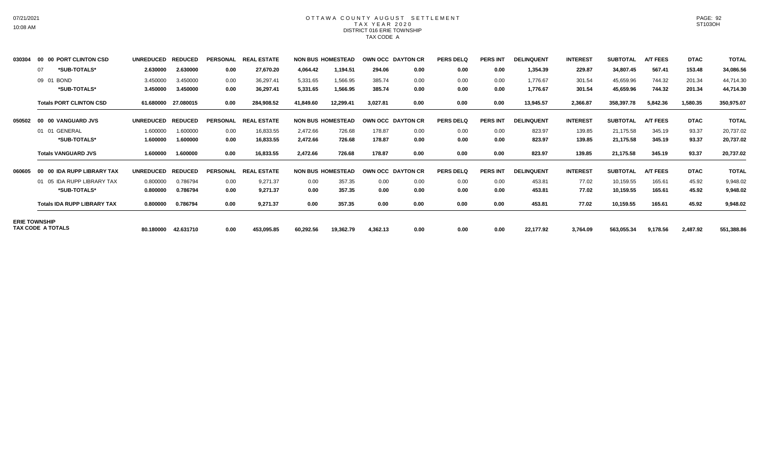#### OTTAWA COUNTY AUGUST SETTLEMENT T A X Y E A R 2 0 2 0 DISTRICT 016 ERIE TOWNSHIP TAX CODE A

| 030304 | 00 00 PORT CLINTON CSD             | <b>UNREDUCED</b> | <b>REDUCED</b> | <b>PERSONAL</b> | <b>REAL</b><br>L ESTATE |           | <b>NON BUS HOMESTEAD</b> |          | OWN OCC DAYTON CR | <b>PERS DELQ</b> | <b>PERS INT</b> | <b>DELINQUENT</b> | <b>INTEREST</b> | <b>SUBTOTAL</b> | <b>A/T FEES</b> | <b>DTAC</b> | <b>TOTAL</b> |
|--------|------------------------------------|------------------|----------------|-----------------|-------------------------|-----------|--------------------------|----------|-------------------|------------------|-----------------|-------------------|-----------------|-----------------|-----------------|-------------|--------------|
|        | *SUB-TOTALS*<br>07                 | 2.630000         | 2.630000       | 0.00            | 27,670.20               | 4,064.42  | 1,194.51                 | 294.06   | 0.00              | 0.00             | 0.00            | 1,354.39          | 229.87          | 34,807.45       | 567.41          | 153.48      | 34,086.56    |
|        | 09 01 BOND                         | 3.450000         | 3.450000       | 0.00            | 36,297.41               | 5,331.65  | 1,566.95                 | 385.74   | 0.00              | 0.00             | 0.00            | 1,776.67          | 301.54          | 45,659.96       | 744.32          | 201.34      | 44,714.30    |
|        | *SUB-TOTALS*                       | 3.450000         | 3.450000       | 0.00            | 36,297.41               | 5,331.65  | 1,566.95                 | 385.74   | 0.00              | 0.00             | 0.00            | 1,776.67          | 301.54          | 45,659.96       | 744.32          | 201.34      | 44,714.30    |
|        | <b>Totals PORT CLINTON CSD</b>     | 61.680000        | 27.080015      | 0.00            | 284,908.52              | 41,849.60 | 12,299.41                | 3,027.81 | 0.00              | 0.00             | 0.00            | 13,945.57         | 2,366.87        | 358,397.78      | 5,842.36        | 1,580.35    | 350,975.07   |
| 050502 | 00 00 VANGUARD JVS                 | <b>UNREDUCED</b> | <b>REDUCED</b> | <b>PERSONAL</b> | L ESTATE<br><b>REAL</b> |           | <b>NON BUS HOMESTEAD</b> |          | OWN OCC DAYTON CR | <b>PERS DELQ</b> | <b>PERS INT</b> | <b>DELINQUENT</b> | <b>INTEREST</b> | <b>SUBTOTAL</b> | <b>A/T FEES</b> | <b>DTAC</b> | <b>TOTAL</b> |
|        | 01 01 GENERAL                      | 1.600000         | 1.600000       | 0.00            | 16,833.55               | 2,472.66  | 726.68                   | 178.87   | 0.00              | 0.00             | 0.00            | 823.97            | 139.85          | 21,175.58       | 345.19          | 93.37       | 20,737.02    |
|        | *SUB-TOTALS*                       | 1.600000         | 1.600000       | 0.00            | 16,833.55               | 2,472.66  | 726.68                   | 178.87   | 0.00              | 0.00             | 0.00            | 823.97            | 139.85          | 21,175.58       | 345.19          | 93.37       | 20,737.02    |
|        | <b>Totals VANGUARD JVS</b>         | 1.600000         | 1.600000       | 0.00            | 16,833.55               | 2,472.66  | 726.68                   | 178.87   | 0.00              | 0.00             | 0.00            | 823.97            | 139.85          | 21,175.58       | 345.19          | 93.37       | 20,737.02    |
| 060605 | 00 00 IDA RUPP LIBRARY TAX         | <b>UNREDUCED</b> | <b>REDUCED</b> | <b>PERSONAL</b> | <b>REA</b><br>. ESTATE  |           | <b>NON BUS HOMESTEAD</b> |          | OWN OCC DAYTON CR | <b>PERS DELQ</b> | <b>PERS INT</b> | <b>DELINQUENT</b> | <b>INTEREST</b> | <b>SUBTOTAL</b> | <b>A/T FEES</b> | <b>DTAC</b> | <b>TOTAL</b> |
|        | 01 05 IDA RUPP LIBRARY TAX         | 0.800000         | 0.786794       | 0.00            | 9,271.37                | 0.00      | 357.35                   | 0.00     | 0.00              | 0.00             | 0.00            | 453.81            | 77.02           | 10,159.55       | 165.61          | 45.92       | 9,948.02     |
|        | *SUB-TOTALS*                       | 0.800000         | 0.786794       | 0.00            | 9,271.37                | 0.00      | 357.35                   | 0.00     | 0.00              | 0.00             | 0.00            | 453.81            | 77.02           | 10,159.55       | 165.61          | 45.92       | 9,948.02     |
|        | <b>Totals IDA RUPP LIBRARY TAX</b> | 0.800000         | 0.786794       | 0.00            | 9,271.37                | 0.00      | 357.35                   | 0.00     | 0.00              | 0.00             | 0.00            | 453.81            | 77.02           | 10,159.55       | 165.61          | 45.92       | 9,948.02     |
|        | <b>ERIE TOWNSHIP</b>               |                  |                |                 |                         |           |                          |          |                   |                  |                 |                   |                 |                 |                 |             |              |
|        | TAX CODE A TOTALS                  | 80.180000        | 42.631710      | 0.00            | 453,095.85              | 60,292.56 | 19,362.79                | 4,362.13 | 0.00              | 0.00             | 0.00            | 22,177.92         | 3,764.09        | 563,055.34      | 9,178.56        | 2,487.92    | 551,388.86   |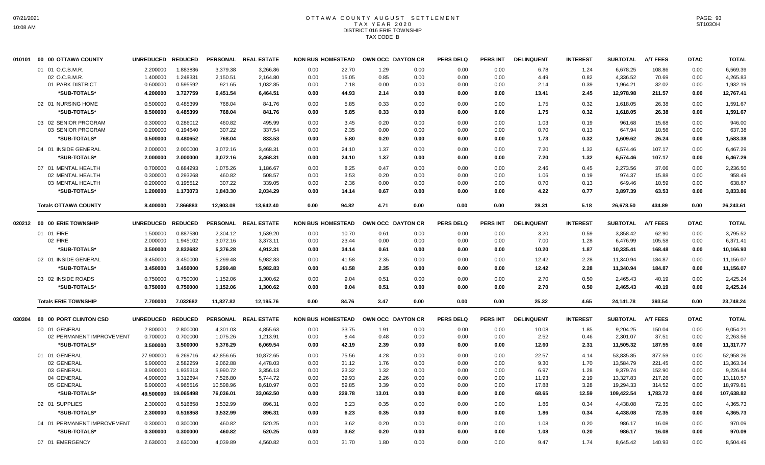# OTTAWA COUNTY AUGUST SETTLEMENT T A X Y E A R 2 0 2 0 DISTRICT 016 ERIE TOWNSHIP TAX CODE B

| 010101 | 00 00 OTTAWA COUNTY                       | <b>UNREDUCED</b> | <b>REDUCED</b> |                 | PERSONAL REAL ESTATE | <b>NON BUS HOMESTEAD</b> |               |       | OWN OCC DAYTON CR | <b>PERS DELQ</b> | <b>PERS INT</b> | <b>DELINQUENT</b> | <b>INTEREST</b> | <b>SUBTOTAL</b> | <b>A/T FEES</b> | <b>DTAC</b> | <b>TOTAL</b> |
|--------|-------------------------------------------|------------------|----------------|-----------------|----------------------|--------------------------|---------------|-------|-------------------|------------------|-----------------|-------------------|-----------------|-----------------|-----------------|-------------|--------------|
|        | 01 01 O.C.B.M.R.                          | 2.200000         | 1.883836       | 3,379.38        | 3,266.86             | 0.00                     | 22.70         | 1.29  | 0.00              | 0.00             | 0.00            | 6.78              | 1.24            | 6,678.25        | 108.86          | 0.00        | 6,569.39     |
|        | 02 O.C.B.M.R.                             | 1.400000         | 1.248331       | 2,150.51        | 2,164.80             | 0.00                     | 15.05         | 0.85  | 0.00              | 0.00             | 0.00            | 4.49              | 0.82            | 4,336.52        | 70.69           | 0.00        | 4,265.83     |
|        | 01 PARK DISTRICT                          | 0.600000         | 0.595592       | 921.65          | 1,032.85             | 0.00                     | 7.18          | 0.00  | 0.00              | 0.00             | 0.00            | 2.14              | 0.39            | 1,964.21        | 32.02           | 0.00        | 1,932.19     |
|        | *SUB-TOTALS*                              | 4.200000         | 3.727759       | 6,451.54        | 6,464.51             | 0.00                     | 44.93         | 2.14  | 0.00              | 0.00             | 0.00            | 13.41             | 2.45            | 12,978.98       | 211.57          | 0.00        | 12,767.41    |
|        | 02 01 NURSING HOME                        | 0.500000         | 0.485399       | 768.04          | 841.76               | 0.00                     | 5.85          | 0.33  | 0.00              | 0.00             | 0.00            | 1.75              | 0.32            | 1,618.05        | 26.38           | 0.00        | 1,591.67     |
|        | *SUB-TOTALS*                              | 0.500000         | 0.485399       | 768.04          | 841.76               | 0.00                     | 5.85          | 0.33  | 0.00              | 0.00             | 0.00            | 1.75              | 0.32            | 1,618.05        | 26.38           | 0.00        | 1,591.67     |
|        | 03 02 SENIOR PROGRAM                      | 0.300000         | 0.286012       | 460.82          | 495.99               | 0.00                     | 3.45          | 0.20  | 0.00              | 0.00             | 0.00            | 1.03              | 0.19            | 961.68          | 15.68           | 0.00        | 946.00       |
|        | 03 SENIOR PROGRAM                         | 0.200000         | 0.194640       | 307.22          | 337.54               | 0.00                     | 2.35          | 0.00  | 0.00              | 0.00             | 0.00            | 0.70              | 0.13            | 647.94          | 10.56           | 0.00        | 637.38       |
|        | *SUB-TOTALS*                              | 0.500000         | 0.480652       | 768.04          | 833.53               | 0.00                     | 5.80          | 0.20  | 0.00              | 0.00             | 0.00            | 1.73              | 0.32            | 1,609.62        | 26.24           | 0.00        | 1,583.38     |
|        | 04 01 INSIDE GENERAL                      | 2.000000         | 2.000000       | 3,072.16        | 3,468.31             | 0.00                     | 24.10         | 1.37  | 0.00              | 0.00             | 0.00            | 7.20              | 1.32            | 6.574.46        | 107.17          | 0.00        | 6,467.29     |
|        | *SUB-TOTALS*                              | 2.000000         | 2.000000       | 3,072.16        | 3,468.31             | 0.00                     | 24.10         | 1.37  | 0.00              | 0.00             | 0.00            | 7.20              | 1.32            | 6,574.46        | 107.17          | 0.00        | 6,467.29     |
|        | 07 01 MENTAL HEALTH                       | 0.700000         | 0.684293       | 1,075.26        | 1,186.67             | 0.00                     | 8.25          | 0.47  | 0.00              | 0.00             | 0.00            | 2.46              | 0.45            | 2,273.56        | 37.06           | 0.00        | 2,236.50     |
|        | 02 MENTAL HEALTH                          | 0.300000         | 0.293268       | 460.82          | 508.57               | 0.00                     | 3.53          | 0.20  | 0.00              | 0.00             | 0.00            | 1.06              | 0.19            | 974.37          | 15.88           | 0.00        | 958.49       |
|        | 03 MENTAL HEALTH                          | 0.200000         | 0.195512       | 307.22          | 339.05               | 0.00                     | 2.36          | 0.00  | 0.00              | 0.00             | 0.00            | 0.70              | 0.13            | 649.46          | 10.59           | 0.00        | 638.87       |
|        | *SUB-TOTALS*                              | 1.200000         | 1.173073       | 1,843.30        | 2,034.29             | 0.00                     | 14.14         | 0.67  | 0.00              | 0.00             | 0.00            | 4.22              | 0.77            | 3,897.39        | 63.53           | 0.00        | 3,833.86     |
|        | <b>Totals OTTAWA COUNTY</b>               | 8.400000         | 7.866883       | 12,903.08       | 13,642.40            | 0.00                     | 94.82         | 4.71  | 0.00              | 0.00             | 0.00            | 28.31             | 5.18            | 26,678.50       | 434.89          | 0.00        | 26,243.61    |
|        | 020212 00 00 ERIE TOWNSHIP                | <b>UNREDUCED</b> | <b>REDUCED</b> | <b>PERSONAL</b> | <b>REAL ESTATE</b>   | <b>NON BUS HOMESTEAD</b> |               |       | OWN OCC DAYTON CR | <b>PERS DELQ</b> | <b>PERS INT</b> | <b>DELINQUENT</b> | <b>INTEREST</b> | <b>SUBTOTAL</b> | <b>A/T FEES</b> | <b>DTAC</b> | <b>TOTAL</b> |
|        | 01 01 FIRE                                | 1.500000         | 0.887580       | 2,304.12        | 1,539.20             | 0.00                     | 10.70         | 0.61  | 0.00              | 0.00             | 0.00            | 3.20              | 0.59            | 3,858.42        | 62.90           | 0.00        | 3,795.52     |
|        | 02 FIRE                                   | 2.000000         | 1.945102       | 3,072.16        | 3,373.11             | 0.00                     | 23.44         | 0.00  | 0.00              | 0.00             | 0.00            | 7.00              | 1.28            | 6,476.99        | 105.58          | 0.00        | 6,371.41     |
|        | *SUB-TOTALS*                              | 3.500000         | 2.832682       | 5,376.28        | 4,912.31             | 0.00                     | 34.14         | 0.61  | 0.00              | 0.00             | 0.00            | 10.20             | 1.87            | 10,335.41       | 168.48          | 0.00        | 10,166.93    |
|        | 02 01 INSIDE GENERAL                      | 3.450000         | 3.450000       | 5,299.48        | 5,982.83             | 0.00                     | 41.58         | 2.35  | 0.00              | 0.00             | 0.00            | 12.42             | 2.28            | 11,340.94       | 184.87          | 0.00        | 11,156.07    |
|        | *SUB-TOTALS*                              | 3.450000         | 3.450000       | 5,299.48        | 5,982.83             | 0.00                     | 41.58         | 2.35  | 0.00              | 0.00             | 0.00            | 12.42             | 2.28            | 11,340.94       | 184.87          | 0.00        | 11,156.07    |
|        | 03 02 INSIDE ROADS                        | 0.750000         | 0.750000       | 1,152.06        | 1,300.62             | 0.00                     | 9.04          | 0.51  | 0.00              | 0.00             | 0.00            | 2.70              | 0.50            | 2.465.43        | 40.19           | 0.00        | 2,425.24     |
|        | *SUB-TOTALS*                              | 0.750000         | 0.750000       | 1,152.06        | 1,300.62             | 0.00                     | 9.04          | 0.51  | 0.00              | 0.00             | 0.00            | 2.70              | 0.50            | 2,465.43        | 40.19           | 0.00        | 2,425.24     |
|        | <b>Totals ERIE TOWNSHIP</b>               | 7.700000         | 7.032682       | 11,827.82       | 12,195.76            | 0.00                     | 84.76         | 3.47  | 0.00              | 0.00             | 0.00            | 25.32             | 4.65            | 24,141.78       | 393.54          | 0.00        | 23,748.24    |
| 030304 | 00 00 PORT CLINTON CSD                    | <b>UNREDUCED</b> | <b>REDUCED</b> |                 | PERSONAL REAL ESTATE | <b>NON BUS HOMESTEAD</b> |               |       | OWN OCC DAYTON CR | <b>PERS DELQ</b> | <b>PERS INT</b> | <b>DELINQUENT</b> | <b>INTEREST</b> | <b>SUBTOTAL</b> | <b>A/T FEES</b> | <b>DTAC</b> | <b>TOTAL</b> |
|        |                                           |                  |                |                 |                      |                          |               |       |                   |                  |                 |                   |                 |                 |                 |             |              |
|        | 00 01 GENERAL<br>02 PERMANENT IMPROVEMENT | 2.800000         | 2.800000       | 4,301.03        | 4,855.63             | 0.00                     | 33.75<br>8.44 | 1.91  | 0.00              | 0.00             | 0.00            | 10.08             | 1.85            | 9,204.25        | 150.04<br>37.51 | 0.00        | 9,054.21     |
|        |                                           | 0.700000         | 0.700000       | 1,075.26        | 1,213.91             | 0.00                     |               | 0.48  | 0.00              | 0.00             | 0.00            | 2.52              | 0.46            | 2,301.07        |                 | 0.00        | 2,263.56     |
|        | *SUB-TOTALS*                              | 3.500000         | 3.500000       | 5,376.29        | 6,069.54             | 0.00                     | 42.19         | 2.39  | 0.00              | 0.00             | 0.00            | 12.60             | 2.31            | 11,505.32       | 187.55          | 0.00        | 11,317.77    |
|        | 01 01 GENERAL                             | 27.900000        | 6.269716       | 42,856.65       | 10,872.65            | 0.00                     | 75.56         | 4.28  | 0.00              | 0.00             | 0.00            | 22.57             | 4.14            | 53,835.85       | 877.59          | 0.00        | 52,958.26    |
|        | 02 GENERAL                                | 5.900000         | 2.582259       | 9,062.88        | 4,478.03             | 0.00                     | 31.12         | 1.76  | 0.00              | 0.00             | 0.00            | 9.30              | 1.70            | 13,584.79       | 221.45          | 0.00        | 13,363.34    |
|        | 03 GENERAL                                | 3.900000         | 1.935313       | 5,990.72        | 3,356.13             | 0.00                     | 23.32         | 1.32  | 0.00              | 0.00             | 0.00            | 6.97              | 1.28            | 9,379.74        | 152.90          | 0.00        | 9,226.84     |
|        | 04 GENERAL                                | 4.900000         | 3.312694       | 7,526.80        | 5,744.72             | 0.00                     | 39.93         | 2.26  | 0.00              | 0.00             | 0.00            | 11.93             | 2.19            | 13,327.83       | 217.26          | 0.00        | 13,110.57    |
|        | 05 GENERAL                                | 6.900000         | 4.965516       | 10,598.96       | 8,610.97             | 0.00                     | 59.85         | 3.39  | 0.00              | 0.00             | 0.00            | 17.88             | 3.28            | 19,294.33       | 314.52          | 0.00        | 18,979.81    |
|        | *SUB-TOTALS*                              | 49.500000        | 19.065498      | 76,036.01       | 33,062.50            | 0.00                     | 229.78        | 13.01 | 0.00              | 0.00             | 0.00            | 68.65             | 12.59           | 109,422.54      | 1,783.72        | 0.00        | 107,638.82   |
|        | 02 01 SUPPLIES                            | 2.300000         | 0.516858       | 3,532.99        | 896.31               | 0.00                     | 6.23          | 0.35  | 0.00              | 0.00             | 0.00            | 1.86              | 0.34            | 4,438.08        | 72.35           | 0.00        | 4,365.73     |
|        | *SUB-TOTALS*                              | 2.300000         | 0.516858       | 3,532.99        | 896.31               | 0.00                     | 6.23          | 0.35  | 0.00              | 0.00             | 0.00            | 1.86              | 0.34            | 4,438.08        | 72.35           | 0.00        | 4.365.73     |
|        | 04 01 PERMANENT IMPROVEMENT               | 0.300000         | 0.300000       | 460.82          | 520.25               | 0.00                     | 3.62          | 0.20  | 0.00              | 0.00             | 0.00            | 1.08              | 0.20            | 986.17          | 16.08           | 0.00        | 970.09       |
|        | *SUB-TOTALS*                              | 0.300000         | 0.300000       | 460.82          | 520.25               | 0.00                     | 3.62          | 0.20  | 0.00              | 0.00             | 0.00            | 1.08              | 0.20            | 986.17          | 16.08           | 0.00        | 970.09       |
|        | 07 01 EMERGENCY                           | 2.630000         | 2.630000       | 4,039.89        | 4,560.82             | 0.00                     | 31.70         | 1.80  | 0.00              | 0.00             | 0.00            | 9.47              | 1.74            | 8,645.42        | 140.93          | 0.00        | 8,504.49     |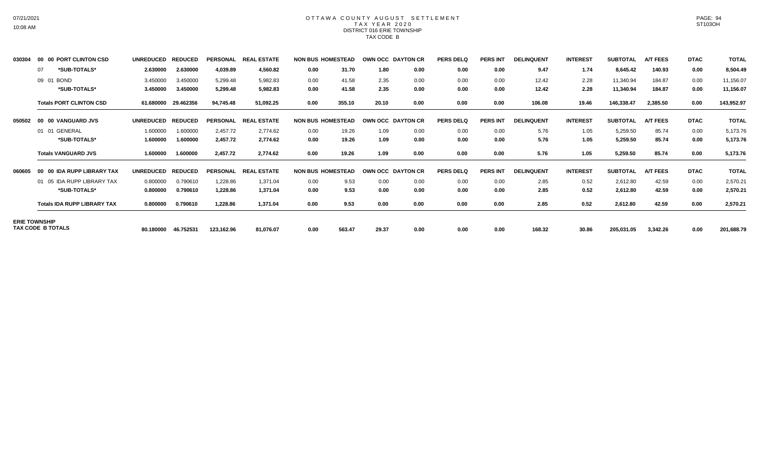#### OTTAWA COUNTY AUGUST SETTLEMENT T A X Y E A R 2 0 2 0 DISTRICT 016 ERIE TOWNSHIP TAX CODE B

| 030304 | 00 00 PORT CLINTON CSD             | <b>UNREDUCED</b> | <b>REDUCED</b> | <b>PERSONAL</b> | . ESTATE<br><b>REA</b>      |      | <b>NON BUS HOMESTEAD</b> |       | OWN OCC DAYTON CR | <b>PERS DELQ</b> | <b>PERS INT</b> | <b>DELINQUENT</b> | <b>INTEREST</b> | <b>SUBTOTAL</b> | <b>A/T FEES</b> | <b>DTAC</b> | <b>TOTAL</b> |
|--------|------------------------------------|------------------|----------------|-----------------|-----------------------------|------|--------------------------|-------|-------------------|------------------|-----------------|-------------------|-----------------|-----------------|-----------------|-------------|--------------|
|        | *SUB-TOTALS*<br>07                 | 2.630000         | 2.630000       | 4,039.89        | 4,560.82                    | 0.00 | 31.70                    | 1.80  | 0.00              | 0.00             | 0.00            | 9.47              | 1.74            | 8,645.42        | 140.93          | 0.00        | 8,504.49     |
|        | 09 01 BOND                         | 3.450000         | 3.450000       | 5,299.48        | 5,982.83                    | 0.00 | 41.58                    | 2.35  | 0.00              | 0.00             | 0.00            | 12.42             | 2.28            | 11,340.94       | 184.87          | 0.00        | 11,156.07    |
|        | *SUB-TOTALS*                       | 3.450000         | 3.450000       | 5,299.48        | 5,982.83                    | 0.00 | 41.58                    | 2.35  | 0.00              | 0.00             | 0.00            | 12.42             | 2.28            | 11,340.94       | 184.87          | 0.00        | 11,156.07    |
|        | <b>Totals PORT CLINTON CSD</b>     | 61.680000        | 29.462356      | 94,745.48       | 51,092.25                   | 0.00 | 355.10                   | 20.10 | 0.00              | 0.00             | 0.00            | 106.08            | 19.46           | 146,338.47      | 2,385.50        | 0.00        | 143,952.97   |
| 050502 | 00 00 VANGUARD JVS                 | <b>UNREDUCED</b> | <b>REDUCED</b> | <b>PERSONAL</b> | <b>REA</b><br>. ESTATE      |      | <b>NON BUS HOMESTEAD</b> |       | OWN OCC DAYTON CR | <b>PERS DELQ</b> | <b>PERS INT</b> | <b>DELINQUENT</b> | <b>INTEREST</b> | <b>SUBTOTAL</b> | <b>A/T FEES</b> | <b>DTAC</b> | <b>TOTAL</b> |
|        | 01 01 GENERAL                      | 1.600000         | 1.600000       | 2,457.72        | 2,774.62                    | 0.00 | 19.26                    | 1.09  | 0.00              | 0.00             | 0.00            | 5.76              | 1.05            | 5,259.50        | 85.74           | 0.00        | 5,173.76     |
|        | *SUB-TOTALS*                       | 1.600000         | 1.600000       | 2,457.72        | 2,774.62                    | 0.00 | 19.26                    | 1.09  | 0.00              | 0.00             | 0.00            | 5.76              | 1.05            | 5,259.50        | 85.74           | 0.00        | 5,173.76     |
|        | <b>Totals VANGUARD JVS</b>         | 1.600000         | 1.600000       | 2,457.72        | 2,774.62                    | 0.00 | 19.26                    | 1.09  | 0.00              | 0.00             | 0.00            | 5.76              | 1.05            | 5,259.50        | 85.74           | 0.00        | 5,173.76     |
| 060605 | 00 00 IDA RUPP LIBRARY TAX         | <b>UNREDUCED</b> | <b>REDUCED</b> | <b>PERSONAL</b> | <b>ESTATE</b><br><b>REA</b> |      | <b>NON BUS HOMESTEAD</b> |       | OWN OCC DAYTON CR | <b>PERS DELQ</b> | <b>PERS INT</b> | <b>DELINQUENT</b> | <b>INTEREST</b> | <b>SUBTOTAL</b> | <b>A/T FEES</b> | <b>DTAC</b> | <b>TOTAL</b> |
|        | 01 05 IDA RUPP LIBRARY TAX         | 0.800000         | 0.790610       | 1,228.86        | 1,371.04                    | 0.00 | 9.53                     | 0.00  | 0.00              | 0.00             | 0.00            | 2.85              | 0.52            | 2,612.80        | 42.59           | 0.00        | 2,570.21     |
|        | *SUB-TOTALS*                       | 0.800000         | 0.790610       | 1,228.86        | 1,371.04                    | 0.00 | 9.53                     | 0.00  | 0.00              | 0.00             | 0.00            | 2.85              | 0.52            | 2,612.80        | 42.59           | 0.00        | 2,570.21     |
|        | <b>Totals IDA RUPP LIBRARY TAX</b> | 0.800000         | 0.790610       | 1,228.86        | 1,371.04                    | 0.00 | 9.53                     | 0.00  | 0.00              | 0.00             | 0.00            | 2.85              | 0.52            | 2,612.80        | 42.59           | 0.00        | 2,570.21     |
|        | <b>ERIE TOWNSHIP</b>               |                  |                |                 |                             |      |                          |       |                   |                  |                 |                   |                 |                 |                 |             |              |
|        | TAX CODE B TOTALS                  | 80.180000        | 46.752531      | 123.162.96      | 81.076.07                   | 0.00 | 563.47                   | 29.37 | 0.00              | 0.00             | 0.00            | 168.32            | 30.86           | 205,031.05      | 3.342.26        | 0.00        | 201,688.79   |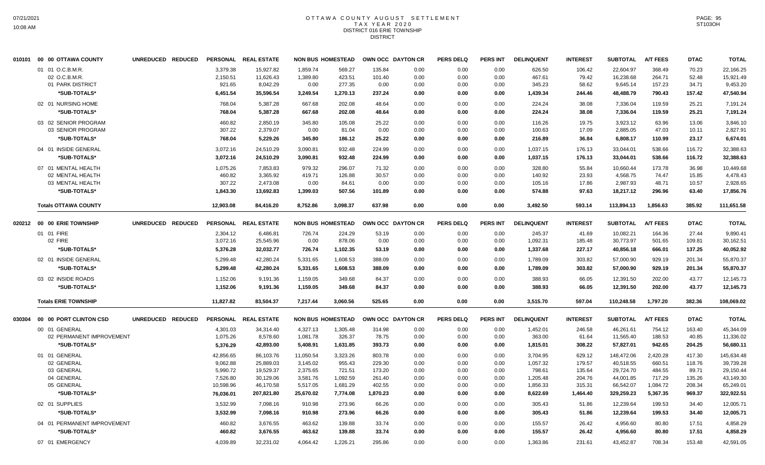## OTTAWA COUNTY AUGUST SETTLEMENT T A X Y E A R 2 0 2 0 DISTRICT 016 ERIE TOWNSHIP DISTRICT

|        | 010101 00 00 OTTAWA COUNTY        |                   | UNREDUCED REDUCED |                      | PERSONAL REAL ESTATE   |                      | <b>NON BUS HOMESTEAD</b> | OWN OCC DAYTON CR |              | <b>PERS DELQ</b> | <b>PERS INT</b> | <b>DELINQUENT</b> | <b>INTEREST</b> | <b>SUBTOTAL</b>        | <b>A/T FEES</b>  | <b>DTAC</b>    | <b>TOTAL</b>           |
|--------|-----------------------------------|-------------------|-------------------|----------------------|------------------------|----------------------|--------------------------|-------------------|--------------|------------------|-----------------|-------------------|-----------------|------------------------|------------------|----------------|------------------------|
|        | 01 01 O.C.B.M.R.<br>02 O.C.B.M.R. |                   |                   | 3,379.38<br>2,150.51 | 15.927.82<br>11,626.43 | 1,859.74<br>1,389.80 | 569.27<br>423.51         | 135.84<br>101.40  | 0.00<br>0.00 | 0.00<br>0.00     | 0.00<br>0.00    | 626.50<br>467.61  | 106.42<br>79.42 | 22,604.97<br>16,238.68 | 368.49<br>264.71 | 70.23<br>52.48 | 22,166.25<br>15,921.49 |
|        | 01 PARK DISTRICT                  |                   |                   | 921.65               | 8,042.29               | 0.00                 | 277.35                   | 0.00              | 0.00         | 0.00             | 0.00            | 345.23            | 58.62           | 9,645.14               | 157.23           | 34.71          | 9,453.20               |
|        | *SUB-TOTALS*                      |                   |                   | 6,451.54             | 35,596.54              | 3,249.54             | 1,270.13                 | 237.24            | 0.00         | 0.00             | 0.00            | 1,439.34          | 244.46          | 48,488.79              | 790.43           | 157.42         | 47,540.94              |
|        | 02 01 NURSING HOME                |                   |                   | 768.04               | 5,387.28               | 667.68               | 202.08                   | 48.64             | 0.00         | 0.00             | 0.00            | 224.24            | 38.08           | 7,336.04               | 119.59           | 25.21          | 7,191.24               |
|        | *SUB-TOTALS*                      |                   |                   | 768.04               | 5,387.28               | 667.68               | 202.08                   | 48.64             | 0.00         | 0.00             | 0.00            | 224.24            | 38.08           | 7,336.04               | 119.59           | 25.21          | 7,191.24               |
|        | 03 02 SENIOR PROGRAM              |                   |                   | 460.82               | 2,850.19               | 345.80               | 105.08                   | 25.22             | 0.00         | 0.00             | 0.00            | 116.26            | 19.75           | 3,923.12               | 63.96            | 13.06          | 3,846.10               |
|        | 03 SENIOR PROGRAM                 |                   |                   | 307.22               | 2,379.07               | 0.00                 | 81.04                    | 0.00              | 0.00         | 0.00             | 0.00            | 100.63            | 17.09           | 2,885.05               | 47.03            | 10.11          | 2,827.91               |
|        | *SUB-TOTALS*                      |                   |                   | 768.04               | 5,229.26               | 345.80               | 186.12                   | 25.22             | 0.00         | 0.00             | 0.00            | 216.89            | 36.84           | 6,808.17               | 110.99           | 23.17          | 6,674.01               |
|        | 04 01 INSIDE GENERAL              |                   |                   | 3,072.16             | 24,510.29              | 3,090.81             | 932.48                   | 224.99            | 0.00         | 0.00             | 0.00            | 1,037.15          | 176.13          | 33,044.01              | 538.66           | 116.72         | 32,388.63              |
|        | *SUB-TOTALS*                      |                   |                   | 3,072.16             | 24,510.29              | 3,090.81             | 932.48                   | 224.99            | 0.00         | 0.00             | 0.00            | 1,037.15          | 176.13          | 33,044.01              | 538.66           | 116.72         | 32,388.63              |
|        | 07 01 MENTAL HEALTH               |                   |                   | 1,075.26             | 7,853.83               | 979.32               | 296.07                   | 71.32             | 0.00         | 0.00             | 0.00            | 328.80            | 55.84           | 10,660.44              | 173.78           | 36.98          | 10,449.68              |
|        | 02 MENTAL HEALTH                  |                   |                   | 460.82               | 3.365.92               | 419.71               | 126.88                   | 30.57             | 0.00         | 0.00             | 0.00            | 140.92            | 23.93           | 4,568.75               | 74.47            | 15.85          | 4,478.43               |
|        | 03 MENTAL HEALTH                  |                   |                   | 307.22               | 2,473.08               | 0.00                 | 84.61                    | 0.00              | 0.00         | 0.00             | 0.00            | 105.16            | 17.86           | 2,987.93               | 48.71            | 10.57          | 2,928.65               |
|        | *SUB-TOTALS*                      |                   |                   | 1,843.30             | 13,692.83              | 1,399.03             | 507.56                   | 101.89            | 0.00         | 0.00             | 0.00            | 574.88            | 97.63           | 18,217.12              | 296.96           | 63.40          | 17,856.76              |
|        | <b>Totals OTTAWA COUNTY</b>       |                   |                   | 12,903.08            | 84,416.20              | 8,752.86             | 3,098.37                 | 637.98            | 0.00         | 0.00             | 0.00            | 3,492.50          | 593.14          | 113,894.13             | 1,856.63         | 385.92         | 111,651.58             |
|        | 020212 00 00 ERIE TOWNSHIP        | UNREDUCED REDUCED |                   |                      | PERSONAL REAL ESTATE   |                      | <b>NON BUS HOMESTEAD</b> | OWN OCC DAYTON CR |              | <b>PERS DELQ</b> | <b>PERS INT</b> | <b>DELINQUENT</b> | <b>INTEREST</b> | <b>SUBTOTAL</b>        | <b>A/T FEES</b>  | <b>DTAC</b>    | <b>TOTAL</b>           |
|        | 01 01 FIRE                        |                   |                   | 2.304.12             | 6,486.81               | 726.74               | 224.29                   | 53.19             | 0.00         | 0.00             | 0.00            | 245.37            | 41.69           | 10.082.21              | 164.36           | 27.44          | 9.890.41               |
|        | 02 FIRE                           |                   |                   | 3,072.16             | 25,545.96              | 0.00                 | 878.06                   | 0.00              | 0.00         | 0.00             | 0.00            | 1,092.31          | 185.48          | 30,773.97              | 501.65           | 109.81         | 30,162.51              |
|        | *SUB-TOTALS*                      |                   |                   | 5,376.28             | 32,032.77              | 726.74               | 1,102.35                 | 53.19             | 0.00         | 0.00             | 0.00            | 1,337.68          | 227.17          | 40,856.18              | 666.01           | 137.25         | 40,052.92              |
|        | 02 01 INSIDE GENERAL              |                   |                   | 5,299.48             | 42,280.24              | 5,331.65             | 1,608.53                 | 388.09            | 0.00         | 0.00             | 0.00            | 1,789.09          | 303.82          | 57,000.90              | 929.19           | 201.34         | 55,870.37              |
|        | *SUB-TOTALS*                      |                   |                   | 5,299.48             | 42,280.24              | 5,331.65             | 1,608.53                 | 388.09            | 0.00         | 0.00             | 0.00            | 1,789.09          | 303.82          | 57,000.90              | 929.19           | 201.34         | 55,870.37              |
|        | 03 02 INSIDE ROADS                |                   |                   | 1,152.06             | 9,191.36               | 1,159.05             | 349.68                   | 84.37             | 0.00         | 0.00             | 0.00            | 388.93            | 66.05           | 12,391.50              | 202.00           | 43.77          | 12,145.73              |
|        | *SUB-TOTALS*                      |                   |                   | 1,152.06             | 9,191.36               | 1,159.05             | 349.68                   | 84.37             | 0.00         | 0.00             | 0.00            | 388.93            | 66.05           | 12,391.50              | 202.00           | 43.77          | 12,145.73              |
|        | <b>Totals ERIE TOWNSHIP</b>       |                   |                   | 11,827.82            | 83,504.37              | 7,217.44             | 3,060.56                 | 525.65            | 0.00         | 0.00             | 0.00            | 3,515.70          | 597.04          | 110,248.58             | 1,797.20         | 382.36         | 108,069.02             |
| 030304 | 00 00 PORT CLINTON CSD            | UNREDUCED REDUCED |                   |                      | PERSONAL REAL ESTATE   |                      | <b>NON BUS HOMESTEAD</b> | OWN OCC DAYTON CR |              | <b>PERS DELQ</b> | <b>PERS INT</b> | <b>DELINQUENT</b> | <b>INTEREST</b> | <b>SUBTOTAL</b>        | <b>A/T FEES</b>  | <b>DTAC</b>    | <b>TOTAL</b>           |
|        | 00 01 GENERAL                     |                   |                   | 4,301.03             | 34,314.40              | 4,327.13             | 1,305.48                 | 314.98            | 0.00         | 0.00             | 0.00            | 1,452.01          | 246.58          | 46,261.61              | 754.12           | 163.40         | 45,344.09              |
|        | 02 PERMANENT IMPROVEMENT          |                   |                   | 1,075.26             | 8,578.60               | 1,081.78             | 326.37                   | 78.75             | 0.00         | 0.00             | 0.00            | 363.00            | 61.64           | 11,565.40              | 188.53           | 40.85          | 11,336.02              |
|        | *SUB-TOTALS*                      |                   |                   | 5,376.29             | 42,893.00              | 5,408.91             | 1,631.85                 | 393.73            | 0.00         | 0.00             | 0.00            | 1,815.01          | 308.22          | 57,827.01              | 942.65           | 204.25         | 56,680.11              |
|        | 01 01 GENERAL                     |                   |                   | 42,856.65            | 86,103.76              | 11.050.54            | 3,323.26                 | 803.78            | 0.00         | 0.00             | 0.00            | 3.704.95          | 629.12          | 148,472.06             | 2,420.28         | 417.30         | 145,634.48             |
|        | 02 GENERAL                        |                   |                   | 9,062.88             | 25,889.03              | 3,145.02             | 955.43                   | 229.30            | 0.00         | 0.00             | 0.00            | 1,057.32          | 179.57          | 40,518.55              | 660.51           | 118.76         | 39,739.28              |
|        | 03 GENERAL                        |                   |                   | 5,990.72             | 19,529.37              | 2,375.65             | 721.51                   | 173.20            | 0.00         | 0.00             | 0.00            | 798.61            | 135.64          | 29,724.70              | 484.55           | 89.71          | 29,150.44              |
|        | 04 GENERAL                        |                   |                   | 7,526.80             | 30,129.06              | 3,581.76             | 1,092.59                 | 261.40            | 0.00         | 0.00             | 0.00            | 1,205.48          | 204.76          | 44,001.85              | 717.29           | 135.26         | 43,149.30              |
|        | 05 GENERAL                        |                   |                   | 10,598.96            | 46,170.58              | 5,517.05             | 1,681.29                 | 402.55            | 0.00         | 0.00             | 0.00            | 1,856.33          | 315.31          | 66,542.07              | 1,084.72         | 208.34         | 65,249.01              |
|        | *SUB-TOTALS*                      |                   |                   | 76,036.01            | 207,821.80             | 25,670.02            | 7,774.08                 | 1,870.23          | 0.00         | 0.00             | 0.00            | 8,622.69          | 1,464.40        | 329,259.23             | 5,367.35         | 969.37         | 322,922.51             |
|        | 02 01 SUPPLIES                    |                   |                   | 3,532.99             | 7,098.16               | 910.98               | 273.96                   | 66.26             | 0.00         | 0.00             | 0.00            | 305.43            | 51.86           | 12,239.64              | 199.53           | 34.40          | 12,005.71              |
|        | *SUB-TOTALS*                      |                   |                   | 3,532.99             | 7,098.16               | 910.98               | 273.96                   | 66.26             | 0.00         | 0.00             | 0.00            | 305.43            | 51.86           | 12,239.64              | 199.53           | 34.40          | 12,005.71              |
|        | 04 01 PERMANENT IMPROVEMENT       |                   |                   | 460.82               | 3,676.55               | 463.62               | 139.88                   | 33.74             | 0.00         | 0.00             | 0.00            | 155.57            | 26.42           | 4,956.60               | 80.80            | 17.51          | 4,858.29               |
|        | *SUB-TOTALS*                      |                   |                   | 460.82               | 3,676.55               | 463.62               | 139.88                   | 33.74             | 0.00         | 0.00             | 0.00            | 155.57            | 26.42           | 4,956.60               | 80.80            | 17.51          | 4,858.29               |
|        | 07 01 EMERGENCY                   |                   |                   | 4,039.89             | 32,231.02              | 4,064.42             | 1,226.21                 | 295.86            | 0.00         | 0.00             | 0.00            | 1,363.86          | 231.61          | 43,452.87              | 708.34           | 153.48         | 42,591.05              |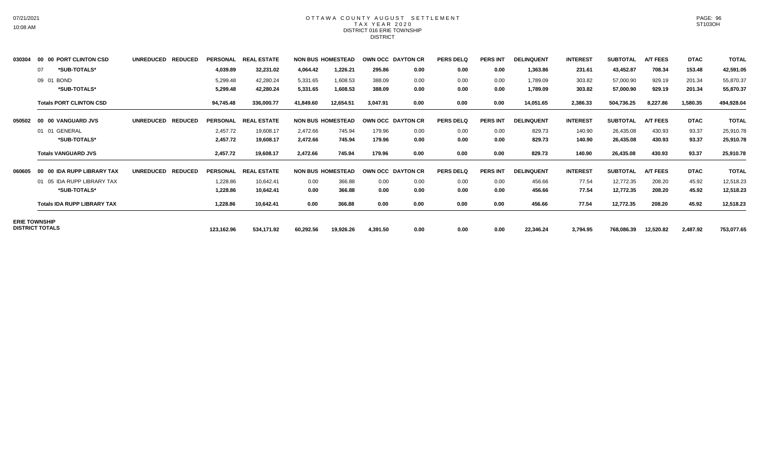#### OTTAWA COUNTY AUGUST SETTLEMENT T A X Y E A R 2 0 2 0 DISTRICT 016 ERIE TOWNSHIP DISTRICT

| 030304 | 00 00 PORT CLINTON CSD                         | <b>UNREDUCED</b><br><b>REDUCED</b> | <b>PERSONAL</b> | <b>REAL ESTATE</b> |           | <b>NON BUS HOMESTEAD</b> | OWN OCC DAYTON CR |      | <b>PERS DELQ</b> | <b>PERS INT</b> | <b>DELINQUENT</b> | <b>INTEREST</b> | <b>SUBTOTAL</b> | <b>A/T FEES</b> | <b>DTAC</b> | <b>TOTAL</b> |
|--------|------------------------------------------------|------------------------------------|-----------------|--------------------|-----------|--------------------------|-------------------|------|------------------|-----------------|-------------------|-----------------|-----------------|-----------------|-------------|--------------|
|        | *SUB-TOTALS*<br>07                             |                                    | 4,039.89        | 32,231.02          | 4,064.42  | 1,226.21                 | 295.86            | 0.00 | 0.00             | 0.00            | 1,363.86          | 231.61          | 43,452.87       | 708.34          | 153.48      | 42,591.05    |
|        | 09 01 BOND                                     |                                    | 5,299.48        | 42,280.24          | 5,331.65  | 1,608.53                 | 388.09            | 0.00 | 0.00             | 0.00            | 1,789.09          | 303.82          | 57,000.90       | 929.19          | 201.34      | 55,870.37    |
|        | *SUB-TOTALS*                                   |                                    | 5,299.48        | 42,280.24          | 5,331.65  | 1,608.53                 | 388.09            | 0.00 | 0.00             | 0.00            | 1,789.09          | 303.82          | 57,000.90       | 929.19          | 201.34      | 55,870.37    |
|        | <b>Totals PORT CLINTON CSD</b>                 |                                    | 94,745.48       | 336,000.77         | 41,849.60 | 12,654.51                | 3.047.91          | 0.00 | 0.00             | 0.00            | 14,051.65         | 2,386.33        | 504,736.25      | 8,227.86        | 1,580.35    | 494,928.04   |
| 050502 | 00 00 VANGUARD JVS                             | <b>UNREDUCED</b><br><b>REDUCED</b> | <b>PERSONAL</b> | <b>REAL ESTATE</b> |           | <b>NON BUS HOMESTEAD</b> | OWN OCC DAYTON CR |      | <b>PERS DELQ</b> | <b>PERS INT</b> | <b>DELINQUENT</b> | <b>INTEREST</b> | <b>SUBTOTAL</b> | <b>A/T FEES</b> | <b>DTAC</b> | <b>TOTAL</b> |
|        | 01 01 GENERAL                                  |                                    | 2,457.72        | 19,608.17          | 2,472.66  | 745.94                   | 179.96            | 0.00 | 0.00             | 0.00            | 829.73            | 140.90          | 26,435.08       | 430.93          | 93.37       | 25,910.78    |
|        | *SUB-TOTALS*                                   |                                    | 2,457.72        | 19,608.17          | 2,472.66  | 745.94                   | 179.96            | 0.00 | 0.00             | 0.00            | 829.73            | 140.90          | 26,435.08       | 430.93          | 93.37       | 25,910.78    |
|        | <b>Totals VANGUARD JVS</b>                     |                                    | 2,457.72        | 19,608.17          | 2,472.66  | 745.94                   | 179.96            | 0.00 | 0.00             | 0.00            | 829.73            | 140.90          | 26,435.08       | 430.93          | 93.37       | 25,910.78    |
| 060605 | 00 IDA RUPP LIBRARY TAX<br>00                  | <b>UNREDUCED</b><br><b>REDUCED</b> | <b>PERSONAL</b> | <b>REAL ESTATE</b> |           | <b>NON BUS HOMESTEAD</b> | OWN OCC DAYTON CR |      | <b>PERS DELQ</b> | <b>PERS INT</b> | <b>DELINQUENT</b> | <b>INTEREST</b> | <b>SUBTOTAL</b> | A/T FEES        | <b>DTAC</b> | <b>TOTAL</b> |
|        | 01 05 IDA RUPP LIBRARY TAX                     |                                    | 1,228.86        | 10,642.41          | 0.00      | 366.88                   | 0.00              | 0.00 | 0.00             | 0.00            | 456.66            | 77.54           | 12,772.35       | 208.20          | 45.92       | 12,518.23    |
|        | *SUB-TOTALS*                                   |                                    | 1,228.86        | 10,642.41          | 0.00      | 366.88                   | 0.00              | 0.00 | 0.00             | 0.00            | 456.66            | 77.54           | 12,772.35       | 208.20          | 45.92       | 12,518.23    |
|        | <b>Totals IDA RUPP LIBRARY TAX</b>             |                                    | 1,228.86        | 10,642.41          | 0.00      | 366.88                   | 0.00              | 0.00 | 0.00             | 0.00            | 456.66            | 77.54           | 12,772.35       | 208.20          | 45.92       | 12,518.23    |
|        | <b>ERIE TOWNSHIP</b><br><b>DISTRICT TOTALS</b> |                                    |                 |                    |           |                          |                   |      |                  |                 |                   |                 |                 |                 |             |              |
|        |                                                |                                    | 123,162.96      | 534,171.92         | 60,292.56 | 19,926.26                | 4,391.50          | 0.00 | 0.00             | 0.00            | 22,346.24         | 3,794.95        | 768,086.39      | 12,520.82       | 2,487.92    | 753,077.65   |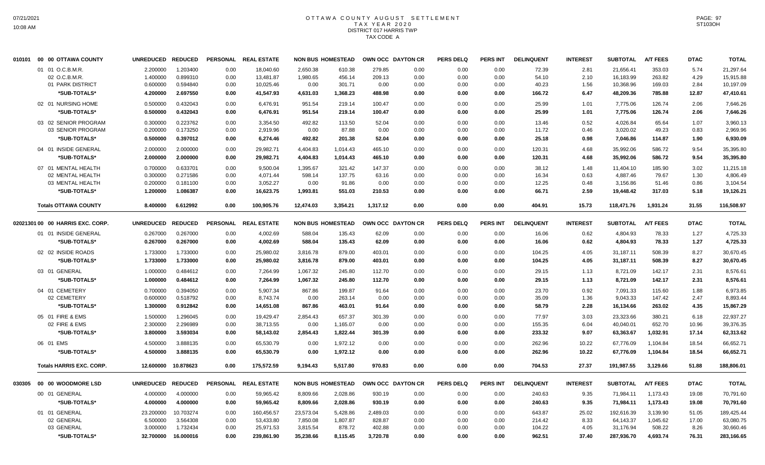# OTTAWA COUNTY AUGUST SETTLEMENT T A X Y E A R 2 0 2 0 DISTRICT 017 HARRIS TWP TAX CODE A

| 010101 00 00 OTTAWA COUNTY                            | UNREDUCED REDUCED                |                                  |                      | PERSONAL REAL ESTATE                |                              | <b>NON BUS HOMESTEAD</b>   |                          | OWN OCC DAYTON CR    | <b>PERS DELQ</b>     | PERS INT             | <b>DELINQUENT</b>       | <b>INTEREST</b>      | <b>SUBTOTAL</b>                     | <b>A/T FEES</b>            | <b>DTAC</b>          | <b>TOTAL</b>                        |
|-------------------------------------------------------|----------------------------------|----------------------------------|----------------------|-------------------------------------|------------------------------|----------------------------|--------------------------|----------------------|----------------------|----------------------|-------------------------|----------------------|-------------------------------------|----------------------------|----------------------|-------------------------------------|
| 01 01 O.C.B.M.R.<br>02 O.C.B.M.R.<br>01 PARK DISTRICT | 2.200000<br>1.400000<br>0.600000 | 1.203400<br>0.899310<br>0.594840 | 0.00<br>0.00<br>0.00 | 18,040.60<br>13,481.87<br>10,025.46 | 2,650.38<br>1,980.65<br>0.00 | 610.38<br>456.14<br>301.71 | 279.85<br>209.13<br>0.00 | 0.00<br>0.00<br>0.00 | 0.00<br>0.00<br>0.00 | 0.00<br>0.00<br>0.00 | 72.39<br>54.10<br>40.23 | 2.81<br>2.10<br>1.56 | 21,656.41<br>16,183.99<br>10,368.96 | 353.03<br>263.82<br>169.03 | 5.74<br>4.29<br>2.84 | 21,297.64<br>15,915.88<br>10,197.09 |
| *SUB-TOTALS*                                          | 4.200000                         | 2.697550                         | 0.00                 | 41,547.93                           | 4,631.03                     | 1,368.23                   | 488.98                   | 0.00                 | 0.00                 | 0.00                 | 166.72                  | 6.47                 | 48,209.36                           | 785.88                     | 12.87                | 47,410.61                           |
| 02 01 NURSING HOME<br>*SUB-TOTALS*                    | 0.500000<br>0.500000             | 0.432043<br>0.432043             | 0.00<br>0.00         | 6,476.91<br>6,476.91                | 951.54<br>951.54             | 219.14<br>219.14           | 100.47<br>100.47         | 0.00<br>0.00         | 0.00<br>0.00         | 0.00<br>0.00         | 25.99<br>25.99          | 1.01<br>1.01         | 7,775.06<br>7,775.06                | 126.74<br>126.74           | 2.06<br>2.06         | 7,646.26<br>7,646.26                |
| 03 02 SENIOR PROGRAM<br>03 SENIOR PROGRAM             | 0.300000<br>0.200000             | 0.223762<br>0.173250             | 0.00<br>0.00         | 3,354.50<br>2,919.96                | 492.82<br>0.00               | 113.50<br>87.88            | 52.04<br>0.00            | 0.00<br>0.00         | 0.00<br>0.00         | 0.00<br>0.00         | 13.46<br>11.72          | 0.52<br>0.46         | 4,026.84<br>3,020.02                | 65.64<br>49.23             | 1.07<br>0.83         | 3,960.13<br>2,969.96                |
| *SUB-TOTALS*                                          | 0.500000                         | 0.397012                         | 0.00                 | 6,274.46                            | 492.82                       | 201.38                     | 52.04                    | 0.00                 | 0.00                 | 0.00                 | 25.18                   | 0.98                 | 7,046.86                            | 114.87                     | 1.90                 | 6,930.09                            |
| 04 01 INSIDE GENERAL<br>*SUB-TOTALS*                  | 2.000000<br>2.000000             | 2.000000<br>2.000000             | 0.00<br>0.00         | 29,982.71<br>29,982.71              | 4,404.83<br>4,404.83         | 1,014.43<br>1,014.43       | 465.10<br>465.10         | 0.00<br>0.00         | 0.00<br>0.00         | 0.00<br>0.00         | 120.31<br>120.31        | 4.68<br>4.68         | 35,992.06<br>35,992.06              | 586.72<br>586.72           | 9.54<br>9.54         | 35,395.80<br>35,395.80              |
| 07 01 MENTAL HEALTH<br>02 MENTAL HEALTH               | 0.700000<br>0.300000             | 0.633701<br>0.271586             | 0.00<br>0.00         | 9,500.04<br>4,071.44                | 1,395.67<br>598.14           | 321.42<br>137.75           | 147.37<br>63.16          | 0.00<br>0.00         | 0.00<br>0.00         | 0.00<br>0.00         | 38.12<br>16.34          | 1.48<br>0.63         | 11,404.10<br>4,887.46               | 185.90<br>79.67            | 3.02<br>1.30         | 11,215.18<br>4,806.49               |
| 03 MENTAL HEALTH<br>*SUB-TOTALS*                      | 0.200000<br>1.200000             | 0.181100<br>1.086387             | 0.00<br>0.00         | 3,052.27<br>16,623.75               | 0.00<br>1,993.81             | 91.86<br>551.03            | 0.00<br>210.53           | 0.00<br>0.00         | 0.00<br>0.00         | 0.00<br>0.00         | 12.25<br>66.71          | 0.48<br>2.59         | 3,156.86<br>19,448.42               | 51.46<br>317.03            | 0.86<br>5.18         | 3,104.54<br>19,126.21               |
| <b>Totals OTTAWA COUNTY</b>                           | 8.400000                         | 6.612992                         | 0.00                 | 100.905.76                          | 12,474.03                    | 3,354.21                   | 1,317.12                 | 0.00                 | 0.00                 | 0.00                 | 404.91                  | 15.73                | 118,471.76                          | 1,931.24                   | 31.55                | 116,508.97                          |
| 02021301 00 00 HARRIS EXC. CORP.                      | UNREDUCED REDUCED                |                                  |                      | PERSONAL REAL ESTATE                |                              | <b>NON BUS HOMESTEAD</b>   |                          | OWN OCC DAYTON CR    | <b>PERS DELQ</b>     | <b>PERS INT</b>      | <b>DELINQUENT</b>       | <b>INTEREST</b>      | <b>SUBTOTAL</b>                     | <b>A/T FEES</b>            | <b>DTAC</b>          | <b>TOTAL</b>                        |
| 01 01 INSIDE GENERAL<br>*SUB-TOTALS*                  | 0.267000<br>0.267000             | 0.267000<br>0.267000             | 0.00<br>0.00         | 4,002.69<br>4,002.69                | 588.04<br>588.04             | 135.43<br>135.43           | 62.09<br>62.09           | 0.00<br>0.00         | 0.00<br>0.00         | 0.00<br>0.00         | 16.06<br>16.06          | 0.62<br>0.62         | 4,804.93<br>4,804.93                | 78.33<br>78.33             | 1.27<br>1.27         | 4,725.33<br>4,725.33                |
| 02 02 INSIDE ROADS                                    | 1.733000                         | 1.733000                         | 0.00                 | 25,980.02                           | 3,816.78                     | 879.00                     | 403.01                   | 0.00                 | 0.00                 | 0.00                 | 104.25                  | 4.05                 | 31,187.11                           | 508.39                     | 8.27                 | 30,670.45                           |
| *SUB-TOTALS*                                          | 1.733000                         | 1.733000                         | 0.00                 | 25,980.02                           | 3,816.78                     | 879.00                     | 403.01                   | 0.00                 | 0.00                 | 0.00                 | 104.25                  | 4.05                 | 31,187.11                           | 508.39                     | 8.27                 | 30,670.45                           |
| 03 01 GENERAL                                         | 1.000000                         | 0.484612                         | 0.00                 | 7,264.99                            | 1,067.32                     | 245.80                     | 112.70                   | 0.00                 | 0.00                 | 0.00                 | 29.15                   | 1.13                 | 8,721.09                            | 142.17                     | 2.31                 | 8.576.61                            |
| *SUB-TOTALS*                                          | 1.000000                         | 0.484612                         | 0.00                 | 7,264.99                            | 1,067.32                     | 245.80                     | 112.70                   | 0.00                 | 0.00                 | 0.00                 | 29.15                   | 1.13                 | 8,721.09                            | 142.17                     | 2.31                 | 8,576.61                            |
| 04 01 CEMETERY                                        | 0.700000                         | 0.394050                         | 0.00                 | 5,907.34                            | 867.86                       | 199.87                     | 91.64                    | 0.00                 | 0.00                 | 0.00                 | 23.70                   | 0.92                 | 7,091.33                            | 115.60                     | 1.88                 | 6,973.85                            |
| 02 CEMETERY                                           | 0.600000                         | 0.518792                         | 0.00                 | 8,743.74                            | 0.00                         | 263.14                     | 0.00                     | 0.00                 | 0.00                 | 0.00                 | 35.09                   | 1.36                 | 9,043.33                            | 147.42                     | 2.47                 | 8,893.44                            |
| *SUB-TOTALS*                                          | 1.300000                         | 0.912842                         | 0.00                 | 14,651.08                           | 867.86                       | 463.01                     | 91.64                    | 0.00                 | 0.00                 | 0.00                 | 58.79                   | 2.28                 | 16,134.66                           | 263.02                     | 4.35                 | 15,867.29                           |
| 05 01 FIRE & EMS<br>02 FIRE & EMS                     | 1.500000<br>2.300000             | 1.296045<br>2.296989             | 0.00<br>0.00         | 19.429.47<br>38,713.55              | 2.854.43<br>0.00             | 657.37<br>1,165.07         | 301.39<br>0.00           | 0.00<br>0.00         | 0.00<br>0.00         | 0.00<br>0.00         | 77.97<br>155.35         | 3.03<br>6.04         | 23,323.66<br>40,040.01              | 380.21<br>652.70           | 6.18<br>10.96        | 22.937.27<br>39,376.35              |
| *SUB-TOTALS*                                          | 3.800000                         | 3.593034                         | 0.00                 | 58,143.02                           | 2,854.43                     | 1,822.44                   | 301.39                   | 0.00                 | 0.00                 | 0.00                 | 233.32                  | 9.07                 | 63,363.67                           | 1,032.91                   | 17.14                | 62,313.62                           |
| 06 01 EMS                                             | 4.500000                         | 3.888135                         | 0.00                 | 65,530.79                           | 0.00                         | 1,972.12                   | 0.00                     | 0.00                 | 0.00                 | 0.00                 | 262.96                  | 10.22                | 67,776.09                           | 1,104.84                   | 18.54                | 66,652.71                           |
| *SUB-TOTALS*                                          | 4.500000                         | 3.888135                         | 0.00                 | 65,530.79                           | 0.00                         | 1,972.12                   | 0.00                     | 0.00                 | 0.00                 | 0.00                 | 262.96                  | 10.22                | 67,776.09                           | 1,104.84                   | 18.54                | 66,652.71                           |
| <b>Totals HARRIS EXC. CORP.</b>                       | 12.600000                        | 10.878623                        | 0.00                 | 175,572.59                          | 9,194.43                     | 5,517.80                   | 970.83                   | 0.00                 | 0.00                 | 0.00                 | 704.53                  | 27.37                | 191,987.55                          | 3,129.66                   | 51.88                | 188,806.01                          |
|                                                       | UNREDUCED REDUCED                |                                  |                      | PERSONAL REAL ESTATE                |                              | <b>NON BUS HOMESTEAD</b>   |                          | OWN OCC DAYTON CR    | <b>PERS DELQ</b>     | <b>PERS INT</b>      | <b>DELINQUENT</b>       | <b>INTEREST</b>      | <b>SUBTOTAL</b>                     | <b>A/T FEES</b>            | <b>DTAC</b>          | <b>TOTAL</b>                        |
| 00 01 GENERAL                                         | 4.000000                         | 4.000000                         | 0.00                 | 59,965.42                           | 8,809.66                     | 2,028.86                   | 930.19                   | 0.00                 | 0.00                 | 0.00                 | 240.63                  | 9.35                 | 71,984.11                           | 1,173.43                   | 19.08                | 70,791.60                           |
| *SUB-TOTALS*                                          | 4.000000                         | 4.000000                         | 0.00                 | 59,965.42                           | 8,809.66                     | 2,028.86                   | 930.19                   | 0.00                 | 0.00                 | 0.00                 | 240.63                  | 9.35                 | 71,984.11                           | 1,173.43                   | 19.08                | 70,791.60                           |
| 01 01 GENERAL                                         | 23.200000                        | 10.703274                        | 0.00                 | 160,456.57                          | 23,573.04                    | 5,428.86                   | 2,489.03                 | 0.00                 | 0.00                 | 0.00                 | 643.87                  | 25.02                | 192,616.39                          | 3,139.90                   | 51.05                | 189,425.44                          |
| 02 GENERAL                                            | 6.500000                         | 3.564308<br>1.732434             | 0.00                 | 53,433.80                           | 7,850.08                     | 1,807.87                   | 828.87                   | 0.00                 | 0.00                 | 0.00                 | 214.42                  | 8.33                 | 64,143.37                           | 1,045.62                   | 17.00<br>8.26        | 63,080.75                           |
| 03 GENERAL<br>*SUB-TOTALS*                            | 3.000000<br>32.700000            | 16.000016                        | 0.00<br>0.00         | 25,971.53<br>239,861.90             | 3,815.54<br>35,238.66        | 878.72<br>8,115.45         | 402.88<br>3,720.78       | 0.00<br>0.00         | 0.00<br>0.00         | 0.00<br>0.00         | 104.22<br>962.51        | 4.05<br>37.40        | 31,176.94<br>287,936.70             | 508.22<br>4,693.74         | 76.31                | 30,660.46<br>283,166.65             |
|                                                       |                                  |                                  |                      |                                     |                              |                            |                          |                      |                      |                      |                         |                      |                                     |                            |                      |                                     |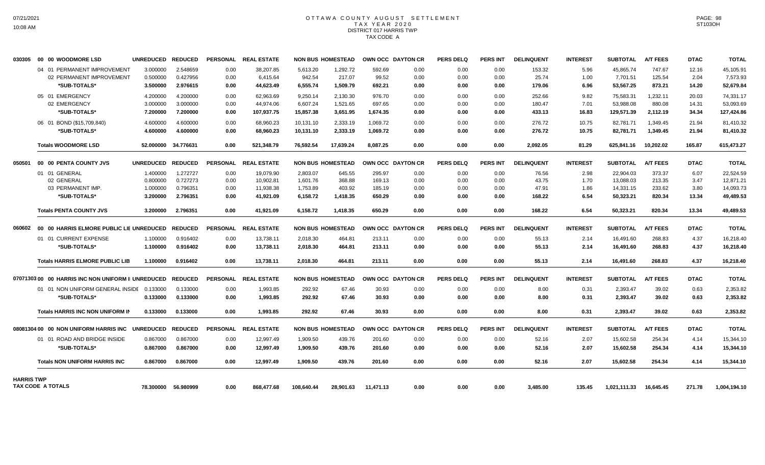# OTTAWA COUNTY AUGUST SETTLEMENT T A X Y E A R 2 0 2 0 DISTRICT 017 HARRIS TWP TAX CODE A

| 030305            | 00 00 WOODMORE LSD                                | <b>UNREDUCED</b>  | <b>REDUCED</b>      | <b>PERSONAL</b> | <b>REAL ESTATE</b>   |            | <b>NON BUS HOMESTEAD</b> |           | OWN OCC DAYTON CR | <b>PERS DELQ</b> | <b>PERS INT</b> | <b>DELINQUENT</b> | <b>INTEREST</b> | <b>SUBTOTAL</b> | <b>A/T FEES</b> | <b>DTAC</b> | <b>TOTAL</b> |
|-------------------|---------------------------------------------------|-------------------|---------------------|-----------------|----------------------|------------|--------------------------|-----------|-------------------|------------------|-----------------|-------------------|-----------------|-----------------|-----------------|-------------|--------------|
|                   | 04 01 PERMANENT IMPROVEMENT                       | 3.000000          | 2.548659            | 0.00            | 38,207.85            | 5,613.20   | 1,292.72                 | 592.69    | 0.00              | 0.00             | 0.00            | 153.32            | 5.96            | 45,865.74       | 747.67          | 12.16       | 45,105.91    |
|                   | 02 PERMANENT IMPROVEMENT                          | 0.500000          | 0.427956            | 0.00            | 6,415.64             | 942.54     | 217.07                   | 99.52     | 0.00              | 0.00             | 0.00            | 25.74             | 1.00            | 7,701.51        | 125.54          | 2.04        | 7,573.93     |
|                   | *SUB-TOTALS*                                      | 3.500000          | 2.976615            | 0.00            | 44,623.49            | 6,555.74   | 1,509.79                 | 692.21    | 0.00              | 0.00             | 0.00            | 179.06            | 6.96            | 53,567.25       | 873.21          | 14.20       | 52,679.84    |
|                   | 05 01 EMERGENCY                                   | 4.200000          | 4.200000            | 0.00            | 62,963.69            | 9,250.14   | 2,130.30                 | 976.70    | 0.00              | 0.00             | 0.00            | 252.66            | 9.82            | 75,583.31       | 1,232.11        | 20.03       | 74,331.17    |
|                   | 02 EMERGENCY                                      | 3.000000          | 3.000000            | 0.00            | 44.974.06            | 6,607.24   | 1,521.65                 | 697.65    | 0.00              | 0.00             | 0.00            | 180.47            | 7.01            | 53,988.08       | 880.08          | 14.31       | 53.093.69    |
|                   | *SUB-TOTALS*                                      | 7.200000          | 7.200000            | 0.00            | 107.937.75           | 15,857.38  | 3.651.95                 | 1.674.35  | 0.00              | 0.00             | 0.00            | 433.13            | 16.83           | 129.571.39      | 2.112.19        | 34.34       | 127,424.86   |
|                   | 06 01 BOND (\$15,709,840)                         | 4.600000          | 4.600000            | 0.00            | 68,960.23            | 10,131.10  | 2,333.19                 | 1,069.72  | 0.00              | 0.00             | 0.00            | 276.72            | 10.75           | 82,781.71       | 1.349.45        | 21.94       | 81,410.32    |
|                   | *SUB-TOTALS*                                      | 4.600000          | 4.600000            | 0.00            | 68,960.23            | 10,131.10  | 2,333.19                 | 1,069.72  | 0.00              | 0.00             | 0.00            | 276.72            | 10.75           | 82,781.71       | 1,349.45        | 21.94       | 81,410.32    |
|                   | <b>Totals WOODMORE LSD</b>                        |                   | 52.000000 34.776631 | 0.00            | 521,348.79           | 76,592.54  | 17,639.24                | 8,087.25  | 0.00              | 0.00             | 0.00            | 2,092.05          | 81.29           | 625,841.16      | 10,202.02       | 165.87      | 615,473.27   |
| 050501            | 00 00 PENTA COUNTY JVS                            | UNREDUCED REDUCED |                     |                 | PERSONAL REAL ESTATE |            | <b>NON BUS HOMESTEAD</b> |           | OWN OCC DAYTON CR | <b>PERS DELQ</b> | <b>PERS INT</b> | <b>DELINQUENT</b> | <b>INTEREST</b> | <b>SUBTOTAL</b> | <b>A/T FEES</b> | <b>DTAC</b> | <b>TOTAL</b> |
|                   | 01 01 GENERAL                                     | 1.400000          | 1.272727            | 0.00            | 19.079.90            | 2.803.07   | 645.55                   | 295.97    | 0.00              | 0.00             | 0.00            | 76.56             | 2.98            | 22.904.03       | 373.37          | 6.07        | 22,524.59    |
|                   | 02 GENERAL                                        | 0.800000          | 0.727273            | 0.00            | 10,902.81            | 1,601.76   | 368.88                   | 169.13    | 0.00              | 0.00             | 0.00            | 43.75             | 1.70            | 13,088.03       | 213.35          | 3.47        | 12,871.21    |
|                   | 03 PERMANENT IMP.                                 | 1.000000          | 0.796351            | 0.00            | 11,938.38            | 1,753.89   | 403.92                   | 185.19    | 0.00              | 0.00             | 0.00            | 47.91             | 1.86            | 14,331.15       | 233.62          | 3.80        | 14,093.73    |
|                   | *SUB-TOTALS*                                      | 3.200000          | 2.796351            | 0.00            | 41,921.09            | 6,158.72   | 1,418.35                 | 650.29    | 0.00              | 0.00             | 0.00            | 168.22            | 6.54            | 50,323.21       | 820.34          | 13.34       | 49,489.53    |
|                   | <b>Totals PENTA COUNTY JVS</b>                    | 3.200000          | 2.796351            | 0.00            | 41.921.09            | 6.158.72   | 1.418.35                 | 650.29    | 0.00              | 0.00             | 0.00            | 168.22            | 6.54            | 50,323.21       | 820.34          | 13.34       | 49.489.53    |
| 060602            | 00 00 HARRIS ELMORE PUBLIC LIE UNREDUCED          |                   | <b>REDUCED</b>      | <b>PERSONAL</b> | <b>REAL ESTATE</b>   |            | <b>NON BUS HOMESTEAD</b> |           | OWN OCC DAYTON CR | <b>PERS DELQ</b> | <b>PERS INT</b> | <b>DELINQUENT</b> | <b>INTEREST</b> | <b>SUBTOTAL</b> | <b>A/T FEES</b> | <b>DTAC</b> | <b>TOTAL</b> |
|                   | 01 01 CURRENT EXPENSE                             | 1.100000          | 0.916402            | 0.00            | 13,738.11            | 2,018.30   | 464.81                   | 213.11    | 0.00              | 0.00             | 0.00            | 55.13             | 2.14            | 16,491.60       | 268.83          | 4.37        | 16,218.40    |
|                   | *SUB-TOTALS*                                      | 1.100000          | 0.916402            | 0.00            | 13,738.11            | 2,018.30   | 464.81                   | 213.11    | 0.00              | 0.00             | 0.00            | 55.13             | 2.14            | 16,491.60       | 268.83          | 4.37        | 16,218.40    |
|                   | <b>Totals HARRIS ELMORE PUBLIC LIB</b>            | 1.100000          | 0.916402            | 0.00            | 13,738.11            | 2.018.30   | 464.81                   | 213.11    | 0.00              | 0.00             | 0.00            | 55.13             | 2.14            | 16,491.60       | 268.83          | 4.37        | 16,218.40    |
|                   |                                                   |                   |                     |                 |                      |            |                          |           |                   |                  |                 |                   |                 |                 |                 |             |              |
|                   | 0707130300 00 HARRIS INC NON UNIFORM II UNREDUCED |                   | <b>REDUCED</b>      |                 | PERSONAL REAL ESTATE |            | <b>NON BUS HOMESTEAD</b> |           | OWN OCC DAYTON CR | <b>PERS DELQ</b> | PERS INT        | <b>DELINQUENT</b> | <b>INTEREST</b> | <b>SUBTOTAL</b> | <b>A/T FEES</b> | <b>DTAC</b> | <b>TOTAL</b> |
|                   | 01 01 NON UNIFORM GENERAL INSIDE 0.133000         |                   | 0.133000            | 0.00            | 1,993.85             | 292.92     | 67.46                    | 30.93     | 0.00              | 0.00             | 0.00            | 8.00              | 0.31            | 2,393.47        | 39.02           | 0.63        | 2,353.82     |
|                   | *SUB-TOTALS*                                      | 0.133000          | 0.133000            | 0.00            | 1.993.85             | 292.92     | 67.46                    | 30.93     | 0.00              | 0.00             | 0.00            | 8.00              | 0.31            | 2,393.47        | 39.02           | 0.63        | 2.353.82     |
|                   | <b>Totals HARRIS INC NON UNIFORM IN</b>           | 0.133000          | 0.133000            | 0.00            | 1.993.85             | 292.92     | 67.46                    | 30.93     | 0.00              | 0.00             | 0.00            | 8.00              | 0.31            | 2.393.47        | 39.02           | 0.63        | 2,353.82     |
|                   | 08081304 00 00 NON UNIFORM HARRIS INC             | <b>UNREDUCED</b>  | <b>REDUCED</b>      |                 | PERSONAL REAL ESTATE |            | <b>NON BUS HOMESTEAD</b> |           | OWN OCC DAYTON CR | <b>PERS DELQ</b> | PERS INT        | <b>DELINQUENT</b> | <b>INTEREST</b> | <b>SUBTOTAL</b> | <b>A/T FEES</b> | <b>DTAC</b> | <b>TOTAL</b> |
|                   | 01 01 ROAD AND BRIDGE INSIDE                      | 0.867000          | 0.867000            | 0.00            | 12,997.49            | 1,909.50   | 439.76                   | 201.60    | 0.00              | 0.00             | 0.00            | 52.16             | 2.07            | 15,602.58       | 254.34          | 4.14        | 15,344.10    |
|                   | *SUB-TOTALS*                                      | 0.867000          | 0.867000            | 0.00            | 12.997.49            | 1.909.50   | 439.76                   | 201.60    | 0.00              | 0.00             | 0.00            | 52.16             | 2.07            | 15.602.58       | 254.34          | 4.14        | 15,344.10    |
|                   | <b>Totals NON UNIFORM HARRIS INC</b>              | 0.867000          | 0.867000            | 0.00            | 12,997.49            | 1,909.50   | 439.76                   | 201.60    | 0.00              | 0.00             | 0.00            | 52.16             | 2.07            | 15,602.58       | 254.34          | 4.14        | 15,344.10    |
|                   |                                                   |                   |                     |                 |                      |            |                          |           |                   |                  |                 |                   |                 |                 |                 |             |              |
| <b>HARRIS TWP</b> | TAX CODE A TOTALS                                 |                   | 78.300000 56.980999 | 0.00            | 868,477.68           | 108,640.44 | 28,901.63                | 11,471.13 | 0.00              | 0.00             | 0.00            | 3,485.00          | 135.45          | 1,021,111.33    | 16,645.45       | 271.78      | 1,004,194.10 |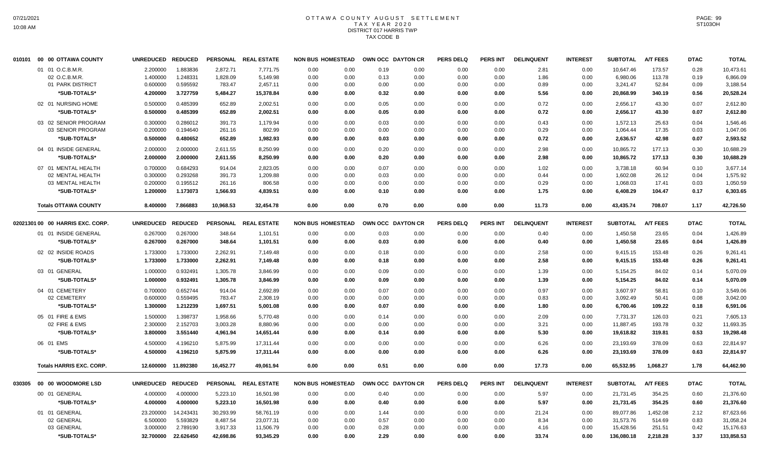# OTTAWA COUNTY AUGUST SETTLEMENT T A X Y E A R 2 0 2 0 DISTRICT 017 HARRIS TWP TAX CODE B

| 010101 | 00 00 OTTAWA COUNTY              | <b>UNREDUCED</b>  | <b>REDUCED</b> | <b>PERSONAL</b> | <b>REAL ESTATE</b> | <b>NON BUS HOMESTEAD</b> |      |      | OWN OCC DAYTON CR | <b>PERS DELQ</b> | <b>PERS INT</b> | <b>DELINQUENT</b> | <b>INTEREST</b> | <b>SUBTOTAL</b> | <b>A/T FEES</b> | <b>DTAC</b> | <b>TOTAL</b> |
|--------|----------------------------------|-------------------|----------------|-----------------|--------------------|--------------------------|------|------|-------------------|------------------|-----------------|-------------------|-----------------|-----------------|-----------------|-------------|--------------|
|        | 01 01 O.C.B.M.R.                 | 2.200000          | 1.883836       | 2,872.71        | 7,771.75           | 0.00                     | 0.00 | 0.19 | 0.00              | 0.00             | 0.00            | 2.81              | 0.00            | 10,647.46       | 173.57          | 0.28        | 10,473.61    |
|        | 02 O.C.B.M.R.                    | 1.400000          | 1.248331       | 1,828.09        | 5,149.98           | 0.00                     | 0.00 | 0.13 | 0.00              | 0.00             | 0.00            | 1.86              | 0.00            | 6,980.06        | 113.78          | 0.19        | 6,866.09     |
|        | 01 PARK DISTRICT                 | 0.600000          | 0.595592       | 783.47          | 2,457.11           | 0.00                     | 0.00 | 0.00 | 0.00              | 0.00             | 0.00            | 0.89              | 0.00            | 3,241.47        | 52.84           | 0.09        | 3,188.54     |
|        | *SUB-TOTALS*                     | 4.200000          | 3.727759       | 5,484.27        | 15,378.84          | 0.00                     | 0.00 | 0.32 | 0.00              | 0.00             | 0.00            | 5.56              | 0.00            | 20,868.99       | 340.19          | 0.56        | 20,528.24    |
|        | 02 01 NURSING HOME               | 0.500000          | 0.485399       | 652.89          | 2,002.51           | 0.00                     | 0.00 | 0.05 | 0.00              | 0.00             | 0.00            | 0.72              | 0.00            | 2,656.17        | 43.30           | 0.07        | 2,612.80     |
|        | *SUB-TOTALS*                     | 0.500000          | 0.485399       | 652.89          | 2,002.51           | 0.00                     | 0.00 | 0.05 | 0.00              | 0.00             | 0.00            | 0.72              | 0.00            | 2,656.17        | 43.30           | 0.07        | 2,612.80     |
|        | 03 02 SENIOR PROGRAM             | 0.300000          | 0.286012       | 391.73          | 1,179.94           | 0.00                     | 0.00 | 0.03 | 0.00              | 0.00             | 0.00            | 0.43              | 0.00            | 1,572.13        | 25.63           | 0.04        | 1,546.46     |
|        | 03 SENIOR PROGRAM                | 0.200000          | 0.194640       | 261.16          | 802.99             | 0.00                     | 0.00 | 0.00 | 0.00              | 0.00             | 0.00            | 0.29              | 0.00            | 1,064.44        | 17.35           | 0.03        | 1,047.06     |
|        | *SUB-TOTALS*                     | 0.500000          | 0.480652       | 652.89          | 1,982.93           | 0.00                     | 0.00 | 0.03 | 0.00              | 0.00             | 0.00            | 0.72              | 0.00            | 2,636.57        | 42.98           | 0.07        | 2,593.52     |
|        | 04 01 INSIDE GENERAL             | 2.000000          | 2.000000       | 2,611.55        | 8,250.99           | 0.00                     | 0.00 | 0.20 | 0.00              | 0.00             | 0.00            | 2.98              | 0.00            | 10,865.72       | 177.13          | 0.30        | 10,688.29    |
|        | *SUB-TOTALS*                     | 2.000000          | 2.000000       | 2,611.55        | 8,250.99           | 0.00                     | 0.00 | 0.20 | 0.00              | 0.00             | 0.00            | 2.98              | 0.00            | 10,865.72       | 177.13          | 0.30        | 10,688.29    |
|        | 07 01 MENTAL HEALTH              | 0.700000          | 0.684293       | 914.04          | 2,823.05           | 0.00                     | 0.00 | 0.07 | 0.00              | 0.00             | 0.00            | 1.02              | 0.00            | 3,738.18        | 60.94           | 0.10        | 3.677.14     |
|        | 02 MENTAL HEALTH                 | 0.300000          | 0.293268       | 391.73          | 1,209.88           | 0.00                     | 0.00 | 0.03 | 0.00              | 0.00             | 0.00            | 0.44              | 0.00            | 1,602.08        | 26.12           | 0.04        | 1,575.92     |
|        | 03 MENTAL HEALTH                 | 0.200000          | 0.195512       | 261.16          | 806.58             | 0.00                     | 0.00 | 0.00 | 0.00              | 0.00             | 0.00            | 0.29              | 0.00            | 1,068.03        | 17.41           | 0.03        | 1,050.59     |
|        | *SUB-TOTALS*                     | 1.200000          | 1.173073       | 1,566.93        | 4,839.51           | 0.00                     | 0.00 | 0.10 | 0.00              | 0.00             | 0.00            | 1.75              | 0.00            | 6,408.29        | 104.47          | 0.17        | 6,303.65     |
|        | <b>Totals OTTAWA COUNTY</b>      | 8.400000          | 7.866883       | 10,968.53       | 32,454.78          | 0.00                     | 0.00 | 0.70 | 0.00              | 0.00             | 0.00            | 11.73             | 0.00            | 43,435.74       | 708.07          | 1.17        | 42,726.50    |
|        | 02021301 00 00 HARRIS EXC. CORP. | <b>UNREDUCED</b>  | <b>REDUCED</b> | <b>PERSONAL</b> | <b>REAL ESTATE</b> | <b>NON BUS HOMESTEAD</b> |      |      | OWN OCC DAYTON CR | <b>PERS DELQ</b> | <b>PERS INT</b> | <b>DELINQUENT</b> | <b>INTEREST</b> | <b>SUBTOTAL</b> | <b>A/T FEES</b> | <b>DTAC</b> | <b>TOTAL</b> |
|        | 01 01 INSIDE GENERAL             | 0.267000          | 0.267000       | 348.64          | 1,101.51           | 0.00                     | 0.00 | 0.03 | 0.00              | 0.00             | 0.00            | 0.40              | 0.00            | 1,450.58        | 23.65           | 0.04        | 1,426.89     |
|        | *SUB-TOTALS*                     | 0.267000          | 0.267000       | 348.64          | 1,101.51           | 0.00                     | 0.00 | 0.03 | 0.00              | 0.00             | 0.00            | 0.40              | 0.00            | 1,450.58        | 23.65           | 0.04        | 1,426.89     |
|        |                                  |                   |                |                 |                    |                          |      |      |                   |                  |                 |                   |                 |                 |                 |             |              |
|        | 02 02 INSIDE ROADS               | 1.733000          | 1.733000       | 2,262.91        | 7,149.48           | 0.00                     | 0.00 | 0.18 | 0.00              | 0.00             | 0.00            | 2.58              | 0.00            | 9,415.15        | 153.48          | 0.26        | 9,261.41     |
|        | *SUB-TOTALS*                     | 1.733000          | 1.733000       | 2,262.91        | 7,149.48           | 0.00                     | 0.00 | 0.18 | 0.00              | 0.00             | 0.00            | 2.58              | 0.00            | 9,415.15        | 153.48          | 0.26        | 9,261.41     |
|        | 03 01 GENERAL                    | 1.000000          | 0.932491       | 1,305.78        | 3,846.99           | 0.00                     | 0.00 | 0.09 | 0.00              | 0.00             | 0.00            | 1.39              | 0.00            | 5,154.25        | 84.02           | 0.14        | 5,070.09     |
|        | *SUB-TOTALS*                     | 1.000000          | 0.932491       | 1,305.78        | 3,846.99           | 0.00                     | 0.00 | 0.09 | 0.00              | 0.00             | 0.00            | 1.39              | 0.00            | 5,154.25        | 84.02           | 0.14        | 5,070.09     |
|        | 04 01 CEMETERY                   | 0.700000          | 0.652744       | 914.04          | 2,692.89           | 0.00                     | 0.00 | 0.07 | 0.00              | 0.00             | 0.00            | 0.97              | 0.00            | 3,607.97        | 58.81           | 0.10        | 3,549.06     |
|        | 02 CEMETERY                      | 0.600000          | 0.559495       | 783.47          | 2,308.19           | 0.00                     | 0.00 | 0.00 | 0.00              | 0.00             | 0.00            | 0.83              | 0.00            | 3,092.49        | 50.41           | 0.08        | 3,042.00     |
|        | *SUB-TOTALS*                     | 1.300000          | 1.212239       | 1,697.51        | 5,001.08           | 0.00                     | 0.00 | 0.07 | 0.00              | 0.00             | 0.00            | 1.80              | 0.00            | 6,700.46        | 109.22          | 0.18        | 6,591.06     |
|        | 05 01 FIRE & EMS                 | 1.500000          | 1.398737       | 1,958.66        | 5,770.48           | 0.00                     | 0.00 | 0.14 | 0.00              | 0.00             | 0.00            | 2.09              | 0.00            | 7,731.37        | 126.03          | 0.21        | 7,605.13     |
|        | 02 FIRE & EMS                    | 2.300000          | 2.152703       | 3,003.28        | 8,880.96           | 0.00                     | 0.00 | 0.00 | 0.00              | 0.00             | 0.00            | 3.21              | 0.00            | 11,887.45       | 193.78          | 0.32        | 11,693.35    |
|        | *SUB-TOTALS*                     | 3.800000          | 3.551440       | 4,961.94        | 14,651.44          | 0.00                     | 0.00 | 0.14 | 0.00              | 0.00             | 0.00            | 5.30              | 0.00            | 19,618.82       | 319.81          | 0.53        | 19,298.48    |
|        | 06 01 EMS                        | 4.500000          | 4.196210       | 5,875.99        | 17,311.44          | 0.00                     | 0.00 | 0.00 | 0.00              | 0.00             | 0.00            | 6.26              | 0.00            | 23,193.69       | 378.09          | 0.63        | 22,814.97    |
|        | *SUB-TOTALS*                     | 4.500000          | 4.196210       | 5,875.99        | 17,311.44          | 0.00                     | 0.00 | 0.00 | 0.00              | 0.00             | 0.00            | 6.26              | 0.00            | 23,193.69       | 378.09          | 0.63        | 22,814.97    |
|        | <b>Totals HARRIS EXC. CORP.</b>  | 12.600000         | 11.892380      | 16,452.77       | 49.061.94          | 0.00                     | 0.00 | 0.51 | 0.00              | 0.00             | 0.00            | 17.73             | 0.00            | 65,532.95       | 1,068.27        | 1.78        | 64,462.90    |
|        |                                  |                   |                |                 |                    |                          |      |      |                   |                  |                 |                   |                 |                 |                 |             |              |
| 030305 | 00 00 WOODMORE LSD               | UNREDUCED REDUCED |                | <b>PERSONAL</b> | <b>REAL ESTATE</b> | <b>NON BUS HOMESTEAD</b> |      |      | OWN OCC DAYTON CR | <b>PERS DELQ</b> | <b>PERS INT</b> | <b>DELINQUENT</b> | <b>INTEREST</b> | <b>SUBTOTAL</b> | <b>A/T FEES</b> | <b>DTAC</b> | <b>TOTAL</b> |
|        | 00 01 GENERAL                    | 4.000000          | 4.000000       | 5,223.10        | 16,501.98          | 0.00                     | 0.00 | 0.40 | 0.00              | 0.00             | 0.00            | 5.97              | 0.00            | 21,731.45       | 354.25          | 0.60        | 21,376.60    |
|        | *SUB-TOTALS*                     | 4.000000          | 4.000000       | 5,223.10        | 16,501.98          | 0.00                     | 0.00 | 0.40 | 0.00              | 0.00             | 0.00            | 5.97              | 0.00            | 21,731.45       | 354.25          | 0.60        | 21,376.60    |
|        | 01 01 GENERAL                    | 23.200000         | 14.243431      | 30,293.99       | 58,761.19          | 0.00                     | 0.00 | 1.44 | 0.00              | 0.00             | 0.00            | 21.24             | 0.00            | 89,077.86       | 1,452.08        | 2.12        | 87,623.66    |
|        | 02 GENERAL                       | 6.500000          | 5.593829       | 8,487.54        | 23,077.31          | 0.00                     | 0.00 | 0.57 | 0.00              | 0.00             | 0.00            | 8.34              | 0.00            | 31,573.76       | 514.69          | 0.83        | 31,058.24    |
|        | 03 GENERAL                       | 3.000000          | 2.789190       | 3,917.33        | 11,506.79          | 0.00                     | 0.00 | 0.28 | 0.00              | 0.00             | 0.00            | 4.16              | 0.00            | 15,428.56       | 251.51          | 0.42        | 15,176.63    |
|        | *SUB-TOTALS*                     | 32.700000         | 22.626450      | 42,698.86       | 93,345.29          | 0.00                     | 0.00 | 2.29 | 0.00              | 0.00             | 0.00            | 33.74             | 0.00            | 136,080.18      | 2,218.28        | 3.37        | 133,858.53   |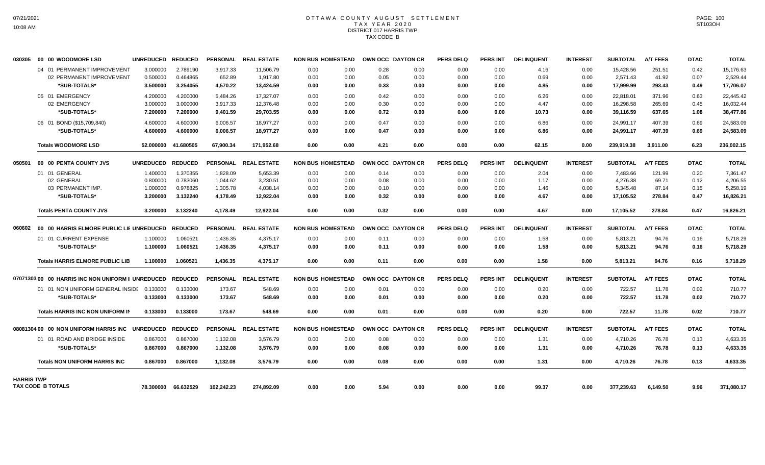# OTTAWA COUNTY AUGUST SETTLEMENT T A X Y E A R 2 0 2 0 DISTRICT 017 HARRIS TWP TAX CODE B

| 030305            | 00 00 WOODMORE LSD                                              | UNREDUCED REDUCED |                     |            | PERSONAL REAL ESTATE | <b>NON BUS HOMESTEAD</b> |      |      | OWN OCC DAYTON CR | <b>PERS DELQ</b> | <b>PERS INT</b> | <b>DELINQUENT</b> | <b>INTEREST</b> | <b>SUBTOTAL</b> | <b>A/T FEES</b> | <b>DTAC</b> | <b>TOTAL</b> |
|-------------------|-----------------------------------------------------------------|-------------------|---------------------|------------|----------------------|--------------------------|------|------|-------------------|------------------|-----------------|-------------------|-----------------|-----------------|-----------------|-------------|--------------|
|                   | 04 01 PERMANENT IMPROVEMENT                                     | 3.000000          | 2.789190            | 3,917.33   | 11,506.79            | 0.00                     | 0.00 | 0.28 | 0.00              | 0.00             | 0.00            | 4.16              | 0.00            | 15,428.56       | 251.51          | 0.42        | 15,176.63    |
|                   | 02 PERMANENT IMPROVEMENT                                        | 0.500000          | 0.464865            | 652.89     | 1,917.80             | 0.00                     | 0.00 | 0.05 | 0.00              | 0.00             | 0.00            | 0.69              | 0.00            | 2,571.43        | 41.92           | 0.07        | 2,529.44     |
|                   | *SUB-TOTALS*                                                    | 3.500000          | 3.254055            | 4,570.22   | 13,424.59            | 0.00                     | 0.00 | 0.33 | 0.00              | 0.00             | 0.00            | 4.85              | 0.00            | 17,999.99       | 293.43          | 0.49        | 17,706.07    |
|                   | 05 01 EMERGENCY                                                 | 4.200000          | 4.200000            | 5.484.26   | 17.327.07            | 0.00                     | 0.00 | 0.42 | 0.00              | 0.00             | 0.00            | 6.26              | 0.00            | 22,818.01       | 371.96          | 0.63        | 22.445.42    |
|                   | 02 EMERGENCY                                                    | 3.000000          | 3.000000            | 3,917.33   | 12,376.48            | 0.00                     | 0.00 | 0.30 | 0.00              | 0.00             | 0.00            | 4.47              | 0.00            | 16,298.58       | 265.69          | 0.45        | 16,032.44    |
|                   | *SUB-TOTALS*                                                    | 7.200000          | 7.200000            | 9,401.59   | 29,703.55            | 0.00                     | 0.00 | 0.72 | 0.00              | 0.00             | 0.00            | 10.73             | 0.00            | 39,116.59       | 637.65          | 1.08        | 38,477.86    |
|                   | 06 01 BOND (\$15,709,840)                                       | 4.600000          | 4.600000            | 6,006.57   | 18,977.27            | 0.00                     | 0.00 | 0.47 | 0.00              | 0.00             | 0.00            | 6.86              | 0.00            | 24,991.17       | 407.39          | 0.69        | 24,583.09    |
|                   | *SUB-TOTALS*                                                    | 4.600000          | 4.600000            | 6.006.57   | 18.977.27            | 0.00                     | 0.00 | 0.47 | 0.00              | 0.00             | 0.00            | 6.86              | 0.00            | 24,991.17       | 407.39          | 0.69        | 24,583.09    |
|                   | <b>Totals WOODMORE LSD</b>                                      |                   | 52.000000 41.680505 | 67.900.34  | 171.952.68           | 0.00                     | 0.00 | 4.21 | 0.00              | 0.00             | 0.00            | 62.15             | 0.00            | 239.919.38      | 3.911.00        | 6.23        | 236,002.15   |
|                   | 050501 00 00 PENTA COUNTY JVS                                   | UNREDUCED REDUCED |                     |            | PERSONAL REAL ESTATE | <b>NON BUS HOMESTEAD</b> |      |      | OWN OCC DAYTON CR | <b>PERS DELQ</b> | <b>PERS INT</b> | <b>DELINQUENT</b> | <b>INTEREST</b> | <b>SUBTOTAL</b> | <b>A/T FEES</b> | <b>DTAC</b> | <b>TOTAL</b> |
|                   | 01 01 GENERAL                                                   | 1.400000          | 1.370355            | 1,828.09   | 5.653.39             | 0.00                     | 0.00 | 0.14 | 0.00              | 0.00             | 0.00            | 2.04              | 0.00            | 7.483.66        | 121.99          | 0.20        | 7.361.47     |
|                   | 02 GENERAL                                                      | 0.800000          | 0.783060            | 1.044.62   | 3,230.51             | 0.00                     | 0.00 | 0.08 | 0.00              | 0.00             | 0.00            | 1.17              | 0.00            | 4.276.38        | 69.71           | 0.12        | 4,206.55     |
|                   | 03 PERMANENT IMP.                                               | 1.000000          | 0.978825            | 1,305.78   | 4,038.14             | 0.00                     | 0.00 | 0.10 | 0.00              | 0.00             | 0.00            | 1.46              | 0.00            | 5,345.48        | 87.14           | 0.15        | 5,258.19     |
|                   | *SUB-TOTALS*                                                    | 3.200000          | 3.132240            | 4,178.49   | 12,922.04            | 0.00                     | 0.00 | 0.32 | 0.00              | 0.00             | 0.00            | 4.67              | 0.00            | 17,105.52       | 278.84          | 0.47        | 16,826.21    |
|                   | <b>Totals PENTA COUNTY JVS</b>                                  | 3.200000          | 3.132240            | 4.178.49   | 12.922.04            | 0.00                     | 0.00 | 0.32 | 0.00              | 0.00             | 0.00            | 4.67              | 0.00            | 17,105.52       | 278.84          | 0.47        | 16,826.21    |
| 060602            | 00 00 HARRIS ELMORE PUBLIC LIE UNREDUCED                        |                   | <b>REDUCED</b>      |            | PERSONAL REAL ESTATE | <b>NON BUS HOMESTEAD</b> |      |      | OWN OCC DAYTON CR | <b>PERS DELQ</b> | <b>PERS INT</b> | <b>DELINQUENT</b> | <b>INTEREST</b> | <b>SUBTOTAL</b> | <b>A/T FEES</b> | <b>DTAC</b> | <b>TOTAL</b> |
|                   | 01 01 CURRENT EXPENSE                                           | 1.100000          | 1.060521            | 1,436.35   | 4,375.17             | 0.00                     | 0.00 | 0.11 | 0.00              | 0.00             | 0.00            | 1.58              | 0.00            | 5,813.21        | 94.76           | 0.16        | 5,718.29     |
|                   | *SUB-TOTALS*                                                    | 1.100000          | 1.060521            | 1,436.35   | 4.375.17             | 0.00                     | 0.00 | 0.11 | 0.00              | 0.00             | 0.00            | 1.58              | 0.00            | 5,813.21        | 94.76           | 0.16        | 5,718.29     |
|                   | <b>Totals HARRIS ELMORE PUBLIC LIB</b>                          | 1.100000          | 1.060521            | 1,436.35   | 4.375.17             | 0.00                     | 0.00 | 0.11 | 0.00              | 0.00             | 0.00            | 1.58              | 0.00            | 5,813.21        | 94.76           | 0.16        | 5,718.29     |
|                   | 07071303 00   00  HARRIS INC NON UNIFORM II UNREDUCED   REDUCED |                   |                     |            | PERSONAL REAL ESTATE | <b>NON BUS HOMESTEAD</b> |      |      | OWN OCC DAYTON CR | <b>PERS DELQ</b> | <b>PERS INT</b> | <b>DELINQUENT</b> | <b>INTEREST</b> | <b>SUBTOTAL</b> | <b>A/T FEES</b> | <b>DTAC</b> | <b>TOTAL</b> |
|                   | 01 01 NON UNIFORM GENERAL INSIDE                                | 0.133000          | 0.133000            | 173.67     | 548.69               | 0.00                     | 0.00 | 0.01 | 0.00              | 0.00             | 0.00            | 0.20              | 0.00            | 722.57          | 11.78           | 0.02        | 710.77       |
|                   | *SUB-TOTALS*                                                    | 0.133000          | 0.133000            | 173.67     | 548.69               | 0.00                     | 0.00 | 0.01 | 0.00              | 0.00             | 0.00            | 0.20              | 0.00            | 722.57          | 11.78           | 0.02        | 710.77       |
|                   | Totals HARRIS INC NON UNIFORM IN                                | 0.133000          | 0.133000            | 173.67     | 548.69               | 0.00                     | 0.00 | 0.01 | 0.00              | 0.00             | 0.00            | 0.20              | 0.00            | 722.57          | 11.78           | 0.02        | 710.77       |
|                   | 08081304 00 00 NON UNIFORM HARRIS INC                           | <b>UNREDUCED</b>  | <b>REDUCED</b>      |            | PERSONAL REAL ESTATE | <b>NON BUS HOMESTEAD</b> |      |      | OWN OCC DAYTON CR | <b>PERS DELQ</b> | <b>PERS INT</b> | <b>DELINQUENT</b> | <b>INTEREST</b> | <b>SUBTOTAL</b> | <b>A/T FEES</b> | <b>DTAC</b> | <b>TOTAL</b> |
|                   | 01 01 ROAD AND BRIDGE INSIDE                                    | 0.867000          | 0.867000            | 1,132.08   | 3,576.79             | 0.00                     | 0.00 | 0.08 | 0.00              | 0.00             | 0.00            | 1.31              | 0.00            | 4,710.26        | 76.78           | 0.13        | 4,633.35     |
|                   | *SUB-TOTALS*                                                    | 0.867000          | 0.867000            | 1,132.08   | 3,576.79             | 0.00                     | 0.00 | 0.08 | 0.00              | 0.00             | 0.00            | 1.31              | 0.00            | 4,710.26        | 76.78           | 0.13        | 4,633.35     |
|                   | <b>Totals NON UNIFORM HARRIS INC</b>                            | 0.867000          | 0.867000            | 1,132.08   | 3,576.79             | 0.00                     | 0.00 | 0.08 | 0.00              | 0.00             | 0.00            | 1.31              | 0.00            | 4,710.26        | 76.78           | 0.13        | 4,633.35     |
| <b>HARRIS TWP</b> |                                                                 |                   |                     |            |                      |                          |      |      |                   |                  |                 |                   |                 |                 |                 |             |              |
|                   | TAX CODE B TOTALS                                               | 78.300000         | 66.632529           | 102,242.23 | 274,892.09           | 0.00                     | 0.00 | 5.94 | 0.00              | 0.00             | 0.00            | 99.37             | 0.00            | 377,239.63      | 6,149.50        | 9.96        | 371,080.17   |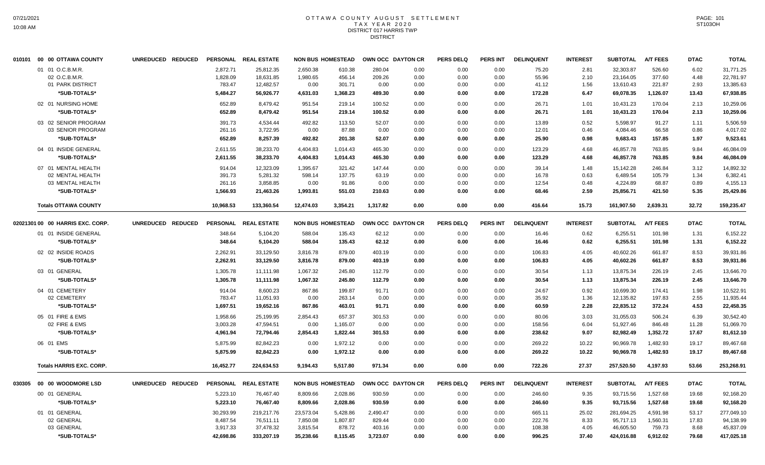### OTTAWA COUNTY AUGUST SETTLEMENT T A X Y E A R 2 0 2 0 DISTRICT 017 HARRIS TWP DISTRICT

| 010101 00 00 OTTAWA COUNTY         | UNREDUCED REDUCED |           | PERSONAL REAL ESTATE |           | <b>NON BUS HOMESTEAD</b> |          | OWN OCC DAYTON CR | <b>PERS DELQ</b> | <b>PERS INT</b> | <b>DELINQUENT</b> | <b>INTEREST</b> | <b>SUBTOTAL</b> | <b>A/T FEES</b> | <b>DTAC</b> | <b>TOTAL</b> |
|------------------------------------|-------------------|-----------|----------------------|-----------|--------------------------|----------|-------------------|------------------|-----------------|-------------------|-----------------|-----------------|-----------------|-------------|--------------|
| 01 01 O.C.B.M.R.                   |                   | 2.872.71  | 25.812.35            | 2.650.38  | 610.38                   | 280.04   | 0.00              | 0.00             | 0.00            | 75.20             | 2.81            | 32.303.87       | 526.60          | 6.02        | 31,771.25    |
| 02 O.C.B.M.R.                      |                   | 1,828.09  | 18,631.85            | 1,980.65  | 456.14                   | 209.26   | 0.00              | 0.00             | 0.00            | 55.96             | 2.10            | 23,164.05       | 377.60          | 4.48        | 22,781.97    |
| 01 PARK DISTRICT                   |                   | 783.47    | 12,482.57            | 0.00      | 301.71                   | 0.00     | 0.00              | 0.00             | 0.00            | 41.12             | 1.56            | 13,610.43       | 221.87          | 2.93        | 13,385.63    |
| *SUB-TOTALS*                       |                   | 5,484.27  | 56,926.77            | 4,631.03  | 1,368.23                 | 489.30   | 0.00              | 0.00             | 0.00            | 172.28            | 6.47            | 69,078.35       | 1,126.07        | 13.43       | 67,938.85    |
| 02 01 NURSING HOME                 |                   | 652.89    | 8,479.42             | 951.54    | 219.14                   | 100.52   | 0.00              | 0.00             | 0.00            | 26.71             | 1.01            | 10,431.23       | 170.04          | 2.13        | 10,259.06    |
| *SUB-TOTALS*                       |                   | 652.89    | 8.479.42             | 951.54    | 219.14                   | 100.52   | 0.00              | 0.00             | 0.00            | 26.71             | 1.01            | 10,431.23       | 170.04          | 2.13        | 10,259.06    |
| 03 02 SENIOR PROGRAM               |                   | 391.73    | 4,534.44             | 492.82    | 113.50                   | 52.07    | 0.00              | 0.00             | 0.00            | 13.89             | 0.52            | 5,598.97        | 91.27           | 1.11        | 5,506.59     |
| 03 SENIOR PROGRAM                  |                   | 261.16    | 3,722.95             | 0.00      | 87.88                    | 0.00     | 0.00              | 0.00             | 0.00            | 12.01             | 0.46            | 4,084.46        | 66.58           | 0.86        | 4,017.02     |
| *SUB-TOTALS*                       |                   | 652.89    | 8,257.39             | 492.82    | 201.38                   | 52.07    | 0.00              | 0.00             | 0.00            | 25.90             | 0.98            | 9,683.43        | 157.85          | 1.97        | 9,523.61     |
| 04 01 INSIDE GENERAL               |                   | 2,611.55  | 38,233.70            | 4,404.83  | 1,014.43                 | 465.30   | 0.00              | 0.00             | 0.00            | 123.29            | 4.68            | 46,857.78       | 763.85          | 9.84        | 46,084.09    |
| *SUB-TOTALS*                       |                   | 2,611.55  | 38,233.70            | 4,404.83  | 1,014.43                 | 465.30   | 0.00              | 0.00             | 0.00            | 123.29            | 4.68            | 46,857.78       | 763.85          | 9.84        | 46,084.09    |
| 07 01 MENTAL HEALTH                |                   | 914.04    | 12,323.09            | 1,395.67  | 321.42                   | 147.44   | 0.00              | 0.00             | 0.00            | 39.14             | 1.48            | 15,142.28       | 246.84          | 3.12        | 14,892.32    |
| 02 MENTAL HEALTH                   |                   | 391.73    | 5,281.32             | 598.14    | 137.75                   | 63.19    | 0.00              | 0.00             | 0.00            | 16.78             | 0.63            | 6,489.54        | 105.79          | 1.34        | 6.382.41     |
| 03 MENTAL HEALTH                   |                   | 261.16    | 3,858.85             | 0.00      | 91.86                    | 0.00     | 0.00              | 0.00             | 0.00            | 12.54             | 0.48            | 4,224.89        | 68.87           | 0.89        | 4,155.13     |
| *SUB-TOTALS*                       |                   | 1,566.93  | 21,463.26            | 1,993.81  | 551.03                   | 210.63   | 0.00              | 0.00             | 0.00            | 68.46             | 2.59            | 25,856.71       | 421.50          | 5.35        | 25,429.86    |
| <b>Totals OTTAWA COUNTY</b>        |                   | 10,968.53 | 133.360.54           | 12.474.03 | 3.354.21                 | 1,317.82 | 0.00              | 0.00             | 0.00            | 416.64            | 15.73           | 161.907.50      | 2,639.31        | 32.72       | 159,235.47   |
| 02021301 00 00 HARRIS EXC. CORP.   | UNREDUCED REDUCED |           | PERSONAL REAL ESTATE |           | <b>NON BUS HOMESTEAD</b> |          | OWN OCC DAYTON CR | <b>PERS DELQ</b> | PERS INT        | <b>DELINQUENT</b> | <b>INTEREST</b> | <b>SUBTOTAL</b> | <b>A/T FEES</b> | <b>DTAC</b> | <b>TOTAL</b> |
| 01 01 INSIDE GENERAL               |                   | 348.64    | 5,104.20             | 588.04    | 135.43                   | 62.12    | 0.00              | 0.00             | 0.00            | 16.46             | 0.62            | 6,255.51        | 101.98          | 1.31        | 6,152.22     |
| *SUB-TOTALS*                       |                   | 348.64    | 5,104.20             | 588.04    | 135.43                   | 62.12    | 0.00              | 0.00             | 0.00            | 16.46             | 0.62            | 6,255.51        | 101.98          | 1.31        | 6,152.22     |
| 02 02 INSIDE ROADS                 |                   | 2,262.91  | 33,129.50            | 3,816.78  | 879.00                   | 403.19   | 0.00              | 0.00             | 0.00            | 106.83            | 4.05            | 40,602.26       | 661.87          | 8.53        | 39,931.86    |
| *SUB-TOTALS*                       |                   | 2,262.91  | 33,129.50            | 3,816.78  | 879.00                   | 403.19   | 0.00              | 0.00             | 0.00            | 106.83            | 4.05            | 40,602.26       | 661.87          | 8.53        | 39,931.86    |
| 03 01 GENERAL                      |                   | 1,305.78  | 11.111.98            | 1.067.32  | 245.80                   | 112.79   | 0.00              | 0.00             | 0.00            | 30.54             | 1.13            | 13.875.34       | 226.19          | 2.45        | 13.646.70    |
| *SUB-TOTALS*                       |                   | 1,305.78  | 11,111.98            | 1,067.32  | 245.80                   | 112.79   | 0.00              | 0.00             | 0.00            | 30.54             | 1.13            | 13,875.34       | 226.19          | 2.45        | 13,646.70    |
| 04 01 CEMETERY                     |                   | 914.04    | 8.600.23             | 867.86    | 199.87                   | 91.71    | 0.00              | 0.00             | 0.00            | 24.67             | 0.92            | 10,699.30       | 174.41          | 1.98        | 10.522.91    |
| 02 CEMETERY                        |                   | 783.47    | 11,051.93            | 0.00      | 263.14                   | 0.00     | 0.00              | 0.00             | 0.00            | 35.92             | 1.36            | 12,135.82       | 197.83          | 2.55        | 11,935.44    |
| *SUB-TOTALS*                       |                   | 1,697.51  | 19,652.16            | 867.86    | 463.01                   | 91.71    | 0.00              | 0.00             | 0.00            | 60.59             | 2.28            | 22,835.12       | 372.24          | 4.53        | 22,458.35    |
| 05 01 FIRE & EMS                   |                   | 1,958.66  | 25,199.95            | 2,854.43  | 657.37                   | 301.53   | 0.00              | 0.00             | 0.00            | 80.06             | 3.03            | 31,055.03       | 506.24          | 6.39        | 30,542.40    |
| 02 FIRE & EMS                      |                   | 3,003.28  | 47,594.51            | 0.00      | 1,165.07                 | 0.00     | 0.00              | 0.00             | 0.00            | 158.56            | 6.04            | 51,927.46       | 846.48          | 11.28       | 51,069.70    |
| *SUB-TOTALS*                       |                   | 4,961.94  | 72.794.46            | 2.854.43  | 1.822.44                 | 301.53   | 0.00              | 0.00             | 0.00            | 238.62            | 9.07            | 82.982.49       | 1.352.72        | 17.67       | 81,612.10    |
| 06 01 EMS                          |                   | 5,875.99  | 82,842.23            | 0.00      | 1,972.12                 | 0.00     | 0.00              | 0.00             | 0.00            | 269.22            | 10.22           | 90,969.78       | 1,482.93        | 19.17       | 89,467.68    |
| *SUB-TOTALS*                       |                   | 5,875.99  | 82,842.23            | 0.00      | 1,972.12                 | 0.00     | 0.00              | 0.00             | 0.00            | 269.22            | 10.22           | 90,969.78       | 1,482.93        | 19.17       | 89,467.68    |
| <b>Totals HARRIS EXC. CORP.</b>    |                   | 16,452.77 | 224,634.53           | 9,194.43  | 5,517.80                 | 971.34   | 0.00              | 0.00             | 0.00            | 722.26            | 27.37           | 257,520.50      | 4,197.93        | 53.66       | 253,268.91   |
| 030305    00    00    WOODMORE LSD | UNREDUCED REDUCED |           | PERSONAL REAL ESTATE |           | <b>NON BUS HOMESTEAD</b> |          | OWN OCC DAYTON CR | <b>PERS DELQ</b> | <b>PERS INT</b> | <b>DELINQUENT</b> | <b>INTEREST</b> | <b>SUBTOTAL</b> | <b>A/T FEES</b> | <b>DTAC</b> | <b>TOTAL</b> |
| 00 01 GENERAL                      |                   | 5,223.10  | 76,467.40            | 8,809.66  | 2,028.86                 | 930.59   | 0.00              | 0.00             | 0.00            | 246.60            | 9.35            | 93,715.56       | 1,527.68        | 19.68       | 92,168.20    |
| *SUB-TOTALS*                       |                   | 5,223.10  | 76,467.40            | 8,809.66  | 2,028.86                 | 930.59   | 0.00              | 0.00             | 0.00            | 246.60            | 9.35            | 93,715.56       | 1,527.68        | 19.68       | 92,168.20    |
| 01 01 GENERAL                      |                   | 30,293.99 | 219,217.76           | 23,573.04 | 5,428.86                 | 2,490.47 | 0.00              | 0.00             | 0.00            | 665.11            | 25.02           | 281,694.25      | 4,591.98        | 53.17       | 277,049.10   |
| 02 GENERAL                         |                   | 8,487.54  | 76,511.11            | 7,850.08  | 1,807.87                 | 829.44   | 0.00              | 0.00             | 0.00            | 222.76            | 8.33            | 95,717.13       | 1,560.31        | 17.83       | 94,138.99    |
| 03 GENERAL                         |                   | 3,917.33  | 37,478.32            | 3,815.54  | 878.72                   | 403.16   | 0.00              | 0.00             | 0.00            | 108.38            | 4.05            | 46,605.50       | 759.73          | 8.68        | 45,837.09    |
| *SUB-TOTALS*                       |                   | 42,698.86 | 333,207.19           | 35,238.66 | 8,115.45                 | 3,723.07 | 0.00              | 0.00             | 0.00            | 996.25            | 37.40           | 424,016.88      | 6,912.02        | 79.68       | 417,025.18   |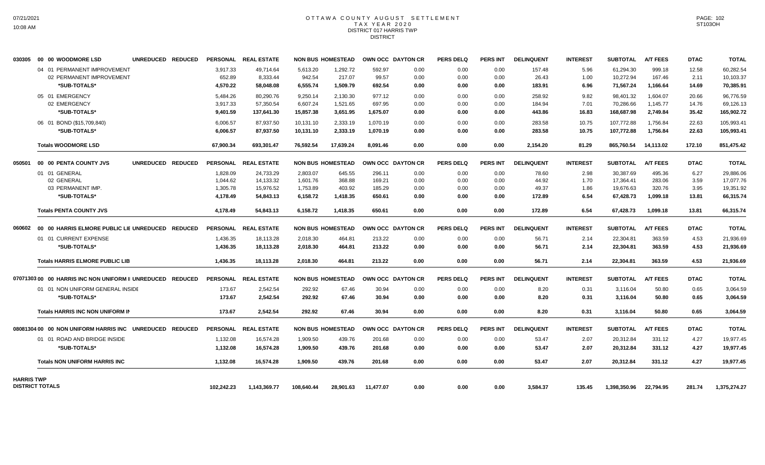## OTTAWA COUNTY AUGUST SETTLEMENT T A X Y E A R 2 0 2 0 DISTRICT 017 HARRIS TWP DISTRICT

|                   | 030305 00 00 WOODMORE LSD                                 | UNREDUCED REDUCED |                    | PERSONAL REAL ESTATE  |                    | <b>NON BUS HOMESTEAD</b> |                 | <b>OWN OCC DAYTON CR</b> | <b>PERS DELQ</b> | <b>PERS INT</b> | <b>DELINQUENT</b> | <b>INTEREST</b> | <b>SUBTOTAL</b>        | <b>A/T FEES</b>  | <b>DTAC</b>   | <b>TOTAL</b>           |
|-------------------|-----------------------------------------------------------|-------------------|--------------------|-----------------------|--------------------|--------------------------|-----------------|--------------------------|------------------|-----------------|-------------------|-----------------|------------------------|------------------|---------------|------------------------|
|                   | 04 01 PERMANENT IMPROVEMENT<br>02 PERMANENT IMPROVEMENT   |                   | 3.917.33<br>652.89 | 49.714.64<br>8,333.44 | 5,613.20<br>942.54 | 1,292.72<br>217.07       | 592.97<br>99.57 | 0.00<br>0.00             | 0.00<br>0.00     | 0.00<br>0.00    | 157.48<br>26.43   | 5.96<br>1.00    | 61,294.30<br>10,272.94 | 999.18<br>167.46 | 12.58<br>2.11 | 60.282.54<br>10,103.37 |
|                   | *SUB-TOTALS*                                              |                   | 4,570.22           | 58.048.08             | 6,555.74           | 1,509.79                 | 692.54          | 0.00                     | 0.00             | 0.00            | 183.91            | 6.96            | 71,567.24              | 1.166.64         | 14.69         | 70.385.91              |
|                   | 05 01 EMERGENCY                                           |                   | 5,484.26           | 80,290.76             | 9,250.14           | 2,130.30                 | 977.12          | 0.00                     | 0.00             | 0.00            | 258.92            | 9.82            | 98,401.32              | 1.604.07         | 20.66         | 96,776.59              |
|                   | 02 EMERGENCY                                              |                   | 3,917.33           | 57,350.54             | 6,607.24           | 1,521.65                 | 697.95          | 0.00                     | 0.00             | 0.00            | 184.94            | 7.01            | 70,286.66              | 1,145.77         | 14.76         | 69,126.13              |
|                   | *SUB-TOTALS*                                              |                   | 9.401.59           | 137,641.30            | 15,857.38          | 3,651.95                 | 1.675.07        | 0.00                     | 0.00             | 0.00            | 443.86            | 16.83           | 168,687.98             | 2.749.84         | 35.42         | 165,902.72             |
|                   | 06 01 BOND (\$15,709,840)                                 |                   | 6.006.57           | 87,937.50             | 10,131.10          | 2,333.19                 | 1.070.19        | 0.00                     | 0.00             | 0.00            | 283.58            | 10.75           | 107.772.88             | 1.756.84         | 22.63         | 105,993.41             |
|                   | *SUB-TOTALS*                                              |                   | 6,006.57           | 87,937.50             | 10,131.10          | 2,333.19                 | 1.070.19        | 0.00                     | 0.00             | 0.00            | 283.58            | 10.75           | 107,772.88             | 1.756.84         | 22.63         | 105,993.41             |
|                   | <b>Totals WOODMORE LSD</b>                                |                   | 67,900.34          | 693,301.47            | 76,592.54          | 17,639.24                | 8,091.46        | 0.00                     | 0.00             | 0.00            | 2,154.20          | 81.29           | 865,760.54             | 14,113.02        | 172.10        | 851,475.42             |
| 050501            | 00 00 PENTA COUNTY JVS                                    | UNREDUCED REDUCED |                    | PERSONAL REAL ESTATE  |                    | <b>NON BUS HOMESTEAD</b> |                 | <b>OWN OCC DAYTON CR</b> | <b>PERS DELQ</b> | <b>PERS INT</b> | <b>DELINQUENT</b> | <b>INTEREST</b> | <b>SUBTOTAL</b>        | <b>A/T FEES</b>  | <b>DTAC</b>   | <b>TOTAL</b>           |
|                   | 01 01 GENERAL                                             |                   | 1.828.09           | 24,733.29             | 2,803.07           | 645.55                   | 296.11          | 0.00                     | 0.00             | 0.00            | 78.60             | 2.98            | 30.387.69              | 495.36           | 6.27          | 29,886.06              |
|                   | 02 GENERAL                                                |                   | 1.044.62           | 14,133.32             | 1,601.76           | 368.88                   | 169.21          | 0.00                     | 0.00             | 0.00            | 44.92             | 1.70            | 17,364.41              | 283.06           | 3.59          | 17,077.76              |
|                   | 03 PERMANENT IMP.                                         |                   | 1,305.78           | 15,976.52             | 1,753.89           | 403.92                   | 185.29          | 0.00                     | 0.00             | 0.00            | 49.37             | 1.86            | 19,676.63              | 320.76           | 3.95          | 19,351.92              |
|                   | *SUB-TOTALS*                                              |                   | 4,178.49           | 54,843.13             | 6,158.72           | 1,418.35                 | 650.61          | 0.00                     | 0.00             | 0.00            | 172.89            | 6.54            | 67,428.73              | 1,099.18         | 13.81         | 66,315.74              |
|                   | <b>Totals PENTA COUNTY JVS</b>                            |                   | 4.178.49           | 54,843.13             | 6,158.72           | 1.418.35                 | 650.61          | 0.00                     | 0.00             | 0.00            | 172.89            | 6.54            | 67,428.73              | 1,099.18         | 13.81         | 66,315.74              |
| 060602            | 00 00 HARRIS ELMORE PUBLIC LIE UNREDUCED REDUCED          |                   |                    | PERSONAL REAL ESTATE  |                    | <b>NON BUS HOMESTEAD</b> |                 | OWN OCC DAYTON CR        | <b>PERS DELQ</b> | <b>PERS INT</b> | <b>DELINQUENT</b> | <b>INTEREST</b> | <b>SUBTOTAL</b>        | <b>A/T FEES</b>  | <b>DTAC</b>   | <b>TOTAL</b>           |
|                   | 01 01 CURRENT EXPENSE                                     |                   | 1,436.35           | 18,113.28             | 2,018.30           | 464.81                   | 213.22          | 0.00                     | 0.00             | 0.00            | 56.71             | 2.14            | 22,304.81              | 363.59           | 4.53          | 21,936.69              |
|                   | *SUB-TOTALS*                                              |                   | 1,436.35           | 18,113.28             | 2,018.30           | 464.81                   | 213.22          | 0.00                     | 0.00             | 0.00            | 56.71             | 2.14            | 22,304.81              | 363.59           | 4.53          | 21,936.69              |
|                   | <b>Totals HARRIS ELMORE PUBLIC LIB</b>                    |                   | 1,436.35           | 18,113.28             | 2,018.30           | 464.81                   | 213.22          | 0.00                     | 0.00             | 0.00            | 56.71             | 2.14            | 22,304.81              | 363.59           | 4.53          | 21,936.69              |
|                   | 0707130300 00 HARRIS INC NON UNIFORM II UNREDUCED REDUCED |                   |                    | PERSONAL REAL ESTATE  |                    | <b>NON BUS HOMESTEAD</b> |                 | OWN OCC DAYTON CR        | <b>PERS DELQ</b> | <b>PERS INT</b> | <b>DELINQUENT</b> | <b>INTEREST</b> | <b>SUBTOTAL</b>        | <b>A/T FEES</b>  | <b>DTAC</b>   | <b>TOTAL</b>           |
|                   | 01 01 NON UNIFORM GENERAL INSIDE                          |                   | 173.67             | 2,542.54              | 292.92             | 67.46                    | 30.94           | 0.00                     | 0.00             | 0.00            | 8.20              | 0.31            | 3.116.04               | 50.80            | 0.65          | 3,064.59               |
|                   | *SUB-TOTALS*                                              |                   | 173.67             | 2,542.54              | 292.92             | 67.46                    | 30.94           | 0.00                     | 0.00             | 0.00            | 8.20              | 0.31            | 3,116.04               | 50.80            | 0.65          | 3,064.59               |
|                   | <b>Totals HARRIS INC NON UNIFORM IN</b>                   |                   | 173.67             | 2,542.54              | 292.92             | 67.46                    | 30.94           | 0.00                     | 0.00             | 0.00            | 8.20              | 0.31            | 3,116.04               | 50.80            | 0.65          | 3,064.59               |
|                   | 08081304 00 00 NON UNIFORM HARRIS INC                     | UNREDUCED REDUCED |                    | PERSONAL REAL ESTATE  |                    | <b>NON BUS HOMESTEAD</b> |                 | OWN OCC DAYTON CR        | <b>PERS DELQ</b> | <b>PERS INT</b> | <b>DELINQUENT</b> | <b>INTEREST</b> | <b>SUBTOTAL</b>        | <b>A/T FEES</b>  | <b>DTAC</b>   | <b>TOTAL</b>           |
|                   | 01 01 ROAD AND BRIDGE INSIDE                              |                   | 1,132.08           | 16.574.28             | 1.909.50           | 439.76                   | 201.68          | 0.00                     | 0.00             | 0.00            | 53.47             | 2.07            | 20,312.84              | 331.12           | 4.27          | 19,977.45              |
|                   | *SUB-TOTALS*                                              |                   | 1.132.08           | 16,574.28             | 1,909.50           | 439.76                   | 201.68          | 0.00                     | 0.00             | 0.00            | 53.47             | 2.07            | 20,312.84              | 331.12           | 4.27          | 19,977.45              |
|                   | <b>Totals NON UNIFORM HARRIS INC</b>                      |                   | 1,132.08           | 16,574.28             | 1,909.50           | 439.76                   | 201.68          | 0.00                     | 0.00             | 0.00            | 53.47             | 2.07            | 20,312.84              | 331.12           | 4.27          | 19,977.45              |
| <b>HARRIS TWP</b> |                                                           |                   |                    |                       |                    |                          |                 |                          |                  |                 |                   |                 |                        |                  |               |                        |
|                   | <b>DISTRICT TOTALS</b>                                    |                   | 102,242.23         | 1,143,369.77          | 108,640.44         | 28,901.63                | 11,477.07       | 0.00                     | 0.00             | 0.00            | 3,584.37          | 135.45          | 1,398,350.96           | 22,794.95        | 281.74        | 1,375,274.27           |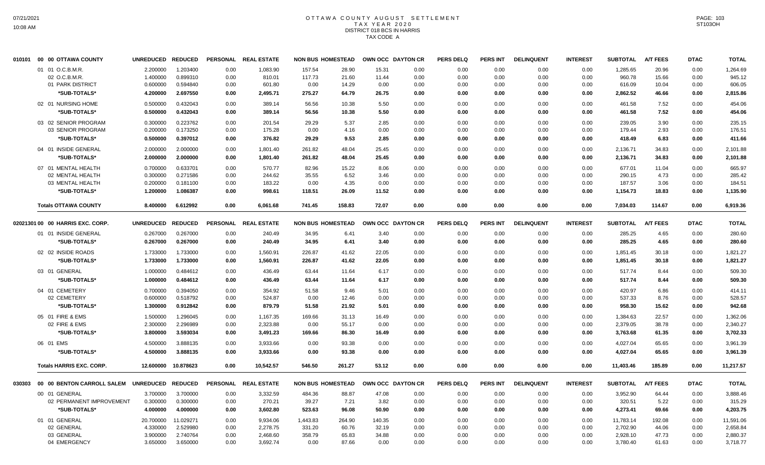## OTTAWA COUNTY AUGUST SETTLEMENT T A X Y E A R 2 0 2 0 DISTRICT 018 BCS IN HARRIS TAX CODE A

|        | 010101 00 00 OTTAWA COUNTY       | UNREDUCED REDUCED |                |                 | PERSONAL REAL ESTATE | <b>NON BUS HOMESTEAD</b> |        |        | OWN OCC DAYTON CR | <b>PERS DELQ</b> | <b>PERS INT</b> | <b>DELINQUENT</b> | <b>INTEREST</b> | <b>SUBTOTAL</b> | <b>A/T FEES</b> | <b>DTAC</b> | <b>TOTAL</b> |
|--------|----------------------------------|-------------------|----------------|-----------------|----------------------|--------------------------|--------|--------|-------------------|------------------|-----------------|-------------------|-----------------|-----------------|-----------------|-------------|--------------|
|        | 01 01 O.C.B.M.R.                 | 2.200000          | 1.203400       | 0.00            | 1,083.90             | 157.54                   | 28.90  | 15.31  | 0.00              | 0.00             | 0.00            | 0.00              | 0.00            | 1,285.65        | 20.96           | 0.00        | 1,264.69     |
|        | 02 O.C.B.M.R.                    | 1.400000          | 0.899310       | 0.00            | 810.01               | 117.73                   | 21.60  | 11.44  | 0.00              | 0.00             | 0.00            | 0.00              | 0.00            | 960.78          | 15.66           | 0.00        | 945.12       |
|        | 01 PARK DISTRICT                 | 0.600000          | 0.594840       | 0.00            | 601.80               | 0.00                     | 14.29  | 0.00   | 0.00              | 0.00             | 0.00            | 0.00              | 0.00            | 616.09          | 10.04           | 0.00        | 606.05       |
|        | *SUB-TOTALS*                     | 4.200000          | 2.697550       | 0.00            | 2,495.71             | 275.27                   | 64.79  | 26.75  | 0.00              | 0.00             | 0.00            | 0.00              | 0.00            | 2,862.52        | 46.66           | 0.00        | 2,815.86     |
|        | 02 01 NURSING HOME               | 0.500000          | 0.432043       | 0.00            | 389.14               | 56.56                    | 10.38  | 5.50   | 0.00              | 0.00             | 0.00            | 0.00              | 0.00            | 461.58          | 7.52            | 0.00        | 454.06       |
|        | *SUB-TOTALS*                     | 0.500000          | 0.432043       | 0.00            | 389.14               | 56.56                    | 10.38  | 5.50   | 0.00              | 0.00             | 0.00            | 0.00              | 0.00            | 461.58          | 7.52            | 0.00        | 454.06       |
|        | 03 02 SENIOR PROGRAM             | 0.300000          | 0.223762       | 0.00            | 201.54               | 29.29                    | 5.37   | 2.85   | 0.00              | 0.00             | 0.00            | 0.00              | 0.00            | 239.05          | 3.90            | 0.00        | 235.15       |
|        | 03 SENIOR PROGRAM                | 0.200000          | 0.173250       | 0.00            | 175.28               | 0.00                     | 4.16   | 0.00   | 0.00              | 0.00             | 0.00            | 0.00              | 0.00            | 179.44          | 2.93            | 0.00        | 176.51       |
|        | *SUB-TOTALS*                     | 0.500000          | 0.397012       | 0.00            | 376.82               | 29.29                    | 9.53   | 2.85   | 0.00              | 0.00             | 0.00            | 0.00              | 0.00            | 418.49          | 6.83            | 0.00        | 411.66       |
|        | 04 01 INSIDE GENERAL             | 2.000000          | 2.000000       | 0.00            | 1,801.40             | 261.82                   | 48.04  | 25.45  | 0.00              | 0.00             | 0.00            | 0.00              | 0.00            | 2,136.71        | 34.83           | 0.00        | 2,101.88     |
|        | *SUB-TOTALS*                     | 2.000000          | 2.000000       | 0.00            | 1,801.40             | 261.82                   | 48.04  | 25.45  | 0.00              | 0.00             | 0.00            | 0.00              | 0.00            | 2,136.71        | 34.83           | 0.00        | 2,101.88     |
|        | 07 01 MENTAL HEALTH              | 0.700000          | 0.633701       | 0.00            | 570.77               | 82.96                    | 15.22  | 8.06   | 0.00              | 0.00             | 0.00            | 0.00              | 0.00            | 677.01          | 11.04           | 0.00        | 665.97       |
|        | 02 MENTAL HEALTH                 | 0.300000          | 0.271586       | 0.00            | 244.62               | 35.55                    | 6.52   | 3.46   | 0.00              | 0.00             | 0.00            | 0.00              | 0.00            | 290.15          | 4.73            | 0.00        | 285.42       |
|        | 03 MENTAL HEALTH                 | 0.200000          | 0.181100       | 0.00            | 183.22               | 0.00                     | 4.35   | 0.00   | 0.00              | 0.00             | 0.00            | 0.00              | 0.00            | 187.57          | 3.06            | 0.00        | 184.51       |
|        | *SUB-TOTALS*                     | 1.200000          | 1.086387       | 0.00            | 998.61               | 118.51                   | 26.09  | 11.52  | 0.00              | 0.00             | 0.00            | 0.00              | 0.00            | 1,154.73        | 18.83           | 0.00        | 1,135.90     |
|        | <b>Totals OTTAWA COUNTY</b>      | 8.400000          | 6.612992       | 0.00            | 6,061.68             | 741.45                   | 158.83 | 72.07  | 0.00              | 0.00             | 0.00            | 0.00              | 0.00            | 7,034.03        | 114.67          | 0.00        | 6,919.36     |
|        | 02021301 00 00 HARRIS EXC. CORP. | <b>UNREDUCED</b>  | <b>REDUCED</b> | <b>PERSONAL</b> | <b>REAL ESTATE</b>   | <b>NON BUS HOMESTEAD</b> |        |        | OWN OCC DAYTON CR | <b>PERS DELQ</b> | <b>PERS INT</b> | <b>DELINQUENT</b> | <b>INTEREST</b> | <b>SUBTOTAL</b> | <b>A/T FEES</b> | <b>DTAC</b> | <b>TOTAL</b> |
|        | 01 01 INSIDE GENERAL             | 0.267000          | 0.267000       | 0.00            | 240.49               | 34.95                    | 6.41   | 3.40   | 0.00              | 0.00             | 0.00            | 0.00              | 0.00            | 285.25          | 4.65            | 0.00        | 280.60       |
|        | *SUB-TOTALS*                     | 0.267000          | 0.267000       | 0.00            | 240.49               | 34.95                    | 6.41   | 3.40   | 0.00              | 0.00             | 0.00            | 0.00              | 0.00            | 285.25          | 4.65            | 0.00        | 280.60       |
|        |                                  |                   |                |                 |                      |                          |        |        |                   |                  |                 |                   |                 |                 |                 |             |              |
|        | 02 02 INSIDE ROADS               | 1.733000          | 1.733000       | 0.00            | 1,560.91             | 226.87                   | 41.62  | 22.05  | 0.00              | 0.00             | 0.00            | 0.00              | 0.00            | 1,851.45        | 30.18           | 0.00        | 1,821.27     |
|        | *SUB-TOTALS*                     | 1.733000          | 1.733000       | 0.00            | 1,560.91             | 226.87                   | 41.62  | 22.05  | 0.00              | 0.00             | 0.00            | 0.00              | 0.00            | 1,851.45        | 30.18           | 0.00        | 1,821.27     |
|        | 03 01 GENERAL                    | 1.000000          | 0.484612       | 0.00            | 436.49               | 63.44                    | 11.64  | 6.17   | 0.00              | 0.00             | 0.00            | 0.00              | 0.00            | 517.74          | 8.44            | 0.00        | 509.30       |
|        | *SUB-TOTALS*                     | 1.000000          | 0.484612       | 0.00            | 436.49               | 63.44                    | 11.64  | 6.17   | 0.00              | 0.00             | 0.00            | 0.00              | 0.00            | 517.74          | 8.44            | 0.00        | 509.30       |
|        | 04 01 CEMETERY                   | 0.700000          | 0.394050       | 0.00            | 354.92               | 51.58                    | 9.46   | 5.01   | 0.00              | 0.00             | 0.00            | 0.00              | 0.00            | 420.97          | 6.86            | 0.00        | 414.11       |
|        | 02 CEMETERY                      | 0.600000          | 0.518792       | 0.00            | 524.87               | 0.00                     | 12.46  | 0.00   | 0.00              | 0.00             | 0.00            | 0.00              | 0.00            | 537.33          | 8.76            | 0.00        | 528.57       |
|        | *SUB-TOTALS*                     | 1.300000          | 0.912842       | 0.00            | 879.79               | 51.58                    | 21.92  | 5.01   | 0.00              | 0.00             | 0.00            | 0.00              | 0.00            | 958.30          | 15.62           | 0.00        | 942.68       |
|        | 05 01 FIRE & EMS                 | 1.500000          | 1.296045       | 0.00            | 1,167.35             | 169.66                   | 31.13  | 16.49  | 0.00              | 0.00             | 0.00            | 0.00              | 0.00            | 1,384.63        | 22.57           | 0.00        | 1,362.06     |
|        | 02 FIRE & EMS                    | 2.300000          | 2.296989       | 0.00            | 2,323.88             | 0.00                     | 55.17  | 0.00   | 0.00              | 0.00             | 0.00            | 0.00              | 0.00            | 2,379.05        | 38.78           | 0.00        | 2,340.27     |
|        | *SUB-TOTALS*                     | 3.800000          | 3.593034       | 0.00            | 3,491.23             | 169.66                   | 86.30  | 16.49  | 0.00              | 0.00             | 0.00            | 0.00              | 0.00            | 3,763.68        | 61.35           | 0.00        | 3,702.33     |
|        | 06 01 EMS                        | 4.500000          | 3.888135       | 0.00            | 3,933.66             | 0.00                     | 93.38  | 0.00   | 0.00              | 0.00             | 0.00            | 0.00              | 0.00            | 4,027.04        | 65.65           | 0.00        | 3,961.39     |
|        | *SUB-TOTALS*                     | 4.500000          | 3.888135       | 0.00            | 3,933.66             | 0.00                     | 93.38  | 0.00   | 0.00              | 0.00             | 0.00            | 0.00              | 0.00            | 4,027.04        | 65.65           | 0.00        | 3,961.39     |
|        | <b>Totals HARRIS EXC. CORP.</b>  | 12.600000         | 10.878623      | 0.00            | 10,542.57            | 546.50                   | 261.27 | 53.12  | 0.00              | 0.00             | 0.00            | 0.00              | 0.00            | 11,403.46       | 185.89          | 0.00        | 11,217.57    |
|        |                                  |                   |                |                 |                      |                          |        |        |                   |                  |                 |                   |                 |                 |                 |             |              |
| 030303 | 00 00 BENTON CARROLL SALEM       | UNREDUCED REDUCED |                |                 | PERSONAL REAL ESTATE | <b>NON BUS HOMESTEAD</b> |        |        | OWN OCC DAYTON CR | <b>PERS DELQ</b> | <b>PERS INT</b> | <b>DELINQUENT</b> | <b>INTEREST</b> | <b>SUBTOTAL</b> | <b>A/T FEES</b> | <b>DTAC</b> | <b>TOTAL</b> |
|        | 00 01 GENERAL                    | 3.700000          | 3.700000       | 0.00            | 3,332.59             | 484.36                   | 88.87  | 47.08  | 0.00              | 0.00             | 0.00            | 0.00              | 0.00            | 3,952.90        | 64.44           | 0.00        | 3,888.46     |
|        | 02 PERMANENT IMPROVEMENT         | 0.300000          | 0.300000       | 0.00            | 270.21               | 39.27                    | 7.21   | 3.82   | 0.00              | 0.00             | 0.00            | 0.00              | 0.00            | 320.51          | 5.22            | 0.00        | 315.29       |
|        | *SUB-TOTALS*                     | 4.000000          | 4.000000       | 0.00            | 3,602.80             | 523.63                   | 96.08  | 50.90  | 0.00              | 0.00             | 0.00            | 0.00              | 0.00            | 4,273.41        | 69.66           | 0.00        | 4,203.75     |
|        | 01 01 GENERAL                    | 20.700000         | 11.029271      | 0.00            | 9,934.06             | 1,443.83                 | 264.90 | 140.35 | 0.00              | 0.00             | 0.00            | 0.00              | 0.00            | 11,783.14       | 192.08          | 0.00        | 11,591.06    |
|        | 02 GENERAL                       | 4.330000          | 2.529980       | 0.00            | 2,278.75             | 331.20                   | 60.76  | 32.19  | 0.00              | 0.00             | 0.00            | 0.00              | 0.00            | 2,702.90        | 44.06           | 0.00        | 2,658.84     |
|        | 03 GENERAL                       | 3.900000          | 2.740764       | 0.00            | 2,468.60             | 358.79                   | 65.83  | 34.88  | 0.00              | 0.00             | 0.00            | 0.00              | 0.00            | 2,928.10        | 47.73           | 0.00        | 2,880.37     |
|        | 04 EMERGENCY                     | 3.650000          | 3.650000       | 0.00            | 3,692.74             | 0.00                     | 87.66  | 0.00   | 0.00              | 0.00             | 0.00            | 0.00              | 0.00            | 3,780.40        | 61.63           | 0.00        | 3,718.77     |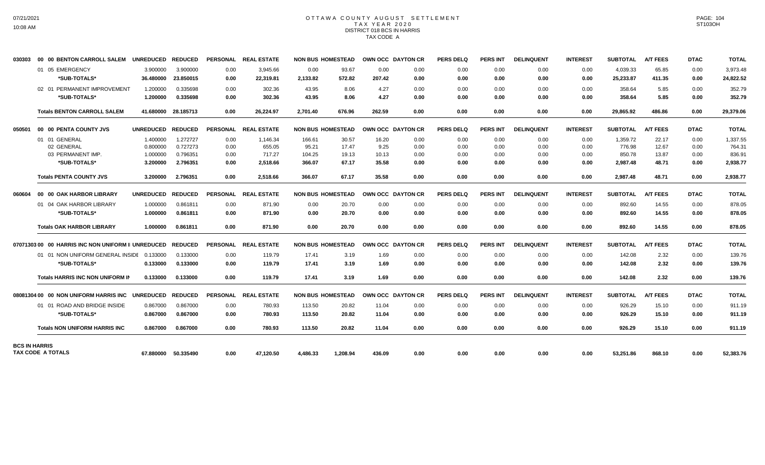# OTTAWA COUNTY AUGUST SETTLEMENT T A X Y E A R 2 0 2 0 DISTRICT 018 BCS IN HARRIS TAX CODE A

| 030303               | 00 00 BENTON CARROLL SALEM                        | <b>UNREDUCED</b> | <b>REDUCED</b>      | <b>PERSONAL</b> | <b>REAL ESTATE</b>   |          | <b>NON BUS HOMESTEAD</b> | OWN OCC DAYTON CR |      | <b>PERS DELQ</b> | <b>PERS INT</b> | <b>DELINQUENT</b> | <b>INTEREST</b> | <b>SUBTOTAL</b> | <b>A/T FEES</b> | <b>DTAC</b> | <b>TOTAL</b> |
|----------------------|---------------------------------------------------|------------------|---------------------|-----------------|----------------------|----------|--------------------------|-------------------|------|------------------|-----------------|-------------------|-----------------|-----------------|-----------------|-------------|--------------|
|                      | 01 05 EMERGENCY                                   | 3.900000         | 3.900000            | 0.00            | 3.945.66             | 0.00     | 93.67                    | 0.00              | 0.00 | 0.00             | 0.00            | 0.00              | 0.00            | 4,039.33        | 65.85           | 0.00        | 3,973.48     |
|                      | *SUB-TOTALS*                                      | 36.480000        | 23.850015           | 0.00            | 22,319.81            | 2,133.82 | 572.82                   | 207.42            | 0.00 | 0.00             | 0.00            | 0.00              | 0.00            | 25,233.87       | 411.35          | 0.00        | 24,822.52    |
|                      | 02 01 PERMANENT IMPROVEMENT                       | 1.200000         | 0.335698            | 0.00            | 302.36               | 43.95    | 8.06                     | 4.27              | 0.00 | 0.00             | 0.00            | 0.00              | 0.00            | 358.64          | 5.85            | 0.00        | 352.79       |
|                      | *SUB-TOTALS*                                      | 1.200000         | 0.335698            | 0.00            | 302.36               | 43.95    | 8.06                     | 4.27              | 0.00 | 0.00             | 0.00            | 0.00              | 0.00            | 358.64          | 5.85            | 0.00        | 352.79       |
|                      | <b>Totals BENTON CARROLL SALEM</b>                | 41.680000        | 28.185713           | 0.00            | 26,224.97            | 2,701.40 | 676.96                   | 262.59            | 0.00 | 0.00             | 0.00            | 0.00              | 0.00            | 29,865.92       | 486.86          | 0.00        | 29,379.06    |
| 050501               | 00 00 PENTA COUNTY JVS                            | <b>UNREDUCED</b> | <b>REDUCED</b>      |                 | PERSONAL REAL ESTATE |          | <b>NON BUS HOMESTEAD</b> | OWN OCC DAYTON CR |      | <b>PERS DELQ</b> | <b>PERS INT</b> | <b>DELINQUENT</b> | <b>INTEREST</b> | <b>SUBTOTAL</b> | <b>A/T FEES</b> | <b>DTAC</b> | <b>TOTAL</b> |
|                      | 01 01 GENERAL                                     | 1.400000         | 1.272727            | 0.00            | 1,146.34             | 166.61   | 30.57                    | 16.20             | 0.00 | 0.00             | 0.00            | 0.00              | 0.00            | 1,359.72        | 22.17           | 0.00        | 1,337.55     |
|                      | 02 GENERAL                                        | 0.800000         | 0.727273            | 0.00            | 655.05               | 95.21    | 17.47                    | 9.25              | 0.00 | 0.00             | 0.00            | 0.00              | 0.00            | 776.98          | 12.67           | 0.00        | 764.31       |
|                      | 03 PERMANENT IMP.                                 | 1.000000         | 0.796351            | 0.00            | 717.27               | 104.25   | 19.13                    | 10.13             | 0.00 | 0.00             | 0.00            | 0.00              | 0.00            | 850.78          | 13.87           | 0.00        | 836.91       |
|                      | *SUB-TOTALS*                                      | 3.200000         | 2.796351            | 0.00            | 2,518.66             | 366.07   | 67.17                    | 35.58             | 0.00 | 0.00             | 0.00            | 0.00              | 0.00            | 2,987.48        | 48.71           | 0.00        | 2,938.77     |
|                      | <b>Totals PENTA COUNTY JVS</b>                    | 3.200000         | 2.796351            | 0.00            | 2,518.66             | 366.07   | 67.17                    | 35.58             | 0.00 | 0.00             | 0.00            | 0.00              | 0.00            | 2,987.48        | 48.71           | 0.00        | 2,938.77     |
| 060604               | 00 00 OAK HARBOR LIBRARY                          | <b>UNREDUCED</b> | <b>REDUCED</b>      | <b>PERSONAL</b> | <b>REAL ESTATE</b>   |          | <b>NON BUS HOMESTEAD</b> | OWN OCC DAYTON CR |      | <b>PERS DELQ</b> | <b>PERS INT</b> | <b>DELINQUENT</b> | <b>INTEREST</b> | <b>SUBTOTAL</b> | <b>A/T FEES</b> | <b>DTAC</b> | <b>TOTAL</b> |
|                      | 01 04 OAK HARBOR LIBRARY                          | 1.000000         | 0.861811            | 0.00            | 871.90               | 0.00     | 20.70                    | 0.00              | 0.00 | 0.00             | 0.00            | 0.00              | 0.00            | 892.60          | 14.55           | 0.00        | 878.05       |
|                      | *SUB-TOTALS*                                      | 1.000000         | 0.861811            | 0.00            | 871.90               | 0.00     | 20.70                    | 0.00              | 0.00 | 0.00             | 0.00            | 0.00              | 0.00            | 892.60          | 14.55           | 0.00        | 878.05       |
|                      | <b>Totals OAK HARBOR LIBRARY</b>                  | 1.000000         | 0.861811            | 0.00            | 871.90               | 0.00     | 20.70                    | 0.00              | 0.00 | 0.00             | 0.00            | 0.00              | 0.00            | 892.60          | 14.55           | 0.00        | 878.05       |
|                      | 0707130300 00 HARRIS INC NON UNIFORM II UNREDUCED |                  | <b>REDUCED</b>      | <b>PERSONAL</b> | <b>REAL ESTATE</b>   |          | <b>NON BUS HOMESTEAD</b> | OWN OCC DAYTON CR |      | <b>PERS DELQ</b> | PERS INT        | <b>DELINQUENT</b> | <b>INTEREST</b> | <b>SUBTOTAL</b> | <b>A/T FEES</b> | <b>DTAC</b> | <b>TOTAL</b> |
|                      | 01 01 NON UNIFORM GENERAL INSIDE 0.133000         |                  | 0.133000            | 0.00            | 119.79               | 17.41    | 3.19                     | 1.69              | 0.00 | 0.00             | 0.00            | 0.00              | 0.00            | 142.08          | 2.32            | 0.00        | 139.76       |
|                      | *SUB-TOTALS*                                      | 0.133000         | 0.133000            | 0.00            | 119.79               | 17.41    | 3.19                     | 1.69              | 0.00 | 0.00             | 0.00            | 0.00              | 0.00            | 142.08          | 2.32            | 0.00        | 139.76       |
|                      | <b>Totals HARRIS INC NON UNIFORM IN</b>           | 0.133000         | 0.133000            | 0.00            | 119.79               | 17.41    | 3.19                     | 1.69              | 0.00 | 0.00             | 0.00            | 0.00              | 0.00            | 142.08          | 2.32            | 0.00        | 139.76       |
|                      | 08081304 00 00 NON UNIFORM HARRIS INC UNREDUCED   |                  | <b>REDUCED</b>      | <b>PERSONAL</b> | <b>REAL ESTATE</b>   |          | <b>NON BUS HOMESTEAD</b> | OWN OCC DAYTON CR |      | <b>PERS DELQ</b> | <b>PERS INT</b> | <b>DELINQUENT</b> | <b>INTEREST</b> | <b>SUBTOTAL</b> | <b>A/T FEES</b> | <b>DTAC</b> | <b>TOTAL</b> |
|                      | 01 01 ROAD AND BRIDGE INSIDE                      | 0.867000         | 0.867000            | 0.00            | 780.93               | 113.50   | 20.82                    | 11.04             | 0.00 | 0.00             | 0.00            | 0.00              | 0.00            | 926.29          | 15.10           | 0.00        | 911.19       |
|                      | *SUB-TOTALS*                                      | 0.867000         | 0.867000            | 0.00            | 780.93               | 113.50   | 20.82                    | 11.04             | 0.00 | 0.00             | 0.00            | 0.00              | 0.00            | 926.29          | 15.10           | 0.00        | 911.19       |
|                      | <b>Totals NON UNIFORM HARRIS INC</b>              | 0.867000         | 0.867000            | 0.00            | 780.93               | 113.50   | 20.82                    | 11.04             | 0.00 | 0.00             | 0.00            | 0.00              | 0.00            | 926.29          | 15.10           | 0.00        | 911.19       |
| <b>BCS IN HARRIS</b> | <b>TAX CODE A TOTALS</b>                          |                  | 67.880000 50.335490 | 0.00            | 47,120.50            | 4,486.33 | 1,208.94                 | 436.09            | 0.00 | 0.00             | 0.00            | 0.00              | 0.00            | 53,251.86       | 868.10          | 0.00        | 52,383.76    |
|                      |                                                   |                  |                     |                 |                      |          |                          |                   |      |                  |                 |                   |                 |                 |                 |             |              |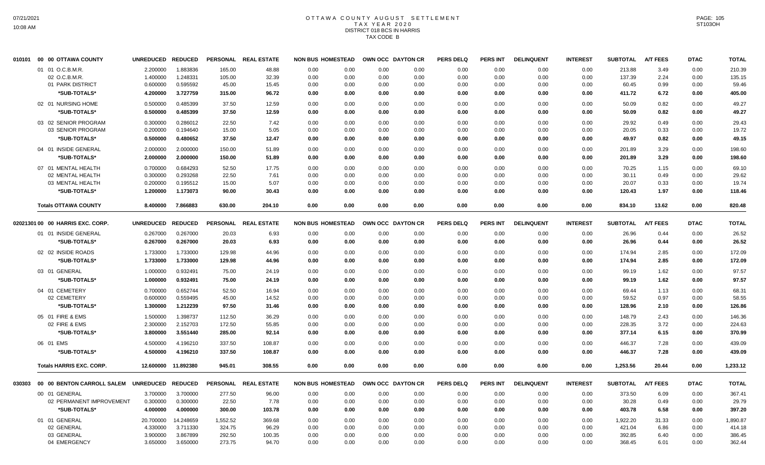# OTTAWA COUNTY AUGUST SETTLEMENT T A X Y E A R 2 0 2 0 DISTRICT 018 BCS IN HARRIS TAX CODE B

|        | 010101 00 00 OTTAWA COUNTY       | UNREDUCED REDUCED |                     |                 | PERSONAL REAL ESTATE | <b>NON BUS HOMESTEAD</b> |      |      | OWN OCC DAYTON CR | <b>PERS DELQ</b> | <b>PERS INT</b> | <b>DELINQUENT</b> | <b>INTEREST</b> | <b>SUBTOTAL</b> | <b>A/T FEES</b> | <b>DTAC</b> | <b>TOTAL</b> |
|--------|----------------------------------|-------------------|---------------------|-----------------|----------------------|--------------------------|------|------|-------------------|------------------|-----------------|-------------------|-----------------|-----------------|-----------------|-------------|--------------|
|        | 01 01 O.C.B.M.R                  | 2.200000          | 1.883836            | 165.00          | 48.88                | 0.00                     | 0.00 | 0.00 | 0.00              | 0.00             | 0.00            | 0.00              | 0.00            | 213.88          | 3.49            | 0.00        | 210.39       |
|        | 02 O.C.B.M.R.                    | 1.400000          | 1.248331            | 105.00          | 32.39                | 0.00                     | 0.00 | 0.00 | 0.00              | 0.00             | 0.00            | 0.00              | 0.00            | 137.39          | 2.24            | 0.00        | 135.15       |
|        | 01 PARK DISTRICT                 | 0.600000          | 0.595592            | 45.00           | 15.45                | 0.00                     | 0.00 | 0.00 | 0.00              | 0.00             | 0.00            | 0.00              | 0.00            | 60.45           | 0.99            | 0.00        | 59.46        |
|        | *SUB-TOTALS*                     | 4.200000          | 3.727759            | 315.00          | 96.72                | 0.00                     | 0.00 | 0.00 | 0.00              | 0.00             | 0.00            | 0.00              | 0.00            | 411.72          | 6.72            | 0.00        | 405.00       |
|        | 02 01 NURSING HOME               | 0.500000          | 0.485399            | 37.50           | 12.59                | 0.00                     | 0.00 | 0.00 | 0.00              | 0.00             | 0.00            | 0.00              | 0.00            | 50.09           | 0.82            | 0.00        | 49.27        |
|        | *SUB-TOTALS*                     | 0.500000          | 0.485399            | 37.50           | 12.59                | 0.00                     | 0.00 | 0.00 | 0.00              | 0.00             | 0.00            | 0.00              | 0.00            | 50.09           | 0.82            | 0.00        | 49.27        |
|        | 03 02 SENIOR PROGRAM             | 0.300000          | 0.286012            | 22.50           | 7.42                 | 0.00                     | 0.00 | 0.00 | 0.00              | 0.00             | 0.00            | 0.00              | 0.00            | 29.92           | 0.49            | 0.00        | 29.43        |
|        | 03 SENIOR PROGRAM                | 0.200000          | 0.194640            | 15.00           | 5.05                 | 0.00                     | 0.00 | 0.00 | 0.00              | 0.00             | 0.00            | 0.00              | 0.00            | 20.05           | 0.33            | 0.00        | 19.72        |
|        | *SUB-TOTALS*                     | 0.500000          | 0.480652            | 37.50           | 12.47                | 0.00                     | 0.00 | 0.00 | 0.00              | 0.00             | 0.00            | 0.00              | 0.00            | 49.97           | 0.82            | 0.00        | 49.15        |
|        | 04 01 INSIDE GENERAL             | 2.000000          | 2.000000            | 150.00          | 51.89                | 0.00                     | 0.00 | 0.00 | 0.00              | 0.00             | 0.00            | 0.00              | 0.00            | 201.89          | 3.29            | 0.00        | 198.60       |
|        | *SUB-TOTALS*                     | 2.000000          | 2.000000            | 150.00          | 51.89                | 0.00                     | 0.00 | 0.00 | 0.00              | 0.00             | 0.00            | 0.00              | 0.00            | 201.89          | 3.29            | 0.00        | 198.60       |
|        | 07 01 MENTAL HEALTH              | 0.700000          | 0.684293            | 52.50           | 17.75                | 0.00                     | 0.00 | 0.00 | 0.00              | 0.00             | 0.00            | 0.00              | 0.00            | 70.25           | 1.15            | 0.00        | 69.10        |
|        | 02 MENTAL HEALTH                 | 0.300000          | 0.293268            | 22.50           | 7.61                 | 0.00                     | 0.00 | 0.00 | 0.00              | 0.00             | 0.00            | 0.00              | 0.00            | 30.11           | 0.49            | 0.00        | 29.62        |
|        | 03 MENTAL HEALTH                 | 0.200000          | 0.195512            | 15.00           | 5.07                 | 0.00                     | 0.00 | 0.00 | 0.00              | 0.00             | 0.00            | 0.00              | 0.00            | 20.07           | 0.33            | 0.00        | 19.74        |
|        | *SUB-TOTALS*                     | 1.200000          | 1.173073            | 90.00           | 30.43                | 0.00                     | 0.00 | 0.00 | 0.00              | 0.00             | 0.00            | 0.00              | 0.00            | 120.43          | 1.97            | 0.00        | 118.46       |
|        | <b>Totals OTTAWA COUNTY</b>      | 8.400000          | 7.866883            | 630.00          | 204.10               | 0.00                     | 0.00 | 0.00 | 0.00              | 0.00             | 0.00            | 0.00              | 0.00            | 834.10          | 13.62           | 0.00        | 820.48       |
|        |                                  |                   |                     |                 |                      |                          |      |      |                   |                  |                 |                   |                 |                 |                 |             |              |
|        | 02021301 00 00 HARRIS EXC. CORP. | <b>UNREDUCED</b>  | <b>REDUCED</b>      | <b>PERSONAL</b> | <b>REAL ESTATE</b>   | <b>NON BUS HOMESTEAD</b> |      |      | OWN OCC DAYTON CR | <b>PERS DELQ</b> | <b>PERS INT</b> | <b>DELINQUENT</b> | <b>INTEREST</b> | <b>SUBTOTAL</b> | <b>A/T FEES</b> | <b>DTAC</b> | <b>TOTAL</b> |
|        | 01 01 INSIDE GENERAL             | 0.267000          | 0.267000            | 20.03           | 6.93                 | 0.00                     | 0.00 | 0.00 | 0.00              | 0.00             | 0.00            | 0.00              | 0.00            | 26.96           | 0.44            | 0.00        | 26.52        |
|        | *SUB-TOTALS*                     | 0.267000          | 0.267000            | 20.03           | 6.93                 | 0.00                     | 0.00 | 0.00 | 0.00              | 0.00             | 0.00            | 0.00              | 0.00            | 26.96           | 0.44            | 0.00        | 26.52        |
|        | 02 02 INSIDE ROADS               | 1.733000          | 1.733000            | 129.98          | 44.96                | 0.00                     | 0.00 | 0.00 | 0.00              | 0.00             | 0.00            | 0.00              | 0.00            | 174.94          | 2.85            | 0.00        | 172.09       |
|        | *SUB-TOTALS*                     | 1.733000          | 1.733000            | 129.98          | 44.96                | 0.00                     | 0.00 | 0.00 | 0.00              | 0.00             | 0.00            | 0.00              | 0.00            | 174.94          | 2.85            | 0.00        | 172.09       |
|        | 03 01 GENERAL                    | 1.000000          | 0.932491            | 75.00           | 24.19                | 0.00                     | 0.00 | 0.00 | 0.00              | 0.00             | 0.00            | 0.00              | 0.00            | 99.19           | 1.62            | 0.00        | 97.57        |
|        | *SUB-TOTALS*                     | 1.000000          | 0.932491            | 75.00           | 24.19                | 0.00                     | 0.00 | 0.00 | 0.00              | 0.00             | 0.00            | 0.00              | 0.00            | 99.19           | 1.62            | 0.00        | 97.57        |
|        | 04 01 CEMETERY                   | 0.700000          | 0.652744            | 52.50           | 16.94                | 0.00                     | 0.00 | 0.00 | 0.00              | 0.00             | 0.00            | 0.00              | 0.00            | 69.44           | 1.13            | 0.00        | 68.31        |
|        | 02 CEMETERY                      | 0.600000          | 0.559495            | 45.00           | 14.52                | 0.00                     | 0.00 | 0.00 | 0.00              | 0.00             | 0.00            | 0.00              | 0.00            | 59.52           | 0.97            | 0.00        | 58.55        |
|        | *SUB-TOTALS*                     | 1.300000          | 1.212239            | 97.50           | 31.46                | 0.00                     | 0.00 | 0.00 | 0.00              | 0.00             | 0.00            | 0.00              | 0.00            | 128.96          | 2.10            | 0.00        | 126.86       |
|        | 05 01 FIRE & EMS                 | 1.500000          | 1.398737            | 112.50          | 36.29                | 0.00                     | 0.00 | 0.00 | 0.00              | 0.00             | 0.00            | 0.00              | 0.00            | 148.79          | 2.43            | 0.00        | 146.36       |
|        | 02 FIRE & EMS                    | 2.300000          | 2.152703            | 172.50          | 55.85                | 0.00                     | 0.00 | 0.00 | 0.00              | 0.00             | 0.00            | 0.00              | 0.00            | 228.35          | 3.72            | 0.00        | 224.63       |
|        | *SUB-TOTALS*                     | 3.800000          | 3.551440            | 285.00          | 92.14                | 0.00                     | 0.00 | 0.00 | 0.00              | 0.00             | 0.00            | 0.00              | 0.00            | 377.14          | 6.15            | 0.00        | 370.99       |
|        | 06 01 EMS                        | 4.500000          | 4.196210            | 337.50          | 108.87               | 0.00                     | 0.00 | 0.00 | 0.00              | 0.00             | 0.00            | 0.00              | 0.00            | 446.37          | 7.28            | 0.00        | 439.09       |
|        | *SUB-TOTALS*                     | 4.500000          | 4.196210            | 337.50          | 108.87               | 0.00                     | 0.00 | 0.00 | 0.00              | 0.00             | 0.00            | 0.00              | 0.00            | 446.37          | 7.28            | 0.00        | 439.09       |
|        | <b>Totals HARRIS EXC. CORP.</b>  |                   | 12.600000 11.892380 | 945.01          | 308.55               | 0.00                     | 0.00 | 0.00 | 0.00              | 0.00             | 0.00            | 0.00              | 0.00            | 1,253.56        | 20.44           | 0.00        | 1,233.12     |
|        |                                  |                   |                     |                 |                      |                          |      |      |                   |                  |                 |                   |                 |                 |                 |             |              |
| 030303 | 00 00 BENTON CARROLL SALEM       | <b>UNREDUCED</b>  | <b>REDUCED</b>      |                 | PERSONAL REAL ESTATE | <b>NON BUS HOMESTEAD</b> |      |      | OWN OCC DAYTON CR | <b>PERS DELQ</b> | <b>PERS INT</b> | <b>DELINQUENT</b> | <b>INTEREST</b> | <b>SUBTOTAL</b> | <b>A/T FEES</b> | <b>DTAC</b> | <b>TOTAL</b> |
|        | 00 01 GENERAL                    | 3.700000          | 3.700000            | 277.50          | 96.00                | 0.00                     | 0.00 | 0.00 | 0.00              | 0.00             | 0.00            | 0.00              | 0.00            | 373.50          | 6.09            | 0.00        | 367.41       |
|        | 02 PERMANENT IMPROVEMENT         | 0.300000          | 0.300000            | 22.50           | 7.78                 | 0.00                     | 0.00 | 0.00 | 0.00              | 0.00             | 0.00            | 0.00              | 0.00            | 30.28           | 0.49            | 0.00        | 29.79        |
|        | *SUB-TOTALS*                     | 4.000000          | 4.000000            | 300.00          | 103.78               | 0.00                     | 0.00 | 0.00 | 0.00              | 0.00             | 0.00            | 0.00              | 0.00            | 403.78          | 6.58            | 0.00        | 397.20       |
|        | 01 01 GENERAL                    | 20.700000         | 14.248659           | 1,552.52        | 369.68               | 0.00                     | 0.00 | 0.00 | 0.00              | 0.00             | 0.00            | 0.00              | 0.00            | 1,922.20        | 31.33           | 0.00        | 1,890.87     |
|        | 02 GENERAL                       | 4.330000          | 3.711330            | 324.75          | 96.29                | 0.00                     | 0.00 | 0.00 | 0.00              | 0.00             | 0.00            | 0.00              | 0.00            | 421.04          | 6.86            | 0.00        | 414.18       |
|        | 03 GENERAL                       | 3.900000          | 3.867899            | 292.50          | 100.35               | 0.00                     | 0.00 | 0.00 | 0.00              | 0.00             | 0.00            | 0.00              | 0.00            | 392.85          | 6.40            | 0.00        | 386.45       |
|        | 04 EMERGENCY                     | 3.650000          | 3.650000            | 273.75          | 94.70                | 0.00                     | 0.00 | 0.00 | 0.00              | 0.00             | 0.00            | 0.00              | 0.00            | 368.45          | 6.01            | 0.00        | 362.44       |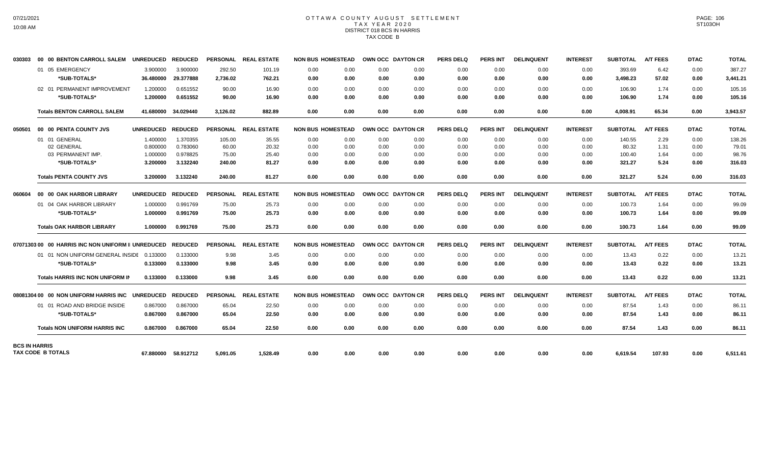# OTTAWA COUNTY AUGUST SETTLEMENT T A X Y E A R 2 0 2 0 DISTRICT 018 BCS IN HARRIS TAX CODE B

| 030303               | 00 00 BENTON CARROLL SALEM UNREDUCED               |                  | <b>REDUCED</b>      |                 | PERSONAL REAL ESTATE | <b>NON BUS HOMESTEAD</b> |      | OWN OCC DAYTON CR        |                   | <b>PERS DELQ</b> | <b>PERS INT</b> | <b>DELINQUENT</b> | <b>INTEREST</b> | <b>SUBTOTAL</b> | <b>A/T FEES</b> | <b>DTAC</b> | <b>TOTAL</b> |
|----------------------|----------------------------------------------------|------------------|---------------------|-----------------|----------------------|--------------------------|------|--------------------------|-------------------|------------------|-----------------|-------------------|-----------------|-----------------|-----------------|-------------|--------------|
|                      | 01 05 EMERGENCY                                    | 3.900000         | 3.900000            | 292.50          | 101.19               | 0.00                     | 0.00 | 0.00                     | 0.00              | 0.00             | 0.00            | 0.00              | 0.00            | 393.69          | 6.42            | 0.00        | 387.27       |
|                      | *SUB-TOTALS*                                       | 36.480000        | 29.377888           | 2.736.02        | 762.21               | 0.00                     | 0.00 | 0.00                     | 0.00              | 0.00             | 0.00            | 0.00              | 0.00            | 3,498.23        | 57.02           | 0.00        | 3,441.21     |
|                      | 02 01 PERMANENT IMPROVEMENT                        | 1.200000         | 0.651552            | 90.00           | 16.90                | 0.00                     | 0.00 | 0.00                     | 0.00              | 0.00             | 0.00            | 0.00              | 0.00            | 106.90          | 1.74            | 0.00        | 105.16       |
|                      | *SUB-TOTALS*                                       | 1.200000         | 0.651552            | 90.00           | 16.90                | 0.00                     | 0.00 | 0.00                     | 0.00              | 0.00             | 0.00            | 0.00              | 0.00            | 106.90          | 1.74            | 0.00        | 105.16       |
|                      | <b>Totals BENTON CARROLL SALEM</b>                 | 41.680000        | 34.029440           | 3.126.02        | 882.89               | 0.00                     | 0.00 | 0.00                     | 0.00              | 0.00             | 0.00            | 0.00              | 0.00            | 4.008.91        | 65.34           | 0.00        | 3,943.57     |
| 050501               | 00 00 PENTA COUNTY JVS                             | <b>UNREDUCED</b> | <b>REDUCED</b>      |                 | PERSONAL REAL ESTATE | <b>NON BUS HOMESTEAD</b> |      | <b>OWN OCC DAYTON CR</b> |                   | <b>PERS DELQ</b> | <b>PERS INT</b> | <b>DELINQUENT</b> | <b>INTEREST</b> | <b>SUBTOTAL</b> | <b>A/T FEES</b> | <b>DTAC</b> | <b>TOTAL</b> |
|                      | 01 01 GENERAL                                      | 1.400000         | 1.370355            | 105.00          | 35.55                | 0.00                     | 0.00 | 0.00                     | 0.00              | 0.00             | 0.00            | 0.00              | 0.00            | 140.55          | 2.29            | 0.00        | 138.26       |
|                      | 02 GENERAL                                         | 0.800000         | 0.783060            | 60.00           | 20.32                | 0.00                     | 0.00 | 0.00                     | 0.00              | 0.00             | 0.00            | 0.00              | 0.00            | 80.32           | 1.31            | 0.00        | 79.01        |
|                      | 03 PERMANENT IMP.                                  | 1.000000         | 0.978825            | 75.00           | 25.40                | 0.00                     | 0.00 | 0.00                     | 0.00              | 0.00             | 0.00            | 0.00              | 0.00            | 100.40          | 1.64            | 0.00        | 98.76        |
|                      | *SUB-TOTALS*                                       | 3.200000         | 3.132240            | 240.00          | 81.27                | 0.00                     | 0.00 | 0.00                     | 0.00              | 0.00             | 0.00            | 0.00              | 0.00            | 321.27          | 5.24            | 0.00        | 316.03       |
|                      | <b>Totals PENTA COUNTY JVS</b>                     | 3.200000         | 3.132240            | 240.00          | 81.27                | 0.00                     | 0.00 | 0.00                     | 0.00              | 0.00             | 0.00            | 0.00              | 0.00            | 321.27          | 5.24            | 0.00        | 316.03       |
| 060604               | 00 00 OAK HARBOR LIBRARY                           | <b>UNREDUCED</b> | <b>REDUCED</b>      |                 | PERSONAL REAL ESTATE | <b>NON BUS HOMESTEAD</b> |      | OWN OCC DAYTON CR        |                   | <b>PERS DELQ</b> | <b>PERS INT</b> | <b>DELINQUENT</b> | <b>INTEREST</b> | <b>SUBTOTAL</b> | <b>A/T FEES</b> | <b>DTAC</b> | <b>TOTAL</b> |
|                      | 01 04 OAK HARBOR LIBRARY                           | 1.000000         | 0.991769            | 75.00           | 25.73                | 0.00                     | 0.00 | 0.00                     | 0.00              | 0.00             | 0.00            | 0.00              | 0.00            | 100.73          | 1.64            | 0.00        | 99.09        |
|                      | *SUB-TOTALS*                                       | 1.000000         | 0.991769            | 75.00           | 25.73                | 0.00                     | 0.00 | 0.00                     | 0.00              | 0.00             | 0.00            | 0.00              | 0.00            | 100.73          | 1.64            | 0.00        | 99.09        |
|                      | <b>Totals OAK HARBOR LIBRARY</b>                   | 1.000000         | 0.991769            | 75.00           | 25.73                | 0.00                     | 0.00 | 0.00                     | 0.00              | 0.00             | 0.00            | 0.00              | 0.00            | 100.73          | 1.64            | 0.00        | 99.09        |
|                      | 07071303 00 00 HARRIS INC NON UNIFORM II UNREDUCED |                  | <b>REDUCED</b>      | <b>PERSONAL</b> | <b>REAL ESTATE</b>   | <b>NON BUS HOMESTEAD</b> |      |                          | OWN OCC DAYTON CR | <b>PERS DELQ</b> | <b>PERS INT</b> | <b>DELINQUENT</b> | <b>INTEREST</b> | <b>SUBTOTAL</b> | <b>A/T FEES</b> | <b>DTAC</b> | <b>TOTAL</b> |
|                      | 01 01 NON UNIFORM GENERAL INSIDE 0.133000          |                  | 0.133000            | 9.98            | 3.45                 | 0.00                     | 0.00 | 0.00                     | 0.00              | 0.00             | 0.00            | 0.00              | 0.00            | 13.43           | 0.22            | 0.00        | 13.21        |
|                      | *SUB-TOTALS*                                       | 0.133000         | 0.133000            | 9.98            | 3.45                 | 0.00                     | 0.00 | 0.00                     | 0.00              | 0.00             | 0.00            | 0.00              | 0.00            | 13.43           | 0.22            | 0.00        | 13.21        |
|                      | <b>Totals HARRIS INC NON UNIFORM IN</b>            | 0.133000         | 0.133000            | 9.98            | 3.45                 | 0.00                     | 0.00 | 0.00                     | 0.00              | 0.00             | 0.00            | 0.00              | 0.00            | 13.43           | 0.22            | 0.00        | 13.21        |
|                      | 08081304 00 00 NON UNIFORM HARRIS INC              | <b>UNREDUCED</b> | <b>REDUCED</b>      | <b>PERSONAL</b> | <b>REAL ESTATE</b>   | <b>NON BUS HOMESTEAD</b> |      | <b>OWN OCC DAYTON CR</b> |                   | <b>PERS DELQ</b> | <b>PERS INT</b> | <b>DELINQUENT</b> | <b>INTEREST</b> | <b>SUBTOTAL</b> | <b>A/T FEES</b> | <b>DTAC</b> | TOTAL        |
|                      | 01 01 ROAD AND BRIDGE INSIDE                       | 0.867000         | 0.867000            | 65.04           | 22.50                | 0.00                     | 0.00 | 0.00                     | 0.00              | 0.00             | 0.00            | 0.00              | 0.00            | 87.54           | 1.43            | 0.00        | 86.11        |
|                      | *SUB-TOTALS*                                       | 0.867000         | 0.867000            | 65.04           | 22.50                | 0.00                     | 0.00 | 0.00                     | 0.00              | 0.00             | 0.00            | 0.00              | 0.00            | 87.54           | 1.43            | 0.00        | 86.11        |
|                      | <b>Totals NON UNIFORM HARRIS INC</b>               | 0.867000         | 0.867000            | 65.04           | 22.50                | 0.00                     | 0.00 | 0.00                     | 0.00              | 0.00             | 0.00            | 0.00              | 0.00            | 87.54           | 1.43            | 0.00        | 86.11        |
| <b>BCS IN HARRIS</b> | TAX CODE B TOTALS                                  |                  | 67.880000 58.912712 | 5,091.05        | 1.528.49             | 0.00                     | 0.00 | 0.00                     | 0.00              | 0.00             | 0.00            | 0.00              | 0.00            | 6,619.54        | 107.93          | 0.00        | 6,511.61     |
|                      |                                                    |                  |                     |                 |                      |                          |      |                          |                   |                  |                 |                   |                 |                 |                 |             |              |

PAGE: 106 ST103OH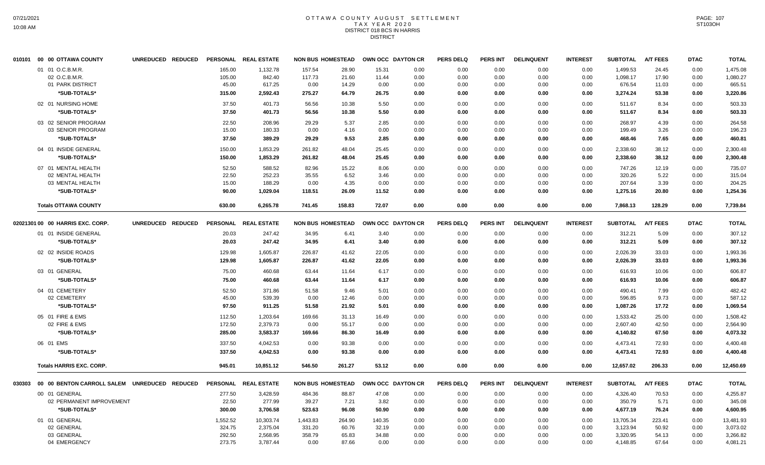### OTTAWA COUNTY AUGUST SETTLEMENT T A X Y E A R 2 0 2 0 DISTRICT 018 BCS IN HARRIS **DISTRICT**

|        | 010101 00 00 OTTAWA COUNTY                                                  | UNREDUCED REDUCED | <b>PERSONAL</b>                        | <b>REAL ESTATE</b>                            | <b>NON BUS HOMESTEAD</b>             |                                   |                                  | OWN OCC DAYTON CR            | <b>PERS DELQ</b>             | <b>PERS INT</b>              | <b>DELINQUENT</b>            | <b>INTEREST</b>              | <b>SUBTOTAL</b>                               | <b>A/T FEES</b>                   | <b>DTAC</b>                  | <b>TOTAL</b>                                  |
|--------|-----------------------------------------------------------------------------|-------------------|----------------------------------------|-----------------------------------------------|--------------------------------------|-----------------------------------|----------------------------------|------------------------------|------------------------------|------------------------------|------------------------------|------------------------------|-----------------------------------------------|-----------------------------------|------------------------------|-----------------------------------------------|
|        | 01 01 O.C.B.M.R.<br>02 O.C.B.M.R.<br>01 PARK DISTRICT<br>*SUB-TOTALS*       |                   | 165.00<br>105.00<br>45.00<br>315.00    | 1,132.78<br>842.40<br>617.25<br>2,592.43      | 157.54<br>117.73<br>0.00<br>275.27   | 28.90<br>21.60<br>14.29<br>64.79  | 15.31<br>11.44<br>0.00<br>26.75  | 0.00<br>0.00<br>0.00<br>0.00 | 0.00<br>0.00<br>0.00<br>0.00 | 0.00<br>0.00<br>0.00<br>0.00 | 0.00<br>0.00<br>0.00<br>0.00 | 0.00<br>0.00<br>0.00<br>0.00 | 1,499.53<br>1,098.17<br>676.54<br>3,274.24    | 24.45<br>17.90<br>11.03<br>53.38  | 0.00<br>0.00<br>0.00<br>0.00 | 1,475.08<br>1,080.27<br>665.51<br>3,220.86    |
|        | 02 01 NURSING HOME<br>*SUB-TOTALS*                                          |                   | 37.50<br>37.50                         | 401.73<br>401.73                              | 56.56<br>56.56                       | 10.38<br>10.38                    | 5.50<br>5.50                     | 0.00<br>0.00                 | 0.00<br>0.00                 | 0.00<br>0.00                 | 0.00<br>0.00                 | 0.00<br>0.00                 | 511.67<br>511.67                              | 8.34<br>8.34                      | 0.00<br>0.00                 | 503.33<br>503.33                              |
|        | 03 02 SENIOR PROGRAM<br>03 SENIOR PROGRAM<br>*SUB-TOTALS*                   |                   | 22.50<br>15.00<br>37.50                | 208.96<br>180.33<br>389.29                    | 29.29<br>0.00<br>29.29               | 5.37<br>4.16<br>9.53              | 2.85<br>0.00<br>2.85             | 0.00<br>0.00<br>0.00         | 0.00<br>0.00<br>0.00         | 0.00<br>0.00<br>0.00         | 0.00<br>0.00<br>0.00         | 0.00<br>0.00<br>0.00         | 268.97<br>199.49<br>468.46                    | 4.39<br>3.26<br>7.65              | 0.00<br>0.00<br>0.00         | 264.58<br>196.23<br>460.81                    |
|        | 04 01 INSIDE GENERAL<br>*SUB-TOTALS*                                        |                   | 150.00<br>150.00                       | 1,853.29<br>1,853.29                          | 261.82<br>261.82                     | 48.04<br>48.04                    | 25.45<br>25.45                   | 0.00<br>0.00                 | 0.00<br>0.00                 | 0.00<br>0.00                 | 0.00<br>0.00                 | 0.00<br>0.00                 | 2,338.60<br>2,338.60                          | 38.12<br>38.12                    | 0.00<br>0.00                 | 2,300.48<br>2,300.48                          |
|        | 07 01 MENTAL HEALTH<br>02 MENTAL HEALTH<br>03 MENTAL HEALTH<br>*SUB-TOTALS* |                   | 52.50<br>22.50<br>15.00<br>90.00       | 588.52<br>252.23<br>188.29<br>1,029.04        | 82.96<br>35.55<br>0.00<br>118.51     | 15.22<br>6.52<br>4.35<br>26.09    | 8.06<br>3.46<br>0.00<br>11.52    | 0.00<br>0.00<br>0.00<br>0.00 | 0.00<br>0.00<br>0.00<br>0.00 | 0.00<br>0.00<br>0.00<br>0.00 | 0.00<br>0.00<br>0.00<br>0.00 | 0.00<br>0.00<br>0.00<br>0.00 | 747.26<br>320.26<br>207.64<br>1,275.16        | 12.19<br>5.22<br>3.39<br>20.80    | 0.00<br>0.00<br>0.00<br>0.00 | 735.07<br>315.04<br>204.25<br>1,254.36        |
|        | <b>Totals OTTAWA COUNTY</b>                                                 |                   | 630.00                                 | 6,265.78                                      | 741.45                               | 158.83                            | 72.07                            | 0.00                         | 0.00                         | 0.00                         | 0.00                         | 0.00                         | 7,868.13                                      | 128.29                            | 0.00                         | 7,739.84                                      |
|        | 02021301 00 00 HARRIS EXC. CORP.                                            | UNREDUCED REDUCED | <b>PERSONAL</b>                        | <b>REAL ESTATE</b>                            | <b>NON BUS HOMESTEAD</b>             |                                   |                                  | OWN OCC DAYTON CR            | <b>PERS DELQ</b>             | <b>PERS INT</b>              | <b>DELINQUENT</b>            | <b>INTEREST</b>              | <b>SUBTOTAL</b>                               | <b>A/T FEES</b>                   | <b>DTAC</b>                  | <b>TOTAL</b>                                  |
|        | 01 01 INSIDE GENERAL<br>*SUB-TOTALS*                                        |                   | 20.03<br>20.03                         | 247.42<br>247.42                              | 34.95<br>34.95                       | 6.41<br>6.41                      | 3.40<br>3.40                     | 0.00<br>0.00                 | 0.00<br>0.00                 | 0.00<br>0.00                 | 0.00<br>0.00                 | 0.00<br>0.00                 | 312.21<br>312.21                              | 5.09<br>5.09                      | 0.00<br>0.00                 | 307.12<br>307.12                              |
|        | 02 02 INSIDE ROADS<br>*SUB-TOTALS*                                          |                   | 129.98<br>129.98                       | 1,605.87<br>1,605.87                          | 226.87<br>226.87                     | 41.62<br>41.62                    | 22.05<br>22.05                   | 0.00<br>0.00                 | 0.00<br>0.00                 | 0.00<br>0.00                 | 0.00<br>0.00                 | 0.00<br>0.00                 | 2,026.39<br>2,026.39                          | 33.03<br>33.03                    | 0.00<br>0.00                 | 1,993.36<br>1,993.36                          |
|        | 03 01 GENERAL<br>*SUB-TOTALS*                                               |                   | 75.00<br>75.00                         | 460.68<br>460.68                              | 63.44<br>63.44                       | 11.64<br>11.64                    | 6.17<br>6.17                     | 0.00<br>0.00                 | 0.00<br>0.00                 | 0.00<br>0.00                 | 0.00<br>0.00                 | 0.00<br>0.00                 | 616.93<br>616.93                              | 10.06<br>10.06                    | 0.00<br>0.00                 | 606.87<br>606.87                              |
|        | 04 01 CEMETERY<br>02 CEMETERY<br>*SUB-TOTALS*                               |                   | 52.50<br>45.00<br>97.50                | 371.86<br>539.39<br>911.25                    | 51.58<br>0.00<br>51.58               | 9.46<br>12.46<br>21.92            | 5.01<br>0.00<br>5.01             | 0.00<br>0.00<br>0.00         | 0.00<br>0.00<br>0.00         | 0.00<br>0.00<br>0.00         | 0.00<br>0.00<br>0.00         | 0.00<br>0.00<br>0.00         | 490.41<br>596.85<br>1,087.26                  | 7.99<br>9.73<br>17.72             | 0.00<br>0.00<br>0.00         | 482.42<br>587.12<br>1.069.54                  |
|        | 05 01 FIRE & EMS<br>02 FIRE & EMS<br>*SUB-TOTALS*                           |                   | 112.50<br>172.50<br>285.00             | 1.203.64<br>2,379.73<br>3,583.37              | 169.66<br>0.00<br>169.66             | 31.13<br>55.17<br>86.30           | 16.49<br>0.00<br>16.49           | 0.00<br>0.00<br>0.00         | 0.00<br>0.00<br>0.00         | 0.00<br>0.00<br>0.00         | 0.00<br>0.00<br>0.00         | 0.00<br>0.00<br>0.00         | 1.533.42<br>2,607.40<br>4,140.82              | 25.00<br>42.50<br>67.50           | 0.00<br>0.00<br>0.00         | 1.508.42<br>2,564.90<br>4,073.32              |
|        | 06 01 EMS<br>*SUB-TOTALS*                                                   |                   | 337.50<br>337.50                       | 4,042.53<br>4,042.53                          | 0.00<br>0.00                         | 93.38<br>93.38                    | 0.00<br>0.00                     | 0.00<br>0.00                 | 0.00<br>0.00                 | 0.00<br>0.00                 | 0.00<br>0.00                 | 0.00<br>0.00                 | 4,473.41<br>4,473.41                          | 72.93<br>72.93                    | 0.00<br>0.00                 | 4,400.48<br>4,400.48                          |
|        | <b>Totals HARRIS EXC. CORP.</b>                                             |                   | 945.01                                 | 10,851.12                                     | 546.50                               | 261.27                            | 53.12                            | 0.00                         | 0.00                         | 0.00                         | 0.00                         | 0.00                         | 12,657.02                                     | 206.33                            | 0.00                         | 12,450.69                                     |
| 030303 | 00 00 BENTON CARROLL SALEM UNREDUCED REDUCED                                |                   |                                        | PERSONAL REAL ESTATE                          | <b>NON BUS HOMESTEAD</b>             |                                   |                                  | OWN OCC DAYTON CR            | <b>PERS DELQ</b>             | <b>PERS INT</b>              | <b>DELINQUENT</b>            | <b>INTEREST</b>              | <b>SUBTOTAL</b>                               | <b>A/T FEES</b>                   | <b>DTAC</b>                  | <b>TOTAL</b>                                  |
|        | 00 01 GENERAL<br>02 PERMANENT IMPROVEMENT<br>*SUB-TOTALS*                   |                   | 277.50<br>22.50<br>300.00              | 3,428.59<br>277.99<br>3,706.58                | 484.36<br>39.27<br>523.63            | 88.87<br>7.21<br>96.08            | 47.08<br>3.82<br>50.90           | 0.00<br>0.00<br>0.00         | 0.00<br>0.00<br>0.00         | 0.00<br>0.00<br>0.00         | 0.00<br>0.00<br>0.00         | 0.00<br>0.00<br>0.00         | 4,326.40<br>350.79<br>4,677.19                | 70.53<br>5.71<br>76.24            | 0.00<br>0.00<br>0.00         | 4,255.87<br>345.08<br>4,600.95                |
|        | 01 01 GENERAL<br>02 GENERAL<br>03 GENERAL<br>04 EMERGENCY                   |                   | 1.552.52<br>324.75<br>292.50<br>273.75 | 10,303.74<br>2,375.04<br>2,568.95<br>3,787.44 | 1,443.83<br>331.20<br>358.79<br>0.00 | 264.90<br>60.76<br>65.83<br>87.66 | 140.35<br>32.19<br>34.88<br>0.00 | 0.00<br>0.00<br>0.00<br>0.00 | 0.00<br>0.00<br>0.00<br>0.00 | 0.00<br>0.00<br>0.00<br>0.00 | 0.00<br>0.00<br>0.00<br>0.00 | 0.00<br>0.00<br>0.00<br>0.00 | 13,705.34<br>3,123.94<br>3,320.95<br>4,148.85 | 223.41<br>50.92<br>54.13<br>67.64 | 0.00<br>0.00<br>0.00<br>0.00 | 13,481.93<br>3,073.02<br>3,266.82<br>4,081.21 |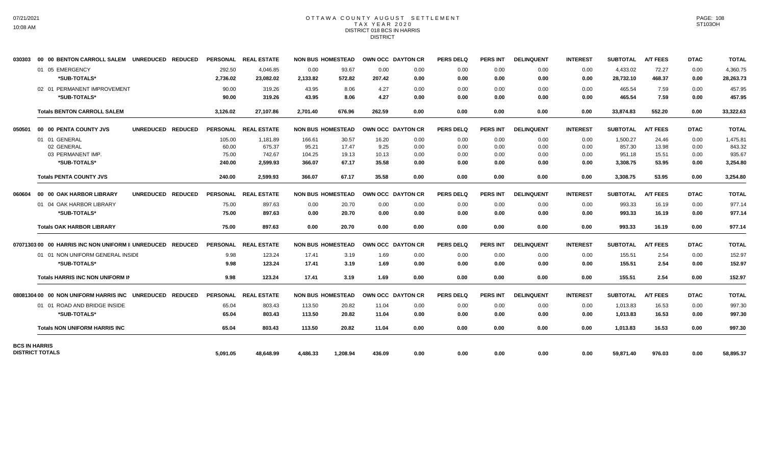## OTTAWA COUNTY AUGUST SETTLEMENT T A X Y E A R 2 0 2 0 DISTRICT 018 BCS IN HARRIS DISTRICT

| 030303               | 00 00 BENTON CARROLL SALEM UNREDUCED REDUCED               |                   |                    | PERSONAL REAL ESTATE  | <b>NON BUS HOMESTEAD</b> |                 | OWN OCC DAYTON CR |              | <b>PERS DELQ</b> | PERS INT        | <b>DELINQUENT</b> | <b>INTEREST</b> | <b>SUBTOTAL</b>       | <b>A/T FEES</b> | <b>DTAC</b>  | <b>TOTAL</b>          |
|----------------------|------------------------------------------------------------|-------------------|--------------------|-----------------------|--------------------------|-----------------|-------------------|--------------|------------------|-----------------|-------------------|-----------------|-----------------------|-----------------|--------------|-----------------------|
|                      | 01 05 EMERGENCY<br>*SUB-TOTALS*                            |                   | 292.50<br>2,736.02 | 4.046.85<br>23,082.02 | 0.00<br>2,133.82         | 93.67<br>572.82 | 0.00<br>207.42    | 0.00<br>0.00 | 0.00<br>0.00     | 0.00<br>0.00    | 0.00<br>0.00      | 0.00<br>0.00    | 4,433.02<br>28,732.10 | 72.27<br>468.37 | 0.00<br>0.00 | 4,360.75<br>28,263.73 |
|                      | 02 01 PERMANENT IMPROVEMENT<br>*SUB-TOTALS*                |                   | 90.00<br>90.00     | 319.26<br>319.26      | 43.95<br>43.95           | 8.06<br>8.06    | 4.27<br>4.27      | 0.00<br>0.00 | 0.00<br>0.00     | 0.00<br>0.00    | 0.00<br>0.00      | 0.00<br>0.00    | 465.54<br>465.54      | 7.59<br>7.59    | 0.00<br>0.00 | 457.95<br>457.95      |
|                      | <b>Totals BENTON CARROLL SALEM</b>                         |                   | 3,126.02           | 27,107.86             | 2,701.40                 | 676.96          | 262.59            | 0.00         | 0.00             | 0.00            | 0.00              | 0.00            | 33,874.83             | 552.20          | 0.00         | 33,322.63             |
| 050501               | 00 00 PENTA COUNTY JVS                                     | UNREDUCED REDUCED |                    | PERSONAL REAL ESTATE  | <b>NON BUS HOMESTEAD</b> |                 | OWN OCC DAYTON CR |              | <b>PERS DELQ</b> | <b>PERS INT</b> | <b>DELINQUENT</b> | <b>INTEREST</b> | <b>SUBTOTAL</b>       | <b>A/T FEES</b> | <b>DTAC</b>  | <b>TOTAL</b>          |
|                      | 01 01 GENERAL                                              |                   | 105.00             | 1,181.89              | 166.61                   | 30.57           | 16.20             | 0.00         | 0.00             | 0.00            | 0.00              | 0.00            | 1,500.27              | 24.46           | 0.00         | 1,475.81              |
|                      | 02 GENERAL                                                 |                   | 60.00              | 675.37                | 95.21                    | 17.47           | 9.25              | 0.00         | 0.00             | 0.00            | 0.00              | 0.00            | 857.30                | 13.98           | 0.00         | 843.32                |
|                      | 03 PERMANENT IMP.                                          |                   | 75.00              | 742.67                | 104.25                   | 19.13           | 10.13             | 0.00         | 0.00             | 0.00            | 0.00              | 0.00            | 951.18                | 15.51           | 0.00         | 935.67                |
|                      | *SUB-TOTALS*                                               |                   | 240.00             | 2,599.93              | 366.07                   | 67.17           | 35.58             | 0.00         | 0.00             | 0.00            | 0.00              | 0.00            | 3,308.75              | 53.95           | 0.00         | 3,254.80              |
|                      | <b>Totals PENTA COUNTY JVS</b>                             |                   | 240.00             | 2.599.93              | 366.07                   | 67.17           | 35.58             | 0.00         | 0.00             | 0.00            | 0.00              | 0.00            | 3.308.75              | 53.95           | 0.00         | 3.254.80              |
| 060604               | 00 00 OAK HARBOR LIBRARY                                   | UNREDUCED REDUCED |                    | PERSONAL REAL ESTATE  | <b>NON BUS HOMESTEAD</b> |                 | OWN OCC DAYTON CR |              | <b>PERS DELQ</b> | <b>PERS INT</b> | <b>DELINQUENT</b> | <b>INTEREST</b> | <b>SUBTOTAL</b>       | <b>A/T FEES</b> | <b>DTAC</b>  | <b>TOTAL</b>          |
|                      | 01 04 OAK HARBOR LIBRARY                                   |                   | 75.00              | 897.63                | 0.00                     | 20.70           | 0.00              | 0.00         | 0.00             | 0.00            | 0.00              | 0.00            | 993.33                | 16.19           | 0.00         | 977.14                |
|                      | *SUB-TOTALS*                                               |                   | 75.00              | 897.63                | 0.00                     | 20.70           | 0.00              | 0.00         | 0.00             | 0.00            | 0.00              | 0.00            | 993.33                | 16.19           | 0.00         | 977.14                |
|                      | <b>Totals OAK HARBOR LIBRARY</b>                           |                   | 75.00              | 897.63                | 0.00                     | 20.70           | 0.00              | 0.00         | 0.00             | 0.00            | 0.00              | 0.00            | 993.33                | 16.19           | 0.00         | 977.14                |
|                      | 07071303 00 00 HARRIS INC NON UNIFORM II UNREDUCED REDUCED |                   |                    | PERSONAL REAL ESTATE  | <b>NON BUS HOMESTEAD</b> |                 | OWN OCC DAYTON CR |              | <b>PERS DELQ</b> | <b>PERS INT</b> | <b>DELINQUENT</b> | <b>INTEREST</b> | <b>SUBTOTAL</b>       | <b>A/T FEES</b> | <b>DTAC</b>  | <b>TOTAL</b>          |
|                      | 01 01 NON UNIFORM GENERAL INSIDE                           |                   | 9.98               | 123.24                | 17.41                    | 3.19            | 1.69              | 0.00         | 0.00             | 0.00            | 0.00              | 0.00            | 155.51                | 2.54            | 0.00         | 152.97                |
|                      | *SUB-TOTALS*                                               |                   | 9.98               | 123.24                | 17.41                    | 3.19            | 1.69              | 0.00         | 0.00             | 0.00            | 0.00              | 0.00            | 155.51                | 2.54            | 0.00         | 152.97                |
|                      | Totals HARRIS INC NON UNIFORM IN                           |                   | 9.98               | 123.24                | 17.41                    | 3.19            | 1.69              | 0.00         | 0.00             | 0.00            | 0.00              | 0.00            | 155.51                | 2.54            | 0.00         | 152.97                |
|                      | 08081304 00 00 NON UNIFORM HARRIS INC UNREDUCED REDUCED    |                   |                    | PERSONAL REAL ESTATE  | <b>NON BUS HOMESTEAD</b> |                 | OWN OCC DAYTON CR |              | <b>PERS DELQ</b> | <b>PERS INT</b> | <b>DELINQUENT</b> | <b>INTEREST</b> | <b>SUBTOTAL</b>       | <b>A/T FEES</b> | <b>DTAC</b>  | <b>TOTAL</b>          |
|                      | 01 01 ROAD AND BRIDGE INSIDE                               |                   | 65.04              | 803.43                | 113.50                   | 20.82           | 11.04             | 0.00         | 0.00             | 0.00            | 0.00              | 0.00            | 1,013.83              | 16.53           | 0.00         | 997.30                |
|                      | *SUB-TOTALS*                                               |                   | 65.04              | 803.43                | 113.50                   | 20.82           | 11.04             | 0.00         | 0.00             | 0.00            | 0.00              | 0.00            | 1,013.83              | 16.53           | 0.00         | 997.30                |
|                      | <b>Totals NON UNIFORM HARRIS INC</b>                       |                   | 65.04              | 803.43                | 113.50                   | 20.82           | 11.04             | 0.00         | 0.00             | 0.00            | 0.00              | 0.00            | 1,013.83              | 16.53           | 0.00         | 997.30                |
| <b>BCS IN HARRIS</b> | <b>DISTRICT TOTALS</b>                                     |                   | 5,091.05           | 48,648.99             | 4,486.33                 | 1,208.94        | 436.09            | 0.00         | 0.00             | 0.00            | 0.00              | 0.00            | 59,871.40             | 976.03          | 0.00         | 58,895.37             |
|                      |                                                            |                   |                    |                       |                          |                 |                   |              |                  |                 |                   |                 |                       |                 |              |                       |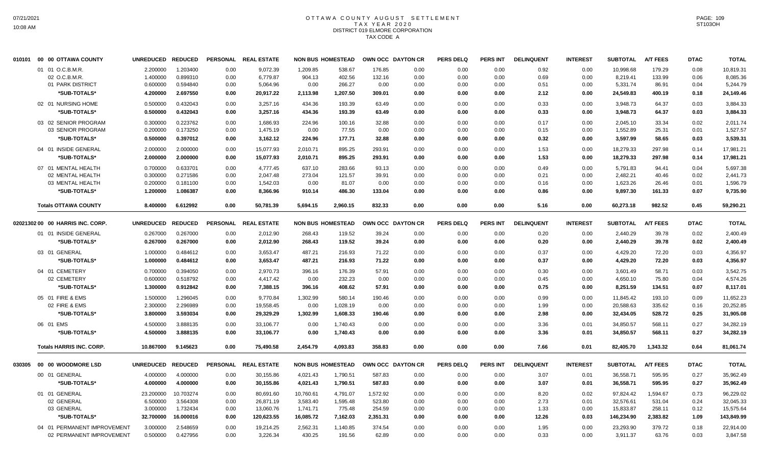# OTTAWA COUNTY AUGUST SETTLEMENT T A X Y E A R 2 0 2 0 DISTRICT 019 ELMORE CORPORATION TAX CODE A

|        | 010101 00 00 OTTAWA COUNTY                                  | <b>UNREDUCED</b>                 | <b>REDUCED</b>                   |                      | PERSONAL REAL ESTATE             |                            | <b>NON BUS HOMESTEAD</b>   | OWN OCC DAYTON CR        |                      | <b>PERS DELQ</b>     | <b>PERS INT</b>      | <b>DELINQUENT</b>    | <b>INTEREST</b>      | <b>SUBTOTAL</b>                   | <b>A/T FEES</b>           | <b>DTAC</b>          | <b>TOTAL</b>                      |
|--------|-------------------------------------------------------------|----------------------------------|----------------------------------|----------------------|----------------------------------|----------------------------|----------------------------|--------------------------|----------------------|----------------------|----------------------|----------------------|----------------------|-----------------------------------|---------------------------|----------------------|-----------------------------------|
|        | 01 01 O.C.B.M.R.<br>02 O.C.B.M.R.<br>01 PARK DISTRICT       | 2.200000<br>1.400000<br>0.600000 | 1.203400<br>0.899310<br>0.594840 | 0.00<br>0.00<br>0.00 | 9,072.39<br>6,779.87<br>5,064.96 | 1.209.85<br>904.13<br>0.00 | 538.67<br>402.56<br>266.27 | 176.85<br>132.16<br>0.00 | 0.00<br>0.00<br>0.00 | 0.00<br>0.00<br>0.00 | 0.00<br>0.00<br>0.00 | 0.92<br>0.69<br>0.51 | 0.00<br>0.00<br>0.00 | 10.998.68<br>8,219.41<br>5,331.74 | 179.29<br>133.99<br>86.91 | 0.08<br>0.06<br>0.04 | 10,819.31<br>8,085.36<br>5,244.79 |
|        | *SUB-TOTALS*                                                | 4.200000                         | 2.697550                         | 0.00                 | 20,917.22                        | 2,113.98                   | 1,207.50                   | 309.01                   | 0.00                 | 0.00                 | 0.00                 | 2.12                 | 0.00                 | 24,549.83                         | 400.19                    | 0.18                 | 24,149.46                         |
|        | 02 01 NURSING HOME<br>*SUB-TOTALS*                          | 0.500000<br>0.500000             | 0.432043<br>0.432043             | 0.00<br>0.00         | 3,257.16<br>3,257.16             | 434.36<br>434.36           | 193.39<br>193.39           | 63.49<br>63.49           | 0.00<br>0.00         | 0.00<br>0.00         | 0.00<br>0.00         | 0.33<br>0.33         | 0.00<br>0.00         | 3,948.73<br>3,948.73              | 64.37<br>64.37            | 0.03<br>0.03         | 3,884.33<br>3,884.33              |
|        | 03 02 SENIOR PROGRAM<br>03 SENIOR PROGRAM                   | 0.300000<br>0.200000             | 0.223762<br>0.173250             | 0.00<br>0.00         | 1.686.93<br>1,475.19             | 224.96<br>0.00             | 100.16<br>77.55            | 32.88<br>0.00            | 0.00<br>0.00         | 0.00<br>0.00         | 0.00<br>0.00         | 0.17<br>0.15         | 0.00<br>0.00         | 2.045.10<br>1,552.89              | 33.34<br>25.31            | 0.02<br>0.01         | 2.011.74<br>1,527.57              |
|        | *SUB-TOTALS*                                                | 0.500000                         | 0.397012                         | 0.00                 | 3,162.12                         | 224.96                     | 177.71                     | 32.88                    | 0.00                 | 0.00                 | 0.00                 | 0.32                 | 0.00                 | 3,597.99                          | 58.65                     | 0.03                 | 3,539.31                          |
|        | 04 01 INSIDE GENERAL<br>*SUB-TOTALS*                        | 2.000000<br>2.000000             | 2.000000<br>2.000000             | 0.00<br>0.00         | 15,077.93<br>15,077.93           | 2,010.71<br>2,010.71       | 895.25<br>895.25           | 293.91<br>293.91         | 0.00<br>0.00         | 0.00<br>0.00         | 0.00<br>0.00         | 1.53<br>1.53         | 0.00<br>0.00         | 18,279.33<br>18,279.33            | 297.98<br>297.98          | 0.14<br>0.14         | 17,981.21<br>17,981.21            |
|        | 07 01 MENTAL HEALTH<br>02 MENTAL HEALTH<br>03 MENTAL HEALTH | 0.700000<br>0.300000<br>0.200000 | 0.633701<br>0.271586<br>0.181100 | 0.00<br>0.00<br>0.00 | 4.777.45<br>2,047.48<br>1,542.03 | 637.10<br>273.04<br>0.00   | 283.66<br>121.57<br>81.07  | 93.13<br>39.91<br>0.00   | 0.00<br>0.00<br>0.00 | 0.00<br>0.00<br>0.00 | 0.00<br>0.00<br>0.00 | 0.49<br>0.21<br>0.16 | 0.00<br>0.00<br>0.00 | 5,791.83<br>2,482.21<br>1,623.26  | 94.41<br>40.46<br>26.46   | 0.04<br>0.02<br>0.01 | 5,697.38<br>2,441.73<br>1,596.79  |
|        | *SUB-TOTALS*                                                | 1.200000                         | 1.086387                         | 0.00                 | 8,366.96                         | 910.14                     | 486.30                     | 133.04                   | 0.00                 | 0.00                 | 0.00                 | 0.86                 | 0.00                 | 9,897.30                          | 161.33                    | 0.07                 | 9,735.90                          |
|        | <b>Totals OTTAWA COUNTY</b>                                 | 8.400000                         | 6.612992                         | 0.00                 | 50,781.39                        | 5,694.15                   | 2,960.15                   | 832.33                   | 0.00                 | 0.00                 | 0.00                 | 5.16                 | 0.00                 | 60,273.18                         | 982.52                    | 0.45                 | 59,290.21                         |
|        | 02021302 00 00 HARRIS INC. CORP.                            | UNREDUCED REDUCED                |                                  |                      | PERSONAL REAL ESTATE             |                            | <b>NON BUS HOMESTEAD</b>   | OWN OCC DAYTON CR        |                      | <b>PERS DELQ</b>     | PERS INT             | <b>DELINQUENT</b>    | <b>INTEREST</b>      | <b>SUBTOTAL</b>                   | <b>A/T FEES</b>           | <b>DTAC</b>          | <b>TOTAL</b>                      |
|        | 01 01 INSIDE GENERAL<br>*SUB-TOTALS*                        | 0.267000<br>0.267000             | 0.267000<br>0.267000             | 0.00<br>0.00         | 2,012.90<br>2,012.90             | 268.43<br>268.43           | 119.52<br>119.52           | 39.24<br>39.24           | 0.00<br>0.00         | 0.00<br>0.00         | 0.00<br>0.00         | 0.20<br>0.20         | 0.00<br>0.00         | 2,440.29<br>2,440.29              | 39.78<br>39.78            | 0.02<br>0.02         | 2,400.49<br>2,400.49              |
|        | 03 01 GENERAL                                               | 1.000000                         | 0.484612                         | 0.00                 | 3,653.47                         | 487.21                     | 216.93                     | 71.22                    | 0.00                 | 0.00                 | 0.00                 | 0.37                 | 0.00                 | 4,429.20                          | 72.20                     | 0.03                 | 4,356.97                          |
|        | *SUB-TOTALS*                                                | 1.000000                         | 0.484612                         | 0.00                 | 3,653.47                         | 487.21                     | 216.93                     | 71.22                    | 0.00                 | 0.00                 | 0.00                 | 0.37                 | 0.00                 | 4,429.20                          | 72.20                     | 0.03                 | 4,356.97                          |
|        | 04 01 CEMETERY<br>02 CEMETERY                               | 0.700000<br>0.600000             | 0.394050<br>0.518792             | 0.00<br>0.00         | 2,970.73<br>4,417.42             | 396.16<br>0.00             | 176.39<br>232.23           | 57.91<br>0.00            | 0.00<br>0.00         | 0.00<br>0.00         | 0.00<br>0.00         | 0.30<br>0.45         | 0.00<br>0.00         | 3,601.49<br>4,650.10              | 58.71<br>75.80            | 0.03<br>0.04         | 3,542.75<br>4,574.26              |
|        | *SUB-TOTALS*                                                | 1.300000                         | 0.912842                         | 0.00                 | 7,388.15                         | 396.16                     | 408.62                     | 57.91                    | 0.00                 | 0.00                 | 0.00                 | 0.75                 | 0.00                 | 8,251.59                          | 134.51                    | 0.07                 | 8,117.01                          |
|        | 05 01 FIRE & EMS<br>02 FIRE & EMS                           | 1.500000<br>2.300000             | 1.296045<br>2.296989             | 0.00<br>0.00         | 9,770.84<br>19,558.45            | 1,302.99<br>0.00           | 580.14<br>1,028.19         | 190.46<br>0.00           | 0.00<br>0.00         | 0.00<br>0.00         | 0.00<br>0.00         | 0.99<br>1.99         | 0.00<br>0.00         | 11,845.42<br>20,588.63            | 193.10<br>335.62          | 0.09<br>0.16         | 11,652.23<br>20,252.85            |
|        | *SUB-TOTALS*                                                | 3.800000                         | 3.593034                         | 0.00                 | 29,329.29                        | 1,302.99                   | 1,608.33                   | 190.46                   | 0.00                 | 0.00                 | 0.00                 | 2.98                 | 0.00                 | 32,434.05                         | 528.72                    | 0.25                 | 31,905.08                         |
|        | 06 01 EMS<br>*SUB-TOTALS*                                   | 4.500000<br>4.500000             | 3.888135<br>3.888135             | 0.00<br>0.00         | 33,106.77<br>33,106.77           | 0.00<br>0.00               | 1,740.43<br>1,740.43       | 0.00<br>0.00             | 0.00<br>0.00         | 0.00<br>0.00         | 0.00<br>0.00         | 3.36<br>3.36         | 0.01<br>0.01         | 34,850.57<br>34,850.57            | 568.11<br>568.11          | 0.27<br>0.27         | 34,282.19<br>34,282.19            |
|        | <b>Totals HARRIS INC, CORP.</b>                             | 10.867000                        | 9.145623                         | 0.00                 | 75.490.58                        | 2,454.79                   | 4.093.83                   | 358.83                   | 0.00                 | 0.00                 | 0.00                 | 7.66                 | 0.01                 | 82,405.70                         | 1.343.32                  | 0.64                 | 81,061.74                         |
| 030305 | 00 00 WOODMORE LSD                                          | UNREDUCED REDUCED                |                                  |                      | PERSONAL REAL ESTATE             |                            | <b>NON BUS HOMESTEAD</b>   | OWN OCC DAYTON CR        |                      | <b>PERS DELQ</b>     | <b>PERS INT</b>      | <b>DELINQUENT</b>    | <b>INTEREST</b>      | <b>SUBTOTAL</b>                   | <b>A/T FEES</b>           | <b>DTAC</b>          | <b>TOTAL</b>                      |
|        | 00 01 GENERAL                                               | 4.000000                         | 4.000000                         | 0.00                 | 30,155.86                        | 4,021.43                   | 1,790.51                   | 587.83                   | 0.00                 | 0.00                 | 0.00                 | 3.07                 | 0.01                 | 36,558.71                         | 595.95                    | 0.27                 | 35,962.49                         |
|        | *SUB-TOTALS*                                                | 4.000000                         | 4.000000                         | 0.00                 | 30,155.86                        | 4,021.43                   | 1,790.51                   | 587.83                   | 0.00                 | 0.00                 | 0.00                 | 3.07                 | 0.01                 | 36,558.71                         | 595.95                    | 0.27                 | 35,962.49                         |
|        | 01 01 GENERAL<br>02 GENERAL                                 | 23.200000<br>6.500000            | 10.703274<br>3.564308            | 0.00<br>0.00         | 80,691.60<br>26,871.19           | 10,760.61<br>3,583.40      | 4,791.07<br>1,595.48       | 1,572.92<br>523.80       | 0.00<br>0.00         | 0.00<br>0.00         | 0.00<br>0.00         | 8.20<br>2.73         | 0.02<br>0.01         | 97,824.42<br>32,576.61            | 1,594.67<br>531.04        | 0.73<br>0.24         | 96,229.02<br>32,045.33            |
|        | 03 GENERAL                                                  | 3.000000                         | 1.732434                         | 0.00                 | 13,060.76                        | 1,741.71                   | 775.48                     | 254.59                   | 0.00                 | 0.00                 | 0.00                 | 1.33                 | 0.00                 | 15,833.87                         | 258.11                    | 0.12                 | 15,575.64                         |
|        | *SUB-TOTALS*                                                | 32.700000                        | 16.000016                        | 0.00                 | 120,623.55                       | 16,085.72                  | 7,162.03                   | 2,351.31                 | 0.00                 | 0.00                 | 0.00                 | 12.26                | 0.03                 | 146,234.90                        | 2,383.82                  | 1.09                 | 143,849.99                        |
|        | 04 01 PERMANENT IMPROVEMENT<br>02 PERMANENT IMPROVEMENT     | 3.000000<br>0.500000             | 2.548659<br>0.427956             | 0.00<br>0.00         | 19,214.25<br>3,226.34            | 2,562.31<br>430.25         | 1,140.85<br>191.56         | 374.54<br>62.89          | 0.00<br>0.00         | 0.00<br>0.00         | 0.00<br>0.00         | 1.95<br>0.33         | 0.00<br>0.00         | 23,293.90<br>3,911.37             | 379.72<br>63.76           | 0.18<br>0.03         | 22,914.00<br>3,847.58             |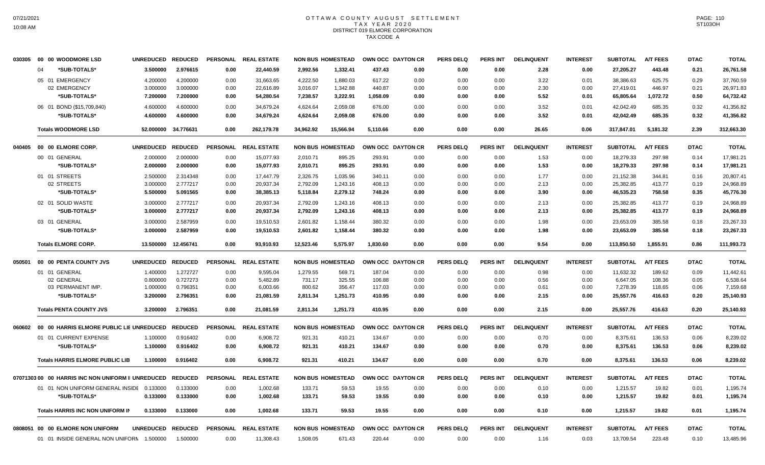### OTTAWA COUNTY AUGUST SETTLEMENT T A X Y E A R 2 0 2 0 DISTRICT 019 ELMORE CORPORATION TAX CODE A

| 030305 | 00 00 WOODMORE LSD                                | <b>UNREDUCED</b> | <b>REDUCED</b> | <b>PERSONAL</b> | <b>REAL ESTATE</b>   |           | <b>NON BUS HOMESTEAD</b> | OWN OCC DAYTON CR |      | <b>PERS DELQ</b> | <b>PERS INT</b> | <b>DELINQUENT</b> | <b>INTEREST</b> | <b>SUBTOTAL</b> | <b>A/T FEES</b> | <b>DTAC</b> | <b>TOTAL</b> |
|--------|---------------------------------------------------|------------------|----------------|-----------------|----------------------|-----------|--------------------------|-------------------|------|------------------|-----------------|-------------------|-----------------|-----------------|-----------------|-------------|--------------|
|        | *SUB-TOTALS*<br>04                                | 3.500000         | 2.976615       | 0.00            | 22,440.59            | 2,992.56  | 1,332.41                 | 437.43            | 0.00 | 0.00             | 0.00            | 2.28              | 0.00            | 27,205.27       | 443.48          | 0.21        | 26,761.58    |
|        | 05 01 EMERGENCY                                   | 4.200000         | 4.200000       | 0.00            | 31,663.65            | 4,222.50  | 1,880.03                 | 617.22            | 0.00 | 0.00             | 0.00            | 3.22              | 0.01            | 38,386.63       | 625.75          | 0.29        | 37,760.59    |
|        | 02 EMERGENCY                                      | 3.000000         | 3.000000       | 0.00            | 22,616.89            | 3,016.07  | 1,342.88                 | 440.87            | 0.00 | 0.00             | 0.00            | 2.30              | 0.00            | 27,419.01       | 446.97          | 0.21        | 26,971.83    |
|        | *SUB-TOTALS*                                      | 7.200000         | 7.200000       | 0.00            | 54,280.54            | 7,238.57  | 3,222.91                 | 1,058.09          | 0.00 | 0.00             | 0.00            | 5.52              | 0.01            | 65,805.64       | 1,072.72        | 0.50        | 64,732.42    |
|        | 06 01 BOND (\$15,709,840)                         | 4.600000         | 4.600000       | 0.00            | 34,679.24            | 4,624.64  | 2,059.08                 | 676.00            | 0.00 | 0.00             | 0.00            | 3.52              | 0.01            | 42,042.49       | 685.35          | 0.32        | 41,356.82    |
|        | *SUB-TOTALS*                                      | 4.600000         | 4.600000       | 0.00            | 34,679.24            | 4,624.64  | 2,059.08                 | 676.00            | 0.00 | 0.00             | 0.00            | 3.52              | 0.01            | 42,042.49       | 685.35          | 0.32        | 41,356.82    |
|        | <b>Totals WOODMORE LSD</b>                        | 52.000000        | 34.776631      | 0.00            | 262,179.78           | 34,962.92 | 15,566.94                | 5,110.66          | 0.00 | 0.00             | 0.00            | 26.65             | 0.06            | 317,847.01      | 5,181.32        | 2.39        | 312,663.30   |
| 040405 | 00 00 ELMORE CORP.                                | <b>UNREDUCED</b> | <b>REDUCED</b> | <b>PERSONAL</b> | <b>REAL ESTATE</b>   |           | <b>NON BUS HOMESTEAD</b> | OWN OCC DAYTON CR |      | PERS DELO        | PERS INT        | <b>DELINQUENT</b> | <b>INTEREST</b> | <b>SUBTOTAL</b> | <b>A/T FEES</b> | <b>DTAC</b> | <b>TOTAL</b> |
|        | 00 01 GENERAL                                     | 2.000000         | 2.000000       | 0.00            | 15,077.93            | 2,010.71  | 895.25                   | 293.91            | 0.00 | 0.00             | 0.00            | 1.53              | 0.00            | 18,279.33       | 297.98          | 0.14        | 17,981.21    |
|        | *SUB-TOTALS*                                      | 2.000000         | 2.000000       | 0.00            | 15,077.93            | 2,010.71  | 895.25                   | 293.91            | 0.00 | 0.00             | 0.00            | 1.53              | 0.00            | 18,279.33       | 297.98          | 0.14        | 17,981.21    |
|        | 01 01 STREETS                                     | 2.500000         | 2.314348       | 0.00            | 17,447.79            | 2,326.75  | 1,035.96                 | 340.11            | 0.00 | 0.00             | 0.00            | 1.77              | 0.00            | 21,152.38       | 344.81          | 0.16        | 20,807.41    |
|        | 02 STREETS                                        | 3.000000         | 2.777217       | 0.00            | 20,937.34            | 2,792.09  | 1,243.16                 | 408.13            | 0.00 | 0.00             | 0.00            | 2.13              | 0.00            | 25,382.85       | 413.77          | 0.19        | 24,968.89    |
|        | *SUB-TOTALS*                                      | 5.500000         | 5.091565       | 0.00            | 38,385.13            | 5,118.84  | 2,279.12                 | 748.24            | 0.00 | 0.00             | 0.00            | 3.90              | 0.00            | 46,535.23       | 758.58          | 0.35        | 45,776.30    |
|        | 02 01 SOLID WASTE                                 | 3.000000         | 2.777217       | 0.00            | 20,937.34            | 2,792.09  | 1,243.16                 | 408.13            | 0.00 | 0.00             | 0.00            | 2.13              | 0.00            | 25,382.85       | 413.77          | 0.19        | 24,968.89    |
|        | *SUB-TOTALS*                                      | 3.000000         | 2.777217       | 0.00            | 20,937.34            | 2,792.09  | 1,243.16                 | 408.13            | 0.00 | 0.00             | 0.00            | 2.13              | 0.00            | 25,382.85       | 413.77          | 0.19        | 24,968.89    |
|        | 03 01 GENERAL                                     | 3.000000         | 2.587959       | 0.00            | 19,510.53            | 2,601.82  | 1,158.44                 | 380.32            | 0.00 | 0.00             | 0.00            | 1.98              | 0.00            | 23,653.09       | 385.58          | 0.18        | 23,267.33    |
|        | *SUB-TOTALS*                                      | 3.000000         | 2.587959       | 0.00            | 19,510.53            | 2,601.82  | 1,158.44                 | 380.32            | 0.00 | 0.00             | 0.00            | 1.98              | 0.00            | 23,653.09       | 385.58          | 0.18        | 23,267.33    |
|        | <b>Totals ELMORE CORP.</b>                        | 13.500000        | 12.456741      | 0.00            | 93,910.93            | 12,523.46 | 5,575.97                 | 1,830.60          | 0.00 | 0.00             | 0.00            | 9.54              | 0.00            | 113,850.50      | 1,855.91        | 0.86        | 111,993.73   |
| 050501 | 00 00 PENTA COUNTY JVS                            | <b>UNREDUCED</b> | <b>REDUCED</b> | <b>PERSONAL</b> | <b>REAL ESTATE</b>   |           | <b>NON BUS HOMESTEAD</b> | OWN OCC DAYTON CR |      | <b>PERS DELQ</b> | PERS INT        | <b>DELINQUENT</b> | <b>INTEREST</b> | <b>SUBTOTAL</b> | <b>A/T FEES</b> | <b>DTAC</b> | <b>TOTAL</b> |
|        | 01 01 GENERAL                                     | 1.400000         | 1.272727       | 0.00            | 9,595.04             | 1,279.55  | 569.71                   | 187.04            | 0.00 | 0.00             | 0.00            | 0.98              | 0.00            | 11,632.32       | 189.62          | 0.09        | 11,442.61    |
|        | 02 GENERAL                                        | 0.800000         | 0.727273       | 0.00            | 5,482.89             | 731.17    | 325.55                   | 106.88            | 0.00 | 0.00             | 0.00            | 0.56              | 0.00            | 6,647.05        | 108.36          | 0.05        | 6,538.64     |
|        | 03 PERMANENT IMP.                                 | 1.000000         | 0.796351       | 0.00            | 6,003.66             | 800.62    | 356.47                   | 117.03            | 0.00 | 0.00             | 0.00            | 0.61              | 0.00            | 7,278.39        | 118.65          | 0.06        | 7,159.68     |
|        | *SUB-TOTALS*                                      | 3.200000         | 2.796351       | 0.00            | 21,081.59            | 2,811.34  | 1,251.73                 | 410.95            | 0.00 | 0.00             | 0.00            | 2.15              | 0.00            | 25,557.76       | 416.63          | 0.20        | 25,140.93    |
|        | <b>Totals PENTA COUNTY JVS</b>                    | 3.200000         | 2.796351       | 0.00            | 21.081.59            | 2.811.34  | 1,251.73                 | 410.95            | 0.00 | 0.00             | 0.00            | 2.15              | 0.00            | 25,557.76       | 416.63          | 0.20        | 25,140.93    |
| 060602 | 00 00 HARRIS ELMORE PUBLIC LIE UNREDUCED          |                  | <b>REDUCED</b> | <b>PERSONAL</b> | <b>REAL ESTATE</b>   |           | <b>NON BUS HOMESTEAD</b> | OWN OCC DAYTON CR |      | <b>PERS DELQ</b> | <b>PERS INT</b> | <b>DELINQUENT</b> | <b>INTEREST</b> | <b>SUBTOTAL</b> | <b>A/T FEES</b> | <b>DTAC</b> | <b>TOTAL</b> |
|        | 01 01 CURRENT EXPENSE                             | 1.100000         | 0.916402       | 0.00            | 6,908.72             | 921.31    | 410.21                   | 134.67            | 0.00 | 0.00             | 0.00            | 0.70              | 0.00            | 8,375.61        | 136.53          | 0.06        | 8,239.02     |
|        | *SUB-TOTALS*                                      | 1.100000         | 0.916402       | 0.00            | 6,908.72             | 921.31    | 410.21                   | 134.67            | 0.00 | 0.00             | 0.00            | 0.70              | 0.00            | 8,375.61        | 136.53          | 0.06        | 8,239.02     |
|        | <b>Totals HARRIS ELMORE PUBLIC LIB</b>            | 1.100000         | 0.916402       | 0.00            | 6.908.72             | 921.31    | 410.21                   | 134.67            | 0.00 | 0.00             | 0.00            | 0.70              | 0.00            | 8,375.61        | 136.53          | 0.06        | 8,239.02     |
|        | 0707130300 00 HARRIS INC NON UNIFORM II UNREDUCED |                  | <b>REDUCED</b> | <b>PERSONAL</b> | <b>REAL ESTATE</b>   |           | <b>NON BUS HOMESTEAD</b> | OWN OCC DAYTON CR |      | PERS DELO        | PERS INT        | <b>DELINQUENT</b> | <b>INTEREST</b> | <b>SUBTOTAL</b> | <b>A/T FEES</b> | <b>DTAC</b> | <b>TOTAL</b> |
|        | 01 01 NON UNIFORM GENERAL INSIDE 0.133000         |                  | 0.133000       | 0.00            | 1,002.68             | 133.71    | 59.53                    | 19.55             | 0.00 | 0.00             | 0.00            | 0.10              | 0.00            | 1,215.57        | 19.82           | 0.01        | 1,195.74     |
|        | *SUB-TOTALS*                                      | 0.133000         | 0.133000       | 0.00            | 1,002.68             | 133.71    | 59.53                    | 19.55             | 0.00 | 0.00             | 0.00            | 0.10              | 0.00            | 1,215.57        | 19.82           | 0.01        | 1,195.74     |
|        | <b>Totals HARRIS INC NON UNIFORM IN</b>           | 0.133000         | 0.133000       | 0.00            | 1,002.68             | 133.71    | 59.53                    | 19.55             | 0.00 | 0.00             | 0.00            | 0.10              | 0.00            | 1,215.57        | 19.82           | 0.01        | 1,195.74     |
|        | 0808051 00 00 ELMORE NON UNIFORM                  | <b>UNREDUCED</b> | <b>REDUCED</b> |                 | PERSONAL REAL ESTATE |           | <b>NON BUS HOMESTEAD</b> | OWN OCC DAYTON CR |      | <b>PERS DELQ</b> | <b>PERS INT</b> | <b>DELINQUENT</b> | <b>INTEREST</b> | <b>SUBTOTAL</b> | <b>A/T FEES</b> | <b>DTAC</b> | <b>TOTAL</b> |
|        | 01 01 INSIDE GENERAL NON UNIFORN 1.500000         |                  | 1.500000       | 0.00            | 11,308.43            | 1,508.05  | 671.43                   | 220.44            | 0.00 | 0.00             | 0.00            | 1.16              | 0.03            | 13,709.54       | 223.48          | 0.10        | 13.485.96    |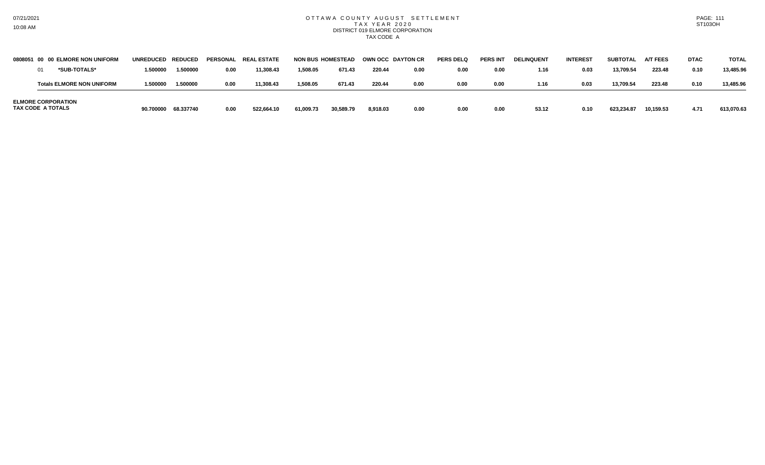### OTTAWA COUNTY AUGUST SETTLEMENT T A X Y E A R 2 0 2 0 DISTRICT 019 ELMORE CORPORATION TAX CODE A

|                   | 0808051 00 00 ELMORE NON UNIFORM | UNREDUCED REDUCED |           |      | PERSONAL REAL ESTATE | <b>NON BUS HOMESTEAD</b> |           |          | OWN OCC DAYTON CR | <b>PERS DELO</b> | <b>PERS INT</b> | <b>DELINQUENT</b> | <b>INTEREST</b> | <b>SUBTOTAL</b> | <b>A/T FEES</b> | <b>DTAC</b> | <b>TOTAL</b> |
|-------------------|----------------------------------|-------------------|-----------|------|----------------------|--------------------------|-----------|----------|-------------------|------------------|-----------------|-------------------|-----------------|-----------------|-----------------|-------------|--------------|
|                   | *SUB-TOTALS*                     | 1.500000          | 1.500000  | 0.00 | 11,308.43            | 1,508.05                 | 671.43    | 220.44   | 0.00              | 0.00             | 0.00            | 1.16              | 0.03            | 13,709.54       | 223.48          | 0.10        | 13,485.96    |
|                   | <b>Totals ELMORE NON UNIFORM</b> | 1.500000          | 1.500000  | 0.00 | 11,308.43            | 1,508.05                 | 671.43    | 220.44   | 0.00              | 0.00             | 0.00            | 1.16              | 0.03            | 13.709.54       | 223.48          | 0.10        | 13.485.96    |
| TAX CODE A TOTALS | <b>ELMORE CORPORATION</b>        | 90.700000         | 68.337740 | 0.00 | 522.664.10           | 61,009.73                | 30,589.79 | 8.918.03 | 0.00              | 0.00             | 0.00            | 53.12             | 0.10            | 623,234.87      | 10.159.53       | 4.71        | 613.070.63   |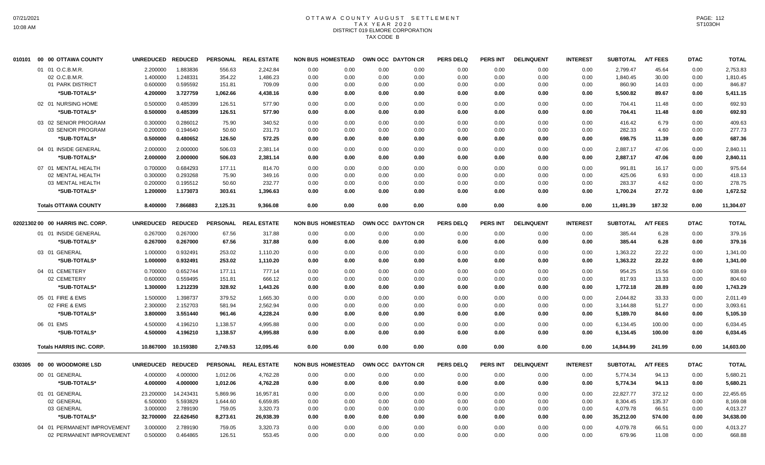# OTTAWA COUNTY AUGUST SETTLEMENT T A X Y E A R 2 0 2 0 DISTRICT 019 ELMORE CORPORATION TAX CODE B

| 010101 | 00 00 OTTAWA COUNTY              | <b>UNREDUCED</b>  | <b>REDUCED</b> |          | PERSONAL REAL ESTATE | <b>NON BUS HOMESTEAD</b> |      | OWN OCC DAYTON CR | <b>PERS DELQ</b> | <b>PERS INT</b> | <b>DELINQUENT</b> | <b>INTEREST</b> | <b>SUBTOTAL</b> | <b>A/T FEES</b> | <b>DTAC</b> | <b>TOTAL</b> |
|--------|----------------------------------|-------------------|----------------|----------|----------------------|--------------------------|------|-------------------|------------------|-----------------|-------------------|-----------------|-----------------|-----------------|-------------|--------------|
|        | 01 01 O.C.B.M.R.                 | 2.200000          | 1.883836       | 556.63   | 2,242.84             | 0.00<br>0.00             | 0.00 | 0.00              | 0.00             | 0.00            | 0.00              | 0.00            | 2,799.47        | 45.64           | 0.00        | 2,753.83     |
|        | 02 O.C.B.M.R.                    | 1.400000          | 1.248331       | 354.22   | 1,486.23             | 0.00<br>0.00             | 0.00 | 0.00              | 0.00             | 0.00            | 0.00              | 0.00            | 1,840.45        | 30.00           | 0.00        | 1,810.45     |
|        | 01 PARK DISTRICT                 | 0.600000          | 0.595592       | 151.81   | 709.09               | 0.00<br>0.00             | 0.00 | 0.00              | 0.00             | 0.00            | 0.00              | 0.00            | 860.90          | 14.03           | 0.00        | 846.87       |
|        | *SUB-TOTALS*                     | 4.200000          | 3.727759       | 1,062.66 | 4,438.16             | 0.00<br>0.00             | 0.00 | 0.00              | 0.00             | 0.00            | 0.00              | 0.00            | 5,500.82        | 89.67           | 0.00        | 5,411.15     |
|        | 02 01 NURSING HOME               | 0.500000          | 0.485399       | 126.51   | 577.90               | 0.00<br>0.00             | 0.00 | 0.00              | 0.00             | 0.00            | 0.00              | 0.00            | 704.41          | 11.48           | 0.00        | 692.93       |
|        | *SUB-TOTALS*                     | 0.500000          | 0.485399       | 126.51   | 577.90               | 0.00<br>0.00             | 0.00 | 0.00              | 0.00             | 0.00            | 0.00              | 0.00            | 704.41          | 11.48           | 0.00        | 692.93       |
|        | 03 02 SENIOR PROGRAM             | 0.300000          | 0.286012       | 75.90    | 340.52               | 0.00<br>0.00             | 0.00 | 0.00              | 0.00             | 0.00            | 0.00              | 0.00            | 416.42          | 6.79            | 0.00        | 409.63       |
|        | 03 SENIOR PROGRAM                | 0.200000          | 0.194640       | 50.60    | 231.73               | 0.00<br>0.00             | 0.00 | 0.00              | 0.00             | 0.00            | 0.00              | 0.00            | 282.33          | 4.60            | 0.00        | 277.73       |
|        | *SUB-TOTALS*                     | 0.500000          | 0.480652       | 126.50   | 572.25               | 0.00<br>0.00             | 0.00 | 0.00              | 0.00             | 0.00            | 0.00              | 0.00            | 698.75          | 11.39           | 0.00        | 687.36       |
|        | 04 01 INSIDE GENERAL             | 2.000000          | 2.000000       | 506.03   | 2,381.14             | 0.00<br>0.00             | 0.00 | 0.00              | 0.00             | 0.00            | 0.00              | 0.00            | 2,887.17        | 47.06           | 0.00        | 2,840.11     |
|        | *SUB-TOTALS*                     | 2.000000          | 2.000000       | 506.03   | 2,381.14             | 0.00<br>0.00             | 0.00 | 0.00              | 0.00             | 0.00            | 0.00              | 0.00            | 2,887.17        | 47.06           | 0.00        | 2,840.11     |
|        | 07 01 MENTAL HEALTH              | 0.700000          | 0.684293       | 177.11   | 814.70               | 0.00<br>0.00             | 0.00 | 0.00              | 0.00             | 0.00            | 0.00              | 0.00            | 991.81          | 16.17           | 0.00        | 975.64       |
|        | 02 MENTAL HEALTH                 | 0.300000          | 0.293268       | 75.90    | 349.16               | 0.00<br>0.00             | 0.00 | 0.00              | 0.00             | 0.00            | 0.00              | 0.00            | 425.06          | 6.93            | 0.00        | 418.13       |
|        | 03 MENTAL HEALTH                 | 0.200000          | 0.195512       | 50.60    | 232.77               | 0.00<br>0.00             | 0.00 | 0.00              | 0.00             | 0.00            | 0.00              | 0.00            | 283.37          | 4.62            | 0.00        | 278.75       |
|        | *SUB-TOTALS*                     | 1.200000          | 1.173073       | 303.61   | 1,396.63             | 0.00<br>0.00             | 0.00 | 0.00              | 0.00             | 0.00            | 0.00              | 0.00            | 1,700.24        | 27.72           | 0.00        | 1,672.52     |
|        | <b>Totals OTTAWA COUNTY</b>      | 8.400000          | 7.866883       | 2,125.31 | 9,366.08             | 0.00<br>0.00             | 0.00 | 0.00              | 0.00             | 0.00            | 0.00              | 0.00            | 11,491.39       | 187.32          | 0.00        | 11,304.07    |
|        |                                  |                   |                |          |                      |                          |      |                   |                  |                 |                   |                 |                 |                 |             |              |
|        | 02021302 00 00 HARRIS INC. CORP. | <b>UNREDUCED</b>  | <b>REDUCED</b> |          | PERSONAL REAL ESTATE | <b>NON BUS HOMESTEAD</b> |      | OWN OCC DAYTON CR | <b>PERS DELQ</b> | <b>PERS INT</b> | <b>DELINQUENT</b> | <b>INTEREST</b> | <b>SUBTOTAL</b> | <b>A/T FEES</b> | <b>DTAC</b> | <b>TOTAL</b> |
|        | 01 01 INSIDE GENERAL             | 0.267000          | 0.267000       | 67.56    | 317.88               | 0.00<br>0.00             | 0.00 | 0.00              | 0.00             | 0.00            | 0.00              | 0.00            | 385.44          | 6.28            | 0.00        | 379.16       |
|        | *SUB-TOTALS*                     | 0.267000          | 0.267000       | 67.56    | 317.88               | 0.00<br>0.00             | 0.00 | 0.00              | 0.00             | 0.00            | 0.00              | 0.00            | 385.44          | 6.28            | 0.00        | 379.16       |
|        | 03 01 GENERAL                    | 1.000000          | 0.932491       | 253.02   | 1,110.20             | 0.00<br>0.00             | 0.00 | 0.00              | 0.00             | 0.00            | 0.00              | 0.00            | 1.363.22        | 22.22           | 0.00        | 1,341.00     |
|        | *SUB-TOTALS*                     | 1.000000          | 0.932491       | 253.02   | 1,110.20             | 0.00<br>0.00             | 0.00 | 0.00              | 0.00             | 0.00            | 0.00              | 0.00            | 1,363.22        | 22.22           | 0.00        | 1,341.00     |
|        | 04 01 CEMETERY                   | 0.700000          | 0.652744       | 177.11   | 777.14               | 0.00<br>0.00             | 0.00 | 0.00              | 0.00             | 0.00            | 0.00              | 0.00            | 954.25          | 15.56           | 0.00        | 938.69       |
|        | 02 CEMETERY                      | 0.600000          | 0.559495       | 151.81   | 666.12               | 0.00<br>0.00             | 0.00 | 0.00              | 0.00             | 0.00            | 0.00              | 0.00            | 817.93          | 13.33           | 0.00        | 804.60       |
|        | *SUB-TOTALS*                     | 1.300000          | 1.212239       | 328.92   | 1,443.26             | 0.00<br>0.00             | 0.00 | 0.00              | 0.00             | 0.00            | 0.00              | 0.00            | 1,772.18        | 28.89           | 0.00        | 1,743.29     |
|        | 05 01 FIRE & EMS                 | 1.500000          | 1.398737       | 379.52   | 1,665.30             | 0.00<br>0.00             | 0.00 | 0.00              | 0.00             | 0.00            | 0.00              | 0.00            | 2.044.82        | 33.33           | 0.00        | 2,011.49     |
|        | 02 FIRE & EMS                    | 2.300000          | 2.152703       | 581.94   | 2,562.94             | 0.00<br>0.00             | 0.00 | 0.00              | 0.00             | 0.00            | 0.00              | 0.00            | 3,144.88        | 51.27           | 0.00        | 3,093.61     |
|        | *SUB-TOTALS*                     | 3.800000          | 3.551440       | 961.46   | 4,228.24             | 0.00<br>0.00             | 0.00 | 0.00              | 0.00             | 0.00            | 0.00              | 0.00            | 5,189.70        | 84.60           | 0.00        | 5,105.10     |
|        | 06 01 EMS                        | 4.500000          | 4.196210       | 1,138.57 | 4,995.88             | 0.00<br>0.00             | 0.00 | 0.00              | 0.00             | 0.00            | 0.00              | 0.00            | 6,134.45        | 100.00          | 0.00        | 6,034.45     |
|        | *SUB-TOTALS*                     | 4.500000          | 4.196210       | 1,138.57 | 4,995.88             | 0.00<br>0.00             | 0.00 | 0.00              | 0.00             | 0.00            | 0.00              | 0.00            | 6,134.45        | 100.00          | 0.00        | 6,034.45     |
|        | <b>Totals HARRIS INC. CORP.</b>  | 10.867000         | 10.159380      | 2,749.53 | 12,095.46            | 0.00<br>0.00             | 0.00 | 0.00              | 0.00             | 0.00            | 0.00              | 0.00            | 14,844.99       | 241.99          | 0.00        | 14,603.00    |
|        | 00 00 WOODMORE LSD               |                   |                |          |                      | <b>NON BUS HOMESTEAD</b> |      | OWN OCC DAYTON CR |                  |                 |                   |                 |                 | <b>A/T FEES</b> |             |              |
| 030305 |                                  | UNREDUCED REDUCED |                |          | PERSONAL REAL ESTATE |                          |      |                   | <b>PERS DELQ</b> | <b>PERS INT</b> | <b>DELINQUENT</b> | <b>INTEREST</b> | <b>SUBTOTAL</b> |                 | <b>DTAC</b> | <b>TOTAL</b> |
|        | 00 01 GENERAL                    | 4.000000          | 4.000000       | 1,012.06 | 4,762.28             | 0.00<br>0.00             | 0.00 | 0.00              | 0.00             | 0.00            | 0.00              | 0.00            | 5,774.34        | 94.13           | 0.00        | 5,680.21     |
|        | *SUB-TOTALS*                     | 4.000000          | 4.000000       | 1,012.06 | 4,762.28             | 0.00<br>0.00             | 0.00 | 0.00              | 0.00             | 0.00            | 0.00              | 0.00            | 5,774.34        | 94.13           | 0.00        | 5,680.21     |
|        | 01 01 GENERAL                    | 23.200000         | 14.243431      | 5,869.96 | 16,957.81            | 0.00<br>0.00             | 0.00 | 0.00              | 0.00             | 0.00            | 0.00              | 0.00            | 22,827.77       | 372.12          | 0.00        | 22,455.65    |
|        | 02 GENERAL                       | 6.500000          | 5.593829       | 1,644.60 | 6,659.85             | 0.00<br>0.00             | 0.00 | 0.00              | 0.00             | 0.00            | 0.00              | 0.00            | 8,304.45        | 135.37          | 0.00        | 8,169.08     |
|        | 03 GENERAL                       | 3.000000          | 2.789190       | 759.05   | 3,320.73             | 0.00<br>0.00             | 0.00 | 0.00              | 0.00             | 0.00            | 0.00              | 0.00            | 4,079.78        | 66.51           | 0.00        | 4,013.27     |
|        | *SUB-TOTALS*                     | 32.700000         | 22.626450      | 8,273.61 | 26,938.39            | 0.00<br>0.00             | 0.00 | 0.00              | 0.00             | 0.00            | 0.00              | 0.00            | 35,212.00       | 574.00          | 0.00        | 34,638.00    |
|        | 04 01 PERMANENT IMPROVEMENT      | 3.000000          | 2.789190       | 759.05   | 3,320.73             | 0.00<br>0.00             | 0.00 | 0.00              | 0.00             | 0.00            | 0.00              | 0.00            | 4,079.78        | 66.51           | 0.00        | 4,013.27     |
|        | 02 PERMANENT IMPROVEMENT         | 0.500000          | 0.464865       | 126.51   | 553.45               | 0.00<br>0.00             | 0.00 | 0.00              | 0.00             | 0.00            | 0.00              | 0.00            | 679.96          | 11.08           | 0.00        | 668.88       |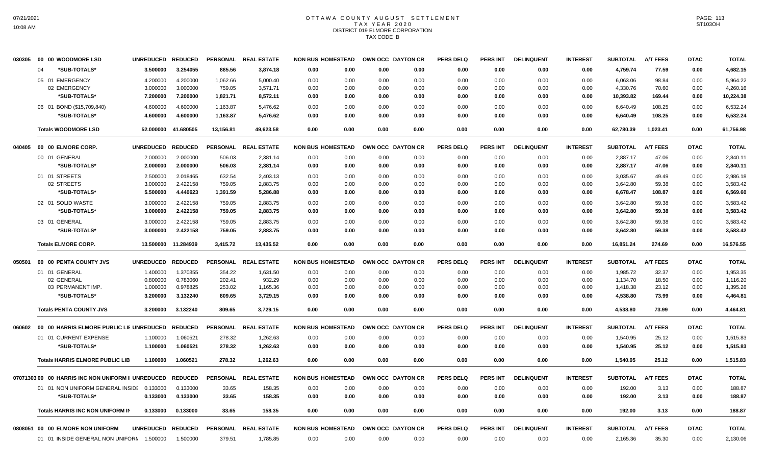## OTTAWA COUNTY AUGUST SETTLEMENT T A X Y E A R 2 0 2 0 DISTRICT 019 ELMORE CORPORATION TAX CODE B

| 030305  | 00 00 WOODMORE LSD                                | <b>UNREDUCED</b> | <b>REDUCED</b> | <b>PERSONAL</b> | <b>REAL ESTATE</b> | <b>NON BUS HOMESTEAD</b> |      | OWN OCC DAYTON CR |                   | <b>PERS DELQ</b> | <b>PERS INT</b> | <b>DELINQUENT</b> | <b>INTEREST</b> | <b>SUBTOTAL</b> | <b>A/T FEES</b> | <b>DTAC</b> | <b>TOTAL</b> |
|---------|---------------------------------------------------|------------------|----------------|-----------------|--------------------|--------------------------|------|-------------------|-------------------|------------------|-----------------|-------------------|-----------------|-----------------|-----------------|-------------|--------------|
|         | *SUB-TOTALS*<br>04                                | 3.500000         | 3.254055       | 885.56          | 3,874.18           | 0.00                     | 0.00 | 0.00              | 0.00              | 0.00             | 0.00            | 0.00              | 0.00            | 4,759.74        | 77.59           | 0.00        | 4,682.15     |
|         | 05 01 EMERGENCY                                   | 4.200000         | 4.200000       | 1,062.66        | 5.000.40           | 0.00                     | 0.00 | 0.00              | 0.00              | 0.00             | 0.00            | 0.00              | 0.00            | 6,063.06        | 98.84           | 0.00        | 5.964.22     |
|         | 02 EMERGENCY                                      | 3.000000         | 3.000000       | 759.05          | 3,571.71           | 0.00                     | 0.00 | 0.00              | 0.00              | 0.00             | 0.00            | 0.00              | 0.00            | 4,330.76        | 70.60           | 0.00        | 4,260.16     |
|         | *SUB-TOTALS*                                      | 7.200000         | 7.200000       | 1,821.71        | 8,572.11           | 0.00                     | 0.00 | 0.00              | 0.00              | 0.00             | 0.00            | 0.00              | 0.00            | 10,393.82       | 169.44          | 0.00        | 10,224.38    |
|         | 06 01 BOND (\$15,709,840)                         | 4.600000         | 4.600000       | 1,163.87        | 5,476.62           | 0.00                     | 0.00 | 0.00              | 0.00              | 0.00             | 0.00            | 0.00              | 0.00            | 6,640.49        | 108.25          | 0.00        | 6,532.24     |
|         | *SUB-TOTALS*                                      | 4.600000         | 4.600000       | 1,163.87        | 5,476.62           | 0.00                     | 0.00 | 0.00              | 0.00              | 0.00             | 0.00            | 0.00              | 0.00            | 6,640.49        | 108.25          | 0.00        | 6,532.24     |
|         | <b>Totals WOODMORE LSD</b>                        | 52.000000        | 41.680505      | 13,156.81       | 49,623.58          | 0.00                     | 0.00 | 0.00              | 0.00              | 0.00             | 0.00            | 0.00              | 0.00            | 62,780.39       | 1,023.41        | 0.00        | 61,756.98    |
| 040405  | 00 00 ELMORE CORP.                                | <b>UNREDUCED</b> | <b>REDUCED</b> | <b>PERSONAL</b> | <b>REAL ESTATE</b> | <b>NON BUS HOMESTEAD</b> |      | OWN OCC DAYTON CR |                   | <b>PERS DELQ</b> | PERS INT        | <b>DELINQUENT</b> | <b>INTEREST</b> | <b>SUBTOTAL</b> | <b>A/T FEES</b> | <b>DTAC</b> | <b>TOTAL</b> |
|         | 00 01 GENERAL                                     | 2.000000         | 2.000000       | 506.03          | 2,381.14           | 0.00                     | 0.00 | 0.00              | 0.00              | 0.00             | 0.00            | 0.00              | 0.00            | 2,887.17        | 47.06           | 0.00        | 2,840.11     |
|         | *SUB-TOTALS*                                      | 2.000000         | 2.000000       | 506.03          | 2,381.14           | 0.00                     | 0.00 | 0.00              | 0.00              | 0.00             | 0.00            | 0.00              | 0.00            | 2,887.17        | 47.06           | 0.00        | 2,840.11     |
|         | 01 01 STREETS                                     | 2.500000         | 2.018465       | 632.54          | 2,403.13           | 0.00                     | 0.00 | 0.00              | 0.00              | 0.00             | 0.00            | 0.00              | 0.00            | 3,035.67        | 49.49           | 0.00        | 2,986.18     |
|         | 02 STREETS                                        | 3.000000         | 2.422158       | 759.05          | 2,883.75           | 0.00                     | 0.00 | 0.00              | 0.00              | 0.00             | 0.00            | 0.00              | 0.00            | 3,642.80        | 59.38           | 0.00        | 3,583.42     |
|         | *SUB-TOTALS*                                      | 5.500000         | 4.440623       | 1,391.59        | 5,286.88           | 0.00                     | 0.00 | 0.00              | 0.00              | 0.00             | 0.00            | 0.00              | 0.00            | 6,678.47        | 108.87          | 0.00        | 6,569.60     |
|         | 02 01 SOLID WASTE                                 | 3.000000         | 2.422158       | 759.05          | 2,883.75           | 0.00                     | 0.00 | 0.00              | 0.00              | 0.00             | 0.00            | 0.00              | 0.00            | 3,642.80        | 59.38           | 0.00        | 3,583.42     |
|         | *SUB-TOTALS*                                      | 3.000000         | 2.422158       | 759.05          | 2,883.75           | 0.00                     | 0.00 | 0.00              | 0.00              | 0.00             | 0.00            | 0.00              | 0.00            | 3,642.80        | 59.38           | 0.00        | 3,583.42     |
|         | 03 01 GENERAL                                     | 3.000000         | 2.422158       | 759.05          | 2,883.75           | 0.00                     | 0.00 | 0.00              | 0.00              | 0.00             | 0.00            | 0.00              | 0.00            | 3,642.80        | 59.38           | 0.00        | 3,583.42     |
|         | *SUB-TOTALS*                                      | 3.000000         | 2.422158       | 759.05          | 2,883.75           | 0.00                     | 0.00 | 0.00              | 0.00              | 0.00             | 0.00            | 0.00              | 0.00            | 3,642.80        | 59.38           | 0.00        | 3,583.42     |
|         | <b>Totals ELMORE CORP.</b>                        | 13.500000        | 11.284939      | 3,415.72        | 13,435.52          | 0.00                     | 0.00 | 0.00              | 0.00              | 0.00             | 0.00            | 0.00              | 0.00            | 16,851.24       | 274.69          | 0.00        | 16,576.55    |
| 050501  | 00 00 PENTA COUNTY JVS                            | <b>UNREDUCED</b> | <b>REDUCED</b> | <b>PERSONAL</b> | <b>REAL ESTATE</b> | <b>NON BUS HOMESTEAD</b> |      | OWN OCC DAYTON CR |                   | <b>PERS DELQ</b> | <b>PERS INT</b> | <b>DELINQUENT</b> | <b>INTEREST</b> | <b>SUBTOTAL</b> | <b>A/T FEES</b> | <b>DTAC</b> | <b>TOTAL</b> |
|         | 01 01 GENERAL                                     | 1.400000         | 1.370355       | 354.22          | 1,631.50           | 0.00                     | 0.00 | 0.00              | 0.00              | 0.00             | 0.00            | 0.00              | 0.00            | 1,985.72        | 32.37           | 0.00        | 1,953.35     |
|         | 02 GENERAL                                        | 0.800000         | 0.783060       | 202.41          | 932.29             | 0.00                     | 0.00 | 0.00              | 0.00              | 0.00             | 0.00            | 0.00              | 0.00            | 1,134.70        | 18.50           | 0.00        | 1,116.20     |
|         | 03 PERMANENT IMP.                                 | 1.000000         | 0.978825       | 253.02          | 1,165.36           | 0.00                     | 0.00 | 0.00              | 0.00              | 0.00             | 0.00            | 0.00              | 0.00            | 1,418.38        | 23.12           | 0.00        | 1,395.26     |
|         | *SUB-TOTALS*                                      | 3.200000         | 3.132240       | 809.65          | 3,729.15           | 0.00                     | 0.00 | 0.00              | 0.00              | 0.00             | 0.00            | 0.00              | 0.00            | 4,538.80        | 73.99           | 0.00        | 4,464.81     |
|         | <b>Totals PENTA COUNTY JVS</b>                    | 3.200000         | 3.132240       | 809.65          | 3,729.15           | 0.00                     | 0.00 | 0.00              | 0.00              | 0.00             | 0.00            | 0.00              | 0.00            | 4,538.80        | 73.99           | 0.00        | 4,464.81     |
| 060602  | 00 00 HARRIS ELMORE PUBLIC LIE UNREDUCED          |                  | <b>REDUCED</b> | <b>PERSONAL</b> | <b>REAL ESTATE</b> | <b>NON BUS HOMESTEAD</b> |      |                   | OWN OCC DAYTON CR | <b>PERS DELQ</b> | <b>PERS INT</b> | <b>DELINQUENT</b> | <b>INTEREST</b> | <b>SUBTOTAL</b> | <b>A/T FEES</b> | <b>DTAC</b> | <b>TOTAL</b> |
|         | 01 01 CURRENT EXPENSE                             | 1.100000         | 1.060521       | 278.32          | 1,262.63           | 0.00                     | 0.00 | 0.00              | 0.00              | 0.00             | 0.00            | 0.00              | 0.00            | 1,540.95        | 25.12           | 0.00        | 1,515.83     |
|         | *SUB-TOTALS*                                      | 1.100000         | 1.060521       | 278.32          | 1,262.63           | 0.00                     | 0.00 | 0.00              | 0.00              | 0.00             | 0.00            | 0.00              | 0.00            | 1,540.95        | 25.12           | 0.00        | 1,515.83     |
|         | <b>Totals HARRIS ELMORE PUBLIC LIB</b>            | 1.100000         | 1.060521       | 278.32          | 1,262.63           | 0.00                     | 0.00 | 0.00              | 0.00              | 0.00             | 0.00            | 0.00              | 0.00            | 1,540.95        | 25.12           | 0.00        | 1,515.83     |
|         | 0707130300 00 HARRIS INC NON UNIFORM II UNREDUCED |                  | <b>REDUCED</b> | <b>PERSONAL</b> | <b>REAL ESTATE</b> | <b>NON BUS HOMESTEAD</b> |      | OWN OCC DAYTON CR |                   | <b>PERS DELQ</b> | <b>PERS INT</b> | <b>DELINQUENT</b> | <b>INTEREST</b> | <b>SUBTOTAL</b> | <b>A/T FEES</b> | <b>DTAC</b> | <b>TOTAL</b> |
|         | 01 01 NON UNIFORM GENERAL INSIDE 0.133000         |                  | 0.133000       | 33.65           | 158.35             | 0.00                     | 0.00 | 0.00              | 0.00              | 0.00             | 0.00            | 0.00              | 0.00            | 192.00          | 3.13            | 0.00        | 188.87       |
|         | *SUB-TOTALS*                                      | 0.133000         | 0.133000       | 33.65           | 158.35             | 0.00                     | 0.00 | 0.00              | 0.00              | 0.00             | 0.00            | 0.00              | 0.00            | 192.00          | 3.13            | 0.00        | 188.87       |
|         | <b>Totals HARRIS INC NON UNIFORM IN</b>           | 0.133000         | 0.133000       | 33.65           | 158.35             | 0.00                     | 0.00 | 0.00              | 0.00              | 0.00             | 0.00            | 0.00              | 0.00            | 192.00          | 3.13            | 0.00        | 188.87       |
| 0808051 | 00 00 ELMORE NON UNIFORM                          | <b>UNREDUCED</b> | <b>REDUCED</b> | <b>PERSONAL</b> | <b>REAL ESTATE</b> | <b>NON BUS HOMESTEAD</b> |      | OWN OCC DAYTON CR |                   | <b>PERS DELQ</b> | PERS INT        | <b>DELINQUENT</b> | <b>INTEREST</b> | <b>SUBTOTAL</b> | <b>A/T FEES</b> | <b>DTAC</b> | <b>TOTAL</b> |
|         | 01 01 INSIDE GENERAL NON UNIFORN 1.500000         |                  | 1.500000       | 379.51          | 1,785.85           | 0.00                     | 0.00 | 0.00              | 0.00              | 0.00             | 0.00            | 0.00              | 0.00            | 2,165.36        | 35.30           | 0.00        | 2,130.06     |
|         |                                                   |                  |                |                 |                    |                          |      |                   |                   |                  |                 |                   |                 |                 |                 |             |              |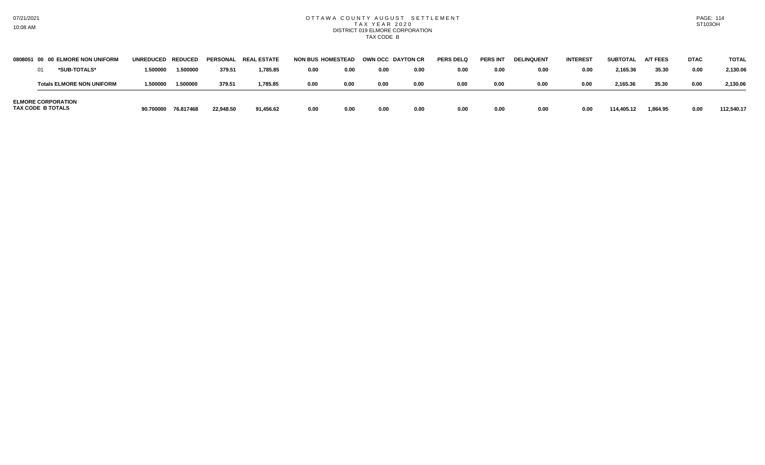## OTTAWA COUNTY AUGUST SETTLEMENT T A X Y E A R 2 0 2 0 DISTRICT 019 ELMORE CORPORATION TAX CODE B

| 0808051 00 00 ELMORE NON UNIFORM               | UNREDUCED REDUCED |           | <b>PERSONAL</b> | <b>REAL ESTATE</b> | <b>NON BUS HOMESTEAD</b> |      | OWN OCC DAYTON CR |      | <b>PERS DELO</b> | <b>PERS INT</b> | <b>DELINQUENT</b> | <b>INTEREST</b> | <b>SUBTOTAL</b> | <b>A/T FEES</b> | <b>DTAC</b> | <b>TOTAL</b> |
|------------------------------------------------|-------------------|-----------|-----------------|--------------------|--------------------------|------|-------------------|------|------------------|-----------------|-------------------|-----------------|-----------------|-----------------|-------------|--------------|
| *SUB-TOTALS*                                   | 1.500000          | 1.500000  | 379.51          | 1,785.85           | 0.00                     | 0.00 | 0.00              | 0.00 | 0.00             | 0.00            | 0.00              | 0.00            | 2,165.36        | 35.30           | 0.00        | 2.130.06     |
| <b>Totals ELMORE NON UNIFORM</b>               | 1.500000          | 1.500000  | 379.51          | 1,785.85           | 0.00                     | 0.00 | 0.00              | 0.00 | 0.00             | 0.00            | 0.00              | 0.00            | 2,165.36        | 35.30           | 0.00        | 2.130.06     |
| <b>ELMORE CORPORATION</b><br>TAX CODE B TOTALS | 90.700000         | 76.817468 | 22,948.50       | 91,456.62          | 0.00                     | 0.00 | 0.00              | 0.00 | 0.00             | 0.00            | 0.00              | 0.00            | 114,405.12      | 1,864.95        | 0.00        | 112,540.17   |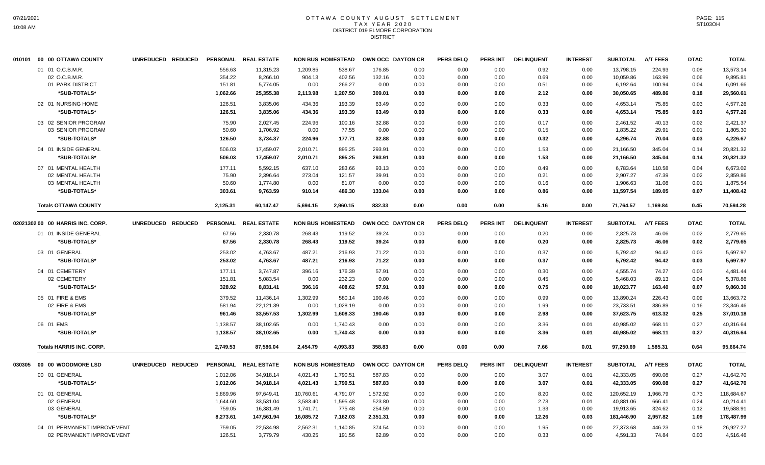### OTTAWA COUNTY AUGUST SETTLEMENT T A X Y E A R 2 0 2 0 DISTRICT 019 ELMORE CORPORATION DISTRICT

|        | 010101 00 00 OTTAWA COUNTY       | UNREDUCED REDUCED |                  | PERSONAL REAL ESTATE  |                    | <b>NON BUS HOMESTEAD</b> | OWN OCC DAYTON CR |              | <b>PERS DELQ</b> | <b>PERS INT</b> | <b>DELINQUENT</b> | <b>INTEREST</b> | <b>SUBTOTAL</b>       | <b>A/T FEES</b> | <b>DTAC</b>  | <b>TOTAL</b>          |
|--------|----------------------------------|-------------------|------------------|-----------------------|--------------------|--------------------------|-------------------|--------------|------------------|-----------------|-------------------|-----------------|-----------------------|-----------------|--------------|-----------------------|
|        | 01 01 O.C.B.M.R.                 |                   | 556.63           | 11,315.23             | 1.209.85           | 538.67                   | 176.85            | 0.00         | 0.00             | 0.00            | 0.92              | 0.00            | 13,798.15             | 224.93          | 0.08         | 13,573.14             |
|        | 02 O.C.B.M.R.                    |                   | 354.22           | 8,266.10              | 904.13             | 402.56                   | 132.16            | 0.00         | 0.00             | 0.00            | 0.69              | 0.00            | 10,059.86             | 163.99          | 0.06         | 9,895.81              |
|        | 01 PARK DISTRICT                 |                   | 151.81           | 5,774.05              | 0.00               | 266.27                   | 0.00              | 0.00         | 0.00             | 0.00            | 0.51              | 0.00            | 6,192.64              | 100.94          | 0.04         | 6,091.66              |
|        | *SUB-TOTALS*                     |                   | 1,062.66         | 25,355.38             | 2,113.98           | 1,207.50                 | 309.01            | 0.00         | 0.00             | 0.00            | 2.12              | 0.00            | 30,050.65             | 489.86          | 0.18         | 29,560.61             |
|        | 02 01 NURSING HOME               |                   | 126.51           | 3,835.06              | 434.36             | 193.39                   | 63.49             | 0.00         | 0.00             | 0.00            | 0.33              | 0.00            | 4,653.14              | 75.85           | 0.03         | 4,577.26              |
|        | *SUB-TOTALS*                     |                   | 126.51           | 3,835.06              | 434.36             | 193.39                   | 63.49             | 0.00         | 0.00             | 0.00            | 0.33              | 0.00            | 4,653.14              | 75.85           | 0.03         | 4.577.26              |
|        | 03 02 SENIOR PROGRAM             |                   | 75.90            | 2,027.45              | 224.96             | 100.16                   | 32.88             | 0.00         | 0.00             | 0.00            | 0.17              | 0.00            | 2,461.52              | 40.13           | 0.02         | 2,421.37              |
|        | 03 SENIOR PROGRAM                |                   | 50.60            | 1,706.92              | 0.00               | 77.55                    | 0.00              | 0.00         | 0.00             | 0.00            | 0.15              | 0.00            | 1,835.22              | 29.91           | 0.01         | 1,805.30              |
|        | *SUB-TOTALS*                     |                   | 126.50           | 3,734.37              | 224.96             | 177.71                   | 32.88             | 0.00         | 0.00             | 0.00            | 0.32              | 0.00            | 4,296.74              | 70.04           | 0.03         | 4,226.67              |
|        | 04 01 INSIDE GENERAL             |                   | 506.03           | 17,459.07             | 2,010.71           | 895.25                   | 293.91            | 0.00         | 0.00             | 0.00            | 1.53              | 0.00            | 21,166.50             | 345.04          | 0.14         | 20,821.32             |
|        | *SUB-TOTALS*                     |                   | 506.03           | 17,459.07             | 2,010.71           | 895.25                   | 293.91            | 0.00         | 0.00             | 0.00            | 1.53              | 0.00            | 21,166.50             | 345.04          | 0.14         | 20,821.32             |
|        | 07 01 MENTAL HEALTH              |                   | 177.11           | 5,592.15              | 637.10             | 283.66                   | 93.13             | 0.00         | 0.00             | 0.00            | 0.49              | 0.00            | 6,783.64              | 110.58          | 0.04         | 6,673.02              |
|        | 02 MENTAL HEALTH                 |                   | 75.90            | 2,396.64              | 273.04             | 121.57                   | 39.91             | 0.00         | 0.00             | 0.00            | 0.21              | 0.00            | 2,907.27              | 47.39           | 0.02         | 2,859.86              |
|        | 03 MENTAL HEALTH                 |                   | 50.60            | 1,774.80              | 0.00               | 81.07                    | 0.00              | 0.00         | 0.00             | 0.00            | 0.16              | 0.00            | 1,906.63              | 31.08           | 0.01         | 1,875.54              |
|        | *SUB-TOTALS*                     |                   | 303.61           | 9,763.59              | 910.14             | 486.30                   | 133.04            | 0.00         | 0.00             | 0.00            | 0.86              | 0.00            | 11,597.54             | 189.05          | 0.07         | 11,408.42             |
|        | <b>Totals OTTAWA COUNTY</b>      |                   | 2,125.31         | 60,147.47             | 5,694.15           | 2,960.15                 | 832.33            | 0.00         | 0.00             | 0.00            | 5.16              | 0.00            | 71,764.57             | 1,169.84        | 0.45         | 70,594.28             |
|        | 02021302 00 00 HARRIS INC. CORP. | UNREDUCED REDUCED |                  | PERSONAL REAL ESTATE  |                    | <b>NON BUS HOMESTEAD</b> | OWN OCC DAYTON CR |              | <b>PERS DELQ</b> | PERS INT        | <b>DELINQUENT</b> | <b>INTEREST</b> | <b>SUBTOTAL</b>       | <b>A/T FEES</b> | <b>DTAC</b>  | <b>TOTAL</b>          |
|        | 01 01 INSIDE GENERAL             |                   | 67.56            | 2,330.78              | 268.43             | 119.52                   | 39.24             | 0.00         | 0.00             | 0.00            | 0.20              | 0.00            | 2,825.73              | 46.06           | 0.02         | 2,779.65              |
|        | *SUB-TOTALS*                     |                   | 67.56            | 2,330.78              | 268.43             | 119.52                   | 39.24             | 0.00         | 0.00             | 0.00            | 0.20              | 0.00            | 2,825.73              | 46.06           | 0.02         | 2,779.65              |
|        | 03 01 GENERAL                    |                   | 253.02           | 4,763.67              | 487.21             | 216.93                   | 71.22             | 0.00         | 0.00             | 0.00            | 0.37              | 0.00            | 5,792.42              | 94.42           | 0.03         | 5,697.97              |
|        | *SUB-TOTALS*                     |                   | 253.02           | 4.763.67              | 487.21             | 216.93                   | 71.22             | 0.00         | 0.00             | 0.00            | 0.37              | 0.00            | 5,792.42              | 94.42           | 0.03         | 5,697.97              |
|        | 04 01 CEMETERY                   |                   | 177.11           | 3.747.87              | 396.16             | 176.39                   | 57.91             | 0.00         | 0.00             | 0.00            | 0.30              | 0.00            | 4,555.74              | 74.27           | 0.03         | 4,481.44              |
|        | 02 CEMETERY                      |                   | 151.81           | 5,083.54              | 0.00               | 232.23                   | 0.00              | 0.00         | 0.00             | 0.00            | 0.45              | 0.00            | 5,468.03              | 89.13           | 0.04         | 5,378.86              |
|        | *SUB-TOTALS*                     |                   | 328.92           | 8,831.41              | 396.16             | 408.62                   | 57.91             | 0.00         | 0.00             | 0.00            | 0.75              | 0.00            | 10,023.77             | 163.40          | 0.07         | 9.860.30              |
|        | 05 01 FIRE & EMS                 |                   | 379.52           | 11,436.14             | 1,302.99           | 580.14                   | 190.46            | 0.00         | 0.00             | 0.00            | 0.99              | 0.00            | 13,890.24             | 226.43          | 0.09         | 13,663.72             |
|        | 02 FIRE & EMS                    |                   | 581.94           | 22,121.39             | 0.00               | 1,028.19                 | 0.00              | 0.00         | 0.00             | 0.00            | 1.99              | 0.00            | 23,733.51             | 386.89          | 0.16         | 23,346.46             |
|        | *SUB-TOTALS*                     |                   | 961.46           | 33,557.53             | 1,302.99           | 1,608.33                 | 190.46            | 0.00         | 0.00             | 0.00            | 2.98              | 0.00            | 37,623.75             | 613.32          | 0.25         | 37,010.18             |
|        | 06 01 EMS                        |                   | 1,138.57         | 38,102.65             | 0.00               | 1,740.43                 | 0.00              | 0.00         | 0.00             | 0.00            | 3.36              | 0.01            | 40,985.02             | 668.11          | 0.27         | 40.316.64             |
|        | *SUB-TOTALS*                     |                   | 1,138.57         | 38,102.65             | 0.00               | 1,740.43                 | 0.00              | 0.00         | 0.00             | 0.00            | 3.36              | 0.01            | 40,985.02             | 668.11          | 0.27         | 40,316.64             |
|        | <b>Totals HARRIS INC. CORP.</b>  |                   | 2,749.53         | 87,586.04             | 2,454.79           | 4,093.83                 | 358.83            | 0.00         | 0.00             | 0.00            | 7.66              | 0.01            | 97,250.69             | 1,585.31        | 0.64         | 95,664.74             |
| 030305 | 00 00 WOODMORE LSD               | UNREDUCED REDUCED |                  | PERSONAL REAL ESTATE  |                    | <b>NON BUS HOMESTEAD</b> | OWN OCC DAYTON CR |              | <b>PERS DELQ</b> | PERS INT        | <b>DELINQUENT</b> | <b>INTEREST</b> | <b>SUBTOTAL</b>       | <b>A/T FEES</b> | <b>DTAC</b>  | <b>TOTAL</b>          |
|        | 00 01 GENERAL                    |                   | 1,012.06         | 34,918.14             | 4,021.43           | 1,790.51                 | 587.83            | 0.00         | 0.00             | 0.00            | 3.07              | 0.01            | 42,333.05             | 690.08          | 0.27         | 41,642.70             |
|        | *SUB-TOTALS*                     |                   | 1,012.06         | 34,918.14             | 4,021.43           | 1,790.51                 | 587.83            | 0.00         | 0.00             | 0.00            | 3.07              | 0.01            | 42,333.05             | 690.08          | 0.27         | 41,642.70             |
|        | 01 01 GENERAL                    |                   | 5,869.96         | 97,649.41             | 10,760.61          | 4,791.07                 | 1,572.92          | 0.00         | 0.00             | 0.00            | 8.20              | 0.02            | 120,652.19            | 1,966.79        | 0.73         | 118,684.67            |
|        | 02 GENERAL                       |                   | 1,644.60         | 33,531.04             | 3,583.40           | 1,595.48                 | 523.80            | 0.00         | 0.00             | 0.00            | 2.73              | 0.01            | 40,881.06             | 666.41          | 0.24         | 40,214.41             |
|        | 03 GENERAL                       |                   | 759.05           | 16,381.49             | 1,741.71           | 775.48                   | 254.59            | 0.00         | 0.00             | 0.00            | 1.33              | 0.00            | 19,913.65             | 324.62          | 0.12         | 19,588.91             |
|        | *SUB-TOTALS*                     |                   | 8,273.61         | 147,561.94            | 16,085.72          | 7,162.03                 | 2,351.31          | 0.00         | 0.00             | 0.00            | 12.26             | 0.03            | 181,446.90            | 2,957.82        | 1.09         | 178,487.99            |
|        | 04 01 PERMANENT IMPROVEMENT      |                   |                  |                       |                    |                          |                   |              |                  |                 |                   |                 |                       |                 |              |                       |
|        | 02 PERMANENT IMPROVEMENT         |                   | 759.05<br>126.51 | 22,534.98<br>3,779.79 | 2,562.31<br>430.25 | 1,140.85<br>191.56       | 374.54<br>62.89   | 0.00<br>0.00 | 0.00<br>0.00     | 0.00<br>0.00    | 1.95<br>0.33      | 0.00<br>0.00    | 27,373.68<br>4,591.33 | 446.23<br>74.84 | 0.18<br>0.03 | 26,927.27<br>4,516.46 |
|        |                                  |                   |                  |                       |                    |                          |                   |              |                  |                 |                   |                 |                       |                 |              |                       |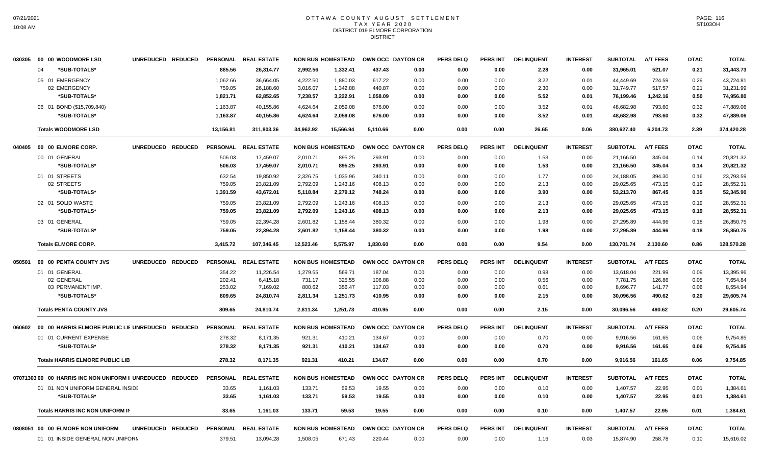#### OTTAWA COUNTY AUGUST SETTLEMENT T A X Y E A R 2 0 2 0 DISTRICT 019 ELMORE CORPORATION DISTRICT

| *SUB-TOTALS*<br>885.56<br>2,992.56<br>1,332.41<br>437.43<br>2.28<br>0.00<br>31,965.01<br>521.07<br>04<br>26,314.77<br>0.00<br>0.00<br>0.00<br>0.21<br>05 01 EMERGENCY<br>1,062.66<br>36,664.05<br>4.222.50<br>1.880.03<br>617.22<br>3.22<br>0.01<br>44.449.69<br>724.59<br>43,724.81<br>0.00<br>0.00<br>0.00<br>0.29<br>02 EMERGENCY<br>759.05<br>26,188.60<br>3,016.07<br>1,342.88<br>440.87<br>2.30<br>0.00<br>31,749.77<br>517.57<br>0.21<br>31,231.99<br>0.00<br>0.00<br>0.00<br>62,852.65<br>7,238.57<br>*SUB-TOTALS*<br>1,821.71<br>3,222.91<br>1,058.09<br>0.00<br>0.00<br>0.00<br>5.52<br>0.01<br>76,199.46<br>1,242.16<br>0.50<br>74,956.80<br>06 01 BOND (\$15,709,840)<br>1,163.87<br>40,155.86<br>4,624.64<br>2,059.08<br>676.00<br>0.00<br>0.00<br>0.00<br>3.52<br>0.01<br>48,682.98<br>793.60<br>0.32<br>*SUB-TOTALS*<br>3.52<br>48,682.98<br>1,163.87<br>40,155.86<br>4,624.64<br>2,059.08<br>676.00<br>0.00<br>0.00<br>0.01<br>793.60<br>0.32<br>47,889.06<br>0.00<br><b>Totals WOODMORE LSD</b><br>13,156.81<br>311,803.36<br>34,962.92<br>15,566.94<br>5,110.66<br>0.00<br>0.00<br>26.65<br>0.06<br>380,627.40<br>6,204.73<br>2.39<br>374,420.28<br>0.00<br>UNREDUCED REDUCED<br><b>PERSONAL</b><br><b>REAL ESTATE</b><br><b>NON BUS HOMESTEAD</b><br>OWN OCC DAYTON CR<br><b>PERS DELQ</b><br><b>PERS INT</b><br><b>DELINQUENT</b><br><b>INTEREST</b><br><b>A/T FEES</b><br>040405<br>00 00 ELMORE CORP.<br><b>SUBTOTAL</b><br><b>DTAC</b><br>00 01 GENERAL<br>293.91<br>506.03<br>17,459.07<br>2,010.71<br>895.25<br>0.00<br>0.00<br>0.00<br>1.53<br>0.00<br>21,166.50<br>345.04<br>0.14<br>*SUB-TOTALS*<br>506.03<br>17,459.07<br>2,010.71<br>895.25<br>293.91<br>1.53<br>0.00<br>21,166.50<br>345.04<br>0.00<br>0.00<br>0.00<br>0.14<br>01 01 STREETS<br>632.54<br>19,850.92<br>2,326.75<br>1,035.96<br>340.11<br>0.00<br>0.00<br>0.00<br>1.77<br>0.00<br>24,188.05<br>394.30<br>0.16<br>02 STREETS<br>759.05<br>23,821.09<br>2,792.09<br>1,243.16<br>408.13<br>0.00<br>29,025.65<br>473.15<br>0.00<br>0.00<br>0.00<br>2.13<br>0.19<br>*SUB-TOTALS*<br>1,391.59<br>43,672.01<br>5,118.84<br>2,279.12<br>748.24<br>0.00<br>53,213.70<br>867.45<br>0.35<br>0.00<br>0.00<br>0.00<br>3.90<br>02 01 SOLID WASTE<br>0.00<br>29,025.65<br>473.15<br>28,552.31<br>759.05<br>23,821.09<br>2,792.09<br>1,243.16<br>408.13<br>0.00<br>0.00<br>0.00<br>2.13<br>0.19<br>28,552.31<br>*SUB-TOTALS*<br>759.05<br>23,821.09<br>2,792.09<br>1,243.16<br>408.13<br>0.00<br>0.00<br>0.00<br>2.13<br>0.00<br>29,025.65<br>473.15<br>0.19<br>03 01 GENERAL<br>759.05<br>22,394.28<br>2,601.82<br>1,158.44<br>380.32<br>0.00<br>0.00<br>1.98<br>0.00<br>27,295.89<br>444.96<br>0.18<br>0.00<br>*SUB-TOTALS*<br>759.05<br>1,158.44<br>380.32<br>27,295.89<br>0.18<br>22,394.28<br>2,601.82<br>0.00<br>0.00<br>0.00<br>1.98<br>0.00<br>444.96<br>12,523.46<br>5,575.97<br><b>Totals ELMORE CORP.</b><br>3,415.72<br>107,346.45<br>1,830.60<br>0.00<br>0.00<br>0.00<br>9.54<br>0.00<br>130,701.74<br>2,130.60<br>0.86<br>128,570.28<br><b>REAL ESTATE</b><br><b>NON BUS HOMESTEAD</b><br><b>PERS INT</b><br><b>DELINQUENT</b><br><b>INTEREST</b><br><b>A/T FEES</b><br>00 00 PENTA COUNTY JVS<br>UNREDUCED REDUCED<br><b>PERSONAL</b><br>OWN OCC DAYTON CR<br><b>PERS DELQ</b><br><b>SUBTOTAL</b><br><b>DTAC</b><br>050501<br>11,226.54<br>1,279.55<br>187.04<br>13,618.04<br>01 01 GENERAL<br>354.22<br>569.71<br>0.00<br>0.00<br>0.00<br>0.98<br>0.00<br>221.99<br>0.09<br>325.55<br>02 GENERAL<br>202.41<br>6,415.18<br>731.17<br>106.88<br>0.00<br>0.00<br>0.00<br>0.56<br>0.00<br>7,781.75<br>126.86<br>0.05<br>03 PERMANENT IMP.<br>253.02<br>7,169.02<br>800.62<br>356.47<br>0.00<br>8,696.77<br>0.06<br>117.03<br>0.00<br>0.00<br>0.00<br>0.61<br>141.77<br>*SUB-TOTALS*<br>809.65<br>24,810.74<br>2,811.34<br>1,251.73<br>0.00<br>2.15<br>30,096.56<br>490.62<br>0.20<br>29,605.74<br>410.95<br>0.00<br>0.00<br>0.00<br>809.65<br>24,810.74<br>2,811.34<br>1,251.73<br>410.95<br>0.00<br>30,096.56<br>490.62<br>0.20<br><b>Totals PENTA COUNTY JVS</b><br>0.00<br>0.00<br>0.00<br>2.15<br>29,605.74<br><b>REAL ESTATE</b><br><b>NON BUS HOMESTEAD</b><br>OWN OCC DAYTON CR<br><b>PERS DELQ</b><br><b>PERS INT</b><br><b>DELINQUENT</b><br><b>A/T FEES</b><br>00 00 HARRIS ELMORE PUBLIC LIE UNREDUCED REDUCED<br><b>PERSONAL</b><br><b>INTEREST</b><br><b>SUBTOTAL</b><br><b>DTAC</b><br>060602<br>01 01 CURRENT EXPENSE<br>278.32<br>0.00<br>0.06<br>8,171.35<br>921.31<br>410.21<br>134.67<br>0.00<br>0.00<br>0.00<br>0.70<br>9,916.56<br>161.65<br>*SUB-TOTALS*<br>278.32<br>8,171.35<br>921.31<br>410.21<br>134.67<br>0.00<br>0.00<br>0.00<br>0.70<br>0.00<br>9,916.56<br>161.65<br>0.06<br><b>Totals HARRIS ELMORE PUBLIC LIB</b><br>278.32<br>8,171.35<br>921.31<br>410.21<br>134.67<br>0.00<br>0.00<br>0.00<br>0.70<br>0.00<br>9,916.56<br>161.65<br>0.06<br>9,754.85<br>07071303 00 00 HARRIS INC NON UNIFORM II UNREDUCED REDUCED<br>PERSONAL REAL ESTATE<br><b>NON BUS HOMESTEAD</b><br>OWN OCC DAYTON CR<br><b>PERS DELQ</b><br><b>PERS INT</b><br><b>DELINQUENT</b><br><b>INTEREST</b><br><b>SUBTOTAL</b><br><b>A/T FEES</b><br><b>DTAC</b><br>01 01 NON UNIFORM GENERAL INSIDE<br>33.65<br>133.71<br>59.53<br>0.00<br>0.00<br>1,407.57<br>22.95<br>1,161.03<br>19.55<br>0.00<br>0.00<br>0.10<br>0.01<br>1,384.61<br>133.71<br>1,407.57<br>*SUB-TOTALS*<br>33.65<br>1,161.03<br>59.53<br>19.55<br>0.00<br>0.00<br>0.10<br>0.00<br>22.95<br>0.01<br>1,384.61<br>0.00<br>33.65<br>133.71<br>59.53<br>19.55<br>0.00<br>1,407.57<br>22.95<br>1,384.61<br><b>Totals HARRIS INC NON UNIFORM IN</b><br>1,161.03<br>0.00<br>0.00<br>0.00<br>0.10<br>0.01<br>0808051 00 00 ELMORE NON UNIFORM<br>UNREDUCED REDUCED<br>PERSONAL REAL ESTATE<br><b>NON BUS HOMESTEAD</b><br>OWN OCC DAYTON CR<br><b>PERS DELQ</b><br><b>PERS INT</b><br><b>DELINQUENT</b><br><b>INTEREST</b><br><b>SUBTOTAL</b><br><b>A/T FEES</b><br><b>DTAC</b><br>01 01 INSIDE GENERAL NON UNIFORM<br>379.51<br>13,094.28<br>1,508.05<br>671.43<br>220.44<br>0.00<br>0.00<br>0.00<br>1.16<br>0.03<br>15,874.90<br>258.78<br>0.10 | 030305 00 00 WOODMORE LSD | UNREDUCED REDUCED | PERSONAL REAL ESTATE | <b>NON BUS HOMESTEAD</b> | OWN OCC DAYTON CR | <b>PERS DELQ</b> | <b>PERS INT</b> | <b>DELINQUENT</b> | <b>INTEREST</b> | <b>SUBTOTAL</b> | <b>A/T FEES</b> | <b>DTAC</b> | <b>TOTAL</b> |
|------------------------------------------------------------------------------------------------------------------------------------------------------------------------------------------------------------------------------------------------------------------------------------------------------------------------------------------------------------------------------------------------------------------------------------------------------------------------------------------------------------------------------------------------------------------------------------------------------------------------------------------------------------------------------------------------------------------------------------------------------------------------------------------------------------------------------------------------------------------------------------------------------------------------------------------------------------------------------------------------------------------------------------------------------------------------------------------------------------------------------------------------------------------------------------------------------------------------------------------------------------------------------------------------------------------------------------------------------------------------------------------------------------------------------------------------------------------------------------------------------------------------------------------------------------------------------------------------------------------------------------------------------------------------------------------------------------------------------------------------------------------------------------------------------------------------------------------------------------------------------------------------------------------------------------------------------------------------------------------------------------------------------------------------------------------------------------------------------------------------------------------------------------------------------------------------------------------------------------------------------------------------------------------------------------------------------------------------------------------------------------------------------------------------------------------------------------------------------------------------------------------------------------------------------------------------------------------------------------------------------------------------------------------------------------------------------------------------------------------------------------------------------------------------------------------------------------------------------------------------------------------------------------------------------------------------------------------------------------------------------------------------------------------------------------------------------------------------------------------------------------------------------------------------------------------------------------------------------------------------------------------------------------------------------------------------------------------------------------------------------------------------------------------------------------------------------------------------------------------------------------------------------------------------------------------------------------------------------------------------------------------------------------------------------------------------------------------------------------------------------------------------------------------------------------------------------------------------------------------------------------------------------------------------------------------------------------------------------------------------------------------------------------------------------------------------------------------------------------------------------------------------------------------------------------------------------------------------------------------------------------------------------------------------------------------------------------------------------------------------------------------------------------------------------------------------------------------------------------------------------------------------------------------------------------------------------------------------------------------------------------------------------------------------------------------------------------------------------------------------------------------------------------------------------------------------------------------------------------------------------------------------------------------------------------------------------------------------------------------------------------------------------------------------------------------------------------------------------------------------------------------------------------------------------------------------------------------------------------------------------------------------------------------------------------------------------------------------------------------------------------------------------------------------------------------------------------------------------------------------------------------------------------------------------------------------------------------------------------------------------------------------------------------------------------------------------------------------------------------------------------------------------------------------------------------------------------------------------------------------------------------------------------------------------------------------------------------------------------------------------------------------------------------------------------------------------------------------------------|---------------------------|-------------------|----------------------|--------------------------|-------------------|------------------|-----------------|-------------------|-----------------|-----------------|-----------------|-------------|--------------|
|                                                                                                                                                                                                                                                                                                                                                                                                                                                                                                                                                                                                                                                                                                                                                                                                                                                                                                                                                                                                                                                                                                                                                                                                                                                                                                                                                                                                                                                                                                                                                                                                                                                                                                                                                                                                                                                                                                                                                                                                                                                                                                                                                                                                                                                                                                                                                                                                                                                                                                                                                                                                                                                                                                                                                                                                                                                                                                                                                                                                                                                                                                                                                                                                                                                                                                                                                                                                                                                                                                                                                                                                                                                                                                                                                                                                                                                                                                                                                                                                                                                                                                                                                                                                                                                                                                                                                                                                                                                                                                                                                                                                                                                                                                                                                                                                                                                                                                                                                                                                                                                                                                                                                                                                                                                                                                                                                                                                                                                                                                                                                                                                                                                                                                                                                                                                                                                                                                                                                                                                                                                                                                            |                           |                   |                      |                          |                   |                  |                 |                   |                 |                 |                 |             | 31,443.73    |
|                                                                                                                                                                                                                                                                                                                                                                                                                                                                                                                                                                                                                                                                                                                                                                                                                                                                                                                                                                                                                                                                                                                                                                                                                                                                                                                                                                                                                                                                                                                                                                                                                                                                                                                                                                                                                                                                                                                                                                                                                                                                                                                                                                                                                                                                                                                                                                                                                                                                                                                                                                                                                                                                                                                                                                                                                                                                                                                                                                                                                                                                                                                                                                                                                                                                                                                                                                                                                                                                                                                                                                                                                                                                                                                                                                                                                                                                                                                                                                                                                                                                                                                                                                                                                                                                                                                                                                                                                                                                                                                                                                                                                                                                                                                                                                                                                                                                                                                                                                                                                                                                                                                                                                                                                                                                                                                                                                                                                                                                                                                                                                                                                                                                                                                                                                                                                                                                                                                                                                                                                                                                                                            |                           |                   |                      |                          |                   |                  |                 |                   |                 |                 |                 |             |              |
|                                                                                                                                                                                                                                                                                                                                                                                                                                                                                                                                                                                                                                                                                                                                                                                                                                                                                                                                                                                                                                                                                                                                                                                                                                                                                                                                                                                                                                                                                                                                                                                                                                                                                                                                                                                                                                                                                                                                                                                                                                                                                                                                                                                                                                                                                                                                                                                                                                                                                                                                                                                                                                                                                                                                                                                                                                                                                                                                                                                                                                                                                                                                                                                                                                                                                                                                                                                                                                                                                                                                                                                                                                                                                                                                                                                                                                                                                                                                                                                                                                                                                                                                                                                                                                                                                                                                                                                                                                                                                                                                                                                                                                                                                                                                                                                                                                                                                                                                                                                                                                                                                                                                                                                                                                                                                                                                                                                                                                                                                                                                                                                                                                                                                                                                                                                                                                                                                                                                                                                                                                                                                                            |                           |                   |                      |                          |                   |                  |                 |                   |                 |                 |                 |             |              |
|                                                                                                                                                                                                                                                                                                                                                                                                                                                                                                                                                                                                                                                                                                                                                                                                                                                                                                                                                                                                                                                                                                                                                                                                                                                                                                                                                                                                                                                                                                                                                                                                                                                                                                                                                                                                                                                                                                                                                                                                                                                                                                                                                                                                                                                                                                                                                                                                                                                                                                                                                                                                                                                                                                                                                                                                                                                                                                                                                                                                                                                                                                                                                                                                                                                                                                                                                                                                                                                                                                                                                                                                                                                                                                                                                                                                                                                                                                                                                                                                                                                                                                                                                                                                                                                                                                                                                                                                                                                                                                                                                                                                                                                                                                                                                                                                                                                                                                                                                                                                                                                                                                                                                                                                                                                                                                                                                                                                                                                                                                                                                                                                                                                                                                                                                                                                                                                                                                                                                                                                                                                                                                            |                           |                   |                      |                          |                   |                  |                 |                   |                 |                 |                 |             |              |
|                                                                                                                                                                                                                                                                                                                                                                                                                                                                                                                                                                                                                                                                                                                                                                                                                                                                                                                                                                                                                                                                                                                                                                                                                                                                                                                                                                                                                                                                                                                                                                                                                                                                                                                                                                                                                                                                                                                                                                                                                                                                                                                                                                                                                                                                                                                                                                                                                                                                                                                                                                                                                                                                                                                                                                                                                                                                                                                                                                                                                                                                                                                                                                                                                                                                                                                                                                                                                                                                                                                                                                                                                                                                                                                                                                                                                                                                                                                                                                                                                                                                                                                                                                                                                                                                                                                                                                                                                                                                                                                                                                                                                                                                                                                                                                                                                                                                                                                                                                                                                                                                                                                                                                                                                                                                                                                                                                                                                                                                                                                                                                                                                                                                                                                                                                                                                                                                                                                                                                                                                                                                                                            |                           |                   |                      |                          |                   |                  |                 |                   |                 |                 |                 |             | 47,889.06    |
|                                                                                                                                                                                                                                                                                                                                                                                                                                                                                                                                                                                                                                                                                                                                                                                                                                                                                                                                                                                                                                                                                                                                                                                                                                                                                                                                                                                                                                                                                                                                                                                                                                                                                                                                                                                                                                                                                                                                                                                                                                                                                                                                                                                                                                                                                                                                                                                                                                                                                                                                                                                                                                                                                                                                                                                                                                                                                                                                                                                                                                                                                                                                                                                                                                                                                                                                                                                                                                                                                                                                                                                                                                                                                                                                                                                                                                                                                                                                                                                                                                                                                                                                                                                                                                                                                                                                                                                                                                                                                                                                                                                                                                                                                                                                                                                                                                                                                                                                                                                                                                                                                                                                                                                                                                                                                                                                                                                                                                                                                                                                                                                                                                                                                                                                                                                                                                                                                                                                                                                                                                                                                                            |                           |                   |                      |                          |                   |                  |                 |                   |                 |                 |                 |             |              |
|                                                                                                                                                                                                                                                                                                                                                                                                                                                                                                                                                                                                                                                                                                                                                                                                                                                                                                                                                                                                                                                                                                                                                                                                                                                                                                                                                                                                                                                                                                                                                                                                                                                                                                                                                                                                                                                                                                                                                                                                                                                                                                                                                                                                                                                                                                                                                                                                                                                                                                                                                                                                                                                                                                                                                                                                                                                                                                                                                                                                                                                                                                                                                                                                                                                                                                                                                                                                                                                                                                                                                                                                                                                                                                                                                                                                                                                                                                                                                                                                                                                                                                                                                                                                                                                                                                                                                                                                                                                                                                                                                                                                                                                                                                                                                                                                                                                                                                                                                                                                                                                                                                                                                                                                                                                                                                                                                                                                                                                                                                                                                                                                                                                                                                                                                                                                                                                                                                                                                                                                                                                                                                            |                           |                   |                      |                          |                   |                  |                 |                   |                 |                 |                 |             |              |
|                                                                                                                                                                                                                                                                                                                                                                                                                                                                                                                                                                                                                                                                                                                                                                                                                                                                                                                                                                                                                                                                                                                                                                                                                                                                                                                                                                                                                                                                                                                                                                                                                                                                                                                                                                                                                                                                                                                                                                                                                                                                                                                                                                                                                                                                                                                                                                                                                                                                                                                                                                                                                                                                                                                                                                                                                                                                                                                                                                                                                                                                                                                                                                                                                                                                                                                                                                                                                                                                                                                                                                                                                                                                                                                                                                                                                                                                                                                                                                                                                                                                                                                                                                                                                                                                                                                                                                                                                                                                                                                                                                                                                                                                                                                                                                                                                                                                                                                                                                                                                                                                                                                                                                                                                                                                                                                                                                                                                                                                                                                                                                                                                                                                                                                                                                                                                                                                                                                                                                                                                                                                                                            |                           |                   |                      |                          |                   |                  |                 |                   |                 |                 |                 |             | <b>TOTAL</b> |
|                                                                                                                                                                                                                                                                                                                                                                                                                                                                                                                                                                                                                                                                                                                                                                                                                                                                                                                                                                                                                                                                                                                                                                                                                                                                                                                                                                                                                                                                                                                                                                                                                                                                                                                                                                                                                                                                                                                                                                                                                                                                                                                                                                                                                                                                                                                                                                                                                                                                                                                                                                                                                                                                                                                                                                                                                                                                                                                                                                                                                                                                                                                                                                                                                                                                                                                                                                                                                                                                                                                                                                                                                                                                                                                                                                                                                                                                                                                                                                                                                                                                                                                                                                                                                                                                                                                                                                                                                                                                                                                                                                                                                                                                                                                                                                                                                                                                                                                                                                                                                                                                                                                                                                                                                                                                                                                                                                                                                                                                                                                                                                                                                                                                                                                                                                                                                                                                                                                                                                                                                                                                                                            |                           |                   |                      |                          |                   |                  |                 |                   |                 |                 |                 |             | 20,821.32    |
|                                                                                                                                                                                                                                                                                                                                                                                                                                                                                                                                                                                                                                                                                                                                                                                                                                                                                                                                                                                                                                                                                                                                                                                                                                                                                                                                                                                                                                                                                                                                                                                                                                                                                                                                                                                                                                                                                                                                                                                                                                                                                                                                                                                                                                                                                                                                                                                                                                                                                                                                                                                                                                                                                                                                                                                                                                                                                                                                                                                                                                                                                                                                                                                                                                                                                                                                                                                                                                                                                                                                                                                                                                                                                                                                                                                                                                                                                                                                                                                                                                                                                                                                                                                                                                                                                                                                                                                                                                                                                                                                                                                                                                                                                                                                                                                                                                                                                                                                                                                                                                                                                                                                                                                                                                                                                                                                                                                                                                                                                                                                                                                                                                                                                                                                                                                                                                                                                                                                                                                                                                                                                                            |                           |                   |                      |                          |                   |                  |                 |                   |                 |                 |                 |             | 20,821.32    |
|                                                                                                                                                                                                                                                                                                                                                                                                                                                                                                                                                                                                                                                                                                                                                                                                                                                                                                                                                                                                                                                                                                                                                                                                                                                                                                                                                                                                                                                                                                                                                                                                                                                                                                                                                                                                                                                                                                                                                                                                                                                                                                                                                                                                                                                                                                                                                                                                                                                                                                                                                                                                                                                                                                                                                                                                                                                                                                                                                                                                                                                                                                                                                                                                                                                                                                                                                                                                                                                                                                                                                                                                                                                                                                                                                                                                                                                                                                                                                                                                                                                                                                                                                                                                                                                                                                                                                                                                                                                                                                                                                                                                                                                                                                                                                                                                                                                                                                                                                                                                                                                                                                                                                                                                                                                                                                                                                                                                                                                                                                                                                                                                                                                                                                                                                                                                                                                                                                                                                                                                                                                                                                            |                           |                   |                      |                          |                   |                  |                 |                   |                 |                 |                 |             | 23,793.59    |
|                                                                                                                                                                                                                                                                                                                                                                                                                                                                                                                                                                                                                                                                                                                                                                                                                                                                                                                                                                                                                                                                                                                                                                                                                                                                                                                                                                                                                                                                                                                                                                                                                                                                                                                                                                                                                                                                                                                                                                                                                                                                                                                                                                                                                                                                                                                                                                                                                                                                                                                                                                                                                                                                                                                                                                                                                                                                                                                                                                                                                                                                                                                                                                                                                                                                                                                                                                                                                                                                                                                                                                                                                                                                                                                                                                                                                                                                                                                                                                                                                                                                                                                                                                                                                                                                                                                                                                                                                                                                                                                                                                                                                                                                                                                                                                                                                                                                                                                                                                                                                                                                                                                                                                                                                                                                                                                                                                                                                                                                                                                                                                                                                                                                                                                                                                                                                                                                                                                                                                                                                                                                                                            |                           |                   |                      |                          |                   |                  |                 |                   |                 |                 |                 |             | 28,552.31    |
|                                                                                                                                                                                                                                                                                                                                                                                                                                                                                                                                                                                                                                                                                                                                                                                                                                                                                                                                                                                                                                                                                                                                                                                                                                                                                                                                                                                                                                                                                                                                                                                                                                                                                                                                                                                                                                                                                                                                                                                                                                                                                                                                                                                                                                                                                                                                                                                                                                                                                                                                                                                                                                                                                                                                                                                                                                                                                                                                                                                                                                                                                                                                                                                                                                                                                                                                                                                                                                                                                                                                                                                                                                                                                                                                                                                                                                                                                                                                                                                                                                                                                                                                                                                                                                                                                                                                                                                                                                                                                                                                                                                                                                                                                                                                                                                                                                                                                                                                                                                                                                                                                                                                                                                                                                                                                                                                                                                                                                                                                                                                                                                                                                                                                                                                                                                                                                                                                                                                                                                                                                                                                                            |                           |                   |                      |                          |                   |                  |                 |                   |                 |                 |                 |             | 52,345.90    |
|                                                                                                                                                                                                                                                                                                                                                                                                                                                                                                                                                                                                                                                                                                                                                                                                                                                                                                                                                                                                                                                                                                                                                                                                                                                                                                                                                                                                                                                                                                                                                                                                                                                                                                                                                                                                                                                                                                                                                                                                                                                                                                                                                                                                                                                                                                                                                                                                                                                                                                                                                                                                                                                                                                                                                                                                                                                                                                                                                                                                                                                                                                                                                                                                                                                                                                                                                                                                                                                                                                                                                                                                                                                                                                                                                                                                                                                                                                                                                                                                                                                                                                                                                                                                                                                                                                                                                                                                                                                                                                                                                                                                                                                                                                                                                                                                                                                                                                                                                                                                                                                                                                                                                                                                                                                                                                                                                                                                                                                                                                                                                                                                                                                                                                                                                                                                                                                                                                                                                                                                                                                                                                            |                           |                   |                      |                          |                   |                  |                 |                   |                 |                 |                 |             |              |
|                                                                                                                                                                                                                                                                                                                                                                                                                                                                                                                                                                                                                                                                                                                                                                                                                                                                                                                                                                                                                                                                                                                                                                                                                                                                                                                                                                                                                                                                                                                                                                                                                                                                                                                                                                                                                                                                                                                                                                                                                                                                                                                                                                                                                                                                                                                                                                                                                                                                                                                                                                                                                                                                                                                                                                                                                                                                                                                                                                                                                                                                                                                                                                                                                                                                                                                                                                                                                                                                                                                                                                                                                                                                                                                                                                                                                                                                                                                                                                                                                                                                                                                                                                                                                                                                                                                                                                                                                                                                                                                                                                                                                                                                                                                                                                                                                                                                                                                                                                                                                                                                                                                                                                                                                                                                                                                                                                                                                                                                                                                                                                                                                                                                                                                                                                                                                                                                                                                                                                                                                                                                                                            |                           |                   |                      |                          |                   |                  |                 |                   |                 |                 |                 |             |              |
|                                                                                                                                                                                                                                                                                                                                                                                                                                                                                                                                                                                                                                                                                                                                                                                                                                                                                                                                                                                                                                                                                                                                                                                                                                                                                                                                                                                                                                                                                                                                                                                                                                                                                                                                                                                                                                                                                                                                                                                                                                                                                                                                                                                                                                                                                                                                                                                                                                                                                                                                                                                                                                                                                                                                                                                                                                                                                                                                                                                                                                                                                                                                                                                                                                                                                                                                                                                                                                                                                                                                                                                                                                                                                                                                                                                                                                                                                                                                                                                                                                                                                                                                                                                                                                                                                                                                                                                                                                                                                                                                                                                                                                                                                                                                                                                                                                                                                                                                                                                                                                                                                                                                                                                                                                                                                                                                                                                                                                                                                                                                                                                                                                                                                                                                                                                                                                                                                                                                                                                                                                                                                                            |                           |                   |                      |                          |                   |                  |                 |                   |                 |                 |                 |             | 26,850.75    |
|                                                                                                                                                                                                                                                                                                                                                                                                                                                                                                                                                                                                                                                                                                                                                                                                                                                                                                                                                                                                                                                                                                                                                                                                                                                                                                                                                                                                                                                                                                                                                                                                                                                                                                                                                                                                                                                                                                                                                                                                                                                                                                                                                                                                                                                                                                                                                                                                                                                                                                                                                                                                                                                                                                                                                                                                                                                                                                                                                                                                                                                                                                                                                                                                                                                                                                                                                                                                                                                                                                                                                                                                                                                                                                                                                                                                                                                                                                                                                                                                                                                                                                                                                                                                                                                                                                                                                                                                                                                                                                                                                                                                                                                                                                                                                                                                                                                                                                                                                                                                                                                                                                                                                                                                                                                                                                                                                                                                                                                                                                                                                                                                                                                                                                                                                                                                                                                                                                                                                                                                                                                                                                            |                           |                   |                      |                          |                   |                  |                 |                   |                 |                 |                 |             | 26,850.75    |
|                                                                                                                                                                                                                                                                                                                                                                                                                                                                                                                                                                                                                                                                                                                                                                                                                                                                                                                                                                                                                                                                                                                                                                                                                                                                                                                                                                                                                                                                                                                                                                                                                                                                                                                                                                                                                                                                                                                                                                                                                                                                                                                                                                                                                                                                                                                                                                                                                                                                                                                                                                                                                                                                                                                                                                                                                                                                                                                                                                                                                                                                                                                                                                                                                                                                                                                                                                                                                                                                                                                                                                                                                                                                                                                                                                                                                                                                                                                                                                                                                                                                                                                                                                                                                                                                                                                                                                                                                                                                                                                                                                                                                                                                                                                                                                                                                                                                                                                                                                                                                                                                                                                                                                                                                                                                                                                                                                                                                                                                                                                                                                                                                                                                                                                                                                                                                                                                                                                                                                                                                                                                                                            |                           |                   |                      |                          |                   |                  |                 |                   |                 |                 |                 |             |              |
|                                                                                                                                                                                                                                                                                                                                                                                                                                                                                                                                                                                                                                                                                                                                                                                                                                                                                                                                                                                                                                                                                                                                                                                                                                                                                                                                                                                                                                                                                                                                                                                                                                                                                                                                                                                                                                                                                                                                                                                                                                                                                                                                                                                                                                                                                                                                                                                                                                                                                                                                                                                                                                                                                                                                                                                                                                                                                                                                                                                                                                                                                                                                                                                                                                                                                                                                                                                                                                                                                                                                                                                                                                                                                                                                                                                                                                                                                                                                                                                                                                                                                                                                                                                                                                                                                                                                                                                                                                                                                                                                                                                                                                                                                                                                                                                                                                                                                                                                                                                                                                                                                                                                                                                                                                                                                                                                                                                                                                                                                                                                                                                                                                                                                                                                                                                                                                                                                                                                                                                                                                                                                                            |                           |                   |                      |                          |                   |                  |                 |                   |                 |                 |                 |             | <b>TOTAL</b> |
|                                                                                                                                                                                                                                                                                                                                                                                                                                                                                                                                                                                                                                                                                                                                                                                                                                                                                                                                                                                                                                                                                                                                                                                                                                                                                                                                                                                                                                                                                                                                                                                                                                                                                                                                                                                                                                                                                                                                                                                                                                                                                                                                                                                                                                                                                                                                                                                                                                                                                                                                                                                                                                                                                                                                                                                                                                                                                                                                                                                                                                                                                                                                                                                                                                                                                                                                                                                                                                                                                                                                                                                                                                                                                                                                                                                                                                                                                                                                                                                                                                                                                                                                                                                                                                                                                                                                                                                                                                                                                                                                                                                                                                                                                                                                                                                                                                                                                                                                                                                                                                                                                                                                                                                                                                                                                                                                                                                                                                                                                                                                                                                                                                                                                                                                                                                                                                                                                                                                                                                                                                                                                                            |                           |                   |                      |                          |                   |                  |                 |                   |                 |                 |                 |             | 13,395.96    |
|                                                                                                                                                                                                                                                                                                                                                                                                                                                                                                                                                                                                                                                                                                                                                                                                                                                                                                                                                                                                                                                                                                                                                                                                                                                                                                                                                                                                                                                                                                                                                                                                                                                                                                                                                                                                                                                                                                                                                                                                                                                                                                                                                                                                                                                                                                                                                                                                                                                                                                                                                                                                                                                                                                                                                                                                                                                                                                                                                                                                                                                                                                                                                                                                                                                                                                                                                                                                                                                                                                                                                                                                                                                                                                                                                                                                                                                                                                                                                                                                                                                                                                                                                                                                                                                                                                                                                                                                                                                                                                                                                                                                                                                                                                                                                                                                                                                                                                                                                                                                                                                                                                                                                                                                                                                                                                                                                                                                                                                                                                                                                                                                                                                                                                                                                                                                                                                                                                                                                                                                                                                                                                            |                           |                   |                      |                          |                   |                  |                 |                   |                 |                 |                 |             | 7,654.84     |
|                                                                                                                                                                                                                                                                                                                                                                                                                                                                                                                                                                                                                                                                                                                                                                                                                                                                                                                                                                                                                                                                                                                                                                                                                                                                                                                                                                                                                                                                                                                                                                                                                                                                                                                                                                                                                                                                                                                                                                                                                                                                                                                                                                                                                                                                                                                                                                                                                                                                                                                                                                                                                                                                                                                                                                                                                                                                                                                                                                                                                                                                                                                                                                                                                                                                                                                                                                                                                                                                                                                                                                                                                                                                                                                                                                                                                                                                                                                                                                                                                                                                                                                                                                                                                                                                                                                                                                                                                                                                                                                                                                                                                                                                                                                                                                                                                                                                                                                                                                                                                                                                                                                                                                                                                                                                                                                                                                                                                                                                                                                                                                                                                                                                                                                                                                                                                                                                                                                                                                                                                                                                                                            |                           |                   |                      |                          |                   |                  |                 |                   |                 |                 |                 |             | 8,554.94     |
|                                                                                                                                                                                                                                                                                                                                                                                                                                                                                                                                                                                                                                                                                                                                                                                                                                                                                                                                                                                                                                                                                                                                                                                                                                                                                                                                                                                                                                                                                                                                                                                                                                                                                                                                                                                                                                                                                                                                                                                                                                                                                                                                                                                                                                                                                                                                                                                                                                                                                                                                                                                                                                                                                                                                                                                                                                                                                                                                                                                                                                                                                                                                                                                                                                                                                                                                                                                                                                                                                                                                                                                                                                                                                                                                                                                                                                                                                                                                                                                                                                                                                                                                                                                                                                                                                                                                                                                                                                                                                                                                                                                                                                                                                                                                                                                                                                                                                                                                                                                                                                                                                                                                                                                                                                                                                                                                                                                                                                                                                                                                                                                                                                                                                                                                                                                                                                                                                                                                                                                                                                                                                                            |                           |                   |                      |                          |                   |                  |                 |                   |                 |                 |                 |             |              |
|                                                                                                                                                                                                                                                                                                                                                                                                                                                                                                                                                                                                                                                                                                                                                                                                                                                                                                                                                                                                                                                                                                                                                                                                                                                                                                                                                                                                                                                                                                                                                                                                                                                                                                                                                                                                                                                                                                                                                                                                                                                                                                                                                                                                                                                                                                                                                                                                                                                                                                                                                                                                                                                                                                                                                                                                                                                                                                                                                                                                                                                                                                                                                                                                                                                                                                                                                                                                                                                                                                                                                                                                                                                                                                                                                                                                                                                                                                                                                                                                                                                                                                                                                                                                                                                                                                                                                                                                                                                                                                                                                                                                                                                                                                                                                                                                                                                                                                                                                                                                                                                                                                                                                                                                                                                                                                                                                                                                                                                                                                                                                                                                                                                                                                                                                                                                                                                                                                                                                                                                                                                                                                            |                           |                   |                      |                          |                   |                  |                 |                   |                 |                 |                 |             |              |
|                                                                                                                                                                                                                                                                                                                                                                                                                                                                                                                                                                                                                                                                                                                                                                                                                                                                                                                                                                                                                                                                                                                                                                                                                                                                                                                                                                                                                                                                                                                                                                                                                                                                                                                                                                                                                                                                                                                                                                                                                                                                                                                                                                                                                                                                                                                                                                                                                                                                                                                                                                                                                                                                                                                                                                                                                                                                                                                                                                                                                                                                                                                                                                                                                                                                                                                                                                                                                                                                                                                                                                                                                                                                                                                                                                                                                                                                                                                                                                                                                                                                                                                                                                                                                                                                                                                                                                                                                                                                                                                                                                                                                                                                                                                                                                                                                                                                                                                                                                                                                                                                                                                                                                                                                                                                                                                                                                                                                                                                                                                                                                                                                                                                                                                                                                                                                                                                                                                                                                                                                                                                                                            |                           |                   |                      |                          |                   |                  |                 |                   |                 |                 |                 |             | <b>TOTAL</b> |
|                                                                                                                                                                                                                                                                                                                                                                                                                                                                                                                                                                                                                                                                                                                                                                                                                                                                                                                                                                                                                                                                                                                                                                                                                                                                                                                                                                                                                                                                                                                                                                                                                                                                                                                                                                                                                                                                                                                                                                                                                                                                                                                                                                                                                                                                                                                                                                                                                                                                                                                                                                                                                                                                                                                                                                                                                                                                                                                                                                                                                                                                                                                                                                                                                                                                                                                                                                                                                                                                                                                                                                                                                                                                                                                                                                                                                                                                                                                                                                                                                                                                                                                                                                                                                                                                                                                                                                                                                                                                                                                                                                                                                                                                                                                                                                                                                                                                                                                                                                                                                                                                                                                                                                                                                                                                                                                                                                                                                                                                                                                                                                                                                                                                                                                                                                                                                                                                                                                                                                                                                                                                                                            |                           |                   |                      |                          |                   |                  |                 |                   |                 |                 |                 |             | 9,754.85     |
|                                                                                                                                                                                                                                                                                                                                                                                                                                                                                                                                                                                                                                                                                                                                                                                                                                                                                                                                                                                                                                                                                                                                                                                                                                                                                                                                                                                                                                                                                                                                                                                                                                                                                                                                                                                                                                                                                                                                                                                                                                                                                                                                                                                                                                                                                                                                                                                                                                                                                                                                                                                                                                                                                                                                                                                                                                                                                                                                                                                                                                                                                                                                                                                                                                                                                                                                                                                                                                                                                                                                                                                                                                                                                                                                                                                                                                                                                                                                                                                                                                                                                                                                                                                                                                                                                                                                                                                                                                                                                                                                                                                                                                                                                                                                                                                                                                                                                                                                                                                                                                                                                                                                                                                                                                                                                                                                                                                                                                                                                                                                                                                                                                                                                                                                                                                                                                                                                                                                                                                                                                                                                                            |                           |                   |                      |                          |                   |                  |                 |                   |                 |                 |                 |             | 9,754.85     |
|                                                                                                                                                                                                                                                                                                                                                                                                                                                                                                                                                                                                                                                                                                                                                                                                                                                                                                                                                                                                                                                                                                                                                                                                                                                                                                                                                                                                                                                                                                                                                                                                                                                                                                                                                                                                                                                                                                                                                                                                                                                                                                                                                                                                                                                                                                                                                                                                                                                                                                                                                                                                                                                                                                                                                                                                                                                                                                                                                                                                                                                                                                                                                                                                                                                                                                                                                                                                                                                                                                                                                                                                                                                                                                                                                                                                                                                                                                                                                                                                                                                                                                                                                                                                                                                                                                                                                                                                                                                                                                                                                                                                                                                                                                                                                                                                                                                                                                                                                                                                                                                                                                                                                                                                                                                                                                                                                                                                                                                                                                                                                                                                                                                                                                                                                                                                                                                                                                                                                                                                                                                                                                            |                           |                   |                      |                          |                   |                  |                 |                   |                 |                 |                 |             |              |
|                                                                                                                                                                                                                                                                                                                                                                                                                                                                                                                                                                                                                                                                                                                                                                                                                                                                                                                                                                                                                                                                                                                                                                                                                                                                                                                                                                                                                                                                                                                                                                                                                                                                                                                                                                                                                                                                                                                                                                                                                                                                                                                                                                                                                                                                                                                                                                                                                                                                                                                                                                                                                                                                                                                                                                                                                                                                                                                                                                                                                                                                                                                                                                                                                                                                                                                                                                                                                                                                                                                                                                                                                                                                                                                                                                                                                                                                                                                                                                                                                                                                                                                                                                                                                                                                                                                                                                                                                                                                                                                                                                                                                                                                                                                                                                                                                                                                                                                                                                                                                                                                                                                                                                                                                                                                                                                                                                                                                                                                                                                                                                                                                                                                                                                                                                                                                                                                                                                                                                                                                                                                                                            |                           |                   |                      |                          |                   |                  |                 |                   |                 |                 |                 |             | <b>TOTAL</b> |
|                                                                                                                                                                                                                                                                                                                                                                                                                                                                                                                                                                                                                                                                                                                                                                                                                                                                                                                                                                                                                                                                                                                                                                                                                                                                                                                                                                                                                                                                                                                                                                                                                                                                                                                                                                                                                                                                                                                                                                                                                                                                                                                                                                                                                                                                                                                                                                                                                                                                                                                                                                                                                                                                                                                                                                                                                                                                                                                                                                                                                                                                                                                                                                                                                                                                                                                                                                                                                                                                                                                                                                                                                                                                                                                                                                                                                                                                                                                                                                                                                                                                                                                                                                                                                                                                                                                                                                                                                                                                                                                                                                                                                                                                                                                                                                                                                                                                                                                                                                                                                                                                                                                                                                                                                                                                                                                                                                                                                                                                                                                                                                                                                                                                                                                                                                                                                                                                                                                                                                                                                                                                                                            |                           |                   |                      |                          |                   |                  |                 |                   |                 |                 |                 |             |              |
|                                                                                                                                                                                                                                                                                                                                                                                                                                                                                                                                                                                                                                                                                                                                                                                                                                                                                                                                                                                                                                                                                                                                                                                                                                                                                                                                                                                                                                                                                                                                                                                                                                                                                                                                                                                                                                                                                                                                                                                                                                                                                                                                                                                                                                                                                                                                                                                                                                                                                                                                                                                                                                                                                                                                                                                                                                                                                                                                                                                                                                                                                                                                                                                                                                                                                                                                                                                                                                                                                                                                                                                                                                                                                                                                                                                                                                                                                                                                                                                                                                                                                                                                                                                                                                                                                                                                                                                                                                                                                                                                                                                                                                                                                                                                                                                                                                                                                                                                                                                                                                                                                                                                                                                                                                                                                                                                                                                                                                                                                                                                                                                                                                                                                                                                                                                                                                                                                                                                                                                                                                                                                                            |                           |                   |                      |                          |                   |                  |                 |                   |                 |                 |                 |             |              |
|                                                                                                                                                                                                                                                                                                                                                                                                                                                                                                                                                                                                                                                                                                                                                                                                                                                                                                                                                                                                                                                                                                                                                                                                                                                                                                                                                                                                                                                                                                                                                                                                                                                                                                                                                                                                                                                                                                                                                                                                                                                                                                                                                                                                                                                                                                                                                                                                                                                                                                                                                                                                                                                                                                                                                                                                                                                                                                                                                                                                                                                                                                                                                                                                                                                                                                                                                                                                                                                                                                                                                                                                                                                                                                                                                                                                                                                                                                                                                                                                                                                                                                                                                                                                                                                                                                                                                                                                                                                                                                                                                                                                                                                                                                                                                                                                                                                                                                                                                                                                                                                                                                                                                                                                                                                                                                                                                                                                                                                                                                                                                                                                                                                                                                                                                                                                                                                                                                                                                                                                                                                                                                            |                           |                   |                      |                          |                   |                  |                 |                   |                 |                 |                 |             |              |
|                                                                                                                                                                                                                                                                                                                                                                                                                                                                                                                                                                                                                                                                                                                                                                                                                                                                                                                                                                                                                                                                                                                                                                                                                                                                                                                                                                                                                                                                                                                                                                                                                                                                                                                                                                                                                                                                                                                                                                                                                                                                                                                                                                                                                                                                                                                                                                                                                                                                                                                                                                                                                                                                                                                                                                                                                                                                                                                                                                                                                                                                                                                                                                                                                                                                                                                                                                                                                                                                                                                                                                                                                                                                                                                                                                                                                                                                                                                                                                                                                                                                                                                                                                                                                                                                                                                                                                                                                                                                                                                                                                                                                                                                                                                                                                                                                                                                                                                                                                                                                                                                                                                                                                                                                                                                                                                                                                                                                                                                                                                                                                                                                                                                                                                                                                                                                                                                                                                                                                                                                                                                                                            |                           |                   |                      |                          |                   |                  |                 |                   |                 |                 |                 |             | <b>TOTAL</b> |
|                                                                                                                                                                                                                                                                                                                                                                                                                                                                                                                                                                                                                                                                                                                                                                                                                                                                                                                                                                                                                                                                                                                                                                                                                                                                                                                                                                                                                                                                                                                                                                                                                                                                                                                                                                                                                                                                                                                                                                                                                                                                                                                                                                                                                                                                                                                                                                                                                                                                                                                                                                                                                                                                                                                                                                                                                                                                                                                                                                                                                                                                                                                                                                                                                                                                                                                                                                                                                                                                                                                                                                                                                                                                                                                                                                                                                                                                                                                                                                                                                                                                                                                                                                                                                                                                                                                                                                                                                                                                                                                                                                                                                                                                                                                                                                                                                                                                                                                                                                                                                                                                                                                                                                                                                                                                                                                                                                                                                                                                                                                                                                                                                                                                                                                                                                                                                                                                                                                                                                                                                                                                                                            |                           |                   |                      |                          |                   |                  |                 |                   |                 |                 |                 |             | 15,616.02    |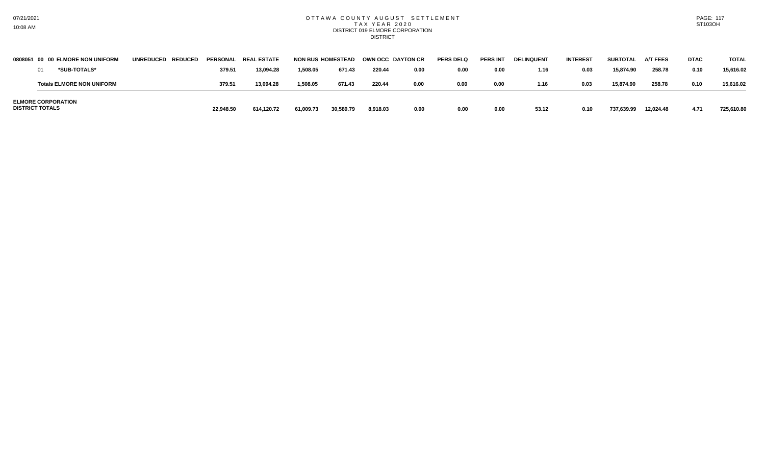### OTTAWA COUNTY AUGUST SETTLEMENT T A X Y E A R 2 0 2 0 DISTRICT 019 ELMORE CORPORATION **DISTRICT**

|                        | 0808051 00 00 ELMORE NON UNIFORM | UNREDUCED REDUCED |           | PERSONAL REAL ESTATE | <b>NON BUS HOMESTEAD</b> |           | OWN OCC DAYTON CR |      | <b>PERS DELQ</b> | <b>PERS INT</b> | <b>DELINQUENT</b> | <b>INTEREST</b> | <b>SUBTOTAL</b> | <b>A/T FEES</b> | <b>DTAC</b> | <b>TOTAL</b> |
|------------------------|----------------------------------|-------------------|-----------|----------------------|--------------------------|-----------|-------------------|------|------------------|-----------------|-------------------|-----------------|-----------------|-----------------|-------------|--------------|
|                        | *SUB-TOTALS*                     |                   | 379.5'    | 13.094.28            | 1.508.05                 | 671.43    | 220.44            | 0.00 | 0.00             | 0.00            | 1.16              | 0.03            | 15.874.90       | 258.78          | 0.10        | 15.616.02    |
|                        | <b>Totals ELMORE NON UNIFORM</b> |                   | 379.5     | 13,094.28            | 1,508.05                 | 671.43    | 220.44            | 0.00 | 0.00             | 0.00            | 1.16              | 0.03            | 15,874.90       | 258.78          | 0.10        | 15.616.02    |
| <b>DISTRICT TOTALS</b> | <b>ELMORE CORPORATION</b>        |                   | 22,948.50 | 614,120.72           | 61,009.73                | 30,589.79 | 8,918.03          | 0.00 | 0.00             | 0.00            | 53.12             | 0.10            | 737,639.99      | 12,024.48       | 4.71        | 725.610.80   |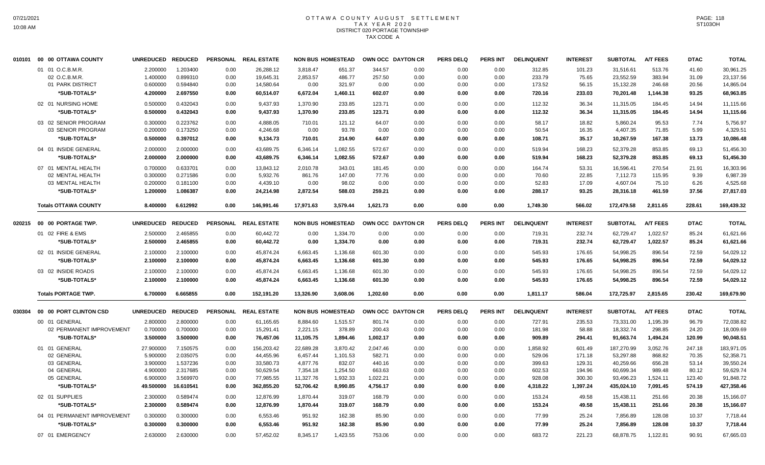# OTTAWA COUNTY AUGUST SETTLEMENT T A X Y E A R 2 0 2 0 DISTRICT 020 PORTAGE TOWNSHIP TAX CODE A

| 010101 | 00 00 OTTAWA COUNTY         | UNREDUCED REDUCED |           |      | PERSONAL REAL ESTATE |           | <b>NON BUS HOMESTEAD</b> | OWN OCC DAYTON CR |      | <b>PERS DELQ</b> | PERS INT        | <b>DELINQUENT</b> | <b>INTEREST</b> | <b>SUBTOTAL</b> | <b>A/T FEES</b> | <b>DTAC</b> | <b>TOTAL</b> |
|--------|-----------------------------|-------------------|-----------|------|----------------------|-----------|--------------------------|-------------------|------|------------------|-----------------|-------------------|-----------------|-----------------|-----------------|-------------|--------------|
|        | 01 01 O.C.B.M.R.            | 2.200000          | 1.203400  | 0.00 | 26,288.12            | 3,818.47  | 651.37                   | 344.57            | 0.00 | 0.00             | 0.00            | 312.85            | 101.23          | 31,516.61       | 513.76          | 41.60       | 30,961.25    |
|        | 02 O.C.B.M.R.               | 1.400000          | 0.899310  | 0.00 | 19,645.31            | 2,853.57  | 486.77                   | 257.50            | 0.00 | 0.00             | 0.00            | 233.79            | 75.65           | 23,552.59       | 383.94          | 31.09       | 23,137.56    |
|        | 01 PARK DISTRICT            | 0.600000          | 0.594840  | 0.00 | 14,580.64            | 0.00      | 321.97                   | 0.00              | 0.00 | 0.00             | 0.00            | 173.52            | 56.15           | 15,132.28       | 246.68          | 20.56       | 14,865.04    |
|        | *SUB-TOTALS*                | 4.200000          | 2.697550  | 0.00 | 60,514.07            | 6,672.04  | 1,460.11                 | 602.07            | 0.00 | 0.00             | 0.00            | 720.16            | 233.03          | 70,201.48       | 1,144.38        | 93.25       | 68,963.85    |
|        | 02 01 NURSING HOME          | 0.500000          | 0.432043  | 0.00 | 9,437.93             | 1,370.90  | 233.85                   | 123.71            | 0.00 | 0.00             | 0.00            | 112.32            | 36.34           | 11,315.05       | 184.45          | 14.94       | 11,115.66    |
|        | *SUB-TOTALS*                | 0.500000          | 0.432043  | 0.00 | 9,437.93             | 1,370.90  | 233.85                   | 123.71            | 0.00 | 0.00             | 0.00            | 112.32            | 36.34           | 11,315.05       | 184.45          | 14.94       | 11,115.66    |
|        | 03 02 SENIOR PROGRAM        | 0.300000          | 0.223762  | 0.00 | 4,888.05             | 710.01    | 121.12                   | 64.07             | 0.00 | 0.00             | 0.00            | 58.17             | 18.82           | 5,860.24        | 95.53           | 7.74        | 5,756.97     |
|        | 03 SENIOR PROGRAM           | 0.200000          | 0.173250  | 0.00 | 4,246.68             | 0.00      | 93.78                    | 0.00              | 0.00 | 0.00             | 0.00            | 50.54             | 16.35           | 4,407.35        | 71.85           | 5.99        | 4,329.51     |
|        | *SUB-TOTALS*                | 0.500000          | 0.397012  | 0.00 | 9,134.73             | 710.01    | 214.90                   | 64.07             | 0.00 | 0.00             | 0.00            | 108.71            | 35.17           | 10,267.59       | 167.38          | 13.73       | 10,086.48    |
|        | 04 01 INSIDE GENERAL        | 2.000000          | 2.000000  | 0.00 | 43,689.75            | 6,346.14  | 1,082.55                 | 572.67            | 0.00 | 0.00             | 0.00            | 519.94            | 168.23          | 52,379.28       | 853.85          | 69.13       | 51,456.30    |
|        | *SUB-TOTALS*                | 2.000000          | 2.000000  | 0.00 | 43,689.75            | 6,346.14  | 1,082.55                 | 572.67            | 0.00 | 0.00             | 0.00            | 519.94            | 168.23          | 52,379.28       | 853.85          | 69.13       | 51,456.30    |
|        | 07 01 MENTAL HEALTH         | 0.700000          | 0.633701  | 0.00 | 13.843.12            | 2.010.78  | 343.01                   | 181.45            | 0.00 | 0.00             | 0.00            | 164.74            | 53.31           | 16.596.41       | 270.54          | 21.91       | 16,303.96    |
|        | 02 MENTAL HEALTH            | 0.300000          | 0.271586  | 0.00 | 5,932.76             | 861.76    | 147.00                   | 77.76             | 0.00 | 0.00             | 0.00            | 70.60             | 22.85           | 7,112.73        | 115.95          | 9.39        | 6,987.39     |
|        | 03 MENTAL HEALTH            | 0.200000          | 0.181100  | 0.00 | 4,439.10             | 0.00      | 98.02                    | 0.00              | 0.00 | 0.00             | 0.00            | 52.83             | 17.09           | 4,607.04        | 75.10           | 6.26        | 4,525.68     |
|        | *SUB-TOTALS*                | 1.200000          | 1.086387  | 0.00 | 24,214.98            | 2,872.54  | 588.03                   | 259.21            | 0.00 | 0.00             | 0.00            | 288.17            | 93.25           | 28,316.18       | 461.59          | 37.56       | 27,817.03    |
|        | <b>Totals OTTAWA COUNTY</b> | 8.400000          | 6.612992  | 0.00 | 146,991.46           | 17,971.63 | 3,579.44                 | 1,621.73          | 0.00 | 0.00             | 0.00            | 1,749.30          | 566.02          | 172,479.58      | 2,811.65        | 228.61      | 169,439.32   |
| 020215 | 00 00 PORTAGE TWP.          | UNREDUCED REDUCED |           |      | PERSONAL REAL ESTATE |           | <b>NON BUS HOMESTEAD</b> | OWN OCC DAYTON CR |      | <b>PERS DELQ</b> | <b>PERS INT</b> | <b>DELINQUENT</b> | <b>INTEREST</b> | <b>SUBTOTAL</b> | <b>A/T FEES</b> | <b>DTAC</b> | <b>TOTAL</b> |
|        | 01 02 FIRE & EMS            | 2.500000          | 2.465855  | 0.00 | 60,442.72            | 0.00      | 1,334.70                 | 0.00              | 0.00 | 0.00             | 0.00            | 719.31            | 232.74          | 62,729.47       | 1,022.57        | 85.24       | 61,621.66    |
|        | *SUB-TOTALS*                | 2.500000          | 2.465855  | 0.00 | 60,442.72            | 0.00      | 1,334.70                 | 0.00              | 0.00 | 0.00             | 0.00            | 719.31            | 232.74          | 62,729.47       | 1,022.57        | 85.24       | 61,621.66    |
|        | 02 01 INSIDE GENERAL        | 2.100000          | 2.100000  | 0.00 | 45,874.24            | 6,663.45  | 1,136.68                 | 601.30            | 0.00 | 0.00             | 0.00            | 545.93            | 176.65          | 54,998.25       | 896.54          | 72.59       | 54,029.12    |
|        | *SUB-TOTALS*                | 2.100000          | 2.100000  | 0.00 | 45.874.24            | 6,663.45  | 1,136.68                 | 601.30            | 0.00 | 0.00             | 0.00            | 545.93            | 176.65          | 54,998.25       | 896.54          | 72.59       | 54,029.12    |
|        | 03 02 INSIDE ROADS          | 2.100000          | 2.100000  | 0.00 | 45,874.24            | 6,663.45  | 1,136.68                 | 601.30            | 0.00 | 0.00             | 0.00            | 545.93            | 176.65          | 54,998.25       | 896.54          | 72.59       | 54,029.12    |
|        | *SUB-TOTALS*                | 2.100000          | 2.100000  | 0.00 | 45,874.24            | 6,663.45  | 1,136.68                 | 601.30            | 0.00 | 0.00             | 0.00            | 545.93            | 176.65          | 54,998.25       | 896.54          | 72.59       | 54,029.12    |
|        | <b>Totals PORTAGE TWP.</b>  | 6.700000          | 6.665855  | 0.00 | 152,191.20           | 13,326.90 | 3,608.06                 | 1,202.60          | 0.00 | 0.00             | 0.00            | 1,811.17          | 586.04          | 172,725.97      | 2,815.65        | 230.42      | 169,679.90   |
| 030304 | 00 00 PORT CLINTON CSD      | UNREDUCED REDUCED |           |      | PERSONAL REAL ESTATE |           | <b>NON BUS HOMESTEAD</b> | OWN OCC DAYTON CR |      | <b>PERS DELQ</b> | PERS INT        | <b>DELINQUENT</b> | <b>INTEREST</b> | <b>SUBTOTAL</b> | <b>A/T FEES</b> | <b>DTAC</b> | <b>TOTAL</b> |
|        | 00 01 GENERAL               | 2.800000          | 2.800000  | 0.00 | 61,165.65            | 8,884.60  | 1,515.57                 | 801.74            | 0.00 | 0.00             | 0.00            | 727.91            | 235.53          | 73,331.00       | 1,195.39        | 96.79       | 72,038.82    |
|        | 02 PERMANENT IMPROVEMENT    | 0.700000          | 0.700000  | 0.00 | 15,291.41            | 2,221.15  | 378.89                   | 200.43            | 0.00 | 0.00             | 0.00            | 181.98            | 58.88           | 18,332.74       | 298.85          | 24.20       | 18,009.69    |
|        | *SUB-TOTALS*                | 3.500000          | 3.500000  | 0.00 | 76,457.06            | 11,105.75 | 1,894.46                 | 1,002.17          | 0.00 | 0.00             | 0.00            | 909.89            | 294.41          | 91,663.74       | 1,494.24        | 120.99      | 90,048.51    |
|        | 01 01 GENERAL               | 27.900000         | 7.150575  | 0.00 | 156,203.42           | 22,689.28 | 3,870.42                 | 2,047.46          | 0.00 | 0.00             | 0.00            | 1,858.92          | 601.49          | 187,270.99      | 3,052.76        | 247.18      | 183,971.05   |
|        | 02 GENERAL                  | 5.900000          | 2.035075  | 0.00 | 44,455.96            | 6,457.44  | 1,101.53                 | 582.71            | 0.00 | 0.00             | 0.00            | 529.06            | 171.18          | 53,297.88       | 868.82          | 70.35       | 52,358.71    |
|        | 03 GENERAL                  | 3.900000          | 1.537236  | 0.00 | 33,580.73            | 4,877.76  | 832.07                   | 440.16            | 0.00 | 0.00             | 0.00            | 399.63            | 129.31          | 40,259.66       | 656.28          | 53.14       | 39,550.24    |
|        | 04 GENERAL                  | 4.900000          | 2.317685  | 0.00 | 50,629.54            | 7,354.18  | 1,254.50                 | 663.63            | 0.00 | 0.00             | 0.00            | 602.53            | 194.96          | 60,699.34       | 989.48          | 80.12       | 59,629.74    |
|        | 05 GENERAL                  | 6.900000          | 3.569970  | 0.00 | 77,985.55            | 11,327.76 | 1,932.33                 | 1,022.21          | 0.00 | 0.00             | 0.00            | 928.08            | 300.30          | 93,496.23       | 1,524.11        | 123.40      | 91,848.72    |
|        | *SUB-TOTALS*                | 49.500000         | 16.610541 | 0.00 | 362,855.20           | 52,706.42 | 8,990.85                 | 4,756.17          | 0.00 | 0.00             | 0.00            | 4,318.22          | 1,397.24        | 435,024.10      | 7,091.45        | 574.19      | 427,358.46   |
|        | 02 01 SUPPLIES              | 2.300000          | 0.589474  | 0.00 | 12,876.99            | 1,870.44  | 319.07                   | 168.79            | 0.00 | 0.00             | 0.00            | 153.24            | 49.58           | 15,438.11       | 251.66          | 20.38       | 15,166.07    |
|        | *SUB-TOTALS*                | 2.300000          | 0.589474  | 0.00 | 12,876.99            | 1,870.44  | 319.07                   | 168.79            | 0.00 | 0.00             | 0.00            | 153.24            | 49.58           | 15,438.11       | 251.66          | 20.38       | 15,166.07    |
|        | 04 01 PERMANENT IMPROVEMENT | 0.300000          | 0.300000  | 0.00 | 6,553.46             | 951.92    | 162.38                   | 85.90             | 0.00 | 0.00             | 0.00            | 77.99             | 25.24           | 7,856.89        | 128.08          | 10.37       | 7,718.44     |
|        | *SUB-TOTALS*                | 0.300000          | 0.300000  | 0.00 | 6,553.46             | 951.92    | 162.38                   | 85.90             | 0.00 | 0.00             | 0.00            | 77.99             | 25.24           | 7,856.89        | 128.08          | 10.37       | 7,718.44     |
|        | 07 01 EMERGENCY             | 2.630000          | 2.630000  | 0.00 | 57,452.02            | 8,345.17  | 1,423.55                 | 753.06            | 0.00 | 0.00             | 0.00            | 683.72            | 221.23          | 68,878.75       | 1,122.81        | 90.91       | 67,665.03    |
|        |                             |                   |           |      |                      |           |                          |                   |      |                  |                 |                   |                 |                 |                 |             |              |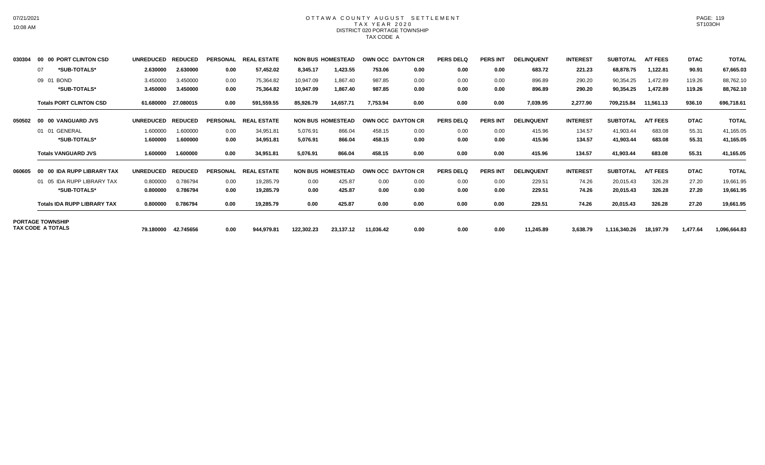### OTTAWA COUNTY AUGUST SETTLEMENT T A X Y E A R 2 0 2 0 DISTRICT 020 PORTAGE TOWNSHIP TAX CODE A

| 030304 | 00 00 PORT CLINTON CSD             | <b>UNREDUCED</b> | <b>REDUCED</b> | <b>PERSONAL</b> | <b>REAL ESTATE</b> |            | <b>NON BUS HOMESTEAD</b> |           | <b>OWN OCC DAYTON CR</b> | <b>PERS DELQ</b> | <b>PERS INT</b> | <b>DELINQUENT</b> | <b>INTEREST</b> | <b>SUBTOTAL</b> | <b>A/T FEES</b> | <b>DTAC</b> | <b>TOTAL</b> |
|--------|------------------------------------|------------------|----------------|-----------------|--------------------|------------|--------------------------|-----------|--------------------------|------------------|-----------------|-------------------|-----------------|-----------------|-----------------|-------------|--------------|
|        | *SUB-TOTALS*<br>07                 | 2.630000         | 2.630000       | 0.00            | 57,452.02          | 8,345.17   | 1,423.55                 | 753.06    | 0.00                     | 0.00             | 0.00            | 683.72            | 221.23          | 68,878.75       | 1,122.81        | 90.91       | 67,665.03    |
|        | 09 01 BOND                         | 3.450000         | 3.450000       | 0.00            | 75,364.82          | 10,947.09  | 1,867.40                 | 987.85    | 0.00                     | 0.00             | 0.00            | 896.89            | 290.20          | 90,354.25       | 1,472.89        | 119.26      | 88,762.10    |
|        | *SUB-TOTALS*                       | 3.450000         | 3.450000       | 0.00            | 75,364.82          | 10,947.09  | 1,867.40                 | 987.85    | 0.00                     | 0.00             | 0.00            | 896.89            | 290.20          | 90,354.25       | 1,472.89        | 119.26      | 88,762.10    |
|        | <b>Totals PORT CLINTON CSD</b>     | 61.680000        | 27.080015      | 0.00            | 591,559.55         | 85,926.79  | 14,657.71                | 7,753.94  | 0.00                     | 0.00             | 0.00            | 7,039.95          | 2,277.90        | 709,215.84      | 11,561.13       | 936.10      | 696,718.61   |
| 050502 | 00 00 VANGUARD JVS                 | <b>UNREDUCED</b> | <b>REDUCED</b> | <b>PERSONAL</b> | <b>REAL ESTATE</b> |            | <b>NON BUS HOMESTEAD</b> |           | <b>OWN OCC DAYTON CR</b> | <b>PERS DELQ</b> | <b>PERS INT</b> | <b>DELINQUENT</b> | <b>INTEREST</b> | <b>SUBTOTAL</b> | <b>A/T FEES</b> | <b>DTAC</b> | <b>TOTAL</b> |
|        | 01 01 GENERAL                      | 1.600000         | 1.600000       | 0.00            | 34,951.81          | 5,076.91   | 866.04                   | 458.15    | 0.00                     | 0.00             | 0.00            | 415.96            | 134.57          | 41,903.44       | 683.08          | 55.31       | 41,165.05    |
|        | *SUB-TOTALS*                       | 1.600000         | 1.600000       | 0.00            | 34,951.81          | 5,076.91   | 866.04                   | 458.15    | 0.00                     | 0.00             | 0.00            | 415.96            | 134.57          | 41,903.44       | 683.08          | 55.31       | 41,165.05    |
|        | <b>Totals VANGUARD JVS</b>         | 1.600000         | 1.600000       | 0.00            | 34,951.81          | 5,076.91   | 866.04                   | 458.15    | 0.00                     | 0.00             | 0.00            | 415.96            | 134.57          | 41,903.44       | 683.08          | 55.31       | 41,165.05    |
| 060605 | 00 00 IDA RUPP LIBRARY TAX         | <b>UNREDUCED</b> | <b>REDUCED</b> | <b>PERSONAL</b> | <b>REAL ESTATE</b> |            | <b>NON BUS HOMESTEAD</b> |           | OWN OCC DAYTON CR        | <b>PERS DELQ</b> | <b>PERS INT</b> | <b>DELINQUENT</b> | <b>INTEREST</b> | <b>SUBTOTAL</b> | <b>A/T FEES</b> | <b>DTAC</b> | <b>TOTAL</b> |
|        | 01 05 IDA RUPP LIBRARY TAX         | 0.800000         | 0.786794       | 0.00            | 19,285.79          | 0.00       | 425.87                   | 0.00      | 0.00                     | 0.00             | 0.00            | 229.51            | 74.26           | 20,015.43       | 326.28          | 27.20       | 19,661.95    |
|        | *SUB-TOTALS*                       | 0.800000         | 0.786794       | 0.00            | 19,285.79          | 0.00       | 425.87                   | 0.00      | 0.00                     | 0.00             | 0.00            | 229.51            | 74.26           | 20,015.43       | 326.28          | 27.20       | 19,661.95    |
|        | <b>Totals IDA RUPP LIBRARY TAX</b> | 0.800000         | 0.786794       | 0.00            | 19,285.79          | 0.00       | 425.87                   | 0.00      | 0.00                     | 0.00             | 0.00            | 229.51            | 74.26           | 20,015.43       | 326.28          | 27.20       | 19,661.95    |
|        | <b>PORTAGE TOWNSHIP</b>            |                  |                |                 |                    |            |                          |           |                          |                  |                 |                   |                 |                 |                 |             |              |
|        | TAX CODE A TOTALS                  | 79.180000        | 42.745656      | 0.00            | 944,979.81         | 122,302.23 | 23,137.12                | 11,036.42 | 0.00                     | 0.00             | 0.00            | 11,245.89         | 3,638.79        | 1,116,340.26    | 18,197.79       | 1,477.64    | 1,096,664.83 |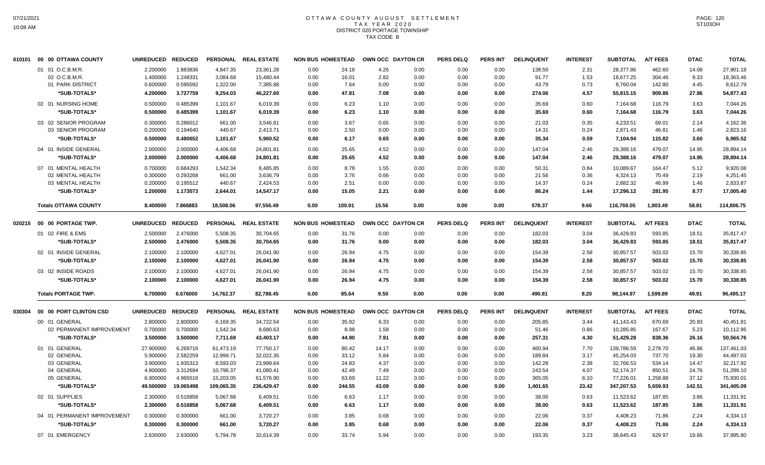# OTTAWA COUNTY AUGUST SETTLEMENT T A X Y E A R 2 0 2 0 DISTRICT 020 PORTAGE TOWNSHIP TAX CODE B

| 010101 | 00 00 OTTAWA COUNTY         | UNREDUCED REDUCED |           |            | PERSONAL REAL ESTATE | <b>NON BUS HOMESTEAD</b> |        | OWN OCC DAYTON CR |      | <b>PERS DELQ</b> | PERS INT        | <b>DELINQUENT</b> | <b>INTEREST</b> | <b>SUBTOTAL</b> | <b>A/T FEES</b> | <b>DTAC</b> | <b>TOTAL</b> |
|--------|-----------------------------|-------------------|-----------|------------|----------------------|--------------------------|--------|-------------------|------|------------------|-----------------|-------------------|-----------------|-----------------|-----------------|-------------|--------------|
|        | 01 01 O.C.B.M.R.            | 2.200000          | 1.883836  | 4,847.35   | 23,361.28            | 0.00                     | 24.16  | 4.26              | 0.00 | 0.00             | 0.00            | 138.50            | 2.31            | 28,377.86       | 462.60          | 14.08       | 27,901.18    |
|        | 02 O.C.B.M.R.               | 1.400000          | 1.248331  | 3,084.68   | 15,480.44            | 0.00                     | 16.01  | 2.82              | 0.00 | 0.00             | 0.00            | 91.77             | 1.53            | 18,677.25       | 304.46          | 9.33        | 18,363.46    |
|        | 01 PARK DISTRICT            | 0.600000          | 0.595592  | 1,322.00   | 7,385.88             | 0.00                     | 7.64   | 0.00              | 0.00 | 0.00             | 0.00            | 43.79             | 0.73            | 8,760.04        | 142.80          | 4.45        | 8,612.79     |
|        | *SUB-TOTALS*                | 4.200000          | 3.727759  | 9,254.03   | 46,227.60            | 0.00                     | 47.81  | 7.08              | 0.00 | 0.00             | 0.00            | 274.06            | 4.57            | 55,815.15       | 909.86          | 27.86       | 54,877.43    |
|        | 02 01 NURSING HOME          | 0.500000          | 0.485399  | 1,101.67   | 6,019.39             | 0.00                     | 6.23   | 1.10              | 0.00 | 0.00             | 0.00            | 35.69             | 0.60            | 7,164.68        | 116.79          | 3.63        | 7,044.26     |
|        | *SUB-TOTALS*                | 0.500000          | 0.485399  | 1,101.67   | 6,019.39             | 0.00                     | 6.23   | 1.10              | 0.00 | 0.00             | 0.00            | 35.69             | 0.60            | 7,164.68        | 116.79          | 3.63        | 7.044.26     |
|        | 03 02 SENIOR PROGRAM        | 0.300000          | 0.286012  | 661.00     | 3,546.81             | 0.00                     | 3.67   | 0.65              | 0.00 | 0.00             | 0.00            | 21.03             | 0.35            | 4,233.51        | 69.01           | 2.14        | 4,162.36     |
|        | 03 SENIOR PROGRAM           | 0.200000          | 0.194640  | 440.67     | 2,413.71             | 0.00                     | 2.50   | 0.00              | 0.00 | 0.00             | 0.00            | 14.31             | 0.24            | 2,871.43        | 46.81           | 1.46        | 2,823.16     |
|        | *SUB-TOTALS*                | 0.500000          | 0.480652  | 1,101.67   | 5,960.52             | 0.00                     | 6.17   | 0.65              | 0.00 | 0.00             | 0.00            | 35.34             | 0.59            | 7,104.94        | 115.82          | 3.60        | 6,985.52     |
|        | 04 01 INSIDE GENERAL        | 2.000000          | 2.000000  | 4,406.68   | 24,801.81            | 0.00                     | 25.65  | 4.52              | 0.00 | 0.00             | 0.00            | 147.04            | 2.46            | 29,388.16       | 479.07          | 14.95       | 28,894.14    |
|        | *SUB-TOTALS*                | 2.000000          | 2.000000  | 4,406.68   | 24,801.81            | 0.00                     | 25.65  | 4.52              | 0.00 | 0.00             | 0.00            | 147.04            | 2.46            | 29,388.16       | 479.07          | 14.95       | 28,894.14    |
|        | 07 01 MENTAL HEALTH         | 0.700000          | 0.684293  | 1,542.34   | 8,485.85             | 0.00                     | 8.78   | 1.55              | 0.00 | 0.00             | 0.00            | 50.31             | 0.84            | 10,089.67       | 164.47          | 5.12        | 9,920.08     |
|        | 02 MENTAL HEALTH            | 0.300000          | 0.293268  | 661.00     | 3,636.79             | 0.00                     | 3.76   | 0.66              | 0.00 | 0.00             | 0.00            | 21.56             | 0.36            | 4,324.13        | 70.49           | 2.19        | 4,251.45     |
|        | 03 MENTAL HEALTH            | 0.200000          | 0.195512  | 440.67     | 2,424.53             | 0.00                     | 2.51   | 0.00              | 0.00 | 0.00             | 0.00            | 14.37             | 0.24            | 2,882.32        | 46.99           | 1.46        | 2,833.87     |
|        | *SUB-TOTALS*                | 1.200000          | 1.173073  | 2,644.01   | 14,547.17            | 0.00                     | 15.05  | 2.21              | 0.00 | 0.00             | 0.00            | 86.24             | 1.44            | 17,296.12       | 281.95          | 8.77        | 17,005.40    |
|        | <b>Totals OTTAWA COUNTY</b> | 8.400000          | 7.866883  | 18,508.06  | 97,556.49            | 0.00                     | 100.91 | 15.56             | 0.00 | 0.00             | 0.00            | 578.37            | 9.66            | 116,769.05      | 1,903.49        | 58.81       | 114,806.75   |
| 020215 | 00 00 PORTAGE TWP.          | UNREDUCED REDUCED |           |            | PERSONAL REAL ESTATE | <b>NON BUS HOMESTEAD</b> |        | OWN OCC DAYTON CR |      | <b>PERS DELQ</b> | <b>PERS INT</b> | <b>DELINQUENT</b> | <b>INTEREST</b> | <b>SUBTOTAL</b> | <b>A/T FEES</b> | <b>DTAC</b> | <b>TOTAL</b> |
|        | 01 02 FIRE & EMS            | 2.500000          | 2.476000  | 5,508.35   | 30,704.65            | 0.00                     | 31.76  | 0.00              | 0.00 | 0.00             | 0.00            | 182.03            | 3.04            | 36,429.83       | 593.85          | 18.51       | 35,817.47    |
|        | *SUB-TOTALS*                | 2.500000          | 2.476000  | 5,508.35   | 30,704.65            | 0.00                     | 31.76  | 0.00              | 0.00 | 0.00             | 0.00            | 182.03            | 3.04            | 36,429.83       | 593.85          | 18.51       | 35,817.47    |
|        | 02 01 INSIDE GENERAL        | 2.100000          | 2.100000  | 4,627.01   | 26,041.90            | 0.00                     | 26.94  | 4.75              | 0.00 | 0.00             | 0.00            | 154.39            | 2.58            | 30,857.57       | 503.02          | 15.70       | 30,338.85    |
|        | *SUB-TOTALS*                | 2.100000          | 2.100000  | 4,627.01   | 26,041.90            | 0.00                     | 26.94  | 4.75              | 0.00 | 0.00             | 0.00            | 154.39            | 2.58            | 30,857.57       | 503.02          | 15.70       | 30,338.85    |
|        | 03 02 INSIDE ROADS          | 2.100000          | 2.100000  | 4,627.01   | 26,041.90            | 0.00                     | 26.94  | 4.75              | 0.00 | 0.00             | 0.00            | 154.39            | 2.58            | 30,857.57       | 503.02          | 15.70       | 30,338.85    |
|        | *SUB-TOTALS*                | 2.100000          | 2.100000  | 4,627.01   | 26,041.90            | 0.00                     | 26.94  | 4.75              | 0.00 | 0.00             | 0.00            | 154.39            | 2.58            | 30,857.57       | 503.02          | 15.70       | 30,338.85    |
|        | <b>Totals PORTAGE TWP.</b>  | 6.700000          | 6.676000  | 14,762.37  | 82,788.45            | 0.00                     | 85.64  | 9.50              | 0.00 | 0.00             | 0.00            | 490.81            | 8.20            | 98,144.97       | 1,599.89        | 49.91       | 96,495.17    |
| 030304 | 00 00 PORT CLINTON CSD      | UNREDUCED REDUCED |           |            | PERSONAL REAL ESTATE | <b>NON BUS HOMESTEAD</b> |        | OWN OCC DAYTON CR |      | <b>PERS DELQ</b> | <b>PERS INT</b> | <b>DELINQUENT</b> | <b>INTEREST</b> | <b>SUBTOTAL</b> | <b>A/T FEES</b> | <b>DTAC</b> | <b>TOTAL</b> |
|        | 00 01 GENERAL               | 2.800000          | 2.800000  | 6,169.35   | 34,722.54            | 0.00                     | 35.92  | 6.33              | 0.00 | 0.00             | 0.00            | 205.85            | 3.44            | 41,143.43       | 670.69          | 20.93       | 40,451.81    |
|        | 02 PERMANENT IMPROVEMENT    | 0.700000          | 0.700000  | 1,542.34   | 8,680.63             | 0.00                     | 8.98   | 1.58              | 0.00 | 0.00             | 0.00            | 51.46             | 0.86            | 10,285.85       | 167.67          | 5.23        | 10,112.95    |
|        | *SUB-TOTALS*                | 3.500000          | 3.500000  | 7,711.69   | 43,403.17            | 0.00                     | 44.90  | 7.91              | 0.00 | 0.00             | 0.00            | 257.31            | 4.30            | 51,429.28       | 838.36          | 26.16       | 50,564.76    |
|        | 01 01 GENERAL               | 27.900000         | 6.269716  | 61,473.19  | 77,750.17            | 0.00                     | 80.42  | 14.17             | 0.00 | 0.00             | 0.00            | 460.94            | 7.70            | 139,786.59      | 2,278.70        | 46.86       | 137,461.03   |
|        | 02 GENERAL                  | 5.900000          | 2.582259  | 12,999.71  | 32,022.35            | 0.00                     | 33.12  | 5.84              | 0.00 | 0.00             | 0.00            | 189.84            | 3.17            | 45,254.03       | 737.70          | 19.30       | 44,497.03    |
|        | 03 GENERAL                  | 3.900000          | 1.935313  | 8,593.03   | 23,999.64            | 0.00                     | 24.83  | 4.37              | 0.00 | 0.00             | 0.00            | 142.28            | 2.38            | 32,766.53       | 534.14          | 14.47       | 32,217.92    |
|        | 04 GENERAL                  | 4.900000          | 3.312694  | 10,796.37  | 41,080.41            | 0.00                     | 42.49  | 7.49              | 0.00 | 0.00             | 0.00            | 243.54            | 4.07            | 52,174.37       | 850.51          | 24.76       | 51,299.10    |
|        | 05 GENERAL                  | 6.900000          | 4.965516  | 15,203.05  | 61,576.90            | 0.00                     | 63.69  | 11.22             | 0.00 | 0.00             | 0.00            | 365.05            | 6.10            | 77,226.01       | 1,258.88        | 37.12       | 75,930.01    |
|        | *SUB-TOTALS*                | 49.500000         | 19.065498 | 109,065.35 | 236,429.47           | 0.00                     | 244.55 | 43.09             | 0.00 | 0.00             | 0.00            | 1,401.65          | 23.42           | 347,207.53      | 5,659.93        | 142.51      | 341,405.09   |
|        | 02 01 SUPPLIES              | 2.300000          | 0.516858  | 5,067.68   | 6,409.51             | 0.00                     | 6.63   | 1.17              | 0.00 | 0.00             | 0.00            | 38.00             | 0.63            | 11,523.62       | 187.85          | 3.86        | 11,331.91    |
|        | *SUB-TOTALS*                | 2.300000          | 0.516858  | 5,067.68   | 6,409.51             | 0.00                     | 6.63   | 1.17              | 0.00 | 0.00             | 0.00            | 38.00             | 0.63            | 11,523.62       | 187.85          | 3.86        | 11,331.91    |
|        | 04 01 PERMANENT IMPROVEMENT | 0.300000          | 0.300000  | 661.00     | 3,720.27             | 0.00                     | 3.85   | 0.68              | 0.00 | 0.00             | 0.00            | 22.06             | 0.37            | 4,408.23        | 71.86           | 2.24        | 4,334.13     |
|        | *SUB-TOTALS*                | 0.300000          | 0.300000  | 661.00     | 3,720.27             | 0.00                     | 3.85   | 0.68              | 0.00 | 0.00             | 0.00            | 22.06             | 0.37            | 4,408.23        | 71.86           | 2.24        | 4,334.13     |
|        | 07 01 EMERGENCY             | 2.630000          | 2.630000  | 5,794.78   | 32,614.39            | 0.00                     | 33.74  | 5.94              | 0.00 | 0.00             | 0.00            | 193.35            | 3.23            | 38,645.43       | 629.97          | 19.66       | 37,995.80    |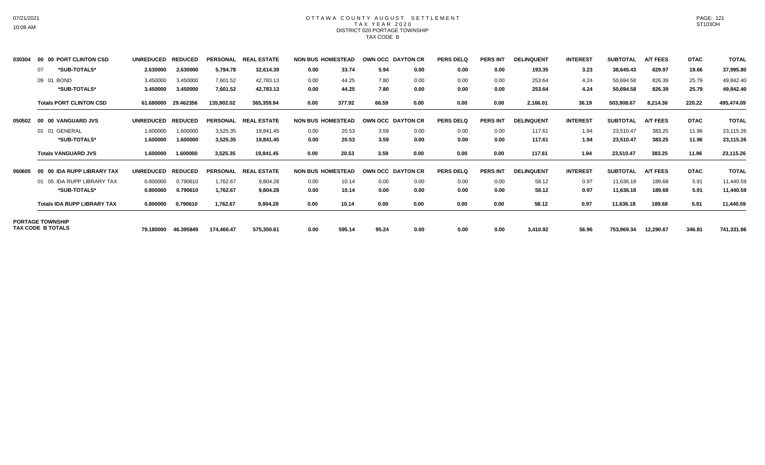### OTTAWA COUNTY AUGUST SETTLEMENT T A X Y E A R 2 0 2 0 DISTRICT 020 PORTAGE TOWNSHIP TAX CODE B

| 030304 | 00 00 PORT CLINTON CSD             | <b>UNREDUCED</b> | <b>REDUCED</b> | <b>PERSONAL</b> | <b>REAL ESTATE</b> |                          | <b>NON BUS HOMESTEAD</b> |       | <b>OWN OCC DAYTON CR</b> | <b>PERS DELQ</b> | <b>PERS INT</b> | <b>DELINQUENT</b> | <b>INTEREST</b> | <b>SUBTOTAL</b> | <b>A/T FEES</b> | <b>DTAC</b> | <b>TOTAL</b> |
|--------|------------------------------------|------------------|----------------|-----------------|--------------------|--------------------------|--------------------------|-------|--------------------------|------------------|-----------------|-------------------|-----------------|-----------------|-----------------|-------------|--------------|
|        | *SUB-TOTALS*<br>07                 | 2.630000         | 2.630000       | 5,794.78        | 32,614.39          | 0.00                     | 33.74                    | 5.94  | 0.00                     | 0.00             | 0.00            | 193.35            | 3.23            | 38,645.43       | 629.97          | 19.66       | 37,995.80    |
|        | 09 01 BOND                         | 3.450000         | 3.450000       | 7,601.52        | 42,783.13          | 0.00                     | 44.25                    | 7.80  | 0.00                     | 0.00             | 0.00            | 253.64            | 4.24            | 50,694.58       | 826.39          | 25.79       | 49,842.40    |
|        | *SUB-TOTALS*                       | 3.450000         | 3.450000       | 7,601.52        | 42,783.13          | 0.00                     | 44.25                    | 7.80  | 0.00                     | 0.00             | 0.00            | 253.64            | 4.24            | 50,694.58       | 826.39          | 25.79       | 49,842.40    |
|        | <b>Totals PORT CLINTON CSD</b>     | 61.680000        | 29.462356      | 135,902.02      | 365,359.94         | 0.00                     | 377.92                   | 66.59 | 0.00                     | 0.00             | 0.00            | 2,166.01          | 36.19           | 503,908.67      | 8,214.36        | 220.22      | 495,474.09   |
| 050502 | 00 00 VANGUARD JVS                 | <b>UNREDUCED</b> | <b>REDUCED</b> | <b>PERSONAL</b> | <b>REAL ESTATE</b> | <b>NON BUS HOMESTEAD</b> |                          |       | OWN OCC DAYTON CR        | <b>PERS DELQ</b> | <b>PERS INT</b> | <b>DELINQUENT</b> | <b>INTEREST</b> | <b>SUBTOTAL</b> | A/T FEES        | <b>DTAC</b> | <b>TOTAL</b> |
|        | 01 01 GENERAL                      | 1.600000         | 1.600000       | 3,525.35        | 19,841.45          | 0.00                     | 20.53                    | 3.59  | 0.00                     | 0.00             | 0.00            | 117.61            | 1.94            | 23,510.47       | 383.25          | 11.96       | 23,115.26    |
|        | *SUB-TOTALS*                       | 1.600000         | 1.600000       | 3,525.35        | 19,841.45          | 0.00                     | 20.53                    | 3.59  | 0.00                     | 0.00             | 0.00            | 117.61            | 1.94            | 23,510.47       | 383.25          | 11.96       | 23,115.26    |
|        | <b>Totals VANGUARD JVS</b>         | 1.600000         | 1.600000       | 3,525.35        | 19,841.45          | 0.00                     | 20.53                    | 3.59  | 0.00                     | 0.00             | 0.00            | 117.61            | 1.94            | 23,510.47       | 383.25          | 11.96       | 23,115.26    |
| 060605 | 00 00 IDA RUPP LIBRARY TAX         | <b>UNREDUCED</b> | <b>REDUCED</b> | <b>PERSONAL</b> | <b>REAL ESTATE</b> | <b>NON BUS HOMESTEAD</b> |                          |       | OWN OCC DAYTON CR        | <b>PERS DELQ</b> | <b>PERS INT</b> | <b>DELINQUENT</b> | <b>INTEREST</b> | <b>SUBTOTAL</b> | <b>A/T FEES</b> | <b>DTAC</b> | <b>TOTAL</b> |
|        | 01 05 IDA RUPP LIBRARY TAX         | 0.800000         | 0.790610       | 1,762.67        | 9,804.28           | 0.00                     | 10.14                    | 0.00  | 0.00                     | 0.00             | 0.00            | 58.12             | 0.97            | 11,636.18       | 189.68          | 5.91        | 11,440.59    |
|        | *SUB-TOTALS*                       | 0.800000         | 0.790610       | 1,762.67        | 9,804.28           | 0.00                     | 10.14                    | 0.00  | 0.00                     | 0.00             | 0.00            | 58.12             | 0.97            | 11,636.18       | 189.68          | 5.91        | 11,440.59    |
|        | <b>Totals IDA RUPP LIBRARY TAX</b> | 0.800000         | 0.790610       | 1,762.67        | 9,804.28           | 0.00                     | 10.14                    | 0.00  | 0.00                     | 0.00             | 0.00            | 58.12             | 0.97            | 11,636.18       | 189.68          | 5.91        | 11,440.59    |
|        | <b>PORTAGE TOWNSHIP</b>            |                  |                |                 |                    |                          |                          |       |                          |                  |                 |                   |                 |                 |                 |             |              |
|        | TAX CODE B TOTALS                  | 79.180000        | 46.395849      | 174,460.47      | 575,350.61         | 0.00                     | 595.14                   | 95.24 | 0.00                     | 0.00             | 0.00            | 3,410.92          | 56.96           | 753,969.34      | 12,290.67       | 346.81      | 741,331.86   |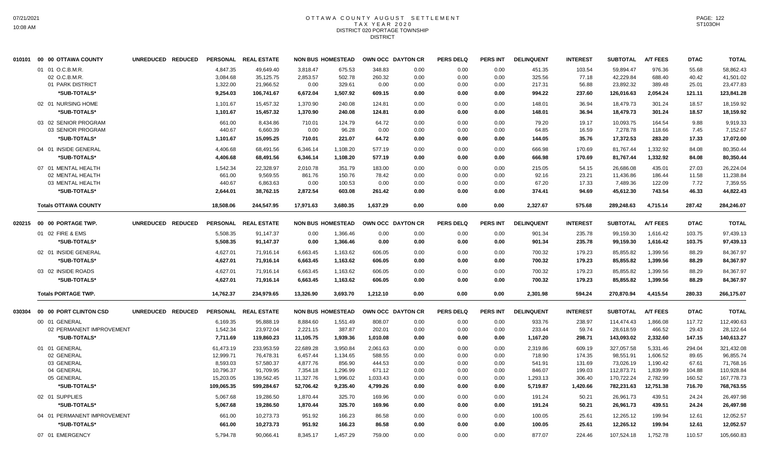## OTTAWA COUNTY AUGUST SETTLEMENT T A X Y E A R 2 0 2 0 DISTRICT 020 PORTAGE TOWNSHIP **DISTRICT**

| 01 01 O.C.B.M.R.<br>4.847.35<br>49.649.40<br>675.53<br>348.83<br>0.00<br>451.35<br>103.54<br>59.894.47<br>976.36<br>55.68<br>3.818.47<br>0.00<br>0.00<br>02 O.C.B.M.R.<br>3,084.68<br>35,125.75<br>2,853.57<br>502.78<br>260.32<br>0.00<br>0.00<br>0.00<br>325.56<br>77.18<br>42,229.84<br>688.40<br>40.42<br>01 PARK DISTRICT<br>1,322.00<br>21,966.52<br>0.00<br>329.61<br>56.88<br>23,892.32<br>389.48<br>25.01<br>0.00<br>0.00<br>0.00<br>0.00<br>217.31<br>*SUB-TOTALS*<br>9,254.03<br>106,741.67<br>6,672.04<br>1,507.92<br>0.00<br>237.60<br>126,016.63<br>2,054.24<br>121.11<br>609.15<br>0.00<br>0.00<br>994.22<br>02 01 NURSING HOME<br>15,457.32<br>1,370.90<br>240.08<br>124.81<br>0.00<br>0.00<br>148.01<br>36.94<br>18,479.73<br>301.24<br>18.57<br>1,101.67<br>0.00<br>*SUB-TOTALS*<br>1,101.67<br>15,457.32<br>1,370.90<br>240.08<br>124.81<br>0.00<br>0.00<br>0.00<br>148.01<br>36.94<br>18,479.73<br>301.24<br>18.57<br>64.72<br>164.54<br>03 02 SENIOR PROGRAM<br>661.00<br>8,434.86<br>710.01<br>124.79<br>0.00<br>0.00<br>0.00<br>79.20<br>19.17<br>10,093.75<br>9.88<br>03 SENIOR PROGRAM<br>440.67<br>6,660.39<br>0.00<br>96.28<br>0.00<br>0.00<br>0.00<br>0.00<br>64.85<br>16.59<br>7,278.78<br>118.66<br>7.45<br>*SUB-TOTALS*<br>15,095.25<br>710.01<br>221.07<br>64.72<br>35.76<br>17,372.53<br>283.20<br>1,101.67<br>0.00<br>0.00<br>0.00<br>144.05<br>17.33<br>04 01 INSIDE GENERAL<br>4,406.68<br>68,491.56<br>6,346.14<br>577.19<br>0.00<br>0.00<br>666.98<br>170.69<br>81,767.44<br>1,332.92<br>84.08<br>1,108.20<br>0.00<br>*SUB-TOTALS*<br>577.19<br>0.00<br>1,332.92<br>4,406.68<br>68,491.56<br>6,346.14<br>1,108.20<br>0.00<br>0.00<br>666.98<br>170.69<br>81,767.44<br>84.08<br>27.03<br>07 01 MENTAL HEALTH<br>1,542.34<br>22,328.97<br>2,010.78<br>351.79<br>183.00<br>0.00<br>0.00<br>0.00<br>215.05<br>54.15<br>26,686.08<br>435.01<br>02 MENTAL HEALTH<br>661.00<br>9,569.55<br>150.76<br>0.00<br>0.00<br>23.21<br>11,436.86<br>186.44<br>11.58<br>861.76<br>78.42<br>0.00<br>92.16<br>03 MENTAL HEALTH<br>440.67<br>6,863.63<br>0.00<br>0.00<br>17.33<br>7,489.36<br>122.09<br>7.72<br>100.53<br>0.00<br>0.00<br>0.00<br>67.20<br>*SUB-TOTALS*<br>38,762.15<br>2,872.54<br>603.08<br>261.42<br>0.00<br>0.00<br>94.69<br>45,612.30<br>743.54<br>46.33<br>2,644.01<br>0.00<br>374.41<br>18,508.06<br>244,547.95<br>17,971.63<br>3,680.35<br>1,637.29<br>0.00<br>0.00<br>0.00<br>2,327.67<br>575.68<br>289,248.63<br>4,715.14<br>287.42<br><b>Totals OTTAWA COUNTY</b><br><b>A/T FEES</b><br>00 00 PORTAGE TWP.<br><b>UNREDUCED</b><br><b>REDUCED</b><br><b>PERSONAL</b><br><b>REAL ESTATE</b><br><b>NON BUS HOMESTEAD</b><br>OWN OCC DAYTON CR<br><b>PERS DELQ</b><br><b>PERS INT</b><br><b>DELINQUENT</b><br><b>INTEREST</b><br><b>SUBTOTAL</b><br><b>DTAC</b><br>020215<br>01 02 FIRE & EMS<br>5,508.35<br>91,147.37<br>0.00<br>1,366.46<br>0.00<br>0.00<br>0.00<br>0.00<br>901.34<br>235.78<br>99,159.30<br>1,616.42<br>103.75<br>*SUB-TOTALS*<br>5,508.35<br>91,147.37<br>0.00<br>1,366.46<br>0.00<br>0.00<br>0.00<br>0.00<br>901.34<br>235.78<br>99,159.30<br>1,616.42<br>103.75<br>02 01 INSIDE GENERAL<br>4,627.01<br>85,855.82<br>1,399.56<br>71,916.14<br>6,663.45<br>1,163.62<br>606.05<br>0.00<br>0.00<br>0.00<br>700.32<br>179.23<br>88.29<br>*SUB-TOTALS*<br>4,627.01<br>71,916.14<br>6,663.45<br>1,163.62<br>606.05<br>0.00<br>0.00<br>0.00<br>700.32<br>179.23<br>85,855.82<br>1,399.56<br>88.29<br>1,399.56<br>03 02 INSIDE ROADS<br>4,627.01<br>71,916.14<br>6,663.45<br>1,163.62<br>606.05<br>0.00<br>0.00<br>0.00<br>700.32<br>179.23<br>85,855.82<br>88.29 | 58.862.43<br>41,501.02<br>23,477.83<br>123,841.28<br>18,159.92<br>18,159.92<br>9,919.33<br>7,152.67<br>17,072.00<br>80,350.44<br>80,350.44<br>26,224.04<br>11,238.84<br>7,359.55<br>44,822.43<br>284,246.07<br><b>TOTAL</b><br>97,439.13<br>97,439.13<br>84,367.97 |
|-------------------------------------------------------------------------------------------------------------------------------------------------------------------------------------------------------------------------------------------------------------------------------------------------------------------------------------------------------------------------------------------------------------------------------------------------------------------------------------------------------------------------------------------------------------------------------------------------------------------------------------------------------------------------------------------------------------------------------------------------------------------------------------------------------------------------------------------------------------------------------------------------------------------------------------------------------------------------------------------------------------------------------------------------------------------------------------------------------------------------------------------------------------------------------------------------------------------------------------------------------------------------------------------------------------------------------------------------------------------------------------------------------------------------------------------------------------------------------------------------------------------------------------------------------------------------------------------------------------------------------------------------------------------------------------------------------------------------------------------------------------------------------------------------------------------------------------------------------------------------------------------------------------------------------------------------------------------------------------------------------------------------------------------------------------------------------------------------------------------------------------------------------------------------------------------------------------------------------------------------------------------------------------------------------------------------------------------------------------------------------------------------------------------------------------------------------------------------------------------------------------------------------------------------------------------------------------------------------------------------------------------------------------------------------------------------------------------------------------------------------------------------------------------------------------------------------------------------------------------------------------------------------------------------------------------------------------------------------------------------------------------------------------------------------------------------------------------------------------------------------------------------------------------------------------------------------------------------------------------------------------------------------------------------------------------------------------------------------------------------------------------------------------------------------------------------------------------------------------------------------------------------------------------------------------------------------------------------------------------------|--------------------------------------------------------------------------------------------------------------------------------------------------------------------------------------------------------------------------------------------------------------------|
|                                                                                                                                                                                                                                                                                                                                                                                                                                                                                                                                                                                                                                                                                                                                                                                                                                                                                                                                                                                                                                                                                                                                                                                                                                                                                                                                                                                                                                                                                                                                                                                                                                                                                                                                                                                                                                                                                                                                                                                                                                                                                                                                                                                                                                                                                                                                                                                                                                                                                                                                                                                                                                                                                                                                                                                                                                                                                                                                                                                                                                                                                                                                                                                                                                                                                                                                                                                                                                                                                                                                                                                                                         |                                                                                                                                                                                                                                                                    |
|                                                                                                                                                                                                                                                                                                                                                                                                                                                                                                                                                                                                                                                                                                                                                                                                                                                                                                                                                                                                                                                                                                                                                                                                                                                                                                                                                                                                                                                                                                                                                                                                                                                                                                                                                                                                                                                                                                                                                                                                                                                                                                                                                                                                                                                                                                                                                                                                                                                                                                                                                                                                                                                                                                                                                                                                                                                                                                                                                                                                                                                                                                                                                                                                                                                                                                                                                                                                                                                                                                                                                                                                                         |                                                                                                                                                                                                                                                                    |
|                                                                                                                                                                                                                                                                                                                                                                                                                                                                                                                                                                                                                                                                                                                                                                                                                                                                                                                                                                                                                                                                                                                                                                                                                                                                                                                                                                                                                                                                                                                                                                                                                                                                                                                                                                                                                                                                                                                                                                                                                                                                                                                                                                                                                                                                                                                                                                                                                                                                                                                                                                                                                                                                                                                                                                                                                                                                                                                                                                                                                                                                                                                                                                                                                                                                                                                                                                                                                                                                                                                                                                                                                         |                                                                                                                                                                                                                                                                    |
|                                                                                                                                                                                                                                                                                                                                                                                                                                                                                                                                                                                                                                                                                                                                                                                                                                                                                                                                                                                                                                                                                                                                                                                                                                                                                                                                                                                                                                                                                                                                                                                                                                                                                                                                                                                                                                                                                                                                                                                                                                                                                                                                                                                                                                                                                                                                                                                                                                                                                                                                                                                                                                                                                                                                                                                                                                                                                                                                                                                                                                                                                                                                                                                                                                                                                                                                                                                                                                                                                                                                                                                                                         |                                                                                                                                                                                                                                                                    |
|                                                                                                                                                                                                                                                                                                                                                                                                                                                                                                                                                                                                                                                                                                                                                                                                                                                                                                                                                                                                                                                                                                                                                                                                                                                                                                                                                                                                                                                                                                                                                                                                                                                                                                                                                                                                                                                                                                                                                                                                                                                                                                                                                                                                                                                                                                                                                                                                                                                                                                                                                                                                                                                                                                                                                                                                                                                                                                                                                                                                                                                                                                                                                                                                                                                                                                                                                                                                                                                                                                                                                                                                                         |                                                                                                                                                                                                                                                                    |
|                                                                                                                                                                                                                                                                                                                                                                                                                                                                                                                                                                                                                                                                                                                                                                                                                                                                                                                                                                                                                                                                                                                                                                                                                                                                                                                                                                                                                                                                                                                                                                                                                                                                                                                                                                                                                                                                                                                                                                                                                                                                                                                                                                                                                                                                                                                                                                                                                                                                                                                                                                                                                                                                                                                                                                                                                                                                                                                                                                                                                                                                                                                                                                                                                                                                                                                                                                                                                                                                                                                                                                                                                         |                                                                                                                                                                                                                                                                    |
|                                                                                                                                                                                                                                                                                                                                                                                                                                                                                                                                                                                                                                                                                                                                                                                                                                                                                                                                                                                                                                                                                                                                                                                                                                                                                                                                                                                                                                                                                                                                                                                                                                                                                                                                                                                                                                                                                                                                                                                                                                                                                                                                                                                                                                                                                                                                                                                                                                                                                                                                                                                                                                                                                                                                                                                                                                                                                                                                                                                                                                                                                                                                                                                                                                                                                                                                                                                                                                                                                                                                                                                                                         |                                                                                                                                                                                                                                                                    |
|                                                                                                                                                                                                                                                                                                                                                                                                                                                                                                                                                                                                                                                                                                                                                                                                                                                                                                                                                                                                                                                                                                                                                                                                                                                                                                                                                                                                                                                                                                                                                                                                                                                                                                                                                                                                                                                                                                                                                                                                                                                                                                                                                                                                                                                                                                                                                                                                                                                                                                                                                                                                                                                                                                                                                                                                                                                                                                                                                                                                                                                                                                                                                                                                                                                                                                                                                                                                                                                                                                                                                                                                                         |                                                                                                                                                                                                                                                                    |
|                                                                                                                                                                                                                                                                                                                                                                                                                                                                                                                                                                                                                                                                                                                                                                                                                                                                                                                                                                                                                                                                                                                                                                                                                                                                                                                                                                                                                                                                                                                                                                                                                                                                                                                                                                                                                                                                                                                                                                                                                                                                                                                                                                                                                                                                                                                                                                                                                                                                                                                                                                                                                                                                                                                                                                                                                                                                                                                                                                                                                                                                                                                                                                                                                                                                                                                                                                                                                                                                                                                                                                                                                         |                                                                                                                                                                                                                                                                    |
|                                                                                                                                                                                                                                                                                                                                                                                                                                                                                                                                                                                                                                                                                                                                                                                                                                                                                                                                                                                                                                                                                                                                                                                                                                                                                                                                                                                                                                                                                                                                                                                                                                                                                                                                                                                                                                                                                                                                                                                                                                                                                                                                                                                                                                                                                                                                                                                                                                                                                                                                                                                                                                                                                                                                                                                                                                                                                                                                                                                                                                                                                                                                                                                                                                                                                                                                                                                                                                                                                                                                                                                                                         |                                                                                                                                                                                                                                                                    |
|                                                                                                                                                                                                                                                                                                                                                                                                                                                                                                                                                                                                                                                                                                                                                                                                                                                                                                                                                                                                                                                                                                                                                                                                                                                                                                                                                                                                                                                                                                                                                                                                                                                                                                                                                                                                                                                                                                                                                                                                                                                                                                                                                                                                                                                                                                                                                                                                                                                                                                                                                                                                                                                                                                                                                                                                                                                                                                                                                                                                                                                                                                                                                                                                                                                                                                                                                                                                                                                                                                                                                                                                                         |                                                                                                                                                                                                                                                                    |
|                                                                                                                                                                                                                                                                                                                                                                                                                                                                                                                                                                                                                                                                                                                                                                                                                                                                                                                                                                                                                                                                                                                                                                                                                                                                                                                                                                                                                                                                                                                                                                                                                                                                                                                                                                                                                                                                                                                                                                                                                                                                                                                                                                                                                                                                                                                                                                                                                                                                                                                                                                                                                                                                                                                                                                                                                                                                                                                                                                                                                                                                                                                                                                                                                                                                                                                                                                                                                                                                                                                                                                                                                         |                                                                                                                                                                                                                                                                    |
|                                                                                                                                                                                                                                                                                                                                                                                                                                                                                                                                                                                                                                                                                                                                                                                                                                                                                                                                                                                                                                                                                                                                                                                                                                                                                                                                                                                                                                                                                                                                                                                                                                                                                                                                                                                                                                                                                                                                                                                                                                                                                                                                                                                                                                                                                                                                                                                                                                                                                                                                                                                                                                                                                                                                                                                                                                                                                                                                                                                                                                                                                                                                                                                                                                                                                                                                                                                                                                                                                                                                                                                                                         |                                                                                                                                                                                                                                                                    |
|                                                                                                                                                                                                                                                                                                                                                                                                                                                                                                                                                                                                                                                                                                                                                                                                                                                                                                                                                                                                                                                                                                                                                                                                                                                                                                                                                                                                                                                                                                                                                                                                                                                                                                                                                                                                                                                                                                                                                                                                                                                                                                                                                                                                                                                                                                                                                                                                                                                                                                                                                                                                                                                                                                                                                                                                                                                                                                                                                                                                                                                                                                                                                                                                                                                                                                                                                                                                                                                                                                                                                                                                                         |                                                                                                                                                                                                                                                                    |
|                                                                                                                                                                                                                                                                                                                                                                                                                                                                                                                                                                                                                                                                                                                                                                                                                                                                                                                                                                                                                                                                                                                                                                                                                                                                                                                                                                                                                                                                                                                                                                                                                                                                                                                                                                                                                                                                                                                                                                                                                                                                                                                                                                                                                                                                                                                                                                                                                                                                                                                                                                                                                                                                                                                                                                                                                                                                                                                                                                                                                                                                                                                                                                                                                                                                                                                                                                                                                                                                                                                                                                                                                         |                                                                                                                                                                                                                                                                    |
|                                                                                                                                                                                                                                                                                                                                                                                                                                                                                                                                                                                                                                                                                                                                                                                                                                                                                                                                                                                                                                                                                                                                                                                                                                                                                                                                                                                                                                                                                                                                                                                                                                                                                                                                                                                                                                                                                                                                                                                                                                                                                                                                                                                                                                                                                                                                                                                                                                                                                                                                                                                                                                                                                                                                                                                                                                                                                                                                                                                                                                                                                                                                                                                                                                                                                                                                                                                                                                                                                                                                                                                                                         |                                                                                                                                                                                                                                                                    |
|                                                                                                                                                                                                                                                                                                                                                                                                                                                                                                                                                                                                                                                                                                                                                                                                                                                                                                                                                                                                                                                                                                                                                                                                                                                                                                                                                                                                                                                                                                                                                                                                                                                                                                                                                                                                                                                                                                                                                                                                                                                                                                                                                                                                                                                                                                                                                                                                                                                                                                                                                                                                                                                                                                                                                                                                                                                                                                                                                                                                                                                                                                                                                                                                                                                                                                                                                                                                                                                                                                                                                                                                                         |                                                                                                                                                                                                                                                                    |
|                                                                                                                                                                                                                                                                                                                                                                                                                                                                                                                                                                                                                                                                                                                                                                                                                                                                                                                                                                                                                                                                                                                                                                                                                                                                                                                                                                                                                                                                                                                                                                                                                                                                                                                                                                                                                                                                                                                                                                                                                                                                                                                                                                                                                                                                                                                                                                                                                                                                                                                                                                                                                                                                                                                                                                                                                                                                                                                                                                                                                                                                                                                                                                                                                                                                                                                                                                                                                                                                                                                                                                                                                         |                                                                                                                                                                                                                                                                    |
|                                                                                                                                                                                                                                                                                                                                                                                                                                                                                                                                                                                                                                                                                                                                                                                                                                                                                                                                                                                                                                                                                                                                                                                                                                                                                                                                                                                                                                                                                                                                                                                                                                                                                                                                                                                                                                                                                                                                                                                                                                                                                                                                                                                                                                                                                                                                                                                                                                                                                                                                                                                                                                                                                                                                                                                                                                                                                                                                                                                                                                                                                                                                                                                                                                                                                                                                                                                                                                                                                                                                                                                                                         |                                                                                                                                                                                                                                                                    |
|                                                                                                                                                                                                                                                                                                                                                                                                                                                                                                                                                                                                                                                                                                                                                                                                                                                                                                                                                                                                                                                                                                                                                                                                                                                                                                                                                                                                                                                                                                                                                                                                                                                                                                                                                                                                                                                                                                                                                                                                                                                                                                                                                                                                                                                                                                                                                                                                                                                                                                                                                                                                                                                                                                                                                                                                                                                                                                                                                                                                                                                                                                                                                                                                                                                                                                                                                                                                                                                                                                                                                                                                                         |                                                                                                                                                                                                                                                                    |
|                                                                                                                                                                                                                                                                                                                                                                                                                                                                                                                                                                                                                                                                                                                                                                                                                                                                                                                                                                                                                                                                                                                                                                                                                                                                                                                                                                                                                                                                                                                                                                                                                                                                                                                                                                                                                                                                                                                                                                                                                                                                                                                                                                                                                                                                                                                                                                                                                                                                                                                                                                                                                                                                                                                                                                                                                                                                                                                                                                                                                                                                                                                                                                                                                                                                                                                                                                                                                                                                                                                                                                                                                         |                                                                                                                                                                                                                                                                    |
|                                                                                                                                                                                                                                                                                                                                                                                                                                                                                                                                                                                                                                                                                                                                                                                                                                                                                                                                                                                                                                                                                                                                                                                                                                                                                                                                                                                                                                                                                                                                                                                                                                                                                                                                                                                                                                                                                                                                                                                                                                                                                                                                                                                                                                                                                                                                                                                                                                                                                                                                                                                                                                                                                                                                                                                                                                                                                                                                                                                                                                                                                                                                                                                                                                                                                                                                                                                                                                                                                                                                                                                                                         | 84,367.97                                                                                                                                                                                                                                                          |
|                                                                                                                                                                                                                                                                                                                                                                                                                                                                                                                                                                                                                                                                                                                                                                                                                                                                                                                                                                                                                                                                                                                                                                                                                                                                                                                                                                                                                                                                                                                                                                                                                                                                                                                                                                                                                                                                                                                                                                                                                                                                                                                                                                                                                                                                                                                                                                                                                                                                                                                                                                                                                                                                                                                                                                                                                                                                                                                                                                                                                                                                                                                                                                                                                                                                                                                                                                                                                                                                                                                                                                                                                         | 84,367.97                                                                                                                                                                                                                                                          |
| *SUB-TOTALS*<br>4,627.01<br>6,663.45<br>606.05<br>85,855.82<br>1,399.56<br>88.29<br>71,916.14<br>1,163.62<br>0.00<br>0.00<br>0.00<br>700.32<br>179.23                                                                                                                                                                                                                                                                                                                                                                                                                                                                                                                                                                                                                                                                                                                                                                                                                                                                                                                                                                                                                                                                                                                                                                                                                                                                                                                                                                                                                                                                                                                                                                                                                                                                                                                                                                                                                                                                                                                                                                                                                                                                                                                                                                                                                                                                                                                                                                                                                                                                                                                                                                                                                                                                                                                                                                                                                                                                                                                                                                                                                                                                                                                                                                                                                                                                                                                                                                                                                                                                   | 84,367.97                                                                                                                                                                                                                                                          |
| <b>Totals PORTAGE TWP.</b><br>14,762.37<br>234,979.65<br>13,326.90<br>3,693.70<br>1,212.10<br>2,301.98<br>594.24<br>270,870.94<br>4,415.54<br>280.33<br>0.00<br>0.00<br>0.00                                                                                                                                                                                                                                                                                                                                                                                                                                                                                                                                                                                                                                                                                                                                                                                                                                                                                                                                                                                                                                                                                                                                                                                                                                                                                                                                                                                                                                                                                                                                                                                                                                                                                                                                                                                                                                                                                                                                                                                                                                                                                                                                                                                                                                                                                                                                                                                                                                                                                                                                                                                                                                                                                                                                                                                                                                                                                                                                                                                                                                                                                                                                                                                                                                                                                                                                                                                                                                            | 266,175.07                                                                                                                                                                                                                                                         |
| 00 00 PORT CLINTON CSD<br>UNREDUCED REDUCED<br>PERSONAL REAL ESTATE<br><b>NON BUS HOMESTEAD</b><br>OWN OCC DAYTON CR<br><b>PERS DELQ</b><br><b>PERS INT</b><br><b>DELINQUENT</b><br><b>INTEREST</b><br><b>SUBTOTAL</b><br><b>A/T FEES</b><br><b>DTAC</b><br>030304                                                                                                                                                                                                                                                                                                                                                                                                                                                                                                                                                                                                                                                                                                                                                                                                                                                                                                                                                                                                                                                                                                                                                                                                                                                                                                                                                                                                                                                                                                                                                                                                                                                                                                                                                                                                                                                                                                                                                                                                                                                                                                                                                                                                                                                                                                                                                                                                                                                                                                                                                                                                                                                                                                                                                                                                                                                                                                                                                                                                                                                                                                                                                                                                                                                                                                                                                      | <b>TOTAL</b>                                                                                                                                                                                                                                                       |
| 808.07<br>238.97<br>114,474.43<br>117.72<br>00 01 GENERAL<br>6,169.35<br>95,888.19<br>8,884.60<br>1,551.49<br>0.00<br>0.00<br>0.00<br>933.76<br>1,866.08                                                                                                                                                                                                                                                                                                                                                                                                                                                                                                                                                                                                                                                                                                                                                                                                                                                                                                                                                                                                                                                                                                                                                                                                                                                                                                                                                                                                                                                                                                                                                                                                                                                                                                                                                                                                                                                                                                                                                                                                                                                                                                                                                                                                                                                                                                                                                                                                                                                                                                                                                                                                                                                                                                                                                                                                                                                                                                                                                                                                                                                                                                                                                                                                                                                                                                                                                                                                                                                                | 112,490.63                                                                                                                                                                                                                                                         |
| 02 PERMANENT IMPROVEMENT<br>1,542.34<br>23,972.04<br>2,221.15<br>387.87<br>202.01<br>0.00<br>0.00<br>0.00<br>233.44<br>59.74<br>28,618.59<br>466.52<br>29.43                                                                                                                                                                                                                                                                                                                                                                                                                                                                                                                                                                                                                                                                                                                                                                                                                                                                                                                                                                                                                                                                                                                                                                                                                                                                                                                                                                                                                                                                                                                                                                                                                                                                                                                                                                                                                                                                                                                                                                                                                                                                                                                                                                                                                                                                                                                                                                                                                                                                                                                                                                                                                                                                                                                                                                                                                                                                                                                                                                                                                                                                                                                                                                                                                                                                                                                                                                                                                                                            | 28,122.64                                                                                                                                                                                                                                                          |
| *SUB-TOTALS*<br>1,939.36<br>298.71<br>2,332.60<br>147.15<br>7,711.69<br>119,860.23<br>11,105.75<br>1,010.08<br>0.00<br>0.00<br>0.00<br>1,167.20<br>143,093.02                                                                                                                                                                                                                                                                                                                                                                                                                                                                                                                                                                                                                                                                                                                                                                                                                                                                                                                                                                                                                                                                                                                                                                                                                                                                                                                                                                                                                                                                                                                                                                                                                                                                                                                                                                                                                                                                                                                                                                                                                                                                                                                                                                                                                                                                                                                                                                                                                                                                                                                                                                                                                                                                                                                                                                                                                                                                                                                                                                                                                                                                                                                                                                                                                                                                                                                                                                                                                                                           | 140,613.27                                                                                                                                                                                                                                                         |
| 233.953.59<br>22.689.28<br>3,950.84<br>327.057.58<br>5.331.46<br>01 01 GENERAL<br>61,473.19<br>2,061.63<br>0.00<br>0.00<br>0.00<br>2.319.86<br>609.19<br>294.04                                                                                                                                                                                                                                                                                                                                                                                                                                                                                                                                                                                                                                                                                                                                                                                                                                                                                                                                                                                                                                                                                                                                                                                                                                                                                                                                                                                                                                                                                                                                                                                                                                                                                                                                                                                                                                                                                                                                                                                                                                                                                                                                                                                                                                                                                                                                                                                                                                                                                                                                                                                                                                                                                                                                                                                                                                                                                                                                                                                                                                                                                                                                                                                                                                                                                                                                                                                                                                                         | 321,432.08                                                                                                                                                                                                                                                         |
| 02 GENERAL<br>12,999.71<br>76,478.31<br>6,457.44<br>1,134.65<br>588.55<br>0.00<br>0.00<br>0.00<br>718.90<br>174.35<br>98,551.91<br>1,606.52<br>89.65                                                                                                                                                                                                                                                                                                                                                                                                                                                                                                                                                                                                                                                                                                                                                                                                                                                                                                                                                                                                                                                                                                                                                                                                                                                                                                                                                                                                                                                                                                                                                                                                                                                                                                                                                                                                                                                                                                                                                                                                                                                                                                                                                                                                                                                                                                                                                                                                                                                                                                                                                                                                                                                                                                                                                                                                                                                                                                                                                                                                                                                                                                                                                                                                                                                                                                                                                                                                                                                                    | 96,855.74                                                                                                                                                                                                                                                          |
| 03 GENERAL<br>8,593.03<br>57,580.37<br>4,877.76<br>856.90<br>444.53<br>0.00<br>0.00<br>0.00<br>73,026.19<br>1,190.42<br>67.61<br>541.91<br>131.69                                                                                                                                                                                                                                                                                                                                                                                                                                                                                                                                                                                                                                                                                                                                                                                                                                                                                                                                                                                                                                                                                                                                                                                                                                                                                                                                                                                                                                                                                                                                                                                                                                                                                                                                                                                                                                                                                                                                                                                                                                                                                                                                                                                                                                                                                                                                                                                                                                                                                                                                                                                                                                                                                                                                                                                                                                                                                                                                                                                                                                                                                                                                                                                                                                                                                                                                                                                                                                                                       | 71,768.16                                                                                                                                                                                                                                                          |
| 7,354.18<br>1,296.99<br>671.12<br>1,839.99<br>104.88<br>04 GENERAL<br>10,796.37<br>91,709.95<br>0.00<br>0.00<br>0.00<br>846.07<br>199.03<br>112,873.71                                                                                                                                                                                                                                                                                                                                                                                                                                                                                                                                                                                                                                                                                                                                                                                                                                                                                                                                                                                                                                                                                                                                                                                                                                                                                                                                                                                                                                                                                                                                                                                                                                                                                                                                                                                                                                                                                                                                                                                                                                                                                                                                                                                                                                                                                                                                                                                                                                                                                                                                                                                                                                                                                                                                                                                                                                                                                                                                                                                                                                                                                                                                                                                                                                                                                                                                                                                                                                                                  | 110,928.84                                                                                                                                                                                                                                                         |
| 2,782.99<br>05 GENERAL<br>15,203.05<br>139,562.45<br>11,327.76<br>1,996.02<br>1,033.43<br>1,293.13<br>306.40<br>170,722.24<br>160.52<br>0.00<br>0.00<br>0.00                                                                                                                                                                                                                                                                                                                                                                                                                                                                                                                                                                                                                                                                                                                                                                                                                                                                                                                                                                                                                                                                                                                                                                                                                                                                                                                                                                                                                                                                                                                                                                                                                                                                                                                                                                                                                                                                                                                                                                                                                                                                                                                                                                                                                                                                                                                                                                                                                                                                                                                                                                                                                                                                                                                                                                                                                                                                                                                                                                                                                                                                                                                                                                                                                                                                                                                                                                                                                                                            | 167,778.73                                                                                                                                                                                                                                                         |
| *SUB-TOTALS*<br>109,065.35<br>599,284.67<br>52,706.42<br>9,235.40<br>4,799.26<br>0.00<br>0.00<br>0.00<br>5,719.87<br>1,420.66<br>782,231.63<br>12,751.38<br>716.70                                                                                                                                                                                                                                                                                                                                                                                                                                                                                                                                                                                                                                                                                                                                                                                                                                                                                                                                                                                                                                                                                                                                                                                                                                                                                                                                                                                                                                                                                                                                                                                                                                                                                                                                                                                                                                                                                                                                                                                                                                                                                                                                                                                                                                                                                                                                                                                                                                                                                                                                                                                                                                                                                                                                                                                                                                                                                                                                                                                                                                                                                                                                                                                                                                                                                                                                                                                                                                                      | 768,763.55                                                                                                                                                                                                                                                         |
| 02 01 SUPPLIES<br>5,067.68<br>19,286.50<br>1,870.44<br>325.70<br>169.96<br>0.00<br>0.00<br>0.00<br>191.24<br>50.21<br>26,961.73<br>439.51<br>24.24                                                                                                                                                                                                                                                                                                                                                                                                                                                                                                                                                                                                                                                                                                                                                                                                                                                                                                                                                                                                                                                                                                                                                                                                                                                                                                                                                                                                                                                                                                                                                                                                                                                                                                                                                                                                                                                                                                                                                                                                                                                                                                                                                                                                                                                                                                                                                                                                                                                                                                                                                                                                                                                                                                                                                                                                                                                                                                                                                                                                                                                                                                                                                                                                                                                                                                                                                                                                                                                                      | 26,497.98                                                                                                                                                                                                                                                          |
| 5,067.68<br>325.70<br>169.96<br>50.21<br>439.51<br>24.24<br>*SUB-TOTALS*<br>19,286.50<br>1,870.44<br>0.00<br>0.00<br>0.00<br>191.24<br>26,961.73                                                                                                                                                                                                                                                                                                                                                                                                                                                                                                                                                                                                                                                                                                                                                                                                                                                                                                                                                                                                                                                                                                                                                                                                                                                                                                                                                                                                                                                                                                                                                                                                                                                                                                                                                                                                                                                                                                                                                                                                                                                                                                                                                                                                                                                                                                                                                                                                                                                                                                                                                                                                                                                                                                                                                                                                                                                                                                                                                                                                                                                                                                                                                                                                                                                                                                                                                                                                                                                                        | 26,497.98                                                                                                                                                                                                                                                          |
| 04 01 PERMANENT IMPROVEMENT<br>12,265.12<br>199.94<br>12.61<br>661.00<br>10,273.73<br>951.92<br>166.23<br>86.58<br>0.00<br>0.00<br>0.00<br>100.05<br>25.61                                                                                                                                                                                                                                                                                                                                                                                                                                                                                                                                                                                                                                                                                                                                                                                                                                                                                                                                                                                                                                                                                                                                                                                                                                                                                                                                                                                                                                                                                                                                                                                                                                                                                                                                                                                                                                                                                                                                                                                                                                                                                                                                                                                                                                                                                                                                                                                                                                                                                                                                                                                                                                                                                                                                                                                                                                                                                                                                                                                                                                                                                                                                                                                                                                                                                                                                                                                                                                                              | 12,052.57                                                                                                                                                                                                                                                          |
| *SUB-TOTALS*<br>10,273.73<br>951.92<br>166.23<br>86.58<br>0.00<br>0.00<br>25.61<br>12,265.12<br>199.94<br>12.61<br>661.00<br>0.00<br>100.05                                                                                                                                                                                                                                                                                                                                                                                                                                                                                                                                                                                                                                                                                                                                                                                                                                                                                                                                                                                                                                                                                                                                                                                                                                                                                                                                                                                                                                                                                                                                                                                                                                                                                                                                                                                                                                                                                                                                                                                                                                                                                                                                                                                                                                                                                                                                                                                                                                                                                                                                                                                                                                                                                                                                                                                                                                                                                                                                                                                                                                                                                                                                                                                                                                                                                                                                                                                                                                                                             | 12,052.57                                                                                                                                                                                                                                                          |
| 07 01 EMERGENCY<br>5,794.78<br>90,066.41<br>8,345.17<br>1,457.29<br>759.00<br>0.00<br>877.07<br>224.46<br>107,524.18<br>1,752.78<br>110.57<br>0.00<br>0.00                                                                                                                                                                                                                                                                                                                                                                                                                                                                                                                                                                                                                                                                                                                                                                                                                                                                                                                                                                                                                                                                                                                                                                                                                                                                                                                                                                                                                                                                                                                                                                                                                                                                                                                                                                                                                                                                                                                                                                                                                                                                                                                                                                                                                                                                                                                                                                                                                                                                                                                                                                                                                                                                                                                                                                                                                                                                                                                                                                                                                                                                                                                                                                                                                                                                                                                                                                                                                                                              | 105,660.83                                                                                                                                                                                                                                                         |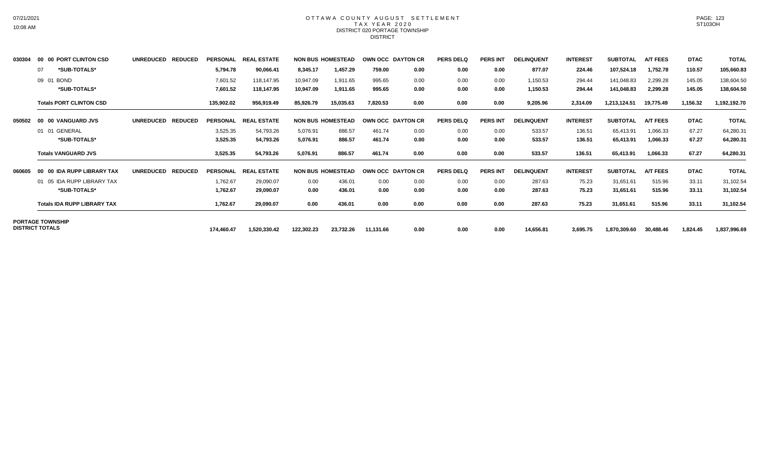#### OTTAWA COUNTY AUGUST SETTLEMENT T A X Y E A R 2 0 2 0 DISTRICT 020 PORTAGE TOWNSHIP **DISTRICT**

| 030304 | 00 00 PORT CLINTON CSD             | <b>UNREDUCED</b><br><b>REDUCED</b> | PERSONAL        | <b>REAL ESTATE</b> |            | <b>NON BUS HOMESTEAD</b> | OWN OCC DAYTON CR |      | <b>PERS DELQ</b> | <b>PERS INT</b> | <b>DELINQUENT</b> | <b>INTEREST</b> | <b>SUBTOTAL</b> | <b>A/T FEES</b> | <b>DTAC</b> | <b>TOTAL</b> |
|--------|------------------------------------|------------------------------------|-----------------|--------------------|------------|--------------------------|-------------------|------|------------------|-----------------|-------------------|-----------------|-----------------|-----------------|-------------|--------------|
|        | *SUB-TOTALS*<br>07                 |                                    | 5,794.78        | 90,066.41          | 8,345.17   | 1,457.29                 | 759.00            | 0.00 | 0.00             | 0.00            | 877.07            | 224.46          | 107,524.18      | 1,752.78        | 110.57      | 105,660.83   |
|        | 09 01 BOND                         |                                    | 7,601.52        | 118,147.95         | 10,947.09  | 1,911.65                 | 995.65            | 0.00 | 0.00             | 0.00            | 1,150.53          | 294.44          | 141,048.83      | 2,299.28        | 145.05      | 138,604.50   |
|        | *SUB-TOTALS*                       |                                    | 7,601.52        | 118,147.95         | 10,947.09  | 1,911.65                 | 995.65            | 0.00 | 0.00             | 0.00            | 1,150.53          | 294.44          | 141,048.83      | 2,299.28        | 145.05      | 138,604.50   |
|        | <b>Totals PORT CLINTON CSD</b>     |                                    | 135,902.02      | 956,919.49         | 85,926.79  | 15,035.63                | 7,820.53          | 0.00 | 0.00             | 0.00            | 9,205.96          | 2,314.09        | 1,213,124.51    | 19,775.49       | 1,156.32    | 1,192,192.70 |
| 050502 | 00 00 VANGUARD JVS                 | <b>UNREDUCED</b><br><b>REDUCED</b> | <b>PERSONAL</b> | <b>REAL ESTATE</b> |            | <b>NON BUS HOMESTEAD</b> | OWN OCC DAYTON CR |      | <b>PERS DELQ</b> | <b>PERS INT</b> | <b>DELINQUENT</b> | <b>INTEREST</b> | <b>SUBTOTAL</b> | <b>A/T FEES</b> | <b>DTAC</b> | <b>TOTAL</b> |
|        | 01 01 GENERAL                      |                                    | 3,525.35        | 54,793.26          | 5,076.91   | 886.57                   | 461.74            | 0.00 | 0.00             | 0.00            | 533.57            | 136.51          | 65,413.91       | 1,066.33        | 67.27       | 64,280.31    |
|        | *SUB-TOTALS*                       |                                    | 3,525.35        | 54,793.26          | 5,076.91   | 886.57                   | 461.74            | 0.00 | 0.00             | 0.00            | 533.57            | 136.51          | 65,413.91       | 1,066.33        | 67.27       | 64,280.31    |
|        | <b>Totals VANGUARD JVS</b>         |                                    | 3,525.35        | 54,793.26          | 5,076.91   | 886.57                   | 461.74            | 0.00 | 0.00             | 0.00            | 533.57            | 136.51          | 65,413.91       | 1,066.33        | 67.27       | 64,280.31    |
| 060605 | 00 IDA RUPP LIBRARY TAX<br>00      | <b>UNREDUCED</b><br><b>REDUCED</b> | <b>PERSONAL</b> | <b>REAL ESTATE</b> |            | <b>NON BUS HOMESTEAD</b> | OWN OCC DAYTON CR |      | <b>PERS DELQ</b> | <b>PERS INT</b> | <b>DELINQUENT</b> | <b>INTEREST</b> | <b>SUBTOTAL</b> | <b>A/T FEES</b> | <b>DTAC</b> | <b>TOTAL</b> |
|        | 01 05 IDA RUPP LIBRARY TAX         |                                    | 1,762.67        | 29,090.07          | 0.00       | 436.01                   | 0.00              | 0.00 | 0.00             | 0.00            | 287.63            | 75.23           | 31,651.61       | 515.96          | 33.11       | 31,102.54    |
|        | *SUB-TOTALS*                       |                                    | 1,762.67        | 29,090.07          | 0.00       | 436.01                   | 0.00              | 0.00 | 0.00             | 0.00            | 287.63            | 75.23           | 31,651.61       | 515.96          | 33.11       | 31,102.54    |
|        | <b>Totals IDA RUPP LIBRARY TAX</b> |                                    | 1,762.67        | 29,090.07          | 0.00       | 436.01                   | 0.00              | 0.00 | 0.00             | 0.00            | 287.63            | 75.23           | 31,651.61       | 515.96          | 33.11       | 31,102.54    |
|        | <b>PORTAGE TOWNSHIP</b>            |                                    |                 |                    |            |                          |                   |      |                  |                 |                   |                 |                 |                 |             |              |
|        | <b>DISTRICT TOTALS</b>             |                                    | 174,460.47      | 1,520,330.42       | 122,302.23 | 23,732.26                | 11,131.66         | 0.00 | 0.00             | 0.00            | 14,656.81         | 3,695.75        | 1,870,309.60    | 30,488.46       | 1,824.45    | 1,837,996.69 |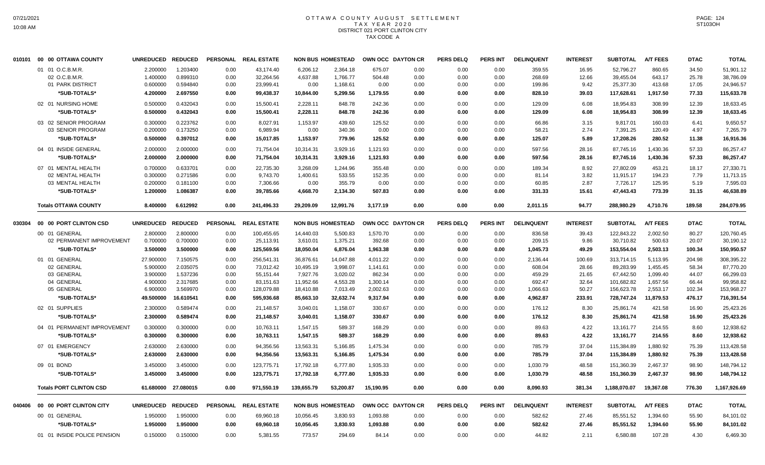# OTTAWA COUNTY AUGUST SETTLEMENT T A X Y E A R 2 0 2 0 DISTRICT 021 PORT CLINTON CITY TAX CODE A

|        | 010101 00 00 OTTAWA COUNTY     | <b>UNREDUCED</b> | <b>REDUCED</b> | <b>PERSONAL</b> | <b>REAL ESTATE</b>   |            | <b>NON BUS HOMESTEAD</b> |           | OWN OCC DAYTON CR | <b>PERS DELQ</b> | <b>PERS INT</b> | <b>DELINQUENT</b> | <b>INTEREST</b> | <b>SUBTOTAL</b> | <b>A/T FEES</b> | <b>DTAC</b> | <b>TOTAL</b> |
|--------|--------------------------------|------------------|----------------|-----------------|----------------------|------------|--------------------------|-----------|-------------------|------------------|-----------------|-------------------|-----------------|-----------------|-----------------|-------------|--------------|
|        | 01 01 O.C.B.M.R.               | 2.200000         | 1.203400       | 0.00            | 43.174.40            | 6,206.12   | 2,364.18                 | 675.07    | 0.00              | 0.00             | 0.00            | 359.55            | 16.95           | 52,796.27       | 860.65          | 34.50       | 51,901.12    |
|        | 02 O.C.B.M.R.                  | 1.400000         | 0.899310       | 0.00            | 32,264.56            | 4,637.88   | 1,766.77                 | 504.48    | 0.00              | 0.00             | 0.00            | 268.69            | 12.66           | 39,455.04       | 643.17          | 25.78       | 38,786.09    |
|        | 01 PARK DISTRICT               | 0.600000         | 0.594840       | 0.00            | 23,999.41            | 0.00       | 1,168.61                 | 0.00      | 0.00              | 0.00             | 0.00            | 199.86            | 9.42            | 25,377.30       | 413.68          | 17.05       | 24,946.57    |
|        | *SUB-TOTALS*                   | 4.200000         | 2.697550       | 0.00            | 99,438.37            | 10,844.00  | 5,299.56                 | 1,179.55  | 0.00              | 0.00             | 0.00            | 828.10            | 39.03           | 117,628.61      | 1,917.50        | 77.33       | 115,633.78   |
|        | 02 01 NURSING HOME             | 0.500000         | 0.432043       | 0.00            | 15,500.41            | 2,228.11   | 848.78                   | 242.36    | 0.00              | 0.00             | 0.00            | 129.09            | 6.08            | 18,954.83       | 308.99          | 12.39       | 18,633.45    |
|        | *SUB-TOTALS*                   | 0.500000         | 0.432043       | 0.00            | 15,500.41            | 2,228.11   | 848.78                   | 242.36    | 0.00              | 0.00             | 0.00            | 129.09            | 6.08            | 18,954.83       | 308.99          | 12.39       | 18,633.45    |
|        | 03 02 SENIOR PROGRAM           | 0.300000         | 0.223762       | 0.00            | 8,027.91             | 1,153.97   | 439.60                   | 125.52    | 0.00              | 0.00             | 0.00            | 66.86             | 3.15            | 9,817.01        | 160.03          | 6.41        | 9,650.57     |
|        | 03 SENIOR PROGRAM              | 0.200000         | 0.173250       | 0.00            | 6,989.94             | 0.00       | 340.36                   | 0.00      | 0.00              | 0.00             | 0.00            | 58.21             | 2.74            | 7,391.25        | 120.49          | 4.97        | 7,265.79     |
|        | *SUB-TOTALS*                   | 0.500000         | 0.397012       | 0.00            | 15,017.85            | 1,153.97   | 779.96                   | 125.52    | 0.00              | 0.00             | 0.00            | 125.07            | 5.89            | 17,208.26       | 280.52          | 11.38       | 16,916.36    |
|        |                                |                  |                |                 |                      |            |                          |           |                   |                  |                 |                   |                 |                 |                 |             |              |
|        | 04 01 INSIDE GENERAL           | 2.000000         | 2.000000       | 0.00            | 71,754.04            | 10,314.31  | 3,929.16                 | 1,121.93  | 0.00              | 0.00             | 0.00            | 597.56            | 28.16           | 87,745.16       | 1,430.36        | 57.33       | 86,257.47    |
|        | *SUB-TOTALS*                   | 2.000000         | 2.000000       | 0.00            | 71,754.04            | 10,314.31  | 3,929.16                 | 1,121.93  | 0.00              | 0.00             | 0.00            | 597.56            | 28.16           | 87,745.16       | 1,430.36        | 57.33       | 86,257.47    |
|        | 07 01 MENTAL HEALTH            | 0.700000         | 0.633701       | 0.00            | 22,735.30            | 3,268.09   | 1,244.96                 | 355.48    | 0.00              | 0.00             | 0.00            | 189.34            | 8.92            | 27,802.09       | 453.21          | 18.17       | 27,330.71    |
|        | 02 MENTAL HEALTH               | 0.300000         | 0.271586       | 0.00            | 9,743.70             | 1,400.61   | 533.55                   | 152.35    | 0.00              | 0.00             | 0.00            | 81.14             | 3.82            | 11,915.17       | 194.23          | 7.79        | 11,713.15    |
|        | 03 MENTAL HEALTH               | 0.200000         | 0.181100       | 0.00            | 7,306.66             | 0.00       | 355.79                   | 0.00      | 0.00              | 0.00             | 0.00            | 60.85             | 2.87            | 7,726.17        | 125.95          | 5.19        | 7,595.03     |
|        | *SUB-TOTALS*                   | 1.200000         | 1.086387       | 0.00            | 39,785.66            | 4,668.70   | 2,134.30                 | 507.83    | 0.00              | 0.00             | 0.00            | 331.33            | 15.61           | 47,443.43       | 773.39          | 31.15       | 46,638.89    |
|        | <b>Totals OTTAWA COUNTY</b>    | 8.400000         | 6.612992       | 0.00            | 241,496.33           | 29,209.09  | 12,991.76                | 3,177.19  | 0.00              | 0.00             | 0.00            | 2,011.15          | 94.77           | 288,980.29      | 4,710.76        | 189.58      | 284,079.95   |
| 030304 | 00 00 PORT CLINTON CSD         | <b>UNREDUCED</b> | <b>REDUCED</b> | <b>PERSONAL</b> | <b>REAL ESTATE</b>   |            | <b>NON BUS HOMESTEAD</b> |           | OWN OCC DAYTON CR | <b>PERS DELQ</b> | <b>PERS INT</b> | <b>DELINQUENT</b> | <b>INTEREST</b> | <b>SUBTOTAL</b> | <b>A/T FEES</b> | <b>DTAC</b> | <b>TOTAL</b> |
|        | 00 01 GENERAL                  | 2.800000         | 2.800000       | 0.00            | 100,455.65           | 14,440.03  | 5,500.83                 | 1,570.70  | 0.00              | 0.00             | 0.00            | 836.58            | 39.43           | 122,843.22      | 2,002.50        | 80.27       | 120,760.45   |
|        | 02 PERMANENT IMPROVEMENT       | 0.700000         | 0.700000       | 0.00            | 25,113.91            | 3,610.01   | 1,375.21                 | 392.68    | 0.00              | 0.00             | 0.00            | 209.15            | 9.86            | 30,710.82       | 500.63          | 20.07       | 30,190.12    |
|        | *SUB-TOTALS*                   | 3.500000         | 3.500000       | 0.00            | 125,569.56           | 18,050.04  | 6,876.04                 | 1,963.38  | 0.00              | 0.00             | 0.00            | 1,045.73          | 49.29           | 153.554.04      | 2.503.13        | 100.34      | 150,950.57   |
|        | 01 01 GENERAL                  | 27.900000        | 7.150575       | 0.00            | 256,541.31           | 36,876.61  | 14,047.88                | 4,011.22  | 0.00              | 0.00             | 0.00            | 2,136.44          | 100.69          | 313,714.15      | 5,113.95        | 204.98      | 308,395.22   |
|        | 02 GENERAL                     | 5.900000         | 2.035075       | 0.00            | 73,012.42            | 10,495.19  | 3,998.07                 | 1,141.61  | 0.00              | 0.00             | 0.00            | 608.04            | 28.66           | 89,283.99       | 1,455.45        | 58.34       | 87,770.20    |
|        | 03 GENERAL                     | 3.900000         | 1.537236       | 0.00            | 55,151.44            | 7,927.76   | 3,020.02                 | 862.34    | 0.00              | 0.00             | 0.00            | 459.29            | 21.65           | 67,442.50       | 1,099.40        | 44.07       | 66,299.03    |
|        | 04 GENERAL                     | 4.900000         | 2.317685       | 0.00            | 83,151.63            | 11,952.66  | 4,553.28                 | 1,300.14  | 0.00              | 0.00             | 0.00            | 692.47            | 32.64           | 101,682.82      | 1,657.56        | 66.44       | 99,958.82    |
|        | 05 GENERAL                     | 6.900000         | 3.569970       | 0.00            | 128,079.88           | 18,410.88  | 7,013.49                 | 2,002.63  | 0.00              | 0.00             | 0.00            | 1,066.63          | 50.27           | 156,623.78      | 2,553.17        | 102.34      | 153,968.27   |
|        | *SUB-TOTALS*                   | 49.500000        | 16.610541      | 0.00            | 595,936.68           | 85,663.10  | 32,632.74                | 9,317.94  | 0.00              | 0.00             | 0.00            | 4,962.87          | 233.91          | 728,747.24      | 11,879.53       | 476.17      | 716,391.54   |
|        | 02 01 SUPPLIES                 | 2.300000         | 0.589474       | 0.00            | 21,148.57            | 3,040.01   | 1,158.07                 | 330.67    | 0.00              | 0.00             | 0.00            | 176.12            | 8.30            | 25,861.74       | 421.58          | 16.90       | 25,423.26    |
|        | *SUB-TOTALS*                   | 2.300000         | 0.589474       | 0.00            | 21,148.57            | 3,040.01   | 1,158.07                 | 330.67    | 0.00              | 0.00             | 0.00            | 176.12            | 8.30            | 25,861.74       | 421.58          | 16.90       | 25,423.26    |
|        | 04 01 PERMANENT IMPROVEMENT    | 0.300000         | 0.300000       | 0.00            | 10,763.11            | 1,547.15   | 589.37                   | 168.29    | 0.00              | 0.00             | 0.00            | 89.63             | 4.22            | 13,161.77       | 214.55          | 8.60        | 12,938.62    |
|        | *SUB-TOTALS*                   | 0.300000         | 0.300000       | 0.00            | 10,763.11            | 1,547.15   | 589.37                   | 168.29    | 0.00              | 0.00             | 0.00            | 89.63             | 4.22            | 13,161.77       | 214.55          | 8.60        | 12,938.62    |
|        | 07 01 EMERGENCY                | 2.630000         | 2.630000       | 0.00            | 94,356.56            | 13,563.31  | 5,166.85                 | 1,475.34  | 0.00              | 0.00             | 0.00            | 785.79            | 37.04           | 115,384.89      | 1,880.92        | 75.39       | 113,428.58   |
|        |                                |                  |                |                 |                      |            |                          |           |                   |                  |                 |                   |                 |                 |                 |             |              |
|        | *SUB-TOTALS*                   | 2.630000         | 2.630000       | 0.00            | 94,356.56            | 13,563.31  | 5,166.85                 | 1,475.34  | 0.00              | 0.00             | 0.00            | 785.79            | 37.04           | 115,384.89      | 1,880.92        | 75.39       | 113,428.58   |
|        | 09 01 BOND                     | 3.450000         | 3.450000       | 0.00            | 123,775.71           | 17,792.18  | 6,777.80                 | 1,935.33  | 0.00              | 0.00             | 0.00            | 1,030.79          | 48.58           | 151,360.39      | 2,467.37        | 98.90       | 148,794.12   |
|        | *SUB-TOTALS*                   | 3.450000         | 3.450000       | 0.00            | 123,775.71           | 17,792.18  | 6,777.80                 | 1,935.33  | 0.00              | 0.00             | 0.00            | 1,030.79          | 48.58           | 151,360.39      | 2,467.37        | 98.90       | 148,794.12   |
|        | <b>Totals PORT CLINTON CSD</b> | 61.680000        | 27.080015      | 0.00            | 971,550.19           | 139,655.79 | 53,200.87                | 15,190.95 | 0.00              | 0.00             | 0.00            | 8,090.93          | 381.34          | 1,188,070.07    | 19,367.08       | 776.30      | 1,167,926.69 |
| 040406 | 00 00 PORT CLINTON CITY        | <b>UNREDUCED</b> | <b>REDUCED</b> |                 | PERSONAL REAL ESTATE |            | <b>NON BUS HOMESTEAD</b> |           | OWN OCC DAYTON CR | <b>PERS DELQ</b> | <b>PERS INT</b> | <b>DELINQUENT</b> | <b>INTEREST</b> | <b>SUBTOTAL</b> | <b>A/T FEES</b> | <b>DTAC</b> | <b>TOTAL</b> |
|        | 00 01 GENERAL                  | 1.950000         | 1.950000       | 0.00            | 69,960.18            | 10,056.45  | 3,830.93                 | 1,093.88  | 0.00              | 0.00             | 0.00            | 582.62            | 27.46           | 85,551.52       | 1,394.60        | 55.90       | 84,101.02    |
|        | *SUB-TOTALS*                   | 1.950000         | 1.950000       | 0.00            | 69,960.18            | 10,056.45  | 3,830.93                 | 1,093.88  | 0.00              | 0.00             | 0.00            | 582.62            | 27.46           | 85,551.52       | 1,394.60        | 55.90       | 84,101.02    |
|        | 01 01 INSIDE POLICE PENSION    | 0.150000         | 0.150000       | 0.00            | 5,381.55             | 773.57     | 294.69                   | 84.14     | 0.00              | 0.00             | 0.00            | 44.82             | 2.11            | 6.580.88        | 107.28          | 4.30        | 6,469.30     |
|        |                                |                  |                |                 |                      |            |                          |           |                   |                  |                 |                   |                 |                 |                 |             |              |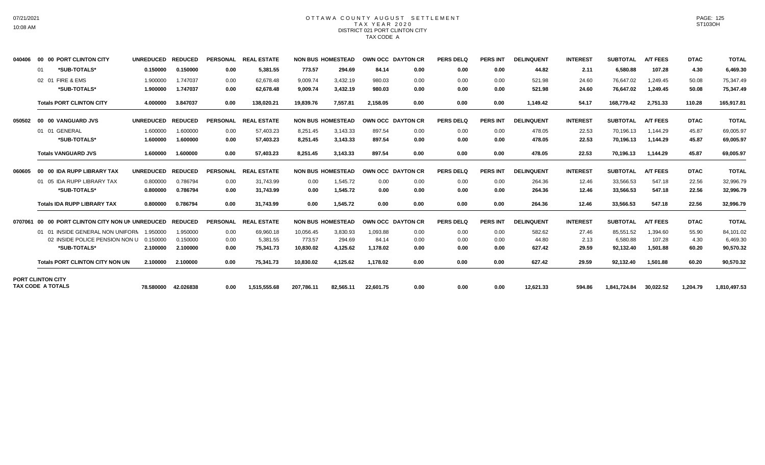### OTTAWA COUNTY AUGUST SETTLEMENT T A X Y E A R 2 0 2 0 DISTRICT 021 PORT CLINTON CITY TAX CODE A

| 040406  | 00 00 PORT CLINTON CITY                              | <b>UNREDUCED</b> | <b>REDUCED</b> | <b>PERSONAL</b> | <b>REAL ESTATE</b> |            | <b>NON BUS HOMESTEAD</b> | OWN OCC DAYTON CR |      | <b>PERS DELO</b> | <b>PERS INT</b> | <b>DELINQUENT</b> | <b>INTEREST</b> | <b>SUBTOTAL</b> | <b>A/T FEES</b> | <b>DTAC</b> | <b>TOTAL</b> |
|---------|------------------------------------------------------|------------------|----------------|-----------------|--------------------|------------|--------------------------|-------------------|------|------------------|-----------------|-------------------|-----------------|-----------------|-----------------|-------------|--------------|
|         | *SUB-TOTALS*<br>01                                   | 0.150000         | 0.150000       | 0.00            | 5,381.55           | 773.57     | 294.69                   | 84.14             | 0.00 | 0.00             | 0.00            | 44.82             | 2.11            | 6,580.88        | 107.28          | 4.30        | 6,469.30     |
|         | 02 01 FIRE & EMS                                     | 1.900000         | 1.747037       | 0.00            | 62.678.48          | 9,009.74   | 3,432.19                 | 980.03            | 0.00 | 0.00             | 0.00            | 521.98            | 24.60           | 76.647.02       | 1.249.45        | 50.08       | 75,347.49    |
|         | *SUB-TOTALS*                                         | 1.900000         | 1.747037       | 0.00            | 62,678.48          | 9,009.74   | 3,432.19                 | 980.03            | 0.00 | 0.00             | 0.00            | 521.98            | 24.60           | 76,647.02       | 1,249.45        | 50.08       | 75,347.49    |
|         | <b>Totals PORT CLINTON CITY</b>                      | 4.000000         | 3.847037       | 0.00            | 138,020.21         | 19,839.76  | 7,557.81                 | 2.158.05          | 0.00 | 0.00             | 0.00            | 1,149.42          | 54.17           | 168.779.42      | 2,751.33        | 110.28      | 165,917.81   |
| 050502  | 00 00 VANGUARD JVS                                   | <b>UNREDUCED</b> | <b>REDUCED</b> | <b>PERSONAL</b> | <b>REAL ESTATE</b> |            | <b>NON BUS HOMESTEAD</b> | OWN OCC DAYTON CR |      | <b>PERS DELQ</b> | <b>PERS INT</b> | <b>DELINQUENT</b> | <b>INTEREST</b> | <b>SUBTOTAL</b> | <b>A/T FEES</b> | <b>DTAC</b> | <b>TOTAL</b> |
|         | 01 01 GENERAL                                        | 1.600000         | 1.600000       | 0.00            | 57,403.23          | 8,251.45   | 3.143.33                 | 897.54            | 0.00 | 0.00             | 0.00            | 478.05            | 22.53           | 70,196.13       | 1.144.29        | 45.87       | 69,005.97    |
|         | *SUB-TOTALS*                                         | 1.600000         | 1.600000       | 0.00            | 57.403.23          | 8.251.45   | 3,143.33                 | 897.54            | 0.00 | 0.00             | 0.00            | 478.05            | 22.53           | 70,196.13       | 1.144.29        | 45.87       | 69,005.97    |
|         | <b>Totals VANGUARD JVS</b>                           | 1.600000         | 1.600000       | 0.00            | 57,403.23          | 8.251.45   | 3,143.33                 | 897.54            | 0.00 | 0.00             | 0.00            | 478.05            | 22.53           | 70.196.13       | 1.144.29        | 45.87       | 69,005.97    |
| 060605  | 00 00 IDA RUPP LIBRARY TAX                           | <b>UNREDUCED</b> | <b>REDUCED</b> | <b>PERSONAL</b> | <b>REAL ESTATE</b> |            | <b>NON BUS HOMESTEAD</b> | OWN OCC DAYTON CR |      | <b>PERS DELO</b> | <b>PERS INT</b> | <b>DELINQUENT</b> | <b>INTEREST</b> | <b>SUBTOTAL</b> | <b>A/T FEES</b> | <b>DTAC</b> | <b>TOTAL</b> |
|         | 01 05 IDA RUPP LIBRARY TAX                           | 0.800000         | 0.786794       | 0.00            | 31.743.99          | 0.00       | 1.545.72                 | 0.00              | 0.00 | 0.00             | 0.00            | 264.36            | 12.46           | 33,566.53       | 547.18          | 22.56       | 32,996.79    |
|         | *SUB-TOTALS*                                         | 0.800000         | 0.786794       | 0.00            | 31,743.99          | 0.00       | 1,545.72                 | 0.00              | 0.00 | 0.00             | 0.00            | 264.36            | 12.46           | 33,566.53       | 547.18          | 22.56       | 32,996.79    |
|         | <b>Totals IDA RUPP LIBRARY TAX</b>                   | 0.800000         | 0.786794       | 0.00            | 31.743.99          | 0.00       | 1.545.72                 | 0.00              | 0.00 | 0.00             | 0.00            | 264.36            | 12.46           | 33.566.53       | 547.18          | 22.56       | 32,996.79    |
| 0707061 | 00 00 PORT CLINTON CITY NON UN UNREDUCED             |                  | <b>REDUCED</b> | <b>PERSONAL</b> | <b>REAL ESTATE</b> |            | <b>NON BUS HOMESTEAD</b> | OWN OCC DAYTON CR |      | <b>PERS DELQ</b> | <b>PERS INT</b> | <b>DELINQUENT</b> | <b>INTEREST</b> | <b>SUBTOTAL</b> | <b>A/T FEES</b> | <b>DTAC</b> | <b>TOTAL</b> |
|         | 01 01 INSIDE GENERAL NON UNIFORN 1.950000            |                  | 1.950000       | 0.00            | 69,960.18          | 10,056.45  | 3,830.93                 | 1,093.88          | 0.00 | 0.00             | 0.00            | 582.62            | 27.46           | 85,551.52       | 1.394.60        | 55.90       | 84,101.02    |
|         | 02 INSIDE POLICE PENSION NON U                       | 0.150000         | 0.150000       | 0.00            | 5,381.55           | 773.57     | 294.69                   | 84.14             | 0.00 | 0.00             | 0.00            | 44.80             | 2.13            | 6,580.88        | 107.28          | 4.30        | 6,469.30     |
|         | *SUB-TOTALS*                                         | 2.100000         | 2.100000       | 0.00            | 75,341.73          | 10,830.02  | 4,125.62                 | 1,178.02          | 0.00 | 0.00             | 0.00            | 627.42            | 29.59           | 92,132.40       | 1,501.88        | 60.20       | 90,570.32    |
|         | <b>Totals PORT CLINTON CITY NON UN</b>               | 2.100000         | 2.100000       | 0.00            | 75.341.73          | 10.830.02  | 4.125.62                 | 1.178.02          | 0.00 | 0.00             | 0.00            | 627.42            | 29.59           | 92.132.40       | 1,501.88        | 60.20       | 90,570.32    |
|         | <b>PORT CLINTON CITY</b><br><b>TAX CODE A TOTALS</b> | 78,580000        | 42.026838      | 0.00            | 1.515.555.68       | 207.786.11 | 82.565.11                | 22.601.75         | 0.00 | 0.00             | 0.00            | 12.621.33         | 594.86          | 1.841.724.84    | 30.022.52       | 1,204.79    | 1,810,497.53 |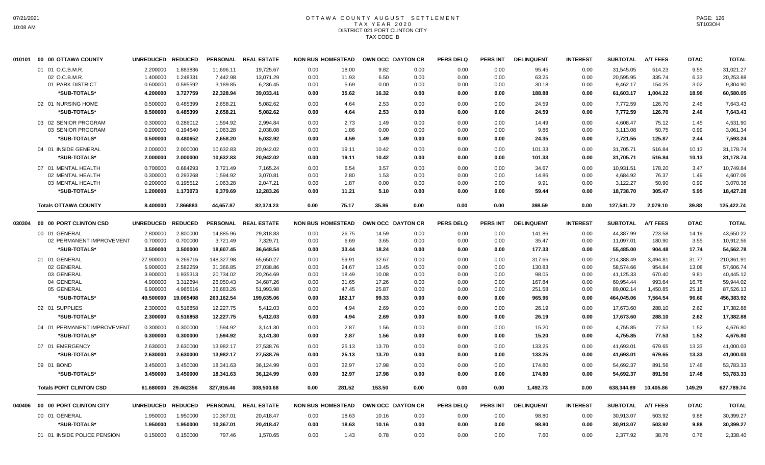# OTTAWA COUNTY AUGUST SETTLEMENT T A X Y E A R 2 0 2 0 DISTRICT 021 PORT CLINTON CITY TAX CODE B

| 010101 | 00 00 OTTAWA COUNTY            | <b>UNREDUCED</b> | <b>REDUCED</b> | <b>PERSONAL</b> | <b>REAL ESTATE</b>   | <b>NON BUS HOMESTEAD</b> |        |        | OWN OCC DAYTON CR | <b>PERS DELQ</b> | PERS INT        | <b>DELINQUENT</b> | <b>INTEREST</b> | <b>SUBTOTAL</b> | <b>A/T FEES</b> | <b>DTAC</b> | <b>TOTAL</b> |
|--------|--------------------------------|------------------|----------------|-----------------|----------------------|--------------------------|--------|--------|-------------------|------------------|-----------------|-------------------|-----------------|-----------------|-----------------|-------------|--------------|
|        | 01 01 O.C.B.M.R                | 2.200000         | 1.883836       | 11,696.11       | 19,725.67            | 0.00                     | 18.00  | 9.82   | 0.00              | 0.00             | 0.00            | 95.45             | 0.00            | 31,545.05       | 514.23          | 9.55        | 31,021.27    |
|        | 02 O.C.B.M.R                   | 1.400000         | 1.248331       | 7,442.98        | 13,071.29            | 0.00                     | 11.93  | 6.50   | 0.00              | 0.00             | 0.00            | 63.25             | 0.00            | 20,595.95       | 335.74          | 6.33        | 20,253.88    |
|        | 01 PARK DISTRICT               | 0.600000         | 0.595592       | 3,189.85        | 6,236.45             | 0.00                     | 5.69   | 0.00   | 0.00              | 0.00             | 0.00            | 30.18             | 0.00            | 9,462.17        | 154.25          | 3.02        | 9,304.90     |
|        | *SUB-TOTALS*                   | 4.200000         | 3.727759       | 22,328.94       | 39,033.41            | 0.00                     | 35.62  | 16.32  | 0.00              | 0.00             | 0.00            | 188.88            | 0.00            | 61,603.17       | 1,004.22        | 18.90       | 60,580.05    |
|        | 02 01 NURSING HOME             | 0.500000         | 0.485399       | 2,658.21        | 5,082.62             | 0.00                     | 4.64   | 2.53   | 0.00              | 0.00             | 0.00            | 24.59             | 0.00            | 7,772.59        | 126.70          | 2.46        | 7,643.43     |
|        | *SUB-TOTALS*                   | 0.500000         | 0.485399       | 2,658.21        | 5,082.62             | 0.00                     | 4.64   | 2.53   | 0.00              | 0.00             | 0.00            | 24.59             | 0.00            | 7,772.59        | 126.70          | 2.46        | 7,643.43     |
|        | 03 02 SENIOR PROGRAM           | 0.300000         | 0.286012       | 1,594.92        | 2,994.84             | 0.00                     | 2.73   | 1.49   | 0.00              | 0.00             | 0.00            | 14.49             | 0.00            | 4,608.47        | 75.12           | 1.45        | 4,531.90     |
|        | 03 SENIOR PROGRAM              | 0.200000         | 0.194640       | 1,063.28        | 2,038.08             | 0.00                     | 1.86   | 0.00   | 0.00              | 0.00             | 0.00            | 9.86              | 0.00            | 3,113.08        | 50.75           | 0.99        | 3,061.34     |
|        | *SUB-TOTALS*                   | 0.500000         | 0.480652       | 2,658.20        | 5,032.92             | 0.00                     | 4.59   | 1.49   | 0.00              | 0.00             | 0.00            | 24.35             | 0.00            | 7,721.55        | 125.87          | 2.44        | 7,593.24     |
|        | 04 01 INSIDE GENERAL           | 2.000000         | 2.000000       | 10,632.83       | 20,942.02            | 0.00                     | 19.11  | 10.42  | 0.00              | 0.00             | 0.00            | 101.33            | 0.00            | 31,705.71       | 516.84          | 10.13       | 31,178.74    |
|        | *SUB-TOTALS*                   | 2.000000         | 2.000000       | 10,632.83       | 20,942.02            | 0.00                     | 19.11  | 10.42  | 0.00              | 0.00             | 0.00            | 101.33            | 0.00            | 31,705.71       | 516.84          | 10.13       | 31,178.74    |
|        | 07 01 MENTAL HEALTH            | 0.700000         | 0.684293       | 3.721.49        | 7,165.24             | 0.00                     | 6.54   | 3.57   | 0.00              | 0.00             | 0.00            | 34.67             | 0.00            | 10.931.51       | 178.20          | 3.47        | 10,749.84    |
|        | 02 MENTAL HEALTH               | 0.300000         | 0.293268       | 1,594.92        | 3,070.81             | 0.00                     | 2.80   | 1.53   | 0.00              | 0.00             | 0.00            | 14.86             | 0.00            | 4,684.92        | 76.37           | 1.49        | 4,607.06     |
|        | 03 MENTAL HEALTH               | 0.200000         | 0.195512       | 1,063.28        | 2,047.21             | 0.00                     | 1.87   | 0.00   | 0.00              | 0.00             | 0.00            | 9.91              | 0.00            | 3,122.27        | 50.90           | 0.99        | 3,070.38     |
|        | *SUB-TOTALS*                   | 1.200000         | 1.173073       | 6,379.69        | 12,283.26            | 0.00                     | 11.21  | 5.10   | 0.00              | 0.00             | 0.00            | 59.44             | 0.00            | 18,738.70       | 305.47          | 5.95        | 18,427.28    |
|        | <b>Totals OTTAWA COUNTY</b>    | 8.400000         | 7.866883       | 44,657.87       | 82,374.23            | 0.00                     | 75.17  | 35.86  | 0.00              | 0.00             | 0.00            | 398.59            | 0.00            | 127,541.72      | 2,079.10        | 39.88       | 125,422.74   |
| 030304 | 00 00 PORT CLINTON CSD         | <b>UNREDUCED</b> | <b>REDUCED</b> |                 | PERSONAL REAL ESTATE | <b>NON BUS HOMESTEAD</b> |        |        | OWN OCC DAYTON CR | <b>PERS DELQ</b> | <b>PERS INT</b> | <b>DELINQUENT</b> | <b>INTEREST</b> | <b>SUBTOTAL</b> | <b>A/T FEES</b> | <b>DTAC</b> | <b>TOTAL</b> |
|        | 00 01 GENERAL                  | 2.800000         | 2.800000       | 14,885.96       | 29,318.83            | 0.00                     | 26.75  | 14.59  | 0.00              | 0.00             | 0.00            | 141.86            | 0.00            | 44,387.99       | 723.58          | 14.19       | 43,650.22    |
|        | 02 PERMANENT IMPROVEMENT       | 0.700000         | 0.700000       | 3,721.49        | 7,329.71             | 0.00                     | 6.69   | 3.65   | 0.00              | 0.00             | 0.00            | 35.47             | 0.00            | 11,097.01       | 180.90          | 3.55        | 10,912.56    |
|        | *SUB-TOTALS*                   | 3.500000         | 3.500000       | 18,607.45       | 36,648.54            | 0.00                     | 33.44  | 18.24  | 0.00              | 0.00             | 0.00            | 177.33            | 0.00            | 55,485.00       | 904.48          | 17.74       | 54,562.78    |
|        | 01 01 GENERAL                  | 27.900000        | 6.269716       | 148,327.98      | 65,650.27            | 0.00                     | 59.91  | 32.67  | 0.00              | 0.00             | 0.00            | 317.66            | 0.00            | 214,388.49      | 3,494.81        | 31.77       | 210,861.91   |
|        | 02 GENERAL                     | 5.900000         | 2.582259       | 31,366.85       | 27,038.86            | 0.00                     | 24.67  | 13.45  | 0.00              | 0.00             | 0.00            | 130.83            | 0.00            | 58,574.66       | 954.84          | 13.08       | 57,606.74    |
|        | 03 GENERAL                     | 3.900000         | 1.935313       | 20,734.02       | 20,264.69            | 0.00                     | 18.49  | 10.08  | 0.00              | 0.00             | 0.00            | 98.05             | 0.00            | 41,125.33       | 670.40          | 9.81        | 40,445.12    |
|        | 04 GENERAL                     | 4.900000         | 3.312694       | 26,050.43       | 34,687.26            | 0.00                     | 31.65  | 17.26  | 0.00              | 0.00             | 0.00            | 167.84            | 0.00            | 60,954.44       | 993.64          | 16.78       | 59,944.02    |
|        | 05 GENERAL                     | 6.900000         | 4.965516       | 36,683.26       | 51,993.98            | 0.00                     | 47.45  | 25.87  | 0.00              | 0.00             | 0.00            | 251.58            | 0.00            | 89,002.14       | 1,450.85        | 25.16       | 87,526.13    |
|        | *SUB-TOTALS*                   | 49.500000        | 19.065498      | 263,162.54      | 199,635.06           | 0.00                     | 182.17 | 99.33  | 0.00              | 0.00             | 0.00            | 965.96            | 0.00            | 464,045.06      | 7,564.54        | 96.60       | 456,383.92   |
|        | 02 01 SUPPLIES                 | 2.300000         | 0.516858       | 12,227.75       | 5,412.03             | 0.00                     | 4.94   | 2.69   | 0.00              | 0.00             | 0.00            | 26.19             | 0.00            | 17,673.60       | 288.10          | 2.62        | 17,382.88    |
|        | *SUB-TOTALS*                   | 2.300000         | 0.516858       | 12,227.75       | 5,412.03             | 0.00                     | 4.94   | 2.69   | 0.00              | 0.00             | 0.00            | 26.19             | 0.00            | 17,673.60       | 288.10          | 2.62        | 17,382.88    |
|        | 04 01 PERMANENT IMPROVEMENT    | 0.300000         | 0.300000       | 1,594.92        | 3,141.30             | 0.00                     | 2.87   | 1.56   | 0.00              | 0.00             | 0.00            | 15.20             | 0.00            | 4,755.85        | 77.53           | 1.52        | 4,676.80     |
|        | *SUB-TOTALS*                   | 0.300000         | 0.300000       | 1,594.92        | 3,141.30             | 0.00                     | 2.87   | 1.56   | 0.00              | 0.00             | 0.00            | 15.20             | 0.00            | 4,755.85        | 77.53           | 1.52        | 4,676.80     |
|        | 07 01 EMERGENCY                | 2.630000         | 2.630000       | 13,982.17       | 27,538.76            | 0.00                     | 25.13  | 13.70  | 0.00              | 0.00             | 0.00            | 133.25            | 0.00            | 41,693.01       | 679.65          | 13.33       | 41,000.03    |
|        | *SUB-TOTALS*                   | 2.630000         | 2.630000       | 13,982.17       | 27,538.76            | 0.00                     | 25.13  | 13.70  | 0.00              | 0.00             | 0.00            | 133.25            | 0.00            | 41,693.01       | 679.65          | 13.33       | 41,000.03    |
|        | 09 01 BOND                     | 3.450000         | 3.450000       | 18,341.63       | 36,124.99            | 0.00                     | 32.97  | 17.98  | 0.00              | 0.00             | 0.00            | 174.80            | 0.00            | 54,692.37       | 891.56          | 17.48       | 53,783.33    |
|        | *SUB-TOTALS*                   | 3.450000         | 3.450000       | 18,341.63       | 36,124.99            | 0.00                     | 32.97  | 17.98  | 0.00              | 0.00             | 0.00            | 174.80            | 0.00            | 54,692.37       | 891.56          | 17.48       | 53,783.33    |
|        | <b>Totals PORT CLINTON CSD</b> | 61.680000        | 29.462356      | 327,916.46      | 308,500.68           | 0.00                     | 281.52 | 153.50 | 0.00              | 0.00             | 0.00            | 1,492.73          | 0.00            | 638,344.89      | 10,405.86       | 149.29      | 627,789.74   |
| 040406 | 00 00 PORT CLINTON CITY        | <b>UNREDUCED</b> | <b>REDUCED</b> |                 | PERSONAL REAL ESTATE | <b>NON BUS HOMESTEAD</b> |        |        | OWN OCC DAYTON CR | <b>PERS DELQ</b> | <b>PERS INT</b> | <b>DELINQUENT</b> | <b>INTEREST</b> | <b>SUBTOTAL</b> | <b>A/T FEES</b> | <b>DTAC</b> | <b>TOTAL</b> |
|        | 00 01 GENERAL                  | 1.950000         | 1.950000       | 10,367.01       | 20,418.47            | 0.00                     | 18.63  | 10.16  | 0.00              | 0.00             | 0.00            | 98.80             | 0.00            | 30,913.07       | 503.92          | 9.88        | 30,399.27    |
|        | *SUB-TOTALS*                   | 1.950000         | 1.950000       | 10,367.01       | 20,418.47            | 0.00                     | 18.63  | 10.16  | 0.00              | 0.00             | 0.00            | 98.80             | 0.00            | 30,913.07       | 503.92          | 9.88        | 30,399.27    |
|        | 01 01 INSIDE POLICE PENSION    | 0.150000         | 0.150000       | 797.46          | 1,570.65             | 0.00                     | 1.43   | 0.78   | 0.00              | 0.00             | 0.00            | 7.60              | 0.00            | 2,377.92        | 38.76           | 0.76        | 2,338.40     |
|        |                                |                  |                |                 |                      |                          |        |        |                   |                  |                 |                   |                 |                 |                 |             |              |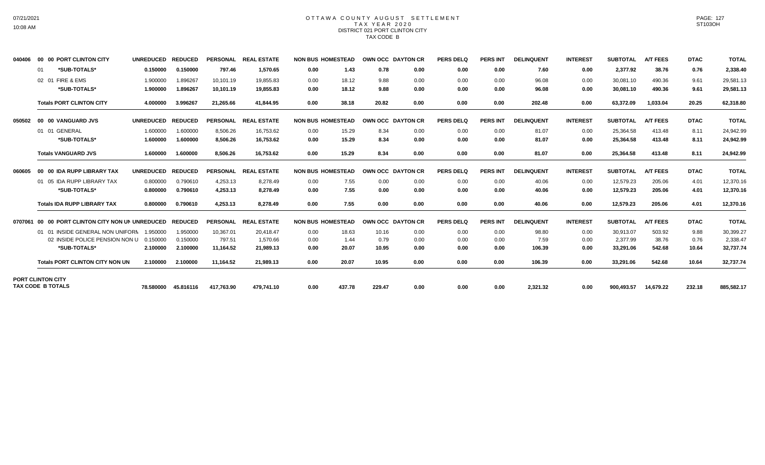### OTTAWA COUNTY AUGUST SETTLEMENT T A X Y E A R 2 0 2 0 DISTRICT 021 PORT CLINTON CITY TAX CODE B

| 040406  | 00 00 PORT CLINTON CITY                              | <b>UNREDUCED</b> | <b>REDUCED</b> | <b>PERSONAL</b> | <b>REAL ESTATE</b> | <b>NON BUS HOMESTEAD</b> |        |        | <b>OWN OCC DAYTON CR</b> | <b>PERS DELQ</b> | <b>PERS INT</b> | <b>DELINQUENT</b> | <b>INTEREST</b> | <b>SUBTOTAL</b> | <b>A/T FEES</b> | <b>DTAC</b> | <b>TOTAL</b> |
|---------|------------------------------------------------------|------------------|----------------|-----------------|--------------------|--------------------------|--------|--------|--------------------------|------------------|-----------------|-------------------|-----------------|-----------------|-----------------|-------------|--------------|
|         | *SUB-TOTALS*<br>01                                   | 0.150000         | 0.150000       | 797.46          | 1.570.65           | 0.00                     | 1.43   | 0.78   | 0.00                     | 0.00             | 0.00            | 7.60              | 0.00            | 2.377.92        | 38.76           | 0.76        | 2,338.40     |
|         | 02 01 FIRE & EMS                                     | 1.900000         | 1.896267       | 10,101.19       | 19,855.83          | 0.00                     | 18.12  | 9.88   | 0.00                     | 0.00             | 0.00            | 96.08             | 0.00            | 30,081.10       | 490.36          | 9.61        | 29,581.13    |
|         | *SUB-TOTALS*                                         | 1.900000         | 1.896267       | 10,101.19       | 19.855.83          | 0.00                     | 18.12  | 9.88   | 0.00                     | 0.00             | 0.00            | 96.08             | 0.00            | 30,081.10       | 490.36          | 9.61        | 29,581.13    |
|         | <b>Totals PORT CLINTON CITY</b>                      | 4.000000         | 3.996267       | 21.265.66       | 41.844.95          | 0.00                     | 38.18  | 20.82  | 0.00                     | 0.00             | 0.00            | 202.48            | 0.00            | 63.372.09       | 1.033.04        | 20.25       | 62,318.80    |
| 050502  | 00 00 VANGUARD JVS                                   | <b>UNREDUCED</b> | <b>REDUCED</b> | <b>PERSONAL</b> | <b>REAL ESTATE</b> | <b>NON BUS HOMESTEAD</b> |        |        | OWN OCC DAYTON CR        | <b>PERS DELO</b> | <b>PERS INT</b> | <b>DELINQUENT</b> | <b>INTEREST</b> | <b>SUBTOTAL</b> | <b>A/T FEES</b> | <b>DTAC</b> | <b>TOTAL</b> |
|         | 01 01 GENERAL                                        | 1.600000         | 1.600000       | 8,506.26        | 16,753.62          | 0.00                     | 15.29  | 8.34   | 0.00                     | 0.00             | 0.00            | 81.07             | 0.00            | 25,364.58       | 413.48          | 8.11        | 24,942.99    |
|         | *SUB-TOTALS*                                         | 1.600000         | 1.600000       | 8.506.26        | 16.753.62          | 0.00                     | 15.29  | 8.34   | 0.00                     | 0.00             | 0.00            | 81.07             | 0.00            | 25,364.58       | 413.48          | 8.11        | 24,942.99    |
|         | <b>Totals VANGUARD JVS</b>                           | 1.600000         | 1.600000       | 8.506.26        | 16.753.62          | 0.00                     | 15.29  | 8.34   | 0.00                     | 0.00             | 0.00            | 81.07             | 0.00            | 25,364.58       | 413.48          | 8.11        | 24,942.99    |
| 060605  | 00 00 IDA RUPP LIBRARY TAX                           | <b>UNREDUCED</b> | <b>REDUCED</b> | <b>PERSONAL</b> | <b>REAL ESTATE</b> | <b>NON BUS HOMESTEAD</b> |        |        | <b>OWN OCC DAYTON CR</b> | <b>PERS DELQ</b> | <b>PERS INT</b> | <b>DELINQUENT</b> | <b>INTEREST</b> | <b>SUBTOTAL</b> | <b>A/T FEES</b> | <b>DTAC</b> | <b>TOTAL</b> |
|         | 01 05 IDA RUPP LIBRARY TAX                           | 0.800000         | 0.790610       | 4.253.13        | 8.278.49           | 0.00                     | 7.55   | 0.00   | 0.00                     | 0.00             | 0.00            | 40.06             | 0.00            | 12.579.23       | 205.06          | 4.01        | 12,370.16    |
|         | *SUB-TOTALS*                                         | 0.800000         | 0.790610       | 4,253.13        | 8,278.49           | 0.00                     | 7.55   | 0.00   | 0.00                     | 0.00             | 0.00            | 40.06             | 0.00            | 12,579.23       | 205.06          | 4.01        | 12,370.16    |
|         | <b>Totals IDA RUPP LIBRARY TAX</b>                   | 0.800000         | 0.790610       | 4,253.13        | 8,278.49           | 0.00                     | 7.55   | 0.00   | 0.00                     | 0.00             | 0.00            | 40.06             | 0.00            | 12,579.23       | 205.06          | 4.01        | 12,370.16    |
| 0707061 | 00 00 PORT CLINTON CITY NON UN UNREDUCED             |                  | <b>REDUCED</b> | <b>PERSONAL</b> | <b>REAL ESTATE</b> | <b>NON BUS HOMESTEAD</b> |        |        | OWN OCC DAYTON CR        | <b>PERS DELQ</b> | <b>PERS INT</b> | <b>DELINQUENT</b> | <b>INTEREST</b> | <b>SUBTOTAL</b> | <b>A/T FEES</b> | <b>DTAC</b> | <b>TOTAL</b> |
|         | 01 01 INSIDE GENERAL NON UNIFORN                     | 1.950000         | 1.950000       | 10.367.01       | 20.418.47          | 0.00                     | 18.63  | 10.16  | 0.00                     | 0.00             | 0.00            | 98.80             | 0.00            | 30.913.07       | 503.92          | 9.88        | 30,399.27    |
|         | 02 INSIDE POLICE PENSION NON U                       | 0.150000         | 0.150000       | 797.51          | 1.570.66           | 0.00                     | 1.44   | 0.79   | 0.00                     | 0.00             | 0.00            | 7.59              | 0.00            | 2,377.99        | 38.76           | 0.76        | 2,338.47     |
|         | *SUB-TOTALS*                                         | 2.100000         | 2.100000       | 11.164.52       | 21,989.13          | 0.00                     | 20.07  | 10.95  | 0.00                     | 0.00             | 0.00            | 106.39            | 0.00            | 33,291.06       | 542.68          | 10.64       | 32,737.74    |
|         | <b>Totals PORT CLINTON CITY NON UN</b>               | 2.100000         | 2.100000       | 11,164.52       | 21.989.13          | 0.00                     | 20.07  | 10.95  | 0.00                     | 0.00             | 0.00            | 106.39            | 0.00            | 33,291.06       | 542.68          | 10.64       | 32,737.74    |
|         | <b>PORT CLINTON CITY</b><br><b>TAX CODE B TOTALS</b> | 78.580000        | 45.816116      | 417,763.90      | 479,741.10         | 0.00                     | 437.78 | 229.47 | 0.00                     | 0.00             | 0.00            | 2,321.32          | 0.00            | 900,493.57      | 14,679.22       | 232.18      | 885,582.17   |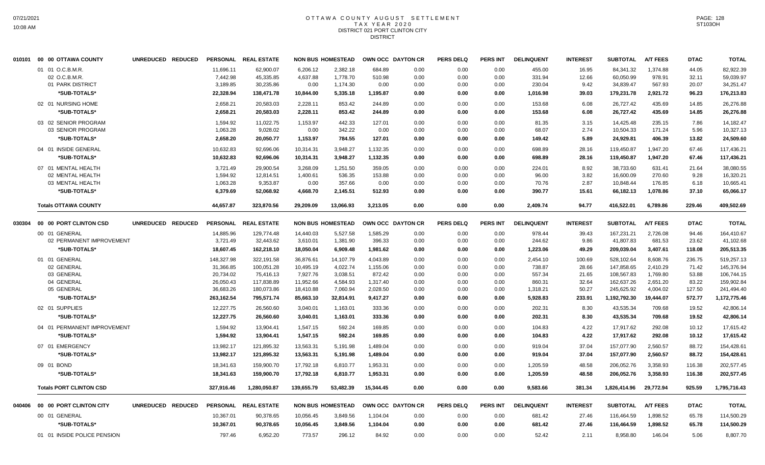## OTTAWA COUNTY AUGUST SETTLEMENT T A X Y E A R 2 0 2 0 DISTRICT 021 PORT CLINTON CITY **DISTRICT**

| 01 01 O.C.B.M.R.<br>11.696.11<br>62,900.07<br>6,206.12<br>2.382.18<br>684.89<br>0.00<br>0.00<br>0.00<br>455.00<br>16.95<br>84,341.32<br>1.374.88<br>44.05<br>82,922.39<br>7,442.98<br>12.66<br>02 O.C.B.M.R.<br>45,335.85<br>4,637.88<br>1,778.70<br>510.98<br>0.00<br>0.00<br>0.00<br>331.94<br>60,050.99<br>978.91<br>32.11<br>59.039.97<br>01 PARK DISTRICT<br>3.189.85<br>30,235.86<br>0.00<br>1,174.30<br>0.00<br>9.42<br>34,839.47<br>567.93<br>20.07<br>34,251.47<br>0.00<br>0.00<br>0.00<br>230.04<br>*SUB-TOTALS*<br>22,328.94<br>138,471.78<br>10,844.00<br>5,335.18<br>1,195.87<br>0.00<br>0.00<br>0.00<br>1,016.98<br>39.03<br>179,231.78<br>2,921.72<br>96.23<br>176,213.83<br>02 01 NURSING HOME<br>2,658.21<br>20,583.03<br>2,228.11<br>853.42<br>244.89<br>0.00<br>0.00<br>153.68<br>6.08<br>26,727.42<br>435.69<br>14.85<br>26,276.88<br>0.00<br>*SUB-TOTALS*<br>2,658.21<br>20,583.03<br>2,228.11<br>853.42<br>244.89<br>0.00<br>0.00<br>0.00<br>153.68<br>6.08<br>26,727.42<br>435.69<br>14.85<br>26,276.88<br>03 02 SENIOR PROGRAM<br>1,594.92<br>11,022.75<br>1,153.97<br>442.33<br>127.01<br>0.00<br>0.00<br>0.00<br>81.35<br>3.15<br>14,425.48<br>235.15<br>7.86<br>14,182.47<br>1,063.28<br>9,028.02<br>0.00<br>342.22<br>0.00<br>2.74<br>10,504.33<br>171.24<br>5.96<br>03 SENIOR PROGRAM<br>0.00<br>0.00<br>0.00<br>68.07<br>10,327.13<br>2,658.20<br>20,050.77<br>1,153.97<br>784.55<br>127.01<br>5.89<br>24,929.81<br>406.39<br>13.82<br>*SUB-TOTALS*<br>0.00<br>0.00<br>0.00<br>149.42<br>24,509.60<br>1,132.35<br>1,947.20<br>04 01 INSIDE GENERAL<br>10,632.83<br>92,696.06<br>10,314.31<br>3,948.27<br>0.00<br>0.00<br>0.00<br>698.89<br>28.16<br>119,450.87<br>67.46<br>117,436.21<br>10,632.83<br>3,948.27<br>1,132.35<br>119,450.87<br>1,947.20<br>67.46<br>*SUB-TOTALS*<br>92,696.06<br>10,314.31<br>0.00<br>0.00<br>0.00<br>698.89<br>28.16<br>117,436.21<br>07 01 MENTAL HEALTH<br>3,721.49<br>29,900.54<br>3,268.09<br>1,251.50<br>359.05<br>0.00<br>0.00<br>0.00<br>224.01<br>8.92<br>38,733.60<br>631.41<br>21.64<br>38,080.55<br>536.35<br>3.82<br>02 MENTAL HEALTH<br>1,594.92<br>1,400.61<br>153.88<br>0.00<br>0.00<br>0.00<br>96.00<br>16,600.09<br>270.60<br>9.28<br>16,320.21<br>12,814.51<br>1,063.28<br>9,353.87<br>0.00<br>357.66<br>2.87<br>176.85<br>03 MENTAL HEALTH<br>0.00<br>0.00<br>0.00<br>0.00<br>70.76<br>10,848.44<br>6.18<br>10,665.41<br>*SUB-TOTALS*<br>6,379.69<br>52,068.92<br>4,668.70<br>2,145.51<br>512.93<br>0.00<br>390.77<br>15.61<br>66,182.13<br>1,078.86<br>37.10<br>0.00<br>0.00<br>65,066.17<br>44.657.87<br>323.870.56<br>13.066.93<br>3.213.05<br>0.00<br>0.00<br>2.409.74<br>94.77<br>416.522.01<br>6,789.86<br>229.46<br>409,502.69<br><b>Totals OTTAWA COUNTY</b><br>29.209.09<br>0.00<br><b>A/T FEES</b><br>UNREDUCED REDUCED<br><b>PERSONAL</b><br><b>REAL ESTATE</b><br><b>NON BUS HOMESTEAD</b><br><b>PERS DELQ</b><br><b>PERS INT</b><br><b>DELINQUENT</b><br><b>INTEREST</b><br><b>SUBTOTAL</b><br><b>DTAC</b><br><b>TOTAL</b><br>00 00 PORT CLINTON CSD<br>OWN OCC DAYTON CR<br>030304<br>5.527.58<br>1,585.29<br>2.726.08<br>94.46<br>00 01 GENERAL<br>14.885.96<br>129.774.48<br>14,440.03<br>0.00<br>0.00<br>0.00<br>978.44<br>39.43<br>167,231.21<br>164.410.67<br>02 PERMANENT IMPROVEMENT<br>32,443.62<br>396.33<br>0.00<br>9.86<br>41,807.83<br>681.53<br>3,721.49<br>3,610.01<br>1,381.90<br>0.00<br>0.00<br>244.62<br>23.62<br>41,102.68<br>*SUB-TOTALS*<br>18,050.04<br>3,407.61<br>18,607.45<br>162,218.10<br>6,909.48<br>1,981.62<br>0.00<br>0.00<br>0.00<br>1,223.06<br>49.29<br>209,039.04<br>118.08<br>205,513.35<br>01 01 GENERAL<br>148,327.98<br>322.191.58<br>36.876.61<br>14.107.79<br>4.043.89<br>8.608.76<br>236.75<br>0.00<br>0.00<br>0.00<br>2,454.10<br>100.69<br>528.102.64<br>519,257.13<br>02 GENERAL<br>31,366.85<br>100,051.28<br>10,495.19<br>4,022.74<br>1,155.06<br>0.00<br>0.00<br>0.00<br>738.87<br>28.66<br>147,858.65<br>2,410.29<br>71.42<br>145,376.94<br>03 GENERAL<br>20,734.02<br>75,416.13<br>7,927.76<br>3,038.51<br>872.42<br>0.00<br>0.00<br>0.00<br>557.34<br>21.65<br>108,567.83<br>1,769.80<br>53.88<br>106,744.15<br>04 GENERAL<br>26,050.43<br>117,838.89<br>11,952.66<br>4,584.93<br>1,317.40<br>0.00<br>0.00<br>0.00<br>860.31<br>32.64<br>162,637.26<br>2,651.20<br>83.22<br>159,902.84<br>7,060.94<br>245,625.92<br>127.50<br>05 GENERAL<br>36,683.26<br>180,073.86<br>18,410.88<br>2,028.50<br>0.00<br>0.00<br>50.27<br>4,004.02<br>241,494.40<br>0.00<br>1,318.21<br>263,162.54<br>795,571.74<br>85,663.10<br>32,814.91<br>9,417.27<br>1,192,792.30<br>19,444.07<br>572.77<br>1,172,775.46<br>*SUB-TOTALS*<br>0.00<br>0.00<br>0.00<br>5,928.83<br>233.91<br>19.52<br>02 01 SUPPLIES<br>12,227.75<br>26,560.60<br>3,040.01<br>1,163.01<br>333.36<br>0.00<br>0.00<br>0.00<br>202.31<br>8.30<br>43,535.34<br>709.68<br>42,806.14<br>333.36<br>43,535.34<br>19.52<br>*SUB-TOTALS*<br>12,227.75<br>26,560.60<br>3,040.01<br>1,163.01<br>0.00<br>0.00<br>0.00<br>202.31<br>8.30<br>709.68<br>42.806.14<br>04 01 PERMANENT IMPROVEMENT<br>1,594.92<br>13,904.41<br>1,547.15<br>592.24<br>169.85<br>0.00<br>0.00<br>0.00<br>104.83<br>4.22<br>17,917.62<br>292.08<br>10.12<br>17,615.42<br>*SUB-TOTALS*<br>1.594.92<br>1,547.15<br>592.24<br>169.85<br>104.83<br>4.22<br>17,917.62<br>292.08<br>10.12<br>13.904.41<br>0.00<br>0.00<br>0.00<br>17,615.42<br>13,563.31<br>2,560.57<br>88.72<br>07 01 EMERGENCY<br>13,982.17<br>121,895.32<br>5,191.98<br>1,489.04<br>0.00<br>0.00<br>0.00<br>919.04<br>37.04<br>157,077.90<br>154,428.61<br>*SUB-TOTALS*<br>13,982.17<br>121,895.32<br>13,563.31<br>5,191.98<br>1,489.04<br>0.00<br>0.00<br>0.00<br>919.04<br>37.04<br>157,077.90<br>2,560.57<br>88.72<br>154,428.61<br>17,792.18<br>1,953.31<br>48.58<br>206,052.76<br>3,358.93<br>116.38<br>09 01 BOND<br>18,341.63<br>159,900.70<br>6,810.77<br>0.00<br>0.00<br>0.00<br>1,205.59<br>202,577.45<br>17,792.18<br>1,953.31<br>48.58<br>206,052.76<br>3.358.93<br>116.38<br>202,577.45<br>*SUB-TOTALS*<br>18,341.63<br>159.900.70<br>6,810.77<br>0.00<br>0.00<br>0.00<br>1.205.59<br>925.59<br><b>Totals PORT CLINTON CSD</b><br>1.280.050.87<br>139.655.79<br>53.482.39<br>15.344.45<br>0.00<br>9.583.66<br>381.34<br>29.772.94<br>327,916.46<br>0.00<br>0.00<br>1.826.414.96<br>1,795,716.43<br>00 00 PORT CLINTON CITY<br>UNREDUCED REDUCED<br>PERSONAL REAL ESTATE<br><b>NON BUS HOMESTEAD</b><br>OWN OCC DAYTON CR<br><b>PERS DELQ</b><br><b>PERS INT</b><br><b>DELINQUENT</b><br><b>INTEREST</b><br><b>SUBTOTAL</b><br><b>A/T FEES</b><br><b>DTAC</b><br><b>TOTAL</b><br>040406<br>1,898.52<br>65.78<br>00 01 GENERAL<br>10,367.01<br>90,378.65<br>10,056.45<br>3,849.56<br>1,104.04<br>0.00<br>0.00<br>0.00<br>681.42<br>27.46<br>116,464.59<br>114,500.29<br>*SUB-TOTALS*<br>10,367.01<br>90,378.65<br>10,056.45<br>3,849.56<br>1,104.04<br>0.00<br>0.00<br>681.42<br>27.46<br>116,464.59<br>1,898.52<br>65.78<br>114,500.29<br>0.00<br>01 01 INSIDE POLICE PENSION<br>797.46<br>6,952.20<br>773.57<br>296.12<br>8,958.80<br>146.04<br>84.92<br>0.00<br>0.00<br>0.00<br>52.42<br>2.11<br>5.06<br>8,807.70 | 010101 00 00 OTTAWA COUNTY | UNREDUCED REDUCED | PERSONAL REAL ESTATE | <b>NON BUS HOMESTEAD</b> | <b>OWN OCC DAYTON CR</b> | <b>PERS DELQ</b> | PERS INT | <b>DELINQUENT</b> | <b>INTEREST</b> | <b>SUBTOTAL</b> | <b>A/T FEES</b> | <b>DTAC</b> | <b>TOTAL</b> |
|----------------------------------------------------------------------------------------------------------------------------------------------------------------------------------------------------------------------------------------------------------------------------------------------------------------------------------------------------------------------------------------------------------------------------------------------------------------------------------------------------------------------------------------------------------------------------------------------------------------------------------------------------------------------------------------------------------------------------------------------------------------------------------------------------------------------------------------------------------------------------------------------------------------------------------------------------------------------------------------------------------------------------------------------------------------------------------------------------------------------------------------------------------------------------------------------------------------------------------------------------------------------------------------------------------------------------------------------------------------------------------------------------------------------------------------------------------------------------------------------------------------------------------------------------------------------------------------------------------------------------------------------------------------------------------------------------------------------------------------------------------------------------------------------------------------------------------------------------------------------------------------------------------------------------------------------------------------------------------------------------------------------------------------------------------------------------------------------------------------------------------------------------------------------------------------------------------------------------------------------------------------------------------------------------------------------------------------------------------------------------------------------------------------------------------------------------------------------------------------------------------------------------------------------------------------------------------------------------------------------------------------------------------------------------------------------------------------------------------------------------------------------------------------------------------------------------------------------------------------------------------------------------------------------------------------------------------------------------------------------------------------------------------------------------------------------------------------------------------------------------------------------------------------------------------------------------------------------------------------------------------------------------------------------------------------------------------------------------------------------------------------------------------------------------------------------------------------------------------------------------------------------------------------------------------------------------------------------------------------------------------------------------------------------------------------------------------------------------------------------------------------------------------------------------------------------------------------------------------------------------------------------------------------------------------------------------------------------------------------------------------------------------------------------------------------------------------------------------------------------------------------------------------------------------------------------------------------------------------------------------------------------------------------------------------------------------------------------------------------------------------------------------------------------------------------------------------------------------------------------------------------------------------------------------------------------------------------------------------------------------------------------------------------------------------------------------------------------------------------------------------------------------------------------------------------------------------------------------------------------------------------------------------------------------------------------------------------------------------------------------------------------------------------------------------------------------------------------------------------------------------------------------------------------------------------------------------------------------------------------------------------------------------------------------------------------------------------------------------------------------------------------------------------------------------------------------------------------------------------------------------------------------------------------------------------------------------------------------------------------------------------------------------------------------------------------------------------------------------------------------------------------------------------------------------------------------------------------------------------------------------------------------------------------------------------------------------------------------------------------------------------------------------------------------------------------------------------------------------------------------------------------------------------------------------------------------------------------------------------------------------------------------------------------------------------------------------------------------------------------------------------------------------------------------------------------------------------------------------------------------------------------------------------------------------------------------------------------------------------------------------------------------------------------------------------------------------------------------------------------------------------------------------------------------------------------------------------------------------------------------------------------------------------------------------------------------------------------------------------------------------------------------------------------------------------------------------------------------------------------------------------------------------|----------------------------|-------------------|----------------------|--------------------------|--------------------------|------------------|----------|-------------------|-----------------|-----------------|-----------------|-------------|--------------|
|                                                                                                                                                                                                                                                                                                                                                                                                                                                                                                                                                                                                                                                                                                                                                                                                                                                                                                                                                                                                                                                                                                                                                                                                                                                                                                                                                                                                                                                                                                                                                                                                                                                                                                                                                                                                                                                                                                                                                                                                                                                                                                                                                                                                                                                                                                                                                                                                                                                                                                                                                                                                                                                                                                                                                                                                                                                                                                                                                                                                                                                                                                                                                                                                                                                                                                                                                                                                                                                                                                                                                                                                                                                                                                                                                                                                                                                                                                                                                                                                                                                                                                                                                                                                                                                                                                                                                                                                                                                                                                                                                                                                                                                                                                                                                                                                                                                                                                                                                                                                                                                                                                                                                                                                                                                                                                                                                                                                                                                                                                                                                                                                                                                                                                                                                                                                                                                                                                                                                                                                                                                                                                                                                                                                                                                                                                                                                                                                                                                                                                                                                                                                                                                                                                                                                                                                                                                                                                                                                                                                                                                                                                                                                          |                            |                   |                      |                          |                          |                  |          |                   |                 |                 |                 |             |              |
|                                                                                                                                                                                                                                                                                                                                                                                                                                                                                                                                                                                                                                                                                                                                                                                                                                                                                                                                                                                                                                                                                                                                                                                                                                                                                                                                                                                                                                                                                                                                                                                                                                                                                                                                                                                                                                                                                                                                                                                                                                                                                                                                                                                                                                                                                                                                                                                                                                                                                                                                                                                                                                                                                                                                                                                                                                                                                                                                                                                                                                                                                                                                                                                                                                                                                                                                                                                                                                                                                                                                                                                                                                                                                                                                                                                                                                                                                                                                                                                                                                                                                                                                                                                                                                                                                                                                                                                                                                                                                                                                                                                                                                                                                                                                                                                                                                                                                                                                                                                                                                                                                                                                                                                                                                                                                                                                                                                                                                                                                                                                                                                                                                                                                                                                                                                                                                                                                                                                                                                                                                                                                                                                                                                                                                                                                                                                                                                                                                                                                                                                                                                                                                                                                                                                                                                                                                                                                                                                                                                                                                                                                                                                                          |                            |                   |                      |                          |                          |                  |          |                   |                 |                 |                 |             |              |
|                                                                                                                                                                                                                                                                                                                                                                                                                                                                                                                                                                                                                                                                                                                                                                                                                                                                                                                                                                                                                                                                                                                                                                                                                                                                                                                                                                                                                                                                                                                                                                                                                                                                                                                                                                                                                                                                                                                                                                                                                                                                                                                                                                                                                                                                                                                                                                                                                                                                                                                                                                                                                                                                                                                                                                                                                                                                                                                                                                                                                                                                                                                                                                                                                                                                                                                                                                                                                                                                                                                                                                                                                                                                                                                                                                                                                                                                                                                                                                                                                                                                                                                                                                                                                                                                                                                                                                                                                                                                                                                                                                                                                                                                                                                                                                                                                                                                                                                                                                                                                                                                                                                                                                                                                                                                                                                                                                                                                                                                                                                                                                                                                                                                                                                                                                                                                                                                                                                                                                                                                                                                                                                                                                                                                                                                                                                                                                                                                                                                                                                                                                                                                                                                                                                                                                                                                                                                                                                                                                                                                                                                                                                                                          |                            |                   |                      |                          |                          |                  |          |                   |                 |                 |                 |             |              |
|                                                                                                                                                                                                                                                                                                                                                                                                                                                                                                                                                                                                                                                                                                                                                                                                                                                                                                                                                                                                                                                                                                                                                                                                                                                                                                                                                                                                                                                                                                                                                                                                                                                                                                                                                                                                                                                                                                                                                                                                                                                                                                                                                                                                                                                                                                                                                                                                                                                                                                                                                                                                                                                                                                                                                                                                                                                                                                                                                                                                                                                                                                                                                                                                                                                                                                                                                                                                                                                                                                                                                                                                                                                                                                                                                                                                                                                                                                                                                                                                                                                                                                                                                                                                                                                                                                                                                                                                                                                                                                                                                                                                                                                                                                                                                                                                                                                                                                                                                                                                                                                                                                                                                                                                                                                                                                                                                                                                                                                                                                                                                                                                                                                                                                                                                                                                                                                                                                                                                                                                                                                                                                                                                                                                                                                                                                                                                                                                                                                                                                                                                                                                                                                                                                                                                                                                                                                                                                                                                                                                                                                                                                                                                          |                            |                   |                      |                          |                          |                  |          |                   |                 |                 |                 |             |              |
|                                                                                                                                                                                                                                                                                                                                                                                                                                                                                                                                                                                                                                                                                                                                                                                                                                                                                                                                                                                                                                                                                                                                                                                                                                                                                                                                                                                                                                                                                                                                                                                                                                                                                                                                                                                                                                                                                                                                                                                                                                                                                                                                                                                                                                                                                                                                                                                                                                                                                                                                                                                                                                                                                                                                                                                                                                                                                                                                                                                                                                                                                                                                                                                                                                                                                                                                                                                                                                                                                                                                                                                                                                                                                                                                                                                                                                                                                                                                                                                                                                                                                                                                                                                                                                                                                                                                                                                                                                                                                                                                                                                                                                                                                                                                                                                                                                                                                                                                                                                                                                                                                                                                                                                                                                                                                                                                                                                                                                                                                                                                                                                                                                                                                                                                                                                                                                                                                                                                                                                                                                                                                                                                                                                                                                                                                                                                                                                                                                                                                                                                                                                                                                                                                                                                                                                                                                                                                                                                                                                                                                                                                                                                                          |                            |                   |                      |                          |                          |                  |          |                   |                 |                 |                 |             |              |
|                                                                                                                                                                                                                                                                                                                                                                                                                                                                                                                                                                                                                                                                                                                                                                                                                                                                                                                                                                                                                                                                                                                                                                                                                                                                                                                                                                                                                                                                                                                                                                                                                                                                                                                                                                                                                                                                                                                                                                                                                                                                                                                                                                                                                                                                                                                                                                                                                                                                                                                                                                                                                                                                                                                                                                                                                                                                                                                                                                                                                                                                                                                                                                                                                                                                                                                                                                                                                                                                                                                                                                                                                                                                                                                                                                                                                                                                                                                                                                                                                                                                                                                                                                                                                                                                                                                                                                                                                                                                                                                                                                                                                                                                                                                                                                                                                                                                                                                                                                                                                                                                                                                                                                                                                                                                                                                                                                                                                                                                                                                                                                                                                                                                                                                                                                                                                                                                                                                                                                                                                                                                                                                                                                                                                                                                                                                                                                                                                                                                                                                                                                                                                                                                                                                                                                                                                                                                                                                                                                                                                                                                                                                                                          |                            |                   |                      |                          |                          |                  |          |                   |                 |                 |                 |             |              |
|                                                                                                                                                                                                                                                                                                                                                                                                                                                                                                                                                                                                                                                                                                                                                                                                                                                                                                                                                                                                                                                                                                                                                                                                                                                                                                                                                                                                                                                                                                                                                                                                                                                                                                                                                                                                                                                                                                                                                                                                                                                                                                                                                                                                                                                                                                                                                                                                                                                                                                                                                                                                                                                                                                                                                                                                                                                                                                                                                                                                                                                                                                                                                                                                                                                                                                                                                                                                                                                                                                                                                                                                                                                                                                                                                                                                                                                                                                                                                                                                                                                                                                                                                                                                                                                                                                                                                                                                                                                                                                                                                                                                                                                                                                                                                                                                                                                                                                                                                                                                                                                                                                                                                                                                                                                                                                                                                                                                                                                                                                                                                                                                                                                                                                                                                                                                                                                                                                                                                                                                                                                                                                                                                                                                                                                                                                                                                                                                                                                                                                                                                                                                                                                                                                                                                                                                                                                                                                                                                                                                                                                                                                                                                          |                            |                   |                      |                          |                          |                  |          |                   |                 |                 |                 |             |              |
|                                                                                                                                                                                                                                                                                                                                                                                                                                                                                                                                                                                                                                                                                                                                                                                                                                                                                                                                                                                                                                                                                                                                                                                                                                                                                                                                                                                                                                                                                                                                                                                                                                                                                                                                                                                                                                                                                                                                                                                                                                                                                                                                                                                                                                                                                                                                                                                                                                                                                                                                                                                                                                                                                                                                                                                                                                                                                                                                                                                                                                                                                                                                                                                                                                                                                                                                                                                                                                                                                                                                                                                                                                                                                                                                                                                                                                                                                                                                                                                                                                                                                                                                                                                                                                                                                                                                                                                                                                                                                                                                                                                                                                                                                                                                                                                                                                                                                                                                                                                                                                                                                                                                                                                                                                                                                                                                                                                                                                                                                                                                                                                                                                                                                                                                                                                                                                                                                                                                                                                                                                                                                                                                                                                                                                                                                                                                                                                                                                                                                                                                                                                                                                                                                                                                                                                                                                                                                                                                                                                                                                                                                                                                                          |                            |                   |                      |                          |                          |                  |          |                   |                 |                 |                 |             |              |
|                                                                                                                                                                                                                                                                                                                                                                                                                                                                                                                                                                                                                                                                                                                                                                                                                                                                                                                                                                                                                                                                                                                                                                                                                                                                                                                                                                                                                                                                                                                                                                                                                                                                                                                                                                                                                                                                                                                                                                                                                                                                                                                                                                                                                                                                                                                                                                                                                                                                                                                                                                                                                                                                                                                                                                                                                                                                                                                                                                                                                                                                                                                                                                                                                                                                                                                                                                                                                                                                                                                                                                                                                                                                                                                                                                                                                                                                                                                                                                                                                                                                                                                                                                                                                                                                                                                                                                                                                                                                                                                                                                                                                                                                                                                                                                                                                                                                                                                                                                                                                                                                                                                                                                                                                                                                                                                                                                                                                                                                                                                                                                                                                                                                                                                                                                                                                                                                                                                                                                                                                                                                                                                                                                                                                                                                                                                                                                                                                                                                                                                                                                                                                                                                                                                                                                                                                                                                                                                                                                                                                                                                                                                                                          |                            |                   |                      |                          |                          |                  |          |                   |                 |                 |                 |             |              |
|                                                                                                                                                                                                                                                                                                                                                                                                                                                                                                                                                                                                                                                                                                                                                                                                                                                                                                                                                                                                                                                                                                                                                                                                                                                                                                                                                                                                                                                                                                                                                                                                                                                                                                                                                                                                                                                                                                                                                                                                                                                                                                                                                                                                                                                                                                                                                                                                                                                                                                                                                                                                                                                                                                                                                                                                                                                                                                                                                                                                                                                                                                                                                                                                                                                                                                                                                                                                                                                                                                                                                                                                                                                                                                                                                                                                                                                                                                                                                                                                                                                                                                                                                                                                                                                                                                                                                                                                                                                                                                                                                                                                                                                                                                                                                                                                                                                                                                                                                                                                                                                                                                                                                                                                                                                                                                                                                                                                                                                                                                                                                                                                                                                                                                                                                                                                                                                                                                                                                                                                                                                                                                                                                                                                                                                                                                                                                                                                                                                                                                                                                                                                                                                                                                                                                                                                                                                                                                                                                                                                                                                                                                                                                          |                            |                   |                      |                          |                          |                  |          |                   |                 |                 |                 |             |              |
|                                                                                                                                                                                                                                                                                                                                                                                                                                                                                                                                                                                                                                                                                                                                                                                                                                                                                                                                                                                                                                                                                                                                                                                                                                                                                                                                                                                                                                                                                                                                                                                                                                                                                                                                                                                                                                                                                                                                                                                                                                                                                                                                                                                                                                                                                                                                                                                                                                                                                                                                                                                                                                                                                                                                                                                                                                                                                                                                                                                                                                                                                                                                                                                                                                                                                                                                                                                                                                                                                                                                                                                                                                                                                                                                                                                                                                                                                                                                                                                                                                                                                                                                                                                                                                                                                                                                                                                                                                                                                                                                                                                                                                                                                                                                                                                                                                                                                                                                                                                                                                                                                                                                                                                                                                                                                                                                                                                                                                                                                                                                                                                                                                                                                                                                                                                                                                                                                                                                                                                                                                                                                                                                                                                                                                                                                                                                                                                                                                                                                                                                                                                                                                                                                                                                                                                                                                                                                                                                                                                                                                                                                                                                                          |                            |                   |                      |                          |                          |                  |          |                   |                 |                 |                 |             |              |
|                                                                                                                                                                                                                                                                                                                                                                                                                                                                                                                                                                                                                                                                                                                                                                                                                                                                                                                                                                                                                                                                                                                                                                                                                                                                                                                                                                                                                                                                                                                                                                                                                                                                                                                                                                                                                                                                                                                                                                                                                                                                                                                                                                                                                                                                                                                                                                                                                                                                                                                                                                                                                                                                                                                                                                                                                                                                                                                                                                                                                                                                                                                                                                                                                                                                                                                                                                                                                                                                                                                                                                                                                                                                                                                                                                                                                                                                                                                                                                                                                                                                                                                                                                                                                                                                                                                                                                                                                                                                                                                                                                                                                                                                                                                                                                                                                                                                                                                                                                                                                                                                                                                                                                                                                                                                                                                                                                                                                                                                                                                                                                                                                                                                                                                                                                                                                                                                                                                                                                                                                                                                                                                                                                                                                                                                                                                                                                                                                                                                                                                                                                                                                                                                                                                                                                                                                                                                                                                                                                                                                                                                                                                                                          |                            |                   |                      |                          |                          |                  |          |                   |                 |                 |                 |             |              |
|                                                                                                                                                                                                                                                                                                                                                                                                                                                                                                                                                                                                                                                                                                                                                                                                                                                                                                                                                                                                                                                                                                                                                                                                                                                                                                                                                                                                                                                                                                                                                                                                                                                                                                                                                                                                                                                                                                                                                                                                                                                                                                                                                                                                                                                                                                                                                                                                                                                                                                                                                                                                                                                                                                                                                                                                                                                                                                                                                                                                                                                                                                                                                                                                                                                                                                                                                                                                                                                                                                                                                                                                                                                                                                                                                                                                                                                                                                                                                                                                                                                                                                                                                                                                                                                                                                                                                                                                                                                                                                                                                                                                                                                                                                                                                                                                                                                                                                                                                                                                                                                                                                                                                                                                                                                                                                                                                                                                                                                                                                                                                                                                                                                                                                                                                                                                                                                                                                                                                                                                                                                                                                                                                                                                                                                                                                                                                                                                                                                                                                                                                                                                                                                                                                                                                                                                                                                                                                                                                                                                                                                                                                                                                          |                            |                   |                      |                          |                          |                  |          |                   |                 |                 |                 |             |              |
|                                                                                                                                                                                                                                                                                                                                                                                                                                                                                                                                                                                                                                                                                                                                                                                                                                                                                                                                                                                                                                                                                                                                                                                                                                                                                                                                                                                                                                                                                                                                                                                                                                                                                                                                                                                                                                                                                                                                                                                                                                                                                                                                                                                                                                                                                                                                                                                                                                                                                                                                                                                                                                                                                                                                                                                                                                                                                                                                                                                                                                                                                                                                                                                                                                                                                                                                                                                                                                                                                                                                                                                                                                                                                                                                                                                                                                                                                                                                                                                                                                                                                                                                                                                                                                                                                                                                                                                                                                                                                                                                                                                                                                                                                                                                                                                                                                                                                                                                                                                                                                                                                                                                                                                                                                                                                                                                                                                                                                                                                                                                                                                                                                                                                                                                                                                                                                                                                                                                                                                                                                                                                                                                                                                                                                                                                                                                                                                                                                                                                                                                                                                                                                                                                                                                                                                                                                                                                                                                                                                                                                                                                                                                                          |                            |                   |                      |                          |                          |                  |          |                   |                 |                 |                 |             |              |
|                                                                                                                                                                                                                                                                                                                                                                                                                                                                                                                                                                                                                                                                                                                                                                                                                                                                                                                                                                                                                                                                                                                                                                                                                                                                                                                                                                                                                                                                                                                                                                                                                                                                                                                                                                                                                                                                                                                                                                                                                                                                                                                                                                                                                                                                                                                                                                                                                                                                                                                                                                                                                                                                                                                                                                                                                                                                                                                                                                                                                                                                                                                                                                                                                                                                                                                                                                                                                                                                                                                                                                                                                                                                                                                                                                                                                                                                                                                                                                                                                                                                                                                                                                                                                                                                                                                                                                                                                                                                                                                                                                                                                                                                                                                                                                                                                                                                                                                                                                                                                                                                                                                                                                                                                                                                                                                                                                                                                                                                                                                                                                                                                                                                                                                                                                                                                                                                                                                                                                                                                                                                                                                                                                                                                                                                                                                                                                                                                                                                                                                                                                                                                                                                                                                                                                                                                                                                                                                                                                                                                                                                                                                                                          |                            |                   |                      |                          |                          |                  |          |                   |                 |                 |                 |             |              |
|                                                                                                                                                                                                                                                                                                                                                                                                                                                                                                                                                                                                                                                                                                                                                                                                                                                                                                                                                                                                                                                                                                                                                                                                                                                                                                                                                                                                                                                                                                                                                                                                                                                                                                                                                                                                                                                                                                                                                                                                                                                                                                                                                                                                                                                                                                                                                                                                                                                                                                                                                                                                                                                                                                                                                                                                                                                                                                                                                                                                                                                                                                                                                                                                                                                                                                                                                                                                                                                                                                                                                                                                                                                                                                                                                                                                                                                                                                                                                                                                                                                                                                                                                                                                                                                                                                                                                                                                                                                                                                                                                                                                                                                                                                                                                                                                                                                                                                                                                                                                                                                                                                                                                                                                                                                                                                                                                                                                                                                                                                                                                                                                                                                                                                                                                                                                                                                                                                                                                                                                                                                                                                                                                                                                                                                                                                                                                                                                                                                                                                                                                                                                                                                                                                                                                                                                                                                                                                                                                                                                                                                                                                                                                          |                            |                   |                      |                          |                          |                  |          |                   |                 |                 |                 |             |              |
|                                                                                                                                                                                                                                                                                                                                                                                                                                                                                                                                                                                                                                                                                                                                                                                                                                                                                                                                                                                                                                                                                                                                                                                                                                                                                                                                                                                                                                                                                                                                                                                                                                                                                                                                                                                                                                                                                                                                                                                                                                                                                                                                                                                                                                                                                                                                                                                                                                                                                                                                                                                                                                                                                                                                                                                                                                                                                                                                                                                                                                                                                                                                                                                                                                                                                                                                                                                                                                                                                                                                                                                                                                                                                                                                                                                                                                                                                                                                                                                                                                                                                                                                                                                                                                                                                                                                                                                                                                                                                                                                                                                                                                                                                                                                                                                                                                                                                                                                                                                                                                                                                                                                                                                                                                                                                                                                                                                                                                                                                                                                                                                                                                                                                                                                                                                                                                                                                                                                                                                                                                                                                                                                                                                                                                                                                                                                                                                                                                                                                                                                                                                                                                                                                                                                                                                                                                                                                                                                                                                                                                                                                                                                                          |                            |                   |                      |                          |                          |                  |          |                   |                 |                 |                 |             |              |
|                                                                                                                                                                                                                                                                                                                                                                                                                                                                                                                                                                                                                                                                                                                                                                                                                                                                                                                                                                                                                                                                                                                                                                                                                                                                                                                                                                                                                                                                                                                                                                                                                                                                                                                                                                                                                                                                                                                                                                                                                                                                                                                                                                                                                                                                                                                                                                                                                                                                                                                                                                                                                                                                                                                                                                                                                                                                                                                                                                                                                                                                                                                                                                                                                                                                                                                                                                                                                                                                                                                                                                                                                                                                                                                                                                                                                                                                                                                                                                                                                                                                                                                                                                                                                                                                                                                                                                                                                                                                                                                                                                                                                                                                                                                                                                                                                                                                                                                                                                                                                                                                                                                                                                                                                                                                                                                                                                                                                                                                                                                                                                                                                                                                                                                                                                                                                                                                                                                                                                                                                                                                                                                                                                                                                                                                                                                                                                                                                                                                                                                                                                                                                                                                                                                                                                                                                                                                                                                                                                                                                                                                                                                                                          |                            |                   |                      |                          |                          |                  |          |                   |                 |                 |                 |             |              |
|                                                                                                                                                                                                                                                                                                                                                                                                                                                                                                                                                                                                                                                                                                                                                                                                                                                                                                                                                                                                                                                                                                                                                                                                                                                                                                                                                                                                                                                                                                                                                                                                                                                                                                                                                                                                                                                                                                                                                                                                                                                                                                                                                                                                                                                                                                                                                                                                                                                                                                                                                                                                                                                                                                                                                                                                                                                                                                                                                                                                                                                                                                                                                                                                                                                                                                                                                                                                                                                                                                                                                                                                                                                                                                                                                                                                                                                                                                                                                                                                                                                                                                                                                                                                                                                                                                                                                                                                                                                                                                                                                                                                                                                                                                                                                                                                                                                                                                                                                                                                                                                                                                                                                                                                                                                                                                                                                                                                                                                                                                                                                                                                                                                                                                                                                                                                                                                                                                                                                                                                                                                                                                                                                                                                                                                                                                                                                                                                                                                                                                                                                                                                                                                                                                                                                                                                                                                                                                                                                                                                                                                                                                                                                          |                            |                   |                      |                          |                          |                  |          |                   |                 |                 |                 |             |              |
|                                                                                                                                                                                                                                                                                                                                                                                                                                                                                                                                                                                                                                                                                                                                                                                                                                                                                                                                                                                                                                                                                                                                                                                                                                                                                                                                                                                                                                                                                                                                                                                                                                                                                                                                                                                                                                                                                                                                                                                                                                                                                                                                                                                                                                                                                                                                                                                                                                                                                                                                                                                                                                                                                                                                                                                                                                                                                                                                                                                                                                                                                                                                                                                                                                                                                                                                                                                                                                                                                                                                                                                                                                                                                                                                                                                                                                                                                                                                                                                                                                                                                                                                                                                                                                                                                                                                                                                                                                                                                                                                                                                                                                                                                                                                                                                                                                                                                                                                                                                                                                                                                                                                                                                                                                                                                                                                                                                                                                                                                                                                                                                                                                                                                                                                                                                                                                                                                                                                                                                                                                                                                                                                                                                                                                                                                                                                                                                                                                                                                                                                                                                                                                                                                                                                                                                                                                                                                                                                                                                                                                                                                                                                                          |                            |                   |                      |                          |                          |                  |          |                   |                 |                 |                 |             |              |
|                                                                                                                                                                                                                                                                                                                                                                                                                                                                                                                                                                                                                                                                                                                                                                                                                                                                                                                                                                                                                                                                                                                                                                                                                                                                                                                                                                                                                                                                                                                                                                                                                                                                                                                                                                                                                                                                                                                                                                                                                                                                                                                                                                                                                                                                                                                                                                                                                                                                                                                                                                                                                                                                                                                                                                                                                                                                                                                                                                                                                                                                                                                                                                                                                                                                                                                                                                                                                                                                                                                                                                                                                                                                                                                                                                                                                                                                                                                                                                                                                                                                                                                                                                                                                                                                                                                                                                                                                                                                                                                                                                                                                                                                                                                                                                                                                                                                                                                                                                                                                                                                                                                                                                                                                                                                                                                                                                                                                                                                                                                                                                                                                                                                                                                                                                                                                                                                                                                                                                                                                                                                                                                                                                                                                                                                                                                                                                                                                                                                                                                                                                                                                                                                                                                                                                                                                                                                                                                                                                                                                                                                                                                                                          |                            |                   |                      |                          |                          |                  |          |                   |                 |                 |                 |             |              |
|                                                                                                                                                                                                                                                                                                                                                                                                                                                                                                                                                                                                                                                                                                                                                                                                                                                                                                                                                                                                                                                                                                                                                                                                                                                                                                                                                                                                                                                                                                                                                                                                                                                                                                                                                                                                                                                                                                                                                                                                                                                                                                                                                                                                                                                                                                                                                                                                                                                                                                                                                                                                                                                                                                                                                                                                                                                                                                                                                                                                                                                                                                                                                                                                                                                                                                                                                                                                                                                                                                                                                                                                                                                                                                                                                                                                                                                                                                                                                                                                                                                                                                                                                                                                                                                                                                                                                                                                                                                                                                                                                                                                                                                                                                                                                                                                                                                                                                                                                                                                                                                                                                                                                                                                                                                                                                                                                                                                                                                                                                                                                                                                                                                                                                                                                                                                                                                                                                                                                                                                                                                                                                                                                                                                                                                                                                                                                                                                                                                                                                                                                                                                                                                                                                                                                                                                                                                                                                                                                                                                                                                                                                                                                          |                            |                   |                      |                          |                          |                  |          |                   |                 |                 |                 |             |              |
|                                                                                                                                                                                                                                                                                                                                                                                                                                                                                                                                                                                                                                                                                                                                                                                                                                                                                                                                                                                                                                                                                                                                                                                                                                                                                                                                                                                                                                                                                                                                                                                                                                                                                                                                                                                                                                                                                                                                                                                                                                                                                                                                                                                                                                                                                                                                                                                                                                                                                                                                                                                                                                                                                                                                                                                                                                                                                                                                                                                                                                                                                                                                                                                                                                                                                                                                                                                                                                                                                                                                                                                                                                                                                                                                                                                                                                                                                                                                                                                                                                                                                                                                                                                                                                                                                                                                                                                                                                                                                                                                                                                                                                                                                                                                                                                                                                                                                                                                                                                                                                                                                                                                                                                                                                                                                                                                                                                                                                                                                                                                                                                                                                                                                                                                                                                                                                                                                                                                                                                                                                                                                                                                                                                                                                                                                                                                                                                                                                                                                                                                                                                                                                                                                                                                                                                                                                                                                                                                                                                                                                                                                                                                                          |                            |                   |                      |                          |                          |                  |          |                   |                 |                 |                 |             |              |
|                                                                                                                                                                                                                                                                                                                                                                                                                                                                                                                                                                                                                                                                                                                                                                                                                                                                                                                                                                                                                                                                                                                                                                                                                                                                                                                                                                                                                                                                                                                                                                                                                                                                                                                                                                                                                                                                                                                                                                                                                                                                                                                                                                                                                                                                                                                                                                                                                                                                                                                                                                                                                                                                                                                                                                                                                                                                                                                                                                                                                                                                                                                                                                                                                                                                                                                                                                                                                                                                                                                                                                                                                                                                                                                                                                                                                                                                                                                                                                                                                                                                                                                                                                                                                                                                                                                                                                                                                                                                                                                                                                                                                                                                                                                                                                                                                                                                                                                                                                                                                                                                                                                                                                                                                                                                                                                                                                                                                                                                                                                                                                                                                                                                                                                                                                                                                                                                                                                                                                                                                                                                                                                                                                                                                                                                                                                                                                                                                                                                                                                                                                                                                                                                                                                                                                                                                                                                                                                                                                                                                                                                                                                                                          |                            |                   |                      |                          |                          |                  |          |                   |                 |                 |                 |             |              |
|                                                                                                                                                                                                                                                                                                                                                                                                                                                                                                                                                                                                                                                                                                                                                                                                                                                                                                                                                                                                                                                                                                                                                                                                                                                                                                                                                                                                                                                                                                                                                                                                                                                                                                                                                                                                                                                                                                                                                                                                                                                                                                                                                                                                                                                                                                                                                                                                                                                                                                                                                                                                                                                                                                                                                                                                                                                                                                                                                                                                                                                                                                                                                                                                                                                                                                                                                                                                                                                                                                                                                                                                                                                                                                                                                                                                                                                                                                                                                                                                                                                                                                                                                                                                                                                                                                                                                                                                                                                                                                                                                                                                                                                                                                                                                                                                                                                                                                                                                                                                                                                                                                                                                                                                                                                                                                                                                                                                                                                                                                                                                                                                                                                                                                                                                                                                                                                                                                                                                                                                                                                                                                                                                                                                                                                                                                                                                                                                                                                                                                                                                                                                                                                                                                                                                                                                                                                                                                                                                                                                                                                                                                                                                          |                            |                   |                      |                          |                          |                  |          |                   |                 |                 |                 |             |              |
|                                                                                                                                                                                                                                                                                                                                                                                                                                                                                                                                                                                                                                                                                                                                                                                                                                                                                                                                                                                                                                                                                                                                                                                                                                                                                                                                                                                                                                                                                                                                                                                                                                                                                                                                                                                                                                                                                                                                                                                                                                                                                                                                                                                                                                                                                                                                                                                                                                                                                                                                                                                                                                                                                                                                                                                                                                                                                                                                                                                                                                                                                                                                                                                                                                                                                                                                                                                                                                                                                                                                                                                                                                                                                                                                                                                                                                                                                                                                                                                                                                                                                                                                                                                                                                                                                                                                                                                                                                                                                                                                                                                                                                                                                                                                                                                                                                                                                                                                                                                                                                                                                                                                                                                                                                                                                                                                                                                                                                                                                                                                                                                                                                                                                                                                                                                                                                                                                                                                                                                                                                                                                                                                                                                                                                                                                                                                                                                                                                                                                                                                                                                                                                                                                                                                                                                                                                                                                                                                                                                                                                                                                                                                                          |                            |                   |                      |                          |                          |                  |          |                   |                 |                 |                 |             |              |
|                                                                                                                                                                                                                                                                                                                                                                                                                                                                                                                                                                                                                                                                                                                                                                                                                                                                                                                                                                                                                                                                                                                                                                                                                                                                                                                                                                                                                                                                                                                                                                                                                                                                                                                                                                                                                                                                                                                                                                                                                                                                                                                                                                                                                                                                                                                                                                                                                                                                                                                                                                                                                                                                                                                                                                                                                                                                                                                                                                                                                                                                                                                                                                                                                                                                                                                                                                                                                                                                                                                                                                                                                                                                                                                                                                                                                                                                                                                                                                                                                                                                                                                                                                                                                                                                                                                                                                                                                                                                                                                                                                                                                                                                                                                                                                                                                                                                                                                                                                                                                                                                                                                                                                                                                                                                                                                                                                                                                                                                                                                                                                                                                                                                                                                                                                                                                                                                                                                                                                                                                                                                                                                                                                                                                                                                                                                                                                                                                                                                                                                                                                                                                                                                                                                                                                                                                                                                                                                                                                                                                                                                                                                                                          |                            |                   |                      |                          |                          |                  |          |                   |                 |                 |                 |             |              |
|                                                                                                                                                                                                                                                                                                                                                                                                                                                                                                                                                                                                                                                                                                                                                                                                                                                                                                                                                                                                                                                                                                                                                                                                                                                                                                                                                                                                                                                                                                                                                                                                                                                                                                                                                                                                                                                                                                                                                                                                                                                                                                                                                                                                                                                                                                                                                                                                                                                                                                                                                                                                                                                                                                                                                                                                                                                                                                                                                                                                                                                                                                                                                                                                                                                                                                                                                                                                                                                                                                                                                                                                                                                                                                                                                                                                                                                                                                                                                                                                                                                                                                                                                                                                                                                                                                                                                                                                                                                                                                                                                                                                                                                                                                                                                                                                                                                                                                                                                                                                                                                                                                                                                                                                                                                                                                                                                                                                                                                                                                                                                                                                                                                                                                                                                                                                                                                                                                                                                                                                                                                                                                                                                                                                                                                                                                                                                                                                                                                                                                                                                                                                                                                                                                                                                                                                                                                                                                                                                                                                                                                                                                                                                          |                            |                   |                      |                          |                          |                  |          |                   |                 |                 |                 |             |              |
|                                                                                                                                                                                                                                                                                                                                                                                                                                                                                                                                                                                                                                                                                                                                                                                                                                                                                                                                                                                                                                                                                                                                                                                                                                                                                                                                                                                                                                                                                                                                                                                                                                                                                                                                                                                                                                                                                                                                                                                                                                                                                                                                                                                                                                                                                                                                                                                                                                                                                                                                                                                                                                                                                                                                                                                                                                                                                                                                                                                                                                                                                                                                                                                                                                                                                                                                                                                                                                                                                                                                                                                                                                                                                                                                                                                                                                                                                                                                                                                                                                                                                                                                                                                                                                                                                                                                                                                                                                                                                                                                                                                                                                                                                                                                                                                                                                                                                                                                                                                                                                                                                                                                                                                                                                                                                                                                                                                                                                                                                                                                                                                                                                                                                                                                                                                                                                                                                                                                                                                                                                                                                                                                                                                                                                                                                                                                                                                                                                                                                                                                                                                                                                                                                                                                                                                                                                                                                                                                                                                                                                                                                                                                                          |                            |                   |                      |                          |                          |                  |          |                   |                 |                 |                 |             |              |
|                                                                                                                                                                                                                                                                                                                                                                                                                                                                                                                                                                                                                                                                                                                                                                                                                                                                                                                                                                                                                                                                                                                                                                                                                                                                                                                                                                                                                                                                                                                                                                                                                                                                                                                                                                                                                                                                                                                                                                                                                                                                                                                                                                                                                                                                                                                                                                                                                                                                                                                                                                                                                                                                                                                                                                                                                                                                                                                                                                                                                                                                                                                                                                                                                                                                                                                                                                                                                                                                                                                                                                                                                                                                                                                                                                                                                                                                                                                                                                                                                                                                                                                                                                                                                                                                                                                                                                                                                                                                                                                                                                                                                                                                                                                                                                                                                                                                                                                                                                                                                                                                                                                                                                                                                                                                                                                                                                                                                                                                                                                                                                                                                                                                                                                                                                                                                                                                                                                                                                                                                                                                                                                                                                                                                                                                                                                                                                                                                                                                                                                                                                                                                                                                                                                                                                                                                                                                                                                                                                                                                                                                                                                                                          |                            |                   |                      |                          |                          |                  |          |                   |                 |                 |                 |             |              |
|                                                                                                                                                                                                                                                                                                                                                                                                                                                                                                                                                                                                                                                                                                                                                                                                                                                                                                                                                                                                                                                                                                                                                                                                                                                                                                                                                                                                                                                                                                                                                                                                                                                                                                                                                                                                                                                                                                                                                                                                                                                                                                                                                                                                                                                                                                                                                                                                                                                                                                                                                                                                                                                                                                                                                                                                                                                                                                                                                                                                                                                                                                                                                                                                                                                                                                                                                                                                                                                                                                                                                                                                                                                                                                                                                                                                                                                                                                                                                                                                                                                                                                                                                                                                                                                                                                                                                                                                                                                                                                                                                                                                                                                                                                                                                                                                                                                                                                                                                                                                                                                                                                                                                                                                                                                                                                                                                                                                                                                                                                                                                                                                                                                                                                                                                                                                                                                                                                                                                                                                                                                                                                                                                                                                                                                                                                                                                                                                                                                                                                                                                                                                                                                                                                                                                                                                                                                                                                                                                                                                                                                                                                                                                          |                            |                   |                      |                          |                          |                  |          |                   |                 |                 |                 |             |              |
|                                                                                                                                                                                                                                                                                                                                                                                                                                                                                                                                                                                                                                                                                                                                                                                                                                                                                                                                                                                                                                                                                                                                                                                                                                                                                                                                                                                                                                                                                                                                                                                                                                                                                                                                                                                                                                                                                                                                                                                                                                                                                                                                                                                                                                                                                                                                                                                                                                                                                                                                                                                                                                                                                                                                                                                                                                                                                                                                                                                                                                                                                                                                                                                                                                                                                                                                                                                                                                                                                                                                                                                                                                                                                                                                                                                                                                                                                                                                                                                                                                                                                                                                                                                                                                                                                                                                                                                                                                                                                                                                                                                                                                                                                                                                                                                                                                                                                                                                                                                                                                                                                                                                                                                                                                                                                                                                                                                                                                                                                                                                                                                                                                                                                                                                                                                                                                                                                                                                                                                                                                                                                                                                                                                                                                                                                                                                                                                                                                                                                                                                                                                                                                                                                                                                                                                                                                                                                                                                                                                                                                                                                                                                                          |                            |                   |                      |                          |                          |                  |          |                   |                 |                 |                 |             |              |
|                                                                                                                                                                                                                                                                                                                                                                                                                                                                                                                                                                                                                                                                                                                                                                                                                                                                                                                                                                                                                                                                                                                                                                                                                                                                                                                                                                                                                                                                                                                                                                                                                                                                                                                                                                                                                                                                                                                                                                                                                                                                                                                                                                                                                                                                                                                                                                                                                                                                                                                                                                                                                                                                                                                                                                                                                                                                                                                                                                                                                                                                                                                                                                                                                                                                                                                                                                                                                                                                                                                                                                                                                                                                                                                                                                                                                                                                                                                                                                                                                                                                                                                                                                                                                                                                                                                                                                                                                                                                                                                                                                                                                                                                                                                                                                                                                                                                                                                                                                                                                                                                                                                                                                                                                                                                                                                                                                                                                                                                                                                                                                                                                                                                                                                                                                                                                                                                                                                                                                                                                                                                                                                                                                                                                                                                                                                                                                                                                                                                                                                                                                                                                                                                                                                                                                                                                                                                                                                                                                                                                                                                                                                                                          |                            |                   |                      |                          |                          |                  |          |                   |                 |                 |                 |             |              |
|                                                                                                                                                                                                                                                                                                                                                                                                                                                                                                                                                                                                                                                                                                                                                                                                                                                                                                                                                                                                                                                                                                                                                                                                                                                                                                                                                                                                                                                                                                                                                                                                                                                                                                                                                                                                                                                                                                                                                                                                                                                                                                                                                                                                                                                                                                                                                                                                                                                                                                                                                                                                                                                                                                                                                                                                                                                                                                                                                                                                                                                                                                                                                                                                                                                                                                                                                                                                                                                                                                                                                                                                                                                                                                                                                                                                                                                                                                                                                                                                                                                                                                                                                                                                                                                                                                                                                                                                                                                                                                                                                                                                                                                                                                                                                                                                                                                                                                                                                                                                                                                                                                                                                                                                                                                                                                                                                                                                                                                                                                                                                                                                                                                                                                                                                                                                                                                                                                                                                                                                                                                                                                                                                                                                                                                                                                                                                                                                                                                                                                                                                                                                                                                                                                                                                                                                                                                                                                                                                                                                                                                                                                                                                          |                            |                   |                      |                          |                          |                  |          |                   |                 |                 |                 |             |              |
|                                                                                                                                                                                                                                                                                                                                                                                                                                                                                                                                                                                                                                                                                                                                                                                                                                                                                                                                                                                                                                                                                                                                                                                                                                                                                                                                                                                                                                                                                                                                                                                                                                                                                                                                                                                                                                                                                                                                                                                                                                                                                                                                                                                                                                                                                                                                                                                                                                                                                                                                                                                                                                                                                                                                                                                                                                                                                                                                                                                                                                                                                                                                                                                                                                                                                                                                                                                                                                                                                                                                                                                                                                                                                                                                                                                                                                                                                                                                                                                                                                                                                                                                                                                                                                                                                                                                                                                                                                                                                                                                                                                                                                                                                                                                                                                                                                                                                                                                                                                                                                                                                                                                                                                                                                                                                                                                                                                                                                                                                                                                                                                                                                                                                                                                                                                                                                                                                                                                                                                                                                                                                                                                                                                                                                                                                                                                                                                                                                                                                                                                                                                                                                                                                                                                                                                                                                                                                                                                                                                                                                                                                                                                                          |                            |                   |                      |                          |                          |                  |          |                   |                 |                 |                 |             |              |
|                                                                                                                                                                                                                                                                                                                                                                                                                                                                                                                                                                                                                                                                                                                                                                                                                                                                                                                                                                                                                                                                                                                                                                                                                                                                                                                                                                                                                                                                                                                                                                                                                                                                                                                                                                                                                                                                                                                                                                                                                                                                                                                                                                                                                                                                                                                                                                                                                                                                                                                                                                                                                                                                                                                                                                                                                                                                                                                                                                                                                                                                                                                                                                                                                                                                                                                                                                                                                                                                                                                                                                                                                                                                                                                                                                                                                                                                                                                                                                                                                                                                                                                                                                                                                                                                                                                                                                                                                                                                                                                                                                                                                                                                                                                                                                                                                                                                                                                                                                                                                                                                                                                                                                                                                                                                                                                                                                                                                                                                                                                                                                                                                                                                                                                                                                                                                                                                                                                                                                                                                                                                                                                                                                                                                                                                                                                                                                                                                                                                                                                                                                                                                                                                                                                                                                                                                                                                                                                                                                                                                                                                                                                                                          |                            |                   |                      |                          |                          |                  |          |                   |                 |                 |                 |             |              |
|                                                                                                                                                                                                                                                                                                                                                                                                                                                                                                                                                                                                                                                                                                                                                                                                                                                                                                                                                                                                                                                                                                                                                                                                                                                                                                                                                                                                                                                                                                                                                                                                                                                                                                                                                                                                                                                                                                                                                                                                                                                                                                                                                                                                                                                                                                                                                                                                                                                                                                                                                                                                                                                                                                                                                                                                                                                                                                                                                                                                                                                                                                                                                                                                                                                                                                                                                                                                                                                                                                                                                                                                                                                                                                                                                                                                                                                                                                                                                                                                                                                                                                                                                                                                                                                                                                                                                                                                                                                                                                                                                                                                                                                                                                                                                                                                                                                                                                                                                                                                                                                                                                                                                                                                                                                                                                                                                                                                                                                                                                                                                                                                                                                                                                                                                                                                                                                                                                                                                                                                                                                                                                                                                                                                                                                                                                                                                                                                                                                                                                                                                                                                                                                                                                                                                                                                                                                                                                                                                                                                                                                                                                                                                          |                            |                   |                      |                          |                          |                  |          |                   |                 |                 |                 |             |              |
|                                                                                                                                                                                                                                                                                                                                                                                                                                                                                                                                                                                                                                                                                                                                                                                                                                                                                                                                                                                                                                                                                                                                                                                                                                                                                                                                                                                                                                                                                                                                                                                                                                                                                                                                                                                                                                                                                                                                                                                                                                                                                                                                                                                                                                                                                                                                                                                                                                                                                                                                                                                                                                                                                                                                                                                                                                                                                                                                                                                                                                                                                                                                                                                                                                                                                                                                                                                                                                                                                                                                                                                                                                                                                                                                                                                                                                                                                                                                                                                                                                                                                                                                                                                                                                                                                                                                                                                                                                                                                                                                                                                                                                                                                                                                                                                                                                                                                                                                                                                                                                                                                                                                                                                                                                                                                                                                                                                                                                                                                                                                                                                                                                                                                                                                                                                                                                                                                                                                                                                                                                                                                                                                                                                                                                                                                                                                                                                                                                                                                                                                                                                                                                                                                                                                                                                                                                                                                                                                                                                                                                                                                                                                                          |                            |                   |                      |                          |                          |                  |          |                   |                 |                 |                 |             |              |
|                                                                                                                                                                                                                                                                                                                                                                                                                                                                                                                                                                                                                                                                                                                                                                                                                                                                                                                                                                                                                                                                                                                                                                                                                                                                                                                                                                                                                                                                                                                                                                                                                                                                                                                                                                                                                                                                                                                                                                                                                                                                                                                                                                                                                                                                                                                                                                                                                                                                                                                                                                                                                                                                                                                                                                                                                                                                                                                                                                                                                                                                                                                                                                                                                                                                                                                                                                                                                                                                                                                                                                                                                                                                                                                                                                                                                                                                                                                                                                                                                                                                                                                                                                                                                                                                                                                                                                                                                                                                                                                                                                                                                                                                                                                                                                                                                                                                                                                                                                                                                                                                                                                                                                                                                                                                                                                                                                                                                                                                                                                                                                                                                                                                                                                                                                                                                                                                                                                                                                                                                                                                                                                                                                                                                                                                                                                                                                                                                                                                                                                                                                                                                                                                                                                                                                                                                                                                                                                                                                                                                                                                                                                                                          |                            |                   |                      |                          |                          |                  |          |                   |                 |                 |                 |             |              |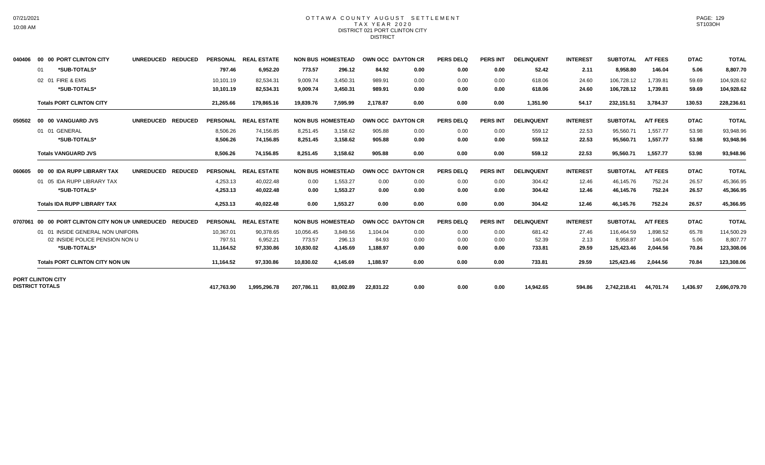#### OTTAWA COUNTY AUGUST SETTLEMENT T A X Y E A R 2 0 2 0 DISTRICT 021 PORT CLINTON CITY **DISTRICT**

| 040406  | 00 00 PORT CLINTON CITY                  | <b>UNREDUCED</b><br><b>REDUCED</b> | <b>PERSONAL</b> | <b>REAL ESTATE</b> |            | <b>NON BUS HOMESTEAD</b> | OWN OCC DAYTON CR        |      | <b>PERS DELQ</b> | <b>PERS INT</b> | <b>DELINQUENT</b> | <b>INTEREST</b> | <b>SUBTOTAL</b> | <b>A/T FEES</b> | <b>DTAC</b> | <b>TOTAL</b> |
|---------|------------------------------------------|------------------------------------|-----------------|--------------------|------------|--------------------------|--------------------------|------|------------------|-----------------|-------------------|-----------------|-----------------|-----------------|-------------|--------------|
|         | *SUB-TOTALS*<br>01                       |                                    | 797.46          | 6,952.20           | 773.57     | 296.12                   | 84.92                    | 0.00 | 0.00             | 0.00            | 52.42             | 2.11            | 8.958.80        | 146.04          | 5.06        | 8,807.70     |
|         | 02 01 FIRE & EMS                         |                                    | 10,101.19       | 82,534.31          | 9,009.74   | 3,450.31                 | 989.91                   | 0.00 | 0.00             | 0.00            | 618.06            | 24.60           | 106,728.12      | 1,739.81        | 59.69       | 104,928.62   |
|         | *SUB-TOTALS*                             |                                    | 10,101.19       | 82,534.31          | 9,009.74   | 3,450.31                 | 989.91                   | 0.00 | 0.00             | 0.00            | 618.06            | 24.60           | 106,728.12      | 1,739.81        | 59.69       | 104,928.62   |
|         | <b>Totals PORT CLINTON CITY</b>          |                                    | 21,265.66       | 179.865.16         | 19.839.76  | 7.595.99                 | 2.178.87                 | 0.00 | 0.00             | 0.00            | 1.351.90          | 54.17           | 232,151.51      | 3.784.37        | 130.53      | 228,236.61   |
| 050502  | 00 00 VANGUARD JVS                       | <b>UNREDUCED</b><br><b>REDUCED</b> | <b>PERSONAL</b> | <b>REAL ESTATE</b> |            | <b>NON BUS HOMESTEAD</b> | <b>OWN OCC DAYTON CR</b> |      | <b>PERS DELQ</b> | <b>PERS INT</b> | <b>DELINQUENT</b> | <b>INTEREST</b> | <b>SUBTOTAL</b> | <b>A/T FEES</b> | <b>DTAC</b> | <b>TOTAL</b> |
|         | 01 01 GENERAL                            |                                    | 8.506.26        | 74,156.85          | 8.251.45   | 3,158.62                 | 905.88                   | 0.00 | 0.00             | 0.00            | 559.12            | 22.53           | 95.560.71       | 1.557.77        | 53.98       | 93,948.96    |
|         | *SUB-TOTALS*                             |                                    | 8,506.26        | 74,156.85          | 8,251.45   | 3,158.62                 | 905.88                   | 0.00 | 0.00             | 0.00            | 559.12            | 22.53           | 95,560.71       | 1,557.77        | 53.98       | 93,948.96    |
|         | <b>Totals VANGUARD JVS</b>               |                                    | 8,506.26        | 74,156.85          | 8,251.45   | 3,158.62                 | 905.88                   | 0.00 | 0.00             | 0.00            | 559.12            | 22.53           | 95,560.71       | 1,557.77        | 53.98       | 93,948.96    |
| 060605  | 00 00 IDA RUPP LIBRARY TAX               | <b>UNREDUCED</b><br><b>REDUCED</b> | <b>PERSONAL</b> | <b>REAL ESTATE</b> |            | <b>NON BUS HOMESTEAD</b> | <b>OWN OCC DAYTON CR</b> |      | <b>PERS DELQ</b> | <b>PERS INT</b> | <b>DELINQUENT</b> | <b>INTEREST</b> | <b>SUBTOTAL</b> | <b>A/T FEES</b> | <b>DTAC</b> | <b>TOTAL</b> |
|         | 01 05 IDA RUPP LIBRARY TAX               |                                    | 4.253.13        | 40,022.48          | 0.00       | 1,553.27                 | 0.00                     | 0.00 | 0.00             | 0.00            | 304.42            | 12.46           | 46.145.76       | 752.24          | 26.57       | 45,366.95    |
|         | *SUB-TOTALS*                             |                                    | 4,253.13        | 40,022.48          | 0.00       | 1,553.27                 | 0.00                     | 0.00 | 0.00             | 0.00            | 304.42            | 12.46           | 46,145.76       | 752.24          | 26.57       | 45,366.95    |
|         | <b>Totals IDA RUPP LIBRARY TAX</b>       |                                    | 4.253.13        | 40.022.48          | 0.00       | 1.553.27                 | 0.00                     | 0.00 | 0.00             | 0.00            | 304.42            | 12.46           | 46,145.76       | 752.24          | 26.57       | 45,366.95    |
| 0707061 | 00 00 PORT CLINTON CITY NON UN UNREDUCED | <b>REDUCED</b>                     | <b>PERSONAL</b> | <b>REAL ESTATE</b> |            | <b>NON BUS HOMESTEAD</b> | <b>OWN OCC DAYTON CR</b> |      | <b>PERS DELQ</b> | <b>PERS INT</b> | <b>DELINQUENT</b> | <b>INTEREST</b> | <b>SUBTOTAL</b> | <b>A/T FEES</b> | <b>DTAC</b> | <b>TOTAL</b> |
|         | 01 01 INSIDE GENERAL NON UNIFORM         |                                    | 10,367.01       | 90,378.65          | 10,056.45  | 3,849.56                 | 1.104.04                 | 0.00 | 0.00             | 0.00            | 681.42            | 27.46           | 116.464.59      | 1,898.52        | 65.78       | 114,500.29   |
|         | 02 INSIDE POLICE PENSION NON U           |                                    | 797.51          | 6,952.21           | 773.57     | 296.13                   | 84.93                    | 0.00 | 0.00             | 0.00            | 52.39             | 2.13            | 8,958.87        | 146.04          | 5.06        | 8,807.77     |
|         | *SUB-TOTALS*                             |                                    | 11,164.52       | 97,330.86          | 10,830.02  | 4,145.69                 | 1,188.97                 | 0.00 | 0.00             | 0.00            | 733.81            | 29.59           | 125,423.46      | 2.044.56        | 70.84       | 123,308.06   |
|         | <b>Totals PORT CLINTON CITY NON UN</b>   |                                    | 11,164.52       | 97,330.86          | 10.830.02  | 4.145.69                 | 1.188.97                 | 0.00 | 0.00             | 0.00            | 733.81            | 29.59           | 125.423.46      | 2.044.56        | 70.84       | 123,308.06   |
|         | <b>PORT CLINTON CITY</b>                 |                                    |                 |                    |            |                          |                          |      |                  |                 |                   |                 |                 |                 |             |              |
|         | <b>DISTRICT TOTALS</b>                   |                                    | 417,763.90      | 1,995,296.78       | 207,786.11 | 83,002.89                | 22,831.22                | 0.00 | 0.00             | 0.00            | 14,942.65         | 594.86          | 2,742,218.41    | 44,701.74       | 1,436.97    | 2,696,079.70 |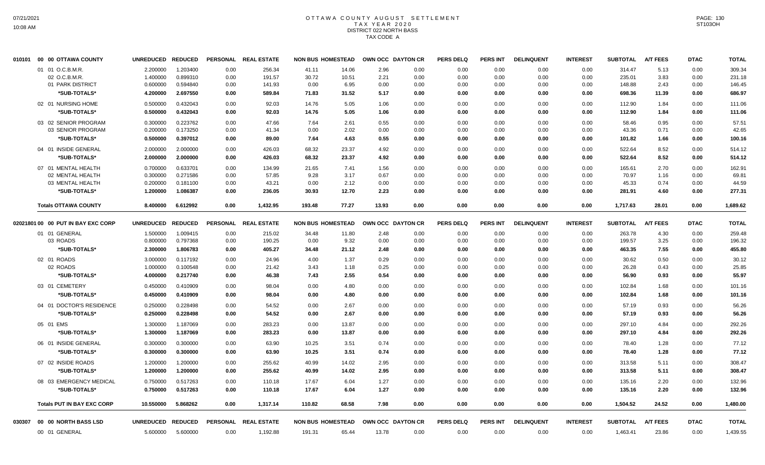# OTTAWA COUNTY AUGUST SETTLEMENT T A X Y E A R 2 0 2 0 DISTRICT 022 NORTH BASS TAX CODE A

| 010101 | 00 00 OTTAWA COUNTY                | <b>UNREDUCED</b> | <b>REDUCED</b> | <b>PERSONAL</b> | <b>REAL ESTATE</b> | <b>NON BUS HOMESTEAD</b> |       |       | OWN OCC DAYTON CR | <b>PERS DELQ</b> | <b>PERS INT</b> | <b>DELINQUENT</b> | <b>INTEREST</b> | <b>SUBTOTAL</b> | A/T FEES        | <b>DTAC</b> | <b>TOTAL</b> |
|--------|------------------------------------|------------------|----------------|-----------------|--------------------|--------------------------|-------|-------|-------------------|------------------|-----------------|-------------------|-----------------|-----------------|-----------------|-------------|--------------|
|        | 01 01 O.C.B.M.R.                   | 2.200000         | 1.203400       | 0.00            | 256.34             | 41.11                    | 14.06 | 2.96  | 0.00              | 0.00             | 0.00            | 0.00              | 0.00            | 314.47          | 5.13            | 0.00        | 309.34       |
|        | 02 O.C.B.M.R.                      | 1.400000         | 0.899310       | 0.00            | 191.57             | 30.72                    | 10.51 | 2.21  | 0.00              | 0.00             | 0.00            | 0.00              | 0.00            | 235.01          | 3.83            | 0.00        | 231.18       |
|        | 01 PARK DISTRICT                   | 0.600000         | 0.594840       | 0.00            | 141.93             | 0.00                     | 6.95  | 0.00  | 0.00              | 0.00             | 0.00            | 0.00              | 0.00            | 148.88          | 2.43            | 0.00        | 146.45       |
|        | *SUB-TOTALS*                       | 4.200000         | 2.697550       | 0.00            | 589.84             | 71.83                    | 31.52 | 5.17  | 0.00              | 0.00             | 0.00            | 0.00              | 0.00            | 698.36          | 11.39           | 0.00        | 686.97       |
|        | 02 01 NURSING HOME                 | 0.500000         | 0.432043       | 0.00            | 92.03              | 14.76                    | 5.05  | 1.06  | 0.00              | 0.00             | 0.00            | 0.00              | 0.00            | 112.90          | 1.84            | 0.00        | 111.06       |
|        | *SUB-TOTALS*                       | 0.500000         | 0.432043       | 0.00            | 92.03              | 14.76                    | 5.05  | 1.06  | 0.00              | 0.00             | 0.00            | 0.00              | 0.00            | 112.90          | 1.84            | 0.00        | 111.06       |
|        | 03 02 SENIOR PROGRAM               | 0.300000         | 0.223762       | 0.00            | 47.66              | 7.64                     | 2.61  | 0.55  | 0.00              | 0.00             | 0.00            | 0.00              | 0.00            | 58.46           | 0.95            | 0.00        | 57.51        |
|        | 03 SENIOR PROGRAM                  | 0.200000         | 0.173250       | 0.00            | 41.34              | 0.00                     | 2.02  | 0.00  | 0.00              | 0.00             | 0.00            | 0.00              | 0.00            | 43.36           | 0.71            | 0.00        | 42.65        |
|        | *SUB-TOTALS*                       | 0.500000         | 0.397012       | 0.00            | 89.00              | 7.64                     | 4.63  | 0.55  | 0.00              | 0.00             | 0.00            | 0.00              | 0.00            | 101.82          | 1.66            | 0.00        | 100.16       |
|        | 04 01 INSIDE GENERAL               | 2.000000         | 2.000000       | 0.00            | 426.03             | 68.32                    | 23.37 | 4.92  | 0.00              | 0.00             | 0.00            | 0.00              | 0.00            | 522.64          | 8.52            | 0.00        | 514.12       |
|        | *SUB-TOTALS*                       | 2.000000         | 2.000000       | 0.00            | 426.03             | 68.32                    | 23.37 | 4.92  | 0.00              | 0.00             | 0.00            | 0.00              | 0.00            | 522.64          | 8.52            | 0.00        | 514.12       |
|        | 07 01 MENTAL HEALTH                | 0.700000         | 0.633701       | 0.00            | 134.99             | 21.65                    | 7.41  | 1.56  | 0.00              | 0.00             | 0.00            | 0.00              | 0.00            | 165.61          | 2.70            | 0.00        | 162.91       |
|        | 02 MENTAL HEALTH                   | 0.300000         | 0.271586       | 0.00            | 57.85              | 9.28                     | 3.17  | 0.67  | 0.00              | 0.00             | 0.00            | 0.00              | 0.00            | 70.97           | 1.16            | 0.00        | 69.81        |
|        | 03 MENTAL HEALTH                   | 0.200000         | 0.181100       | 0.00            | 43.21              | 0.00                     | 2.12  | 0.00  | 0.00              | 0.00             | 0.00            | 0.00              | 0.00            | 45.33           | 0.74            | 0.00        | 44.59        |
|        | *SUB-TOTALS*                       | 1.200000         | 1.086387       | 0.00            | 236.05             | 30.93                    | 12.70 | 2.23  | 0.00              | 0.00             | 0.00            | 0.00              | 0.00            | 281.91          | 4.60            | 0.00        | 277.31       |
|        | <b>Totals OTTAWA COUNTY</b>        | 8.400000         | 6.612992       | 0.00            | 1,432.95           | 193.48                   | 77.27 | 13.93 | 0.00              | 0.00             | 0.00            | 0.00              | 0.00            | 1,717.63        | 28.01           | 0.00        | 1,689.62     |
|        | 02021801 00 00 PUT IN BAY EXC CORP | <b>UNREDUCED</b> | <b>REDUCED</b> | <b>PERSONAL</b> | <b>REAL ESTATE</b> | <b>NON BUS HOMESTEAD</b> |       |       | OWN OCC DAYTON CR | <b>PERS DELQ</b> | <b>PERS INT</b> | <b>DELINQUENT</b> | <b>INTEREST</b> | <b>SUBTOTAL</b> | <b>A/T FEES</b> | <b>DTAC</b> | <b>TOTAL</b> |
|        | 01 01 GENERAL                      | 1.500000         | 1.009415       | 0.00            | 215.02             | 34.48                    | 11.80 | 2.48  | 0.00              | 0.00             | 0.00            | 0.00              | 0.00            | 263.78          | 4.30            | 0.00        | 259.48       |
|        | 03 ROADS                           | 0.800000         | 0.797368       | 0.00            | 190.25             | 0.00                     | 9.32  | 0.00  | 0.00              | 0.00             | 0.00            | 0.00              | 0.00            | 199.57          | 3.25            | 0.00        | 196.32       |
|        | *SUB-TOTALS*                       | 2.300000         | 1.806783       | 0.00            | 405.27             | 34.48                    | 21.12 | 2.48  | 0.00              | 0.00             | 0.00            | 0.00              | 0.00            | 463.35          | 7.55            | 0.00        | 455.80       |
|        | 02 01 ROADS                        | 3.000000         | 0.117192       | 0.00            | 24.96              | 4.00                     | 1.37  | 0.29  | 0.00              | 0.00             | 0.00            | 0.00              | 0.00            | 30.62           | 0.50            | 0.00        | 30.12        |
|        | 02 ROADS                           | 1.000000         | 0.100548       | 0.00            | 21.42              | 3.43                     | 1.18  | 0.25  | 0.00              | 0.00             | 0.00            | 0.00              | 0.00            | 26.28           | 0.43            | 0.00        | 25.85        |
|        | *SUB-TOTALS*                       | 4.000000         | 0.217740       | 0.00            | 46.38              | 7.43                     | 2.55  | 0.54  | 0.00              | 0.00             | 0.00            | 0.00              | 0.00            | 56.90           | 0.93            | 0.00        | 55.97        |
|        | 03 01 CEMETERY                     | 0.450000         | 0.410909       | 0.00            | 98.04              | 0.00                     | 4.80  | 0.00  | 0.00              | 0.00             | 0.00            | 0.00              | 0.00            | 102.84          | 1.68            | 0.00        | 101.16       |
|        | *SUB-TOTALS*                       | 0.450000         | 0.410909       | 0.00            | 98.04              | 0.00                     | 4.80  | 0.00  | 0.00              | 0.00             | 0.00            | 0.00              | 0.00            | 102.84          | 1.68            | 0.00        | 101.16       |
|        | 04 01 DOCTOR'S RESIDENCE           | 0.250000         | 0.228498       | 0.00            | 54.52              | 0.00                     | 2.67  | 0.00  | 0.00              | 0.00             | 0.00            | 0.00              | 0.00            | 57.19           | 0.93            | 0.00        | 56.26        |
|        | *SUB-TOTALS*                       | 0.250000         | 0.228498       | 0.00            | 54.52              | 0.00                     | 2.67  | 0.00  | 0.00              | 0.00             | 0.00            | 0.00              | 0.00            | 57.19           | 0.93            | 0.00        | 56.26        |
|        | 05 01 EMS                          | 1.300000         | 1.187069       | 0.00            | 283.23             | 0.00                     | 13.87 | 0.00  | 0.00              | 0.00             | 0.00            | 0.00              | 0.00            | 297.10          | 4.84            | 0.00        | 292.26       |
|        | *SUB-TOTALS*                       | 1.300000         | 1.187069       | 0.00            | 283.23             | 0.00                     | 13.87 | 0.00  | 0.00              | 0.00             | 0.00            | 0.00              | 0.00            | 297.10          | 4.84            | 0.00        | 292.26       |
|        | 06 01 INSIDE GENERAL               | 0.300000         | 0.300000       | 0.00            | 63.90              | 10.25                    | 3.51  | 0.74  | 0.00              | 0.00             | 0.00            | 0.00              | 0.00            | 78.40           | 1.28            | 0.00        | 77.12        |
|        | *SUB-TOTALS*                       | 0.300000         | 0.300000       | 0.00            | 63.90              | 10.25                    | 3.51  | 0.74  | 0.00              | 0.00             | 0.00            | 0.00              | 0.00            | 78.40           | 1.28            | 0.00        | 77.12        |
|        | 07 02 INSIDE ROADS                 | 1.200000         | 1.200000       | 0.00            | 255.62             | 40.99                    | 14.02 | 2.95  | 0.00              | 0.00             | 0.00            | 0.00              | 0.00            | 313.58          | 5.11            | 0.00        | 308.47       |
|        | *SUB-TOTALS*                       | 1.200000         | 1.200000       | 0.00            | 255.62             | 40.99                    | 14.02 | 2.95  | 0.00              | 0.00             | 0.00            | 0.00              | 0.00            | 313.58          | 5.11            | 0.00        | 308.47       |
|        | 08 03 EMERGENCY MEDICAL            | 0.750000         | 0.517263       | 0.00            | 110.18             | 17.67                    | 6.04  | 1.27  | 0.00              | 0.00             | 0.00            | 0.00              | 0.00            | 135.16          | 2.20            | 0.00        | 132.96       |
|        | *SUB-TOTALS*                       | 0.750000         | 0.517263       | 0.00            | 110.18             | 17.67                    | 6.04  | 1.27  | 0.00              | 0.00             | 0.00            | 0.00              | 0.00            | 135.16          | 2.20            | 0.00        | 132.96       |
|        | <b>Totals PUT IN BAY EXC CORP</b>  | 10.550000        | 5.868262       | 0.00            | 1,317.14           | 110.82                   | 68.58 | 7.98  | 0.00              | 0.00             | 0.00            | 0.00              | 0.00            | 1,504.52        | 24.52           | 0.00        | 1,480.00     |
| 030307 | 00 00 NORTH BASS LSD               | <b>UNREDUCED</b> | <b>REDUCED</b> | <b>PERSONAL</b> | <b>REAL ESTATE</b> | <b>NON BUS HOMESTEAD</b> |       |       | OWN OCC DAYTON CR | <b>PERS DELQ</b> | <b>PERS INT</b> | <b>DELINQUENT</b> | <b>INTEREST</b> | <b>SUBTOTAL</b> | <b>A/T FEES</b> | <b>DTAC</b> | <b>TOTAL</b> |
|        |                                    |                  |                |                 |                    |                          |       |       |                   |                  |                 |                   |                 |                 |                 |             |              |
|        | 00 01 GENERAL                      | 5.600000         | 5.600000       | 0.00            | 1,192.88           | 191.31                   | 65.44 | 13.78 | 0.00              | 0.00             | 0.00            | 0.00              | 0.00            | 1,463.41        | 23.86           | 0.00        | 1,439.55     |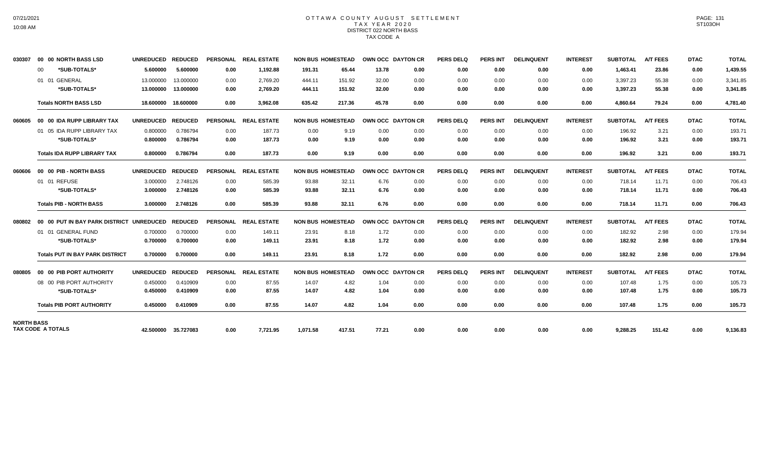## OTTAWA COUNTY AUGUST SETTLEMENT T A X Y E A R 2 0 2 0 DISTRICT 022 NORTH BASS TAX CODE A

| 030307            | 00 00 NORTH BASS LSD                     | <b>UNREDUCED</b> | <b>REDUCED</b>      |                 | PERSONAL REAL ESTATE | <b>NON BUS HOMESTEAD</b> |        | OWN OCC DAYTON CR |      | <b>PERS DELQ</b> | <b>PERS INT</b> | <b>DELINQUENT</b> | <b>INTEREST</b> | <b>SUBTOTAL</b> | <b>A/T FEES</b> | <b>DTAC</b> | <b>TOTAL</b> |
|-------------------|------------------------------------------|------------------|---------------------|-----------------|----------------------|--------------------------|--------|-------------------|------|------------------|-----------------|-------------------|-----------------|-----------------|-----------------|-------------|--------------|
|                   | *SUB-TOTALS*<br>$00 \,$                  | 5.600000         | 5.600000            | 0.00            | 1,192.88             | 191.31                   | 65.44  | 13.78             | 0.00 | 0.00             | 0.00            | 0.00              | 0.00            | 1,463.41        | 23.86           | 0.00        | 1,439.55     |
|                   | 01 01 GENERAL                            | 13.000000        | 13.000000           | 0.00            | 2.769.20             | 444.11                   | 151.92 | 32.00             | 0.00 | 0.00             | 0.00            | 0.00              | 0.00            | 3,397.23        | 55.38           | 0.00        | 3.341.85     |
|                   | *SUB-TOTALS*                             | 13.000000        | 13.000000           | 0.00            | 2,769.20             | 444.11                   | 151.92 | 32.00             | 0.00 | 0.00             | 0.00            | 0.00              | 0.00            | 3,397.23        | 55.38           | 0.00        | 3,341.85     |
|                   | <b>Totals NORTH BASS LSD</b>             | 18.600000        | 18.600000           | 0.00            | 3,962.08             | 635.42                   | 217.36 | 45.78             | 0.00 | 0.00             | 0.00            | 0.00              | 0.00            | 4,860.64        | 79.24           | 0.00        | 4,781.40     |
| 060605            | 00 00 IDA RUPP LIBRARY TAX               | <b>UNREDUCED</b> | <b>REDUCED</b>      | <b>PERSONAL</b> | <b>REAL ESTATE</b>   | <b>NON BUS HOMESTEAD</b> |        | OWN OCC DAYTON CR |      | <b>PERS DELQ</b> | <b>PERS INT</b> | <b>DELINQUENT</b> | <b>INTEREST</b> | <b>SUBTOTAL</b> | <b>A/T FEES</b> | <b>DTAC</b> | <b>TOTAL</b> |
|                   | 01 05 IDA RUPP LIBRARY TAX               | 0.800000         | 0.786794            | 0.00            | 187.73               | 0.00                     | 9.19   | 0.00              | 0.00 | 0.00             | 0.00            | 0.00              | 0.00            | 196.92          | 3.21            | 0.00        | 193.71       |
|                   | *SUB-TOTALS*                             | 0.800000         | 0.786794            | 0.00            | 187.73               | 0.00                     | 9.19   | 0.00              | 0.00 | 0.00             | 0.00            | 0.00              | 0.00            | 196.92          | 3.21            | 0.00        | 193.71       |
|                   | <b>Totals IDA RUPP LIBRARY TAX</b>       | 0.800000         | 0.786794            | 0.00            | 187.73               | 0.00                     | 9.19   | 0.00              | 0.00 | 0.00             | 0.00            | 0.00              | 0.00            | 196.92          | 3.21            | 0.00        | 193.71       |
| 060606            | 00 00 PIB - NORTH BASS                   | <b>UNREDUCED</b> | <b>REDUCED</b>      |                 | PERSONAL REAL ESTATE | <b>NON BUS HOMESTEAD</b> |        | OWN OCC DAYTON CR |      | <b>PERS DELQ</b> | <b>PERS INT</b> | <b>DELINQUENT</b> | <b>INTEREST</b> | <b>SUBTOTAL</b> | <b>A/T FEES</b> | <b>DTAC</b> | <b>TOTAL</b> |
|                   | 01 01 REFUSE                             | 3.000000         | 2.748126            | 0.00            | 585.39               | 93.88                    | 32.11  | 6.76              | 0.00 | 0.00             | 0.00            | 0.00              | 0.00            | 718.14          | 11.71           | 0.00        | 706.43       |
|                   | *SUB-TOTALS*                             | 3.000000         | 2.748126            | 0.00            | 585.39               | 93.88                    | 32.11  | 6.76              | 0.00 | 0.00             | 0.00            | 0.00              | 0.00            | 718.14          | 11.71           | 0.00        | 706.43       |
|                   | <b>Totals PIB - NORTH BASS</b>           | 3.000000         | 2.748126            | 0.00            | 585.39               | 93.88                    | 32.11  | 6.76              | 0.00 | 0.00             | 0.00            | 0.00              | 0.00            | 718.14          | 11.71           | 0.00        | 706.43       |
| 080802            | 00 00 PUT IN BAY PARK DISTRICT UNREDUCED |                  | <b>REDUCED</b>      | <b>PERSONAL</b> | <b>REAL ESTATE</b>   | <b>NON BUS HOMESTEAD</b> |        | OWN OCC DAYTON CR |      | <b>PERS DELQ</b> | <b>PERS INT</b> | <b>DELINQUENT</b> | <b>INTEREST</b> | <b>SUBTOTAL</b> | <b>A/T FEES</b> | <b>DTAC</b> | <b>TOTAL</b> |
|                   | 01 01 GENERAL FUND                       | 0.700000         | 0.700000            | 0.00            | 149.11               | 23.91                    | 8.18   | 1.72              | 0.00 | 0.00             | 0.00            | 0.00              | 0.00            | 182.92          | 2.98            | 0.00        | 179.94       |
|                   | *SUB-TOTALS*                             | 0.700000         | 0.700000            | 0.00            | 149.11               | 23.91                    | 8.18   | 1.72              | 0.00 | 0.00             | 0.00            | 0.00              | 0.00            | 182.92          | 2.98            | 0.00        | 179.94       |
|                   | <b>Totals PUT IN BAY PARK DISTRICT</b>   | 0.700000         | 0.700000            | 0.00            | 149.11               | 23.91                    | 8.18   | 1.72              | 0.00 | 0.00             | 0.00            | 0.00              | 0.00            | 182.92          | 2.98            | 0.00        | 179.94       |
| 080805            | 00 00 PIB PORT AUTHORITY                 | <b>UNREDUCED</b> | <b>REDUCED</b>      | <b>PERSONAL</b> | <b>REAL ESTATE</b>   | <b>NON BUS HOMESTEAD</b> |        | OWN OCC DAYTON CR |      | <b>PERS DELO</b> | <b>PERS INT</b> | <b>DELINQUENT</b> | <b>INTEREST</b> | <b>SUBTOTAL</b> | <b>A/T FEES</b> | <b>DTAC</b> | <b>TOTAL</b> |
|                   | 08 00 PIB PORT AUTHORITY                 | 0.450000         | 0.410909            | 0.00            | 87.55                | 14.07                    | 4.82   | 1.04              | 0.00 | 0.00             | 0.00            | 0.00              | 0.00            | 107.48          | 1.75            | 0.00        | 105.73       |
|                   | *SUB-TOTALS*                             | 0.450000         | 0.410909            | 0.00            | 87.55                | 14.07                    | 4.82   | 1.04              | 0.00 | 0.00             | 0.00            | 0.00              | 0.00            | 107.48          | 1.75            | 0.00        | 105.73       |
|                   | <b>Totals PIB PORT AUTHORITY</b>         | 0.450000         | 0.410909            | 0.00            | 87.55                | 14.07                    | 4.82   | 1.04              | 0.00 | 0.00             | 0.00            | 0.00              | 0.00            | 107.48          | 1.75            | 0.00        | 105.73       |
| <b>NORTH BASS</b> | <b>TAX CODE A TOTALS</b>                 |                  | 42.500000 35.727083 | 0.00            | 7,721.95             | 1,071.58                 | 417.51 | 77.21             | 0.00 | 0.00             | 0.00            | 0.00              | 0.00            | 9,288.25        | 151.42          | 0.00        | 9,136.83     |
|                   |                                          |                  |                     |                 |                      |                          |        |                   |      |                  |                 |                   |                 |                 |                 |             |              |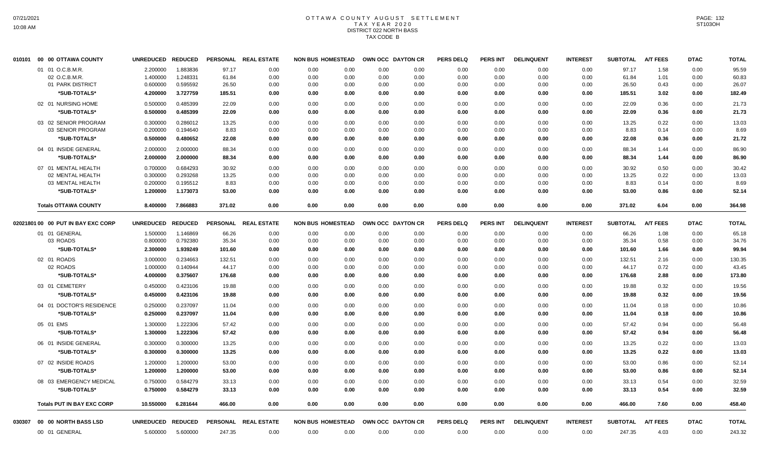# OTTAWA COUNTY AUGUST SETTLEMENT T A X Y E A R 2 0 2 0 DISTRICT 022 NORTH BASS TAX CODE B

| 010101 | 00 00 OTTAWA COUNTY                | <b>UNREDUCED</b> | <b>REDUCED</b> | <b>PERSONAL</b> | <b>REAL ESTATE</b> | <b>NON BUS HOMESTEAD</b> |      |      | OWN OCC DAYTON CR | <b>PERS DELQ</b> | <b>PERS INT</b> | <b>DELINQUENT</b> | <b>INTEREST</b> | <b>SUBTOTAL</b> | <b>A/T FEES</b> | <b>DTAC</b> | <b>TOTAL</b> |
|--------|------------------------------------|------------------|----------------|-----------------|--------------------|--------------------------|------|------|-------------------|------------------|-----------------|-------------------|-----------------|-----------------|-----------------|-------------|--------------|
|        | 01 01 O.C.B.M.R.                   | 2.200000         | 1.883836       | 97.17           | 0.00               | 0.00                     | 0.00 | 0.00 | 0.00              | 0.00             | 0.00            | 0.00              | 0.00            | 97.17           | 1.58            | 0.00        | 95.59        |
|        | 02 O.C.B.M.R.                      | 1.400000         | 1.248331       | 61.84           | 0.00               | 0.00                     | 0.00 | 0.00 | 0.00              | 0.00             | 0.00            | 0.00              | 0.00            | 61.84           | 1.01            | 0.00        | 60.83        |
|        | 01 PARK DISTRICT                   | 0.600000         | 0.595592       | 26.50           | 0.00               | 0.00                     | 0.00 | 0.00 | 0.00              | 0.00             | 0.00            | 0.00              | 0.00            | 26.50           | 0.43            | 0.00        | 26.07        |
|        | *SUB-TOTALS*                       | 4.200000         | 3.727759       | 185.51          | 0.00               | 0.00                     | 0.00 | 0.00 | 0.00              | 0.00             | 0.00            | 0.00              | 0.00            | 185.51          | 3.02            | 0.00        | 182.49       |
|        | 02 01 NURSING HOME                 | 0.500000         | 0.485399       | 22.09           | 0.00               | 0.00                     | 0.00 | 0.00 | 0.00              | 0.00             | 0.00            | 0.00              | 0.00            | 22.09           | 0.36            | 0.00        | 21.73        |
|        | *SUB-TOTALS*                       | 0.500000         | 0.485399       | 22.09           | 0.00               | 0.00                     | 0.00 | 0.00 | 0.00              | 0.00             | 0.00            | 0.00              | 0.00            | 22.09           | 0.36            | 0.00        | 21.73        |
|        | 03 02 SENIOR PROGRAM               | 0.300000         | 0.286012       | 13.25           | 0.00               | 0.00                     | 0.00 | 0.00 | 0.00              | 0.00             | 0.00            | 0.00              | 0.00            | 13.25           | 0.22            | 0.00        | 13.03        |
|        | 03 SENIOR PROGRAM                  | 0.200000         | 0.194640       | 8.83            | 0.00               | 0.00                     | 0.00 | 0.00 | 0.00              | 0.00             | 0.00            | 0.00              | 0.00            | 8.83            | 0.14            | 0.00        | 8.69         |
|        | *SUB-TOTALS*                       | 0.500000         | 0.480652       | 22.08           | 0.00               | 0.00                     | 0.00 | 0.00 | 0.00              | 0.00             | 0.00            | 0.00              | 0.00            | 22.08           | 0.36            | 0.00        | 21.72        |
|        | 04 01 INSIDE GENERAL               | 2.000000         | 2.000000       | 88.34           | 0.00               | 0.00                     | 0.00 | 0.00 | 0.00              | 0.00             | 0.00            | 0.00              | 0.00            | 88.34           | 1.44            | 0.00        | 86.90        |
|        | *SUB-TOTALS*                       | 2.000000         | 2.000000       | 88.34           | 0.00               | 0.00                     | 0.00 | 0.00 | 0.00              | 0.00             | 0.00            | 0.00              | 0.00            | 88.34           | 1.44            | 0.00        | 86.90        |
|        | 07 01 MENTAL HEALTH                | 0.700000         | 0.684293       | 30.92           | 0.00               | 0.00                     | 0.00 | 0.00 | 0.00              | 0.00             | 0.00            | 0.00              | 0.00            | 30.92           | 0.50            | 0.00        | 30.42        |
|        | 02 MENTAL HEALTH                   | 0.300000         | 0.293268       | 13.25           | 0.00               | 0.00                     | 0.00 | 0.00 | 0.00              | 0.00             | 0.00            | 0.00              | 0.00            | 13.25           | 0.22            | 0.00        | 13.03        |
|        | 03 MENTAL HEALTH                   | 0.200000         | 0.195512       | 8.83            | 0.00               | 0.00                     | 0.00 | 0.00 | 0.00              | 0.00             | 0.00            | 0.00              | 0.00            | 8.83            | 0.14            | 0.00        | 8.69         |
|        | *SUB-TOTALS*                       | 1.200000         | 1.173073       | 53.00           | 0.00               | 0.00                     | 0.00 | 0.00 | 0.00              | 0.00             | 0.00            | 0.00              | 0.00            | 53.00           | 0.86            | 0.00        | 52.14        |
|        | <b>Totals OTTAWA COUNTY</b>        | 8.400000         | 7.866883       | 371.02          | 0.00               | 0.00                     | 0.00 | 0.00 | 0.00              | 0.00             | 0.00            | 0.00              | 0.00            | 371.02          | 6.04            | 0.00        | 364.98       |
|        | 02021801 00 00 PUT IN BAY EXC CORP | <b>UNREDUCED</b> | <b>REDUCED</b> | <b>PERSONAL</b> | <b>REAL ESTATE</b> | <b>NON BUS HOMESTEAD</b> |      |      | OWN OCC DAYTON CR | <b>PERS DELQ</b> | <b>PERS INT</b> | <b>DELINQUENT</b> | <b>INTEREST</b> | <b>SUBTOTAL</b> | <b>A/T FEES</b> | <b>DTAC</b> | <b>TOTAL</b> |
|        | 01 01 GENERAL                      | 1.500000         | 1.146869       | 66.26           | 0.00               | 0.00                     | 0.00 | 0.00 | 0.00              | 0.00             | 0.00            | 0.00              | 0.00            | 66.26           | 1.08            | 0.00        | 65.18        |
|        | 03 ROADS                           | 0.800000         | 0.792380       | 35.34           | 0.00               | 0.00                     | 0.00 | 0.00 | 0.00              | 0.00             | 0.00            | 0.00              | 0.00            | 35.34           | 0.58            | 0.00        | 34.76        |
|        | *SUB-TOTALS*                       | 2.300000         | 1.939249       | 101.60          | 0.00               | 0.00                     | 0.00 | 0.00 | 0.00              | 0.00             | 0.00            | 0.00              | 0.00            | 101.60          | 1.66            | 0.00        | 99.94        |
|        | 02 01 ROADS                        | 3.000000         | 0.234663       | 132.51          | 0.00               | 0.00                     | 0.00 | 0.00 | 0.00              | 0.00             | 0.00            | 0.00              | 0.00            | 132.51          | 2.16            | 0.00        | 130.35       |
|        | 02 ROADS                           | 1.000000         | 0.140944       | 44.17           | 0.00               | 0.00                     | 0.00 | 0.00 | 0.00              | 0.00             | 0.00            | 0.00              | 0.00            | 44.17           | 0.72            | 0.00        | 43.45        |
|        | *SUB-TOTALS*                       | 4.000000         | 0.375607       | 176.68          | 0.00               | 0.00                     | 0.00 | 0.00 | 0.00              | 0.00             | 0.00            | 0.00              | 0.00            | 176.68          | 2.88            | 0.00        | 173.80       |
|        | 03 01 CEMETERY                     | 0.450000         | 0.423106       | 19.88           | 0.00               | 0.00                     | 0.00 | 0.00 | 0.00              | 0.00             | 0.00            | 0.00              | 0.00            | 19.88           | 0.32            | 0.00        | 19.56        |
|        | *SUB-TOTALS*                       | 0.450000         | 0.423106       | 19.88           | 0.00               | 0.00                     | 0.00 | 0.00 | 0.00              | 0.00             | 0.00            | 0.00              | 0.00            | 19.88           | 0.32            | 0.00        | 19.56        |
|        | 04 01 DOCTOR'S RESIDENCE           | 0.250000         | 0.237097       | 11.04           | 0.00               | 0.00                     | 0.00 | 0.00 | 0.00              | 0.00             | 0.00            | 0.00              | 0.00            | 11.04           | 0.18            | 0.00        | 10.86        |
|        | *SUB-TOTALS*                       | 0.250000         | 0.237097       | 11.04           | 0.00               | 0.00                     | 0.00 | 0.00 | 0.00              | 0.00             | 0.00            | 0.00              | 0.00            | 11.04           | 0.18            | 0.00        | 10.86        |
|        | 05 01 EMS                          | 1.300000         | 1.222306       | 57.42           | 0.00               | 0.00                     | 0.00 | 0.00 | 0.00              | 0.00             | 0.00            | 0.00              | 0.00            | 57.42           | 0.94            | 0.00        | 56.48        |
|        | *SUB-TOTALS*                       | 1.300000         | 1.222306       | 57.42           | 0.00               | 0.00                     | 0.00 | 0.00 | 0.00              | 0.00             | 0.00            | 0.00              | 0.00            | 57.42           | 0.94            | 0.00        | 56.48        |
|        | 06 01 INSIDE GENERAL               | 0.300000         | 0.300000       | 13.25           | 0.00               | 0.00                     | 0.00 | 0.00 | 0.00              | 0.00             | 0.00            | 0.00              | 0.00            | 13.25           | 0.22            | 0.00        | 13.03        |
|        | *SUB-TOTALS*                       | 0.300000         | 0.300000       | 13.25           | 0.00               | 0.00                     | 0.00 | 0.00 | 0.00              | 0.00             | 0.00            | 0.00              | 0.00            | 13.25           | 0.22            | 0.00        | 13.03        |
|        | 07 02 INSIDE ROADS                 | 1.200000         | 1.200000       | 53.00           | 0.00               | 0.00                     | 0.00 | 0.00 | 0.00              | 0.00             | 0.00            | 0.00              | 0.00            | 53.00           | 0.86            | 0.00        | 52.14        |
|        | *SUB-TOTALS*                       | 1.200000         | 1.200000       | 53.00           | 0.00               | 0.00                     | 0.00 | 0.00 | 0.00              | 0.00             | 0.00            | 0.00              | 0.00            | 53.00           | 0.86            | 0.00        | 52.14        |
|        | 08 03 EMERGENCY MEDICAL            | 0.750000         | 0.584279       | 33.13           | 0.00               | 0.00                     | 0.00 | 0.00 | 0.00              | 0.00             | 0.00            | 0.00              | 0.00            | 33.13           | 0.54            | 0.00        | 32.59        |
|        | *SUB-TOTALS*                       | 0.750000         | 0.584279       | 33.13           | 0.00               | 0.00                     | 0.00 | 0.00 | 0.00              | 0.00             | 0.00            | 0.00              | 0.00            | 33.13           | 0.54            | 0.00        | 32.59        |
|        | <b>Totals PUT IN BAY EXC CORP</b>  | 10.550000        | 6.281644       | 466.00          | 0.00               | 0.00                     | 0.00 | 0.00 | 0.00              | 0.00             | 0.00            | 0.00              | 0.00            | 466.00          | 7.60            | 0.00        | 458.40       |
| 030307 | 00 00 NORTH BASS LSD               | <b>UNREDUCED</b> | <b>REDUCED</b> | <b>PERSONAL</b> | <b>REAL ESTATE</b> | <b>NON BUS HOMESTEAD</b> |      |      | OWN OCC DAYTON CR | <b>PERS DELQ</b> | <b>PERS INT</b> | <b>DELINQUENT</b> | <b>INTEREST</b> | <b>SUBTOTAL</b> | <b>A/T FEES</b> | <b>DTAC</b> | <b>TOTAL</b> |
|        |                                    |                  |                |                 |                    |                          |      |      |                   |                  |                 |                   |                 |                 |                 |             |              |
|        | 00 01 GENERAL                      | 5.600000         | 5.600000       | 247.35          | 0.00               | 0.00                     | 0.00 | 0.00 | 0.00              | 0.00             | 0.00            | 0.00              | 0.00            | 247.35          | 4.03            | 0.00        | 243.32       |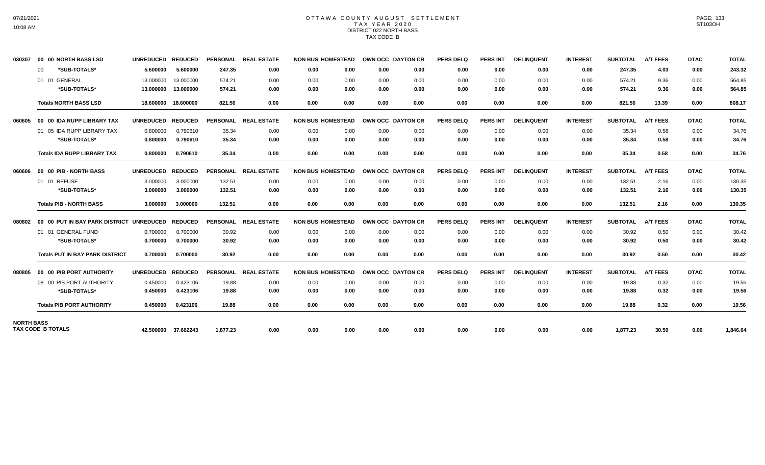## OTTAWA COUNTY AUGUST SETTLEMENT T A X Y E A R 2 0 2 0 DISTRICT 022 NORTH BASS TAX CODE B

| 030307            | 00 00 NORTH BASS LSD                     | <b>UNREDUCED</b> | <b>REDUCED</b>      |                 | PERSONAL REAL ESTATE | <b>NON BUS HOMESTEAD</b> | OWN OCC DAYTON CR        |      | <b>PERS DELQ</b> | <b>PERS INT</b> | <b>DELINQUENT</b> | <b>INTEREST</b> | <b>SUBTOTAL</b> | <b>A/T FEES</b> | <b>DTAC</b> | <b>TOTAL</b> |
|-------------------|------------------------------------------|------------------|---------------------|-----------------|----------------------|--------------------------|--------------------------|------|------------------|-----------------|-------------------|-----------------|-----------------|-----------------|-------------|--------------|
|                   | *SUB-TOTALS*<br>00                       | 5.600000         | 5.600000            | 247.35          | 0.00                 | 0.00<br>0.00             | 0.00                     | 0.00 | 0.00             | 0.00            | 0.00              | 0.00            | 247.35          | 4.03            | 0.00        | 243.32       |
|                   | 01 01 GENERAL                            | 13.000000        | 13.000000           | 574.21          | 0.00                 | 0.00<br>0.00             | 0.00                     | 0.00 | 0.00             | 0.00            | 0.00              | 0.00            | 574.21          | 9.36            | 0.00        | 564.85       |
|                   | *SUB-TOTALS*                             | 13.000000        | 13.000000           | 574.21          | 0.00                 | 0.00<br>0.00             | 0.00                     | 0.00 | 0.00             | 0.00            | 0.00              | 0.00            | 574.21          | 9.36            | 0.00        | 564.85       |
|                   | <b>Totals NORTH BASS LSD</b>             | 18.600000        | 18.600000           | 821.56          | 0.00                 | 0.00<br>0.00             | 0.00                     | 0.00 | 0.00             | 0.00            | 0.00              | 0.00            | 821.56          | 13.39           | 0.00        | 808.17       |
| 060605            | 00 00 IDA RUPP LIBRARY TAX               | <b>UNREDUCED</b> | <b>REDUCED</b>      |                 | PERSONAL REAL ESTATE | <b>NON BUS HOMESTEAD</b> | <b>OWN OCC DAYTON CR</b> |      | <b>PERS DELQ</b> | <b>PERS INT</b> | <b>DELINQUENT</b> | <b>INTEREST</b> | <b>SUBTOTAL</b> | <b>A/T FEES</b> | <b>DTAC</b> | <b>TOTAL</b> |
|                   | 01 05 IDA RUPP LIBRARY TAX               | 0.800000         | 0.790610            | 35.34           | 0.00                 | 0.00<br>0.00             | 0.00                     | 0.00 | 0.00             | 0.00            | 0.00              | 0.00            | 35.34           | 0.58            | 0.00        | 34.76        |
|                   | *SUB-TOTALS*                             | 0.800000         | 0.790610            | 35.34           | 0.00                 | 0.00<br>0.00             | 0.00                     | 0.00 | 0.00             | 0.00            | 0.00              | 0.00            | 35.34           | 0.58            | 0.00        | 34.76        |
|                   | <b>Totals IDA RUPP LIBRARY TAX</b>       | 0.800000         | 0.790610            | 35.34           | 0.00                 | 0.00<br>0.00             | 0.00                     | 0.00 | 0.00             | 0.00            | 0.00              | 0.00            | 35.34           | 0.58            | 0.00        | 34.76        |
| 060606            | 00 00 PIB - NORTH BASS                   | <b>UNREDUCED</b> | <b>REDUCED</b>      |                 | PERSONAL REAL ESTATE | <b>NON BUS HOMESTEAD</b> | <b>OWN OCC DAYTON CR</b> |      | <b>PERS DELQ</b> | <b>PERS INT</b> | <b>DELINQUENT</b> | <b>INTEREST</b> | <b>SUBTOTAL</b> | <b>A/T FEES</b> | <b>DTAC</b> | <b>TOTAL</b> |
|                   | 01 01 REFUSE                             | 3.000000         | 3.000000            | 132.51          | 0.00                 | 0.00<br>0.00             | 0.00                     | 0.00 | 0.00             | 0.00            | 0.00              | 0.00            | 132.51          | 2.16            | 0.00        | 130.35       |
|                   | *SUB-TOTALS*                             | 3.000000         | 3.000000            | 132.51          | 0.00                 | 0.00<br>0.00             | 0.00                     | 0.00 | 0.00             | 0.00            | 0.00              | 0.00            | 132.51          | 2.16            | 0.00        | 130.35       |
|                   | <b>Totals PIB - NORTH BASS</b>           | 3.000000         | 3.000000            | 132.51          | 0.00                 | 0.00<br>0.00             | 0.00                     | 0.00 | 0.00             | 0.00            | 0.00              | 0.00            | 132.51          | 2.16            | 0.00        | 130.35       |
| 080802            | 00 00 PUT IN BAY PARK DISTRICT UNREDUCED |                  | <b>REDUCED</b>      | <b>PERSONAL</b> | <b>REAL ESTATE</b>   | <b>NON BUS HOMESTEAD</b> | OWN OCC DAYTON CR        |      | <b>PERS DELQ</b> | <b>PERS INT</b> | <b>DELINQUENT</b> | <b>INTEREST</b> | <b>SUBTOTAL</b> | <b>A/T FEES</b> | <b>DTAC</b> | <b>TOTAL</b> |
|                   | 01 01 GENERAL FUND                       | 0.700000         | 0.700000            | 30.92           | 0.00                 | 0.00<br>0.00             | 0.00                     | 0.00 | 0.00             | 0.00            | 0.00              | 0.00            | 30.92           | 0.50            | 0.00        | 30.42        |
|                   | *SUB-TOTALS*                             | 0.700000         | 0.700000            | 30.92           | 0.00                 | 0.00<br>0.00             | 0.00                     | 0.00 | 0.00             | 0.00            | 0.00              | 0.00            | 30.92           | 0.50            | 0.00        | 30.42        |
|                   | <b>Totals PUT IN BAY PARK DISTRICT</b>   | 0.700000         | 0.700000            | 30.92           | 0.00                 | 0.00<br>0.00             | 0.00                     | 0.00 | 0.00             | 0.00            | 0.00              | 0.00            | 30.92           | 0.50            | 0.00        | 30.42        |
| 080805            | 00 00 PIB PORT AUTHORITY                 | <b>UNREDUCED</b> | <b>REDUCED</b>      | <b>PERSONAL</b> | <b>REAL ESTATE</b>   | <b>NON BUS HOMESTEAD</b> | OWN OCC DAYTON CR        |      | PERS DELQ        | <b>PERS INT</b> | <b>DELINQUENT</b> | <b>INTEREST</b> | <b>SUBTOTAL</b> | <b>A/T FEES</b> | <b>DTAC</b> | <b>TOTAL</b> |
|                   | 08 00 PIB PORT AUTHORITY                 | 0.450000         | 0.423106            | 19.88           | 0.00                 | 0.00<br>0.00             | 0.00                     | 0.00 | 0.00             | 0.00            | 0.00              | 0.00            | 19.88           | 0.32            | 0.00        | 19.56        |
|                   | *SUB-TOTALS*                             | 0.450000         | 0.423106            | 19.88           | 0.00                 | 0.00<br>0.00             | 0.00                     | 0.00 | 0.00             | 0.00            | 0.00              | 0.00            | 19.88           | 0.32            | 0.00        | 19.56        |
|                   | <b>Totals PIB PORT AUTHORITY</b>         | 0.450000         | 0.423106            | 19.88           | 0.00                 | 0.00<br>0.00             | 0.00                     | 0.00 | 0.00             | 0.00            | 0.00              | 0.00            | 19.88           | 0.32            | 0.00        | 19.56        |
| <b>NORTH BASS</b> |                                          |                  |                     |                 |                      |                          |                          |      |                  |                 |                   |                 |                 |                 |             |              |
|                   | <b>TAX CODE B TOTALS</b>                 |                  | 42.500000 37.662243 | 1.877.23        | 0.00                 | 0.00<br>0.00             | 0.00                     | 0.00 | 0.00             | 0.00            | 0.00              | 0.00            | 1.877.23        | 30.59           | 0.00        | 1.846.64     |

PAGE: 133 ST103OH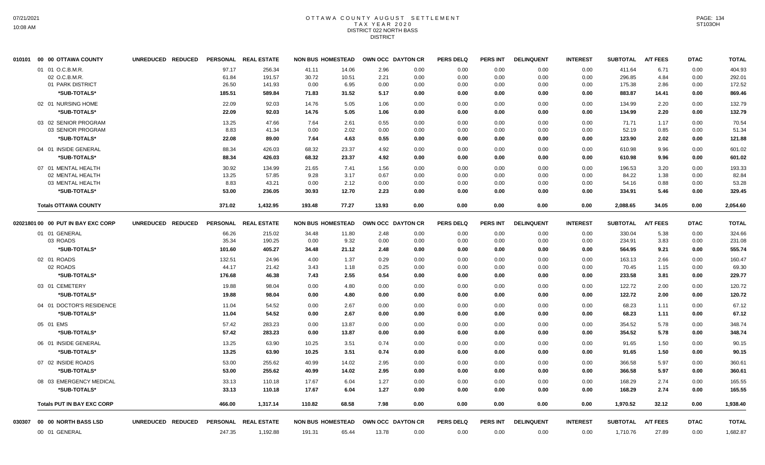## OTTAWA COUNTY AUGUST SETTLEMENT T A X Y E A R 2 0 2 0 DISTRICT 022 NORTH BASS DISTRICT

|        | 010101 00 00 OTTAWA COUNTY         | UNREDUCED REDUCED |                | PERSONAL REAL ESTATE | <b>NON BUS HOMESTEAD</b> |                |              | OWN OCC DAYTON CR | <b>PERS DELQ</b> | <b>PERS INT</b> | <b>DELINQUENT</b> | <b>INTEREST</b> | <b>SUBTOTAL</b>  | <b>A/T FEES</b> | <b>DTAC</b>  | <b>TOTAL</b>     |
|--------|------------------------------------|-------------------|----------------|----------------------|--------------------------|----------------|--------------|-------------------|------------------|-----------------|-------------------|-----------------|------------------|-----------------|--------------|------------------|
|        | 01 01 O.C.B.M.R.<br>02 O.C.B.M.R.  |                   | 97.17<br>61.84 | 256.34<br>191.57     | 41.11<br>30.72           | 14.06<br>10.51 | 2.96<br>2.21 | 0.00<br>0.00      | 0.00<br>0.00     | 0.00<br>0.00    | 0.00<br>0.00      | 0.00<br>0.00    | 411.64<br>296.85 | 6.71<br>4.84    | 0.00<br>0.00 | 404.93<br>292.01 |
|        | 01 PARK DISTRICT                   |                   | 26.50          | 141.93               | 0.00                     | 6.95           | 0.00         | 0.00              | 0.00             | 0.00            | 0.00              | 0.00            | 175.38           | 2.86            | 0.00         | 172.52           |
|        | *SUB-TOTALS*                       |                   | 185.51         | 589.84               | 71.83                    | 31.52          | 5.17         | 0.00              | 0.00             | 0.00            | 0.00              | 0.00            | 883.87           | 14.41           | 0.00         | 869.46           |
|        | 02 01 NURSING HOME                 |                   | 22.09          | 92.03                | 14.76                    | 5.05           | 1.06         | 0.00              | 0.00             | 0.00            | 0.00              | 0.00            | 134.99           | 2.20            | 0.00         | 132.79           |
|        | *SUB-TOTALS*                       |                   | 22.09          | 92.03                | 14.76                    | 5.05           | 1.06         | 0.00              | 0.00             | 0.00            | 0.00              | 0.00            | 134.99           | 2.20            | 0.00         | 132.79           |
|        | 03 02 SENIOR PROGRAM               |                   | 13.25          | 47.66                | 7.64                     | 2.61           | 0.55         | 0.00              | 0.00             | 0.00            | 0.00              | 0.00            | 71.71            | 1.17            | 0.00         | 70.54            |
|        | 03 SENIOR PROGRAM                  |                   | 8.83           | 41.34                | 0.00                     | 2.02           | 0.00         | 0.00              | 0.00             | 0.00            | 0.00              | 0.00            | 52.19            | 0.85            | 0.00         | 51.34            |
|        | *SUB-TOTALS*                       |                   | 22.08          | 89.00                | 7.64                     | 4.63           | 0.55         | 0.00              | 0.00             | 0.00            | 0.00              | 0.00            | 123.90           | 2.02            | 0.00         | 121.88           |
|        | 04 01 INSIDE GENERAL               |                   | 88.34          | 426.03               | 68.32                    | 23.37          | 4.92         | 0.00              | 0.00             | 0.00            | 0.00              | 0.00            | 610.98           | 9.96            | 0.00         | 601.02           |
|        | *SUB-TOTALS*                       |                   | 88.34          | 426.03               | 68.32                    | 23.37          | 4.92         | 0.00              | 0.00             | 0.00            | 0.00              | 0.00            | 610.98           | 9.96            | 0.00         | 601.02           |
|        | 07 01 MENTAL HEALTH                |                   | 30.92          | 134.99               | 21.65                    | 7.41           | 1.56         | 0.00              | 0.00             | 0.00            | 0.00              | 0.00            | 196.53           | 3.20            | 0.00         | 193.33           |
|        | 02 MENTAL HEALTH                   |                   | 13.25          | 57.85                | 9.28                     | 3.17           | 0.67         | 0.00              | 0.00             | 0.00            | 0.00              | 0.00            | 84.22            | 1.38            | 0.00         | 82.84            |
|        | 03 MENTAL HEALTH<br>*SUB-TOTALS*   |                   | 8.83<br>53.00  | 43.21<br>236.05      | 0.00<br>30.93            | 2.12<br>12.70  | 0.00<br>2.23 | 0.00<br>0.00      | 0.00<br>0.00     | 0.00<br>0.00    | 0.00<br>0.00      | 0.00<br>0.00    | 54.16<br>334.91  | 0.88<br>5.46    | 0.00<br>0.00 | 53.28<br>329.45  |
|        |                                    |                   |                |                      |                          |                |              |                   |                  |                 |                   |                 |                  |                 |              |                  |
|        | <b>Totals OTTAWA COUNTY</b>        |                   | 371.02         | 1,432.95             | 193.48                   | 77.27          | 13.93        | 0.00              | 0.00             | 0.00            | 0.00              | 0.00            | 2,088.65         | 34.05           | 0.00         | 2,054.60         |
|        | 02021801 00 00 PUT IN BAY EXC CORP | UNREDUCED REDUCED |                | PERSONAL REAL ESTATE | <b>NON BUS HOMESTEAD</b> |                |              | OWN OCC DAYTON CR | <b>PERS DELQ</b> | <b>PERS INT</b> | <b>DELINQUENT</b> | <b>INTEREST</b> | <b>SUBTOTAL</b>  | <b>A/T FEES</b> | <b>DTAC</b>  | <b>TOTAL</b>     |
|        | 01 01 GENERAL                      |                   | 66.26          | 215.02               | 34.48                    | 11.80          | 2.48         | 0.00              | 0.00             | 0.00            | 0.00              | 0.00            | 330.04           | 5.38            | 0.00         | 324.66           |
|        | 03 ROADS                           |                   | 35.34          | 190.25               | 0.00                     | 9.32           | 0.00         | 0.00              | 0.00             | 0.00            | 0.00              | 0.00            | 234.91           | 3.83            | 0.00         | 231.08           |
|        | *SUB-TOTALS*                       |                   | 101.60         | 405.27               | 34.48                    | 21.12          | 2.48         | 0.00              | 0.00             | 0.00            | 0.00              | 0.00            | 564.95           | 9.21            | 0.00         | 555.74           |
|        | 02 01 ROADS                        |                   | 132.51         | 24.96                | 4.00                     | 1.37           | 0.29         | 0.00              | 0.00             | 0.00            | 0.00              | 0.00            | 163.13           | 2.66            | 0.00         | 160.47           |
|        | 02 ROADS                           |                   | 44.17          | 21.42                | 3.43                     | 1.18           | 0.25         | 0.00              | 0.00             | 0.00            | 0.00              | 0.00            | 70.45            | 1.15            | 0.00         | 69.30            |
|        | *SUB-TOTALS*                       |                   | 176.68         | 46.38                | 7.43                     | 2.55           | 0.54         | 0.00              | 0.00             | 0.00            | 0.00              | 0.00            | 233.58           | 3.81            | 0.00         | 229.77           |
|        | 03 01 CEMETERY                     |                   | 19.88          | 98.04                | 0.00                     | 4.80           | 0.00         | 0.00              | 0.00             | 0.00            | 0.00              | 0.00            | 122.72           | 2.00            | 0.00         | 120.72           |
|        | *SUB-TOTALS*                       |                   | 19.88          | 98.04                | 0.00                     | 4.80           | 0.00         | 0.00              | 0.00             | 0.00            | 0.00              | 0.00            | 122.72           | 2.00            | 0.00         | 120.72           |
|        | 04 01 DOCTOR'S RESIDENCE           |                   | 11.04          | 54.52                | 0.00                     | 2.67           | 0.00         | 0.00              | 0.00             | 0.00            | 0.00              | 0.00            | 68.23            | 1.11            | 0.00         | 67.12            |
|        | *SUB-TOTALS*                       |                   | 11.04          | 54.52                | 0.00                     | 2.67           | 0.00         | 0.00              | 0.00             | 0.00            | 0.00              | 0.00            | 68.23            | 1.11            | 0.00         | 67.12            |
|        | 05 01 EMS                          |                   | 57.42          | 283.23               | 0.00                     | 13.87          | 0.00         | 0.00              | 0.00             | 0.00            | 0.00              | 0.00            | 354.52           | 5.78            | 0.00         | 348.74           |
|        | *SUB-TOTALS*                       |                   | 57.42          | 283.23               | 0.00                     | 13.87          | 0.00         | 0.00              | 0.00             | 0.00            | 0.00              | 0.00            | 354.52           | 5.78            | 0.00         | 348.74           |
|        | 06 01 INSIDE GENERAL               |                   | 13.25          | 63.90                | 10.25                    | 3.51           | 0.74         | 0.00              | 0.00             | 0.00            | 0.00              | 0.00            | 91.65            | 1.50            | 0.00         | 90.15            |
|        | *SUB-TOTALS*                       |                   | 13.25          | 63.90                | 10.25                    | 3.51           | 0.74         | 0.00              | 0.00             | 0.00            | 0.00              | 0.00            | 91.65            | 1.50            | 0.00         | 90.15            |
|        | 07 02 INSIDE ROADS                 |                   | 53.00          | 255.62               | 40.99                    | 14.02          | 2.95         | 0.00              | 0.00             | 0.00            | 0.00              | 0.00            | 366.58           | 5.97            | 0.00         | 360.61           |
|        | *SUB-TOTALS*                       |                   | 53.00          | 255.62               | 40.99                    | 14.02          | 2.95         | 0.00              | 0.00             | 0.00            | 0.00              | 0.00            | 366.58           | 5.97            | 0.00         | 360.61           |
|        | 08 03 EMERGENCY MEDICAL            |                   | 33.13          | 110.18               | 17.67                    | 6.04           | 1.27         | 0.00              | 0.00             | 0.00            | 0.00              | 0.00            | 168.29           | 2.74            | 0.00         | 165.55           |
|        | *SUB-TOTALS*                       |                   | 33.13          | 110.18               | 17.67                    | 6.04           | 1.27         | 0.00              | 0.00             | 0.00            | 0.00              | 0.00            | 168.29           | 2.74            | 0.00         | 165.55           |
|        | <b>Totals PUT IN BAY EXC CORP</b>  |                   | 466.00         | 1,317.14             | 110.82                   | 68.58          | 7.98         | 0.00              | 0.00             | 0.00            | 0.00              | 0.00            | 1,970.52         | 32.12           | 0.00         | 1,938.40         |
| 030307 | 00 00 NORTH BASS LSD               | UNREDUCED REDUCED |                | PERSONAL REAL ESTATE | <b>NON BUS HOMESTEAD</b> |                |              | OWN OCC DAYTON CR | <b>PERS DELQ</b> | PERS INT        | <b>DELINQUENT</b> | <b>INTEREST</b> | <b>SUBTOTAL</b>  | <b>A/T FEES</b> | <b>DTAC</b>  | <b>TOTAL</b>     |
|        | 00 01 GENERAL                      |                   | 247.35         | 1,192.88             | 191.31                   | 65.44          | 13.78        | 0.00              | 0.00             | 0.00            | 0.00              | 0.00            | 1,710.76         | 27.89           | 0.00         | 1,682.87         |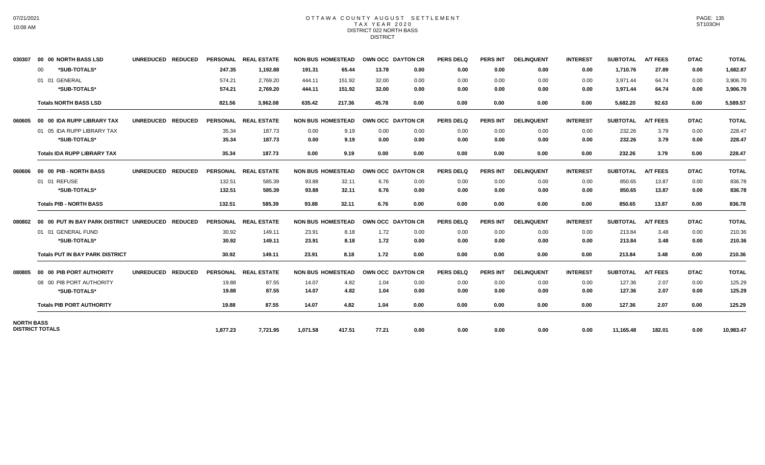### OTTAWA COUNTY AUGUST SETTLEMENT T A X Y E A R 2 0 2 0 DISTRICT 022 NORTH BASS DISTRICT

| 030307            | 00 00 NORTH BASS LSD                     | <b>UNREDUCED</b><br><b>REDUCED</b> |                 | PERSONAL REAL ESTATE | <b>NON BUS HOMESTEAD</b> |        | OWN OCC DAYTON CR        |      | <b>PERS DELQ</b> | <b>PERS INT</b> | <b>DELINQUENT</b> | <b>INTEREST</b> | <b>SUBTOTAL</b> | <b>A/T FEES</b> | <b>DTAC</b> | <b>TOTAL</b> |
|-------------------|------------------------------------------|------------------------------------|-----------------|----------------------|--------------------------|--------|--------------------------|------|------------------|-----------------|-------------------|-----------------|-----------------|-----------------|-------------|--------------|
|                   | *SUB-TOTALS*<br>$00 \,$                  |                                    | 247.35          | 1,192.88             | 191.31                   | 65.44  | 13.78                    | 0.00 | 0.00             | 0.00            | 0.00              | 0.00            | 1,710.76        | 27.89           | 0.00        | 1,682.87     |
|                   | 01 01 GENERAL                            |                                    | 574.21          | 2,769.20             | 444.11                   | 151.92 | 32.00                    | 0.00 | 0.00             | 0.00            | 0.00              | 0.00            | 3,971.44        | 64.74           | 0.00        | 3,906.70     |
|                   | *SUB-TOTALS*                             |                                    | 574.21          | 2.769.20             | 444.11                   | 151.92 | 32.00                    | 0.00 | 0.00             | 0.00            | 0.00              | 0.00            | 3,971.44        | 64.74           | 0.00        | 3,906.70     |
|                   | <b>Totals NORTH BASS LSD</b>             |                                    | 821.56          | 3,962.08             | 635.42                   | 217.36 | 45.78                    | 0.00 | 0.00             | 0.00            | 0.00              | 0.00            | 5,682.20        | 92.63           | 0.00        | 5,589.57     |
| 060605            | 00 00 IDA RUPP LIBRARY TAX               | <b>UNREDUCED</b><br><b>REDUCED</b> |                 | PERSONAL REAL ESTATE | <b>NON BUS HOMESTEAD</b> |        | <b>OWN OCC DAYTON CR</b> |      | <b>PERS DELQ</b> | <b>PERS INT</b> | <b>DELINQUENT</b> | <b>INTEREST</b> | <b>SUBTOTAL</b> | <b>A/T FEES</b> | <b>DTAC</b> | <b>TOTAL</b> |
|                   | 01 05 IDA RUPP LIBRARY TAX               |                                    | 35.34           | 187.73               | 0.00                     | 9.19   | 0.00                     | 0.00 | 0.00             | 0.00            | 0.00              | 0.00            | 232.26          | 3.79            | 0.00        | 228.47       |
|                   | *SUB-TOTALS*                             |                                    | 35.34           | 187.73               | 0.00                     | 9.19   | 0.00                     | 0.00 | 0.00             | 0.00            | 0.00              | 0.00            | 232.26          | 3.79            | 0.00        | 228.47       |
|                   | <b>Totals IDA RUPP LIBRARY TAX</b>       |                                    | 35.34           | 187.73               | 0.00                     | 9.19   | 0.00                     | 0.00 | 0.00             | 0.00            | 0.00              | 0.00            | 232.26          | 3.79            | 0.00        | 228.47       |
| 060606            | 00 00 PIB - NORTH BASS                   | UNREDUCED REDUCED                  |                 | PERSONAL REAL ESTATE | <b>NON BUS HOMESTEAD</b> |        | OWN OCC DAYTON CR        |      | <b>PERS DELQ</b> | <b>PERS INT</b> | <b>DELINQUENT</b> | <b>INTEREST</b> | <b>SUBTOTAL</b> | <b>A/T FEES</b> | <b>DTAC</b> | <b>TOTAL</b> |
|                   | 01 01 REFUSE                             |                                    | 132.51          | 585.39               | 93.88                    | 32.11  | 6.76                     | 0.00 | 0.00             | 0.00            | 0.00              | 0.00            | 850.65          | 13.87           | 0.00        | 836.78       |
|                   | *SUB-TOTALS*                             |                                    | 132.51          | 585.39               | 93.88                    | 32.11  | 6.76                     | 0.00 | 0.00             | 0.00            | 0.00              | 0.00            | 850.65          | 13.87           | 0.00        | 836.78       |
|                   | <b>Totals PIB - NORTH BASS</b>           |                                    | 132.51          | 585.39               | 93.88                    | 32.11  | 6.76                     | 0.00 | 0.00             | 0.00            | 0.00              | 0.00            | 850.65          | 13.87           | 0.00        | 836.78       |
| 080802            | 00 00 PUT IN BAY PARK DISTRICT UNREDUCED | <b>REDUCED</b>                     |                 | PERSONAL REAL ESTATE | <b>NON BUS HOMESTEAD</b> |        | OWN OCC DAYTON CR        |      | <b>PERS DELQ</b> | <b>PERS INT</b> | <b>DELINQUENT</b> | <b>INTEREST</b> | <b>SUBTOTAL</b> | <b>A/T FEES</b> | <b>DTAC</b> | <b>TOTAL</b> |
|                   | 01 01 GENERAL FUND                       |                                    | 30.92           | 149.11               | 23.91                    | 8.18   | 1.72                     | 0.00 | 0.00             | 0.00            | 0.00              | 0.00            | 213.84          | 3.48            | 0.00        | 210.36       |
|                   | *SUB-TOTALS*                             |                                    | 30.92           | 149.11               | 23.91                    | 8.18   | 1.72                     | 0.00 | 0.00             | 0.00            | 0.00              | 0.00            | 213.84          | 3.48            | 0.00        | 210.36       |
|                   | <b>Totals PUT IN BAY PARK DISTRICT</b>   |                                    | 30.92           | 149.11               | 23.91                    | 8.18   | 1.72                     | 0.00 | 0.00             | 0.00            | 0.00              | 0.00            | 213.84          | 3.48            | 0.00        | 210.36       |
| 080805            | 00 00 PIB PORT AUTHORITY                 | UNREDUCED REDUCED                  | <b>PERSONAL</b> | <b>REAL ESTATE</b>   | <b>NON BUS HOMESTEAD</b> |        | OWN OCC DAYTON CR        |      | <b>PERS DELQ</b> | <b>PERS INT</b> | <b>DELINQUENT</b> | <b>INTEREST</b> | <b>SUBTOTAL</b> | <b>A/T FEES</b> | <b>DTAC</b> | <b>TOTAL</b> |
|                   | 08 00 PIB PORT AUTHORITY                 |                                    | 19.88           | 87.55                | 14.07                    | 4.82   | 1.04                     | 0.00 | 0.00             | 0.00            | 0.00              | 0.00            | 127.36          | 2.07            | 0.00        | 125.29       |
|                   | *SUB-TOTALS*                             |                                    | 19.88           | 87.55                | 14.07                    | 4.82   | 1.04                     | 0.00 | 0.00             | 0.00            | 0.00              | 0.00            | 127.36          | 2.07            | 0.00        | 125.29       |
|                   | <b>Totals PIB PORT AUTHORITY</b>         |                                    | 19.88           | 87.55                | 14.07                    | 4.82   | 1.04                     | 0.00 | 0.00             | 0.00            | 0.00              | 0.00            | 127.36          | 2.07            | 0.00        | 125.29       |
| <b>NORTH BASS</b> | <b>DISTRICT TOTALS</b>                   |                                    | 1,877.23        | 7,721.95             | 1,071.58                 | 417.51 | 77.21                    | 0.00 | 0.00             | 0.00            | 0.00              | 0.00            | 11,165.48       | 182.01          | 0.00        | 10,983.47    |
|                   |                                          |                                    |                 |                      |                          |        |                          |      |                  |                 |                   |                 |                 |                 |             |              |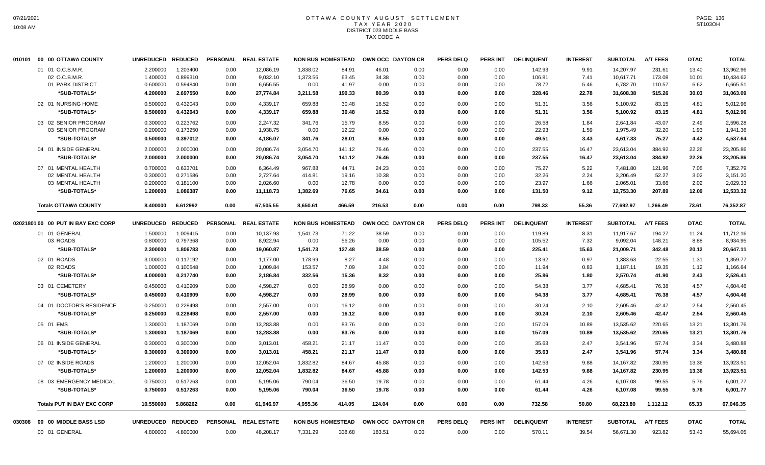# OTTAWA COUNTY AUGUST SETTLEMENT T A X Y E A R 2 0 2 0 DISTRICT 023 MIDDLE BASS TAX CODE A

| 010101 | 00 00 OTTAWA COUNTY                | <b>UNREDUCED</b>     | <b>REDUCED</b>       | <b>PERSONAL</b> | <b>REAL ESTATE</b>    | <b>NON BUS HOMESTEAD</b> |                |                | OWN OCC DAYTON CR | <b>PERS DELQ</b> | PERS INT        | <b>DELINQUENT</b> | <b>INTEREST</b> | <b>SUBTOTAL</b>        | <b>A/T FEES</b>  | <b>DTAC</b>    | <b>TOTAL</b>           |
|--------|------------------------------------|----------------------|----------------------|-----------------|-----------------------|--------------------------|----------------|----------------|-------------------|------------------|-----------------|-------------------|-----------------|------------------------|------------------|----------------|------------------------|
|        | 01 01 O.C.B.M.R.<br>02 O.C.B.M.R.  | 2.200000<br>1.400000 | 1.203400<br>0.899310 | 0.00<br>0.00    | 12,086.19<br>9,032.10 | 1.838.02<br>1,373.56     | 84.91<br>63.45 | 46.01<br>34.38 | 0.00<br>0.00      | 0.00<br>0.00     | 0.00<br>0.00    | 142.93<br>106.81  | 9.91<br>7.41    | 14.207.97<br>10,617.71 | 231.61<br>173.08 | 13.40<br>10.01 | 13,962.96<br>10,434.62 |
|        | 01 PARK DISTRICT                   | 0.600000             | 0.594840             | 0.00            | 6,656.55              | 0.00                     | 41.97          | 0.00           | 0.00              | 0.00             | 0.00            | 78.72             | 5.46            | 6,782.70               | 110.57           | 6.62           | 6,665.51               |
|        | *SUB-TOTALS*                       | 4.200000             | 2.697550             | 0.00            | 27,774.84             | 3,211.58                 | 190.33         | 80.39          | 0.00              | 0.00             | 0.00            | 328.46            | 22.78           | 31,608.38              | 515.26           | 30.03          | 31,063.09              |
|        | 02 01 NURSING HOME                 | 0.500000             | 0.432043             | 0.00            | 4,339.17              | 659.88                   | 30.48          | 16.52          | 0.00              | 0.00             | 0.00            | 51.31             | 3.56            | 5,100.92               | 83.15            | 4.81           | 5,012.96               |
|        | *SUB-TOTALS*                       | 0.500000             | 0.432043             | 0.00            | 4,339.17              | 659.88                   | 30.48          | 16.52          | 0.00              | 0.00             | 0.00            | 51.31             | 3.56            | 5,100.92               | 83.15            | 4.81           | 5,012.96               |
|        | 03 02 SENIOR PROGRAM               | 0.300000             | 0.223762             | 0.00            | 2,247.32              | 341.76                   | 15.79          | 8.55           | 0.00              | 0.00             | 0.00            | 26.58             | 1.84            | 2,641.84               | 43.07            | 2.49           | 2,596.28               |
|        | 03 SENIOR PROGRAM                  | 0.200000             | 0.173250             | 0.00            | 1,938.75              | 0.00                     | 12.22          | 0.00           | 0.00              | 0.00             | 0.00            | 22.93             | 1.59            | 1,975.49               | 32.20            | 1.93           | 1,941.36               |
|        | *SUB-TOTALS*                       | 0.500000             | 0.397012             | 0.00            | 4,186.07              | 341.76                   | 28.01          | 8.55           | 0.00              | 0.00             | 0.00            | 49.51             | 3.43            | 4,617.33               | 75.27            | 4.42           | 4,537.64               |
|        | 04 01 INSIDE GENERAL               | 2.000000             | 2.000000             | 0.00            | 20,086.74             | 3,054.70                 | 141.12         | 76.46          | 0.00              | 0.00             | 0.00            | 237.55            | 16.47           | 23,613.04              | 384.92           | 22.26          | 23,205.86              |
|        | *SUB-TOTALS*                       | 2.000000             | 2.000000             | 0.00            | 20,086.74             | 3,054.70                 | 141.12         | 76.46          | 0.00              | 0.00             | 0.00            | 237.55            | 16.47           | 23,613.04              | 384.92           | 22.26          | 23,205.86              |
|        | 07 01 MENTAL HEALTH                | 0.700000             | 0.633701             | 0.00            | 6,364.49              | 967.88                   | 44.71          | 24.23          | 0.00              | 0.00             | 0.00            | 75.27             | 5.22            | 7,481.80               | 121.96           | 7.05           | 7,352.79               |
|        | 02 MENTAL HEALTH                   | 0.300000             | 0.271586             | 0.00            | 2,727.64              | 414.81                   | 19.16          | 10.38          | 0.00              | 0.00             | 0.00            | 32.26             | 2.24            | 3,206.49               | 52.27            | 3.02           | 3,151.20               |
|        | 03 MENTAL HEALTH                   | 0.200000             | 0.181100             | 0.00            | 2,026.60              | 0.00                     | 12.78          | 0.00           | 0.00              | 0.00             | 0.00            | 23.97             | 1.66            | 2,065.01               | 33.66            | 2.02           | 2,029.33               |
|        | *SUB-TOTALS*                       | 1.200000             | 1.086387             | 0.00            | 11,118.73             | 1,382.69                 | 76.65          | 34.61          | 0.00              | 0.00             | 0.00            | 131.50            | 9.12            | 12,753.30              | 207.89           | 12.09          | 12,533.32              |
|        | <b>Totals OTTAWA COUNTY</b>        | 8.400000             | 6.612992             | 0.00            | 67,505.55             | 8,650.61                 | 466.59         | 216.53         | 0.00              | 0.00             | 0.00            | 798.33            | 55.36           | 77,692.97              | 1,266.49         | 73.61          | 76,352.87              |
|        | 02021801 00 00 PUT IN BAY EXC CORP | <b>UNREDUCED</b>     | <b>REDUCED</b>       | <b>PERSONAL</b> | <b>REAL ESTATE</b>    | <b>NON BUS HOMESTEAD</b> |                |                | OWN OCC DAYTON CR | <b>PERS DELQ</b> | <b>PERS INT</b> | <b>DELINQUENT</b> | <b>INTEREST</b> | <b>SUBTOTAL</b>        | <b>A/T FEES</b>  | <b>DTAC</b>    | <b>TOTAL</b>           |
|        | 01 01 GENERAL                      | 1.500000             | 1.009415             | 0.00            | 10,137.93             | 1,541.73                 | 71.22          | 38.59          | 0.00              | 0.00             | 0.00            | 119.89            | 8.31            | 11,917.67              | 194.27           | 11.24          | 11,712.16              |
|        | 03 ROADS                           | 0.800000             | 0.797368             | 0.00            | 8,922.94              | 0.00                     | 56.26          | 0.00           | 0.00              | 0.00             | 0.00            | 105.52            | 7.32            | 9,092.04               | 148.21           | 8.88           | 8,934.95               |
|        | *SUB-TOTALS*                       | 2.300000             | 1.806783             | 0.00            | 19,060.87             | 1,541.73                 | 127.48         | 38.59          | 0.00              | 0.00             | 0.00            | 225.41            | 15.63           | 21,009.71              | 342.48           | 20.12          | 20,647.11              |
|        | 02 01 ROADS                        | 3.000000             | 0.117192             | 0.00            | 1,177.00              | 178.99                   | 8.27           | 4.48           | 0.00              | 0.00             | 0.00            | 13.92             | 0.97            | 1,383.63               | 22.55            | 1.31           | 1,359.77               |
|        | 02 ROADS                           | 1.000000             | 0.100548             | 0.00            | 1,009.84              | 153.57                   | 7.09           | 3.84           | 0.00              | 0.00             | 0.00            | 11.94             | 0.83            | 1,187.11               | 19.35            | 1.12           | 1,166.64               |
|        | *SUB-TOTALS*                       | 4.000000             | 0.217740             | 0.00            | 2,186.84              | 332.56                   | 15.36          | 8.32           | 0.00              | 0.00             | 0.00            | 25.86             | 1.80            | 2,570.74               | 41.90            | 2.43           | 2,526.41               |
|        | 03 01 CEMETERY                     | 0.450000             | 0.410909             | 0.00            | 4,598.27              | 0.00                     | 28.99          | 0.00           | 0.00              | 0.00             | 0.00            | 54.38             | 3.77            | 4,685.41               | 76.38            | 4.57           | 4,604.46               |
|        | *SUB-TOTALS*                       | 0.450000             | 0.410909             | 0.00            | 4,598.27              | 0.00                     | 28.99          | 0.00           | 0.00              | 0.00             | 0.00            | 54.38             | 3.77            | 4,685.41               | 76.38            | 4.57           | 4,604.46               |
|        | 04 01 DOCTOR'S RESIDENCE           | 0.250000             | 0.228498             | 0.00            | 2,557.00              | 0.00                     | 16.12          | 0.00           | 0.00              | 0.00             | 0.00            | 30.24             | 2.10            | 2,605.46               | 42.47            | 2.54           | 2,560.45               |
|        | *SUB-TOTALS*                       | 0.250000             | 0.228498             | 0.00            | 2,557.00              | 0.00                     | 16.12          | 0.00           | 0.00              | 0.00             | 0.00            | 30.24             | 2.10            | 2,605.46               | 42.47            | 2.54           | 2,560.45               |
|        | 05 01 EMS                          | 1.300000             | 1.187069             | 0.00            | 13,283.88             | 0.00                     | 83.76          | 0.00           | 0.00              | 0.00             | 0.00            | 157.09            | 10.89           | 13,535.62              | 220.65           | 13.21          | 13,301.76              |
|        | *SUB-TOTALS*                       | 1.300000             | 1.187069             | 0.00            | 13,283.88             | 0.00                     | 83.76          | 0.00           | 0.00              | 0.00             | 0.00            | 157.09            | 10.89           | 13,535.62              | 220.65           | 13.21          | 13,301.76              |
|        | 06 01 INSIDE GENERAL               | 0.300000             | 0.300000             | 0.00            | 3,013.01              | 458.21                   | 21.17          | 11.47          | 0.00              | 0.00             | 0.00            | 35.63             | 2.47            | 3,541.96               | 57.74            | 3.34           | 3,480.88               |
|        | *SUB-TOTALS*                       | 0.300000             | 0.300000             | 0.00            | 3,013.01              | 458.21                   | 21.17          | 11.47          | 0.00              | 0.00             | 0.00            | 35.63             | 2.47            | 3,541.96               | 57.74            | 3.34           | 3,480.88               |
|        | 07 02 INSIDE ROADS                 | 1.200000             | 1.200000             | 0.00            | 12,052.04             | 1,832.82                 | 84.67          | 45.88          | 0.00              | 0.00             | 0.00            | 142.53            | 9.88            | 14,167.82              | 230.95           | 13.36          | 13,923.51              |
|        | *SUB-TOTALS*                       | 1.200000             | 1.200000             | 0.00            | 12,052.04             | 1,832.82                 | 84.67          | 45.88          | 0.00              | 0.00             | 0.00            | 142.53            | 9.88            | 14,167.82              | 230.95           | 13.36          | 13,923.51              |
|        | 08 03 EMERGENCY MEDICAL            | 0.750000             | 0.517263             | 0.00            | 5,195.06              | 790.04                   | 36.50          | 19.78          | 0.00              | 0.00             | 0.00            | 61.44             | 4.26            | 6,107.08               | 99.55            | 5.76           | 6,001.77               |
|        | *SUB-TOTALS*                       | 0.750000             | 0.517263             | 0.00            | 5,195.06              | 790.04                   | 36.50          | 19.78          | 0.00              | 0.00             | 0.00            | 61.44             | 4.26            | 6,107.08               | 99.55            | 5.76           | 6,001.77               |
|        | <b>Totals PUT IN BAY EXC CORP</b>  | 10.550000            | 5.868262             | 0.00            | 61,946.97             | 4,955.36                 | 414.05         | 124.04         | 0.00              | 0.00             | 0.00            | 732.58            | 50.80           | 68,223.80              | 1,112.12         | 65.33          | 67,046.35              |
| 030308 | 00 00 MIDDLE BASS LSD              | <b>UNREDUCED</b>     | <b>REDUCED</b>       |                 | PERSONAL REAL ESTATE  | <b>NON BUS HOMESTEAD</b> |                |                | OWN OCC DAYTON CR | <b>PERS DELQ</b> | PERS INT        | <b>DELINQUENT</b> | <b>INTEREST</b> | <b>SUBTOTAL</b>        | <b>A/T FEES</b>  | <b>DTAC</b>    | <b>TOTAL</b>           |
|        | 00 01 GENERAL                      | 4.800000             | 4.800000             | 0.00            | 48,208.17             | 7,331.29                 | 338.68         | 183.51         | 0.00              | 0.00             | 0.00            | 570.11            | 39.54           | 56,671.30              | 923.82           | 53.43          | 55,694.05              |
|        |                                    |                      |                      |                 |                       |                          |                |                |                   |                  |                 |                   |                 |                        |                  |                |                        |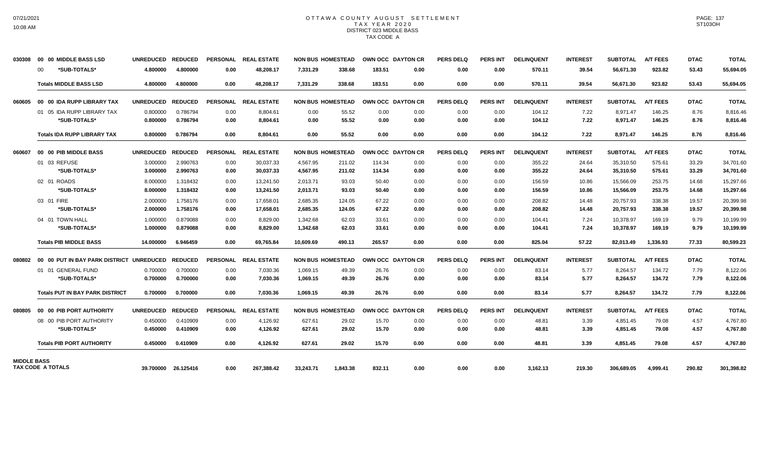### OTTAWA COUNTY AUGUST SETTLEMENT T A X Y E A R 2 0 2 0 DISTRICT 023 MIDDLE BASS TAX CODE A

| 030308             |         | 00 00 MIDDLE BASS LSD                    | UNREDUCED REDUCED |                     |                 | PERSONAL REAL ESTATE |           | <b>NON BUS HOMESTEAD</b> |        | OWN OCC DAYTON CR | <b>PERS DELQ</b> | <b>PERS INT</b> | <b>DELINQUENT</b> | <b>INTEREST</b> | <b>SUBTOTAL</b> | <b>A/T FEES</b> | <b>DTAC</b> | <b>TOTAL</b> |
|--------------------|---------|------------------------------------------|-------------------|---------------------|-----------------|----------------------|-----------|--------------------------|--------|-------------------|------------------|-----------------|-------------------|-----------------|-----------------|-----------------|-------------|--------------|
|                    | $00 \,$ | *SUB-TOTALS*                             | 4.800000          | 4.800000            | 0.00            | 48,208.17            | 7,331.29  | 338.68                   | 183.51 | 0.00              | 0.00             | 0.00            | 570.11            | 39.54           | 56,671.30       | 923.82          | 53.43       | 55,694.05    |
|                    |         | <b>Totals MIDDLE BASS LSD</b>            | 4.800000          | 4.800000            | 0.00            | 48,208.17            | 7,331.29  | 338.68                   | 183.51 | 0.00              | 0.00             | 0.00            | 570.11            | 39.54           | 56,671.30       | 923.82          | 53.43       | 55,694.05    |
| 060605             |         | 00 00 IDA RUPP LIBRARY TAX               | <b>UNREDUCED</b>  | <b>REDUCED</b>      | <b>PERSONAL</b> | <b>REAL ESTATE</b>   |           | <b>NON BUS HOMESTEAD</b> |        | OWN OCC DAYTON CR | <b>PERS DELQ</b> | <b>PERS INT</b> | <b>DELINQUENT</b> | <b>INTEREST</b> | <b>SUBTOTAL</b> | <b>A/T FEES</b> | <b>DTAC</b> | <b>TOTAL</b> |
|                    |         | 01 05 IDA RUPP LIBRARY TAX               | 0.800000          | 0.786794            | 0.00            | 8,804.61             | 0.00      | 55.52                    | 0.00   | 0.00              | 0.00             | 0.00            | 104.12            | 7.22            | 8,971.47        | 146.25          | 8.76        | 8,816.46     |
|                    |         | *SUB-TOTALS*                             | 0.800000          | 0.786794            | 0.00            | 8,804.61             | 0.00      | 55.52                    | 0.00   | 0.00              | 0.00             | 0.00            | 104.12            | 7.22            | 8,971.47        | 146.25          | 8.76        | 8,816.46     |
|                    |         | <b>Totals IDA RUPP LIBRARY TAX</b>       | 0.800000          | 0.786794            | 0.00            | 8.804.61             | 0.00      | 55.52                    | 0.00   | 0.00              | 0.00             | 0.00            | 104.12            | 7.22            | 8,971.47        | 146.25          | 8.76        | 8,816.46     |
| 060607             |         | 00 00 PIB MIDDLE BASS                    | <b>UNREDUCED</b>  | <b>REDUCED</b>      | <b>PERSONAL</b> | <b>REAL ESTATE</b>   |           | <b>NON BUS HOMESTEAD</b> |        | OWN OCC DAYTON CR | PERS DELO        | <b>PERS INT</b> | <b>DELINQUENT</b> | <b>INTEREST</b> | <b>SUBTOTAL</b> | <b>A/T FEES</b> | <b>DTAC</b> | <b>TOTAL</b> |
|                    |         | 01 03 REFUSE                             | 3.000000          | 2.990763            | 0.00            | 30,037.33            | 4.567.95  | 211.02                   | 114.34 | 0.00              | 0.00             | 0.00            | 355.22            | 24.64           | 35,310.50       | 575.61          | 33.29       | 34,701.60    |
|                    |         | *SUB-TOTALS*                             | 3.000000          | 2.990763            | 0.00            | 30,037.33            | 4,567.95  | 211.02                   | 114.34 | 0.00              | 0.00             | 0.00            | 355.22            | 24.64           | 35,310.50       | 575.61          | 33.29       | 34,701.60    |
|                    |         | 02 01 ROADS                              | 8.000000          | 1.318432            | 0.00            | 13.241.50            | 2,013.71  | 93.03                    | 50.40  | 0.00              | 0.00             | 0.00            | 156.59            | 10.86           | 15,566.09       | 253.75          | 14.68       | 15,297.66    |
|                    |         | *SUB-TOTALS*                             | 8.000000          | 1.318432            | 0.00            | 13,241.50            | 2,013.71  | 93.03                    | 50.40  | 0.00              | 0.00             | 0.00            | 156.59            | 10.86           | 15,566.09       | 253.75          | 14.68       | 15,297.66    |
|                    |         | 03 01 FIRE                               | 2.000000          | 1.758176            | 0.00            | 17.658.01            | 2.685.35  | 124.05                   | 67.22  | 0.00              | 0.00             | 0.00            | 208.82            | 14.48           | 20.757.93       | 338.38          | 19.57       | 20,399.98    |
|                    |         | *SUB-TOTALS*                             | 2.000000          | 1.758176            | 0.00            | 17.658.01            | 2.685.35  | 124.05                   | 67.22  | 0.00              | 0.00             | 0.00            | 208.82            | 14.48           | 20.757.93       | 338.38          | 19.57       | 20,399.98    |
|                    |         | 04 01 TOWN HALL                          | 1.000000          | 0.879088            | 0.00            | 8.829.00             | 1.342.68  | 62.03                    | 33.61  | 0.00              | 0.00             | 0.00            | 104.41            | 7.24            | 10.378.97       | 169.19          | 9.79        | 10,199.99    |
|                    |         | *SUB-TOTALS*                             | 1.000000          | 0.879088            | 0.00            | 8,829.00             | 1,342.68  | 62.03                    | 33.61  | 0.00              | 0.00             | 0.00            | 104.41            | 7.24            | 10,378.97       | 169.19          | 9.79        | 10,199.99    |
|                    |         | <b>Totals PIB MIDDLE BASS</b>            | 14.000000         | 6.946459            | 0.00            | 69.765.84            | 10.609.69 | 490.13                   | 265.57 | 0.00              | 0.00             | 0.00            | 825.04            | 57.22           | 82.013.49       | 1.336.93        | 77.33       | 80,599.23    |
| 080802             |         | 00 00 PUT IN BAY PARK DISTRICT UNREDUCED |                   | <b>REDUCED</b>      |                 | PERSONAL REAL ESTATE |           | <b>NON BUS HOMESTEAD</b> |        | OWN OCC DAYTON CR | <b>PERS DELQ</b> | <b>PERS INT</b> | <b>DELINQUENT</b> | <b>INTEREST</b> | <b>SUBTOTAL</b> | <b>A/T FEES</b> | <b>DTAC</b> | <b>TOTAL</b> |
|                    |         | 01 01 GENERAL FUND                       | 0.700000          | 0.700000            | 0.00            | 7,030.36             | 1,069.15  | 49.39                    | 26.76  | 0.00              | 0.00             | 0.00            | 83.14             | 5.77            | 8,264.57        | 134.72          | 7.79        | 8,122.06     |
|                    |         | *SUB-TOTALS*                             | 0.700000          | 0.700000            | 0.00            | 7,030.36             | 1,069.15  | 49.39                    | 26.76  | 0.00              | 0.00             | 0.00            | 83.14             | 5.77            | 8,264.57        | 134.72          | 7.79        | 8,122.06     |
|                    |         | <b>Totals PUT IN BAY PARK DISTRICT</b>   | 0.700000          | 0.700000            | 0.00            | 7.030.36             | 1.069.15  | 49.39                    | 26.76  | 0.00              | 0.00             | 0.00            | 83.14             | 5.77            | 8,264.57        | 134.72          | 7.79        | 8,122.06     |
| 080805             |         | 00 00 PIB PORT AUTHORITY                 | <b>UNREDUCED</b>  | <b>REDUCED</b>      |                 | PERSONAL REAL ESTATE |           | <b>NON BUS HOMESTEAD</b> |        | OWN OCC DAYTON CR | <b>PERS DELQ</b> | <b>PERS INT</b> | <b>DELINQUENT</b> | <b>INTEREST</b> | <b>SUBTOTAL</b> | <b>A/T FEES</b> | <b>DTAC</b> | <b>TOTAL</b> |
|                    |         | 08 00 PIB PORT AUTHORITY                 | 0.450000          | 0.410909            | 0.00            | 4,126.92             | 627.61    | 29.02                    | 15.70  | 0.00              | 0.00             | 0.00            | 48.81             | 3.39            | 4,851.45        | 79.08           | 4.57        | 4,767.80     |
|                    |         | *SUB-TOTALS*                             | 0.450000          | 0.410909            | 0.00            | 4,126.92             | 627.61    | 29.02                    | 15.70  | 0.00              | 0.00             | 0.00            | 48.81             | 3.39            | 4,851.45        | 79.08           | 4.57        | 4,767.80     |
|                    |         | <b>Totals PIB PORT AUTHORITY</b>         | 0.450000          | 0.410909            | 0.00            | 4.126.92             | 627.61    | 29.02                    | 15.70  | 0.00              | 0.00             | 0.00            | 48.81             | 3.39            | 4.851.45        | 79.08           | 4.57        | 4,767.80     |
| <b>MIDDLE BASS</b> |         |                                          |                   |                     |                 |                      |           |                          |        |                   |                  |                 |                   |                 |                 |                 |             |              |
|                    |         | <b>TAX CODE A TOTALS</b>                 |                   | 39.700000 26.125416 | 0.00            | 267,388.42           | 33,243.71 | 1.843.38                 | 832.11 | 0.00              | 0.00             | 0.00            | 3,162.13          | 219.30          | 306.689.05      | 4.999.41        | 290.82      | 301,398.82   |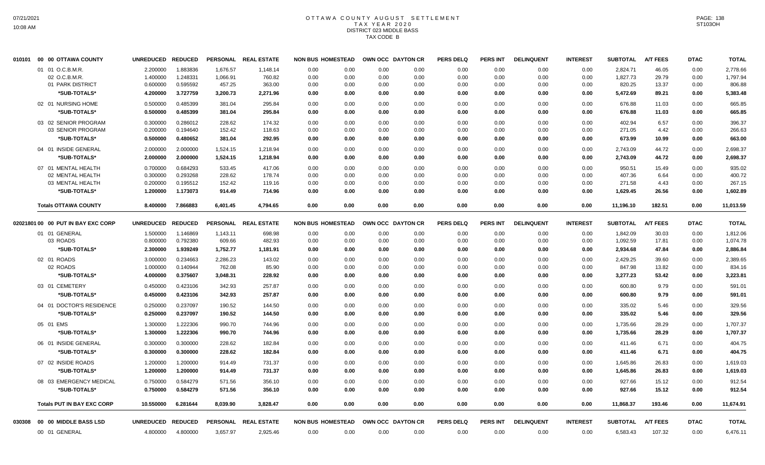# OTTAWA COUNTY AUGUST SETTLEMENT T A X Y E A R 2 0 2 0 DISTRICT 023 MIDDLE BASS TAX CODE B

| 010101 | 00 00 OTTAWA COUNTY                     | <b>UNREDUCED</b>     | <b>REDUCED</b>       | <b>PERSONAL</b>  | <b>REAL ESTATE</b>   | <b>NON BUS HOMESTEAD</b> |              |              | OWN OCC DAYTON CR | <b>PERS DELQ</b> | PERS INT        | <b>DELINQUENT</b> | <b>INTEREST</b> | <b>SUBTOTAL</b>  | <b>A/T FEES</b> | <b>DTAC</b>  | <b>TOTAL</b>     |
|--------|-----------------------------------------|----------------------|----------------------|------------------|----------------------|--------------------------|--------------|--------------|-------------------|------------------|-----------------|-------------------|-----------------|------------------|-----------------|--------------|------------------|
|        | 01 01 O.C.B.M.R.                        | 2.200000             | 1.883836             | 1.676.57         | 1,148.14             | 0.00                     | 0.00         | 0.00         | 0.00              | 0.00             | 0.00            | 0.00              | 0.00            | 2.824.71         | 46.05           | 0.00         | 2,778.66         |
|        | 02 O.C.B.M.R.                           | 1.400000             | 1.248331             | 1,066.91         | 760.82               | 0.00                     | 0.00         | 0.00         | 0.00              | 0.00             | 0.00            | 0.00              | 0.00            | 1,827.73         | 29.79           | 0.00         | 1,797.94         |
|        | 01 PARK DISTRICT                        | 0.600000             | 0.595592             | 457.25           | 363.00               | 0.00                     | 0.00         | 0.00         | 0.00              | 0.00             | 0.00            | 0.00              | 0.00            | 820.25           | 13.37           | 0.00         | 806.88           |
|        | *SUB-TOTALS*                            | 4.200000             | 3.727759             | 3,200.73         | 2,271.96             | 0.00                     | 0.00         | 0.00         | 0.00              | 0.00             | 0.00            | 0.00              | 0.00            | 5,472.69         | 89.21           | 0.00         | 5,383.48         |
|        | 02 01 NURSING HOME                      | 0.500000             | 0.485399             | 381.04           | 295.84               | 0.00                     | 0.00         | 0.00         | 0.00              | 0.00             | 0.00            | 0.00              | 0.00            | 676.88           | 11.03           | 0.00         | 665.85           |
|        | *SUB-TOTALS*                            | 0.500000             | 0.485399             | 381.04           | 295.84               | 0.00                     | 0.00         | 0.00         | 0.00              | 0.00             | 0.00            | 0.00              | 0.00            | 676.88           | 11.03           | 0.00         | 665.85           |
|        | 03 02 SENIOR PROGRAM                    | 0.300000             | 0.286012             | 228.62           | 174.32               | 0.00                     | 0.00         | 0.00         | 0.00              | 0.00             | 0.00            | 0.00              | 0.00            | 402.94           | 6.57            | 0.00         | 396.37           |
|        | 03 SENIOR PROGRAM                       | 0.200000             | 0.194640             | 152.42           | 118.63               | 0.00                     | 0.00         | 0.00         | 0.00              | 0.00             | 0.00            | 0.00              | 0.00            | 271.05           | 4.42            | 0.00         | 266.63           |
|        | *SUB-TOTALS*                            | 0.500000             | 0.480652             | 381.04           | 292.95               | 0.00                     | 0.00         | 0.00         | 0.00              | 0.00             | 0.00            | 0.00              | 0.00            | 673.99           | 10.99           | 0.00         | 663.00           |
|        | 04 01 INSIDE GENERAL                    | 2.000000             | 2.000000             | 1,524.15         | 1,218.94             | 0.00                     | 0.00         | 0.00         | 0.00              | 0.00             | 0.00            | 0.00              | 0.00            | 2,743.09         | 44.72           | 0.00         | 2,698.37         |
|        | *SUB-TOTALS*                            | 2.000000             | 2.000000             | 1,524.15         | 1,218.94             | 0.00                     | 0.00         | 0.00         | 0.00              | 0.00             | 0.00            | 0.00              | 0.00            | 2,743.09         | 44.72           | 0.00         | 2,698.37         |
|        | 07 01 MENTAL HEALTH                     | 0.700000             | 0.684293             | 533.45           | 417.06               | 0.00                     | 0.00         | 0.00         | 0.00              | 0.00             | 0.00            | 0.00              | 0.00            | 950.51           | 15.49           | 0.00         | 935.02           |
|        | 02 MENTAL HEALTH                        | 0.300000             | 0.293268             | 228.62           | 178.74               | 0.00                     | 0.00         | 0.00         | 0.00              | 0.00             | 0.00            | 0.00              | 0.00            | 407.36           | 6.64            | 0.00         | 400.72           |
|        | 03 MENTAL HEALTH                        | 0.200000             | 0.195512             | 152.42           | 119.16               | 0.00                     | 0.00         | 0.00         | 0.00              | 0.00             | 0.00            | 0.00              | 0.00            | 271.58           | 4.43            | 0.00         | 267.15           |
|        | *SUB-TOTALS*                            | 1.200000             | 1.173073             | 914.49           | 714.96               | 0.00                     | 0.00         | 0.00         | 0.00              | 0.00             | 0.00            | 0.00              | 0.00            | 1,629.45         | 26.56           | 0.00         | 1,602.89         |
|        | <b>Totals OTTAWA COUNTY</b>             | 8.400000             | 7.866883             | 6,401.45         | 4,794.65             | 0.00                     | 0.00         | 0.00         | 0.00              | 0.00             | 0.00            | 0.00              | 0.00            | 11,196.10        | 182.51          | 0.00         | 11,013.59        |
|        | 02021801 00 00 PUT IN BAY EXC CORP      | <b>UNREDUCED</b>     | <b>REDUCED</b>       |                  | PERSONAL REAL ESTATE | <b>NON BUS HOMESTEAD</b> |              |              | OWN OCC DAYTON CR | <b>PERS DELQ</b> | <b>PERS INT</b> | <b>DELINQUENT</b> | <b>INTEREST</b> | <b>SUBTOTAL</b>  | <b>A/T FEES</b> | <b>DTAC</b>  | <b>TOTAL</b>     |
|        | 01 01 GENERAL                           | 1.500000             | 1.146869             | 1,143.11         | 698.98               | 0.00                     | 0.00         | 0.00         | 0.00              | 0.00             | 0.00            | 0.00              | 0.00            | 1,842.09         | 30.03           | 0.00         | 1,812.06         |
|        | 03 ROADS                                | 0.800000             | 0.792380             | 609.66           | 482.93               | 0.00                     | 0.00         | 0.00         | 0.00              | 0.00             | 0.00            | 0.00              | 0.00            | 1,092.59         | 17.81           | 0.00         | 1,074.78         |
|        | *SUB-TOTALS*                            | 2.300000             | 1.939249             | 1,752.77         | 1,181.91             | 0.00                     | 0.00         | 0.00         | 0.00              | 0.00             | 0.00            | 0.00              | 0.00            | 2,934.68         | 47.84           | 0.00         | 2,886.84         |
|        | 02 01 ROADS                             | 3.000000             | 0.234663             | 2,286.23         | 143.02               | 0.00                     | 0.00         | 0.00         | 0.00              | 0.00             | 0.00            | 0.00              | 0.00            | 2,429.25         | 39.60           | 0.00         | 2,389.65         |
|        | 02 ROADS                                | 1.000000             | 0.140944             | 762.08           | 85.90                | 0.00                     | 0.00         | 0.00         | 0.00              | 0.00             | 0.00            | 0.00              | 0.00            | 847.98           | 13.82           | 0.00         | 834.16           |
|        | *SUB-TOTALS*                            | 4.000000             | 0.375607             | 3,048.31         | 228.92               | 0.00                     | 0.00         | 0.00         | 0.00              | 0.00             | 0.00            | 0.00              | 0.00            | 3,277.23         | 53.42           | 0.00         | 3,223.81         |
|        | 03 01 CEMETERY                          | 0.450000             | 0.423106             | 342.93           | 257.87               | 0.00                     | 0.00         | 0.00         | 0.00              | 0.00             | 0.00            | 0.00              | 0.00            | 600.80           | 9.79            | 0.00         | 591.01           |
|        | *SUB-TOTALS*                            | 0.450000             | 0.423106             | 342.93           | 257.87               | 0.00                     | 0.00         | 0.00         | 0.00              | 0.00             | 0.00            | 0.00              | 0.00            | 600.80           | 9.79            | 0.00         | 591.01           |
|        | 04 01 DOCTOR'S RESIDENCE                | 0.250000             | 0.237097             | 190.52           | 144.50               | 0.00                     | 0.00         | 0.00         | 0.00              | 0.00             | 0.00            | 0.00              | 0.00            | 335.02           | 5.46            | 0.00         | 329.56           |
|        | *SUB-TOTALS*                            | 0.250000             | 0.237097             | 190.52           | 144.50               | 0.00                     | 0.00         | 0.00         | 0.00              | 0.00             | 0.00            | 0.00              | 0.00            | 335.02           | 5.46            | 0.00         | 329.56           |
|        | 05 01 EMS                               | 1.300000             | 1.222306             | 990.70           | 744.96               | 0.00                     | 0.00         | 0.00         | 0.00              | 0.00             | 0.00            | 0.00              | 0.00            | 1,735.66         | 28.29           | 0.00         | 1,707.37         |
|        | *SUB-TOTALS*                            | 1.300000             | 1.222306             | 990.70           | 744.96               | 0.00                     | 0.00         | 0.00         | 0.00              | 0.00             | 0.00            | 0.00              | 0.00            | 1,735.66         | 28.29           | 0.00         | 1,707.37         |
|        | 06 01 INSIDE GENERAL                    | 0.300000             | 0.300000             | 228.62           | 182.84               | 0.00                     | 0.00         | 0.00         | 0.00              | 0.00             | 0.00            | 0.00              | 0.00            | 411.46           | 6.71            | 0.00         | 404.75           |
|        | *SUB-TOTALS*                            | 0.300000             | 0.300000             | 228.62           | 182.84               | 0.00                     | 0.00         | 0.00         | 0.00              | 0.00             | 0.00            | 0.00              | 0.00            | 411.46           | 6.71            | 0.00         | 404.75           |
|        | 07 02 INSIDE ROADS                      | 1.200000             | 1.200000             | 914.49           | 731.37               | 0.00                     | 0.00         | 0.00         | 0.00              | 0.00             | 0.00            | 0.00              | 0.00            | 1,645.86         | 26.83           | 0.00         | 1,619.03         |
|        | *SUB-TOTALS*                            | 1.200000             | 1.200000             | 914.49           | 731.37               | 0.00                     | 0.00         | 0.00         | 0.00              | 0.00             | 0.00            | 0.00              | 0.00            | 1,645.86         | 26.83           | 0.00         | 1,619.03         |
|        |                                         |                      |                      |                  |                      |                          |              |              |                   |                  |                 |                   |                 |                  |                 |              |                  |
|        | 08 03 EMERGENCY MEDICAL<br>*SUB-TOTALS* | 0.750000<br>0.750000 | 0.584279<br>0.584279 | 571.56<br>571.56 | 356.10<br>356.10     | 0.00<br>0.00             | 0.00<br>0.00 | 0.00<br>0.00 | 0.00<br>0.00      | 0.00<br>0.00     | 0.00<br>0.00    | 0.00<br>0.00      | 0.00<br>0.00    | 927.66<br>927.66 | 15.12<br>15.12  | 0.00<br>0.00 | 912.54<br>912.54 |
|        |                                         |                      |                      |                  |                      |                          |              |              |                   |                  |                 |                   |                 |                  |                 |              |                  |
|        | <b>Totals PUT IN BAY EXC CORP</b>       | 10.550000            | 6.281644             | 8,039.90         | 3,828.47             | 0.00                     | 0.00         | 0.00         | 0.00              | 0.00             | 0.00            | 0.00              | 0.00            | 11,868.37        | 193.46          | 0.00         | 11,674.91        |
| 030308 | 00 00 MIDDLE BASS LSD                   | <b>UNREDUCED</b>     | <b>REDUCED</b>       |                  | PERSONAL REAL ESTATE | <b>NON BUS HOMESTEAD</b> |              |              | OWN OCC DAYTON CR | <b>PERS DELQ</b> | PERS INT        | <b>DELINQUENT</b> | <b>INTEREST</b> | <b>SUBTOTAL</b>  | <b>A/T FEES</b> | <b>DTAC</b>  | <b>TOTAL</b>     |
|        | 00 01 GENERAL                           | 4.800000             | 4.800000             | 3,657.97         | 2,925.46             | 0.00                     | 0.00         | 0.00         | 0.00              | 0.00             | 0.00            | 0.00              | 0.00            | 6,583.43         | 107.32          | 0.00         | 6,476.11         |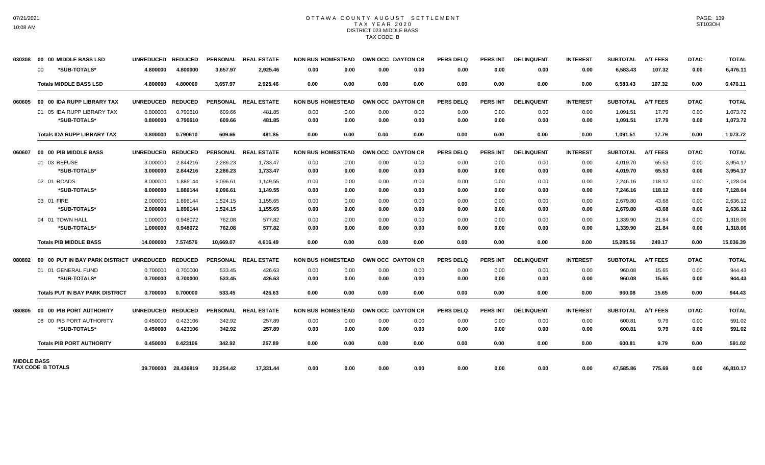### OTTAWA COUNTY AUGUST SETTLEMENT T A X Y E A R 2 0 2 0 DISTRICT 023 MIDDLE BASS TAX CODE B

| 030308             | 00 00 MIDDLE BASS LSD                    | UNREDUCED REDUCED |                     |           | PERSONAL REAL ESTATE |      | <b>NON BUS HOMESTEAD</b> |      | OWN OCC DAYTON CR | <b>PERS DELQ</b> | <b>PERS INT</b> | <b>DELINQUENT</b> | <b>INTEREST</b> | <b>SUBTOTAL</b> | <b>A/T FEES</b> | <b>DTAC</b> | <b>TOTAL</b> |
|--------------------|------------------------------------------|-------------------|---------------------|-----------|----------------------|------|--------------------------|------|-------------------|------------------|-----------------|-------------------|-----------------|-----------------|-----------------|-------------|--------------|
|                    | *SUB-TOTALS*<br>00                       | 4.800000          | 4.800000            | 3,657.97  | 2,925.46             | 0.00 | 0.00                     | 0.00 | 0.00              | 0.00             | 0.00            | 0.00              | 0.00            | 6,583.43        | 107.32          | 0.00        | 6,476.11     |
|                    | <b>Totals MIDDLE BASS LSD</b>            | 4.800000          | 4.800000            | 3,657.97  | 2,925.46             | 0.00 | 0.00                     | 0.00 | 0.00              | 0.00             | 0.00            | 0.00              | 0.00            | 6,583.43        | 107.32          | 0.00        | 6,476.11     |
| 060605             | 00 00 IDA RUPP LIBRARY TAX               | <b>UNREDUCED</b>  | <b>REDUCED</b>      |           | PERSONAL REAL ESTATE |      | <b>NON BUS HOMESTEAD</b> |      | OWN OCC DAYTON CR | <b>PERS DELQ</b> | <b>PERS INT</b> | <b>DELINQUENT</b> | <b>INTEREST</b> | <b>SUBTOTAL</b> | <b>A/T FEES</b> | <b>DTAC</b> | <b>TOTAL</b> |
|                    | 01 05 IDA RUPP LIBRARY TAX               | 0.800000          | 0.790610            | 609.66    | 481.85               | 0.00 | 0.00                     | 0.00 | 0.00              | 0.00             | 0.00            | 0.00              | 0.00            | 1,091.51        | 17.79           | 0.00        | 1,073.72     |
|                    | *SUB-TOTALS*                             | 0.800000          | 0.790610            | 609.66    | 481.85               | 0.00 | 0.00                     | 0.00 | 0.00              | 0.00             | 0.00            | 0.00              | 0.00            | 1,091.51        | 17.79           | 0.00        | 1,073.72     |
|                    | <b>Totals IDA RUPP LIBRARY TAX</b>       | 0.800000          | 0.790610            | 609.66    | 481.85               | 0.00 | 0.00                     | 0.00 | 0.00              | 0.00             | 0.00            | 0.00              | 0.00            | 1,091.51        | 17.79           | 0.00        | 1,073.72     |
| 060607             | 00 00 PIB MIDDLE BASS                    | <b>UNREDUCED</b>  | <b>REDUCED</b>      |           | PERSONAL REAL ESTATE |      | <b>NON BUS HOMESTEAD</b> |      | OWN OCC DAYTON CR | <b>PERS DELQ</b> | <b>PERS INT</b> | <b>DELINQUENT</b> | <b>INTEREST</b> | <b>SUBTOTAL</b> | <b>A/T FEES</b> | <b>DTAC</b> | <b>TOTAL</b> |
|                    | 01 03 REFUSE                             | 3.000000          | 2.844216            | 2,286.23  | 1,733.47             | 0.00 | 0.00                     | 0.00 | 0.00              | 0.00             | 0.00            | 0.00              | 0.00            | 4,019.70        | 65.53           | 0.00        | 3,954.17     |
|                    | *SUB-TOTALS*                             | 3.000000          | 2.844216            | 2,286.23  | 1,733.47             | 0.00 | 0.00                     | 0.00 | 0.00              | 0.00             | 0.00            | 0.00              | 0.00            | 4,019.70        | 65.53           | 0.00        | 3,954.17     |
|                    | 02 01 ROADS                              | 8.000000          | 1.886144            | 6.096.61  | 1,149.55             | 0.00 | 0.00                     | 0.00 | 0.00              | 0.00             | 0.00            | 0.00              | 0.00            | 7,246.16        | 118.12          | 0.00        | 7,128.04     |
|                    | *SUB-TOTALS*                             | 8.000000          | 1.886144            | 6,096.61  | 1,149.55             | 0.00 | 0.00                     | 0.00 | 0.00              | 0.00             | 0.00            | 0.00              | 0.00            | 7,246.16        | 118.12          | 0.00        | 7,128.04     |
|                    | 03 01 FIRE                               | 2.000000          | 1.896144            | 1,524.15  | 1,155.65             | 0.00 | 0.00                     | 0.00 | 0.00              | 0.00             | 0.00            | 0.00              | 0.00            | 2.679.80        | 43.68           | 0.00        | 2,636.12     |
|                    | *SUB-TOTALS*                             | 2.000000          | 1.896144            | 1,524.15  | 1,155.65             | 0.00 | 0.00                     | 0.00 | 0.00              | 0.00             | 0.00            | 0.00              | 0.00            | 2.679.80        | 43.68           | 0.00        | 2,636.12     |
|                    | 04 01 TOWN HALL                          | 1.000000          | 0.948072            | 762.08    | 577.82               | 0.00 | 0.00                     | 0.00 | 0.00              | 0.00             | 0.00            | 0.00              | 0.00            | 1,339.90        | 21.84           | 0.00        | 1,318.06     |
|                    | *SUB-TOTALS*                             | 1.000000          | 0.948072            | 762.08    | 577.82               | 0.00 | 0.00                     | 0.00 | 0.00              | 0.00             | 0.00            | 0.00              | 0.00            | 1,339.90        | 21.84           | 0.00        | 1,318.06     |
|                    | <b>Totals PIB MIDDLE BASS</b>            | 14.000000         | 7.574576            | 10.669.07 | 4.616.49             | 0.00 | 0.00                     | 0.00 | 0.00              | 0.00             | 0.00            | 0.00              | 0.00            | 15,285.56       | 249.17          | 0.00        | 15,036.39    |
| 080802             | 00 00 PUT IN BAY PARK DISTRICT UNREDUCED |                   | <b>REDUCED</b>      |           | PERSONAL REAL ESTATE |      | <b>NON BUS HOMESTEAD</b> |      | OWN OCC DAYTON CR | <b>PERS DELQ</b> | <b>PERS INT</b> | <b>DELINQUENT</b> | <b>INTEREST</b> | <b>SUBTOTAL</b> | <b>A/T FEES</b> | <b>DTAC</b> | <b>TOTAL</b> |
|                    | 01 01 GENERAL FUND                       | 0.700000          | 0.700000            | 533.45    | 426.63               | 0.00 | 0.00                     | 0.00 | 0.00              | 0.00             | 0.00            | 0.00              | 0.00            | 960.08          | 15.65           | 0.00        | 944.43       |
|                    | *SUB-TOTALS*                             | 0.700000          | 0.700000            | 533.45    | 426.63               | 0.00 | 0.00                     | 0.00 | 0.00              | 0.00             | 0.00            | 0.00              | 0.00            | 960.08          | 15.65           | 0.00        | 944.43       |
|                    | <b>Totals PUT IN BAY PARK DISTRICT</b>   | 0.700000          | 0.700000            | 533.45    | 426.63               | 0.00 | 0.00                     | 0.00 | 0.00              | 0.00             | 0.00            | 0.00              | 0.00            | 960.08          | 15.65           | 0.00        | 944.43       |
| 080805             | 00 00 PIB PORT AUTHORITY                 | <b>UNREDUCED</b>  | <b>REDUCED</b>      |           | PERSONAL REAL ESTATE |      | <b>NON BUS HOMESTEAD</b> |      | OWN OCC DAYTON CR | <b>PERS DELQ</b> | <b>PERS INT</b> | <b>DELINQUENT</b> | <b>INTEREST</b> | <b>SUBTOTAL</b> | <b>A/T FEES</b> | <b>DTAC</b> | <b>TOTAL</b> |
|                    | 08 00 PIB PORT AUTHORITY                 | 0.450000          | 0.423106            | 342.92    | 257.89               | 0.00 | 0.00                     | 0.00 | 0.00              | 0.00             | 0.00            | 0.00              | 0.00            | 600.81          | 9.79            | 0.00        | 591.02       |
|                    | *SUB-TOTALS*                             | 0.450000          | 0.423106            | 342.92    | 257.89               | 0.00 | 0.00                     | 0.00 | 0.00              | 0.00             | 0.00            | 0.00              | 0.00            | 600.81          | 9.79            | 0.00        | 591.02       |
|                    | <b>Totals PIB PORT AUTHORITY</b>         | 0.450000          | 0.423106            | 342.92    | 257.89               | 0.00 | 0.00                     | 0.00 | 0.00              | 0.00             | 0.00            | 0.00              | 0.00            | 600.81          | 9.79            | 0.00        | 591.02       |
| <b>MIDDLE BASS</b> | <b>TAX CODE B TOTALS</b>                 |                   | 39.700000 28.436819 | 30,254.42 | 17,331.44            | 0.00 | 0.00                     | 0.00 | 0.00              | 0.00             | 0.00            | 0.00              | 0.00            | 47,585.86       | 775.69          | 0.00        | 46,810.17    |
|                    |                                          |                   |                     |           |                      |      |                          |      |                   |                  |                 |                   |                 |                 |                 |             |              |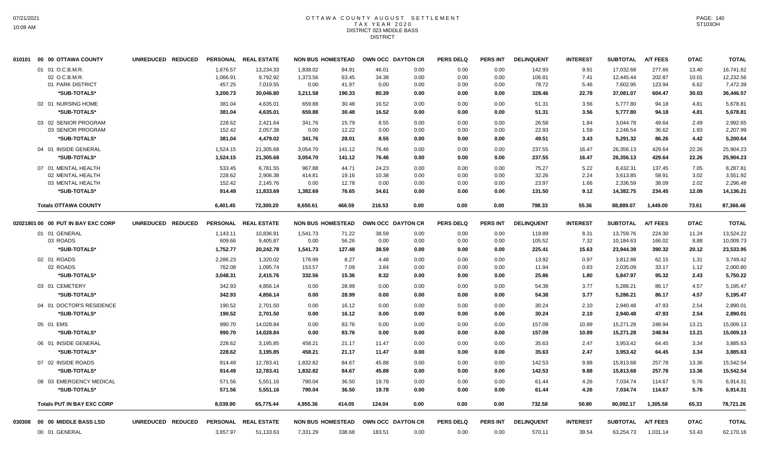## OTTAWA COUNTY AUGUST SETTLEMENT T A X Y E A R 2 0 2 0 DISTRICT 023 MIDDLE BASS **DISTRICT**

|        | 010101 00 00 OTTAWA COUNTY                | UNREDUCED REDUCED |                      | PERSONAL REAL ESTATE   | <b>NON BUS HOMESTEAD</b> |                  |                | OWN OCC DAYTON CR | <b>PERS DELQ</b> | <b>PERS INT</b> | <b>DELINQUENT</b> | <b>INTEREST</b> | <b>SUBTOTAL</b>        | <b>A/T FEES</b>  | <b>DTAC</b>    | <b>TOTAL</b>           |
|--------|-------------------------------------------|-------------------|----------------------|------------------------|--------------------------|------------------|----------------|-------------------|------------------|-----------------|-------------------|-----------------|------------------------|------------------|----------------|------------------------|
|        | 01 01 O.C.B.M.R.<br>02 O.C.B.M.R.         |                   | 1.676.57<br>1,066.91 | 13,234.33<br>9,792.92  | 1.838.02<br>1,373.56     | 84.91<br>63.45   | 46.01<br>34.38 | 0.00<br>0.00      | 0.00<br>0.00     | 0.00<br>0.00    | 142.93<br>106.81  | 9.91<br>7.41    | 17.032.68<br>12,445.44 | 277.66<br>202.87 | 13.40<br>10.01 | 16,741.62<br>12,232.56 |
|        | 01 PARK DISTRICT<br>*SUB-TOTALS*          |                   | 457.25               | 7,019.55               | 0.00                     | 41.97            | 0.00           | 0.00              | 0.00             | 0.00            | 78.72             | 5.46            | 7,602.95               | 123.94           | 6.62           | 7,472.39               |
|        |                                           |                   | 3,200.73             | 30,046.80              | 3,211.58                 | 190.33           | 80.39          | 0.00              | 0.00             | 0.00            | 328.46            | 22.78           | 37,081.07              | 604.47           | 30.03          | 36,446.57              |
|        | 02 01 NURSING HOME<br>*SUB-TOTALS*        |                   | 381.04<br>381.04     | 4,635.01<br>4,635.01   | 659.88                   | 30.48            | 16.52<br>16.52 | 0.00              | 0.00             | 0.00            | 51.31             | 3.56<br>3.56    | 5,777.80<br>5,777.80   | 94.18<br>94.18   | 4.81           | 5,678.81               |
|        |                                           |                   |                      |                        | 659.88                   | 30.48            |                | 0.00              | 0.00             | 0.00            | 51.31             |                 |                        |                  | 4.81           | 5,678.81               |
|        | 03 02 SENIOR PROGRAM<br>03 SENIOR PROGRAM |                   | 228.62<br>152.42     | 2,421.64               | 341.76                   | 15.79            | 8.55           | 0.00              | 0.00             | 0.00            | 26.58             | 1.84            | 3,044.78               | 49.64            | 2.49           | 2,992.65               |
|        | *SUB-TOTALS*                              |                   | 381.04               | 2,057.38<br>4,479.02   | 0.00<br>341.76           | 12.22<br>28.01   | 0.00<br>8.55   | 0.00<br>0.00      | 0.00<br>0.00     | 0.00<br>0.00    | 22.93<br>49.51    | 1.59<br>3.43    | 2,246.54<br>5,291.32   | 36.62<br>86.26   | 1.93<br>4.42   | 2,207.99<br>5,200.64   |
|        |                                           |                   |                      |                        |                          |                  |                |                   |                  |                 |                   |                 |                        |                  |                |                        |
|        | 04 01 INSIDE GENERAL<br>*SUB-TOTALS*      |                   | 1,524.15<br>1,524.15 | 21,305.68<br>21,305.68 | 3,054.70<br>3,054.70     | 141.12<br>141.12 | 76.46<br>76.46 | 0.00<br>0.00      | 0.00<br>0.00     | 0.00<br>0.00    | 237.55<br>237.55  | 16.47<br>16.47  | 26,356.13<br>26,356.13 | 429.64<br>429.64 | 22.26<br>22.26 | 25,904.23<br>25,904.23 |
|        |                                           |                   |                      |                        |                          |                  |                |                   |                  |                 |                   |                 |                        |                  |                |                        |
|        | 07 01 MENTAL HEALTH<br>02 MENTAL HEALTH   |                   | 533.45<br>228.62     | 6,781.55<br>2,906.38   | 967.88<br>414.81         | 44.71<br>19.16   | 24.23<br>10.38 | 0.00<br>0.00      | 0.00<br>0.00     | 0.00<br>0.00    | 75.27<br>32.26    | 5.22<br>2.24    | 8,432.31<br>3,613.85   | 137.45<br>58.91  | 7.05<br>3.02   | 8,287.81<br>3,551.92   |
|        | 03 MENTAL HEALTH                          |                   | 152.42               | 2,145.76               | 0.00                     | 12.78            | 0.00           | 0.00              | 0.00             | 0.00            | 23.97             | 1.66            | 2,336.59               | 38.09            | 2.02           | 2,296.48               |
|        | *SUB-TOTALS*                              |                   | 914.49               | 11,833.69              | 1,382.69                 | 76.65            | 34.61          | 0.00              | 0.00             | 0.00            | 131.50            | 9.12            | 14,382.75              | 234.45           | 12.09          | 14,136.21              |
|        | <b>Totals OTTAWA COUNTY</b>               |                   | 6,401.45             | 72,300.20              | 8,650.61                 | 466.59           | 216.53         | 0.00              | 0.00             | 0.00            | 798.33            | 55.36           | 88,889.07              | 1,449.00         | 73.61          | 87,366.46              |
|        | 02021801 00 00 PUT IN BAY EXC CORP        | UNREDUCED REDUCED |                      | PERSONAL REAL ESTATE   | <b>NON BUS HOMESTEAD</b> |                  |                | OWN OCC DAYTON CR | <b>PERS DELQ</b> | <b>PERS INT</b> | <b>DELINQUENT</b> | <b>INTEREST</b> | <b>SUBTOTAL</b>        | <b>A/T FEES</b>  | <b>DTAC</b>    | <b>TOTAL</b>           |
|        | 01 01 GENERAL                             |                   | 1,143.11             | 10,836.91              | 1,541.73                 | 71.22            | 38.59          | 0.00              | 0.00             | 0.00            | 119.89            | 8.31            | 13,759.76              | 224.30           | 11.24          | 13,524.22              |
|        | 03 ROADS                                  |                   | 609.66               | 9,405.87               | 0.00                     | 56.26            | 0.00           | 0.00              | 0.00             | 0.00            | 105.52            | 7.32            | 10,184.63              | 166.02           | 8.88           | 10,009.73              |
|        | *SUB-TOTALS*                              |                   | 1,752.77             | 20,242.78              | 1,541.73                 | 127.48           | 38.59          | 0.00              | 0.00             | 0.00            | 225.41            | 15.63           | 23,944.39              | 390.32           | 20.12          | 23,533.95              |
|        | 02 01 ROADS                               |                   | 2.286.23             | 1,320.02               | 178.99                   | 8.27             | 4.48           | 0.00              | 0.00             | 0.00            | 13.92             | 0.97            | 3.812.88               | 62.15            | 1.31           | 3,749.42               |
|        | 02 ROADS                                  |                   | 762.08               | 1,095.74               | 153.57                   | 7.09             | 3.84           | 0.00              | 0.00             | 0.00            | 11.94             | 0.83            | 2,035.09               | 33.17            | 1.12           | 2,000.80               |
|        | *SUB-TOTALS*                              |                   | 3,048.31             | 2,415.76               | 332.56                   | 15.36            | 8.32           | 0.00              | 0.00             | 0.00            | 25.86             | 1.80            | 5,847.97               | 95.32            | 2.43           | 5,750.22               |
|        | 03 01 CEMETERY                            |                   | 342.93               | 4,856.14               | 0.00                     | 28.99            | 0.00           | 0.00              | 0.00             | 0.00            | 54.38             | 3.77            | 5,286.21               | 86.17            | 4.57           | 5,195.47               |
|        | *SUB-TOTALS*                              |                   | 342.93               | 4,856.14               | 0.00                     | 28.99            | 0.00           | 0.00              | 0.00             | 0.00            | 54.38             | 3.77            | 5,286.21               | 86.17            | 4.57           | 5,195.47               |
|        | 04 01 DOCTOR'S RESIDENCE                  |                   | 190.52               | 2,701.50               | 0.00                     | 16.12            | 0.00           | 0.00              | 0.00             | 0.00            | 30.24             | 2.10            | 2,940.48               | 47.93            | 2.54           | 2,890.01               |
|        | *SUB-TOTALS*                              |                   | 190.52               | 2,701.50               | 0.00                     | 16.12            | 0.00           | 0.00              | 0.00             | 0.00            | 30.24             | 2.10            | 2,940.48               | 47.93            | 2.54           | 2,890.01               |
|        | 05 01 EMS                                 |                   | 990.70               | 14,028.84              | 0.00                     | 83.76            | 0.00           | 0.00              | 0.00             | 0.00            | 157.09            | 10.89           | 15,271.28              | 248.94           | 13.21          | 15,009.13              |
|        | *SUB-TOTALS*                              |                   | 990.70               | 14,028.84              | 0.00                     | 83.76            | 0.00           | 0.00              | 0.00             | 0.00            | 157.09            | 10.89           | 15,271.28              | 248.94           | 13.21          | 15,009.13              |
|        | 06 01 INSIDE GENERAL                      |                   | 228.62               | 3,195.85               | 458.21                   | 21.17            | 11.47          | 0.00              | 0.00             | 0.00            | 35.63             | 2.47            | 3,953.42               | 64.45            | 3.34           | 3,885.63               |
|        | *SUB-TOTALS*                              |                   | 228.62               | 3,195.85               | 458.21                   | 21.17            | 11.47          | 0.00              | 0.00             | 0.00            | 35.63             | 2.47            | 3,953.42               | 64.45            | 3.34           | 3,885.63               |
|        | 07 02 INSIDE ROADS                        |                   | 914.49               | 12,783.41              | 1,832.82                 | 84.67            | 45.88          | 0.00              | 0.00             | 0.00            | 142.53            | 9.88            | 15,813.68              | 257.78           | 13.36          | 15,542.54              |
|        | *SUB-TOTALS*                              |                   | 914.49               | 12,783.41              | 1,832.82                 | 84.67            | 45.88          | 0.00              | 0.00             | 0.00            | 142.53            | 9.88            | 15,813.68              | 257.78           | 13.36          | 15,542.54              |
|        | 08 03 EMERGENCY MEDICAL                   |                   | 571.56               | 5,551.16               | 790.04                   | 36.50            | 19.78          | 0.00              | 0.00             | 0.00            | 61.44             | 4.26            | 7,034.74               | 114.67           | 5.76           | 6,914.31               |
|        | *SUB-TOTALS*                              |                   | 571.56               | 5,551.16               | 790.04                   | 36.50            | 19.78          | 0.00              | 0.00             | 0.00            | 61.44             | 4.26            | 7,034.74               | 114.67           | 5.76           | 6,914.31               |
|        | <b>Totals PUT IN BAY EXC CORP</b>         |                   | 8.039.90             | 65.775.44              | 4.955.36                 | 414.05           | 124.04         | 0.00              | 0.00             | 0.00            | 732.58            | 50.80           | 80,092.17              | 1.305.58         | 65.33          | 78,721.26              |
| 030308 | 00 00 MIDDLE BASS LSD                     | UNREDUCED REDUCED |                      | PERSONAL REAL ESTATE   | <b>NON BUS HOMESTEAD</b> |                  |                | OWN OCC DAYTON CR | <b>PERS DELQ</b> | <b>PERS INT</b> | <b>DELINQUENT</b> | <b>INTEREST</b> | <b>SUBTOTAL</b>        | <b>A/T FEES</b>  | <b>DTAC</b>    | <b>TOTAL</b>           |
|        | 00 01 GENERAL                             |                   | 3,657.97             | 51,133.63              | 7,331.29                 | 338.68           | 183.51         | 0.00              | 0.00             | 0.00            | 570.11            | 39.54           | 63,254.73              | 1,031.14         | 53.43          | 62,170.16              |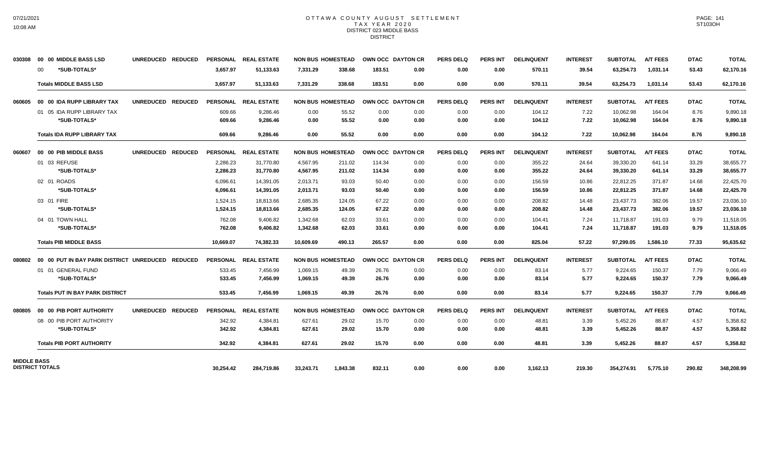### OTTAWA COUNTY AUGUST SETTLEMENT T A X Y E A R 2 0 2 0 DISTRICT 023 MIDDLE BASS DISTRICT

| 030308             | 00 00 MIDDLE BASS LSD                  | UNREDUCED REDUCED                                |                 | PERSONAL REAL ESTATE |           | <b>NON BUS HOMESTEAD</b> | OWN OCC DAYTON CR |      | <b>PERS DELQ</b> | <b>PERS INT</b> | <b>DELINQUENT</b> | <b>INTEREST</b> | SUBTOTAL        | <b>A/T FEES</b> | <b>DTAC</b> | <b>TOTAL</b> |
|--------------------|----------------------------------------|--------------------------------------------------|-----------------|----------------------|-----------|--------------------------|-------------------|------|------------------|-----------------|-------------------|-----------------|-----------------|-----------------|-------------|--------------|
|                    | *SUB-TOTALS*<br>00                     |                                                  | 3.657.97        | 51,133.63            | 7,331.29  | 338.68                   | 183.51            | 0.00 | 0.00             | 0.00            | 570.11            | 39.54           | 63,254.73       | 1,031.14        | 53.43       | 62,170.16    |
|                    | <b>Totals MIDDLE BASS LSD</b>          |                                                  | 3,657.97        | 51,133.63            | 7,331.29  | 338.68                   | 183.51            | 0.00 | 0.00             | 0.00            | 570.11            | 39.54           | 63,254.73       | 1,031.14        | 53.43       | 62,170.16    |
| 060605             | 00 00 IDA RUPP LIBRARY TAX             | UNREDUCED REDUCED                                | <b>PERSONAL</b> | <b>REAL ESTATE</b>   |           | <b>NON BUS HOMESTEAD</b> | OWN OCC DAYTON CR |      | <b>PERS DELQ</b> | <b>PERS INT</b> | <b>DELINQUENT</b> | <b>INTEREST</b> | <b>SUBTOTAL</b> | <b>A/T FEES</b> | <b>DTAC</b> | <b>TOTAL</b> |
|                    | 01 05 IDA RUPP LIBRARY TAX             |                                                  | 609.66          | 9,286.46             | 0.00      | 55.52                    | 0.00              | 0.00 | 0.00             | 0.00            | 104.12            | 7.22            | 10,062.98       | 164.04          | 8.76        | 9,890.18     |
|                    | *SUB-TOTALS*                           |                                                  | 609.66          | 9.286.46             | 0.00      | 55.52                    | 0.00              | 0.00 | 0.00             | 0.00            | 104.12            | 7.22            | 10,062.98       | 164.04          | 8.76        | 9,890.18     |
|                    | <b>Totals IDA RUPP LIBRARY TAX</b>     |                                                  | 609.66          | 9.286.46             | 0.00      | 55.52                    | 0.00              | 0.00 | 0.00             | 0.00            | 104.12            | 7.22            | 10.062.98       | 164.04          | 8.76        | 9,890.18     |
| 060607             | 00 00 PIB MIDDLE BASS                  | UNREDUCED REDUCED                                |                 | PERSONAL REAL ESTATE |           | <b>NON BUS HOMESTEAD</b> | OWN OCC DAYTON CR |      | <b>PERS DELQ</b> | <b>PERS INT</b> | <b>DELINQUENT</b> | <b>INTEREST</b> | <b>SUBTOTAL</b> | <b>A/T FEES</b> | <b>DTAC</b> | <b>TOTAL</b> |
|                    | 01 03 REFUSE                           |                                                  | 2,286.23        | 31,770.80            | 4,567.95  | 211.02                   | 114.34            | 0.00 | 0.00             | 0.00            | 355.22            | 24.64           | 39,330.20       | 641.14          | 33.29       | 38,655.77    |
|                    | *SUB-TOTALS*                           |                                                  | 2,286.23        | 31,770.80            | 4,567.95  | 211.02                   | 114.34            | 0.00 | 0.00             | 0.00            | 355.22            | 24.64           | 39,330.20       | 641.14          | 33.29       | 38,655.77    |
|                    | 02 01 ROADS                            |                                                  | 6,096.61        | 14,391.05            | 2,013.71  | 93.03                    | 50.40             | 0.00 | 0.00             | 0.00            | 156.59            | 10.86           | 22,812.25       | 371.87          | 14.68       | 22,425.70    |
|                    | *SUB-TOTALS*                           |                                                  | 6,096.61        | 14,391.05            | 2,013.71  | 93.03                    | 50.40             | 0.00 | 0.00             | 0.00            | 156.59            | 10.86           | 22,812.25       | 371.87          | 14.68       | 22,425.70    |
|                    | 03 01 FIRE                             |                                                  | 1,524.15        | 18,813.66            | 2,685.35  | 124.05                   | 67.22             | 0.00 | 0.00             | 0.00            | 208.82            | 14.48           | 23,437.73       | 382.06          | 19.57       | 23,036.10    |
|                    | *SUB-TOTALS*                           |                                                  | 1,524.15        | 18,813.66            | 2,685.35  | 124.05                   | 67.22             | 0.00 | 0.00             | 0.00            | 208.82            | 14.48           | 23,437.73       | 382.06          | 19.57       | 23,036.10    |
|                    | 04 01 TOWN HALL                        |                                                  | 762.08          | 9,406.82             | 1,342.68  | 62.03                    | 33.61             | 0.00 | 0.00             | 0.00            | 104.41            | 7.24            | 11,718.87       | 191.03          | 9.79        | 11,518.05    |
|                    | *SUB-TOTALS*                           |                                                  | 762.08          | 9,406.82             | 1,342.68  | 62.03                    | 33.61             | 0.00 | 0.00             | 0.00            | 104.41            | 7.24            | 11,718.87       | 191.03          | 9.79        | 11,518.05    |
|                    | <b>Totals PIB MIDDLE BASS</b>          |                                                  | 10,669.07       | 74,382.33            | 10,609.69 | 490.13                   | 265.57            | 0.00 | 0.00             | 0.00            | 825.04            | 57.22           | 97,299.05       | 1.586.10        | 77.33       | 95,635.62    |
| 080802             |                                        | 00 00 PUT IN BAY PARK DISTRICT UNREDUCED REDUCED |                 | PERSONAL REAL ESTATE |           | <b>NON BUS HOMESTEAD</b> | OWN OCC DAYTON CR |      | <b>PERS DELQ</b> | PERS INT        | <b>DELINQUENT</b> | <b>INTEREST</b> | <b>SUBTOTAL</b> | <b>A/T FEES</b> | <b>DTAC</b> | <b>TOTAL</b> |
|                    | 01 01 GENERAL FUND                     |                                                  | 533.45          | 7,456.99             | 1,069.15  | 49.39                    | 26.76             | 0.00 | 0.00             | 0.00            | 83.14             | 5.77            | 9,224.65        | 150.37          | 7.79        | 9,066.49     |
|                    | *SUB-TOTALS*                           |                                                  | 533.45          | 7,456.99             | 1,069.15  | 49.39                    | 26.76             | 0.00 | 0.00             | 0.00            | 83.14             | 5.77            | 9.224.65        | 150.37          | 7.79        | 9,066.49     |
|                    | <b>Totals PUT IN BAY PARK DISTRICT</b> |                                                  | 533.45          | 7,456.99             | 1,069.15  | 49.39                    | 26.76             | 0.00 | 0.00             | 0.00            | 83.14             | 5.77            | 9,224.65        | 150.37          | 7.79        | 9,066.49     |
| 080805             | 00 00 PIB PORT AUTHORITY               | UNREDUCED REDUCED                                |                 | PERSONAL REAL ESTATE |           | <b>NON BUS HOMESTEAD</b> | OWN OCC DAYTON CR |      | <b>PERS DELQ</b> | PERS INT        | <b>DELINQUENT</b> | <b>INTEREST</b> | <b>SUBTOTAL</b> | <b>A/T FEES</b> | <b>DTAC</b> | <b>TOTAL</b> |
|                    | 08 00 PIB PORT AUTHORITY               |                                                  | 342.92          | 4,384.81             | 627.61    | 29.02                    | 15.70             | 0.00 | 0.00             | 0.00            | 48.81             | 3.39            | 5,452.26        | 88.87           | 4.57        | 5,358.82     |
|                    | *SUB-TOTALS*                           |                                                  | 342.92          | 4,384.81             | 627.61    | 29.02                    | 15.70             | 0.00 | 0.00             | 0.00            | 48.81             | 3.39            | 5,452.26        | 88.87           | 4.57        | 5,358.82     |
|                    | <b>Totals PIB PORT AUTHORITY</b>       |                                                  | 342.92          | 4.384.81             | 627.61    | 29.02                    | 15.70             | 0.00 | 0.00             | 0.00            | 48.81             | 3.39            | 5,452.26        | 88.87           | 4.57        | 5,358.82     |
| <b>MIDDLE BASS</b> |                                        |                                                  |                 |                      |           |                          |                   |      |                  |                 |                   |                 |                 |                 |             |              |
|                    | <b>DISTRICT TOTALS</b>                 |                                                  | 30,254.42       | 284.719.86           | 33,243.71 | 1,843.38                 | 832.11            | 0.00 | 0.00             | 0.00            | 3,162.13          | 219.30          | 354,274.91      | 5,775.10        | 290.82      | 348,208.99   |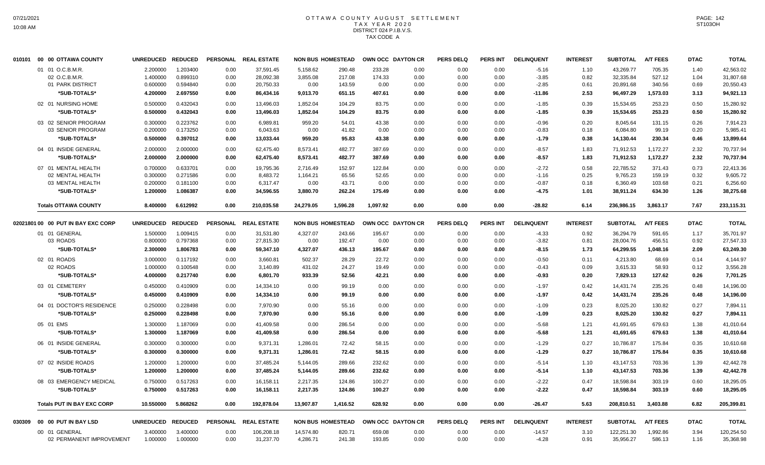## OTTAWA COUNTY AUGUST SETTLEMENT T A X Y E A R 2 0 2 0 DISTRICT 024 P.I.B.V.S. TAX CODE A

| 010101 | 00 00 OTTAWA COUNTY                | <b>UNREDUCED</b> | <b>REDUCED</b> |                 | PERSONAL REAL ESTATE |                          | <b>NON BUS HOMESTEAD</b> |          | OWN OCC DAYTON CR | <b>PERS DELQ</b> | <b>PERS INT</b> | <b>DELINQUENT</b> | <b>INTEREST</b> | <b>SUBTOTAL</b> | <b>A/T FEES</b> | <b>DTAC</b> | <b>TOTAL</b> |
|--------|------------------------------------|------------------|----------------|-----------------|----------------------|--------------------------|--------------------------|----------|-------------------|------------------|-----------------|-------------------|-----------------|-----------------|-----------------|-------------|--------------|
|        | 01 01 O.C.B.M.R.                   | 2.200000         | 1.203400       | 0.00            | 37,591.45            | 5,158.62                 | 290.48                   | 233.28   | 0.00              | 0.00             | 0.00            | $-5.16$           | 1.10            | 43,269.77       | 705.35          | 1.40        | 42,563.02    |
|        | 02 O.C.B.M.R                       | 1.400000         | 0.899310       | 0.00            | 28,092.38            | 3,855.08                 | 217.08                   | 174.33   | 0.00              | 0.00             | 0.00            | $-3.85$           | 0.82            | 32,335.84       | 527.12          | 1.04        | 31,807.68    |
|        | 01 PARK DISTRICT                   | 0.600000         | 0.594840       | 0.00            | 20,750.33            | 0.00                     | 143.59                   | 0.00     | 0.00              | 0.00             | 0.00            | $-2.85$           | 0.61            | 20,891.68       | 340.56          | 0.69        | 20,550.43    |
|        | *SUB-TOTALS*                       | 4.200000         | 2.697550       | 0.00            | 86,434.16            | 9,013.70                 | 651.15                   | 407.61   | 0.00              | 0.00             | 0.00            | $-11.86$          | 2.53            | 96,497.29       | 1,573.03        | 3.13        | 94,921.13    |
|        | 02 01 NURSING HOME                 | 0.500000         | 0.432043       | 0.00            | 13,496.03            | 1,852.04                 | 104.29                   | 83.75    | 0.00              | 0.00             | 0.00            | $-1.85$           | 0.39            | 15,534.65       | 253.23          | 0.50        | 15,280.92    |
|        | *SUB-TOTALS*                       | 0.500000         | 0.432043       | 0.00            | 13,496.03            | 1,852.04                 | 104.29                   | 83.75    | 0.00              | 0.00             | 0.00            | $-1.85$           | 0.39            | 15,534.65       | 253.23          | 0.50        | 15,280.92    |
|        | 03 02 SENIOR PROGRAM               | 0.300000         | 0.223762       | 0.00            | 6,989.81             | 959.20                   | 54.01                    | 43.38    | 0.00              | 0.00             | 0.00            | $-0.96$           | 0.20            | 8,045.64        | 131.15          | 0.26        | 7,914.23     |
|        | 03 SENIOR PROGRAM                  | 0.200000         | 0.173250       | 0.00            | 6,043.63             | 0.00                     | 41.82                    | 0.00     | 0.00              | 0.00             | 0.00            | $-0.83$           | 0.18            | 6,084.80        | 99.19           | 0.20        | 5,985.41     |
|        | *SUB-TOTALS*                       | 0.500000         | 0.397012       | 0.00            | 13,033.44            | 959.20                   | 95.83                    | 43.38    | 0.00              | 0.00             | 0.00            | $-1.79$           | 0.38            | 14,130.44       | 230.34          | 0.46        | 13,899.64    |
|        | 04 01 INSIDE GENERAL               | 2.000000         | 2.000000       | 0.00            | 62,475.40            | 8,573.41                 | 482.77                   | 387.69   | 0.00              | 0.00             | 0.00            | $-8.57$           | 1.83            | 71,912.53       | 1,172.27        | 2.32        | 70,737.94    |
|        | *SUB-TOTALS*                       | 2.000000         | 2.000000       | 0.00            | 62,475.40            | 8,573.41                 | 482.77                   | 387.69   | 0.00              | 0.00             | 0.00            | $-8.57$           | 1.83            | 71,912.53       | 1,172.27        | 2.32        | 70,737.94    |
|        | 07 01 MENTAL HEALTH                | 0.700000         | 0.633701       | 0.00            | 19.795.36            | 2,716.49                 | 152.97                   | 122.84   | 0.00              | 0.00             | 0.00            | $-2.72$           | 0.58            | 22.785.52       | 371.43          | 0.73        | 22,413.36    |
|        | 02 MENTAL HEALTH                   | 0.300000         | 0.271586       | 0.00            | 8,483.72             | 1,164.21                 | 65.56                    | 52.65    | 0.00              | 0.00             | 0.00            | $-1.16$           | 0.25            | 9,765.23        | 159.19          | 0.32        | 9,605.72     |
|        | 03 MENTAL HEALTH                   | 0.200000         | 0.181100       | 0.00            | 6,317.47             | 0.00                     | 43.71                    | 0.00     | 0.00              | 0.00             | 0.00            | $-0.87$           | 0.18            | 6,360.49        | 103.68          | 0.21        | 6,256.60     |
|        | *SUB-TOTALS*                       | 1.200000         | 1.086387       | 0.00            | 34,596.55            | 3,880.70                 | 262.24                   | 175.49   | 0.00              | 0.00             | 0.00            | $-4.75$           | 1.01            | 38,911.24       | 634.30          | 1.26        | 38,275.68    |
|        | <b>Totals OTTAWA COUNTY</b>        | 8.400000         | 6.612992       | 0.00            | 210,035.58           | 24,279.05                | 1,596.28                 | 1,097.92 | 0.00              | 0.00             | 0.00            | $-28.82$          | 6.14            | 236,986.15      | 3,863.17        | 7.67        | 233,115.31   |
|        | 02021801 00 00 PUT IN BAY EXC CORP | <b>UNREDUCED</b> | <b>REDUCED</b> | <b>PERSONAL</b> | <b>REAL ESTATE</b>   | <b>NON BUS HOMESTEAD</b> |                          |          | OWN OCC DAYTON CR | <b>PERS DELQ</b> | <b>PERS INT</b> | <b>DELINQUENT</b> | <b>INTEREST</b> | <b>SUBTOTAL</b> | <b>A/T FEES</b> | <b>DTAC</b> | <b>TOTAL</b> |
|        | 01 01 GENERAL                      | 1.500000         | 1.009415       | 0.00            | 31,531.80            | 4,327.07                 | 243.66                   | 195.67   | 0.00              | 0.00             | 0.00            | $-4.33$           | 0.92            | 36,294.79       | 591.65          | 1.17        | 35,701.97    |
|        | 03 ROADS                           | 0.800000         | 0.797368       | 0.00            | 27,815.30            | 0.00                     | 192.47                   | 0.00     | 0.00              | 0.00             | 0.00            | $-3.82$           | 0.81            | 28,004.76       | 456.51          | 0.92        | 27,547.33    |
|        | *SUB-TOTALS*                       | 2.300000         | 1.806783       | 0.00            | 59,347.10            | 4,327.07                 | 436.13                   | 195.67   | 0.00              | 0.00             | 0.00            | $-8.15$           | 1.73            | 64,299.55       | 1,048.16        | 2.09        | 63,249.30    |
|        | 02 01 ROADS                        | 3.000000         | 0.117192       | 0.00            | 3.660.81             | 502.37                   | 28.29                    | 22.72    | 0.00              | 0.00             | 0.00            | $-0.50$           | 0.11            | 4,213.80        | 68.69           | 0.14        | 4,144.97     |
|        | 02 ROADS                           | 1.000000         | 0.100548       | 0.00            | 3,140.89             | 431.02                   | 24.27                    | 19.49    | 0.00              | 0.00             | 0.00            | $-0.43$           | 0.09            | 3,615.33        | 58.93           | 0.12        | 3,556.28     |
|        | *SUB-TOTALS*                       | 4.000000         | 0.217740       | 0.00            | 6,801.70             | 933.39                   | 52.56                    | 42.21    | 0.00              | 0.00             | 0.00            | $-0.93$           | 0.20            | 7,829.13        | 127.62          | 0.26        | 7,701.25     |
|        | 03 01 CEMETERY                     | 0.450000         | 0.410909       | 0.00            | 14,334.10            | 0.00                     | 99.19                    | 0.00     | 0.00              | 0.00             | 0.00            | $-1.97$           | 0.42            | 14,431.74       | 235.26          | 0.48        | 14,196.00    |
|        | *SUB-TOTALS*                       | 0.450000         | 0.410909       | 0.00            | 14,334.10            | 0.00                     | 99.19                    | 0.00     | 0.00              | 0.00             | 0.00            | $-1.97$           | 0.42            | 14,431.74       | 235.26          | 0.48        | 14,196.00    |
|        | 04 01 DOCTOR'S RESIDENCE           | 0.250000         | 0.228498       | 0.00            | 7.970.90             | 0.00                     | 55.16                    | 0.00     | 0.00              | 0.00             | 0.00            | $-1.09$           | 0.23            | 8.025.20        | 130.82          | 0.27        | 7.894.11     |
|        | *SUB-TOTALS*                       | 0.250000         | 0.228498       | 0.00            | 7,970.90             | 0.00                     | 55.16                    | 0.00     | 0.00              | 0.00             | 0.00            | $-1.09$           | 0.23            | 8,025.20        | 130.82          | 0.27        | 7,894.11     |
|        | 05 01 EMS                          | 1.300000         | 1.187069       | 0.00            | 41,409.58            | 0.00                     | 286.54                   | 0.00     | 0.00              | 0.00             | 0.00            | $-5.68$           | 1.21            | 41,691.65       | 679.63          | 1.38        | 41,010.64    |
|        | *SUB-TOTALS*                       | 1.300000         | 1.187069       | 0.00            | 41,409.58            | 0.00                     | 286.54                   | 0.00     | 0.00              | 0.00             | 0.00            | $-5.68$           | 1.21            | 41,691.65       | 679.63          | 1.38        | 41,010.64    |
|        | 06 01 INSIDE GENERAL               | 0.300000         | 0.300000       | 0.00            | 9.371.31             | 1,286.01                 | 72.42                    | 58.15    | 0.00              | 0.00             | 0.00            | $-1.29$           | 0.27            | 10,786.87       | 175.84          | 0.35        | 10,610.68    |
|        | *SUB-TOTALS*                       | 0.300000         | 0.300000       | 0.00            | 9,371.31             | 1,286.01                 | 72.42                    | 58.15    | 0.00              | 0.00             | 0.00            | $-1.29$           | 0.27            | 10,786.87       | 175.84          | 0.35        | 10,610.68    |
|        | 07 02 INSIDE ROADS                 | 1.200000         | 1.200000       | 0.00            | 37,485.24            | 5,144.05                 | 289.66                   | 232.62   | 0.00              | 0.00             | 0.00            | $-5.14$           | 1.10            | 43,147.53       | 703.36          | 1.39        | 42,442.78    |
|        | *SUB-TOTALS*                       | 1.200000         | 1.200000       | 0.00            | 37,485.24            | 5,144.05                 | 289.66                   | 232.62   | 0.00              | 0.00             | 0.00            | $-5.14$           | 1.10            | 43,147.53       | 703.36          | 1.39        | 42,442.78    |
|        | 08 03 EMERGENCY MEDICAL            | 0.750000         | 0.517263       | 0.00            | 16,158.11            | 2,217.35                 | 124.86                   | 100.27   | 0.00              | 0.00             | 0.00            | $-2.22$           | 0.47            | 18,598.84       | 303.19          | 0.60        | 18,295.05    |
|        | *SUB-TOTALS*                       | 0.750000         | 0.517263       | 0.00            | 16,158.11            | 2,217.35                 | 124.86                   | 100.27   | 0.00              | 0.00             | 0.00            | $-2.22$           | 0.47            | 18,598.84       | 303.19          | 0.60        | 18,295.05    |
|        |                                    |                  |                |                 |                      |                          |                          |          |                   |                  |                 |                   |                 |                 |                 |             |              |
|        | <b>Totals PUT IN BAY EXC CORP</b>  | 10.550000        | 5.868262       | 0.00            | 192,878.04           | 13,907.87                | 1,416.52                 | 628.92   | 0.00              | 0.00             | 0.00            | $-26.47$          | 5.63            | 208,810.51      | 3.403.88        | 6.82        | 205,399.81   |
| 030309 | 00 00 PUT IN BAY LSD               | <b>UNREDUCED</b> | <b>REDUCED</b> | <b>PERSONAL</b> | <b>REAL ESTATE</b>   |                          | <b>NON BUS HOMESTEAD</b> |          | OWN OCC DAYTON CR | <b>PERS DELQ</b> | <b>PERS INT</b> | <b>DELINQUENT</b> | <b>INTEREST</b> | <b>SUBTOTAL</b> | <b>A/T FEES</b> | <b>DTAC</b> | <b>TOTAL</b> |
|        | 00 01 GENERAL                      | 3.400000         | 3.400000       | 0.00            | 106,208.18           | 14,574.80                | 820.71                   | 659.08   | 0.00              | 0.00             | 0.00            | $-14.57$          | 3.10            | 122,251.30      | 1,992.86        | 3.94        | 120,254.50   |
|        | 02 PERMANENT IMPROVEMENT           | 1.000000         | 1.000000       | 0.00            | 31,237.70            | 4,286.71                 | 241.38                   | 193.85   | 0.00              | 0.00             | 0.00            | $-4.28$           | 0.91            | 35,956.27       | 586.13          | 1.16        | 35,368.98    |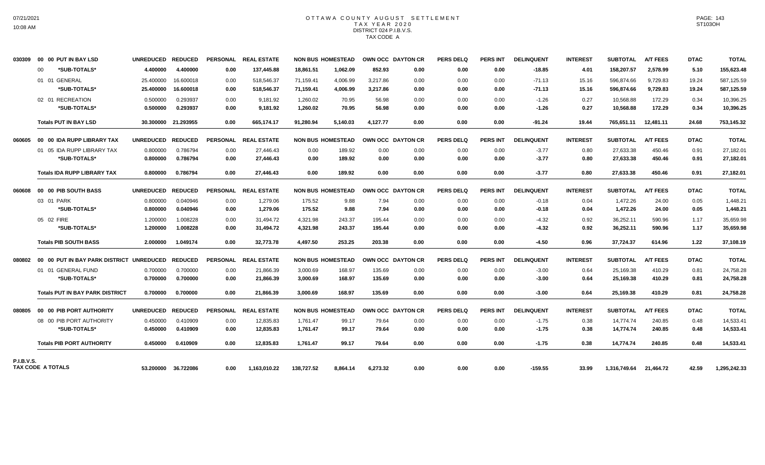# OTTAWA COUNTY AUGUST SETTLEMENT TAX YEAR 2020 DISTRICT 024 P.I.B.V.S. TAX CODE A

| 030309            |    | 00 00 PUT IN BAY LSD                                     | UNREDUCED REDUCED |                     |                 | PERSONAL REAL ESTATE |                          | <b>NON BUS HOMESTEAD</b> | OWN OCC DAYTON CR |      | <b>PERS DELQ</b> | <b>PERS INT</b> | <b>DELINQUENT</b> | <b>INTEREST</b> | <b>SUBTOTAL</b> | <b>A/T FEES</b> | <b>DTAC</b> | <b>TOTAL</b> |
|-------------------|----|----------------------------------------------------------|-------------------|---------------------|-----------------|----------------------|--------------------------|--------------------------|-------------------|------|------------------|-----------------|-------------------|-----------------|-----------------|-----------------|-------------|--------------|
|                   | 00 | *SUB-TOTALS*                                             | 4.400000          | 4.400000            | 0.00            | 137,445.88           | 18,861.51                | 1,062.09                 | 852.93            | 0.00 | 0.00             | 0.00            | $-18.85$          | 4.01            | 158,207.57      | 2,578.99        | 5.10        | 155,623.48   |
|                   |    | 01 01 GENERAL                                            | 25.400000         | 16.600018           | 0.00            | 518,546.37           | 71,159.41                | 4,006.99                 | 3,217.86          | 0.00 | 0.00             | 0.00            | $-71.13$          | 15.16           | 596,874.66      | 9,729.83        | 19.24       | 587,125.59   |
|                   |    | *SUB-TOTALS*                                             | 25.400000         | 16.600018           | 0.00            | 518,546.37           | 71,159.41                | 4,006.99                 | 3,217.86          | 0.00 | 0.00             | 0.00            | $-71.13$          | 15.16           | 596,874.66      | 9,729.83        | 19.24       | 587,125.59   |
|                   |    | 02 01 RECREATION                                         | 0.500000          | 0.293937            | 0.00            | 9,181.92             | 1,260.02                 | 70.95                    | 56.98             | 0.00 | 0.00             | 0.00            | $-1.26$           | 0.27            | 10,568.88       | 172.29          | 0.34        | 10,396.25    |
|                   |    | *SUB-TOTALS*                                             | 0.500000          | 0.293937            | 0.00            | 9,181.92             | 1,260.02                 | 70.95                    | 56.98             | 0.00 | 0.00             | 0.00            | $-1.26$           | 0.27            | 10,568.88       | 172.29          | 0.34        | 10,396.25    |
|                   |    | <b>Totals PUT IN BAY LSD</b>                             |                   | 30.300000 21.293955 | 0.00            | 665,174.17           | 91.280.94                | 5.140.03                 | 4.127.77          | 0.00 | 0.00             | 0.00            | $-91.24$          | 19.44           | 765,651.11      | 12,481.11       | 24.68       | 753,145.32   |
| 060605            |    | 00 00 IDA RUPP LIBRARY TAX                               | UNREDUCED REDUCED |                     |                 | PERSONAL REAL ESTATE | <b>NON BUS HOMESTEAD</b> |                          | OWN OCC DAYTON CR |      | <b>PERS DELQ</b> | <b>PERS INT</b> | <b>DELINQUENT</b> | <b>INTEREST</b> | <b>SUBTOTAL</b> | <b>A/T FEES</b> | <b>DTAC</b> | <b>TOTAL</b> |
|                   |    | 01 05 IDA RUPP LIBRARY TAX                               | 0.800000          | 0.786794            | 0.00            | 27,446.43            | 0.00                     | 189.92                   | 0.00              | 0.00 | 0.00             | 0.00            | $-3.77$           | 0.80            | 27,633.38       | 450.46          | 0.91        | 27,182.01    |
|                   |    | *SUB-TOTALS*                                             | 0.800000          | 0.786794            | 0.00            | 27,446.43            | 0.00                     | 189.92                   | 0.00              | 0.00 | 0.00             | 0.00            | $-3.77$           | 0.80            | 27,633.38       | 450.46          | 0.91        | 27,182.01    |
|                   |    | <b>Totals IDA RUPP LIBRARY TAX</b>                       | 0.800000          | 0.786794            | 0.00            | 27,446.43            | 0.00                     | 189.92                   | 0.00              | 0.00 | 0.00             | 0.00            | $-3.77$           | 0.80            | 27,633.38       | 450.46          | 0.91        | 27,182.01    |
| 060608            |    | 00 00 PIB SOUTH BASS                                     | UNREDUCED REDUCED |                     |                 | PERSONAL REAL ESTATE | <b>NON BUS HOMESTEAD</b> |                          | OWN OCC DAYTON CR |      | <b>PERS DELQ</b> | <b>PERS INT</b> | <b>DELINQUENT</b> | <b>INTEREST</b> | <b>SUBTOTAL</b> | <b>A/T FEES</b> | <b>DTAC</b> | <b>TOTAL</b> |
|                   |    | 03 01 PARK                                               | 0.800000          | 0.040946            | 0.00            | 1,279.06             | 175.52                   | 9.88                     | 7.94              | 0.00 | 0.00             | 0.00            | $-0.18$           | 0.04            | 1,472.26        | 24.00           | 0.05        | 1,448.21     |
|                   |    | *SUB-TOTALS*                                             | 0.800000          | 0.040946            | 0.00            | 1.279.06             | 175.52                   | 9.88                     | 7.94              | 0.00 | 0.00             | 0.00            | $-0.18$           | 0.04            | 1,472.26        | 24.00           | 0.05        | 1,448.21     |
|                   |    | 05 02 FIRE                                               | 1.200000          | 1.008228            | 0.00            | 31,494.72            | 4,321.98                 | 243.37                   | 195.44            | 0.00 | 0.00             | 0.00            | $-4.32$           | 0.92            | 36,252.11       | 590.96          | 1.17        | 35,659.98    |
|                   |    | *SUB-TOTALS*                                             | 1.200000          | 1.008228            | 0.00            | 31.494.72            | 4,321.98                 | 243.37                   | 195.44            | 0.00 | 0.00             | 0.00            | $-4.32$           | 0.92            | 36,252.11       | 590.96          | 1.17        | 35,659.98    |
|                   |    | <b>Totals PIB SOUTH BASS</b>                             | 2.000000          | 1.049174            | 0.00            | 32,773.78            | 4,497.50                 | 253.25                   | 203.38            | 0.00 | 0.00             | 0.00            | $-4.50$           | 0.96            | 37,724.37       | 614.96          | 1.22        | 37,108.19    |
|                   |    | 080802    00    00    PUT IN BAY PARK DISTRICT UNREDUCED |                   | <b>REDUCED</b>      | <b>PERSONAL</b> | <b>REAL ESTATE</b>   |                          | <b>NON BUS HOMESTEAD</b> | OWN OCC DAYTON CR |      | <b>PERS DELQ</b> | <b>PERS INT</b> | <b>DELINQUENT</b> | <b>INTEREST</b> | <b>SUBTOTAL</b> | <b>A/T FEES</b> | <b>DTAC</b> | <b>TOTAL</b> |
|                   |    | 01 01 GENERAL FUND                                       | 0.700000          | 0.700000            | 0.00            | 21,866.39            | 3,000.69                 | 168.97                   | 135.69            | 0.00 | 0.00             | 0.00            | $-3.00$           | 0.64            | 25,169.38       | 410.29          | 0.81        | 24,758.28    |
|                   |    | *SUB-TOTALS*                                             | 0.700000          | 0.700000            | 0.00            | 21,866.39            | 3,000.69                 | 168.97                   | 135.69            | 0.00 | 0.00             | 0.00            | $-3.00$           | 0.64            | 25,169.38       | 410.29          | 0.81        | 24,758.28    |
|                   |    | <b>Totals PUT IN BAY PARK DISTRICT</b>                   | 0.700000          | 0.700000            | 0.00            | 21.866.39            | 3.000.69                 | 168.97                   | 135.69            | 0.00 | 0.00             | 0.00            | $-3.00$           | 0.64            | 25,169.38       | 410.29          | 0.81        | 24,758.28    |
| 080805            |    | 00 00 PIB PORT AUTHORITY                                 | <b>UNREDUCED</b>  | <b>REDUCED</b>      | <b>PERSONAL</b> | <b>REAL ESTATE</b>   |                          | <b>NON BUS HOMESTEAD</b> | OWN OCC DAYTON CR |      | <b>PERS DELQ</b> | <b>PERS INT</b> | <b>DELINQUENT</b> | <b>INTEREST</b> | <b>SUBTOTAL</b> | <b>A/T FEES</b> | <b>DTAC</b> | <b>TOTAL</b> |
|                   |    | 08 00 PIB PORT AUTHORITY                                 | 0.450000          | 0.410909            | 0.00            | 12,835.83            | 1,761.47                 | 99.17                    | 79.64             | 0.00 | 0.00             | 0.00            | $-1.75$           | 0.38            | 14.774.74       | 240.85          | 0.48        | 14,533.41    |
|                   |    | *SUB-TOTALS*                                             | 0.450000          | 0.410909            | 0.00            | 12,835.83            | 1,761.47                 | 99.17                    | 79.64             | 0.00 | 0.00             | 0.00            | $-1.75$           | 0.38            | 14,774.74       | 240.85          | 0.48        | 14,533.41    |
|                   |    | <b>Totals PIB PORT AUTHORITY</b>                         | 0.450000          | 0.410909            | 0.00            | 12.835.83            | 1.761.47                 | 99.17                    | 79.64             | 0.00 | 0.00             | 0.00            | $-1.75$           | 0.38            | 14.774.74       | 240.85          | 0.48        | 14,533.41    |
| <b>P.I.B.V.S.</b> |    |                                                          |                   |                     |                 |                      |                          |                          |                   |      |                  |                 |                   |                 |                 |                 |             |              |
| TAX CODE A TOTALS |    |                                                          |                   | 53.200000 36.722086 | 0.00            | 1,163,010.22         | 138,727.52               | 8.864.14                 | 6,273.32          | 0.00 | 0.00             | 0.00            | $-159.55$         | 33.99           | 1,316,749.64    | 21,464.72       | 42.59       | 1,295,242.33 |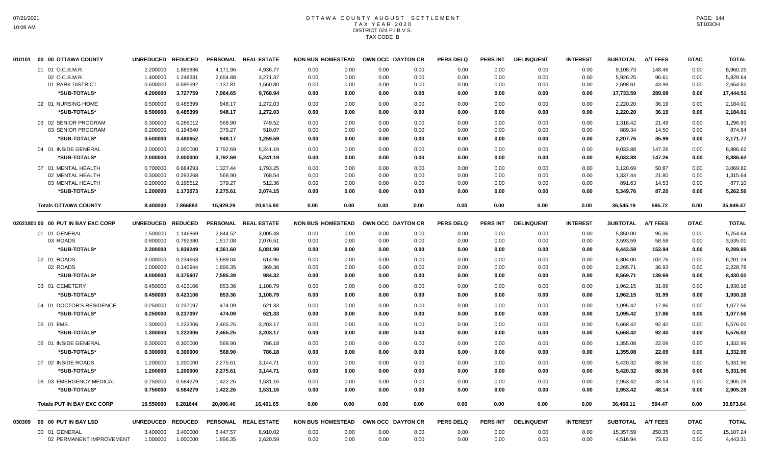# OTTAWA COUNTY AUGUST SETTLEMENT T A X Y E A R 2 0 2 0 DISTRICT 024 P.I.B.V.S. TAX CODE B

| 010101 | 00 00 OTTAWA COUNTY                | <b>UNREDUCED</b> | <b>REDUCED</b> |           | PERSONAL REAL ESTATE | <b>NON BUS HOMESTEAD</b> |      |      | OWN OCC DAYTON CR | <b>PERS DELQ</b> | <b>PERS INT</b> | <b>DELINQUENT</b> | <b>INTEREST</b> | <b>SUBTOTAL</b> | <b>A/T FEES</b> | <b>DTAC</b> | <b>TOTAL</b> |
|--------|------------------------------------|------------------|----------------|-----------|----------------------|--------------------------|------|------|-------------------|------------------|-----------------|-------------------|-----------------|-----------------|-----------------|-------------|--------------|
|        | 01 01 O.C.B.M.R.                   | 2.200000         | 1.883836       | 4,171.96  | 4.936.77             | 0.00                     | 0.00 | 0.00 | 0.00              | 0.00             | 0.00            | 0.00              | 0.00            | 9.108.73        | 148.48          | 0.00        | 8,960.25     |
|        | 02 O.C.B.M.R.                      | 1.400000         | 1.248331       | 2,654.88  | 3,271.37             | 0.00                     | 0.00 | 0.00 | 0.00              | 0.00             | 0.00            | 0.00              | 0.00            | 5,926.25        | 96.61           | 0.00        | 5,829.64     |
|        | 01 PARK DISTRICT                   | 0.600000         | 0.595592       | 1,137.81  | 1,560.80             | 0.00                     | 0.00 | 0.00 | 0.00              | 0.00             | 0.00            | 0.00              | 0.00            | 2,698.61        | 43.99           | 0.00        | 2,654.62     |
|        | *SUB-TOTALS*                       | 4.200000         | 3.727759       | 7,964.65  | 9,768.94             | 0.00                     | 0.00 | 0.00 | 0.00              | 0.00             | 0.00            | 0.00              | 0.00            | 17,733.59       | 289.08          | 0.00        | 17,444.51    |
|        | 02 01 NURSING HOME                 | 0.500000         | 0.485399       | 948.17    | 1,272.03             | 0.00                     | 0.00 | 0.00 | 0.00              | 0.00             | 0.00            | 0.00              | 0.00            | 2,220.20        | 36.19           | 0.00        | 2,184.01     |
|        | *SUB-TOTALS*                       | 0.500000         | 0.485399       | 948.17    | 1,272.03             | 0.00                     | 0.00 | 0.00 | 0.00              | 0.00             | 0.00            | 0.00              | 0.00            | 2,220.20        | 36.19           | 0.00        | 2,184.01     |
|        | 03 02 SENIOR PROGRAM               | 0.300000         | 0.286012       | 568.90    | 749.52               | 0.00                     | 0.00 | 0.00 | 0.00              | 0.00             | 0.00            | 0.00              | 0.00            | 1,318.42        | 21.49           | 0.00        | 1,296.93     |
|        | 03 SENIOR PROGRAM                  | 0.200000         | 0.194640       | 379.27    | 510.07               | 0.00                     | 0.00 | 0.00 | 0.00              | 0.00             | 0.00            | 0.00              | 0.00            | 889.34          | 14.50           | 0.00        | 874.84       |
|        | *SUB-TOTALS*                       | 0.500000         | 0.480652       | 948.17    | 1,259.59             | 0.00                     | 0.00 | 0.00 | 0.00              | 0.00             | 0.00            | 0.00              | 0.00            | 2,207.76        | 35.99           | 0.00        | 2,171.77     |
|        | 04 01 INSIDE GENERAL               | 2.000000         | 2.000000       | 3,792.69  | 5,241.19             | 0.00                     | 0.00 | 0.00 | 0.00              | 0.00             | 0.00            | 0.00              | 0.00            | 9,033.88        | 147.26          | 0.00        | 8,886.62     |
|        | *SUB-TOTALS*                       | 2.000000         | 2.000000       | 3,792.69  | 5,241.19             | 0.00                     | 0.00 | 0.00 | 0.00              | 0.00             | 0.00            | 0.00              | 0.00            | 9,033.88        | 147.26          | 0.00        | 8,886.62     |
|        | 07 01 MENTAL HEALTH                | 0.700000         | 0.684293       | 1,327.44  | 1,793.25             | 0.00                     | 0.00 | 0.00 | 0.00              | 0.00             | 0.00            | 0.00              | 0.00            | 3,120.69        | 50.87           | 0.00        | 3,069.82     |
|        | 02 MENTAL HEALTH                   | 0.300000         | 0.293268       | 568.90    | 768.54               | 0.00                     | 0.00 | 0.00 | 0.00              | 0.00             | 0.00            | 0.00              | 0.00            | 1,337.44        | 21.80           | 0.00        | 1,315.64     |
|        | 03 MENTAL HEALTH                   | 0.200000         | 0.195512       | 379.27    | 512.36               | 0.00                     | 0.00 | 0.00 | 0.00              | 0.00             | 0.00            | 0.00              | 0.00            | 891.63          | 14.53           | 0.00        | 877.10       |
|        | *SUB-TOTALS*                       | 1.200000         | 1.173073       | 2,275.61  | 3,074.15             | 0.00                     | 0.00 | 0.00 | 0.00              | 0.00             | 0.00            | 0.00              | 0.00            | 5,349.76        | 87.20           | 0.00        | 5,262.56     |
|        | <b>Totals OTTAWA COUNTY</b>        | 8.400000         | 7.866883       | 15,929.29 | 20,615.90            | 0.00                     | 0.00 | 0.00 | 0.00              | 0.00             | 0.00            | 0.00              | 0.00            | 36,545.19       | 595.72          | 0.00        | 35,949.47    |
|        | 02021801 00 00 PUT IN BAY EXC CORP | <b>UNREDUCED</b> | <b>REDUCED</b> |           | PERSONAL REAL ESTATE | <b>NON BUS HOMESTEAD</b> |      |      | OWN OCC DAYTON CR | <b>PERS DELQ</b> | <b>PERS INT</b> | <b>DELINQUENT</b> | <b>INTEREST</b> | <b>SUBTOTAL</b> | <b>A/T FEES</b> | <b>DTAC</b> | <b>TOTAL</b> |
|        | 01 01 GENERAL                      | 1.500000         | 1.146869       | 2,844.52  | 3,005.48             | 0.00                     | 0.00 | 0.00 | 0.00              | 0.00             | 0.00            | 0.00              | 0.00            | 5,850.00        | 95.36           | 0.00        | 5,754.64     |
|        | 03 ROADS                           | 0.800000         | 0.792380       | 1,517.08  | 2,076.51             | 0.00                     | 0.00 | 0.00 | 0.00              | 0.00             | 0.00            | 0.00              | 0.00            | 3,593.59        | 58.58           | 0.00        | 3,535.01     |
|        | *SUB-TOTALS*                       | 2.300000         | 1.939249       | 4,361.60  | 5,081.99             | 0.00                     | 0.00 | 0.00 | 0.00              | 0.00             | 0.00            | 0.00              | 0.00            | 9,443.59        | 153.94          | 0.00        | 9,289.65     |
|        | 02 01 ROADS                        | 3.000000         | 0.234663       | 5,689.04  | 614.96               | 0.00                     | 0.00 | 0.00 | 0.00              | 0.00             | 0.00            | 0.00              | 0.00            | 6,304.00        | 102.76          | 0.00        | 6,201.24     |
|        | 02 ROADS                           | 1.000000         | 0.140944       | 1,896.35  | 369.36               | 0.00                     | 0.00 | 0.00 | 0.00              | 0.00             | 0.00            | 0.00              | 0.00            | 2,265.71        | 36.93           | 0.00        | 2,228.78     |
|        | *SUB-TOTALS*                       | 4.000000         | 0.375607       | 7,585.39  | 984.32               | 0.00                     | 0.00 | 0.00 | 0.00              | 0.00             | 0.00            | 0.00              | 0.00            | 8,569.71        | 139.69          | 0.00        | 8,430.02     |
|        | 03 01 CEMETERY                     | 0.450000         | 0.423106       | 853.36    | 1,108.79             | 0.00                     | 0.00 | 0.00 | 0.00              | 0.00             | 0.00            | 0.00              | 0.00            | 1,962.15        | 31.99           | 0.00        | 1,930.16     |
|        | *SUB-TOTALS*                       | 0.450000         | 0.423106       | 853.36    | 1,108.79             | 0.00                     | 0.00 | 0.00 | 0.00              | 0.00             | 0.00            | 0.00              | 0.00            | 1,962.15        | 31.99           | 0.00        | 1,930.16     |
|        | 04 01 DOCTOR'S RESIDENCE           | 0.250000         | 0.237097       | 474.09    | 621.33               | 0.00                     | 0.00 | 0.00 | 0.00              | 0.00             | 0.00            | 0.00              | 0.00            | 1,095.42        | 17.86           | 0.00        | 1,077.56     |
|        | *SUB-TOTALS*                       | 0.250000         | 0.237097       | 474.09    | 621.33               | 0.00                     | 0.00 | 0.00 | 0.00              | 0.00             | 0.00            | 0.00              | 0.00            | 1,095.42        | 17.86           | 0.00        | 1,077.56     |
|        | 05 01 EMS                          | 1.300000         | 1.222306       | 2,465.25  | 3,203.17             | 0.00                     | 0.00 | 0.00 | 0.00              | 0.00             | 0.00            | 0.00              | 0.00            | 5,668.42        | 92.40           | 0.00        | 5,576.02     |
|        | *SUB-TOTALS*                       | 1.300000         | 1.222306       | 2,465.25  | 3,203.17             | 0.00                     | 0.00 | 0.00 | 0.00              | 0.00             | 0.00            | 0.00              | 0.00            | 5,668.42        | 92.40           | 0.00        | 5,576.02     |
|        | 06 01 INSIDE GENERAL               | 0.300000         | 0.300000       | 568.90    | 786.18               | 0.00                     | 0.00 | 0.00 | 0.00              | 0.00             | 0.00            | 0.00              | 0.00            | 1,355.08        | 22.09           | 0.00        | 1,332.99     |
|        | *SUB-TOTALS*                       | 0.300000         | 0.300000       | 568.90    | 786.18               | 0.00                     | 0.00 | 0.00 | 0.00              | 0.00             | 0.00            | 0.00              | 0.00            | 1,355.08        | 22.09           | 0.00        | 1,332.99     |
|        | 07 02 INSIDE ROADS                 | 1.200000         | 1.200000       | 2,275.61  | 3,144.71             | 0.00                     | 0.00 | 0.00 | 0.00              | 0.00             | 0.00            | 0.00              | 0.00            | 5,420.32        | 88.36           | 0.00        | 5,331.96     |
|        | *SUB-TOTALS*                       | 1.200000         | 1.200000       | 2,275.61  | 3,144.71             | 0.00                     | 0.00 | 0.00 | 0.00              | 0.00             | 0.00            | 0.00              | 0.00            | 5,420.32        | 88.36           | 0.00        | 5,331.96     |
|        | 08 03 EMERGENCY MEDICAL            | 0.750000         | 0.584279       | 1,422.26  | 1,531.16             | 0.00                     | 0.00 | 0.00 | 0.00              | 0.00             | 0.00            | 0.00              | 0.00            | 2,953.42        | 48.14           | 0.00        | 2,905.28     |
|        | *SUB-TOTALS*                       | 0.750000         | 0.584279       | 1,422.26  | 1,531.16             | 0.00                     | 0.00 | 0.00 | 0.00              | 0.00             | 0.00            | 0.00              | 0.00            | 2,953.42        | 48.14           | 0.00        | 2,905.28     |
|        |                                    |                  |                |           |                      |                          |      |      |                   |                  |                 |                   |                 |                 |                 |             |              |
|        | <b>Totals PUT IN BAY EXC CORP</b>  | 10.550000        | 6.281644       | 20,006.46 | 16,461.65            | 0.00                     | 0.00 | 0.00 | 0.00              | 0.00             | 0.00            | 0.00              | 0.00            | 36,468.11       | 594.47          | 0.00        | 35,873.64    |
| 030309 | 00 00 PUT IN BAY LSD               | <b>UNREDUCED</b> | <b>REDUCED</b> |           | PERSONAL REAL ESTATE | <b>NON BUS HOMESTEAD</b> |      |      | OWN OCC DAYTON CR | <b>PERS DELQ</b> | <b>PERS INT</b> | <b>DELINQUENT</b> | <b>INTEREST</b> | <b>SUBTOTAL</b> | <b>A/T FEES</b> | <b>DTAC</b> | <b>TOTAL</b> |
|        | 00 01 GENERAL                      | 3.400000         | 3.400000       | 6,447.57  | 8,910.02             | 0.00                     | 0.00 | 0.00 | 0.00              | 0.00             | 0.00            | 0.00              | 0.00            | 15,357.59       | 250.35          | 0.00        | 15,107.24    |
|        | 02 PERMANENT IMPROVEMENT           | 1.000000         | 1.000000       | 1.896.35  | 2,620.59             | 0.00                     | 0.00 | 0.00 | 0.00              | 0.00             | 0.00            | 0.00              | 0.00            | 4,516.94        | 73.63           | 0.00        | 4,443.31     |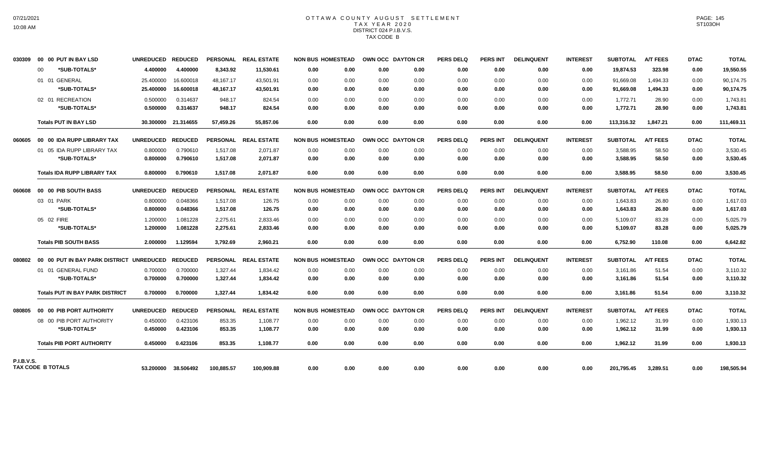# OTTAWA COUNTY AUGUST SETTLEMENT TAX YEAR 2020 DISTRICT 024 P.I.B.V.S. TAX CODE B

| 030309            |    | 00 00 PUT IN BAY LSD                                    | UNREDUCED REDUCED |                     |            | PERSONAL REAL ESTATE | <b>NON BUS HOMESTEAD</b> |      | OWN OCC DAYTON CR |      | <b>PERS DELQ</b> | <b>PERS INT</b> | <b>DELINQUENT</b> | <b>INTEREST</b> | <b>SUBTOTAL</b> | <b>A/T FEES</b> | <b>DTAC</b> | <b>TOTAL</b> |
|-------------------|----|---------------------------------------------------------|-------------------|---------------------|------------|----------------------|--------------------------|------|-------------------|------|------------------|-----------------|-------------------|-----------------|-----------------|-----------------|-------------|--------------|
|                   | 00 | *SUB-TOTALS*                                            | 4.400000          | 4.400000            | 8,343.92   | 11,530.61            | 0.00                     | 0.00 | 0.00              | 0.00 | 0.00             | 0.00            | 0.00              | 0.00            | 19.874.53       | 323.98          | 0.00        | 19,550.55    |
|                   |    | 01 01 GENERAL                                           | 25.400000         | 16.600018           | 48,167.17  | 43,501.91            | 0.00                     | 0.00 | 0.00              | 0.00 | 0.00             | 0.00            | 0.00              | 0.00            | 91,669.08       | 1,494.33        | 0.00        | 90,174.75    |
|                   |    | *SUB-TOTALS*                                            | 25.400000         | 16.600018           | 48,167.17  | 43,501.91            | 0.00                     | 0.00 | 0.00              | 0.00 | 0.00             | 0.00            | 0.00              | 0.00            | 91,669.08       | 1,494.33        | 0.00        | 90,174.75    |
|                   |    | 02 01 RECREATION                                        | 0.500000          | 0.314637            | 948.17     | 824.54               | 0.00                     | 0.00 | 0.00              | 0.00 | 0.00             | 0.00            | 0.00              | 0.00            | 1,772.71        | 28.90           | 0.00        | 1,743.81     |
|                   |    | *SUB-TOTALS*                                            | 0.500000          | 0.314637            | 948.17     | 824.54               | 0.00                     | 0.00 | 0.00              | 0.00 | 0.00             | 0.00            | 0.00              | 0.00            | 1,772.71        | 28.90           | 0.00        | 1,743.81     |
|                   |    | <b>Totals PUT IN BAY LSD</b>                            |                   | 30.300000 21.314655 | 57,459.26  | 55,857.06            | 0.00                     | 0.00 | 0.00              | 0.00 | 0.00             | 0.00            | 0.00              | 0.00            | 113,316.32      | 1,847.21        | 0.00        | 111,469.11   |
|                   |    | 060605 00 00 IDA RUPP LIBRARY TAX                       | UNREDUCED REDUCED |                     |            | PERSONAL REAL ESTATE | <b>NON BUS HOMESTEAD</b> |      | OWN OCC DAYTON CR |      | <b>PERS DELQ</b> | <b>PERS INT</b> | <b>DELINQUENT</b> | <b>INTEREST</b> | <b>SUBTOTAL</b> | <b>A/T FEES</b> | <b>DTAC</b> | <b>TOTAL</b> |
|                   |    | 01 05 IDA RUPP LIBRARY TAX                              | 0.800000          | 0.790610            | 1,517.08   | 2,071.87             | 0.00                     | 0.00 | 0.00              | 0.00 | 0.00             | 0.00            | 0.00              | 0.00            | 3,588.95        | 58.50           | 0.00        | 3,530.45     |
|                   |    | *SUB-TOTALS*                                            | 0.800000          | 0.790610            | 1,517.08   | 2,071.87             | 0.00                     | 0.00 | 0.00              | 0.00 | 0.00             | 0.00            | 0.00              | 0.00            | 3,588.95        | 58.50           | 0.00        | 3,530.45     |
|                   |    | <b>Totals IDA RUPP LIBRARY TAX</b>                      | 0.800000          | 0.790610            | 1,517.08   | 2,071.87             | 0.00                     | 0.00 | 0.00              | 0.00 | 0.00             | 0.00            | 0.00              | 0.00            | 3,588.95        | 58.50           | 0.00        | 3,530.45     |
| 806060            |    | 00 00 PIB SOUTH BASS                                    | UNREDUCED REDUCED |                     |            | PERSONAL REAL ESTATE | <b>NON BUS HOMESTEAD</b> |      | OWN OCC DAYTON CR |      | <b>PERS DELQ</b> | PERS INT        | <b>DELINQUENT</b> | <b>INTEREST</b> | <b>SUBTOTAL</b> | <b>A/T FEES</b> | <b>DTAC</b> | <b>TOTAL</b> |
|                   |    | 03 01 PARK                                              | 0.800000          | 0.048366            | 1,517.08   | 126.75               | 0.00                     | 0.00 | 0.00              | 0.00 | 0.00             | 0.00            | 0.00              | 0.00            | 1,643.83        | 26.80           | 0.00        | 1,617.03     |
|                   |    | *SUB-TOTALS*                                            | 0.800000          | 0.048366            | 1.517.08   | 126.75               | 0.00                     | 0.00 | 0.00              | 0.00 | 0.00             | 0.00            | 0.00              | 0.00            | 1.643.83        | 26.80           | 0.00        | 1,617.03     |
|                   |    | 05 02 FIRE                                              | 1.200000          | 1.081228            | 2,275.61   | 2,833.46             | 0.00                     | 0.00 | 0.00              | 0.00 | 0.00             | 0.00            | 0.00              | 0.00            | 5,109.07        | 83.28           | 0.00        | 5,025.79     |
|                   |    | *SUB-TOTALS*                                            | 1.200000          | 1.081228            | 2,275.61   | 2,833.46             | 0.00                     | 0.00 | 0.00              | 0.00 | 0.00             | 0.00            | 0.00              | 0.00            | 5,109.07        | 83.28           | 0.00        | 5,025.79     |
|                   |    | <b>Totals PIB SOUTH BASS</b>                            | 2.000000          | 1.129594            | 3,792.69   | 2,960.21             | 0.00                     | 0.00 | 0.00              | 0.00 | 0.00             | 0.00            | 0.00              | 0.00            | 6,752.90        | 110.08          | 0.00        | 6,642.82     |
|                   |    | 080802 00 00 PUT IN BAY PARK DISTRICT UNREDUCED REDUCED |                   |                     |            | PERSONAL REAL ESTATE | <b>NON BUS HOMESTEAD</b> |      | OWN OCC DAYTON CR |      | <b>PERS DELQ</b> | <b>PERS INT</b> | <b>DELINQUENT</b> | <b>INTEREST</b> | <b>SUBTOTAL</b> | <b>A/T FEES</b> | <b>DTAC</b> | <b>TOTAL</b> |
|                   |    | 01 01 GENERAL FUND                                      | 0.700000          | 0.700000            | 1.327.44   | 1.834.42             | 0.00                     | 0.00 | 0.00              | 0.00 | 0.00             | 0.00            | 0.00              | 0.00            | 3,161.86        | 51.54           | 0.00        | 3,110.32     |
|                   |    | *SUB-TOTALS*                                            | 0.700000          | 0.700000            | 1,327.44   | 1,834.42             | 0.00                     | 0.00 | 0.00              | 0.00 | 0.00             | 0.00            | 0.00              | 0.00            | 3,161.86        | 51.54           | 0.00        | 3,110.32     |
|                   |    | <b>Totals PUT IN BAY PARK DISTRICT</b>                  | 0.700000          | 0.700000            | 1,327.44   | 1,834.42             | 0.00                     | 0.00 | 0.00              | 0.00 | 0.00             | 0.00            | 0.00              | 0.00            | 3,161.86        | 51.54           | 0.00        | 3,110.32     |
| 080805            |    | 00 00 PIB PORT AUTHORITY                                | UNREDUCED REDUCED |                     |            | PERSONAL REAL ESTATE | <b>NON BUS HOMESTEAD</b> |      | OWN OCC DAYTON CR |      | <b>PERS DELQ</b> | <b>PERS INT</b> | <b>DELINQUENT</b> | <b>INTEREST</b> | <b>SUBTOTAL</b> | <b>A/T FEES</b> | <b>DTAC</b> | <b>TOTAL</b> |
|                   |    | 08 00 PIB PORT AUTHORITY                                | 0.450000          | 0.423106            | 853.35     | 1,108.77             | 0.00                     | 0.00 | 0.00              | 0.00 | 0.00             | 0.00            | 0.00              | 0.00            | 1,962.12        | 31.99           | 0.00        | 1,930.13     |
|                   |    | *SUB-TOTALS*                                            | 0.450000          | 0.423106            | 853.35     | 1,108.77             | 0.00                     | 0.00 | 0.00              | 0.00 | 0.00             | 0.00            | 0.00              | 0.00            | 1,962.12        | 31.99           | 0.00        | 1,930.13     |
|                   |    | <b>Totals PIB PORT AUTHORITY</b>                        | 0.450000          | 0.423106            | 853.35     | 1,108.77             | 0.00                     | 0.00 | 0.00              | 0.00 | 0.00             | 0.00            | 0.00              | 0.00            | 1,962.12        | 31.99           | 0.00        | 1,930.13     |
| <b>P.I.B.V.S.</b> |    |                                                         |                   |                     |            |                      |                          |      |                   |      |                  |                 |                   |                 |                 |                 |             |              |
|                   |    | <b>TAX CODE B TOTALS</b>                                |                   | 53.200000 38.506492 | 100,885.57 | 100.909.88           | 0.00                     | 0.00 | 0.00              | 0.00 | 0.00             | 0.00            | 0.00              | 0.00            | 201,795.45      | 3,289.51        | 0.00        | 198,505.94   |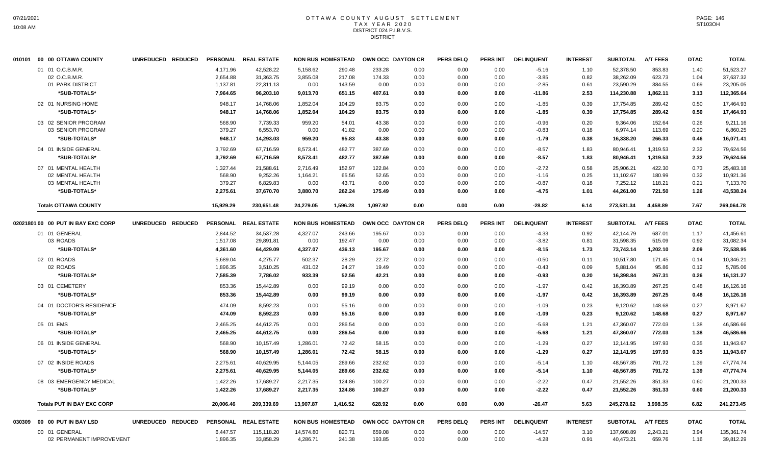#### OTTAWA COUNTY AUGUST SETTLEMENT T A X Y E A R 2 0 2 0 DISTRICT 024 P.I.B.V.S. **DISTRICT**

| 010101 00 00 OTTAWA COUNTY         | UNREDUCED REDUCED |                 | PERSONAL REAL ESTATE |           | <b>NON BUS HOMESTEAD</b> |          | OWN OCC DAYTON CR | <b>PERS DELQ</b> | <b>PERS INT</b> | <b>DELINQUENT</b> | <b>INTEREST</b> | <b>SUBTOTAL</b> | <b>A/T FEES</b> | <b>DTAC</b> | <b>TOTAL</b> |
|------------------------------------|-------------------|-----------------|----------------------|-----------|--------------------------|----------|-------------------|------------------|-----------------|-------------------|-----------------|-----------------|-----------------|-------------|--------------|
| 01 01 O.C.B.M.R.                   |                   | 4.171.96        | 42,528.22            | 5,158.62  | 290.48                   | 233.28   | 0.00              | 0.00             | 0.00            | $-5.16$           | 1.10            | 52,378.50       | 853.83          | 1.40        | 51,523.27    |
| 02 O.C.B.M.R.                      |                   | 2,654.88        | 31,363.75            | 3,855.08  | 217.08                   | 174.33   | 0.00              | 0.00             | 0.00            | $-3.85$           | 0.82            | 38,262.09       | 623.73          | 1.04        | 37,637.32    |
| 01 PARK DISTRICT                   |                   | 1,137.81        | 22,311.13            | 0.00      | 143.59                   | 0.00     | 0.00              | 0.00             | 0.00            | $-2.85$           | 0.61            | 23,590.29       | 384.55          | 0.69        | 23,205.05    |
| *SUB-TOTALS*                       |                   | 7,964.65        | 96,203.10            | 9,013.70  | 651.15                   | 407.61   | 0.00              | 0.00             | 0.00            | $-11.86$          | 2.53            | 114,230.88      | 1,862.11        | 3.13        | 112,365.64   |
| 02 01 NURSING HOME                 |                   | 948.17          | 14,768.06            | 1,852.04  | 104.29                   | 83.75    | 0.00              | 0.00             | 0.00            | $-1.85$           | 0.39            | 17,754.85       | 289.42          | 0.50        | 17,464.93    |
| *SUB-TOTALS*                       |                   | 948.17          | 14.768.06            | 1,852.04  | 104.29                   | 83.75    | 0.00              | 0.00             | 0.00            | $-1.85$           | 0.39            | 17,754.85       | 289.42          | 0.50        | 17.464.93    |
| 03 02 SENIOR PROGRAM               |                   | 568.90          | 7,739.33             | 959.20    | 54.01                    | 43.38    | 0.00              | 0.00             | 0.00            | $-0.96$           | 0.20            | 9,364.06        | 152.64          | 0.26        | 9,211.16     |
| 03 SENIOR PROGRAM                  |                   | 379.27          | 6,553.70             | 0.00      | 41.82                    | 0.00     | 0.00              | 0.00             | 0.00            | $-0.83$           | 0.18            | 6,974.14        | 113.69          | 0.20        | 6,860.25     |
| *SUB-TOTALS*                       |                   | 948.17          | 14,293.03            | 959.20    | 95.83                    | 43.38    | 0.00              | 0.00             | 0.00            | $-1.79$           | 0.38            | 16,338.20       | 266.33          | 0.46        | 16,071.41    |
| 04 01 INSIDE GENERAL               |                   | 3,792.69        | 67,716.59            | 8,573.41  | 482.77                   | 387.69   | 0.00              | 0.00             | 0.00            | $-8.57$           | 1.83            | 80,946.41       | 1,319.53        | 2.32        | 79,624.56    |
| *SUB-TOTALS*                       |                   | 3,792.69        | 67,716.59            | 8,573.41  | 482.77                   | 387.69   | 0.00              | 0.00             | 0.00            | $-8.57$           | 1.83            | 80,946.41       | 1,319.53        | 2.32        | 79,624.56    |
| 07 01 MENTAL HEALTH                |                   | 1,327.44        | 21,588.61            | 2,716.49  | 152.97                   | 122.84   | 0.00              | 0.00             | 0.00            | $-2.72$           | 0.58            | 25,906.21       | 422.30          | 0.73        | 25,483.18    |
| 02 MENTAL HEALTH                   |                   | 568.90          | 9,252.26             | 1,164.21  | 65.56                    | 52.65    | 0.00              | 0.00             | 0.00            | $-1.16$           | 0.25            | 11,102.67       | 180.99          | 0.32        | 10,921.36    |
| 03 MENTAL HEALTH                   |                   | 379.27          | 6,829.83             | 0.00      | 43.71                    | 0.00     | 0.00              | 0.00             | 0.00            | $-0.87$           | 0.18            | 7,252.12        | 118.21          | 0.21        | 7,133.70     |
| *SUB-TOTALS*                       |                   | 2,275.61        | 37,670.70            | 3,880.70  | 262.24                   | 175.49   | 0.00              | 0.00             | 0.00            | $-4.75$           | 1.01            | 44.261.00       | 721.50          | 1.26        | 43.538.24    |
| <b>Totals OTTAWA COUNTY</b>        |                   | 15,929.29       | 230,651.48           | 24,279.05 | 1,596.28                 | 1,097.92 | 0.00              | 0.00             | 0.00            | $-28.82$          | 6.14            | 273,531.34      | 4,458.89        | 7.67        | 269,064.78   |
| 02021801 00 00 PUT IN BAY EXC CORP | UNREDUCED REDUCED | <b>PERSONAL</b> | <b>REAL ESTATE</b>   |           | <b>NON BUS HOMESTEAD</b> |          | OWN OCC DAYTON CR | <b>PERS DELQ</b> | <b>PERS INT</b> | <b>DELINQUENT</b> | <b>INTEREST</b> | <b>SUBTOTAL</b> | <b>A/T FEES</b> | <b>DTAC</b> | <b>TOTAL</b> |
| 01 01 GENERAL                      |                   | 2,844.52        | 34,537.28            | 4,327.07  | 243.66                   | 195.67   | 0.00              | 0.00             | 0.00            | $-4.33$           | 0.92            | 42,144.79       | 687.01          | 1.17        | 41,456.61    |
| 03 ROADS                           |                   | 1,517.08        | 29,891.81            | 0.00      | 192.47                   | 0.00     | 0.00              | 0.00             | 0.00            | $-3.82$           | 0.81            | 31,598.35       | 515.09          | 0.92        | 31,082.34    |
| *SUB-TOTALS*                       |                   | 4,361.60        | 64,429.09            | 4,327.07  | 436.13                   | 195.67   | 0.00              | 0.00             | 0.00            | $-8.15$           | 1.73            | 73,743.14       | 1,202.10        | 2.09        | 72,538.95    |
| 02 01 ROADS                        |                   | 5,689.04        | 4,275.77             | 502.37    | 28.29                    | 22.72    | 0.00              | 0.00             | 0.00            | $-0.50$           | 0.11            | 10,517.80       | 171.45          | 0.14        | 10.346.21    |
| 02 ROADS                           |                   | 1,896.35        | 3,510.25             | 431.02    | 24.27                    | 19.49    | 0.00              | 0.00             | 0.00            | $-0.43$           | 0.09            | 5,881.04        | 95.86           | 0.12        | 5,785.06     |
| *SUB-TOTALS*                       |                   | 7,585.39        | 7,786.02             | 933.39    | 52.56                    | 42.21    | 0.00              | 0.00             | 0.00            | $-0.93$           | 0.20            | 16,398.84       | 267.31          | 0.26        | 16,131.27    |
| 03 01 CEMETERY                     |                   | 853.36          | 15,442.89            | 0.00      | 99.19                    | 0.00     | 0.00              | 0.00             | 0.00            | $-1.97$           | 0.42            | 16,393.89       | 267.25          | 0.48        | 16,126.16    |
| *SUB-TOTALS*                       |                   | 853.36          | 15,442.89            | 0.00      | 99.19                    | 0.00     | 0.00              | 0.00             | 0.00            | $-1.97$           | 0.42            | 16,393.89       | 267.25          | 0.48        | 16,126.16    |
| 04 01 DOCTOR'S RESIDENCE           |                   | 474.09          | 8,592.23             | 0.00      | 55.16                    | 0.00     | 0.00              | 0.00             | 0.00            | $-1.09$           | 0.23            | 9,120.62        | 148.68          | 0.27        | 8,971.67     |
| *SUB-TOTALS*                       |                   | 474.09          | 8,592.23             | 0.00      | 55.16                    | 0.00     | 0.00              | 0.00             | 0.00            | $-1.09$           | 0.23            | 9,120.62        | 148.68          | 0.27        | 8,971.67     |
| 05 01 EMS                          |                   | 2.465.25        | 44,612.75            | 0.00      | 286.54                   | 0.00     | 0.00              | 0.00             | 0.00            | $-5.68$           | 1.21            | 47,360.07       | 772.03          | 1.38        | 46,586.66    |
| *SUB-TOTALS*                       |                   | 2,465.25        | 44,612.75            | 0.00      | 286.54                   | 0.00     | 0.00              | 0.00             | 0.00            | $-5.68$           | 1.21            | 47,360.07       | 772.03          | 1.38        | 46,586.66    |
| 06 01 INSIDE GENERAL               |                   | 568.90          | 10,157.49            | 1,286.01  | 72.42                    | 58.15    | 0.00              | 0.00             | 0.00            | $-1.29$           | 0.27            | 12,141.95       | 197.93          | 0.35        | 11,943.67    |
| *SUB-TOTALS*                       |                   | 568.90          | 10,157.49            | 1,286.01  | 72.42                    | 58.15    | 0.00              | 0.00             | 0.00            | $-1.29$           | 0.27            | 12,141.95       | 197.93          | 0.35        | 11,943.67    |
| 07 02 INSIDE ROADS                 |                   | 2,275.61        | 40,629.95            | 5,144.05  | 289.66                   | 232.62   | 0.00              | 0.00             | 0.00            | $-5.14$           | 1.10            | 48,567.85       | 791.72          | 1.39        | 47,774.74    |
| *SUB-TOTALS*                       |                   | 2,275.61        | 40,629.95            | 5,144.05  | 289.66                   | 232.62   | 0.00              | 0.00             | 0.00            | $-5.14$           | 1.10            | 48,567.85       | 791.72          | 1.39        | 47,774.74    |
|                                    |                   |                 |                      |           |                          |          |                   |                  |                 |                   |                 |                 |                 |             |              |
| 08 03 EMERGENCY MEDICAL            |                   | 1,422.26        | 17,689.27            | 2,217.35  | 124.86                   | 100.27   | 0.00              | 0.00             | 0.00            | $-2.22$           | 0.47            | 21,552.26       | 351.33          | 0.60        | 21,200.33    |
| *SUB-TOTALS*                       |                   | 1,422.26        | 17,689.27            | 2,217.35  | 124.86                   | 100.27   | 0.00              | 0.00             | 0.00            | $-2.22$           | 0.47            | 21,552.26       | 351.33          | 0.60        | 21,200.33    |
| <b>Totals PUT IN BAY EXC CORP</b>  |                   | 20,006.46       | 209,339.69           | 13,907.87 | 1,416.52                 | 628.92   | 0.00              | 0.00             | 0.00            | $-26.47$          | 5.63            | 245,278.62      | 3.998.35        | 6.82        | 241,273.45   |
| 030309 00 00 PUT IN BAY LSD        | UNREDUCED REDUCED |                 | PERSONAL REAL ESTATE |           | <b>NON BUS HOMESTEAD</b> |          | OWN OCC DAYTON CR | <b>PERS DELQ</b> | <b>PERS INT</b> | <b>DELINQUENT</b> | <b>INTEREST</b> | <b>SUBTOTAL</b> | <b>A/T FEES</b> | <b>DTAC</b> | <b>TOTAL</b> |
| 00 01 GENERAL                      |                   | 6,447.57        | 115,118.20           | 14,574.80 | 820.71                   | 659.08   | 0.00              | 0.00             | 0.00            | $-14.57$          | 3.10            | 137,608.89      | 2,243.21        | 3.94        | 135,361.74   |
| 02 PERMANENT IMPROVEMENT           |                   | 1,896.35        | 33,858.29            | 4,286.71  | 241.38                   | 193.85   | 0.00              | 0.00             | 0.00            | $-4.28$           | 0.91            | 40,473.21       | 659.76          | 1.16        | 39,812.29    |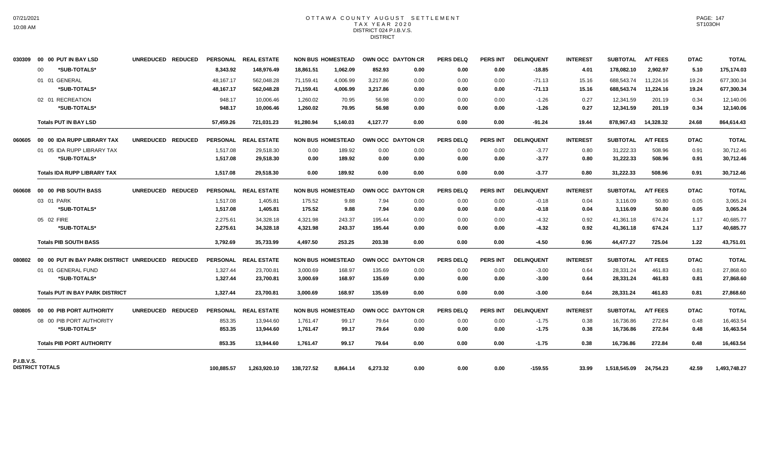# OTTAWA COUNTY AUGUST SETTLEMENT TAX YEAR 2020 DISTRICT 024 P.I.B.V.S. **DISTRICT**

| 030309                 |    | 00 00 PUT IN BAY LSD                   | UNREDUCED REDUCED |            | PERSONAL REAL ESTATE |            | <b>NON BUS HOMESTEAD</b> |          | OWN OCC DAYTON CR | <b>PERS DELQ</b> | <b>PERS INT</b> | <b>DELINQUENT</b> | <b>INTEREST</b> | <b>SUBTOTAL</b> | <b>A/T FEES</b> | <b>DTAC</b> | <b>TOTAL</b> |
|------------------------|----|----------------------------------------|-------------------|------------|----------------------|------------|--------------------------|----------|-------------------|------------------|-----------------|-------------------|-----------------|-----------------|-----------------|-------------|--------------|
|                        | 00 | *SUB-TOTALS*                           |                   | 8,343.92   | 148,976.49           | 18,861.51  | 1,062.09                 | 852.93   | 0.00              | 0.00             | 0.00            | $-18.85$          | 4.01            | 178,082.10      | 2,902.97        | 5.10        | 175,174.03   |
|                        |    | 01 01 GENERAL                          |                   | 48,167.17  | 562,048.28           | 71,159.41  | 4,006.99                 | 3.217.86 | 0.00              | 0.00             | 0.00            | $-71.13$          | 15.16           | 688.543.74      | 11,224.16       | 19.24       | 677,300.34   |
|                        |    | *SUB-TOTALS*                           |                   | 48,167.17  | 562,048.28           | 71,159.41  | 4,006.99                 | 3,217.86 | 0.00              | 0.00             | 0.00            | $-71.13$          | 15.16           | 688,543.74      | 11,224.16       | 19.24       | 677,300.34   |
|                        |    | 02 01 RECREATION                       |                   | 948.17     | 10,006.46            | 1,260.02   | 70.95                    | 56.98    | 0.00              | 0.00             | 0.00            | $-1.26$           | 0.27            | 12,341.59       | 201.19          | 0.34        | 12,140.06    |
|                        |    | *SUB-TOTALS*                           |                   | 948.17     | 10.006.46            | 1,260.02   | 70.95                    | 56.98    | 0.00              | 0.00             | 0.00            | $-1.26$           | 0.27            | 12,341.59       | 201.19          | 0.34        | 12,140.06    |
|                        |    | <b>Totals PUT IN BAY LSD</b>           |                   | 57,459.26  | 721,031.23           | 91,280.94  | 5,140.03                 | 4.127.77 | 0.00              | 0.00             | 0.00            | $-91.24$          | 19.44           | 878.967.43      | 14,328.32       | 24.68       | 864,614.43   |
|                        |    | 060605 00 00 IDA RUPP LIBRARY TAX      | UNREDUCED REDUCED |            | PERSONAL REAL ESTATE |            | <b>NON BUS HOMESTEAD</b> |          | OWN OCC DAYTON CR | <b>PERS DELQ</b> | <b>PERS INT</b> | <b>DELINQUENT</b> | <b>INTEREST</b> | <b>SUBTOTAL</b> | <b>A/T FEES</b> | <b>DTAC</b> | <b>TOTAL</b> |
|                        |    | 01 05 IDA RUPP LIBRARY TAX             |                   | 1,517.08   | 29,518.30            | 0.00       | 189.92                   | 0.00     | 0.00              | 0.00             | 0.00            | $-3.77$           | 0.80            | 31,222.33       | 508.96          | 0.91        | 30,712.46    |
|                        |    | *SUB-TOTALS*                           |                   | 1,517.08   | 29,518.30            | 0.00       | 189.92                   | 0.00     | 0.00              | 0.00             | 0.00            | $-3.77$           | 0.80            | 31,222.33       | 508.96          | 0.91        | 30,712.46    |
|                        |    | <b>Totals IDA RUPP LIBRARY TAX</b>     |                   | 1,517.08   | 29,518.30            | 0.00       | 189.92                   | 0.00     | 0.00              | 0.00             | 0.00            | $-3.77$           | 0.80            | 31,222.33       | 508.96          | 0.91        | 30,712.46    |
|                        |    | 060608 00 00 PIB SOUTH BASS            | UNREDUCED REDUCED |            | PERSONAL REAL ESTATE |            | <b>NON BUS HOMESTEAD</b> |          | OWN OCC DAYTON CR | <b>PERS DELQ</b> | PERS INT        | <b>DELINQUENT</b> | <b>INTEREST</b> | <b>SUBTOTAL</b> | <b>A/T FEES</b> | <b>DTAC</b> | <b>TOTAL</b> |
|                        |    | 03 01 PARK                             |                   | 1,517.08   | 1,405.81             | 175.52     | 9.88                     | 7.94     | 0.00              | 0.00             | 0.00            | $-0.18$           | 0.04            | 3,116.09        | 50.80           | 0.05        | 3,065.24     |
|                        |    | *SUB-TOTALS*                           |                   | 1,517.08   | 1,405.81             | 175.52     | 9.88                     | 7.94     | 0.00              | 0.00             | 0.00            | $-0.18$           | 0.04            | 3,116.09        | 50.80           | 0.05        | 3,065.24     |
|                        |    | 05 02 FIRE                             |                   | 2,275.61   | 34,328.18            | 4,321.98   | 243.37                   | 195.44   | 0.00              | 0.00             | 0.00            | $-4.32$           | 0.92            | 41,361.18       | 674.24          | 1.17        | 40,685.77    |
|                        |    | *SUB-TOTALS*                           |                   | 2,275.61   | 34,328.18            | 4,321.98   | 243.37                   | 195.44   | 0.00              | 0.00             | 0.00            | $-4.32$           | 0.92            | 41,361.18       | 674.24          | 1.17        | 40,685.77    |
|                        |    | <b>Totals PIB SOUTH BASS</b>           |                   | 3,792.69   | 35,733.99            | 4,497.50   | 253.25                   | 203.38   | 0.00              | 0.00             | 0.00            | $-4.50$           | 0.96            | 44,477.27       | 725.04          | 1.22        | 43,751.01    |
|                        |    |                                        |                   |            | PERSONAL REAL ESTATE |            | <b>NON BUS HOMESTEAD</b> |          | OWN OCC DAYTON CR | <b>PERS DELQ</b> | <b>PERS INT</b> | <b>DELINQUENT</b> | <b>INTEREST</b> | <b>SUBTOTAL</b> | <b>A/T FEES</b> | <b>DTAC</b> | <b>TOTAL</b> |
|                        |    | 01 01 GENERAL FUND                     |                   | 1,327.44   | 23,700.81            | 3,000.69   | 168.97                   | 135.69   | 0.00              | 0.00             | 0.00            | $-3.00$           | 0.64            | 28,331.24       | 461.83          | 0.81        | 27,868.60    |
|                        |    | *SUB-TOTALS*                           |                   | 1,327.44   | 23,700.81            | 3,000.69   | 168.97                   | 135.69   | 0.00              | 0.00             | 0.00            | $-3.00$           | 0.64            | 28,331.24       | 461.83          | 0.81        | 27,868.60    |
|                        |    | <b>Totals PUT IN BAY PARK DISTRICT</b> |                   | 1,327.44   | 23.700.81            | 3.000.69   | 168.97                   | 135.69   | 0.00              | 0.00             | 0.00            | $-3.00$           | 0.64            | 28,331.24       | 461.83          | 0.81        | 27,868.60    |
|                        |    | 080805 00 00 PIB PORT AUTHORITY        | UNREDUCED REDUCED |            | PERSONAL REAL ESTATE |            | <b>NON BUS HOMESTEAD</b> |          | OWN OCC DAYTON CR | <b>PERS DELQ</b> | <b>PERS INT</b> | <b>DELINQUENT</b> | <b>INTEREST</b> | <b>SUBTOTAL</b> | <b>A/T FEES</b> | <b>DTAC</b> | <b>TOTAL</b> |
|                        |    | 08 00 PIB PORT AUTHORITY               |                   | 853.35     | 13,944.60            | 1,761.47   | 99.17                    | 79.64    | 0.00              | 0.00             | 0.00            | $-1.75$           | 0.38            | 16,736.86       | 272.84          | 0.48        | 16,463.54    |
|                        |    | *SUB-TOTALS*                           |                   | 853.35     | 13,944.60            | 1,761.47   | 99.17                    | 79.64    | 0.00              | 0.00             | 0.00            | $-1.75$           | 0.38            | 16,736.86       | 272.84          | 0.48        | 16,463.54    |
|                        |    | <b>Totals PIB PORT AUTHORITY</b>       |                   | 853.35     | 13.944.60            | 1.761.47   | 99.17                    | 79.64    | 0.00              | 0.00             | 0.00            | $-1.75$           | 0.38            | 16,736.86       | 272.84          | 0.48        | 16,463.54    |
| <b>P.I.B.V.S.</b>      |    |                                        |                   |            |                      |            |                          |          |                   |                  |                 |                   |                 |                 |                 |             |              |
| <b>DISTRICT TOTALS</b> |    |                                        |                   | 100,885.57 | 1,263,920.10         | 138,727.52 | 8.864.14                 | 6,273.32 | 0.00              | 0.00             | 0.00            | $-159.55$         | 33.99           | 1,518,545.09    | 24,754.23       | 42.59       | 1,493,748.27 |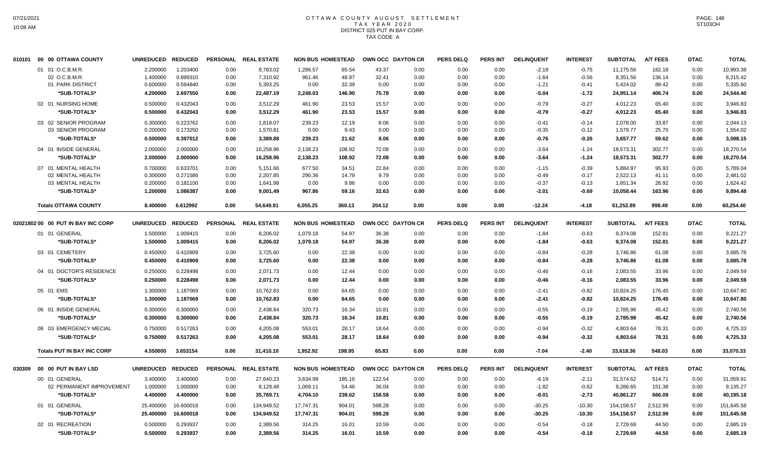## OTTAWA COUNTY AUGUST SETTLEMENT T A X Y E A R 2 0 2 0 DISTRICT 025 PUT IN BAY CORP. TAX CODE A

| 010101 | 00 00 OTTAWA COUNTY                | <b>UNREDUCED</b> | <b>REDUCED</b> |      | PERSONAL REAL ESTATE | <b>NON BUS HOMESTEAD</b> |        |        | OWN OCC DAYTON CR | <b>PERS DELQ</b> | <b>PERS INT</b> | <b>DELINQUENT</b> | <b>INTEREST</b> | <b>SUBTOTAL</b> | <b>A/T FEES</b> | <b>DTAC</b> | <b>TOTAL</b> |
|--------|------------------------------------|------------------|----------------|------|----------------------|--------------------------|--------|--------|-------------------|------------------|-----------------|-------------------|-----------------|-----------------|-----------------|-------------|--------------|
|        | 01 01 O.C.B.M.R.                   | 2.200000         | 1.203400       | 0.00 | 9,783.02             | 1,286.57                 | 65.54  | 43.37  | 0.00              | 0.00             | 0.00            | $-2.19$           | $-0.75$         | 11,175.56       | 182.18          | 0.00        | 10,993.38    |
|        | 02 O.C.B.M.R                       | 1.400000         | 0.899310       | 0.00 | 7,310.92             | 961.46                   | 48.97  | 32.41  | 0.00              | 0.00             | 0.00            | $-1.64$           | $-0.56$         | 8,351.56        | 136.14          | 0.00        | 8,215.42     |
|        | 01 PARK DISTRICT                   | 0.600000         | 0.594840       | 0.00 | 5,393.25             | 0.00                     | 32.39  | 0.00   | 0.00              | 0.00             | 0.00            | $-1.21$           | $-0.41$         | 5,424.02        | 88.42           | 0.00        | 5,335.60     |
|        | *SUB-TOTALS*                       | 4.200000         | 2.697550       | 0.00 | 22,487.19            | 2,248.03                 | 146.90 | 75.78  | 0.00              | 0.00             | 0.00            | $-5.04$           | $-1.72$         | 24,951.14       | 406.74          | 0.00        | 24,544.40    |
|        | 02 01 NURSING HOME                 | 0.500000         | 0.432043       | 0.00 | 3,512.29             | 461.90                   | 23.53  | 15.57  | 0.00              | 0.00             | 0.00            | $-0.79$           | $-0.27$         | 4,012.23        | 65.40           | 0.00        | 3,946.83     |
|        | *SUB-TOTALS*                       | 0.500000         | 0.432043       | 0.00 | 3,512.29             | 461.90                   | 23.53  | 15.57  | 0.00              | 0.00             | 0.00            | $-0.79$           | $-0.27$         | 4,012.23        | 65.40           | 0.00        | 3,946.83     |
|        | 03 02 SENIOR PROGRAM               | 0.300000         | 0.223762       | 0.00 | 1,819.07             | 239.23                   | 12.19  | 8.06   | 0.00              | 0.00             | 0.00            | $-0.41$           | $-0.14$         | 2,078.00        | 33.87           | 0.00        | 2,044.13     |
|        | 03 SENIOR PROGRAM                  | 0.200000         | 0.173250       | 0.00 | 1,570.81             | 0.00                     | 9.43   | 0.00   | 0.00              | 0.00             | 0.00            | $-0.35$           | $-0.12$         | 1,579.77        | 25.75           | 0.00        | 1,554.02     |
|        | *SUB-TOTALS*                       | 0.500000         | 0.397012       | 0.00 | 3,389.88             | 239.23                   | 21.62  | 8.06   | 0.00              | 0.00             | 0.00            | $-0.76$           | $-0.26$         | 3,657.77        | 59.62           | 0.00        | 3,598.15     |
|        | 04 01 INSIDE GENERAL               | 2.000000         | 2.000000       | 0.00 | 16,258.96            | 2,138.23                 | 108.92 | 72.08  | 0.00              | 0.00             | 0.00            | $-3.64$           | $-1.24$         | 18,573.31       | 302.77          | 0.00        | 18,270.54    |
|        | *SUB-TOTALS*                       | 2.000000         | 2.000000       | 0.00 | 16,258.96            | 2,138.23                 | 108.92 | 72.08  | 0.00              | 0.00             | 0.00            | $-3.64$           | $-1.24$         | 18,573.31       | 302.77          | 0.00        | 18,270.54    |
|        | 07 01 MENTAL HEALTH                | 0.700000         | 0.633701       | 0.00 | 5,151.66             | 677.50                   | 34.51  | 22.84  | 0.00              | 0.00             | 0.00            | $-1.15$           | $-0.39$         | 5.884.97        | 95.93           | 0.00        | 5,789.04     |
|        | 02 MENTAL HEALTH                   | 0.300000         | 0.271586       | 0.00 | 2,207.85             | 290.36                   | 14.79  | 9.79   | 0.00              | 0.00             | 0.00            | $-0.49$           | $-0.17$         | 2,522.13        | 41.11           | 0.00        | 2,481.02     |
|        | 03 MENTAL HEALTH                   | 0.200000         | 0.181100       | 0.00 | 1,641.98             | 0.00                     | 9.86   | 0.00   | 0.00              | 0.00             | 0.00            | $-0.37$           | $-0.13$         | 1,651.34        | 26.92           | 0.00        | 1,624.42     |
|        | *SUB-TOTALS*                       | 1.200000         | 1.086387       | 0.00 | 9,001.49             | 967.86                   | 59.16  | 32.63  | 0.00              | 0.00             | 0.00            | $-2.01$           | $-0.69$         | 10,058.44       | 163.96          | 0.00        | 9,894.48     |
|        | <b>Totals OTTAWA COUNTY</b>        | 8.400000         | 6.612992       | 0.00 | 54,649.81            | 6,055.25                 | 360.13 | 204.12 | 0.00              | 0.00             | 0.00            | $-12.24$          | $-4.18$         | 61,252.89       | 998.49          | 0.00        | 60,254.40    |
|        | 02021802 00 00 PUT IN BAY INC CORP | <b>UNREDUCED</b> | <b>REDUCED</b> |      | PERSONAL REAL ESTATE | <b>NON BUS HOMESTEAD</b> |        |        | OWN OCC DAYTON CR | <b>PERS DELQ</b> | <b>PERS INT</b> | <b>DELINQUENT</b> | <b>INTEREST</b> | <b>SUBTOTAL</b> | <b>A/T FEES</b> | <b>DTAC</b> | <b>TOTAL</b> |
|        | 01 01 GENERAL                      | 1.500000         | 1.009415       | 0.00 | 8,206.02             | 1,079.18                 | 54.97  | 36.38  | 0.00              | 0.00             | 0.00            | $-1.84$           | $-0.63$         | 9,374.08        | 152.81          | 0.00        | 9,221.27     |
|        | *SUB-TOTALS*                       | 1.500000         | 1.009415       | 0.00 | 8,206.02             | 1,079.18                 | 54.97  | 36.38  | 0.00              | 0.00             | 0.00            | $-1.84$           | $-0.63$         | 9,374.08        | 152.81          | 0.00        | 9,221.27     |
|        | 03 01 CEMETERY                     | 0.450000         | 0.410909       | 0.00 | 3,725.60             | 0.00                     | 22.38  | 0.00   | 0.00              | 0.00             | 0.00            | $-0.84$           | $-0.28$         | 3,746.86        | 61.08           | 0.00        | 3,685.78     |
|        | *SUB-TOTALS*                       | 0.450000         | 0.410909       | 0.00 | 3,725.60             | 0.00                     | 22.38  | 0.00   | 0.00              | 0.00             | 0.00            | $-0.84$           | $-0.28$         | 3,746.86        | 61.08           | 0.00        | 3,685.78     |
|        | 04 01 DOCTOR'S RESIDENCE           | 0.250000         | 0.228498       | 0.00 | 2,071.73             | 0.00                     | 12.44  | 0.00   | 0.00              | 0.00             | 0.00            | $-0.46$           | $-0.16$         | 2,083.55        | 33.96           | 0.00        | 2,049.59     |
|        | *SUB-TOTALS*                       | 0.250000         | 0.228498       | 0.00 | 2,071.73             | 0.00                     | 12.44  | 0.00   | 0.00              | 0.00             | 0.00            | $-0.46$           | $-0.16$         | 2,083.55        | 33.96           | 0.00        | 2,049.59     |
|        | 05 01 EMS                          | 1.300000         | 1.187069       | 0.00 | 10,762.83            | 0.00                     | 64.65  | 0.00   | 0.00              | 0.00             | 0.00            | $-2.41$           | $-0.82$         | 10,824.25       | 176.45          | 0.00        | 10,647.80    |
|        | *SUB-TOTALS*                       | 1.300000         | 1.187069       | 0.00 | 10,762.83            | 0.00                     | 64.65  | 0.00   | 0.00              | 0.00             | 0.00            | $-2.41$           | $-0.82$         | 10,824.25       | 176.45          | 0.00        | 10,647.80    |
|        | 06 01 INSIDE GENERAL               | 0.300000         | 0.300000       | 0.00 | 2,438.84             | 320.73                   | 16.34  | 10.81  | 0.00              | 0.00             | 0.00            | $-0.55$           | $-0.19$         | 2,785.98        | 45.42           | 0.00        | 2,740.56     |
|        | *SUB-TOTALS*                       | 0.300000         | 0.300000       | 0.00 | 2,438.84             | 320.73                   | 16.34  | 10.81  | 0.00              | 0.00             | 0.00            | $-0.55$           | $-0.19$         | 2,785.98        | 45.42           | 0.00        | 2,740.56     |
|        | 08 03 EMERGENCY MECIAL             | 0.750000         | 0.517263       | 0.00 | 4,205.08             | 553.01                   | 28.17  | 18.64  | 0.00              | 0.00             | 0.00            | $-0.94$           | $-0.32$         | 4,803.64        | 78.31           | 0.00        | 4,725.33     |
|        | *SUB-TOTALS*                       | 0.750000         | 0.517263       | 0.00 | 4,205.08             | 553.01                   | 28.17  | 18.64  | 0.00              | 0.00             | 0.00            | $-0.94$           | $-0.32$         | 4,803.64        | 78.31           | 0.00        | 4,725.33     |
|        | <b>Totals PUT IN BAY INC CORP</b>  | 4.550000         | 3.653154       | 0.00 | 31,410.10            | 1,952.92                 | 198.95 | 65.83  | 0.00              | 0.00             | 0.00            | $-7.04$           | $-2.40$         | 33,618.36       | 548.03          | 0.00        | 33,070.33    |
| 030309 | 00 00 PUT IN BAY LSD               | <b>UNREDUCED</b> | <b>REDUCED</b> |      | PERSONAL REAL ESTATE | <b>NON BUS HOMESTEAD</b> |        |        | OWN OCC DAYTON CR | <b>PERS DELQ</b> | <b>PERS INT</b> | <b>DELINQUENT</b> | <b>INTEREST</b> | <b>SUBTOTAL</b> | <b>A/T FEES</b> | <b>DTAC</b> | <b>TOTAL</b> |
|        | 00 01 GENERAL                      | 3.400000         | 3.400000       | 0.00 | 27,640.23            | 3,634.99                 | 185.16 | 122.54 | 0.00              | 0.00             | 0.00            | $-6.19$           | $-2.11$         | 31,574.62       | 514.71          | 0.00        | 31,059.91    |
|        | 02 PERMANENT IMPROVEMENT           | 1.000000         | 1.000000       | 0.00 | 8,129.48             | 1,069.11                 | 54.46  | 36.04  | 0.00              | 0.00             | 0.00            | $-1.82$           | $-0.62$         | 9,286.65        | 151.38          | 0.00        | 9,135.27     |
|        | *SUB-TOTALS*                       | 4.400000         | 4.400000       | 0.00 | 35,769.71            | 4,704.10                 | 239.62 | 158.58 | 0.00              | 0.00             | 0.00            | $-8.01$           | $-2.73$         | 40,861.27       | 666.09          | 0.00        | 40,195.18    |
|        |                                    |                  |                |      |                      |                          |        |        |                   |                  |                 |                   |                 |                 |                 |             |              |
|        | 01 01 GENERAL                      | 25.400000        | 16.600018      | 0.00 | 134,949.52           | 17,747.31                | 904.01 | 598.28 | 0.00              | 0.00             | 0.00            | $-30.25$          | $-10.30$        | 154,158.57      | 2,512.99        | 0.00        | 151,645.58   |
|        | *SUB-TOTALS*                       | 25.400000        | 16.600018      | 0.00 | 134,949.52           | 17,747.31                | 904.01 | 598.28 | 0.00              | 0.00             | 0.00            | $-30.25$          | $-10.30$        | 154,158.57      | 2,512.99        | 0.00        | 151,645.58   |
|        | 02 01 RECREATION                   | 0.500000         | 0.293937       | 0.00 | 2.389.56             | 314.25                   | 16.01  | 10.59  | 0.00              | 0.00             | 0.00            | $-0.54$           | $-0.18$         | 2.729.69        | 44.50           | 0.00        | 2.685.19     |
|        | *SUB-TOTALS*                       | 0.500000         | 0.293937       | 0.00 | 2,389.56             | 314.25                   | 16.01  | 10.59  | 0.00              | 0.00             | 0.00            | $-0.54$           | $-0.18$         | 2,729.69        | 44.50           | 0.00        | 2,685.19     |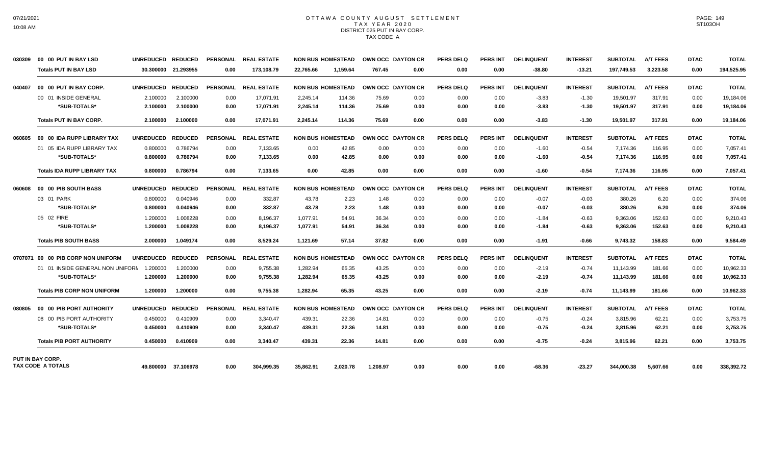#### OTTAWA COUNTY AUGUST SETTLEMENT T A X Y E A R 2 0 2 0 DISTRICT 025 PUT IN BAY CORP. TAX CODE A

| 030309  | 00 00 PUT IN BAY LSD               | UNREDUCED REDUCED |                     | <b>PERSONAL</b> | <b>REAL ESTATE</b>   |           | <b>NON BUS HOMESTEAD</b> |          | OWN OCC DAYTON CR | <b>PERS DELQ</b> | <b>PERS INT</b> | <b>DELINQUENT</b> | <b>INTEREST</b> | <b>SUBTOTAL</b> | <b>A/T FEES</b> | <b>DTAC</b> | <b>TOTAL</b> |
|---------|------------------------------------|-------------------|---------------------|-----------------|----------------------|-----------|--------------------------|----------|-------------------|------------------|-----------------|-------------------|-----------------|-----------------|-----------------|-------------|--------------|
|         | <b>Totals PUT IN BAY LSD</b>       |                   | 30.300000 21.293955 | 0.00            | 173.108.79           | 22.765.66 | 1.159.64                 | 767.45   | 0.00              | 0.00             | 0.00            | $-38.80$          | $-13.21$        | 197.749.53      | 3.223.58        | 0.00        | 194,525.95   |
| 040407  | 00 00 PUT IN BAY CORP.             | <b>UNREDUCED</b>  | <b>REDUCED</b>      | PERSONAL        | <b>REAL ESTATE</b>   |           | <b>NON BUS HOMESTEAD</b> |          | OWN OCC DAYTON CR | PERS DELO        | <b>PERS INT</b> | <b>DELINQUENT</b> | <b>INTEREST</b> | <b>SUBTOTAL</b> | <b>A/T FEES</b> | <b>DTAC</b> | <b>TOTAL</b> |
|         | 00 01 INSIDE GENERAL               | 2.100000          | 2.100000            | 0.00            | 17,071.91            | 2,245.14  | 114.36                   | 75.69    | 0.00              | 0.00             | 0.00            | $-3.83$           | $-1.30$         | 19,501.97       | 317.91          | 0.00        | 19,184.06    |
|         | *SUB-TOTALS*                       | 2.100000          | 2.100000            | 0.00            | 17,071.91            | 2,245.14  | 114.36                   | 75.69    | 0.00              | 0.00             | 0.00            | $-3.83$           | $-1.30$         | 19,501.97       | 317.91          | 0.00        | 19,184.06    |
|         | <b>Totals PUT IN BAY CORP.</b>     | 2.100000          | 2.100000            | 0.00            | 17.071.91            | 2.245.14  | 114.36                   | 75.69    | 0.00              | 0.00             | 0.00            | $-3.83$           | $-1.30$         | 19,501.97       | 317.91          | 0.00        | 19,184.06    |
| 060605  | 00 00 IDA RUPP LIBRARY TAX         | <b>UNREDUCED</b>  | <b>REDUCED</b>      |                 | PERSONAL REAL ESTATE |           | <b>NON BUS HOMESTEAD</b> |          | OWN OCC DAYTON CR | <b>PERS DELQ</b> | <b>PERS INT</b> | <b>DELINQUENT</b> | <b>INTEREST</b> | <b>SUBTOTAL</b> | <b>A/T FEES</b> | <b>DTAC</b> | <b>TOTAL</b> |
|         | 01 05 IDA RUPP LIBRARY TAX         | 0.800000          | 0.786794            | 0.00            | 7,133.65             | 0.00      | 42.85                    | 0.00     | 0.00              | 0.00             | 0.00            | $-1.60$           | $-0.54$         | 7,174.36        | 116.95          | 0.00        | 7,057.41     |
|         | *SUB-TOTALS*                       | 0.800000          | 0.786794            | 0.00            | 7,133.65             | 0.00      | 42.85                    | 0.00     | 0.00              | 0.00             | 0.00            | $-1.60$           | -0.54           | 7,174.36        | 116.95          | 0.00        | 7,057.41     |
|         | <b>Totals IDA RUPP LIBRARY TAX</b> | 0.800000          | 0.786794            | 0.00            | 7,133.65             | 0.00      | 42.85                    | 0.00     | 0.00              | 0.00             | 0.00            | $-1.60$           | $-0.54$         | 7,174.36        | 116.95          | 0.00        | 7,057.41     |
| 060608  | 00 00 PIB SOUTH BASS               | <b>UNREDUCED</b>  | <b>REDUCED</b>      |                 | PERSONAL REAL ESTATE |           | <b>NON BUS HOMESTEAD</b> |          | OWN OCC DAYTON CR | <b>PERS DELQ</b> | <b>PERS INT</b> | <b>DELINQUENT</b> | <b>INTEREST</b> | <b>SUBTOTAL</b> | <b>A/T FEES</b> | <b>DTAC</b> | <b>TOTAL</b> |
|         | 03 01 PARK                         | 0.800000          | 0.040946            | 0.00            | 332.87               | 43.78     | 2.23                     | 1.48     | 0.00              | 0.00             | 0.00            | $-0.07$           | $-0.03$         | 380.26          | 6.20            | 0.00        | 374.06       |
|         | *SUB-TOTALS*                       | 0.800000          | 0.040946            | 0.00            | 332.87               | 43.78     | 2.23                     | 1.48     | 0.00              | 0.00             | 0.00            | $-0.07$           | $-0.03$         | 380.26          | 6.20            | 0.00        | 374.06       |
|         | 05 02 FIRE                         | 1.200000          | 1.008228            | 0.00            | 8,196.37             | 1,077.91  | 54.91                    | 36.34    | 0.00              | 0.00             | 0.00            | $-1.84$           | $-0.63$         | 9,363.06        | 152.63          | 0.00        | 9,210.43     |
|         | *SUB-TOTALS*                       | 1.200000          | 1.008228            | 0.00            | 8,196.37             | 1,077.91  | 54.91                    | 36.34    | 0.00              | 0.00             | 0.00            | $-1.84$           | $-0.63$         | 9,363.06        | 152.63          | 0.00        | 9,210.43     |
|         | <b>Totals PIB SOUTH BASS</b>       | 2.000000          | 1.049174            | 0.00            | 8,529.24             | 1,121.69  | 57.14                    | 37.82    | 0.00              | 0.00             | 0.00            | $-1.91$           | $-0.66$         | 9,743.32        | 158.83          | 0.00        | 9,584.49     |
| 0707071 | 00 00 PIB CORP NON UNIFORM         | <b>UNREDUCED</b>  | <b>REDUCED</b>      | <b>PERSONAL</b> | <b>REAL ESTATE</b>   |           | <b>NON BUS HOMESTEAD</b> |          | OWN OCC DAYTON CR | <b>PERS DELQ</b> | <b>PERS INT</b> | <b>DELINQUENT</b> | <b>INTEREST</b> | <b>SUBTOTAL</b> | <b>A/T FEES</b> | <b>DTAC</b> | <b>TOTAL</b> |
|         | 01 01 INSIDE GENERAL NON UNIFORN   | 1.200000          | 1.200000            | 0.00            | 9,755.38             | 1,282.94  | 65.35                    | 43.25    | 0.00              | 0.00             | 0.00            | $-2.19$           | $-0.74$         | 11,143.99       | 181.66          | 0.00        | 10,962.33    |
|         | *SUB-TOTALS*                       | 1.200000          | 1.200000            | 0.00            | 9,755.38             | 1,282.94  | 65.35                    | 43.25    | 0.00              | 0.00             | 0.00            | $-2.19$           | $-0.74$         | 11,143.99       | 181.66          | 0.00        | 10,962.33    |
|         | <b>Totals PIB CORP NON UNIFORM</b> | 1.200000          | 1.200000            | 0.00            | 9,755.38             | 1,282.94  | 65.35                    | 43.25    | 0.00              | 0.00             | 0.00            | $-2.19$           | $-0.74$         | 11,143.99       | 181.66          | 0.00        | 10,962.33    |
| 080805  | 00 00 PIB PORT AUTHORITY           | <b>UNREDUCED</b>  | <b>REDUCED</b>      |                 | PERSONAL REAL ESTATE |           | <b>NON BUS HOMESTEAD</b> |          | OWN OCC DAYTON CR | <b>PERS DELQ</b> | <b>PERS INT</b> | <b>DELINQUENT</b> | <b>INTEREST</b> | <b>SUBTOTAL</b> | <b>A/T FEES</b> | <b>DTAC</b> | <b>TOTAL</b> |
|         | 08 00 PIB PORT AUTHORITY           | 0.450000          | 0.410909            | 0.00            | 3,340.47             | 439.31    | 22.36                    | 14.81    | 0.00              | 0.00             | 0.00            | $-0.75$           | $-0.24$         | 3,815.96        | 62.21           | 0.00        | 3,753.75     |
|         | *SUB-TOTALS*                       | 0.450000          | 0.410909            | 0.00            | 3,340.47             | 439.31    | 22.36                    | 14.81    | 0.00              | 0.00             | 0.00            | $-0.75$           | -0.24           | 3,815.96        | 62.21           | 0.00        | 3,753.75     |
|         | <b>Totals PIB PORT AUTHORITY</b>   | 0.450000          | 0.410909            | 0.00            | 3,340.47             | 439.31    | 22.36                    | 14.81    | 0.00              | 0.00             | 0.00            | -0.75             | $-0.24$         | 3,815.96        | 62.21           | 0.00        | 3,753.75     |
|         | PUT IN BAY CORP.                   |                   |                     |                 |                      |           |                          |          |                   |                  |                 |                   |                 |                 |                 |             |              |
|         | TAX CODE A TOTALS                  |                   | 49.800000 37.106978 | 0.00            | 304,999.35           | 35,862.91 | 2.020.78                 | 1,208.97 | 0.00              | 0.00             | 0.00            | $-68.36$          | $-23.27$        | 344,000.38      | 5,607.66        | 0.00        | 338,392.72   |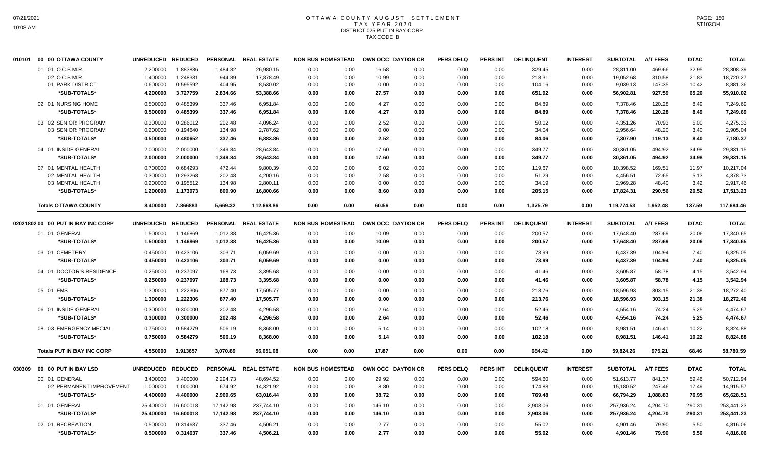# OTTAWA COUNTY AUGUST SETTLEMENT T A X Y E A R 2 0 2 0 DISTRICT 025 PUT IN BAY CORP. TAX CODE B

| 010101 | 00 00 OTTAWA COUNTY                      | <b>UNREDUCED</b>     | <b>REDUCED</b>       |                  | PERSONAL REAL ESTATE | <b>NON BUS HOMESTEAD</b> |              | OWN OCC DAYTON CR            | <b>PERS DELQ</b> | <b>PERS INT</b> | <b>DELINQUENT</b> | <b>INTEREST</b> | <b>SUBTOTAL</b>      | <b>A/T FEES</b> | <b>DTAC</b>  | <b>TOTAL</b>         |
|--------|------------------------------------------|----------------------|----------------------|------------------|----------------------|--------------------------|--------------|------------------------------|------------------|-----------------|-------------------|-----------------|----------------------|-----------------|--------------|----------------------|
|        | 01 01 O.C.B.M.R.                         | 2.200000             | 1.883836             | 1,484.82         | 26,980.15            | 0.00                     | 0.00         | 16.58<br>0.00                | 0.00             | 0.00            | 329.45            | 0.00            | 28,811.00            | 469.66          | 32.95        | 28,308.39            |
|        | 02 O.C.B.M.R                             | 1.400000             | 1.248331             | 944.89           | 17,878.49            | 0.00                     | 0.00         | 10.99<br>0.00                | 0.00             | 0.00            | 218.31            | 0.00            | 19,052.68            | 310.58          | 21.83        | 18,720.27            |
|        | 01 PARK DISTRICT                         | 0.600000             | 0.595592             | 404.95           | 8,530.02             | 0.00                     | 0.00         | 0.00<br>0.00                 | 0.00             | 0.00            | 104.16            | 0.00            | 9,039.13             | 147.35          | 10.42        | 8,881.36             |
|        | *SUB-TOTALS*                             | 4.200000             | 3.727759             | 2,834.66         | 53,388.66            | 0.00                     | 0.00         | 27.57<br>0.00                | 0.00             | 0.00            | 651.92            | 0.00            | 56,902.81            | 927.59          | 65.20        | 55,910.02            |
|        | 02 01 NURSING HOME                       | 0.500000             | 0.485399             | 337.46           | 6,951.84             | 0.00                     | 0.00         | 4.27<br>0.00                 | 0.00             | 0.00            | 84.89             | 0.00            | 7,378.46             | 120.28          | 8.49         | 7,249.69             |
|        | *SUB-TOTALS*                             | 0.500000             | 0.485399             | 337.46           | 6,951.84             | 0.00                     | 0.00         | 4.27<br>0.00                 | 0.00             | 0.00            | 84.89             | 0.00            | 7,378.46             | 120.28          | 8.49         | 7,249.69             |
|        | 03 02 SENIOR PROGRAM                     | 0.300000             | 0.286012             | 202.48           | 4,096.24             | 0.00                     | 0.00         | 2.52<br>0.00                 | 0.00             | 0.00            | 50.02             | 0.00            | 4,351.26             | 70.93           | 5.00         | 4,275.33             |
|        | 03 SENIOR PROGRAM                        | 0.200000             | 0.194640             | 134.98           | 2,787.62             | 0.00                     | 0.00         | 0.00<br>0.00                 | 0.00             | 0.00            | 34.04             | 0.00            | 2,956.64             | 48.20           | 3.40         | 2,905.04             |
|        | *SUB-TOTALS*                             | 0.500000             | 0.480652             | 337.46           | 6,883.86             | 0.00                     | 0.00         | 2.52<br>0.00                 | 0.00             | 0.00            | 84.06             | 0.00            | 7,307.90             | 119.13          | 8.40         | 7,180.37             |
|        | 04 01 INSIDE GENERAL                     | 2.000000             | 2.000000             | 1,349.84         | 28,643.84            | 0.00                     | 0.00         | 17.60<br>0.00                | 0.00             | 0.00            | 349.77            | 0.00            | 30,361.05            | 494.92          | 34.98        | 29,831.15            |
|        | *SUB-TOTALS*                             | 2.000000             | 2.000000             | 1,349.84         | 28,643.84            | 0.00                     | 0.00         | 17.60<br>0.00                | 0.00             | 0.00            | 349.77            | 0.00            | 30,361.05            | 494.92          | 34.98        | 29,831.15            |
|        | 07 01 MENTAL HEALTH                      | 0.700000             | 0.684293             | 472.44           | 9,800.39             | 0.00                     | 0.00         | 0.00<br>6.02                 | 0.00             | 0.00            | 119.67            | 0.00            | 10.398.52            | 169.51          | 11.97        | 10,217.04            |
|        | 02 MENTAL HEALTH                         | 0.300000             | 0.293268             | 202.48           | 4,200.16             | 0.00                     | 0.00         | 2.58<br>0.00                 | 0.00             | 0.00            | 51.29             | 0.00            | 4,456.51             | 72.65           | 5.13         | 4,378.73             |
|        | 03 MENTAL HEALTH                         | 0.200000             | 0.195512             | 134.98           | 2,800.11             | 0.00                     | 0.00         | 0.00<br>0.00                 | 0.00             | 0.00            | 34.19             | 0.00            | 2,969.28             | 48.40           | 3.42         | 2,917.46             |
|        | *SUB-TOTALS*                             | 1.200000             | 1.173073             | 809.90           | 16,800.66            | 0.00                     | 0.00         | 8.60<br>0.00                 | 0.00             | 0.00            | 205.15            | 0.00            | 17,824.31            | 290.56          | 20.52        | 17,513.23            |
|        | <b>Totals OTTAWA COUNTY</b>              | 8.400000             | 7.866883             | 5,669.32         | 112,668.86           | 0.00                     | 0.00         | 60.56<br>0.00                | 0.00             | 0.00            | 1,375.79          | 0.00            | 119,774.53           | 1,952.48        | 137.59       | 117,684.46           |
|        | 02021802 00 00 PUT IN BAY INC CORP       | <b>UNREDUCED</b>     | <b>REDUCED</b>       |                  | PERSONAL REAL ESTATE | <b>NON BUS HOMESTEAD</b> |              | OWN OCC DAYTON CR            | <b>PERS DELQ</b> | <b>PERS INT</b> | <b>DELINQUENT</b> | <b>INTEREST</b> | <b>SUBTOTAL</b>      | <b>A/T FEES</b> | <b>DTAC</b>  | <b>TOTAL</b>         |
|        | 01 01 GENERAL                            | 1.500000             | 1.146869             | 1,012.38         | 16,425.36            | 0.00                     | 0.00         | 10.09<br>0.00                | 0.00             | 0.00            | 200.57            | 0.00            | 17,648.40            | 287.69          | 20.06        | 17,340.65            |
|        | *SUB-TOTALS*                             | 1.500000             | 1.146869             | 1,012.38         | 16,425.36            | 0.00                     | 0.00         | 10.09<br>0.00                | 0.00             | 0.00            | 200.57            | 0.00            | 17,648.40            | 287.69          | 20.06        | 17,340.65            |
|        | 03 01 CEMETERY                           | 0.450000             | 0.423106             | 303.71           | 6,059.69             | 0.00                     | 0.00         | 0.00<br>0.00                 | 0.00             | 0.00            | 73.99             | 0.00            | 6,437.39             | 104.94          | 7.40         | 6,325.05             |
|        | *SUB-TOTALS*                             | 0.450000             | 0.423106             | 303.71           | 6,059.69             | 0.00                     | 0.00         | 0.00<br>0.00                 | 0.00             | 0.00            | 73.99             | 0.00            | 6,437.39             | 104.94          | 7.40         | 6,325.05             |
|        |                                          |                      |                      |                  |                      |                          |              |                              |                  |                 |                   |                 |                      |                 |              |                      |
|        | 04 01 DOCTOR'S RESIDENCE<br>*SUB-TOTALS* | 0.250000<br>0.250000 | 0.237097<br>0.237097 | 168.73<br>168.73 | 3,395.68<br>3,395.68 | 0.00<br>0.00             | 0.00<br>0.00 | 0.00<br>0.00<br>0.00<br>0.00 | 0.00<br>0.00     | 0.00<br>0.00    | 41.46<br>41.46    | 0.00<br>0.00    | 3,605.87<br>3,605.87 | 58.78<br>58.78  | 4.15<br>4.15 | 3,542.94<br>3,542.94 |
|        |                                          |                      |                      |                  |                      |                          |              |                              |                  |                 |                   |                 |                      |                 |              |                      |
|        | 05 01 EMS                                | 1.300000             | 1.222306             | 877.40           | 17,505.77            | 0.00                     | 0.00         | 0.00<br>0.00                 | 0.00             | 0.00            | 213.76            | 0.00            | 18,596.93            | 303.15          | 21.38        | 18,272.40            |
|        | *SUB-TOTALS*                             | 1.300000             | 1.222306             | 877.40           | 17,505.77            | 0.00                     | 0.00         | 0.00<br>0.00                 | 0.00             | 0.00            | 213.76            | 0.00            | 18,596.93            | 303.15          | 21.38        | 18,272.40            |
|        | 06 01 INSIDE GENERAL                     | 0.300000             | 0.300000             | 202.48           | 4,296.58             | 0.00                     | 0.00         | 2.64<br>0.00                 | 0.00             | 0.00            | 52.46             | 0.00            | 4,554.16             | 74.24           | 5.25         | 4,474.67             |
|        | *SUB-TOTALS*                             | 0.300000             | 0.300000             | 202.48           | 4,296.58             | 0.00                     | 0.00         | 2.64<br>0.00                 | 0.00             | 0.00            | 52.46             | 0.00            | 4,554.16             | 74.24           | 5.25         | 4,474.67             |
|        | 08 03 EMERGENCY MECIAL                   | 0.750000             | 0.584279             | 506.19           | 8,368.00             | 0.00                     | 0.00         | 0.00<br>5.14                 | 0.00             | 0.00            | 102.18            | 0.00            | 8,981.51             | 146.41          | 10.22        | 8,824.88             |
|        | *SUB-TOTALS*                             | 0.750000             | 0.584279             | 506.19           | 8,368.00             | 0.00                     | 0.00         | 5.14<br>0.00                 | 0.00             | 0.00            | 102.18            | 0.00            | 8,981.51             | 146.41          | 10.22        | 8,824.88             |
|        | <b>Totals PUT IN BAY INC CORP</b>        | 4.550000             | 3.913657             | 3,070.89         | 56,051.08            | 0.00                     | 0.00         | 17.87<br>0.00                | 0.00             | 0.00            | 684.42            | 0.00            | 59,824.26            | 975.21          | 68.46        | 58,780.59            |
| 030309 | 00 00 PUT IN BAY LSD                     | <b>UNREDUCED</b>     | <b>REDUCED</b>       |                  | PERSONAL REAL ESTATE | <b>NON BUS HOMESTEAD</b> |              | OWN OCC DAYTON CR            | <b>PERS DELQ</b> | <b>PERS INT</b> | <b>DELINQUENT</b> | <b>INTEREST</b> | <b>SUBTOTAL</b>      | <b>A/T FEES</b> | <b>DTAC</b>  | <b>TOTAL</b>         |
|        | 00 01 GENERAL                            | 3.400000             | 3.400000             | 2,294.73         | 48.694.52            | 0.00                     | 0.00         | 29.92<br>0.00                | 0.00             | 0.00            | 594.60            | 0.00            | 51,613.77            | 841.37          | 59.46        | 50,712.94            |
|        | 02 PERMANENT IMPROVEMENT                 | 1.000000             | 1.000000             | 674.92           | 14,321.92            | 0.00                     | 0.00         | 8.80<br>0.00                 | 0.00             | 0.00            | 174.88            | 0.00            | 15,180.52            | 247.46          | 17.49        | 14,915.57            |
|        | *SUB-TOTALS*                             | 4.400000             | 4.400000             | 2,969.65         | 63,016.44            | 0.00                     | 0.00         | 38.72<br>0.00                | 0.00             | 0.00            | 769.48            | 0.00            | 66,794.29            | 1,088.83        | 76.95        | 65,628.51            |
|        | 01 01 GENERAL                            | 25.400000            | 16.600018            | 17,142.98        | 237,744.10           | 0.00                     | 0.00         | 146.10<br>0.00               | 0.00             | 0.00            | 2,903.06          | 0.00            | 257,936.24           | 4,204.70        | 290.31       | 253,441.23           |
|        | *SUB-TOTALS*                             | 25.400000            | 16.600018            | 17,142.98        | 237,744.10           | 0.00                     | 0.00         | 146.10<br>0.00               | 0.00             | 0.00            | 2,903.06          | 0.00            | 257,936.24           | 4,204.70        | 290.31       | 253,441.23           |
|        |                                          |                      |                      |                  |                      |                          |              |                              |                  |                 |                   |                 |                      |                 |              |                      |
|        | 02 01 RECREATION                         | 0.500000             | 0.314637             | 337.46           | 4.506.21             | 0.00                     | 0.00         | 2.77<br>0.00                 | 0.00             | 0.00            | 55.02             | 0.00            | 4.901.46             | 79.90           | 5.50         | 4,816.06             |
|        | *SUB-TOTALS*                             | 0.500000             | 0.314637             | 337.46           | 4,506.21             | 0.00                     | 0.00         | 2.77<br>0.00                 | 0.00             | 0.00            | 55.02             | 0.00            | 4.901.46             | 79.90           | 5.50         | 4,816.06             |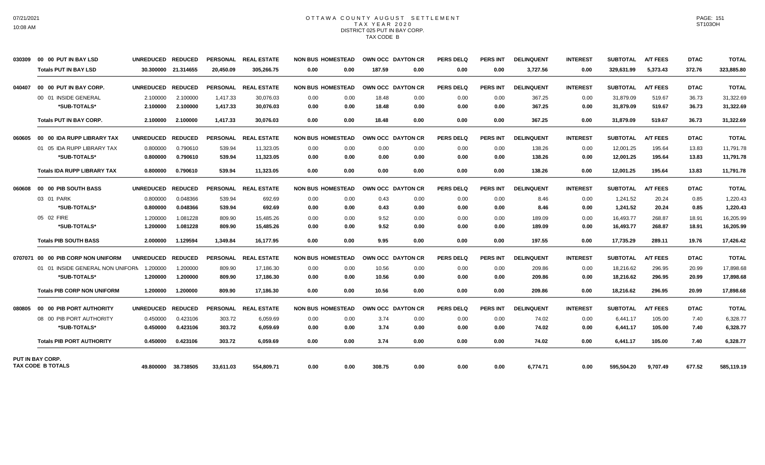#### OTTAWA COUNTY AUGUST SETTLEMENT T A X Y E A R 2 0 2 0 DISTRICT 025 PUT IN BAY CORP. TAX CODE B

| 030309  | 00 00 PUT IN BAY LSD                                | <b>UNREDUCED</b> | <b>REDUCED</b> | <b>PERSONAL</b> | <b>REAL ESTATE</b>   |      | <b>NON BUS HOMESTEAD</b> | OWN OCC DAYTON CR |                   | <b>PERS DELQ</b> | <b>PERS INT</b> | <b>DELINQUENT</b> | <b>INTEREST</b> | <b>SUBTOTAL</b> | <b>A/T FEES</b> | <b>DTAC</b> | <b>TOTAL</b> |
|---------|-----------------------------------------------------|------------------|----------------|-----------------|----------------------|------|--------------------------|-------------------|-------------------|------------------|-----------------|-------------------|-----------------|-----------------|-----------------|-------------|--------------|
|         | <b>Totals PUT IN BAY LSD</b>                        | 30.300000        | 21.314655      | 20.450.09       | 305.266.75           | 0.00 | 0.00                     | 187.59            | 0.00              | 0.00             | 0.00            | 3.727.56          | 0.00            | 329.631.99      | 5.373.43        | 372.76      | 323,885.80   |
| 040407  | 00 00 PUT IN BAY CORP.                              | <b>UNREDUCED</b> | <b>REDUCED</b> |                 | PERSONAL REAL ESTATE |      | <b>NON BUS HOMESTEAD</b> | OWN OCC DAYTON CR |                   | PERS DELO        | <b>PERS INT</b> | <b>DELINQUENT</b> | <b>INTEREST</b> | <b>SUBTOTAL</b> | <b>A/T FEES</b> | <b>DTAC</b> | <b>TOTAL</b> |
|         | 00 01 INSIDE GENERAL                                | 2.100000         | 2.100000       | 1.417.33        | 30.076.03            | 0.00 | 0.00                     | 18.48             | 0.00              | 0.00             | 0.00            | 367.25            | 0.00            | 31.879.09       | 519.67          | 36.73       | 31,322.69    |
|         | *SUB-TOTALS*                                        | 2.100000         | 2.100000       | 1,417.33        | 30,076.03            | 0.00 | 0.00                     | 18.48             | 0.00              | 0.00             | 0.00            | 367.25            | 0.00            | 31,879.09       | 519.67          | 36.73       | 31,322.69    |
|         | <b>Totals PUT IN BAY CORP.</b>                      | 2.100000         | 2.100000       | 1,417.33        | 30.076.03            | 0.00 | 0.00                     | 18.48             | 0.00              | 0.00             | 0.00            | 367.25            | 0.00            | 31,879.09       | 519.67          | 36.73       | 31,322.69    |
| 060605  | 00 00 IDA RUPP LIBRARY TAX                          | <b>UNREDUCED</b> | <b>REDUCED</b> | <b>PERSONAL</b> | <b>REAL ESTATE</b>   |      | <b>NON BUS HOMESTEAD</b> | OWN OCC DAYTON CR |                   | <b>PERS DELQ</b> | <b>PERS INT</b> | <b>DELINQUENT</b> | <b>INTEREST</b> | <b>SUBTOTAL</b> | <b>A/T FEES</b> | <b>DTAC</b> | <b>TOTAL</b> |
|         | 01 05 IDA RUPP LIBRARY TAX                          | 0.800000         | 0.790610       | 539.94          | 11.323.05            | 0.00 | 0.00                     | 0.00              | 0.00              | 0.00             | 0.00            | 138.26            | 0.00            | 12.001.25       | 195.64          | 13.83       | 11.791.78    |
|         | *SUB-TOTALS*                                        | 0.800000         | 0.790610       | 539.94          | 11,323.05            | 0.00 | 0.00                     | 0.00              | 0.00              | 0.00             | 0.00            | 138.26            | 0.00            | 12.001.25       | 195.64          | 13.83       | 11,791.78    |
|         | <b>Totals IDA RUPP LIBRARY TAX</b>                  | 0.800000         | 0.790610       | 539.94          | 11.323.05            | 0.00 | 0.00                     | 0.00              | 0.00              | 0.00             | 0.00            | 138.26            | 0.00            | 12,001.25       | 195.64          | 13.83       | 11,791.78    |
| 060608  | 00 00 PIB SOUTH BASS                                | <b>UNREDUCED</b> | <b>REDUCED</b> |                 | PERSONAL REAL ESTATE |      | <b>NON BUS HOMESTEAD</b> | OWN OCC DAYTON CR |                   | <b>PERS DELQ</b> | <b>PERS INT</b> | <b>DELINQUENT</b> | <b>INTEREST</b> | <b>SUBTOTAL</b> | <b>A/T FEES</b> | <b>DTAC</b> | <b>TOTAL</b> |
|         | 03 01 PARK                                          | 0.800000         | 0.048366       | 539.94          | 692.69               | 0.00 | 0.00                     | 0.43              | 0.00              | 0.00             | 0.00            | 8.46              | 0.00            | 1,241.52        | 20.24           | 0.85        | 1,220.43     |
|         | *SUB-TOTALS*                                        | 0.800000         | 0.048366       | 539.94          | 692.69               | 0.00 | 0.00                     | 0.43              | 0.00              | 0.00             | 0.00            | 8.46              | 0.00            | 1,241.52        | 20.24           | 0.85        | 1,220.43     |
|         | 05 02 FIRE                                          | 1.200000         | 1.081228       | 809.90          | 15.485.26            | 0.00 | 0.00                     | 9.52              | 0.00              | 0.00             | 0.00            | 189.09            | 0.00            | 16,493.77       | 268.87          | 18.91       | 16,205.99    |
|         | *SUB-TOTALS*                                        | 1.200000         | 1.081228       | 809.90          | 15,485.26            | 0.00 | 0.00                     | 9.52              | 0.00              | 0.00             | 0.00            | 189.09            | 0.00            | 16,493.77       | 268.87          | 18.91       | 16,205.99    |
|         | <b>Totals PIB SOUTH BASS</b>                        | 2.000000         | 1.129594       | 1,349.84        | 16.177.95            | 0.00 | 0.00                     | 9.95              | 0.00              | 0.00             | 0.00            | 197.55            | 0.00            | 17,735.29       | 289.11          | 19.76       | 17,426.42    |
| 0707071 | 00 00 PIB CORP NON UNIFORM                          | <b>UNREDUCED</b> | <b>REDUCED</b> | <b>PERSONAL</b> | <b>REAL ESTATE</b>   |      | <b>NON BUS HOMESTEAD</b> |                   | OWN OCC DAYTON CR | <b>PERS DELQ</b> | <b>PERS INT</b> | <b>DELINQUENT</b> | <b>INTEREST</b> | <b>SUBTOTAL</b> | <b>A/T FEES</b> | <b>DTAC</b> | <b>TOTAL</b> |
|         | 01 01 INSIDE GENERAL NON UNIFORM                    | 1.200000         | 1.200000       | 809.90          | 17,186.30            | 0.00 | 0.00                     | 10.56             | 0.00              | 0.00             | 0.00            | 209.86            | 0.00            | 18,216.62       | 296.95          | 20.99       | 17,898.68    |
|         | *SUB-TOTALS*                                        | 1.200000         | 1.200000       | 809.90          | 17,186.30            | 0.00 | 0.00                     | 10.56             | 0.00              | 0.00             | 0.00            | 209.86            | 0.00            | 18,216.62       | 296.95          | 20.99       | 17,898.68    |
|         | <b>Totals PIB CORP NON UNIFORM</b>                  | 1.200000         | 1.200000       | 809.90          | 17.186.30            | 0.00 | 0.00                     | 10.56             | 0.00              | 0.00             | 0.00            | 209.86            | 0.00            | 18,216.62       | 296.95          | 20.99       | 17,898.68    |
| 080805  | 00 00 PIB PORT AUTHORITY                            | <b>UNREDUCED</b> | <b>REDUCED</b> |                 | PERSONAL REAL ESTATE |      | <b>NON BUS HOMESTEAD</b> | OWN OCC DAYTON CR |                   | PERS DELO        | <b>PERS INT</b> | <b>DELINQUENT</b> | <b>INTEREST</b> | <b>SUBTOTAL</b> | <b>A/T FEES</b> | <b>DTAC</b> | <b>TOTAL</b> |
|         | 08 00 PIB PORT AUTHORITY                            | 0.450000         | 0.423106       | 303.72          | 6,059.69             | 0.00 | 0.00                     | 3.74              | 0.00              | 0.00             | 0.00            | 74.02             | 0.00            | 6,441.17        | 105.00          | 7.40        | 6,328.77     |
|         | *SUB-TOTALS*                                        | 0.450000         | 0.423106       | 303.72          | 6,059.69             | 0.00 | 0.00                     | 3.74              | 0.00              | 0.00             | 0.00            | 74.02             | 0.00            | 6,441.17        | 105.00          | 7.40        | 6,328.77     |
|         | <b>Totals PIB PORT AUTHORITY</b>                    | 0.450000         | 0.423106       | 303.72          | 6,059.69             | 0.00 | 0.00                     | 3.74              | 0.00              | 0.00             | 0.00            | 74.02             | 0.00            | 6,441.17        | 105.00          | 7.40        | 6,328.77     |
|         | <b>PUT IN BAY CORP.</b><br><b>TAX CODE B TOTALS</b> |                  |                |                 |                      |      |                          |                   |                   |                  |                 |                   |                 |                 |                 |             |              |
|         |                                                     | 49.800000        | 38.738505      | 33.611.03       | 554.809.71           | 0.00 | 0.00                     | 308.75            | 0.00              | 0.00             | 0.00            | 6.774.71          | 0.00            | 595.504.20      | 9.707.49        | 677.52      | 585.119.19   |

PAGE: 151 ST103OH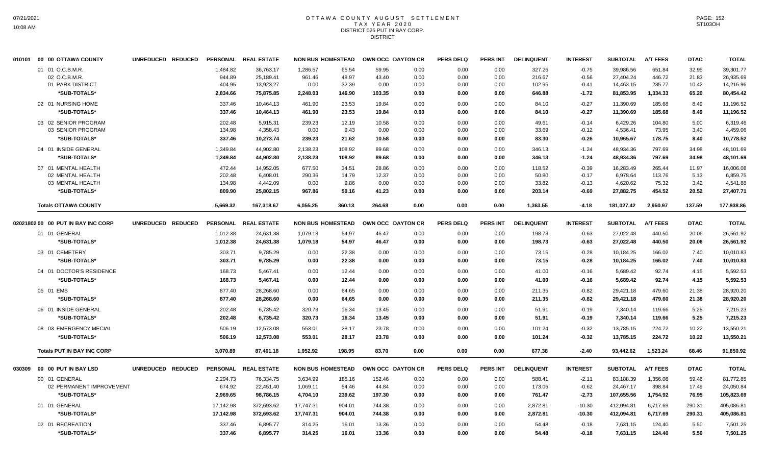### OTTAWA COUNTY AUGUST SETTLEMENT T A X Y E A R 2 0 2 0 DISTRICT 025 PUT IN BAY CORP. **DISTRICT**

|        | 010101 00 00 OTTAWA COUNTY                            | UNREDUCED REDUCED |                              | PERSONAL REAL ESTATE                |                            | <b>NON BUS HOMESTEAD</b> | OWN OCC DAYTON CR      |                      | <b>PERS DELQ</b>     | <b>PERS INT</b>      | <b>DELINQUENT</b>          | <b>INTEREST</b>               | <b>SUBTOTAL</b>                     | <b>A/T FEES</b>            | <b>DTAC</b>             | <b>TOTAL</b>                        |
|--------|-------------------------------------------------------|-------------------|------------------------------|-------------------------------------|----------------------------|--------------------------|------------------------|----------------------|----------------------|----------------------|----------------------------|-------------------------------|-------------------------------------|----------------------------|-------------------------|-------------------------------------|
|        | 01 01 O.C.B.M.R.<br>02 O.C.B.M.R.<br>01 PARK DISTRICT |                   | 1,484.82<br>944.89<br>404.95 | 36,763.17<br>25,189.41<br>13,923.27 | 1,286.57<br>961.46<br>0.00 | 65.54<br>48.97<br>32.39  | 59.95<br>43.40<br>0.00 | 0.00<br>0.00<br>0.00 | 0.00<br>0.00<br>0.00 | 0.00<br>0.00<br>0.00 | 327.26<br>216.67<br>102.95 | $-0.75$<br>$-0.56$<br>$-0.41$ | 39,986.56<br>27,404.24<br>14,463.15 | 651.84<br>446.72<br>235.77 | 32.95<br>21.83<br>10.42 | 39,301.77<br>26,935.69<br>14,216.96 |
|        | *SUB-TOTALS*<br>02 01 NURSING HOME                    |                   | 2,834.66<br>337.46           | 75,875.85<br>10.464.13              | 2,248.03<br>461.90         | 146.90<br>23.53          | 103.35<br>19.84        | 0.00<br>0.00         | 0.00<br>0.00         | 0.00<br>0.00         | 646.88<br>84.10            | $-1.72$<br>$-0.27$            | 81,853.95<br>11,390.69              | 1,334.33<br>185.68         | 65.20<br>8.49           | 80,454.42<br>11,196.52              |
|        | *SUB-TOTALS*                                          |                   | 337.46                       | 10,464.13                           | 461.90                     | 23.53                    | 19.84                  | 0.00                 | 0.00                 | 0.00                 | 84.10                      | $-0.27$                       | 11,390.69                           | 185.68                     | 8.49                    | 11,196.52                           |
|        | 03 02 SENIOR PROGRAM<br>03 SENIOR PROGRAM             |                   | 202.48<br>134.98             | 5,915.31<br>4,358.43                | 239.23<br>0.00             | 12.19<br>9.43            | 10.58<br>0.00          | 0.00<br>0.00         | 0.00<br>0.00         | 0.00<br>0.00         | 49.61<br>33.69             | $-0.14$<br>$-0.12$            | 6,429.26<br>4,536.41                | 104.80<br>73.95            | 5.00<br>3.40            | 6,319.46<br>4,459.06                |
|        | *SUB-TOTALS*                                          |                   | 337.46                       | 10,273.74                           | 239.23                     | 21.62                    | 10.58                  | 0.00                 | 0.00                 | 0.00                 | 83.30                      | $-0.26$                       | 10,965.67                           | 178.75                     | 8.40                    | 10,778.52                           |
|        | 04 01 INSIDE GENERAL<br>*SUB-TOTALS*                  |                   | 1,349.84<br>1,349.84         | 44,902.80<br>44,902.80              | 2,138.23<br>2,138.23       | 108.92<br>108.92         | 89.68<br>89.68         | 0.00<br>0.00         | 0.00<br>0.00         | 0.00<br>0.00         | 346.13<br>346.13           | $-1.24$<br>$-1.24$            | 48,934.36<br>48,934.36              | 797.69<br>797.69           | 34.98<br>34.98          | 48,101.69<br>48,101.69              |
|        | 07 01 MENTAL HEALTH<br>02 MENTAL HEALTH               |                   | 472.44<br>202.48             | 14,952.05<br>6,408.01               | 677.50<br>290.36           | 34.51<br>14.79           | 28.86<br>12.37         | 0.00<br>0.00         | 0.00<br>0.00         | 0.00<br>0.00         | 118.52<br>50.80            | $-0.39$<br>$-0.17$            | 16,283.49<br>6,978.64               | 265.44<br>113.76           | 11.97<br>5.13           | 16,006.08<br>6,859.75               |
|        | 03 MENTAL HEALTH<br>*SUB-TOTALS*                      |                   | 134.98<br>809.90             | 4,442.09<br>25,802.15               | 0.00<br>967.86             | 9.86<br>59.16            | 0.00<br>41.23          | 0.00<br>0.00         | 0.00<br>0.00         | 0.00<br>0.00         | 33.82<br>203.14            | $-0.13$<br>$-0.69$            | 4,620.62<br>27,882.75               | 75.32<br>454.52            | 3.42<br>20.52           | 4,541.88<br>27,407.71               |
|        | <b>Totals OTTAWA COUNTY</b>                           |                   | 5,669.32                     | 167,318.67                          | 6,055.25                   | 360.13                   | 264.68                 | 0.00                 | 0.00                 | 0.00                 | 1,363.55                   | $-4.18$                       | 181,027.42                          | 2,950.97                   | 137.59                  | 177,938.86                          |
|        | 02021802 00 00 PUT IN BAY INC CORP                    | UNREDUCED REDUCED |                              | PERSONAL REAL ESTATE                |                            | <b>NON BUS HOMESTEAD</b> | OWN OCC DAYTON CR      |                      | <b>PERS DELQ</b>     | <b>PERS INT</b>      | <b>DELINQUENT</b>          | <b>INTEREST</b>               | <b>SUBTOTAL</b>                     | <b>A/T FEES</b>            | <b>DTAC</b>             | <b>TOTAL</b>                        |
|        | 01 01 GENERAL                                         |                   | 1,012.38                     | 24,631.38                           | 1,079.18                   | 54.97                    | 46.47                  | 0.00                 | 0.00                 | 0.00                 | 198.73                     | $-0.63$                       | 27,022.48                           | 440.50                     | 20.06                   | 26,561.92                           |
|        | *SUB-TOTALS*                                          |                   | 1,012.38                     | 24,631.38                           | 1,079.18                   | 54.97                    | 46.47                  | 0.00                 | 0.00                 | 0.00                 | 198.73                     | $-0.63$                       | 27,022.48                           | 440.50                     | 20.06                   | 26,561.92                           |
|        | 03 01 CEMETERY<br>*SUB-TOTALS*                        |                   | 303.71<br>303.71             | 9,785.29<br>9,785.29                | 0.00<br>0.00               | 22.38<br>22.38           | 0.00<br>0.00           | 0.00<br>0.00         | 0.00<br>0.00         | 0.00<br>0.00         | 73.15<br>73.15             | $-0.28$<br>$-0.28$            | 10,184.25<br>10,184.25              | 166.02<br>166.02           | 7.40<br>7.40            | 10,010.83<br>10,010.83              |
|        | 04 01 DOCTOR'S RESIDENCE                              |                   | 168.73                       | 5.467.41                            | 0.00                       | 12.44                    | 0.00                   | 0.00                 | 0.00                 | 0.00                 | 41.00                      | $-0.16$                       | 5,689.42                            | 92.74                      | 4.15                    | 5,592.53                            |
|        | *SUB-TOTALS*                                          |                   | 168.73                       | 5,467.41                            | 0.00                       | 12.44                    | 0.00                   | 0.00                 | 0.00                 | 0.00                 | 41.00                      | $-0.16$                       | 5,689.42                            | 92.74                      | 4.15                    | 5,592.53                            |
|        | 05 01 EMS<br>*SUB-TOTALS*                             |                   | 877.40<br>877.40             | 28,268.60<br>28,268.60              | 0.00<br>0.00               | 64.65<br>64.65           | 0.00<br>0.00           | 0.00<br>0.00         | 0.00<br>0.00         | 0.00<br>0.00         | 211.35<br>211.35           | $-0.82$<br>$-0.82$            | 29,421.18<br>29,421.18              | 479.60<br>479.60           | 21.38<br>21.38          | 28,920.20<br>28,920.20              |
|        | 06 01 INSIDE GENERAL                                  |                   | 202.48                       | 6,735.42                            | 320.73                     | 16.34                    | 13.45                  | 0.00                 | 0.00                 | 0.00                 | 51.91                      | $-0.19$                       | 7,340.14                            | 119.66                     | 5.25                    | 7,215.23                            |
|        | *SUB-TOTALS*                                          |                   | 202.48                       | 6,735.42                            | 320.73                     | 16.34                    | 13.45                  | 0.00                 | 0.00                 | 0.00                 | 51.91                      | $-0.19$                       | 7,340.14                            | 119.66                     | 5.25                    | 7,215.23                            |
|        | 08 03 EMERGENCY MECIAL<br>*SUB-TOTALS*                |                   | 506.19<br>506.19             | 12,573.08<br>12,573.08              | 553.01<br>553.01           | 28.17<br>28.17           | 23.78<br>23.78         | 0.00<br>0.00         | 0.00<br>0.00         | 0.00<br>0.00         | 101.24<br>101.24           | $-0.32$<br>$-0.32$            | 13,785.15<br>13,785.15              | 224.72<br>224.72           | 10.22<br>10.22          | 13.550.21<br>13,550.21              |
|        | <b>Totals PUT IN BAY INC CORP</b>                     |                   | 3.070.89                     | 87.461.18                           | 1.952.92                   | 198.95                   | 83.70                  | 0.00                 | 0.00                 | 0.00                 | 677.38                     | $-2.40$                       | 93,442.62                           | 1.523.24                   | 68.46                   | 91,850.92                           |
| 030309 | 00 00 PUT IN BAY LSD                                  | UNREDUCED REDUCED |                              | PERSONAL REAL ESTATE                |                            | <b>NON BUS HOMESTEAD</b> | OWN OCC DAYTON CR      |                      | <b>PERS DELQ</b>     | <b>PERS INT</b>      | <b>DELINQUENT</b>          | <b>INTEREST</b>               | <b>SUBTOTAL</b>                     | <b>A/T FEES</b>            | <b>DTAC</b>             | <b>TOTAL</b>                        |
|        | 00 01 GENERAL                                         |                   | 2,294.73                     | 76,334.75                           | 3,634.99                   | 185.16                   | 152.46                 | 0.00                 | 0.00                 | 0.00                 | 588.41                     | $-2.11$                       | 83,188.39                           | 1,356.08                   | 59.46                   | 81,772.85                           |
|        | 02 PERMANENT IMPROVEMENT                              |                   | 674.92                       | 22,451.40                           | 1,069.11                   | 54.46                    | 44.84                  | 0.00                 | 0.00                 | 0.00                 | 173.06                     | $-0.62$                       | 24,467.17                           | 398.84                     | 17.49                   | 24,050.84                           |
|        | *SUB-TOTALS*                                          |                   | 2,969.65                     | 98,786.15                           | 4,704.10                   | 239.62                   | 197.30                 | 0.00                 | 0.00                 | 0.00                 | 761.47                     | $-2.73$                       | 107,655.56                          | 1,754.92                   | 76.95                   | 105,823.69                          |
|        | 01 01 GENERAL<br>*SUB-TOTALS*                         |                   | 17,142.98<br>17,142.98       | 372,693.62<br>372,693.62            | 17,747.31<br>17,747.31     | 904.01<br>904.01         | 744.38<br>744.38       | 0.00<br>0.00         | 0.00<br>0.00         | 0.00<br>0.00         | 2,872.81<br>2,872.81       | $-10.30$<br>$-10.30$          | 412,094.81<br>412,094.81            | 6,717.69<br>6,717.69       | 290.31<br>290.31        | 405.086.81<br>405,086.81            |
|        | 02 01 RECREATION<br>*SUB-TOTALS*                      |                   | 337.46<br>337.46             | 6,895.77<br>6,895.77                | 314.25<br>314.25           | 16.01<br>16.01           | 13.36<br>13.36         | 0.00<br>0.00         | 0.00<br>0.00         | 0.00<br>0.00         | 54.48<br>54.48             | $-0.18$<br>$-0.18$            | 7,631.15<br>7,631.15                | 124.40<br>124.40           | 5.50<br>5.50            | 7,501.25<br>7,501.25                |
|        |                                                       |                   |                              |                                     |                            |                          |                        |                      |                      |                      |                            |                               |                                     |                            |                         |                                     |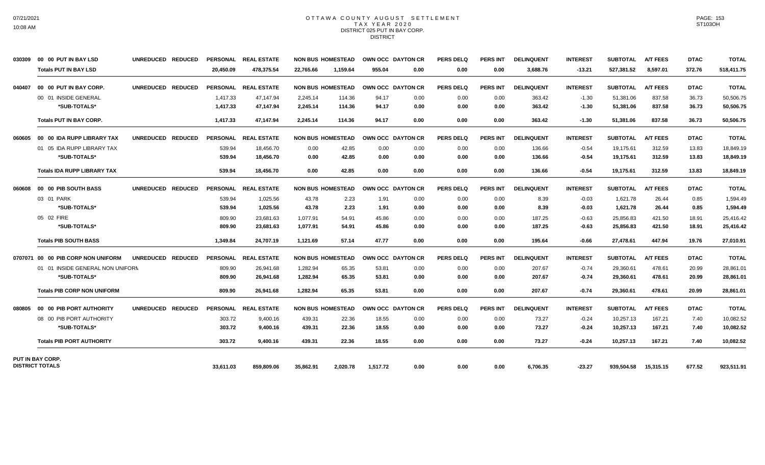#### OTTAWA COUNTY AUGUST SETTLEMENT T A X Y E A R 2 0 2 0 DISTRICT 025 PUT IN BAY CORP. **DISTRICT**

| 030309 | 00 00 PUT IN BAY LSD               | UNREDUCED REDUCED |           | PERSONAL REAL ESTATE |           | <b>NON BUS HOMESTEAD</b> |          | OWN OCC DAYTON CR | <b>PERS DELQ</b> | <b>PERS INT</b> | <b>DELINQUENT</b> | <b>INTEREST</b> | <b>SUBTOTAL</b> | <b>A/T FEES</b> | <b>DTAC</b> | <b>TOTAL</b> |
|--------|------------------------------------|-------------------|-----------|----------------------|-----------|--------------------------|----------|-------------------|------------------|-----------------|-------------------|-----------------|-----------------|-----------------|-------------|--------------|
|        | <b>Totals PUT IN BAY LSD</b>       |                   | 20.450.09 | 478.375.54           | 22.765.66 | 1.159.64                 | 955.04   | 0.00              | 0.00             | 0.00            | 3,688.76          | $-13.21$        | 527,381.52      | 8,597.01        | 372.76      | 518,411.75   |
| 040407 | 00 00 PUT IN BAY CORP.             | UNREDUCED REDUCED |           | PERSONAL REAL ESTATE |           | <b>NON BUS HOMESTEAD</b> |          | OWN OCC DAYTON CR | <b>PERS DELQ</b> | <b>PERS INT</b> | <b>DELINQUENT</b> | <b>INTEREST</b> | <b>SUBTOTAL</b> | <b>A/T FEES</b> | <b>DTAC</b> | <b>TOTAL</b> |
|        | 00 01 INSIDE GENERAL               |                   | 1,417.33  | 47,147.94            | 2,245.14  | 114.36                   | 94.17    | 0.00              | 0.00             | 0.00            | 363.42            | $-1.30$         | 51,381.06       | 837.58          | 36.73       | 50,506.75    |
|        | *SUB-TOTALS*                       |                   | 1,417.33  | 47,147.94            | 2,245.14  | 114.36                   | 94.17    | 0.00              | 0.00             | 0.00            | 363.42            | $-1.30$         | 51,381.06       | 837.58          | 36.73       | 50,506.75    |
|        | <b>Totals PUT IN BAY CORP.</b>     |                   | 1.417.33  | 47.147.94            | 2.245.14  | 114.36                   | 94.17    | 0.00              | 0.00             | 0.00            | 363.42            | $-1.30$         | 51,381.06       | 837.58          | 36.73       | 50,506.75    |
| 060605 | 00 00 IDA RUPP LIBRARY TAX         | UNREDUCED REDUCED |           | PERSONAL REAL ESTATE |           | <b>NON BUS HOMESTEAD</b> |          | OWN OCC DAYTON CR | <b>PERS DELQ</b> | <b>PERS INT</b> | <b>DELINQUENT</b> | <b>INTEREST</b> | <b>SUBTOTAL</b> | <b>A/T FEES</b> | <b>DTAC</b> | <b>TOTAL</b> |
|        | 01 05 IDA RUPP LIBRARY TAX         |                   | 539.94    | 18,456.70            | 0.00      | 42.85                    | 0.00     | 0.00              | 0.00             | 0.00            | 136.66            | $-0.54$         | 19,175.61       | 312.59          | 13.83       | 18,849.19    |
|        | *SUB-TOTALS*                       |                   | 539.94    | 18,456.70            | 0.00      | 42.85                    | 0.00     | 0.00              | 0.00             | 0.00            | 136.66            | $-0.54$         | 19,175.61       | 312.59          | 13.83       | 18,849.19    |
|        | <b>Totals IDA RUPP LIBRARY TAX</b> |                   | 539.94    | 18,456.70            | 0.00      | 42.85                    | 0.00     | 0.00              | 0.00             | 0.00            | 136.66            | $-0.54$         | 19,175.61       | 312.59          | 13.83       | 18,849.19    |
| 060608 | 00 00 PIB SOUTH BASS               | UNREDUCED REDUCED |           | PERSONAL REAL ESTATE |           | <b>NON BUS HOMESTEAD</b> |          | OWN OCC DAYTON CR | <b>PERS DELQ</b> | <b>PERS INT</b> | <b>DELINQUENT</b> | <b>INTEREST</b> | <b>SUBTOTAL</b> | <b>A/T FEES</b> | <b>DTAC</b> | <b>TOTAL</b> |
|        | 03 01 PARK                         |                   | 539.94    | 1,025.56             | 43.78     | 2.23                     | 1.91     | 0.00              | 0.00             | 0.00            | 8.39              | $-0.03$         | 1.621.78        | 26.44           | 0.85        | 1,594.49     |
|        | *SUB-TOTALS*                       |                   | 539.94    | 1,025.56             | 43.78     | 2.23                     | 1.91     | 0.00              | 0.00             | 0.00            | 8.39              | -0.03           | 1,621.78        | 26.44           | 0.85        | 1,594.49     |
|        | 05 02 FIRE                         |                   | 809.90    | 23.681.63            | 1.077.91  | 54.91                    | 45.86    | 0.00              | 0.00             | 0.00            | 187.25            | $-0.63$         | 25,856.83       | 421.50          | 18.91       | 25.416.42    |
|        | *SUB-TOTALS*                       |                   | 809.90    | 23,681.63            | 1,077.91  | 54.91                    | 45.86    | 0.00              | 0.00             | 0.00            | 187.25            | -0.63           | 25,856.83       | 421.50          | 18.91       | 25,416.42    |
|        | <b>Totals PIB SOUTH BASS</b>       |                   | 1.349.84  | 24,707.19            | 1,121.69  | 57.14                    | 47.77    | 0.00              | 0.00             | 0.00            | 195.64            | $-0.66$         | 27,478.61       | 447.94          | 19.76       | 27,010.91    |
|        | 0707071 00 00 PIB CORP NON UNIFORM | UNREDUCED REDUCED |           | PERSONAL REAL ESTATE |           | <b>NON BUS HOMESTEAD</b> |          | OWN OCC DAYTON CR | <b>PERS DELQ</b> | <b>PERS INT</b> | <b>DELINQUENT</b> | <b>INTEREST</b> | <b>SUBTOTAL</b> | <b>A/T FEES</b> | <b>DTAC</b> | <b>TOTAL</b> |
|        | 01 01 INSIDE GENERAL NON UNIFORM   |                   | 809.90    | 26,941.68            | 1,282.94  | 65.35                    | 53.81    | 0.00              | 0.00             | 0.00            | 207.67            | $-0.74$         | 29,360.61       | 478.61          | 20.99       | 28,861.01    |
|        | *SUB-TOTALS*                       |                   | 809.90    | 26,941.68            | 1,282.94  | 65.35                    | 53.81    | 0.00              | 0.00             | 0.00            | 207.67            | -0.74           | 29,360.61       | 478.61          | 20.99       | 28,861.01    |
|        | <b>Totals PIB CORP NON UNIFORM</b> |                   | 809.90    | 26,941.68            | 1,282.94  | 65.35                    | 53.81    | 0.00              | 0.00             | 0.00            | 207.67            | $-0.74$         | 29,360.61       | 478.61          | 20.99       | 28,861.01    |
| 080805 | 00 00 PIB PORT AUTHORITY           | UNREDUCED REDUCED |           | PERSONAL REAL ESTATE |           | <b>NON BUS HOMESTEAD</b> |          | OWN OCC DAYTON CR | <b>PERS DELQ</b> | <b>PERS INT</b> | <b>DELINQUENT</b> | <b>INTEREST</b> | <b>SUBTOTAL</b> | <b>A/T FEES</b> | <b>DTAC</b> | <b>TOTAL</b> |
|        | 08 00 PIB PORT AUTHORITY           |                   | 303.72    | 9,400.16             | 439.31    | 22.36                    | 18.55    | 0.00              | 0.00             | 0.00            | 73.27             | $-0.24$         | 10,257.13       | 167.21          | 7.40        | 10,082.52    |
|        | *SUB-TOTALS*                       |                   | 303.72    | 9,400.16             | 439.31    | 22.36                    | 18.55    | 0.00              | 0.00             | 0.00            | 73.27             | $-0.24$         | 10,257.13       | 167.21          | 7.40        | 10,082.52    |
|        | <b>Totals PIB PORT AUTHORITY</b>   |                   | 303.72    | 9,400.16             | 439.31    | 22.36                    | 18.55    | 0.00              | 0.00             | 0.00            | 73.27             | $-0.24$         | 10,257.13       | 167.21          | 7.40        | 10,082.52    |
|        | PUT IN BAY CORP.                   |                   |           |                      |           |                          |          |                   |                  |                 |                   |                 |                 |                 |             |              |
|        | <b>DISTRICT TOTALS</b>             |                   | 33.611.03 | 859.809.06           | 35.862.91 | 2.020.78                 | 1,517.72 | 0.00              | 0.00             | 0.00            | 6.706.35          | $-23.27$        | 939.504.58      | 15,315.15       | 677.52      | 923,511.91   |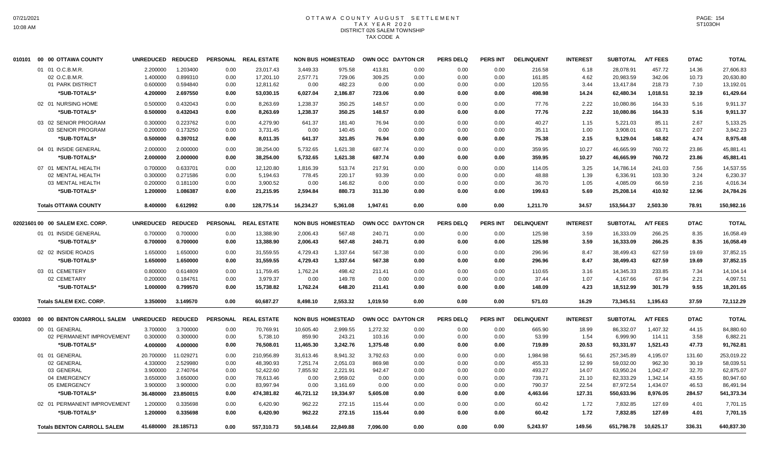### OTTAWA COUNTY AUGUST SETTLEMENT T A X Y E A R 2 0 2 0 DISTRICT 026 SALEM TOWNSHIP TAX CODE A

| 010101 | 00 00 OTTAWA COUNTY                | <b>UNREDUCED</b> | <b>REDUCED</b>      | <b>PERSONAL</b> | <b>REAL ESTATE</b> |           | <b>NON BUS HOMESTEAD</b> |          | OWN OCC DAYTON CR | <b>PERS DELQ</b> | <b>PERS INT</b> | <b>DELINQUENT</b> | <b>INTEREST</b> | <b>SUBTOTAL</b> | <b>A/T FEES</b> | <b>DTAC</b> | <b>TOTAL</b> |
|--------|------------------------------------|------------------|---------------------|-----------------|--------------------|-----------|--------------------------|----------|-------------------|------------------|-----------------|-------------------|-----------------|-----------------|-----------------|-------------|--------------|
|        | 01 01 O.C.B.M.R.                   | 2.200000         | 1.203400            | 0.00            | 23,017.43          | 3,449.33  | 975.58                   | 413.81   | 0.00              | 0.00             | 0.00            | 216.58            | 6.18            | 28,078.91       | 457.72          | 14.36       | 27,606.83    |
|        | 02 O.C.B.M.R.                      | 1.400000         | 0.899310            | 0.00            | 17,201.10          | 2,577.71  | 729.06                   | 309.25   | 0.00              | 0.00             | 0.00            | 161.85            | 4.62            | 20,983.59       | 342.06          | 10.73       | 20,630.80    |
|        | 01 PARK DISTRICT                   | 0.600000         | 0.594840            | 0.00            | 12,811.62          | 0.00      | 482.23                   | 0.00     | 0.00              | 0.00             | 0.00            | 120.55            | 3.44            | 13,417.84       | 218.73          | 7.10        | 13,192.01    |
|        | *SUB-TOTALS*                       | 4.200000         | 2.697550            | 0.00            | 53,030.15          | 6,027.04  | 2,186.87                 | 723.06   | 0.00              | 0.00             | 0.00            | 498.98            | 14.24           | 62,480.34       | 1,018.51        | 32.19       | 61,429.64    |
|        | 02 01 NURSING HOME                 | 0.500000         | 0.432043            | 0.00            | 8,263.69           | 1,238.37  | 350.25                   | 148.57   | 0.00              | 0.00             | 0.00            | 77.76             | 2.22            | 10,080.86       | 164.33          | 5.16        | 9,911.37     |
|        | *SUB-TOTALS*                       | 0.500000         | 0.432043            | 0.00            | 8,263.69           | 1,238.37  | 350.25                   | 148.57   | 0.00              | 0.00             | 0.00            | 77.76             | 2.22            | 10,080.86       | 164.33          | 5.16        | 9,911.37     |
|        | 03 02 SENIOR PROGRAM               | 0.300000         | 0.223762            | 0.00            | 4,279.90           | 641.37    | 181.40                   | 76.94    | 0.00              | 0.00             | 0.00            | 40.27             | 1.15            | 5,221.03        | 85.11           | 2.67        | 5,133.25     |
|        | 03 SENIOR PROGRAM                  | 0.200000         | 0.173250            | 0.00            | 3,731.45           | 0.00      | 140.45                   | 0.00     | 0.00              | 0.00             | 0.00            | 35.11             | 1.00            | 3,908.01        | 63.71           | 2.07        | 3,842.23     |
|        | *SUB-TOTALS*                       | 0.500000         | 0.397012            | 0.00            | 8,011.35           | 641.37    | 321.85                   | 76.94    | 0.00              | 0.00             | 0.00            | 75.38             | 2.15            | 9,129.04        | 148.82          | 4.74        | 8,975.48     |
|        | 04 01 INSIDE GENERAL               | 2.000000         | 2.000000            | 0.00            | 38,254.00          | 5,732.65  | 1,621.38                 | 687.74   | 0.00              | 0.00             | 0.00            | 359.95            | 10.27           | 46,665.99       | 760.72          | 23.86       | 45,881.41    |
|        | *SUB-TOTALS*                       | 2.000000         | 2.000000            | 0.00            | 38,254.00          | 5,732.65  | 1,621.38                 | 687.74   | 0.00              | 0.00             | 0.00            | 359.95            | 10.27           | 46,665.99       | 760.72          | 23.86       | 45,881.41    |
|        | 07 01 MENTAL HEALTH                | 0.700000         | 0.633701            | 0.00            | 12,120.80          | 1,816.39  | 513.74                   | 217.91   | 0.00              | 0.00             | 0.00            | 114.05            | 3.25            | 14,786.14       | 241.03          | 7.56        | 14,537.55    |
|        | 02 MENTAL HEALTH                   | 0.300000         | 0.271586            | 0.00            | 5,194.63           | 778.45    | 220.17                   | 93.39    | 0.00              | 0.00             | 0.00            | 48.88             | 1.39            | 6,336.91        | 103.30          | 3.24        | 6,230.37     |
|        | 03 MENTAL HEALTH                   | 0.200000         | 0.181100            | 0.00            | 3,900.52           | 0.00      | 146.82                   | 0.00     | 0.00              | 0.00             | 0.00            | 36.70             | 1.05            | 4,085.09        | 66.59           | 2.16        | 4,016.34     |
|        | *SUB-TOTALS*                       | 1.200000         | 1.086387            | 0.00            | 21,215.95          | 2,594.84  | 880.73                   | 311.30   | 0.00              | 0.00             | 0.00            | 199.63            | 5.69            | 25,208.14       | 410.92          | 12.96       | 24,784.26    |
|        | <b>Totals OTTAWA COUNTY</b>        | 8.400000         | 6.612992            | 0.00            | 128,775.14         | 16,234.27 | 5,361.08                 | 1,947.61 | 0.00              | 0.00             | 0.00            | 1,211.70          | 34.57           | 153,564.37      | 2,503.30        | 78.91       | 150,982.16   |
|        | 02021601 00 00 SALEM EXC. CORP.    | <b>UNREDUCED</b> | <b>REDUCED</b>      | <b>PERSONAL</b> | <b>REAL ESTATE</b> |           | <b>NON BUS HOMESTEAD</b> |          | OWN OCC DAYTON CR | <b>PERS DELQ</b> | <b>PERS INT</b> | <b>DELINQUENT</b> | <b>INTEREST</b> | <b>SUBTOTAL</b> | <b>A/T FEES</b> | <b>DTAC</b> | <b>TOTAL</b> |
|        | 01 01 INSIDE GENERAL               | 0.700000         | 0.700000            | 0.00            | 13,388.90          | 2,006.43  | 567.48                   | 240.71   | 0.00              | 0.00             | 0.00            | 125.98            | 3.59            | 16,333.09       | 266.25          | 8.35        | 16,058.49    |
|        | *SUB-TOTALS*                       | 0.700000         | 0.700000            | 0.00            | 13,388.90          | 2,006.43  | 567.48                   | 240.71   | 0.00              | 0.00             | 0.00            | 125.98            | 3.59            | 16,333.09       | 266.25          | 8.35        | 16,058.49    |
|        | 02 02 INSIDE ROADS                 | 1.650000         | 1.650000            | 0.00            | 31,559.55          | 4,729.43  | 1,337.64                 | 567.38   | 0.00              | 0.00             | 0.00            | 296.96            | 8.47            | 38,499.43       | 627.59          | 19.69       | 37,852.15    |
|        | *SUB-TOTALS*                       | 1.650000         | 1.650000            | 0.00            | 31,559.55          | 4,729.43  | 1,337.64                 | 567.38   | 0.00              | 0.00             | 0.00            | 296.96            | 8.47            | 38,499.43       | 627.59          | 19.69       | 37,852.15    |
|        | 03 01 CEMETERY                     | 0.800000         | 0.614809            | 0.00            | 11,759.45          | 1,762.24  | 498.42                   | 211.41   | 0.00              | 0.00             | 0.00            | 110.65            | 3.16            | 14,345.33       | 233.85          | 7.34        | 14,104.14    |
|        | 02 CEMETARY                        | 0.200000         | 0.184761            | 0.00            | 3,979.37           | 0.00      | 149.78                   | 0.00     | 0.00              | 0.00             | 0.00            | 37.44             | 1.07            | 4,167.66        | 67.94           | 2.21        | 4,097.51     |
|        | *SUB-TOTALS*                       | 1.000000         | 0.799570            | 0.00            | 15,738.82          | 1,762.24  | 648.20                   | 211.41   | 0.00              | 0.00             | 0.00            | 148.09            | 4.23            | 18,512.99       | 301.79          | 9.55        | 18,201.65    |
|        | <b>Totals SALEM EXC. CORP.</b>     | 3.350000         | 3.149570            | 0.00            | 60,687.27          | 8,498.10  | 2,553.32                 | 1,019.50 | 0.00              | 0.00             | 0.00            | 571.03            | 16.29           | 73,345.51       | 1,195.63        | 37.59       | 72,112.29    |
| 030303 | 00 00 BENTON CARROLL SALEM         | <b>UNREDUCED</b> | <b>REDUCED</b>      | <b>PERSONAL</b> | <b>REAL ESTATE</b> |           | <b>NON BUS HOMESTEAD</b> |          | OWN OCC DAYTON CR | <b>PERS DELQ</b> | <b>PERS INT</b> | <b>DELINQUENT</b> | <b>INTEREST</b> | <b>SUBTOTAL</b> | <b>A/T FEES</b> | <b>DTAC</b> | <b>TOTAL</b> |
|        | 00 01 GENERAL                      | 3.700000         | 3.700000            | 0.00            | 70,769.91          | 10,605.40 | 2,999.55                 | 1,272.32 | 0.00              | 0.00             | 0.00            | 665.90            | 18.99           | 86,332.07       | 1.407.32        | 44.15       | 84,880.60    |
|        | 02 PERMANENT IMPROVEMENT           | 0.300000         | 0.300000            | 0.00            | 5,738.10           | 859.90    | 243.21                   | 103.16   | 0.00              | 0.00             | 0.00            | 53.99             | 1.54            | 6,999.90        | 114.11          | 3.58        | 6,882.21     |
|        | *SUB-TOTALS*                       | 4.000000         | 4.000000            | 0.00            | 76,508.01          | 11,465.30 | 3,242.76                 | 1,375.48 | 0.00              | 0.00             | 0.00            | 719.89            | 20.53           | 93,331.97       | 1,521.43        | 47.73       | 91,762.81    |
|        | 01 01 GENERAL                      | 20.700000        | 11.029271           | 0.00            | 210,956.89         | 31,613.46 | 8,941.32                 | 3,792.63 | 0.00              | 0.00             | 0.00            | 1,984.98          | 56.61           | 257,345.89      | 4,195.07        | 131.60      | 253,019.22   |
|        | 02 GENERAL                         | 4.330000         | 2.529980            | 0.00            | 48,390.93          | 7,251.74  | 2,051.03                 | 869.98   | 0.00              | 0.00             | 0.00            | 455.33            | 12.99           | 59,032.00       | 962.30          | 30.19       | 58,039.51    |
|        | 03 GENERAL                         | 3.900000         | 2.740764            | 0.00            | 52,422.60          | 7,855.92  | 2,221.91                 | 942.47   | 0.00              | 0.00             | 0.00            | 493.27            | 14.07           | 63,950.24       | 1,042.47        | 32.70       | 62,875.07    |
|        | 04 EMERGENCY                       | 3.650000         | 3.650000            | 0.00            | 78,613.46          | 0.00      | 2,959.02                 | 0.00     | 0.00              | 0.00             | 0.00            | 739.71            | 21.10           | 82,333.29       | 1,342.14        | 43.55       | 80,947.60    |
|        | 05 EMERGENCY                       | 3.900000         | 3.900000            | 0.00            | 83,997.94          | 0.00      | 3,161.69                 | 0.00     | 0.00              | 0.00             | 0.00            | 790.37            | 22.54           | 87,972.54       | 1,434.07        | 46.53       | 86,491.94    |
|        | *SUB-TOTALS*                       | 36.480000        | 23.850015           | 0.00            | 474,381.82         | 46,721.12 | 19,334.97                | 5,605.08 | 0.00              | 0.00             | 0.00            | 4,463.66          | 127.31          | 550,633.96      | 8,976.05        | 284.57      | 541,373.34   |
|        | 02 01 PERMANENT IMPROVEMENT        | 1.200000         | 0.335698            | 0.00            | 6,420.90           | 962.22    | 272.15                   | 115.44   | 0.00              | 0.00             | 0.00            | 60.42             | 1.72            | 7,832.85        | 127.69          | 4.01        | 7,701.15     |
|        | *SUB-TOTALS*                       | 1.200000         | 0.335698            | 0.00            | 6,420.90           | 962.22    | 272.15                   | 115.44   | 0.00              | 0.00             | 0.00            | 60.42             | 1.72            | 7,832.85        | 127.69          | 4.01        | 7,701.15     |
|        | <b>Totals BENTON CARROLL SALEM</b> |                  | 41.680000 28.185713 | 0.00            | 557,310.73         | 59,148.64 | 22,849.88                | 7,096.00 | 0.00              | 0.00             | 0.00            | 5,243.97          | 149.56          | 651,798.78      | 10,625.17       | 336.31      | 640,837.30   |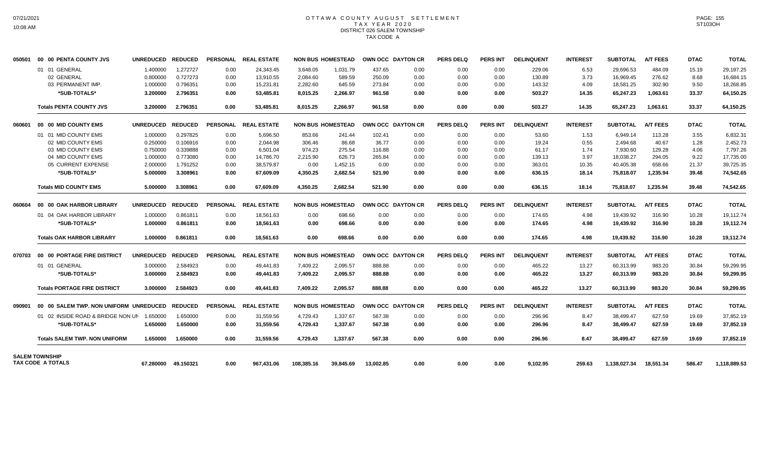### OTTAWA COUNTY AUGUST SETTLEMENT T A X Y E A R 2 0 2 0 DISTRICT 026 SALEM TOWNSHIP TAX CODE A

| 050501 | 00 00 PENTA COUNTY JVS                            | <b>UNREDUCED</b> | <b>REDUCED</b> |                 | PERSONAL REAL ESTATE |            | <b>NON BUS HOMESTEAD</b> | OWN OCC DAYTON CR |                   | <b>PERS DELQ</b> | <b>PERS INT</b> | <b>DELINQUENT</b> | <b>INTEREST</b> | <b>SUBTOTAL</b> | <b>A/T FEES</b> | <b>DTAC</b> | <b>TOTAL</b> |
|--------|---------------------------------------------------|------------------|----------------|-----------------|----------------------|------------|--------------------------|-------------------|-------------------|------------------|-----------------|-------------------|-----------------|-----------------|-----------------|-------------|--------------|
|        | 01 01 GENERAL                                     | 1.400000         | 1.272727       | 0.00            | 24,343.45            | 3,648.05   | 1,031.79                 | 437.65            | 0.00              | 0.00             | 0.00            | 229.06            | 6.53            | 29,696.53       | 484.09          | 15.19       | 29,197.25    |
|        | 02 GENERAL                                        | 0.800000         | 0.727273       | 0.00            | 13,910.55            | 2,084.60   | 589.59                   | 250.09            | 0.00              | 0.00             | 0.00            | 130.89            | 3.73            | 16,969.45       | 276.62          | 8.68        | 16,684.15    |
|        | 03 PERMANENT IMP.                                 | 1.000000         | 0.796351       | 0.00            | 15,231.81            | 2,282.60   | 645.59                   | 273.84            | 0.00              | 0.00             | 0.00            | 143.32            | 4.09            | 18,581.25       | 302.90          | 9.50        | 18,268.85    |
|        | *SUB-TOTALS*                                      | 3.200000         | 2.796351       | 0.00            | 53,485.81            | 8,015.25   | 2,266.97                 | 961.58            | 0.00              | 0.00             | 0.00            | 503.27            | 14.35           | 65,247.23       | 1.063.61        | 33.37       | 64,150.25    |
|        | <b>Totals PENTA COUNTY JVS</b>                    | 3.200000         | 2.796351       | 0.00            | 53,485.81            | 8,015.25   | 2,266.97                 | 961.58            | 0.00              | 0.00             | 0.00            | 503.27            | 14.35           | 65,247.23       | 1,063.61        | 33.37       | 64,150.25    |
| 060601 | 00 00 MID COUNTY EMS                              | <b>UNREDUCED</b> | <b>REDUCED</b> | <b>PERSONAL</b> | <b>REAL ESTATE</b>   |            | <b>NON BUS HOMESTEAD</b> |                   | OWN OCC DAYTON CR | <b>PERS DELQ</b> | <b>PERS INT</b> | <b>DELINQUENT</b> | <b>INTEREST</b> | <b>SUBTOTAL</b> | <b>A/T FEES</b> | <b>DTAC</b> | <b>TOTAL</b> |
|        | 01 01 MID COUNTY EMS                              | 1.000000         | 0.297825       | 0.00            | 5.696.50             | 853.66     | 241.44                   | 102.41            | 0.00              | 0.00             | 0.00            | 53.60             | 1.53            | 6,949.14        | 113.28          | 3.55        | 6,832.31     |
|        | 02 MID COUNTY EMS                                 | 0.250000         | 0.106916       | 0.00            | 2.044.98             | 306.46     | 86.68                    | 36.77             | 0.00              | 0.00             | 0.00            | 19.24             | 0.55            | 2,494.68        | 40.67           | 1.28        | 2,452.73     |
|        | 03 MID COUNTY EMS                                 | 0.750000         | 0.339888       | 0.00            | 6,501.04             | 974.23     | 275.54                   | 116.88            | 0.00              | 0.00             | 0.00            | 61.17             | 1.74            | 7,930.60        | 129.28          | 4.06        | 7.797.26     |
|        | 04 MID COUNTY EMS                                 | 1.000000         | 0.773080       | 0.00            | 14.786.70            | 2,215.90   | 626.73                   | 265.84            | 0.00              | 0.00             | 0.00            | 139.13            | 3.97            | 18,038.27       | 294.05          | 9.22        | 17,735.00    |
|        | 05 CURRENT EXPENSE                                | 2.000000         | 1.791252       | 0.00            | 38,579.87            | 0.00       | 1,452.15                 | 0.00              | 0.00              | 0.00             | 0.00            | 363.01            | 10.35           | 40,405.38       | 658.66          | 21.37       | 39,725.35    |
|        | *SUB-TOTALS*                                      | 5.000000         | 3.308961       | 0.00            | 67,609.09            | 4,350.25   | 2,682.54                 | 521.90            | 0.00              | 0.00             | 0.00            | 636.15            | 18.14           | 75,818.07       | 1,235.94        | 39.48       | 74,542.65    |
|        | <b>Totals MID COUNTY EMS</b>                      | 5.000000         | 3.308961       | 0.00            | 67,609.09            | 4,350.25   | 2,682.54                 | 521.90            | 0.00              | 0.00             | 0.00            | 636.15            | 18.14           | 75,818.07       | 1,235.94        | 39.48       | 74,542.65    |
| 060604 | 00 00 OAK HARBOR LIBRARY                          | <b>UNREDUCED</b> | <b>REDUCED</b> |                 | PERSONAL REAL ESTATE |            | <b>NON BUS HOMESTEAD</b> | OWN OCC DAYTON CR |                   | <b>PERS DELQ</b> | <b>PERS INT</b> | <b>DELINQUENT</b> | <b>INTEREST</b> | <b>SUBTOTAL</b> | <b>A/T FEES</b> | <b>DTAC</b> | <b>TOTAL</b> |
|        | 01 04 OAK HARBOR LIBRARY                          | 1.000000         | 0.861811       | 0.00            | 18,561.63            | 0.00       | 698.66                   | 0.00              | 0.00              | 0.00             | 0.00            | 174.65            | 4.98            | 19,439.92       | 316.90          | 10.28       | 19,112.74    |
|        | *SUB-TOTALS*                                      | 1.000000         | 0.861811       | 0.00            | 18,561.63            | 0.00       | 698.66                   | 0.00              | 0.00              | 0.00             | 0.00            | 174.65            | 4.98            | 19,439.92       | 316.90          | 10.28       | 19,112.74    |
|        | <b>Totals OAK HARBOR LIBRARY</b>                  | 1.000000         | 0.861811       | 0.00            | 18,561.63            | 0.00       | 698.66                   | 0.00              | 0.00              | 0.00             | 0.00            | 174.65            | 4.98            | 19,439.92       | 316.90          | 10.28       | 19,112.74    |
| 070703 | 00 00 PORTAGE FIRE DISTRICT                       | <b>UNREDUCED</b> | <b>REDUCED</b> |                 | PERSONAL REAL ESTATE |            | <b>NON BUS HOMESTEAD</b> | OWN OCC DAYTON CR |                   | <b>PERS DELQ</b> | <b>PERS INT</b> | <b>DELINQUENT</b> | <b>INTEREST</b> | <b>SUBTOTAL</b> | <b>A/T FEES</b> | <b>DTAC</b> | <b>TOTAL</b> |
|        | 01 01 GENERAL                                     | 3.000000         | 2.584923       | 0.00            | 49.441.83            | 7,409.22   | 2.095.57                 | 888.88            | 0.00              | 0.00             | 0.00            | 465.22            | 13.27           | 60.313.99       | 983.20          | 30.84       | 59,299.95    |
|        | *SUB-TOTALS*                                      | 3.000000         | 2.584923       | 0.00            | 49,441.83            | 7,409.22   | 2,095.57                 | 888.88            | 0.00              | 0.00             | 0.00            | 465.22            | 13.27           | 60,313.99       | 983.20          | 30.84       | 59,299.95    |
|        | <b>Totals PORTAGE FIRE DISTRICT</b>               | 3.000000         | 2.584923       | 0.00            | 49.441.83            | 7.409.22   | 2,095.57                 | 888.88            | 0.00              | 0.00             | 0.00            | 465.22            | 13.27           | 60,313.99       | 983.20          | 30.84       | 59,299.95    |
| 090901 | 00 00 SALEM TWP, NON UNIFORM UNREDUCED            |                  | <b>REDUCED</b> |                 | PERSONAL REAL ESTATE |            | <b>NON BUS HOMESTEAD</b> | OWN OCC DAYTON CR |                   | <b>PERS DELQ</b> | <b>PERS INT</b> | <b>DELINQUENT</b> | <b>INTEREST</b> | <b>SUBTOTAL</b> | <b>A/T FEES</b> | <b>DTAC</b> | <b>TOTAL</b> |
|        | 01 02 INSIDE ROAD & BRIDGE NON UN                 | 1.650000         | 1.650000       | 0.00            | 31,559.56            | 4,729.43   | 1,337.67                 | 567.38            | 0.00              | 0.00             | 0.00            | 296.96            | 8.47            | 38,499.47       | 627.59          | 19.69       | 37,852.19    |
|        | *SUB-TOTALS*                                      | 1.650000         | 1.650000       | 0.00            | 31,559.56            | 4,729.43   | 1,337.67                 | 567.38            | 0.00              | 0.00             | 0.00            | 296.96            | 8.47            | 38,499.47       | 627.59          | 19.69       | 37,852.19    |
|        | <b>Totals SALEM TWP, NON UNIFORM</b>              | 1.650000         | 1.650000       | 0.00            | 31.559.56            | 4,729.43   | 1,337.67                 | 567.38            | 0.00              | 0.00             | 0.00            | 296.96            | 8.47            | 38,499.47       | 627.59          | 19.69       | 37,852.19    |
|        | <b>SALEM TOWNSHIP</b><br><b>TAX CODE A TOTALS</b> | 67.280000        | 49.150321      | 0.00            | 967.431.06           | 108.385.16 | 39.845.69                | 13.002.85         | 0.00              | 0.00             | 0.00            | 9.102.95          | 259.63          | 1,138,027.34    | 18.551.34       | 586.47      | 1,118,889.53 |
|        |                                                   |                  |                |                 |                      |            |                          |                   |                   |                  |                 |                   |                 |                 |                 |             |              |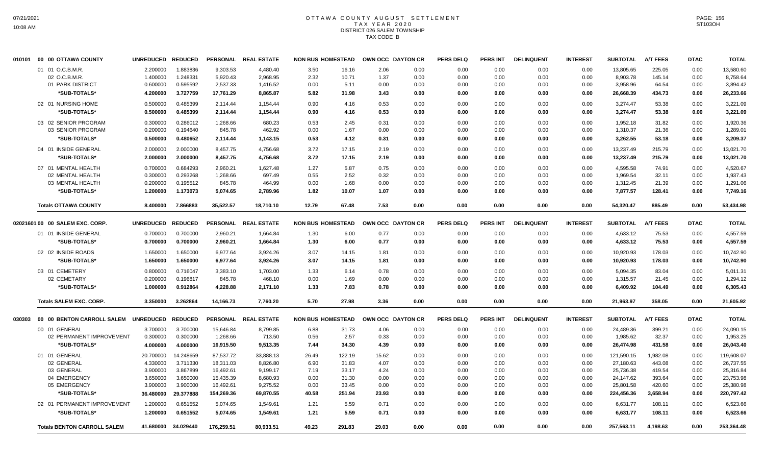### OTTAWA COUNTY AUGUST SETTLEMENT T A X Y E A R 2 0 2 0 DISTRICT 026 SALEM TOWNSHIP TAX CODE B

| 010101 | 00 00 OTTAWA COUNTY                | <b>UNREDUCED</b>     | <b>REDUCED</b> | <b>PERSONAL</b> | <b>REAL ESTATE</b> | <b>NON BUS HOMESTEAD</b> |        | OWN OCC DAYTON CR |      | <b>PERS DELQ</b> | <b>PERS INT</b> | <b>DELINQUENT</b> | <b>INTEREST</b> | <b>SUBTOTAL</b> | <b>A/T FEES</b> | <b>DTAC</b> | <b>TOTAL</b> |
|--------|------------------------------------|----------------------|----------------|-----------------|--------------------|--------------------------|--------|-------------------|------|------------------|-----------------|-------------------|-----------------|-----------------|-----------------|-------------|--------------|
|        | 01 01 O.C.B.M.R.                   | 2.200000             | 1.883836       | 9,303.53        | 4,480.40           | 3.50                     | 16.16  | 2.06              | 0.00 | 0.00             | 0.00            | 0.00              | 0.00            | 13,805.65       | 225.05          | 0.00        | 13,580.60    |
|        | 02 O.C.B.M.R                       | 1.400000             | 1.248331       | 5,920.43        | 2,968.95           | 2.32                     | 10.71  | 1.37              | 0.00 | 0.00             | 0.00            | 0.00              | 0.00            | 8,903.78        | 145.14          | 0.00        | 8,758.64     |
|        | 01 PARK DISTRICT                   | 0.600000             | 0.595592       | 2,537.33        | 1,416.52           | 0.00                     | 5.11   | 0.00              | 0.00 | 0.00             | 0.00            | 0.00              | 0.00            | 3,958.96        | 64.54           | 0.00        | 3,894.42     |
|        | *SUB-TOTALS*                       | 4.200000             | 3.727759       | 17,761.29       | 8,865.87           | 5.82                     | 31.98  | 3.43              | 0.00 | 0.00             | 0.00            | 0.00              | 0.00            | 26,668.39       | 434.73          | 0.00        | 26,233.66    |
|        | 02 01 NURSING HOME                 | 0.500000             | 0.485399       | 2,114.44        | 1,154.44           | 0.90                     | 4.16   | 0.53              | 0.00 | 0.00             | 0.00            | 0.00              | 0.00            | 3,274.47        | 53.38           | 0.00        | 3,221.09     |
|        | *SUB-TOTALS*                       | 0.500000             | 0.485399       | 2,114.44        | 1,154.44           | 0.90                     | 4.16   | 0.53              | 0.00 | 0.00             | 0.00            | 0.00              | 0.00            | 3,274.47        | 53.38           | 0.00        | 3,221.09     |
|        | 03 02 SENIOR PROGRAM               | 0.300000             | 0.286012       | 1,268.66        | 680.23             | 0.53                     | 2.45   | 0.31              | 0.00 | 0.00             | 0.00            | 0.00              | 0.00            | 1,952.18        | 31.82           | 0.00        | 1,920.36     |
|        | 03 SENIOR PROGRAM                  |                      | 0.194640       | 845.78          | 462.92             | 0.00                     | 1.67   | 0.00              | 0.00 | 0.00             | 0.00            | 0.00              | 0.00            | 1,310.37        | 21.36           | 0.00        |              |
|        | *SUB-TOTALS*                       | 0.200000<br>0.500000 | 0.480652       |                 |                    | 0.53                     | 4.12   | 0.31              | 0.00 | 0.00             | 0.00            |                   | 0.00            | 3,262.55        | 53.18           | 0.00        | 1,289.01     |
|        |                                    |                      |                | 2,114.44        | 1,143.15           |                          |        |                   |      |                  |                 | 0.00              |                 |                 |                 |             | 3,209.37     |
|        | 04 01 INSIDE GENERAL               | 2.000000             | 2.000000       | 8,457.75        | 4,756.68           | 3.72                     | 17.15  | 2.19              | 0.00 | 0.00             | 0.00            | 0.00              | 0.00            | 13,237.49       | 215.79          | 0.00        | 13,021.70    |
|        | *SUB-TOTALS*                       | 2.000000             | 2.000000       | 8,457.75        | 4,756.68           | 3.72                     | 17.15  | 2.19              | 0.00 | 0.00             | 0.00            | 0.00              | 0.00            | 13,237.49       | 215.79          | 0.00        | 13,021.70    |
|        | 07 01 MENTAL HEALTH                | 0.700000             | 0.684293       | 2,960.21        | 1,627.48           | 1.27                     | 5.87   | 0.75              | 0.00 | 0.00             | 0.00            | 0.00              | 0.00            | 4,595.58        | 74.91           | 0.00        | 4,520.67     |
|        | 02 MENTAL HEALTH                   | 0.300000             | 0.293268       | 1,268.66        | 697.49             | 0.55                     | 2.52   | 0.32              | 0.00 | 0.00             | 0.00            | 0.00              | 0.00            | 1,969.54        | 32.11           | 0.00        | 1,937.43     |
|        | 03 MENTAL HEALTH                   | 0.200000             | 0.195512       | 845.78          | 464.99             | 0.00                     | 1.68   | 0.00              | 0.00 | 0.00             | 0.00            | 0.00              | 0.00            | 1,312.45        | 21.39           | 0.00        | 1,291.06     |
|        | *SUB-TOTALS*                       | 1.200000             | 1.173073       | 5,074.65        | 2,789.96           | 1.82                     | 10.07  | 1.07              | 0.00 | 0.00             | 0.00            | 0.00              | 0.00            | 7,877.57        | 128.41          | 0.00        | 7,749.16     |
|        | <b>Totals OTTAWA COUNTY</b>        | 8.400000             | 7.866883       | 35,522.57       | 18,710.10          | 12.79                    | 67.48  | 7.53              | 0.00 | 0.00             | 0.00            | 0.00              | 0.00            | 54,320.47       | 885.49          | 0.00        | 53,434.98    |
|        |                                    |                      |                |                 |                    |                          |        |                   |      |                  |                 |                   |                 |                 |                 |             |              |
|        | 02021601 00 00 SALEM EXC, CORP.    | <b>UNREDUCED</b>     | <b>REDUCED</b> | <b>PERSONAL</b> | <b>REAL ESTATE</b> | <b>NON BUS HOMESTEAD</b> |        | OWN OCC DAYTON CR |      | <b>PERS DELQ</b> | <b>PERS INT</b> | <b>DELINQUENT</b> | <b>INTEREST</b> | <b>SUBTOTAL</b> | <b>A/T FEES</b> | <b>DTAC</b> | <b>TOTAL</b> |
|        | 01 01 INSIDE GENERAL               | 0.700000             | 0.700000       | 2,960.21        | 1,664.84           | 1.30                     | 6.00   | 0.77              | 0.00 | 0.00             | 0.00            | 0.00              | 0.00            | 4,633.12        | 75.53           | 0.00        | 4,557.59     |
|        | *SUB-TOTALS*                       | 0.700000             | 0.700000       | 2,960.21        | 1,664.84           | 1.30                     | 6.00   | 0.77              | 0.00 | 0.00             | 0.00            | 0.00              | 0.00            | 4,633.12        | 75.53           | 0.00        | 4,557.59     |
|        | 02 02 INSIDE ROADS                 | 1.650000             | 1.650000       | 6,977.64        | 3,924.26           | 3.07                     | 14.15  | 1.81              | 0.00 | 0.00             | 0.00            | 0.00              | 0.00            | 10,920.93       | 178.03          | 0.00        | 10,742.90    |
|        | *SUB-TOTALS*                       | 1.650000             | 1.650000       | 6,977.64        | 3,924.26           | 3.07                     | 14.15  | 1.81              | 0.00 | 0.00             | 0.00            | 0.00              | 0.00            | 10,920.93       | 178.03          | 0.00        | 10,742.90    |
|        | 03 01 CEMETERY                     | 0.800000             | 0.716047       | 3,383.10        | 1,703.00           | 1.33                     | 6.14   | 0.78              | 0.00 | 0.00             | 0.00            | 0.00              | 0.00            | 5,094.35        | 83.04           | 0.00        | 5,011.31     |
|        | 02 CEMETARY                        | 0.200000             | 0.196817       | 845.78          | 468.10             | 0.00                     | 1.69   | 0.00              | 0.00 | 0.00             | 0.00            | 0.00              | 0.00            | 1,315.57        | 21.45           | 0.00        | 1,294.12     |
|        | *SUB-TOTALS*                       | 1.000000             | 0.912864       | 4,228.88        | 2,171.10           | 1.33                     | 7.83   | 0.78              | 0.00 | 0.00             | 0.00            | 0.00              | 0.00            | 6,409.92        | 104.49          | 0.00        | 6,305.43     |
|        | <b>Totals SALEM EXC. CORP.</b>     | 3.350000             | 3.262864       | 14,166.73       | 7,760.20           | 5.70                     | 27.98  | 3.36              | 0.00 | 0.00             | 0.00            | 0.00              | 0.00            | 21,963.97       | 358.05          | 0.00        | 21,605.92    |
| 030303 | 00 00 BENTON CARROLL SALEM         | <b>UNREDUCED</b>     | <b>REDUCED</b> | <b>PERSONAL</b> | <b>REAL ESTATE</b> | <b>NON BUS HOMESTEAD</b> |        | OWN OCC DAYTON CR |      | <b>PERS DELQ</b> | PERS INT        | <b>DELINQUENT</b> | <b>INTEREST</b> | <b>SUBTOTAL</b> | <b>A/T FEES</b> | <b>DTAC</b> | <b>TOTAL</b> |
|        | 00 01 GENERAL                      | 3.700000             | 3.700000       | 15,646.84       | 8,799.85           | 6.88                     | 31.73  | 4.06              | 0.00 | 0.00             | 0.00            | 0.00              | 0.00            | 24,489.36       | 399.21          | 0.00        | 24,090.15    |
|        | 02 PERMANENT IMPROVEMENT           | 0.300000             | 0.300000       | 1,268.66        | 713.50             | 0.56                     | 2.57   | 0.33              | 0.00 | 0.00             | 0.00            | 0.00              | 0.00            | 1,985.62        | 32.37           | 0.00        | 1,953.25     |
|        | *SUB-TOTALS*                       | 4.000000             | 4.000000       | 16,915.50       | 9,513.35           | 7.44                     | 34.30  | 4.39              | 0.00 | 0.00             | 0.00            | 0.00              | 0.00            | 26,474.98       | 431.58          | 0.00        | 26,043.40    |
|        | 01 01 GENERAL                      | 20.700000            | 14.248659      | 87,537.72       | 33,888.13          | 26.49                    | 122.19 | 15.62             | 0.00 | 0.00             | 0.00            | 0.00              | 0.00            | 121,590.15      | 1,982.08        | 0.00        | 119,608.07   |
|        | 02 GENERAL                         | 4.330000             | 3.711330       | 18,311.03       | 8,826.80           | 6.90                     | 31.83  | 4.07              | 0.00 | 0.00             | 0.00            | 0.00              | 0.00            | 27,180.63       | 443.08          | 0.00        | 26,737.55    |
|        | 03 GENERAL                         | 3.900000             | 3.867899       | 16,492.61       | 9,199.17           | 7.19                     | 33.17  | 4.24              | 0.00 | 0.00             | 0.00            | 0.00              | 0.00            | 25,736.38       | 419.54          | 0.00        | 25,316.84    |
|        | 04 EMERGENCY                       | 3.650000             | 3.650000       | 15,435.39       | 8,680.93           | 0.00                     | 31.30  | 0.00              | 0.00 | 0.00             | 0.00            | 0.00              | 0.00            | 24,147.62       | 393.64          | 0.00        | 23,753.98    |
|        | 05 EMERGENCY                       | 3.900000             | 3.900000       | 16,492.61       | 9,275.52           | 0.00                     | 33.45  | 0.00              | 0.00 | 0.00             | 0.00            | 0.00              | 0.00            | 25,801.58       | 420.60          | 0.00        | 25,380.98    |
|        | *SUB-TOTALS*                       | 36.480000            | 29.377888      | 154,269.36      | 69,870.55          | 40.58                    | 251.94 | 23.93             | 0.00 | 0.00             | 0.00            | 0.00              | 0.00            | 224,456.36      | 3.658.94        | 0.00        | 220,797.42   |
|        | 02 01 PERMANENT IMPROVEMENT        | 1.200000             | 0.651552       | 5,074.65        | 1,549.61           | 1.21                     | 5.59   | 0.71              | 0.00 | 0.00             | 0.00            | 0.00              | 0.00            | 6,631.77        | 108.11          | 0.00        | 6,523.66     |
|        |                                    |                      |                |                 |                    |                          |        |                   |      |                  |                 |                   |                 |                 |                 |             |              |
|        | *SUB-TOTALS*                       | 1.200000             | 0.651552       | 5,074.65        | 1,549.61           | 1.21                     | 5.59   | 0.71              | 0.00 | 0.00             | 0.00            | 0.00              | 0.00            | 6,631.77        | 108.11          | 0.00        | 6,523.66     |
|        | <b>Totals BENTON CARROLL SALEM</b> | 41.680000            | 34.029440      | 176,259.51      | 80.933.51          | 49.23                    | 291.83 | 29.03             | 0.00 | 0.00             | 0.00            | 0.00              | 0.00            | 257,563.11      | 4,198.63        | 0.00        | 253,364.48   |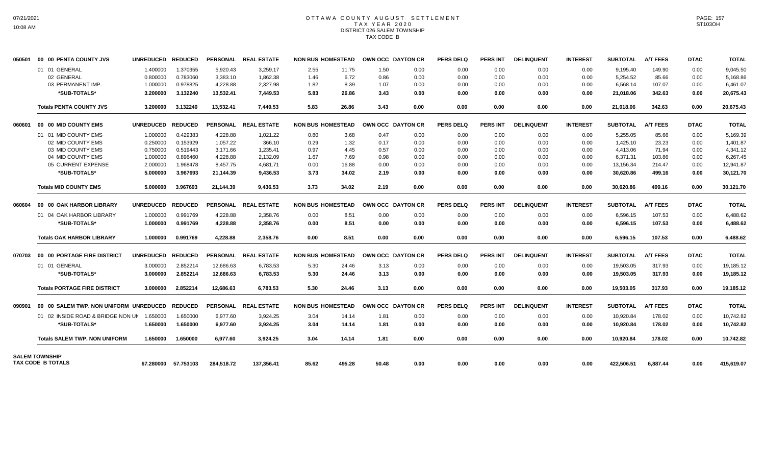# OTTAWA COUNTY AUGUST SETTLEMENT T A X Y E A R 2 0 2 0 DISTRICT 026 SALEM TOWNSHIP TAX CODE B

| 050501 | 00 00 PENTA COUNTY JVS                     | <b>UNREDUCED</b> | <b>REDUCED</b>      |            | PERSONAL REAL ESTATE |       | <b>NON BUS HOMESTEAD</b> | OWN OCC DAYTON CR |      | <b>PERS DELQ</b> | <b>PERS INT</b> | <b>DELINQUENT</b> | <b>INTEREST</b> | <b>SUBTOTAL</b> | <b>A/T FEES</b> | <b>DTAC</b> | <b>TOTAL</b> |
|--------|--------------------------------------------|------------------|---------------------|------------|----------------------|-------|--------------------------|-------------------|------|------------------|-----------------|-------------------|-----------------|-----------------|-----------------|-------------|--------------|
|        | 01 01 GENERAL                              | 1.400000         | 1.370355            | 5,920.43   | 3,259.17             | 2.55  | 11.75                    | 1.50              | 0.00 | 0.00             | 0.00            | 0.00              | 0.00            | 9,195.40        | 149.90          | 0.00        | 9,045.50     |
|        | 02 GENERAL                                 | 0.800000         | 0.783060            | 3,383.10   | 1,862.38             | 1.46  | 6.72                     | 0.86              | 0.00 | 0.00             | 0.00            | 0.00              | 0.00            | 5,254.52        | 85.66           | 0.00        | 5,168.86     |
|        | 03 PERMANENT IMP.                          | 1.000000         | 0.978825            | 4,228.88   | 2,327.98             | 1.82  | 8.39                     | 1.07              | 0.00 | 0.00             | 0.00            | 0.00              | 0.00            | 6,568.14        | 107.07          | 0.00        | 6,461.07     |
|        | *SUB-TOTALS*                               | 3.200000         | 3.132240            | 13,532.41  | 7.449.53             | 5.83  | 26.86                    | 3.43              | 0.00 | 0.00             | 0.00            | 0.00              | 0.00            | 21,018.06       | 342.63          | 0.00        | 20,675.43    |
|        | <b>Totals PENTA COUNTY JVS</b>             | 3.200000         | 3.132240            | 13.532.41  | 7.449.53             | 5.83  | 26.86                    | 3.43              | 0.00 | 0.00             | 0.00            | 0.00              | 0.00            | 21,018.06       | 342.63          | 0.00        | 20,675.43    |
| 060601 | 00 00 MID COUNTY EMS                       | <b>UNREDUCED</b> | <b>REDUCED</b>      |            | PERSONAL REAL ESTATE |       | <b>NON BUS HOMESTEAD</b> | OWN OCC DAYTON CR |      | <b>PERS DELQ</b> | <b>PERS INT</b> | <b>DELINQUENT</b> | <b>INTEREST</b> | <b>SUBTOTAL</b> | <b>A/T FEES</b> | <b>DTAC</b> | <b>TOTAL</b> |
|        | 01 01 MID COUNTY EMS                       | 1.000000         | 0.429383            | 4,228.88   | 1,021.22             | 0.80  | 3.68                     | 0.47              | 0.00 | 0.00             | 0.00            | 0.00              | 0.00            | 5,255.05        | 85.66           | 0.00        | 5,169.39     |
|        | 02 MID COUNTY EMS                          | 0.250000         | 0.153929            | 1,057.22   | 366.10               | 0.29  | 1.32                     | 0.17              | 0.00 | 0.00             | 0.00            | 0.00              | 0.00            | 1,425.10        | 23.23           | 0.00        | 1.401.87     |
|        | 03 MID COUNTY EMS                          | 0.750000         | 0.519443            | 3,171.66   | 1,235.41             | 0.97  | 4.45                     | 0.57              | 0.00 | 0.00             | 0.00            | 0.00              | 0.00            | 4,413.06        | 71.94           | 0.00        | 4,341.12     |
|        | 04 MID COUNTY EMS                          | 1.000000         | 0.896460            | 4,228.88   | 2,132.09             | 1.67  | 7.69                     | 0.98              | 0.00 | 0.00             | 0.00            | 0.00              | 0.00            | 6,371.31        | 103.86          | 0.00        | 6,267.45     |
|        | 05 CURRENT EXPENSE                         | 2.000000         | 1.968478            | 8,457.75   | 4,681.71             | 0.00  | 16.88                    | 0.00              | 0.00 | 0.00             | 0.00            | 0.00              | 0.00            | 13,156.34       | 214.47          | 0.00        | 12,941.87    |
|        | *SUB-TOTALS*                               | 5.000000         | 3.967693            | 21,144.39  | 9,436.53             | 3.73  | 34.02                    | 2.19              | 0.00 | 0.00             | 0.00            | 0.00              | 0.00            | 30,620.86       | 499.16          | 0.00        | 30,121.70    |
|        | <b>Totals MID COUNTY EMS</b>               | 5.000000         | 3.967693            | 21,144.39  | 9,436.53             | 3.73  | 34.02                    | 2.19              | 0.00 | 0.00             | 0.00            | 0.00              | 0.00            | 30,620.86       | 499.16          | 0.00        | 30,121.70    |
| 060604 | 00 00 OAK HARBOR LIBRARY                   | <b>UNREDUCED</b> | <b>REDUCED</b>      |            | PERSONAL REAL ESTATE |       | <b>NON BUS HOMESTEAD</b> | OWN OCC DAYTON CR |      | <b>PERS DELQ</b> | <b>PERS INT</b> | <b>DELINQUENT</b> | <b>INTEREST</b> | <b>SUBTOTAL</b> | <b>A/T FEES</b> | <b>DTAC</b> | <b>TOTAL</b> |
|        | 01 04 OAK HARBOR LIBRARY                   | 1.000000         | 0.991769            | 4,228.88   | 2,358.76             | 0.00  | 8.51                     | 0.00              | 0.00 | 0.00             | 0.00            | 0.00              | 0.00            | 6,596.15        | 107.53          | 0.00        | 6,488.62     |
|        | *SUB-TOTALS*                               | 1.000000         | 0.991769            | 4.228.88   | 2.358.76             | 0.00  | 8.51                     | 0.00              | 0.00 | 0.00             | 0.00            | 0.00              | 0.00            | 6.596.15        | 107.53          | 0.00        | 6.488.62     |
|        | <b>Totals OAK HARBOR LIBRARY</b>           | 1.000000         | 0.991769            | 4.228.88   | 2.358.76             | 0.00  | 8.51                     | 0.00              | 0.00 | 0.00             | 0.00            | 0.00              | 0.00            | 6,596.15        | 107.53          | 0.00        | 6.488.62     |
| 070703 | 00 00 PORTAGE FIRE DISTRICT                | <b>UNREDUCED</b> | <b>REDUCED</b>      |            | PERSONAL REAL ESTATE |       | <b>NON BUS HOMESTEAD</b> | OWN OCC DAYTON CR |      | PERS DELO        | <b>PERS INT</b> | <b>DELINQUENT</b> | <b>INTEREST</b> | <b>SUBTOTAL</b> | <b>A/T FEES</b> | <b>DTAC</b> | <b>TOTAL</b> |
|        | 01 01 GENERAL                              | 3.000000         | 2.852214            | 12.686.63  | 6.783.53             | 5.30  | 24.46                    | 3.13              | 0.00 | 0.00             | 0.00            | 0.00              | 0.00            | 19.503.05       | 317.93          | 0.00        | 19,185.12    |
|        | *SUB-TOTALS*                               | 3.000000         | 2.852214            | 12,686.63  | 6,783.53             | 5.30  | 24.46                    | 3.13              | 0.00 | 0.00             | 0.00            | 0.00              | 0.00            | 19,503.05       | 317.93          | 0.00        | 19,185.12    |
|        | <b>Totals PORTAGE FIRE DISTRICT</b>        | 3.000000         | 2.852214            | 12,686.63  | 6,783.53             | 5.30  | 24.46                    | 3.13              | 0.00 | 0.00             | 0.00            | 0.00              | 0.00            | 19,503.05       | 317.93          | 0.00        | 19,185.12    |
| 090901 | 00 00 SALEM TWP. NON UNIFORM UNREDUCED     |                  | <b>REDUCED</b>      |            | PERSONAL REAL ESTATE |       | <b>NON BUS HOMESTEAD</b> | OWN OCC DAYTON CR |      | <b>PERS DELQ</b> | <b>PERS INT</b> | <b>DELINQUENT</b> | <b>INTEREST</b> | <b>SUBTOTAL</b> | <b>A/T FEES</b> | <b>DTAC</b> | <b>TOTAL</b> |
|        | 01 02 INSIDE ROAD & BRIDGE NON UN          | 1.650000         | 1.650000            | 6.977.60   | 3,924.25             | 3.04  | 14.14                    | 1.81              | 0.00 | 0.00             | 0.00            | 0.00              | 0.00            | 10,920.84       | 178.02          | 0.00        | 10,742.82    |
|        | *SUB-TOTALS*                               | 1.650000         | 1.650000            | 6.977.60   | 3.924.25             | 3.04  | 14.14                    | 1.81              | 0.00 | 0.00             | 0.00            | 0.00              | 0.00            | 10.920.84       | 178.02          | 0.00        | 10,742.82    |
|        | <b>Totals SALEM TWP, NON UNIFORM</b>       | 1.650000         | 1.650000            | 6,977.60   | 3,924.25             | 3.04  | 14.14                    | 1.81              | 0.00 | 0.00             | 0.00            | 0.00              | 0.00            | 10,920.84       | 178.02          | 0.00        | 10,742.82    |
|        | <b>SALEM TOWNSHIP</b><br>TAX CODE B TOTALS |                  | 67.280000 57.753103 | 284,518.72 | 137.356.41           | 85.62 | 495.28                   | 50.48             | 0.00 | 0.00             | 0.00            | 0.00              | 0.00            | 422,506.51      | 6.887.44        | 0.00        | 415,619.07   |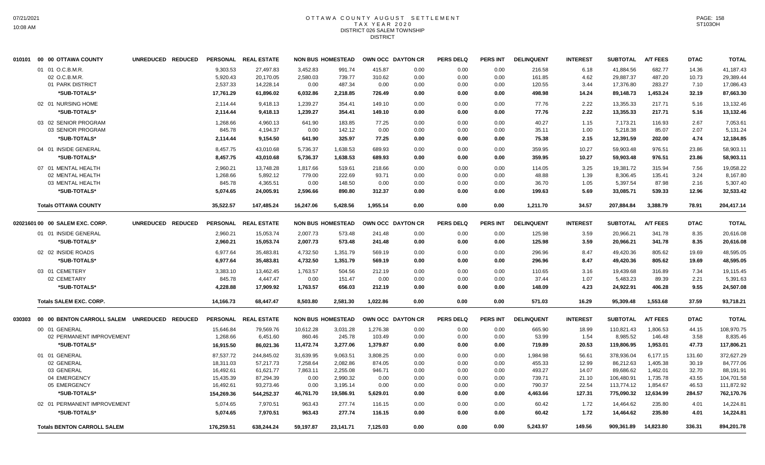#### OTTAWA COUNTY AUGUST SETTLEMENT T A X Y E A R 2 0 2 0 DISTRICT 026 SALEM TOWNSHIP DISTRICT

|        | 010101 00 00 OTTAWA COUNTY           | UNREDUCED REDUCED |                 | PERSONAL REAL ESTATE |           | <b>NON BUS HOMESTEAD</b> |          | OWN OCC DAYTON CR | <b>PERS DELQ</b> | <b>PERS INT</b> | <b>DELINQUENT</b> | <b>INTEREST</b> | <b>SUBTOTAL</b> | <b>A/T FEES</b> | <b>DTAC</b> | <b>TOTAL</b> |
|--------|--------------------------------------|-------------------|-----------------|----------------------|-----------|--------------------------|----------|-------------------|------------------|-----------------|-------------------|-----------------|-----------------|-----------------|-------------|--------------|
|        | 01 01 O.C.B.M.R.                     |                   | 9,303.53        | 27,497.83            | 3,452.83  | 991.74                   | 415.87   | 0.00              | 0.00             | 0.00            | 216.58            | 6.18            | 41,884.56       | 682.77          | 14.36       | 41,187.43    |
|        | 02 O.C.B.M.R.                        |                   | 5,920.43        | 20,170.05            | 2,580.03  | 739.77                   | 310.62   | 0.00              | 0.00             | 0.00            | 161.85            | 4.62            | 29,887.37       | 487.20          | 10.73       | 29,389.44    |
|        | 01 PARK DISTRICT                     |                   | 2,537.33        | 14,228.14            | 0.00      | 487.34                   | 0.00     | 0.00              | 0.00             | 0.00            | 120.55            | 3.44            | 17,376.80       | 283.27          | 7.10        | 17,086.43    |
|        | *SUB-TOTALS*                         |                   | 17,761.29       | 61,896.02            | 6,032.86  | 2,218.85                 | 726.49   | 0.00              | 0.00             | 0.00            | 498.98            | 14.24           | 89,148.73       | 1,453.24        | 32.19       | 87,663.30    |
|        | 02 01 NURSING HOME                   |                   | 2,114.44        | 9,418.13             | 1,239.27  | 354.41                   | 149.10   | 0.00              | 0.00             | 0.00            | 77.76             | 2.22            | 13,355.33       | 217.71          | 5.16        | 13,132.46    |
|        | *SUB-TOTALS*                         |                   | 2,114.44        | 9,418.13             | 1,239.27  | 354.41                   | 149.10   | 0.00              | 0.00             | 0.00            | 77.76             | 2.22            | 13,355.33       | 217.71          | 5.16        | 13,132.46    |
|        | 03 02 SENIOR PROGRAM                 |                   | 1,268.66        | 4,960.13             | 641.90    | 183.85                   | 77.25    | 0.00              | 0.00             | 0.00            | 40.27             | 1.15            | 7,173.21        | 116.93          | 2.67        | 7,053.61     |
|        | 03 SENIOR PROGRAM                    |                   | 845.78          | 4,194.37             | 0.00      | 142.12                   | 0.00     | 0.00              | 0.00             | 0.00            | 35.11             | 1.00            | 5,218.38        | 85.07           | 2.07        | 5,131.24     |
|        | *SUB-TOTALS*                         |                   | 2,114.44        | 9,154.50             | 641.90    | 325.97                   | 77.25    | 0.00              | 0.00             | 0.00            | 75.38             | 2.15            | 12,391.59       | 202.00          | 4.74        | 12,184.85    |
|        | 04 01 INSIDE GENERAL                 |                   | 8,457.75        | 43,010.68            | 5,736.37  | 1,638.53                 | 689.93   | 0.00              | 0.00             | 0.00            | 359.95            | 10.27           | 59,903.48       | 976.51          | 23.86       | 58,903.11    |
|        | *SUB-TOTALS*                         |                   | 8,457.75        | 43,010.68            | 5,736.37  | 1,638.53                 | 689.93   | 0.00              | 0.00             | 0.00            | 359.95            | 10.27           | 59,903.48       | 976.51          | 23.86       | 58.903.11    |
|        | 07 01 MENTAL HEALTH                  |                   | 2,960.21        | 13,748.28            | 1,817.66  | 519.61                   | 218.66   | 0.00              | 0.00             | 0.00            | 114.05            | 3.25            | 19,381.72       | 315.94          | 7.56        | 19,058.22    |
|        | 02 MENTAL HEALTH                     |                   | 1,268.66        | 5,892.12             | 779.00    | 222.69                   | 93.71    | 0.00              | 0.00             | 0.00            | 48.88             | 1.39            | 8,306.45        | 135.41          | 3.24        | 8,167.80     |
|        | 03 MENTAL HEALTH                     |                   | 845.78          | 4,365.51             | 0.00      | 148.50                   | 0.00     | 0.00              | 0.00             | 0.00            | 36.70             | 1.05            | 5,397.54        | 87.98           | 2.16        | 5,307.40     |
|        | *SUB-TOTALS*                         |                   | 5,074.65        | 24,005.91            | 2,596.66  | 890.80                   | 312.37   | 0.00              | 0.00             | 0.00            | 199.63            | 5.69            | 33,085.71       | 539.33          | 12.96       | 32,533.42    |
|        | <b>Totals OTTAWA COUNTY</b>          |                   | 35,522.57       | 147,485.24           | 16,247.06 | 5,428.56                 | 1,955.14 | 0.00              | 0.00             | 0.00            | 1,211.70          | 34.57           | 207,884.84      | 3,388.79        | 78.91       | 204,417.14   |
|        | 02021601 00 00 SALEM EXC. CORP.      | UNREDUCED REDUCED |                 | PERSONAL REAL ESTATE |           | <b>NON BUS HOMESTEAD</b> |          | OWN OCC DAYTON CR | <b>PERS DELQ</b> | <b>PERS INT</b> | <b>DELINQUENT</b> | <b>INTEREST</b> | <b>SUBTOTAL</b> | <b>A/T FEES</b> | <b>DTAC</b> | <b>TOTAL</b> |
|        | 01 01 INSIDE GENERAL                 |                   | 2,960.21        | 15,053.74            | 2,007.73  | 573.48                   | 241.48   | 0.00              | 0.00             | 0.00            | 125.98            | 3.59            | 20,966.21       | 341.78          | 8.35        | 20,616.08    |
|        | *SUB-TOTALS*                         |                   | 2,960.21        | 15,053.74            | 2,007.73  | 573.48                   | 241.48   | 0.00              | 0.00             | 0.00            | 125.98            | 3.59            | 20,966.21       | 341.78          | 8.35        | 20,616.08    |
|        | 02 02 INSIDE ROADS                   |                   | 6,977.64        | 35,483.81            | 4,732.50  | 1,351.79                 | 569.19   | 0.00              | 0.00             | 0.00            | 296.96            | 8.47            | 49,420.36       | 805.62          | 19.69       | 48,595.05    |
|        | *SUB-TOTALS*                         |                   | 6,977.64        | 35,483.81            | 4,732.50  | 1,351.79                 | 569.19   | 0.00              | 0.00             | 0.00            | 296.96            | 8.47            | 49,420.36       | 805.62          | 19.69       | 48,595.05    |
|        | 03 01 CEMETERY                       |                   | 3,383.10        | 13,462.45            | 1,763.57  | 504.56                   | 212.19   | 0.00              | 0.00             | 0.00            | 110.65            | 3.16            | 19,439.68       | 316.89          | 7.34        | 19,115.45    |
|        | 02 CEMETARY                          |                   | 845.78          | 4,447.47             | 0.00      | 151.47                   | 0.00     | 0.00              | 0.00             | 0.00            | 37.44             | 1.07            | 5,483.23        | 89.39           | 2.21        | 5,391.63     |
|        | *SUB-TOTALS*                         |                   | 4,228.88        | 17,909.92            | 1,763.57  | 656.03                   | 212.19   | 0.00              | 0.00             | 0.00            | 148.09            | 4.23            | 24,922.91       | 406.28          | 9.55        | 24,507.08    |
|        | <b>Totals SALEM EXC. CORP.</b>       |                   | 14,166.73       | 68,447.47            | 8,503.80  | 2,581.30                 | 1,022.86 | 0.00              | 0.00             | 0.00            | 571.03            | 16.29           | 95,309.48       | 1,553.68        | 37.59       | 93,718.21    |
| 030303 | 00 00 BENTON CARROLL SALEM UNREDUCED | <b>REDUCED</b>    | <b>PERSONAL</b> | <b>REAL ESTATE</b>   |           | <b>NON BUS HOMESTEAD</b> |          | OWN OCC DAYTON CR | <b>PERS DELQ</b> | <b>PERS INT</b> | <b>DELINQUENT</b> | <b>INTEREST</b> | <b>SUBTOTAL</b> | <b>A/T FEES</b> | <b>DTAC</b> | <b>TOTAL</b> |
|        | 00 01 GENERAL                        |                   | 15,646.84       | 79,569.76            | 10,612.28 | 3,031.28                 | 1,276.38 | 0.00              | 0.00             | 0.00            | 665.90            | 18.99           | 110,821.43      | 1,806.53        | 44.15       | 108,970.75   |
|        | 02 PERMANENT IMPROVEMENT             |                   | 1,268.66        | 6,451.60             | 860.46    | 245.78                   | 103.49   | 0.00              | 0.00             | 0.00            | 53.99             | 1.54            | 8,985.52        | 146.48          | 3.58        | 8,835.46     |
|        | *SUB-TOTALS*                         |                   | 16,915.50       | 86,021.36            | 11,472.74 | 3,277.06                 | 1,379.87 | 0.00              | 0.00             | 0.00            | 719.89            | 20.53           | 119,806.95      | 1,953.01        | 47.73       | 117,806.21   |
|        | 01 01 GENERAL                        |                   | 87,537.72       | 244,845.02           | 31,639.95 | 9,063.51                 | 3,808.25 | 0.00              | 0.00             | 0.00            | 1,984.98          | 56.61           | 378,936.04      | 6,177.15        | 131.60      | 372,627.29   |
|        | 02 GENERAL                           |                   | 18,311.03       | 57,217.73            | 7,258.64  | 2,082.86                 | 874.05   | 0.00              | 0.00             | 0.00            | 455.33            | 12.99           | 86,212.63       | 1,405.38        | 30.19       | 84,777.06    |
|        | 03 GENERAL                           |                   | 16,492.61       | 61,621.77            | 7,863.11  | 2,255.08                 | 946.71   | 0.00              | 0.00             | 0.00            | 493.27            | 14.07           | 89,686.62       | 1,462.01        | 32.70       | 88,191.91    |
|        | 04 EMERGENCY                         |                   | 15,435.39       | 87,294.39            | 0.00      | 2,990.32                 | 0.00     | 0.00              | 0.00             | 0.00            | 739.71            | 21.10           | 106,480.91      | 1,735.78        | 43.55       | 104,701.58   |
|        | 05 EMERGENCY                         |                   | 16,492.61       | 93,273.46            | 0.00      | 3,195.14                 | 0.00     | 0.00              | 0.00             | 0.00            | 790.37            | 22.54           | 113,774.12      | 1,854.67        | 46.53       | 111,872.92   |
|        | *SUB-TOTALS*                         |                   | 154,269.36      | 544,252.37           | 46,761.70 | 19,586.91                | 5,629.01 | 0.00              | 0.00             | 0.00            | 4,463.66          | 127.31          | 775,090.32      | 12,634.99       | 284.57      | 762,170.76   |
|        | 02 01 PERMANENT IMPROVEMENT          |                   | 5.074.65        | 7.970.51             | 963.43    | 277.74                   | 116.15   | 0.00              | 0.00             | 0.00            | 60.42             | 1.72            | 14.464.62       | 235.80          | 4.01        | 14,224.81    |
|        | *SUB-TOTALS*                         |                   | 5,074.65        | 7,970.51             | 963.43    | 277.74                   | 116.15   | 0.00              | 0.00             | 0.00            | 60.42             | 1.72            | 14,464.62       | 235.80          | 4.01        | 14,224.81    |
|        | <b>Totals BENTON CARROLL SALEM</b>   |                   | 176,259.51      | 638,244.24           | 59,197.87 | 23,141.71                | 7,125.03 | 0.00              | 0.00             | 0.00            | 5,243.97          | 149.56          | 909,361.89      | 14,823.80       | 336.31      | 894,201.78   |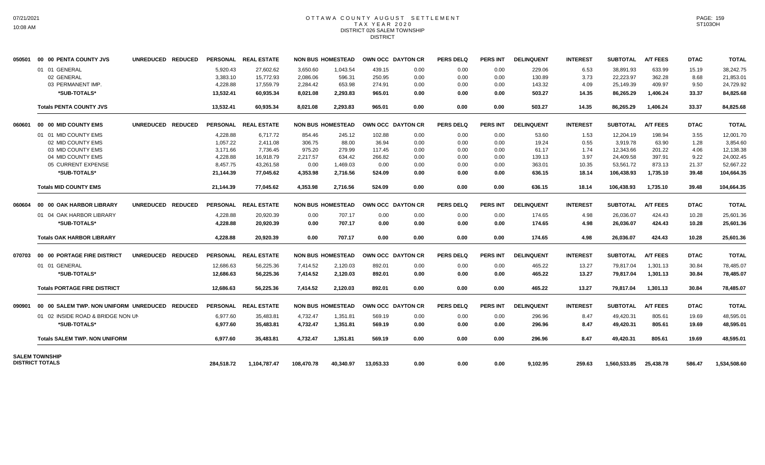### OTTAWA COUNTY AUGUST SETTLEMENT T A X Y E A R 2 0 2 0 DISTRICT 026 SALEM TOWNSHIP DISTRICT

| 050501 | 00 00 PENTA COUNTY JVS                         | UNREDUCED REDUCED                  |            | PERSONAL REAL ESTATE |            | <b>NON BUS HOMESTEAD</b> |           | OWN OCC DAYTON CR | <b>PERS DELO</b> | <b>PERS INT</b> | <b>DELINQUENT</b> | <b>INTEREST</b> | <b>SUBTOTAL</b> | <b>A/T FEES</b> | <b>DTAC</b> | <b>TOTAL</b> |
|--------|------------------------------------------------|------------------------------------|------------|----------------------|------------|--------------------------|-----------|-------------------|------------------|-----------------|-------------------|-----------------|-----------------|-----------------|-------------|--------------|
|        | 01 01 GENERAL                                  |                                    | 5,920.43   | 27.602.62            | 3,650.60   | 1.043.54                 | 439.15    | 0.00              | 0.00             | 0.00            | 229.06            | 6.53            | 38,891.93       | 633.99          | 15.19       | 38,242.75    |
|        | 02 GENERAL                                     |                                    | 3,383.10   | 15,772.93            | 2,086.06   | 596.31                   | 250.95    | 0.00              | 0.00             | 0.00            | 130.89            | 3.73            | 22,223.97       | 362.28          | 8.68        | 21,853.01    |
|        | 03 PERMANENT IMP.                              |                                    | 4,228.88   | 17,559.79            | 2,284.42   | 653.98                   | 274.91    | 0.00              | 0.00             | 0.00            | 143.32            | 4.09            | 25,149.39       | 409.97          | 9.50        | 24,729.92    |
|        | *SUB-TOTALS*                                   |                                    | 13,532.41  | 60.935.34            | 8.021.08   | 2,293.83                 | 965.01    | 0.00              | 0.00             | 0.00            | 503.27            | 14.35           | 86,265.29       | 1,406.24        | 33.37       | 84,825.68    |
|        | <b>Totals PENTA COUNTY JVS</b>                 |                                    | 13,532.41  | 60,935.34            | 8,021.08   | 2,293.83                 | 965.01    | 0.00              | 0.00             | 0.00            | 503.27            | 14.35           | 86,265.29       | 1,406.24        | 33.37       | 84,825.68    |
| 060601 | 00 00 MID COUNTY EMS                           | <b>UNREDUCED</b><br><b>REDUCED</b> |            | PERSONAL REAL ESTATE |            | <b>NON BUS HOMESTEAD</b> |           | OWN OCC DAYTON CR | <b>PERS DELQ</b> | <b>PERS INT</b> | <b>DELINQUENT</b> | <b>INTEREST</b> | <b>SUBTOTAL</b> | <b>A/T FEES</b> | <b>DTAC</b> | <b>TOTAL</b> |
|        | 01 01 MID COUNTY EMS                           |                                    | 4,228.88   | 6,717.72             | 854.46     | 245.12                   | 102.88    | 0.00              | 0.00             | 0.00            | 53.60             | 1.53            | 12,204.19       | 198.94          | 3.55        | 12,001.70    |
|        | 02 MID COUNTY EMS                              |                                    | 1,057.22   | 2.411.08             | 306.75     | 88.00                    | 36.94     | 0.00              | 0.00             | 0.00            | 19.24             | 0.55            | 3.919.78        | 63.90           | 1.28        | 3,854.60     |
|        | 03 MID COUNTY EMS                              |                                    | 3.171.66   | 7,736.45             | 975.20     | 279.99                   | 117.45    | 0.00              | 0.00             | 0.00            | 61.17             | 1.74            | 12,343.66       | 201.22          | 4.06        | 12,138.38    |
|        | 04 MID COUNTY EMS                              |                                    | 4,228.88   | 16,918.79            | 2,217.57   | 634.42                   | 266.82    | 0.00              | 0.00             | 0.00            | 139.13            | 3.97            | 24,409.58       | 397.91          | 9.22        | 24,002.45    |
|        | 05 CURRENT EXPENSE                             |                                    | 8,457.75   | 43,261.58            | 0.00       | 1,469.03                 | 0.00      | 0.00              | 0.00             | 0.00            | 363.01            | 10.35           | 53,561.72       | 873.13          | 21.37       | 52,667.22    |
|        | *SUB-TOTALS*                                   |                                    | 21,144.39  | 77,045.62            | 4,353.98   | 2,716.56                 | 524.09    | 0.00              | 0.00             | 0.00            | 636.15            | 18.14           | 106,438.93      | 1,735.10        | 39.48       | 104,664.35   |
|        | <b>Totals MID COUNTY EMS</b>                   |                                    | 21,144.39  | 77,045.62            | 4,353.98   | 2.716.56                 | 524.09    | 0.00              | 0.00             | 0.00            | 636.15            | 18.14           | 106.438.93      | 1,735.10        | 39.48       | 104,664.35   |
| 060604 | 00 00 OAK HARBOR LIBRARY                       | UNREDUCED REDUCED                  |            | PERSONAL REAL ESTATE |            | <b>NON BUS HOMESTEAD</b> |           | OWN OCC DAYTON CR | <b>PERS DELQ</b> | <b>PERS INT</b> | <b>DELINQUENT</b> | <b>INTEREST</b> | <b>SUBTOTAL</b> | <b>A/T FEES</b> | <b>DTAC</b> | <b>TOTAL</b> |
|        | 01 04 OAK HARBOR LIBRARY                       |                                    | 4,228.88   | 20,920.39            | 0.00       | 707.17                   | 0.00      | 0.00              | 0.00             | 0.00            | 174.65            | 4.98            | 26,036.07       | 424.43          | 10.28       | 25,601.36    |
|        | *SUB-TOTALS*                                   |                                    | 4,228.88   | 20.920.39            | 0.00       | 707.17                   | 0.00      | 0.00              | 0.00             | 0.00            | 174.65            | 4.98            | 26,036.07       | 424.43          | 10.28       | 25,601.36    |
|        | <b>Totals OAK HARBOR LIBRARY</b>               |                                    | 4,228.88   | 20.920.39            | 0.00       | 707.17                   | 0.00      | 0.00              | 0.00             | 0.00            | 174.65            | 4.98            | 26,036.07       | 424.43          | 10.28       | 25,601.36    |
| 070703 | 00 00 PORTAGE FIRE DISTRICT                    | UNREDUCED REDUCED                  |            | PERSONAL REAL ESTATE |            | <b>NON BUS HOMESTEAD</b> |           | OWN OCC DAYTON CR | <b>PERS DELQ</b> | <b>PERS INT</b> | <b>DELINQUENT</b> | <b>INTEREST</b> | <b>SUBTOTAL</b> | <b>A/T FEES</b> | <b>DTAC</b> | <b>TOTAL</b> |
|        | 01 01 GENERAL                                  |                                    | 12,686.63  | 56,225.36            | 7.414.52   | 2,120.03                 | 892.01    | 0.00              | 0.00             | 0.00            | 465.22            | 13.27           | 79,817.04       | 1,301.13        | 30.84       | 78,485.07    |
|        | *SUB-TOTALS*                                   |                                    | 12.686.63  | 56.225.36            | 7.414.52   | 2,120.03                 | 892.01    | 0.00              | 0.00             | 0.00            | 465.22            | 13.27           | 79.817.04       | 1.301.13        | 30.84       | 78,485.07    |
|        | <b>Totals PORTAGE FIRE DISTRICT</b>            |                                    | 12,686.63  | 56,225.36            | 7,414.52   | 2,120.03                 | 892.01    | 0.00              | 0.00             | 0.00            | 465.22            | 13.27           | 79,817.04       | 1,301.13        | 30.84       | 78,485.07    |
| 090901 | 00 00 SALEM TWP. NON UNIFORM UNREDUCED REDUCED |                                    |            | PERSONAL REAL ESTATE |            | <b>NON BUS HOMESTEAD</b> |           | OWN OCC DAYTON CR | <b>PERS DELQ</b> | <b>PERS INT</b> | <b>DELINQUENT</b> | <b>INTEREST</b> | <b>SUBTOTAL</b> | <b>A/T FEES</b> | <b>DTAC</b> | <b>TOTAL</b> |
|        | 01 02 INSIDE ROAD & BRIDGE NON UN              |                                    | 6.977.60   | 35,483.81            | 4,732.47   | 1,351.81                 | 569.19    | 0.00              | 0.00             | 0.00            | 296.96            | 8.47            | 49,420.31       | 805.61          | 19.69       | 48,595.01    |
|        | *SUB-TOTALS*                                   |                                    | 6,977.60   | 35,483.81            | 4,732.47   | 1,351.81                 | 569.19    | 0.00              | 0.00             | 0.00            | 296.96            | 8.47            | 49,420.31       | 805.61          | 19.69       | 48,595.01    |
|        | <b>Totals SALEM TWP, NON UNIFORM</b>           |                                    | 6,977.60   | 35,483.81            | 4,732.47   | 1,351.81                 | 569.19    | 0.00              | 0.00             | 0.00            | 296.96            | 8.47            | 49,420.31       | 805.61          | 19.69       | 48,595.01    |
|        | <b>SALEM TOWNSHIP</b>                          |                                    |            |                      |            |                          |           |                   |                  |                 |                   |                 |                 |                 |             |              |
|        | <b>DISTRICT TOTALS</b>                         |                                    | 284.518.72 | 1,104,787.47         | 108.470.78 | 40.340.97                | 13,053.33 | 0.00              | 0.00             | 0.00            | 9.102.95          | 259.63          | 1,560,533.85    | 25,438.78       | 586.47      | 1,534,508.60 |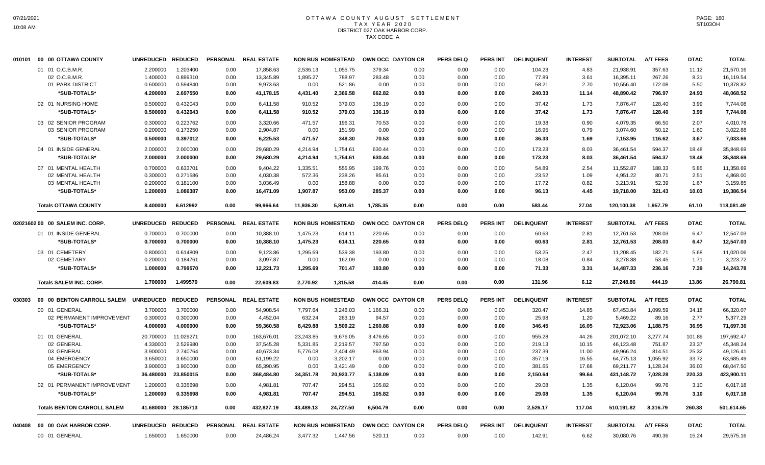### OTTAWA COUNTY AUGUST SETTLEMENT T A X Y E A R 2 0 2 0 DISTRICT 027 OAK HARBOR CORP. TAX CODE A

|        | 010101 00 00 OTTAWA COUNTY         | <b>UNREDUCED</b>  | <b>REDUCED</b> | <b>PERSONAL</b> | <b>REAL ESTATE</b> |           | <b>NON BUS HOMESTEAD</b> |          | OWN OCC DAYTON CR | <b>PERS DELQ</b> | PERS INT        | <b>DELINQUENT</b> | <b>INTEREST</b> | <b>SUBTOTAL</b> | <b>A/T FEES</b> | <b>DTAC</b> | <b>TOTAL</b> |
|--------|------------------------------------|-------------------|----------------|-----------------|--------------------|-----------|--------------------------|----------|-------------------|------------------|-----------------|-------------------|-----------------|-----------------|-----------------|-------------|--------------|
|        | 01 01 O.C.B.M.R.                   | 2.200000          | 1.203400       | 0.00            | 17,858.63          | 2,536.13  | 1,055.75                 | 379.34   | 0.00              | 0.00             | 0.00            | 104.23            | 4.83            | 21,938.91       | 357.63          | 11.12       | 21,570.16    |
|        | 02 O.C.B.M.R.                      | 1.400000          | 0.899310       | 0.00            | 13,345.89          | 1,895.27  | 788.97                   | 283.48   | 0.00              | 0.00             | 0.00            | 77.89             | 3.61            | 16,395.11       | 267.26          | 8.31        | 16.119.54    |
|        | 01 PARK DISTRICT                   | 0.600000          | 0.594840       | 0.00            | 9,973.63           | 0.00      | 521.86                   | 0.00     | 0.00              | 0.00             | 0.00            | 58.21             | 2.70            | 10,556.40       | 172.08          | 5.50        | 10,378.82    |
|        | *SUB-TOTALS*                       | 4.200000          | 2.697550       | 0.00            | 41,178.15          | 4,431.40  | 2,366.58                 | 662.82   | 0.00              | 0.00             | 0.00            | 240.33            | 11.14           | 48,890.42       | 796.97          | 24.93       | 48,068.52    |
|        | 02 01 NURSING HOME                 | 0.500000          | 0.432043       | 0.00            | 6,411.58           | 910.52    | 379.03                   | 136.19   | 0.00              | 0.00             | 0.00            | 37.42             | 1.73            | 7,876.47        | 128.40          | 3.99        | 7,744.08     |
|        | *SUB-TOTALS*                       | 0.500000          | 0.432043       | 0.00            | 6,411.58           | 910.52    | 379.03                   | 136.19   | 0.00              | 0.00             | 0.00            | 37.42             | 1.73            | 7,876.47        | 128.40          | 3.99        | 7,744.08     |
|        | 03 02 SENIOR PROGRAM               | 0.300000          | 0.223762       | 0.00            | 3.320.66           | 471.57    | 196.31                   | 70.53    | 0.00              | 0.00             | 0.00            | 19.38             | 0.90            | 4.079.35        | 66.50           | 2.07        | 4,010.78     |
|        | 03 SENIOR PROGRAM                  | 0.200000          | 0.173250       | 0.00            | 2,904.87           | 0.00      | 151.99                   | 0.00     | 0.00              | 0.00             | 0.00            | 16.95             | 0.79            | 3,074.60        | 50.12           | 1.60        | 3,022.88     |
|        | *SUB-TOTALS*                       | 0.500000          | 0.397012       | 0.00            | 6,225.53           | 471.57    | 348.30                   | 70.53    | 0.00              | 0.00             | 0.00            | 36.33             | 1.69            | 7,153.95        | 116.62          | 3.67        | 7,033.66     |
|        | 04 01 INSIDE GENERAL               | 2.000000          | 2.000000       | 0.00            | 29,680.29          | 4,214.94  | 1,754.61                 | 630.44   | 0.00              | 0.00             | 0.00            | 173.23            | 8.03            | 36,461.54       | 594.37          | 18.48       | 35,848.69    |
|        | *SUB-TOTALS*                       | 2.000000          | 2.000000       | 0.00            | 29,680.29          | 4,214.94  | 1,754.61                 | 630.44   | 0.00              | 0.00             | 0.00            | 173.23            | 8.03            | 36,461.54       | 594.37          | 18.48       | 35,848.69    |
|        | 07 01 MENTAL HEALTH                | 0.700000          | 0.633701       | 0.00            | 9,404.22           | 1,335.51  | 555.95                   | 199.76   | 0.00              | 0.00             | 0.00            | 54.89             | 2.54            | 11,552.87       | 188.33          | 5.85        | 11,358.69    |
|        | 02 MENTAL HEALTH                   | 0.300000          | 0.271586       | 0.00            | 4,030.38           | 572.36    | 238.26                   | 85.61    | 0.00              | 0.00             | 0.00            | 23.52             | 1.09            | 4,951.22        | 80.71           | 2.51        | 4,868.00     |
|        | 03 MENTAL HEALTH                   | 0.200000          | 0.181100       | 0.00            | 3,036.49           | 0.00      | 158.88                   | 0.00     | 0.00              | 0.00             | 0.00            | 17.72             | 0.82            | 3,213.91        | 52.39           | 1.67        | 3,159.85     |
|        | *SUB-TOTALS*                       | 1.200000          | 1.086387       | 0.00            | 16,471.09          | 1,907.87  | 953.09                   | 285.37   | 0.00              | 0.00             | 0.00            | 96.13             | 4.45            | 19,718.00       | 321.43          | 10.03       | 19,386.54    |
|        | <b>Totals OTTAWA COUNTY</b>        | 8.400000          | 6.612992       | 0.00            | 99,966.64          | 11,936.30 | 5,801.61                 | 1,785.35 | 0.00              | 0.00             | 0.00            | 583.44            | 27.04           | 120,100.38      | 1,957.79        | 61.10       | 118,081.49   |
|        | 02021602 00 00 SALEM INC. CORP.    | <b>UNREDUCED</b>  | <b>REDUCED</b> | <b>PERSONAL</b> | <b>REAL ESTATE</b> |           | <b>NON BUS HOMESTEAD</b> |          | OWN OCC DAYTON CR | <b>PERS DELQ</b> | <b>PERS INT</b> | <b>DELINQUENT</b> | <b>INTEREST</b> | <b>SUBTOTAL</b> | <b>A/T FEES</b> | <b>DTAC</b> | <b>TOTAL</b> |
|        | 01 01 INSIDE GENERAL               | 0.700000          | 0.700000       | 0.00            | 10,388.10          | 1,475.23  | 614.11                   | 220.65   | 0.00              | 0.00             | 0.00            | 60.63             | 2.81            | 12,761.53       | 208.03          | 6.47        | 12,547.03    |
|        | *SUB-TOTALS*                       | 0.700000          | 0.700000       | 0.00            | 10,388.10          | 1,475.23  | 614.11                   | 220.65   | 0.00              | 0.00             | 0.00            | 60.63             | 2.81            | 12,761.53       | 208.03          | 6.47        | 12,547.03    |
|        |                                    |                   |                |                 |                    |           |                          |          |                   |                  |                 |                   |                 |                 |                 |             |              |
|        | 03 01 CEMETERY                     | 0.800000          | 0.614809       | 0.00            | 9,123.86           | 1.295.69  | 539.38                   | 193.80   | 0.00              | 0.00             | 0.00            | 53.25             | 2.47            | 11,208.45       | 182.71          | 5.68        | 11,020.06    |
|        | 02 CEMETARY                        | 0.200000          | 0.184761       | 0.00            | 3,097.87           | 0.00      | 162.09                   | 0.00     | 0.00              | 0.00             | 0.00            | 18.08             | 0.84            | 3,278.88        | 53.45           | 1.71        | 3,223.72     |
|        | *SUB-TOTALS*                       | 1.000000          | 0.799570       | 0.00            | 12,221.73          | 1,295.69  | 701.47                   | 193.80   | 0.00              | 0.00             | 0.00            | 71.33             | 3.31            | 14,487.33       | 236.16          | 7.39        | 14,243.78    |
|        | <b>Totals SALEM INC. CORP.</b>     | 1.700000          | 1.499570       | 0.00            | 22,609.83          | 2.770.92  | 1,315.58                 | 414.45   | 0.00              | 0.00             | 0.00            | 131.96            | 6.12            | 27,248.86       | 444.19          | 13.86       | 26,790.81    |
| 030303 | 00 00 BENTON CARROLL SALEM         | <b>UNREDUCED</b>  | <b>REDUCED</b> | <b>PERSONAL</b> | <b>REAL ESTATE</b> |           | <b>NON BUS HOMESTEAD</b> |          | OWN OCC DAYTON CR | <b>PERS DELQ</b> | <b>PERS INT</b> | <b>DELINQUENT</b> | <b>INTEREST</b> | <b>SUBTOTAL</b> | <b>A/T FEES</b> | <b>DTAC</b> | <b>TOTAL</b> |
|        | 00 01 GENERAL                      | 3.700000          | 3.700000       | 0.00            | 54,908.54          | 7,797.64  | 3,246.03                 | 1,166.31 | 0.00              | 0.00             | 0.00            | 320.47            | 14.85           | 67,453.84       | 1,099.59        | 34.18       | 66,320.07    |
|        | 02 PERMANENT IMPROVEMENT           | 0.300000          | 0.300000       | 0.00            | 4,452.04           | 632.24    | 263.19                   | 94.57    | 0.00              | 0.00             | 0.00            | 25.98             | 1.20            | 5,469.22        | 89.16           | 2.77        | 5,377.29     |
|        | *SUB-TOTALS*                       | 4.000000          | 4.000000       | 0.00            | 59,360.58          | 8,429.88  | 3,509.22                 | 1,260.88 | 0.00              | 0.00             | 0.00            | 346.45            | 16.05           | 72,923.06       | 1,188.75        | 36.95       | 71,697.36    |
|        | 01 01 GENERAL                      | 20.700000         | 11.029271      | 0.00            | 163,676.01         | 23,243.85 | 9,676.05                 | 3,476.65 | 0.00              | 0.00             | 0.00            | 955.28            | 44.26           | 201,072.10      | 3,277.74        | 101.89      | 197,692.47   |
|        | 02 GENERAL                         | 4.330000          | 2.529980       | 0.00            | 37,545.28          | 5,331.85  | 2,219.57                 | 797.50   | 0.00              | 0.00             | 0.00            | 219.13            | 10.15           | 46,123.48       | 751.87          | 23.37       | 45,348.24    |
|        | 03 GENERAL                         | 3.900000          | 2.740764       | 0.00            | 40.673.34          | 5,776.08  | 2,404.49                 | 863.94   | 0.00              | 0.00             | 0.00            | 237.39            | 11.00           | 49,966.24       | 814.51          | 25.32       | 49,126.41    |
|        | 04 EMERGENCY                       | 3.650000          | 3.650000       | 0.00            | 61,199.22          | 0.00      | 3,202.17                 | 0.00     | 0.00              | 0.00             | 0.00            | 357.19            | 16.55           | 64,775.13       | 1,055.92        | 33.72       | 63,685.49    |
|        | 05 EMERGENCY                       | 3.900000          | 3.900000       | 0.00            | 65,390.95          | 0.00      | 3,421.49                 | 0.00     | 0.00              | 0.00             | 0.00            | 381.65            | 17.68           | 69,211.77       | 1,128.24        | 36.03       | 68,047.50    |
|        | *SUB-TOTALS*                       | 36.480000         | 23.850015      | 0.00            | 368,484.80         | 34,351.78 | 20,923.77                | 5,138.09 | 0.00              | 0.00             | 0.00            | 2,150.64          | 99.64           | 431,148.72      | 7,028.28        | 220.33      | 423,900.11   |
|        | 02 01 PERMANENT IMPROVEMENT        | 1.200000          | 0.335698       | 0.00            | 4,981.81           | 707.47    | 294.51                   | 105.82   | 0.00              | 0.00             | 0.00            | 29.08             | 1.35            | 6,120.04        | 99.76           | 3.10        | 6,017.18     |
|        | *SUB-TOTALS*                       | 1.200000          | 0.335698       | 0.00            | 4,981.81           | 707.47    | 294.51                   | 105.82   | 0.00              | 0.00             | 0.00            | 29.08             | 1.35            | 6,120.04        | 99.76           | 3.10        | 6,017.18     |
|        | <b>Totals BENTON CARROLL SALEM</b> | 41.680000         | 28.185713      | 0.00            | 432,827.19         | 43,489.13 | 24,727.50                | 6,504.79 | 0.00              | 0.00             | 0.00            | 2,526.17          | 117.04          | 510,191.82      | 8,316.79        | 260.38      | 501,614.65   |
| 040408 | 00 00 OAK HARBOR CORP.             | UNREDUCED REDUCED |                | <b>PERSONAL</b> | <b>REAL ESTATE</b> |           | <b>NON BUS HOMESTEAD</b> |          | OWN OCC DAYTON CR | <b>PERS DELQ</b> | <b>PERS INT</b> | <b>DELINQUENT</b> | <b>INTEREST</b> | <b>SUBTOTAL</b> | <b>A/T FEES</b> | <b>DTAC</b> | <b>TOTAL</b> |
|        | 00 01 GENERAL                      | 1.650000          | 1.650000       | 0.00            | 24,486.24          | 3,477.32  | 1,447.56                 | 520.11   | 0.00              | 0.00             | 0.00            | 142.91            | 6.62            | 30,080.76       | 490.36          | 15.24       | 29,575.16    |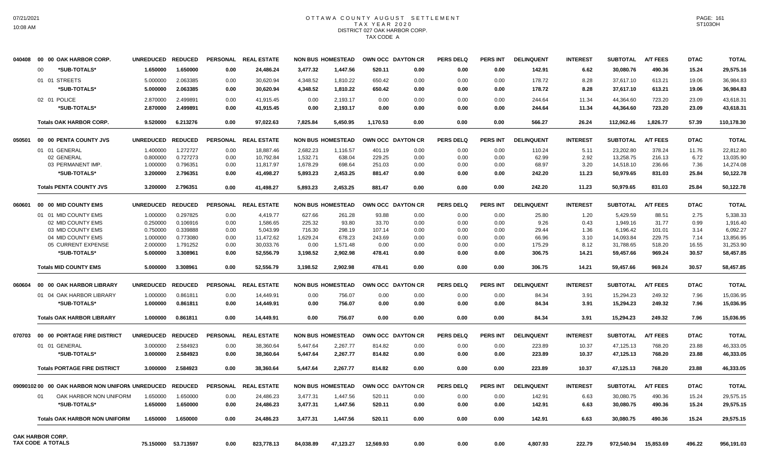#### OTTAWA COUNTY AUGUST SETTLEMENT T A X Y E A R 2 0 2 0 DISTRICT 027 OAK HARBOR CORP. TAX CODE A

| 040408 | 00 00 OAK HARBOR CORP.                         | <b>UNREDUCED</b> | <b>REDUCED</b>      |                 | PERSONAL REAL ESTATE |           | <b>NON BUS HOMESTEAD</b> | OWN OCC DAYTON CR |      | <b>PERS DELQ</b> | <b>PERS INT</b> | <b>DELINQUENT</b> | <b>INTEREST</b> | <b>SUBTOTAL</b> | <b>A/T FEES</b> | <b>DTAC</b> | <b>TOTAL</b> |
|--------|------------------------------------------------|------------------|---------------------|-----------------|----------------------|-----------|--------------------------|-------------------|------|------------------|-----------------|-------------------|-----------------|-----------------|-----------------|-------------|--------------|
|        | *SUB-TOTALS*<br>00                             | 1.650000         | 1.650000            | 0.00            | 24.486.24            | 3.477.32  | 1.447.56                 | 520.11            | 0.00 | 0.00             | 0.00            | 142.91            | 6.62            | 30.080.76       | 490.36          | 15.24       | 29,575.16    |
|        | 01 01 STREETS                                  | 5.000000         | 2.063385            | 0.00            | 30.620.94            | 4.348.52  | 1,810.22                 | 650.42            | 0.00 | 0.00             | 0.00            | 178.72            | 8.28            | 37.617.10       | 613.21          | 19.06       | 36.984.83    |
|        | *SUB-TOTALS*                                   | 5.000000         | 2.063385            | 0.00            | 30,620.94            | 4,348.52  | 1,810.22                 | 650.42            | 0.00 | 0.00             | 0.00            | 178.72            | 8.28            | 37,617.10       | 613.21          | 19.06       | 36,984.83    |
|        |                                                |                  |                     |                 |                      |           |                          |                   |      |                  |                 |                   |                 |                 |                 |             |              |
|        | 02 01 POLICE                                   | 2.870000         | 2.499891            | 0.00            | 41,915.45            | 0.00      | 2,193.17                 | 0.00              | 0.00 | 0.00             | 0.00            | 244.64            | 11.34           | 44,364.60       | 723.20          | 23.09       | 43,618.31    |
|        | *SUB-TOTALS*                                   | 2.870000         | 2.499891            | 0.00            | 41,915.45            | 0.00      | 2,193.17                 | 0.00              | 0.00 | 0.00             | 0.00            | 244.64            | 11.34           | 44,364.60       | 723.20          | 23.09       | 43,618.31    |
|        | <b>Totals OAK HARBOR CORP.</b>                 | 9.520000         | 6.213276            | 0.00            | 97.022.63            | 7.825.84  | 5.450.95                 | 1.170.53          | 0.00 | 0.00             | 0.00            | 566.27            | 26.24           | 112.062.46      | 1.826.77        | 57.39       | 110,178.30   |
| 050501 | 00 00 PENTA COUNTY JVS                         | <b>UNREDUCED</b> | <b>REDUCED</b>      | <b>PERSONAL</b> | <b>REAL ESTATE</b>   |           | <b>NON BUS HOMESTEAD</b> | OWN OCC DAYTON CR |      | <b>PERS DELQ</b> | <b>PERS INT</b> | <b>DELINQUENT</b> | <b>INTEREST</b> | <b>SUBTOTAL</b> | <b>A/T FEES</b> | <b>DTAC</b> | <b>TOTAL</b> |
|        | 01 01 GENERAL                                  | 1.400000         | 1.272727            | 0.00            | 18,887.46            | 2,682.23  | 1,116.57                 | 401.19            | 0.00 | 0.00             | 0.00            | 110.24            | 5.11            | 23,202.80       | 378.24          | 11.76       | 22,812.80    |
|        | 02 GENERAL                                     | 0.800000         | 0.727273            | 0.00            | 10,792.84            | 1,532.71  | 638.04                   | 229.25            | 0.00 | 0.00             | 0.00            | 62.99             | 2.92            | 13,258.75       | 216.13          | 6.72        | 13,035.90    |
|        | 03 PERMANENT IMP.                              | 1.000000         | 0.796351            | 0.00            | 11,817.97            | 1,678.29  | 698.64                   | 251.03            | 0.00 | 0.00             | 0.00            | 68.97             | 3.20            | 14,518.10       | 236.66          | 7.36        | 14,274.08    |
|        | *SUB-TOTALS*                                   | 3.200000         | 2.796351            | 0.00            | 41,498.27            | 5,893.23  | 2,453.25                 | 881.47            | 0.00 | 0.00             | 0.00            | 242.20            | 11.23           | 50,979.65       | 831.03          | 25.84       | 50,122.78    |
|        |                                                |                  |                     |                 |                      |           |                          |                   |      |                  |                 |                   |                 |                 |                 |             |              |
|        | <b>Totals PENTA COUNTY JVS</b>                 | 3.200000         | 2.796351            | 0.00            | 41,498.27            | 5,893.23  | 2,453.25                 | 881.47            | 0.00 | 0.00             | 0.00            | 242.20            | 11.23           | 50,979.65       | 831.03          | 25.84       | 50,122.78    |
| 060601 | 00 00 MID COUNTY EMS                           | <b>UNREDUCED</b> | <b>REDUCED</b>      | <b>PERSONAL</b> | <b>REAL ESTATE</b>   |           | <b>NON BUS HOMESTEAD</b> | OWN OCC DAYTON CR |      | <b>PERS DELQ</b> | <b>PERS INT</b> | <b>DELINQUENT</b> | <b>INTEREST</b> | <b>SUBTOTAL</b> | <b>A/T FEES</b> | <b>DTAC</b> | <b>TOTAL</b> |
|        | 01 01 MID COUNTY EMS                           | 1.000000         | 0.297825            | 0.00            | 4,419.77             | 627.66    | 261.28                   | 93.88             | 0.00 | 0.00             | 0.00            | 25.80             | 1.20            | 5,429.59        | 88.51           | 2.75        | 5,338.33     |
|        | 02 MID COUNTY EMS                              | 0.250000         | 0.106916            | 0.00            | 1.586.65             | 225.32    | 93.80                    | 33.70             | 0.00 | 0.00             | 0.00            | 9.26              | 0.43            | 1.949.16        | 31.77           | 0.99        | 1,916.40     |
|        | 03 MID COUNTY EMS                              | 0.750000         | 0.339888            | 0.00            | 5,043.99             | 716.30    | 298.19                   | 107.14            | 0.00 | 0.00             | 0.00            | 29.44             | 1.36            | 6,196.42        | 101.01          | 3.14        | 6,092.27     |
|        | 04 MID COUNTY EMS                              | 1.000000         | 0.773080            | 0.00            | 11,472.62            | 1,629.24  | 678.23                   | 243.69            | 0.00 | 0.00             | 0.00            | 66.96             | 3.10            | 14,093.84       | 229.75          | 7.14        | 13,856.95    |
|        | 05 CURRENT EXPENSE                             | 2.000000         | 1.791252            | 0.00            | 30,033.76            | 0.00      | 1,571.48                 | 0.00              | 0.00 | 0.00             | 0.00            | 175.29            | 8.12            | 31,788.65       | 518.20          | 16.55       | 31,253.90    |
|        | *SUB-TOTALS*                                   | 5.000000         | 3.308961            | 0.00            | 52,556.79            | 3,198.52  | 2,902.98                 | 478.41            | 0.00 | 0.00             | 0.00            | 306.75            | 14.21           | 59,457.66       | 969.24          | 30.57       | 58,457.85    |
|        | <b>Totals MID COUNTY EMS</b>                   | 5.000000         | 3.308961            | 0.00            | 52,556.79            | 3,198.52  | 2,902.98                 | 478.41            | 0.00 | 0.00             | 0.00            | 306.75            | 14.21           | 59,457.66       | 969.24          | 30.57       | 58,457.85    |
| 060604 | 00 00 OAK HARBOR LIBRARY                       | <b>UNREDUCED</b> | <b>REDUCED</b>      | <b>PERSONAL</b> | <b>REAL ESTATE</b>   |           | <b>NON BUS HOMESTEAD</b> | OWN OCC DAYTON CR |      | PERS DELO        | PERS INT        | <b>DELINQUENT</b> | <b>INTEREST</b> | <b>SUBTOTAL</b> | <b>A/T FEES</b> | <b>DTAC</b> | <b>TOTAL</b> |
|        | 01 04 OAK HARBOR LIBRARY                       | 1.000000         | 0.861811            | 0.00            | 14,449.91            | 0.00      | 756.07                   | 0.00              | 0.00 | 0.00             | 0.00            | 84.34             | 3.91            | 15,294.23       | 249.32          | 7.96        | 15,036.95    |
|        | *SUB-TOTALS*                                   | 1.000000         | 0.861811            | 0.00            | 14,449.91            | 0.00      | 756.07                   | 0.00              | 0.00 | 0.00             | 0.00            | 84.34             | 3.91            | 15,294.23       | 249.32          | 7.96        | 15,036.95    |
|        |                                                |                  |                     |                 |                      |           |                          |                   |      |                  |                 |                   |                 |                 |                 |             |              |
|        | <b>Totals OAK HARBOR LIBRARY</b>               | 1.000000         | 0.861811            | 0.00            | 14,449.91            | 0.00      | 756.07                   | 0.00              | 0.00 | 0.00             | 0.00            | 84.34             | 3.91            | 15,294.23       | 249.32          | 7.96        | 15,036.95    |
| 070703 | 00 00 PORTAGE FIRE DISTRICT                    | <b>UNREDUCED</b> | <b>REDUCED</b>      |                 | PERSONAL REAL ESTATE |           | <b>NON BUS HOMESTEAD</b> | OWN OCC DAYTON CR |      | <b>PERS DELQ</b> | <b>PERS INT</b> | <b>DELINQUENT</b> | <b>INTEREST</b> | <b>SUBTOTAL</b> | <b>A/T FEES</b> | <b>DTAC</b> | <b>TOTAL</b> |
|        | 01 01 GENERAL                                  | 3.000000         | 2.584923            | 0.00            | 38,360.64            | 5,447.64  | 2,267.77                 | 814.82            | 0.00 | 0.00             | 0.00            | 223.89            | 10.37           | 47,125.13       | 768.20          | 23.88       | 46,333.05    |
|        | *SUB-TOTALS*                                   | 3.000000         | 2.584923            | 0.00            | 38,360.64            | 5,447.64  | 2,267.77                 | 814.82            | 0.00 | 0.00             | 0.00            | 223.89            | 10.37           | 47,125.13       | 768.20          | 23.88       | 46,333.05    |
|        | <b>Totals PORTAGE FIRE DISTRICT</b>            | 3.000000         | 2.584923            | 0.00            | 38,360.64            | 5,447.64  | 2,267.77                 | 814.82            | 0.00 | 0.00             | 0.00            | 223.89            | 10.37           | 47,125.13       | 768.20          | 23.88       | 46,333.05    |
|        | 0909010200 00 OAK HARBOR NON UNIFORN UNREDUCED |                  | <b>REDUCED</b>      | <b>PERSONAL</b> | <b>REAL ESTATE</b>   |           | <b>NON BUS HOMESTEAD</b> | OWN OCC DAYTON CR |      | <b>PERS DELQ</b> | <b>PERS INT</b> | <b>DELINQUENT</b> | <b>INTEREST</b> | <b>SUBTOTAL</b> | <b>A/T FEES</b> | <b>DTAC</b> | <b>TOTAL</b> |
|        |                                                |                  |                     |                 |                      |           |                          |                   |      |                  |                 |                   |                 |                 |                 |             |              |
|        | OAK HARBOR NON UNIFORM<br>01                   | 1.650000         | 1.650000            | 0.00            | 24,486.23            | 3,477.31  | 1,447.56                 | 520.11            | 0.00 | 0.00             | 0.00            | 142.91            | 6.63            | 30,080.75       | 490.36          | 15.24       | 29,575.15    |
|        | *SUB-TOTALS*                                   | 1.650000         | 1.650000            | 0.00            | 24,486.23            | 3,477.31  | 1,447.56                 | 520.11            | 0.00 | 0.00             | 0.00            | 142.91            | 6.63            | 30,080.75       | 490.36          | 15.24       | 29.575.15    |
|        | <b>Totals OAK HARBOR NON UNIFORM</b>           | 1.650000         | 1.650000            | 0.00            | 24,486.23            | 3.477.31  | 1.447.56                 | 520.11            | 0.00 | 0.00             | 0.00            | 142.91            | 6.63            | 30,080.75       | 490.36          | 15.24       | 29,575.15    |
|        | <b>OAK HARBOR CORP.</b>                        |                  |                     |                 |                      |           |                          |                   |      |                  |                 |                   |                 |                 |                 |             |              |
|        | <b>TAX CODE A TOTALS</b>                       |                  | 75.150000 53.713597 | 0.00            | 823,778.13           | 84,038.89 | 47,123.27                | 12,569.93         | 0.00 | 0.00             | 0.00            | 4,807.93          | 222.79          | 972,540.94      | 15,853.69       | 496.22      | 956,191.03   |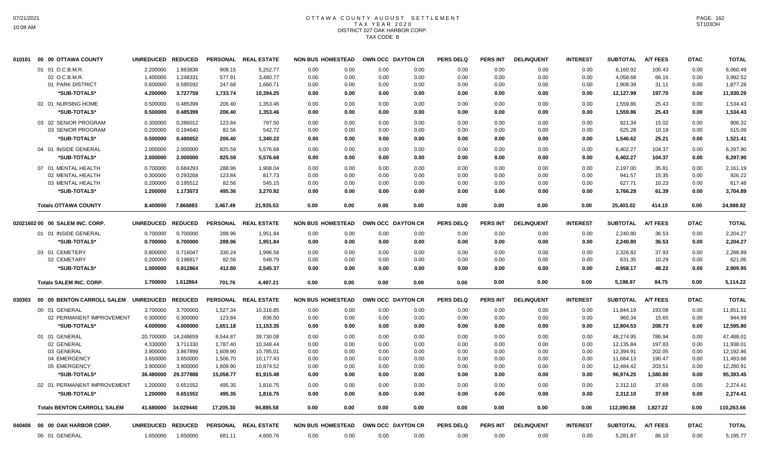### OTTAWA COUNTY AUGUST SETTLEMENT T A X Y E A R 2 0 2 0 DISTRICT 027 OAK HARBOR CORP. TAX CODE B

|        | 010101 00 00 OTTAWA COUNTY         | <b>UNREDUCED</b>  | <b>REDUCED</b> | <b>PERSONAL</b> | <b>REAL ESTATE</b>   | <b>NON BUS HOMESTEAD</b> |      |      | OWN OCC DAYTON CR | <b>PERS DELQ</b> | <b>PERS INT</b> | <b>DELINQUENT</b> | <b>INTEREST</b> | <b>SUBTOTAL</b> | <b>A/T FEES</b> | <b>DTAC</b> | <b>TOTAL</b> |
|--------|------------------------------------|-------------------|----------------|-----------------|----------------------|--------------------------|------|------|-------------------|------------------|-----------------|-------------------|-----------------|-----------------|-----------------|-------------|--------------|
|        | 01 01 O.C.B.M.R.                   | 2.200000          | 1.883836       | 908.15          | 5,252.77             | 0.00                     | 0.00 | 0.00 | 0.00              | 0.00             | 0.00            | 0.00              | 0.00            | 6,160.92        | 100.43          | 0.00        | 6,060.49     |
|        | 02 O.C.B.M.R.                      | 1.400000          | 1.248331       | 577.91          | 3,480.77             | 0.00                     | 0.00 | 0.00 | 0.00              | 0.00             | 0.00            | 0.00              | 0.00            | 4,058.68        | 66.16           | 0.00        | 3,992.52     |
|        | 01 PARK DISTRICT                   | 0.600000          | 0.595592       | 247.68          | 1,660.71             | 0.00                     | 0.00 | 0.00 | 0.00              | 0.00             | 0.00            | 0.00              | 0.00            | 1,908.39        | 31.11           | 0.00        | 1,877.28     |
|        | *SUB-TOTALS*                       | 4.200000          | 3.727759       | 1,733.74        | 10,394.25            | 0.00                     | 0.00 | 0.00 | 0.00              | 0.00             | 0.00            | 0.00              | 0.00            | 12,127.99       | 197.70          | 0.00        | 11,930.29    |
|        | 02 01 NURSING HOME                 | 0.500000          | 0.485399       | 206.40          | 1,353.46             | 0.00                     | 0.00 | 0.00 | 0.00              | 0.00             | 0.00            | 0.00              | 0.00            | 1,559.86        | 25.43           | 0.00        | 1,534.43     |
|        | *SUB-TOTALS*                       | 0.500000          | 0.485399       | 206.40          | 1,353.46             | 0.00                     | 0.00 | 0.00 | 0.00              | 0.00             | 0.00            | 0.00              | 0.00            | 1,559.86        | 25.43           | 0.00        | 1,534.43     |
|        | 03 02 SENIOR PROGRAM               | 0.300000          | 0.286012       | 123.84          | 797.50               | 0.00                     | 0.00 | 0.00 | 0.00              | 0.00             | 0.00            | 0.00              | 0.00            | 921.34          | 15.02           | 0.00        | 906.32       |
|        | 03 SENIOR PROGRAM                  | 0.200000          | 0.194640       | 82.56           | 542.72               | 0.00                     | 0.00 | 0.00 | 0.00              | 0.00             | 0.00            | 0.00              | 0.00            | 625.28          | 10.19           | 0.00        | 615.09       |
|        | *SUB-TOTALS*                       | 0.500000          | 0.480652       | 206.40          | 1,340.22             | 0.00                     | 0.00 | 0.00 | 0.00              | 0.00             | 0.00            | 0.00              | 0.00            | 1,546.62        | 25.21           | 0.00        | 1,521.41     |
|        | 04 01 INSIDE GENERAL               | 2.000000          | 2.000000       | 825.59          | 5,576.68             | 0.00                     | 0.00 | 0.00 | 0.00              | 0.00             | 0.00            | 0.00              | 0.00            | 6,402.27        | 104.37          | 0.00        | 6,297.90     |
|        | *SUB-TOTALS*                       | 2.000000          | 2.000000       | 825.59          | 5,576.68             | 0.00                     | 0.00 | 0.00 | 0.00              | 0.00             | 0.00            | 0.00              | 0.00            | 6,402.27        | 104.37          | 0.00        | 6,297.90     |
|        | 07 01 MENTAL HEALTH                | 0.700000          | 0.684293       | 288.96          | 1,908.04             | 0.00                     | 0.00 | 0.00 | 0.00              | 0.00             | 0.00            | 0.00              | 0.00            | 2.197.00        | 35.81           | 0.00        | 2,161.19     |
|        | 02 MENTAL HEALTH                   | 0.300000          | 0.293268       | 123.84          | 817.73               | 0.00                     | 0.00 | 0.00 | 0.00              | 0.00             | 0.00            | 0.00              | 0.00            | 941.57          | 15.35           | 0.00        | 926.22       |
|        | 03 MENTAL HEALTH                   | 0.200000          | 0.195512       | 82.56           | 545.15               | 0.00                     | 0.00 | 0.00 | 0.00              | 0.00             | 0.00            | 0.00              | 0.00            | 627.71          | 10.23           | 0.00        | 617.48       |
|        | *SUB-TOTALS*                       | 1.200000          | 1.173073       | 495.36          | 3,270.92             | 0.00                     | 0.00 | 0.00 | 0.00              | 0.00             | 0.00            | 0.00              | 0.00            | 3,766.28        | 61.39           | 0.00        | 3,704.89     |
|        | <b>Totals OTTAWA COUNTY</b>        | 8.400000          | 7.866883       | 3,467.49        | 21,935.53            | 0.00                     | 0.00 | 0.00 | 0.00              | 0.00             | 0.00            | 0.00              | 0.00            | 25,403.02       | 414.10          | 0.00        | 24,988.92    |
|        | 02021602 00 00 SALEM INC. CORP.    | <b>UNREDUCED</b>  | <b>REDUCED</b> | <b>PERSONAL</b> | <b>REAL ESTATE</b>   | <b>NON BUS HOMESTEAD</b> |      |      | OWN OCC DAYTON CR | <b>PERS DELQ</b> | <b>PERS INT</b> | <b>DELINQUENT</b> | <b>INTEREST</b> | <b>SUBTOTAL</b> | <b>A/T FEES</b> | <b>DTAC</b> | <b>TOTAL</b> |
|        | 01 01 INSIDE GENERAL               | 0.700000          | 0.700000       | 288.96          | 1,951.84             | 0.00                     | 0.00 | 0.00 | 0.00              | 0.00             | 0.00            | 0.00              | 0.00            | 2,240.80        | 36.53           | 0.00        | 2,204.27     |
|        | *SUB-TOTALS*                       | 0.700000          | 0.700000       | 288.96          | 1,951.84             | 0.00                     | 0.00 | 0.00 | 0.00              | 0.00             | 0.00            | 0.00              | 0.00            | 2,240.80        | 36.53           | 0.00        | 2,204.27     |
|        |                                    |                   |                |                 |                      |                          |      |      |                   |                  |                 |                   |                 |                 |                 |             |              |
|        | 03 01 CEMETERY                     | 0.800000          | 0.716047       | 330.24          | 1,996.58             | 0.00                     | 0.00 | 0.00 | 0.00              | 0.00             | 0.00            | 0.00              | 0.00            | 2,326.82        | 37.93           | 0.00        | 2,288.89     |
|        | 02 CEMETARY                        | 0.200000          | 0.196817       | 82.56           | 548.79               | 0.00                     | 0.00 | 0.00 | 0.00              | 0.00             | 0.00            | 0.00              | 0.00            | 631.35          | 10.29           | 0.00        | 621.06       |
|        | *SUB-TOTALS*                       | 1.000000          | 0.912864       | 412.80          | 2,545.37             | 0.00                     | 0.00 | 0.00 | 0.00              | 0.00             | 0.00            | 0.00              | 0.00            | 2,958.17        | 48.22           | 0.00        | 2,909.95     |
|        | <b>Totals SALEM INC. CORP.</b>     | 1.700000          | 1.612864       | 701.76          | 4,497.21             | 0.00                     | 0.00 | 0.00 | 0.00              | 0.00             | 0.00            | 0.00              | 0.00            | 5,198.97        | 84.75           | 0.00        | 5,114.22     |
| 030303 | 00 00 BENTON CARROLL SALEM         | UNREDUCED REDUCED |                |                 | PERSONAL REAL ESTATE | <b>NON BUS HOMESTEAD</b> |      |      | OWN OCC DAYTON CR | <b>PERS DELQ</b> | <b>PERS INT</b> | <b>DELINQUENT</b> | <b>INTEREST</b> | <b>SUBTOTAL</b> | <b>A/T FEES</b> | <b>DTAC</b> | <b>TOTAL</b> |
|        | 00 01 GENERAL                      | 3.700000          | 3.700000       | 1,527.34        | 10,316.85            | 0.00                     | 0.00 | 0.00 | 0.00              | 0.00             | 0.00            | 0.00              | 0.00            | 11,844.19       | 193.08          | 0.00        | 11,651.11    |
|        | 02 PERMANENT IMPROVEMENT           | 0.300000          | 0.300000       | 123.84          | 836.50               | 0.00                     | 0.00 | 0.00 | 0.00              | 0.00             | 0.00            | 0.00              | 0.00            | 960.34          | 15.65           | 0.00        | 944.69       |
|        | *SUB-TOTALS*                       | 4.000000          | 4.000000       | 1,651.18        | 11,153.35            | 0.00                     | 0.00 | 0.00 | 0.00              | 0.00             | 0.00            | 0.00              | 0.00            | 12,804.53       | 208.73          | 0.00        | 12,595.80    |
|        | 01 01 GENERAL                      | 20.700000         | 14.248659      | 8,544.87        | 39,730.08            | 0.00                     | 0.00 | 0.00 | 0.00              | 0.00             | 0.00            | 0.00              | 0.00            | 48,274.95       | 786.94          | 0.00        | 47,488.01    |
|        | 02 GENERAL                         | 4.330000          | 3.711330       | 1,787.40        | 10,348.44            | 0.00                     | 0.00 | 0.00 | 0.00              | 0.00             | 0.00            | 0.00              | 0.00            | 12,135.84       | 197.83          | 0.00        | 11,938.01    |
|        | 03 GENERAL                         | 3.900000          | 3.867899       | 1,609.90        | 10,785.01            | 0.00                     | 0.00 | 0.00 | 0.00              | 0.00             | 0.00            | 0.00              | 0.00            | 12,394.91       | 202.05          | 0.00        | 12,192.86    |
|        | 04 EMERGENCY                       | 3.650000          | 3.650000       | 1,506.70        | 10,177.43            | 0.00                     | 0.00 | 0.00 | 0.00              | 0.00             | 0.00            | 0.00              | 0.00            | 11,684.13       | 190.47          | 0.00        | 11,493.66    |
|        | 05 EMERGENCY                       | 3.900000          | 3.900000       | 1,609.90        | 10,874.52            | 0.00                     | 0.00 | 0.00 | 0.00              | 0.00             | 0.00            | 0.00              | 0.00            | 12,484.42       | 203.51          | 0.00        | 12,280.91    |
|        | *SUB-TOTALS*                       | 36.480000         | 29.377888      | 15,058.77       | 81,915.48            | 0.00                     | 0.00 | 0.00 | 0.00              | 0.00             | 0.00            | 0.00              | 0.00            | 96,974.25       | 1,580.80        | 0.00        | 95,393.45    |
|        | 02 01 PERMANENT IMPROVEMENT        | 1.200000          | 0.651552       | 495.35          | 1,816.75             | 0.00                     | 0.00 | 0.00 | 0.00              | 0.00             | 0.00            | 0.00              | 0.00            | 2,312.10        | 37.69           | 0.00        | 2,274.41     |
|        | *SUB-TOTALS*                       | 1.200000          | 0.651552       | 495.35          | 1,816.75             | 0.00                     | 0.00 | 0.00 | 0.00              | 0.00             | 0.00            | 0.00              | 0.00            | 2,312.10        | 37.69           | 0.00        | 2,274.41     |
|        | <b>Totals BENTON CARROLL SALEM</b> | 41.680000         | 34.029440      | 17,205.30       | 94,885.58            | 0.00                     | 0.00 | 0.00 | 0.00              | 0.00             | 0.00            | 0.00              | 0.00            | 112,090.88      | 1,827.22        | 0.00        | 110,263.66   |
| 040408 | 00 00 OAK HARBOR CORP.             | <b>UNREDUCED</b>  | <b>REDUCED</b> | <b>PERSONAL</b> | <b>REAL ESTATE</b>   | <b>NON BUS HOMESTEAD</b> |      |      | OWN OCC DAYTON CR | <b>PERS DELQ</b> | PERS INT        | <b>DELINQUENT</b> | <b>INTEREST</b> | <b>SUBTOTAL</b> | <b>A/T FEES</b> | <b>DTAC</b> | <b>TOTAL</b> |
|        | 00 01 GENERAL                      | 1.650000          | 1.650000       | 681.11          | 4,600.76             | 0.00                     | 0.00 | 0.00 | 0.00              | 0.00             | 0.00            | 0.00              | 0.00            | 5,281.87        | 86.10           | 0.00        | 5,195.77     |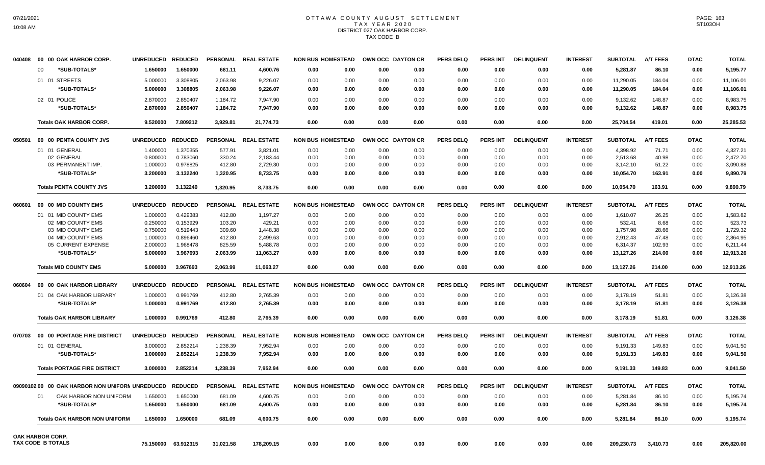#### OTTAWA COUNTY AUGUST SETTLEMENT T A X Y E A R 2 0 2 0 DISTRICT 027 OAK HARBOR CORP. TAX CODE B

| 040408 | 00 00 OAK HARBOR CORP.                         | <b>UNREDUCED</b> | <b>REDUCED</b> |                 | PERSONAL REAL ESTATE |      | <b>NON BUS HOMESTEAD</b> |      | OWN OCC DAYTON CR | <b>PERS DELQ</b> | <b>PERS INT</b> | <b>DELINQUENT</b> | <b>INTEREST</b> | <b>SUBTOTAL</b> | <b>A/T FEES</b> | <b>DTAC</b> | <b>TOTAL</b> |
|--------|------------------------------------------------|------------------|----------------|-----------------|----------------------|------|--------------------------|------|-------------------|------------------|-----------------|-------------------|-----------------|-----------------|-----------------|-------------|--------------|
|        | 00<br>*SUB-TOTALS*                             | 1.650000         | 1.650000       | 681.11          | 4,600.76             | 0.00 | 0.00                     | 0.00 | 0.00              | 0.00             | 0.00            | 0.00              | 0.00            | 5,281.87        | 86.10           | 0.00        | 5,195.77     |
|        | 01 01 STREETS                                  | 5.000000         | 3.308805       | 2,063.98        | 9,226.07             | 0.00 | 0.00                     | 0.00 | 0.00              | 0.00             | 0.00            | 0.00              | 0.00            | 11,290.05       | 184.04          | 0.00        | 11,106.01    |
|        | *SUB-TOTALS*                                   | 5.000000         | 3.308805       | 2,063.98        | 9,226.07             | 0.00 | 0.00                     | 0.00 | 0.00              | 0.00             | 0.00            | 0.00              | 0.00            | 11,290.05       | 184.04          | 0.00        | 11,106.01    |
|        | 02 01 POLICE                                   | 2.870000         | 2.850407       | 1,184.72        | 7,947.90             | 0.00 | 0.00                     | 0.00 | 0.00              | 0.00             | 0.00            | 0.00              | 0.00            | 9,132.62        | 148.87          | 0.00        | 8,983.75     |
|        | *SUB-TOTALS*                                   | 2.870000         | 2.850407       | 1,184.72        | 7,947.90             | 0.00 | 0.00                     | 0.00 | 0.00              | 0.00             | 0.00            | 0.00              | 0.00            | 9,132.62        | 148.87          | 0.00        | 8,983.75     |
|        |                                                |                  |                |                 |                      |      |                          |      |                   |                  |                 |                   |                 |                 |                 |             |              |
|        | <b>Totals OAK HARBOR CORP.</b>                 | 9.520000         | 7.809212       | 3,929.81        | 21,774.73            | 0.00 | 0.00                     | 0.00 | 0.00              | 0.00             | 0.00            | 0.00              | 0.00            | 25,704.54       | 419.01          | 0.00        | 25,285.53    |
| 050501 | 00 00 PENTA COUNTY JVS                         | <b>UNREDUCED</b> | <b>REDUCED</b> |                 | PERSONAL REAL ESTATE |      | <b>NON BUS HOMESTEAD</b> |      | OWN OCC DAYTON CR | PERS DELO        | <b>PERS INT</b> | <b>DELINQUENT</b> | <b>INTEREST</b> | <b>SUBTOTAL</b> | <b>A/T FEES</b> | <b>DTAC</b> | <b>TOTAL</b> |
|        | 01 01 GENERAL                                  | 1.400000         | 1.370355       | 577.91          | 3,821.01             | 0.00 | 0.00                     | 0.00 | 0.00              | 0.00             | 0.00            | 0.00              | 0.00            | 4,398.92        | 71.71           | 0.00        | 4,327.21     |
|        | 02 GENERAL                                     | 0.800000         | 0.783060       | 330.24          | 2,183.44             | 0.00 | 0.00                     | 0.00 | 0.00              | 0.00             | 0.00            | 0.00              | 0.00            | 2,513.68        | 40.98           | 0.00        | 2,472.70     |
|        | 03 PERMANENT IMP.                              | 1.000000         | 0.978825       | 412.80          | 2,729.30             | 0.00 | 0.00                     | 0.00 | 0.00              | 0.00             | 0.00            | 0.00              | 0.00            | 3,142.10        | 51.22           | 0.00        | 3,090.88     |
|        | *SUB-TOTALS*                                   | 3.200000         | 3.132240       | 1,320.95        | 8,733.75             | 0.00 | 0.00                     | 0.00 | 0.00              | 0.00             | 0.00            | 0.00              | 0.00            | 10,054.70       | 163.91          | 0.00        | 9,890.79     |
|        | <b>Totals PENTA COUNTY JVS</b>                 | 3.200000         | 3.132240       | 1.320.95        | 8.733.75             | 0.00 | 0.00                     | 0.00 | 0.00              | 0.00             | 0.00            | 0.00              | 0.00            | 10.054.70       | 163.91          | 0.00        | 9.890.79     |
| 060601 | 00 00 MID COUNTY EMS                           | <b>UNREDUCED</b> | <b>REDUCED</b> | <b>PERSONAL</b> | <b>REAL ESTATE</b>   |      | <b>NON BUS HOMESTEAD</b> |      | OWN OCC DAYTON CR | <b>PERS DELQ</b> | <b>PERS INT</b> | <b>DELINQUENT</b> | <b>INTEREST</b> | <b>SUBTOTAL</b> | <b>A/T FEES</b> | <b>DTAC</b> | <b>TOTAL</b> |
|        | 01 01 MID COUNTY EMS                           | 1.000000         | 0.429383       | 412.80          | 1,197.27             | 0.00 | 0.00                     | 0.00 | 0.00              | 0.00             | 0.00            | 0.00              | 0.00            | 1,610.07        | 26.25           | 0.00        | 1,583.82     |
|        | 02 MID COUNTY EMS                              | 0.250000         | 0.153929       | 103.20          | 429.21               | 0.00 | 0.00                     | 0.00 | 0.00              | 0.00             | 0.00            | 0.00              | 0.00            | 532.41          | 8.68            | 0.00        | 523.73       |
|        | 03 MID COUNTY EMS                              | 0.750000         | 0.519443       | 309.60          | 1,448.38             | 0.00 | 0.00                     | 0.00 | 0.00              | 0.00             | 0.00            | 0.00              | 0.00            | 1.757.98        | 28.66           | 0.00        | 1,729.32     |
|        | 04 MID COUNTY EMS                              | 1.000000         | 0.896460       | 412.80          | 2,499.63             | 0.00 | 0.00                     | 0.00 | 0.00              | 0.00             | 0.00            | 0.00              | 0.00            | 2,912.43        | 47.48           | 0.00        | 2,864.95     |
|        | 05 CURRENT EXPENSE                             | 2.000000         | 1.968478       | 825.59          | 5,488.78             | 0.00 | 0.00                     | 0.00 | 0.00              | 0.00             | 0.00            | 0.00              | 0.00            | 6,314.37        | 102.93          | 0.00        | 6,211.44     |
|        | *SUB-TOTALS*                                   | 5.000000         | 3.967693       | 2,063.99        | 11,063.27            | 0.00 | 0.00                     | 0.00 | 0.00              | 0.00             | 0.00            | 0.00              | 0.00            | 13,127.26       | 214.00          | 0.00        | 12,913.26    |
|        | <b>Totals MID COUNTY EMS</b>                   | 5.000000         | 3.967693       | 2,063.99        | 11,063.27            | 0.00 | 0.00                     | 0.00 | 0.00              | 0.00             | 0.00            | 0.00              | 0.00            | 13,127.26       | 214.00          | 0.00        | 12,913.26    |
| 060604 | 00 00 OAK HARBOR LIBRARY                       | <b>UNREDUCED</b> | <b>REDUCED</b> | <b>PERSONAL</b> | <b>REAL ESTATE</b>   |      | <b>NON BUS HOMESTEAD</b> |      | OWN OCC DAYTON CR | <b>PERS DELQ</b> | <b>PERS INT</b> | <b>DELINQUENT</b> | <b>INTEREST</b> | <b>SUBTOTAL</b> | <b>A/T FEES</b> | <b>DTAC</b> | <b>TOTAL</b> |
|        | 01 04 OAK HARBOR LIBRARY                       |                  |                |                 |                      |      |                          |      |                   |                  |                 |                   |                 |                 |                 |             |              |
|        |                                                | 1.000000         | 0.991769       | 412.80          | 2,765.39             | 0.00 | 0.00                     | 0.00 | 0.00              | 0.00             | 0.00            | 0.00              | 0.00            | 3,178.19        | 51.81           | 0.00        | 3,126.38     |
|        | *SUB-TOTALS*                                   | 1.000000         | 0.991769       | 412.80          | 2,765.39             | 0.00 | 0.00                     | 0.00 | 0.00              | 0.00             | 0.00            | 0.00              | 0.00            | 3,178.19        | 51.81           | 0.00        | 3,126.38     |
|        | <b>Totals OAK HARBOR LIBRARY</b>               | 1.000000         | 0.991769       | 412.80          | 2,765.39             | 0.00 | 0.00                     | 0.00 | 0.00              | 0.00             | 0.00            | 0.00              | 0.00            | 3,178.19        | 51.81           | 0.00        | 3,126.38     |
| 070703 | 00 00 PORTAGE FIRE DISTRICT                    | <b>UNREDUCED</b> | <b>REDUCED</b> |                 | PERSONAL REAL ESTATE |      | <b>NON BUS HOMESTEAD</b> |      | OWN OCC DAYTON CR | <b>PERS DELQ</b> | <b>PERS INT</b> | <b>DELINQUENT</b> | <b>INTEREST</b> | <b>SUBTOTAL</b> | <b>A/T FEES</b> | <b>DTAC</b> | <b>TOTAL</b> |
|        | 01 01 GENERAL                                  | 3.000000         | 2.852214       | 1,238.39        | 7,952.94             | 0.00 | 0.00                     | 0.00 | 0.00              | 0.00             | 0.00            | 0.00              | 0.00            | 9,191.33        | 149.83          | 0.00        | 9,041.50     |
|        | *SUB-TOTALS*                                   | 3.000000         | 2.852214       | 1,238.39        | 7,952.94             | 0.00 | 0.00                     | 0.00 | 0.00              | 0.00             | 0.00            | 0.00              | 0.00            | 9,191.33        | 149.83          | 0.00        | 9,041.50     |
|        | <b>Totals PORTAGE FIRE DISTRICT</b>            | 3.000000         | 2.852214       | 1.238.39        | 7.952.94             | 0.00 | 0.00                     | 0.00 | 0.00              | 0.00             | 0.00            | 0.00              | 0.00            | 9.191.33        | 149.83          | 0.00        | 9.041.50     |
|        | 0909010200 00 OAK HARBOR NON UNIFORN UNREDUCED |                  | <b>REDUCED</b> |                 | PERSONAL REAL ESTATE |      | <b>NON BUS HOMESTEAD</b> |      | OWN OCC DAYTON CR | <b>PERS DELQ</b> | <b>PERS INT</b> | <b>DELINQUENT</b> | <b>INTEREST</b> | <b>SUBTOTAL</b> | <b>A/T FEES</b> | <b>DTAC</b> | <b>TOTAL</b> |
|        | OAK HARBOR NON UNIFORM<br>-01                  | 1.650000         | 1.650000       | 681.09          | 4,600.75             | 0.00 | 0.00                     | 0.00 | 0.00              | 0.00             | 0.00            | 0.00              | 0.00            | 5,281.84        | 86.10           | 0.00        | 5,195.74     |
|        | *SUB-TOTALS*                                   | 1.650000         | 1.650000       | 681.09          | 4,600.75             | 0.00 | 0.00                     | 0.00 | 0.00              | 0.00             | 0.00            | 0.00              | 0.00            | 5,281.84        | 86.10           | 0.00        | 5.195.74     |
|        |                                                |                  |                |                 |                      |      |                          |      |                   |                  |                 |                   |                 |                 |                 |             |              |
|        | <b>Totals OAK HARBOR NON UNIFORM</b>           | 1.650000         | 1.650000       | 681.09          | 4.600.75             | 0.00 | 0.00                     | 0.00 | 0.00              | 0.00             | 0.00            | 0.00              | 0.00            | 5,281.84        | 86.10           | 0.00        | 5,195.74     |
|        | <b>OAK HARBOR CORP.</b>                        |                  |                |                 |                      |      |                          |      |                   |                  |                 |                   |                 |                 |                 |             |              |
|        | <b>TAX CODE B TOTALS</b>                       | 75.150000        | 63.912315      | 31,021.58       | 178,209.15           | 0.00 | 0.00                     | 0.00 | 0.00              | 0.00             | 0.00            | 0.00              | 0.00            | 209,230.73      | 3,410.73        | 0.00        | 205,820.00   |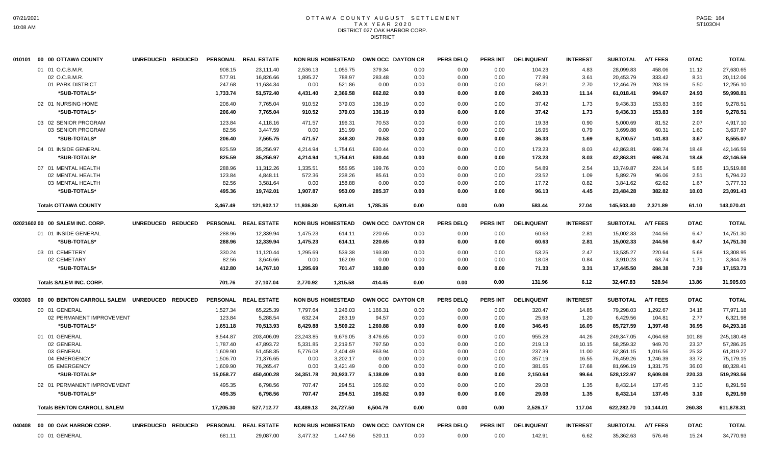#### OTTAWA COUNTY AUGUST SETTLEMENT T A X Y E A R 2 0 2 0 DISTRICT 027 OAK HARBOR CORP. DISTRICT

|        | 010101 00 00 OTTAWA COUNTY                   | UNREDUCED REDUCED |           | PERSONAL REAL ESTATE |           | <b>NON BUS HOMESTEAD</b> | OWN OCC DAYTON CR |                   | <b>PERS DELQ</b> | <b>PERS INT</b> | <b>DELINQUENT</b> | <b>INTEREST</b> | <b>SUBTOTAL</b> | <b>A/T FEES</b> | <b>DTAC</b> | <b>TOTAL</b> |
|--------|----------------------------------------------|-------------------|-----------|----------------------|-----------|--------------------------|-------------------|-------------------|------------------|-----------------|-------------------|-----------------|-----------------|-----------------|-------------|--------------|
|        | 01 01 O.C.B.M.R.                             |                   | 908.15    | 23,111.40            | 2,536.13  | 1,055.75                 | 379.34            | 0.00              | 0.00             | 0.00            | 104.23            | 4.83            | 28,099.83       | 458.06          | 11.12       | 27,630.65    |
|        | 02 O.C.B.M.R.                                |                   | 577.91    | 16,826.66            | 1,895.27  | 788.97                   | 283.48            | 0.00              | 0.00             | 0.00            | 77.89             | 3.61            | 20,453.79       | 333.42          | 8.31        | 20,112.06    |
|        | 01 PARK DISTRICT                             |                   | 247.68    | 11,634.34            | 0.00      | 521.86                   | 0.00              | 0.00              | 0.00             | 0.00            | 58.21             | 2.70            | 12,464.79       | 203.19          | 5.50        | 12,256.10    |
|        | *SUB-TOTALS*                                 |                   | 1,733.74  | 51,572.40            | 4,431.40  | 2,366.58                 | 662.82            | 0.00              | 0.00             | 0.00            | 240.33            | 11.14           | 61,018.41       | 994.67          | 24.93       | 59,998.81    |
|        | 02 01 NURSING HOME                           |                   | 206.40    | 7,765.04             | 910.52    | 379.03                   | 136.19            | 0.00              | 0.00             | 0.00            | 37.42             | 1.73            | 9,436.33        | 153.83          | 3.99        | 9.278.51     |
|        | *SUB-TOTALS*                                 |                   | 206.40    | 7,765.04             | 910.52    | 379.03                   | 136.19            | 0.00              | 0.00             | 0.00            | 37.42             | 1.73            | 9,436.33        | 153.83          | 3.99        | 9,278.51     |
|        | 03 02 SENIOR PROGRAM                         |                   | 123.84    | 4,118.16             | 471.57    | 196.31                   | 70.53             | 0.00              | 0.00             | 0.00            | 19.38             | 0.90            | 5,000.69        | 81.52           | 2.07        | 4,917.10     |
|        | 03 SENIOR PROGRAM                            |                   | 82.56     | 3,447.59             | 0.00      | 151.99                   | 0.00              | 0.00              | 0.00             | 0.00            | 16.95             | 0.79            | 3,699.88        | 60.31           | 1.60        | 3,637.97     |
|        | *SUB-TOTALS*                                 |                   | 206.40    | 7,565.75             | 471.57    | 348.30                   | 70.53             | 0.00              | 0.00             | 0.00            | 36.33             | 1.69            | 8,700.57        | 141.83          | 3.67        | 8,555.07     |
|        | 04 01 INSIDE GENERAL                         |                   | 825.59    | 35,256.97            | 4,214.94  | 1,754.61                 | 630.44            | 0.00              | 0.00             | 0.00            | 173.23            | 8.03            | 42,863.81       | 698.74          | 18.48       | 42,146.59    |
|        | *SUB-TOTALS*                                 |                   | 825.59    | 35,256.97            | 4,214.94  | 1,754.61                 | 630.44            | 0.00              | 0.00             | 0.00            | 173.23            | 8.03            | 42,863.81       | 698.74          | 18.48       | 42,146.59    |
|        | 07 01 MENTAL HEALTH                          |                   | 288.96    | 11,312.26            | 1,335.51  | 555.95                   | 199.76            | 0.00              | 0.00             | 0.00            | 54.89             | 2.54            | 13,749.87       | 224.14          | 5.85        | 13,519.88    |
|        | 02 MENTAL HEALTH                             |                   | 123.84    | 4,848.11             | 572.36    | 238.26                   | 85.61             | 0.00              | 0.00             | 0.00            | 23.52             | 1.09            | 5,892.79        | 96.06           | 2.51        | 5,794.22     |
|        | 03 MENTAL HEALTH                             |                   | 82.56     | 3,581.64             | 0.00      | 158.88                   | 0.00              | 0.00              | 0.00             | 0.00            | 17.72             | 0.82            | 3,841.62        | 62.62           | 1.67        | 3,777.33     |
|        | *SUB-TOTALS*                                 |                   | 495.36    | 19,742.01            | 1,907.87  | 953.09                   | 285.37            | 0.00              | 0.00             | 0.00            | 96.13             | 4.45            | 23,484.28       | 382.82          | 10.03       | 23,091.43    |
|        | <b>Totals OTTAWA COUNTY</b>                  |                   | 3,467.49  | 121,902.17           | 11,936.30 | 5,801.61                 | 1,785.35          | 0.00              | 0.00             | 0.00            | 583.44            | 27.04           | 145,503.40      | 2,371.89        | 61.10       | 143,070.41   |
|        | 02021602 00 00 SALEM INC. CORP.              | UNREDUCED REDUCED |           | PERSONAL REAL ESTATE |           | <b>NON BUS HOMESTEAD</b> |                   | OWN OCC DAYTON CR | <b>PERS DELQ</b> | <b>PERS INT</b> | <b>DELINQUENT</b> | <b>INTEREST</b> | <b>SUBTOTAL</b> | <b>A/T FEES</b> | <b>DTAC</b> | <b>TOTAL</b> |
|        | 01 01 INSIDE GENERAL                         |                   | 288.96    | 12,339.94            | 1,475.23  | 614.11                   | 220.65            | 0.00              | 0.00             | 0.00            | 60.63             | 2.81            | 15,002.33       | 244.56          | 6.47        | 14,751.30    |
|        | *SUB-TOTALS*                                 |                   | 288.96    | 12,339.94            | 1,475.23  | 614.11                   | 220.65            | 0.00              | 0.00             | 0.00            | 60.63             | 2.81            | 15,002.33       | 244.56          | 6.47        | 14,751.30    |
|        |                                              |                   |           |                      |           |                          |                   |                   |                  |                 |                   |                 |                 |                 |             |              |
|        | 03 01 CEMETERY                               |                   | 330.24    | 11,120.44            | 1,295.69  | 539.38                   | 193.80            | 0.00              | 0.00             | 0.00            | 53.25             | 2.47            | 13,535.27       | 220.64          | 5.68        | 13,308.95    |
|        | 02 CEMETARY                                  |                   | 82.56     | 3,646.66             | 0.00      | 162.09                   | 0.00              | 0.00              | 0.00             | 0.00            | 18.08             | 0.84            | 3,910.23        | 63.74           | 1.71        | 3,844.78     |
|        | *SUB-TOTALS*                                 |                   | 412.80    | 14,767.10            | 1,295.69  | 701.47                   | 193.80            | 0.00              | 0.00             | 0.00            | 71.33             | 3.31            | 17,445.50       | 284.38          | 7.39        | 17,153.73    |
|        | <b>Totals SALEM INC. CORP.</b>               |                   | 701.76    | 27,107.04            | 2,770.92  | 1,315.58                 | 414.45            | 0.00              | 0.00             | 0.00            | 131.96            | 6.12            | 32,447.83       | 528.94          | 13.86       | 31,905.03    |
| 030303 | 00 00 BENTON CARROLL SALEM UNREDUCED REDUCED |                   |           | PERSONAL REAL ESTATE |           | <b>NON BUS HOMESTEAD</b> | OWN OCC DAYTON CR |                   | <b>PERS DELQ</b> | <b>PERS INT</b> | <b>DELINQUENT</b> | <b>INTEREST</b> | <b>SUBTOTAL</b> | <b>A/T FEES</b> | <b>DTAC</b> | <b>TOTAL</b> |
|        | 00 01 GENERAL                                |                   | 1,527.34  | 65,225.39            | 7,797.64  | 3,246.03                 | 1,166.31          | 0.00              | 0.00             | 0.00            | 320.47            | 14.85           | 79,298.03       | 1,292.67        | 34.18       | 77,971.18    |
|        | 02 PERMANENT IMPROVEMENT                     |                   | 123.84    | 5,288.54             | 632.24    | 263.19                   | 94.57             | 0.00              | 0.00             | 0.00            | 25.98             | 1.20            | 6,429.56        | 104.81          | 2.77        | 6,321.98     |
|        | *SUB-TOTALS*                                 |                   | 1,651.18  | 70,513.93            | 8,429.88  | 3,509.22                 | 1,260.88          | 0.00              | 0.00             | 0.00            | 346.45            | 16.05           | 85,727.59       | 1,397.48        | 36.95       | 84,293.16    |
|        | 01 01 GENERAL                                |                   | 8,544.87  | 203,406.09           | 23,243.85 | 9,676.05                 | 3,476.65          | 0.00              | 0.00             | 0.00            | 955.28            | 44.26           | 249,347.05      | 4,064.68        | 101.89      | 245,180.48   |
|        | 02 GENERAL                                   |                   | 1,787.40  | 47,893.72            | 5,331.85  | 2,219.57                 | 797.50            | 0.00              | 0.00             | 0.00            | 219.13            | 10.15           | 58,259.32       | 949.70          | 23.37       | 57,286.25    |
|        | 03 GENERAL                                   |                   | 1,609.90  | 51,458.35            | 5,776.08  | 2,404.49                 | 863.94            | 0.00              | 0.00             | 0.00            | 237.39            | 11.00           | 62,361.15       | 1,016.56        | 25.32       | 61,319.27    |
|        | 04 EMERGENCY                                 |                   | 1,506.70  | 71,376.65            | 0.00      | 3,202.17                 | 0.00              | 0.00              | 0.00             | 0.00            | 357.19            | 16.55           | 76,459.26       | 1,246.39        | 33.72       | 75,179.15    |
|        | 05 EMERGENCY                                 |                   | 1,609.90  | 76,265.47            | 0.00      | 3,421.49                 | 0.00              | 0.00              | 0.00             | 0.00            | 381.65            | 17.68           | 81,696.19       | 1,331.75        | 36.03       | 80,328.41    |
|        | *SUB-TOTALS*                                 |                   | 15,058.77 | 450,400.28           | 34,351.78 | 20,923.77                | 5,138.09          | 0.00              | 0.00             | 0.00            | 2,150.64          | 99.64           | 528,122.97      | 8,609.08        | 220.33      | 519,293.56   |
|        | 02 01 PERMANENT IMPROVEMENT                  |                   | 495.35    | 6,798.56             | 707.47    | 294.51                   | 105.82            | 0.00              | 0.00             | 0.00            | 29.08             | 1.35            | 8,432.14        | 137.45          | 3.10        | 8,291.59     |
|        | *SUB-TOTALS*                                 |                   | 495.35    | 6,798.56             | 707.47    | 294.51                   | 105.82            | 0.00              | 0.00             | 0.00            | 29.08             | 1.35            | 8,432.14        | 137.45          | 3.10        | 8,291.59     |
|        | <b>Totals BENTON CARROLL SALEM</b>           |                   | 17,205.30 | 527,712.77           | 43,489.13 | 24,727.50                | 6,504.79          | 0.00              | 0.00             | 0.00            | 2,526.17          | 117.04          | 622,282.70      | 10,144.01       | 260.38      | 611,878.31   |
| 040408 | 00 00 OAK HARBOR CORP.                       | UNREDUCED REDUCED |           | PERSONAL REAL ESTATE |           | <b>NON BUS HOMESTEAD</b> | OWN OCC DAYTON CR |                   | <b>PERS DELQ</b> | <b>PERS INT</b> | <b>DELINQUENT</b> | <b>INTEREST</b> | <b>SUBTOTAL</b> | <b>A/T FEES</b> | <b>DTAC</b> | <b>TOTAL</b> |
|        | 00 01 GENERAL                                |                   | 681.11    | 29,087.00            | 3,477.32  | 1,447.56                 | 520.11            | 0.00              | 0.00             | 0.00            | 142.91            | 6.62            | 35,362.63       | 576.46          | 15.24       | 34,770.93    |
|        |                                              |                   |           |                      |           |                          |                   |                   |                  |                 |                   |                 |                 |                 |             |              |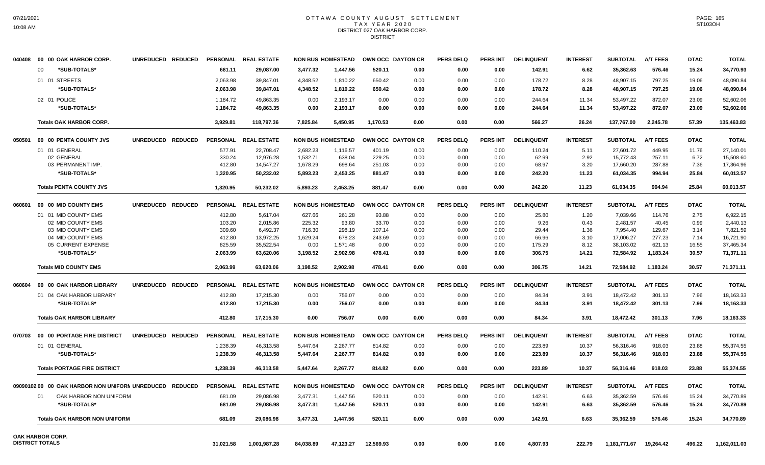#### OTTAWA COUNTY AUGUST SETTLEMENT T A X Y E A R 2 0 2 0 DISTRICT 027 OAK HARBOR CORP. DISTRICT

| 040408 | 00 00 OAK HARBOR CORP.                                 | UNREDUCED REDUCED |                 | PERSONAL REAL ESTATE |           | <b>NON BUS HOMESTEAD</b> | <b>OWN OCC DAYTON CR</b> |      | <b>PERS DELQ</b> | PERS INT        | <b>DELINQUENT</b> | <b>INTEREST</b> | <b>SUBTOTAL</b> | <b>A/T FEES</b> | <b>DTAC</b> | <b>TOTAL</b> |
|--------|--------------------------------------------------------|-------------------|-----------------|----------------------|-----------|--------------------------|--------------------------|------|------------------|-----------------|-------------------|-----------------|-----------------|-----------------|-------------|--------------|
|        | *SUB-TOTALS*<br>00                                     |                   | 681.11          | 29,087.00            | 3,477.32  | 1,447.56                 | 520.11                   | 0.00 | 0.00             | 0.00            | 142.91            | 6.62            | 35,362.63       | 576.46          | 15.24       | 34,770.93    |
|        | 01 01 STREETS                                          |                   | 2,063.98        | 39,847.01            | 4,348.52  | 1,810.22                 | 650.42                   | 0.00 | 0.00             | 0.00            | 178.72            | 8.28            | 48,907.15       | 797.25          | 19.06       | 48,090.84    |
|        | *SUB-TOTALS*                                           |                   | 2,063.98        | 39,847.01            | 4,348.52  | 1,810.22                 | 650.42                   | 0.00 | 0.00             | 0.00            | 178.72            | 8.28            | 48,907.15       | 797.25          | 19.06       | 48,090.84    |
|        | 02 01 POLICE                                           |                   | 1,184.72        | 49,863.35            | 0.00      | 2,193.17                 | 0.00                     | 0.00 | 0.00             | 0.00            | 244.64            | 11.34           | 53,497.22       | 872.07          | 23.09       | 52,602.06    |
|        | *SUB-TOTALS*                                           |                   | 1,184.72        | 49,863.35            | 0.00      | 2,193.17                 | 0.00                     | 0.00 | 0.00             | 0.00            | 244.64            | 11.34           | 53,497.22       | 872.07          | 23.09       | 52,602.06    |
|        | <b>Totals OAK HARBOR CORP.</b>                         |                   | 3,929.81        | 118,797.36           | 7,825.84  | 5,450.95                 | 1,170.53                 | 0.00 | 0.00             | 0.00            | 566.27            | 26.24           | 137,767.00      | 2,245.78        | 57.39       | 135,463.83   |
|        |                                                        |                   |                 |                      |           |                          |                          |      |                  |                 |                   |                 |                 |                 |             |              |
| 050501 | 00 00 PENTA COUNTY JVS                                 | UNREDUCED REDUCED | <b>PERSONAL</b> | <b>REAL ESTATE</b>   |           | <b>NON BUS HOMESTEAD</b> | OWN OCC DAYTON CR        |      | <b>PERS DELQ</b> | <b>PERS INT</b> | <b>DELINQUENT</b> | <b>INTEREST</b> | <b>SUBTOTAL</b> | <b>A/T FEES</b> | <b>DTAC</b> | <b>TOTAL</b> |
|        | 01 01 GENERAL                                          |                   | 577.91          | 22,708.47            | 2,682.23  | 1,116.57                 | 401.19                   | 0.00 | 0.00             | 0.00            | 110.24            | 5.11            | 27,601.72       | 449.95          | 11.76       | 27,140.01    |
|        | 02 GENERAL                                             |                   | 330.24          | 12,976.28            | 1,532.71  | 638.04                   | 229.25                   | 0.00 | 0.00             | 0.00            | 62.99             | 2.92            | 15,772.43       | 257.11          | 6.72        | 15,508.60    |
|        | 03 PERMANENT IMP.                                      |                   | 412.80          | 14,547.27            | 1,678.29  | 698.64                   | 251.03                   | 0.00 | 0.00             | 0.00            | 68.97             | 3.20            | 17,660.20       | 287.88          | 7.36        | 17,364.96    |
|        | *SUB-TOTALS*                                           |                   | 1,320.95        | 50,232.02            | 5,893.23  | 2,453.25                 | 881.47                   | 0.00 | 0.00             | 0.00            | 242.20            | 11.23           | 61,034.35       | 994.94          | 25.84       | 60,013.57    |
|        | <b>Totals PENTA COUNTY JVS</b>                         |                   | 1,320.95        | 50,232.02            | 5,893.23  | 2,453.25                 | 881.47                   | 0.00 | 0.00             | 0.00            | 242.20            | 11.23           | 61,034.35       | 994.94          | 25.84       | 60,013.57    |
| 060601 | 00 00 MID COUNTY EMS                                   | UNREDUCED REDUCED |                 | PERSONAL REAL ESTATE |           | <b>NON BUS HOMESTEAD</b> | OWN OCC DAYTON CR        |      | <b>PERS DELQ</b> | <b>PERS INT</b> | <b>DELINQUENT</b> | <b>INTEREST</b> | <b>SUBTOTAL</b> | <b>A/T FEES</b> | <b>DTAC</b> | <b>TOTAL</b> |
|        | 01 01 MID COUNTY EMS                                   |                   | 412.80          | 5,617.04             | 627.66    | 261.28                   | 93.88                    | 0.00 | 0.00             | 0.00            | 25.80             | 1.20            | 7,039.66        | 114.76          | 2.75        | 6,922.15     |
|        | 02 MID COUNTY EMS                                      |                   | 103.20          | 2,015.86             | 225.32    | 93.80                    | 33.70                    | 0.00 | 0.00             | 0.00            | 9.26              | 0.43            | 2,481.57        | 40.45           | 0.99        | 2,440.13     |
|        | 03 MID COUNTY EMS                                      |                   | 309.60          | 6,492.37             | 716.30    | 298.19                   | 107.14                   | 0.00 | 0.00             | 0.00            | 29.44             | 1.36            | 7,954.40        | 129.67          | 3.14        | 7,821.59     |
|        | 04 MID COUNTY EMS                                      |                   | 412.80          | 13,972.25            | 1,629.24  | 678.23                   | 243.69                   | 0.00 | 0.00             | 0.00            | 66.96             | 3.10            | 17,006.27       | 277.23          | 7.14        | 16,721.90    |
|        | 05 CURRENT EXPENSE                                     |                   | 825.59          | 35,522.54            | 0.00      | 1,571.48                 | 0.00                     | 0.00 | 0.00             | 0.00            | 175.29            | 8.12            | 38,103.02       | 621.13          | 16.55       | 37,465.34    |
|        | *SUB-TOTALS*                                           |                   | 2,063.99        | 63,620.06            | 3,198.52  | 2,902.98                 | 478.41                   | 0.00 | 0.00             | 0.00            | 306.75            | 14.21           | 72,584.92       | 1,183.24        | 30.57       | 71,371.11    |
|        | <b>Totals MID COUNTY EMS</b>                           |                   | 2,063.99        | 63,620.06            | 3,198.52  | 2.902.98                 | 478.41                   | 0.00 | 0.00             | 0.00            | 306.75            | 14.21           | 72,584.92       | 1,183.24        | 30.57       | 71,371.11    |
| 060604 | 00 00 OAK HARBOR LIBRARY                               | UNREDUCED REDUCED |                 | PERSONAL REAL ESTATE |           | <b>NON BUS HOMESTEAD</b> | OWN OCC DAYTON CR        |      | <b>PERS DELQ</b> | PERS INT        | <b>DELINQUENT</b> | <b>INTEREST</b> | <b>SUBTOTAL</b> | <b>A/T FEES</b> | <b>DTAC</b> | <b>TOTAL</b> |
|        | 01 04 OAK HARBOR LIBRARY                               |                   | 412.80          | 17,215.30            | 0.00      | 756.07                   | 0.00                     | 0.00 | 0.00             | 0.00            | 84.34             | 3.91            | 18,472.42       | 301.13          | 7.96        | 18,163.33    |
|        | *SUB-TOTALS*                                           |                   | 412.80          | 17,215.30            | 0.00      | 756.07                   | 0.00                     | 0.00 | 0.00             | 0.00            | 84.34             | 3.91            | 18,472.42       | 301.13          | 7.96        | 18,163.33    |
|        | <b>Totals OAK HARBOR LIBRARY</b>                       |                   | 412.80          | 17,215.30            | 0.00      | 756.07                   | 0.00                     | 0.00 | 0.00             | 0.00            | 84.34             | 3.91            | 18,472.42       | 301.13          | 7.96        | 18,163.33    |
| 070703 | 00 00 PORTAGE FIRE DISTRICT                            | UNREDUCED REDUCED | <b>PERSONAL</b> | <b>REAL ESTATE</b>   |           | <b>NON BUS HOMESTEAD</b> | OWN OCC DAYTON CR        |      | <b>PERS DELQ</b> | <b>PERS INT</b> | <b>DELINQUENT</b> | <b>INTEREST</b> | <b>SUBTOTAL</b> | <b>A/T FEES</b> | <b>DTAC</b> | <b>TOTAL</b> |
|        | 01 01 GENERAL                                          |                   | 1,238.39        | 46,313.58            | 5,447.64  | 2,267.77                 | 814.82                   | 0.00 | 0.00             | 0.00            | 223.89            | 10.37           | 56,316.46       | 918.03          | 23.88       | 55,374.55    |
|        | *SUB-TOTALS*                                           |                   | 1,238.39        | 46,313.58            | 5,447.64  | 2,267.77                 | 814.82                   | 0.00 | 0.00             | 0.00            | 223.89            | 10.37           | 56,316.46       | 918.03          | 23.88       | 55,374.55    |
|        |                                                        |                   |                 |                      |           |                          |                          |      |                  |                 |                   |                 |                 |                 |             |              |
|        | <b>Totals PORTAGE FIRE DISTRICT</b>                    |                   | 1,238.39        | 46,313.58            | 5,447.64  | 2,267.77                 | 814.82                   | 0.00 | 0.00             | 0.00            | 223.89            | 10.37           | 56,316.46       | 918.03          | 23.88       | 55,374.55    |
|        | 0909010200 00 OAK HARBOR NON UNIFORN UNREDUCED REDUCED |                   |                 | PERSONAL REAL ESTATE |           | <b>NON BUS HOMESTEAD</b> | OWN OCC DAYTON CR        |      | <b>PERS DELQ</b> | <b>PERS INT</b> | <b>DELINQUENT</b> | <b>INTEREST</b> | <b>SUBTOTAL</b> | <b>A/T FEES</b> | <b>DTAC</b> | <b>TOTAL</b> |
|        | 01<br>OAK HARBOR NON UNIFORM                           |                   | 681.09          | 29,086.98            | 3,477.31  | 1,447.56                 | 520.11                   | 0.00 | 0.00             | 0.00            | 142.91            | 6.63            | 35,362.59       | 576.46          | 15.24       | 34,770.89    |
|        | *SUB-TOTALS*                                           |                   | 681.09          | 29,086.98            | 3,477.31  | 1,447.56                 | 520.11                   | 0.00 | 0.00             | 0.00            | 142.91            | 6.63            | 35,362.59       | 576.46          | 15.24       | 34,770.89    |
|        | <b>Totals OAK HARBOR NON UNIFORM</b>                   |                   | 681.09          | 29,086.98            | 3,477.31  | 1,447.56                 | 520.11                   | 0.00 | 0.00             | 0.00            | 142.91            | 6.63            | 35,362.59       | 576.46          | 15.24       | 34,770.89    |
|        | OAK HARBOR CORP.                                       |                   |                 |                      |           |                          |                          |      |                  |                 |                   |                 |                 |                 |             |              |
|        | <b>DISTRICT TOTALS</b>                                 |                   | 31,021.58       | 1,001,987.28         | 84,038.89 | 47,123.27                | 12,569.93                | 0.00 | 0.00             | 0.00            | 4,807.93          | 222.79          | 1,181,771.67    | 19,264.42       | 496.22      | 1,162,011.03 |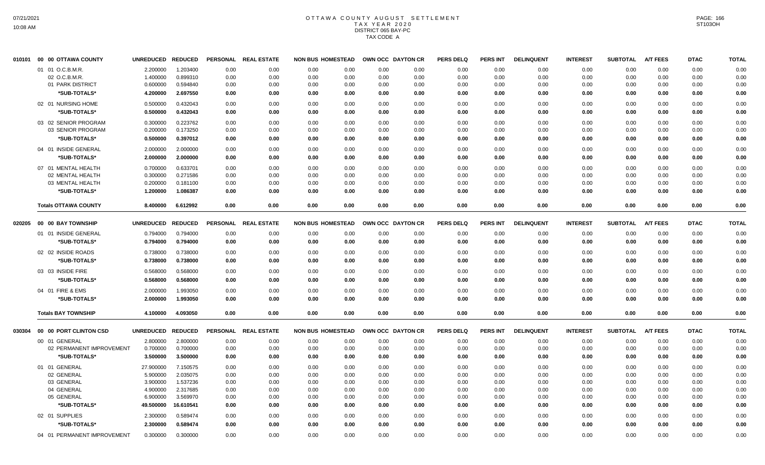### OTTAWA COUNTY AUGUST SETTLEMENT T A X Y E A R 2 0 2 0 DISTRICT 065 BAY-PC TAX CODE A

| 010101 | 00 00 OTTAWA COUNTY         | <b>UNREDUCED</b> | <b>REDUCED</b> | <b>PERSONAL</b> | <b>REAL ESTATE</b>   | <b>NON BUS HOMESTEAD</b> |      |      | OWN OCC DAYTON CR | <b>PERS DELQ</b> | <b>PERS INT</b> | <b>DELINQUENT</b> | <b>INTEREST</b> | <b>SUBTOTAL</b> | <b>A/T FEES</b> | <b>DTAC</b> | <b>TOTAL</b> |
|--------|-----------------------------|------------------|----------------|-----------------|----------------------|--------------------------|------|------|-------------------|------------------|-----------------|-------------------|-----------------|-----------------|-----------------|-------------|--------------|
|        | 01 01 O.C.B.M.R.            | 2.200000         | 1.203400       | 0.00            | 0.00                 | 0.00                     | 0.00 | 0.00 | 0.00              | 0.00             | 0.00            | 0.00              | 0.00            | 0.00            | 0.00            | 0.00        | 0.00         |
|        | 02 O.C.B.M.R.               | 1.400000         | 0.899310       | 0.00            | 0.00                 | 0.00                     | 0.00 | 0.00 | 0.00              | 0.00             | 0.00            | 0.00              | 0.00            | 0.00            | 0.00            | 0.00        | 0.00         |
|        | 01 PARK DISTRICT            | 0.600000         | 0.594840       | 0.00            | 0.00                 | 0.00                     | 0.00 | 0.00 | 0.00              | 0.00             | 0.00            | 0.00              | 0.00            | 0.00            | 0.00            | 0.00        | 0.00         |
|        | *SUB-TOTALS*                | 4.200000         | 2.697550       | 0.00            | 0.00                 | 0.00                     | 0.00 | 0.00 | 0.00              | 0.00             | 0.00            | 0.00              | 0.00            | 0.00            | 0.00            | 0.00        | 0.00         |
|        | 02 01 NURSING HOME          | 0.500000         | 0.432043       | 0.00            | 0.00                 | 0.00                     | 0.00 | 0.00 | 0.00              | 0.00             | 0.00            | 0.00              | 0.00            | 0.00            | 0.00            | 0.00        | 0.00         |
|        | *SUB-TOTALS*                | 0.500000         | 0.432043       | 0.00            | 0.00                 | 0.00                     | 0.00 | 0.00 | 0.00              | 0.00             | 0.00            | 0.00              | 0.00            | 0.00            | 0.00            | 0.00        | 0.00         |
|        | 03 02 SENIOR PROGRAM        | 0.300000         | 0.223762       | 0.00            | 0.00                 | 0.00                     | 0.00 | 0.00 | 0.00              | 0.00             | 0.00            | 0.00              | 0.00            | 0.00            | 0.00            | 0.00        | 0.00         |
|        | 03 SENIOR PROGRAM           | 0.200000         | 0.173250       | 0.00            | 0.00                 | 0.00                     | 0.00 | 0.00 | 0.00              | 0.00             | 0.00            | 0.00              | 0.00            | 0.00            | 0.00            | 0.00        | 0.00         |
|        | *SUB-TOTALS*                | 0.500000         | 0.397012       | 0.00            | 0.00                 | 0.00                     | 0.00 | 0.00 | 0.00              | 0.00             | 0.00            | 0.00              | 0.00            | 0.00            | 0.00            | 0.00        | 0.00         |
|        | 04 01 INSIDE GENERAL        | 2.000000         | 2.000000       | 0.00            | 0.00                 | 0.00                     | 0.00 | 0.00 | 0.00              | 0.00             | 0.00            | 0.00              | 0.00            | 0.00            | 0.00            | 0.00        | 0.00         |
|        | *SUB-TOTALS*                | 2.000000         | 2.000000       | 0.00            | 0.00                 | 0.00                     | 0.00 | 0.00 | 0.00              | 0.00             | 0.00            | 0.00              | 0.00            | 0.00            | 0.00            | 0.00        | 0.00         |
|        | 07 01 MENTAL HEALTH         | 0.700000         | 0.633701       | 0.00            | 0.00                 | 0.00                     | 0.00 | 0.00 | 0.00              | 0.00             | 0.00            | 0.00              | 0.00            | 0.00            | 0.00            | 0.00        | 0.00         |
|        | 02 MENTAL HEALTH            | 0.300000         | 0.271586       | 0.00            | 0.00                 | 0.00                     | 0.00 | 0.00 | 0.00              | 0.00             | 0.00            | 0.00              | 0.00            | 0.00            | 0.00            | 0.00        | 0.00         |
|        | 03 MENTAL HEALTH            | 0.200000         | 0.181100       | 0.00            | 0.00                 | 0.00                     | 0.00 | 0.00 | 0.00              | 0.00             | 0.00            | 0.00              | 0.00            | 0.00            | 0.00            | 0.00        | 0.00         |
|        | *SUB-TOTALS*                | 1.200000         | 1.086387       | 0.00            | 0.00                 | 0.00                     | 0.00 | 0.00 | 0.00              | 0.00             | 0.00            | 0.00              | 0.00            | 0.00            | 0.00            | 0.00        | 0.00         |
|        | <b>Totals OTTAWA COUNTY</b> | 8.400000         | 6.612992       | 0.00            | 0.00                 | 0.00                     | 0.00 | 0.00 | 0.00              | 0.00             | 0.00            | 0.00              | 0.00            | 0.00            | 0.00            | 0.00        | 0.00         |
| 020205 | 00 00 BAY TOWNSHIP          | <b>UNREDUCED</b> | <b>REDUCED</b> |                 | PERSONAL REAL ESTATE | <b>NON BUS HOMESTEAD</b> |      |      | OWN OCC DAYTON CR | <b>PERS DELQ</b> | PERS INT        | <b>DELINQUENT</b> | <b>INTEREST</b> | <b>SUBTOTAL</b> | <b>A/T FEES</b> | <b>DTAC</b> | <b>TOTAL</b> |
|        | 01 01 INSIDE GENERAL        | 0.794000         | 0.794000       | 0.00            | 0.00                 | 0.00                     | 0.00 | 0.00 | 0.00              | 0.00             | 0.00            | 0.00              | 0.00            | 0.00            | 0.00            | 0.00        | 0.00         |
|        | *SUB-TOTALS*                | 0.794000         | 0.794000       | 0.00            | 0.00                 | 0.00                     | 0.00 | 0.00 | 0.00              | 0.00             | 0.00            | 0.00              | 0.00            | 0.00            | 0.00            | 0.00        | 0.00         |
|        |                             |                  |                |                 |                      |                          |      |      |                   |                  |                 |                   |                 |                 |                 |             |              |
|        | 02 02 INSIDE ROADS          | 0.738000         | 0.738000       | 0.00            | 0.00                 | 0.00                     | 0.00 | 0.00 | 0.00              | 0.00             | 0.00            | 0.00              | 0.00            | 0.00            | 0.00            | 0.00        | 0.00         |
|        | *SUB-TOTALS*                | 0.738000         | 0.738000       | 0.00            | 0.00                 | 0.00                     | 0.00 | 0.00 | 0.00              | 0.00             | 0.00            | 0.00              | 0.00            | 0.00            | 0.00            | 0.00        | 0.00         |
|        | 03 03 INSIDE FIRE           | 0.568000         | 0.568000       | 0.00            | 0.00                 | 0.00                     | 0.00 | 0.00 | 0.00              | 0.00             | 0.00            | 0.00              | 0.00            | 0.00            | 0.00            | 0.00        | 0.00         |
|        | *SUB-TOTALS*                | 0.568000         | 0.568000       | 0.00            | 0.00                 | 0.00                     | 0.00 | 0.00 | 0.00              | 0.00             | 0.00            | 0.00              | 0.00            | 0.00            | 0.00            | 0.00        | 0.00         |
|        | 04 01 FIRE & EMS            | 2.000000         | 1.993050       | 0.00            | 0.00                 | 0.00                     | 0.00 | 0.00 | 0.00              | 0.00             | 0.00            | 0.00              | 0.00            | 0.00            | 0.00            | 0.00        | 0.00         |
|        | *SUB-TOTALS*                | 2.000000         | 1.993050       | 0.00            | 0.00                 | 0.00                     | 0.00 | 0.00 | 0.00              | 0.00             | 0.00            | 0.00              | 0.00            | 0.00            | 0.00            | 0.00        | 0.00         |
|        | <b>Totals BAY TOWNSHIP</b>  | 4.100000         | 4.093050       | 0.00            | 0.00                 | 0.00                     | 0.00 | 0.00 | 0.00              | 0.00             | 0.00            | 0.00              | 0.00            | 0.00            | 0.00            | 0.00        | 0.00         |
| 030304 | 00 00 PORT CLINTON CSD      | <b>UNREDUCED</b> | <b>REDUCED</b> |                 | PERSONAL REAL ESTATE | <b>NON BUS HOMESTEAD</b> |      |      | OWN OCC DAYTON CR | <b>PERS DELQ</b> | PERS INT        | <b>DELINQUENT</b> | <b>INTEREST</b> | <b>SUBTOTAL</b> | <b>A/T FEES</b> | <b>DTAC</b> | <b>TOTAL</b> |
|        | 00 01 GENERAL               | 2.800000         | 2.800000       | 0.00            | 0.00                 | 0.00                     | 0.00 | 0.00 | 0.00              | 0.00             | 0.00            | 0.00              | 0.00            | 0.00            | 0.00            | 0.00        | 0.00         |
|        | 02 PERMANENT IMPROVEMENT    | 0.700000         | 0.700000       | 0.00            | 0.00                 | 0.00                     | 0.00 | 0.00 | 0.00              | 0.00             | 0.00            | 0.00              | 0.00            | 0.00            | 0.00            | 0.00        | 0.00         |
|        | *SUB-TOTALS*                | 3.500000         | 3.500000       | 0.00            | 0.00                 | 0.00                     | 0.00 | 0.00 | 0.00              | 0.00             | 0.00            | 0.00              | 0.00            | 0.00            | 0.00            | 0.00        | 0.00         |
|        | 01 01 GENERAL               | 27.900000        | 7.150575       | 0.00            | 0.00                 | 0.00                     | 0.00 | 0.00 | 0.00              | 0.00             | 0.00            | 0.00              | 0.00            | 0.00            | 0.00            | 0.00        | 0.00         |
|        | 02 GENERAL                  | 5.900000         | 2.035075       | 0.00            | 0.00                 | 0.00                     | 0.00 | 0.00 | 0.00              | 0.00             | 0.00            | 0.00              | 0.00            | 0.00            | 0.00            | 0.00        | 0.00         |
|        | 03 GENERAL                  | 3.900000         | 1.537236       | 0.00            | 0.00                 | 0.00                     | 0.00 | 0.00 | 0.00              | 0.00             | 0.00            | 0.00              | 0.00            | 0.00            | 0.00            | 0.00        | 0.00         |
|        | 04 GENERAL                  | 4.900000         | 2.317685       | 0.00            | 0.00                 | 0.00                     | 0.00 | 0.00 | 0.00              | 0.00             | 0.00            | 0.00              | 0.00            | 0.00            | 0.00            | 0.00        | 0.00         |
|        | 05 GENERAL                  | 6.900000         | 3.569970       | 0.00            | 0.00                 | 0.00                     | 0.00 | 0.00 | 0.00              | 0.00             | 0.00            | 0.00              | 0.00            | 0.00            | 0.00            | 0.00        | 0.00         |
|        | *SUB-TOTALS*                | 49.500000        | 16.610541      | 0.00            | 0.00                 | 0.00                     | 0.00 | 0.00 | 0.00              | 0.00             | 0.00            | 0.00              | 0.00            | 0.00            | 0.00            | 0.00        | 0.00         |
|        | 02 01 SUPPLIES              | 2.300000         | 0.589474       | 0.00            | 0.00                 | 0.00                     | 0.00 | 0.00 | 0.00              | 0.00             | 0.00            | 0.00              | 0.00            | 0.00            | 0.00            | 0.00        | 0.00         |
|        | *SUB-TOTALS*                | 2.300000         | 0.589474       | 0.00            | 0.00                 | 0.00                     | 0.00 | 0.00 | 0.00              | 0.00             | 0.00            | 0.00              | 0.00            | 0.00            | 0.00            | 0.00        | 0.00         |
|        | 04 01 PERMANENT IMPROVEMENT | 0.300000         | 0.300000       | 0.00            | 0.00                 | 0.00                     | 0.00 | 0.00 | 0.00              | 0.00             | 0.00            | 0.00              | 0.00            | 0.00            | 0.00            | 0.00        | 0.00         |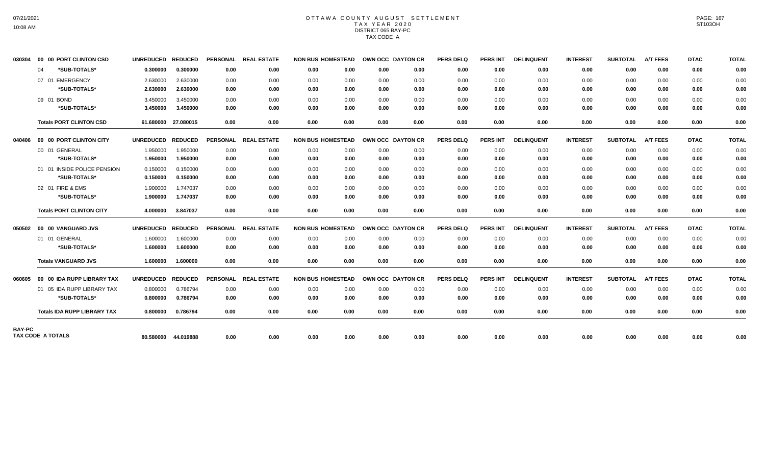# OTTAWA COUNTY AUGUST SETTLEMENT TAX YEAR 2020 DISTRICT 065 BAY-PC TAX CODE A

| 030304 |    | 00 00 PORT CLINTON CSD             | UNREDUCED REDUCED |                     |                 | PERSONAL REAL ESTATE | <b>NON BUS HOMESTEAD</b> |      | OWN OCC DAYTON CR |      | <b>PERS DELQ</b> | <b>PERS INT</b> | <b>DELINQUENT</b> | <b>INTEREST</b> | <b>SUBTOTAL</b> | <b>A/T FEES</b> | <b>DTAC</b> | <b>TOTAL</b> |
|--------|----|------------------------------------|-------------------|---------------------|-----------------|----------------------|--------------------------|------|-------------------|------|------------------|-----------------|-------------------|-----------------|-----------------|-----------------|-------------|--------------|
|        | 04 | *SUB-TOTALS*                       | 0.300000          | 0.300000            | 0.00            | 0.00                 | 0.00                     | 0.00 | 0.00              | 0.00 | 0.00             | 0.00            | 0.00              | 0.00            | 0.00            | 0.00            | 0.00        | 0.00         |
|        |    | 07 01 EMERGENCY                    | 2.630000          | 2.630000            | 0.00            | 0.00                 | 0.00                     | 0.00 | 0.00              | 0.00 | 0.00             | 0.00            | 0.00              | 0.00            | 0.00            | 0.00            | 0.00        | 0.00         |
|        |    | *SUB-TOTALS*                       | 2.630000          | 2.630000            | 0.00            | 0.00                 | 0.00                     | 0.00 | 0.00              | 0.00 | 0.00             | 0.00            | 0.00              | 0.00            | 0.00            | 0.00            | 0.00        | 0.00         |
|        |    | 09 01 BOND                         | 3.450000          | 3.450000            | 0.00            | 0.00                 | 0.00                     | 0.00 | 0.00              | 0.00 | 0.00             | 0.00            | 0.00              | 0.00            | 0.00            | 0.00            | 0.00        | 0.00         |
|        |    | *SUB-TOTALS*                       | 3.450000          | 3.450000            | 0.00            | 0.00                 | 0.00                     | 0.00 | 0.00              | 0.00 | 0.00             | 0.00            | 0.00              | 0.00            | 0.00            | 0.00            | 0.00        | 0.00         |
|        |    | <b>Totals PORT CLINTON CSD</b>     |                   | 61.680000 27.080015 | 0.00            | 0.00                 | 0.00                     | 0.00 | 0.00              | 0.00 | 0.00             | 0.00            | 0.00              | 0.00            | 0.00            | 0.00            | 0.00        | 0.00         |
| 040406 |    | 00 00 PORT CLINTON CITY            | UNREDUCED REDUCED |                     | <b>PERSONAL</b> | <b>REAL ESTATE</b>   | <b>NON BUS HOMESTEAD</b> |      | OWN OCC DAYTON CR |      | <b>PERS DELQ</b> | <b>PERS INT</b> | <b>DELINQUENT</b> | <b>INTEREST</b> | <b>SUBTOTAL</b> | <b>A/T FEES</b> | <b>DTAC</b> | <b>TOTAL</b> |
|        |    | 00 01 GENERAL                      | 1.950000          | 1.950000            | 0.00            | 0.00                 | 0.00                     | 0.00 | 0.00              | 0.00 | 0.00             | 0.00            | 0.00              | 0.00            | 0.00            | 0.00            | 0.00        | 0.00         |
|        |    | *SUB-TOTALS*                       | 1.950000          | 1.950000            | 0.00            | 0.00                 | 0.00                     | 0.00 | 0.00              | 0.00 | 0.00             | 0.00            | 0.00              | 0.00            | 0.00            | 0.00            | 0.00        | 0.00         |
|        |    | 01 01 INSIDE POLICE PENSION        | 0.150000          | 0.150000            | 0.00            | 0.00                 | 0.00                     | 0.00 | 0.00              | 0.00 | 0.00             | 0.00            | 0.00              | 0.00            | 0.00            | 0.00            | 0.00        | 0.00         |
|        |    | *SUB-TOTALS*                       | 0.150000          | 0.150000            | 0.00            | 0.00                 | 0.00                     | 0.00 | 0.00              | 0.00 | 0.00             | 0.00            | 0.00              | 0.00            | 0.00            | 0.00            | 0.00        | 0.00         |
|        |    | 02 01 FIRE & EMS                   | 1.900000          | 1.747037            | 0.00            | 0.00                 | 0.00                     | 0.00 | 0.00              | 0.00 | 0.00             | 0.00            | 0.00              | 0.00            | 0.00            | 0.00            | 0.00        | 0.00         |
|        |    | *SUB-TOTALS*                       | 1.900000          | 1.747037            | 0.00            | 0.00                 | 0.00                     | 0.00 | 0.00              | 0.00 | 0.00             | 0.00            | 0.00              | 0.00            | 0.00            | 0.00            | 0.00        | 0.00         |
|        |    | <b>Totals PORT CLINTON CITY</b>    | 4.000000          | 3.847037            | 0.00            | 0.00                 | 0.00                     | 0.00 | 0.00              | 0.00 | 0.00             | 0.00            | 0.00              | 0.00            | 0.00            | 0.00            | 0.00        | 0.00         |
|        |    |                                    | UNREDUCED REDUCED |                     | <b>PERSONAL</b> | <b>REAL ESTATE</b>   | <b>NON BUS HOMESTEAD</b> |      | OWN OCC DAYTON CR |      | <b>PERS DELQ</b> | <b>PERS INT</b> | <b>DELINQUENT</b> | <b>INTEREST</b> | <b>SUBTOTAL</b> | <b>A/T FEES</b> | <b>DTAC</b> | <b>TOTAL</b> |
|        |    | 01 01 GENERAL                      | 1.600000          | 1.600000            | 0.00            | 0.00                 | 0.00                     | 0.00 | 0.00              | 0.00 | 0.00             | 0.00            | 0.00              | 0.00            | 0.00            | 0.00            | 0.00        | 0.00         |
|        |    | *SUB-TOTALS*                       | 1.600000          | 1.600000            | 0.00            | 0.00                 | 0.00                     | 0.00 | 0.00              | 0.00 | 0.00             | 0.00            | 0.00              | 0.00            | 0.00            | 0.00            | 0.00        | 0.00         |
|        |    | <b>Totals VANGUARD JVS</b>         | 1.600000          | 1.600000            | 0.00            | 0.00                 | 0.00                     | 0.00 | 0.00              | 0.00 | 0.00             | 0.00            | 0.00              | 0.00            | 0.00            | 0.00            | 0.00        | 0.00         |
| 060605 |    | 00 00 IDA RUPP LIBRARY TAX         | UNREDUCED REDUCED |                     | <b>PERSONAL</b> | <b>REAL ESTATE</b>   | <b>NON BUS HOMESTEAD</b> |      | OWN OCC DAYTON CR |      | <b>PERS DELQ</b> | <b>PERS INT</b> | <b>DELINQUENT</b> | <b>INTEREST</b> | <b>SUBTOTAL</b> | <b>A/T FEES</b> | <b>DTAC</b> | <b>TOTAL</b> |
|        |    | 01 05 IDA RUPP LIBRARY TAX         | 0.800000          | 0.786794            | 0.00            | 0.00                 | 0.00                     | 0.00 | 0.00              | 0.00 | 0.00             | 0.00            | 0.00              | 0.00            | 0.00            | 0.00            | 0.00        | 0.00         |
|        |    | *SUB-TOTALS*                       | 0.800000          | 0.786794            | 0.00            | 0.00                 | 0.00                     | 0.00 | 0.00              | 0.00 | 0.00             | 0.00            | 0.00              | 0.00            | 0.00            | 0.00            | 0.00        | 0.00         |
|        |    | <b>Totals IDA RUPP LIBRARY TAX</b> | 0.800000          | 0.786794            | 0.00            | 0.00                 | 0.00                     | 0.00 | 0.00              | 0.00 | 0.00             | 0.00            | 0.00              | 0.00            | 0.00            | 0.00            | 0.00        | 0.00         |
| BAY-PC |    |                                    |                   |                     |                 |                      |                          |      |                   |      |                  |                 |                   |                 |                 |                 |             |              |
|        |    | TAX CODE A TOTALS                  |                   | 80.580000 44.019888 | 0.00            | 0.00                 | 0.00                     | 0.00 | 0.00              | 0.00 | 0.00             | 0.00            | 0.00              | 0.00            | 0.00            | 0.00            | 0.00        | 0.00         |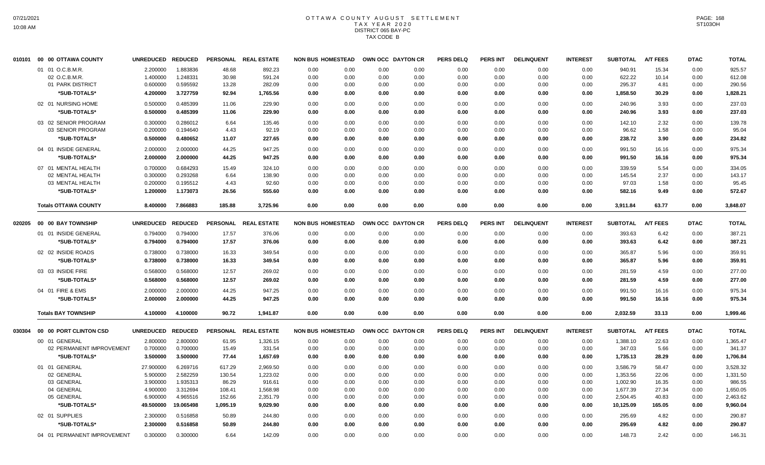## OTTAWA COUNTY AUGUST SETTLEMENT T A X Y E A R 2 0 2 0 DISTRICT 065 BAY-PC TAX CODE B

| 010101 | 00 00 OTTAWA COUNTY         | <b>UNREDUCED</b> | <b>REDUCED</b> | <b>PERSONAL</b> | <b>REAL ESTATE</b>   | <b>NON BUS HOMESTEAD</b> |      |      | OWN OCC DAYTON CR | <b>PERS DELQ</b> | <b>PERS INT</b> | <b>DELINQUENT</b> | <b>INTEREST</b> | <b>SUBTOTAL</b> | <b>A/T FEES</b> | <b>DTAC</b> | <b>TOTAL</b> |
|--------|-----------------------------|------------------|----------------|-----------------|----------------------|--------------------------|------|------|-------------------|------------------|-----------------|-------------------|-----------------|-----------------|-----------------|-------------|--------------|
|        | 01 01 O.C.B.M.R.            | 2.200000         | 1.883836       | 48.68           | 892.23               | 0.00                     | 0.00 | 0.00 | 0.00              | 0.00             | 0.00            | 0.00              | 0.00            | 940.91          | 15.34           | 0.00        | 925.57       |
|        | 02 O.C.B.M.R.               | 1.400000         | 1.248331       | 30.98           | 591.24               | 0.00                     | 0.00 | 0.00 | 0.00              | 0.00             | 0.00            | 0.00              | 0.00            | 622.22          | 10.14           | 0.00        | 612.08       |
|        | 01 PARK DISTRICT            | 0.600000         | 0.595592       | 13.28           | 282.09               | 0.00                     | 0.00 | 0.00 | 0.00              | 0.00             | 0.00            | 0.00              | 0.00            | 295.37          | 4.81            | 0.00        | 290.56       |
|        | *SUB-TOTALS*                | 4.200000         | 3.727759       | 92.94           | 1,765.56             | 0.00                     | 0.00 | 0.00 | 0.00              | 0.00             | 0.00            | 0.00              | 0.00            | 1,858.50        | 30.29           | 0.00        | 1,828.21     |
|        | 02 01 NURSING HOME          | 0.500000         | 0.485399       | 11.06           | 229.90               | 0.00                     | 0.00 | 0.00 | 0.00              | 0.00             | 0.00            | 0.00              | 0.00            | 240.96          | 3.93            | 0.00        | 237.03       |
|        | *SUB-TOTALS*                | 0.500000         | 0.485399       | 11.06           | 229.90               | 0.00                     | 0.00 | 0.00 | 0.00              | 0.00             | 0.00            | 0.00              | 0.00            | 240.96          | 3.93            | 0.00        | 237.03       |
|        | 03 02 SENIOR PROGRAM        | 0.300000         | 0.286012       | 6.64            | 135.46               | 0.00                     | 0.00 | 0.00 | 0.00              | 0.00             | 0.00            | 0.00              | 0.00            | 142.10          | 2.32            | 0.00        | 139.78       |
|        | 03 SENIOR PROGRAM           | 0.200000         | 0.194640       | 4.43            | 92.19                | 0.00                     | 0.00 | 0.00 | 0.00              | 0.00             | 0.00            | 0.00              | 0.00            | 96.62           | 1.58            | 0.00        | 95.04        |
|        | *SUB-TOTALS*                | 0.500000         | 0.480652       | 11.07           | 227.65               | 0.00                     | 0.00 | 0.00 | 0.00              | 0.00             | 0.00            | 0.00              | 0.00            | 238.72          | 3.90            | 0.00        | 234.82       |
|        | 04 01 INSIDE GENERAL        | 2.000000         | 2.000000       | 44.25           | 947.25               | 0.00                     | 0.00 | 0.00 | 0.00              | 0.00             | 0.00            | 0.00              | 0.00            | 991.50          | 16.16           | 0.00        | 975.34       |
|        | *SUB-TOTALS*                | 2.000000         | 2.000000       | 44.25           | 947.25               | 0.00                     | 0.00 | 0.00 | 0.00              | 0.00             | 0.00            | 0.00              | 0.00            | 991.50          | 16.16           | 0.00        | 975.34       |
|        | 07 01 MENTAL HEALTH         | 0.700000         | 0.684293       | 15.49           | 324.10               | 0.00                     | 0.00 | 0.00 | 0.00              | 0.00             | 0.00            | 0.00              | 0.00            | 339.59          | 5.54            | 0.00        | 334.05       |
|        | 02 MENTAL HEALTH            | 0.300000         | 0.293268       | 6.64            | 138.90               | 0.00                     | 0.00 | 0.00 | 0.00              | 0.00             | 0.00            | 0.00              | 0.00            | 145.54          | 2.37            | 0.00        | 143.17       |
|        | 03 MENTAL HEALTH            | 0.200000         | 0.195512       | 4.43            | 92.60                | 0.00                     | 0.00 | 0.00 | 0.00              | 0.00             | 0.00            | 0.00              | 0.00            | 97.03           | 1.58            | 0.00        | 95.45        |
|        | *SUB-TOTALS*                | 1.200000         | 1.173073       | 26.56           | 555.60               | 0.00                     | 0.00 | 0.00 | 0.00              | 0.00             | 0.00            | 0.00              | 0.00            | 582.16          | 9.49            | 0.00        | 572.67       |
|        | <b>Totals OTTAWA COUNTY</b> | 8.400000         | 7.866883       | 185.88          | 3,725.96             | 0.00                     | 0.00 | 0.00 | 0.00              | 0.00             | 0.00            | 0.00              | 0.00            | 3,911.84        | 63.77           | 0.00        | 3,848.07     |
| 020205 | 00 00 BAY TOWNSHIP          | <b>UNREDUCED</b> | <b>REDUCED</b> |                 | PERSONAL REAL ESTATE | <b>NON BUS HOMESTEAD</b> |      |      | OWN OCC DAYTON CR | <b>PERS DELQ</b> | <b>PERS INT</b> | <b>DELINQUENT</b> | <b>INTEREST</b> | <b>SUBTOTAL</b> | <b>A/T FEES</b> | <b>DTAC</b> | <b>TOTAL</b> |
|        | 01 01 INSIDE GENERAL        | 0.794000         | 0.794000       | 17.57           | 376.06               | 0.00                     | 0.00 | 0.00 | 0.00              | 0.00             | 0.00            | 0.00              | 0.00            | 393.63          | 6.42            | 0.00        | 387.21       |
|        | *SUB-TOTALS*                | 0.794000         | 0.794000       | 17.57           | 376.06               | 0.00                     | 0.00 | 0.00 | 0.00              | 0.00             | 0.00            | 0.00              | 0.00            | 393.63          | 6.42            | 0.00        | 387.21       |
|        | 02 02 INSIDE ROADS          | 0.738000         | 0.738000       | 16.33           | 349.54               | 0.00                     | 0.00 | 0.00 | 0.00              | 0.00             | 0.00            | 0.00              | 0.00            | 365.87          | 5.96            | 0.00        | 359.91       |
|        | *SUB-TOTALS*                | 0.738000         | 0.738000       | 16.33           | 349.54               | 0.00                     | 0.00 | 0.00 | 0.00              | 0.00             | 0.00            | 0.00              | 0.00            | 365.87          | 5.96            | 0.00        | 359.91       |
|        |                             |                  |                |                 |                      |                          |      |      |                   |                  |                 |                   |                 |                 |                 |             |              |
|        | 03 03 INSIDE FIRE           | 0.568000         | 0.568000       | 12.57           | 269.02               | 0.00                     | 0.00 | 0.00 | 0.00              | 0.00             | 0.00            | 0.00              | 0.00            | 281.59          | 4.59            | 0.00        | 277.00       |
|        | *SUB-TOTALS*                | 0.568000         | 0.568000       | 12.57           | 269.02               | 0.00                     | 0.00 | 0.00 | 0.00              | 0.00             | 0.00            | 0.00              | 0.00            | 281.59          | 4.59            | 0.00        | 277.00       |
|        | 04 01 FIRE & EMS            | 2.000000         | 2.000000       | 44.25           | 947.25               | 0.00                     | 0.00 | 0.00 | 0.00              | 0.00             | 0.00            | 0.00              | 0.00            | 991.50          | 16.16           | 0.00        | 975.34       |
|        | *SUB-TOTALS*                | 2.000000         | 2.000000       | 44.25           | 947.25               | 0.00                     | 0.00 | 0.00 | 0.00              | 0.00             | 0.00            | 0.00              | 0.00            | 991.50          | 16.16           | 0.00        | 975.34       |
|        | <b>Totals BAY TOWNSHIP</b>  | 4.100000         | 4.100000       | 90.72           | 1,941.87             | 0.00                     | 0.00 | 0.00 | 0.00              | 0.00             | 0.00            | 0.00              | 0.00            | 2,032.59        | 33.13           | 0.00        | 1,999.46     |
| 030304 | 00 00 PORT CLINTON CSD      | <b>UNREDUCED</b> | <b>REDUCED</b> |                 | PERSONAL REAL ESTATE | <b>NON BUS HOMESTEAD</b> |      |      | OWN OCC DAYTON CR | <b>PERS DELQ</b> | <b>PERS INT</b> | <b>DELINQUENT</b> | <b>INTEREST</b> | <b>SUBTOTAL</b> | <b>A/T FEES</b> | <b>DTAC</b> | <b>TOTAL</b> |
|        | 00 01 GENERAL               | 2.800000         | 2.800000       | 61.95           | 1,326.15             | 0.00                     | 0.00 | 0.00 | 0.00              | 0.00             | 0.00            | 0.00              | 0.00            | 1,388.10        | 22.63           | 0.00        | 1,365.47     |
|        | 02 PERMANENT IMPROVEMENT    | 0.700000         | 0.700000       | 15.49           | 331.54               | 0.00                     | 0.00 | 0.00 | 0.00              | 0.00             | 0.00            | 0.00              | 0.00            | 347.03          | 5.66            | 0.00        | 341.37       |
|        | *SUB-TOTALS*                | 3.500000         | 3.500000       | 77.44           | 1,657.69             | 0.00                     | 0.00 | 0.00 | 0.00              | 0.00             | 0.00            | 0.00              | 0.00            | 1,735.13        | 28.29           | 0.00        | 1,706.84     |
|        | 01 01 GENERAL               | 27.900000        | 6.269716       | 617.29          | 2,969.50             | 0.00                     | 0.00 | 0.00 | 0.00              | 0.00             | 0.00            | 0.00              | 0.00            | 3,586.79        | 58.47           | 0.00        | 3,528.32     |
|        | 02 GENERAL                  | 5.900000         | 2.582259       | 130.54          | 1,223.02             | 0.00                     | 0.00 | 0.00 | 0.00              | 0.00             | 0.00            | 0.00              | 0.00            | 1,353.56        | 22.06           | 0.00        | 1,331.50     |
|        | 03 GENERAL                  | 3.900000         | 1.935313       | 86.29           | 916.61               | 0.00                     | 0.00 | 0.00 | 0.00              | 0.00             | 0.00            | 0.00              | 0.00            | 1,002.90        | 16.35           | 0.00        | 986.55       |
|        | 04 GENERAL                  | 4.900000         | 3.312694       | 108.41          | 1,568.98             | 0.00                     | 0.00 | 0.00 | 0.00              | 0.00             | 0.00            | 0.00              | 0.00            | 1,677.39        | 27.34           | 0.00        | 1,650.05     |
|        | 05 GENERAL                  | 6.900000         | 4.965516       | 152.66          | 2,351.79             | 0.00                     | 0.00 | 0.00 | 0.00              | 0.00             | 0.00            | 0.00              | 0.00            | 2,504.45        | 40.83           | 0.00        | 2,463.62     |
|        | *SUB-TOTALS*                | 49.500000        | 19.065498      | 1,095.19        | 9,029.90             | 0.00                     | 0.00 | 0.00 | 0.00              | 0.00             | 0.00            | 0.00              | 0.00            | 10,125.09       | 165.05          | 0.00        | 9,960.04     |
|        | 02 01 SUPPLIES              | 2.300000         | 0.516858       | 50.89           | 244.80               | 0.00                     | 0.00 | 0.00 | 0.00              | 0.00             | 0.00            | 0.00              | 0.00            | 295.69          | 4.82            | 0.00        | 290.87       |
|        | *SUB-TOTALS*                | 2.300000         | 0.516858       | 50.89           | 244.80               | 0.00                     | 0.00 | 0.00 | 0.00              | 0.00             | 0.00            | 0.00              | 0.00            | 295.69          | 4.82            | 0.00        | 290.87       |
|        | 04 01 PERMANENT IMPROVEMENT | 0.300000         | 0.300000       | 6.64            | 142.09               | 0.00                     | 0.00 | 0.00 | 0.00              | 0.00             | 0.00            | 0.00              | 0.00            | 148.73          | 2.42            | 0.00        | 146.31       |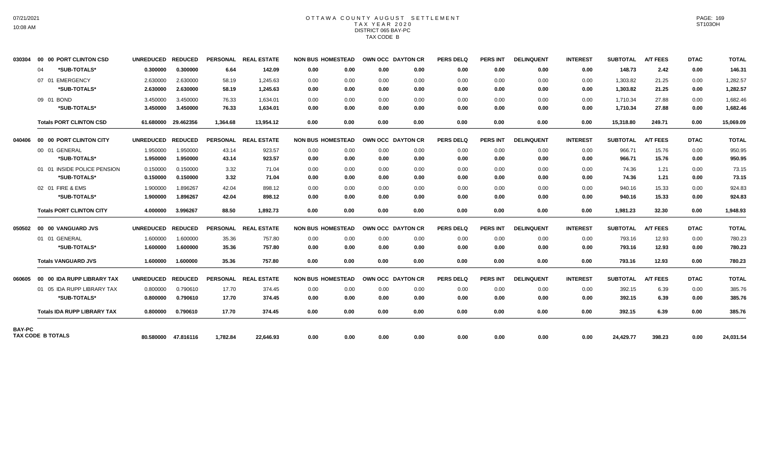### OTTAWA COUNTY AUGUST SETTLEMENT T A X Y E A R 2 0 2 0 DISTRICT 065 BAY-PC TAX CODE B

| 030304        | 00 00 PORT CLINTON CSD             | <b>UNREDUCED</b> | <b>REDUCED</b>      |          | PERSONAL REAL ESTATE | <b>NON BUS HOMESTEAD</b> |      |      | OWN OCC DAYTON CR | <b>PERS DELQ</b> | <b>PERS INT</b> | <b>DELINQUENT</b> | <b>INTEREST</b> | <b>SUBTOTAL</b> | <b>A/T FEES</b> | <b>DTAC</b> | <b>TOTAL</b> |
|---------------|------------------------------------|------------------|---------------------|----------|----------------------|--------------------------|------|------|-------------------|------------------|-----------------|-------------------|-----------------|-----------------|-----------------|-------------|--------------|
|               | *SUB-TOTALS*<br>04                 | 0.300000         | 0.300000            | 6.64     | 142.09               | 0.00                     | 0.00 | 0.00 | 0.00              | 0.00             | 0.00            | 0.00              | 0.00            | 148.73          | 2.42            | 0.00        | 146.31       |
|               | 07 01 EMERGENCY                    | 2.630000         | 2.630000            | 58.19    | 1,245.63             | 0.00                     | 0.00 | 0.00 | 0.00              | 0.00             | 0.00            | 0.00              | 0.00            | 1,303.82        | 21.25           | 0.00        | 1,282.57     |
|               | *SUB-TOTALS*                       | 2.630000         | 2.630000            | 58.19    | 1,245.63             | 0.00                     | 0.00 | 0.00 | 0.00              | 0.00             | 0.00            | 0.00              | 0.00            | 1,303.82        | 21.25           | 0.00        | 1,282.57     |
|               | 09 01 BOND                         | 3.450000         | 3.450000            | 76.33    | 1.634.01             | 0.00                     | 0.00 | 0.00 | 0.00              | 0.00             | 0.00            | 0.00              | 0.00            | 1,710.34        | 27.88           | 0.00        | 1,682.46     |
|               | *SUB-TOTALS*                       | 3.450000         | 3.450000            | 76.33    | 1,634.01             | 0.00                     | 0.00 | 0.00 | 0.00              | 0.00             | 0.00            | 0.00              | 0.00            | 1,710.34        | 27.88           | 0.00        | 1,682.46     |
|               | <b>Totals PORT CLINTON CSD</b>     | 61.680000        | 29.462356           | 1.364.68 | 13,954.12            | 0.00                     | 0.00 | 0.00 | 0.00              | 0.00             | 0.00            | 0.00              | 0.00            | 15,318.80       | 249.71          | 0.00        | 15,069.09    |
| 040406        | 00 00 PORT CLINTON CITY            | <b>UNREDUCED</b> | <b>REDUCED</b>      |          | PERSONAL REAL ESTATE | <b>NON BUS HOMESTEAD</b> |      |      | OWN OCC DAYTON CR | <b>PERS DELQ</b> | <b>PERS INT</b> | <b>DELINQUENT</b> | <b>INTEREST</b> | <b>SUBTOTAL</b> | <b>A/T FEES</b> | <b>DTAC</b> | <b>TOTAL</b> |
|               | 00 01 GENERAL                      | 1.950000         | 1.950000            | 43.14    | 923.57               | 0.00                     | 0.00 | 0.00 | 0.00              | 0.00             | 0.00            | 0.00              | 0.00            | 966.71          | 15.76           | 0.00        | 950.95       |
|               | *SUB-TOTALS*                       | 1.950000         | 1.950000            | 43.14    | 923.57               | 0.00                     | 0.00 | 0.00 | 0.00              | 0.00             | 0.00            | 0.00              | 0.00            | 966.71          | 15.76           | 0.00        | 950.95       |
|               | 01 01 INSIDE POLICE PENSION        | 0.150000         | 0.150000            | 3.32     | 71.04                | 0.00                     | 0.00 | 0.00 | 0.00              | 0.00             | 0.00            | 0.00              | 0.00            | 74.36           | 1.21            | 0.00        | 73.15        |
|               | *SUB-TOTALS*                       | 0.150000         | 0.150000            | 3.32     | 71.04                | 0.00                     | 0.00 | 0.00 | 0.00              | 0.00             | 0.00            | 0.00              | 0.00            | 74.36           | 1.21            | 0.00        | 73.15        |
|               | 02 01 FIRE & EMS                   | 1.900000         | 1.896267            | 42.04    | 898.12               | 0.00                     | 0.00 | 0.00 | 0.00              | 0.00             | 0.00            | 0.00              | 0.00            | 940.16          | 15.33           | 0.00        | 924.83       |
|               | *SUB-TOTALS*                       | 1.900000         | 1.896267            | 42.04    | 898.12               | 0.00                     | 0.00 | 0.00 | 0.00              | 0.00             | 0.00            | 0.00              | 0.00            | 940.16          | 15.33           | 0.00        | 924.83       |
|               | <b>Totals PORT CLINTON CITY</b>    | 4.000000         | 3.996267            | 88.50    | 1,892.73             | 0.00                     | 0.00 | 0.00 | 0.00              | 0.00             | 0.00            | 0.00              | 0.00            | 1,981.23        | 32.30           | 0.00        | 1,948.93     |
| 050502        | 00 00 VANGUARD JVS                 | <b>UNREDUCED</b> | <b>REDUCED</b>      |          | PERSONAL REAL ESTATE | <b>NON BUS HOMESTEAD</b> |      |      | OWN OCC DAYTON CR | <b>PERS DELQ</b> | <b>PERS INT</b> | <b>DELINQUENT</b> | <b>INTEREST</b> | <b>SUBTOTAL</b> | <b>A/T FEES</b> | <b>DTAC</b> | <b>TOTAL</b> |
|               | 01 01 GENERAL                      | 1.600000         | 1.600000            | 35.36    | 757.80               | 0.00                     | 0.00 | 0.00 | 0.00              | 0.00             | 0.00            | 0.00              | 0.00            | 793.16          | 12.93           | 0.00        | 780.23       |
|               | *SUB-TOTALS*                       | 1.600000         | 1.600000            | 35.36    | 757.80               | 0.00                     | 0.00 | 0.00 | 0.00              | 0.00             | 0.00            | 0.00              | 0.00            | 793.16          | 12.93           | 0.00        | 780.23       |
|               | <b>Totals VANGUARD JVS</b>         | 1.600000         | 1.600000            | 35.36    | 757.80               | 0.00                     | 0.00 | 0.00 | 0.00              | 0.00             | 0.00            | 0.00              | 0.00            | 793.16          | 12.93           | 0.00        | 780.23       |
| 060605        | 00 00 IDA RUPP LIBRARY TAX         | <b>UNREDUCED</b> | <b>REDUCED</b>      |          | PERSONAL REAL ESTATE | <b>NON BUS HOMESTEAD</b> |      |      | OWN OCC DAYTON CR | <b>PERS DELQ</b> | <b>PERS INT</b> | <b>DELINQUENT</b> | <b>INTEREST</b> | <b>SUBTOTAL</b> | A/T FEES        | <b>DTAC</b> | <b>TOTAL</b> |
|               | 01 05 IDA RUPP LIBRARY TAX         | 0.800000         | 0.790610            | 17.70    | 374.45               | 0.00                     | 0.00 | 0.00 | 0.00              | 0.00             | 0.00            | 0.00              | 0.00            | 392.15          | 6.39            | 0.00        | 385.76       |
|               | *SUB-TOTALS*                       | 0.800000         | 0.790610            | 17.70    | 374.45               | 0.00                     | 0.00 | 0.00 | 0.00              | 0.00             | 0.00            | 0.00              | 0.00            | 392.15          | 6.39            | 0.00        | 385.76       |
|               | <b>Totals IDA RUPP LIBRARY TAX</b> | 0.800000         | 0.790610            | 17.70    | 374.45               | 0.00                     | 0.00 | 0.00 | 0.00              | 0.00             | 0.00            | 0.00              | 0.00            | 392.15          | 6.39            | 0.00        | 385.76       |
| <b>BAY-PC</b> |                                    |                  |                     |          |                      |                          |      |      |                   |                  |                 |                   |                 |                 |                 |             |              |
|               | <b>TAX CODE B TOTALS</b>           |                  | 80.580000 47.816116 | 1.782.84 | 22.646.93            | 0.00                     | 0.00 | 0.00 | 0.00              | 0.00             | 0.00            | 0.00              | 0.00            | 24,429.77       | 398.23          | 0.00        | 24,031.54    |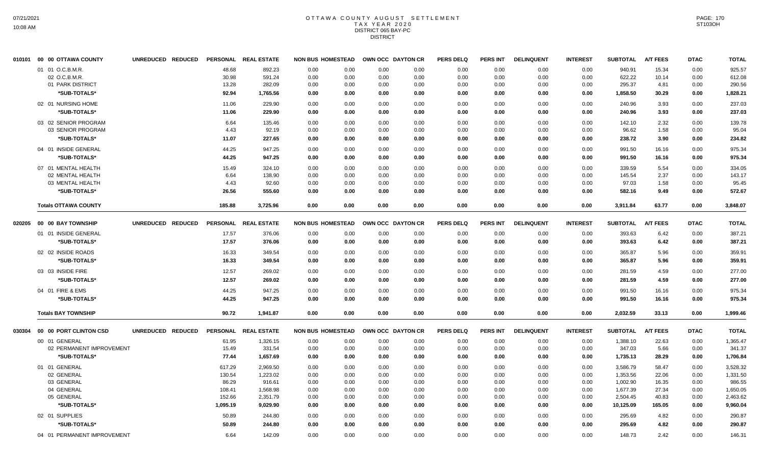#### OTTAWA COUNTY AUGUST SETTLEMENT T A X Y E A R 2 0 2 0 DISTRICT 065 BAY-PC DISTRICT

|        | 010101 00 00 OTTAWA COUNTY  | UNREDUCED REDUCED |          | PERSONAL REAL ESTATE | <b>NON BUS HOMESTEAD</b> |      |      | OWN OCC DAYTON CR | <b>PERS DELQ</b> | <b>PERS INT</b> | <b>DELINQUENT</b> | <b>INTEREST</b> | <b>SUBTOTAL</b> | <b>A/T FEES</b> | <b>DTAC</b> | <b>TOTAL</b> |
|--------|-----------------------------|-------------------|----------|----------------------|--------------------------|------|------|-------------------|------------------|-----------------|-------------------|-----------------|-----------------|-----------------|-------------|--------------|
|        | 01 01 O.C.B.M.R.            |                   | 48.68    | 892.23               | 0.00                     | 0.00 | 0.00 | 0.00              | 0.00             | 0.00            | 0.00              | 0.00            | 940.91          | 15.34           | 0.00        | 925.57       |
|        | 02 O.C.B.M.R.               |                   | 30.98    | 591.24               | 0.00                     | 0.00 | 0.00 | 0.00              | 0.00             | 0.00            | 0.00              | 0.00            | 622.22          | 10.14           | 0.00        | 612.08       |
|        | 01 PARK DISTRICT            |                   | 13.28    | 282.09               | 0.00                     | 0.00 | 0.00 | 0.00              | 0.00             | 0.00            | 0.00              | 0.00            | 295.37          | 4.81            | 0.00        | 290.56       |
|        | *SUB-TOTALS*                |                   | 92.94    | 1,765.56             | 0.00                     | 0.00 | 0.00 | 0.00              | 0.00             | 0.00            | 0.00              | 0.00            | 1,858.50        | 30.29           | 0.00        | 1,828.21     |
|        | 02 01 NURSING HOME          |                   | 11.06    | 229.90               | 0.00                     | 0.00 | 0.00 | 0.00              | 0.00             | 0.00            | 0.00              | 0.00            | 240.96          | 3.93            | 0.00        | 237.03       |
|        | *SUB-TOTALS*                |                   | 11.06    | 229.90               | 0.00                     | 0.00 | 0.00 | 0.00              | 0.00             | 0.00            | 0.00              | 0.00            | 240.96          | 3.93            | 0.00        | 237.03       |
|        | 03 02 SENIOR PROGRAM        |                   | 6.64     | 135.46               | 0.00                     | 0.00 | 0.00 | 0.00              | 0.00             | 0.00            | 0.00              | 0.00            | 142.10          | 2.32            | 0.00        | 139.78       |
|        | 03 SENIOR PROGRAM           |                   | 4.43     | 92.19                | 0.00                     | 0.00 | 0.00 | 0.00              | 0.00             | 0.00            | 0.00              | 0.00            | 96.62           | 1.58            | 0.00        | 95.04        |
|        | *SUB-TOTALS*                |                   | 11.07    | 227.65               | 0.00                     | 0.00 | 0.00 | 0.00              | 0.00             | 0.00            | 0.00              | 0.00            | 238.72          | 3.90            | 0.00        | 234.82       |
|        | 04 01 INSIDE GENERAL        |                   | 44.25    | 947.25               | 0.00                     | 0.00 | 0.00 | 0.00              | 0.00             | 0.00            | 0.00              | 0.00            | 991.50          | 16.16           | 0.00        | 975.34       |
|        | *SUB-TOTALS*                |                   | 44.25    | 947.25               | 0.00                     | 0.00 | 0.00 | 0.00              | 0.00             | 0.00            | 0.00              | 0.00            | 991.50          | 16.16           | 0.00        | 975.34       |
|        | 07 01 MENTAL HEALTH         |                   | 15.49    | 324.10               | 0.00                     | 0.00 | 0.00 | 0.00              | 0.00             | 0.00            | 0.00              | 0.00            | 339.59          | 5.54            | 0.00        | 334.05       |
|        | 02 MENTAL HEALTH            |                   | 6.64     | 138.90               | 0.00                     | 0.00 | 0.00 | 0.00              | 0.00             | 0.00            | 0.00              | 0.00            | 145.54          | 2.37            | 0.00        | 143.17       |
|        | 03 MENTAL HEALTH            |                   | 4.43     | 92.60                | 0.00                     | 0.00 | 0.00 | 0.00              | 0.00             | 0.00            | 0.00              | 0.00            | 97.03           | 1.58            | 0.00        | 95.45        |
|        | *SUB-TOTALS*                |                   | 26.56    | 555.60               | 0.00                     | 0.00 | 0.00 | 0.00              | 0.00             | 0.00            | 0.00              | 0.00            | 582.16          | 9.49            | 0.00        | 572.67       |
|        | <b>Totals OTTAWA COUNTY</b> |                   | 185.88   | 3,725.96             | 0.00                     | 0.00 | 0.00 | 0.00              | 0.00             | 0.00            | 0.00              | 0.00            | 3,911.84        | 63.77           | 0.00        | 3,848.07     |
| 020205 | 00 00 BAY TOWNSHIP          | UNREDUCED REDUCED |          | PERSONAL REAL ESTATE | <b>NON BUS HOMESTEAD</b> |      |      | OWN OCC DAYTON CR | <b>PERS DELQ</b> | PERS INT        | <b>DELINQUENT</b> | <b>INTEREST</b> | <b>SUBTOTAL</b> | <b>A/T FEES</b> | <b>DTAC</b> | <b>TOTAL</b> |
|        | 01 01 INSIDE GENERAL        |                   | 17.57    | 376.06               | 0.00                     | 0.00 | 0.00 | 0.00              | 0.00             | 0.00            | 0.00              | 0.00            | 393.63          | 6.42            | 0.00        | 387.21       |
|        | *SUB-TOTALS*                |                   | 17.57    | 376.06               | 0.00                     | 0.00 | 0.00 | 0.00              | 0.00             | 0.00            | 0.00              | 0.00            | 393.63          | 6.42            | 0.00        | 387.21       |
|        |                             |                   |          |                      |                          |      |      |                   |                  |                 |                   |                 |                 |                 |             |              |
|        | 02 02 INSIDE ROADS          |                   | 16.33    | 349.54               | 0.00                     | 0.00 | 0.00 | 0.00              | 0.00             | 0.00            | 0.00              | 0.00            | 365.87          | 5.96            | 0.00        | 359.91       |
|        | *SUB-TOTALS*                |                   | 16.33    | 349.54               | 0.00                     | 0.00 | 0.00 | 0.00              | 0.00             | 0.00            | 0.00              | 0.00            | 365.87          | 5.96            | 0.00        | 359.91       |
|        | 03 03 INSIDE FIRE           |                   | 12.57    | 269.02               | 0.00                     | 0.00 | 0.00 | 0.00              | 0.00             | 0.00            | 0.00              | 0.00            | 281.59          | 4.59            | 0.00        | 277.00       |
|        | *SUB-TOTALS*                |                   | 12.57    | 269.02               | 0.00                     | 0.00 | 0.00 | 0.00              | 0.00             | 0.00            | 0.00              | 0.00            | 281.59          | 4.59            | 0.00        | 277.00       |
|        | 04 01 FIRE & EMS            |                   | 44.25    | 947.25               | 0.00                     | 0.00 | 0.00 | 0.00              | 0.00             | 0.00            | 0.00              | 0.00            | 991.50          | 16.16           | 0.00        | 975.34       |
|        | *SUB-TOTALS*                |                   | 44.25    | 947.25               | 0.00                     | 0.00 | 0.00 | 0.00              | 0.00             | 0.00            | 0.00              | 0.00            | 991.50          | 16.16           | 0.00        | 975.34       |
|        | <b>Totals BAY TOWNSHIP</b>  |                   | 90.72    | 1,941.87             | 0.00                     | 0.00 | 0.00 | 0.00              | 0.00             | 0.00            | 0.00              | 0.00            | 2,032.59        | 33.13           | 0.00        | 1,999.46     |
| 030304 | 00 00 PORT CLINTON CSD      | UNREDUCED REDUCED |          | PERSONAL REAL ESTATE | <b>NON BUS HOMESTEAD</b> |      |      | OWN OCC DAYTON CR | <b>PERS DELQ</b> | PERS INT        | <b>DELINQUENT</b> | <b>INTEREST</b> | <b>SUBTOTAL</b> | <b>A/T FEES</b> | <b>DTAC</b> | <b>TOTAL</b> |
|        | 00 01 GENERAL               |                   | 61.95    | 1,326.15             | 0.00                     | 0.00 | 0.00 | 0.00              | 0.00             | 0.00            | 0.00              | 0.00            | 1,388.10        | 22.63           | 0.00        | 1,365.47     |
|        | 02 PERMANENT IMPROVEMENT    |                   | 15.49    | 331.54               | 0.00                     | 0.00 | 0.00 | 0.00              | 0.00             | 0.00            | 0.00              | 0.00            | 347.03          | 5.66            | 0.00        | 341.37       |
|        | *SUB-TOTALS*                |                   | 77.44    | 1,657.69             | 0.00                     | 0.00 | 0.00 | 0.00              | 0.00             | 0.00            | 0.00              | 0.00            | 1,735.13        | 28.29           | 0.00        | 1,706.84     |
|        | 01 01 GENERAL               |                   | 617.29   | 2,969.50             | 0.00                     | 0.00 | 0.00 | 0.00              | 0.00             | 0.00            | 0.00              | 0.00            | 3,586.79        | 58.47           | 0.00        | 3,528.32     |
|        | 02 GENERAL                  |                   | 130.54   | 1,223.02             | 0.00                     | 0.00 | 0.00 | 0.00              | 0.00             | 0.00            | 0.00              | 0.00            | 1,353.56        | 22.06           | 0.00        | 1,331.50     |
|        | 03 GENERAL                  |                   | 86.29    | 916.61               | 0.00                     | 0.00 | 0.00 | 0.00              | 0.00             | 0.00            | 0.00              | 0.00            | 1,002.90        | 16.35           | 0.00        | 986.55       |
|        | 04 GENERAL                  |                   | 108.41   | 1,568.98             | 0.00                     | 0.00 | 0.00 | 0.00              | 0.00             | 0.00            | 0.00              | 0.00            | 1,677.39        | 27.34           | 0.00        | 1,650.05     |
|        | 05 GENERAL                  |                   | 152.66   | 2,351.79             | 0.00                     | 0.00 | 0.00 | 0.00              | 0.00             | 0.00            | 0.00              | 0.00            | 2,504.45        | 40.83           | 0.00        | 2,463.62     |
|        | *SUB-TOTALS*                |                   | 1,095.19 | 9,029.90             | 0.00                     | 0.00 | 0.00 | 0.00              | 0.00             | 0.00            | 0.00              | 0.00            | 10,125.09       | 165.05          | 0.00        | 9,960.04     |
|        | 02 01 SUPPLIES              |                   | 50.89    | 244.80               | 0.00                     | 0.00 | 0.00 | 0.00              | 0.00             | 0.00            | 0.00              | 0.00            | 295.69          | 4.82            | 0.00        | 290.87       |
|        | *SUB-TOTALS*                |                   | 50.89    | 244.80               | 0.00                     | 0.00 | 0.00 | 0.00              | 0.00             | 0.00            | 0.00              | 0.00            | 295.69          | 4.82            | 0.00        | 290.87       |
|        | 04 01 PERMANENT IMPROVEMENT |                   | 6.64     | 142.09               | 0.00                     | 0.00 | 0.00 | 0.00              | 0.00             | 0.00            | 0.00              | 0.00            | 148.73          | 2.42            | 0.00        | 146.31       |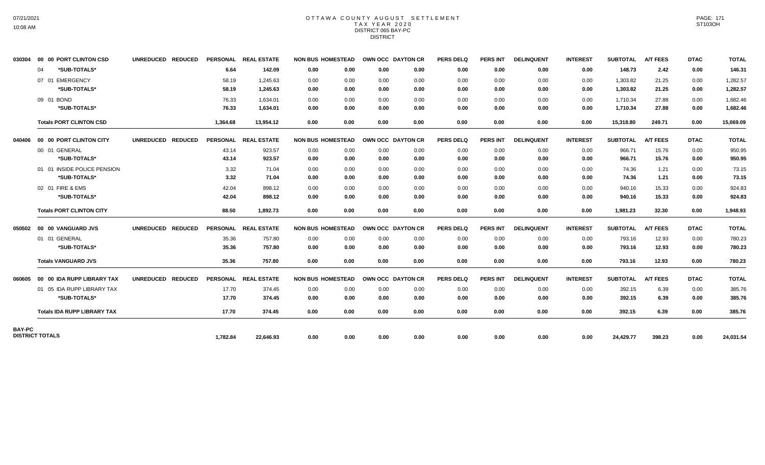### OTTAWA COUNTY AUGUST SETTLEMENT TAX YEAR 2020 DISTRICT 065 BAY-PC DISTRICT

| 030304                 |    | 00 00 PORT CLINTON CSD             | UNREDUCED REDUCED |          | PERSONAL REAL ESTATE | <b>NON BUS HOMESTEAD</b> |      | OWN OCC DAYTON CR |      | <b>PERS DELQ</b> | <b>PERS INT</b> | <b>DELINQUENT</b> | <b>INTEREST</b> | <b>SUBTOTAL</b> | <b>A/T FEES</b> | <b>DTAC</b> | <b>TOTAL</b> |
|------------------------|----|------------------------------------|-------------------|----------|----------------------|--------------------------|------|-------------------|------|------------------|-----------------|-------------------|-----------------|-----------------|-----------------|-------------|--------------|
|                        | 04 | *SUB-TOTALS*                       |                   | 6.64     | 142.09               | 0.00                     | 0.00 | 0.00              | 0.00 | 0.00             | 0.00            | 0.00              | 0.00            | 148.73          | 2.42            | 0.00        | 146.31       |
|                        |    | 07 01 EMERGENCY                    |                   | 58.19    | 1.245.63             | 0.00                     | 0.00 | 0.00              | 0.00 | 0.00             | 0.00            | 0.00              | 0.00            | 1,303.82        | 21.25           | 0.00        | 1,282.57     |
|                        |    | *SUB-TOTALS*                       |                   | 58.19    | 1,245.63             | 0.00                     | 0.00 | 0.00              | 0.00 | 0.00             | 0.00            | 0.00              | 0.00            | 1,303.82        | 21.25           | 0.00        | 1,282.57     |
|                        |    | 09 01 BOND                         |                   | 76.33    | 1.634.01             | 0.00                     | 0.00 | 0.00              | 0.00 | 0.00             | 0.00            | 0.00              | 0.00            | 1,710.34        | 27.88           | 0.00        | 1,682.46     |
|                        |    | *SUB-TOTALS*                       |                   | 76.33    | 1,634.01             | 0.00                     | 0.00 | 0.00              | 0.00 | 0.00             | 0.00            | 0.00              | 0.00            | 1,710.34        | 27.88           | 0.00        | 1,682.46     |
|                        |    | <b>Totals PORT CLINTON CSD</b>     |                   | 1,364.68 | 13.954.12            | 0.00                     | 0.00 | 0.00              | 0.00 | 0.00             | 0.00            | 0.00              | 0.00            | 15,318.80       | 249.71          | 0.00        | 15,069.09    |
| 040406                 |    | 00 00 PORT CLINTON CITY            | UNREDUCED REDUCED |          | PERSONAL REAL ESTATE | <b>NON BUS HOMESTEAD</b> |      | OWN OCC DAYTON CR |      | <b>PERS DELQ</b> | <b>PERS INT</b> | <b>DELINQUENT</b> | <b>INTEREST</b> | <b>SUBTOTAL</b> | <b>A/T FEES</b> | <b>DTAC</b> | <b>TOTAL</b> |
|                        |    | 00 01 GENERAL                      |                   | 43.14    | 923.57               | 0.00                     | 0.00 | 0.00              | 0.00 | 0.00             | 0.00            | 0.00              | 0.00            | 966.71          | 15.76           | 0.00        | 950.95       |
|                        |    | *SUB-TOTALS*                       |                   | 43.14    | 923.57               | 0.00                     | 0.00 | 0.00              | 0.00 | 0.00             | 0.00            | 0.00              | 0.00            | 966.71          | 15.76           | 0.00        | 950.95       |
|                        |    | 01 01 INSIDE POLICE PENSION        |                   | 3.32     | 71.04                | 0.00                     | 0.00 | 0.00              | 0.00 | 0.00             | 0.00            | 0.00              | 0.00            | 74.36           | 1.21            | 0.00        | 73.15        |
|                        |    | *SUB-TOTALS*                       |                   | 3.32     | 71.04                | 0.00                     | 0.00 | 0.00              | 0.00 | 0.00             | 0.00            | 0.00              | 0.00            | 74.36           | 1.21            | 0.00        | 73.15        |
|                        |    | 02 01 FIRE & EMS                   |                   | 42.04    | 898.12               | 0.00                     | 0.00 | 0.00              | 0.00 | 0.00             | 0.00            | 0.00              | 0.00            | 940.16          | 15.33           | 0.00        | 924.83       |
|                        |    | *SUB-TOTALS*                       |                   | 42.04    | 898.12               | 0.00                     | 0.00 | 0.00              | 0.00 | 0.00             | 0.00            | 0.00              | 0.00            | 940.16          | 15.33           | 0.00        | 924.83       |
|                        |    | <b>Totals PORT CLINTON CITY</b>    |                   | 88.50    | 1.892.73             | 0.00                     | 0.00 | 0.00              | 0.00 | 0.00             | 0.00            | 0.00              | 0.00            | 1,981.23        | 32.30           | 0.00        | 1,948.93     |
|                        |    | 050502 00 00 VANGUARD JVS          | UNREDUCED REDUCED |          | PERSONAL REAL ESTATE | <b>NON BUS HOMESTEAD</b> |      | OWN OCC DAYTON CR |      | <b>PERS DELQ</b> | <b>PERS INT</b> | <b>DELINQUENT</b> | <b>INTEREST</b> | <b>SUBTOTAL</b> | <b>A/T FEES</b> | <b>DTAC</b> | <b>TOTAL</b> |
|                        |    | 01 01 GENERAL                      |                   | 35.36    | 757.80               | 0.00                     | 0.00 | 0.00              | 0.00 | 0.00             | 0.00            | 0.00              | 0.00            | 793.16          | 12.93           | 0.00        | 780.23       |
|                        |    | *SUB-TOTALS*                       |                   | 35.36    | 757.80               | 0.00                     | 0.00 | 0.00              | 0.00 | 0.00             | 0.00            | 0.00              | 0.00            | 793.16          | 12.93           | 0.00        | 780.23       |
|                        |    | <b>Totals VANGUARD JVS</b>         |                   | 35.36    | 757.80               | 0.00                     | 0.00 | 0.00              | 0.00 | 0.00             | 0.00            | 0.00              | 0.00            | 793.16          | 12.93           | 0.00        | 780.23       |
| 060605                 |    | 00 00 IDA RUPP LIBRARY TAX         | UNREDUCED REDUCED |          | PERSONAL REAL ESTATE | <b>NON BUS HOMESTEAD</b> |      | OWN OCC DAYTON CR |      | <b>PERS DELQ</b> | <b>PERS INT</b> | <b>DELINQUENT</b> | <b>INTEREST</b> | <b>SUBTOTAL</b> | <b>A/T FEES</b> | <b>DTAC</b> | <b>TOTAL</b> |
|                        |    | 01 05 IDA RUPP LIBRARY TAX         |                   | 17.70    | 374.45               | 0.00                     | 0.00 | 0.00              | 0.00 | 0.00             | 0.00            | 0.00              | 0.00            | 392.15          | 6.39            | 0.00        | 385.76       |
|                        |    | *SUB-TOTALS*                       |                   | 17.70    | 374.45               | 0.00                     | 0.00 | 0.00              | 0.00 | 0.00             | 0.00            | 0.00              | 0.00            | 392.15          | 6.39            | 0.00        | 385.76       |
|                        |    | <b>Totals IDA RUPP LIBRARY TAX</b> |                   | 17.70    | 374.45               | 0.00                     | 0.00 | 0.00              | 0.00 | 0.00             | 0.00            | 0.00              | 0.00            | 392.15          | 6.39            | 0.00        | 385.76       |
| BAY-PC                 |    |                                    |                   |          |                      |                          |      |                   |      |                  |                 |                   |                 |                 |                 |             |              |
| <b>DISTRICT TOTALS</b> |    |                                    |                   | 1,782.84 | 22,646.93            | 0.00                     | 0.00 | 0.00              | 0.00 | 0.00             | 0.00            | 0.00              | 0.00            | 24,429.77       | 398.23          | 0.00        | 24,031.54    |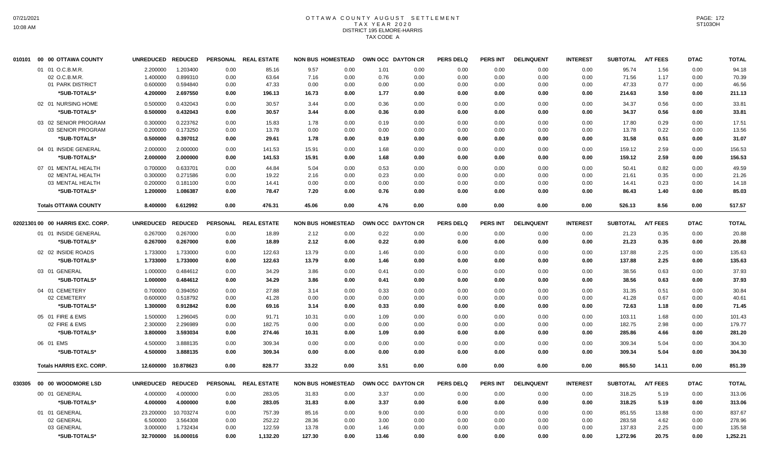# OTTAWA COUNTY AUGUST SETTLEMENT T A X Y E A R 2 0 2 0 DISTRICT 195 ELMORE-HARRIS TAX CODE A

| 010101 | 00 00 OTTAWA COUNTY              | <b>UNREDUCED</b> | <b>REDUCED</b> | <b>PERSONAL</b> | <b>REAL ESTATE</b> | <b>NON BUS HOMESTEAD</b> |      |       | OWN OCC DAYTON CR | <b>PERS DELQ</b> | <b>PERS INT</b> | <b>DELINQUENT</b> | <b>INTEREST</b> | <b>SUBTOTAL</b> | <b>A/T FEES</b> | <b>DTAC</b> | <b>TOTAL</b> |
|--------|----------------------------------|------------------|----------------|-----------------|--------------------|--------------------------|------|-------|-------------------|------------------|-----------------|-------------------|-----------------|-----------------|-----------------|-------------|--------------|
|        | 01 01 O.C.B.M.R.                 | 2.200000         | 1.203400       | 0.00            | 85.16              | 9.57                     | 0.00 | 1.01  | 0.00              | 0.00             | 0.00            | 0.00              | 0.00            | 95.74           | 1.56            | 0.00        | 94.18        |
|        | 02 O.C.B.M.R.                    | 1.400000         | 0.899310       | 0.00            | 63.64              | 7.16                     | 0.00 | 0.76  | 0.00              | 0.00             | 0.00            | 0.00              | 0.00            | 71.56           | 1.17            | 0.00        | 70.39        |
|        | 01 PARK DISTRICT                 | 0.600000         | 0.594840       | 0.00            | 47.33              | 0.00                     | 0.00 | 0.00  | 0.00              | 0.00             | 0.00            | 0.00              | 0.00            | 47.33           | 0.77            | 0.00        | 46.56        |
|        | *SUB-TOTALS*                     | 4.200000         | 2.697550       | 0.00            | 196.13             | 16.73                    | 0.00 | 1.77  | 0.00              | 0.00             | 0.00            | 0.00              | 0.00            | 214.63          | 3.50            | 0.00        | 211.13       |
|        | 02 01 NURSING HOME               | 0.500000         | 0.432043       | 0.00            | 30.57              | 3.44                     | 0.00 | 0.36  | 0.00              | 0.00             | 0.00            | 0.00              | 0.00            | 34.37           | 0.56            | 0.00        | 33.81        |
|        | *SUB-TOTALS*                     | 0.500000         | 0.432043       | 0.00            | 30.57              | 3.44                     | 0.00 | 0.36  | 0.00              | 0.00             | 0.00            | 0.00              | 0.00            | 34.37           | 0.56            | 0.00        | 33.81        |
|        | 03 02 SENIOR PROGRAM             | 0.300000         | 0.223762       | 0.00            | 15.83              | 1.78                     | 0.00 | 0.19  | 0.00              | 0.00             | 0.00            | 0.00              | 0.00            | 17.80           | 0.29            | 0.00        | 17.51        |
|        | 03 SENIOR PROGRAM                | 0.200000         | 0.173250       | 0.00            | 13.78              | 0.00                     | 0.00 | 0.00  | 0.00              | 0.00             | 0.00            | 0.00              | 0.00            | 13.78           | 0.22            | 0.00        | 13.56        |
|        | *SUB-TOTALS*                     | 0.500000         | 0.397012       | 0.00            | 29.61              | 1.78                     | 0.00 | 0.19  | 0.00              | 0.00             | 0.00            | 0.00              | 0.00            | 31.58           | 0.51            | 0.00        | 31.07        |
|        | 04 01 INSIDE GENERAL             | 2.000000         | 2.000000       | 0.00            | 141.53             | 15.91                    | 0.00 | 1.68  | 0.00              | 0.00             | 0.00            | 0.00              | 0.00            | 159.12          | 2.59            | 0.00        | 156.53       |
|        | *SUB-TOTALS*                     | 2.000000         | 2.000000       | 0.00            | 141.53             | 15.91                    | 0.00 | 1.68  | 0.00              | 0.00             | 0.00            | 0.00              | 0.00            | 159.12          | 2.59            | 0.00        | 156.53       |
|        | 07 01 MENTAL HEALTH              | 0.700000         | 0.633701       | 0.00            | 44.84              | 5.04                     | 0.00 | 0.53  | 0.00              | 0.00             | 0.00            | 0.00              | 0.00            | 50.41           | 0.82            | 0.00        | 49.59        |
|        | 02 MENTAL HEALTH                 | 0.300000         | 0.271586       | 0.00            | 19.22              | 2.16                     | 0.00 | 0.23  | 0.00              | 0.00             | 0.00            | 0.00              | 0.00            | 21.61           | 0.35            | 0.00        | 21.26        |
|        | 03 MENTAL HEALTH                 | 0.200000         | 0.181100       | 0.00            | 14.41              | 0.00                     | 0.00 | 0.00  | 0.00              | 0.00             | 0.00            | 0.00              | 0.00            | 14.41           | 0.23            | 0.00        | 14.18        |
|        | *SUB-TOTALS*                     | 1.200000         | 1.086387       | 0.00            | 78.47              | 7.20                     | 0.00 | 0.76  | 0.00              | 0.00             | 0.00            | 0.00              | 0.00            | 86.43           | 1.40            | 0.00        | 85.03        |
|        | <b>Totals OTTAWA COUNTY</b>      | 8.400000         | 6.612992       | 0.00            | 476.31             | 45.06                    | 0.00 | 4.76  | 0.00              | 0.00             | 0.00            | 0.00              | 0.00            | 526.13          | 8.56            | 0.00        | 517.57       |
|        | 02021301 00 00 HARRIS EXC. CORP. | <b>UNREDUCED</b> | <b>REDUCED</b> | <b>PERSONAL</b> | <b>REAL ESTATE</b> | <b>NON BUS HOMESTEAD</b> |      |       | OWN OCC DAYTON CR | <b>PERS DELQ</b> | <b>PERS INT</b> | <b>DELINQUENT</b> | <b>INTEREST</b> | <b>SUBTOTAL</b> | <b>A/T FEES</b> | <b>DTAC</b> | <b>TOTAL</b> |
|        | 01 01 INSIDE GENERAL             | 0.267000         | 0.267000       | 0.00            | 18.89              | 2.12                     | 0.00 | 0.22  | 0.00              | 0.00             | 0.00            | 0.00              | 0.00            | 21.23           | 0.35            | 0.00        | 20.88        |
|        | *SUB-TOTALS*                     | 0.267000         | 0.267000       | 0.00            | 18.89              | 2.12                     | 0.00 | 0.22  | 0.00              | 0.00             | 0.00            | 0.00              | 0.00            | 21.23           | 0.35            | 0.00        | 20.88        |
|        | 02 02 INSIDE ROADS               | 1.733000         | 1.733000       | 0.00            | 122.63             | 13.79                    | 0.00 | 1.46  | 0.00              | 0.00             | 0.00            | 0.00              | 0.00            | 137.88          | 2.25            | 0.00        | 135.63       |
|        |                                  |                  |                |                 |                    |                          |      |       |                   |                  |                 |                   |                 |                 |                 |             |              |
|        | *SUB-TOTALS*                     | 1.733000         | 1.733000       | 0.00            | 122.63             | 13.79                    | 0.00 | 1.46  | 0.00              | 0.00             | 0.00            | 0.00              | 0.00            | 137.88          | 2.25            | 0.00        | 135.63       |
|        | 03 01 GENERAL                    | 1.000000         | 0.484612       | 0.00            | 34.29              | 3.86                     | 0.00 | 0.41  | 0.00              | 0.00             | 0.00            | 0.00              | 0.00            | 38.56           | 0.63            | 0.00        | 37.93        |
|        | *SUB-TOTALS*                     | 1.000000         | 0.484612       | 0.00            | 34.29              | 3.86                     | 0.00 | 0.41  | 0.00              | 0.00             | 0.00            | 0.00              | 0.00            | 38.56           | 0.63            | 0.00        | 37.93        |
|        | 04 01 CEMETERY                   | 0.700000         | 0.394050       | 0.00            | 27.88              | 3.14                     | 0.00 | 0.33  | 0.00              | 0.00             | 0.00            | 0.00              | 0.00            | 31.35           | 0.51            | 0.00        | 30.84        |
|        | 02 CEMETERY                      | 0.600000         | 0.518792       | 0.00            | 41.28              | 0.00                     | 0.00 | 0.00  | 0.00              | 0.00             | 0.00            | 0.00              | 0.00            | 41.28           | 0.67            | 0.00        | 40.61        |
|        | *SUB-TOTALS*                     | 1.300000         | 0.912842       | 0.00            | 69.16              | 3.14                     | 0.00 | 0.33  | 0.00              | 0.00             | 0.00            | 0.00              | 0.00            | 72.63           | 1.18            | 0.00        | 71.45        |
|        | 05 01 FIRE & EMS                 | 1.500000         | 1.296045       | 0.00            | 91.71              | 10.31                    | 0.00 | 1.09  | 0.00              | 0.00             | 0.00            | 0.00              | 0.00            | 103.11          | 1.68            | 0.00        | 101.43       |
|        | 02 FIRE & EMS                    | 2.300000         | 2.296989       | 0.00            | 182.75             | 0.00                     | 0.00 | 0.00  | 0.00              | 0.00             | 0.00            | 0.00              | 0.00            | 182.75          | 2.98            | 0.00        | 179.77       |
|        | *SUB-TOTALS*                     | 3.800000         | 3.593034       | 0.00            | 274.46             | 10.31                    | 0.00 | 1.09  | 0.00              | 0.00             | 0.00            | 0.00              | 0.00            | 285.86          | 4.66            | 0.00        | 281.20       |
|        | 06 01 EMS                        | 4.500000         | 3.888135       | 0.00            | 309.34             | 0.00                     | 0.00 | 0.00  | 0.00              | 0.00             | 0.00            | 0.00              | 0.00            | 309.34          | 5.04            | 0.00        | 304.30       |
|        | *SUB-TOTALS*                     | 4.500000         | 3.888135       | 0.00            | 309.34             | 0.00                     | 0.00 | 0.00  | 0.00              | 0.00             | 0.00            | 0.00              | 0.00            | 309.34          | 5.04            | 0.00        | 304.30       |
|        | <b>Totals HARRIS EXC. CORP.</b>  | 12.600000        | 10.878623      | 0.00            | 828.77             | 33.22                    | 0.00 | 3.51  | 0.00              | 0.00             | 0.00            | 0.00              | 0.00            | 865.50          | 14.11           | 0.00        | 851.39       |
|        |                                  |                  |                |                 |                    |                          |      |       |                   |                  |                 |                   |                 |                 |                 |             |              |
| 030305 | 00 00 WOODMORE LSD               | <b>UNREDUCED</b> | <b>REDUCED</b> | <b>PERSONAL</b> | <b>REAL ESTATE</b> | <b>NON BUS HOMESTEAD</b> |      |       | OWN OCC DAYTON CR | <b>PERS DELQ</b> | <b>PERS INT</b> | <b>DELINQUENT</b> | <b>INTEREST</b> | <b>SUBTOTAL</b> | <b>A/T FEES</b> | <b>DTAC</b> | <b>TOTAL</b> |
|        | 00 01 GENERAL                    | 4.000000         | 4.000000       | 0.00            | 283.05             | 31.83                    | 0.00 | 3.37  | 0.00              | 0.00             | 0.00            | 0.00              | 0.00            | 318.25          | 5.19            | 0.00        | 313.06       |
|        | *SUB-TOTALS*                     | 4.000000         | 4.000000       | 0.00            | 283.05             | 31.83                    | 0.00 | 3.37  | 0.00              | 0.00             | 0.00            | 0.00              | 0.00            | 318.25          | 5.19            | 0.00        | 313.06       |
|        | 01 01 GENERAL                    | 23.200000        | 10.703274      | 0.00            | 757.39             | 85.16                    | 0.00 | 9.00  | 0.00              | 0.00             | 0.00            | 0.00              | 0.00            | 851.55          | 13.88           | 0.00        | 837.67       |
|        | 02 GENERAL                       | 6.500000         | 3.564308       | 0.00            | 252.22             | 28.36                    | 0.00 | 3.00  | 0.00              | 0.00             | 0.00            | 0.00              | 0.00            | 283.58          | 4.62            | 0.00        | 278.96       |
|        | 03 GENERAL                       | 3.000000         | 1.732434       | 0.00            | 122.59             | 13.78                    | 0.00 | 1.46  | 0.00              | 0.00             | 0.00            | 0.00              | 0.00            | 137.83          | 2.25            | 0.00        | 135.58       |
|        | *SUB-TOTALS*                     | 32.700000        | 16.000016      | 0.00            | 1,132.20           | 127.30                   | 0.00 | 13.46 | 0.00              | 0.00             | 0.00            | 0.00              | 0.00            | 1,272.96        | 20.75           | 0.00        | 1,252.21     |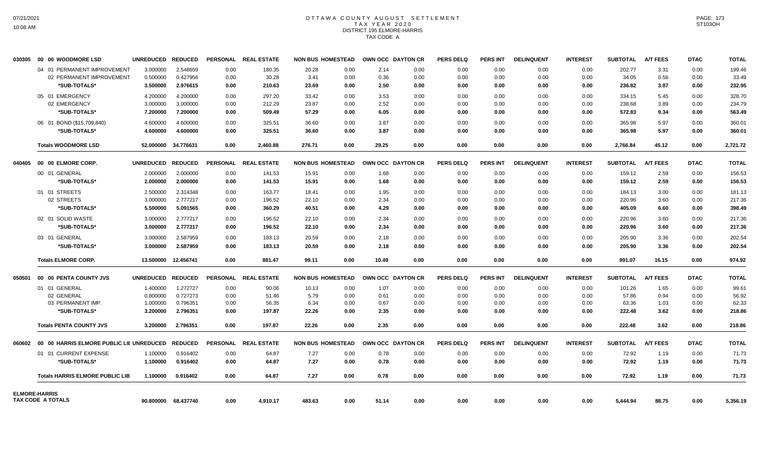# OTTAWA COUNTY AUGUST SETTLEMENT T A X Y E A R 2 0 2 0 DISTRICT 195 ELMORE-HARRIS TAX CODE A

| 030305 | 00 00 WOODMORE LSD                       | <b>UNREDUCED</b>  | <b>REDUCED</b>      |      | PERSONAL REAL ESTATE | <b>NON BUS HOMESTEAD</b> |      |       | OWN OCC DAYTON CR | <b>PERS DELQ</b> | <b>PERS INT</b> | <b>DELINQUENT</b> | <b>INTEREST</b> | <b>SUBTOTAL</b> | <b>A/T FEES</b> | <b>DTAC</b> | <b>TOTAL</b> |
|--------|------------------------------------------|-------------------|---------------------|------|----------------------|--------------------------|------|-------|-------------------|------------------|-----------------|-------------------|-----------------|-----------------|-----------------|-------------|--------------|
|        | 04 01 PERMANENT IMPROVEMENT              | 3.000000          | 2.548659            | 0.00 | 180.35               | 20.28                    | 0.00 | 2.14  | 0.00              | 0.00             | 0.00            | 0.00              | 0.00            | 202.77          | 3.31            | 0.00        | 199.46       |
|        | 02 PERMANENT IMPROVEMENT                 | 0.500000          | 0.427956            | 0.00 | 30.28                | 3.41                     | 0.00 | 0.36  | 0.00              | 0.00             | 0.00            | 0.00              | 0.00            | 34.05           | 0.56            | 0.00        | 33.49        |
|        | *SUB-TOTALS*                             | 3.500000          | 2.976615            | 0.00 | 210.63               | 23.69                    | 0.00 | 2.50  | 0.00              | 0.00             | 0.00            | 0.00              | 0.00            | 236.82          | 3.87            | 0.00        | 232.95       |
|        | 05 01 EMERGENCY                          | 4.200000          | 4.200000            | 0.00 | 297.20               | 33.42                    | 0.00 | 3.53  | 0.00              | 0.00             | 0.00            | 0.00              | 0.00            | 334.15          | 5.45            | 0.00        | 328.70       |
|        | 02 EMERGENCY                             | 3.000000          | 3.000000            | 0.00 | 212.29               | 23.87                    | 0.00 | 2.52  | 0.00              | 0.00             | 0.00            | 0.00              | 0.00            | 238.68          | 3.89            | 0.00        | 234.79       |
|        | *SUB-TOTALS*                             | 7.200000          | 7.200000            | 0.00 | 509.49               | 57.29                    | 0.00 | 6.05  | 0.00              | 0.00             | 0.00            | 0.00              | 0.00            | 572.83          | 9.34            | 0.00        | 563.49       |
|        | 06 01 BOND (\$15,709,840)                | 4.600000          | 4.600000            | 0.00 | 325.51               | 36.60                    | 0.00 | 3.87  | 0.00              | 0.00             | 0.00            | 0.00              | 0.00            | 365.98          | 5.97            | 0.00        | 360.01       |
|        | *SUB-TOTALS*                             | 4.600000          | 4.600000            | 0.00 | 325.51               | 36.60                    | 0.00 | 3.87  | 0.00              | 0.00             | 0.00            | 0.00              | 0.00            | 365.98          | 5.97            | 0.00        | 360.01       |
|        | <b>Totals WOODMORE LSD</b>               |                   | 52.000000 34.776631 | 0.00 | 2,460.88             | 276.71                   | 0.00 | 29.25 | 0.00              | 0.00             | 0.00            | 0.00              | 0.00            | 2,766.84        | 45.12           | 0.00        | 2,721.72     |
| 040405 | 00 00 ELMORE CORP.                       | <b>UNREDUCED</b>  | <b>REDUCED</b>      |      | PERSONAL REAL ESTATE | <b>NON BUS HOMESTEAD</b> |      |       | OWN OCC DAYTON CR | <b>PERS DELQ</b> | <b>PERS INT</b> | <b>DELINQUENT</b> | <b>INTEREST</b> | <b>SUBTOTAL</b> | <b>A/T FEES</b> | <b>DTAC</b> | <b>TOTAL</b> |
|        | 00 01 GENERAL                            | 2.000000          | 2.000000            | 0.00 | 141.53               | 15.91                    | 0.00 | 1.68  | 0.00              | 0.00             | 0.00            | 0.00              | 0.00            | 159.12          | 2.59            | 0.00        | 156.53       |
|        | *SUB-TOTALS*                             | 2.000000          | 2.000000            | 0.00 | 141.53               | 15.91                    | 0.00 | 1.68  | 0.00              | 0.00             | 0.00            | 0.00              | 0.00            | 159.12          | 2.59            | 0.00        | 156.53       |
|        | 01 01 STREETS                            | 2.500000          | 2.314348            | 0.00 | 163.77               | 18.41                    | 0.00 | 1.95  | 0.00              | 0.00             | 0.00            | 0.00              | 0.00            | 184.13          | 3.00            | 0.00        | 181.13       |
|        | 02 STREETS                               | 3.000000          | 2.777217            | 0.00 | 196.52               | 22.10                    | 0.00 | 2.34  | 0.00              | 0.00             | 0.00            | 0.00              | 0.00            | 220.96          | 3.60            | 0.00        | 217.36       |
|        | *SUB-TOTALS*                             | 5.500000          | 5.091565            | 0.00 | 360.29               | 40.51                    | 0.00 | 4.29  | 0.00              | 0.00             | 0.00            | 0.00              | 0.00            | 405.09          | 6.60            | 0.00        | 398.49       |
|        | 02 01 SOLID WASTE                        | 3.000000          | 2.777217            | 0.00 | 196.52               | 22.10                    | 0.00 | 2.34  | 0.00              | 0.00             | 0.00            | 0.00              | 0.00            | 220.96          | 3.60            | 0.00        | 217.36       |
|        | *SUB-TOTALS*                             | 3.000000          | 2.777217            | 0.00 | 196.52               | 22.10                    | 0.00 | 2.34  | 0.00              | 0.00             | 0.00            | 0.00              | 0.00            | 220.96          | 3.60            | 0.00        | 217.36       |
|        | 03 01 GENERAL                            | 3.000000          | 2.587959            | 0.00 | 183.13               | 20.59                    | 0.00 | 2.18  | 0.00              | 0.00             | 0.00            | 0.00              | 0.00            | 205.90          | 3.36            | 0.00        | 202.54       |
|        | *SUB-TOTALS*                             | 3.000000          | 2.587959            | 0.00 | 183.13               | 20.59                    | 0.00 | 2.18  | 0.00              | 0.00             | 0.00            | 0.00              | 0.00            | 205.90          | 3.36            | 0.00        | 202.54       |
|        | <b>Totals ELMORE CORP.</b>               |                   | 13.500000 12.456741 | 0.00 | 881.47               | 99.11                    | 0.00 | 10.49 | 0.00              | 0.00             | 0.00            | 0.00              | 0.00            | 991.07          | 16.15           | 0.00        | 974.92       |
| 050501 | 00 00 PENTA COUNTY JVS                   | UNREDUCED REDUCED |                     |      | PERSONAL REAL ESTATE | <b>NON BUS HOMESTEAD</b> |      |       | OWN OCC DAYTON CR | <b>PERS DELQ</b> | <b>PERS INT</b> | <b>DELINQUENT</b> | <b>INTEREST</b> | <b>SUBTOTAL</b> | <b>A/T FEES</b> | <b>DTAC</b> | <b>TOTAL</b> |
|        | 01 01 GENERAL                            | 1.400000          | 1.272727            | 0.00 | 90.06                | 10.13                    | 0.00 | 1.07  | 0.00              | 0.00             | 0.00            | 0.00              | 0.00            | 101.26          | 1.65            | 0.00        | 99.61        |
|        | 02 GENERAL                               | 0.800000          | 0.727273            | 0.00 | 51.46                | 5.79                     | 0.00 | 0.61  | 0.00              | 0.00             | 0.00            | 0.00              | 0.00            | 57.86           | 0.94            | 0.00        | 56.92        |
|        | 03 PERMANENT IMP.                        | 1.000000          | 0.796351            | 0.00 | 56.35                | 6.34                     | 0.00 | 0.67  | 0.00              | 0.00             | 0.00            | 0.00              | 0.00            | 63.36           | 1.03            | 0.00        | 62.33        |
|        | *SUB-TOTALS*                             | 3.200000          | 2.796351            | 0.00 | 197.87               | 22.26                    | 0.00 | 2.35  | 0.00              | 0.00             | 0.00            | 0.00              | 0.00            | 222.48          | 3.62            | 0.00        | 218.86       |
|        | <b>Totals PENTA COUNTY JVS</b>           | 3.200000          | 2.796351            | 0.00 | 197.87               | 22.26                    | 0.00 | 2.35  | 0.00              | 0.00             | 0.00            | 0.00              | 0.00            | 222.48          | 3.62            | 0.00        | 218.86       |
| 060602 | 00 00 HARRIS ELMORE PUBLIC LIE UNREDUCED |                   | <b>REDUCED</b>      |      | PERSONAL REAL ESTATE | <b>NON BUS HOMESTEAD</b> |      |       | OWN OCC DAYTON CR | <b>PERS DELQ</b> | <b>PERS INT</b> | <b>DELINQUENT</b> | <b>INTEREST</b> | <b>SUBTOTAL</b> | <b>A/T FEES</b> | <b>DTAC</b> | <b>TOTAL</b> |
|        | 01 01 CURRENT EXPENSE                    | 1.100000          | 0.916402            | 0.00 | 64.87                | 7.27                     | 0.00 | 0.78  | 0.00              | 0.00             | 0.00            | 0.00              | 0.00            | 72.92           | 1.19            | 0.00        | 71.73        |
|        | *SUB-TOTALS*                             | 1.100000          | 0.916402            | 0.00 | 64.87                | 7.27                     | 0.00 | 0.78  | 0.00              | 0.00             | 0.00            | 0.00              | 0.00            | 72.92           | 1.19            | 0.00        | 71.73        |
|        | <b>Totals HARRIS ELMORE PUBLIC LIB</b>   | 1.100000          | 0.916402            | 0.00 | 64.87                | 7.27                     | 0.00 | 0.78  | 0.00              | 0.00             | 0.00            | 0.00              | 0.00            | 72.92           | 1.19            | 0.00        | 71.73        |
|        | <b>ELMORE-HARRIS</b>                     |                   |                     |      |                      |                          |      |       |                   |                  |                 |                   |                 |                 |                 |             |              |
|        | TAX CODE A TOTALS                        |                   | 90.800000 68.437740 | 0.00 | 4,910.17             | 483.63                   | 0.00 | 51.14 | 0.00              | 0.00             | 0.00            | 0.00              | 0.00            | 5,444.94        | 88.75           | 0.00        | 5,356.19     |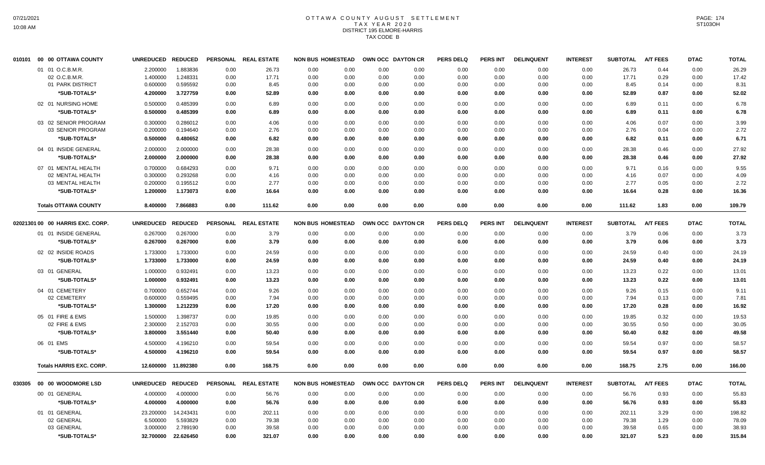## OTTAWA COUNTY AUGUST SETTLEMENT T A X Y E A R 2 0 2 0 DISTRICT 195 ELMORE-HARRIS TAX CODE B

| 010101 | 00 00 OTTAWA COUNTY              | <b>UNREDUCED</b>  | <b>REDUCED</b>      |      | PERSONAL REAL ESTATE | <b>NON BUS HOMESTEAD</b> | OWN OCC DAYTON CR |      | <b>PERS DELQ</b> | PERS INT | <b>DELINQUENT</b> | <b>INTEREST</b> | <b>SUBTOTAL</b> | A/T FEES        | <b>DTAC</b> | <b>TOTAL</b> |
|--------|----------------------------------|-------------------|---------------------|------|----------------------|--------------------------|-------------------|------|------------------|----------|-------------------|-----------------|-----------------|-----------------|-------------|--------------|
|        | 01 01 O.C.B.M.R.                 | 2.200000          | 1.883836            | 0.00 | 26.73                | 0.00<br>0.00             | 0.00              | 0.00 | 0.00             | 0.00     | 0.00              | 0.00            | 26.73           | 0.44            | 0.00        | 26.29        |
|        | 02 O.C.B.M.R                     | 1.400000          | 1.248331            | 0.00 | 17.71                | 0.00<br>0.00             | 0.00              | 0.00 | 0.00             | 0.00     | 0.00              | 0.00            | 17.71           | 0.29            | 0.00        | 17.42        |
|        | 01 PARK DISTRICT                 | 0.600000          | 0.595592            | 0.00 | 8.45                 | 0.00<br>0.00             | 0.00              | 0.00 | 0.00             | 0.00     | 0.00              | 0.00            | 8.45            | 0.14            | 0.00        | 8.31         |
|        | *SUB-TOTALS*                     | 4.200000          | 3.727759            | 0.00 | 52.89                | 0.00<br>0.00             | 0.00              | 0.00 | 0.00             | 0.00     | 0.00              | 0.00            | 52.89           | 0.87            | 0.00        | 52.02        |
|        | 02 01 NURSING HOME               | 0.500000          | 0.485399            | 0.00 | 6.89                 | 0.00<br>0.00             | 0.00              | 0.00 | 0.00             | 0.00     | 0.00              | 0.00            | 6.89            | 0.11            | 0.00        | 6.78         |
|        | *SUB-TOTALS*                     | 0.500000          | 0.485399            | 0.00 | 6.89                 | 0.00<br>0.00             | 0.00              | 0.00 | 0.00             | 0.00     | 0.00              | 0.00            | 6.89            | 0.11            | 0.00        | 6.78         |
|        | 03 02 SENIOR PROGRAM             | 0.300000          | 0.286012            | 0.00 | 4.06                 | 0.00<br>0.00             | 0.00              | 0.00 | 0.00             | 0.00     | 0.00              | 0.00            | 4.06            | 0.07            | 0.00        | 3.99         |
|        | 03 SENIOR PROGRAM                | 0.200000          | 0.194640            | 0.00 | 2.76                 | 0.00<br>0.00             | 0.00              | 0.00 | 0.00             | 0.00     | 0.00              | 0.00            | 2.76            | 0.04            | 0.00        | 2.72         |
|        | *SUB-TOTALS*                     | 0.500000          | 0.480652            | 0.00 | 6.82                 | 0.00<br>0.00             | 0.00              | 0.00 | 0.00             | 0.00     | 0.00              | 0.00            | 6.82            | 0.11            | 0.00        | 6.71         |
|        | 04 01 INSIDE GENERAL             | 2.000000          | 2.000000            | 0.00 | 28.38                | 0.00<br>0.00             | 0.00              | 0.00 | 0.00             | 0.00     | 0.00              | 0.00            | 28.38           | 0.46            | 0.00        | 27.92        |
|        | *SUB-TOTALS*                     | 2.000000          | 2.000000            | 0.00 | 28.38                | 0.00<br>0.00             | 0.00              | 0.00 | 0.00             | 0.00     | 0.00              | 0.00            | 28.38           | 0.46            | 0.00        | 27.92        |
|        | 07 01 MENTAL HEALTH              | 0.700000          | 0.684293            | 0.00 | 9.71                 | 0.00<br>0.00             | 0.00              | 0.00 | 0.00             | 0.00     | 0.00              | 0.00            | 9.71            | 0.16            | 0.00        | 9.55         |
|        | 02 MENTAL HEALTH                 | 0.300000          | 0.293268            | 0.00 | 4.16                 | 0.00<br>0.00             | 0.00              | 0.00 | 0.00             | 0.00     | 0.00              | 0.00            | 4.16            | 0.07            | 0.00        | 4.09         |
|        | 03 MENTAL HEALTH                 | 0.200000          | 0.195512            | 0.00 | 2.77                 | 0.00<br>0.00             | 0.00              | 0.00 | 0.00             | 0.00     | 0.00              | 0.00            | 2.77            | 0.05            | 0.00        | 2.72         |
|        | *SUB-TOTALS*                     | 1.200000          | 1.173073            | 0.00 | 16.64                | 0.00<br>0.00             | 0.00              | 0.00 | 0.00             | 0.00     | 0.00              | 0.00            | 16.64           | 0.28            | 0.00        | 16.36        |
|        | <b>Totals OTTAWA COUNTY</b>      | 8.400000          | 7.866883            | 0.00 | 111.62               | 0.00<br>0.00             | 0.00              | 0.00 | 0.00             | 0.00     | 0.00              | 0.00            | 111.62          | 1.83            | 0.00        | 109.79       |
|        | 02021301 00 00 HARRIS EXC. CORP. | UNREDUCED REDUCED |                     |      | PERSONAL REAL ESTATE | <b>NON BUS HOMESTEAD</b> | OWN OCC DAYTON CR |      | <b>PERS DELQ</b> | PERS INT | <b>DELINQUENT</b> | <b>INTEREST</b> | <b>SUBTOTAL</b> | <b>A/T FEES</b> | <b>DTAC</b> | <b>TOTAL</b> |
|        | 01 01 INSIDE GENERAL             | 0.267000          | 0.267000            | 0.00 | 3.79                 | 0.00<br>0.00             | 0.00              | 0.00 | 0.00             | 0.00     | 0.00              | 0.00            | 3.79            | 0.06            | 0.00        | 3.73         |
|        | *SUB-TOTALS*                     | 0.267000          | 0.267000            | 0.00 | 3.79                 | 0.00<br>0.00             | 0.00              | 0.00 | 0.00             | 0.00     | 0.00              | 0.00            | 3.79            | 0.06            | 0.00        | 3.73         |
|        |                                  |                   |                     |      |                      |                          |                   |      |                  |          |                   |                 |                 |                 |             |              |
|        | 02 02 INSIDE ROADS               | 1.733000          | 1.733000            | 0.00 | 24.59                | 0.00<br>0.00             | 0.00              | 0.00 | 0.00             | 0.00     | 0.00              | 0.00            | 24.59           | 0.40            | 0.00        | 24.19        |
|        | *SUB-TOTALS*                     | 1.733000          | 1.733000            | 0.00 | 24.59                | 0.00<br>0.00             | 0.00              | 0.00 | 0.00             | 0.00     | 0.00              | 0.00            | 24.59           | 0.40            | 0.00        | 24.19        |
|        | 03 01 GENERAL                    | 1.000000          | 0.932491            | 0.00 | 13.23                | 0.00<br>0.00             | 0.00              | 0.00 | 0.00             | 0.00     | 0.00              | 0.00            | 13.23           | 0.22            | 0.00        | 13.01        |
|        | *SUB-TOTALS*                     | 1.000000          | 0.932491            | 0.00 | 13.23                | 0.00<br>0.00             | 0.00              | 0.00 | 0.00             | 0.00     | 0.00              | 0.00            | 13.23           | 0.22            | 0.00        | 13.01        |
|        | 04 01 CEMETERY                   | 0.700000          | 0.652744            | 0.00 | 9.26                 | 0.00<br>0.00             | 0.00              | 0.00 | 0.00             | 0.00     | 0.00              | 0.00            | 9.26            | 0.15            | 0.00        | 9.11         |
|        | 02 CEMETERY                      | 0.600000          | 0.559495            | 0.00 | 7.94                 | 0.00<br>0.00             | 0.00              | 0.00 | 0.00             | 0.00     | 0.00              | 0.00            | 7.94            | 0.13            | 0.00        | 7.81         |
|        | *SUB-TOTALS*                     | 1.300000          | 1.212239            | 0.00 | 17.20                | 0.00<br>0.00             | 0.00              | 0.00 | 0.00             | 0.00     | 0.00              | 0.00            | 17.20           | 0.28            | 0.00        | 16.92        |
|        | 05 01 FIRE & EMS                 | 1.500000          | 1.398737            | 0.00 | 19.85                | 0.00<br>0.00             | 0.00              | 0.00 | 0.00             | 0.00     | 0.00              | 0.00            | 19.85           | 0.32            | 0.00        | 19.53        |
|        | 02 FIRE & EMS                    | 2.300000          | 2.152703            | 0.00 | 30.55                | 0.00<br>0.00             | 0.00              | 0.00 | 0.00             | 0.00     | 0.00              | 0.00            | 30.55           | 0.50            | 0.00        | 30.05        |
|        | *SUB-TOTALS*                     | 3.800000          | 3.551440            | 0.00 | 50.40                | 0.00<br>0.00             | 0.00              | 0.00 | 0.00             | 0.00     | 0.00              | 0.00            | 50.40           | 0.82            | 0.00        | 49.58        |
|        | 06 01 EMS                        | 4.500000          | 4.196210            | 0.00 | 59.54                | 0.00<br>0.00             | 0.00              | 0.00 | 0.00             | 0.00     | 0.00              | 0.00            | 59.54           | 0.97            | 0.00        | 58.57        |
|        | *SUB-TOTALS*                     | 4.500000          | 4.196210            | 0.00 | 59.54                | 0.00<br>0.00             | 0.00              | 0.00 | 0.00             | 0.00     | 0.00              | 0.00            | 59.54           | 0.97            | 0.00        | 58.57        |
|        | <b>Totals HARRIS EXC. CORP.</b>  |                   | 12.600000 11.892380 | 0.00 | 168.75               | 0.00<br>0.00             | 0.00              | 0.00 | 0.00             | 0.00     | 0.00              | 0.00            | 168.75          | 2.75            | 0.00        | 166.00       |
|        | 030305 00 00 WOODMORE LSD        | UNREDUCED REDUCED |                     |      | PERSONAL REAL ESTATE | <b>NON BUS HOMESTEAD</b> | OWN OCC DAYTON CR |      | <b>PERS DELQ</b> | PERS INT | <b>DELINQUENT</b> | <b>INTEREST</b> | <b>SUBTOTAL</b> | <b>A/T FEES</b> | <b>DTAC</b> | <b>TOTAL</b> |
|        | 00 01 GENERAL                    | 4.000000          | 4.000000            | 0.00 | 56.76                | 0.00<br>0.00             | 0.00              | 0.00 | 0.00             | 0.00     | 0.00              | 0.00            | 56.76           | 0.93            | 0.00        | 55.83        |
|        | *SUB-TOTALS*                     | 4.000000          | 4.000000            | 0.00 | 56.76                | 0.00<br>0.00             | 0.00              | 0.00 | 0.00             | 0.00     | 0.00              | 0.00            | 56.76           | 0.93            | 0.00        | 55.83        |
|        | 01 01 GENERAL                    | 23.200000         | 14.243431           | 0.00 | 202.11               | 0.00<br>0.00             | 0.00              | 0.00 | 0.00             | 0.00     | 0.00              | 0.00            | 202.11          | 3.29            | 0.00        | 198.82       |
|        | 02 GENERAL                       | 6.500000          | 5.593829            | 0.00 | 79.38                | 0.00<br>0.00             | 0.00              | 0.00 | 0.00             | 0.00     | 0.00              | 0.00            | 79.38           | 1.29            | 0.00        | 78.09        |
|        | 03 GENERAL                       | 3.000000          | 2.789190            | 0.00 | 39.58                | 0.00<br>0.00             | 0.00              | 0.00 | 0.00             | 0.00     | 0.00              | 0.00            | 39.58           | 0.65            | 0.00        | 38.93        |
|        | *SUB-TOTALS*                     | 32.700000         | 22.626450           | 0.00 | 321.07               | 0.00<br>0.00             | 0.00              | 0.00 | 0.00             | 0.00     | 0.00              | 0.00            | 321.07          | 5.23            | 0.00        | 315.84       |
|        |                                  |                   |                     |      |                      |                          |                   |      |                  |          |                   |                 |                 |                 |             |              |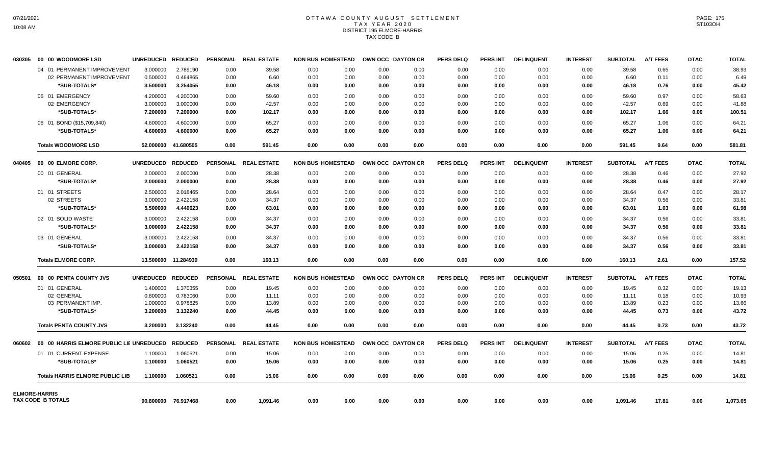# OTTAWA COUNTY AUGUST SETTLEMENT T A X Y E A R 2 0 2 0 DISTRICT 195 ELMORE-HARRIS TAX CODE B

| 030305 | 00 00 WOODMORE LSD                              | UNREDUCED REDUCED |                     |                 | PERSONAL REAL ESTATE | <b>NON BUS HOMESTEAD</b> |                | OWN OCC DAYTON CR | <b>PERS DELQ</b> | <b>PERS INT</b> | <b>DELINQUENT</b> | <b>INTEREST</b> | <b>SUBTOTAL</b> | <b>A/T FEES</b> | <b>DTAC</b> | <b>TOTAL</b> |
|--------|-------------------------------------------------|-------------------|---------------------|-----------------|----------------------|--------------------------|----------------|-------------------|------------------|-----------------|-------------------|-----------------|-----------------|-----------------|-------------|--------------|
|        | 04 01 PERMANENT IMPROVEMENT                     | 3.000000          | 2.789190            | 0.00            | 39.58                | 0.00<br>0.00             | 0.00           | 0.00              | 0.00             | 0.00            | 0.00              | 0.00            | 39.58           | 0.65            | 0.00        | 38.93        |
|        | 02 PERMANENT IMPROVEMENT                        | 0.500000          | 0.464865            | 0.00            | 6.60                 | 0.00<br>0.00             | 0.00           | 0.00              | 0.00             | 0.00            | 0.00              | 0.00            | 6.60            | 0.11            | 0.00        | 6.49         |
|        | *SUB-TOTALS*                                    | 3.500000          | 3.254055            | 0.00            | 46.18                | 0.00<br>0.00             | 0.00           | 0.00              | 0.00             | 0.00            | 0.00              | 0.00            | 46.18           | 0.76            | 0.00        | 45.42        |
|        | 05 01 EMERGENCY                                 | 4.200000          | 4.200000            | 0.00            | 59.60                | 0.00<br>0.00             | 0.00           | 0.00              | 0.00             | 0.00            | 0.00              | 0.00            | 59.60           | 0.97            | 0.00        | 58.63        |
|        | 02 EMERGENCY                                    | 3.000000          | 3.000000            | 0.00            | 42.57                | 0.00<br>0.00             | 0.00           | 0.00              | 0.00             | 0.00            | 0.00              | 0.00            | 42.57           | 0.69            | 0.00        | 41.88        |
|        | *SUB-TOTALS*                                    | 7.200000          | 7.200000            | 0.00            | 102.17               | 0.00<br>0.00             | 0.00           | 0.00              | 0.00             | 0.00            | 0.00              | 0.00            | 102.17          | 1.66            | 0.00        | 100.51       |
|        | 06 01 BOND (\$15,709,840)                       | 4.600000          | 4.600000            | 0.00            | 65.27                | 0.00<br>0.00             | 0.00           | 0.00              | 0.00             | 0.00            | 0.00              | 0.00            | 65.27           | 1.06            | 0.00        | 64.21        |
|        | *SUB-TOTALS*                                    | 4.600000          | 4.600000            | 0.00            | 65.27                | 0.00<br>0.00             | 0.00           | 0.00              | 0.00             | 0.00            | 0.00              | 0.00            | 65.27           | 1.06            | 0.00        | 64.21        |
|        | <b>Totals WOODMORE LSD</b>                      |                   | 52.000000 41.680505 | 0.00            | 591.45               | 0.00<br>0.00             | 0.00           | 0.00              | 0.00             | 0.00            | 0.00              | 0.00            | 591.45          | 9.64            | 0.00        | 581.81       |
| 040405 | 00 00 ELMORE CORP.                              | <b>UNREDUCED</b>  | <b>REDUCED</b>      | <b>PERSONAL</b> | <b>REAL ESTATE</b>   | <b>NON BUS HOMESTEAD</b> |                | OWN OCC DAYTON CR | <b>PERS DELQ</b> | <b>PERS INT</b> | <b>DELINQUENT</b> | <b>INTEREST</b> | <b>SUBTOTAL</b> | <b>A/T FEES</b> | <b>DTAC</b> | <b>TOTAL</b> |
|        | 00 01 GENERAL                                   | 2.000000          | 2.000000            | 0.00            | 28.38                | 0.00<br>0.00             | 0.00           | 0.00              | 0.00             | 0.00            | 0.00              | 0.00            | 28.38           | 0.46            | 0.00        | 27.92        |
|        | *SUB-TOTALS*                                    | 2.000000          | 2.000000            | 0.00            | 28.38                | 0.00<br>0.00             | 0.00           | 0.00              | 0.00             | 0.00            | 0.00              | 0.00            | 28.38           | 0.46            | 0.00        | 27.92        |
|        | 01 01 STREETS                                   | 2.500000          | 2.018465            | 0.00            | 28.64                | 0.00<br>0.00             | 0.00           | 0.00              | 0.00             | 0.00            | 0.00              | 0.00            | 28.64           | 0.47            | 0.00        | 28.17        |
|        | 02 STREETS                                      | 3.000000          | 2.422158            | 0.00            | 34.37                | 0.00<br>0.00             | 0.00           | 0.00              | 0.00             | 0.00            | 0.00              | 0.00            | 34.37           | 0.56            | 0.00        | 33.81        |
|        | *SUB-TOTALS*                                    | 5.500000          | 4.440623            | 0.00            | 63.01                | 0.00<br>0.00             | 0.00           | 0.00              | 0.00             | 0.00            | 0.00              | 0.00            | 63.01           | 1.03            | 0.00        | 61.98        |
|        | 02 01 SOLID WASTE                               | 3.000000          | 2.422158            | 0.00            | 34.37                | 0.00<br>0.00             | 0.00           | 0.00              | 0.00             | 0.00            | 0.00              | 0.00            | 34.37           | 0.56            | 0.00        | 33.81        |
|        | *SUB-TOTALS*                                    | 3.000000          | 2.422158            | 0.00            | 34.37                | 0.00<br>0.00             | 0.00           | 0.00              | 0.00             | 0.00            | 0.00              | 0.00            | 34.37           | 0.56            | 0.00        | 33.81        |
|        | 03 01 GENERAL                                   | 3.000000          | 2.422158            | 0.00            | 34.37                | 0.00<br>0.00             | 0.00           | 0.00              | 0.00             | 0.00            | 0.00              | 0.00            | 34.37           | 0.56            | 0.00        | 33.81        |
|        | *SUB-TOTALS*                                    | 3.000000          | 2.422158            | 0.00            | 34.37                | 0.00<br>0.00             | 0.00           | 0.00              | 0.00             | 0.00            | 0.00              | 0.00            | 34.37           | 0.56            | 0.00        | 33.81        |
|        | <b>Totals ELMORE CORP.</b>                      |                   | 13.500000 11.284939 | 0.00            | 160.13               | 0.00<br>0.00             | 0.00           | 0.00              | 0.00             | 0.00            | 0.00              | 0.00            | 160.13          | 2.61            | 0.00        | 157.52       |
| 050501 | 00 00 PENTA COUNTY JVS                          | UNREDUCED REDUCED |                     |                 | PERSONAL REAL ESTATE | <b>NON BUS HOMESTEAD</b> |                | OWN OCC DAYTON CR | <b>PERS DELQ</b> | <b>PERS INT</b> | <b>DELINQUENT</b> | <b>INTEREST</b> | <b>SUBTOTAL</b> | <b>A/T FEES</b> | <b>DTAC</b> | <b>TOTAL</b> |
|        | 01 01 GENERAL                                   | 1.400000          | 1.370355            | 0.00            | 19.45                | 0.00<br>0.00             | 0.00           | 0.00              | 0.00             | 0.00            | 0.00              | 0.00            | 19.45           | 0.32            | 0.00        | 19.13        |
|        | 02 GENERAL                                      | 0.800000          | 0.783060            | 0.00            | 11.11                | 0.00<br>0.00             | 0.00           | 0.00              | 0.00             | 0.00            | 0.00              | 0.00            | 11.11           | 0.18            | 0.00        | 10.93        |
|        | 03 PERMANENT IMP.                               | 1.000000          | 0.978825            | 0.00            | 13.89                | 0.00<br>0.00             | 0.00           | 0.00              | 0.00             | 0.00            | 0.00              | 0.00            | 13.89           | 0.23            | 0.00        | 13.66        |
|        | *SUB-TOTALS*                                    | 3.200000          | 3.132240            | 0.00            | 44.45                | 0.00<br>0.00             | 0.00           | 0.00              | 0.00             | 0.00            | 0.00              | 0.00            | 44.45           | 0.73            | 0.00        | 43.72        |
|        | <b>Totals PENTA COUNTY JVS</b>                  | 3.200000          | 3.132240            | 0.00            | 44.45                | 0.00<br>0.00             | 0.00           | 0.00              | 0.00             | 0.00            | 0.00              | 0.00            | 44.45           | 0.73            | 0.00        | 43.72        |
|        | 060602 00 00 HARRIS ELMORE PUBLIC LIE UNREDUCED |                   | <b>REDUCED</b>      | <b>PERSONAL</b> | <b>REAL ESTATE</b>   | <b>NON BUS HOMESTEAD</b> | <b>OWN OCC</b> | <b>DAYTON CR</b>  | <b>PERS DELQ</b> | <b>PERS INT</b> | <b>DELINQUENT</b> | <b>INTEREST</b> | <b>SUBTOTAL</b> | <b>A/T FEES</b> | <b>DTAC</b> | <b>TOTAL</b> |
|        | 01 01 CURRENT EXPENSE                           | 1.100000          | 1.060521            | 0.00            | 15.06                | 0.00<br>0.00             | 0.00           | 0.00              | 0.00             | 0.00            | 0.00              | 0.00            | 15.06           | 0.25            | 0.00        | 14.81        |
|        | *SUB-TOTALS*                                    | 1.100000          | 1.060521            | 0.00            | 15.06                | 0.00<br>0.00             | 0.00           | 0.00              | 0.00             | 0.00            | 0.00              | 0.00            | 15.06           | 0.25            | 0.00        | 14.81        |
|        | <b>Totals HARRIS ELMORE PUBLIC LIB</b>          | 1.100000          | 1.060521            | 0.00            | 15.06                | 0.00<br>0.00             | 0.00           | 0.00              | 0.00             | 0.00            | 0.00              | 0.00            | 15.06           | 0.25            | 0.00        | 14.81        |
|        | <b>ELMORE-HARRIS</b>                            |                   |                     |                 |                      |                          |                |                   |                  |                 |                   |                 |                 |                 |             |              |
|        | <b>TAX CODE B TOTALS</b>                        |                   | 90.800000 76.917468 | 0.00            | 1,091.46             | 0.00<br>0.00             | 0.00           | 0.00              | 0.00             | 0.00            | 0.00              | 0.00            | 1,091.46        | 17.81           | 0.00        | 1,073.65     |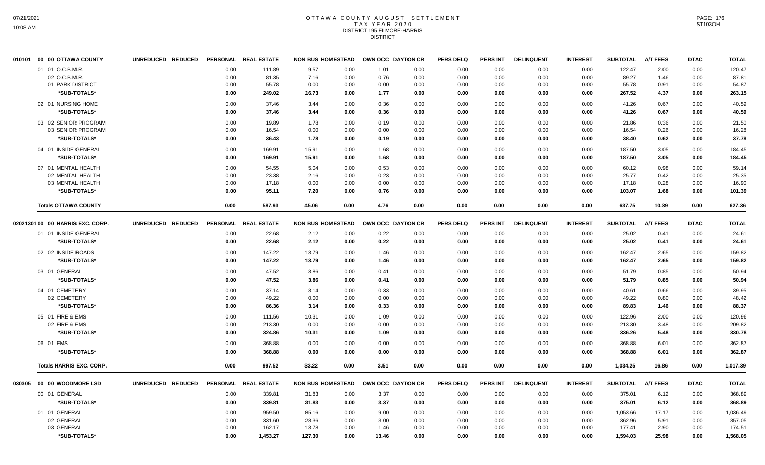#### OTTAWA COUNTY AUGUST SETTLEMENT T A X Y E A R 2 0 2 0 DISTRICT 195 ELMORE-HARRIS **DISTRICT**

|        | 010101 00 00 OTTAWA COUNTY       | UNREDUCED REDUCED | <b>PERSONAL</b> | <b>REAL ESTATE</b> | <b>NON BUS HOMESTEAD</b> |              |              | OWN OCC DAYTON CR | <b>PERS DELQ</b> | <b>PERS INT</b> | <b>DELINQUENT</b> | <b>INTEREST</b> | <b>SUBTOTAL</b>  | <b>A/T FEES</b> | <b>DTAC</b>  | <b>TOTAL</b>     |
|--------|----------------------------------|-------------------|-----------------|--------------------|--------------------------|--------------|--------------|-------------------|------------------|-----------------|-------------------|-----------------|------------------|-----------------|--------------|------------------|
|        | 01 01 O.C.B.M.R.                 |                   | 0.00            | 111.89             | 9.57                     | 0.00         | 1.01         | 0.00              | 0.00             | 0.00            | 0.00              | 0.00            | 122.47           | 2.00            | 0.00         | 120.47           |
|        | 02 O.C.B.M.R.                    |                   | 0.00            | 81.35              | 7.16                     | 0.00         | 0.76         | 0.00              | 0.00             | 0.00            | 0.00              | 0.00            | 89.27            | 1.46            | 0.00         | 87.81            |
|        | 01 PARK DISTRICT                 |                   | 0.00            | 55.78              | 0.00                     | 0.00         | 0.00         | 0.00              | 0.00             | 0.00            | 0.00              | 0.00            | 55.78            | 0.91            | 0.00         | 54.87            |
|        | *SUB-TOTALS*                     |                   | 0.00            | 249.02             | 16.73                    | 0.00         | 1.77         | 0.00              | 0.00             | 0.00            | 0.00              | 0.00            | 267.52           | 4.37            | 0.00         | 263.15           |
|        | 02 01 NURSING HOME               |                   | 0.00            | 37.46              | 3.44                     | 0.00         | 0.36         | 0.00              | 0.00             | 0.00            | 0.00              | 0.00            | 41.26            | 0.67            | 0.00         | 40.59            |
|        | *SUB-TOTALS*                     |                   | 0.00            | 37.46              | 3.44                     | 0.00         | 0.36         | 0.00              | 0.00             | 0.00            | 0.00              | 0.00            | 41.26            | 0.67            | 0.00         | 40.59            |
|        | 03 02 SENIOR PROGRAM             |                   | 0.00            | 19.89              | 1.78                     | 0.00         | 0.19         | 0.00              | 0.00             | 0.00            | 0.00              | 0.00            | 21.86            | 0.36            | 0.00         | 21.50            |
|        | 03 SENIOR PROGRAM                |                   | 0.00            | 16.54              | 0.00                     | 0.00         | 0.00         | 0.00              | 0.00             | 0.00            | 0.00              | 0.00            | 16.54            | 0.26            | 0.00         | 16.28            |
|        | *SUB-TOTALS*                     |                   | 0.00            | 36.43              | 1.78                     | 0.00         | 0.19         | 0.00              | 0.00             | 0.00            | 0.00              | 0.00            | 38.40            | 0.62            | 0.00         | 37.78            |
|        | 04 01 INSIDE GENERAL             |                   | 0.00            | 169.91             | 15.91                    | 0.00         | 1.68         | 0.00              | 0.00             | 0.00            | 0.00              | 0.00            | 187.50           | 3.05            | 0.00         | 184.45           |
|        | *SUB-TOTALS*                     |                   | 0.00            | 169.91             | 15.91                    | 0.00         | 1.68         | 0.00              | 0.00             | 0.00            | 0.00              | 0.00            | 187.50           | 3.05            | 0.00         | 184.45           |
|        | 07 01 MENTAL HEALTH              |                   | 0.00            | 54.55              | 5.04                     | 0.00         | 0.53         | 0.00              | 0.00             | 0.00            | 0.00              | 0.00            | 60.12            | 0.98            | 0.00         | 59.14            |
|        | 02 MENTAL HEALTH                 |                   | 0.00            | 23.38              | 2.16                     | 0.00         | 0.23         | 0.00              | 0.00             | 0.00            | 0.00              | 0.00            | 25.77            | 0.42            | 0.00         | 25.35            |
|        | 03 MENTAL HEALTH                 |                   | 0.00            | 17.18              | 0.00                     | 0.00         | 0.00         | 0.00              | 0.00             | 0.00            | 0.00              | 0.00            | 17.18            | 0.28            | 0.00         | 16.90            |
|        | *SUB-TOTALS*                     |                   | 0.00            | 95.11              | 7.20                     | 0.00         | 0.76         | 0.00              | 0.00             | 0.00            | 0.00              | 0.00            | 103.07           | 1.68            | 0.00         | 101.39           |
|        | <b>Totals OTTAWA COUNTY</b>      |                   | 0.00            | 587.93             | 45.06                    | 0.00         | 4.76         | 0.00              | 0.00             | 0.00            | 0.00              | 0.00            | 637.75           | 10.39           | 0.00         | 627.36           |
|        | 02021301 00 00 HARRIS EXC. CORP. | UNREDUCED REDUCED | PERSONAL        | <b>REAL ESTATE</b> | <b>NON BUS HOMESTEAD</b> |              |              | OWN OCC DAYTON CR | <b>PERS DELQ</b> | <b>PERS INT</b> | <b>DELINQUENT</b> | <b>INTEREST</b> | <b>SUBTOTAL</b>  | <b>A/T FEES</b> | <b>DTAC</b>  | <b>TOTAL</b>     |
|        | 01 01 INSIDE GENERAL             |                   | 0.00            | 22.68              | 2.12                     | 0.00         | 0.22         | 0.00              | 0.00             | 0.00            | 0.00              | 0.00            | 25.02            | 0.41            | 0.00         | 24.61            |
|        | *SUB-TOTALS*                     |                   | 0.00            | 22.68              | 2.12                     | 0.00         | 0.22         | 0.00              | 0.00             | 0.00            | 0.00              | 0.00            | 25.02            | 0.41            | 0.00         | 24.61            |
|        | 02 02 INSIDE ROADS               |                   |                 | 147.22             | 13.79                    | 0.00         | 1.46         | 0.00              | 0.00             |                 |                   |                 | 162.47           | 2.65            |              | 159.82           |
|        |                                  |                   | 0.00            |                    |                          |              |              |                   |                  | 0.00            | 0.00              | 0.00            |                  |                 | 0.00         |                  |
|        | *SUB-TOTALS*                     |                   | 0.00            | 147.22             | 13.79                    | 0.00         | 1.46         | 0.00              | 0.00             | 0.00            | 0.00              | 0.00            | 162.47           | 2.65            | 0.00         | 159.82           |
|        | 03 01 GENERAL                    |                   | 0.00            | 47.52              | 3.86                     | 0.00         | 0.41         | 0.00              | 0.00             | 0.00            | 0.00              | 0.00            | 51.79            | 0.85            | 0.00         | 50.94            |
|        | *SUB-TOTALS*                     |                   | 0.00            | 47.52              | 3.86                     | 0.00         | 0.41         | 0.00              | 0.00             | 0.00            | 0.00              | 0.00            | 51.79            | 0.85            | 0.00         | 50.94            |
|        | 04 01 CEMETERY                   |                   | 0.00            | 37.14              | 3.14                     | 0.00         | 0.33         | 0.00              | 0.00             | 0.00            | 0.00              | 0.00            | 40.61            | 0.66            | 0.00         | 39.95            |
|        | 02 CEMETERY                      |                   | 0.00            | 49.22              | 0.00                     | 0.00         | 0.00         | 0.00              | 0.00             | 0.00            | 0.00              | 0.00            | 49.22            | 0.80            | 0.00         | 48.42            |
|        | *SUB-TOTALS*                     |                   | 0.00            | 86.36              | 3.14                     | 0.00         | 0.33         | 0.00              | 0.00             | 0.00            | 0.00              | 0.00            | 89.83            | 1.46            | 0.00         | 88.37            |
|        | 05 01 FIRE & EMS                 |                   | 0.00            | 111.56             | 10.31                    | 0.00         | 1.09         | 0.00              | 0.00             | 0.00            | 0.00              | 0.00            | 122.96           | 2.00            | 0.00         | 120.96           |
|        | 02 FIRE & EMS                    |                   | 0.00            | 213.30             | 0.00                     | 0.00         | 0.00         | 0.00              | 0.00             | 0.00            | 0.00              | 0.00            | 213.30           | 3.48            | 0.00         | 209.82           |
|        | *SUB-TOTALS*                     |                   | 0.00            | 324.86             | 10.31                    | 0.00         | 1.09         | 0.00              | 0.00             | 0.00            | 0.00              | 0.00            | 336.26           | 5.48            | 0.00         | 330.78           |
|        | 06 01 EMS                        |                   | 0.00            | 368.88             | 0.00                     | 0.00         | 0.00         | 0.00              | 0.00             | 0.00            | 0.00              | 0.00            | 368.88           | 6.01            | 0.00         | 362.87           |
|        | *SUB-TOTALS*                     |                   | 0.00            | 368.88             | 0.00                     | 0.00         | 0.00         | 0.00              | 0.00             | 0.00            | 0.00              | 0.00            | 368.88           | 6.01            | 0.00         | 362.87           |
|        | <b>Totals HARRIS EXC. CORP.</b>  |                   | 0.00            | 997.52             | 33.22                    | 0.00         | 3.51         | 0.00              | 0.00             | 0.00            | 0.00              | 0.00            | 1,034.25         | 16.86           | 0.00         | 1,017.39         |
| 030305 | 00 00 WOODMORE LSD               | UNREDUCED REDUCED | <b>PERSONAL</b> | <b>REAL ESTATE</b> | <b>NON BUS HOMESTEAD</b> |              |              | OWN OCC DAYTON CR | <b>PERS DELQ</b> | <b>PERS INT</b> | <b>DELINQUENT</b> | <b>INTEREST</b> | <b>SUBTOTAL</b>  | <b>A/T FEES</b> | <b>DTAC</b>  | <b>TOTAL</b>     |
|        | 00 01 GENERAL                    |                   | 0.00            | 339.81             | 31.83                    | 0.00         | 3.37         | 0.00              | 0.00             | 0.00            | 0.00              | 0.00            | 375.01           | 6.12            | 0.00         | 368.89           |
|        | *SUB-TOTALS*                     |                   | 0.00            | 339.81             | 31.83                    | 0.00         | 3.37         | 0.00              | 0.00             | 0.00            | 0.00              | 0.00            | 375.01           | 6.12            | 0.00         | 368.89           |
|        | 01 01 GENERAL                    |                   |                 |                    |                          |              |              |                   |                  |                 |                   |                 |                  |                 |              |                  |
|        | 02 GENERAL                       |                   | 0.00            | 959.50             | 85.16                    | 0.00         | 9.00         | 0.00              | 0.00             | 0.00            | 0.00              | 0.00            | 1,053.66         | 17.17           | 0.00         | 1,036.49         |
|        | 03 GENERAL                       |                   | 0.00<br>0.00    | 331.60<br>162.17   | 28.36<br>13.78           | 0.00<br>0.00 | 3.00<br>1.46 | 0.00<br>0.00      | 0.00<br>0.00     | 0.00<br>0.00    | 0.00<br>0.00      | 0.00<br>0.00    | 362.96<br>177.41 | 5.91<br>2.90    | 0.00<br>0.00 | 357.05<br>174.51 |
|        | *SUB-TOTALS*                     |                   | 0.00            | 1,453.27           | 127.30                   | 0.00         | 13.46        | 0.00              | 0.00             | 0.00            | 0.00              | 0.00            | 1,594.03         | 25.98           | 0.00         | 1,568.05         |
|        |                                  |                   |                 |                    |                          |              |              |                   |                  |                 |                   |                 |                  |                 |              |                  |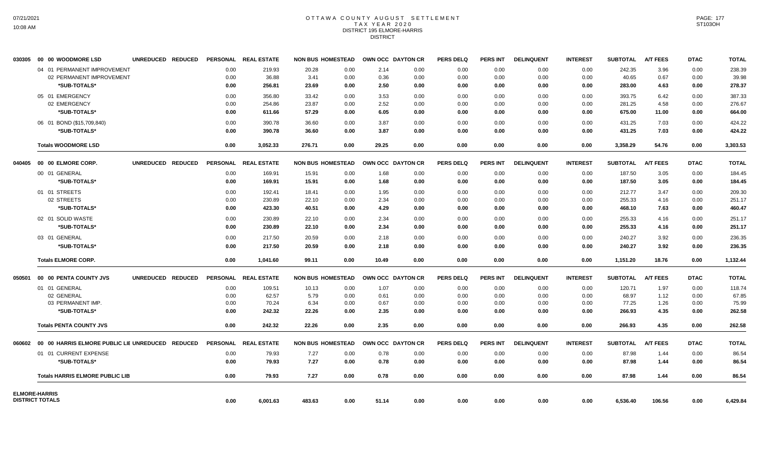### OTTAWA COUNTY AUGUST SETTLEMENT T A X Y E A R 2 0 2 0 DISTRICT 195 ELMORE-HARRIS DISTRICT

| 030305                 | 00 00 WOODMORE LSD                     | UNREDUCED REDUCED |      | PERSONAL REAL ESTATE |        | <b>NON BUS HOMESTEAD</b> |       | OWN OCC DAYTON CR | <b>PERS DELQ</b> | <b>PERS INT</b> | <b>DELINQUENT</b> | <b>INTEREST</b> | <b>SUBTOTAL</b> | <b>A/T FEES</b> | <b>DTAC</b> | <b>TOTAL</b> |
|------------------------|----------------------------------------|-------------------|------|----------------------|--------|--------------------------|-------|-------------------|------------------|-----------------|-------------------|-----------------|-----------------|-----------------|-------------|--------------|
|                        | 04 01 PERMANENT IMPROVEMENT            |                   | 0.00 | 219.93               | 20.28  | 0.00                     | 2.14  | 0.00              | 0.00             | 0.00            | 0.00              | 0.00            | 242.35          | 3.96            | 0.00        | 238.39       |
|                        | 02 PERMANENT IMPROVEMENT               |                   | 0.00 | 36.88                | 3.41   | 0.00                     | 0.36  | 0.00              | 0.00             | 0.00            | 0.00              | 0.00            | 40.65           | 0.67            | 0.00        | 39.98        |
|                        | *SUB-TOTALS*                           |                   | 0.00 | 256.81               | 23.69  | 0.00                     | 2.50  | 0.00              | 0.00             | 0.00            | 0.00              | 0.00            | 283.00          | 4.63            | 0.00        | 278.37       |
|                        | 05 01 EMERGENCY                        |                   | 0.00 | 356.80               | 33.42  | 0.00                     | 3.53  | 0.00              | 0.00             | 0.00            | 0.00              | 0.00            | 393.75          | 6.42            | 0.00        | 387.33       |
|                        | 02 EMERGENCY                           |                   | 0.00 | 254.86               | 23.87  | 0.00                     | 2.52  | 0.00              | 0.00             | 0.00            | 0.00              | 0.00            | 281.25          | 4.58            | 0.00        | 276.67       |
|                        | *SUB-TOTALS*                           |                   | 0.00 | 611.66               | 57.29  | 0.00                     | 6.05  | 0.00              | 0.00             | 0.00            | 0.00              | 0.00            | 675.00          | 11.00           | 0.00        | 664.00       |
|                        | 06 01 BOND (\$15,709,840)              |                   | 0.00 | 390.78               | 36.60  | 0.00                     | 3.87  | 0.00              | 0.00             | 0.00            | 0.00              | 0.00            | 431.25          | 7.03            | 0.00        | 424.22       |
|                        | *SUB-TOTALS*                           |                   | 0.00 | 390.78               | 36.60  | 0.00                     | 3.87  | 0.00              | 0.00             | 0.00            | 0.00              | 0.00            | 431.25          | 7.03            | 0.00        | 424.22       |
|                        | <b>Totals WOODMORE LSD</b>             |                   | 0.00 | 3.052.33             | 276.71 | 0.00                     | 29.25 | 0.00              | 0.00             | 0.00            | 0.00              | 0.00            | 3.358.29        | 54.76           | 0.00        | 3,303.53     |
|                        |                                        | UNREDUCED REDUCED |      | PERSONAL REAL ESTATE |        | <b>NON BUS HOMESTEAD</b> |       | OWN OCC DAYTON CR | <b>PERS DELQ</b> | <b>PERS INT</b> | <b>DELINQUENT</b> | <b>INTEREST</b> | <b>SUBTOTAL</b> | <b>A/T FEES</b> | <b>DTAC</b> | <b>TOTAL</b> |
|                        | 00 01 GENERAL                          |                   | 0.00 | 169.91               | 15.91  | 0.00                     | 1.68  | 0.00              | 0.00             | 0.00            | 0.00              | 0.00            | 187.50          | 3.05            | 0.00        | 184.45       |
|                        | *SUB-TOTALS*                           |                   | 0.00 | 169.91               | 15.91  | 0.00                     | 1.68  | 0.00              | 0.00             | 0.00            | 0.00              | 0.00            | 187.50          | 3.05            | 0.00        | 184.45       |
|                        | 01 01 STREETS                          |                   | 0.00 | 192.41               | 18.41  | 0.00                     | 1.95  | 0.00              | 0.00             | 0.00            | 0.00              | 0.00            | 212.77          | 3.47            | 0.00        | 209.30       |
|                        | 02 STREETS                             |                   | 0.00 | 230.89               | 22.10  | 0.00                     | 2.34  | 0.00              | 0.00             | 0.00            | 0.00              | 0.00            | 255.33          | 4.16            | 0.00        | 251.17       |
|                        | *SUB-TOTALS*                           |                   | 0.00 | 423.30               | 40.51  | 0.00                     | 4.29  | 0.00              | 0.00             | 0.00            | 0.00              | 0.00            | 468.10          | 7.63            | 0.00        | 460.47       |
|                        | 02 01 SOLID WASTE                      |                   | 0.00 | 230.89               | 22.10  | 0.00                     | 2.34  | 0.00              | 0.00             | 0.00            | 0.00              | 0.00            | 255.33          | 4.16            | 0.00        | 251.17       |
|                        | *SUB-TOTALS*                           |                   | 0.00 | 230.89               | 22.10  | 0.00                     | 2.34  | 0.00              | 0.00             | 0.00            | 0.00              | 0.00            | 255.33          | 4.16            | 0.00        | 251.17       |
|                        | 03 01 GENERAL                          |                   | 0.00 | 217.50               | 20.59  | 0.00                     | 2.18  | 0.00              | 0.00             | 0.00            | 0.00              | 0.00            | 240.27          | 3.92            | 0.00        | 236.35       |
|                        | *SUB-TOTALS*                           |                   | 0.00 | 217.50               | 20.59  | 0.00                     | 2.18  | 0.00              | 0.00             | 0.00            | 0.00              | 0.00            | 240.27          | 3.92            | 0.00        | 236.35       |
|                        | <b>Totals ELMORE CORP.</b>             |                   | 0.00 | 1.041.60             | 99.11  | 0.00                     | 10.49 | 0.00              | 0.00             | 0.00            | 0.00              | 0.00            | 1,151.20        | 18.76           | 0.00        | 1,132.44     |
| 050501                 | 00 00 PENTA COUNTY JVS                 | UNREDUCED REDUCED |      | PERSONAL REAL ESTATE |        | <b>NON BUS HOMESTEAD</b> |       | OWN OCC DAYTON CR | <b>PERS DELQ</b> | <b>PERS INT</b> | <b>DELINQUENT</b> | <b>INTEREST</b> | <b>SUBTOTAL</b> | <b>A/T FEES</b> | <b>DTAC</b> | <b>TOTAL</b> |
|                        | 01 01 GENERAL                          |                   | 0.00 | 109.51               | 10.13  | 0.00                     | 1.07  | 0.00              | 0.00             | 0.00            | 0.00              | 0.00            | 120.71          | 1.97            | 0.00        | 118.74       |
|                        | 02 GENERAL                             |                   | 0.00 | 62.57                | 5.79   | 0.00                     | 0.61  | 0.00              | 0.00             | 0.00            | 0.00              | 0.00            | 68.97           | 1.12            | 0.00        | 67.85        |
|                        | 03 PERMANENT IMP.                      |                   | 0.00 | 70.24                | 6.34   | 0.00                     | 0.67  | 0.00              | 0.00             | 0.00            | 0.00              | 0.00            | 77.25           | 1.26            | 0.00        | 75.99        |
|                        | *SUB-TOTALS*                           |                   | 0.00 | 242.32               | 22.26  | 0.00                     | 2.35  | 0.00              | 0.00             | 0.00            | 0.00              | 0.00            | 266.93          | 4.35            | 0.00        | 262.58       |
|                        | <b>Totals PENTA COUNTY JVS</b>         |                   | 0.00 | 242.32               | 22.26  | 0.00                     | 2.35  | 0.00              | 0.00             | 0.00            | 0.00              | 0.00            | 266.93          | 4.35            | 0.00        | 262.58       |
|                        |                                        |                   |      | PERSONAL REAL ESTATE |        | <b>NON BUS HOMESTEAD</b> |       | OWN OCC DAYTON CR | <b>PERS DELQ</b> | <b>PERS INT</b> | <b>DELINQUENT</b> | <b>INTEREST</b> | <b>SUBTOTAL</b> | <b>A/T FEES</b> | <b>DTAC</b> | <b>TOTAL</b> |
|                        | 01 01 CURRENT EXPENSE                  |                   | 0.00 | 79.93                | 7.27   | 0.00                     | 0.78  | 0.00              | 0.00             | 0.00            | 0.00              | 0.00            | 87.98           | 1.44            | 0.00        | 86.54        |
|                        | *SUB-TOTALS*                           |                   | 0.00 | 79.93                | 7.27   | 0.00                     | 0.78  | 0.00              | 0.00             | 0.00            | 0.00              | 0.00            | 87.98           | 1.44            | 0.00        | 86.54        |
|                        | <b>Totals HARRIS ELMORE PUBLIC LIB</b> |                   | 0.00 | 79.93                | 7.27   | 0.00                     | 0.78  | 0.00              | 0.00             | 0.00            | 0.00              | 0.00            | 87.98           | 1.44            | 0.00        | 86.54        |
| <b>ELMORE-HARRIS</b>   |                                        |                   |      |                      |        |                          |       |                   |                  |                 |                   |                 |                 |                 |             |              |
| <b>DISTRICT TOTALS</b> |                                        |                   | 0.00 | 6,001.63             | 483.63 | 0.00                     | 51.14 | 0.00              | 0.00             | 0.00            | 0.00              | 0.00            | 6,536.40        | 106.56          | 0.00        | 6,429.84     |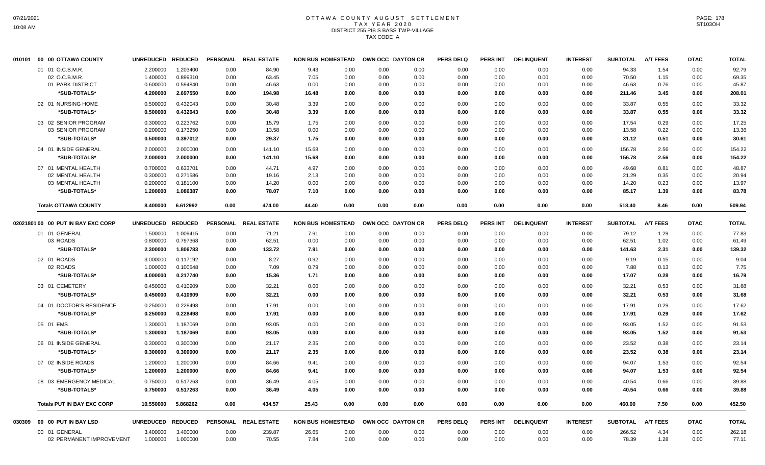### OTTAWA COUNTY AUGUST SETTLEMENT T A X Y E A R 2 0 2 0 DISTRICT 255 PIB S BASS TWP-VILLAGE TAX CODE A

| 010101 | 00 00 OTTAWA COUNTY                | <b>UNREDUCED</b> | <b>REDUCED</b> | <b>PERSONAL</b> | <b>REAL ESTATE</b>   | <b>NON BUS HOMESTEAD</b> |      |      | OWN OCC DAYTON CR | <b>PERS DELQ</b> | PERS INT        | <b>DELINQUENT</b> | <b>INTEREST</b> | <b>SUBTOTAL</b> | A/T FEES        | <b>DTAC</b> | <b>TOTAL</b> |
|--------|------------------------------------|------------------|----------------|-----------------|----------------------|--------------------------|------|------|-------------------|------------------|-----------------|-------------------|-----------------|-----------------|-----------------|-------------|--------------|
|        | 01 01 O.C.B.M.R.                   | 2.200000         | 1.203400       | 0.00            | 84.90                | 9.43                     | 0.00 | 0.00 | 0.00              | 0.00             | 0.00            | 0.00              | 0.00            | 94.33           | 1.54            | 0.00        | 92.79        |
|        | 02 O.C.B.M.R.                      | 1.400000         | 0.899310       | 0.00            | 63.45                | 7.05                     | 0.00 | 0.00 | 0.00              | 0.00             | 0.00            | 0.00              | 0.00            | 70.50           | 1.15            | 0.00        | 69.35        |
|        | 01 PARK DISTRICT                   | 0.600000         | 0.594840       | 0.00            | 46.63                | 0.00                     | 0.00 | 0.00 | 0.00              | 0.00             | 0.00            | 0.00              | 0.00            | 46.63           | 0.76            | 0.00        | 45.87        |
|        | *SUB-TOTALS*                       | 4.200000         | 2.697550       | 0.00            | 194.98               | 16.48                    | 0.00 | 0.00 | 0.00              | 0.00             | 0.00            | 0.00              | 0.00            | 211.46          | 3.45            | 0.00        | 208.01       |
|        | 02 01 NURSING HOME                 | 0.500000         | 0.432043       | 0.00            | 30.48                | 3.39                     | 0.00 | 0.00 | 0.00              | 0.00             | 0.00            | 0.00              | 0.00            | 33.87           | 0.55            | 0.00        | 33.32        |
|        | *SUB-TOTALS*                       | 0.500000         | 0.432043       | 0.00            | 30.48                | 3.39                     | 0.00 | 0.00 | 0.00              | 0.00             | 0.00            | 0.00              | 0.00            | 33.87           | 0.55            | 0.00        | 33.32        |
|        | 03 02 SENIOR PROGRAM               | 0.300000         | 0.223762       | 0.00            | 15.79                | 1.75                     | 0.00 | 0.00 | 0.00              | 0.00             | 0.00            | 0.00              | 0.00            | 17.54           | 0.29            | 0.00        | 17.25        |
|        | 03 SENIOR PROGRAM                  | 0.200000         | 0.173250       | 0.00            | 13.58                | 0.00                     | 0.00 | 0.00 | 0.00              | 0.00             | 0.00            | 0.00              | 0.00            | 13.58           | 0.22            | 0.00        | 13.36        |
|        | *SUB-TOTALS*                       | 0.500000         | 0.397012       | 0.00            | 29.37                | 1.75                     | 0.00 | 0.00 | 0.00              | 0.00             | 0.00            | 0.00              | 0.00            | 31.12           | 0.51            | 0.00        | 30.61        |
|        | 04 01 INSIDE GENERAL               | 2.000000         | 2.000000       | 0.00            | 141.10               | 15.68                    | 0.00 | 0.00 | 0.00              | 0.00             | 0.00            | 0.00              | 0.00            | 156.78          | 2.56            | 0.00        | 154.22       |
|        | *SUB-TOTALS*                       | 2.000000         | 2.000000       | 0.00            | 141.10               | 15.68                    | 0.00 | 0.00 | 0.00              | 0.00             | 0.00            | 0.00              | 0.00            | 156.78          | 2.56            | 0.00        | 154.22       |
|        | 07 01 MENTAL HEALTH                | 0.700000         | 0.633701       | 0.00            | 44.71                | 4.97                     | 0.00 | 0.00 | 0.00              | 0.00             | 0.00            | 0.00              | 0.00            | 49.68           | 0.81            | 0.00        | 48.87        |
|        | 02 MENTAL HEALTH                   | 0.300000         | 0.271586       | 0.00            | 19.16                | 2.13                     | 0.00 | 0.00 | 0.00              | 0.00             | 0.00            | 0.00              | 0.00            | 21.29           | 0.35            | 0.00        | 20.94        |
|        | 03 MENTAL HEALTH                   | 0.200000         | 0.181100       | 0.00            | 14.20                | 0.00                     | 0.00 | 0.00 | 0.00              | 0.00             | 0.00            | 0.00              | 0.00            | 14.20           | 0.23            | 0.00        | 13.97        |
|        | *SUB-TOTALS*                       | 1.200000         | 1.086387       | 0.00            | 78.07                | 7.10                     | 0.00 | 0.00 | 0.00              | 0.00             | 0.00            | 0.00              | 0.00            | 85.17           | 1.39            | 0.00        | 83.78        |
|        | <b>Totals OTTAWA COUNTY</b>        | 8.400000         | 6.612992       | 0.00            | 474.00               | 44.40                    | 0.00 | 0.00 | 0.00              | 0.00             | 0.00            | 0.00              | 0.00            | 518.40          | 8.46            | 0.00        | 509.94       |
|        | 02021801 00 00 PUT IN BAY EXC CORP | <b>UNREDUCED</b> | <b>REDUCED</b> | <b>PERSONAL</b> | <b>REAL ESTATE</b>   | <b>NON BUS HOMESTEAD</b> |      |      | OWN OCC DAYTON CR | <b>PERS DELQ</b> | PERS INT        | <b>DELINQUENT</b> | <b>INTEREST</b> | <b>SUBTOTAL</b> | <b>A/T FEES</b> | <b>DTAC</b> | <b>TOTAL</b> |
|        | 01 01 GENERAL                      | 1.500000         | 1.009415       | 0.00            | 71.21                | 7.91                     | 0.00 | 0.00 | 0.00              | 0.00             | 0.00            | 0.00              | 0.00            | 79.12           | 1.29            | 0.00        | 77.83        |
|        | 03 ROADS                           | 0.800000         | 0.797368       | 0.00            | 62.51                | 0.00                     | 0.00 | 0.00 | 0.00              | 0.00             | 0.00            | 0.00              | 0.00            | 62.51           | 1.02            | 0.00        | 61.49        |
|        | *SUB-TOTALS*                       | 2.300000         | 1.806783       | 0.00            | 133.72               | 7.91                     | 0.00 | 0.00 | 0.00              | 0.00             | 0.00            | 0.00              | 0.00            | 141.63          | 2.31            | 0.00        | 139.32       |
|        | 02 01 ROADS                        | 3.000000         | 0.117192       | 0.00            | 8.27                 | 0.92                     | 0.00 | 0.00 | 0.00              | 0.00             | 0.00            | 0.00              | 0.00            | 9.19            | 0.15            | 0.00        | 9.04         |
|        | 02 ROADS                           | 1.000000         | 0.100548       | 0.00            | 7.09                 | 0.79                     | 0.00 | 0.00 | 0.00              | 0.00             | 0.00            | 0.00              | 0.00            | 7.88            | 0.13            | 0.00        | 7.75         |
|        | *SUB-TOTALS*                       | 4.000000         | 0.217740       | 0.00            | 15.36                | 1.71                     | 0.00 | 0.00 | 0.00              | 0.00             | 0.00            | 0.00              | 0.00            | 17.07           | 0.28            | 0.00        | 16.79        |
|        | 03 01 CEMETERY                     | 0.450000         | 0.410909       | 0.00            | 32.21                | 0.00                     | 0.00 | 0.00 | 0.00              | 0.00             | 0.00            | 0.00              | 0.00            | 32.21           | 0.53            | 0.00        | 31.68        |
|        | *SUB-TOTALS*                       | 0.450000         | 0.410909       | 0.00            | 32.21                | 0.00                     | 0.00 | 0.00 | 0.00              | 0.00             | 0.00            | 0.00              | 0.00            | 32.21           | 0.53            | 0.00        | 31.68        |
|        | 04 01 DOCTOR'S RESIDENCE           | 0.250000         | 0.228498       | 0.00            | 17.91                | 0.00                     | 0.00 | 0.00 | 0.00              | 0.00             | 0.00            | 0.00              | 0.00            | 17.91           | 0.29            | 0.00        | 17.62        |
|        | *SUB-TOTALS*                       | 0.250000         | 0.228498       | 0.00            | 17.91                | 0.00                     | 0.00 | 0.00 | 0.00              | 0.00             | 0.00            | 0.00              | 0.00            | 17.91           | 0.29            | 0.00        | 17.62        |
|        | 05 01 EMS                          | 1.300000         | 1.187069       | 0.00            | 93.05                | 0.00                     | 0.00 | 0.00 | 0.00              | 0.00             | 0.00            | 0.00              | 0.00            | 93.05           | 1.52            | 0.00        | 91.53        |
|        | *SUB-TOTALS*                       | 1.300000         | 1.187069       | 0.00            | 93.05                | 0.00                     | 0.00 | 0.00 | 0.00              | 0.00             | 0.00            | 0.00              | 0.00            | 93.05           | 1.52            | 0.00        | 91.53        |
|        | 06 01 INSIDE GENERAL               | 0.300000         | 0.300000       | 0.00            | 21.17                | 2.35                     | 0.00 | 0.00 | 0.00              | 0.00             | 0.00            | 0.00              | 0.00            | 23.52           | 0.38            | 0.00        | 23.14        |
|        | *SUB-TOTALS*                       | 0.300000         | 0.300000       | 0.00            | 21.17                | 2.35                     | 0.00 | 0.00 | 0.00              | 0.00             | 0.00            | 0.00              | 0.00            | 23.52           | 0.38            | 0.00        | 23.14        |
|        | 07 02 INSIDE ROADS                 | 1.200000         | 1.200000       | 0.00            | 84.66                | 9.41                     | 0.00 | 0.00 | 0.00              | 0.00             | 0.00            | 0.00              | 0.00            | 94.07           | 1.53            | 0.00        | 92.54        |
|        | *SUB-TOTALS*                       | 1.200000         | 1.200000       | 0.00            | 84.66                | 9.41                     | 0.00 | 0.00 | 0.00              | 0.00             | 0.00            | 0.00              | 0.00            | 94.07           | 1.53            | 0.00        | 92.54        |
|        | 08 03 EMERGENCY MEDICAL            | 0.750000         | 0.517263       | 0.00            | 36.49                | 4.05                     | 0.00 | 0.00 | 0.00              | 0.00             | 0.00            | 0.00              | 0.00            | 40.54           | 0.66            | 0.00        | 39.88        |
|        | *SUB-TOTALS*                       | 0.750000         | 0.517263       | 0.00            |                      | 4.05                     |      | 0.00 | 0.00              | 0.00             | 0.00            | 0.00              | 0.00            | 40.54           | 0.66            | 0.00        | 39.88        |
|        |                                    |                  |                |                 | 36.49                |                          | 0.00 |      |                   |                  |                 |                   |                 |                 |                 |             |              |
|        | <b>Totals PUT IN BAY EXC CORP</b>  | 10.550000        | 5.868262       | 0.00            | 434.57               | 25.43                    | 0.00 | 0.00 | 0.00              | 0.00             | 0.00            | 0.00              | 0.00            | 460.00          | 7.50            | 0.00        | 452.50       |
| 030309 | 00 00 PUT IN BAY LSD               | <b>UNREDUCED</b> | <b>REDUCED</b> |                 | PERSONAL REAL ESTATE | <b>NON BUS HOMESTEAD</b> |      |      | OWN OCC DAYTON CR | <b>PERS DELQ</b> | <b>PERS INT</b> | <b>DELINQUENT</b> | <b>INTEREST</b> | <b>SUBTOTAL</b> | <b>A/T FEES</b> | <b>DTAC</b> | <b>TOTAL</b> |
|        | 00 01 GENERAL                      | 3.400000         | 3.400000       | 0.00            | 239.87               | 26.65                    | 0.00 | 0.00 | 0.00              | 0.00             | 0.00            | 0.00              | 0.00            | 266.52          | 4.34            | 0.00        | 262.18       |
|        | 02 PERMANENT IMPROVEMENT           | 1.000000         | 1.000000       | 0.00            | 70.55                | 7.84                     | 0.00 | 0.00 | 0.00              | 0.00             | 0.00            | 0.00              | 0.00            | 78.39           | 1.28            | 0.00        | 77.11        |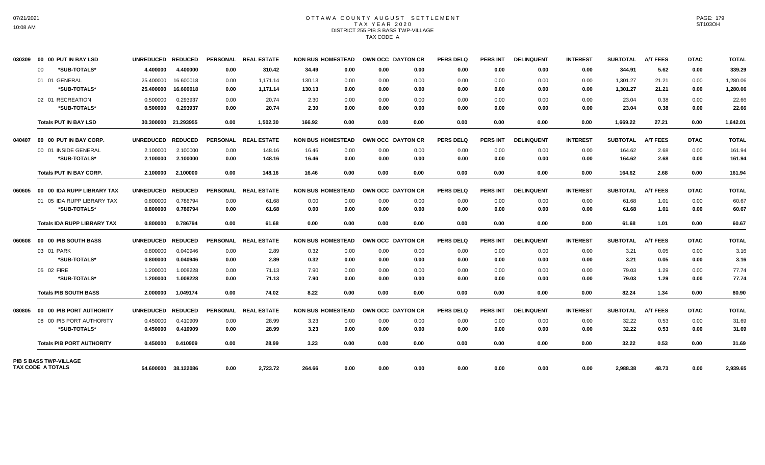# OTTAWA COUNTY AUGUST SETTLEMENT TAX YEAR 2020 DISTRICT 255 PIB S BASS TWP-VILLAGE TAX CODE A

| 030309 | 00 00 PUT IN BAY LSD               | UNREDUCED REDUCED |                     |                 | PERSONAL REAL ESTATE | <b>NON BUS HOMESTEAD</b> |      | OWN OCC DAYTON CR | <b>PERS DELQ</b> | <b>PERS INT</b> | <b>DELINQUENT</b> | <b>INTEREST</b> | <b>SUBTOTAL</b> | <b>A/T FEES</b> | <b>DTAC</b> | <b>TOTAL</b> |
|--------|------------------------------------|-------------------|---------------------|-----------------|----------------------|--------------------------|------|-------------------|------------------|-----------------|-------------------|-----------------|-----------------|-----------------|-------------|--------------|
|        | *SUB-TOTALS*<br>00                 | 4.400000          | 4.400000            | 0.00            | 310.42               | 0.00<br>34.49            | 0.00 | 0.00              | 0.00             | 0.00            | 0.00              | 0.00            | 344.91          | 5.62            | 0.00        | 339.29       |
|        | 01 01 GENERAL                      | 25.400000         | 16.600018           | 0.00            | 1,171.14             | 130.13<br>0.00           | 0.00 | 0.00              | 0.00             | 0.00            | 0.00              | 0.00            | 1,301.27        | 21.21           | 0.00        | 1,280.06     |
|        | *SUB-TOTALS*                       | 25.400000         | 16.600018           | 0.00            | 1,171.14             | 130.13<br>0.00           | 0.00 | 0.00              | 0.00             | 0.00            | 0.00              | 0.00            | 1,301.27        | 21.21           | 0.00        | 1,280.06     |
|        | 02 01 RECREATION                   | 0.500000          | 0.293937            | 0.00            | 20.74                | 2.30<br>0.00             | 0.00 | 0.00              | 0.00             | 0.00            | 0.00              | 0.00            | 23.04           | 0.38            | 0.00        | 22.66        |
|        | *SUB-TOTALS*                       | 0.500000          | 0.293937            | 0.00            | 20.74                | 2.30<br>0.00             | 0.00 | 0.00              | 0.00             | 0.00            | 0.00              | 0.00            | 23.04           | 0.38            | 0.00        | 22.66        |
|        | <b>Totals PUT IN BAY LSD</b>       |                   | 30.300000 21.293955 | 0.00            | 1,502.30             | 166.92<br>0.00           | 0.00 | 0.00              | 0.00             | 0.00            | 0.00              | 0.00            | 1,669.22        | 27.21           | 0.00        | 1,642.01     |
| 040407 | 00 00 PUT IN BAY CORP.             | UNREDUCED REDUCED |                     | <b>PERSONAL</b> | <b>REAL ESTATE</b>   | <b>NON BUS HOMESTEAD</b> |      | OWN OCC DAYTON CR | <b>PERS DELQ</b> | <b>PERS INT</b> | <b>DELINQUENT</b> | <b>INTEREST</b> | <b>SUBTOTAL</b> | <b>A/T FEES</b> | <b>DTAC</b> | <b>TOTAL</b> |
|        | 00 01 INSIDE GENERAL               | 2.100000          | 2.100000            | 0.00            | 148.16               | 16.46<br>0.00            | 0.00 | 0.00              | 0.00             | 0.00            | 0.00              | 0.00            | 164.62          | 2.68            | 0.00        | 161.94       |
|        | *SUB-TOTALS*                       | 2.100000          | 2.100000            | 0.00            | 148.16               | 16.46<br>0.00            | 0.00 | 0.00              | 0.00             | 0.00            | 0.00              | 0.00            | 164.62          | 2.68            | 0.00        | 161.94       |
|        | <b>Totals PUT IN BAY CORP.</b>     | 2.100000          | 2.100000            | 0.00            | 148.16               | 16.46<br>0.00            | 0.00 | 0.00              | 0.00             | 0.00            | 0.00              | 0.00            | 164.62          | 2.68            | 0.00        | 161.94       |
| 060605 | 00 00 IDA RUPP LIBRARY TAX         | UNREDUCED REDUCED |                     |                 | PERSONAL REAL ESTATE | <b>NON BUS HOMESTEAD</b> |      | OWN OCC DAYTON CR | <b>PERS DELQ</b> | <b>PERS INT</b> | <b>DELINQUENT</b> | <b>INTEREST</b> | <b>SUBTOTAL</b> | <b>A/T FEES</b> | <b>DTAC</b> | <b>TOTAL</b> |
|        | 01 05 IDA RUPP LIBRARY TAX         | 0.800000          | 0.786794            | 0.00            | 61.68                | 0.00<br>0.00             | 0.00 | 0.00              | 0.00             | 0.00            | 0.00              | 0.00            | 61.68           | 1.01            | 0.00        | 60.67        |
|        | *SUB-TOTALS*                       | 0.800000          | 0.786794            | 0.00            | 61.68                | 0.00<br>0.00             | 0.00 | 0.00              | 0.00             | 0.00            | 0.00              | 0.00            | 61.68           | 1.01            | 0.00        | 60.67        |
|        | <b>Totals IDA RUPP LIBRARY TAX</b> | 0.800000          | 0.786794            | 0.00            | 61.68                | 0.00<br>0.00             | 0.00 | 0.00              | 0.00             | 0.00            | 0.00              | 0.00            | 61.68           | 1.01            | 0.00        | 60.67        |
| 060608 | 00 00 PIB SOUTH BASS               | UNREDUCED REDUCED |                     |                 | PERSONAL REAL ESTATE | <b>NON BUS HOMESTEAD</b> |      | OWN OCC DAYTON CR | <b>PERS DELQ</b> | <b>PERS INT</b> | <b>DELINQUENT</b> | <b>INTEREST</b> | <b>SUBTOTAL</b> | <b>A/T FEES</b> | <b>DTAC</b> | <b>TOTAL</b> |
|        | 03 01 PARK                         | 0.800000          | 0.040946            | 0.00            | 2.89                 | 0.32<br>0.00             | 0.00 | 0.00              | 0.00             | 0.00            | 0.00              | 0.00            | 3.21            | 0.05            | 0.00        | 3.16         |
|        | *SUB-TOTALS*                       | 0.800000          | 0.040946            | 0.00            | 2.89                 | 0.32<br>0.00             | 0.00 | 0.00              | 0.00             | 0.00            | 0.00              | 0.00            | 3.21            | 0.05            | 0.00        | 3.16         |
|        | 05 02 FIRE                         | 1.200000          | 1.008228            | 0.00            | 71.13                | 7.90<br>0.00             | 0.00 | 0.00              | 0.00             | 0.00            | 0.00              | 0.00            | 79.03           | 1.29            | 0.00        | 77.74        |
|        | *SUB-TOTALS*                       | 1.200000          | 1.008228            | 0.00            | 71.13                | 7.90<br>0.00             | 0.00 | 0.00              | 0.00             | 0.00            | 0.00              | 0.00            | 79.03           | 1.29            | 0.00        | 77.74        |
|        | <b>Totals PIB SOUTH BASS</b>       | 2.000000          | 1.049174            | 0.00            | 74.02                | 8.22<br>0.00             | 0.00 | 0.00              | 0.00             | 0.00            | 0.00              | 0.00            | 82.24           | 1.34            | 0.00        | 80.90        |
| 080805 | 00 00 PIB PORT AUTHORITY           | UNREDUCED REDUCED |                     |                 | PERSONAL REAL ESTATE | <b>NON BUS HOMESTEAD</b> |      | OWN OCC DAYTON CR | <b>PERS DELQ</b> | <b>PERS INT</b> | <b>DELINQUENT</b> | <b>INTEREST</b> | <b>SUBTOTAL</b> | <b>A/T FEES</b> | <b>DTAC</b> | <b>TOTAL</b> |
|        | 08 00 PIB PORT AUTHORITY           | 0.450000          | 0.410909            | 0.00            | 28.99                | 3.23<br>0.00             | 0.00 | 0.00              | 0.00             | 0.00            | 0.00              | 0.00            | 32.22           | 0.53            | 0.00        | 31.69        |
|        | *SUB-TOTALS*                       | 0.450000          | 0.410909            | 0.00            | 28.99                | 3.23<br>0.00             | 0.00 | 0.00              | 0.00             | 0.00            | 0.00              | 0.00            | 32.22           | 0.53            | 0.00        | 31.69        |
|        | <b>Totals PIB PORT AUTHORITY</b>   | 0.450000          | 0.410909            | 0.00            | 28.99                | 3.23<br>0.00             | 0.00 | 0.00              | 0.00             | 0.00            | 0.00              | 0.00            | 32.22           | 0.53            | 0.00        | 31.69        |
|        | <b>PIB S BASS TWP-VILLAGE</b>      |                   |                     |                 |                      |                          |      |                   |                  |                 |                   |                 |                 |                 |             |              |
|        | <b>TAX CODE A TOTALS</b>           |                   | 54.600000 38.122086 | 0.00            | 2,723.72             | 264.66<br>0.00           | 0.00 | 0.00              | 0.00             | 0.00            | 0.00              | 0.00            | 2,988.38        | 48.73           | 0.00        | 2,939.65     |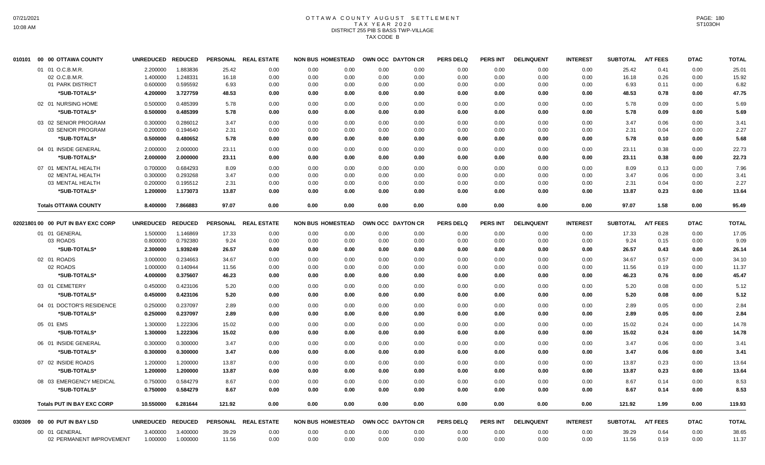### OTTAWA COUNTY AUGUST SETTLEMENT T A X Y E A R 2 0 2 0 DISTRICT 255 PIB S BASS TWP-VILLAGE TAX CODE B

| 010101 | 00 00 OTTAWA COUNTY                | <b>UNREDUCED</b> | <b>REDUCED</b> | <b>PERSONAL</b> | <b>REAL ESTATE</b> | <b>NON BUS HOMESTEAD</b> |      |      | OWN OCC DAYTON CR | <b>PERS DELQ</b> | <b>PERS INT</b> | <b>DELINQUENT</b> | <b>INTEREST</b> | <b>SUBTOTAL</b> | <b>A/T FEES</b> | <b>DTAC</b> | <b>TOTAL</b> |
|--------|------------------------------------|------------------|----------------|-----------------|--------------------|--------------------------|------|------|-------------------|------------------|-----------------|-------------------|-----------------|-----------------|-----------------|-------------|--------------|
|        | 01 01 O.C.B.M.R.                   | 2.200000         | 1.883836       | 25.42           | 0.00               | 0.00                     | 0.00 | 0.00 | 0.00              | 0.00             | 0.00            | 0.00              | 0.00            | 25.42           | 0.41            | 0.00        | 25.01        |
|        | 02 O.C.B.M.R.                      | 1.400000         | 1.248331       | 16.18           | 0.00               | 0.00                     | 0.00 | 0.00 | 0.00              | 0.00             | 0.00            | 0.00              | 0.00            | 16.18           | 0.26            | 0.00        | 15.92        |
|        | 01 PARK DISTRICT                   | 0.600000         | 0.595592       | 6.93            | 0.00               | 0.00                     | 0.00 | 0.00 | 0.00              | 0.00             | 0.00            | 0.00              | 0.00            | 6.93            | 0.11            | 0.00        | 6.82         |
|        | *SUB-TOTALS*                       | 4.200000         | 3.727759       | 48.53           | 0.00               | 0.00                     | 0.00 | 0.00 | 0.00              | 0.00             | 0.00            | 0.00              | 0.00            | 48.53           | 0.78            | 0.00        | 47.75        |
|        | 02 01 NURSING HOME                 | 0.500000         | 0.485399       | 5.78            | 0.00               | 0.00                     | 0.00 | 0.00 | 0.00              | 0.00             | 0.00            | 0.00              | 0.00            | 5.78            | 0.09            | 0.00        | 5.69         |
|        | *SUB-TOTALS*                       | 0.500000         | 0.485399       | 5.78            | 0.00               | 0.00                     | 0.00 | 0.00 | 0.00              | 0.00             | 0.00            | 0.00              | 0.00            | 5.78            | 0.09            | 0.00        | 5.69         |
|        | 03 02 SENIOR PROGRAM               | 0.300000         | 0.286012       | 3.47            | 0.00               | 0.00                     | 0.00 | 0.00 | 0.00              | 0.00             | 0.00            | 0.00              | 0.00            | 3.47            | 0.06            | 0.00        | 3.41         |
|        | 03 SENIOR PROGRAM                  | 0.200000         | 0.194640       | 2.31            | 0.00               | 0.00                     | 0.00 | 0.00 | 0.00              | 0.00             | 0.00            | 0.00              | 0.00            | 2.31            | 0.04            | 0.00        | 2.27         |
|        | *SUB-TOTALS*                       | 0.500000         | 0.480652       | 5.78            | 0.00               | 0.00                     | 0.00 | 0.00 | 0.00              | 0.00             | 0.00            | 0.00              | 0.00            | 5.78            | 0.10            | 0.00        | 5.68         |
|        | 04 01 INSIDE GENERAL               | 2.000000         | 2.000000       | 23.11           | 0.00               | 0.00                     | 0.00 | 0.00 | 0.00              | 0.00             | 0.00            | 0.00              | 0.00            | 23.11           | 0.38            | 0.00        | 22.73        |
|        | *SUB-TOTALS*                       | 2.000000         | 2.000000       | 23.11           | 0.00               | 0.00                     | 0.00 | 0.00 | 0.00              | 0.00             | 0.00            | 0.00              | 0.00            | 23.11           | 0.38            | 0.00        | 22.73        |
|        | 07 01 MENTAL HEALTH                | 0.700000         | 0.684293       | 8.09            | 0.00               | 0.00                     | 0.00 | 0.00 | 0.00              | 0.00             | 0.00            | 0.00              | 0.00            | 8.09            | 0.13            | 0.00        | 7.96         |
|        | 02 MENTAL HEALTH                   | 0.300000         | 0.293268       | 3.47            | 0.00               | 0.00                     | 0.00 | 0.00 | 0.00              | 0.00             | 0.00            | 0.00              | 0.00            | 3.47            | 0.06            | 0.00        | 3.41         |
|        | 03 MENTAL HEALTH                   | 0.200000         | 0.195512       | 2.31            | 0.00               | 0.00                     | 0.00 | 0.00 | 0.00              | 0.00             | 0.00            | 0.00              | 0.00            | 2.31            | 0.04            | 0.00        | 2.27         |
|        | *SUB-TOTALS*                       | 1.200000         | 1.173073       | 13.87           | 0.00               | 0.00                     | 0.00 | 0.00 | 0.00              | 0.00             | 0.00            | 0.00              | 0.00            | 13.87           | 0.23            | 0.00        | 13.64        |
|        | <b>Totals OTTAWA COUNTY</b>        | 8.400000         | 7.866883       | 97.07           | 0.00               | 0.00                     | 0.00 | 0.00 | 0.00              | 0.00             | 0.00            | 0.00              | 0.00            | 97.07           | 1.58            | 0.00        | 95.49        |
|        | 02021801 00 00 PUT IN BAY EXC CORP | <b>UNREDUCED</b> | <b>REDUCED</b> | <b>PERSONAL</b> | <b>REAL ESTATE</b> | <b>NON BUS HOMESTEAD</b> |      |      | OWN OCC DAYTON CR | <b>PERS DELQ</b> | PERS INT        | <b>DELINQUENT</b> | <b>INTEREST</b> | <b>SUBTOTAL</b> | <b>A/T FEES</b> | <b>DTAC</b> | <b>TOTAL</b> |
|        | 01 01 GENERAL                      | 1.500000         | 1.146869       | 17.33           | 0.00               | 0.00                     | 0.00 | 0.00 | 0.00              | 0.00             | 0.00            | 0.00              | 0.00            | 17.33           | 0.28            | 0.00        | 17.05        |
|        | 03 ROADS                           | 0.800000         | 0.792380       | 9.24            | 0.00               | 0.00                     | 0.00 | 0.00 | 0.00              | 0.00             | 0.00            | 0.00              | 0.00            | 9.24            | 0.15            | 0.00        | 9.09         |
|        | *SUB-TOTALS*                       | 2.300000         | 1.939249       | 26.57           | 0.00               | 0.00                     | 0.00 | 0.00 | 0.00              | 0.00             | 0.00            | 0.00              | 0.00            | 26.57           | 0.43            | 0.00        | 26.14        |
|        | 02 01 ROADS                        | 3.000000         | 0.234663       | 34.67           | 0.00               | 0.00                     | 0.00 | 0.00 | 0.00              | 0.00             | 0.00            | 0.00              | 0.00            | 34.67           | 0.57            | 0.00        | 34.10        |
|        | 02 ROADS                           | 1.000000         | 0.140944       | 11.56           | 0.00               | 0.00                     | 0.00 | 0.00 | 0.00              | 0.00             | 0.00            | 0.00              | 0.00            | 11.56           | 0.19            | 0.00        | 11.37        |
|        | *SUB-TOTALS*                       | 4.000000         | 0.375607       | 46.23           | 0.00               | 0.00                     | 0.00 | 0.00 | 0.00              | 0.00             | 0.00            | 0.00              | 0.00            | 46.23           | 0.76            | 0.00        | 45.47        |
|        | 03 01 CEMETERY                     | 0.450000         | 0.423106       | 5.20            | 0.00               | 0.00                     | 0.00 | 0.00 | 0.00              | 0.00             | 0.00            | 0.00              | 0.00            | 5.20            | 0.08            | 0.00        | 5.12         |
|        | *SUB-TOTALS*                       | 0.450000         | 0.423106       | 5.20            | 0.00               | 0.00                     | 0.00 | 0.00 | 0.00              | 0.00             | 0.00            | 0.00              | 0.00            | 5.20            | 0.08            | 0.00        | 5.12         |
|        | 04 01 DOCTOR'S RESIDENCE           | 0.250000         | 0.237097       | 2.89            | 0.00               | 0.00                     | 0.00 | 0.00 | 0.00              | 0.00             | 0.00            | 0.00              | 0.00            | 2.89            | 0.05            | 0.00        | 2.84         |
|        | *SUB-TOTALS*                       | 0.250000         | 0.237097       | 2.89            | 0.00               | 0.00                     | 0.00 | 0.00 | 0.00              | 0.00             | 0.00            | 0.00              | 0.00            | 2.89            | 0.05            | 0.00        | 2.84         |
|        | 05 01 EMS                          | 1.300000         | 1.222306       | 15.02           | 0.00               | 0.00                     | 0.00 | 0.00 | 0.00              | 0.00             | 0.00            | 0.00              | 0.00            | 15.02           | 0.24            | 0.00        | 14.78        |
|        | *SUB-TOTALS*                       | 1.300000         | 1.222306       | 15.02           | 0.00               | 0.00                     | 0.00 | 0.00 | 0.00              | 0.00             | 0.00            | 0.00              | 0.00            | 15.02           | 0.24            | 0.00        | 14.78        |
|        | 06 01 INSIDE GENERAL               | 0.300000         | 0.300000       | 3.47            | 0.00               | 0.00                     | 0.00 | 0.00 | 0.00              | 0.00             | 0.00            | 0.00              | 0.00            | 3.47            | 0.06            | 0.00        | 3.41         |
|        | *SUB-TOTALS*                       | 0.300000         | 0.300000       | 3.47            | 0.00               | 0.00                     | 0.00 | 0.00 | 0.00              | 0.00             | 0.00            | 0.00              | 0.00            | 3.47            | 0.06            | 0.00        | 3.41         |
|        | 07 02 INSIDE ROADS                 | 1.200000         | 1.200000       | 13.87           | 0.00               | 0.00                     | 0.00 | 0.00 | 0.00              | 0.00             | 0.00            | 0.00              | 0.00            | 13.87           | 0.23            | 0.00        | 13.64        |
|        | *SUB-TOTALS*                       | 1.200000         | 1.200000       | 13.87           | 0.00               | 0.00                     | 0.00 | 0.00 | 0.00              | 0.00             | 0.00            | 0.00              | 0.00            | 13.87           | 0.23            | 0.00        | 13.64        |
|        | 08 03 EMERGENCY MEDICAL            | 0.750000         | 0.584279       | 8.67            | 0.00               | 0.00                     | 0.00 | 0.00 | 0.00              | 0.00             | 0.00            | 0.00              | 0.00            | 8.67            | 0.14            | 0.00        | 8.53         |
|        | *SUB-TOTALS*                       | 0.750000         | 0.584279       | 8.67            | 0.00               | 0.00                     | 0.00 | 0.00 | 0.00              | 0.00             | 0.00            | 0.00              | 0.00            | 8.67            | 0.14            | 0.00        | 8.53         |
|        | <b>Totals PUT IN BAY EXC CORP</b>  | 10.550000        | 6.281644       | 121.92          | 0.00               | 0.00                     | 0.00 | 0.00 | 0.00              | 0.00             | 0.00            | 0.00              | 0.00            | 121.92          | 1.99            | 0.00        | 119.93       |
| 030309 | 00 00 PUT IN BAY LSD               | <b>UNREDUCED</b> | <b>REDUCED</b> | <b>PERSONAL</b> | <b>REAL ESTATE</b> | <b>NON BUS HOMESTEAD</b> |      |      | OWN OCC DAYTON CR | <b>PERS DELQ</b> | <b>PERS INT</b> | <b>DELINQUENT</b> | <b>INTEREST</b> | <b>SUBTOTAL</b> | <b>A/T FEES</b> | <b>DTAC</b> | <b>TOTAL</b> |
|        | 00 01 GENERAL                      | 3.400000         | 3.400000       | 39.29           | 0.00               | 0.00                     | 0.00 | 0.00 | 0.00              | 0.00             | 0.00            | 0.00              | 0.00            | 39.29           | 0.64            | 0.00        | 38.65        |
|        | 02 PERMANENT IMPROVEMENT           | 1.000000         | 1.000000       | 11.56           | 0.00               | 0.00                     | 0.00 | 0.00 | 0.00              | 0.00             | 0.00            | 0.00              | 0.00            | 11.56           | 0.19            | 0.00        | 11.37        |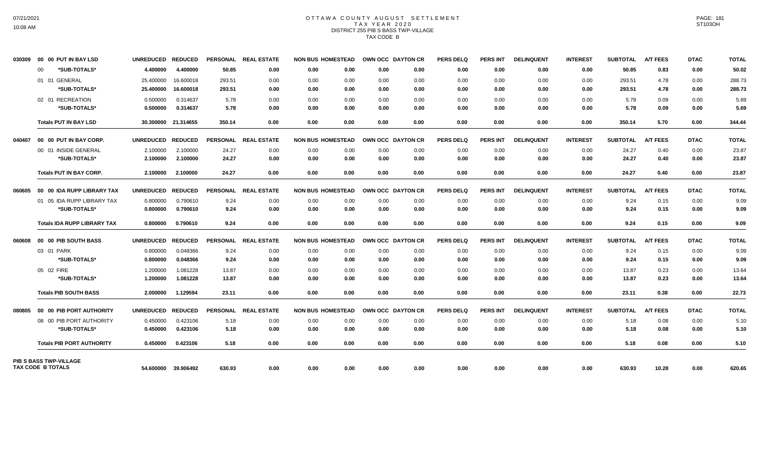# OTTAWA COUNTY AUGUST SETTLEMENT TAX YEAR 2020 DISTRICT 255 PIB S BASS TWP-VILLAGE TAX CODE B

| 030309 | 00 00 PUT IN BAY LSD               | <b>UNREDUCED</b>  | <b>REDUCED</b>      | <b>PERSONAL</b> | <b>REAL ESTATE</b>   | <b>NON BUS HOMESTEAD</b> |      | OWN OCC DAYTON CR | <b>PERS DELQ</b> | <b>PERS INT</b> | <b>DELINQUENT</b> | <b>INTEREST</b> | <b>SUBTOTAL</b> | <b>A/T FEES</b> | <b>DTAC</b> | <b>TOTAL</b> |
|--------|------------------------------------|-------------------|---------------------|-----------------|----------------------|--------------------------|------|-------------------|------------------|-----------------|-------------------|-----------------|-----------------|-----------------|-------------|--------------|
|        | *SUB-TOTALS*<br>00                 | 4.400000          | 4.400000            | 50.85           | 0.00                 | 0.00                     | 0.00 | 0.00<br>0.00      | 0.00             | 0.00            | 0.00              | 0.00            | 50.85           | 0.83            | 0.00        | 50.02        |
|        | 01 01 GENERAL                      | 25.400000         | 16.600018           | 293.51          | 0.00                 | 0.00                     | 0.00 | 0.00<br>0.00      | 0.00             | 0.00            | 0.00              | 0.00            | 293.51          | 4.78            | 0.00        | 288.73       |
|        | *SUB-TOTALS*                       | 25.400000         | 16.600018           | 293.51          | 0.00                 | 0.00                     | 0.00 | 0.00<br>0.00      | 0.00             | 0.00            | 0.00              | 0.00            | 293.51          | 4.78            | 0.00        | 288.73       |
|        | 02 01 RECREATION                   | 0.500000          | 0.314637            | 5.78            | 0.00                 | 0.00                     | 0.00 | 0.00<br>0.00      | 0.00             | 0.00            | 0.00              | 0.00            | 5.78            | 0.09            | 0.00        | 5.69         |
|        | *SUB-TOTALS*                       | 0.500000          | 0.314637            | 5.78            | 0.00                 | 0.00                     | 0.00 | 0.00<br>0.00      | 0.00             | 0.00            | 0.00              | 0.00            | 5.78            | 0.09            | 0.00        | 5.69         |
|        | <b>Totals PUT IN BAY LSD</b>       |                   | 30.300000 21.314655 | 350.14          | 0.00                 | 0.00                     | 0.00 | 0.00<br>0.00      | 0.00             | 0.00            | 0.00              | 0.00            | 350.14          | 5.70            | 0.00        | 344.44       |
|        | 040407  00  00  PUT IN BAY CORP.   | <b>UNREDUCED</b>  | <b>REDUCED</b>      | <b>PERSONAL</b> | <b>REAL ESTATE</b>   | <b>NON BUS HOMESTEAD</b> |      | OWN OCC DAYTON CR | <b>PERS DELQ</b> | <b>PERS INT</b> | <b>DELINQUENT</b> | <b>INTEREST</b> | <b>SUBTOTAL</b> | <b>A/T FEES</b> | <b>DTAC</b> | <b>TOTAL</b> |
|        | 00 01 INSIDE GENERAL               | 2.100000          | 2.100000            | 24.27           | 0.00                 | 0.00                     | 0.00 | 0.00<br>0.00      | 0.00             | 0.00            | 0.00              | 0.00            | 24.27           | 0.40            | 0.00        | 23.87        |
|        | *SUB-TOTALS*                       | 2.100000          | 2.100000            | 24.27           | 0.00                 | 0.00                     | 0.00 | 0.00<br>0.00      | 0.00             | 0.00            | 0.00              | 0.00            | 24.27           | 0.40            | 0.00        | 23.87        |
|        | <b>Totals PUT IN BAY CORP.</b>     | 2.100000          | 2.100000            | 24.27           | 0.00                 | 0.00                     | 0.00 | 0.00<br>0.00      | 0.00             | 0.00            | 0.00              | 0.00            | 24.27           | 0.40            | 0.00        | 23.87        |
| 060605 | 00 00 IDA RUPP LIBRARY TAX         | <b>UNREDUCED</b>  | <b>REDUCED</b>      |                 | PERSONAL REAL ESTATE | <b>NON BUS HOMESTEAD</b> |      | OWN OCC DAYTON CR | <b>PERS DELQ</b> | <b>PERS INT</b> | <b>DELINQUENT</b> | <b>INTEREST</b> | <b>SUBTOTAL</b> | <b>A/T FEES</b> | <b>DTAC</b> | <b>TOTAL</b> |
|        | 01 05 IDA RUPP LIBRARY TAX         | 0.800000          | 0.790610            | 9.24            | 0.00                 | 0.00                     | 0.00 | 0.00<br>0.00      | 0.00             | 0.00            | 0.00              | 0.00            | 9.24            | 0.15            | 0.00        | 9.09         |
|        | *SUB-TOTALS*                       | 0.800000          | 0.790610            | 9.24            | 0.00                 | 0.00                     | 0.00 | 0.00<br>0.00      | 0.00             | 0.00            | 0.00              | 0.00            | 9.24            | 0.15            | 0.00        | 9.09         |
|        | <b>Totals IDA RUPP LIBRARY TAX</b> | 0.800000          | 0.790610            | 9.24            | 0.00                 | 0.00                     | 0.00 | 0.00<br>0.00      | 0.00             | 0.00            | 0.00              | 0.00            | 9.24            | 0.15            | 0.00        | 9.09         |
| 060608 | 00 00 PIB SOUTH BASS               | <b>UNREDUCED</b>  | <b>REDUCED</b>      | <b>PERSONAL</b> | <b>REAL ESTATE</b>   | <b>NON BUS HOMESTEAD</b> |      | OWN OCC DAYTON CR | <b>PERS DELQ</b> | <b>PERS INT</b> | <b>DELINQUENT</b> | <b>INTEREST</b> | <b>SUBTOTAL</b> | <b>A/T FEES</b> | <b>DTAC</b> | <b>TOTAL</b> |
|        | 03 01 PARK                         | 0.800000          | 0.048366            | 9.24            | 0.00                 | 0.00                     | 0.00 | 0.00<br>0.00      | 0.00             | 0.00            | 0.00              | 0.00            | 9.24            | 0.15            | 0.00        | 9.09         |
|        | *SUB-TOTALS*                       | 0.800000          | 0.048366            | 9.24            | 0.00                 | 0.00                     | 0.00 | 0.00<br>0.00      | 0.00             | 0.00            | 0.00              | 0.00            | 9.24            | 0.15            | 0.00        | 9.09         |
|        | 05 02 FIRE                         | 1.200000          | 1.081228            | 13.87           | 0.00                 | 0.00                     | 0.00 | 0.00<br>0.00      | 0.00             | 0.00            | 0.00              | 0.00            | 13.87           | 0.23            | 0.00        | 13.64        |
|        | *SUB-TOTALS*                       | 1.200000          | 1.081228            | 13.87           | 0.00                 | 0.00                     | 0.00 | 0.00<br>0.00      | 0.00             | 0.00            | 0.00              | 0.00            | 13.87           | 0.23            | 0.00        | 13.64        |
|        | <b>Totals PIB SOUTH BASS</b>       | 2.000000          | 1.129594            | 23.11           | 0.00                 | 0.00                     | 0.00 | 0.00<br>0.00      | 0.00             | 0.00            | 0.00              | 0.00            | 23.11           | 0.38            | 0.00        | 22.73        |
| 080805 | 00 00 PIB PORT AUTHORITY           | UNREDUCED REDUCED |                     |                 | PERSONAL REAL ESTATE | <b>NON BUS HOMESTEAD</b> |      | OWN OCC DAYTON CR | <b>PERS DELQ</b> | <b>PERS INT</b> | <b>DELINQUENT</b> | <b>INTEREST</b> | <b>SUBTOTAL</b> | <b>A/T FEES</b> | <b>DTAC</b> | <b>TOTAL</b> |
|        | 08 00 PIB PORT AUTHORITY           | 0.450000          | 0.423106            | 5.18            | 0.00                 | 0.00                     | 0.00 | 0.00<br>0.00      | 0.00             | 0.00            | 0.00              | 0.00            | 5.18            | 0.08            | 0.00        | 5.10         |
|        | *SUB-TOTALS*                       | 0.450000          | 0.423106            | 5.18            | 0.00                 | 0.00                     | 0.00 | 0.00<br>0.00      | 0.00             | 0.00            | 0.00              | 0.00            | 5.18            | 0.08            | 0.00        | 5.10         |
|        | <b>Totals PIB PORT AUTHORITY</b>   | 0.450000          | 0.423106            | 5.18            | 0.00                 | 0.00                     | 0.00 | 0.00<br>0.00      | 0.00             | 0.00            | 0.00              | 0.00            | 5.18            | 0.08            | 0.00        | 5.10         |
|        | <b>PIB S BASS TWP-VILLAGE</b>      |                   |                     |                 |                      |                          |      |                   |                  |                 |                   |                 |                 |                 |             |              |
|        | TAX CODE B TOTALS                  |                   | 54.600000 39.906492 | 630.93          | 0.00                 | 0.00                     | 0.00 | 0.00<br>0.00      | 0.00             | 0.00            | 0.00              | 0.00            | 630.93          | 10.28           | 0.00        | 620.65       |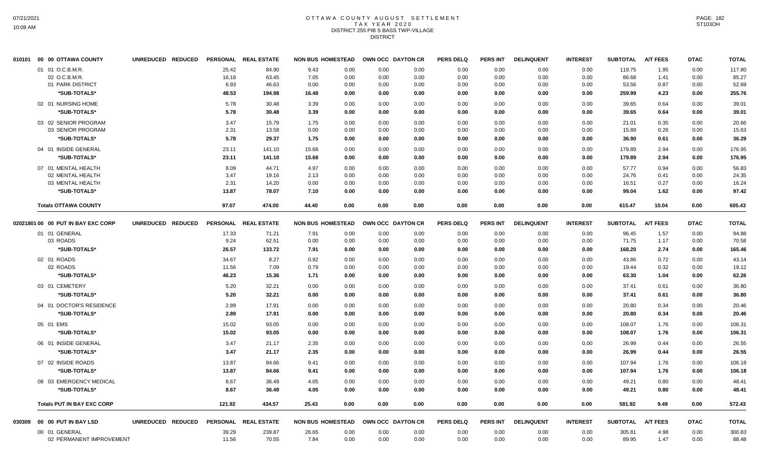#### OTTAWA COUNTY AUGUST SETTLEMENT T A X Y E A R 2 0 2 0 DISTRICT 255 PIB S BASS TWP-VILLAGE DISTRICT

|        | 010101 00 00 OTTAWA COUNTY         | UNREDUCED REDUCED |        | PERSONAL REAL ESTATE |       | <b>NON BUS HOMESTEAD</b> |      | OWN OCC DAYTON CR | <b>PERS DELQ</b> | <b>PERS INT</b> | <b>DELINQUENT</b> | <b>INTEREST</b> | <b>SUBTOTAL</b> | <b>A/T FEES</b> | <b>DTAC</b> | <b>TOTAL</b> |
|--------|------------------------------------|-------------------|--------|----------------------|-------|--------------------------|------|-------------------|------------------|-----------------|-------------------|-----------------|-----------------|-----------------|-------------|--------------|
|        | 01 01 O.C.B.M.R.                   |                   | 25.42  | 84.90                | 9.43  | 0.00                     | 0.00 | 0.00              | 0.00             | 0.00            | 0.00              | 0.00            | 119.75          | 1.95            | 0.00        | 117.80       |
|        | 02 O.C.B.M.R.                      |                   | 16.18  | 63.45                | 7.05  | 0.00                     | 0.00 | 0.00              | 0.00             | 0.00            | 0.00              | 0.00            | 86.68           | 1.41            | 0.00        | 85.27        |
|        | 01 PARK DISTRICT                   |                   | 6.93   | 46.63                | 0.00  | 0.00                     | 0.00 | 0.00              | 0.00             | 0.00            | 0.00              | 0.00            | 53.56           | 0.87            | 0.00        | 52.69        |
|        | *SUB-TOTALS*                       |                   | 48.53  | 194.98               | 16.48 | 0.00                     | 0.00 | 0.00              | 0.00             | 0.00            | 0.00              | 0.00            | 259.99          | 4.23            | 0.00        | 255.76       |
|        | 02 01 NURSING HOME                 |                   | 5.78   | 30.48                | 3.39  | 0.00                     | 0.00 | 0.00              | 0.00             | 0.00            | 0.00              | 0.00            | 39.65           | 0.64            | 0.00        | 39.01        |
|        | *SUB-TOTALS*                       |                   | 5.78   | 30.48                | 3.39  | 0.00                     | 0.00 | 0.00              | 0.00             | 0.00            | 0.00              | 0.00            | 39.65           | 0.64            | 0.00        | 39.01        |
|        | 03 02 SENIOR PROGRAM               |                   | 3.47   | 15.79                | 1.75  | 0.00                     | 0.00 | 0.00              | 0.00             | 0.00            | 0.00              | 0.00            | 21.01           | 0.35            | 0.00        | 20.66        |
|        | 03 SENIOR PROGRAM                  |                   | 2.31   | 13.58                | 0.00  | 0.00                     | 0.00 | 0.00              | 0.00             | 0.00            | 0.00              | 0.00            | 15.89           | 0.26            | 0.00        | 15.63        |
|        | *SUB-TOTALS*                       |                   | 5.78   | 29.37                | 1.75  | 0.00                     | 0.00 | 0.00              | 0.00             | 0.00            | 0.00              | 0.00            | 36.90           | 0.61            | 0.00        | 36.29        |
|        | 04 01 INSIDE GENERAL               |                   | 23.11  | 141.10               | 15.68 | 0.00                     | 0.00 | 0.00              | 0.00             | 0.00            | 0.00              | 0.00            | 179.89          | 2.94            | 0.00        | 176.95       |
|        | *SUB-TOTALS*                       |                   | 23.11  | 141.10               | 15.68 | 0.00                     | 0.00 | 0.00              | 0.00             | 0.00            | 0.00              | 0.00            | 179.89          | 2.94            | 0.00        | 176.95       |
|        | 07 01 MENTAL HEALTH                |                   | 8.09   | 44.71                | 4.97  | 0.00                     | 0.00 | 0.00              | 0.00             | 0.00            | 0.00              | 0.00            | 57.77           | 0.94            | 0.00        | 56.83        |
|        | 02 MENTAL HEALTH                   |                   | 3.47   | 19.16                | 2.13  | 0.00                     | 0.00 | 0.00              | 0.00             | 0.00            | 0.00              | 0.00            | 24.76           | 0.41            | 0.00        | 24.35        |
|        | 03 MENTAL HEALTH                   |                   | 2.31   | 14.20                | 0.00  | 0.00                     | 0.00 | 0.00              | 0.00             | 0.00            | 0.00              | 0.00            | 16.51           | 0.27            | 0.00        | 16.24        |
|        | *SUB-TOTALS*                       |                   | 13.87  | 78.07                | 7.10  | 0.00                     | 0.00 | 0.00              | 0.00             | 0.00            | 0.00              | 0.00            | 99.04           | 1.62            | 0.00        | 97.42        |
|        | <b>Totals OTTAWA COUNTY</b>        |                   | 97.07  | 474.00               | 44.40 | 0.00                     | 0.00 | 0.00              | 0.00             | 0.00            | 0.00              | 0.00            | 615.47          | 10.04           | 0.00        | 605.43       |
|        | 02021801 00 00 PUT IN BAY EXC CORP | UNREDUCED REDUCED |        | PERSONAL REAL ESTATE |       | <b>NON BUS HOMESTEAD</b> |      | OWN OCC DAYTON CR | <b>PERS DELQ</b> | <b>PERS INT</b> | <b>DELINQUENT</b> | <b>INTEREST</b> | <b>SUBTOTAL</b> | <b>A/T FEES</b> | <b>DTAC</b> | <b>TOTAL</b> |
|        | 01 01 GENERAL                      |                   | 17.33  | 71.21                | 7.91  | 0.00                     | 0.00 | 0.00              | 0.00             | 0.00            | 0.00              | 0.00            | 96.45           | 1.57            | 0.00        | 94.88        |
|        | 03 ROADS                           |                   | 9.24   | 62.51                | 0.00  | 0.00                     | 0.00 | 0.00              | 0.00             | 0.00            | 0.00              | 0.00            | 71.75           | 1.17            | 0.00        | 70.58        |
|        | *SUB-TOTALS*                       |                   | 26.57  | 133.72               | 7.91  | 0.00                     | 0.00 | 0.00              | 0.00             | 0.00            | 0.00              | 0.00            | 168.20          | 2.74            | 0.00        | 165.46       |
|        | 02 01 ROADS                        |                   | 34.67  | 8.27                 | 0.92  | 0.00                     | 0.00 | 0.00              | 0.00             | 0.00            | 0.00              | 0.00            | 43.86           | 0.72            | 0.00        | 43.14        |
|        | 02 ROADS                           |                   | 11.56  | 7.09                 | 0.79  | 0.00                     | 0.00 | 0.00              | 0.00             | 0.00            | 0.00              | 0.00            | 19.44           | 0.32            | 0.00        | 19.12        |
|        | *SUB-TOTALS*                       |                   | 46.23  | 15.36                | 1.71  | 0.00                     | 0.00 | 0.00              | 0.00             | 0.00            | 0.00              | 0.00            | 63.30           | 1.04            | 0.00        | 62.26        |
|        | 03 01 CEMETERY                     |                   | 5.20   | 32.21                | 0.00  | 0.00                     | 0.00 | 0.00              | 0.00             | 0.00            | 0.00              | 0.00            | 37.41           | 0.61            | 0.00        | 36.80        |
|        | *SUB-TOTALS*                       |                   | 5.20   | 32.21                | 0.00  | 0.00                     | 0.00 | 0.00              | 0.00             | 0.00            | 0.00              | 0.00            | 37.41           | 0.61            | 0.00        | 36.80        |
|        | 04 01 DOCTOR'S RESIDENCE           |                   | 2.89   | 17.91                | 0.00  | 0.00                     | 0.00 | 0.00              | 0.00             | 0.00            | 0.00              | 0.00            | 20.80           | 0.34            | 0.00        | 20.46        |
|        | *SUB-TOTALS*                       |                   | 2.89   | 17.91                | 0.00  | 0.00                     | 0.00 | 0.00              | 0.00             | 0.00            | 0.00              | 0.00            | 20.80           | 0.34            | 0.00        | 20.46        |
|        | 05 01 EMS                          |                   | 15.02  | 93.05                | 0.00  | 0.00                     | 0.00 | 0.00              | 0.00             | 0.00            | 0.00              | 0.00            | 108.07          | 1.76            | 0.00        | 106.31       |
|        | *SUB-TOTALS*                       |                   | 15.02  | 93.05                | 0.00  | 0.00                     | 0.00 | 0.00              | 0.00             | 0.00            | 0.00              | 0.00            | 108.07          | 1.76            | 0.00        | 106.31       |
|        | 06 01 INSIDE GENERAL               |                   | 3.47   | 21.17                | 2.35  | 0.00                     | 0.00 | 0.00              | 0.00             | 0.00            | 0.00              | 0.00            | 26.99           | 0.44            | 0.00        | 26.55        |
|        | *SUB-TOTALS*                       |                   | 3.47   | 21.17                | 2.35  | 0.00                     | 0.00 | 0.00              | 0.00             | 0.00            | 0.00              | 0.00            | 26.99           | 0.44            | 0.00        | 26.55        |
|        | 07 02 INSIDE ROADS                 |                   | 13.87  | 84.66                | 9.41  | 0.00                     | 0.00 | 0.00              | 0.00             | 0.00            | 0.00              | 0.00            | 107.94          | 1.76            | 0.00        | 106.18       |
|        | *SUB-TOTALS*                       |                   | 13.87  | 84.66                | 9.41  | 0.00                     | 0.00 | 0.00              | 0.00             | 0.00            | 0.00              | 0.00            | 107.94          | 1.76            | 0.00        | 106.18       |
|        | 08 03 EMERGENCY MEDICAL            |                   | 8.67   | 36.49                | 4.05  | 0.00                     | 0.00 | 0.00              | 0.00             | 0.00            | 0.00              | 0.00            | 49.21           | 0.80            | 0.00        | 48.41        |
|        | *SUB-TOTALS*                       |                   | 8.67   | 36.49                | 4.05  | 0.00                     | 0.00 | 0.00              | 0.00             | 0.00            | 0.00              | 0.00            | 49.21           | 0.80            | 0.00        | 48.41        |
|        | <b>Totals PUT IN BAY EXC CORP</b>  |                   | 121.92 | 434.57               | 25.43 | 0.00                     | 0.00 | 0.00              | 0.00             | 0.00            | 0.00              | 0.00            | 581.92          | 9.49            | 0.00        | 572.43       |
| 030309 | 00 00 PUT IN BAY LSD               | UNREDUCED REDUCED |        | PERSONAL REAL ESTATE |       | <b>NON BUS HOMESTEAD</b> |      | OWN OCC DAYTON CR | <b>PERS DELQ</b> | <b>PERS INT</b> | <b>DELINQUENT</b> | <b>INTEREST</b> | <b>SUBTOTAL</b> | <b>A/T FEES</b> | <b>DTAC</b> | <b>TOTAL</b> |
|        | 00 01 GENERAL                      |                   | 39.29  | 239.87               | 26.65 | 0.00                     | 0.00 | 0.00              | 0.00             | 0.00            | 0.00              | 0.00            | 305.81          | 4.98            | 0.00        | 300.83       |
|        | 02 PERMANENT IMPROVEMENT           |                   | 11.56  | 70.55                | 7.84  | 0.00                     | 0.00 | 0.00              | 0.00             | 0.00            | 0.00              | 0.00            | 89.95           | 1.47            | 0.00        | 88.48        |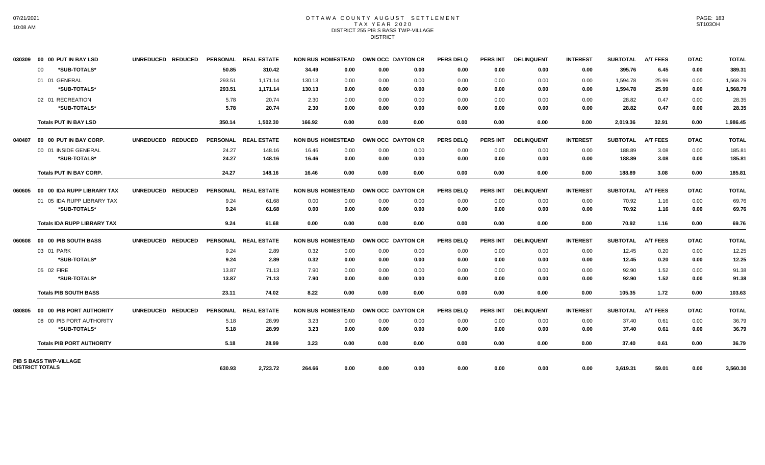#### OTTAWA COUNTY AUGUST SETTLEMENT T A X Y E A R 2 0 2 0 DISTRICT 255 PIB S BASS TWP-VILLAGE DISTRICT

| 030309                 |    | 00 00 PUT IN BAY LSD               | UNREDUCED REDUCED |        | PERSONAL REAL ESTATE | <b>NON BUS HOMESTEAD</b> | OWN OCC DAYTON CR |      | <b>PERS DELQ</b> | <b>PERS INT</b> | <b>DELINQUENT</b> | <b>INTEREST</b> | <b>SUBTOTAL</b> | <b>A/T FEES</b> | <b>DTAC</b> | <b>TOTAL</b> |
|------------------------|----|------------------------------------|-------------------|--------|----------------------|--------------------------|-------------------|------|------------------|-----------------|-------------------|-----------------|-----------------|-----------------|-------------|--------------|
|                        | 00 | *SUB-TOTALS*                       |                   | 50.85  | 310.42               | 34.49<br>0.00            | 0.00              | 0.00 | 0.00             | 0.00            | 0.00              | 0.00            | 395.76          | 6.45            | 0.00        | 389.31       |
|                        |    | 01 01 GENERAL                      |                   | 293.51 | 1,171.14             | 130.13<br>0.00           | 0.00              | 0.00 | 0.00             | 0.00            | 0.00              | 0.00            | 1,594.78        | 25.99           | 0.00        | 1,568.79     |
|                        |    | *SUB-TOTALS*                       |                   | 293.51 | 1,171.14             | 130.13<br>0.00           | 0.00              | 0.00 | 0.00             | 0.00            | 0.00              | 0.00            | 1,594.78        | 25.99           | 0.00        | 1,568.79     |
|                        |    | 02 01 RECREATION                   |                   | 5.78   | 20.74                | 2.30<br>0.00             | 0.00              | 0.00 | 0.00             | 0.00            | 0.00              | 0.00            | 28.82           | 0.47            | 0.00        | 28.35        |
|                        |    | *SUB-TOTALS*                       |                   | 5.78   | 20.74                | 2.30<br>0.00             | 0.00              | 0.00 | 0.00             | 0.00            | 0.00              | 0.00            | 28.82           | 0.47            | 0.00        | 28.35        |
|                        |    | <b>Totals PUT IN BAY LSD</b>       |                   | 350.14 | 1,502.30             | 166.92<br>0.00           | 0.00              | 0.00 | 0.00             | 0.00            | 0.00              | 0.00            | 2,019.36        | 32.91           | 0.00        | 1,986.45     |
| 040407                 |    | 00 00 PUT IN BAY CORP.             | UNREDUCED REDUCED |        | PERSONAL REAL ESTATE | <b>NON BUS HOMESTEAD</b> | OWN OCC DAYTON CR |      | <b>PERS DELQ</b> | <b>PERS INT</b> | <b>DELINQUENT</b> | <b>INTEREST</b> | <b>SUBTOTAL</b> | <b>A/T FEES</b> | <b>DTAC</b> | <b>TOTAL</b> |
|                        |    | 00 01 INSIDE GENERAL               |                   | 24.27  | 148.16               | 16.46<br>0.00            | 0.00              | 0.00 | 0.00             | 0.00            | 0.00              | 0.00            | 188.89          | 3.08            | 0.00        | 185.81       |
|                        |    | *SUB-TOTALS*                       |                   | 24.27  | 148.16               | 16.46<br>0.00            | 0.00              | 0.00 | 0.00             | 0.00            | 0.00              | 0.00            | 188.89          | 3.08            | 0.00        | 185.81       |
|                        |    | <b>Totals PUT IN BAY CORP.</b>     |                   | 24.27  | 148.16               | 16.46<br>0.00            | 0.00              | 0.00 | 0.00             | 0.00            | 0.00              | 0.00            | 188.89          | 3.08            | 0.00        | 185.81       |
| 060605                 |    | 00 00 IDA RUPP LIBRARY TAX         | UNREDUCED REDUCED |        | PERSONAL REAL ESTATE | <b>NON BUS HOMESTEAD</b> | OWN OCC DAYTON CR |      | <b>PERS DELQ</b> | PERS INT        | <b>DELINQUENT</b> | <b>INTEREST</b> | <b>SUBTOTAL</b> | <b>A/T FEES</b> | <b>DTAC</b> | <b>TOTAL</b> |
|                        |    | 01 05 IDA RUPP LIBRARY TAX         |                   | 9.24   | 61.68                | 0.00<br>0.00             | 0.00              | 0.00 | 0.00             | 0.00            | 0.00              | 0.00            | 70.92           | 1.16            | 0.00        | 69.76        |
|                        |    | *SUB-TOTALS*                       |                   | 9.24   | 61.68                | 0.00<br>0.00             | 0.00              | 0.00 | 0.00             | 0.00            | 0.00              | 0.00            | 70.92           | 1.16            | 0.00        | 69.76        |
|                        |    | <b>Totals IDA RUPP LIBRARY TAX</b> |                   | 9.24   | 61.68                | 0.00<br>0.00             | 0.00              | 0.00 | 0.00             | 0.00            | 0.00              | 0.00            | 70.92           | 1.16            | 0.00        | 69.76        |
| 806060                 |    | <b>00 00 PIB SOUTH BASS</b>        | UNREDUCED REDUCED |        | PERSONAL REAL ESTATE | <b>NON BUS HOMESTEAD</b> | OWN OCC DAYTON CR |      | <b>PERS DELQ</b> | <b>PERS INT</b> | <b>DELINQUENT</b> | <b>INTEREST</b> | <b>SUBTOTAL</b> | <b>A/T FEES</b> | <b>DTAC</b> | <b>TOTAL</b> |
|                        |    | 03 01 PARK                         |                   | 9.24   | 2.89                 | 0.32<br>0.00             | 0.00              | 0.00 | 0.00             | 0.00            | 0.00              | 0.00            | 12.45           | 0.20            | 0.00        | 12.25        |
|                        |    | *SUB-TOTALS*                       |                   | 9.24   | 2.89                 | 0.32<br>0.00             | 0.00              | 0.00 | 0.00             | 0.00            | 0.00              | 0.00            | 12.45           | 0.20            | 0.00        | 12.25        |
|                        |    | 05 02 FIRE                         |                   | 13.87  | 71.13                | 7.90<br>0.00             | 0.00              | 0.00 | 0.00             | 0.00            | 0.00              | 0.00            | 92.90           | 1.52            | 0.00        | 91.38        |
|                        |    | *SUB-TOTALS*                       |                   | 13.87  | 71.13                | 7.90<br>0.00             | 0.00              | 0.00 | 0.00             | 0.00            | 0.00              | 0.00            | 92.90           | 1.52            | 0.00        | 91.38        |
|                        |    | <b>Totals PIB SOUTH BASS</b>       |                   | 23.11  | 74.02                | 8.22<br>0.00             | 0.00              | 0.00 | 0.00             | 0.00            | 0.00              | 0.00            | 105.35          | 1.72            | 0.00        | 103.63       |
| 080805                 |    | 00 00 PIB PORT AUTHORITY           | UNREDUCED REDUCED |        | PERSONAL REAL ESTATE | <b>NON BUS HOMESTEAD</b> | OWN OCC DAYTON CR |      | <b>PERS DELQ</b> | <b>PERS INT</b> | <b>DELINQUENT</b> | <b>INTEREST</b> | <b>SUBTOTAL</b> | <b>A/T FEES</b> | <b>DTAC</b> | <b>TOTAL</b> |
|                        |    | 08 00 PIB PORT AUTHORITY           |                   | 5.18   | 28.99                | 3.23<br>0.00             | 0.00              | 0.00 | 0.00             | 0.00            | 0.00              | 0.00            | 37.40           | 0.61            | 0.00        | 36.79        |
|                        |    | *SUB-TOTALS*                       |                   | 5.18   | 28.99                | 3.23<br>0.00             | 0.00              | 0.00 | 0.00             | 0.00            | 0.00              | 0.00            | 37.40           | 0.61            | 0.00        | 36.79        |
|                        |    | <b>Totals PIB PORT AUTHORITY</b>   |                   | 5.18   | 28.99                | 3.23<br>0.00             | 0.00              | 0.00 | 0.00             | 0.00            | 0.00              | 0.00            | 37.40           | 0.61            | 0.00        | 36.79        |
|                        |    | PIB S BASS TWP-VILLAGE             |                   |        |                      |                          |                   |      |                  |                 |                   |                 |                 |                 |             |              |
| <b>DISTRICT TOTALS</b> |    |                                    |                   | 630.93 | 2,723.72             | 264.66<br>0.00           | 0.00              | 0.00 | 0.00             | 0.00            | 0.00              | 0.00            | 3,619.31        | 59.01           | 0.00        | 3,560.30     |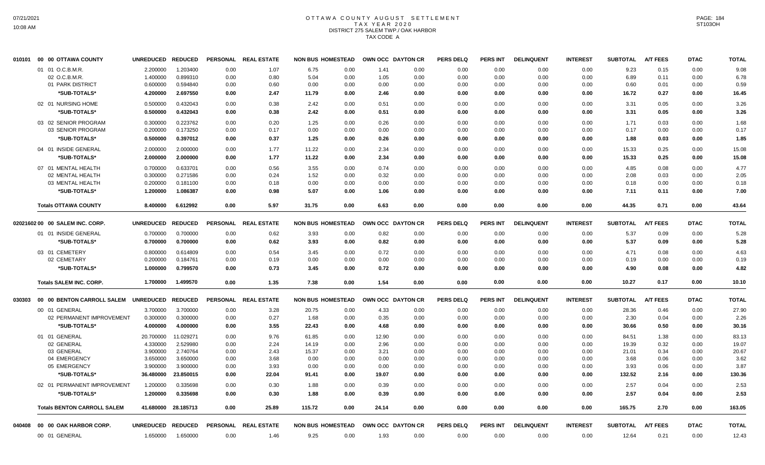# OTTAWA COUNTY AUGUST SETTLEMENT TAX YEAR 2020 DISTRICT 275 SALEM TWP./ OAK HARBOR TAX CODE A

| 010101 | 00 00 OTTAWA COUNTY                | <b>UNREDUCED</b>  | <b>REDUCED</b> | <b>PERSONAL</b> | <b>REAL ESTATE</b>   | <b>NON BUS HOMESTEAD</b> | OWN OCC DAYTON CR |                   | <b>PERS DELQ</b> | <b>PERS INT</b> | <b>DELINQUENT</b> | <b>INTEREST</b> | <b>SUBTOTAL</b> | <b>A/T FEES</b> | <b>DTAC</b> | <b>TOTAL</b> |
|--------|------------------------------------|-------------------|----------------|-----------------|----------------------|--------------------------|-------------------|-------------------|------------------|-----------------|-------------------|-----------------|-----------------|-----------------|-------------|--------------|
|        | 01 01 O.C.B.M.R.                   | 2.200000          | 1.203400       | 0.00            | 1.07                 | 6.75<br>0.00             | 1.41              | 0.00              | 0.00             | 0.00            | 0.00              | 0.00            | 9.23            | 0.15            | 0.00        | 9.08         |
|        | 02 O.C.B.M.R.                      | 1.400000          | 0.899310       | 0.00            | 0.80                 | 5.04<br>0.00             | 1.05              | 0.00              | 0.00             | 0.00            | 0.00              | 0.00            | 6.89            | 0.11            | 0.00        | 6.78         |
|        | 01 PARK DISTRICT                   | 0.600000          | 0.594840       | 0.00            | 0.60                 | 0.00<br>0.00             | 0.00              | 0.00              | 0.00             | 0.00            | 0.00              | 0.00            | 0.60            | 0.01            | 0.00        | 0.59         |
|        | *SUB-TOTALS*                       | 4.200000          | 2.697550       | 0.00            | 2.47                 | 11.79<br>0.00            | 2.46              | 0.00              | 0.00             | 0.00            | 0.00              | 0.00            | 16.72           | 0.27            | 0.00        | 16.45        |
|        | 02 01 NURSING HOME                 | 0.500000          | 0.432043       | 0.00            | 0.38                 | 2.42<br>0.00             | 0.51              | 0.00              | 0.00             | 0.00            | 0.00              | 0.00            | 3.31            | 0.05            | 0.00        | 3.26         |
|        | *SUB-TOTALS*                       | 0.500000          | 0.432043       | 0.00            | 0.38                 | 2.42<br>0.00             | 0.51              | 0.00              | 0.00             | 0.00            | 0.00              | 0.00            | 3.31            | 0.05            | 0.00        | 3.26         |
|        | 03 02 SENIOR PROGRAM               | 0.300000          | 0.223762       | 0.00            | 0.20                 | 1.25<br>0.00             | 0.26              | 0.00              | 0.00             | 0.00            | 0.00              | 0.00            | 1.71            | 0.03            | 0.00        | 1.68         |
|        | 03 SENIOR PROGRAM                  | 0.200000          | 0.173250       | 0.00            | 0.17                 | 0.00<br>0.00             | 0.00              | 0.00              | 0.00             | 0.00            | 0.00              | 0.00            | 0.17            | 0.00            | 0.00        | 0.17         |
|        | *SUB-TOTALS*                       | 0.500000          | 0.397012       | 0.00            | 0.37                 | 1.25<br>0.00             | 0.26              | 0.00              | 0.00             | 0.00            | 0.00              | 0.00            | 1.88            | 0.03            | 0.00        | 1.85         |
|        | 04 01 INSIDE GENERAL               | 2.000000          | 2.000000       | 0.00            | 1.77                 | 11.22<br>0.00            | 2.34              | 0.00              | 0.00             | 0.00            | 0.00              | 0.00            | 15.33           | 0.25            | 0.00        | 15.08        |
|        | *SUB-TOTALS*                       | 2.000000          | 2.000000       | 0.00            | 1.77                 | 11.22<br>0.00            | 2.34              | 0.00              | 0.00             | 0.00            | 0.00              | 0.00            | 15.33           | 0.25            | 0.00        | 15.08        |
|        | 07 01 MENTAL HEALTH                | 0.700000          | 0.633701       | 0.00            | 0.56                 | 3.55<br>0.00             | 0.74              | 0.00              | 0.00             | 0.00            | 0.00              | 0.00            | 4.85            | 0.08            | 0.00        | 4.77         |
|        | 02 MENTAL HEALTH                   | 0.300000          | 0.271586       | 0.00            | 0.24                 | 1.52<br>0.00             | 0.32              | 0.00              | 0.00             | 0.00            | 0.00              | 0.00            | 2.08            | 0.03            | 0.00        | 2.05         |
|        | 03 MENTAL HEALTH                   | 0.200000          | 0.181100       | 0.00            | 0.18                 | 0.00<br>0.00             | 0.00              | 0.00              | 0.00             | 0.00            | 0.00              | 0.00            | 0.18            | 0.00            | 0.00        | 0.18         |
|        | *SUB-TOTALS*                       | 1.200000          | 1.086387       | 0.00            | 0.98                 | 5.07<br>0.00             | 1.06              | 0.00              | 0.00             | 0.00            | 0.00              | 0.00            | 7.11            | 0.11            | 0.00        | 7.00         |
|        | <b>Totals OTTAWA COUNTY</b>        | 8.400000          | 6.612992       | 0.00            | 5.97                 | 31.75<br>0.00            | 6.63              | 0.00              | 0.00             | 0.00            | 0.00              | 0.00            | 44.35           | 0.71            | 0.00        | 43.64        |
|        | 02021602 00 00 SALEM INC. CORP.    | UNREDUCED REDUCED |                |                 | PERSONAL REAL ESTATE | <b>NON BUS HOMESTEAD</b> |                   | OWN OCC DAYTON CR | <b>PERS DELQ</b> | <b>PERS INT</b> | <b>DELINQUENT</b> | <b>INTEREST</b> | <b>SUBTOTAL</b> | <b>A/T FEES</b> | <b>DTAC</b> | <b>TOTAL</b> |
|        | 01 01 INSIDE GENERAL               | 0.700000          | 0.700000       | 0.00            | 0.62                 | 3.93<br>0.00             | 0.82              | 0.00              | 0.00             | 0.00            | 0.00              | 0.00            | 5.37            | 0.09            | 0.00        | 5.28         |
|        | *SUB-TOTALS*                       | 0.700000          | 0.700000       | 0.00            | 0.62                 | 3.93<br>0.00             | 0.82              | 0.00              | 0.00             | 0.00            | 0.00              | 0.00            | 5.37            | 0.09            | 0.00        | 5.28         |
|        | 03 01 CEMETERY                     | 0.800000          | 0.614809       | 0.00            | 0.54                 | 3.45<br>0.00             | 0.72              | 0.00              | 0.00             | 0.00            | 0.00              | 0.00            | 4.71            | 0.08            | 0.00        | 4.63         |
|        | 02 CEMETARY                        | 0.200000          | 0.184761       | 0.00            | 0.19                 | 0.00<br>0.00             | 0.00              | 0.00              | 0.00             | 0.00            | 0.00              | 0.00            | 0.19            | 0.00            | 0.00        | 0.19         |
|        | *SUB-TOTALS*                       | 1.000000          | 0.799570       | 0.00            | 0.73                 | 3.45<br>0.00             | 0.72              | 0.00              | 0.00             | 0.00            | 0.00              | 0.00            | 4.90            | 0.08            | 0.00        | 4.82         |
|        |                                    |                   |                |                 |                      |                          |                   |                   |                  |                 |                   |                 |                 |                 |             |              |
|        | <b>Totals SALEM INC. CORP.</b>     | 1.700000          | 1.499570       | 0.00            | 1.35                 | 7.38<br>0.00             | 1.54              | 0.00              | 0.00             | 0.00            | 0.00              | 0.00            | 10.27           | 0.17            | 0.00        | 10.10        |
| 030303 | 00 00 BENTON CARROLL SALEM         | UNREDUCED REDUCED |                |                 | PERSONAL REAL ESTATE | <b>NON BUS HOMESTEAD</b> | OWN OCC DAYTON CR |                   | <b>PERS DELQ</b> | <b>PERS INT</b> | <b>DELINQUENT</b> | <b>INTEREST</b> | <b>SUBTOTAL</b> | <b>A/T FEES</b> | <b>DTAC</b> | <b>TOTAL</b> |
|        | 00 01 GENERAL                      | 3.700000          | 3.700000       | 0.00            | 3.28                 | 20.75<br>0.00            | 4.33              | 0.00              | 0.00             | 0.00            | 0.00              | 0.00            | 28.36           | 0.46            | 0.00        | 27.90        |
|        | 02 PERMANENT IMPROVEMENT           | 0.300000          | 0.300000       | 0.00            | 0.27                 | 1.68<br>0.00             | 0.35              | 0.00              | 0.00             | 0.00            | 0.00              | 0.00            | 2.30            | 0.04            | 0.00        | 2.26         |
|        | *SUB-TOTALS*                       | 4.000000          | 4.000000       | 0.00            | 3.55                 | 22.43<br>0.00            | 4.68              | 0.00              | 0.00             | 0.00            | 0.00              | 0.00            | 30.66           | 0.50            | 0.00        | 30.16        |
|        | 01 01 GENERAL                      | 20.700000         | 11.029271      | 0.00            | 9.76                 | 61.85<br>0.00            | 12.90             | 0.00              | 0.00             | 0.00            | 0.00              | 0.00            | 84.51           | 1.38            | 0.00        | 83.13        |
|        | 02 GENERAL                         | 4.330000          | 2.529980       | 0.00            | 2.24                 | 14.19<br>0.00            | 2.96              | 0.00              | 0.00             | 0.00            | 0.00              | 0.00            | 19.39           | 0.32            | 0.00        | 19.07        |
|        | 03 GENERAL                         | 3.900000          | 2.740764       | 0.00            | 2.43                 | 15.37<br>0.00            | 3.21              | 0.00              | 0.00             | 0.00            | 0.00              | 0.00            | 21.01           | 0.34            | 0.00        | 20.67        |
|        | 04 EMERGENCY                       | 3.650000          | 3.650000       | 0.00            | 3.68                 | 0.00<br>0.00             | 0.00              | 0.00              | 0.00             | 0.00            | 0.00              | 0.00            | 3.68            | 0.06            | 0.00        | 3.62         |
|        | 05 EMERGENCY                       | 3.900000          | 3.900000       | 0.00            | 3.93                 | 0.00<br>0.00             | 0.00              | 0.00              | 0.00             | 0.00            | 0.00              | 0.00            | 3.93            | 0.06            | 0.00        | 3.87         |
|        | *SUB-TOTALS*                       | 36.480000         | 23.850015      | 0.00            | 22.04                | 91.41<br>0.00            | 19.07             | 0.00              | 0.00             | 0.00            | 0.00              | 0.00            | 132.52          | 2.16            | 0.00        | 130.36       |
|        | 02 01 PERMANENT IMPROVEMENT        | 1.200000          | 0.335698       | 0.00            | 0.30                 | 1.88<br>0.00             | 0.39              | 0.00              | 0.00             | 0.00            | 0.00              | 0.00            | 2.57            | 0.04            | 0.00        | 2.53         |
|        | *SUB-TOTALS*                       | 1.200000          | 0.335698       | 0.00            | 0.30                 | 1.88<br>0.00             | 0.39              | 0.00              | 0.00             | 0.00            | 0.00              | 0.00            | 2.57            | 0.04            | 0.00        | 2.53         |
|        | <b>Totals BENTON CARROLL SALEM</b> | 41.680000         | 28.185713      | 0.00            | 25.89                | 115.72<br>0.00           | 24.14             | 0.00              | 0.00             | 0.00            | 0.00              | 0.00            | 165.75          | 2.70            | 0.00        | 163.05       |
| 040408 | 00 00 OAK HARBOR CORP.             | <b>UNREDUCED</b>  | <b>REDUCED</b> |                 | PERSONAL REAL ESTATE | <b>NON BUS HOMESTEAD</b> |                   | OWN OCC DAYTON CR | <b>PERS DELQ</b> | PERS INT        | <b>DELINQUENT</b> | <b>INTEREST</b> | <b>SUBTOTAL</b> | <b>A/T FEES</b> | <b>DTAC</b> | <b>TOTAL</b> |
|        | 00 01 GENERAL                      | 1.650000          | 1.650000       | 0.00            | 1.46                 | 9.25<br>0.00             | 1.93              | 0.00              | 0.00             | 0.00            | 0.00              | 0.00            | 12.64           | 0.21            | 0.00        | 12.43        |
|        |                                    |                   |                |                 |                      |                          |                   |                   |                  |                 |                   |                 |                 |                 |             |              |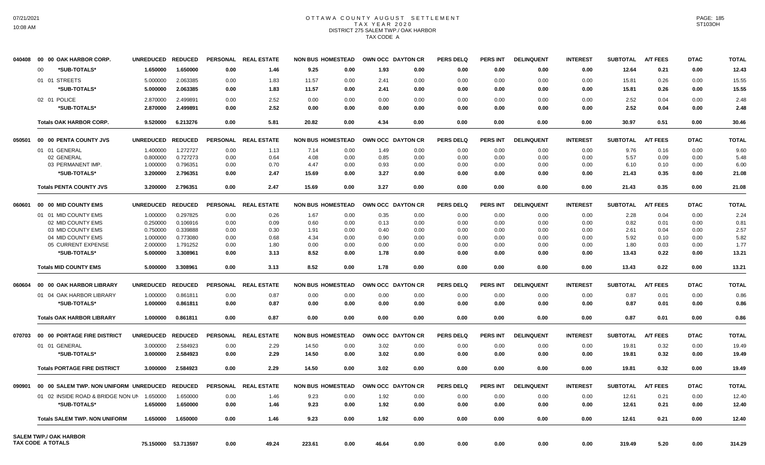# OTTAWA COUNTY AUGUST SETTLEMENT TAX YEAR 2020 DISTRICT 275 SALEM TWP./ OAK HARBOR TAX CODE A

| 040408 | 00 00 OAK HARBOR CORP.                                    | <b>UNREDUCED</b> | <b>REDUCED</b>      | <b>PERSONAL</b> | <b>REAL ESTATE</b> | <b>NON BUS HOMESTEAD</b> |      | OWN OCC DAYTON CR |      | <b>PERS DELQ</b> | PERS INT        | <b>DELINQUENT</b> | <b>INTEREST</b> | <b>SUBTOTAL</b> | <b>A/T FEES</b> | <b>DTAC</b> | <b>TOTAL</b> |
|--------|-----------------------------------------------------------|------------------|---------------------|-----------------|--------------------|--------------------------|------|-------------------|------|------------------|-----------------|-------------------|-----------------|-----------------|-----------------|-------------|--------------|
|        | *SUB-TOTALS*<br>$00 \,$                                   | 1.650000         | 1.650000            | 0.00            | 1.46               | 9.25                     | 0.00 | 1.93              | 0.00 | 0.00             | 0.00            | 0.00              | 0.00            | 12.64           | 0.21            | 0.00        | 12.43        |
|        | 01 01 STREETS                                             | 5.000000         | 2.063385            | 0.00            | 1.83               | 11.57                    | 0.00 | 2.41              | 0.00 | 0.00             | 0.00            | 0.00              | 0.00            | 15.81           | 0.26            | 0.00        | 15.55        |
|        | *SUB-TOTALS*                                              | 5.000000         | 2.063385            | 0.00            | 1.83               | 11.57                    | 0.00 | 2.41              | 0.00 | 0.00             | 0.00            | 0.00              | 0.00            | 15.81           | 0.26            | 0.00        | 15.55        |
|        |                                                           |                  |                     |                 |                    |                          |      |                   |      |                  |                 |                   |                 |                 |                 |             |              |
|        | 02 01 POLICE                                              | 2.870000         | 2.499891            | 0.00            | 2.52               | 0.00                     | 0.00 | 0.00              | 0.00 | 0.00             | 0.00            | 0.00              | 0.00            | 2.52            | 0.04            | 0.00        | 2.48         |
|        | *SUB-TOTALS*                                              | 2.870000         | 2.499891            | 0.00            | 2.52               | 0.00                     | 0.00 | 0.00              | 0.00 | 0.00             | 0.00            | 0.00              | 0.00            | 2.52            | 0.04            | 0.00        | 2.48         |
|        | <b>Totals OAK HARBOR CORP.</b>                            | 9.520000         | 6.213276            | 0.00            | 5.81               | 20.82                    | 0.00 | 4.34              | 0.00 | 0.00             | 0.00            | 0.00              | 0.00            | 30.97           | 0.51            | 0.00        | 30.46        |
| 050501 | 00 00 PENTA COUNTY JVS                                    | <b>UNREDUCED</b> | <b>REDUCED</b>      | <b>PERSONAL</b> | <b>REAL ESTATE</b> | <b>NON BUS HOMESTEAD</b> |      | OWN OCC DAYTON CR |      | <b>PERS DELQ</b> | PERS INT        | <b>DELINQUENT</b> | <b>INTEREST</b> | <b>SUBTOTAL</b> | <b>A/T FEES</b> | <b>DTAC</b> | <b>TOTAL</b> |
|        | 01 01 GENERAL                                             | 1.400000         | 1.272727            | 0.00            | 1.13               | 7.14                     | 0.00 | 1.49              | 0.00 | 0.00             | 0.00            | 0.00              | 0.00            | 9.76            | 0.16            | 0.00        | 9.60         |
|        | 02 GENERAL                                                | 0.800000         | 0.727273            | 0.00            | 0.64               | 4.08                     | 0.00 | 0.85              | 0.00 | 0.00             | 0.00            | 0.00              | 0.00            | 5.57            | 0.09            | 0.00        | 5.48         |
|        | 03 PERMANENT IMP.                                         | 1.000000         | 0.796351            | 0.00            | 0.70               | 4.47                     | 0.00 | 0.93              | 0.00 | 0.00             | 0.00            | 0.00              | 0.00            | 6.10            | 0.10            | 0.00        | 6.00         |
|        | *SUB-TOTALS*                                              | 3.200000         | 2.796351            | 0.00            | 2.47               | 15.69                    | 0.00 | 3.27              | 0.00 | 0.00             | 0.00            | 0.00              | 0.00            | 21.43           | 0.35            | 0.00        | 21.08        |
|        | <b>Totals PENTA COUNTY JVS</b>                            | 3.200000         | 2.796351            | 0.00            | 2.47               | 15.69                    | 0.00 | 3.27              | 0.00 | 0.00             | 0.00            | 0.00              | 0.00            | 21.43           | 0.35            | 0.00        | 21.08        |
| 060601 | 00 00 MID COUNTY EMS                                      | <b>UNREDUCED</b> | <b>REDUCED</b>      | <b>PERSONAL</b> | <b>REAL ESTATE</b> | <b>NON BUS HOMESTEAD</b> |      | OWN OCC DAYTON CR |      | <b>PERS DELQ</b> | PERS INT        | <b>DELINQUENT</b> | <b>INTEREST</b> | <b>SUBTOTAL</b> | <b>A/T FEES</b> | <b>DTAC</b> | <b>TOTAL</b> |
|        | 01 01 MID COUNTY EMS                                      | 1.000000         | 0.297825            | 0.00            | 0.26               | 1.67                     | 0.00 | 0.35              | 0.00 | 0.00             | 0.00            | 0.00              | 0.00            | 2.28            | 0.04            | 0.00        | 2.24         |
|        | 02 MID COUNTY EMS                                         | 0.250000         | 0.106916            | 0.00            | 0.09               | 0.60                     | 0.00 | 0.13              | 0.00 | 0.00             | 0.00            | 0.00              | 0.00            | 0.82            | 0.01            | 0.00        | 0.81         |
|        | 03 MID COUNTY EMS                                         | 0.750000         | 0.339888            | 0.00            | 0.30               | 1.91                     | 0.00 | 0.40              | 0.00 | 0.00             | 0.00            | 0.00              | 0.00            | 2.61            | 0.04            | 0.00        | 2.57         |
|        | 04 MID COUNTY EMS                                         | 1.000000         | 0.773080            | 0.00            | 0.68               | 4.34                     | 0.00 | 0.90              | 0.00 | 0.00             | 0.00            | 0.00              | 0.00            | 5.92            | 0.10            | 0.00        | 5.82         |
|        | 05 CURRENT EXPENSE                                        | 2.000000         | 1.791252            | 0.00            | 1.80               | 0.00                     | 0.00 | 0.00              | 0.00 | 0.00             | 0.00            | 0.00              | 0.00            | 1.80            | 0.03            | 0.00        | 1.77         |
|        | *SUB-TOTALS*                                              | 5.000000         | 3.308961            | 0.00            | 3.13               | 8.52                     | 0.00 | 1.78              | 0.00 | 0.00             | 0.00            | 0.00              | 0.00            | 13.43           | 0.22            | 0.00        | 13.21        |
|        | <b>Totals MID COUNTY EMS</b>                              | 5.000000         | 3.308961            | 0.00            | 3.13               | 8.52                     | 0.00 | 1.78              | 0.00 | 0.00             | 0.00            | 0.00              | 0.00            | 13.43           | 0.22            | 0.00        | 13.21        |
| 060604 | 00 00 OAK HARBOR LIBRARY                                  | <b>UNREDUCED</b> | <b>REDUCED</b>      | <b>PERSONAL</b> | <b>REAL ESTATE</b> | <b>NON BUS HOMESTEAD</b> |      | OWN OCC DAYTON CR |      | <b>PERS DELQ</b> | PERS INT        | <b>DELINQUENT</b> | <b>INTEREST</b> | <b>SUBTOTAL</b> | <b>A/T FEES</b> | <b>DTAC</b> | <b>TOTAL</b> |
|        |                                                           |                  |                     |                 |                    |                          |      |                   |      |                  |                 |                   |                 |                 |                 |             |              |
|        | 01 04 OAK HARBOR LIBRARY                                  | 1.000000         | 0.861811            | 0.00            | 0.87               | 0.00                     | 0.00 | 0.00              | 0.00 | 0.00             | 0.00            | 0.00              | 0.00            | 0.87            | 0.01            | 0.00        | 0.86         |
|        | *SUB-TOTALS*                                              | 1.000000         | 0.861811            | 0.00            | 0.87               | 0.00                     | 0.00 | 0.00              | 0.00 | 0.00             | 0.00            | 0.00              | 0.00            | 0.87            | 0.01            | 0.00        | 0.86         |
|        | <b>Totals OAK HARBOR LIBRARY</b>                          | 1.000000         | 0.861811            | 0.00            | 0.87               | 0.00                     | 0.00 | 0.00              | 0.00 | 0.00             | 0.00            | 0.00              | 0.00            | 0.87            | 0.01            | 0.00        | 0.86         |
|        | 070703 00 00 PORTAGE FIRE DISTRICT                        | <b>UNREDUCED</b> | <b>REDUCED</b>      | <b>PERSONAL</b> | <b>REAL ESTATE</b> | <b>NON BUS HOMESTEAD</b> |      | OWN OCC DAYTON CR |      | <b>PERS DELQ</b> | PERS INT        | <b>DELINQUENT</b> | <b>INTEREST</b> | <b>SUBTOTAL</b> | <b>A/T FEES</b> | <b>DTAC</b> | <b>TOTAL</b> |
|        | 01 01 GENERAL                                             | 3.000000         | 2.584923            | 0.00            | 2.29               | 14.50                    | 0.00 | 3.02              | 0.00 | 0.00             | 0.00            | 0.00              | 0.00            | 19.81           | 0.32            | 0.00        | 19.49        |
|        | *SUB-TOTALS*                                              | 3.000000         | 2.584923            | 0.00            | 2.29               | 14.50                    | 0.00 | 3.02              | 0.00 | 0.00             | 0.00            | 0.00              | 0.00            | 19.81           | 0.32            | 0.00        | 19.49        |
|        | <b>Totals PORTAGE FIRE DISTRICT</b>                       | 3.000000         | 2.584923            | 0.00            | 2.29               | 14.50                    | 0.00 | 3.02              | 0.00 | 0.00             | 0.00            | 0.00              | 0.00            | 19.81           | 0.32            | 0.00        | 19.49        |
| 090901 | 00 00 SALEM TWP. NON UNIFORM UNREDUCED                    |                  | <b>REDUCED</b>      | <b>PERSONAL</b> | <b>REAL ESTATE</b> | <b>NON BUS HOMESTEAD</b> |      | OWN OCC DAYTON CR |      | <b>PERS DELQ</b> | <b>PERS INT</b> | <b>DELINQUENT</b> | <b>INTEREST</b> | <b>SUBTOTAL</b> | <b>A/T FEES</b> | <b>DTAC</b> | <b>TOTAL</b> |
|        | 01 02 INSIDE ROAD & BRIDGE NON UN                         | 1.650000         | 1.650000            | 0.00            | 1.46               | 9.23                     | 0.00 | 1.92              | 0.00 | 0.00             | 0.00            | 0.00              | 0.00            | 12.61           | 0.21            | 0.00        | 12.40        |
|        | *SUB-TOTALS*                                              | 1.650000         | 1.650000            | 0.00            | 1.46               | 9.23                     | 0.00 | 1.92              | 0.00 | 0.00             | 0.00            | 0.00              | 0.00            | 12.61           | 0.21            | 0.00        | 12.40        |
|        | <b>Totals SALEM TWP. NON UNIFORM</b>                      | 1.650000         | 1.650000            | 0.00            | 1.46               | 9.23                     | 0.00 | 1.92              | 0.00 | 0.00             | 0.00            | 0.00              | 0.00            | 12.61           | 0.21            | 0.00        | 12.40        |
|        |                                                           |                  |                     |                 |                    |                          |      |                   |      |                  |                 |                   |                 |                 |                 |             |              |
|        | <b>SALEM TWP./ OAK HARBOR</b><br><b>TAX CODE A TOTALS</b> |                  | 75.150000 53.713597 | 0.00            | 49.24              | 223.61                   | 0.00 | 46.64             | 0.00 | 0.00             | 0.00            | 0.00              | 0.00            | 319.49          | 5.20            | 0.00        | 314.29       |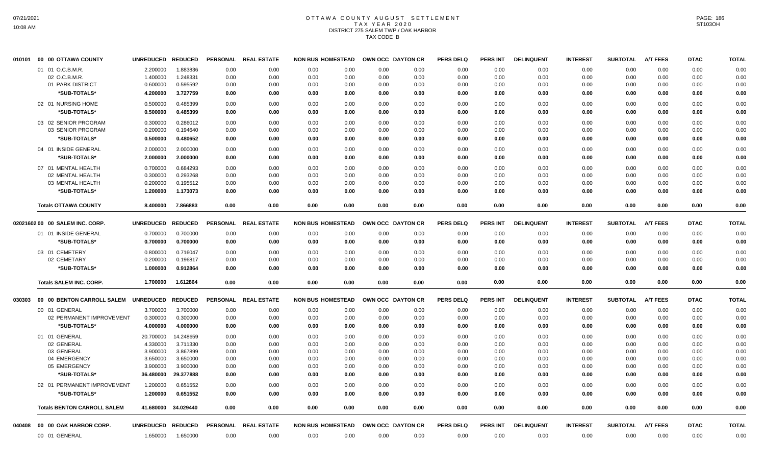# OTTAWA COUNTY AUGUST SETTLEMENT TAX YEAR 2020 DISTRICT 275 SALEM TWP./ OAK HARBOR TAX CODE B

| 010101 | 00 00 OTTAWA COUNTY                | UNREDUCED REDUCED |           | <b>PERSONAL</b> | <b>REAL ESTATE</b>   | <b>NON BUS HOMESTEAD</b> |      | OWN OCC DAYTON CR | <b>PERS DELQ</b> | <b>PERS INT</b> | <b>DELINQUENT</b> | <b>INTEREST</b> | <b>SUBTOTAL</b> | <b>A/T FEES</b> | <b>DTAC</b> | <b>TOTAL</b> |
|--------|------------------------------------|-------------------|-----------|-----------------|----------------------|--------------------------|------|-------------------|------------------|-----------------|-------------------|-----------------|-----------------|-----------------|-------------|--------------|
|        | 01 01 O.C.B.M.R.                   | 2.200000          | 1.883836  | 0.00            | 0.00                 | 0.00<br>0.00             | 0.00 | 0.00              | 0.00             | 0.00            | 0.00              | 0.00            | 0.00            | 0.00            | 0.00        | 0.00         |
|        | 02 O.C.B.M.R.                      | 1.400000          | 1.248331  | 0.00            | 0.00                 | 0.00<br>0.00             | 0.00 | 0.00              | 0.00             | 0.00            | 0.00              | 0.00            | 0.00            | 0.00            | 0.00        | 0.00         |
|        | 01 PARK DISTRICT                   | 0.600000          | 0.595592  | 0.00            | 0.00                 | 0.00<br>0.00             | 0.00 | 0.00              | 0.00             | 0.00            | 0.00              | 0.00            | 0.00            | 0.00            | 0.00        | 0.00         |
|        | *SUB-TOTALS*                       | 4.200000          | 3.727759  | 0.00            | 0.00                 | 0.00<br>0.00             | 0.00 | 0.00              | 0.00             | 0.00            | 0.00              | 0.00            | 0.00            | 0.00            | 0.00        | 0.00         |
|        | 02 01 NURSING HOME                 | 0.500000          | 0.485399  | 0.00            | 0.00                 | 0.00<br>0.00             | 0.00 | 0.00              | 0.00             | 0.00            | 0.00              | 0.00            | 0.00            | 0.00            | 0.00        | 0.00         |
|        | *SUB-TOTALS*                       | 0.500000          | 0.485399  | 0.00            | 0.00                 | 0.00<br>0.00             | 0.00 | 0.00              | 0.00             | 0.00            | 0.00              | 0.00            | 0.00            | 0.00            | 0.00        | 0.00         |
|        | 03 02 SENIOR PROGRAM               | 0.300000          | 0.286012  | 0.00            | 0.00                 | 0.00<br>0.00             | 0.00 | 0.00              | 0.00             | 0.00            | 0.00              | 0.00            | 0.00            | 0.00            | 0.00        | 0.00         |
|        | 03 SENIOR PROGRAM                  | 0.200000          | 0.194640  | 0.00            | 0.00                 | 0.00<br>0.00             | 0.00 | 0.00              | 0.00             | 0.00            | 0.00              | 0.00            | 0.00            | 0.00            | 0.00        | 0.00         |
|        | *SUB-TOTALS*                       | 0.500000          | 0.480652  | 0.00            | 0.00                 | 0.00<br>0.00             | 0.00 | 0.00              | 0.00             | 0.00            | 0.00              | 0.00            | 0.00            | 0.00            | 0.00        | 0.00         |
|        | 04 01 INSIDE GENERAL               | 2.000000          | 2.000000  | 0.00            | 0.00                 | 0.00<br>0.00             | 0.00 | 0.00              | 0.00             | 0.00            | 0.00              | 0.00            | 0.00            | 0.00            | 0.00        | 0.00         |
|        | *SUB-TOTALS*                       | 2.000000          | 2.000000  | 0.00            | 0.00                 | 0.00<br>0.00             | 0.00 | 0.00              | 0.00             | 0.00            | 0.00              | 0.00            | 0.00            | 0.00            | 0.00        | 0.00         |
|        | 07 01 MENTAL HEALTH                | 0.700000          | 0.684293  | 0.00            | 0.00                 | 0.00<br>0.00             | 0.00 | 0.00              | 0.00             | 0.00            | 0.00              | 0.00            | 0.00            | 0.00            | 0.00        | 0.00         |
|        | 02 MENTAL HEALTH                   | 0.300000          | 0.293268  | 0.00            | 0.00                 | 0.00<br>0.00             | 0.00 | 0.00              | 0.00             | 0.00            | 0.00              | 0.00            | 0.00            | 0.00            | 0.00        | 0.00         |
|        | 03 MENTAL HEALTH                   | 0.200000          | 0.195512  | 0.00            | 0.00                 | 0.00<br>0.00             | 0.00 | 0.00              | 0.00             | 0.00            | 0.00              | 0.00            | 0.00            | 0.00            | 0.00        | 0.00         |
|        | *SUB-TOTALS*                       | 1.200000          | 1.173073  | 0.00            | 0.00                 | 0.00<br>0.00             | 0.00 | 0.00              | 0.00             | 0.00            | 0.00              | 0.00            | 0.00            | 0.00            | 0.00        | 0.00         |
|        |                                    |                   |           |                 |                      |                          |      |                   |                  |                 |                   |                 |                 |                 |             |              |
|        | <b>Totals OTTAWA COUNTY</b>        | 8.400000          | 7.866883  | 0.00            | 0.00                 | 0.00<br>0.00             | 0.00 | 0.00              | 0.00             | 0.00            | 0.00              | 0.00            | 0.00            | 0.00            | 0.00        | 0.00         |
|        | 02021602 00 00 SALEM INC. CORP.    | UNREDUCED REDUCED |           | <b>PERSONAL</b> | <b>REAL ESTATE</b>   | <b>NON BUS HOMESTEAD</b> |      | OWN OCC DAYTON CR | <b>PERS DELQ</b> | <b>PERS INT</b> | <b>DELINQUENT</b> | <b>INTEREST</b> | <b>SUBTOTAL</b> | <b>A/T FEES</b> | <b>DTAC</b> | <b>TOTAL</b> |
|        | 01 01 INSIDE GENERAL               | 0.700000          | 0.700000  | 0.00            | 0.00                 | 0.00<br>0.00             | 0.00 | 0.00              | 0.00             | 0.00            | 0.00              | 0.00            | 0.00            | 0.00            | 0.00        | 0.00         |
|        | *SUB-TOTALS*                       | 0.700000          | 0.700000  | 0.00            | 0.00                 | 0.00<br>0.00             | 0.00 | 0.00              | 0.00             | 0.00            | 0.00              | 0.00            | 0.00            | 0.00            | 0.00        | 0.00         |
|        | 03 01 CEMETERY                     | 0.800000          | 0.716047  | 0.00            | 0.00                 | 0.00<br>0.00             | 0.00 | 0.00              | 0.00             | 0.00            | 0.00              | 0.00            | 0.00            | 0.00            | 0.00        | 0.00         |
|        | 02 CEMETARY                        | 0.200000          | 0.196817  | 0.00            | 0.00                 | 0.00<br>0.00             | 0.00 | 0.00              | 0.00             | 0.00            | 0.00              | 0.00            | 0.00            | 0.00            | 0.00        | 0.00         |
|        | *SUB-TOTALS*                       | 1.000000          | 0.912864  | 0.00            | 0.00                 | 0.00<br>0.00             | 0.00 | 0.00              | 0.00             | 0.00            | 0.00              | 0.00            | 0.00            | 0.00            | 0.00        | 0.00         |
|        | <b>Totals SALEM INC. CORP.</b>     | 1.700000          | 1.612864  | 0.00            | 0.00                 | 0.00<br>0.00             | 0.00 | 0.00              | 0.00             | 0.00            | 0.00              | 0.00            | 0.00            | 0.00            | 0.00        | 0.00         |
|        |                                    |                   |           |                 |                      |                          |      |                   |                  |                 |                   |                 |                 |                 |             |              |
| 030303 | 00 00 BENTON CARROLL SALEM         | UNREDUCED REDUCED |           | <b>PERSONAL</b> | <b>REAL ESTATE</b>   | <b>NON BUS HOMESTEAD</b> |      | OWN OCC DAYTON CR | <b>PERS DELQ</b> | <b>PERS INT</b> | <b>DELINQUENT</b> | <b>INTEREST</b> | <b>SUBTOTAL</b> | <b>A/T FEES</b> | <b>DTAC</b> | <b>TOTAL</b> |
|        | 00 01 GENERAL                      | 3.700000          | 3.700000  | 0.00            | 0.00                 | 0.00<br>0.00             | 0.00 | 0.00              | 0.00             | 0.00            | 0.00              | 0.00            | 0.00            | 0.00            | 0.00        | 0.00         |
|        | 02 PERMANENT IMPROVEMENT           | 0.300000          | 0.300000  | 0.00            | 0.00                 | 0.00<br>0.00             | 0.00 | 0.00              | 0.00             | 0.00            | 0.00              | 0.00            | 0.00            | 0.00            | 0.00        | 0.00         |
|        | *SUB-TOTALS*                       | 4.000000          | 4.000000  | 0.00            | 0.00                 | 0.00<br>0.00             | 0.00 | 0.00              | 0.00             | 0.00            | 0.00              | 0.00            | 0.00            | 0.00            | 0.00        | 0.00         |
|        | 01 01 GENERAL                      | 20.700000         | 14.248659 | 0.00            | 0.00                 | 0.00<br>0.00             | 0.00 | 0.00              | 0.00             | 0.00            | 0.00              | 0.00            | 0.00            | 0.00            | 0.00        | 0.00         |
|        | 02 GENERAL                         | 4.330000          | 3.711330  | 0.00            | 0.00                 | 0.00<br>0.00             | 0.00 | 0.00              | 0.00             | 0.00            | 0.00              | 0.00            | 0.00            | 0.00            | 0.00        | 0.00         |
|        | 03 GENERAL                         | 3.900000          | 3.867899  | 0.00            | 0.00                 | 0.00<br>0.00             | 0.00 | 0.00              | 0.00             | 0.00            | 0.00              | 0.00            | 0.00            | 0.00            | 0.00        | 0.00         |
|        | 04 EMERGENCY                       | 3.650000          | 3.650000  | 0.00            | 0.00                 | 0.00<br>0.00             | 0.00 | 0.00              | 0.00             | 0.00            | 0.00              | 0.00            | 0.00            | 0.00            | 0.00        | 0.00         |
|        | 05 EMERGENCY                       | 3.900000          | 3.900000  | 0.00            | 0.00                 | 0.00<br>0.00             | 0.00 | 0.00              | 0.00             | 0.00            | 0.00              | 0.00            | 0.00            | 0.00            | 0.00        | 0.00         |
|        | *SUB-TOTALS*                       | 36.480000         | 29.377888 | 0.00            | 0.00                 | 0.00<br>0.00             | 0.00 | 0.00              | 0.00             | 0.00            | 0.00              | 0.00            | 0.00            | 0.00            | 0.00        | 0.00         |
|        | 02 01 PERMANENT IMPROVEMENT        | 1.200000          | 0.651552  | 0.00            | 0.00                 | 0.00<br>0.00             | 0.00 | 0.00              | 0.00             | 0.00            | 0.00              | 0.00            | 0.00            | 0.00            | 0.00        | 0.00         |
|        | <b><i>*SUB-TOTALS*</i></b>         | 1.200000          | 0.651552  | 0.00            | 0.00                 | 0.00<br>0.00             | 0.00 | 0.00              | 0.00             | 0.00            | 0.00              | 0.00            | 0.00            | 0.00            | 0.00        | 0.00         |
|        | <b>Totals BENTON CARROLL SALEM</b> | 41.680000         | 34.029440 | 0.00            | 0.00                 | 0.00<br>0.00             | 0.00 | 0.00              | 0.00             | 0.00            | 0.00              | 0.00            | 0.00            | 0.00            | 0.00        | 0.00         |
| 040408 | 00 00 OAK HARBOR CORP.             | UNREDUCED REDUCED |           |                 | PERSONAL REAL ESTATE | <b>NON BUS HOMESTEAD</b> |      | OWN OCC DAYTON CR | <b>PERS DELQ</b> | PERS INT        | <b>DELINQUENT</b> | <b>INTEREST</b> | <b>SUBTOTAL</b> | <b>A/T FEES</b> | <b>DTAC</b> | <b>TOTAL</b> |
|        | 00 01 GENERAL                      | 1.650000          | 1.650000  | 0.00            | 0.00                 | 0.00<br>0.00             | 0.00 | 0.00              | 0.00             | 0.00            | 0.00              | 0.00            | 0.00            | 0.00            | 0.00        | 0.00         |
|        |                                    |                   |           |                 |                      |                          |      |                   |                  |                 |                   |                 |                 |                 |             |              |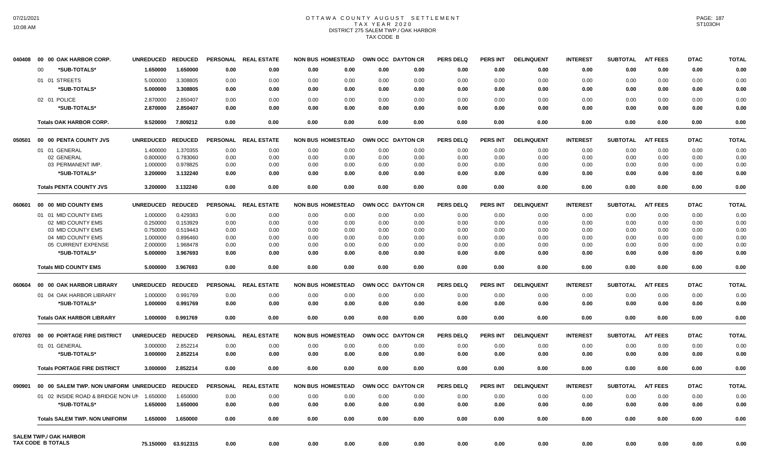# OTTAWA COUNTY AUGUST SETTLEMENT TAX YEAR 2020 DISTRICT 275 SALEM TWP./ OAK HARBOR TAX CODE B

| 040408 | 00 00 OAK HARBOR CORP.                 | <b>UNREDUCED</b> | <b>REDUCED</b> | <b>PERSONAL</b> | <b>REAL ESTATE</b> | <b>NON BUS HOMESTEAD</b> |      | OWN OCC DAYTON CR |      | <b>PERS DELQ</b> | <b>PERS INT</b> | <b>DELINQUENT</b> | <b>INTEREST</b> | <b>SUBTOTAL</b> | <b>A/T FEES</b> | <b>DTAC</b> | <b>TOTAL</b> |
|--------|----------------------------------------|------------------|----------------|-----------------|--------------------|--------------------------|------|-------------------|------|------------------|-----------------|-------------------|-----------------|-----------------|-----------------|-------------|--------------|
|        | *SUB-TOTALS*<br>$00 \,$                | 1.650000         | 1.650000       | 0.00            | 0.00               | 0.00                     | 0.00 | 0.00              | 0.00 | 0.00             | 0.00            | 0.00              | 0.00            | 0.00            | 0.00            | 0.00        | 0.00         |
|        | 01 01 STREETS                          | 5.000000         | 3.308805       | 0.00            | 0.00               | 0.00                     | 0.00 | 0.00              | 0.00 | 0.00             | 0.00            | 0.00              | 0.00            | 0.00            | 0.00            | 0.00        | 0.00         |
|        | *SUB-TOTALS*                           | 5.000000         | 3.308805       | 0.00            | 0.00               | 0.00                     | 0.00 | 0.00              | 0.00 | 0.00             | 0.00            | 0.00              | 0.00            | 0.00            | 0.00            | 0.00        | 0.00         |
|        | 02 01 POLICE                           | 2.870000         | 2.850407       | 0.00            | 0.00               | 0.00                     | 0.00 | 0.00              | 0.00 | 0.00             | 0.00            | 0.00              | 0.00            | 0.00            | 0.00            | 0.00        | 0.00         |
|        | *SUB-TOTALS*                           | 2.870000         | 2.850407       | 0.00            | 0.00               | 0.00                     | 0.00 | 0.00              | 0.00 | 0.00             | 0.00            | 0.00              | 0.00            | 0.00            | 0.00            | 0.00        | 0.00         |
|        |                                        |                  |                |                 |                    |                          |      |                   |      | 0.00             |                 |                   |                 |                 |                 |             |              |
|        | <b>Totals OAK HARBOR CORP.</b>         | 9.520000         | 7.809212       | 0.00            | 0.00               | 0.00                     | 0.00 | 0.00              | 0.00 |                  | 0.00            | 0.00              | 0.00            | 0.00            | 0.00            | 0.00        | 0.00         |
| 050501 | 00 00 PENTA COUNTY JVS                 | <b>UNREDUCED</b> | <b>REDUCED</b> | <b>PERSONAL</b> | <b>REAL ESTATE</b> | <b>NON BUS HOMESTEAD</b> |      | OWN OCC DAYTON CR |      | <b>PERS DELQ</b> | <b>PERS INT</b> | <b>DELINQUENT</b> | <b>INTEREST</b> | <b>SUBTOTAL</b> | <b>A/T FEES</b> | <b>DTAC</b> | <b>TOTAL</b> |
|        | 01 01 GENERAL                          | 1.400000         | 1.370355       | 0.00            | 0.00               | 0.00                     | 0.00 | 0.00              | 0.00 | 0.00             | 0.00            | 0.00              | 0.00            | 0.00            | 0.00            | 0.00        | 0.00         |
|        | 02 GENERAL                             | 0.800000         | 0.783060       | 0.00            | 0.00               | 0.00                     | 0.00 | 0.00              | 0.00 | 0.00             | 0.00            | 0.00              | 0.00            | 0.00            | 0.00            | 0.00        | 0.00         |
|        | 03 PERMANENT IMP.                      | 1.000000         | 0.978825       | 0.00            | 0.00               | 0.00                     | 0.00 | 0.00              | 0.00 | 0.00             | 0.00            | 0.00              | 0.00            | 0.00            | 0.00            | 0.00        | 0.00         |
|        | *SUB-TOTALS*                           | 3.200000         | 3.132240       | 0.00            | 0.00               | 0.00                     | 0.00 | 0.00              | 0.00 | 0.00             | 0.00            | 0.00              | 0.00            | 0.00            | 0.00            | 0.00        | 0.00         |
|        | <b>Totals PENTA COUNTY JVS</b>         | 3.200000         | 3.132240       | 0.00            | 0.00               | 0.00                     | 0.00 | 0.00              | 0.00 | 0.00             | 0.00            | 0.00              | 0.00            | 0.00            | 0.00            | 0.00        | 0.00         |
| 060601 | 00 00 MID COUNTY EMS                   | <b>UNREDUCED</b> | <b>REDUCED</b> | <b>PERSONAL</b> | <b>REAL ESTATE</b> | <b>NON BUS HOMESTEAD</b> |      | OWN OCC DAYTON CR |      | <b>PERS DELQ</b> | <b>PERS INT</b> | <b>DELINQUENT</b> | <b>INTEREST</b> | <b>SUBTOTAL</b> | <b>A/T FEES</b> | <b>DTAC</b> | <b>TOTAL</b> |
|        | 01 01 MID COUNTY EMS                   | 1.000000         | 0.429383       | 0.00            | 0.00               | 0.00                     | 0.00 | 0.00              | 0.00 | 0.00             | 0.00            | 0.00              | 0.00            | 0.00            | 0.00            | 0.00        | 0.00         |
|        | 02 MID COUNTY EMS                      | 0.250000         | 0.153929       | 0.00            | 0.00               | 0.00                     | 0.00 | 0.00              | 0.00 | 0.00             | 0.00            | 0.00              | 0.00            | 0.00            | 0.00            | 0.00        | 0.00         |
|        | 03 MID COUNTY EMS                      | 0.750000         | 0.519443       | 0.00            | 0.00               | 0.00                     | 0.00 | 0.00              | 0.00 | 0.00             | 0.00            | 0.00              | 0.00            | 0.00            | 0.00            | 0.00        | 0.00         |
|        | 04 MID COUNTY EMS                      | 1.000000         | 0.896460       | 0.00            | 0.00               | 0.00                     | 0.00 | 0.00              | 0.00 | 0.00             | 0.00            | 0.00              | 0.00            | 0.00            | 0.00            | 0.00        | 0.00         |
|        | 05 CURRENT EXPENSE                     | 2.000000         | 1.968478       | 0.00            | 0.00               | 0.00                     | 0.00 | 0.00              | 0.00 | 0.00             | 0.00            | 0.00              | 0.00            | 0.00            | 0.00            | 0.00        | 0.00         |
|        | *SUB-TOTALS*                           | 5.000000         | 3.967693       | 0.00            | 0.00               | 0.00                     | 0.00 | 0.00              | 0.00 | 0.00             | 0.00            | 0.00              | 0.00            | 0.00            | 0.00            | 0.00        | 0.00         |
|        | <b>Totals MID COUNTY EMS</b>           | 5.000000         | 3.967693       | 0.00            | 0.00               | 0.00                     | 0.00 | 0.00              | 0.00 | 0.00             | 0.00            | 0.00              | 0.00            | 0.00            | 0.00            | 0.00        | 0.00         |
| 060604 | 00 00 OAK HARBOR LIBRARY               | <b>UNREDUCED</b> | <b>REDUCED</b> | <b>PERSONAL</b> | <b>REAL ESTATE</b> | <b>NON BUS HOMESTEAD</b> |      | OWN OCC DAYTON CR |      | <b>PERS DELQ</b> | <b>PERS INT</b> | <b>DELINQUENT</b> | <b>INTEREST</b> | <b>SUBTOTAL</b> | <b>A/T FEES</b> | <b>DTAC</b> | <b>TOTAL</b> |
|        | 01 04 OAK HARBOR LIBRARY               | 1.000000         | 0.991769       | 0.00            | 0.00               | 0.00                     | 0.00 | 0.00              | 0.00 | 0.00             | 0.00            | 0.00              | 0.00            | 0.00            | 0.00            | 0.00        | 0.00         |
|        | *SUB-TOTALS*                           | 1.000000         | 0.991769       | 0.00            | 0.00               | 0.00                     | 0.00 | 0.00              | 0.00 | 0.00             | 0.00            | 0.00              | 0.00            | 0.00            | 0.00            | 0.00        | 0.00         |
|        |                                        |                  |                |                 |                    |                          |      |                   |      |                  |                 |                   |                 |                 |                 |             |              |
|        | <b>Totals OAK HARBOR LIBRARY</b>       | 1.000000         | 0.991769       | 0.00            | 0.00               | 0.00                     | 0.00 | 0.00              | 0.00 | 0.00             | 0.00            | 0.00              | 0.00            | 0.00            | 0.00            | 0.00        | 0.00         |
| 070703 | 00 00 PORTAGE FIRE DISTRICT            | <b>UNREDUCED</b> | <b>REDUCED</b> | <b>PERSONAL</b> | <b>REAL ESTATE</b> | <b>NON BUS HOMESTEAD</b> |      | OWN OCC DAYTON CR |      | <b>PERS DELQ</b> | <b>PERS INT</b> | <b>DELINQUENT</b> | <b>INTEREST</b> | <b>SUBTOTAL</b> | <b>A/T FEES</b> | <b>DTAC</b> | <b>TOTAL</b> |
|        | 01 01 GENERAL                          | 3.000000         | 2.852214       | 0.00            | 0.00               | 0.00                     | 0.00 | 0.00              | 0.00 | 0.00             | 0.00            | 0.00              | 0.00            | 0.00            | 0.00            | 0.00        | 0.00         |
|        | *SUB-TOTALS*                           | 3.000000         | 2.852214       | 0.00            | 0.00               | 0.00                     | 0.00 | 0.00              | 0.00 | 0.00             | 0.00            | 0.00              | 0.00            | 0.00            | 0.00            | 0.00        | 0.00         |
|        | <b>Totals PORTAGE FIRE DISTRICT</b>    | 3.000000         | 2.852214       | 0.00            | 0.00               | 0.00                     | 0.00 | 0.00              | 0.00 | 0.00             | 0.00            | 0.00              | 0.00            | 0.00            | 0.00            | 0.00        | 0.00         |
| 090901 | 00 00 SALEM TWP. NON UNIFORM UNREDUCED |                  | <b>REDUCED</b> | <b>PERSONAL</b> | <b>REAL ESTATE</b> | <b>NON BUS HOMESTEAD</b> |      | OWN OCC DAYTON CR |      | <b>PERS DELQ</b> | <b>PERS INT</b> | <b>DELINQUENT</b> | <b>INTEREST</b> | <b>SUBTOTAL</b> | <b>A/T FEES</b> | <b>DTAC</b> | <b>TOTAL</b> |
|        | 01 02 INSIDE ROAD & BRIDGE NON UN      | 1.650000         | 1.650000       | 0.00            | 0.00               | 0.00                     | 0.00 | 0.00              | 0.00 | 0.00             | 0.00            | 0.00              | 0.00            | 0.00            | 0.00            | 0.00        | 0.00         |
|        | *SUB-TOTALS*                           |                  |                |                 |                    |                          |      |                   |      | 0.00             | 0.00            |                   |                 |                 |                 |             | 0.00         |
|        |                                        | 1.650000         | 1.650000       | 0.00            | 0.00               | 0.00                     | 0.00 | 0.00              | 0.00 |                  |                 | 0.00              | 0.00            | 0.00            | 0.00            | 0.00        |              |
|        | <b>Totals SALEM TWP. NON UNIFORM</b>   | 1.650000         | 1.650000       | 0.00            | 0.00               | 0.00                     | 0.00 | 0.00              | 0.00 | 0.00             | 0.00            | 0.00              | 0.00            | 0.00            | 0.00            | 0.00        | 0.00         |
|        | <b>SALEM TWP./ OAK HARBOR</b>          |                  |                |                 |                    |                          |      |                   |      |                  |                 |                   |                 |                 |                 |             |              |
|        | TAX CODE B TOTALS                      | 75.150000        | 63.912315      | 0.00            | 0.00               | 0.00                     | 0.00 | 0.00              | 0.00 | 0.00             | 0.00            | 0.00              | 0.00            | 0.00            | 0.00            | 0.00        | 0.00         |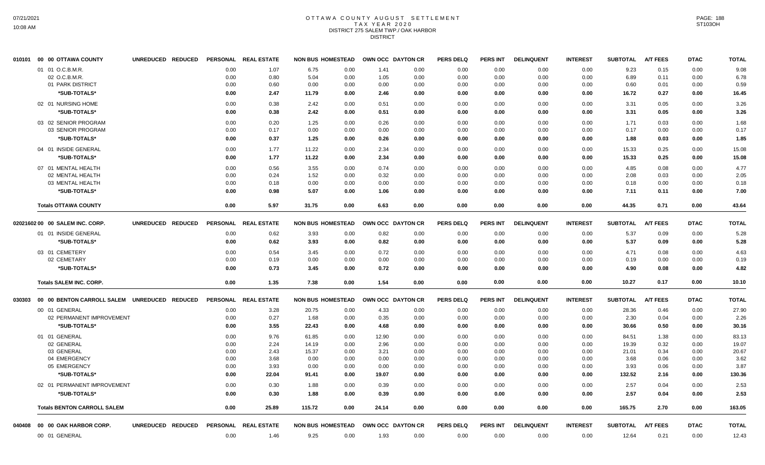## OTTAWA COUNTY AUGUST SETTLEMENT TAX YEAR 2020 DISTRICT 275 SALEM TWP./ OAK HARBOR DISTRICT

| 010101 | 00 00 OTTAWA COUNTY                          | UNREDUCED REDUCED |      | PERSONAL REAL ESTATE | <b>NON BUS HOMESTEAD</b> |      | OWN OCC DAYTON CR |      | <b>PERS DELQ</b> | <b>PERS INT</b> | <b>DELINQUENT</b> | <b>INTEREST</b> | <b>SUBTOTAL</b> | <b>A/T FEES</b> | <b>DTAC</b> | <b>TOTAL</b> |
|--------|----------------------------------------------|-------------------|------|----------------------|--------------------------|------|-------------------|------|------------------|-----------------|-------------------|-----------------|-----------------|-----------------|-------------|--------------|
|        | 01 01 O.C.B.M.R.                             |                   | 0.00 | 1.07                 | 6.75                     | 0.00 | 1.41              | 0.00 | 0.00             | 0.00            | 0.00              | 0.00            | 9.23            | 0.15            | 0.00        | 9.08         |
|        | 02 O.C.B.M.R.                                |                   | 0.00 | 0.80                 | 5.04                     | 0.00 | 1.05              | 0.00 | 0.00             | 0.00            | 0.00              | 0.00            | 6.89            | 0.11            | 0.00        | 6.78         |
|        | 01 PARK DISTRICT                             |                   | 0.00 | 0.60                 | 0.00                     | 0.00 | 0.00              | 0.00 | 0.00             | 0.00            | 0.00              | 0.00            | 0.60            | 0.01            | 0.00        | 0.59         |
|        | *SUB-TOTALS*                                 |                   | 0.00 | 2.47                 | 11.79                    | 0.00 | 2.46              | 0.00 | 0.00             | 0.00            | 0.00              | 0.00            | 16.72           | 0.27            | 0.00        | 16.45        |
|        | 02 01 NURSING HOME                           |                   | 0.00 | 0.38                 | 2.42                     | 0.00 | 0.51              | 0.00 | 0.00             | 0.00            | 0.00              | 0.00            | 3.31            | 0.05            | 0.00        | 3.26         |
|        | *SUB-TOTALS*                                 |                   | 0.00 | 0.38                 | 2.42                     | 0.00 | 0.51              | 0.00 | 0.00             | 0.00            | 0.00              | 0.00            | 3.31            | 0.05            | 0.00        | 3.26         |
|        | 03 02 SENIOR PROGRAM                         |                   | 0.00 | 0.20                 | 1.25                     | 0.00 | 0.26              | 0.00 | 0.00             | 0.00            | 0.00              | 0.00            | 1.71            | 0.03            | 0.00        | 1.68         |
|        | 03 SENIOR PROGRAM                            |                   | 0.00 | 0.17                 | 0.00                     | 0.00 | 0.00              | 0.00 | 0.00             | 0.00            | 0.00              | 0.00            | 0.17            | 0.00            | 0.00        | 0.17         |
|        | *SUB-TOTALS*                                 |                   | 0.00 | 0.37                 | 1.25                     | 0.00 | 0.26              | 0.00 | 0.00             | 0.00            | 0.00              | 0.00            | 1.88            | 0.03            | 0.00        | 1.85         |
|        | 04 01 INSIDE GENERAL                         |                   | 0.00 | 1.77                 | 11.22                    | 0.00 | 2.34              | 0.00 | 0.00             | 0.00            | 0.00              | 0.00            | 15.33           | 0.25            | 0.00        | 15.08        |
|        | *SUB-TOTALS*                                 |                   | 0.00 | 1.77                 | 11.22                    | 0.00 | 2.34              | 0.00 | 0.00             | 0.00            | 0.00              | 0.00            | 15.33           | 0.25            | 0.00        | 15.08        |
|        | 07 01 MENTAL HEALTH                          |                   | 0.00 | 0.56                 | 3.55                     | 0.00 | 0.74              | 0.00 | 0.00             | 0.00            | 0.00              | 0.00            | 4.85            | 0.08            | 0.00        | 4.77         |
|        | 02 MENTAL HEALTH                             |                   | 0.00 | 0.24                 | 1.52                     | 0.00 | 0.32              | 0.00 | 0.00             | 0.00            | 0.00              | 0.00            | 2.08            | 0.03            | 0.00        | 2.05         |
|        | 03 MENTAL HEALTH                             |                   | 0.00 | 0.18                 | 0.00                     | 0.00 | 0.00              | 0.00 | 0.00             | 0.00            | 0.00              | 0.00            | 0.18            | 0.00            | 0.00        | 0.18         |
|        | *SUB-TOTALS*                                 |                   | 0.00 | 0.98                 | 5.07                     | 0.00 | 1.06              | 0.00 | 0.00             | 0.00            | 0.00              | 0.00            | 7.11            | 0.11            | 0.00        | 7.00         |
|        | <b>Totals OTTAWA COUNTY</b>                  |                   | 0.00 | 5.97                 | 31.75                    | 0.00 | 6.63              | 0.00 | 0.00             | 0.00            | 0.00              | 0.00            | 44.35           | 0.71            | 0.00        | 43.64        |
|        | 02021602 00 00 SALEM INC. CORP.              | UNREDUCED REDUCED |      | PERSONAL REAL ESTATE | <b>NON BUS HOMESTEAD</b> |      | OWN OCC DAYTON CR |      | <b>PERS DELQ</b> | <b>PERS INT</b> | <b>DELINQUENT</b> | <b>INTEREST</b> | <b>SUBTOTAL</b> | <b>A/T FEES</b> | <b>DTAC</b> | <b>TOTAL</b> |
|        | 01 01 INSIDE GENERAL                         |                   | 0.00 | 0.62                 | 3.93                     | 0.00 | 0.82              | 0.00 | 0.00             | 0.00            | 0.00              | 0.00            | 5.37            | 0.09            | 0.00        | 5.28         |
|        | *SUB-TOTALS*                                 |                   | 0.00 | 0.62                 | 3.93                     | 0.00 | 0.82              | 0.00 | 0.00             | 0.00            | 0.00              | 0.00            | 5.37            | 0.09            | 0.00        | 5.28         |
|        |                                              |                   |      |                      |                          |      |                   |      |                  |                 |                   |                 |                 |                 |             |              |
|        | 03 01 CEMETERY                               |                   | 0.00 | 0.54                 | 3.45                     | 0.00 | 0.72              | 0.00 | 0.00             | 0.00            | 0.00              | 0.00            | 4.71            | 0.08            | 0.00        | 4.63         |
|        | 02 CEMETARY                                  |                   | 0.00 | 0.19                 | 0.00                     | 0.00 | 0.00              | 0.00 | 0.00             | 0.00            | 0.00              | 0.00            | 0.19            | 0.00            | 0.00        | 0.19         |
|        | *SUB-TOTALS*                                 |                   | 0.00 | 0.73                 | 3.45                     | 0.00 | 0.72              | 0.00 | 0.00             | 0.00            | 0.00              | 0.00            | 4.90            | 0.08            | 0.00        | 4.82         |
|        | <b>Totals SALEM INC. CORP.</b>               |                   | 0.00 | 1.35                 | 7.38                     | 0.00 | 1.54              | 0.00 | 0.00             | 0.00            | 0.00              | 0.00            | 10.27           | 0.17            | 0.00        | 10.10        |
| 030303 | 00 00 BENTON CARROLL SALEM UNREDUCED REDUCED |                   |      | PERSONAL REAL ESTATE | <b>NON BUS HOMESTEAD</b> |      | OWN OCC DAYTON CR |      | <b>PERS DELQ</b> | <b>PERS INT</b> | <b>DELINQUENT</b> | <b>INTEREST</b> | <b>SUBTOTAL</b> | <b>A/T FEES</b> | <b>DTAC</b> | <b>TOTAL</b> |
|        | 00 01 GENERAL                                |                   | 0.00 | 3.28                 | 20.75                    | 0.00 | 4.33              | 0.00 | 0.00             | 0.00            | 0.00              | 0.00            | 28.36           | 0.46            | 0.00        | 27.90        |
|        | 02 PERMANENT IMPROVEMENT                     |                   | 0.00 | 0.27                 | 1.68                     | 0.00 | 0.35              | 0.00 | 0.00             | 0.00            | 0.00              | 0.00            | 2.30            | 0.04            | 0.00        | 2.26         |
|        | *SUB-TOTALS*                                 |                   | 0.00 | 3.55                 | 22.43                    | 0.00 | 4.68              | 0.00 | 0.00             | 0.00            | 0.00              | 0.00            | 30.66           | 0.50            | 0.00        | 30.16        |
|        | 01 01 GENERAL                                |                   | 0.00 | 9.76                 | 61.85                    | 0.00 | 12.90             | 0.00 | 0.00             | 0.00            | 0.00              | 0.00            | 84.51           | 1.38            | 0.00        | 83.13        |
|        | 02 GENERAL                                   |                   | 0.00 | 2.24                 | 14.19                    | 0.00 | 2.96              | 0.00 | 0.00             | 0.00            | 0.00              | 0.00            | 19.39           | 0.32            | 0.00        | 19.07        |
|        | 03 GENERAL                                   |                   | 0.00 | 2.43                 | 15.37                    | 0.00 | 3.21              | 0.00 | 0.00             | 0.00            | 0.00              | 0.00            | 21.01           | 0.34            | 0.00        | 20.67        |
|        | 04 EMERGENCY                                 |                   | 0.00 | 3.68                 | 0.00                     | 0.00 | 0.00              | 0.00 | 0.00             | 0.00            | 0.00              | 0.00            | 3.68            | 0.06            | 0.00        | 3.62         |
|        | 05 EMERGENCY                                 |                   | 0.00 | 3.93                 | 0.00                     | 0.00 | 0.00              | 0.00 | 0.00             | 0.00            | 0.00              | 0.00            | 3.93            | 0.06            | 0.00        | 3.87         |
|        | *SUB-TOTALS*                                 |                   | 0.00 | 22.04                | 91.41                    | 0.00 | 19.07             | 0.00 | 0.00             | 0.00            | 0.00              | 0.00            | 132.52          | 2.16            | 0.00        | 130.36       |
|        | 02 01 PERMANENT IMPROVEMENT                  |                   | 0.00 | 0.30                 | 1.88                     | 0.00 | 0.39              | 0.00 | 0.00             | 0.00            | 0.00              | 0.00            | 2.57            | 0.04            | 0.00        | 2.53         |
|        | *SUB-TOTALS*                                 |                   | 0.00 | 0.30                 | 1.88                     | 0.00 | 0.39              | 0.00 | 0.00             | 0.00            | 0.00              | 0.00            | 2.57            | 0.04            | 0.00        | 2.53         |
|        | <b>Totals BENTON CARROLL SALEM</b>           |                   | 0.00 | 25.89                | 115.72                   | 0.00 | 24.14             | 0.00 | 0.00             | 0.00            | 0.00              | 0.00            | 165.75          | 2.70            | 0.00        | 163.05       |
| 040408 | 00 00 OAK HARBOR CORP.                       | UNREDUCED REDUCED |      | PERSONAL REAL ESTATE | <b>NON BUS HOMESTEAD</b> |      | OWN OCC DAYTON CR |      | <b>PERS DELQ</b> | PERS INT        | <b>DELINQUENT</b> | <b>INTEREST</b> | <b>SUBTOTAL</b> | <b>A/T FEES</b> | <b>DTAC</b> | <b>TOTAL</b> |
|        | 00 01 GENERAL                                |                   | 0.00 | 1.46                 | 9.25                     | 0.00 | 1.93              | 0.00 | 0.00             | 0.00            | 0.00              | 0.00            | 12.64           | 0.21            | 0.00        | 12.43        |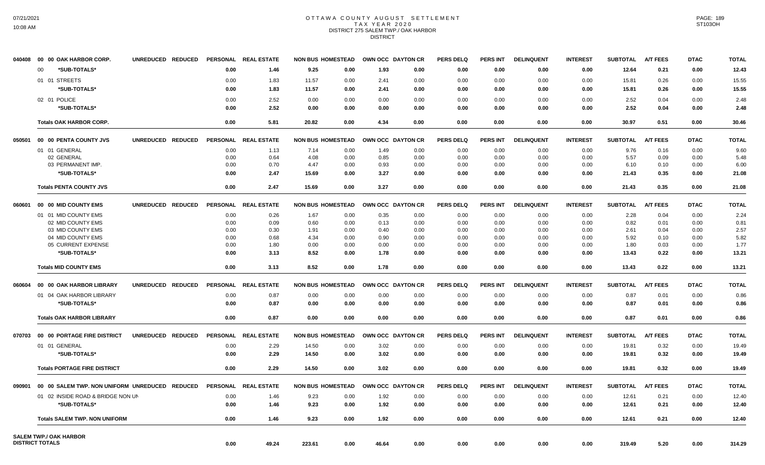## OTTAWA COUNTY AUGUST SETTLEMENT TAX YEAR 2020 DISTRICT 275 SALEM TWP./ OAK HARBOR DISTRICT

|        | 040408  00  00  OAK HARBOR CORP.               | UNREDUCED REDUCED |                 | PERSONAL REAL ESTATE | <b>NON BUS HOMESTEAD</b> |      | OWN OCC DAYTON CR |      | <b>PERS DELQ</b> | <b>PERS INT</b> | <b>DELINQUENT</b> | <b>INTEREST</b> | <b>SUBTOTAL</b> | <b>A/T FEES</b> | <b>DTAC</b> | <b>TOTAL</b> |
|--------|------------------------------------------------|-------------------|-----------------|----------------------|--------------------------|------|-------------------|------|------------------|-----------------|-------------------|-----------------|-----------------|-----------------|-------------|--------------|
|        | *SUB-TOTALS*<br>$00 \,$                        |                   | 0.00            | 1.46                 | 9.25                     | 0.00 | 1.93              | 0.00 | 0.00             | 0.00            | 0.00              | 0.00            | 12.64           | 0.21            | 0.00        | 12.43        |
|        | 01 01 STREETS                                  |                   | 0.00            | 1.83                 | 11.57                    | 0.00 | 2.41              | 0.00 | 0.00             | 0.00            | 0.00              | 0.00            | 15.81           | 0.26            | 0.00        | 15.55        |
|        | *SUB-TOTALS*                                   |                   | 0.00            | 1.83                 | 11.57                    | 0.00 | 2.41              | 0.00 | 0.00             | 0.00            | 0.00              | 0.00            | 15.81           | 0.26            | 0.00        | 15.55        |
|        | 02 01 POLICE                                   |                   | 0.00            | 2.52                 | 0.00                     | 0.00 | 0.00              | 0.00 | 0.00             | 0.00            | 0.00              | 0.00            | 2.52            | 0.04            | 0.00        | 2.48         |
|        | *SUB-TOTALS*                                   |                   | 0.00            | 2.52                 | 0.00                     | 0.00 | 0.00              | 0.00 | 0.00             | 0.00            | 0.00              | 0.00            | 2.52            | 0.04            | 0.00        | 2.48         |
|        |                                                |                   |                 |                      |                          |      |                   |      |                  |                 |                   |                 |                 |                 |             |              |
|        | <b>Totals OAK HARBOR CORP.</b>                 |                   | 0.00            | 5.81                 | 20.82                    | 0.00 | 4.34              | 0.00 | 0.00             | 0.00            | 0.00              | 0.00            | 30.97           | 0.51            | 0.00        | 30.46        |
| 050501 | 00 00 PENTA COUNTY JVS                         | UNREDUCED REDUCED | <b>PERSONAL</b> | <b>REAL ESTATE</b>   | <b>NON BUS HOMESTEAD</b> |      | OWN OCC DAYTON CR |      | <b>PERS DELQ</b> | <b>PERS INT</b> | <b>DELINQUENT</b> | <b>INTEREST</b> | <b>SUBTOTAL</b> | <b>A/T FEES</b> | <b>DTAC</b> | <b>TOTAL</b> |
|        | 01 01 GENERAL                                  |                   | 0.00            | 1.13                 | 7.14                     | 0.00 | 1.49              | 0.00 | 0.00             | 0.00            | 0.00              | 0.00            | 9.76            | 0.16            | 0.00        | 9.60         |
|        | 02 GENERAL                                     |                   | 0.00            | 0.64                 | 4.08                     | 0.00 | 0.85              | 0.00 | 0.00             | 0.00            | 0.00              | 0.00            | 5.57            | 0.09            | 0.00        | 5.48         |
|        | 03 PERMANENT IMP.                              |                   | 0.00            | 0.70                 | 4.47                     | 0.00 | 0.93              | 0.00 | 0.00             | 0.00            | 0.00              | 0.00            | 6.10            | 0.10            | 0.00        | 6.00         |
|        | *SUB-TOTALS*                                   |                   | 0.00            | 2.47                 | 15.69                    | 0.00 | 3.27              | 0.00 | 0.00             | 0.00            | 0.00              | 0.00            | 21.43           | 0.35            | 0.00        | 21.08        |
|        | <b>Totals PENTA COUNTY JVS</b>                 |                   | 0.00            | 2.47                 | 15.69                    | 0.00 | 3.27              | 0.00 | 0.00             | 0.00            | 0.00              | 0.00            | 21.43           | 0.35            | 0.00        | 21.08        |
| 060601 | 00 00 MID COUNTY EMS                           | UNREDUCED REDUCED | <b>PERSONAL</b> | <b>REAL ESTATE</b>   | <b>NON BUS HOMESTEAD</b> |      | OWN OCC DAYTON CR |      | <b>PERS DELQ</b> | <b>PERS INT</b> | <b>DELINQUENT</b> | <b>INTEREST</b> | <b>SUBTOTAL</b> | <b>A/T FEES</b> | <b>DTAC</b> | <b>TOTAL</b> |
|        | 01 01 MID COUNTY EMS                           |                   | 0.00            | 0.26                 | 1.67                     | 0.00 | 0.35              | 0.00 | 0.00             | 0.00            | 0.00              | 0.00            | 2.28            | 0.04            | 0.00        | 2.24         |
|        | 02 MID COUNTY EMS                              |                   | 0.00            | 0.09                 | 0.60                     | 0.00 | 0.13              | 0.00 | 0.00             | 0.00            | 0.00              | 0.00            | 0.82            | 0.01            | 0.00        | 0.81         |
|        | 03 MID COUNTY EMS                              |                   | 0.00            | 0.30                 | 1.91                     | 0.00 | 0.40              | 0.00 | 0.00             | 0.00            | 0.00              | 0.00            | 2.61            | 0.04            | 0.00        | 2.57         |
|        | 04 MID COUNTY EMS                              |                   | 0.00            | 0.68                 | 4.34                     | 0.00 | 0.90              | 0.00 | 0.00             | 0.00            | 0.00              | 0.00            | 5.92            | 0.10            | 0.00        | 5.82         |
|        | 05 CURRENT EXPENSE                             |                   | 0.00            | 1.80                 | 0.00                     | 0.00 | 0.00              | 0.00 | 0.00             | 0.00            | 0.00              | 0.00            | 1.80            | 0.03            | 0.00        | 1.77         |
|        | *SUB-TOTALS*                                   |                   | 0.00            | 3.13                 | 8.52                     | 0.00 | 1.78              | 0.00 | 0.00             | 0.00            | 0.00              | 0.00            | 13.43           | 0.22            | 0.00        | 13.21        |
|        | <b>Totals MID COUNTY EMS</b>                   |                   | 0.00            | 3.13                 | 8.52                     | 0.00 | 1.78              | 0.00 | 0.00             | 0.00            | 0.00              | 0.00            | 13.43           | 0.22            | 0.00        | 13.21        |
| 060604 | 00 00 OAK HARBOR LIBRARY                       | UNREDUCED REDUCED | <b>PERSONAL</b> | <b>REAL ESTATE</b>   | <b>NON BUS HOMESTEAD</b> |      | OWN OCC DAYTON CR |      | <b>PERS DELQ</b> | <b>PERS INT</b> | <b>DELINQUENT</b> | <b>INTEREST</b> | <b>SUBTOTAL</b> | <b>A/T FEES</b> | <b>DTAC</b> | <b>TOTAL</b> |
|        | 01 04 OAK HARBOR LIBRARY                       |                   | 0.00            | 0.87                 | 0.00                     | 0.00 | 0.00              | 0.00 | 0.00             | 0.00            | 0.00              | 0.00            | 0.87            | 0.01            | 0.00        | 0.86         |
|        | *SUB-TOTALS*                                   |                   | 0.00            | 0.87                 | 0.00                     | 0.00 | 0.00              | 0.00 | 0.00             | 0.00            | 0.00              | 0.00            | 0.87            | 0.01            | 0.00        | 0.86         |
|        |                                                |                   | 0.00            |                      |                          |      |                   |      | 0.00             |                 |                   |                 |                 |                 |             |              |
|        | <b>Totals OAK HARBOR LIBRARY</b>               |                   |                 | 0.87                 | 0.00                     | 0.00 | 0.00              | 0.00 |                  | 0.00            | 0.00              | 0.00            | 0.87            | 0.01            | 0.00        | 0.86         |
| 070703 | 00 00 PORTAGE FIRE DISTRICT                    | UNREDUCED REDUCED |                 | PERSONAL REAL ESTATE | <b>NON BUS HOMESTEAD</b> |      | OWN OCC DAYTON CR |      | <b>PERS DELQ</b> | <b>PERS INT</b> | <b>DELINQUENT</b> | <b>INTEREST</b> | <b>SUBTOTAL</b> | <b>A/T FEES</b> | <b>DTAC</b> | <b>TOTAL</b> |
|        | 01 01 GENERAL                                  |                   | 0.00            | 2.29                 | 14.50                    | 0.00 | 3.02              | 0.00 | 0.00             | 0.00            | 0.00              | 0.00            | 19.81           | 0.32            | 0.00        | 19.49        |
|        | *SUB-TOTALS*                                   |                   | 0.00            | 2.29                 | 14.50                    | 0.00 | 3.02              | 0.00 | 0.00             | 0.00            | 0.00              | 0.00            | 19.81           | 0.32            | 0.00        | 19.49        |
|        | <b>Totals PORTAGE FIRE DISTRICT</b>            |                   | 0.00            | 2.29                 | 14.50                    | 0.00 | 3.02              | 0.00 | 0.00             | 0.00            | 0.00              | 0.00            | 19.81           | 0.32            | 0.00        | 19.49        |
| 090901 | 00 00 SALEM TWP, NON UNIFORM UNREDUCED REDUCED |                   | <b>PERSONAL</b> | <b>REAL ESTATE</b>   | <b>NON BUS HOMESTEAD</b> |      | OWN OCC DAYTON CR |      | <b>PERS DELQ</b> | <b>PERS INT</b> | <b>DELINQUENT</b> | <b>INTEREST</b> | <b>SUBTOTAL</b> | <b>A/T FEES</b> | <b>DTAC</b> | <b>TOTAL</b> |
|        | 01 02 INSIDE ROAD & BRIDGE NON UN              |                   | 0.00            | 1.46                 | 9.23                     | 0.00 | 1.92              | 0.00 | 0.00             | 0.00            | 0.00              | 0.00            | 12.61           | 0.21            | 0.00        | 12.40        |
|        | *SUB-TOTALS*                                   |                   | 0.00            | 1.46                 | 9.23                     | 0.00 | 1.92              | 0.00 | 0.00             | 0.00            | 0.00              | 0.00            | 12.61           | 0.21            | 0.00        | 12.40        |
|        |                                                |                   |                 |                      |                          |      |                   |      |                  |                 |                   |                 |                 |                 |             |              |
|        | <b>Totals SALEM TWP. NON UNIFORM</b>           |                   | 0.00            | 1.46                 | 9.23                     | 0.00 | 1.92              | 0.00 | 0.00             | 0.00            | 0.00              | 0.00            | 12.61           | 0.21            | 0.00        | 12.40        |
|        | <b>SALEM TWP./ OAK HARBOR</b>                  |                   |                 |                      |                          |      |                   |      |                  |                 |                   |                 |                 |                 |             |              |
|        | <b>DISTRICT TOTALS</b>                         |                   | 0.00            | 49.24                | 223.61                   | 0.00 | 46.64             | 0.00 | 0.00             | 0.00            | 0.00              | 0.00            | 319.49          | 5.20            | 0.00        | 314.29       |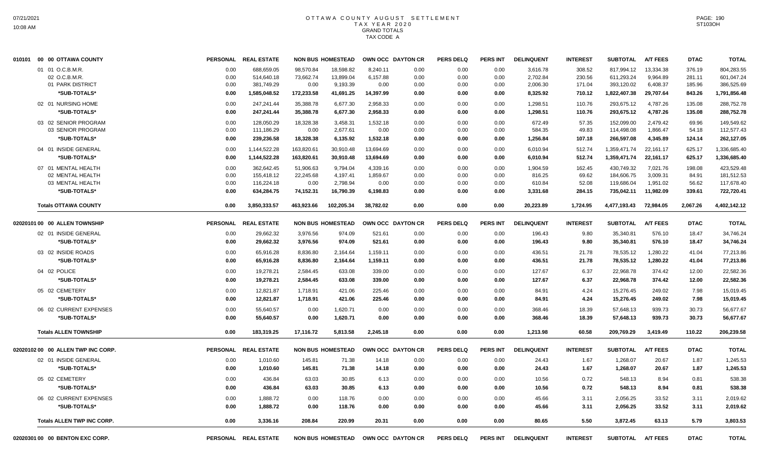| 010101 00 00 OTTAWA COUNTY         | <b>PERSONAL</b> | <b>REAL ESTATE</b>   |            | <b>NON BUS HOMESTEAD</b> |           | OWN OCC DAYTON CR | <b>PERS DELQ</b> | PERS INT        | <b>DELINQUENT</b> | <b>INTEREST</b> | <b>SUBTOTAL</b> | <b>A/T FEES</b> | <b>DTAC</b> | <b>TOTAL</b> |
|------------------------------------|-----------------|----------------------|------------|--------------------------|-----------|-------------------|------------------|-----------------|-------------------|-----------------|-----------------|-----------------|-------------|--------------|
| 01 01 O.C.B.M.R.                   | 0.00            | 688.659.05           | 98.570.84  | 18.598.82                | 8.240.11  | 0.00              | 0.00             | 0.00            | 3,616.78          | 308.52          | 817.994.12      | 13,334.38       | 376.19      | 804,283.55   |
| 02 O.C.B.M.R.                      | 0.00            | 514,640.18           | 73,662.74  | 13,899.04                | 6,157.88  | 0.00              | 0.00             | 0.00            | 2,702.84          | 230.56          | 611,293.24      | 9,964.89        | 281.11      | 601,047.24   |
| 01 PARK DISTRICT                   | 0.00            | 381,749.29           | 0.00       | 9,193.39                 | 0.00      | 0.00              | 0.00             | 0.00            | 2,006.30          | 171.04          | 393,120.02      | 6,408.37        | 185.96      | 386,525.69   |
| *SUB-TOTALS*                       | 0.00            | 1,585,048.52         | 172,233.58 | 41,691.25                | 14,397.99 | 0.00              | 0.00             | 0.00            | 8,325.92          | 710.12          | 1,822,407.38    | 29,707.64       | 843.26      | 1,791,856.48 |
| 02 01 NURSING HOME                 | 0.00            | 247,241.44           | 35,388.78  | 6,677.30                 | 2,958.33  | 0.00              | 0.00             | 0.00            | 1,298.51          | 110.76          | 293,675.12      | 4,787.26        | 135.08      | 288,752.78   |
| *SUB-TOTALS*                       | 0.00            | 247,241.44           | 35,388.78  | 6,677.30                 | 2,958.33  | 0.00              | 0.00             | 0.00            | 1,298.51          | 110.76          | 293,675.12      | 4,787.26        | 135.08      | 288,752.78   |
| 03 02 SENIOR PROGRAM               | 0.00            | 128,050.29           | 18,328.38  | 3,458.31                 | 1,532.18  | 0.00              | 0.00             | 0.00            | 672.49            | 57.35           | 152,099.00      | 2,479.42        | 69.96       | 149,549.62   |
| 03 SENIOR PROGRAM                  | 0.00            | 111.186.29           | 0.00       | 2,677.61                 | 0.00      | 0.00              | 0.00             | 0.00            | 584.35            | 49.83           | 114,498.08      | 1,866.47        | 54.18       | 112,577.43   |
| *SUB-TOTALS*                       | 0.00            | 239,236.58           | 18,328.38  | 6,135.92                 | 1,532.18  | 0.00              | 0.00             | 0.00            | 1,256.84          | 107.18          | 266,597.08      | 4,345.89        | 124.14      | 262,127.05   |
| 04 01 INSIDE GENERAL               | 0.00            | 1,144,522.28         | 163,820.61 | 30,910.48                | 13,694.69 | 0.00              | 0.00             | 0.00            | 6,010.94          | 512.74          | 1,359,471.74    | 22,161.17       | 625.17      | 1,336,685.40 |
| *SUB-TOTALS*                       | 0.00            | 1,144,522.28         | 163,820.61 | 30,910.48                | 13,694.69 | 0.00              | 0.00             | 0.00            | 6,010.94          | 512.74          | 1,359,471.74    | 22,161.17       | 625.17      | 1,336,685.40 |
| 07 01 MENTAL HEALTH                | 0.00            | 362.642.45           | 51.906.63  | 9.794.04                 | 4,339.16  | 0.00              | 0.00             | 0.00            | 1.904.59          | 162.45          | 430.749.32      | 7,021.76        | 198.08      | 423.529.48   |
| 02 MENTAL HEALTH                   | 0.00            | 155,418.12           | 22,245.68  | 4,197.41                 | 1,859.67  | 0.00              | 0.00             | 0.00            | 816.25            | 69.62           | 184,606.75      | 3,009.31        | 84.91       | 181,512.53   |
| 03 MENTAL HEALTH                   | 0.00            | 116,224.18           | 0.00       | 2,798.94                 | 0.00      | 0.00              | 0.00             | 0.00            | 610.84            | 52.08           | 119,686.04      | 1,951.02        | 56.62       | 117,678.40   |
| *SUB-TOTALS*                       | 0.00            | 634,284.75           | 74,152.31  | 16,790.39                | 6,198.83  | 0.00              | 0.00             | 0.00            | 3,331.68          | 284.15          | 735,042.11      | 11,982.09       | 339.61      | 722,720.41   |
| <b>Totals OTTAWA COUNTY</b>        | 0.00            | 3,850,333.57         | 463,923.66 | 102,205.34               | 38.782.02 | 0.00              | 0.00             | 0.00            | 20,223.89         | 1,724.95        | 4,477,193.43    | 72.984.05       | 2.067.26    | 4,402,142.12 |
| 02020101 00 00 ALLEN TOWNSHIP      | <b>PERSONAL</b> | <b>REAL ESTATE</b>   |            | <b>NON BUS HOMESTEAD</b> |           | OWN OCC DAYTON CR | <b>PERS DELQ</b> | <b>PERS INT</b> | <b>DELINQUENT</b> | <b>INTEREST</b> | <b>SUBTOTAL</b> | <b>A/T FEES</b> | <b>DTAC</b> | <b>TOTAL</b> |
| 02 01 INSIDE GENERAL               | 0.00            | 29,662.32            | 3,976.56   | 974.09                   | 521.61    | 0.00              | 0.00             | 0.00            | 196.43            | 9.80            | 35,340.81       | 576.10          | 18.47       | 34,746.24    |
| *SUB-TOTALS*                       | 0.00            | 29,662.32            | 3,976.56   | 974.09                   | 521.61    | 0.00              | 0.00             | 0.00            | 196.43            | 9.80            | 35,340.81       | 576.10          | 18.47       | 34,746.24    |
|                                    |                 |                      |            |                          |           |                   |                  |                 |                   |                 |                 |                 |             |              |
| 03 02 INSIDE ROADS                 | 0.00            | 65,916.28            | 8,836.80   | 2,164.64                 | 1,159.11  | 0.00              | 0.00             | 0.00            | 436.51            | 21.78           | 78,535.12       | 1,280.22        | 41.04       | 77,213.86    |
| *SUB-TOTALS*                       | 0.00            | 65.916.28            | 8,836.80   | 2,164.64                 | 1,159.11  | 0.00              | 0.00             | 0.00            | 436.51            | 21.78           | 78,535.12       | 1,280.22        | 41.04       | 77,213.86    |
| 04 02 POLICE                       | 0.00            | 19.278.21            | 2,584.45   | 633.08                   | 339.00    | 0.00              | 0.00             | 0.00            | 127.67            | 6.37            | 22,968.78       | 374.42          | 12.00       | 22,582.36    |
| *SUB-TOTALS*                       | 0.00            | 19,278.21            | 2,584.45   | 633.08                   | 339.00    | 0.00              | 0.00             | 0.00            | 127.67            | 6.37            | 22,968.78       | 374.42          | 12.00       | 22,582.36    |
| 05 02 CEMETERY                     | 0.00            | 12,821.87            | 1,718.91   | 421.06                   | 225.46    | 0.00              | 0.00             | 0.00            | 84.91             | 4.24            | 15,276.45       | 249.02          | 7.98        | 15,019.45    |
| *SUB-TOTALS*                       | 0.00            | 12.821.87            | 1,718.91   | 421.06                   | 225.46    | 0.00              | 0.00             | 0.00            | 84.91             | 4.24            | 15,276.45       | 249.02          | 7.98        | 15,019.45    |
| 06 02 CURRENT EXPENSES             | 0.00            | 55,640.57            | 0.00       | 1,620.71                 | 0.00      | 0.00              | 0.00             | 0.00            | 368.46            | 18.39           | 57,648.13       | 939.73          | 30.73       | 56,677.67    |
| *SUB-TOTALS*                       | 0.00            | 55,640.57            | 0.00       | 1,620.71                 | 0.00      | 0.00              | 0.00             | 0.00            | 368.46            | 18.39           | 57,648.13       | 939.73          | 30.73       | 56,677.67    |
|                                    |                 |                      |            |                          |           |                   |                  |                 |                   |                 |                 |                 |             |              |
| <b>Totals ALLEN TOWNSHIP</b>       | 0.00            | 183,319.25           | 17,116.72  | 5,813.58                 | 2,245.18  | 0.00              | 0.00             | 0.00            | 1,213.98          | 60.58           | 209,769.29      | 3,419.49        | 110.22      | 206,239.58   |
| 02020102 00 00 ALLEN TWP INC CORP. |                 | PERSONAL REAL ESTATE |            | <b>NON BUS HOMESTEAD</b> |           | OWN OCC DAYTON CR | <b>PERS DELQ</b> | <b>PERS INT</b> | <b>DELINQUENT</b> | <b>INTEREST</b> | <b>SUBTOTAL</b> | <b>A/T FEES</b> | <b>DTAC</b> | <b>TOTAL</b> |
| 02 01 INSIDE GENERAL               | 0.00            | 1,010.60             | 145.81     | 71.38                    | 14.18     | 0.00              | 0.00             | 0.00            | 24.43             | 1.67            | 1,268.07        | 20.67           | 1.87        | 1,245.53     |
| *SUB-TOTALS*                       | 0.00            | 1,010.60             | 145.81     | 71.38                    | 14.18     | 0.00              | 0.00             | 0.00            | 24.43             | 1.67            | 1,268.07        | 20.67           | 1.87        | 1,245.53     |
| 05 02 CEMETERY                     | 0.00            | 436.84               | 63.03      | 30.85                    | 6.13      | 0.00              | 0.00             | 0.00            | 10.56             | 0.72            | 548.13          | 8.94            | 0.81        | 538.38       |
| *SUB-TOTALS*                       | 0.00            | 436.84               | 63.03      | 30.85                    | 6.13      | 0.00              | 0.00             | 0.00            | 10.56             | 0.72            | 548.13          | 8.94            | 0.81        | 538.38       |
|                                    |                 |                      |            |                          |           |                   |                  |                 |                   |                 |                 |                 |             |              |
| 06 02 CURRENT EXPENSES             | 0.00            | 1,888.72             | 0.00       | 118.76                   | 0.00      | 0.00              | 0.00             | 0.00            | 45.66             | 3.11            | 2,056.25        | 33.52           | 3.11        | 2,019.62     |
| *SUB-TOTALS*                       | 0.00            | 1,888.72             | 0.00       | 118.76                   | 0.00      | 0.00              | 0.00             | 0.00            | 45.66             | 3.11            | 2,056.25        | 33.52           | 3.11        | 2,019.62     |
| <b>Totals ALLEN TWP INC CORP.</b>  | 0.00            | 3.336.16             | 208.84     | 220.99                   | 20.31     | 0.00              | 0.00             | 0.00            | 80.65             | 5.50            | 3.872.45        | 63.13           | 5.79        | 3.803.53     |
| 02020301 00 00 BENTON EXC CORP.    |                 | PERSONAL REAL ESTATE |            | <b>NON BUS HOMESTEAD</b> |           | OWN OCC DAYTON CR | <b>PERS DELQ</b> | <b>PERS INT</b> | <b>DELINQUENT</b> | <b>INTEREST</b> | <b>SUBTOTAL</b> | <b>A/T FEES</b> | <b>DTAC</b> | <b>TOTAL</b> |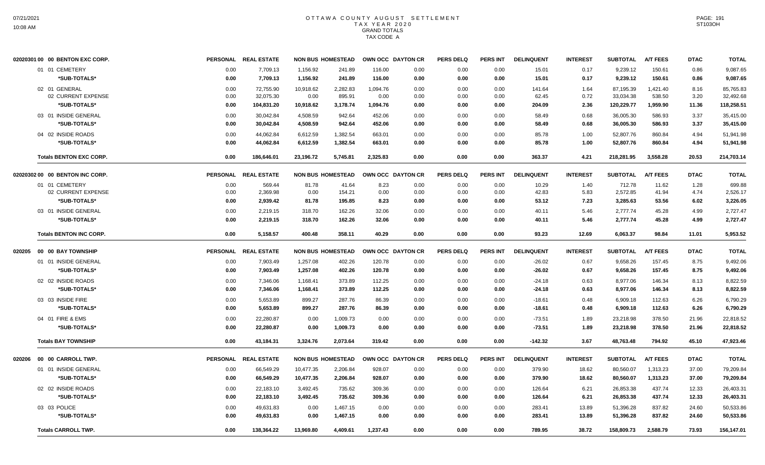|        | 02020301 00 00 BENTON EXC CORP. |      | PERSONAL REAL ESTATE | <b>NON BUS HOMESTEAD</b> |          |          | OWN OCC DAYTON CR | <b>PERS DELQ</b> | <b>PERS INT</b> | <b>DELINQUENT</b> | <b>INTEREST</b> | <b>SUBTOTAL</b> | <b>A/T FEES</b> | <b>DTAC</b> | <b>TOTAL</b> |
|--------|---------------------------------|------|----------------------|--------------------------|----------|----------|-------------------|------------------|-----------------|-------------------|-----------------|-----------------|-----------------|-------------|--------------|
|        | 01 01 CEMETERY                  | 0.00 | 7,709.13             | 1,156.92                 | 241.89   | 116.00   | 0.00              | 0.00             | 0.00            | 15.01             | 0.17            | 9,239.12        | 150.61          | 0.86        | 9,087.65     |
|        | *SUB-TOTALS*                    | 0.00 | 7,709.13             | 1,156.92                 | 241.89   | 116.00   | 0.00              | 0.00             | 0.00            | 15.01             | 0.17            | 9,239.12        | 150.61          | 0.86        | 9,087.65     |
|        | 02 01 GENERAL                   | 0.00 | 72,755.90            | 10,918.62                | 2,282.83 | 1,094.76 | 0.00              | 0.00             | 0.00            | 141.64            | 1.64            | 87,195.39       | 1,421.40        | 8.16        | 85,765.83    |
|        | 02 CURRENT EXPENSE              | 0.00 | 32,075.30            | 0.00                     | 895.91   | 0.00     | 0.00              | 0.00             | 0.00            | 62.45             | 0.72            | 33,034.38       | 538.50          | 3.20        | 32,492.68    |
|        | *SUB-TOTALS*                    | 0.00 | 104,831.20           | 10,918.62                | 3,178.74 | 1,094.76 | 0.00              | 0.00             | 0.00            | 204.09            | 2.36            | 120,229.77      | 1,959.90        | 11.36       | 118,258.51   |
|        | 03 01 INSIDE GENERAL            | 0.00 | 30,042.84            | 4,508.59                 | 942.64   | 452.06   | 0.00              | 0.00             | 0.00            | 58.49             | 0.68            | 36,005.30       | 586.93          | 3.37        | 35,415.00    |
|        | *SUB-TOTALS*                    | 0.00 | 30,042.84            | 4,508.59                 | 942.64   | 452.06   | 0.00              | 0.00             | 0.00            | 58.49             | 0.68            | 36,005.30       | 586.93          | 3.37        | 35,415.00    |
|        | 04 02 INSIDE ROADS              | 0.00 | 44,062.84            | 6,612.59                 | 1,382.54 | 663.01   | 0.00              | 0.00             | 0.00            | 85.78             | 1.00            | 52,807.76       | 860.84          | 4.94        | 51,941.98    |
|        | *SUB-TOTALS*                    | 0.00 | 44,062.84            | 6,612.59                 | 1,382.54 | 663.01   | 0.00              | 0.00             | 0.00            | 85.78             | 1.00            | 52,807.76       | 860.84          | 4.94        | 51,941.98    |
|        | <b>Totals BENTON EXC CORP.</b>  | 0.00 | 186,646.01           | 23,196.72                | 5,745.81 | 2,325.83 | 0.00              | 0.00             | 0.00            | 363.37            | 4.21            | 218,281.95      | 3,558.28        | 20.53       | 214,703.14   |
|        | 02020302 00 00 BENTON INC CORP. |      | PERSONAL REAL ESTATE | <b>NON BUS HOMESTEAD</b> |          |          | OWN OCC DAYTON CR | <b>PERS DELQ</b> | PERS INT        | <b>DELINQUENT</b> | <b>INTEREST</b> | <b>SUBTOTAL</b> | <b>A/T FEES</b> | <b>DTAC</b> | <b>TOTAL</b> |
|        | 01 01 CEMETERY                  | 0.00 | 569.44               | 81.78                    | 41.64    | 8.23     | 0.00              | 0.00             | 0.00            | 10.29             | 1.40            | 712.78          | 11.62           | 1.28        | 699.88       |
|        | 02 CURRENT EXPENSE              | 0.00 | 2,369.98             | 0.00                     | 154.21   | 0.00     | 0.00              | 0.00             | 0.00            | 42.83             | 5.83            | 2,572.85        | 41.94           | 4.74        | 2,526.17     |
|        | *SUB-TOTALS*                    | 0.00 | 2,939.42             | 81.78                    | 195.85   | 8.23     | 0.00              | 0.00             | 0.00            | 53.12             | 7.23            | 3,285.63        | 53.56           | 6.02        | 3,226.05     |
|        | 03 01 INSIDE GENERAL            | 0.00 | 2,219.15             | 318.70                   | 162.26   | 32.06    | 0.00              | 0.00             | 0.00            | 40.11             | 5.46            | 2,777.74        | 45.28           | 4.99        | 2,727.47     |
|        | *SUB-TOTALS*                    | 0.00 | 2,219.15             | 318.70                   | 162.26   | 32.06    | 0.00              | 0.00             | 0.00            | 40.11             | 5.46            | 2,777.74        | 45.28           | 4.99        | 2,727.47     |
|        | <b>Totals BENTON INC CORP.</b>  | 0.00 | 5,158.57             | 400.48                   | 358.11   | 40.29    | 0.00              | 0.00             | 0.00            | 93.23             | 12.69           | 6,063.37        | 98.84           | 11.01       | 5,953.52     |
| 020205 | 00 00 BAY TOWNSHIP              |      | PERSONAL REAL ESTATE | <b>NON BUS HOMESTEAD</b> |          |          | OWN OCC DAYTON CR | <b>PERS DELQ</b> | <b>PERS INT</b> | <b>DELINQUENT</b> | <b>INTEREST</b> | <b>SUBTOTAL</b> | <b>A/T FEES</b> | <b>DTAC</b> | <b>TOTAL</b> |
|        | 01 01 INSIDE GENERAL            | 0.00 | 7,903.49             | 1,257.08                 | 402.26   | 120.78   | 0.00              | 0.00             | 0.00            | $-26.02$          | 0.67            | 9,658.26        | 157.45          | 8.75        | 9,492.06     |
|        | *SUB-TOTALS*                    | 0.00 | 7,903.49             | 1,257.08                 | 402.26   | 120.78   | 0.00              | 0.00             | 0.00            | $-26.02$          | 0.67            | 9,658.26        | 157.45          | 8.75        | 9,492.06     |
|        | 02 02 INSIDE ROADS              | 0.00 | 7,346.06             | 1,168.41                 | 373.89   | 112.25   | 0.00              | 0.00             | 0.00            | $-24.18$          | 0.63            | 8,977.06        | 146.34          | 8.13        | 8,822.59     |
|        | *SUB-TOTALS*                    | 0.00 | 7,346.06             | 1,168.41                 | 373.89   | 112.25   | 0.00              | 0.00             | 0.00            | $-24.18$          | 0.63            | 8,977.06        | 146.34          | 8.13        | 8,822.59     |
|        | 03 03 INSIDE FIRE               | 0.00 | 5,653.89             | 899.27                   | 287.76   | 86.39    | 0.00              | 0.00             | 0.00            | $-18.61$          | 0.48            | 6,909.18        | 112.63          | 6.26        | 6,790.29     |
|        | *SUB-TOTALS*                    | 0.00 | 5,653.89             | 899.27                   | 287.76   | 86.39    | 0.00              | 0.00             | 0.00            | $-18.61$          | 0.48            | 6,909.18        | 112.63          | 6.26        | 6,790.29     |
|        | 04 01 FIRE & EMS                | 0.00 | 22.280.87            | 0.00                     | 1,009.73 | 0.00     | 0.00              | 0.00             | 0.00            | -73.51            | 1.89            | 23,218.98       | 378.50          | 21.96       | 22,818.52    |
|        | *SUB-TOTALS*                    | 0.00 | 22,280.87            | 0.00                     | 1,009.73 | 0.00     | 0.00              | 0.00             | 0.00            | $-73.51$          | 1.89            | 23,218.98       | 378.50          | 21.96       | 22,818.52    |
|        | <b>Totals BAY TOWNSHIP</b>      | 0.00 | 43,184.31            | 3,324.76                 | 2,073.64 | 319.42   | 0.00              | 0.00             | 0.00            | $-142.32$         | 3.67            | 48,763.48       | 794.92          | 45.10       | 47,923.46    |
| 020206 | 00 00 CARROLL TWP.              |      | PERSONAL REAL ESTATE | <b>NON BUS HOMESTEAD</b> |          |          | OWN OCC DAYTON CR | <b>PERS DELQ</b> | <b>PERS INT</b> | <b>DELINQUENT</b> | <b>INTEREST</b> | <b>SUBTOTAL</b> | <b>A/T FEES</b> | <b>DTAC</b> | <b>TOTAL</b> |
|        | 01 01 INSIDE GENERAL            | 0.00 | 66,549.29            | 10,477.35                | 2,206.84 | 928.07   | 0.00              | 0.00             | 0.00            | 379.90            | 18.62           | 80,560.07       | 1,313.23        | 37.00       | 79,209.84    |
|        | *SUB-TOTALS*                    | 0.00 | 66.549.29            | 10.477.35                | 2.206.84 | 928.07   | 0.00              | 0.00             | 0.00            | 379.90            | 18.62           | 80,560.07       | 1,313.23        | 37.00       | 79,209.84    |
|        | 02 02 INSIDE ROADS              | 0.00 | 22,183.10            | 3,492.45                 | 735.62   | 309.36   | 0.00              | 0.00             | 0.00            | 126.64            | 6.21            | 26,853.38       | 437.74          | 12.33       | 26,403.31    |
|        | *SUB-TOTALS*                    | 0.00 | 22,183.10            | 3,492.45                 | 735.62   | 309.36   | 0.00              | 0.00             | 0.00            | 126.64            | 6.21            | 26,853.38       | 437.74          | 12.33       | 26,403.31    |
|        | 03 03 POLICE                    | 0.00 | 49,631.83            | 0.00                     | 1,467.15 | 0.00     | 0.00              | 0.00             | 0.00            | 283.41            | 13.89           | 51,396.28       | 837.82          | 24.60       | 50,533.86    |
|        | *SUB-TOTALS*                    | 0.00 | 49,631.83            | 0.00                     | 1,467.15 | 0.00     | 0.00              | 0.00             | 0.00            | 283.41            | 13.89           | 51,396.28       | 837.82          | 24.60       | 50,533.86    |
|        | <b>Totals CARROLL TWP.</b>      | 0.00 | 138,364.22           | 13,969.80                | 4,409.61 | 1,237.43 | 0.00              | 0.00             | 0.00            | 789.95            | 38.72           | 158,809.73      | 2,588.79        | 73.93       | 156,147.01   |
|        |                                 |      |                      |                          |          |          |                   |                  |                 |                   |                 |                 |                 |             |              |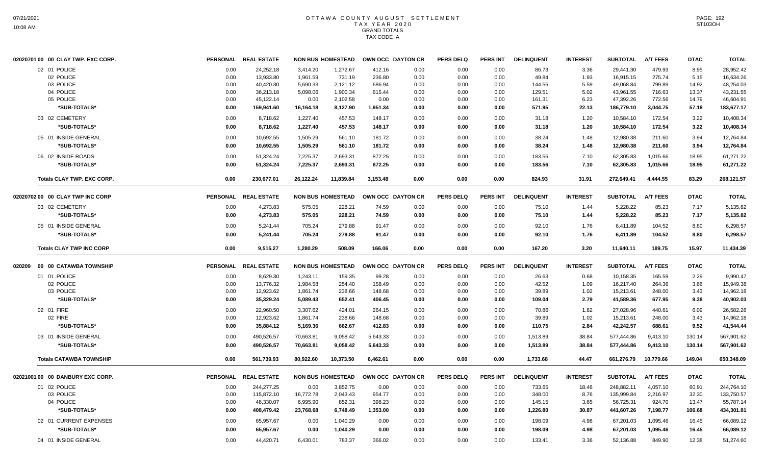| 02020701 00 00 CLAY TWP. EXC CORP. |                 | PERSONAL REAL ESTATE |           | <b>NON BUS HOMESTEAD</b> | OWN OCC DAYTON CR |      | <b>PERS DELQ</b> | <b>PERS INT</b> | <b>DELINQUENT</b> | <b>INTEREST</b> | <b>SUBTOTAL</b> | <b>A/T FEES</b> | <b>DTAC</b> | <b>TOTAL</b> |
|------------------------------------|-----------------|----------------------|-----------|--------------------------|-------------------|------|------------------|-----------------|-------------------|-----------------|-----------------|-----------------|-------------|--------------|
| 02 01 POLICE                       | 0.00            | 24,252.18            | 3,414.20  | 1,272.67                 | 412.16            | 0.00 | 0.00             | 0.00            | 86.73             | 3.36            | 29,441.30       | 479.93          | 8.95        | 28,952.42    |
| 02 POLICE                          | 0.00            | 13,933.80            | 1,961.59  | 731.19                   | 236.80            | 0.00 | 0.00             | 0.00            | 49.84             | 1.93            | 16,915.15       | 275.74          | 5.15        | 16,634.26    |
| 03 POLICE                          | 0.00            | 40,420.30            | 5,690.33  | 2,121.12                 | 686.94            | 0.00 | 0.00             | 0.00            | 144.56            | 5.59            | 49,068.84       | 799.89          | 14.92       | 48,254.03    |
| 04 POLICE                          | 0.00            | 36,213.18            | 5,098.06  | 1,900.34                 | 615.44            | 0.00 | 0.00             | 0.00            | 129.51            | 5.02            | 43,961.55       | 716.63          | 13.37       | 43,231.55    |
| 05 POLICE                          | 0.00            | 45,122.14            | 0.00      | 2,102.58                 | 0.00              | 0.00 | 0.00             | 0.00            | 161.31            | 6.23            | 47,392.26       | 772.56          | 14.79       | 46,604.91    |
| *SUB-TOTALS*                       | 0.00            | 159,941.60           | 16,164.18 | 8,127.90                 | 1,951.34          | 0.00 | 0.00             | 0.00            | 571.95            | 22.13           | 186,779.10      | 3,044.75        | 57.18       | 183,677.17   |
| 03 02 CEMETERY                     | 0.00            | 8.718.62             | 1,227.40  | 457.53                   | 148.17            | 0.00 | 0.00             | 0.00            | 31.18             | 1.20            | 10,584.10       | 172.54          | 3.22        | 10.408.34    |
| *SUB-TOTALS*                       | 0.00            | 8,718.62             | 1,227.40  | 457.53                   | 148.17            | 0.00 | 0.00             | 0.00            | 31.18             | 1.20            | 10,584.10       | 172.54          | 3.22        | 10,408.34    |
| 05 01 INSIDE GENERAL               | 0.00            | 10.692.55            | 1,505.29  | 561.10                   | 181.72            | 0.00 | 0.00             | 0.00            | 38.24             | 1.48            | 12,980.38       | 211.60          | 3.94        | 12.764.84    |
| *SUB-TOTALS*                       | 0.00            | 10.692.55            | 1,505.29  | 561.10                   | 181.72            | 0.00 | 0.00             | 0.00            | 38.24             | 1.48            | 12,980.38       | 211.60          | 3.94        | 12,764.84    |
| 06 02 INSIDE ROADS                 | 0.00            | 51,324.24            | 7,225.37  | 2,693.31                 | 872.25            | 0.00 | 0.00             | 0.00            | 183.56            | 7.10            | 62,305.83       | 1,015.66        | 18.95       | 61,271.22    |
| *SUB-TOTALS*                       | 0.00            | 51,324.24            | 7,225.37  | 2,693.31                 | 872.25            | 0.00 | 0.00             | 0.00            | 183.56            | 7.10            | 62,305.83       | 1,015.66        | 18.95       | 61,271.22    |
| <b>Totals CLAY TWP. EXC CORP.</b>  | 0.00            | 230,677.01           | 26,122.24 | 11,839.84                | 3,153.48          | 0.00 | 0.00             | 0.00            | 824.93            | 31.91           | 272,649.41      | 4,444.55        | 83.29       | 268,121.57   |
| 02020702 00 00 CLAY TWP INC CORP   |                 | PERSONAL REAL ESTATE |           | <b>NON BUS HOMESTEAD</b> | OWN OCC DAYTON CR |      | <b>PERS DELQ</b> | PERS INT        | <b>DELINQUENT</b> | <b>INTEREST</b> | <b>SUBTOTAL</b> | <b>A/T FEES</b> | <b>DTAC</b> | <b>TOTAL</b> |
| 03 02 CEMETERY                     | 0.00            | 4,273.83             | 575.05    | 228.21                   | 74.59             | 0.00 | 0.00             | 0.00            | 75.10             | 1.44            | 5,228.22        | 85.23           | 7.17        | 5,135.82     |
| *SUB-TOTALS*                       | 0.00            | 4,273.83             | 575.05    | 228.21                   | 74.59             | 0.00 | 0.00             | 0.00            | 75.10             | 1.44            | 5,228.22        | 85.23           | 7.17        | 5,135.82     |
| 05 01 INSIDE GENERAL               | 0.00            | 5,241.44             | 705.24    | 279.88                   | 91.47             | 0.00 | 0.00             | 0.00            | 92.10             | 1.76            | 6,411.89        | 104.52          | 8.80        | 6.298.57     |
| *SUB-TOTALS*                       | 0.00            | 5.241.44             | 705.24    | 279.88                   | 91.47             | 0.00 | 0.00             | 0.00            | 92.10             | 1.76            | 6,411.89        | 104.52          | 8.80        | 6.298.57     |
| <b>Totals CLAY TWP INC CORP</b>    | 0.00            | 9.515.27             | 1.280.29  | 508.09                   | 166.06            | 0.00 | 0.00             | 0.00            | 167.20            | 3.20            | 11,640.11       | 189.75          | 15.97       | 11,434.39    |
| 020209 00 00 CATAWBA TOWNSHIP      |                 | PERSONAL REAL ESTATE |           | <b>NON BUS HOMESTEAD</b> | OWN OCC DAYTON CR |      | <b>PERS DELQ</b> | <b>PERS INT</b> | <b>DELINQUENT</b> | <b>INTEREST</b> | <b>SUBTOTAL</b> | <b>A/T FEES</b> | <b>DTAC</b> | <b>TOTAL</b> |
| 01 01 POLICE                       | 0.00            | 8,629.30             | 1,243.11  | 159.35                   | 99.28             | 0.00 | 0.00             | 0.00            | 26.63             | 0.68            | 10,158.35       | 165.59          | 2.29        | 9,990.47     |
| 02 POLICE                          | 0.00            | 13,776.32            | 1,984.58  | 254.40                   | 158.49            | 0.00 | 0.00             | 0.00            | 42.52             | 1.09            | 16,217.40       | 264.36          | 3.66        | 15,949.38    |
| 03 POLICE                          | 0.00            | 12,923.62            | 1,861.74  | 238.66                   | 148.68            | 0.00 | 0.00             | 0.00            | 39.89             | 1.02            | 15,213.61       | 248.00          | 3.43        | 14,962.18    |
| *SUB-TOTALS*                       | 0.00            | 35,329.24            | 5,089.43  | 652.41                   | 406.45            | 0.00 | 0.00             | 0.00            | 109.04            | 2.79            | 41,589.36       | 677.95          | 9.38        | 40,902.03    |
| 02 01 FIRE                         | 0.00            | 22,960.50            | 3,307.62  | 424.01                   | 264.15            | 0.00 | 0.00             | 0.00            | 70.86             | 1.82            | 27,028.96       | 440.61          | 6.09        | 26,582.26    |
| 02 FIRE                            | 0.00            | 12,923.62            | 1,861.74  | 238.66                   | 148.68            | 0.00 | 0.00             | 0.00            | 39.89             | 1.02            | 15,213.61       | 248.00          | 3.43        | 14,962.18    |
| *SUB-TOTALS*                       | 0.00            | 35,884.12            | 5,169.36  | 662.67                   | 412.83            | 0.00 | 0.00             | 0.00            | 110.75            | 2.84            | 42,242.57       | 688.61          | 9.52        | 41,544.44    |
| 03 01 INSIDE GENERAL               | 0.00            | 490,526.57           | 70,663.81 | 9,058.42                 | 5,643.33          | 0.00 | 0.00             | 0.00            | 1,513.89          | 38.84           | 577,444.86      | 9,413.10        | 130.14      | 567,901.62   |
| *SUB-TOTALS*                       | 0.00            | 490,526.57           | 70,663.81 | 9,058.42                 | 5,643.33          | 0.00 | 0.00             | 0.00            | 1,513.89          | 38.84           | 577,444.86      | 9,413.10        | 130.14      | 567,901.62   |
| <b>Totals CATAWBA TOWNSHIP</b>     | 0.00            | 561,739.93           | 80,922.60 | 10,373.50                | 6,462.61          | 0.00 | 0.00             | 0.00            | 1,733.68          | 44.47           | 661,276.79      | 10,779.66       | 149.04      | 650,348.09   |
| 02021001 00 00 DANBURY EXC CORP.   | <b>PERSONAL</b> | <b>REAL ESTATE</b>   |           | <b>NON BUS HOMESTEAD</b> | OWN OCC DAYTON CR |      | <b>PERS DELQ</b> | <b>PERS INT</b> | <b>DELINQUENT</b> | <b>INTEREST</b> | <b>SUBTOTAL</b> | <b>A/T FEES</b> | <b>DTAC</b> | <b>TOTAL</b> |
| 01 02 POLICE                       | 0.00            | 244,277.25           | 0.00      | 3,852.75                 | 0.00              | 0.00 | 0.00             | 0.00            | 733.65            | 18.46           | 248.882.11      | 4,057.10        | 60.91       | 244,764.10   |
| 03 POLICE                          | 0.00            | 115,872.10           | 16,772.78 | 2,043.43                 | 954.77            | 0.00 | 0.00             | 0.00            | 348.00            | 8.76            | 135,999.84      | 2,216.97        | 32.30       | 133,750.57   |
| 04 POLICE                          | 0.00            | 48,330.07            | 6,995.90  | 852.31                   | 398.23            | 0.00 | 0.00             | 0.00            | 145.15            | 3.65            | 56,725.31       | 924.70          | 13.47       | 55,787.14    |
| *SUB-TOTALS*                       | 0.00            | 408,479.42           | 23,768.68 | 6,748.49                 | 1,353.00          | 0.00 | 0.00             | 0.00            | 1,226.80          | 30.87           | 441,607.26      | 7,198.77        | 106.68      | 434,301.81   |
| 02 01 CURRENT EXPENSES             | 0.00            | 65,957.67            | 0.00      | 1,040.29                 | 0.00              | 0.00 | 0.00             | 0.00            | 198.09            | 4.98            | 67,201.03       | 1,095.46        | 16.45       | 66,089.12    |
| *SUB-TOTALS*                       | 0.00            | 65,957.67            | 0.00      | 1,040.29                 | 0.00              | 0.00 | 0.00             | 0.00            | 198.09            | 4.98            | 67,201.03       | 1,095.46        | 16.45       | 66,089.12    |
| 04 01 INSIDE GENERAL               | 0.00            | 44,420.71            | 6,430.01  | 783.37                   | 366.02            | 0.00 | 0.00             | 0.00            | 133.41            | 3.36            | 52,136.88       | 849.90          | 12.38       | 51,274.60    |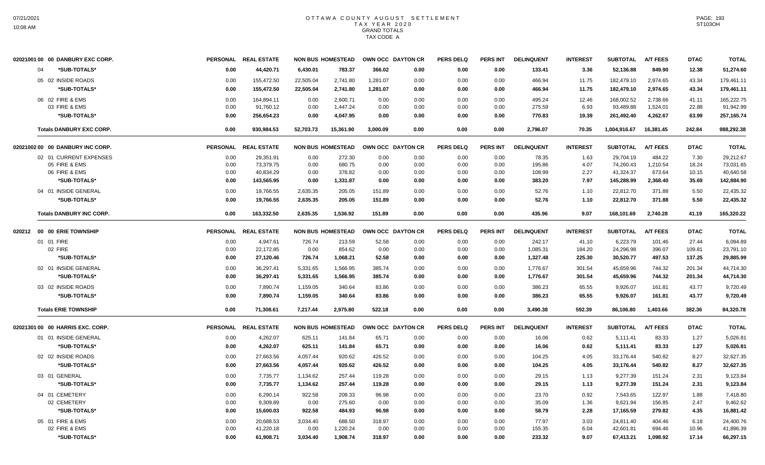| 02021001 00 00 DANBURY EXC CORP. |      | PERSONAL REAL ESTATE |           | <b>NON BUS HOMESTEAD</b> |          | OWN OCC DAYTON CR | <b>PERS DELQ</b> | <b>PERS INT</b> | <b>DELINQUENT</b> | <b>INTEREST</b> | <b>SUBTOTAL</b> | <b>A/T FEES</b> | <b>DTAC</b> | <b>TOTAL</b> |
|----------------------------------|------|----------------------|-----------|--------------------------|----------|-------------------|------------------|-----------------|-------------------|-----------------|-----------------|-----------------|-------------|--------------|
| 04<br>*SUB-TOTALS*               | 0.00 | 44,420.71            | 6,430.01  | 783.37                   | 366.02   | 0.00              | 0.00             | 0.00            | 133.41            | 3.36            | 52,136.88       | 849.90          | 12.38       | 51,274.60    |
| 05 02 INSIDE ROADS               | 0.00 | 155,472.50           | 22,505.04 | 2,741.80                 | 1,281.07 | 0.00              | 0.00             | 0.00            | 466.94            | 11.75           | 182,479.10      | 2,974.65        | 43.34       | 179,461.11   |
| *SUB-TOTALS*                     | 0.00 | 155,472.50           | 22,505.04 | 2,741.80                 | 1,281.07 | 0.00              | 0.00             | 0.00            | 466.94            | 11.75           | 182,479.10      | 2,974.65        | 43.34       | 179,461.11   |
| 06 02 FIRE & EMS                 | 0.00 | 164,894.11           | 0.00      | 2,600.71                 | 0.00     | 0.00              | 0.00             | 0.00            | 495.24            | 12.46           | 168,002.52      | 2,738.66        | 41.11       | 165,222.75   |
| 03 FIRE & EMS                    | 0.00 | 91.760.12            | 0.00      | 1.447.24                 | 0.00     | 0.00              | 0.00             | 0.00            | 275.59            | 6.93            | 93.489.88       | 1,524.01        | 22.88       | 91.942.99    |
| *SUB-TOTALS*                     | 0.00 | 256,654.23           | 0.00      | 4,047.95                 | 0.00     | 0.00              | 0.00             | 0.00            | 770.83            | 19.39           | 261,492.40      | 4,262.67        | 63.99       | 257,165.74   |
| <b>Totals DANBURY EXC CORP.</b>  | 0.00 | 930,984.53           | 52,703.73 | 15,361.90                | 3.000.09 | 0.00              | 0.00             | 0.00            | 2,796.07          | 70.35           | 1,004,916.67    | 16,381.45       | 242.84      | 988,292.38   |
| 02021002 00 00 DANBURY INC CORP. |      | PERSONAL REAL ESTATE |           | <b>NON BUS HOMESTEAD</b> |          | OWN OCC DAYTON CR | <b>PERS DELQ</b> | <b>PERS INT</b> | <b>DELINQUENT</b> | <b>INTEREST</b> | <b>SUBTOTAL</b> | <b>A/T FEES</b> | <b>DTAC</b> | <b>TOTAL</b> |
| 02 01 CURRENT EXPENSES           | 0.00 | 29,351.91            | 0.00      | 272.30                   | 0.00     | 0.00              | 0.00             | 0.00            | 78.35             | 1.63            | 29,704.19       | 484.22          | 7.30        | 29,212.67    |
| 05 FIRE & EMS                    | 0.00 | 73,379.75            | 0.00      | 680.75                   | 0.00     | 0.00              | 0.00             | 0.00            | 195.86            | 4.07            | 74,260.43       | 1,210.54        | 18.24       | 73,031.65    |
| 06 FIRE & EMS                    | 0.00 | 40,834.29            | 0.00      | 378.82                   | 0.00     | 0.00              | 0.00             | 0.00            | 108.99            | 2.27            | 41,324.37       | 673.64          | 10.15       | 40,640.58    |
| *SUB-TOTALS*                     | 0.00 | 143,565.95           | 0.00      | 1,331.87                 | 0.00     | 0.00              | 0.00             | 0.00            | 383.20            | 7.97            | 145,288.99      | 2,368.40        | 35.69       | 142,884.90   |
| 04 01 INSIDE GENERAL             | 0.00 | 19,766.55            | 2,635.35  | 205.05                   | 151.89   | 0.00              | 0.00             | 0.00            | 52.76             | 1.10            | 22,812.70       | 371.88          | 5.50        | 22,435.32    |
| *SUB-TOTALS*                     | 0.00 | 19,766.55            | 2,635.35  | 205.05                   | 151.89   | 0.00              | 0.00             | 0.00            | 52.76             | 1.10            | 22,812.70       | 371.88          | 5.50        | 22,435.32    |
| <b>Totals DANBURY INC CORP.</b>  | 0.00 | 163,332.50           | 2,635.35  | 1,536.92                 | 151.89   | 0.00              | 0.00             | 0.00            | 435.96            | 9.07            | 168,101.69      | 2,740.28        | 41.19       | 165,320.22   |
| 020212 00 00 ERIE TOWNSHIP       |      | PERSONAL REAL ESTATE |           | <b>NON BUS HOMESTEAD</b> |          | OWN OCC DAYTON CR | <b>PERS DELQ</b> | <b>PERS INT</b> | <b>DELINQUENT</b> | <b>INTEREST</b> | <b>SUBTOTAL</b> | <b>A/T FEES</b> | <b>DTAC</b> | <b>TOTAL</b> |
| 01 01 FIRE                       | 0.00 | 4,947.61             | 726.74    | 213.59                   | 52.58    | 0.00              | 0.00             | 0.00            | 242.17            | 41.10           | 6,223.79        | 101.46          | 27.44       | 6,094.89     |
| 02 FIRE                          | 0.00 | 22,172.85            | 0.00      | 854.62                   | 0.00     | 0.00              | 0.00             | 0.00            | 1,085.31          | 184.20          | 24,296.98       | 396.07          | 109.81      | 23,791.10    |
| *SUB-TOTALS*                     | 0.00 | 27,120.46            | 726.74    | 1,068.21                 | 52.58    | 0.00              | 0.00             | 0.00            | 1,327.48          | 225.30          | 30,520.77       | 497.53          | 137.25      | 29,885.99    |
| 02 01 INSIDE GENERAL             | 0.00 | 36.297.41            | 5,331.65  | 1.566.95                 | 385.74   | 0.00              | 0.00             | 0.00            | 1.776.67          | 301.54          | 45.659.96       | 744.32          | 201.34      | 44.714.30    |
| *SUB-TOTALS*                     | 0.00 | 36,297.41            | 5,331.65  | 1,566.95                 | 385.74   | 0.00              | 0.00             | 0.00            | 1,776.67          | 301.54          | 45,659.96       | 744.32          | 201.34      | 44,714.30    |
| 03 02 INSIDE ROADS               | 0.00 | 7,890.74             | 1,159.05  | 340.64                   | 83.86    | 0.00              | 0.00             | 0.00            | 386.23            | 65.55           | 9,926.07        | 161.81          | 43.77       | 9,720.49     |
| *SUB-TOTALS*                     | 0.00 | 7,890.74             | 1,159.05  | 340.64                   | 83.86    | 0.00              | 0.00             | 0.00            | 386.23            | 65.55           | 9,926.07        | 161.81          | 43.77       | 9,720.49     |
| <b>Totals ERIE TOWNSHIP</b>      | 0.00 | 71,308.61            | 7,217.44  | 2.975.80                 | 522.18   | 0.00              | 0.00             | 0.00            | 3,490.38          | 592.39          | 86,106.80       | 1,403.66        | 382.36      | 84,320.78    |
| 02021301 00 00 HARRIS EXC. CORP. |      | PERSONAL REAL ESTATE |           | <b>NON BUS HOMESTEAD</b> |          | OWN OCC DAYTON CR | <b>PERS DELQ</b> | <b>PERS INT</b> | <b>DELINQUENT</b> | <b>INTEREST</b> | <b>SUBTOTAL</b> | <b>A/T FEES</b> | <b>DTAC</b> | <b>TOTAL</b> |
| 01 01 INSIDE GENERAL             | 0.00 | 4,262.07             | 625.11    | 141.84                   | 65.71    | 0.00              | 0.00             | 0.00            | 16.06             | 0.62            | 5,111.41        | 83.33           | 1.27        | 5,026.81     |
| *SUB-TOTALS*                     | 0.00 | 4,262.07             | 625.11    | 141.84                   | 65.71    | 0.00              | 0.00             | 0.00            | 16.06             | 0.62            | 5,111.41        | 83.33           | 1.27        | 5,026.81     |
| 02 02 INSIDE ROADS               | 0.00 | 27,663.56            | 4,057.44  | 920.62                   | 426.52   | 0.00              | 0.00             | 0.00            | 104.25            | 4.05            | 33,176.44       | 540.82          | 8.27        | 32,627.35    |
| *SUB-TOTALS*                     | 0.00 | 27,663.56            | 4,057.44  | 920.62                   | 426.52   | 0.00              | 0.00             | 0.00            | 104.25            | 4.05            | 33,176.44       | 540.82          | 8.27        | 32,627.35    |
| 03 01 GENERAL                    | 0.00 | 7,735.77             | 1,134.62  | 257.44                   | 119.28   | 0.00              | 0.00             | 0.00            | 29.15             | 1.13            | 9,277.39        | 151.24          | 2.31        | 9,123.84     |
| *SUB-TOTALS*                     | 0.00 | 7,735.77             | 1,134.62  | 257.44                   | 119.28   | 0.00              | 0.00             | 0.00            | 29.15             | 1.13            | 9,277.39        | 151.24          | 2.31        | 9,123.84     |
| 04 01 CEMETERY                   | 0.00 | 6,290.14             | 922.58    | 209.33                   | 96.98    | 0.00              | 0.00             | 0.00            | 23.70             | 0.92            | 7,543.65        | 122.97          | 1.88        | 7,418.80     |
| 02 CEMETERY                      | 0.00 | 9,309.89             | 0.00      | 275.60                   | 0.00     | 0.00              | 0.00             | 0.00            | 35.09             | 1.36            | 9,621.94        | 156.85          | 2.47        | 9,462.62     |
| *SUB-TOTALS*                     | 0.00 | 15,600.03            | 922.58    | 484.93                   | 96.98    | 0.00              | 0.00             | 0.00            | 58.79             | 2.28            | 17,165.59       | 279.82          | 4.35        | 16,881.42    |
| 05 01 FIRE & EMS                 | 0.00 | 20,688.53            | 3,034.40  | 688.50                   | 318.97   | 0.00              | 0.00             | 0.00            | 77.97             | 3.03            | 24,811.40       | 404.46          | 6.18        | 24,400.76    |
| 02 FIRE & EMS                    | 0.00 | 41,220.18            | 0.00      | 1,220.24                 | 0.00     | 0.00              | 0.00             | 0.00            | 155.35            | 6.04            | 42,601.81       | 694.46          | 10.96       | 41,896.39    |
| *SUB-TOTALS*                     | 0.00 | 61,908.71            | 3,034.40  | 1,908.74                 | 318.97   | 0.00              | 0.00             | 0.00            | 233.32            | 9.07            | 67,413.21       | 1,098.92        | 17.14       | 66,297.15    |
|                                  |      |                      |           |                          |          |                   |                  |                 |                   |                 |                 |                 |             |              |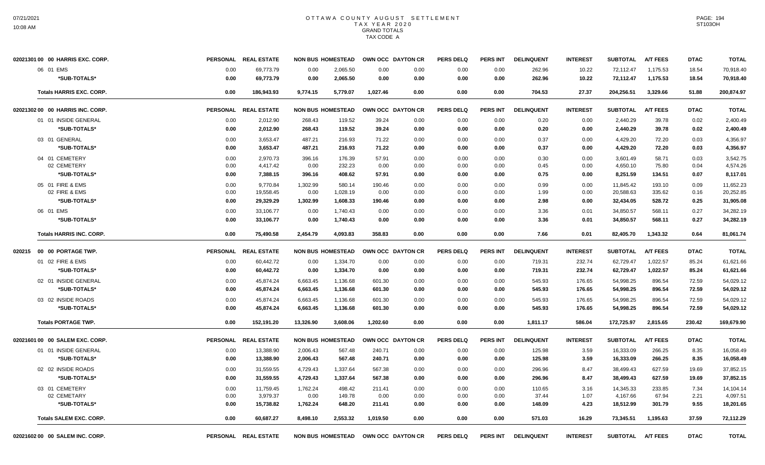| 02021301 00 00 HARRIS EXC. CORP. |                 | PERSONAL REAL ESTATE |                          | <b>NON BUS HOMESTEAD</b> | OWN OCC DAYTON CR |      | PERS DELO        | <b>PERS INT</b> | <b>DELINQUENT</b> | <b>INTEREST</b> | <b>SUBTOTAL</b> | <b>A/T FEES</b> | <b>DTAC</b> | <b>TOTAL</b> |
|----------------------------------|-----------------|----------------------|--------------------------|--------------------------|-------------------|------|------------------|-----------------|-------------------|-----------------|-----------------|-----------------|-------------|--------------|
| 06 01 EMS                        | 0.00            | 69,773.79            | 0.00                     | 2,065.50                 | 0.00              | 0.00 | 0.00             | 0.00            | 262.96            | 10.22           | 72.112.47       | 1.175.53        | 18.54       | 70.918.40    |
| *SUB-TOTALS*                     | 0.00            | 69,773.79            | 0.00                     | 2,065.50                 | 0.00              | 0.00 | 0.00             | 0.00            | 262.96            | 10.22           | 72,112.47       | 1,175.53        | 18.54       | 70,918.40    |
| <b>Totals HARRIS EXC. CORP.</b>  | 0.00            | 186,943.93           | 9,774.15                 | 5,779.07                 | 1,027.46          | 0.00 | 0.00             | 0.00            | 704.53            | 27.37           | 204,256.51      | 3,329.66        | 51.88       | 200,874.97   |
| 02021302 00 00 HARRIS INC. CORP. | <b>PERSONAL</b> | <b>REAL ESTATE</b>   | <b>NON BUS HOMESTEAD</b> |                          | OWN OCC DAYTON CR |      | <b>PERS DELQ</b> | <b>PERS INT</b> | <b>DELINQUENT</b> | <b>INTEREST</b> | <b>SUBTOTAL</b> | <b>A/T FEES</b> | <b>DTAC</b> | <b>TOTAL</b> |
| 01 01 INSIDE GENERAL             | 0.00            | 2,012.90             | 268.43                   | 119.52                   | 39.24             | 0.00 | 0.00             | 0.00            | 0.20              | 0.00            | 2,440.29        | 39.78           | 0.02        | 2,400.49     |
| *SUB-TOTALS*                     | 0.00            | 2,012.90             | 268.43                   | 119.52                   | 39.24             | 0.00 | 0.00             | 0.00            | 0.20              | 0.00            | 2,440.29        | 39.78           | 0.02        | 2,400.49     |
| 03 01 GENERAL                    | 0.00            | 3,653.47             | 487.21                   | 216.93                   | 71.22             | 0.00 | 0.00             | 0.00            | 0.37              | 0.00            | 4,429.20        | 72.20           | 0.03        | 4,356.97     |
| *SUB-TOTALS*                     | 0.00            | 3,653.47             | 487.21                   | 216.93                   | 71.22             | 0.00 | 0.00             | 0.00            | 0.37              | 0.00            | 4,429.20        | 72.20           | 0.03        | 4,356.97     |
| 04 01 CEMETERY                   | 0.00            | 2.970.73             | 396.16                   | 176.39                   | 57.91             | 0.00 | 0.00             | 0.00            | 0.30              | 0.00            | 3.601.49        | 58.71           | 0.03        | 3.542.75     |
| 02 CEMETERY                      | 0.00            | 4,417.42             | 0.00                     | 232.23                   | 0.00              | 0.00 | 0.00             | 0.00            | 0.45              | 0.00            | 4,650.10        | 75.80           | 0.04        | 4,574.26     |
| *SUB-TOTALS*                     | 0.00            | 7,388.15             | 396.16                   | 408.62                   | 57.91             | 0.00 | 0.00             | 0.00            | 0.75              | 0.00            | 8,251.59        | 134.51          | 0.07        | 8,117.01     |
| 05 01 FIRE & EMS                 | 0.00            | 9,770.84             | 1,302.99                 | 580.14                   | 190.46            | 0.00 | 0.00             | 0.00            | 0.99              | 0.00            | 11,845.42       | 193.10          | 0.09        | 11,652.23    |
| 02 FIRE & EMS                    | 0.00            | 19,558.45            | 0.00                     | 1,028.19                 | 0.00              | 0.00 | 0.00             | 0.00            | 1.99              | 0.00            | 20,588.63       | 335.62          | 0.16        | 20,252.85    |
| *SUB-TOTALS*                     | 0.00            | 29,329.29            | 1,302.99                 | 1,608.33                 | 190.46            | 0.00 | 0.00             | 0.00            | 2.98              | 0.00            | 32,434.05       | 528.72          | 0.25        | 31,905.08    |
| 06 01 EMS                        | 0.00            | 33.106.77            | 0.00                     | 1.740.43                 | 0.00              | 0.00 | 0.00             | 0.00            | 3.36              | 0.01            | 34.850.57       | 568.11          | 0.27        | 34.282.19    |
| *SUB-TOTALS*                     | 0.00            | 33.106.77            | 0.00                     | 1.740.43                 | 0.00              | 0.00 | 0.00             | 0.00            | 3.36              | 0.01            | 34,850.57       | 568.11          | 0.27        | 34,282.19    |
| <b>Totals HARRIS INC. CORP.</b>  | 0.00            | 75,490.58            | 2,454.79                 | 4,093.83                 | 358.83            | 0.00 | 0.00             | 0.00            | 7.66              | 0.01            | 82,405.70       | 1.343.32        | 0.64        | 81,061.74    |
| 020215 00 00 PORTAGE TWP.        |                 | PERSONAL REAL ESTATE |                          | <b>NON BUS HOMESTEAD</b> | OWN OCC DAYTON CR |      | <b>PERS DELQ</b> | <b>PERS INT</b> | <b>DELINQUENT</b> | <b>INTEREST</b> | <b>SUBTOTAL</b> | <b>A/T FEES</b> | <b>DTAC</b> | <b>TOTAL</b> |
| 01 02 FIRE & EMS                 | 0.00            | 60,442.72            | 0.00                     | 1,334.70                 | 0.00              | 0.00 | 0.00             | 0.00            | 719.31            | 232.74          | 62,729.47       | 1,022.57        | 85.24       | 61,621.66    |
| *SUB-TOTALS*                     | 0.00            | 60,442.72            | 0.00                     | 1,334.70                 | 0.00              | 0.00 | 0.00             | 0.00            | 719.31            | 232.74          | 62,729.47       | 1,022.57        | 85.24       | 61,621.66    |
| 02 01 INSIDE GENERAL             | 0.00            | 45,874.24            | 6,663.45                 | 1,136.68                 | 601.30            | 0.00 | 0.00             | 0.00            | 545.93            | 176.65          | 54,998.25       | 896.54          | 72.59       | 54,029.12    |
| *SUB-TOTALS*                     | 0.00            | 45,874.24            | 6,663.45                 | 1,136.68                 | 601.30            | 0.00 | 0.00             | 0.00            | 545.93            | 176.65          | 54,998.25       | 896.54          | 72.59       | 54,029.12    |
| 03 02 INSIDE ROADS               | 0.00            | 45,874.24            | 6,663.45                 | 1,136.68                 | 601.30            | 0.00 | 0.00             | 0.00            | 545.93            | 176.65          | 54,998.25       | 896.54          | 72.59       | 54,029.12    |
| *SUB-TOTALS*                     | 0.00            | 45,874.24            | 6,663.45                 | 1,136.68                 | 601.30            | 0.00 | 0.00             | 0.00            | 545.93            | 176.65          | 54,998.25       | 896.54          | 72.59       | 54,029.12    |
| <b>Totals PORTAGE TWP.</b>       | 0.00            | 152.191.20           | 13.326.90                | 3.608.06                 | 1.202.60          | 0.00 | 0.00             | 0.00            | 1,811.17          | 586.04          | 172,725.97      | 2.815.65        | 230.42      | 169,679.90   |
| 02021601 00 00 SALEM EXC. CORP.  |                 | PERSONAL REAL ESTATE |                          | <b>NON BUS HOMESTEAD</b> | OWN OCC DAYTON CR |      | <b>PERS DELQ</b> | <b>PERS INT</b> | <b>DELINQUENT</b> | <b>INTEREST</b> | <b>SUBTOTAL</b> | <b>A/T FEES</b> | <b>DTAC</b> | <b>TOTAL</b> |
| 01 01 INSIDE GENERAL             | 0.00            | 13,388.90            | 2,006.43                 | 567.48                   | 240.71            | 0.00 | 0.00             | 0.00            | 125.98            | 3.59            | 16,333.09       | 266.25          | 8.35        | 16,058.49    |
| *SUB-TOTALS*                     | 0.00            | 13,388.90            | 2,006.43                 | 567.48                   | 240.71            | 0.00 | 0.00             | 0.00            | 125.98            | 3.59            | 16,333.09       | 266.25          | 8.35        | 16,058.49    |
| 02 02 INSIDE ROADS               | 0.00            | 31,559.55            | 4,729.43                 | 1,337.64                 | 567.38            | 0.00 | 0.00             | 0.00            | 296.96            | 8.47            | 38,499.43       | 627.59          | 19.69       | 37,852.15    |
| *SUB-TOTALS*                     | 0.00            | 31,559.55            | 4,729.43                 | 1,337.64                 | 567.38            | 0.00 | 0.00             | 0.00            | 296.96            | 8.47            | 38,499.43       | 627.59          | 19.69       | 37,852.15    |
| 03 01 CEMETERY                   | 0.00            | 11,759.45            | 1,762.24                 | 498.42                   | 211.41            | 0.00 | 0.00             | 0.00            | 110.65            | 3.16            | 14.345.33       | 233.85          | 7.34        | 14,104.14    |
| 02 CEMETARY                      | 0.00            | 3,979.37             | 0.00                     | 149.78                   | 0.00              | 0.00 | 0.00             | 0.00            | 37.44             | 1.07            | 4,167.66        | 67.94           | 2.21        | 4,097.51     |
| *SUB-TOTALS*                     | 0.00            | 15,738.82            | 1,762.24                 | 648.20                   | 211.41            | 0.00 | 0.00             | 0.00            | 148.09            | 4.23            | 18,512.99       | 301.79          | 9.55        | 18,201.65    |
| <b>Totals SALEM EXC. CORP.</b>   | 0.00            | 60,687.27            | 8,498.10                 | 2,553.32                 | 1.019.50          | 0.00 | 0.00             | 0.00            | 571.03            | 16.29           | 73,345.51       | 1,195.63        | 37.59       | 72,112.29    |
| 02021602 00 00 SALEM INC. CORP.  |                 | PERSONAL REAL ESTATE | <b>NON BUS HOMESTEAD</b> |                          | OWN OCC DAYTON CR |      | <b>PERS DELQ</b> | PERS INT        | <b>DELINQUENT</b> | <b>INTEREST</b> | <b>SUBTOTAL</b> | <b>A/T FEES</b> | <b>DTAC</b> | <b>TOTAL</b> |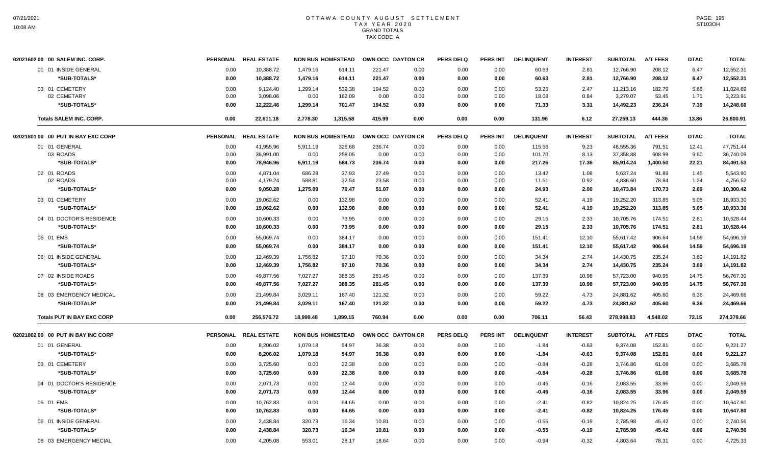| 02021602 00 00 SALEM INC. CORP.    |      | PERSONAL REAL ESTATE | <b>NON BUS HOMESTEAD</b> |          |        | OWN OCC DAYTON CR | <b>PERS DELQ</b> | <b>PERS INT</b> | <b>DELINQUENT</b> | <b>INTEREST</b> | <b>SUBTOTAL</b> | <b>A/T FEES</b> | <b>DTAC</b> | <b>TOTAL</b> |
|------------------------------------|------|----------------------|--------------------------|----------|--------|-------------------|------------------|-----------------|-------------------|-----------------|-----------------|-----------------|-------------|--------------|
| 01 01 INSIDE GENERAL               | 0.00 | 10,388.72            | 1,479.16                 | 614.11   | 221.47 | 0.00              | 0.00             | 0.00            | 60.63             | 2.81            | 12,766.90       | 208.12          | 6.47        | 12,552.31    |
| *SUB-TOTALS*                       | 0.00 | 10,388.72            | 1,479.16                 | 614.11   | 221.47 | 0.00              | 0.00             | 0.00            | 60.63             | 2.81            | 12,766.90       | 208.12          | 6.47        | 12,552.31    |
| 03 01 CEMETERY                     | 0.00 | 9,124.40             | 1,299.14                 | 539.38   | 194.52 | 0.00              | 0.00             | 0.00            | 53.25             | 2.47            | 11,213.16       | 182.79          | 5.68        | 11,024.69    |
| 02 CEMETARY                        | 0.00 | 3,098.06             | 0.00                     | 162.09   | 0.00   | 0.00              | 0.00             | 0.00            | 18.08             | 0.84            | 3,279.07        | 53.45           | 1.71        | 3,223.91     |
| *SUB-TOTALS*                       | 0.00 | 12,222.46            | 1,299.14                 | 701.47   | 194.52 | 0.00              | 0.00             | 0.00            | 71.33             | 3.31            | 14,492.23       | 236.24          | 7.39        | 14,248.60    |
| <b>Totals SALEM INC. CORP.</b>     | 0.00 | 22,611.18            | 2,778.30                 | 1,315.58 | 415.99 | 0.00              | 0.00             | 0.00            | 131.96            | 6.12            | 27,259.13       | 444.36          | 13.86       | 26,800.91    |
| 02021801 00 00 PUT IN BAY EXC CORP |      | PERSONAL REAL ESTATE | <b>NON BUS HOMESTEAD</b> |          |        | OWN OCC DAYTON CR | <b>PERS DELQ</b> | <b>PERS INT</b> | <b>DELINQUENT</b> | <b>INTEREST</b> | <b>SUBTOTAL</b> | <b>A/T FEES</b> | <b>DTAC</b> | <b>TOTAL</b> |
| 01 01 GENERAL                      | 0.00 | 41,955.96            | 5,911.19                 | 326.68   | 236.74 | 0.00              | 0.00             | 0.00            | 115.56            | 9.23            | 48,555.36       | 791.51          | 12.41       | 47,751.44    |
| 03 ROADS                           | 0.00 | 36,991.00            | 0.00                     | 258.05   | 0.00   | 0.00              | 0.00             | 0.00            | 101.70            | 8.13            | 37,358.88       | 608.99          | 9.80        | 36,740.09    |
| *SUB-TOTALS*                       | 0.00 | 78,946.96            | 5,911.19                 | 584.73   | 236.74 | 0.00              | 0.00             | 0.00            | 217.26            | 17.36           | 85,914.24       | 1,400.50        | 22.21       | 84,491.53    |
| 02 01 ROADS                        | 0.00 | 4,871.04             | 686.28                   | 37.93    | 27.49  | 0.00              | 0.00             | 0.00            | 13.42             | 1.08            | 5,637.24        | 91.89           | 1.45        | 5,543.90     |
| 02 ROADS                           | 0.00 | 4,179.24             | 588.81                   | 32.54    | 23.58  | 0.00              | 0.00             | 0.00            | 11.51             | 0.92            | 4,836.60        | 78.84           | 1.24        | 4,756.52     |
| *SUB-TOTALS*                       | 0.00 | 9,050.28             | 1,275.09                 | 70.47    | 51.07  | 0.00              | 0.00             | 0.00            | 24.93             | 2.00            | 10,473.84       | 170.73          | 2.69        | 10,300.42    |
| 03 01 CEMETERY                     | 0.00 | 19,062.62            | 0.00                     | 132.98   | 0.00   | 0.00              | 0.00             | 0.00            | 52.41             | 4.19            | 19,252.20       | 313.85          | 5.05        | 18,933.30    |
| *SUB-TOTALS*                       | 0.00 | 19,062.62            | 0.00                     | 132.98   | 0.00   | 0.00              | 0.00             | 0.00            | 52.41             | 4.19            | 19,252.20       | 313.85          | 5.05        | 18,933.30    |
| 04 01 DOCTOR'S RESIDENCE           | 0.00 | 10,600.33            | 0.00                     | 73.95    | 0.00   | 0.00              | 0.00             | 0.00            | 29.15             | 2.33            | 10,705.76       | 174.51          | 2.81        | 10,528.44    |
| *SUB-TOTALS*                       | 0.00 | 10,600.33            | 0.00                     | 73.95    | 0.00   | 0.00              | 0.00             | 0.00            | 29.15             | 2.33            | 10,705.76       | 174.51          | 2.81        | 10,528.44    |
| 05 01 EMS                          | 0.00 | 55,069.74            | 0.00                     | 384.17   | 0.00   | 0.00              | 0.00             | 0.00            | 151.41            | 12.10           | 55,617.42       | 906.64          | 14.59       | 54,696.19    |
| *SUB-TOTALS*                       | 0.00 | 55,069.74            | 0.00                     | 384.17   | 0.00   | 0.00              | 0.00             | 0.00            | 151.41            | 12.10           | 55,617.42       | 906.64          | 14.59       | 54,696.19    |
| 06 01 INSIDE GENERAL               | 0.00 | 12,469.39            | 1,756.82                 | 97.10    | 70.36  | 0.00              | 0.00             | 0.00            | 34.34             | 2.74            | 14,430.75       | 235.24          | 3.69        | 14,191.82    |
| *SUB-TOTALS*                       | 0.00 | 12,469.39            | 1,756.82                 | 97.10    | 70.36  | 0.00              | 0.00             | 0.00            | 34.34             | 2.74            | 14,430.75       | 235.24          | 3.69        | 14,191.82    |
| 07 02 INSIDE ROADS                 | 0.00 | 49,877.56            | 7,027.27                 | 388.35   | 281.45 | 0.00              | 0.00             | 0.00            | 137.39            | 10.98           | 57,723.00       | 940.95          | 14.75       | 56,767.30    |
| *SUB-TOTALS*                       | 0.00 | 49,877.56            | 7,027.27                 | 388.35   | 281.45 | 0.00              | 0.00             | 0.00            | 137.39            | 10.98           | 57,723.00       | 940.95          | 14.75       | 56,767.30    |
| 08 03 EMERGENCY MEDICAL            | 0.00 | 21,499.84            | 3,029.11                 | 167.40   | 121.32 | 0.00              | 0.00             | 0.00            | 59.22             | 4.73            | 24,881.62       | 405.60          | 6.36        | 24,469.66    |
| *SUB-TOTALS*                       | 0.00 | 21,499.84            | 3,029.11                 | 167.40   | 121.32 | 0.00              | 0.00             | 0.00            | 59.22             | 4.73            | 24,881.62       | 405.60          | 6.36        | 24,469.66    |
| <b>Totals PUT IN BAY EXC CORP</b>  | 0.00 | 256,576.72           | 18,999.48                | 1,899.15 | 760.94 | 0.00              | 0.00             | 0.00            | 706.11            | 56.43           | 278,998.83      | 4,548.02        | 72.15       | 274,378.66   |
| 02021802 00 00 PUT IN BAY INC CORP |      | PERSONAL REAL ESTATE | <b>NON BUS HOMESTEAD</b> |          |        | OWN OCC DAYTON CR | <b>PERS DELQ</b> | PERS INT        | <b>DELINQUENT</b> | <b>INTEREST</b> | <b>SUBTOTAL</b> | <b>A/T FEES</b> | <b>DTAC</b> | <b>TOTAL</b> |
| 01 01 GENERAL                      | 0.00 | 8,206.02             | 1,079.18                 | 54.97    | 36.38  | 0.00              | 0.00             | 0.00            | $-1.84$           | $-0.63$         | 9,374.08        | 152.81          | 0.00        | 9,221.27     |
| *SUB-TOTALS*                       | 0.00 | 8,206.02             | 1,079.18                 | 54.97    | 36.38  | 0.00              | 0.00             | 0.00            | $-1.84$           | $-0.63$         | 9,374.08        | 152.81          | 0.00        | 9,221.27     |
| 03 01 CEMETERY                     | 0.00 | 3,725.60             | 0.00                     | 22.38    | 0.00   | 0.00              | 0.00             | 0.00            | $-0.84$           | $-0.28$         | 3,746.86        | 61.08           | 0.00        | 3,685.78     |
| *SUB-TOTALS*                       | 0.00 | 3,725.60             | 0.00                     | 22.38    | 0.00   | 0.00              | 0.00             | 0.00            | $-0.84$           | $-0.28$         | 3,746.86        | 61.08           | 0.00        | 3,685.78     |
| 04 01 DOCTOR'S RESIDENCE           | 0.00 | 2,071.73             | 0.00                     | 12.44    | 0.00   | 0.00              | 0.00             | 0.00            | $-0.46$           | $-0.16$         | 2,083.55        | 33.96           | 0.00        | 2,049.59     |
| *SUB-TOTALS*                       | 0.00 | 2,071.73             | 0.00                     | 12.44    | 0.00   | 0.00              | 0.00             | 0.00            | $-0.46$           | $-0.16$         | 2,083.55        | 33.96           | 0.00        | 2,049.59     |
|                                    |      |                      |                          |          |        |                   |                  |                 |                   |                 |                 |                 |             |              |
| 05 01 EMS                          | 0.00 | 10,762.83            | 0.00                     | 64.65    | 0.00   | 0.00              | 0.00             | 0.00            | $-2.41$           | $-0.82$         | 10,824.25       | 176.45          | 0.00        | 10,647.80    |
| *SUB-TOTALS*                       | 0.00 | 10,762.83            | 0.00                     | 64.65    | 0.00   | 0.00              | 0.00             | 0.00            | $-2.41$           | $-0.82$         | 10,824.25       | 176.45          | 0.00        | 10,647.80    |
| 06 01 INSIDE GENERAL               | 0.00 | 2,438.84             | 320.73                   | 16.34    | 10.81  | 0.00              | 0.00             | 0.00            | $-0.55$           | $-0.19$         | 2,785.98        | 45.42           | 0.00        | 2,740.56     |
| *SUB-TOTALS*                       | 0.00 | 2,438.84             | 320.73                   | 16.34    | 10.81  | 0.00              | 0.00             | 0.00            | $-0.55$           | $-0.19$         | 2,785.98        | 45.42           | 0.00        | 2,740.56     |
| 08 03 EMERGENCY MECIAL             | 0.00 | 4.205.08             | 553.01                   | 28.17    | 18.64  | 0.00              | 0.00             | 0.00            | $-0.94$           | $-0.32$         | 4.803.64        | 78.31           | 0.00        | 4,725.33     |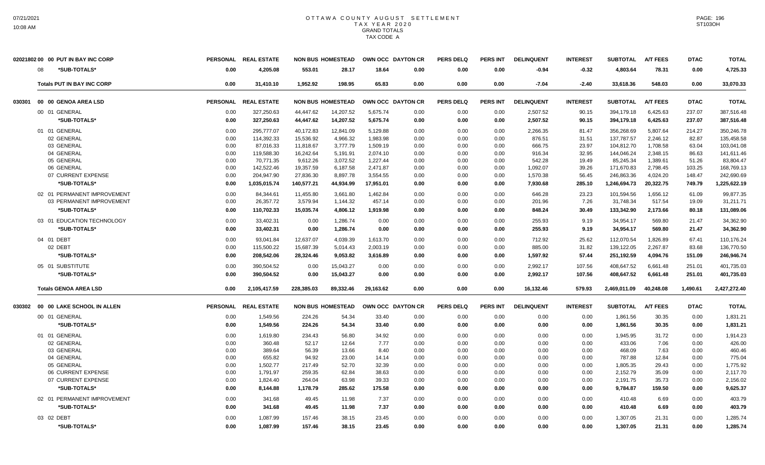|        | 02021802 00 00 PUT IN BAY INC CORP |      | PERSONAL REAL ESTATE |            | <b>NON BUS HOMESTEAD</b> |           | OWN OCC DAYTON CR | <b>PERS DELQ</b> | <b>PERS INT</b> | <b>DELINQUENT</b> | <b>INTEREST</b> | <b>SUBTOTAL</b> | <b>A/T FEES</b> | <b>DTAC</b> | <b>TOTAL</b> |
|--------|------------------------------------|------|----------------------|------------|--------------------------|-----------|-------------------|------------------|-----------------|-------------------|-----------------|-----------------|-----------------|-------------|--------------|
|        | 08<br>*SUB-TOTALS*                 | 0.00 | 4,205.08             | 553.01     | 28.17                    | 18.64     | 0.00              | 0.00             | 0.00            | $-0.94$           | $-0.32$         | 4,803.64        | 78.31           | 0.00        | 4,725.33     |
|        | <b>Totals PUT IN BAY INC CORP</b>  | 0.00 | 31.410.10            | 1.952.92   | 198.95                   | 65.83     | 0.00              | 0.00             | 0.00            | $-7.04$           | $-2.40$         | 33,618.36       | 548.03          | 0.00        | 33,070.33    |
| 030301 | 00 00 GENOA AREA LSD               |      | PERSONAL REAL ESTATE |            | <b>NON BUS HOMESTEAD</b> |           | OWN OCC DAYTON CR | <b>PERS DELQ</b> | <b>PERS INT</b> | <b>DELINQUENT</b> | <b>INTEREST</b> | <b>SUBTOTAL</b> | <b>A/T FEES</b> | <b>DTAC</b> | <b>TOTAL</b> |
|        | 00 01 GENERAL                      | 0.00 | 327,250.63           | 44,447.62  | 14,207.52                | 5,675.74  | 0.00              | 0.00             | 0.00            | 2,507.52          | 90.15           | 394,179.18      | 6,425.63        | 237.07      | 387,516.48   |
|        | *SUB-TOTALS*                       | 0.00 | 327,250.63           | 44,447.62  | 14,207.52                | 5,675.74  | 0.00              | 0.00             | 0.00            | 2,507.52          | 90.15           | 394,179.18      | 6,425.63        | 237.07      | 387,516.48   |
|        | 01 01 GENERAL                      | 0.00 | 295,777.07           | 40,172.83  | 12,841.09                | 5,129.88  | 0.00              | 0.00             | 0.00            | 2,266.35          | 81.47           | 356,268.69      | 5,807.64        | 214.27      | 350,246.78   |
|        | 02 GENERAL                         | 0.00 | 114,392.33           | 15,536.92  | 4,966.32                 | 1,983.98  | 0.00              | 0.00             | 0.00            | 876.51            | 31.51           | 137,787.57      | 2.246.12        | 82.87       | 135,458.58   |
|        | 03 GENERAL                         | 0.00 | 87,016.33            | 11,818.67  | 3,777.79                 | 1,509.19  | 0.00              | 0.00             | 0.00            | 666.75            | 23.97           | 104,812.70      | 1,708.58        | 63.04       | 103,041.08   |
|        | 04 GENERAL                         | 0.00 | 119,588.30           | 16,242.64  | 5,191.91                 | 2,074.10  | 0.00              | 0.00             | 0.00            | 916.34            | 32.95           | 144,046.24      | 2,348.15        | 86.63       | 141,611.46   |
|        | 05 GENERAL                         | 0.00 | 70.771.35            | 9,612.26   | 3,072.52                 | 1,227.44  | 0.00              | 0.00             | 0.00            | 542.28            | 19.49           | 85,245.34       | 1.389.61        | 51.26       | 83,804.47    |
|        | 06 GENERAL                         | 0.00 | 142,522.46           | 19,357.59  | 6,187.58                 | 2,471.87  | 0.00              | 0.00             | 0.00            | 1,092.07          | 39.26           | 171,670.83      | 2,798.45        | 103.25      | 168,769.13   |
|        | 07 CURRENT EXPENSE                 | 0.00 | 204,947.90           | 27,836.30  | 8,897.78                 | 3,554.55  | 0.00              | 0.00             | 0.00            | 1,570.38          | 56.45           | 246,863.36      | 4,024.20        | 148.47      | 242,690.69   |
|        | *SUB-TOTALS*                       | 0.00 | 1,035,015.74         | 140,577.21 | 44,934.99                | 17,951.01 | 0.00              | 0.00             | 0.00            | 7,930.68          | 285.10          | 1,246,694.73    | 20,322.75       | 749.79      | 1,225,622.19 |
|        | 02 01 PERMANENT IMPROVEMENT        | 0.00 | 84.344.61            | 11,455.80  | 3,661.80                 | 1,462.84  | 0.00              | 0.00             | 0.00            | 646.28            | 23.23           | 101,594.56      | 1,656.12        | 61.09       | 99,877.35    |
|        | 03 PERMANENT IMPROVEMENT           | 0.00 | 26,357.72            | 3,579.94   | 1,144.32                 | 457.14    | 0.00              | 0.00             | 0.00            | 201.96            | 7.26            | 31,748.34       | 517.54          | 19.09       | 31,211.71    |
|        | *SUB-TOTALS*                       | 0.00 | 110,702.33           | 15,035.74  | 4,806.12                 | 1,919.98  | 0.00              | 0.00             | 0.00            | 848.24            | 30.49           | 133,342.90      | 2,173.66        | 80.18       | 131,089.06   |
|        | 03 01 EDUCATION TECHNOLOGY         | 0.00 | 33,402.31            | 0.00       | 1,286.74                 | 0.00      | 0.00              | 0.00             | 0.00            | 255.93            | 9.19            | 34,954.17       | 569.80          | 21.47       | 34,362.90    |
|        | *SUB-TOTALS*                       | 0.00 | 33,402.31            | 0.00       | 1,286.74                 | 0.00      | 0.00              | 0.00             | 0.00            | 255.93            | 9.19            | 34,954.17       | 569.80          | 21.47       | 34,362.90    |
|        | 04 01 DEBT                         | 0.00 | 93.041.84            | 12,637.07  | 4.039.39                 | 1,613.70  | 0.00              | 0.00             | 0.00            | 712.92            | 25.62           | 112,070.54      | 1.826.89        | 67.41       | 110,176.24   |
|        | 02 DEBT                            | 0.00 | 115,500.22           | 15,687.39  | 5,014.43                 | 2,003.19  | 0.00              | 0.00             | 0.00            | 885.00            | 31.82           | 139,122.05      | 2,267.87        | 83.68       | 136,770.50   |
|        | *SUB-TOTALS*                       | 0.00 | 208.542.06           | 28,324.46  | 9.053.82                 | 3.616.89  | 0.00              | 0.00             | 0.00            | 1.597.92          | 57.44           | 251,192.59      | 4.094.76        | 151.09      | 246.946.74   |
|        | 05 01 SUBSTITUTE                   | 0.00 | 390,504.52           | 0.00       | 15,043.27                | 0.00      | 0.00              | 0.00             | 0.00            | 2,992.17          | 107.56          | 408,647.52      | 6,661.48        | 251.01      | 401,735.03   |
|        | *SUB-TOTALS*                       | 0.00 | 390,504.52           | 0.00       | 15,043.27                | 0.00      | 0.00              | 0.00             | 0.00            | 2,992.17          | 107.56          | 408,647.52      | 6,661.48        | 251.01      | 401,735.03   |
|        | <b>Totals GENOA AREA LSD</b>       | 0.00 | 2,105,417.59         | 228,385.03 | 89,332.46                | 29,163.62 | 0.00              | 0.00             | 0.00            | 16,132.46         | 579.93          | 2,469,011.09    | 40,248.08       | 1.490.61    | 2,427,272.40 |
| 030302 | 00 00 LAKE SCHOOL IN ALLEN         |      | PERSONAL REAL ESTATE |            | <b>NON BUS HOMESTEAD</b> |           | OWN OCC DAYTON CR | <b>PERS DELQ</b> | <b>PERS INT</b> | <b>DELINQUENT</b> | <b>INTEREST</b> | <b>SUBTOTAL</b> | <b>A/T FEES</b> | <b>DTAC</b> | <b>TOTAL</b> |
|        | 00 01 GENERAL                      | 0.00 | 1.549.56             | 224.26     | 54.34                    | 33.40     | 0.00              | 0.00             | 0.00            | 0.00              | 0.00            | 1.861.56        | 30.35           | 0.00        | 1,831.21     |
|        | *SUB-TOTALS*                       | 0.00 | 1,549.56             | 224.26     | 54.34                    | 33.40     | 0.00              | 0.00             | 0.00            | 0.00              | 0.00            | 1,861.56        | 30.35           | 0.00        | 1,831.21     |
|        | 01 01 GENERAL                      | 0.00 | 1,619.80             | 234.43     | 56.80                    | 34.92     | 0.00              | 0.00             | 0.00            | 0.00              | 0.00            | 1,945.95        | 31.72           | 0.00        | 1,914.23     |
|        | 02 GENERAL                         | 0.00 | 360.48               | 52.17      | 12.64                    | 7.77      | 0.00              | 0.00             | 0.00            | 0.00              | 0.00            | 433.06          | 7.06            | 0.00        | 426.00       |
|        | 03 GENERAL                         | 0.00 | 389.64               | 56.39      | 13.66                    | 8.40      | 0.00              | 0.00             | 0.00            | 0.00              | 0.00            | 468.09          | 7.63            | 0.00        | 460.46       |
|        | 04 GENERAL                         | 0.00 | 655.82               | 94.92      | 23.00                    | 14.14     | 0.00              | 0.00             | 0.00            | 0.00              | 0.00            | 787.88          | 12.84           | 0.00        | 775.04       |
|        | 05 GENERAL                         | 0.00 | 1,502.77             | 217.49     | 52.70                    | 32.39     | 0.00              | 0.00             | 0.00            | 0.00              | 0.00            | 1,805.35        | 29.43           | 0.00        | 1,775.92     |
|        | 06 CURRENT EXPENSE                 | 0.00 | 1,791.97             | 259.35     | 62.84                    | 38.63     | 0.00              | 0.00             | 0.00            | 0.00              | 0.00            | 2,152.79        | 35.09           | 0.00        | 2,117.70     |
|        | 07 CURRENT EXPENSE                 | 0.00 | 1,824.40             | 264.04     | 63.98                    | 39.33     | 0.00              | 0.00             | 0.00            | 0.00              | 0.00            | 2,191.75        | 35.73           | 0.00        | 2,156.02     |
|        | *SUB-TOTALS*                       | 0.00 | 8,144.88             | 1,178.79   | 285.62                   | 175.58    | 0.00              | 0.00             | 0.00            | 0.00              | 0.00            | 9,784.87        | 159.50          | 0.00        | 9,625.37     |
|        | 02 01 PERMANENT IMPROVEMENT        | 0.00 | 341.68               | 49.45      | 11.98                    | 7.37      | 0.00              | 0.00             | 0.00            | 0.00              | 0.00            | 410.48          | 6.69            | 0.00        | 403.79       |
|        | *SUB-TOTALS*                       | 0.00 | 341.68               | 49.45      | 11.98                    | 7.37      | 0.00              | 0.00             | 0.00            | 0.00              | 0.00            | 410.48          | 6.69            | 0.00        | 403.79       |
|        | 03 02 DEBT                         | 0.00 | 1,087.99             | 157.46     | 38.15                    | 23.45     | 0.00              | 0.00             | 0.00            | 0.00              | 0.00            | 1,307.05        | 21.31           | 0.00        | 1,285.74     |
|        | *SUB-TOTALS*                       | 0.00 | 1.087.99             | 157.46     | 38.15                    | 23.45     | 0.00              | 0.00             | 0.00            | 0.00              | 0.00            | 1,307.05        | 21.31           | 0.00        | 1,285.74     |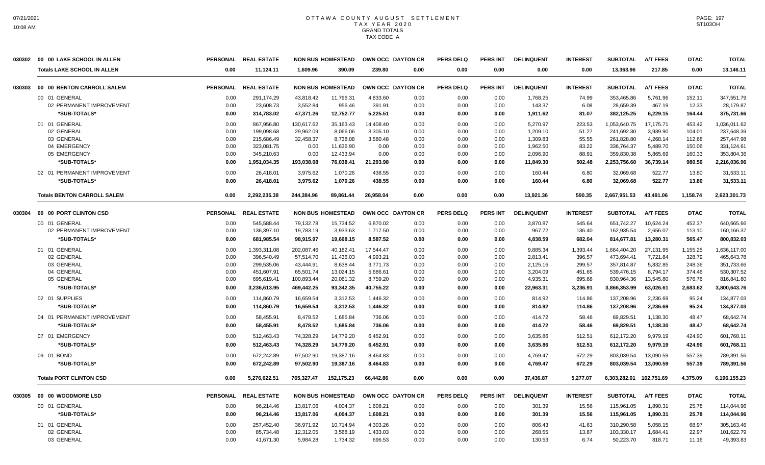|        | 030302 00 00 LAKE SCHOOL IN ALLEN  |                 | PERSONAL REAL ESTATE |            | <b>NON BUS HOMESTEAD</b> | OWN OCC DAYTON CR |                   | <b>PERS DELQ</b> | <b>PERS INT</b> | <b>DELINQUENT</b> | <b>INTEREST</b> | <b>SUBTOTAL</b> | <b>A/T FEES</b> | <b>DTAC</b> | <b>TOTAL</b> |
|--------|------------------------------------|-----------------|----------------------|------------|--------------------------|-------------------|-------------------|------------------|-----------------|-------------------|-----------------|-----------------|-----------------|-------------|--------------|
|        | <b>Totals LAKE SCHOOL IN ALLEN</b> | 0.00            | 11,124.11            | 1.609.96   | 390.09                   | 239.80            | 0.00              | 0.00             | 0.00            | 0.00              | 0.00            | 13,363.96       | 217.85          | 0.00        | 13,146.11    |
| 030303 | 00 00 BENTON CARROLL SALEM         | <b>PERSONAL</b> | <b>REAL ESTATE</b>   |            | <b>NON BUS HOMESTEAD</b> |                   | OWN OCC DAYTON CR | <b>PERS DELQ</b> | <b>PERS INT</b> | <b>DELINQUENT</b> | <b>INTEREST</b> | <b>SUBTOTAL</b> | <b>A/T FEES</b> | <b>DTAC</b> | <b>TOTAL</b> |
|        | 00 01 GENERAL                      | 0.00            | 291,174.29           | 43,818.42  | 11,796.31                | 4,833.60          | 0.00              | 0.00             | 0.00            | 1,768.25          | 74.99           | 353,465.86      | 5,761.96        | 152.11      | 347,551.79   |
|        | 02 PERMANENT IMPROVEMENT           | 0.00            | 23.608.73            | 3.552.84   | 956.46                   | 391.91            | 0.00              | 0.00             | 0.00            | 143.37            | 6.08            | 28.659.39       | 467.19          | 12.33       | 28.179.87    |
|        | *SUB-TOTALS*                       | 0.00            | 314,783.02           | 47,371.26  | 12,752.77                | 5,225.51          | 0.00              | 0.00             | 0.00            | 1,911.62          | 81.07           | 382,125.25      | 6,229.15        | 164.44      | 375,731.66   |
|        | 01 01 GENERAL                      | 0.00            | 867,956.80           | 130,617.62 | 35,163.43                | 14,408.40         | 0.00              | 0.00             | 0.00            | 5,270.97          | 223.53          | 1,053,640.75    | 17,175.71       | 453.42      | 1,036,011.62 |
|        | 02 GENERAL                         | 0.00            | 199,098.68           | 29,962.09  | 8,066.06                 | 3,305.10          | 0.00              | 0.00             | 0.00            | 1,209.10          | 51.27           | 241,692.30      | 3,939.90        | 104.01      | 237,648.39   |
|        | 03 GENERAL                         | 0.00            | 215,686.49           | 32,458.37  | 8,738.08                 | 3,580.48          | 0.00              | 0.00             | 0.00            | 1,309.83          | 55.55           | 261,828.80      | 4,268.14        | 112.68      | 257,447.98   |
|        | 04 EMERGENCY                       | 0.00            | 323,081.75           | 0.00       | 11,636.90                | 0.00              | 0.00              | 0.00             | 0.00            | 1,962.50          | 83.22           | 336,764.37      | 5,489.70        | 150.06      | 331,124.61   |
|        | 05 EMERGENCY                       | 0.00            | 345,210.63           | 0.00       | 12,433.94                | 0.00              | 0.00              | 0.00             | 0.00            | 2,096.90          | 88.91           | 359,830.38      | 5,865.69        | 160.33      | 353,804.36   |
|        | *SUB-TOTALS*                       | 0.00            | 1,951,034.35         | 193,038.08 | 76,038.41                | 21,293.98         | 0.00              | 0.00             | 0.00            | 11,849.30         | 502.48          | 2,253,756.60    | 36,739.14       | 980.50      | 2,216,036.96 |
|        | 02 01 PERMANENT IMPROVEMENT        | 0.00            | 26,418.01            | 3,975.62   | 1,070.26                 | 438.55            | 0.00              | 0.00             | 0.00            | 160.44            | 6.80            | 32,069.68       | 522.77          | 13.80       | 31,533.11    |
|        | *SUB-TOTALS*                       | 0.00            | 26.418.01            | 3,975.62   | 1.070.26                 | 438.55            | 0.00              | 0.00             | 0.00            | 160.44            | 6.80            | 32.069.68       | 522.77          | 13.80       | 31.533.11    |
|        | <b>Totals BENTON CARROLL SALEM</b> | 0.00            | 2,292,235.38         | 244,384.96 | 89,861.44                | 26,958.04         | 0.00              | 0.00             | 0.00            | 13,921.36         | 590.35          | 2,667,951.53    | 43,491.06       | 1,158.74    | 2,623,301.73 |
| 030304 | 00 00 PORT CLINTON CSD             |                 | PERSONAL REAL ESTATE |            | <b>NON BUS HOMESTEAD</b> | OWN OCC DAYTON CR |                   | <b>PERS DELQ</b> | <b>PERS INT</b> | <b>DELINQUENT</b> | <b>INTEREST</b> | <b>SUBTOTAL</b> | <b>A/T FEES</b> | <b>DTAC</b> | <b>TOTAL</b> |
|        | 00 01 GENERAL                      | 0.00            | 545,588.44           | 79,132.78  | 15,734.52                | 6,870.02          | 0.00              | 0.00             | 0.00            | 3,870.87          | 545.64          | 651,742.27      | 10,624.24       | 452.37      | 640,665.66   |
|        | 02 PERMANENT IMPROVEMENT           | 0.00            | 136,397.10           | 19,783.19  | 3,933.63                 | 1,717.50          | 0.00              | 0.00             | 0.00            | 967.72            | 136.40          | 162,935.54      | 2,656.07        | 113.10      | 160,166.37   |
|        | *SUB-TOTALS*                       | 0.00            | 681,985.54           | 98,915.97  | 19,668.15                | 8,587.52          | 0.00              | 0.00             | 0.00            | 4,838.59          | 682.04          | 814,677.81      | 13,280.31       | 565.47      | 800,832.03   |
|        | 01 01 GENERAL                      | 0.00            | 1,393,311.08         | 202,087.46 | 40.182.41                | 17.544.47         | 0.00              | 0.00             | 0.00            | 9.885.34          | 1,393.44        | 1,664,404.20    | 27,131.95       | 1,155.25    | 1,636,117.00 |
|        | 02 GENERAL                         | 0.00            | 396,540.49           | 57,514.70  | 11,436.03                | 4,993.21          | 0.00              | 0.00             | 0.00            | 2,813.41          | 396.57          | 473,694.41      | 7,721.84        | 328.79      | 465,643.78   |
|        | 03 GENERAL                         | 0.00            | 299,535.06           | 43,444.91  | 8,638.44                 | 3,771.73          | 0.00              | 0.00             | 0.00            | 2,125.16          | 299.57          | 357,814.87      | 5,832.85        | 248.36      | 351,733.66   |
|        | 04 GENERAL                         | 0.00            | 451,607.91           | 65,501.74  | 13,024.15                | 5,686.61          | 0.00              | 0.00             | 0.00            | 3,204.09          | 451.65          | 539,476.15      | 8,794.17        | 374.46      | 530,307.52   |
|        | 05 GENERAL                         | 0.00            | 695,619.41           | 100,893.44 | 20,061.32                | 8,759.20          | 0.00              | 0.00             | 0.00            | 4,935.31          | 695.68          | 830,964.36      | 13,545.80       | 576.76      | 816,841.80   |
|        | *SUB-TOTALS*                       | 0.00            | 3,236,613.95         | 469,442.25 | 93,342.35                | 40,755.22         | 0.00              | 0.00             | 0.00            | 22,963.31         | 3,236.91        | 3,866,353.99    | 63,026.61       | 2,683.62    | 3,800,643.76 |
|        | 02 01 SUPPLIES                     | 0.00            | 114.860.79           | 16.659.54  | 3,312.53                 | 1.446.32          | 0.00              | 0.00             | 0.00            | 814.92            | 114.86          | 137,208.96      | 2,236.69        | 95.24       | 134,877.03   |
|        | *SUB-TOTALS*                       | 0.00            | 114,860.79           | 16,659.54  | 3,312.53                 | 1,446.32          | 0.00              | 0.00             | 0.00            | 814.92            | 114.86          | 137,208.96      | 2,236.69        | 95.24       | 134,877.03   |
|        | 04 01 PERMANENT IMPROVEMENT        | 0.00            | 58,455.91            | 8,478.52   | 1,685.84                 | 736.06            | 0.00              | 0.00             | 0.00            | 414.72            | 58.46           | 69,829.51       | 1,138.30        | 48.47       | 68,642.74    |
|        | *SUB-TOTALS*                       | 0.00            | 58,455.91            | 8.478.52   | 1.685.84                 | 736.06            | 0.00              | 0.00             | 0.00            | 414.72            | 58.46           | 69,829.51       | 1,138.30        | 48.47       | 68.642.74    |
|        | 07 01 EMERGENCY                    | 0.00            | 512,463.43           | 74,328.29  | 14,779.20                | 6,452.91          | 0.00              | 0.00             | 0.00            | 3,635.86          | 512.51          | 612,172.20      | 9,979.19        | 424.90      | 601,768.11   |
|        | *SUB-TOTALS*                       | 0.00            | 512,463.43           | 74,328.29  | 14,779.20                | 6,452.91          | 0.00              | 0.00             | 0.00            | 3,635.86          | 512.51          | 612,172.20      | 9,979.19        | 424.90      | 601,768.11   |
|        | 09 01 BOND                         | 0.00            | 672.242.89           | 97.502.90  | 19.387.16                | 8.464.83          | 0.00              | 0.00             | 0.00            | 4.769.47          | 672.29          | 803.039.54      | 13.090.59       | 557.39      | 789,391.56   |
|        | *SUB-TOTALS*                       | 0.00            | 672,242.89           | 97,502.90  | 19,387.16                | 8,464.83          | 0.00              | 0.00             | 0.00            | 4,769.47          | 672.29          | 803,039.54      | 13,090.59       | 557.39      | 789,391.56   |
|        | <b>Totals PORT CLINTON CSD</b>     | 0.00            | 5,276,622.51         | 765,327.47 | 152,175.23               | 66.442.86         | 0.00              | 0.00             | 0.00            | 37,436.87         | 5,277.07        | 6,303,282.01    | 102,751.69      | 4,375.09    | 6,196,155.23 |
| 030305 | 00 00 WOODMORE LSD                 |                 | PERSONAL REAL ESTATE |            | <b>NON BUS HOMESTEAD</b> | OWN OCC DAYTON CR |                   | <b>PERS DELQ</b> | <b>PERS INT</b> | <b>DELINQUENT</b> | <b>INTEREST</b> | <b>SUBTOTAL</b> | <b>A/T FEES</b> | <b>DTAC</b> | <b>TOTAL</b> |
|        | 00 01 GENERAL                      | 0.00            | 96,214.46            | 13,817.06  | 4.004.37                 | 1,608.21          | 0.00              | 0.00             | 0.00            | 301.39            | 15.56           | 115,961.05      | 1,890.31        | 25.78       | 114,044.96   |
|        | *SUB-TOTALS*                       | 0.00            | 96,214.46            | 13,817.06  | 4,004.37                 | 1,608.21          | 0.00              | 0.00             | 0.00            | 301.39            | 15.56           | 115,961.05      | 1,890.31        | 25.78       | 114,044.96   |
|        | 01 01 GENERAL                      | 0.00            | 257,452.40           | 36,971.92  | 10,714.94                | 4,303.26          | 0.00              | 0.00             | 0.00            | 806.43            | 41.63           | 310,290.58      | 5,058.15        | 68.97       | 305,163.46   |
|        | 02 GENERAL                         | 0.00            | 85,734.48            | 12,312.05  | 3,568.19                 | 1,433.03          | 0.00              | 0.00             | 0.00            | 268.55            | 13.87           | 103,330.17      | 1,684.41        | 22.97       | 101,622.79   |
|        | 03 GENERAL                         | 0.00            | 41,671.30            | 5,984.28   | 1,734.32                 | 696.53            | 0.00              | 0.00             | 0.00            | 130.53            | 6.74            | 50,223.70       | 818.71          | 11.16       | 49,393.83    |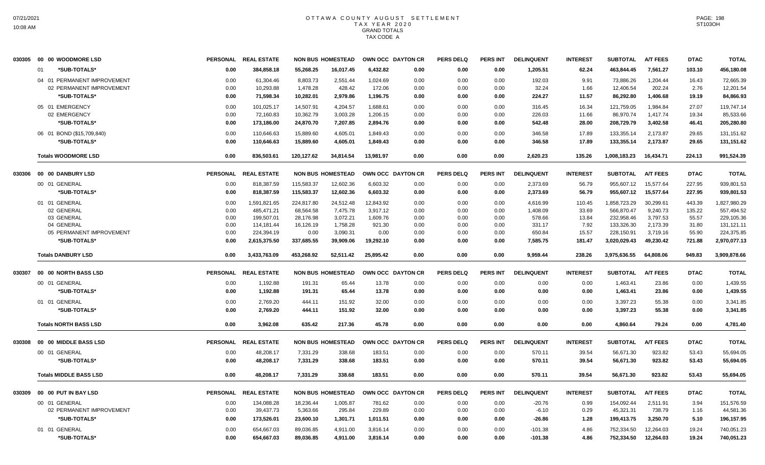| 030305 | 00 00 WOODMORE LSD            |                 | PERSONAL REAL ESTATE |            | <b>NON BUS HOMESTEAD</b> |           | OWN OCC DAYTON CR | <b>PERS DELQ</b> | <b>PERS INT</b> | <b>DELINQUENT</b> | <b>INTEREST</b> | <b>SUBTOTAL</b> | <b>A/T FEES</b> | <b>DTAC</b> | <b>TOTAL</b> |
|--------|-------------------------------|-----------------|----------------------|------------|--------------------------|-----------|-------------------|------------------|-----------------|-------------------|-----------------|-----------------|-----------------|-------------|--------------|
|        | 01<br>*SUB-TOTALS*            | 0.00            | 384,858.18           | 55,268.25  | 16,017.45                | 6,432.82  | 0.00              | 0.00             | 0.00            | 1,205.51          | 62.24           | 463,844.45      | 7,561.27        | 103.10      | 456,180.08   |
|        | 04 01 PERMANENT IMPROVEMENT   | 0.00            | 61,304.46            | 8,803.73   | 2,551.44                 | 1,024.69  | 0.00              | 0.00             | 0.00            | 192.03            | 9.91            | 73,886.26       | 1,204.44        | 16.43       | 72,665.39    |
|        | 02 PERMANENT IMPROVEMENT      | 0.00            | 10,293.88            | 1,478.28   | 428.42                   | 172.06    | 0.00              | 0.00             | 0.00            | 32.24             | 1.66            | 12,406.54       | 202.24          | 2.76        | 12,201.54    |
|        | *SUB-TOTALS*                  | 0.00            | 71,598.34            | 10,282.01  | 2,979.86                 | 1,196.75  | 0.00              | 0.00             | 0.00            | 224.27            | 11.57           | 86,292.80       | 1,406.68        | 19.19       | 84,866.93    |
|        | 05 01 EMERGENCY               | 0.00            | 101,025.17           | 14,507.91  | 4,204.57                 | 1,688.61  | 0.00              | 0.00             | 0.00            | 316.45            | 16.34           | 121,759.05      | 1.984.84        | 27.07       | 119,747.14   |
|        | 02 EMERGENCY                  | 0.00            | 72,160.83            | 10,362.79  | 3,003.28                 | 1,206.15  | 0.00              | 0.00             | 0.00            | 226.03            | 11.66           | 86,970.74       | 1,417.74        | 19.34       | 85,533.66    |
|        | *SUB-TOTALS*                  | 0.00            | 173,186.00           | 24,870.70  | 7,207.85                 | 2,894.76  | 0.00              | 0.00             | 0.00            | 542.48            | 28.00           | 208,729.79      | 3,402.58        | 46.41       | 205,280.80   |
|        | 06 01 BOND (\$15,709,840)     | 0.00            | 110,646.63           | 15,889.60  | 4,605.01                 | 1,849.43  | 0.00              | 0.00             | 0.00            | 346.58            | 17.89           | 133,355.14      | 2,173.87        | 29.65       | 131,151.62   |
|        | *SUB-TOTALS*                  | 0.00            | 110,646.63           | 15,889.60  | 4,605.01                 | 1,849.43  | 0.00              | 0.00             | 0.00            | 346.58            | 17.89           | 133,355.14      | 2,173.87        | 29.65       | 131,151.62   |
|        | <b>Totals WOODMORE LSD</b>    | 0.00            | 836,503.61           | 120,127.62 | 34,814.54                | 13,981.97 | 0.00              | 0.00             | 0.00            | 2,620.23          | 135.26          | 1,008,183.23    | 16,434.71       | 224.13      | 991,524.39   |
| 030306 | 00 00 DANBURY LSD             | <b>PERSONAL</b> | <b>REAL ESTATE</b>   |            | <b>NON BUS HOMESTEAD</b> |           | OWN OCC DAYTON CR | <b>PERS DELQ</b> | <b>PERS INT</b> | <b>DELINQUENT</b> | <b>INTEREST</b> | <b>SUBTOTAL</b> | <b>A/T FEES</b> | <b>DTAC</b> | <b>TOTAL</b> |
|        | 00 01 GENERAL                 | 0.00            | 818,387.59           | 115,583.37 | 12,602.36                | 6,603.32  | 0.00              | 0.00             | 0.00            | 2,373.69          | 56.79           | 955,607.12      | 15,577.64       | 227.95      | 939,801.53   |
|        | *SUB-TOTALS*                  | 0.00            | 818,387.59           | 115,583.37 | 12,602.36                | 6,603.32  | 0.00              | 0.00             | 0.00            | 2,373.69          | 56.79           | 955,607.12      | 15,577.64       | 227.95      | 939,801.53   |
|        | 01 01 GENERAL                 | 0.00            | 1,591,821.65         | 224,817.80 | 24,512.48                | 12,843.92 | 0.00              | 0.00             | 0.00            | 4,616.99          | 110.45          | 1,858,723.29    | 30,299.61       | 443.39      | 1,827,980.29 |
|        | 02 GENERAL                    | 0.00            | 485,471.21           | 68,564.58  | 7,475.78                 | 3,917.12  | 0.00              | 0.00             | 0.00            | 1,408.09          | 33.69           | 566,870.47      | 9,240.73        | 135.22      | 557,494.52   |
|        | 03 GENERAL                    | 0.00            | 199,507.01           | 28,176.98  | 3,072.21                 | 1,609.76  | 0.00              | 0.00             | 0.00            | 578.66            | 13.84           | 232,958.46      | 3,797.53        | 55.57       | 229,105.36   |
|        | 04 GENERAL                    | 0.00            | 114,181.44           | 16,126.19  | 1,758.28                 | 921.30    | 0.00              | 0.00             | 0.00            | 331.17            | 7.92            | 133,326.30      | 2,173.39        | 31.80       | 131,121.11   |
|        | 05 PERMANENT IMPROVEMENT      | 0.00            | 224,394.19           | 0.00       | 3,090.31                 | 0.00      | 0.00              | 0.00             | 0.00            | 650.84            | 15.57           | 228,150.91      | 3,719.16        | 55.90       | 224,375.85   |
|        | *SUB-TOTALS*                  | 0.00            | 2,615,375.50         | 337,685.55 | 39,909.06                | 19,292.10 | 0.00              | 0.00             | 0.00            | 7,585.75          | 181.47          | 3,020,029.43    | 49,230.42       | 721.88      | 2,970,077.13 |
|        | <b>Totals DANBURY LSD</b>     | 0.00            | 3,433,763.09         | 453,268.92 | 52,511.42                | 25,895.42 | 0.00              | 0.00             | 0.00            | 9,959.44          | 238.26          | 3,975,636.55    | 64,808.06       | 949.83      | 3,909,878.66 |
| 030307 | 00 00 NORTH BASS LSD          |                 | PERSONAL REAL ESTATE |            | <b>NON BUS HOMESTEAD</b> |           | OWN OCC DAYTON CR | <b>PERS DELQ</b> | <b>PERS INT</b> | <b>DELINQUENT</b> | <b>INTEREST</b> | <b>SUBTOTAL</b> | <b>A/T FEES</b> | <b>DTAC</b> | <b>TOTAL</b> |
|        | 00 01 GENERAL                 | 0.00            | 1,192.88             | 191.31     | 65.44                    | 13.78     | 0.00              | 0.00             | 0.00            | 0.00              | 0.00            | 1,463.41        | 23.86           | 0.00        | 1,439.55     |
|        | *SUB-TOTALS*                  | 0.00            | 1,192.88             | 191.31     | 65.44                    | 13.78     | 0.00              | 0.00             | 0.00            | 0.00              | 0.00            | 1,463.41        | 23.86           | 0.00        | 1,439.55     |
|        | 01 01 GENERAL                 | 0.00            | 2,769.20             | 444.11     | 151.92                   | 32.00     | 0.00              | 0.00             | 0.00            | 0.00              | 0.00            | 3.397.23        | 55.38           | 0.00        | 3.341.85     |
|        | *SUB-TOTALS*                  | 0.00            | 2,769.20             | 444.11     | 151.92                   | 32.00     | 0.00              | 0.00             | 0.00            | 0.00              | 0.00            | 3,397.23        | 55.38           | 0.00        | 3,341.85     |
|        | <b>Totals NORTH BASS LSD</b>  | 0.00            | 3,962.08             | 635.42     | 217.36                   | 45.78     | 0.00              | 0.00             | 0.00            | 0.00              | 0.00            | 4,860.64        | 79.24           | 0.00        | 4,781.40     |
| 030308 | 00 00 MIDDLE BASS LSD         |                 | PERSONAL REAL ESTATE |            | <b>NON BUS HOMESTEAD</b> |           | OWN OCC DAYTON CR | <b>PERS DELQ</b> | <b>PERS INT</b> | <b>DELINQUENT</b> | <b>INTEREST</b> | <b>SUBTOTAL</b> | <b>A/T FEES</b> | <b>DTAC</b> | <b>TOTAL</b> |
|        | 00 01 GENERAL                 | 0.00            | 48,208.17            | 7,331.29   | 338.68                   | 183.51    | 0.00              | 0.00             | 0.00            | 570.11            | 39.54           | 56,671.30       | 923.82          | 53.43       | 55,694.05    |
|        | *SUB-TOTALS*                  | 0.00            | 48,208.17            | 7,331.29   | 338.68                   | 183.51    | 0.00              | 0.00             | 0.00            | 570.11            | 39.54           | 56,671.30       | 923.82          | 53.43       | 55,694.05    |
|        | <b>Totals MIDDLE BASS LSD</b> | 0.00            | 48,208.17            | 7,331.29   | 338.68                   | 183.51    | 0.00              | 0.00             | 0.00            | 570.11            | 39.54           | 56,671.30       | 923.82          | 53.43       | 55,694.05    |
| 030309 | 00 00 PUT IN BAY LSD          |                 | PERSONAL REAL ESTATE |            | <b>NON BUS HOMESTEAD</b> |           | OWN OCC DAYTON CR | <b>PERS DELQ</b> | <b>PERS INT</b> | <b>DELINQUENT</b> | <b>INTEREST</b> | <b>SUBTOTAL</b> | <b>A/T FEES</b> | <b>DTAC</b> | <b>TOTAL</b> |
|        | 00 01 GENERAL                 | 0.00            | 134,088.28           | 18,236.44  | 1,005.87                 | 781.62    | 0.00              | 0.00             | 0.00            | $-20.76$          | 0.99            | 154,092.44      | 2,511.91        | 3.94        | 151,576.59   |
|        | 02 PERMANENT IMPROVEMENT      | 0.00            | 39,437.73            | 5,363.66   | 295.84                   | 229.89    | 0.00              | 0.00             | 0.00            | $-6.10$           | 0.29            | 45,321.31       | 738.79          | 1.16        | 44,581.36    |
|        | *SUB-TOTALS*                  | 0.00            | 173,526.01           | 23,600.10  | 1,301.71                 | 1,011.51  | 0.00              | 0.00             | 0.00            | $-26.86$          | 1.28            | 199,413.75      | 3,250.70        | 5.10        | 196,157.95   |
|        | 01 01 GENERAL                 | 0.00            | 654,667.03           | 89,036.85  | 4,911.00                 | 3,816.14  | 0.00              | 0.00             | 0.00            | $-101.38$         | 4.86            | 752,334.50      | 12,264.03       | 19.24       | 740,051.23   |
|        | *SUB-TOTALS*                  | 0.00            | 654,667.03           | 89,036.85  | 4,911.00                 | 3,816.14  | 0.00              | 0.00             | 0.00            | $-101.38$         | 4.86            | 752,334.50      | 12,264.03       | 19.24       | 740,051.23   |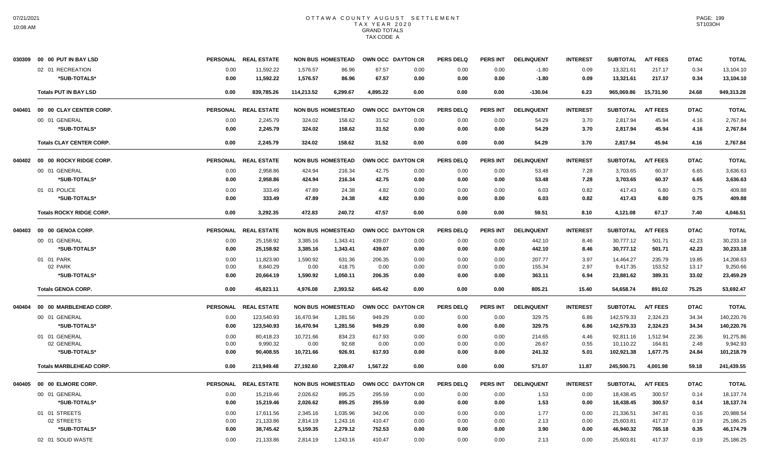|        |                                  |                 | PERSONAL REAL ESTATE |            | <b>NON BUS HOMESTEAD</b> |          | OWN OCC DAYTON CR | <b>PERS DELQ</b> | PERS INT        | <b>DELINQUENT</b> | <b>INTEREST</b> | <b>SUBTOTAL</b> | <b>A/T FEES</b> | <b>DTAC</b> | <b>TOTAL</b> |
|--------|----------------------------------|-----------------|----------------------|------------|--------------------------|----------|-------------------|------------------|-----------------|-------------------|-----------------|-----------------|-----------------|-------------|--------------|
|        | 02 01 RECREATION                 | 0.00            | 11,592.22            | 1.576.57   | 86.96                    | 67.57    | 0.00              | 0.00             | 0.00            | $-1.80$           | 0.09            | 13,321.61       | 217.17          | 0.34        | 13,104.10    |
|        | *SUB-TOTALS*                     | 0.00            | 11,592.22            | 1,576.57   | 86.96                    | 67.57    | 0.00              | 0.00             | 0.00            | $-1.80$           | 0.09            | 13,321.61       | 217.17          | 0.34        | 13,104.10    |
|        | <b>Totals PUT IN BAY LSD</b>     | 0.00            | 839,785.26           | 114,213.52 | 6,299.67                 | 4,895.22 | 0.00              | 0.00             | 0.00            | $-130.04$         | 6.23            | 965,069.86      | 15,731.90       | 24.68       | 949,313.28   |
| 040401 | 00 00 CLAY CENTER CORP.          | <b>PERSONAL</b> | <b>REAL ESTATE</b>   |            | <b>NON BUS HOMESTEAD</b> |          | OWN OCC DAYTON CR | <b>PERS DELQ</b> | <b>PERS INT</b> | <b>DELINQUENT</b> | <b>INTEREST</b> | <b>SUBTOTAL</b> | <b>A/T FEES</b> | <b>DTAC</b> | <b>TOTAL</b> |
|        | 00 01 GENERAL                    | 0.00            | 2,245.79             | 324.02     | 158.62                   | 31.52    | 0.00              | 0.00             | 0.00            | 54.29             | 3.70            | 2,817.94        | 45.94           | 4.16        | 2,767.84     |
|        | *SUB-TOTALS*                     | 0.00            | 2,245.79             | 324.02     | 158.62                   | 31.52    | 0.00              | 0.00             | 0.00            | 54.29             | 3.70            | 2.817.94        | 45.94           | 4.16        | 2,767.84     |
|        | <b>Totals CLAY CENTER CORP.</b>  | 0.00            | 2,245.79             | 324.02     | 158.62                   | 31.52    | 0.00              | 0.00             | 0.00            | 54.29             | 3.70            | 2,817.94        | 45.94           | 4.16        | 2,767.84     |
|        | 040402  00  00 ROCKY RIDGE CORP. |                 | PERSONAL REAL ESTATE |            | <b>NON BUS HOMESTEAD</b> |          | OWN OCC DAYTON CR | <b>PERS DELQ</b> | PERS INT        | <b>DELINQUENT</b> | <b>INTEREST</b> | <b>SUBTOTAL</b> | <b>A/T FEES</b> | <b>DTAC</b> | <b>TOTAL</b> |
|        | 00 01 GENERAL                    | 0.00            | 2,958.86             | 424.94     | 216.34                   | 42.75    | 0.00              | 0.00             | 0.00            | 53.48             | 7.28            | 3,703.65        | 60.37           | 6.65        | 3,636.63     |
|        | *SUB-TOTALS*                     | 0.00            | 2,958.86             | 424.94     | 216.34                   | 42.75    | 0.00              | 0.00             | 0.00            | 53.48             | 7.28            | 3,703.65        | 60.37           | 6.65        | 3,636.63     |
|        | 01 01 POLICE                     | 0.00            | 333.49               | 47.89      | 24.38                    | 4.82     | 0.00              | 0.00             | 0.00            | 6.03              | 0.82            | 417.43          | 6.80            | 0.75        | 409.88       |
|        | *SUB-TOTALS*                     | 0.00            | 333.49               | 47.89      | 24.38                    | 4.82     | 0.00              | 0.00             | 0.00            | 6.03              | 0.82            | 417.43          | 6.80            | 0.75        | 409.88       |
|        | <b>Totals ROCKY RIDGE CORP.</b>  | 0.00            | 3,292.35             | 472.83     | 240.72                   | 47.57    | 0.00              | 0.00             | 0.00            | 59.51             | 8.10            | 4,121.08        | 67.17           | 7.40        | 4,046.51     |
|        |                                  | <b>PERSONAL</b> | <b>REAL ESTATE</b>   |            | <b>NON BUS HOMESTEAD</b> |          | OWN OCC DAYTON CR | <b>PERS DELQ</b> | PERS INT        | <b>DELINQUENT</b> | <b>INTEREST</b> | <b>SUBTOTAL</b> | <b>A/T FEES</b> | <b>DTAC</b> | <b>TOTAL</b> |
|        | 00 01 GENERAL                    | 0.00            | 25,158.92            | 3,385.16   | 1,343.41                 | 439.07   | 0.00              | 0.00             | 0.00            | 442.10            | 8.46            | 30,777.12       | 501.71          | 42.23       | 30,233.18    |
|        | *SUB-TOTALS*                     | 0.00            | 25,158.92            | 3,385.16   | 1,343.41                 | 439.07   | 0.00              | 0.00             | 0.00            | 442.10            | 8.46            | 30,777.12       | 501.71          | 42.23       | 30,233.18    |
|        | 01 01 PARK                       | 0.00            | 11,823.90            | 1,590.92   | 631.36                   | 206.35   | 0.00              | 0.00             | 0.00            | 207.77            | 3.97            | 14,464.27       | 235.79          | 19.85       | 14,208.63    |
|        | 02 PARK                          | 0.00            | 8,840.29             | 0.00       | 418.75                   | 0.00     | 0.00              | 0.00             | 0.00            | 155.34            | 2.97            | 9,417.35        | 153.52          | 13.17       | 9,250.66     |
|        | *SUB-TOTALS*                     | 0.00            | 20,664.19            | 1,590.92   | 1,050.11                 | 206.35   | 0.00              | 0.00             | 0.00            | 363.11            | 6.94            | 23,881.62       | 389.31          | 33.02       | 23,459.29    |
|        | <b>Totals GENOA CORP.</b>        | 0.00            | 45,823.11            | 4,976.08   | 2,393.52                 | 645.42   | 0.00              | 0.00             | 0.00            | 805.21            | 15.40           | 54,658.74       | 891.02          | 75.25       | 53,692.47    |
| 040404 | 00 00 MARBLEHEAD CORP.           | <b>PERSONAL</b> | <b>REAL ESTATE</b>   |            | <b>NON BUS HOMESTEAD</b> |          | OWN OCC DAYTON CR | <b>PERS DELQ</b> | <b>PERS INT</b> | <b>DELINQUENT</b> | <b>INTEREST</b> | <b>SUBTOTAL</b> | <b>A/T FEES</b> | <b>DTAC</b> | <b>TOTAL</b> |
|        | 00 01 GENERAL                    | 0.00            | 123,540.93           | 16,470.94  | 1,281.56                 | 949.29   | 0.00              | 0.00             | 0.00            | 329.75            | 6.86            | 142,579.33      | 2,324.23        | 34.34       | 140,220.76   |
|        | *SUB-TOTALS*                     | 0.00            | 123,540.93           | 16,470.94  | 1,281.56                 | 949.29   | 0.00              | 0.00             | 0.00            | 329.75            | 6.86            | 142,579.33      | 2,324.23        | 34.34       | 140,220.76   |
|        | 01 01 GENERAL                    | 0.00            | 80,418.23            | 10,721.66  | 834.23                   | 617.93   | 0.00              | 0.00             | 0.00            | 214.65            | 4.46            | 92,811.16       | 1,512.94        | 22.36       | 91,275.86    |
|        | 02 GENERAL                       | 0.00            | 9,990.32             | 0.00       | 92.68                    | 0.00     | 0.00              | 0.00             | 0.00            | 26.67             | 0.55            | 10,110.22       | 164.81          | 2.48        | 9,942.93     |
|        | *SUB-TOTALS*                     | 0.00            | 90,408.55            | 10,721.66  | 926.91                   | 617.93   | 0.00              | 0.00             | 0.00            | 241.32            | 5.01            | 102,921.38      | 1,677.75        | 24.84       | 101,218.79   |
|        | <b>Totals MARBLEHEAD CORP.</b>   | 0.00            | 213,949.48           | 27,192.60  | 2,208.47                 | 1,567.22 | 0.00              | 0.00             | 0.00            | 571.07            | 11.87           | 245,500.71      | 4,001.98        | 59.18       | 241,439.55   |
|        |                                  | <b>PERSONAL</b> | <b>REAL ESTATE</b>   |            | <b>NON BUS HOMESTEAD</b> |          | OWN OCC DAYTON CR | <b>PERS DELQ</b> | PERS INT        | <b>DELINQUENT</b> | <b>INTEREST</b> | <b>SUBTOTAL</b> | <b>A/T FEES</b> | <b>DTAC</b> | <b>TOTAL</b> |
|        | 00 01 GENERAL                    | 0.00            | 15,219.46            | 2,026.62   | 895.25                   | 295.59   | 0.00              | 0.00             | 0.00            | 1.53              | 0.00            | 18,438.45       | 300.57          | 0.14        | 18,137.74    |
|        | *SUB-TOTALS*                     | 0.00            | 15,219.46            | 2,026.62   | 895.25                   | 295.59   | 0.00              | 0.00             | 0.00            | 1.53              | 0.00            | 18,438.45       | 300.57          | 0.14        | 18,137.74    |
|        | 01 01 STREETS                    | 0.00            | 17,611.56            | 2,345.16   | 1,035.96                 | 342.06   | 0.00              | 0.00             | 0.00            | 1.77              | 0.00            | 21,336.51       | 347.81          | 0.16        | 20,988.54    |
|        | 02 STREETS                       | 0.00            | 21,133.86            | 2,814.19   | 1,243.16                 | 410.47   | 0.00              | 0.00             | 0.00            | 2.13              | 0.00            | 25,603.81       | 417.37          | 0.19        | 25,186.25    |
|        | *SUB-TOTALS*                     | 0.00            | 38,745.42            | 5,159.35   | 2,279.12                 | 752.53   | 0.00              | 0.00             | 0.00            | 3.90              | 0.00            | 46,940.32       | 765.18          | 0.35        | 46,174.79    |
|        | 02 01 SOLID WASTE                | 0.00            | 21,133.86            | 2.814.19   | 1,243.16                 | 410.47   | 0.00              | 0.00             | 0.00            | 2.13              | 0.00            | 25,603.81       | 417.37          | 0.19        | 25,186.25    |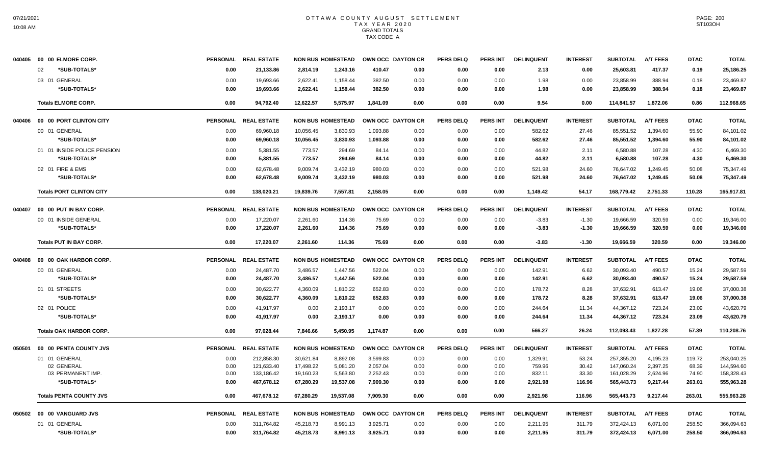|        |                                        |                 | PERSONAL REAL ESTATE |           | <b>NON BUS HOMESTEAD</b> | OWN OCC DAYTON CR |      | <b>PERS DELQ</b> | PERS INT        | <b>DELINQUENT</b> | <b>INTEREST</b> | <b>SUBTOTAL</b> | <b>A/T FEES</b> | <b>DTAC</b> | <b>TOTAL</b> |
|--------|----------------------------------------|-----------------|----------------------|-----------|--------------------------|-------------------|------|------------------|-----------------|-------------------|-----------------|-----------------|-----------------|-------------|--------------|
|        | *SUB-TOTALS*<br>02                     | 0.00            | 21,133.86            | 2.814.19  | 1.243.16                 | 410.47            | 0.00 | 0.00             | 0.00            | 2.13              | 0.00            | 25.603.81       | 417.37          | 0.19        | 25,186.25    |
|        | 03 01 GENERAL                          | 0.00            | 19,693.66            | 2,622.41  | 1,158.44                 | 382.50            | 0.00 | 0.00             | 0.00            | 1.98              | 0.00            | 23,858.99       | 388.94          | 0.18        | 23,469.87    |
|        | *SUB-TOTALS*                           | 0.00            | 19,693.66            | 2,622.41  | 1,158.44                 | 382.50            | 0.00 | 0.00             | 0.00            | 1.98              | 0.00            | 23,858.99       | 388.94          | 0.18        | 23,469.87    |
|        | <b>Totals ELMORE CORP.</b>             | 0.00            | 94,792.40            | 12,622.57 | 5,575.97                 | 1,841.09          | 0.00 | 0.00             | 0.00            | 9.54              | 0.00            | 114,841.57      | 1,872.06        | 0.86        | 112,968.65   |
|        |                                        | <b>PERSONAL</b> | <b>REAL ESTATE</b>   |           | <b>NON BUS HOMESTEAD</b> | OWN OCC DAYTON CR |      | <b>PERS DELQ</b> | <b>PERS INT</b> | <b>DELINQUENT</b> | <b>INTEREST</b> | <b>SUBTOTAL</b> | <b>A/T FEES</b> | <b>DTAC</b> | <b>TOTAL</b> |
|        | 00 01 GENERAL                          | 0.00            | 69,960.18            | 10,056.45 | 3,830.93                 | 1,093.88          | 0.00 | 0.00             | 0.00            | 582.62            | 27.46           | 85,551.52       | 1,394.60        | 55.90       | 84,101.02    |
|        | *SUB-TOTALS*                           | 0.00            | 69,960.18            | 10,056.45 | 3,830.93                 | 1,093.88          | 0.00 | 0.00             | 0.00            | 582.62            | 27.46           | 85,551.52       | 1,394.60        | 55.90       | 84,101.02    |
|        | 01 01 INSIDE POLICE PENSION            | 0.00            | 5,381.55             | 773.57    | 294.69                   | 84.14             | 0.00 | 0.00             | 0.00            | 44.82             | 2.11            | 6,580.88        | 107.28          | 4.30        | 6,469.30     |
|        | *SUB-TOTALS*                           | 0.00            | 5,381.55             | 773.57    | 294.69                   | 84.14             | 0.00 | 0.00             | 0.00            | 44.82             | 2.11            | 6,580.88        | 107.28          | 4.30        | 6,469.30     |
|        | 02 01 FIRE & EMS                       | 0.00            | 62.678.48            | 9.009.74  | 3.432.19                 | 980.03            | 0.00 | 0.00             | 0.00            | 521.98            | 24.60           | 76.647.02       | 1.249.45        | 50.08       | 75,347.49    |
|        | *SUB-TOTALS*                           | 0.00            | 62,678.48            | 9,009.74  | 3,432.19                 | 980.03            | 0.00 | 0.00             | 0.00            | 521.98            | 24.60           | 76,647.02       | 1,249.45        | 50.08       | 75,347.49    |
|        | <b>Totals PORT CLINTON CITY</b>        | 0.00            | 138,020.21           | 19,839.76 | 7,557.81                 | 2,158.05          | 0.00 | 0.00             | 0.00            | 1,149.42          | 54.17           | 168,779.42      | 2,751.33        | 110.28      | 165,917.81   |
|        | 040407    00    00    PUT IN BAY CORP. | <b>PERSONAL</b> | <b>REAL ESTATE</b>   |           | <b>NON BUS HOMESTEAD</b> | OWN OCC DAYTON CR |      | <b>PERS DELQ</b> | <b>PERS INT</b> | <b>DELINQUENT</b> | <b>INTEREST</b> | <b>SUBTOTAL</b> | <b>A/T FEES</b> | <b>DTAC</b> | <b>TOTAL</b> |
|        | 00 01 INSIDE GENERAL                   | 0.00            | 17,220.07            | 2,261.60  | 114.36                   | 75.69             | 0.00 | 0.00             | 0.00            | $-3.83$           | $-1.30$         | 19,666.59       | 320.59          | 0.00        | 19,346.00    |
|        | *SUB-TOTALS*                           | 0.00            | 17,220.07            | 2,261.60  | 114.36                   | 75.69             | 0.00 | 0.00             | 0.00            | $-3.83$           | $-1.30$         | 19,666.59       | 320.59          | 0.00        | 19,346.00    |
|        | <b>Totals PUT IN BAY CORP.</b>         | 0.00            | 17,220.07            | 2,261.60  | 114.36                   | 75.69             | 0.00 | 0.00             | 0.00            | $-3.83$           | $-1.30$         | 19,666.59       | 320.59          | 0.00        | 19,346.00    |
|        | 040408 00 00 OAK HARBOR CORP.          |                 | PERSONAL REAL ESTATE |           | <b>NON BUS HOMESTEAD</b> | OWN OCC DAYTON CR |      | <b>PERS DELQ</b> | <b>PERS INT</b> | <b>DELINQUENT</b> | <b>INTEREST</b> | <b>SUBTOTAL</b> | <b>A/T FEES</b> | <b>DTAC</b> | <b>TOTAL</b> |
|        | 00 01 GENERAL                          | 0.00            | 24,487.70            | 3,486.57  | 1,447.56                 | 522.04            | 0.00 | 0.00             | 0.00            | 142.91            | 6.62            | 30,093.40       | 490.57          | 15.24       | 29,587.59    |
|        | *SUB-TOTALS*                           | 0.00            | 24,487.70            | 3,486.57  | 1,447.56                 | 522.04            | 0.00 | 0.00             | 0.00            | 142.91            | 6.62            | 30,093.40       | 490.57          | 15.24       | 29,587.59    |
|        | 01 01 STREETS                          | 0.00            | 30,622.77            | 4,360.09  | 1,810.22                 | 652.83            | 0.00 | 0.00             | 0.00            | 178.72            | 8.28            | 37,632.91       | 613.47          | 19.06       | 37,000.38    |
|        | *SUB-TOTALS*                           | 0.00            | 30,622.77            | 4,360.09  | 1,810.22                 | 652.83            | 0.00 | 0.00             | 0.00            | 178.72            | 8.28            | 37,632.91       | 613.47          | 19.06       | 37,000.38    |
|        | 02 01 POLICE                           | 0.00            | 41.917.97            | 0.00      | 2,193.17                 | 0.00              | 0.00 | 0.00             | 0.00            | 244.64            | 11.34           | 44,367.12       | 723.24          | 23.09       | 43.620.79    |
|        | *SUB-TOTALS*                           | 0.00            | 41,917.97            | 0.00      | 2,193.17                 | 0.00              | 0.00 | 0.00             | 0.00            | 244.64            | 11.34           | 44,367.12       | 723.24          | 23.09       | 43,620.79    |
|        | <b>Totals OAK HARBOR CORP.</b>         | 0.00            | 97.028.44            | 7,846.66  | 5,450.95                 | 1,174.87          | 0.00 | 0.00             | 0.00            | 566.27            | 26.24           | 112,093.43      | 1,827.28        | 57.39       | 110,208.76   |
| 050501 | 00 00 PENTA COUNTY JVS                 | <b>PERSONAL</b> | <b>REAL ESTATE</b>   |           | <b>NON BUS HOMESTEAD</b> | OWN OCC DAYTON CR |      | <b>PERS DELQ</b> | <b>PERS INT</b> | <b>DELINQUENT</b> | <b>INTEREST</b> | <b>SUBTOTAL</b> | <b>A/T FEES</b> | <b>DTAC</b> | <b>TOTAL</b> |
|        | 01 01 GENERAL                          | 0.00            | 212,858.30           | 30,621.84 | 8,892.08                 | 3,599.83          | 0.00 | 0.00             | 0.00            | 1,329.91          | 53.24           | 257,355.20      | 4.195.23        | 119.72      | 253,040.25   |
|        | 02 GENERAL                             | 0.00            | 121,633.40           | 17,498.22 | 5,081.20                 | 2,057.04          | 0.00 | 0.00             | 0.00            | 759.96            | 30.42           | 147,060.24      | 2,397.25        | 68.39       | 144,594.60   |
|        | 03 PERMANENT IMP.                      | 0.00            | 133,186.42           | 19,160.23 | 5,563.80                 | 2,252.43          | 0.00 | 0.00             | 0.00            | 832.11            | 33.30           | 161,028.29      | 2,624.96        | 74.90       | 158,328.43   |
|        | *SUB-TOTALS*                           | 0.00            | 467,678.12           | 67,280.29 | 19,537.08                | 7,909.30          | 0.00 | 0.00             | 0.00            | 2,921.98          | 116.96          | 565,443.73      | 9,217.44        | 263.01      | 555,963.28   |
|        | <b>Totals PENTA COUNTY JVS</b>         | 0.00            | 467.678.12           | 67.280.29 | 19.537.08                | 7.909.30          | 0.00 | 0.00             | 0.00            | 2,921.98          | 116.96          | 565.443.73      | 9.217.44        | 263.01      | 555,963.28   |
|        | 050502 00 00 VANGUARD JVS              | <b>PERSONAL</b> | <b>REAL ESTATE</b>   |           | <b>NON BUS HOMESTEAD</b> | OWN OCC DAYTON CR |      | <b>PERS DELQ</b> | PERS INT        | <b>DELINQUENT</b> | <b>INTEREST</b> | <b>SUBTOTAL</b> | <b>A/T FEES</b> | <b>DTAC</b> | <b>TOTAL</b> |
|        | 01 01 GENERAL                          | 0.00            | 311,764.82           | 45,218.73 | 8,991.13                 | 3,925.71          | 0.00 | 0.00             | 0.00            | 2,211.95          | 311.79          | 372,424.13      | 6,071.00        | 258.50      | 366,094.63   |
|        | *SUB-TOTALS*                           | 0.00            | 311,764.82           | 45,218.73 | 8,991.13                 | 3,925.71          | 0.00 | 0.00             | 0.00            | 2,211.95          | 311.79          | 372,424.13      | 6,071.00        | 258.50      | 366,094.63   |
|        |                                        |                 |                      |           |                          |                   |      |                  |                 |                   |                 |                 |                 |             |              |

PAGE: 200 ST103OH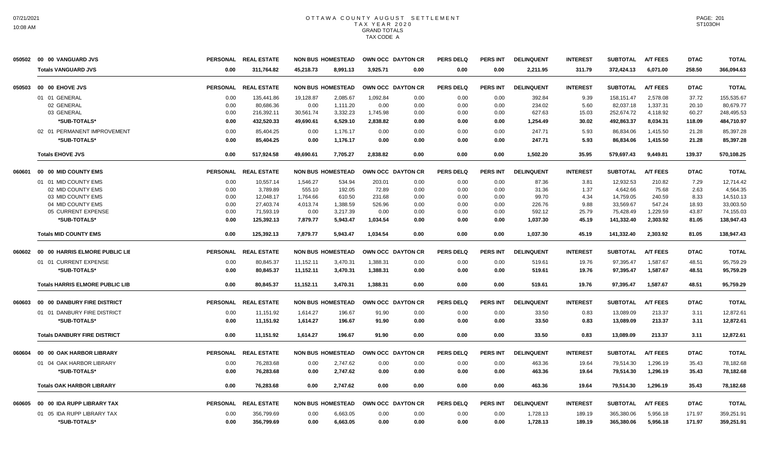| 6,071.00<br>258.50<br><b>Totals VANGUARD JVS</b><br>311,764.82<br>45,218.73<br>8,991.13<br>3,925.71<br>0.00<br>0.00<br>0.00<br>2,211.95<br>311.79<br>372,424.13<br>366,094.63<br>0.00<br>PERSONAL REAL ESTATE<br><b>NON BUS HOMESTEAD</b><br>OWN OCC DAYTON CR<br><b>PERS DELQ</b><br>PERS INT<br><b>INTEREST</b><br><b>SUBTOTAL</b><br><b>A/T FEES</b><br><b>TOTAL</b><br>00 00 EHOVE JVS<br><b>DELINQUENT</b><br><b>DTAC</b><br>01 01 GENERAL<br>1,092.84<br>2,578.08<br>37.72<br>155,535.67<br>0.00<br>135,441.86<br>19,128.87<br>2,085.67<br>0.00<br>0.00<br>0.00<br>392.84<br>9.39<br>158,151.47<br>82,037.18<br>1,337.31<br>80.679.77<br>02 GENERAL<br>80,686.36<br>0.00<br>1,111.20<br>0.00<br>0.00<br>234.02<br>5.60<br>20.10<br>0.00<br>0.00<br>0.00<br>03 GENERAL<br>3,332.23<br>252,674.72<br>216,392.11<br>30,561.74<br>1,745.98<br>0.00<br>627.63<br>4,118.92<br>60.27<br>248,495.53<br>0.00<br>0.00<br>0.00<br>15.03<br>*SUB-TOTALS*<br>432,520.33<br>2,838.82<br>492,863.37<br>8,034.31<br>484,710.97<br>0.00<br>49,690.61<br>6,529.10<br>1,254.49<br>30.02<br>118.09<br>0.00<br>0.00<br>0.00<br>247.71<br>86,834.06<br>85,397.28<br>02 01 PERMANENT IMPROVEMENT<br>0.00<br>85,404.25<br>0.00<br>1,176.17<br>0.00<br>0.00<br>0.00<br>0.00<br>5.93<br>1,415.50<br>21.28<br>*SUB-TOTALS*<br>0.00<br>85,404.25<br>1,176.17<br>247.71<br>5.93<br>86,834.06<br>1,415.50<br>21.28<br>85,397.28<br>0.00<br>0.00<br>0.00<br>0.00<br>0.00<br><b>Totals EHOVE JVS</b><br>0.00<br>517,924.58<br>49,690.61<br>7,705.27<br>2,838.82<br>0.00<br>0.00<br>0.00<br>1,502.20<br>35.95<br>579,697.43<br>9,449.81<br>139.37<br>570,108.25<br>00 00 MID COUNTY EMS<br>PERSONAL REAL ESTATE<br><b>NON BUS HOMESTEAD</b><br>OWN OCC DAYTON CR<br><b>PERS DELQ</b><br><b>PERS INT</b><br><b>DELINQUENT</b><br><b>INTEREST</b><br><b>SUBTOTAL</b><br><b>A/T FEES</b><br><b>DTAC</b><br><b>TOTAL</b><br>01 01 MID COUNTY EMS<br>10,557.14<br>1,546.27<br>534.94<br>203.01<br>87.36<br>12,932.53<br>210.82<br>7.29<br>12,714.42<br>0.00<br>0.00<br>0.00<br>0.00<br>3.81<br>02 MID COUNTY EMS<br>3.789.89<br>555.10<br>192.05<br>1.37<br>4.642.66<br>75.68<br>4,564.35<br>0.00<br>72.89<br>0.00<br>0.00<br>0.00<br>31.36<br>2.63<br>03 MID COUNTY EMS<br>0.00<br>12,048.17<br>1,764.66<br>610.50<br>231.68<br>0.00<br>0.00<br>0.00<br>99.70<br>4.34<br>14,759.05<br>240.59<br>8.33<br>14,510.13<br>04 MID COUNTY EMS<br>33,569.67<br>0.00<br>27,403.74<br>4,013.74<br>1,388.59<br>526.96<br>0.00<br>0.00<br>0.00<br>226.76<br>9.88<br>547.24<br>18.93<br>33,003.50<br>05 CURRENT EXPENSE<br>1,229.59<br>0.00<br>71,593.19<br>0.00<br>3,217.39<br>0.00<br>0.00<br>0.00<br>0.00<br>592.12<br>25.79<br>75,428.49<br>43.87<br>74,155.03<br>*SUB-TOTALS*<br>125,392.13<br>7,879.77<br>5,943.47<br>1.034.54<br>1.037.30<br>45.19<br>141,332.40<br>2.303.92<br>81.05<br>138,947.43<br>0.00<br>0.00<br>0.00<br>0.00<br>141,332.40<br>138,947.43<br><b>Totals MID COUNTY EMS</b><br>0.00<br>125,392.13<br>7,879.77<br>5,943.47<br>1,034.54<br>0.00<br>0.00<br>0.00<br>1,037.30<br>45.19<br>2,303.92<br>81.05<br>00 00 HARRIS ELMORE PUBLIC LIE<br>PERSONAL REAL ESTATE<br><b>NON BUS HOMESTEAD</b><br>OWN OCC DAYTON CR<br><b>PERS DELQ</b><br><b>PERS INT</b><br><b>DELINQUENT</b><br><b>INTEREST</b><br><b>SUBTOTAL</b><br><b>A/T FEES</b><br><b>DTAC</b><br><b>TOTAL</b><br>01 01 CURRENT EXPENSE<br>80,845.37<br>11,152.11<br>3,470.31<br>1,388.31<br>19.76<br>97,395.47<br>1,587.67<br>48.51<br>95,759.29<br>0.00<br>0.00<br>0.00<br>0.00<br>519.61<br>*SUB-TOTALS*<br>1,388.31<br>97,395.47<br>1,587.67<br>48.51<br>0.00<br>80,845.37<br>11,152.11<br>3,470.31<br>0.00<br>0.00<br>0.00<br>519.61<br>19.76<br>95,759.29<br>1.587.67<br>48.51<br>95,759.29<br><b>Totals HARRIS ELMORE PUBLIC LIB</b><br>0.00<br>80,845.37<br>11,152.11<br>3,470.31<br>1,388.31<br>0.00<br>0.00<br>0.00<br>519.61<br>19.76<br>97,395.47<br>00 00 DANBURY FIRE DISTRICT<br>PERSONAL REAL ESTATE<br><b>NON BUS HOMESTEAD</b><br>OWN OCC DAYTON CR<br><b>PERS DELQ</b><br><b>PERS INT</b><br><b>DELINQUENT</b><br><b>INTEREST</b><br><b>SUBTOTAL</b><br><b>A/T FEES</b><br><b>DTAC</b><br><b>TOTAL</b><br>01 01 DANBURY FIRE DISTRICT<br>11,151.92<br>1,614.27<br>0.83<br>13,089.09<br>213.37<br>12,872.61<br>0.00<br>196.67<br>91.90<br>0.00<br>0.00<br>0.00<br>33.50<br>3.11<br>*SUB-TOTALS*<br>0.00<br>11,151.92<br>1,614.27<br>196.67<br>91.90<br>0.00<br>0.00<br>0.00<br>33.50<br>0.83<br>13,089.09<br>213.37<br>3.11<br>12,872.61<br><b>Totals DANBURY FIRE DISTRICT</b><br>1,614.27<br>91.90<br>0.00<br>33.50<br>0.83<br>13,089.09<br>213.37<br>12,872.61<br>0.00<br>11,151.92<br>196.67<br>0.00<br>0.00<br>3.11<br>PERSONAL REAL ESTATE<br><b>NON BUS HOMESTEAD</b><br>OWN OCC DAYTON CR<br><b>PERS DELQ</b><br><b>PERS INT</b><br><b>DELINQUENT</b><br><b>INTEREST</b><br><b>SUBTOTAL</b><br><b>A/T FEES</b><br><b>DTAC</b><br><b>TOTAL</b><br>00 00 OAK HARBOR LIBRARY<br>01 04 OAK HARBOR LIBRARY<br>76.283.68<br>2,747.62<br>79.514.30<br>1,296.19<br>0.00<br>0.00<br>0.00<br>0.00<br>0.00<br>0.00<br>463.36<br>19.64<br>35.43<br>78,182.68<br>*SUB-TOTALS*<br>76,283.68<br>2,747.62<br>463.36<br>19.64<br>79,514.30<br>78,182.68<br>0.00<br>0.00<br>0.00<br>0.00<br>0.00<br>0.00<br>1,296.19<br>35.43<br>78,182.68<br><b>Totals OAK HARBOR LIBRARY</b><br>0.00<br>76.283.68<br>0.00<br>2,747.62<br>0.00<br>0.00<br>0.00<br>0.00<br>463.36<br>19.64<br>79.514.30<br>1.296.19<br>35.43<br>00 00 IDA RUPP LIBRARY TAX<br><b>PERSONAL</b><br><b>REAL ESTATE</b><br><b>NON BUS HOMESTEAD</b><br>OWN OCC DAYTON CR<br><b>PERS DELQ</b><br><b>PERS INT</b><br><b>DELINQUENT</b><br><b>INTEREST</b><br><b>SUBTOTAL</b><br><b>A/T FEES</b><br><b>DTAC</b><br><b>TOTAL</b><br>01 05 IDA RUPP LIBRARY TAX<br>0.00<br>356.799.69<br>6.663.05<br>0.00<br>0.00<br>1,728.13<br>189.19<br>365.380.06<br>5.956.18<br>171.97<br>359,251.91<br>0.00<br>0.00<br>0.00<br>*SUB-TOTALS*<br>0.00<br>356,799.69<br>0.00<br>6,663.05<br>0.00<br>1,728.13<br>189.19<br>365,380.06<br>5,956.18<br>171.97<br>359,251.91<br>0.00<br>0.00<br>0.00 | 050502 | 00 00 VANGUARD JVS | PERSONAL REAL ESTATE | <b>NON BUS HOMESTEAD</b> | OWN OCC DAYTON CR | <b>PERS DELQ</b> | <b>PERS INT</b> | <b>DELINQUENT</b> | <b>INTEREST</b> | <b>SUBTOTAL</b> | <b>A/T FEES</b> | <b>DTAC</b> | <b>TOTAL</b> |
|-------------------------------------------------------------------------------------------------------------------------------------------------------------------------------------------------------------------------------------------------------------------------------------------------------------------------------------------------------------------------------------------------------------------------------------------------------------------------------------------------------------------------------------------------------------------------------------------------------------------------------------------------------------------------------------------------------------------------------------------------------------------------------------------------------------------------------------------------------------------------------------------------------------------------------------------------------------------------------------------------------------------------------------------------------------------------------------------------------------------------------------------------------------------------------------------------------------------------------------------------------------------------------------------------------------------------------------------------------------------------------------------------------------------------------------------------------------------------------------------------------------------------------------------------------------------------------------------------------------------------------------------------------------------------------------------------------------------------------------------------------------------------------------------------------------------------------------------------------------------------------------------------------------------------------------------------------------------------------------------------------------------------------------------------------------------------------------------------------------------------------------------------------------------------------------------------------------------------------------------------------------------------------------------------------------------------------------------------------------------------------------------------------------------------------------------------------------------------------------------------------------------------------------------------------------------------------------------------------------------------------------------------------------------------------------------------------------------------------------------------------------------------------------------------------------------------------------------------------------------------------------------------------------------------------------------------------------------------------------------------------------------------------------------------------------------------------------------------------------------------------------------------------------------------------------------------------------------------------------------------------------------------------------------------------------------------------------------------------------------------------------------------------------------------------------------------------------------------------------------------------------------------------------------------------------------------------------------------------------------------------------------------------------------------------------------------------------------------------------------------------------------------------------------------------------------------------------------------------------------------------------------------------------------------------------------------------------------------------------------------------------------------------------------------------------------------------------------------------------------------------------------------------------------------------------------------------------------------------------------------------------------------------------------------------------------------------------------------------------------------------------------------------------------------------------------------------------------------------------------------------------------------------------------------------------------------------------------------------------------------------------------------------------------------------------------------------------------------------------------------------------------------------------------------------------------------------------------------------------------------------------------------------------------------------------------------------------------------------------------------------------------------------------------------------------------------------------------------------------------------------------------------------------------------------------------------------------------------------------------------------------------------------------------------------------------------------------------------------------------------------------------------------------------------------------------------------------------------------------------------------------------------------------------------------------------------------------------------------------------------------------------------------------------------------------------------------------------------------------------------------------------------------------------------------------------------------------------------------------------------------------------------------------------------------------------------------------------------------------------------------------------------------------------------------------------------------------------|--------|--------------------|----------------------|--------------------------|-------------------|------------------|-----------------|-------------------|-----------------|-----------------|-----------------|-------------|--------------|
|                                                                                                                                                                                                                                                                                                                                                                                                                                                                                                                                                                                                                                                                                                                                                                                                                                                                                                                                                                                                                                                                                                                                                                                                                                                                                                                                                                                                                                                                                                                                                                                                                                                                                                                                                                                                                                                                                                                                                                                                                                                                                                                                                                                                                                                                                                                                                                                                                                                                                                                                                                                                                                                                                                                                                                                                                                                                                                                                                                                                                                                                                                                                                                                                                                                                                                                                                                                                                                                                                                                                                                                                                                                                                                                                                                                                                                                                                                                                                                                                                                                                                                                                                                                                                                                                                                                                                                                                                                                                                                                                                                                                                                                                                                                                                                                                                                                                                                                                                                                                                                                                                                                                                                                                                                                                                                                                                                                                                                                                                                                                                                                                                                                                                                                                                                                                                                                                                                                                                                                                                                                                                           |        |                    |                      |                          |                   |                  |                 |                   |                 |                 |                 |             |              |
|                                                                                                                                                                                                                                                                                                                                                                                                                                                                                                                                                                                                                                                                                                                                                                                                                                                                                                                                                                                                                                                                                                                                                                                                                                                                                                                                                                                                                                                                                                                                                                                                                                                                                                                                                                                                                                                                                                                                                                                                                                                                                                                                                                                                                                                                                                                                                                                                                                                                                                                                                                                                                                                                                                                                                                                                                                                                                                                                                                                                                                                                                                                                                                                                                                                                                                                                                                                                                                                                                                                                                                                                                                                                                                                                                                                                                                                                                                                                                                                                                                                                                                                                                                                                                                                                                                                                                                                                                                                                                                                                                                                                                                                                                                                                                                                                                                                                                                                                                                                                                                                                                                                                                                                                                                                                                                                                                                                                                                                                                                                                                                                                                                                                                                                                                                                                                                                                                                                                                                                                                                                                                           | 050503 |                    |                      |                          |                   |                  |                 |                   |                 |                 |                 |             |              |
|                                                                                                                                                                                                                                                                                                                                                                                                                                                                                                                                                                                                                                                                                                                                                                                                                                                                                                                                                                                                                                                                                                                                                                                                                                                                                                                                                                                                                                                                                                                                                                                                                                                                                                                                                                                                                                                                                                                                                                                                                                                                                                                                                                                                                                                                                                                                                                                                                                                                                                                                                                                                                                                                                                                                                                                                                                                                                                                                                                                                                                                                                                                                                                                                                                                                                                                                                                                                                                                                                                                                                                                                                                                                                                                                                                                                                                                                                                                                                                                                                                                                                                                                                                                                                                                                                                                                                                                                                                                                                                                                                                                                                                                                                                                                                                                                                                                                                                                                                                                                                                                                                                                                                                                                                                                                                                                                                                                                                                                                                                                                                                                                                                                                                                                                                                                                                                                                                                                                                                                                                                                                                           |        |                    |                      |                          |                   |                  |                 |                   |                 |                 |                 |             |              |
|                                                                                                                                                                                                                                                                                                                                                                                                                                                                                                                                                                                                                                                                                                                                                                                                                                                                                                                                                                                                                                                                                                                                                                                                                                                                                                                                                                                                                                                                                                                                                                                                                                                                                                                                                                                                                                                                                                                                                                                                                                                                                                                                                                                                                                                                                                                                                                                                                                                                                                                                                                                                                                                                                                                                                                                                                                                                                                                                                                                                                                                                                                                                                                                                                                                                                                                                                                                                                                                                                                                                                                                                                                                                                                                                                                                                                                                                                                                                                                                                                                                                                                                                                                                                                                                                                                                                                                                                                                                                                                                                                                                                                                                                                                                                                                                                                                                                                                                                                                                                                                                                                                                                                                                                                                                                                                                                                                                                                                                                                                                                                                                                                                                                                                                                                                                                                                                                                                                                                                                                                                                                                           |        |                    |                      |                          |                   |                  |                 |                   |                 |                 |                 |             |              |
|                                                                                                                                                                                                                                                                                                                                                                                                                                                                                                                                                                                                                                                                                                                                                                                                                                                                                                                                                                                                                                                                                                                                                                                                                                                                                                                                                                                                                                                                                                                                                                                                                                                                                                                                                                                                                                                                                                                                                                                                                                                                                                                                                                                                                                                                                                                                                                                                                                                                                                                                                                                                                                                                                                                                                                                                                                                                                                                                                                                                                                                                                                                                                                                                                                                                                                                                                                                                                                                                                                                                                                                                                                                                                                                                                                                                                                                                                                                                                                                                                                                                                                                                                                                                                                                                                                                                                                                                                                                                                                                                                                                                                                                                                                                                                                                                                                                                                                                                                                                                                                                                                                                                                                                                                                                                                                                                                                                                                                                                                                                                                                                                                                                                                                                                                                                                                                                                                                                                                                                                                                                                                           |        |                    |                      |                          |                   |                  |                 |                   |                 |                 |                 |             |              |
|                                                                                                                                                                                                                                                                                                                                                                                                                                                                                                                                                                                                                                                                                                                                                                                                                                                                                                                                                                                                                                                                                                                                                                                                                                                                                                                                                                                                                                                                                                                                                                                                                                                                                                                                                                                                                                                                                                                                                                                                                                                                                                                                                                                                                                                                                                                                                                                                                                                                                                                                                                                                                                                                                                                                                                                                                                                                                                                                                                                                                                                                                                                                                                                                                                                                                                                                                                                                                                                                                                                                                                                                                                                                                                                                                                                                                                                                                                                                                                                                                                                                                                                                                                                                                                                                                                                                                                                                                                                                                                                                                                                                                                                                                                                                                                                                                                                                                                                                                                                                                                                                                                                                                                                                                                                                                                                                                                                                                                                                                                                                                                                                                                                                                                                                                                                                                                                                                                                                                                                                                                                                                           |        |                    |                      |                          |                   |                  |                 |                   |                 |                 |                 |             |              |
|                                                                                                                                                                                                                                                                                                                                                                                                                                                                                                                                                                                                                                                                                                                                                                                                                                                                                                                                                                                                                                                                                                                                                                                                                                                                                                                                                                                                                                                                                                                                                                                                                                                                                                                                                                                                                                                                                                                                                                                                                                                                                                                                                                                                                                                                                                                                                                                                                                                                                                                                                                                                                                                                                                                                                                                                                                                                                                                                                                                                                                                                                                                                                                                                                                                                                                                                                                                                                                                                                                                                                                                                                                                                                                                                                                                                                                                                                                                                                                                                                                                                                                                                                                                                                                                                                                                                                                                                                                                                                                                                                                                                                                                                                                                                                                                                                                                                                                                                                                                                                                                                                                                                                                                                                                                                                                                                                                                                                                                                                                                                                                                                                                                                                                                                                                                                                                                                                                                                                                                                                                                                                           |        |                    |                      |                          |                   |                  |                 |                   |                 |                 |                 |             |              |
|                                                                                                                                                                                                                                                                                                                                                                                                                                                                                                                                                                                                                                                                                                                                                                                                                                                                                                                                                                                                                                                                                                                                                                                                                                                                                                                                                                                                                                                                                                                                                                                                                                                                                                                                                                                                                                                                                                                                                                                                                                                                                                                                                                                                                                                                                                                                                                                                                                                                                                                                                                                                                                                                                                                                                                                                                                                                                                                                                                                                                                                                                                                                                                                                                                                                                                                                                                                                                                                                                                                                                                                                                                                                                                                                                                                                                                                                                                                                                                                                                                                                                                                                                                                                                                                                                                                                                                                                                                                                                                                                                                                                                                                                                                                                                                                                                                                                                                                                                                                                                                                                                                                                                                                                                                                                                                                                                                                                                                                                                                                                                                                                                                                                                                                                                                                                                                                                                                                                                                                                                                                                                           |        |                    |                      |                          |                   |                  |                 |                   |                 |                 |                 |             |              |
|                                                                                                                                                                                                                                                                                                                                                                                                                                                                                                                                                                                                                                                                                                                                                                                                                                                                                                                                                                                                                                                                                                                                                                                                                                                                                                                                                                                                                                                                                                                                                                                                                                                                                                                                                                                                                                                                                                                                                                                                                                                                                                                                                                                                                                                                                                                                                                                                                                                                                                                                                                                                                                                                                                                                                                                                                                                                                                                                                                                                                                                                                                                                                                                                                                                                                                                                                                                                                                                                                                                                                                                                                                                                                                                                                                                                                                                                                                                                                                                                                                                                                                                                                                                                                                                                                                                                                                                                                                                                                                                                                                                                                                                                                                                                                                                                                                                                                                                                                                                                                                                                                                                                                                                                                                                                                                                                                                                                                                                                                                                                                                                                                                                                                                                                                                                                                                                                                                                                                                                                                                                                                           |        |                    |                      |                          |                   |                  |                 |                   |                 |                 |                 |             |              |
|                                                                                                                                                                                                                                                                                                                                                                                                                                                                                                                                                                                                                                                                                                                                                                                                                                                                                                                                                                                                                                                                                                                                                                                                                                                                                                                                                                                                                                                                                                                                                                                                                                                                                                                                                                                                                                                                                                                                                                                                                                                                                                                                                                                                                                                                                                                                                                                                                                                                                                                                                                                                                                                                                                                                                                                                                                                                                                                                                                                                                                                                                                                                                                                                                                                                                                                                                                                                                                                                                                                                                                                                                                                                                                                                                                                                                                                                                                                                                                                                                                                                                                                                                                                                                                                                                                                                                                                                                                                                                                                                                                                                                                                                                                                                                                                                                                                                                                                                                                                                                                                                                                                                                                                                                                                                                                                                                                                                                                                                                                                                                                                                                                                                                                                                                                                                                                                                                                                                                                                                                                                                                           | 060601 |                    |                      |                          |                   |                  |                 |                   |                 |                 |                 |             |              |
|                                                                                                                                                                                                                                                                                                                                                                                                                                                                                                                                                                                                                                                                                                                                                                                                                                                                                                                                                                                                                                                                                                                                                                                                                                                                                                                                                                                                                                                                                                                                                                                                                                                                                                                                                                                                                                                                                                                                                                                                                                                                                                                                                                                                                                                                                                                                                                                                                                                                                                                                                                                                                                                                                                                                                                                                                                                                                                                                                                                                                                                                                                                                                                                                                                                                                                                                                                                                                                                                                                                                                                                                                                                                                                                                                                                                                                                                                                                                                                                                                                                                                                                                                                                                                                                                                                                                                                                                                                                                                                                                                                                                                                                                                                                                                                                                                                                                                                                                                                                                                                                                                                                                                                                                                                                                                                                                                                                                                                                                                                                                                                                                                                                                                                                                                                                                                                                                                                                                                                                                                                                                                           |        |                    |                      |                          |                   |                  |                 |                   |                 |                 |                 |             |              |
|                                                                                                                                                                                                                                                                                                                                                                                                                                                                                                                                                                                                                                                                                                                                                                                                                                                                                                                                                                                                                                                                                                                                                                                                                                                                                                                                                                                                                                                                                                                                                                                                                                                                                                                                                                                                                                                                                                                                                                                                                                                                                                                                                                                                                                                                                                                                                                                                                                                                                                                                                                                                                                                                                                                                                                                                                                                                                                                                                                                                                                                                                                                                                                                                                                                                                                                                                                                                                                                                                                                                                                                                                                                                                                                                                                                                                                                                                                                                                                                                                                                                                                                                                                                                                                                                                                                                                                                                                                                                                                                                                                                                                                                                                                                                                                                                                                                                                                                                                                                                                                                                                                                                                                                                                                                                                                                                                                                                                                                                                                                                                                                                                                                                                                                                                                                                                                                                                                                                                                                                                                                                                           |        |                    |                      |                          |                   |                  |                 |                   |                 |                 |                 |             |              |
|                                                                                                                                                                                                                                                                                                                                                                                                                                                                                                                                                                                                                                                                                                                                                                                                                                                                                                                                                                                                                                                                                                                                                                                                                                                                                                                                                                                                                                                                                                                                                                                                                                                                                                                                                                                                                                                                                                                                                                                                                                                                                                                                                                                                                                                                                                                                                                                                                                                                                                                                                                                                                                                                                                                                                                                                                                                                                                                                                                                                                                                                                                                                                                                                                                                                                                                                                                                                                                                                                                                                                                                                                                                                                                                                                                                                                                                                                                                                                                                                                                                                                                                                                                                                                                                                                                                                                                                                                                                                                                                                                                                                                                                                                                                                                                                                                                                                                                                                                                                                                                                                                                                                                                                                                                                                                                                                                                                                                                                                                                                                                                                                                                                                                                                                                                                                                                                                                                                                                                                                                                                                                           |        |                    |                      |                          |                   |                  |                 |                   |                 |                 |                 |             |              |
|                                                                                                                                                                                                                                                                                                                                                                                                                                                                                                                                                                                                                                                                                                                                                                                                                                                                                                                                                                                                                                                                                                                                                                                                                                                                                                                                                                                                                                                                                                                                                                                                                                                                                                                                                                                                                                                                                                                                                                                                                                                                                                                                                                                                                                                                                                                                                                                                                                                                                                                                                                                                                                                                                                                                                                                                                                                                                                                                                                                                                                                                                                                                                                                                                                                                                                                                                                                                                                                                                                                                                                                                                                                                                                                                                                                                                                                                                                                                                                                                                                                                                                                                                                                                                                                                                                                                                                                                                                                                                                                                                                                                                                                                                                                                                                                                                                                                                                                                                                                                                                                                                                                                                                                                                                                                                                                                                                                                                                                                                                                                                                                                                                                                                                                                                                                                                                                                                                                                                                                                                                                                                           |        |                    |                      |                          |                   |                  |                 |                   |                 |                 |                 |             |              |
|                                                                                                                                                                                                                                                                                                                                                                                                                                                                                                                                                                                                                                                                                                                                                                                                                                                                                                                                                                                                                                                                                                                                                                                                                                                                                                                                                                                                                                                                                                                                                                                                                                                                                                                                                                                                                                                                                                                                                                                                                                                                                                                                                                                                                                                                                                                                                                                                                                                                                                                                                                                                                                                                                                                                                                                                                                                                                                                                                                                                                                                                                                                                                                                                                                                                                                                                                                                                                                                                                                                                                                                                                                                                                                                                                                                                                                                                                                                                                                                                                                                                                                                                                                                                                                                                                                                                                                                                                                                                                                                                                                                                                                                                                                                                                                                                                                                                                                                                                                                                                                                                                                                                                                                                                                                                                                                                                                                                                                                                                                                                                                                                                                                                                                                                                                                                                                                                                                                                                                                                                                                                                           |        |                    |                      |                          |                   |                  |                 |                   |                 |                 |                 |             |              |
|                                                                                                                                                                                                                                                                                                                                                                                                                                                                                                                                                                                                                                                                                                                                                                                                                                                                                                                                                                                                                                                                                                                                                                                                                                                                                                                                                                                                                                                                                                                                                                                                                                                                                                                                                                                                                                                                                                                                                                                                                                                                                                                                                                                                                                                                                                                                                                                                                                                                                                                                                                                                                                                                                                                                                                                                                                                                                                                                                                                                                                                                                                                                                                                                                                                                                                                                                                                                                                                                                                                                                                                                                                                                                                                                                                                                                                                                                                                                                                                                                                                                                                                                                                                                                                                                                                                                                                                                                                                                                                                                                                                                                                                                                                                                                                                                                                                                                                                                                                                                                                                                                                                                                                                                                                                                                                                                                                                                                                                                                                                                                                                                                                                                                                                                                                                                                                                                                                                                                                                                                                                                                           |        |                    |                      |                          |                   |                  |                 |                   |                 |                 |                 |             |              |
|                                                                                                                                                                                                                                                                                                                                                                                                                                                                                                                                                                                                                                                                                                                                                                                                                                                                                                                                                                                                                                                                                                                                                                                                                                                                                                                                                                                                                                                                                                                                                                                                                                                                                                                                                                                                                                                                                                                                                                                                                                                                                                                                                                                                                                                                                                                                                                                                                                                                                                                                                                                                                                                                                                                                                                                                                                                                                                                                                                                                                                                                                                                                                                                                                                                                                                                                                                                                                                                                                                                                                                                                                                                                                                                                                                                                                                                                                                                                                                                                                                                                                                                                                                                                                                                                                                                                                                                                                                                                                                                                                                                                                                                                                                                                                                                                                                                                                                                                                                                                                                                                                                                                                                                                                                                                                                                                                                                                                                                                                                                                                                                                                                                                                                                                                                                                                                                                                                                                                                                                                                                                                           |        |                    |                      |                          |                   |                  |                 |                   |                 |                 |                 |             |              |
|                                                                                                                                                                                                                                                                                                                                                                                                                                                                                                                                                                                                                                                                                                                                                                                                                                                                                                                                                                                                                                                                                                                                                                                                                                                                                                                                                                                                                                                                                                                                                                                                                                                                                                                                                                                                                                                                                                                                                                                                                                                                                                                                                                                                                                                                                                                                                                                                                                                                                                                                                                                                                                                                                                                                                                                                                                                                                                                                                                                                                                                                                                                                                                                                                                                                                                                                                                                                                                                                                                                                                                                                                                                                                                                                                                                                                                                                                                                                                                                                                                                                                                                                                                                                                                                                                                                                                                                                                                                                                                                                                                                                                                                                                                                                                                                                                                                                                                                                                                                                                                                                                                                                                                                                                                                                                                                                                                                                                                                                                                                                                                                                                                                                                                                                                                                                                                                                                                                                                                                                                                                                                           | 060602 |                    |                      |                          |                   |                  |                 |                   |                 |                 |                 |             |              |
|                                                                                                                                                                                                                                                                                                                                                                                                                                                                                                                                                                                                                                                                                                                                                                                                                                                                                                                                                                                                                                                                                                                                                                                                                                                                                                                                                                                                                                                                                                                                                                                                                                                                                                                                                                                                                                                                                                                                                                                                                                                                                                                                                                                                                                                                                                                                                                                                                                                                                                                                                                                                                                                                                                                                                                                                                                                                                                                                                                                                                                                                                                                                                                                                                                                                                                                                                                                                                                                                                                                                                                                                                                                                                                                                                                                                                                                                                                                                                                                                                                                                                                                                                                                                                                                                                                                                                                                                                                                                                                                                                                                                                                                                                                                                                                                                                                                                                                                                                                                                                                                                                                                                                                                                                                                                                                                                                                                                                                                                                                                                                                                                                                                                                                                                                                                                                                                                                                                                                                                                                                                                                           |        |                    |                      |                          |                   |                  |                 |                   |                 |                 |                 |             |              |
|                                                                                                                                                                                                                                                                                                                                                                                                                                                                                                                                                                                                                                                                                                                                                                                                                                                                                                                                                                                                                                                                                                                                                                                                                                                                                                                                                                                                                                                                                                                                                                                                                                                                                                                                                                                                                                                                                                                                                                                                                                                                                                                                                                                                                                                                                                                                                                                                                                                                                                                                                                                                                                                                                                                                                                                                                                                                                                                                                                                                                                                                                                                                                                                                                                                                                                                                                                                                                                                                                                                                                                                                                                                                                                                                                                                                                                                                                                                                                                                                                                                                                                                                                                                                                                                                                                                                                                                                                                                                                                                                                                                                                                                                                                                                                                                                                                                                                                                                                                                                                                                                                                                                                                                                                                                                                                                                                                                                                                                                                                                                                                                                                                                                                                                                                                                                                                                                                                                                                                                                                                                                                           |        |                    |                      |                          |                   |                  |                 |                   |                 |                 |                 |             |              |
|                                                                                                                                                                                                                                                                                                                                                                                                                                                                                                                                                                                                                                                                                                                                                                                                                                                                                                                                                                                                                                                                                                                                                                                                                                                                                                                                                                                                                                                                                                                                                                                                                                                                                                                                                                                                                                                                                                                                                                                                                                                                                                                                                                                                                                                                                                                                                                                                                                                                                                                                                                                                                                                                                                                                                                                                                                                                                                                                                                                                                                                                                                                                                                                                                                                                                                                                                                                                                                                                                                                                                                                                                                                                                                                                                                                                                                                                                                                                                                                                                                                                                                                                                                                                                                                                                                                                                                                                                                                                                                                                                                                                                                                                                                                                                                                                                                                                                                                                                                                                                                                                                                                                                                                                                                                                                                                                                                                                                                                                                                                                                                                                                                                                                                                                                                                                                                                                                                                                                                                                                                                                                           |        |                    |                      |                          |                   |                  |                 |                   |                 |                 |                 |             |              |
|                                                                                                                                                                                                                                                                                                                                                                                                                                                                                                                                                                                                                                                                                                                                                                                                                                                                                                                                                                                                                                                                                                                                                                                                                                                                                                                                                                                                                                                                                                                                                                                                                                                                                                                                                                                                                                                                                                                                                                                                                                                                                                                                                                                                                                                                                                                                                                                                                                                                                                                                                                                                                                                                                                                                                                                                                                                                                                                                                                                                                                                                                                                                                                                                                                                                                                                                                                                                                                                                                                                                                                                                                                                                                                                                                                                                                                                                                                                                                                                                                                                                                                                                                                                                                                                                                                                                                                                                                                                                                                                                                                                                                                                                                                                                                                                                                                                                                                                                                                                                                                                                                                                                                                                                                                                                                                                                                                                                                                                                                                                                                                                                                                                                                                                                                                                                                                                                                                                                                                                                                                                                                           | 060603 |                    |                      |                          |                   |                  |                 |                   |                 |                 |                 |             |              |
|                                                                                                                                                                                                                                                                                                                                                                                                                                                                                                                                                                                                                                                                                                                                                                                                                                                                                                                                                                                                                                                                                                                                                                                                                                                                                                                                                                                                                                                                                                                                                                                                                                                                                                                                                                                                                                                                                                                                                                                                                                                                                                                                                                                                                                                                                                                                                                                                                                                                                                                                                                                                                                                                                                                                                                                                                                                                                                                                                                                                                                                                                                                                                                                                                                                                                                                                                                                                                                                                                                                                                                                                                                                                                                                                                                                                                                                                                                                                                                                                                                                                                                                                                                                                                                                                                                                                                                                                                                                                                                                                                                                                                                                                                                                                                                                                                                                                                                                                                                                                                                                                                                                                                                                                                                                                                                                                                                                                                                                                                                                                                                                                                                                                                                                                                                                                                                                                                                                                                                                                                                                                                           |        |                    |                      |                          |                   |                  |                 |                   |                 |                 |                 |             |              |
|                                                                                                                                                                                                                                                                                                                                                                                                                                                                                                                                                                                                                                                                                                                                                                                                                                                                                                                                                                                                                                                                                                                                                                                                                                                                                                                                                                                                                                                                                                                                                                                                                                                                                                                                                                                                                                                                                                                                                                                                                                                                                                                                                                                                                                                                                                                                                                                                                                                                                                                                                                                                                                                                                                                                                                                                                                                                                                                                                                                                                                                                                                                                                                                                                                                                                                                                                                                                                                                                                                                                                                                                                                                                                                                                                                                                                                                                                                                                                                                                                                                                                                                                                                                                                                                                                                                                                                                                                                                                                                                                                                                                                                                                                                                                                                                                                                                                                                                                                                                                                                                                                                                                                                                                                                                                                                                                                                                                                                                                                                                                                                                                                                                                                                                                                                                                                                                                                                                                                                                                                                                                                           |        |                    |                      |                          |                   |                  |                 |                   |                 |                 |                 |             |              |
|                                                                                                                                                                                                                                                                                                                                                                                                                                                                                                                                                                                                                                                                                                                                                                                                                                                                                                                                                                                                                                                                                                                                                                                                                                                                                                                                                                                                                                                                                                                                                                                                                                                                                                                                                                                                                                                                                                                                                                                                                                                                                                                                                                                                                                                                                                                                                                                                                                                                                                                                                                                                                                                                                                                                                                                                                                                                                                                                                                                                                                                                                                                                                                                                                                                                                                                                                                                                                                                                                                                                                                                                                                                                                                                                                                                                                                                                                                                                                                                                                                                                                                                                                                                                                                                                                                                                                                                                                                                                                                                                                                                                                                                                                                                                                                                                                                                                                                                                                                                                                                                                                                                                                                                                                                                                                                                                                                                                                                                                                                                                                                                                                                                                                                                                                                                                                                                                                                                                                                                                                                                                                           |        |                    |                      |                          |                   |                  |                 |                   |                 |                 |                 |             |              |
|                                                                                                                                                                                                                                                                                                                                                                                                                                                                                                                                                                                                                                                                                                                                                                                                                                                                                                                                                                                                                                                                                                                                                                                                                                                                                                                                                                                                                                                                                                                                                                                                                                                                                                                                                                                                                                                                                                                                                                                                                                                                                                                                                                                                                                                                                                                                                                                                                                                                                                                                                                                                                                                                                                                                                                                                                                                                                                                                                                                                                                                                                                                                                                                                                                                                                                                                                                                                                                                                                                                                                                                                                                                                                                                                                                                                                                                                                                                                                                                                                                                                                                                                                                                                                                                                                                                                                                                                                                                                                                                                                                                                                                                                                                                                                                                                                                                                                                                                                                                                                                                                                                                                                                                                                                                                                                                                                                                                                                                                                                                                                                                                                                                                                                                                                                                                                                                                                                                                                                                                                                                                                           | 060604 |                    |                      |                          |                   |                  |                 |                   |                 |                 |                 |             |              |
|                                                                                                                                                                                                                                                                                                                                                                                                                                                                                                                                                                                                                                                                                                                                                                                                                                                                                                                                                                                                                                                                                                                                                                                                                                                                                                                                                                                                                                                                                                                                                                                                                                                                                                                                                                                                                                                                                                                                                                                                                                                                                                                                                                                                                                                                                                                                                                                                                                                                                                                                                                                                                                                                                                                                                                                                                                                                                                                                                                                                                                                                                                                                                                                                                                                                                                                                                                                                                                                                                                                                                                                                                                                                                                                                                                                                                                                                                                                                                                                                                                                                                                                                                                                                                                                                                                                                                                                                                                                                                                                                                                                                                                                                                                                                                                                                                                                                                                                                                                                                                                                                                                                                                                                                                                                                                                                                                                                                                                                                                                                                                                                                                                                                                                                                                                                                                                                                                                                                                                                                                                                                                           |        |                    |                      |                          |                   |                  |                 |                   |                 |                 |                 |             |              |
|                                                                                                                                                                                                                                                                                                                                                                                                                                                                                                                                                                                                                                                                                                                                                                                                                                                                                                                                                                                                                                                                                                                                                                                                                                                                                                                                                                                                                                                                                                                                                                                                                                                                                                                                                                                                                                                                                                                                                                                                                                                                                                                                                                                                                                                                                                                                                                                                                                                                                                                                                                                                                                                                                                                                                                                                                                                                                                                                                                                                                                                                                                                                                                                                                                                                                                                                                                                                                                                                                                                                                                                                                                                                                                                                                                                                                                                                                                                                                                                                                                                                                                                                                                                                                                                                                                                                                                                                                                                                                                                                                                                                                                                                                                                                                                                                                                                                                                                                                                                                                                                                                                                                                                                                                                                                                                                                                                                                                                                                                                                                                                                                                                                                                                                                                                                                                                                                                                                                                                                                                                                                                           |        |                    |                      |                          |                   |                  |                 |                   |                 |                 |                 |             |              |
|                                                                                                                                                                                                                                                                                                                                                                                                                                                                                                                                                                                                                                                                                                                                                                                                                                                                                                                                                                                                                                                                                                                                                                                                                                                                                                                                                                                                                                                                                                                                                                                                                                                                                                                                                                                                                                                                                                                                                                                                                                                                                                                                                                                                                                                                                                                                                                                                                                                                                                                                                                                                                                                                                                                                                                                                                                                                                                                                                                                                                                                                                                                                                                                                                                                                                                                                                                                                                                                                                                                                                                                                                                                                                                                                                                                                                                                                                                                                                                                                                                                                                                                                                                                                                                                                                                                                                                                                                                                                                                                                                                                                                                                                                                                                                                                                                                                                                                                                                                                                                                                                                                                                                                                                                                                                                                                                                                                                                                                                                                                                                                                                                                                                                                                                                                                                                                                                                                                                                                                                                                                                                           |        |                    |                      |                          |                   |                  |                 |                   |                 |                 |                 |             |              |
|                                                                                                                                                                                                                                                                                                                                                                                                                                                                                                                                                                                                                                                                                                                                                                                                                                                                                                                                                                                                                                                                                                                                                                                                                                                                                                                                                                                                                                                                                                                                                                                                                                                                                                                                                                                                                                                                                                                                                                                                                                                                                                                                                                                                                                                                                                                                                                                                                                                                                                                                                                                                                                                                                                                                                                                                                                                                                                                                                                                                                                                                                                                                                                                                                                                                                                                                                                                                                                                                                                                                                                                                                                                                                                                                                                                                                                                                                                                                                                                                                                                                                                                                                                                                                                                                                                                                                                                                                                                                                                                                                                                                                                                                                                                                                                                                                                                                                                                                                                                                                                                                                                                                                                                                                                                                                                                                                                                                                                                                                                                                                                                                                                                                                                                                                                                                                                                                                                                                                                                                                                                                                           | 060605 |                    |                      |                          |                   |                  |                 |                   |                 |                 |                 |             |              |
|                                                                                                                                                                                                                                                                                                                                                                                                                                                                                                                                                                                                                                                                                                                                                                                                                                                                                                                                                                                                                                                                                                                                                                                                                                                                                                                                                                                                                                                                                                                                                                                                                                                                                                                                                                                                                                                                                                                                                                                                                                                                                                                                                                                                                                                                                                                                                                                                                                                                                                                                                                                                                                                                                                                                                                                                                                                                                                                                                                                                                                                                                                                                                                                                                                                                                                                                                                                                                                                                                                                                                                                                                                                                                                                                                                                                                                                                                                                                                                                                                                                                                                                                                                                                                                                                                                                                                                                                                                                                                                                                                                                                                                                                                                                                                                                                                                                                                                                                                                                                                                                                                                                                                                                                                                                                                                                                                                                                                                                                                                                                                                                                                                                                                                                                                                                                                                                                                                                                                                                                                                                                                           |        |                    |                      |                          |                   |                  |                 |                   |                 |                 |                 |             |              |
|                                                                                                                                                                                                                                                                                                                                                                                                                                                                                                                                                                                                                                                                                                                                                                                                                                                                                                                                                                                                                                                                                                                                                                                                                                                                                                                                                                                                                                                                                                                                                                                                                                                                                                                                                                                                                                                                                                                                                                                                                                                                                                                                                                                                                                                                                                                                                                                                                                                                                                                                                                                                                                                                                                                                                                                                                                                                                                                                                                                                                                                                                                                                                                                                                                                                                                                                                                                                                                                                                                                                                                                                                                                                                                                                                                                                                                                                                                                                                                                                                                                                                                                                                                                                                                                                                                                                                                                                                                                                                                                                                                                                                                                                                                                                                                                                                                                                                                                                                                                                                                                                                                                                                                                                                                                                                                                                                                                                                                                                                                                                                                                                                                                                                                                                                                                                                                                                                                                                                                                                                                                                                           |        |                    |                      |                          |                   |                  |                 |                   |                 |                 |                 |             |              |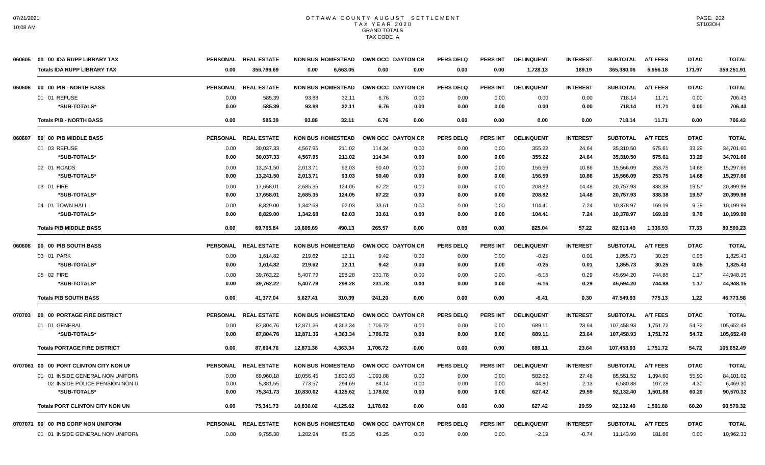| 060605 | 00 00 IDA RUPP LIBRARY TAX             |                 | PERSONAL REAL ESTATE | <b>NON BUS HOMESTEAD</b> |          |                   | OWN OCC DAYTON CR | <b>PERS DELQ</b> | <b>PERS INT</b> | <b>DELINQUENT</b> | <b>INTEREST</b> | <b>SUBTOTAL</b> | <b>A/T FEES</b> | <b>DTAC</b> | <b>TOTAL</b> |
|--------|----------------------------------------|-----------------|----------------------|--------------------------|----------|-------------------|-------------------|------------------|-----------------|-------------------|-----------------|-----------------|-----------------|-------------|--------------|
|        | <b>Totals IDA RUPP LIBRARY TAX</b>     | 0.00            | 356,799.69           | 0.00                     | 6,663.05 | 0.00              | 0.00              | 0.00             | 0.00            | 1,728.13          | 189.19          | 365,380.06      | 5,956.18        | 171.97      | 359,251.91   |
| 060606 | 00 00 PIB - NORTH BASS                 |                 | PERSONAL REAL ESTATE | <b>NON BUS HOMESTEAD</b> |          | OWN OCC DAYTON CR |                   | <b>PERS DELO</b> | <b>PERS INT</b> | <b>DELINQUENT</b> | <b>INTEREST</b> | <b>SUBTOTAL</b> | <b>A/T FEES</b> | <b>DTAC</b> | <b>TOTAL</b> |
|        | 01 01 REFUSE                           | 0.00            | 585.39               | 93.88                    | 32.11    | 6.76              | 0.00              | 0.00             | 0.00            | 0.00              | 0.00            | 718.14          | 11.71           | 0.00        | 706.43       |
|        | *SUB-TOTALS*                           | 0.00            | 585.39               | 93.88                    | 32.11    | 6.76              | 0.00              | 0.00             | 0.00            | 0.00              | 0.00            | 718.14          | 11.71           | 0.00        | 706.43       |
|        | <b>Totals PIB - NORTH BASS</b>         | 0.00            | 585.39               | 93.88                    | 32.11    | 6.76              | 0.00              | 0.00             | 0.00            | 0.00              | 0.00            | 718.14          | 11.71           | 0.00        | 706.43       |
| 060607 | 00 00 PIB MIDDLE BASS                  | <b>PERSONAL</b> | <b>REAL ESTATE</b>   | <b>NON BUS HOMESTEAD</b> |          |                   | OWN OCC DAYTON CR | <b>PERS DELO</b> | <b>PERS INT</b> | <b>DELINQUENT</b> | <b>INTEREST</b> | <b>SUBTOTAL</b> | <b>A/T FEES</b> | <b>DTAC</b> | <b>TOTAL</b> |
|        | 01 03 REFUSE                           | 0.00            | 30,037.33            | 4,567.95                 | 211.02   | 114.34            | 0.00              | 0.00             | 0.00            | 355.22            | 24.64           | 35,310.50       | 575.61          | 33.29       | 34,701.60    |
|        | *SUB-TOTALS*                           | 0.00            | 30,037.33            | 4,567.95                 | 211.02   | 114.34            | 0.00              | 0.00             | 0.00            | 355.22            | 24.64           | 35,310.50       | 575.61          | 33.29       | 34,701.60    |
|        | 02 01 ROADS                            | 0.00            | 13,241.50            | 2,013.71                 | 93.03    | 50.40             | 0.00              | 0.00             | 0.00            | 156.59            | 10.86           | 15,566.09       | 253.75          | 14.68       | 15,297.66    |
|        | *SUB-TOTALS*                           | 0.00            | 13,241.50            | 2,013.71                 | 93.03    | 50.40             | 0.00              | 0.00             | 0.00            | 156.59            | 10.86           | 15,566.09       | 253.75          | 14.68       | 15,297.66    |
|        | 03 01 FIRE                             | 0.00            | 17,658.01            | 2,685.35                 | 124.05   | 67.22             | 0.00              | 0.00             | 0.00            | 208.82            | 14.48           | 20,757.93       | 338.38          | 19.57       | 20,399.98    |
|        | *SUB-TOTALS*                           | 0.00            | 17.658.01            | 2.685.35                 | 124.05   | 67.22             | 0.00              | 0.00             | 0.00            | 208.82            | 14.48           | 20,757.93       | 338.38          | 19.57       | 20,399.98    |
|        | 04 01 TOWN HALL                        | 0.00            | 8,829.00             | 1,342.68                 | 62.03    | 33.61             | 0.00              | 0.00             | 0.00            | 104.41            | 7.24            | 10,378.97       | 169.19          | 9.79        | 10,199.99    |
|        | *SUB-TOTALS*                           | 0.00            | 8,829.00             | 1,342.68                 | 62.03    | 33.61             | 0.00              | 0.00             | 0.00            | 104.41            | 7.24            | 10,378.97       | 169.19          | 9.79        | 10,199.99    |
|        | <b>Totals PIB MIDDLE BASS</b>          | 0.00            | 69,765.84            | 10.609.69                | 490.13   | 265.57            | 0.00              | 0.00             | 0.00            | 825.04            | 57.22           | 82,013.49       | 1,336.93        | 77.33       | 80,599.23    |
| 060608 | 00 00 PIB SOUTH BASS                   | <b>PERSONAL</b> | <b>REAL ESTATE</b>   | <b>NON BUS HOMESTEAD</b> |          |                   | OWN OCC DAYTON CR | <b>PERS DELQ</b> | <b>PERS INT</b> | <b>DELINQUENT</b> | <b>INTEREST</b> | <b>SUBTOTAL</b> | <b>A/T FEES</b> | <b>DTAC</b> | <b>TOTAL</b> |
|        | 03 01 PARK                             | 0.00            | 1,614.82             | 219.62                   | 12.11    | 9.42              | 0.00              | 0.00             | 0.00            | $-0.25$           | 0.01            | 1,855.73        | 30.25           | 0.05        | 1,825.43     |
|        | *SUB-TOTALS*                           | 0.00            | 1.614.82             | 219.62                   | 12.11    | 9.42              | 0.00              | 0.00             | 0.00            | $-0.25$           | 0.01            | 1,855.73        | 30.25           | 0.05        | 1,825.43     |
|        | 05 02 FIRE                             | 0.00            | 39,762.22            | 5,407.79                 | 298.28   | 231.78            | 0.00              | 0.00             | 0.00            | $-6.16$           | 0.29            | 45,694.20       | 744.88          | 1.17        | 44,948.15    |
|        | *SUB-TOTALS*                           | 0.00            | 39,762.22            | 5,407.79                 | 298.28   | 231.78            | 0.00              | 0.00             | 0.00            | $-6.16$           | 0.29            | 45,694.20       | 744.88          | 1.17        | 44,948.15    |
|        | <b>Totals PIB SOUTH BASS</b>           | 0.00            | 41,377.04            | 5,627.41                 | 310.39   | 241.20            | 0.00              | 0.00             | 0.00            | $-6.41$           | 0.30            | 47,549.93       | 775.13          | 1.22        | 46,773.58    |
| 070703 | 00 00 PORTAGE FIRE DISTRICT            | <b>PERSONAL</b> | <b>REAL ESTATE</b>   | <b>NON BUS HOMESTEAD</b> |          |                   | OWN OCC DAYTON CR | <b>PERS DELQ</b> | <b>PERS INT</b> | <b>DELINQUENT</b> | <b>INTEREST</b> | <b>SUBTOTAL</b> | <b>A/T FEES</b> | <b>DTAC</b> | <b>TOTAL</b> |
|        | 01 01 GENERAL                          | 0.00            | 87,804.76            | 12,871.36                | 4,363.34 | 1,706.72          | 0.00              | 0.00             | 0.00            | 689.11            | 23.64           | 107,458.93      | 1,751.72        | 54.72       | 105,652.49   |
|        | *SUB-TOTALS*                           | 0.00            | 87,804.76            | 12,871.36                | 4,363.34 | 1,706.72          | 0.00              | 0.00             | 0.00            | 689.11            | 23.64           | 107,458.93      | 1,751.72        | 54.72       | 105.652.49   |
|        | <b>Totals PORTAGE FIRE DISTRICT</b>    | 0.00            | 87,804.76            | 12.871.36                | 4,363.34 | 1,706.72          | 0.00              | 0.00             | 0.00            | 689.11            | 23.64           | 107,458.93      | 1,751.72        | 54.72       | 105,652.49   |
|        | 0707061 00 00 PORT CLINTON CITY NON UN |                 | PERSONAL REAL ESTATE | <b>NON BUS HOMESTEAD</b> |          |                   | OWN OCC DAYTON CR | <b>PERS DELQ</b> | <b>PERS INT</b> | <b>DELINQUENT</b> | <b>INTEREST</b> | <b>SUBTOTAL</b> | <b>A/T FEES</b> | <b>DTAC</b> | <b>TOTAL</b> |
|        | 01 01 INSIDE GENERAL NON UNIFORM       | 0.00            | 69,960.18            | 10,056.45                | 3,830.93 | 1,093.88          | 0.00              | 0.00             | 0.00            | 582.62            | 27.46           | 85,551.52       | 1,394.60        | 55.90       | 84,101.02    |
|        | 02 INSIDE POLICE PENSION NON U         | 0.00            | 5,381.55             | 773.57                   | 294.69   | 84.14             | 0.00              | 0.00             | 0.00            | 44.80             | 2.13            | 6,580.88        | 107.28          | 4.30        | 6,469.30     |
|        | *SUB-TOTALS*                           | 0.00            | 75,341.73            | 10,830.02                | 4,125.62 | 1,178.02          | 0.00              | 0.00             | 0.00            | 627.42            | 29.59           | 92,132.40       | 1,501.88        | 60.20       | 90,570.32    |
|        | <b>Totals PORT CLINTON CITY NON UN</b> | 0.00            | 75,341.73            | 10.830.02                | 4,125.62 | 1.178.02          | 0.00              | 0.00             | 0.00            | 627.42            | 29.59           | 92,132.40       | 1.501.88        | 60.20       | 90,570.32    |
|        | 0707071 00 00 PIB CORP NON UNIFORM     |                 | PERSONAL REAL ESTATE | <b>NON BUS HOMESTEAD</b> |          |                   | OWN OCC DAYTON CR | <b>PERS DELQ</b> | PERS INT        | <b>DELINQUENT</b> | <b>INTEREST</b> | <b>SUBTOTAL</b> | <b>A/T FEES</b> | <b>DTAC</b> | <b>TOTAL</b> |
|        | 01 01 INSIDE GENERAL NON UNIFORM       | 0.00            | 9,755.38             | 1,282.94                 | 65.35    | 43.25             | 0.00              | 0.00             | 0.00            | $-2.19$           | $-0.74$         | 11,143.99       | 181.66          | 0.00        | 10,962.33    |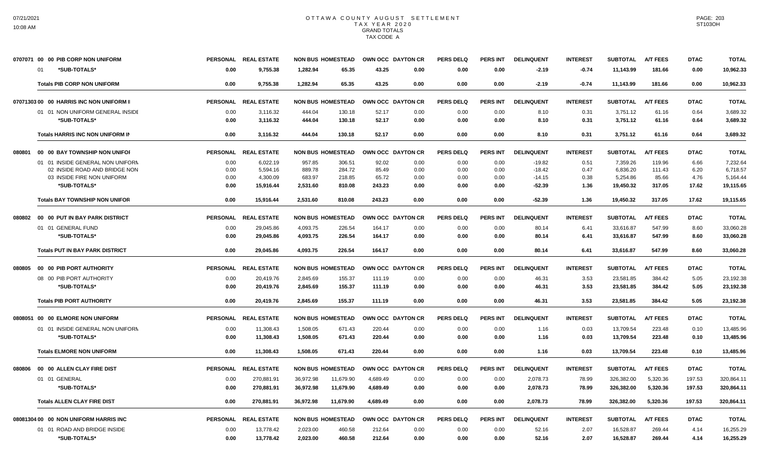|        | 0707071 00 00 PIB CORP NON UNIFORM      |                 | PERSONAL REAL ESTATE | <b>NON BUS HOMESTEAD</b> |                  | OWN OCC DAYTON CR | PERS DELO        | <b>PERS INT</b> | <b>DELINQUENT</b> | <b>INTEREST</b> | <b>SUBTOTAL</b> | <b>A/T FEES</b> | <b>DTAC</b> | TOTAL        |
|--------|-----------------------------------------|-----------------|----------------------|--------------------------|------------------|-------------------|------------------|-----------------|-------------------|-----------------|-----------------|-----------------|-------------|--------------|
|        | *SUB-TOTALS*<br>01                      | 0.00            | 9.755.38             | 1.282.94                 | 65.35<br>43.25   | 0.00              | 0.00             | 0.00            | $-2.19$           | $-0.74$         | 11.143.99       | 181.66          | 0.00        | 10,962.33    |
|        | <b>Totals PIB CORP NON UNIFORM</b>      | 0.00            | 9,755.38             | 1,282.94                 | 65.35<br>43.25   | 0.00              | 0.00             | 0.00            | $-2.19$           | $-0.74$         | 11,143.99       | 181.66          | 0.00        | 10,962.33    |
|        | 0707130300 00 HARRIS INC NON UNIFORM II | <b>PERSONAL</b> | <b>REAL ESTATE</b>   | <b>NON BUS HOMESTEAD</b> |                  | OWN OCC DAYTON CR | <b>PERS DELQ</b> | <b>PERS INT</b> | <b>DELINQUENT</b> | <b>INTEREST</b> | <b>SUBTOTAL</b> | <b>A/T FEES</b> | <b>DTAC</b> | <b>TOTAL</b> |
|        | 01 01 NON UNIFORM GENERAL INSIDE        | 0.00            | 3,116.32             | 444.04                   | 52.17<br>130.18  | 0.00              | 0.00             | 0.00            | 8.10              | 0.31            | 3.751.12        | 61.16           | 0.64        | 3.689.32     |
|        | *SUB-TOTALS*                            | 0.00            | 3,116.32             | 444.04                   | 130.18<br>52.17  | 0.00              | 0.00             | 0.00            | 8.10              | 0.31            | 3,751.12        | 61.16           | 0.64        | 3,689.32     |
|        | Totals HARRIS INC NON UNIFORM IN        | 0.00            | 3,116.32             | 444.04                   | 52.17<br>130.18  | 0.00              | 0.00             | 0.00            | 8.10              | 0.31            | 3,751.12        | 61.16           | 0.64        | 3,689.32     |
| 080801 | 00 00 BAY TOWNSHIP NON UNIFOR           |                 | PERSONAL REAL ESTATE | <b>NON BUS HOMESTEAD</b> |                  | OWN OCC DAYTON CR | <b>PERS DELQ</b> | <b>PERS INT</b> | <b>DELINQUENT</b> | <b>INTEREST</b> | <b>SUBTOTAL</b> | <b>A/T FEES</b> | <b>DTAC</b> | <b>TOTAL</b> |
|        | 01 01 INSIDE GENERAL NON UNIFORN        | 0.00            | 6.022.19             | 957.85                   | 306.51<br>92.02  | 0.00              | 0.00             | 0.00            | $-19.82$          | 0.51            | 7.359.26        | 119.96          | 6.66        | 7.232.64     |
|        | 02 INSIDE ROAD AND BRIDGE NON           | 0.00            | 5,594.16             | 889.78                   | 284.72<br>85.49  | 0.00              | 0.00             | 0.00            | $-18.42$          | 0.47            | 6,836.20        | 111.43          | 6.20        | 6,718.57     |
|        | 03 INSIDE FIRE NON UNIFORM              | 0.00            | 4,300.09             | 683.97                   | 218.85<br>65.72  | 0.00              | 0.00             | 0.00            | $-14.15$          | 0.38            | 5,254.86        | 85.66           | 4.76        | 5,164.44     |
|        | *SUB-TOTALS*                            | 0.00            | 15,916.44            | 2,531.60                 | 810.08<br>243.23 | 0.00              | 0.00             | 0.00            | $-52.39$          | 1.36            | 19,450.32       | 317.05          | 17.62       | 19,115.65    |
|        | <b>Totals BAY TOWNSHIP NON UNIFOR</b>   | 0.00            | 15.916.44            | 2.531.60                 | 243.23<br>810.08 | 0.00              | 0.00             | 0.00            | $-52.39$          | 1.36            | 19.450.32       | 317.05          | 17.62       | 19.115.65    |
| 080802 | 00 00 PUT IN BAY PARK DISTRICT          |                 | PERSONAL REAL ESTATE | <b>NON BUS HOMESTEAD</b> |                  | OWN OCC DAYTON CR | <b>PERS DELQ</b> | <b>PERS INT</b> | <b>DELINQUENT</b> | <b>INTEREST</b> | <b>SUBTOTAL</b> | <b>A/T FEES</b> | <b>DTAC</b> | <b>TOTAL</b> |
|        | 01 01 GENERAL FUND                      | 0.00            | 29,045.86            | 4,093.75                 | 226.54<br>164.17 | 0.00              | 0.00             | 0.00            | 80.14             | 6.41            | 33,616.87       | 547.99          | 8.60        | 33,060.28    |
|        | *SUB-TOTALS*                            | 0.00            | 29,045.86            | 4,093.75                 | 226.54<br>164.17 | 0.00              | 0.00             | 0.00            | 80.14             | 6.41            | 33,616.87       | 547.99          | 8.60        | 33,060.28    |
|        | <b>Totals PUT IN BAY PARK DISTRICT</b>  | 0.00            | 29.045.86            | 4.093.75                 | 226.54<br>164.17 | 0.00              | 0.00             | 0.00            | 80.14             | 6.41            | 33.616.87       | 547.99          | 8.60        | 33.060.28    |
| 080805 | 00 00 PIB PORT AUTHORITY                | <b>PERSONAL</b> | <b>REAL ESTATE</b>   | <b>NON BUS HOMESTEAD</b> |                  | OWN OCC DAYTON CR | <b>PERS DELQ</b> | <b>PERS INT</b> | <b>DELINQUENT</b> | <b>INTEREST</b> | <b>SUBTOTAL</b> | <b>A/T FEES</b> | <b>DTAC</b> | <b>TOTAL</b> |
|        | 08 00 PIB PORT AUTHORITY                | 0.00            | 20,419.76            | 2.845.69                 | 155.37<br>111.19 | 0.00              | 0.00             | 0.00            | 46.31             | 3.53            | 23,581.85       | 384.42          | 5.05        | 23,192.38    |
|        | *SUB-TOTALS*                            | 0.00            | 20,419.76            | 2,845.69                 | 155.37<br>111.19 | 0.00              | 0.00             | 0.00            | 46.31             | 3.53            | 23,581.85       | 384.42          | 5.05        | 23,192.38    |
|        | <b>Totals PIB PORT AUTHORITY</b>        | 0.00            | 20.419.76            | 2.845.69                 | 155.37<br>111.19 | 0.00              | 0.00             | 0.00            | 46.31             | 3.53            | 23.581.85       | 384.42          | 5.05        | 23.192.38    |
|        | 0808051 00 00 ELMORE NON UNIFORM        |                 | PERSONAL REAL ESTATE | <b>NON BUS HOMESTEAD</b> |                  | OWN OCC DAYTON CR | <b>PERS DELQ</b> | <b>PERS INT</b> | <b>DELINQUENT</b> | <b>INTEREST</b> | <b>SUBTOTAL</b> | <b>A/T FEES</b> | <b>DTAC</b> | <b>TOTAL</b> |
|        | 01 01 INSIDE GENERAL NON UNIFORN        | 0.00            | 11,308.43            | 1,508.05                 | 671.43<br>220.44 | 0.00              | 0.00             | 0.00            | 1.16              | 0.03            | 13,709.54       | 223.48          | 0.10        | 13,485.96    |
|        | *SUB-TOTALS*                            | 0.00            | 11,308.43            | 1,508.05                 | 671.43<br>220.44 | 0.00              | 0.00             | 0.00            | 1.16              | 0.03            | 13,709.54       | 223.48          | 0.10        | 13,485.96    |
|        | <b>Totals ELMORE NON UNIFORM</b>        | 0.00            | 11,308.43            | 1.508.05                 | 671.43<br>220.44 | 0.00              | 0.00             | 0.00            | 1.16              | 0.03            | 13,709.54       | 223.48          | 0.10        | 13,485.96    |
| 080806 | 00 00 ALLEN CLAY FIRE DIST              | <b>PERSONAL</b> | <b>REAL ESTATE</b>   | <b>NON BUS HOMESTEAD</b> |                  | OWN OCC DAYTON CR | <b>PERS DELQ</b> | <b>PERS INT</b> | <b>DELINQUENT</b> | <b>INTEREST</b> | <b>SUBTOTAL</b> | <b>A/T FEES</b> | <b>DTAC</b> | <b>TOTAL</b> |
|        | 01 01 GENERAL                           | 0.00            | 270,881.91           | 36,972.98<br>11,679.90   | 4,689.49         | 0.00              | 0.00             | 0.00            | 2,078.73          | 78.99           | 326,382.00      | 5,320.36        | 197.53      | 320,864.11   |
|        | *SUB-TOTALS*                            | 0.00            | 270,881.91           | 36,972.98<br>11,679.90   | 4,689.49         | 0.00              | 0.00             | 0.00            | 2,078.73          | 78.99           | 326,382.00      | 5,320.36        | 197.53      | 320,864.11   |
|        | <b>Totals ALLEN CLAY FIRE DIST</b>      | 0.00            | 270,881.91           | 36.972.98<br>11,679.90   | 4.689.49         | 0.00              | 0.00             | 0.00            | 2.078.73          | 78.99           | 326,382.00      | 5.320.36        | 197.53      | 320.864.11   |
|        | 08081304 00 00 NON UNIFORM HARRIS INC   | <b>PERSONAL</b> | <b>REAL ESTATE</b>   | <b>NON BUS HOMESTEAD</b> |                  | OWN OCC DAYTON CR | <b>PERS DELQ</b> | <b>PERS INT</b> | <b>DELINQUENT</b> | <b>INTEREST</b> | <b>SUBTOTAL</b> | <b>A/T FEES</b> | <b>DTAC</b> | <b>TOTAL</b> |
|        | 01 01 ROAD AND BRIDGE INSIDE            | 0.00            | 13,778.42            | 2,023.00                 | 460.58<br>212.64 | 0.00              | 0.00             | 0.00            | 52.16             | 2.07            | 16,528.87       | 269.44          | 4.14        | 16,255.29    |
|        | *SUB-TOTALS*                            | 0.00            | 13,778.42            | 2,023.00                 | 460.58<br>212.64 | 0.00              | 0.00             | 0.00            | 52.16             | 2.07            | 16,528.87       | 269.44          | 4.14        | 16,255.29    |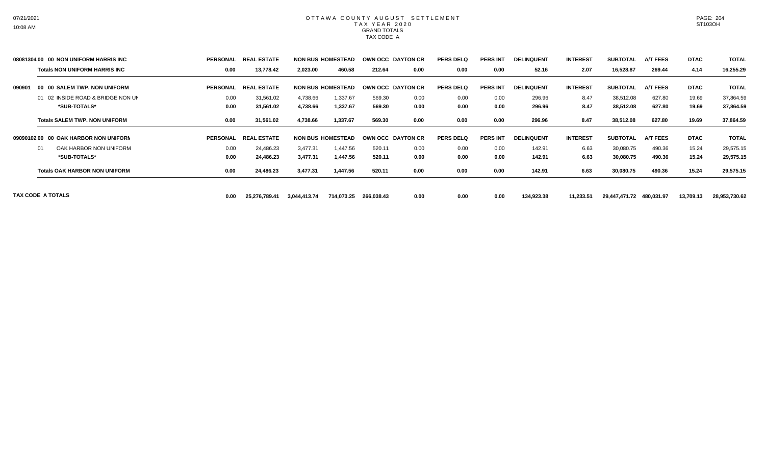|        | 08081304 00 00 NON UNIFORM HARRIS INC | PERSONAL        | <b>REAL</b><br>. ESTATE |              | <b>NON BUS HOMESTEAD</b> |            | OWN OCC DAYTON CR | <b>PERS DELQ</b> | <b>PERS INT</b> | <b>DELINQUENT</b> | <b>INTEREST</b> | <b>SUBTOTAL</b> | <b>A/T FEES</b> | <b>DTAC</b> | <b>TOTAL</b>  |
|--------|---------------------------------------|-----------------|-------------------------|--------------|--------------------------|------------|-------------------|------------------|-----------------|-------------------|-----------------|-----------------|-----------------|-------------|---------------|
|        | <b>Totals NON UNIFORM HARRIS INC</b>  | 0.00            | 13,778.42               | 2,023.00     | 460.58                   | 212.64     | 0.00              | 0.00             | 0.00            | 52.16             | 2.07            | 16,528.87       | 269.44          | 4.14        | 16,255.29     |
| 090901 | 00 00 SALEM TWP. NON UNIFORM          | <b>PERSONAL</b> | REAI<br>. ESTATE        |              | <b>NON BUS HOMESTEAD</b> |            | OWN OCC DAYTON CR | <b>PERS DELQ</b> | <b>PERS INT</b> | <b>DELINQUENT</b> | <b>INTEREST</b> | <b>SUBTOTAL</b> | <b>A/T FEES</b> | <b>DTAC</b> | <b>TOTAL</b>  |
|        | 01 02 INSIDE ROAD & BRIDGE NON UN     | 0.00            | 31,561.02               | 4,738.66     | 1,337.67                 | 569.30     | 0.00              | 0.00             | 0.00            | 296.96            | 8.47            | 38,512.08       | 627.80          | 19.69       | 37,864.59     |
|        | *SUB-TOTALS*                          | 0.00            | 31,561.02               | 4,738.66     | 1,337.67                 | 569.30     | 0.00              | 0.00             | 0.00            | 296.96            | 8.47            | 38,512.08       | 627.80          | 19.69       | 37,864.59     |
|        | <b>Totals SALEM TWP, NON UNIFORM</b>  | 0.00            | 31,561.02               | 4,738.66     | 1,337.67                 | 569.30     | 0.00              | 0.00             | 0.00            | 296.96            | 8.47            | 38,512.08       | 627.80          | 19.69       | 37,864.59     |
|        | 09090102 00 00 OAK HARBOR NON UNIFORM | <b>PERSONAL</b> | <b>REAL</b><br>L ESTATE |              | <b>NON BUS HOMESTEAD</b> |            | OWN OCC DAYTON CR | <b>PERS DELQ</b> | <b>PERS INT</b> | <b>DELINQUENT</b> | <b>INTEREST</b> | <b>SUBTOTAL</b> | <b>A/T FEES</b> | <b>DTAC</b> | <b>TOTAL</b>  |
|        | OAK HARBOR NON UNIFORM<br>01          | 0.00            | 24,486.23               | 3,477.31     | 1,447.56                 | 520.11     | 0.00              | 0.00             | 0.00            | 142.91            | 6.63            | 30,080.75       | 490.36          | 15.24       | 29,575.15     |
|        | *SUB-TOTALS*                          | 0.00            | 24,486.23               | 3,477.31     | 1,447.56                 | 520.11     | 0.00              | 0.00             | 0.00            | 142.91            | 6.63            | 30,080.75       | 490.36          | 15.24       | 29,575.15     |
|        | <b>Totals OAK HARBOR NON UNIFORM</b>  | 0.00            | 24,486.23               | 3,477.31     | 1,447.56                 | 520.11     | 0.00              | 0.00             | 0.00            | 142.91            | 6.63            | 30,080.75       | 490.36          | 15.24       | 29,575.15     |
|        | TAX CODE A TOTALS                     | 0.00            | 25,276,789.41           | 3,044,413.74 | 714,073.25               | 266,038.43 | 0.00              | 0.00             | 0.00            | 134,923.38        | 11,233.51       | 29,447,471.72   | 480,031.97      | 13,709.13   | 28,953,730.62 |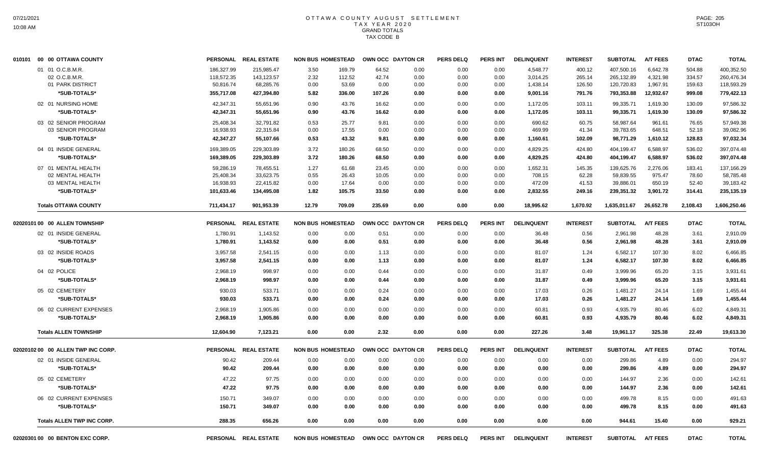| 010101 00 00 OTTAWA COUNTY         |                          | PERSONAL REAL ESTATE     | <b>NON BUS HOMESTEAD</b>         |                | OWN OCC DAYTON CR | <b>PERS DELQ</b> | <b>PERS INT</b> | <b>DELINQUENT</b>    | <b>INTEREST</b>  | <b>SUBTOTAL</b>          | <b>A/T FEES</b>      | <b>DTAC</b>      | <b>TOTAL</b>             |
|------------------------------------|--------------------------|--------------------------|----------------------------------|----------------|-------------------|------------------|-----------------|----------------------|------------------|--------------------------|----------------------|------------------|--------------------------|
| 01 01 O.C.B.M.R.<br>02 O.C.B.M.R.  | 186,327.99<br>118,572.35 | 215,985.47<br>143,123.57 | 3.50<br>169.79<br>2.32<br>112.52 | 64.52<br>42.74 | 0.00<br>0.00      | 0.00<br>0.00     | 0.00<br>0.00    | 4,548.77<br>3,014.25 | 400.12<br>265.14 | 407,500.16<br>265,132.89 | 6,642.78<br>4,321.98 | 504.88<br>334.57 | 400,352.50<br>260,476.34 |
| 01 PARK DISTRICT                   | 50,816.74                | 68,285.76                | 0.00<br>53.69                    | 0.00           | 0.00              | 0.00             | 0.00            | 1,438.14             | 126.50           | 120,720.83               | 1,967.91             | 159.63           | 118,593.29               |
| *SUB-TOTALS*                       | 355,717.08               | 427,394.80               | 5.82<br>336.00                   | 107.26         | 0.00              | 0.00             | 0.00            | 9,001.16             | 791.76           | 793,353.88               | 12,932.67            | 999.08           | 779,422.13               |
| 02 01 NURSING HOME                 | 42,347.31                | 55,651.96                | 0.90<br>43.76                    | 16.62          | 0.00              | 0.00             | 0.00            | 1,172.05             | 103.11           | 99,335.71                | 1,619.30             | 130.09           | 97,586.32                |
| *SUB-TOTALS*                       | 42,347.31                | 55,651.96                | 0.90<br>43.76                    | 16.62          | 0.00              | 0.00             | 0.00            | 1,172.05             | 103.11           | 99,335.71                | 1,619.30             | 130.09           | 97,586.32                |
| 03 02 SENIOR PROGRAM               | 25,408.34                | 32,791.82                | 25.77<br>0.53                    | 9.81           | 0.00              | 0.00             | 0.00            | 690.62               | 60.75            | 58,987.64                | 961.61               | 76.65            | 57,949.38                |
| 03 SENIOR PROGRAM                  | 16,938.93                | 22,315.84                | 0.00<br>17.55                    | 0.00           | 0.00              | 0.00             | 0.00            | 469.99               | 41.34            | 39,783.65                | 648.51               | 52.18            | 39,082.96                |
| *SUB-TOTALS*                       | 42,347.27                | 55,107.66                | 0.53<br>43.32                    | 9.81           | 0.00              | 0.00             | 0.00            | 1,160.61             | 102.09           | 98,771.29                | 1,610.12             | 128.83           | 97,032.34                |
| 04 01 INSIDE GENERAL               | 169,389.05               | 229,303.89               | 3.72<br>180.26                   | 68.50          | 0.00              | 0.00             | 0.00            | 4,829.25             | 424.80           | 404,199.47               | 6,588.97             | 536.02           | 397,074.48               |
| *SUB-TOTALS*                       | 169,389.05               | 229,303.89               | 3.72<br>180.26                   | 68.50          | 0.00              | 0.00             | 0.00            | 4,829.25             | 424.80           | 404,199.47               | 6,588.97             | 536.02           | 397,074.48               |
| 07 01 MENTAL HEALTH                | 59,286.19                | 78,455.51                | 1.27<br>61.68                    | 23.45          | 0.00              | 0.00             | 0.00            | 1,652.31             | 145.35           | 139,625.76               | 2.276.06             | 183.41           | 137,166.29               |
| 02 MENTAL HEALTH                   | 25,408.34                | 33,623.75                | 0.55<br>26.43                    | 10.05          | 0.00              | 0.00             | 0.00            | 708.15               | 62.28            | 59,839.55                | 975.47               | 78.60            | 58,785.48                |
| 03 MENTAL HEALTH                   | 16,938.93                | 22,415.82                | 0.00<br>17.64                    | 0.00           | 0.00              | 0.00             | 0.00            | 472.09               | 41.53            | 39,886.01                | 650.19               | 52.40            | 39,183.42                |
| *SUB-TOTALS*                       | 101,633.46               | 134,495.08               | 1.82<br>105.75                   | 33.50          | 0.00              | 0.00             | 0.00            | 2,832.55             | 249.16           | 239,351.32               | 3,901.72             | 314.41           | 235,135.19               |
| <b>Totals OTTAWA COUNTY</b>        | 711,434.17               | 901,953.39               | 12.79<br>709.09                  | 235.69         | 0.00              | 0.00             | 0.00            | 18,995.62            | 1,670.92         | 1,635,011.67             | 26,652.78            | 2,108.43         | 1,606,250.46             |
| 02020101 00 00 ALLEN TOWNSHIP      |                          | PERSONAL REAL ESTATE     | <b>NON BUS HOMESTEAD</b>         |                | OWN OCC DAYTON CR | <b>PERS DELQ</b> | PERS INT        | <b>DELINQUENT</b>    | <b>INTEREST</b>  | <b>SUBTOTAL</b>          | <b>A/T FEES</b>      | <b>DTAC</b>      | <b>TOTAL</b>             |
| 02 01 INSIDE GENERAL               | 1,780.91                 | 1,143.52                 | 0.00<br>0.00                     | 0.51           | 0.00              | 0.00             | 0.00            | 36.48                | 0.56             | 2,961.98                 | 48.28                | 3.61             | 2,910.09                 |
| *SUB-TOTALS*                       | 1,780.91                 | 1,143.52                 | 0.00<br>0.00                     | 0.51           | 0.00              | 0.00             | 0.00            | 36.48                | 0.56             | 2,961.98                 | 48.28                | 3.61             | 2,910.09                 |
| 03 02 INSIDE ROADS                 | 3,957.58                 | 2,541.15                 | 0.00<br>0.00                     | 1.13           | 0.00              | 0.00             | 0.00            | 81.07                | 1.24             | 6,582.17                 | 107.30               | 8.02             | 6,466.85                 |
| *SUB-TOTALS*                       | 3,957.58                 | 2,541.15                 | 0.00<br>0.00                     | 1.13           | 0.00              | 0.00             | 0.00            | 81.07                | 1.24             | 6,582.17                 | 107.30               | 8.02             | 6,466.85                 |
| 04 02 POLICE                       | 2,968.19                 | 998.97                   | 0.00<br>0.00                     | 0.44           | 0.00              | 0.00             | 0.00            | 31.87                | 0.49             | 3,999.96                 | 65.20                | 3.15             | 3,931.61                 |
| *SUB-TOTALS*                       | 2,968.19                 | 998.97                   | 0.00<br>0.00                     | 0.44           | 0.00              | 0.00             | 0.00            | 31.87                | 0.49             | 3,999.96                 | 65.20                | 3.15             | 3,931.61                 |
| 05 02 CEMETERY                     | 930.03                   | 533.71                   | 0.00<br>0.00                     | 0.24           | 0.00              | 0.00             | 0.00            | 17.03                | 0.26             | 1,481.27                 | 24.14                | 1.69             | 1,455.44                 |
| *SUB-TOTALS*                       | 930.03                   | 533.71                   | 0.00<br>0.00                     | 0.24           | 0.00              | 0.00             | 0.00            | 17.03                | 0.26             | 1,481.27                 | 24.14                | 1.69             | 1,455.44                 |
| 06 02 CURRENT EXPENSES             | 2,968.19                 | 1,905.86                 | 0.00<br>0.00                     | 0.00           | 0.00              | 0.00             | 0.00            | 60.81                | 0.93             | 4,935.79                 | 80.46                | 6.02             | 4,849.31                 |
| *SUB-TOTALS*                       | 2,968.19                 | 1,905.86                 | 0.00<br>0.00                     | 0.00           | 0.00              | 0.00             | 0.00            | 60.81                | 0.93             | 4,935.79                 | 80.46                | 6.02             | 4,849.31                 |
| <b>Totals ALLEN TOWNSHIP</b>       | 12,604.90                | 7,123.21                 | 0.00<br>0.00                     | 2.32           | 0.00              | 0.00             | 0.00            | 227.26               | 3.48             | 19,961.17                | 325.38               | 22.49            | 19,613.30                |
| 02020102 00 00 ALLEN TWP INC CORP. |                          | PERSONAL REAL ESTATE     | <b>NON BUS HOMESTEAD</b>         |                | OWN OCC DAYTON CR | <b>PERS DELQ</b> | <b>PERS INT</b> | <b>DELINQUENT</b>    | <b>INTEREST</b>  | <b>SUBTOTAL</b>          | <b>A/T FEES</b>      | <b>DTAC</b>      | <b>TOTAL</b>             |
| 02 01 INSIDE GENERAL               | 90.42                    | 209.44                   | 0.00<br>0.00                     | 0.00           | 0.00              | 0.00             | 0.00            | 0.00                 | 0.00             | 299.86                   | 4.89                 | 0.00             | 294.97                   |
| *SUB-TOTALS*                       | 90.42                    | 209.44                   | 0.00<br>0.00                     | 0.00           | 0.00              | 0.00             | 0.00            | 0.00                 | 0.00             | 299.86                   | 4.89                 | 0.00             | 294.97                   |
| 05 02 CEMETERY                     | 47.22                    | 97.75                    | 0.00<br>0.00                     | 0.00           | 0.00              | 0.00             | 0.00            | 0.00                 | 0.00             | 144.97                   | 2.36                 | 0.00             | 142.61                   |
| *SUB-TOTALS*                       | 47.22                    | 97.75                    | 0.00<br>0.00                     | 0.00           | 0.00              | 0.00             | 0.00            | 0.00                 | 0.00             | 144.97                   | 2.36                 | 0.00             | 142.61                   |
| 06 02 CURRENT EXPENSES             | 150.71                   | 349.07                   | 0.00<br>0.00                     | 0.00           | 0.00              | 0.00             | 0.00            | 0.00                 | 0.00             | 499.78                   | 8.15                 | 0.00             | 491.63                   |
| *SUB-TOTALS*                       | 150.71                   | 349.07                   | 0.00<br>0.00                     | 0.00           | 0.00              | 0.00             | 0.00            | 0.00                 | 0.00             | 499.78                   | 8.15                 | 0.00             | 491.63                   |
| <b>Totals ALLEN TWP INC CORP.</b>  | 288.35                   | 656.26                   | 0.00<br>0.00                     | 0.00           | 0.00              | 0.00             | 0.00            | 0.00                 | 0.00             | 944.61                   | 15.40                | 0.00             | 929.21                   |
| 02020301 00 00 BENTON EXC CORP.    |                          | PERSONAL REAL ESTATE     | <b>NON BUS HOMESTEAD</b>         |                | OWN OCC DAYTON CR | <b>PERS DELQ</b> | <b>PERS INT</b> | <b>DELINQUENT</b>    | <b>INTEREST</b>  | <b>SUBTOTAL</b>          | <b>A/T FEES</b>      | <b>DTAC</b>      | <b>TOTAL</b>             |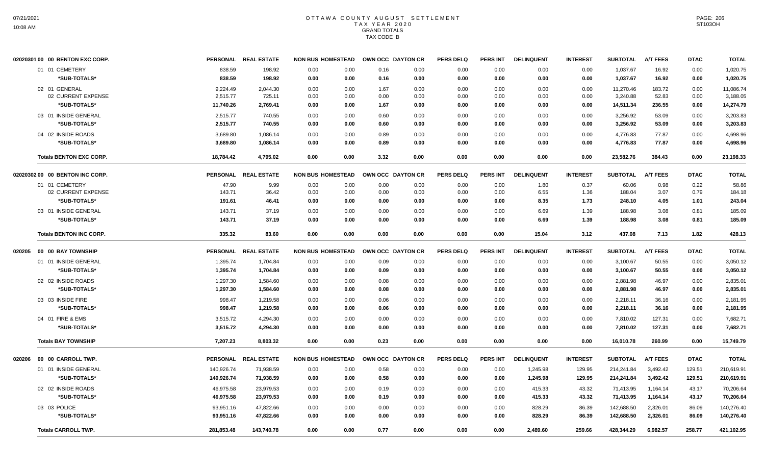|        | 02020301 00 00 BENTON EXC CORP. | <b>PERSONAL</b> | <b>REAL ESTATE</b>   | <b>NON BUS HOMESTEAD</b> |      | OWN OCC DAYTON CR | <b>PERS DELQ</b> | <b>PERS INT</b> | <b>DELINQUENT</b> | <b>INTEREST</b> | <b>SUBTOTAL</b> | <b>A/T FEES</b> | <b>DTAC</b> | <b>TOTAL</b> |
|--------|---------------------------------|-----------------|----------------------|--------------------------|------|-------------------|------------------|-----------------|-------------------|-----------------|-----------------|-----------------|-------------|--------------|
|        | 01 01 CEMETERY                  | 838.59          | 198.92               | 0.00<br>0.00             | 0.16 | 0.00              | 0.00             | 0.00            | 0.00              | 0.00            | 1,037.67        | 16.92           | 0.00        | 1,020.75     |
|        | *SUB-TOTALS*                    | 838.59          | 198.92               | 0.00<br>0.00             | 0.16 | 0.00              | 0.00             | 0.00            | 0.00              | 0.00            | 1,037.67        | 16.92           | 0.00        | 1,020.75     |
|        | 02 01 GENERAL                   | 9,224.49        | 2,044.30             | 0.00<br>0.00             | 1.67 | 0.00              | 0.00             | 0.00            | 0.00              | 0.00            | 11,270.46       | 183.72          | 0.00        | 11,086.74    |
|        | 02 CURRENT EXPENSE              | 2,515.77        | 725.11               | 0.00<br>0.00             | 0.00 | 0.00              | 0.00             | 0.00            | 0.00              | 0.00            | 3,240.88        | 52.83           | 0.00        | 3,188.05     |
|        | *SUB-TOTALS*                    | 11,740.26       | 2,769.41             | 0.00<br>0.00             | 1.67 | 0.00              | 0.00             | 0.00            | 0.00              | 0.00            | 14,511.34       | 236.55          | 0.00        | 14,274.79    |
|        | 03 01 INSIDE GENERAL            | 2.515.77        | 740.55               | 0.00<br>0.00             | 0.60 | 0.00              | 0.00             | 0.00            | 0.00              | 0.00            | 3,256.92        | 53.09           | 0.00        | 3,203.83     |
|        | *SUB-TOTALS*                    | 2,515.77        | 740.55               | 0.00<br>0.00             | 0.60 | 0.00              | 0.00             | 0.00            | 0.00              | 0.00            | 3,256.92        | 53.09           | 0.00        | 3,203.83     |
|        | 04 02 INSIDE ROADS              | 3,689.80        | 1,086.14             | 0.00<br>0.00             | 0.89 | 0.00              | 0.00             | 0.00            | 0.00              | 0.00            | 4,776.83        | 77.87           | 0.00        | 4,698.96     |
|        | *SUB-TOTALS*                    | 3,689.80        | 1,086.14             | 0.00<br>0.00             | 0.89 | 0.00              | 0.00             | 0.00            | 0.00              | 0.00            | 4,776.83        | 77.87           | 0.00        | 4,698.96     |
|        | <b>Totals BENTON EXC CORP.</b>  | 18,784.42       | 4,795.02             | 0.00<br>0.00             | 3.32 | 0.00              | 0.00             | 0.00            | 0.00              | 0.00            | 23,582.76       | 384.43          | 0.00        | 23,198.33    |
|        | 02020302 00 00 BENTON INC CORP. |                 | PERSONAL REAL ESTATE | <b>NON BUS HOMESTEAD</b> |      | OWN OCC DAYTON CR | <b>PERS DELQ</b> | PERS INT        | <b>DELINQUENT</b> | <b>INTEREST</b> | <b>SUBTOTAL</b> | <b>A/T FEES</b> | <b>DTAC</b> | <b>TOTAL</b> |
|        | 01 01 CEMETERY                  | 47.90           | 9.99                 | 0.00<br>0.00             | 0.00 | 0.00              | 0.00             | 0.00            | 1.80              | 0.37            | 60.06           | 0.98            | 0.22        | 58.86        |
|        | 02 CURRENT EXPENSE              | 143.71          | 36.42                | 0.00<br>0.00             | 0.00 | 0.00              | 0.00             | 0.00            | 6.55              | 1.36            | 188.04          | 3.07            | 0.79        | 184.18       |
|        | *SUB-TOTALS*                    | 191.61          | 46.41                | 0.00<br>0.00             | 0.00 | 0.00              | 0.00             | 0.00            | 8.35              | 1.73            | 248.10          | 4.05            | 1.01        | 243.04       |
|        | 03 01 INSIDE GENERAL            | 143.71          | 37.19                | 0.00<br>0.00             | 0.00 | 0.00              | 0.00             | 0.00            | 6.69              | 1.39            | 188.98          | 3.08            | 0.81        | 185.09       |
|        | *SUB-TOTALS*                    | 143.71          | 37.19                | 0.00<br>0.00             | 0.00 | 0.00              | 0.00             | 0.00            | 6.69              | 1.39            | 188.98          | 3.08            | 0.81        | 185.09       |
|        | <b>Totals BENTON INC CORP.</b>  | 335.32          | 83.60                | 0.00<br>0.00             | 0.00 | 0.00              | 0.00             | 0.00            | 15.04             | 3.12            | 437.08          | 7.13            | 1.82        | 428.13       |
| 020205 | 00 00 BAY TOWNSHIP              |                 | PERSONAL REAL ESTATE | <b>NON BUS HOMESTEAD</b> |      | OWN OCC DAYTON CR | <b>PERS DELQ</b> | PERS INT        | <b>DELINQUENT</b> | <b>INTEREST</b> | <b>SUBTOTAL</b> | <b>A/T FEES</b> | <b>DTAC</b> | <b>TOTAL</b> |
|        | 01 01 INSIDE GENERAL            | 1,395.74        | 1,704.84             | 0.00<br>0.00             | 0.09 | 0.00              | 0.00             | 0.00            | 0.00              | 0.00            | 3,100.67        | 50.55           | 0.00        | 3,050.12     |
|        | *SUB-TOTALS*                    | 1,395.74        | 1,704.84             | 0.00<br>0.00             | 0.09 | 0.00              | 0.00             | 0.00            | 0.00              | 0.00            | 3,100.67        | 50.55           | 0.00        | 3,050.12     |
|        | 02 02 INSIDE ROADS              | 1,297.30        | 1,584.60             | 0.00<br>0.00             | 0.08 | 0.00              | 0.00             | 0.00            | 0.00              | 0.00            | 2,881.98        | 46.97           | 0.00        | 2,835.01     |
|        | *SUB-TOTALS*                    | 1,297.30        | 1,584.60             | 0.00<br>0.00             | 0.08 | 0.00              | 0.00             | 0.00            | 0.00              | 0.00            | 2,881.98        | 46.97           | 0.00        | 2,835.01     |
|        | 03 03 INSIDE FIRE               | 998.47          | 1,219.58             | 0.00<br>0.00             | 0.06 | 0.00              | 0.00             | 0.00            | 0.00              | 0.00            | 2,218.11        | 36.16           | 0.00        | 2,181.95     |
|        | *SUB-TOTALS*                    | 998.47          | 1,219.58             | 0.00<br>0.00             | 0.06 | 0.00              | 0.00             | 0.00            | 0.00              | 0.00            | 2,218.11        | 36.16           | 0.00        | 2,181.95     |
|        | 04 01 FIRE & EMS                | 3,515.72        | 4,294.30             | 0.00<br>0.00             | 0.00 | 0.00              | 0.00             | 0.00            | 0.00              | 0.00            | 7,810.02        | 127.31          | 0.00        | 7,682.71     |
|        | *SUB-TOTALS*                    | 3,515.72        | 4,294.30             | 0.00<br>0.00             | 0.00 | 0.00              | 0.00             | 0.00            | 0.00              | 0.00            | 7,810.02        | 127.31          | 0.00        | 7,682.71     |
|        | <b>Totals BAY TOWNSHIP</b>      | 7,207.23        | 8,803.32             | 0.00<br>0.00             | 0.23 | 0.00              | 0.00             | 0.00            | 0.00              | 0.00            | 16,010.78       | 260.99          | 0.00        | 15,749.79    |
| 020206 | 00 00 CARROLL TWP.              |                 | PERSONAL REAL ESTATE | <b>NON BUS HOMESTEAD</b> |      | OWN OCC DAYTON CR | <b>PERS DELQ</b> | <b>PERS INT</b> | <b>DELINQUENT</b> | <b>INTEREST</b> | <b>SUBTOTAL</b> | <b>A/T FEES</b> | <b>DTAC</b> | <b>TOTAL</b> |
|        | 01 01 INSIDE GENERAL            | 140,926.74      | 71,938.59            | 0.00<br>0.00             | 0.58 | 0.00              | 0.00             | 0.00            | 1,245.98          | 129.95          | 214,241.84      | 3,492.42        | 129.51      | 210,619.91   |
|        | *SUB-TOTALS*                    | 140,926.74      | 71,938.59            | 0.00<br>0.00             | 0.58 | 0.00              | 0.00             | 0.00            | 1,245.98          | 129.95          | 214,241.84      | 3,492.42        | 129.51      | 210,619.91   |
|        | 02 02 INSIDE ROADS              | 46,975.58       | 23,979.53            | 0.00<br>0.00             | 0.19 | 0.00              | 0.00             | 0.00            | 415.33            | 43.32           | 71,413.95       | 1,164.14        | 43.17       | 70,206.64    |
|        | *SUB-TOTALS*                    | 46,975.58       | 23,979.53            | 0.00<br>0.00             | 0.19 | 0.00              | 0.00             | 0.00            | 415.33            | 43.32           | 71,413.95       | 1,164.14        | 43.17       | 70,206.64    |
|        | 03 03 POLICE                    | 93,951.16       | 47,822.66            | 0.00<br>0.00             | 0.00 | 0.00              | 0.00             | 0.00            | 828.29            | 86.39           | 142,688.50      | 2,326.01        | 86.09       | 140,276.40   |
|        | *SUB-TOTALS*                    | 93,951.16       | 47,822.66            | 0.00<br>0.00             | 0.00 | 0.00              | 0.00             | 0.00            | 828.29            | 86.39           | 142,688.50      | 2,326.01        | 86.09       | 140,276.40   |
|        | <b>Totals CARROLL TWP.</b>      | 281,853.48      | 143,740.78           | 0.00<br>0.00             | 0.77 | 0.00              | 0.00             | 0.00            | 2,489.60          | 259.66          | 428,344.29      | 6,982.57        | 258.77      | 421,102.95   |
|        |                                 |                 |                      |                          |      |                   |                  |                 |                   |                 |                 |                 |             |              |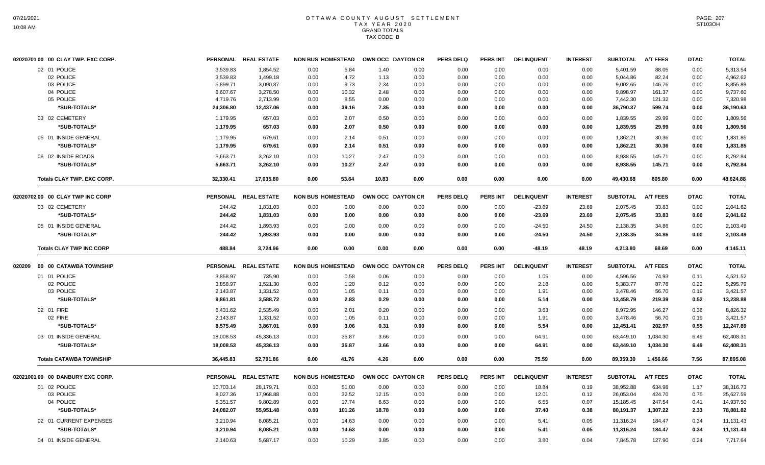| 02020701 00 00 CLAY TWP. EXC CORP. |           | PERSONAL REAL ESTATE | <b>NON BUS HOMESTEAD</b> |        | OWN OCC DAYTON CR |      | <b>PERS DELQ</b> | <b>PERS INT</b> | <b>DELINQUENT</b> | <b>INTEREST</b> | <b>SUBTOTAL</b> | <b>A/T FEES</b> | <b>DTAC</b> | <b>TOTAL</b> |
|------------------------------------|-----------|----------------------|--------------------------|--------|-------------------|------|------------------|-----------------|-------------------|-----------------|-----------------|-----------------|-------------|--------------|
| 02 01 POLICE                       | 3,539.83  | 1,854.52             | 0.00                     | 5.84   | 1.40              | 0.00 | 0.00             | 0.00            | 0.00              | 0.00            | 5,401.59        | 88.05           | 0.00        | 5,313.54     |
| 02 POLICE                          | 3,539.83  | 1,499.18             | 0.00                     | 4.72   | 1.13              | 0.00 | 0.00             | 0.00            | 0.00              | 0.00            | 5,044.86        | 82.24           | 0.00        | 4,962.62     |
| 03 POLICE                          | 5,899.71  | 3,090.87             | 0.00                     | 9.73   | 2.34              | 0.00 | 0.00             | 0.00            | 0.00              | 0.00            | 9,002.65        | 146.76          | 0.00        | 8,855.89     |
| 04 POLICE                          | 6,607.67  | 3,278.50             | 0.00                     | 10.32  | 2.48              | 0.00 | 0.00             | 0.00            | 0.00              | 0.00            | 9,898.97        | 161.37          | 0.00        | 9,737.60     |
| 05 POLICE                          | 4,719.76  | 2,713.99             | 0.00                     | 8.55   | 0.00              | 0.00 | 0.00             | 0.00            | 0.00              | 0.00            | 7,442.30        | 121.32          | 0.00        | 7,320.98     |
| *SUB-TOTALS*                       | 24,306.80 | 12,437.06            | 0.00                     | 39.16  | 7.35              | 0.00 | 0.00             | 0.00            | 0.00              | 0.00            | 36,790.37       | 599.74          | 0.00        | 36,190.63    |
| 03 02 CEMETERY                     | 1,179.95  | 657.03               | 0.00                     | 2.07   | 0.50              | 0.00 | 0.00             | 0.00            | 0.00              | 0.00            | 1,839.55        | 29.99           | 0.00        | 1,809.56     |
| *SUB-TOTALS*                       | 1,179.95  | 657.03               | 0.00                     | 2.07   | 0.50              | 0.00 | 0.00             | 0.00            | 0.00              | 0.00            | 1,839.55        | 29.99           | 0.00        | 1,809.56     |
| 05 01 INSIDE GENERAL               | 1,179.95  | 679.61               | 0.00                     | 2.14   | 0.51              | 0.00 | 0.00             | 0.00            | 0.00              | 0.00            | 1,862.21        | 30.36           | 0.00        | 1,831.85     |
| *SUB-TOTALS*                       | 1,179.95  | 679.61               | 0.00                     | 2.14   | 0.51              | 0.00 | 0.00             | 0.00            | 0.00              | 0.00            | 1,862.21        | 30.36           | 0.00        | 1,831.85     |
| 06 02 INSIDE ROADS                 | 5,663.71  | 3,262.10             | 0.00                     | 10.27  | 2.47              | 0.00 | 0.00             | 0.00            | 0.00              | 0.00            | 8,938.55        | 145.71          | 0.00        | 8,792.84     |
| *SUB-TOTALS*                       | 5,663.71  | 3,262.10             | 0.00                     | 10.27  | 2.47              | 0.00 | 0.00             | 0.00            | 0.00              | 0.00            | 8,938.55        | 145.71          | 0.00        | 8,792.84     |
| <b>Totals CLAY TWP. EXC CORP.</b>  | 32,330.41 | 17,035.80            | 0.00                     | 53.64  | 10.83             | 0.00 | 0.00             | 0.00            | 0.00              | 0.00            | 49,430.68       | 805.80          | 0.00        | 48,624.88    |
| 02020702 00 00 CLAY TWP INC CORP   |           | PERSONAL REAL ESTATE | <b>NON BUS HOMESTEAD</b> |        | OWN OCC DAYTON CR |      | <b>PERS DELQ</b> | PERS INT        | <b>DELINQUENT</b> | <b>INTEREST</b> | <b>SUBTOTAL</b> | <b>A/T FEES</b> | <b>DTAC</b> | <b>TOTAL</b> |
| 03 02 CEMETERY                     | 244.42    | 1,831.03             | 0.00                     | 0.00   | 0.00              | 0.00 | 0.00             | 0.00            | $-23.69$          | 23.69           | 2,075.45        | 33.83           | 0.00        | 2,041.62     |
| *SUB-TOTALS*                       | 244.42    | 1,831.03             | 0.00                     | 0.00   | 0.00              | 0.00 | 0.00             | 0.00            | $-23.69$          | 23.69           | 2,075.45        | 33.83           | 0.00        | 2,041.62     |
| 05 01 INSIDE GENERAL               | 244.42    | 1,893.93             | 0.00                     | 0.00   | 0.00              | 0.00 | 0.00             | 0.00            | $-24.50$          | 24.50           | 2,138.35        | 34.86           | 0.00        | 2,103.49     |
| *SUB-TOTALS*                       | 244.42    | 1.893.93             | 0.00                     | 0.00   | 0.00              | 0.00 | 0.00             | 0.00            | $-24.50$          | 24.50           | 2,138.35        | 34.86           | 0.00        | 2,103.49     |
| <b>Totals CLAY TWP INC CORP</b>    | 488.84    | 3.724.96             | 0.00                     | 0.00   | 0.00              | 0.00 | 0.00             | 0.00            | $-48.19$          | 48.19           | 4,213.80        | 68.69           | 0.00        | 4,145.11     |
| 020209 00 00 CATAWBA TOWNSHIP      |           | PERSONAL REAL ESTATE | <b>NON BUS HOMESTEAD</b> |        | OWN OCC DAYTON CR |      | <b>PERS DELQ</b> | <b>PERS INT</b> | <b>DELINQUENT</b> | <b>INTEREST</b> | <b>SUBTOTAL</b> | <b>A/T FEES</b> | <b>DTAC</b> | <b>TOTAL</b> |
| 01 01 POLICE                       | 3,858.97  | 735.90               | 0.00                     | 0.58   | 0.06              | 0.00 | 0.00             | 0.00            | 1.05              | 0.00            | 4,596.56        | 74.93           | 0.11        | 4,521.52     |
| 02 POLICE                          | 3,858.97  | 1,521.30             | 0.00                     | 1.20   | 0.12              | 0.00 | 0.00             | 0.00            | 2.18              | 0.00            | 5,383.77        | 87.76           | 0.22        | 5,295.79     |
| 03 POLICE                          | 2,143.87  | 1,331.52             | 0.00                     | 1.05   | 0.11              | 0.00 | 0.00             | 0.00            | 1.91              | 0.00            | 3,478.46        | 56.70           | 0.19        | 3,421.57     |
| *SUB-TOTALS*                       | 9,861.81  | 3,588.72             | 0.00                     | 2.83   | 0.29              | 0.00 | 0.00             | 0.00            | 5.14              | 0.00            | 13,458.79       | 219.39          | 0.52        | 13,238.88    |
| 02 01 FIRE                         | 6,431.62  | 2,535.49             | 0.00                     | 2.01   | 0.20              | 0.00 | 0.00             | 0.00            | 3.63              | 0.00            | 8,972.95        | 146.27          | 0.36        | 8,826.32     |
| 02 FIRE                            | 2,143.87  | 1,331.52             | 0.00                     | 1.05   | 0.11              | 0.00 | 0.00             | 0.00            | 1.91              | 0.00            | 3,478.46        | 56.70           | 0.19        | 3,421.57     |
| *SUB-TOTALS*                       | 8,575.49  | 3,867.01             | 0.00                     | 3.06   | 0.31              | 0.00 | 0.00             | 0.00            | 5.54              | 0.00            | 12,451.41       | 202.97          | 0.55        | 12,247.89    |
| 03 01 INSIDE GENERAL               | 18,008.53 | 45,336.13            | 0.00                     | 35.87  | 3.66              | 0.00 | 0.00             | 0.00            | 64.91             | 0.00            | 63,449.10       | 1,034.30        | 6.49        | 62,408.31    |
| *SUB-TOTALS*                       | 18,008.53 | 45,336.13            | 0.00                     | 35.87  | 3.66              | 0.00 | 0.00             | 0.00            | 64.91             | 0.00            | 63,449.10       | 1,034.30        | 6.49        | 62,408.31    |
| <b>Totals CATAWBA TOWNSHIP</b>     | 36,445.83 | 52,791.86            | 0.00                     | 41.76  | 4.26              | 0.00 | 0.00             | 0.00            | 75.59             | 0.00            | 89,359.30       | 1,456.66        | 7.56        | 87,895.08    |
| 02021001 00 00 DANBURY EXC CORP.   |           | PERSONAL REAL ESTATE | <b>NON BUS HOMESTEAD</b> |        | OWN OCC DAYTON CR |      | <b>PERS DELQ</b> | <b>PERS INT</b> | <b>DELINQUENT</b> | <b>INTEREST</b> | <b>SUBTOTAL</b> | <b>A/T FEES</b> | <b>DTAC</b> | <b>TOTAL</b> |
| 01 02 POLICE                       | 10,703.14 | 28,179.71            | 0.00                     | 51.00  | 0.00              | 0.00 | 0.00             | 0.00            | 18.84             | 0.19            | 38,952.88       | 634.98          | 1.17        | 38,316.73    |
| 03 POLICE                          | 8,027.36  | 17,968.88            | 0.00                     | 32.52  | 12.15             | 0.00 | 0.00             | 0.00            | 12.01             | 0.12            | 26,053.04       | 424.70          | 0.75        | 25,627.59    |
| 04 POLICE                          | 5,351.57  | 9,802.89             | 0.00                     | 17.74  | 6.63              | 0.00 | 0.00             | 0.00            | 6.55              | 0.07            | 15,185.45       | 247.54          | 0.41        | 14,937.50    |
| *SUB-TOTALS*                       | 24,082.07 | 55,951.48            | 0.00                     | 101.26 | 18.78             | 0.00 | 0.00             | 0.00            | 37.40             | 0.38            | 80,191.37       | 1,307.22        | 2.33        | 78,881.82    |
| 02 01 CURRENT EXPENSES             | 3,210.94  | 8,085.21             | 0.00                     | 14.63  | 0.00              | 0.00 | 0.00             | 0.00            | 5.41              | 0.05            | 11,316.24       | 184.47          | 0.34        | 11,131.43    |
| *SUB-TOTALS*                       | 3,210.94  | 8,085.21             | 0.00                     | 14.63  | 0.00              | 0.00 | 0.00             | 0.00            | 5.41              | 0.05            | 11,316.24       | 184.47          | 0.34        | 11,131.43    |
| 04 01 INSIDE GENERAL               | 2,140.63  | 5,687.17             | 0.00                     | 10.29  | 3.85              | 0.00 | 0.00             | 0.00            | 3.80              | 0.04            | 7,845.78        | 127.90          | 0.24        | 7,717.64     |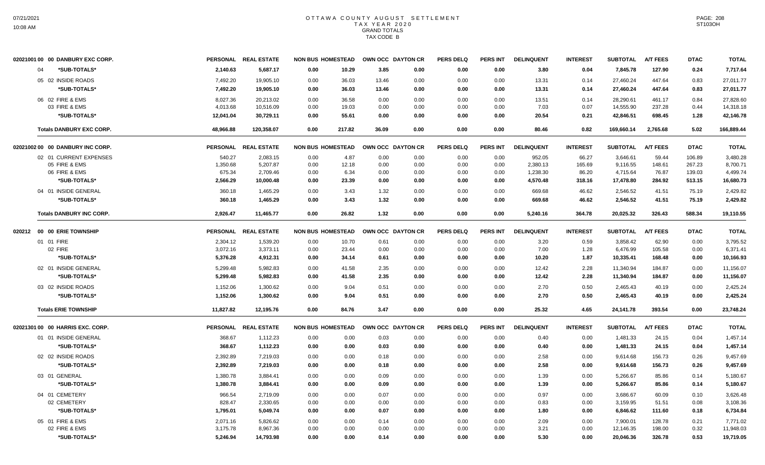| 02021001 00 00 DANBURY EXC CORP. |           | PERSONAL REAL ESTATE | <b>NON BUS HOMESTEAD</b> |        | OWN OCC DAYTON CR |                   | <b>PERS DELQ</b> | <b>PERS INT</b> | <b>DELINQUENT</b> | <b>INTEREST</b> | <b>SUBTOTAL</b> | <b>A/T FEES</b> | <b>DTAC</b> | <b>TOTAL</b> |
|----------------------------------|-----------|----------------------|--------------------------|--------|-------------------|-------------------|------------------|-----------------|-------------------|-----------------|-----------------|-----------------|-------------|--------------|
| *SUB-TOTALS*<br>04               | 2,140.63  | 5,687.17             | 0.00                     | 10.29  | 3.85              | 0.00              | 0.00             | 0.00            | 3.80              | 0.04            | 7,845.78        | 127.90          | 0.24        | 7,717.64     |
| 05 02 INSIDE ROADS               | 7,492.20  | 19,905.10            | 0.00                     | 36.03  | 13.46             | 0.00              | 0.00             | 0.00            | 13.31             | 0.14            | 27,460.24       | 447.64          | 0.83        | 27,011.77    |
| *SUB-TOTALS*                     | 7.492.20  | 19,905.10            | 0.00                     | 36.03  | 13.46             | 0.00              | 0.00             | 0.00            | 13.31             | 0.14            | 27,460.24       | 447.64          | 0.83        | 27,011.77    |
| 06 02 FIRE & EMS                 | 8,027.36  | 20,213.02            | 0.00                     | 36.58  | 0.00              | 0.00              | 0.00             | 0.00            | 13.51             | 0.14            | 28,290.61       | 461.17          | 0.84        | 27,828.60    |
| 03 FIRE & EMS                    | 4,013.68  | 10,516.09            | 0.00                     | 19.03  | 0.00              | 0.00              | 0.00             | 0.00            | 7.03              | 0.07            | 14,555.90       | 237.28          | 0.44        | 14,318.18    |
| *SUB-TOTALS*                     | 12,041.04 | 30,729.11            | 0.00                     | 55.61  | 0.00              | 0.00              | 0.00             | 0.00            | 20.54             | 0.21            | 42,846.51       | 698.45          | 1.28        | 42,146.78    |
| <b>Totals DANBURY EXC CORP.</b>  | 48,966.88 | 120,358.07           | 0.00                     | 217.82 | 36.09             | 0.00              | 0.00             | 0.00            | 80.46             | 0.82            | 169,660.14      | 2,765.68        | 5.02        | 166,889.44   |
| 02021002 00 00 DANBURY INC CORP. |           | PERSONAL REAL ESTATE | <b>NON BUS HOMESTEAD</b> |        |                   | OWN OCC DAYTON CR | <b>PERS DELQ</b> | <b>PERS INT</b> | <b>DELINQUENT</b> | <b>INTEREST</b> | <b>SUBTOTAL</b> | <b>A/T FEES</b> | <b>DTAC</b> | <b>TOTAL</b> |
| 02 01 CURRENT EXPENSES           | 540.27    | 2,083.15             | 0.00                     | 4.87   | 0.00              | 0.00              | 0.00             | 0.00            | 952.05            | 66.27           | 3,646.61        | 59.44           | 106.89      | 3,480.28     |
| 05 FIRE & EMS                    | 1,350.68  | 5,207.87             | 0.00                     | 12.18  | 0.00              | 0.00              | 0.00             | 0.00            | 2,380.13          | 165.69          | 9,116.55        | 148.61          | 267.23      | 8,700.71     |
| 06 FIRE & EMS                    | 675.34    | 2,709.46             | 0.00                     | 6.34   | 0.00              | 0.00              | 0.00             | 0.00            | 1,238.30          | 86.20           | 4,715.64        | 76.87           | 139.03      | 4.499.74     |
| *SUB-TOTALS*                     | 2,566.29  | 10,000.48            | 0.00                     | 23.39  | 0.00              | 0.00              | 0.00             | 0.00            | 4,570.48          | 318.16          | 17,478.80       | 284.92          | 513.15      | 16,680.73    |
| 04 01 INSIDE GENERAL             | 360.18    | 1,465.29             | 0.00                     | 3.43   | 1.32              | 0.00              | 0.00             | 0.00            | 669.68            | 46.62           | 2,546.52        | 41.51           | 75.19       | 2,429.82     |
| *SUB-TOTALS*                     | 360.18    | 1,465.29             | 0.00                     | 3.43   | 1.32              | 0.00              | 0.00             | 0.00            | 669.68            | 46.62           | 2,546.52        | 41.51           | 75.19       | 2,429.82     |
| <b>Totals DANBURY INC CORP.</b>  | 2.926.47  | 11.465.77            | 0.00                     | 26.82  | 1.32              | 0.00              | 0.00             | 0.00            | 5.240.16          | 364.78          | 20.025.32       | 326.43          | 588.34      | 19,110.55    |
| 020212 00 00 ERIE TOWNSHIP       |           | PERSONAL REAL ESTATE | <b>NON BUS HOMESTEAD</b> |        |                   | OWN OCC DAYTON CR | <b>PERS DELQ</b> | <b>PERS INT</b> | <b>DELINQUENT</b> | <b>INTEREST</b> | <b>SUBTOTAL</b> | <b>A/T FEES</b> | <b>DTAC</b> | <b>TOTAL</b> |
| 01 01 FIRE                       | 2,304.12  | 1,539.20             | 0.00                     | 10.70  | 0.61              | 0.00              | 0.00             | 0.00            | 3.20              | 0.59            | 3,858.42        | 62.90           | 0.00        | 3,795.52     |
| 02 FIRE                          | 3,072.16  | 3,373.11             | 0.00                     | 23.44  | 0.00              | 0.00              | 0.00             | 0.00            | 7.00              | 1.28            | 6,476.99        | 105.58          | 0.00        | 6,371.41     |
| *SUB-TOTALS*                     | 5,376.28  | 4,912.31             | 0.00                     | 34.14  | 0.61              | 0.00              | 0.00             | 0.00            | 10.20             | 1.87            | 10,335.41       | 168.48          | 0.00        | 10,166.93    |
| 02 01 INSIDE GENERAL             | 5,299.48  | 5,982.83             | 0.00                     | 41.58  | 2.35              | 0.00              | 0.00             | 0.00            | 12.42             | 2.28            | 11,340.94       | 184.87          | 0.00        | 11,156.07    |
| *SUB-TOTALS*                     | 5.299.48  | 5,982.83             | 0.00                     | 41.58  | 2.35              | 0.00              | 0.00             | 0.00            | 12.42             | 2.28            | 11,340.94       | 184.87          | 0.00        | 11,156.07    |
| 03 02 INSIDE ROADS               | 1,152.06  | 1,300.62             | 0.00                     | 9.04   | 0.51              | 0.00              | 0.00             | 0.00            | 2.70              | 0.50            | 2,465.43        | 40.19           | 0.00        | 2,425.24     |
| *SUB-TOTALS*                     | 1,152.06  | 1,300.62             | 0.00                     | 9.04   | 0.51              | 0.00              | 0.00             | 0.00            | 2.70              | 0.50            | 2,465.43        | 40.19           | 0.00        | 2,425.24     |
| <b>Totals ERIE TOWNSHIP</b>      | 11,827.82 | 12,195.76            | 0.00                     | 84.76  | 3.47              | 0.00              | 0.00             | 0.00            | 25.32             | 4.65            | 24,141.78       | 393.54          | 0.00        | 23,748.24    |
| 02021301 00 00 HARRIS EXC. CORP. |           | PERSONAL REAL ESTATE | <b>NON BUS HOMESTEAD</b> |        |                   | OWN OCC DAYTON CR | <b>PERS DELQ</b> | PERS INT        | <b>DELINQUENT</b> | <b>INTEREST</b> | <b>SUBTOTAL</b> | <b>A/T FEES</b> | <b>DTAC</b> | <b>TOTAL</b> |
| 01 01 INSIDE GENERAL             | 368.67    | 1,112.23             | 0.00                     | 0.00   | 0.03              | 0.00              | 0.00             | 0.00            | 0.40              | 0.00            | 1,481.33        | 24.15           | 0.04        | 1,457.14     |
| *SUB-TOTALS*                     | 368.67    | 1,112.23             | 0.00                     | 0.00   | 0.03              | 0.00              | 0.00             | 0.00            | 0.40              | 0.00            | 1,481.33        | 24.15           | 0.04        | 1,457.14     |
| 02 02 INSIDE ROADS               | 2,392.89  | 7,219.03             | 0.00                     | 0.00   | 0.18              | 0.00              | 0.00             | 0.00            | 2.58              | 0.00            | 9,614.68        | 156.73          | 0.26        | 9,457.69     |
| *SUB-TOTALS*                     | 2,392.89  | 7,219.03             | 0.00                     | 0.00   | 0.18              | 0.00              | 0.00             | 0.00            | 2.58              | 0.00            | 9,614.68        | 156.73          | 0.26        | 9,457.69     |
| 03 01 GENERAL                    | 1,380.78  | 3,884.41             | 0.00                     | 0.00   | 0.09              | 0.00              | 0.00             | 0.00            | 1.39              | 0.00            | 5,266.67        | 85.86           | 0.14        | 5,180.67     |
| *SUB-TOTALS*                     | 1,380.78  | 3,884.41             | 0.00                     | 0.00   | 0.09              | 0.00              | 0.00             | 0.00            | 1.39              | 0.00            | 5,266.67        | 85.86           | 0.14        | 5,180.67     |
| 04 01 CEMETERY                   | 966.54    | 2,719.09             | 0.00                     | 0.00   | 0.07              | 0.00              | 0.00             | 0.00            | 0.97              | 0.00            | 3,686.67        | 60.09           | 0.10        | 3,626.48     |
| 02 CEMETERY                      | 828.47    | 2,330.65             | 0.00                     | 0.00   | 0.00              | 0.00              | 0.00             | 0.00            | 0.83              | 0.00            | 3,159.95        | 51.51           | 0.08        | 3,108.36     |
| *SUB-TOTALS*                     | 1,795.01  | 5,049.74             | 0.00                     | 0.00   | 0.07              | 0.00              | 0.00             | 0.00            | 1.80              | 0.00            | 6,846.62        | 111.60          | 0.18        | 6,734.84     |
| 05 01 FIRE & EMS                 | 2,071.16  | 5,826.62             | 0.00                     | 0.00   | 0.14              | 0.00              | 0.00             | 0.00            | 2.09              | 0.00            | 7,900.01        | 128.78          | 0.21        | 7,771.02     |
| 02 FIRE & EMS                    | 3,175.78  | 8,967.36             | 0.00                     | 0.00   | 0.00              | 0.00              | 0.00             | 0.00            | 3.21              | 0.00            | 12,146.35       | 198.00          | 0.32        | 11,948.03    |
| *SUB-TOTALS*                     | 5,246.94  | 14,793.98            | 0.00                     | 0.00   | 0.14              | 0.00              | 0.00             | 0.00            | 5.30              | 0.00            | 20,046.36       | 326.78          | 0.53        | 19,719.05    |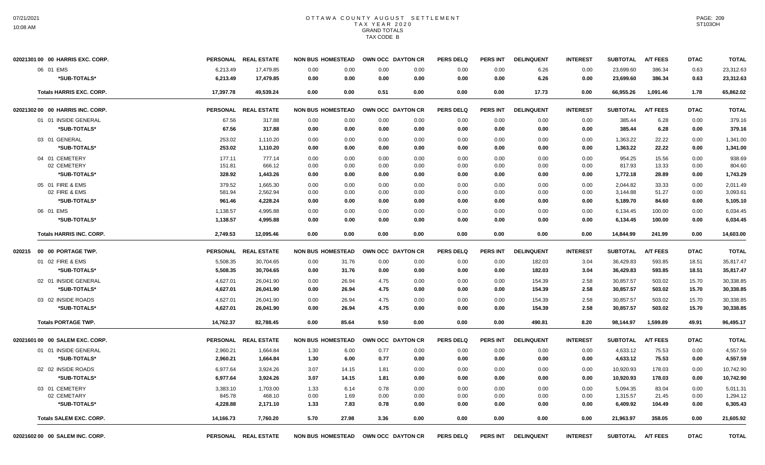| 02021301 00 00 HARRIS EXC. CORP.   |           | PERSONAL REAL ESTATE | <b>NON BUS HOMESTEAD</b> | OWN OCC DAYTON CR |      | <b>PERS DELQ</b> | <b>PERS INT</b> | <b>DELINQUENT</b> | <b>INTEREST</b> | <b>SUBTOTAL</b> | <b>A/T FEES</b> | <b>DTAC</b> | <b>TOTAL</b> |
|------------------------------------|-----------|----------------------|--------------------------|-------------------|------|------------------|-----------------|-------------------|-----------------|-----------------|-----------------|-------------|--------------|
| 06 01 EMS                          | 6,213.49  | 17,479.85            | 0.00<br>0.00             | 0.00              | 0.00 | 0.00             | 0.00            | 6.26              | 0.00            | 23,699.60       | 386.34          | 0.63        | 23,312.63    |
| *SUB-TOTALS*                       | 6,213.49  | 17,479.85            | 0.00<br>0.00             | 0.00              | 0.00 | 0.00             | 0.00            | 6.26              | 0.00            | 23,699.60       | 386.34          | 0.63        | 23,312.63    |
| <b>Totals HARRIS EXC. CORP.</b>    | 17,397.78 | 49,539.24            | 0.00<br>0.00             | 0.51              | 0.00 | 0.00             | 0.00            | 17.73             | 0.00            | 66,955.26       | 1,091.46        | 1.78        | 65,862.02    |
| 02021302 00 00 HARRIS INC. CORP.   |           | PERSONAL REAL ESTATE | <b>NON BUS HOMESTEAD</b> | OWN OCC DAYTON CR |      | <b>PERS DELQ</b> | <b>PERS INT</b> | <b>DELINQUENT</b> | <b>INTEREST</b> | <b>SUBTOTAL</b> | <b>A/T FEES</b> | <b>DTAC</b> | <b>TOTAL</b> |
| 01 01 INSIDE GENERAL               | 67.56     | 317.88               | 0.00<br>0.00             | 0.00              | 0.00 | 0.00             | 0.00            | 0.00              | 0.00            | 385.44          | 6.28            | 0.00        | 379.16       |
| *SUB-TOTALS*                       | 67.56     | 317.88               | 0.00<br>0.00             | 0.00              | 0.00 | 0.00             | 0.00            | 0.00              | 0.00            | 385.44          | 6.28            | 0.00        | 379.16       |
| 03 01 GENERAL                      | 253.02    | 1,110.20             | 0.00<br>0.00             | 0.00              | 0.00 | 0.00             | 0.00            | 0.00              | 0.00            | 1,363.22        | 22.22           | 0.00        | 1,341.00     |
| *SUB-TOTALS*                       | 253.02    | 1,110.20             | 0.00<br>0.00             | 0.00              | 0.00 | 0.00             | 0.00            | 0.00              | 0.00            | 1,363.22        | 22.22           | 0.00        | 1,341.00     |
| 04 01 CEMETERY                     | 177.11    | 777.14               | 0.00<br>0.00             | 0.00              | 0.00 | 0.00             | 0.00            | 0.00              | 0.00            | 954.25          | 15.56           | 0.00        | 938.69       |
| 02 CEMETERY                        | 151.81    | 666.12               | 0.00<br>0.00             | 0.00              | 0.00 | 0.00             | 0.00            | 0.00              | 0.00            | 817.93          | 13.33           | 0.00        | 804.60       |
| *SUB-TOTALS*                       | 328.92    | 1,443.26             | 0.00<br>0.00             | 0.00              | 0.00 | 0.00             | 0.00            | 0.00              | 0.00            | 1,772.18        | 28.89           | 0.00        | 1,743.29     |
| 05 01 FIRE & EMS                   | 379.52    | 1,665.30             | 0.00<br>0.00             | 0.00              | 0.00 | 0.00             | 0.00            | 0.00              | 0.00            | 2,044.82        | 33.33           | 0.00        | 2,011.49     |
| 02 FIRE & EMS                      | 581.94    | 2,562.94             | 0.00<br>0.00             | 0.00              | 0.00 | 0.00             | 0.00            | 0.00              | 0.00            | 3,144.88        | 51.27           | 0.00        | 3,093.61     |
| *SUB-TOTALS*                       | 961.46    | 4,228.24             | 0.00<br>0.00             | 0.00              | 0.00 | 0.00             | 0.00            | 0.00              | 0.00            | 5,189.70        | 84.60           | 0.00        | 5,105.10     |
| 06 01 EMS                          | 1,138.57  | 4,995.88             | 0.00<br>0.00             | 0.00              | 0.00 | 0.00             | 0.00            | 0.00              | 0.00            | 6,134.45        | 100.00          | 0.00        | 6,034.45     |
| *SUB-TOTALS*                       | 1,138.57  | 4,995.88             | 0.00<br>0.00             | 0.00              | 0.00 | 0.00             | 0.00            | 0.00              | 0.00            | 6,134.45        | 100.00          | 0.00        | 6,034.45     |
| <b>Totals HARRIS INC. CORP.</b>    | 2,749.53  | 12,095.46            | 0.00<br>0.00             | 0.00              | 0.00 | 0.00             | 0.00            | 0.00              | 0.00            | 14,844.99       | 241.99          | 0.00        | 14,603.00    |
| 020215    00    00    PORTAGE TWP. |           | PERSONAL REAL ESTATE | <b>NON BUS HOMESTEAD</b> | OWN OCC DAYTON CR |      | <b>PERS DELQ</b> | PERS INT        | <b>DELINQUENT</b> | <b>INTEREST</b> | <b>SUBTOTAL</b> | <b>A/T FEES</b> | <b>DTAC</b> | <b>TOTAL</b> |
| 01 02 FIRE & EMS                   | 5,508.35  | 30,704.65            | 0.00<br>31.76            | 0.00              | 0.00 | 0.00             | 0.00            | 182.03            | 3.04            | 36,429.83       | 593.85          | 18.51       | 35,817.47    |
| *SUB-TOTALS*                       | 5,508.35  | 30,704.65            | 0.00<br>31.76            | 0.00              | 0.00 | 0.00             | 0.00            | 182.03            | 3.04            | 36,429.83       | 593.85          | 18.51       | 35,817.47    |
| 02 01 INSIDE GENERAL               | 4,627.01  | 26,041.90            | 0.00<br>26.94            | 4.75              | 0.00 | 0.00             | 0.00            | 154.39            | 2.58            | 30,857.57       | 503.02          | 15.70       | 30,338.85    |
| *SUB-TOTALS*                       | 4,627.01  | 26,041.90            | 0.00<br>26.94            | 4.75              | 0.00 | 0.00             | 0.00            | 154.39            | 2.58            | 30,857.57       | 503.02          | 15.70       | 30,338.85    |
| 03 02 INSIDE ROADS                 | 4,627.01  | 26,041.90            | 0.00<br>26.94            | 4.75              | 0.00 | 0.00             | 0.00            | 154.39            | 2.58            | 30,857.57       | 503.02          | 15.70       | 30,338.85    |
| *SUB-TOTALS*                       | 4,627.01  | 26,041.90            | 0.00<br>26.94            | 4.75              | 0.00 | 0.00             | 0.00            | 154.39            | 2.58            | 30,857.57       | 503.02          | 15.70       | 30,338.85    |
| <b>Totals PORTAGE TWP.</b>         | 14,762.37 | 82,788.45            | 0.00<br>85.64            | 9.50              | 0.00 | 0.00             | 0.00            | 490.81            | 8.20            | 98,144.97       | 1,599.89        | 49.91       | 96,495.17    |
| 02021601 00 00 SALEM EXC. CORP.    |           | PERSONAL REAL ESTATE | <b>NON BUS HOMESTEAD</b> | OWN OCC DAYTON CR |      | <b>PERS DELQ</b> | <b>PERS INT</b> | <b>DELINQUENT</b> | <b>INTEREST</b> | <b>SUBTOTAL</b> | <b>A/T FEES</b> | <b>DTAC</b> | <b>TOTAL</b> |
| 01 01 INSIDE GENERAL               | 2,960.21  | 1,664.84             | 6.00<br>1.30             | 0.77              | 0.00 | 0.00             | 0.00            | 0.00              | 0.00            | 4,633.12        | 75.53           | 0.00        | 4,557.59     |
| *SUB-TOTALS*                       | 2,960.21  | 1,664.84             | 6.00<br>1.30             | 0.77              | 0.00 | 0.00             | 0.00            | 0.00              | 0.00            | 4,633.12        | 75.53           | 0.00        | 4,557.59     |
| 02 02 INSIDE ROADS                 | 6,977.64  | 3,924.26             | 3.07<br>14.15            | 1.81              | 0.00 | 0.00             | 0.00            | 0.00              | 0.00            | 10,920.93       | 178.03          | 0.00        | 10,742.90    |
| *SUB-TOTALS*                       | 6,977.64  | 3,924.26             | 3.07<br>14.15            | 1.81              | 0.00 | 0.00             | 0.00            | 0.00              | 0.00            | 10,920.93       | 178.03          | 0.00        | 10,742.90    |
| 03 01 CEMETERY                     | 3,383.10  | 1,703.00             | 1.33<br>6.14             | 0.78              | 0.00 | 0.00             | 0.00            | 0.00              | 0.00            | 5,094.35        | 83.04           | 0.00        | 5,011.31     |
| 02 CEMETARY                        | 845.78    | 468.10               | 0.00<br>1.69             | 0.00              | 0.00 | 0.00             | 0.00            | 0.00              | 0.00            | 1,315.57        | 21.45           | 0.00        | 1,294.12     |
| *SUB-TOTALS*                       | 4,228.88  | 2,171.10             | 7.83<br>1.33             | 0.78              | 0.00 | 0.00             | 0.00            | 0.00              | 0.00            | 6,409.92        | 104.49          | 0.00        | 6,305.43     |
| <b>Totals SALEM EXC. CORP.</b>     | 14,166.73 | 7,760.20             | 5.70<br>27.98            | 3.36              | 0.00 | 0.00             | 0.00            | 0.00              | 0.00            | 21,963.97       | 358.05          | 0.00        | 21,605.92    |
| 02021602 00 00 SALEM INC. CORP.    |           | PERSONAL REAL ESTATE | <b>NON BUS HOMESTEAD</b> | OWN OCC DAYTON CR |      | <b>PERS DELQ</b> | <b>PERS INT</b> | <b>DELINQUENT</b> | <b>INTEREST</b> | <b>SUBTOTAL</b> | <b>A/T FEES</b> | <b>DTAC</b> | <b>TOTAL</b> |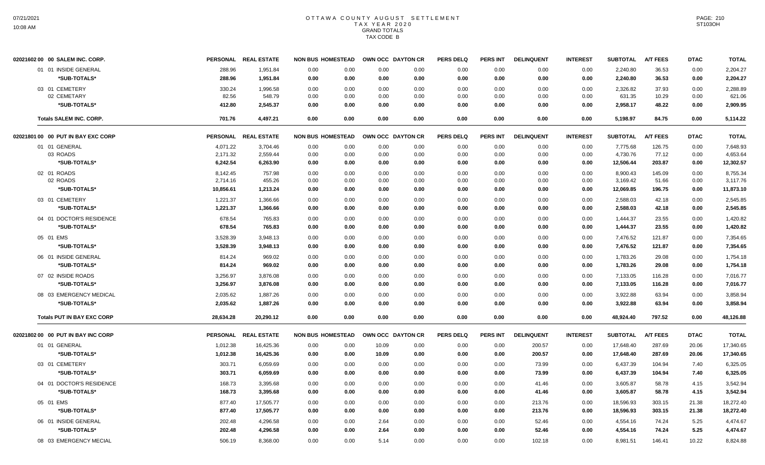| 02021602 00 00 SALEM INC. CORP.    |           | PERSONAL REAL ESTATE | <b>NON BUS HOMESTEAD</b> |      |       | OWN OCC DAYTON CR | <b>PERS DELQ</b> | PERS INT        | <b>DELINQUENT</b> | <b>INTEREST</b> | <b>SUBTOTAL</b> | <b>A/T FEES</b> | <b>DTAC</b> | <b>TOTAL</b> |
|------------------------------------|-----------|----------------------|--------------------------|------|-------|-------------------|------------------|-----------------|-------------------|-----------------|-----------------|-----------------|-------------|--------------|
| 01 01 INSIDE GENERAL               | 288.96    | 1,951.84             | 0.00                     | 0.00 | 0.00  | 0.00              | 0.00             | 0.00            | 0.00              | 0.00            | 2,240.80        | 36.53           | 0.00        | 2,204.27     |
| *SUB-TOTALS*                       | 288.96    | 1,951.84             | 0.00                     | 0.00 | 0.00  | 0.00              | 0.00             | 0.00            | 0.00              | 0.00            | 2,240.80        | 36.53           | 0.00        | 2,204.27     |
| 03 01 CEMETERY                     | 330.24    | 1,996.58             | 0.00                     | 0.00 | 0.00  | 0.00              | 0.00             | 0.00            | 0.00              | 0.00            | 2,326.82        | 37.93           | 0.00        | 2,288.89     |
| 02 CEMETARY                        | 82.56     | 548.79               | 0.00                     | 0.00 | 0.00  | 0.00              | 0.00             | 0.00            | 0.00              | 0.00            | 631.35          | 10.29           | 0.00        | 621.06       |
| *SUB-TOTALS*                       | 412.80    | 2,545.37             | 0.00                     | 0.00 | 0.00  | 0.00              | 0.00             | 0.00            | 0.00              | 0.00            | 2,958.17        | 48.22           | 0.00        | 2,909.95     |
| <b>Totals SALEM INC. CORP.</b>     | 701.76    | 4,497.21             | 0.00                     | 0.00 | 0.00  | 0.00              | 0.00             | 0.00            | 0.00              | 0.00            | 5,198.97        | 84.75           | 0.00        | 5,114.22     |
| 02021801 00 00 PUT IN BAY EXC CORP |           | PERSONAL REAL ESTATE | <b>NON BUS HOMESTEAD</b> |      |       | OWN OCC DAYTON CR | <b>PERS DELQ</b> | <b>PERS INT</b> | <b>DELINQUENT</b> | <b>INTEREST</b> | <b>SUBTOTAL</b> | <b>A/T FEES</b> | <b>DTAC</b> | <b>TOTAL</b> |
| 01 01 GENERAL                      | 4,071.22  | 3,704.46             | 0.00                     | 0.00 | 0.00  | 0.00              | 0.00             | 0.00            | 0.00              | 0.00            | 7,775.68        | 126.75          | 0.00        | 7,648.93     |
| 03 ROADS                           | 2,171.32  | 2,559.44             | 0.00                     | 0.00 | 0.00  | 0.00              | 0.00             | 0.00            | 0.00              | 0.00            | 4,730.76        | 77.12           | 0.00        | 4,653.64     |
| *SUB-TOTALS*                       | 6,242.54  | 6,263.90             | 0.00                     | 0.00 | 0.00  | 0.00              | 0.00             | 0.00            | 0.00              | 0.00            | 12,506.44       | 203.87          | 0.00        | 12,302.57    |
| 02 01 ROADS                        | 8,142.45  | 757.98               | 0.00                     | 0.00 | 0.00  | 0.00              | 0.00             | 0.00            | 0.00              | 0.00            | 8,900.43        | 145.09          | 0.00        | 8,755.34     |
| 02 ROADS                           | 2,714.16  | 455.26               | 0.00                     | 0.00 | 0.00  | 0.00              | 0.00             | 0.00            | 0.00              | 0.00            | 3,169.42        | 51.66           | 0.00        | 3,117.76     |
| *SUB-TOTALS*                       | 10,856.61 | 1,213.24             | 0.00                     | 0.00 | 0.00  | 0.00              | 0.00             | 0.00            | 0.00              | 0.00            | 12,069.85       | 196.75          | 0.00        | 11,873.10    |
| 03 01 CEMETERY                     | 1,221.37  | 1,366.66             | 0.00                     | 0.00 | 0.00  | 0.00              | 0.00             | 0.00            | 0.00              | 0.00            | 2,588.03        | 42.18           | 0.00        | 2,545.85     |
| *SUB-TOTALS*                       | 1,221.37  | 1,366.66             | 0.00                     | 0.00 | 0.00  | 0.00              | 0.00             | 0.00            | 0.00              | 0.00            | 2,588.03        | 42.18           | 0.00        | 2,545.85     |
| 04 01 DOCTOR'S RESIDENCE           | 678.54    | 765.83               | 0.00                     | 0.00 | 0.00  | 0.00              | 0.00             | 0.00            | 0.00              | 0.00            | 1,444.37        | 23.55           | 0.00        | 1,420.82     |
| *SUB-TOTALS*                       | 678.54    | 765.83               | 0.00                     | 0.00 | 0.00  | 0.00              | 0.00             | 0.00            | 0.00              | 0.00            | 1,444.37        | 23.55           | 0.00        | 1,420.82     |
| 05 01 EMS                          | 3,528.39  | 3,948.13             | 0.00                     | 0.00 | 0.00  | 0.00              | 0.00             | 0.00            | 0.00              | 0.00            | 7,476.52        | 121.87          | 0.00        | 7,354.65     |
| *SUB-TOTALS*                       | 3,528.39  | 3,948.13             | 0.00                     | 0.00 | 0.00  | 0.00              | 0.00             | 0.00            | 0.00              | 0.00            | 7,476.52        | 121.87          | 0.00        | 7,354.65     |
| 06 01 INSIDE GENERAL               | 814.24    | 969.02               | 0.00                     | 0.00 | 0.00  | 0.00              | 0.00             | 0.00            | 0.00              | 0.00            | 1,783.26        | 29.08           | 0.00        | 1,754.18     |
| *SUB-TOTALS*                       | 814.24    | 969.02               | 0.00                     | 0.00 | 0.00  | 0.00              | 0.00             | 0.00            | 0.00              | 0.00            | 1,783.26        | 29.08           | 0.00        | 1,754.18     |
| 07 02 INSIDE ROADS                 | 3,256.97  | 3,876.08             | 0.00                     | 0.00 | 0.00  | 0.00              | 0.00             | 0.00            | 0.00              | 0.00            | 7,133.05        | 116.28          | 0.00        | 7.016.77     |
| *SUB-TOTALS*                       | 3,256.97  | 3,876.08             | 0.00                     | 0.00 | 0.00  | 0.00              | 0.00             | 0.00            | 0.00              | 0.00            | 7,133.05        | 116.28          | 0.00        | 7,016.77     |
|                                    |           |                      |                          |      |       |                   |                  |                 |                   |                 |                 |                 |             |              |
| 08 03 EMERGENCY MEDICAL            | 2,035.62  | 1,887.26             | 0.00                     | 0.00 | 0.00  | 0.00              | 0.00             | 0.00<br>0.00    | 0.00              | 0.00            | 3,922.88        | 63.94           | 0.00        | 3.858.94     |
| *SUB-TOTALS*                       | 2,035.62  | 1,887.26             | 0.00                     | 0.00 | 0.00  | 0.00              | 0.00             |                 | 0.00              | 0.00            | 3,922.88        | 63.94           | 0.00        | 3,858.94     |
| <b>Totals PUT IN BAY EXC CORP</b>  | 28,634.28 | 20,290.12            | 0.00                     | 0.00 | 0.00  | 0.00              | 0.00             | 0.00            | 0.00              | 0.00            | 48,924.40       | 797.52          | 0.00        | 48,126.88    |
| 02021802 00 00 PUT IN BAY INC CORP |           | PERSONAL REAL ESTATE | <b>NON BUS HOMESTEAD</b> |      |       | OWN OCC DAYTON CR | <b>PERS DELQ</b> | <b>PERS INT</b> | <b>DELINQUENT</b> | <b>INTEREST</b> | <b>SUBTOTAL</b> | <b>A/T FEES</b> | <b>DTAC</b> | <b>TOTAL</b> |
| 01 01 GENERAL                      | 1,012.38  | 16,425.36            | 0.00                     | 0.00 | 10.09 | 0.00              | 0.00             | 0.00            | 200.57            | 0.00            | 17,648.40       | 287.69          | 20.06       | 17,340.65    |
| *SUB-TOTALS*                       | 1,012.38  | 16,425.36            | 0.00                     | 0.00 | 10.09 | 0.00              | 0.00             | 0.00            | 200.57            | 0.00            | 17,648.40       | 287.69          | 20.06       | 17,340.65    |
| 03 01 CEMETERY                     | 303.71    | 6,059.69             | 0.00                     | 0.00 | 0.00  | 0.00              | 0.00             | 0.00            | 73.99             | 0.00            | 6,437.39        | 104.94          | 7.40        | 6,325.05     |
| *SUB-TOTALS*                       | 303.71    | 6,059.69             | 0.00                     | 0.00 | 0.00  | 0.00              | 0.00             | 0.00            | 73.99             | 0.00            | 6,437.39        | 104.94          | 7.40        | 6,325.05     |
| 04 01 DOCTOR'S RESIDENCE           | 168.73    | 3,395.68             | 0.00                     | 0.00 | 0.00  | 0.00              | 0.00             | 0.00            | 41.46             | 0.00            | 3,605.87        | 58.78           | 4.15        | 3,542.94     |
| *SUB-TOTALS*                       | 168.73    | 3,395.68             | 0.00                     | 0.00 | 0.00  | 0.00              | 0.00             | 0.00            | 41.46             | 0.00            | 3,605.87        | 58.78           | 4.15        | 3,542.94     |
|                                    |           |                      |                          |      |       |                   |                  |                 |                   |                 |                 |                 |             |              |
| 05 01 EMS                          | 877.40    | 17,505.77            | 0.00                     | 0.00 | 0.00  | 0.00              | 0.00             | 0.00            | 213.76            | 0.00            | 18,596.93       | 303.15          | 21.38       | 18,272.40    |
| *SUB-TOTALS*                       | 877.40    | 17,505.77            | 0.00                     | 0.00 | 0.00  | 0.00              | 0.00             | 0.00            | 213.76            | 0.00            | 18,596.93       | 303.15          | 21.38       | 18,272.40    |
| 06 01 INSIDE GENERAL               | 202.48    | 4,296.58             | 0.00                     | 0.00 | 2.64  | 0.00              | 0.00             | 0.00            | 52.46             | 0.00            | 4,554.16        | 74.24           | 5.25        | 4,474.67     |
| *SUB-TOTALS*                       | 202.48    | 4,296.58             | 0.00                     | 0.00 | 2.64  | 0.00              | 0.00             | 0.00            | 52.46             | 0.00            | 4,554.16        | 74.24           | 5.25        | 4,474.67     |
| 08 03 EMERGENCY MECIAL             | 506.19    | 8,368.00             | 0.00                     | 0.00 | 5.14  | 0.00              | 0.00             | 0.00            | 102.18            | 0.00            | 8,981.51        | 146.41          | 10.22       | 8,824.88     |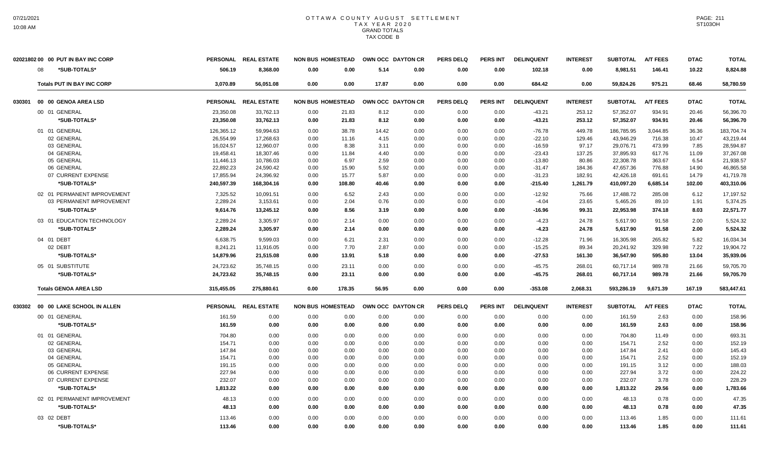| *SUB-TOTALS*<br>506.19<br>8,368.00<br>5.14<br>0.00<br>8,981.51<br>10.22<br>08<br>0.00<br>0.00<br>0.00<br>0.00<br>102.18<br>0.00<br>146.41<br>8,824.88<br>68.46<br><b>Totals PUT IN BAY INC CORP</b><br>3,070.89<br>56,051.08<br>0.00<br>0.00<br>17.87<br>0.00<br>0.00<br>0.00<br>684.42<br>0.00<br>59,824.26<br>975.21<br>58,780.59<br>00 00 GENOA AREA LSD<br>PERSONAL REAL ESTATE<br><b>NON BUS HOMESTEAD</b><br>OWN OCC DAYTON CR<br><b>PERS DELQ</b><br><b>PERS INT</b><br><b>DELINQUENT</b><br><b>INTEREST</b><br><b>SUBTOTAL</b><br><b>A/T FEES</b><br><b>DTAC</b><br><b>TOTAL</b><br>030301<br>23,350.08<br>33,762.13<br>21.83<br>253.12<br>57,352.07<br>934.91<br>20.46<br>56,396.70<br>00 01 GENERAL<br>0.00<br>8.12<br>0.00<br>0.00<br>0.00<br>$-43.21$<br>*SUB-TOTALS*<br>23,350.08<br>33,762.13<br>253.12<br>57,352.07<br>0.00<br>21.83<br>8.12<br>0.00<br>0.00<br>0.00<br>$-43.21$<br>934.91<br>20.46<br>56,396.70<br>01 01 GENERAL<br>126,365.12<br>59.994.63<br>0.00<br>38.78<br>14.42<br>0.00<br>0.00<br>0.00<br>$-76.78$<br>449.78<br>186,785.95<br>3,044.85<br>36.36<br>183,704.74<br>02 GENERAL<br>26,554.99<br>0.00<br>43,946.29<br>17,268.63<br>0.00<br>11.16<br>4.15<br>0.00<br>0.00<br>$-22.10$<br>129.46<br>716.38<br>10.47<br>43,219.44<br>03 GENERAL<br>16,024.57<br>12,960.07<br>0.00<br>8.38<br>0.00<br>0.00<br>0.00<br>$-16.59$<br>97.17<br>29,076.71<br>473.99<br>7.85<br>28,594.87<br>3.11<br>04 GENERAL<br>19,458.41<br>18,307.46<br>0.00<br>11.84<br>4.40<br>0.00<br>0.00<br>0.00<br>$-23.43$<br>137.25<br>37,895.93<br>617.76<br>11.09<br>37,267.08<br>05 GENERAL<br>10,786.03<br>0.00<br>6.97<br>2.59<br>0.00<br>80.86<br>22,308.78<br>363.67<br>6.54<br>21,938.57<br>11,446.13<br>0.00<br>0.00<br>$-13.80$<br>47,657.36<br>46,865.58<br>06 GENERAL<br>22,892.23<br>24,590.42<br>0.00<br>15.90<br>5.92<br>0.00<br>0.00<br>0.00<br>$-31.47$<br>184.36<br>776.88<br>14.90<br>17,855.94<br>24,396.92<br>$-31.23$<br>42,426.18<br>41,719.78<br>07 CURRENT EXPENSE<br>0.00<br>15.77<br>5.87<br>0.00<br>0.00<br>0.00<br>182.91<br>691.61<br>14.79<br>*SUB-TOTALS*<br>240,597.39<br>168,304.16<br>0.00<br>108.80<br>40.46<br>0.00<br>0.00<br>0.00<br>$-215.40$<br>1,261.79<br>410,097.20<br>6,685.14<br>102.00<br>403,310.06<br>02 01 PERMANENT IMPROVEMENT<br>6.52<br>17,488.72<br>17.197.52<br>7.325.52<br>10.091.51<br>0.00<br>2.43<br>0.00<br>0.00<br>0.00<br>$-12.92$<br>75.66<br>285.08<br>6.12<br>23.65<br>03 PERMANENT IMPROVEMENT<br>2.289.24<br>3,153.61<br>0.00<br>2.04<br>0.76<br>0.00<br>0.00<br>0.00<br>$-4.04$<br>5,465.26<br>89.10<br>1.91<br>5,374.25<br>*SUB-TOTALS*<br>9,614.76<br>13,245.12<br>0.00<br>8.56<br>0.00<br>0.00<br>0.00<br>99.31<br>22,953.98<br>374.18<br>8.03<br>22,571.77<br>3.19<br>$-16.96$<br>03 01 EDUCATION TECHNOLOGY<br>2,289.24<br>2.14<br>0.00<br>24.78<br>5,617.90<br>91.58<br>5,524.32<br>3,305.97<br>0.00<br>0.00<br>0.00<br>0.00<br>$-4.23$<br>2.00<br>*SUB-TOTALS*<br>91.58<br>2.289.24<br>3,305.97<br>0.00<br>2.14<br>0.00<br>0.00<br>0.00<br>0.00<br>$-4.23$<br>24.78<br>5,617.90<br>2.00<br>5.524.32<br>5.82<br>04 01 DEBT<br>6,638.75<br>9,599.03<br>0.00<br>6.21<br>2.31<br>0.00<br>0.00<br>0.00<br>$-12.28$<br>71.96<br>16,305.98<br>265.82<br>16,034.34<br>02 DEBT<br>8,241.21<br>0.00<br>7.70<br>2.87<br>0.00<br>0.00<br>0.00<br>$-15.25$<br>89.34<br>20,241.92<br>329.98<br>7.22<br>19,904.72<br>11,916.05<br>*SUB-TOTALS*<br>14,879.96<br>21,515.08<br>0.00<br>13.91<br>5.18<br>0.00<br>0.00<br>0.00<br>$-27.53$<br>161.30<br>36,547.90<br>595.80<br>13.04<br>35,939.06<br>05 01 SUBSTITUTE<br>24,723.62<br>35,748.15<br>0.00<br>23.11<br>0.00<br>0.00<br>$-45.75$<br>268.01<br>60,717.14<br>989.78<br>21.66<br>59,705.70<br>0.00<br>0.00<br>*SUB-TOTALS*<br>24,723.62<br>35,748.15<br>0.00<br>23.11<br>0.00<br>0.00<br>0.00<br>$-45.75$<br>268.01<br>60,717.14<br>989.78<br>21.66<br>59,705.70<br>0.00<br>178.35<br><b>Totals GENOA AREA LSD</b><br>315,455.05<br>275,880.61<br>0.00<br>56.95<br>0.00<br>$-353.08$<br>2,068.31<br>593,286.19<br>9,671.39<br>167.19<br>583,447.61<br>0.00<br>0.00<br><b>NON BUS HOMESTEAD</b><br><b>SUBTOTAL</b><br><b>A/T FEES</b><br><b>DTAC</b><br><b>TOTAL</b><br>00 00 LAKE SCHOOL IN ALLEN<br>PERSONAL REAL ESTATE<br>OWN OCC DAYTON CR<br><b>PERS DELQ</b><br><b>PERS INT</b><br><b>DELINQUENT</b><br><b>INTEREST</b><br>030302<br>00 01 GENERAL<br>158.96<br>161.59<br>0.00<br>0.00<br>0.00<br>0.00<br>0.00<br>0.00<br>0.00<br>0.00<br>0.00<br>161.59<br>2.63<br>0.00<br>*SUB-TOTALS*<br>161.59<br>0.00<br>0.00<br>0.00<br>0.00<br>0.00<br>0.00<br>161.59<br>2.63<br>0.00<br>158.96<br>0.00<br>0.00<br>0.00<br>01 01 GENERAL<br>704.80<br>0.00<br>0.00<br>0.00<br>0.00<br>0.00<br>0.00<br>0.00<br>0.00<br>0.00<br>704.80<br>11.49<br>0.00<br>693.31<br>0.00<br>0.00<br>0.00<br>2.52<br>02 GENERAL<br>154.71<br>0.00<br>0.00<br>0.00<br>0.00<br>0.00<br>0.00<br>154.71<br>0.00<br>152.19<br>03 GENERAL<br>147.84<br>0.00<br>0.00<br>0.00<br>147.84<br>2.41<br>0.00<br>145.43<br>0.00<br>0.00<br>0.00<br>0.00<br>0.00<br>0.00<br>04 GENERAL<br>0.00<br>2.52<br>154.71<br>0.00<br>0.00<br>0.00<br>0.00<br>0.00<br>0.00<br>0.00<br>0.00<br>154.71<br>0.00<br>152.19<br>3.12<br>05 GENERAL<br>0.00<br>0.00<br>0.00<br>0.00<br>0.00<br>0.00<br>0.00<br>188.03<br>191.15<br>0.00<br>0.00<br>0.00<br>191.15<br>06 CURRENT EXPENSE<br>227.94<br>3.72<br>224.22<br>0.00<br>0.00<br>0.00<br>0.00<br>0.00<br>0.00<br>0.00<br>0.00<br>0.00<br>227.94<br>0.00<br>07 CURRENT EXPENSE<br>232.07<br>0.00<br>0.00<br>0.00<br>0.00<br>0.00<br>0.00<br>232.07<br>3.78<br>0.00<br>228.29<br>0.00<br>0.00<br>0.00<br>*SUB-TOTALS*<br>1,813.22<br>0.00<br>0.00<br>0.00<br>0.00<br>0.00<br>0.00<br>0.00<br>0.00<br>0.00<br>1,813.22<br>29.56<br>0.00<br>1,783.66<br>02 01 PERMANENT IMPROVEMENT<br>48.13<br>0.00<br>0.78<br>47.35<br>0.00<br>0.00<br>0.00<br>0.00<br>0.00<br>0.00<br>0.00<br>0.00<br>48.13<br>0.00<br>*SUB-TOTALS*<br>48.13<br>0.00<br>0.00<br>0.00<br>0.00<br>0.00<br>48.13<br>0.78<br>0.00<br>47.35<br>0.00<br>0.00<br>0.00<br>0.00<br>03 02 DEBT<br>113.46<br>0.00<br>0.00<br>0.00<br>0.00<br>0.00<br>0.00<br>0.00<br>0.00<br>0.00<br>113.46<br>1.85<br>0.00<br>111.61 | 02021802 00 00 PUT IN BAY INC CORP |        | PERSONAL REAL ESTATE | <b>NON BUS HOMESTEAD</b> |      | OWN OCC DAYTON CR |      | <b>PERS DELQ</b> | <b>PERS INT</b> | <b>DELINQUENT</b> | <b>INTEREST</b> | <b>SUBTOTAL</b> | <b>A/T FEES</b> | <b>DTAC</b> | <b>TOTAL</b> |
|--------------------------------------------------------------------------------------------------------------------------------------------------------------------------------------------------------------------------------------------------------------------------------------------------------------------------------------------------------------------------------------------------------------------------------------------------------------------------------------------------------------------------------------------------------------------------------------------------------------------------------------------------------------------------------------------------------------------------------------------------------------------------------------------------------------------------------------------------------------------------------------------------------------------------------------------------------------------------------------------------------------------------------------------------------------------------------------------------------------------------------------------------------------------------------------------------------------------------------------------------------------------------------------------------------------------------------------------------------------------------------------------------------------------------------------------------------------------------------------------------------------------------------------------------------------------------------------------------------------------------------------------------------------------------------------------------------------------------------------------------------------------------------------------------------------------------------------------------------------------------------------------------------------------------------------------------------------------------------------------------------------------------------------------------------------------------------------------------------------------------------------------------------------------------------------------------------------------------------------------------------------------------------------------------------------------------------------------------------------------------------------------------------------------------------------------------------------------------------------------------------------------------------------------------------------------------------------------------------------------------------------------------------------------------------------------------------------------------------------------------------------------------------------------------------------------------------------------------------------------------------------------------------------------------------------------------------------------------------------------------------------------------------------------------------------------------------------------------------------------------------------------------------------------------------------------------------------------------------------------------------------------------------------------------------------------------------------------------------------------------------------------------------------------------------------------------------------------------------------------------------------------------------------------------------------------------------------------------------------------------------------------------------------------------------------------------------------------------------------------------------------------------------------------------------------------------------------------------------------------------------------------------------------------------------------------------------------------------------------------------------------------------------------------------------------------------------------------------------------------------------------------------------------------------------------------------------------------------------------------------------------------------------------------------------------------------------------------------------------------------------------------------------------------------------------------------------------------------------------------------------------------------------------------------------------------------------------------------------------------------------------------------------------------------------------------------------------------------------------------------------------------------------------------------------------------------------------------------------------------------------------------------------------------------------------------------------------------------------------------------------------------------------------------------------------------------------------------------------------------------------------------------------------------------------------------------------------------------------------------------------------------------------------------------------------------------------------------------------------------------------------------------------------------------------------------------------------------------------------------------------------------------------------------------------------------------------------------------------------------------------------------------------------------------------------------------------------------------------------------------------------------------------------------------------------------------------------------------------------------------------------------------------------------------------------------------------------------------------------------------------------------------------------------------------------------------------------------------------------------------------------------------------------------------------------------------|------------------------------------|--------|----------------------|--------------------------|------|-------------------|------|------------------|-----------------|-------------------|-----------------|-----------------|-----------------|-------------|--------------|
|                                                                                                                                                                                                                                                                                                                                                                                                                                                                                                                                                                                                                                                                                                                                                                                                                                                                                                                                                                                                                                                                                                                                                                                                                                                                                                                                                                                                                                                                                                                                                                                                                                                                                                                                                                                                                                                                                                                                                                                                                                                                                                                                                                                                                                                                                                                                                                                                                                                                                                                                                                                                                                                                                                                                                                                                                                                                                                                                                                                                                                                                                                                                                                                                                                                                                                                                                                                                                                                                                                                                                                                                                                                                                                                                                                                                                                                                                                                                                                                                                                                                                                                                                                                                                                                                                                                                                                                                                                                                                                                                                                                                                                                                                                                                                                                                                                                                                                                                                                                                                                                                                                                                                                                                                                                                                                                                                                                                                                                                                                                                                                                                                                                                                                                                                                                                                                                                                                                                                                                                                                                                                                                                                                                                  |                                    |        |                      |                          |      |                   |      |                  |                 |                   |                 |                 |                 |             |              |
|                                                                                                                                                                                                                                                                                                                                                                                                                                                                                                                                                                                                                                                                                                                                                                                                                                                                                                                                                                                                                                                                                                                                                                                                                                                                                                                                                                                                                                                                                                                                                                                                                                                                                                                                                                                                                                                                                                                                                                                                                                                                                                                                                                                                                                                                                                                                                                                                                                                                                                                                                                                                                                                                                                                                                                                                                                                                                                                                                                                                                                                                                                                                                                                                                                                                                                                                                                                                                                                                                                                                                                                                                                                                                                                                                                                                                                                                                                                                                                                                                                                                                                                                                                                                                                                                                                                                                                                                                                                                                                                                                                                                                                                                                                                                                                                                                                                                                                                                                                                                                                                                                                                                                                                                                                                                                                                                                                                                                                                                                                                                                                                                                                                                                                                                                                                                                                                                                                                                                                                                                                                                                                                                                                                                  |                                    |        |                      |                          |      |                   |      |                  |                 |                   |                 |                 |                 |             |              |
|                                                                                                                                                                                                                                                                                                                                                                                                                                                                                                                                                                                                                                                                                                                                                                                                                                                                                                                                                                                                                                                                                                                                                                                                                                                                                                                                                                                                                                                                                                                                                                                                                                                                                                                                                                                                                                                                                                                                                                                                                                                                                                                                                                                                                                                                                                                                                                                                                                                                                                                                                                                                                                                                                                                                                                                                                                                                                                                                                                                                                                                                                                                                                                                                                                                                                                                                                                                                                                                                                                                                                                                                                                                                                                                                                                                                                                                                                                                                                                                                                                                                                                                                                                                                                                                                                                                                                                                                                                                                                                                                                                                                                                                                                                                                                                                                                                                                                                                                                                                                                                                                                                                                                                                                                                                                                                                                                                                                                                                                                                                                                                                                                                                                                                                                                                                                                                                                                                                                                                                                                                                                                                                                                                                                  |                                    |        |                      |                          |      |                   |      |                  |                 |                   |                 |                 |                 |             |              |
|                                                                                                                                                                                                                                                                                                                                                                                                                                                                                                                                                                                                                                                                                                                                                                                                                                                                                                                                                                                                                                                                                                                                                                                                                                                                                                                                                                                                                                                                                                                                                                                                                                                                                                                                                                                                                                                                                                                                                                                                                                                                                                                                                                                                                                                                                                                                                                                                                                                                                                                                                                                                                                                                                                                                                                                                                                                                                                                                                                                                                                                                                                                                                                                                                                                                                                                                                                                                                                                                                                                                                                                                                                                                                                                                                                                                                                                                                                                                                                                                                                                                                                                                                                                                                                                                                                                                                                                                                                                                                                                                                                                                                                                                                                                                                                                                                                                                                                                                                                                                                                                                                                                                                                                                                                                                                                                                                                                                                                                                                                                                                                                                                                                                                                                                                                                                                                                                                                                                                                                                                                                                                                                                                                                                  |                                    |        |                      |                          |      |                   |      |                  |                 |                   |                 |                 |                 |             |              |
|                                                                                                                                                                                                                                                                                                                                                                                                                                                                                                                                                                                                                                                                                                                                                                                                                                                                                                                                                                                                                                                                                                                                                                                                                                                                                                                                                                                                                                                                                                                                                                                                                                                                                                                                                                                                                                                                                                                                                                                                                                                                                                                                                                                                                                                                                                                                                                                                                                                                                                                                                                                                                                                                                                                                                                                                                                                                                                                                                                                                                                                                                                                                                                                                                                                                                                                                                                                                                                                                                                                                                                                                                                                                                                                                                                                                                                                                                                                                                                                                                                                                                                                                                                                                                                                                                                                                                                                                                                                                                                                                                                                                                                                                                                                                                                                                                                                                                                                                                                                                                                                                                                                                                                                                                                                                                                                                                                                                                                                                                                                                                                                                                                                                                                                                                                                                                                                                                                                                                                                                                                                                                                                                                                                                  |                                    |        |                      |                          |      |                   |      |                  |                 |                   |                 |                 |                 |             |              |
|                                                                                                                                                                                                                                                                                                                                                                                                                                                                                                                                                                                                                                                                                                                                                                                                                                                                                                                                                                                                                                                                                                                                                                                                                                                                                                                                                                                                                                                                                                                                                                                                                                                                                                                                                                                                                                                                                                                                                                                                                                                                                                                                                                                                                                                                                                                                                                                                                                                                                                                                                                                                                                                                                                                                                                                                                                                                                                                                                                                                                                                                                                                                                                                                                                                                                                                                                                                                                                                                                                                                                                                                                                                                                                                                                                                                                                                                                                                                                                                                                                                                                                                                                                                                                                                                                                                                                                                                                                                                                                                                                                                                                                                                                                                                                                                                                                                                                                                                                                                                                                                                                                                                                                                                                                                                                                                                                                                                                                                                                                                                                                                                                                                                                                                                                                                                                                                                                                                                                                                                                                                                                                                                                                                                  |                                    |        |                      |                          |      |                   |      |                  |                 |                   |                 |                 |                 |             |              |
|                                                                                                                                                                                                                                                                                                                                                                                                                                                                                                                                                                                                                                                                                                                                                                                                                                                                                                                                                                                                                                                                                                                                                                                                                                                                                                                                                                                                                                                                                                                                                                                                                                                                                                                                                                                                                                                                                                                                                                                                                                                                                                                                                                                                                                                                                                                                                                                                                                                                                                                                                                                                                                                                                                                                                                                                                                                                                                                                                                                                                                                                                                                                                                                                                                                                                                                                                                                                                                                                                                                                                                                                                                                                                                                                                                                                                                                                                                                                                                                                                                                                                                                                                                                                                                                                                                                                                                                                                                                                                                                                                                                                                                                                                                                                                                                                                                                                                                                                                                                                                                                                                                                                                                                                                                                                                                                                                                                                                                                                                                                                                                                                                                                                                                                                                                                                                                                                                                                                                                                                                                                                                                                                                                                                  |                                    |        |                      |                          |      |                   |      |                  |                 |                   |                 |                 |                 |             |              |
|                                                                                                                                                                                                                                                                                                                                                                                                                                                                                                                                                                                                                                                                                                                                                                                                                                                                                                                                                                                                                                                                                                                                                                                                                                                                                                                                                                                                                                                                                                                                                                                                                                                                                                                                                                                                                                                                                                                                                                                                                                                                                                                                                                                                                                                                                                                                                                                                                                                                                                                                                                                                                                                                                                                                                                                                                                                                                                                                                                                                                                                                                                                                                                                                                                                                                                                                                                                                                                                                                                                                                                                                                                                                                                                                                                                                                                                                                                                                                                                                                                                                                                                                                                                                                                                                                                                                                                                                                                                                                                                                                                                                                                                                                                                                                                                                                                                                                                                                                                                                                                                                                                                                                                                                                                                                                                                                                                                                                                                                                                                                                                                                                                                                                                                                                                                                                                                                                                                                                                                                                                                                                                                                                                                                  |                                    |        |                      |                          |      |                   |      |                  |                 |                   |                 |                 |                 |             |              |
|                                                                                                                                                                                                                                                                                                                                                                                                                                                                                                                                                                                                                                                                                                                                                                                                                                                                                                                                                                                                                                                                                                                                                                                                                                                                                                                                                                                                                                                                                                                                                                                                                                                                                                                                                                                                                                                                                                                                                                                                                                                                                                                                                                                                                                                                                                                                                                                                                                                                                                                                                                                                                                                                                                                                                                                                                                                                                                                                                                                                                                                                                                                                                                                                                                                                                                                                                                                                                                                                                                                                                                                                                                                                                                                                                                                                                                                                                                                                                                                                                                                                                                                                                                                                                                                                                                                                                                                                                                                                                                                                                                                                                                                                                                                                                                                                                                                                                                                                                                                                                                                                                                                                                                                                                                                                                                                                                                                                                                                                                                                                                                                                                                                                                                                                                                                                                                                                                                                                                                                                                                                                                                                                                                                                  |                                    |        |                      |                          |      |                   |      |                  |                 |                   |                 |                 |                 |             |              |
|                                                                                                                                                                                                                                                                                                                                                                                                                                                                                                                                                                                                                                                                                                                                                                                                                                                                                                                                                                                                                                                                                                                                                                                                                                                                                                                                                                                                                                                                                                                                                                                                                                                                                                                                                                                                                                                                                                                                                                                                                                                                                                                                                                                                                                                                                                                                                                                                                                                                                                                                                                                                                                                                                                                                                                                                                                                                                                                                                                                                                                                                                                                                                                                                                                                                                                                                                                                                                                                                                                                                                                                                                                                                                                                                                                                                                                                                                                                                                                                                                                                                                                                                                                                                                                                                                                                                                                                                                                                                                                                                                                                                                                                                                                                                                                                                                                                                                                                                                                                                                                                                                                                                                                                                                                                                                                                                                                                                                                                                                                                                                                                                                                                                                                                                                                                                                                                                                                                                                                                                                                                                                                                                                                                                  |                                    |        |                      |                          |      |                   |      |                  |                 |                   |                 |                 |                 |             |              |
|                                                                                                                                                                                                                                                                                                                                                                                                                                                                                                                                                                                                                                                                                                                                                                                                                                                                                                                                                                                                                                                                                                                                                                                                                                                                                                                                                                                                                                                                                                                                                                                                                                                                                                                                                                                                                                                                                                                                                                                                                                                                                                                                                                                                                                                                                                                                                                                                                                                                                                                                                                                                                                                                                                                                                                                                                                                                                                                                                                                                                                                                                                                                                                                                                                                                                                                                                                                                                                                                                                                                                                                                                                                                                                                                                                                                                                                                                                                                                                                                                                                                                                                                                                                                                                                                                                                                                                                                                                                                                                                                                                                                                                                                                                                                                                                                                                                                                                                                                                                                                                                                                                                                                                                                                                                                                                                                                                                                                                                                                                                                                                                                                                                                                                                                                                                                                                                                                                                                                                                                                                                                                                                                                                                                  |                                    |        |                      |                          |      |                   |      |                  |                 |                   |                 |                 |                 |             |              |
|                                                                                                                                                                                                                                                                                                                                                                                                                                                                                                                                                                                                                                                                                                                                                                                                                                                                                                                                                                                                                                                                                                                                                                                                                                                                                                                                                                                                                                                                                                                                                                                                                                                                                                                                                                                                                                                                                                                                                                                                                                                                                                                                                                                                                                                                                                                                                                                                                                                                                                                                                                                                                                                                                                                                                                                                                                                                                                                                                                                                                                                                                                                                                                                                                                                                                                                                                                                                                                                                                                                                                                                                                                                                                                                                                                                                                                                                                                                                                                                                                                                                                                                                                                                                                                                                                                                                                                                                                                                                                                                                                                                                                                                                                                                                                                                                                                                                                                                                                                                                                                                                                                                                                                                                                                                                                                                                                                                                                                                                                                                                                                                                                                                                                                                                                                                                                                                                                                                                                                                                                                                                                                                                                                                                  |                                    |        |                      |                          |      |                   |      |                  |                 |                   |                 |                 |                 |             |              |
|                                                                                                                                                                                                                                                                                                                                                                                                                                                                                                                                                                                                                                                                                                                                                                                                                                                                                                                                                                                                                                                                                                                                                                                                                                                                                                                                                                                                                                                                                                                                                                                                                                                                                                                                                                                                                                                                                                                                                                                                                                                                                                                                                                                                                                                                                                                                                                                                                                                                                                                                                                                                                                                                                                                                                                                                                                                                                                                                                                                                                                                                                                                                                                                                                                                                                                                                                                                                                                                                                                                                                                                                                                                                                                                                                                                                                                                                                                                                                                                                                                                                                                                                                                                                                                                                                                                                                                                                                                                                                                                                                                                                                                                                                                                                                                                                                                                                                                                                                                                                                                                                                                                                                                                                                                                                                                                                                                                                                                                                                                                                                                                                                                                                                                                                                                                                                                                                                                                                                                                                                                                                                                                                                                                                  |                                    |        |                      |                          |      |                   |      |                  |                 |                   |                 |                 |                 |             |              |
|                                                                                                                                                                                                                                                                                                                                                                                                                                                                                                                                                                                                                                                                                                                                                                                                                                                                                                                                                                                                                                                                                                                                                                                                                                                                                                                                                                                                                                                                                                                                                                                                                                                                                                                                                                                                                                                                                                                                                                                                                                                                                                                                                                                                                                                                                                                                                                                                                                                                                                                                                                                                                                                                                                                                                                                                                                                                                                                                                                                                                                                                                                                                                                                                                                                                                                                                                                                                                                                                                                                                                                                                                                                                                                                                                                                                                                                                                                                                                                                                                                                                                                                                                                                                                                                                                                                                                                                                                                                                                                                                                                                                                                                                                                                                                                                                                                                                                                                                                                                                                                                                                                                                                                                                                                                                                                                                                                                                                                                                                                                                                                                                                                                                                                                                                                                                                                                                                                                                                                                                                                                                                                                                                                                                  |                                    |        |                      |                          |      |                   |      |                  |                 |                   |                 |                 |                 |             |              |
|                                                                                                                                                                                                                                                                                                                                                                                                                                                                                                                                                                                                                                                                                                                                                                                                                                                                                                                                                                                                                                                                                                                                                                                                                                                                                                                                                                                                                                                                                                                                                                                                                                                                                                                                                                                                                                                                                                                                                                                                                                                                                                                                                                                                                                                                                                                                                                                                                                                                                                                                                                                                                                                                                                                                                                                                                                                                                                                                                                                                                                                                                                                                                                                                                                                                                                                                                                                                                                                                                                                                                                                                                                                                                                                                                                                                                                                                                                                                                                                                                                                                                                                                                                                                                                                                                                                                                                                                                                                                                                                                                                                                                                                                                                                                                                                                                                                                                                                                                                                                                                                                                                                                                                                                                                                                                                                                                                                                                                                                                                                                                                                                                                                                                                                                                                                                                                                                                                                                                                                                                                                                                                                                                                                                  |                                    |        |                      |                          |      |                   |      |                  |                 |                   |                 |                 |                 |             |              |
|                                                                                                                                                                                                                                                                                                                                                                                                                                                                                                                                                                                                                                                                                                                                                                                                                                                                                                                                                                                                                                                                                                                                                                                                                                                                                                                                                                                                                                                                                                                                                                                                                                                                                                                                                                                                                                                                                                                                                                                                                                                                                                                                                                                                                                                                                                                                                                                                                                                                                                                                                                                                                                                                                                                                                                                                                                                                                                                                                                                                                                                                                                                                                                                                                                                                                                                                                                                                                                                                                                                                                                                                                                                                                                                                                                                                                                                                                                                                                                                                                                                                                                                                                                                                                                                                                                                                                                                                                                                                                                                                                                                                                                                                                                                                                                                                                                                                                                                                                                                                                                                                                                                                                                                                                                                                                                                                                                                                                                                                                                                                                                                                                                                                                                                                                                                                                                                                                                                                                                                                                                                                                                                                                                                                  |                                    |        |                      |                          |      |                   |      |                  |                 |                   |                 |                 |                 |             |              |
|                                                                                                                                                                                                                                                                                                                                                                                                                                                                                                                                                                                                                                                                                                                                                                                                                                                                                                                                                                                                                                                                                                                                                                                                                                                                                                                                                                                                                                                                                                                                                                                                                                                                                                                                                                                                                                                                                                                                                                                                                                                                                                                                                                                                                                                                                                                                                                                                                                                                                                                                                                                                                                                                                                                                                                                                                                                                                                                                                                                                                                                                                                                                                                                                                                                                                                                                                                                                                                                                                                                                                                                                                                                                                                                                                                                                                                                                                                                                                                                                                                                                                                                                                                                                                                                                                                                                                                                                                                                                                                                                                                                                                                                                                                                                                                                                                                                                                                                                                                                                                                                                                                                                                                                                                                                                                                                                                                                                                                                                                                                                                                                                                                                                                                                                                                                                                                                                                                                                                                                                                                                                                                                                                                                                  |                                    |        |                      |                          |      |                   |      |                  |                 |                   |                 |                 |                 |             |              |
|                                                                                                                                                                                                                                                                                                                                                                                                                                                                                                                                                                                                                                                                                                                                                                                                                                                                                                                                                                                                                                                                                                                                                                                                                                                                                                                                                                                                                                                                                                                                                                                                                                                                                                                                                                                                                                                                                                                                                                                                                                                                                                                                                                                                                                                                                                                                                                                                                                                                                                                                                                                                                                                                                                                                                                                                                                                                                                                                                                                                                                                                                                                                                                                                                                                                                                                                                                                                                                                                                                                                                                                                                                                                                                                                                                                                                                                                                                                                                                                                                                                                                                                                                                                                                                                                                                                                                                                                                                                                                                                                                                                                                                                                                                                                                                                                                                                                                                                                                                                                                                                                                                                                                                                                                                                                                                                                                                                                                                                                                                                                                                                                                                                                                                                                                                                                                                                                                                                                                                                                                                                                                                                                                                                                  |                                    |        |                      |                          |      |                   |      |                  |                 |                   |                 |                 |                 |             |              |
|                                                                                                                                                                                                                                                                                                                                                                                                                                                                                                                                                                                                                                                                                                                                                                                                                                                                                                                                                                                                                                                                                                                                                                                                                                                                                                                                                                                                                                                                                                                                                                                                                                                                                                                                                                                                                                                                                                                                                                                                                                                                                                                                                                                                                                                                                                                                                                                                                                                                                                                                                                                                                                                                                                                                                                                                                                                                                                                                                                                                                                                                                                                                                                                                                                                                                                                                                                                                                                                                                                                                                                                                                                                                                                                                                                                                                                                                                                                                                                                                                                                                                                                                                                                                                                                                                                                                                                                                                                                                                                                                                                                                                                                                                                                                                                                                                                                                                                                                                                                                                                                                                                                                                                                                                                                                                                                                                                                                                                                                                                                                                                                                                                                                                                                                                                                                                                                                                                                                                                                                                                                                                                                                                                                                  |                                    |        |                      |                          |      |                   |      |                  |                 |                   |                 |                 |                 |             |              |
|                                                                                                                                                                                                                                                                                                                                                                                                                                                                                                                                                                                                                                                                                                                                                                                                                                                                                                                                                                                                                                                                                                                                                                                                                                                                                                                                                                                                                                                                                                                                                                                                                                                                                                                                                                                                                                                                                                                                                                                                                                                                                                                                                                                                                                                                                                                                                                                                                                                                                                                                                                                                                                                                                                                                                                                                                                                                                                                                                                                                                                                                                                                                                                                                                                                                                                                                                                                                                                                                                                                                                                                                                                                                                                                                                                                                                                                                                                                                                                                                                                                                                                                                                                                                                                                                                                                                                                                                                                                                                                                                                                                                                                                                                                                                                                                                                                                                                                                                                                                                                                                                                                                                                                                                                                                                                                                                                                                                                                                                                                                                                                                                                                                                                                                                                                                                                                                                                                                                                                                                                                                                                                                                                                                                  |                                    |        |                      |                          |      |                   |      |                  |                 |                   |                 |                 |                 |             |              |
|                                                                                                                                                                                                                                                                                                                                                                                                                                                                                                                                                                                                                                                                                                                                                                                                                                                                                                                                                                                                                                                                                                                                                                                                                                                                                                                                                                                                                                                                                                                                                                                                                                                                                                                                                                                                                                                                                                                                                                                                                                                                                                                                                                                                                                                                                                                                                                                                                                                                                                                                                                                                                                                                                                                                                                                                                                                                                                                                                                                                                                                                                                                                                                                                                                                                                                                                                                                                                                                                                                                                                                                                                                                                                                                                                                                                                                                                                                                                                                                                                                                                                                                                                                                                                                                                                                                                                                                                                                                                                                                                                                                                                                                                                                                                                                                                                                                                                                                                                                                                                                                                                                                                                                                                                                                                                                                                                                                                                                                                                                                                                                                                                                                                                                                                                                                                                                                                                                                                                                                                                                                                                                                                                                                                  |                                    |        |                      |                          |      |                   |      |                  |                 |                   |                 |                 |                 |             |              |
|                                                                                                                                                                                                                                                                                                                                                                                                                                                                                                                                                                                                                                                                                                                                                                                                                                                                                                                                                                                                                                                                                                                                                                                                                                                                                                                                                                                                                                                                                                                                                                                                                                                                                                                                                                                                                                                                                                                                                                                                                                                                                                                                                                                                                                                                                                                                                                                                                                                                                                                                                                                                                                                                                                                                                                                                                                                                                                                                                                                                                                                                                                                                                                                                                                                                                                                                                                                                                                                                                                                                                                                                                                                                                                                                                                                                                                                                                                                                                                                                                                                                                                                                                                                                                                                                                                                                                                                                                                                                                                                                                                                                                                                                                                                                                                                                                                                                                                                                                                                                                                                                                                                                                                                                                                                                                                                                                                                                                                                                                                                                                                                                                                                                                                                                                                                                                                                                                                                                                                                                                                                                                                                                                                                                  |                                    |        |                      |                          |      |                   |      |                  |                 |                   |                 |                 |                 |             |              |
|                                                                                                                                                                                                                                                                                                                                                                                                                                                                                                                                                                                                                                                                                                                                                                                                                                                                                                                                                                                                                                                                                                                                                                                                                                                                                                                                                                                                                                                                                                                                                                                                                                                                                                                                                                                                                                                                                                                                                                                                                                                                                                                                                                                                                                                                                                                                                                                                                                                                                                                                                                                                                                                                                                                                                                                                                                                                                                                                                                                                                                                                                                                                                                                                                                                                                                                                                                                                                                                                                                                                                                                                                                                                                                                                                                                                                                                                                                                                                                                                                                                                                                                                                                                                                                                                                                                                                                                                                                                                                                                                                                                                                                                                                                                                                                                                                                                                                                                                                                                                                                                                                                                                                                                                                                                                                                                                                                                                                                                                                                                                                                                                                                                                                                                                                                                                                                                                                                                                                                                                                                                                                                                                                                                                  |                                    |        |                      |                          |      |                   |      |                  |                 |                   |                 |                 |                 |             |              |
|                                                                                                                                                                                                                                                                                                                                                                                                                                                                                                                                                                                                                                                                                                                                                                                                                                                                                                                                                                                                                                                                                                                                                                                                                                                                                                                                                                                                                                                                                                                                                                                                                                                                                                                                                                                                                                                                                                                                                                                                                                                                                                                                                                                                                                                                                                                                                                                                                                                                                                                                                                                                                                                                                                                                                                                                                                                                                                                                                                                                                                                                                                                                                                                                                                                                                                                                                                                                                                                                                                                                                                                                                                                                                                                                                                                                                                                                                                                                                                                                                                                                                                                                                                                                                                                                                                                                                                                                                                                                                                                                                                                                                                                                                                                                                                                                                                                                                                                                                                                                                                                                                                                                                                                                                                                                                                                                                                                                                                                                                                                                                                                                                                                                                                                                                                                                                                                                                                                                                                                                                                                                                                                                                                                                  |                                    |        |                      |                          |      |                   |      |                  |                 |                   |                 |                 |                 |             |              |
|                                                                                                                                                                                                                                                                                                                                                                                                                                                                                                                                                                                                                                                                                                                                                                                                                                                                                                                                                                                                                                                                                                                                                                                                                                                                                                                                                                                                                                                                                                                                                                                                                                                                                                                                                                                                                                                                                                                                                                                                                                                                                                                                                                                                                                                                                                                                                                                                                                                                                                                                                                                                                                                                                                                                                                                                                                                                                                                                                                                                                                                                                                                                                                                                                                                                                                                                                                                                                                                                                                                                                                                                                                                                                                                                                                                                                                                                                                                                                                                                                                                                                                                                                                                                                                                                                                                                                                                                                                                                                                                                                                                                                                                                                                                                                                                                                                                                                                                                                                                                                                                                                                                                                                                                                                                                                                                                                                                                                                                                                                                                                                                                                                                                                                                                                                                                                                                                                                                                                                                                                                                                                                                                                                                                  |                                    |        |                      |                          |      |                   |      |                  |                 |                   |                 |                 |                 |             |              |
|                                                                                                                                                                                                                                                                                                                                                                                                                                                                                                                                                                                                                                                                                                                                                                                                                                                                                                                                                                                                                                                                                                                                                                                                                                                                                                                                                                                                                                                                                                                                                                                                                                                                                                                                                                                                                                                                                                                                                                                                                                                                                                                                                                                                                                                                                                                                                                                                                                                                                                                                                                                                                                                                                                                                                                                                                                                                                                                                                                                                                                                                                                                                                                                                                                                                                                                                                                                                                                                                                                                                                                                                                                                                                                                                                                                                                                                                                                                                                                                                                                                                                                                                                                                                                                                                                                                                                                                                                                                                                                                                                                                                                                                                                                                                                                                                                                                                                                                                                                                                                                                                                                                                                                                                                                                                                                                                                                                                                                                                                                                                                                                                                                                                                                                                                                                                                                                                                                                                                                                                                                                                                                                                                                                                  |                                    |        |                      |                          |      |                   |      |                  |                 |                   |                 |                 |                 |             |              |
|                                                                                                                                                                                                                                                                                                                                                                                                                                                                                                                                                                                                                                                                                                                                                                                                                                                                                                                                                                                                                                                                                                                                                                                                                                                                                                                                                                                                                                                                                                                                                                                                                                                                                                                                                                                                                                                                                                                                                                                                                                                                                                                                                                                                                                                                                                                                                                                                                                                                                                                                                                                                                                                                                                                                                                                                                                                                                                                                                                                                                                                                                                                                                                                                                                                                                                                                                                                                                                                                                                                                                                                                                                                                                                                                                                                                                                                                                                                                                                                                                                                                                                                                                                                                                                                                                                                                                                                                                                                                                                                                                                                                                                                                                                                                                                                                                                                                                                                                                                                                                                                                                                                                                                                                                                                                                                                                                                                                                                                                                                                                                                                                                                                                                                                                                                                                                                                                                                                                                                                                                                                                                                                                                                                                  |                                    |        |                      |                          |      |                   |      |                  |                 |                   |                 |                 |                 |             |              |
|                                                                                                                                                                                                                                                                                                                                                                                                                                                                                                                                                                                                                                                                                                                                                                                                                                                                                                                                                                                                                                                                                                                                                                                                                                                                                                                                                                                                                                                                                                                                                                                                                                                                                                                                                                                                                                                                                                                                                                                                                                                                                                                                                                                                                                                                                                                                                                                                                                                                                                                                                                                                                                                                                                                                                                                                                                                                                                                                                                                                                                                                                                                                                                                                                                                                                                                                                                                                                                                                                                                                                                                                                                                                                                                                                                                                                                                                                                                                                                                                                                                                                                                                                                                                                                                                                                                                                                                                                                                                                                                                                                                                                                                                                                                                                                                                                                                                                                                                                                                                                                                                                                                                                                                                                                                                                                                                                                                                                                                                                                                                                                                                                                                                                                                                                                                                                                                                                                                                                                                                                                                                                                                                                                                                  |                                    |        |                      |                          |      |                   |      |                  |                 |                   |                 |                 |                 |             |              |
|                                                                                                                                                                                                                                                                                                                                                                                                                                                                                                                                                                                                                                                                                                                                                                                                                                                                                                                                                                                                                                                                                                                                                                                                                                                                                                                                                                                                                                                                                                                                                                                                                                                                                                                                                                                                                                                                                                                                                                                                                                                                                                                                                                                                                                                                                                                                                                                                                                                                                                                                                                                                                                                                                                                                                                                                                                                                                                                                                                                                                                                                                                                                                                                                                                                                                                                                                                                                                                                                                                                                                                                                                                                                                                                                                                                                                                                                                                                                                                                                                                                                                                                                                                                                                                                                                                                                                                                                                                                                                                                                                                                                                                                                                                                                                                                                                                                                                                                                                                                                                                                                                                                                                                                                                                                                                                                                                                                                                                                                                                                                                                                                                                                                                                                                                                                                                                                                                                                                                                                                                                                                                                                                                                                                  |                                    |        |                      |                          |      |                   |      |                  |                 |                   |                 |                 |                 |             |              |
|                                                                                                                                                                                                                                                                                                                                                                                                                                                                                                                                                                                                                                                                                                                                                                                                                                                                                                                                                                                                                                                                                                                                                                                                                                                                                                                                                                                                                                                                                                                                                                                                                                                                                                                                                                                                                                                                                                                                                                                                                                                                                                                                                                                                                                                                                                                                                                                                                                                                                                                                                                                                                                                                                                                                                                                                                                                                                                                                                                                                                                                                                                                                                                                                                                                                                                                                                                                                                                                                                                                                                                                                                                                                                                                                                                                                                                                                                                                                                                                                                                                                                                                                                                                                                                                                                                                                                                                                                                                                                                                                                                                                                                                                                                                                                                                                                                                                                                                                                                                                                                                                                                                                                                                                                                                                                                                                                                                                                                                                                                                                                                                                                                                                                                                                                                                                                                                                                                                                                                                                                                                                                                                                                                                                  |                                    |        |                      |                          |      |                   |      |                  |                 |                   |                 |                 |                 |             |              |
|                                                                                                                                                                                                                                                                                                                                                                                                                                                                                                                                                                                                                                                                                                                                                                                                                                                                                                                                                                                                                                                                                                                                                                                                                                                                                                                                                                                                                                                                                                                                                                                                                                                                                                                                                                                                                                                                                                                                                                                                                                                                                                                                                                                                                                                                                                                                                                                                                                                                                                                                                                                                                                                                                                                                                                                                                                                                                                                                                                                                                                                                                                                                                                                                                                                                                                                                                                                                                                                                                                                                                                                                                                                                                                                                                                                                                                                                                                                                                                                                                                                                                                                                                                                                                                                                                                                                                                                                                                                                                                                                                                                                                                                                                                                                                                                                                                                                                                                                                                                                                                                                                                                                                                                                                                                                                                                                                                                                                                                                                                                                                                                                                                                                                                                                                                                                                                                                                                                                                                                                                                                                                                                                                                                                  |                                    |        |                      |                          |      |                   |      |                  |                 |                   |                 |                 |                 |             |              |
|                                                                                                                                                                                                                                                                                                                                                                                                                                                                                                                                                                                                                                                                                                                                                                                                                                                                                                                                                                                                                                                                                                                                                                                                                                                                                                                                                                                                                                                                                                                                                                                                                                                                                                                                                                                                                                                                                                                                                                                                                                                                                                                                                                                                                                                                                                                                                                                                                                                                                                                                                                                                                                                                                                                                                                                                                                                                                                                                                                                                                                                                                                                                                                                                                                                                                                                                                                                                                                                                                                                                                                                                                                                                                                                                                                                                                                                                                                                                                                                                                                                                                                                                                                                                                                                                                                                                                                                                                                                                                                                                                                                                                                                                                                                                                                                                                                                                                                                                                                                                                                                                                                                                                                                                                                                                                                                                                                                                                                                                                                                                                                                                                                                                                                                                                                                                                                                                                                                                                                                                                                                                                                                                                                                                  |                                    |        |                      |                          |      |                   |      |                  |                 |                   |                 |                 |                 |             |              |
|                                                                                                                                                                                                                                                                                                                                                                                                                                                                                                                                                                                                                                                                                                                                                                                                                                                                                                                                                                                                                                                                                                                                                                                                                                                                                                                                                                                                                                                                                                                                                                                                                                                                                                                                                                                                                                                                                                                                                                                                                                                                                                                                                                                                                                                                                                                                                                                                                                                                                                                                                                                                                                                                                                                                                                                                                                                                                                                                                                                                                                                                                                                                                                                                                                                                                                                                                                                                                                                                                                                                                                                                                                                                                                                                                                                                                                                                                                                                                                                                                                                                                                                                                                                                                                                                                                                                                                                                                                                                                                                                                                                                                                                                                                                                                                                                                                                                                                                                                                                                                                                                                                                                                                                                                                                                                                                                                                                                                                                                                                                                                                                                                                                                                                                                                                                                                                                                                                                                                                                                                                                                                                                                                                                                  |                                    |        |                      |                          |      |                   |      |                  |                 |                   |                 |                 |                 |             |              |
|                                                                                                                                                                                                                                                                                                                                                                                                                                                                                                                                                                                                                                                                                                                                                                                                                                                                                                                                                                                                                                                                                                                                                                                                                                                                                                                                                                                                                                                                                                                                                                                                                                                                                                                                                                                                                                                                                                                                                                                                                                                                                                                                                                                                                                                                                                                                                                                                                                                                                                                                                                                                                                                                                                                                                                                                                                                                                                                                                                                                                                                                                                                                                                                                                                                                                                                                                                                                                                                                                                                                                                                                                                                                                                                                                                                                                                                                                                                                                                                                                                                                                                                                                                                                                                                                                                                                                                                                                                                                                                                                                                                                                                                                                                                                                                                                                                                                                                                                                                                                                                                                                                                                                                                                                                                                                                                                                                                                                                                                                                                                                                                                                                                                                                                                                                                                                                                                                                                                                                                                                                                                                                                                                                                                  |                                    |        |                      |                          |      |                   |      |                  |                 |                   |                 |                 |                 |             |              |
|                                                                                                                                                                                                                                                                                                                                                                                                                                                                                                                                                                                                                                                                                                                                                                                                                                                                                                                                                                                                                                                                                                                                                                                                                                                                                                                                                                                                                                                                                                                                                                                                                                                                                                                                                                                                                                                                                                                                                                                                                                                                                                                                                                                                                                                                                                                                                                                                                                                                                                                                                                                                                                                                                                                                                                                                                                                                                                                                                                                                                                                                                                                                                                                                                                                                                                                                                                                                                                                                                                                                                                                                                                                                                                                                                                                                                                                                                                                                                                                                                                                                                                                                                                                                                                                                                                                                                                                                                                                                                                                                                                                                                                                                                                                                                                                                                                                                                                                                                                                                                                                                                                                                                                                                                                                                                                                                                                                                                                                                                                                                                                                                                                                                                                                                                                                                                                                                                                                                                                                                                                                                                                                                                                                                  |                                    |        |                      |                          |      |                   |      |                  |                 |                   |                 |                 |                 |             |              |
|                                                                                                                                                                                                                                                                                                                                                                                                                                                                                                                                                                                                                                                                                                                                                                                                                                                                                                                                                                                                                                                                                                                                                                                                                                                                                                                                                                                                                                                                                                                                                                                                                                                                                                                                                                                                                                                                                                                                                                                                                                                                                                                                                                                                                                                                                                                                                                                                                                                                                                                                                                                                                                                                                                                                                                                                                                                                                                                                                                                                                                                                                                                                                                                                                                                                                                                                                                                                                                                                                                                                                                                                                                                                                                                                                                                                                                                                                                                                                                                                                                                                                                                                                                                                                                                                                                                                                                                                                                                                                                                                                                                                                                                                                                                                                                                                                                                                                                                                                                                                                                                                                                                                                                                                                                                                                                                                                                                                                                                                                                                                                                                                                                                                                                                                                                                                                                                                                                                                                                                                                                                                                                                                                                                                  |                                    |        |                      |                          |      |                   |      |                  |                 |                   |                 |                 |                 |             |              |
|                                                                                                                                                                                                                                                                                                                                                                                                                                                                                                                                                                                                                                                                                                                                                                                                                                                                                                                                                                                                                                                                                                                                                                                                                                                                                                                                                                                                                                                                                                                                                                                                                                                                                                                                                                                                                                                                                                                                                                                                                                                                                                                                                                                                                                                                                                                                                                                                                                                                                                                                                                                                                                                                                                                                                                                                                                                                                                                                                                                                                                                                                                                                                                                                                                                                                                                                                                                                                                                                                                                                                                                                                                                                                                                                                                                                                                                                                                                                                                                                                                                                                                                                                                                                                                                                                                                                                                                                                                                                                                                                                                                                                                                                                                                                                                                                                                                                                                                                                                                                                                                                                                                                                                                                                                                                                                                                                                                                                                                                                                                                                                                                                                                                                                                                                                                                                                                                                                                                                                                                                                                                                                                                                                                                  |                                    |        |                      |                          |      |                   |      |                  |                 |                   |                 |                 |                 |             |              |
|                                                                                                                                                                                                                                                                                                                                                                                                                                                                                                                                                                                                                                                                                                                                                                                                                                                                                                                                                                                                                                                                                                                                                                                                                                                                                                                                                                                                                                                                                                                                                                                                                                                                                                                                                                                                                                                                                                                                                                                                                                                                                                                                                                                                                                                                                                                                                                                                                                                                                                                                                                                                                                                                                                                                                                                                                                                                                                                                                                                                                                                                                                                                                                                                                                                                                                                                                                                                                                                                                                                                                                                                                                                                                                                                                                                                                                                                                                                                                                                                                                                                                                                                                                                                                                                                                                                                                                                                                                                                                                                                                                                                                                                                                                                                                                                                                                                                                                                                                                                                                                                                                                                                                                                                                                                                                                                                                                                                                                                                                                                                                                                                                                                                                                                                                                                                                                                                                                                                                                                                                                                                                                                                                                                                  |                                    |        |                      |                          |      |                   |      |                  |                 |                   |                 |                 |                 |             |              |
|                                                                                                                                                                                                                                                                                                                                                                                                                                                                                                                                                                                                                                                                                                                                                                                                                                                                                                                                                                                                                                                                                                                                                                                                                                                                                                                                                                                                                                                                                                                                                                                                                                                                                                                                                                                                                                                                                                                                                                                                                                                                                                                                                                                                                                                                                                                                                                                                                                                                                                                                                                                                                                                                                                                                                                                                                                                                                                                                                                                                                                                                                                                                                                                                                                                                                                                                                                                                                                                                                                                                                                                                                                                                                                                                                                                                                                                                                                                                                                                                                                                                                                                                                                                                                                                                                                                                                                                                                                                                                                                                                                                                                                                                                                                                                                                                                                                                                                                                                                                                                                                                                                                                                                                                                                                                                                                                                                                                                                                                                                                                                                                                                                                                                                                                                                                                                                                                                                                                                                                                                                                                                                                                                                                                  |                                    |        |                      |                          |      |                   |      |                  |                 |                   |                 |                 |                 |             |              |
|                                                                                                                                                                                                                                                                                                                                                                                                                                                                                                                                                                                                                                                                                                                                                                                                                                                                                                                                                                                                                                                                                                                                                                                                                                                                                                                                                                                                                                                                                                                                                                                                                                                                                                                                                                                                                                                                                                                                                                                                                                                                                                                                                                                                                                                                                                                                                                                                                                                                                                                                                                                                                                                                                                                                                                                                                                                                                                                                                                                                                                                                                                                                                                                                                                                                                                                                                                                                                                                                                                                                                                                                                                                                                                                                                                                                                                                                                                                                                                                                                                                                                                                                                                                                                                                                                                                                                                                                                                                                                                                                                                                                                                                                                                                                                                                                                                                                                                                                                                                                                                                                                                                                                                                                                                                                                                                                                                                                                                                                                                                                                                                                                                                                                                                                                                                                                                                                                                                                                                                                                                                                                                                                                                                                  | *SUB-TOTALS*                       | 113.46 | 0.00                 | 0.00                     | 0.00 | 0.00              | 0.00 | 0.00             | 0.00            | 0.00              | 0.00            | 113.46          | 1.85            | 0.00        | 111.61       |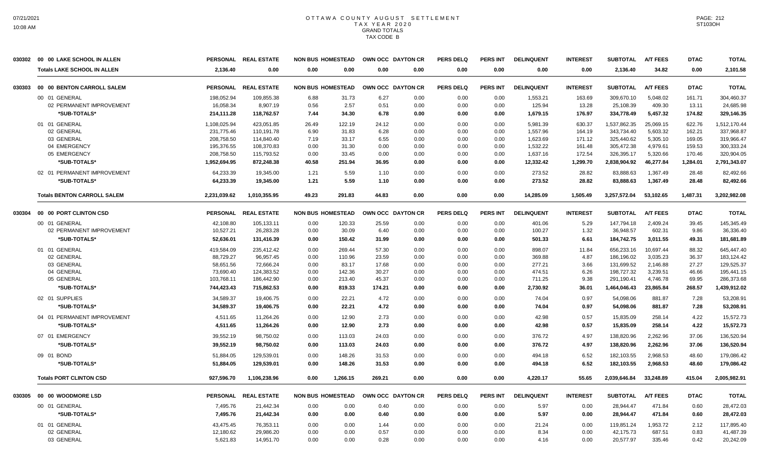|        | 030302 00 00 LAKE SCHOOL IN ALLEN  |                        | PERSONAL REAL ESTATE    | <b>NON BUS HOMESTEAD</b> |                 | OWN OCC DAYTON CR |              | <b>PERS DELQ</b> | <b>PERS INT</b> | <b>DELINQUENT</b> | <b>INTEREST</b> | <b>SUBTOTAL</b>          | <b>A/T FEES</b>      | <b>DTAC</b>    | <b>TOTAL</b>             |
|--------|------------------------------------|------------------------|-------------------------|--------------------------|-----------------|-------------------|--------------|------------------|-----------------|-------------------|-----------------|--------------------------|----------------------|----------------|--------------------------|
|        | <b>Totals LAKE SCHOOL IN ALLEN</b> | 2,136.40               | 0.00                    | 0.00                     | 0.00            | 0.00              | 0.00         | 0.00             | 0.00            | 0.00              | 0.00            | 2,136.40                 | 34.82                | 0.00           | 2,101.58                 |
| 030303 | 00 00 BENTON CARROLL SALEM         |                        | PERSONAL REAL ESTATE    | <b>NON BUS HOMESTEAD</b> |                 | OWN OCC DAYTON CR |              | PERS DELO        | <b>PERS INT</b> | <b>DELINQUENT</b> | <b>INTEREST</b> | <b>SUBTOTAL</b>          | <b>A/T FEES</b>      | <b>DTAC</b>    | <b>TOTAL</b>             |
|        | 00 01 GENERAL                      | 198,052.94             | 109,855.38              | 6.88                     | 31.73           | 6.27              | 0.00         | 0.00             | 0.00            | 1,553.21          | 163.69          | 309,670.10               | 5,048.02             | 161.71         | 304,460.37               |
|        | 02 PERMANENT IMPROVEMENT           | 16,058.34              | 8,907.19                | 0.56                     | 2.57            | 0.51              | 0.00         | 0.00             | 0.00            | 125.94            | 13.28           | 25,108.39                | 409.30               | 13.11          | 24,685.98                |
|        | *SUB-TOTALS*                       | 214,111.28             | 118,762.57              | 7.44                     | 34.30           | 6.78              | 0.00         | 0.00             | 0.00            | 1,679.15          | 176.97          | 334,778.49               | 5,457.32             | 174.82         | 329,146.35               |
|        | 01 01 GENERAL                      | 1,108,025.94           | 423,051.85              | 26.49                    | 122.19          | 24.12             | 0.00         | 0.00             | 0.00            | 5,981.39          | 630.37          | 1,537,862.35             | 25,069.15            | 622.76         | 1,512,170.44             |
|        | 02 GENERAL                         | 231,775.46             | 110,191.78              | 6.90                     | 31.83           | 6.28              | 0.00         | 0.00             | 0.00            | 1,557.96          | 164.19          | 343,734.40               | 5,603.32             | 162.21         | 337,968.87               |
|        | 03 GENERAL                         | 208,758.50             | 114,840.40              | 7.19                     | 33.17           | 6.55              | 0.00         | 0.00             | 0.00            | 1,623.69          | 171.12          | 325,440.62               | 5,305.10             | 169.05         | 319,966.47               |
|        | 04 EMERGENCY                       | 195,376.55             | 108,370.83              | 0.00                     | 31.30           | 0.00              | 0.00         | 0.00             | 0.00            | 1,532.22          | 161.48          | 305,472.38               | 4,979.61             | 159.53         | 300,333.24               |
|        | 05 EMERGENCY                       | 208,758.50             | 115,793.52              | 0.00                     | 33.45           | 0.00              | 0.00         | 0.00             | 0.00            | 1,637.16          | 172.54          | 326,395.17               | 5,320.66             | 170.46         | 320,904.05               |
|        | *SUB-TOTALS*                       | 1,952,694.95           | 872,248.38              | 40.58                    | 251.94          | 36.95             | 0.00         | 0.00             | 0.00            | 12,332.42         | 1,299.70        | 2,838,904.92             | 46,277.84            | 1,284.01       | 2,791,343.07             |
|        | 02 01 PERMANENT IMPROVEMENT        | 64,233.39              | 19,345.00               | 1.21                     | 5.59            | 1.10              | 0.00         | 0.00             | 0.00            | 273.52            | 28.82           | 83,888.63                | 1,367.49             | 28.48          | 82,492.66                |
|        | *SUB-TOTALS*                       | 64,233.39              | 19,345.00               | 1.21                     | 5.59            | 1.10              | 0.00         | 0.00             | 0.00            | 273.52            | 28.82           | 83,888.63                | 1,367.49             | 28.48          | 82,492.66                |
|        | <b>Totals BENTON CARROLL SALEM</b> | 2,231,039.62           | 1.010.355.95            | 49.23                    | 291.83          | 44.83             | 0.00         | 0.00             | 0.00            | 14.285.09         | 1.505.49        | 3,257,572.04             | 53.102.65            | 1.487.31       | 3,202,982.08             |
| 030304 | 00 00 PORT CLINTON CSD             |                        | PERSONAL REAL ESTATE    | <b>NON BUS HOMESTEAD</b> |                 | OWN OCC DAYTON CR |              | <b>PERS DELQ</b> | <b>PERS INT</b> | <b>DELINQUENT</b> | <b>INTEREST</b> | <b>SUBTOTAL</b>          | <b>A/T FEES</b>      | <b>DTAC</b>    | <b>TOTAL</b>             |
|        | 00 01 GENERAL                      | 42,108.80              | 105,133.11              | 0.00                     | 120.33          | 25.59             | 0.00         | 0.00             | 0.00            | 401.06            | 5.29            | 147,794.18               | 2,409.24             | 39.45          | 145,345.49               |
|        | 02 PERMANENT IMPROVEMENT           | 10,527.21              | 26,283.28               | 0.00                     | 30.09           | 6.40              | 0.00         | 0.00             | 0.00            | 100.27            | 1.32            | 36,948.57                | 602.31               | 9.86           | 36,336.40                |
|        | *SUB-TOTALS*                       | 52,636.01              | 131,416.39              | 0.00                     | 150.42          | 31.99             | 0.00         | 0.00             | 0.00            | 501.33            | 6.61            | 184,742.75               | 3,011.55             | 49.31          | 181,681.89               |
|        |                                    |                        |                         |                          |                 |                   |              |                  |                 |                   |                 |                          |                      |                |                          |
|        | 01 01 GENERAL                      | 419,584.09             | 235,412.42              | 0.00                     | 269.44          | 57.30             | 0.00         | 0.00             | 0.00            | 898.07            | 11.84           | 656,233.16               | 10,697.44            | 88.32          | 645,447.40               |
|        | 02 GENERAL                         | 88,729.27              | 96,957.45               | 0.00                     | 110.96          | 23.59             | 0.00         | 0.00             | 0.00            | 369.88            | 4.87            | 186,196.02               | 3,035.23             | 36.37          | 183,124.42               |
|        | 03 GENERAL<br>04 GENERAL           | 58,651.56<br>73,690.40 | 72,666.24<br>124,383.52 | 0.00                     | 83.17<br>142.36 | 17.68<br>30.27    | 0.00<br>0.00 | 0.00<br>0.00     | 0.00<br>0.00    | 277.21<br>474.51  | 3.66<br>6.26    | 131,699.52<br>198,727.32 | 2,146.88<br>3,239.51 | 27.27<br>46.66 | 129,525.37<br>195,441.15 |
|        | 05 GENERAL                         | 103,768.11             | 186,442.90              | 0.00                     | 213.40          | 45.37             | 0.00         | 0.00             | 0.00            | 711.25            | 9.38            | 291,190.41               | 4,746.78             | 69.95          | 286,373.68               |
|        | *SUB-TOTALS*                       | 744,423.43             | 715,862.53              | 0.00<br>0.00             | 819.33          | 174.21            | 0.00         | 0.00             | 0.00            | 2,730.92          | 36.01           | 1,464,046.43             | 23.865.84            | 268.57         | 1,439,912.02             |
|        |                                    |                        |                         |                          |                 |                   |              |                  |                 |                   |                 |                          |                      |                |                          |
|        | 02 01 SUPPLIES                     | 34,589.37              | 19,406.75               | 0.00                     | 22.21           | 4.72              | 0.00         | 0.00             | 0.00            | 74.04             | 0.97            | 54,098.06                | 881.87               | 7.28           | 53,208.91                |
|        | *SUB-TOTALS*                       | 34,589.37              | 19,406.75               | 0.00                     | 22.21           | 4.72              | 0.00         | 0.00             | 0.00            | 74.04             | 0.97            | 54,098.06                | 881.87               | 7.28           | 53,208.91                |
|        | 04 01 PERMANENT IMPROVEMENT        | 4,511.65               | 11,264.26               | 0.00                     | 12.90           | 2.73              | 0.00         | 0.00             | 0.00            | 42.98             | 0.57            | 15,835.09                | 258.14               | 4.22           | 15,572.73                |
|        | *SUB-TOTALS*                       | 4,511.65               | 11,264.26               | 0.00                     | 12.90           | 2.73              | 0.00         | 0.00             | 0.00            | 42.98             | 0.57            | 15,835.09                | 258.14               | 4.22           | 15,572.73                |
|        | 07 01 EMERGENCY                    | 39,552.19              | 98,750.02               | 0.00                     | 113.03          | 24.03             | 0.00         | 0.00             | 0.00            | 376.72            | 4.97            | 138,820.96               | 2,262.96             | 37.06          | 136,520.94               |
|        | *SUB-TOTALS*                       | 39,552.19              | 98,750.02               | 0.00                     | 113.03          | 24.03             | 0.00         | 0.00             | 0.00            | 376.72            | 4.97            | 138,820.96               | 2,262.96             | 37.06          | 136,520.94               |
|        | 09 01 BOND                         | 51,884.05              | 129,539.01              | 0.00                     | 148.26          | 31.53             | 0.00         | 0.00             | 0.00            | 494.18            | 6.52            | 182,103.55               | 2,968.53             | 48.60          | 179,086.42               |
|        | *SUB-TOTALS*                       | 51,884.05              | 129,539.01              | 0.00                     | 148.26          | 31.53             | 0.00         | 0.00             | 0.00            | 494.18            | 6.52            | 182,103.55               | 2,968.53             | 48.60          | 179,086.42               |
|        | <b>Totals PORT CLINTON CSD</b>     | 927,596.70             | 1,106,238.96            | 0.00                     | 1,266.15        | 269.21            | 0.00         | 0.00             | 0.00            | 4,220.17          | 55.65           | 2,039,646.84             | 33.248.89            | 415.04         | 2,005,982.91             |
|        | 030305 00 00 WOODMORE LSD          |                        | PERSONAL REAL ESTATE    | <b>NON BUS HOMESTEAD</b> |                 | OWN OCC DAYTON CR |              | <b>PERS DELQ</b> | <b>PERS INT</b> | <b>DELINQUENT</b> | <b>INTEREST</b> | <b>SUBTOTAL</b>          | <b>A/T FEES</b>      | <b>DTAC</b>    | <b>TOTAL</b>             |
|        | 00 01 GENERAL                      | 7,495.76               | 21,442.34               | 0.00                     | 0.00            | 0.40              | 0.00         | 0.00             | 0.00            | 5.97              | 0.00            | 28.944.47                | 471.84               | 0.60           | 28,472.03                |
|        | *SUB-TOTALS*                       | 7,495.76               | 21,442.34               | 0.00                     | 0.00            | 0.40              | 0.00         | 0.00             | 0.00            | 5.97              | 0.00            | 28,944.47                | 471.84               | 0.60           | 28,472.03                |
|        | 01 01 GENERAL                      | 43,475.45              | 76,353.11               | 0.00                     | 0.00            | 1.44              | 0.00         | 0.00             | 0.00            | 21.24             | 0.00            | 119,851.24               | 1,953.72             | 2.12           | 117,895.40               |
|        | 02 GENERAL                         | 12,180.62              | 29,986.20               | 0.00                     | 0.00            | 0.57              | 0.00         | 0.00             | 0.00            | 8.34              | 0.00            | 42,175.73                | 687.51               | 0.83           | 41,487.39                |
|        | 03 GENERAL                         | 5,621.83               | 14,951.70               | 0.00                     | 0.00            | 0.28              | 0.00         | 0.00             | 0.00            | 4.16              | 0.00            | 20,577.97                | 335.46               | 0.42           | 20,242.09                |
|        |                                    |                        |                         |                          |                 |                   |              |                  |                 |                   |                 |                          |                      |                |                          |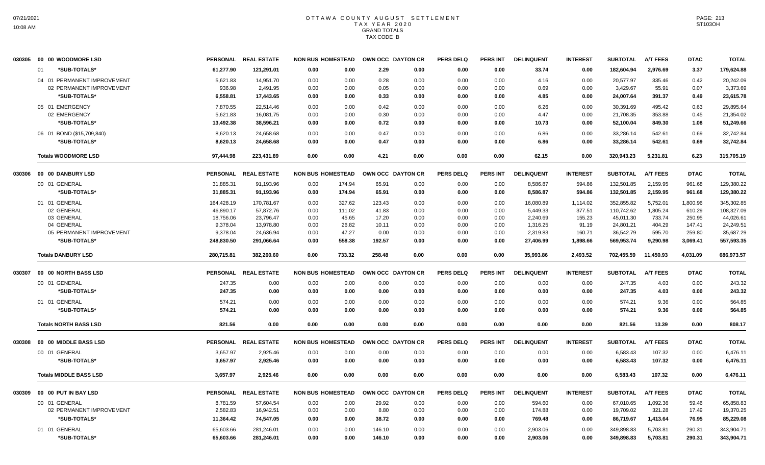|        | 030305 00 00 WOODMORE LSD     |                 | PERSONAL REAL ESTATE | <b>NON BUS HOMESTEAD</b> |        |        | OWN OCC DAYTON CR | <b>PERS DELQ</b> | <b>PERS INT</b> | <b>DELINQUENT</b> | <b>INTEREST</b> | <b>SUBTOTAL</b> | <b>A/T FEES</b> | <b>DTAC</b> | <b>TOTAL</b> |
|--------|-------------------------------|-----------------|----------------------|--------------------------|--------|--------|-------------------|------------------|-----------------|-------------------|-----------------|-----------------|-----------------|-------------|--------------|
|        | *SUB-TOTALS*<br>01            | 61,277.90       | 121,291.01           | 0.00                     | 0.00   | 2.29   | 0.00              | 0.00             | 0.00            | 33.74             | 0.00            | 182,604.94      | 2.976.69        | 3.37        | 179,624.88   |
|        | 04 01 PERMANENT IMPROVEMENT   | 5,621.83        | 14,951.70            | 0.00                     | 0.00   | 0.28   | 0.00              | 0.00             | 0.00            | 4.16              | 0.00            | 20,577.97       | 335.46          | 0.42        | 20.242.09    |
|        | 02 PERMANENT IMPROVEMENT      | 936.98          | 2,491.95             | 0.00                     | 0.00   | 0.05   | 0.00              | 0.00             | 0.00            | 0.69              | 0.00            | 3,429.67        | 55.91           | 0.07        | 3,373.69     |
|        | *SUB-TOTALS*                  | 6,558.81        | 17,443.65            | 0.00                     | 0.00   | 0.33   | 0.00              | 0.00             | 0.00            | 4.85              | 0.00            | 24,007.64       | 391.37          | 0.49        | 23,615.78    |
|        | 05 01 EMERGENCY               | 7,870.55        | 22,514.46            | 0.00                     | 0.00   | 0.42   | 0.00              | 0.00             | 0.00            | 6.26              | 0.00            | 30,391.69       | 495.42          | 0.63        | 29,895.64    |
|        | 02 EMERGENCY                  | 5,621.83        | 16,081.75            | 0.00                     | 0.00   | 0.30   | 0.00              | 0.00             | 0.00            | 4.47              | 0.00            | 21,708.35       | 353.88          | 0.45        | 21,354.02    |
|        | *SUB-TOTALS*                  | 13,492.38       | 38,596.21            | 0.00                     | 0.00   | 0.72   | 0.00              | 0.00             | 0.00            | 10.73             | 0.00            | 52,100.04       | 849.30          | 1.08        | 51,249.66    |
|        | 06 01 BOND (\$15,709,840)     | 8,620.13        | 24,658.68            | 0.00                     | 0.00   | 0.47   | 0.00              | 0.00             | 0.00            | 6.86              | 0.00            | 33,286.14       | 542.61          | 0.69        | 32.742.84    |
|        | *SUB-TOTALS*                  | 8,620.13        | 24,658.68            | 0.00                     | 0.00   | 0.47   | 0.00              | 0.00             | 0.00            | 6.86              | 0.00            | 33,286.14       | 542.61          | 0.69        | 32,742.84    |
|        | <b>Totals WOODMORE LSD</b>    | 97.444.98       | 223,431.89           | 0.00                     | 0.00   | 4.21   | 0.00              | 0.00             | 0.00            | 62.15             | 0.00            | 320,943.23      | 5,231.81        | 6.23        | 315,705.19   |
| 030306 | 00 00 DANBURY LSD             | <b>PERSONAL</b> | <b>REAL ESTATE</b>   | <b>NON BUS HOMESTEAD</b> |        |        | OWN OCC DAYTON CR | <b>PERS DELQ</b> | PERS INT        | <b>DELINQUENT</b> | <b>INTEREST</b> | <b>SUBTOTAL</b> | <b>A/T FEES</b> | <b>DTAC</b> | <b>TOTAL</b> |
|        | 00 01 GENERAL                 | 31.885.31       | 91,193.96            | 0.00                     | 174.94 | 65.91  | 0.00              | 0.00             | 0.00            | 8.586.87          | 594.86          | 132.501.85      | 2.159.95        | 961.68      | 129,380.22   |
|        | *SUB-TOTALS*                  | 31,885.31       | 91,193.96            | 0.00                     | 174.94 | 65.91  | 0.00              | 0.00             | 0.00            | 8,586.87          | 594.86          | 132,501.85      | 2,159.95        | 961.68      | 129,380.22   |
|        | 01 01 GENERAL                 | 164,428.19      | 170,781.67           | 0.00                     | 327.62 | 123.43 | 0.00              | 0.00             | 0.00            | 16,080.89         | 1,114.02        | 352,855.82      | 5,752.01        | 1,800.96    | 345,302.85   |
|        | 02 GENERAL                    | 46,890.17       | 57,872.76            | 0.00                     | 111.02 | 41.83  | 0.00              | 0.00             | 0.00            | 5,449.33          | 377.51          | 110,742.62      | 1,805.24        | 610.29      | 108,327.09   |
|        | 03 GENERAL                    | 18,756.06       | 23,796.47            | 0.00                     | 45.65  | 17.20  | 0.00              | 0.00             | 0.00            | 2,240.69          | 155.23          | 45,011.30       | 733.74          | 250.95      | 44,026.61    |
|        | 04 GENERAL                    | 9,378.04        | 13,978.80            | 0.00                     | 26.82  | 10.11  | 0.00              | 0.00             | 0.00            | 1,316.25          | 91.19           | 24,801.21       | 404.29          | 147.41      | 24,249.51    |
|        | 05 PERMANENT IMPROVEMENT      | 9,378.04        | 24,636.94            | 0.00                     | 47.27  | 0.00   | 0.00              | 0.00             | 0.00            | 2,319.83          | 160.71          | 36,542.79       | 595.70          | 259.80      | 35,687.29    |
|        | *SUB-TOTALS*                  | 248,830.50      | 291,066.64           | 0.00                     | 558.38 | 192.57 | 0.00              | 0.00             | 0.00            | 27,406.99         | 1,898.66        | 569,953.74      | 9,290.98        | 3,069.41    | 557,593.35   |
|        | <b>Totals DANBURY LSD</b>     | 280,715.81      | 382.260.60           | 0.00                     | 733.32 | 258.48 | 0.00              | 0.00             | 0.00            | 35,993.86         | 2,493.52        | 702,455.59      | 11.450.93       | 4,031.09    | 686,973.57   |
| 030307 | 00 00 NORTH BASS LSD          | <b>PERSONAL</b> | <b>REAL ESTATE</b>   | <b>NON BUS HOMESTEAD</b> |        |        | OWN OCC DAYTON CR | <b>PERS DELQ</b> | PERS INT        | <b>DELINQUENT</b> | <b>INTEREST</b> | <b>SUBTOTAL</b> | <b>A/T FEES</b> | <b>DTAC</b> | <b>TOTAL</b> |
|        | 00 01 GENERAL                 | 247.35          | 0.00                 | 0.00                     | 0.00   | 0.00   | 0.00              | 0.00             | 0.00            | 0.00              | 0.00            | 247.35          | 4.03            | 0.00        | 243.32       |
|        | *SUB-TOTALS*                  | 247.35          | 0.00                 | 0.00                     | 0.00   | 0.00   | 0.00              | 0.00             | 0.00            | 0.00              | 0.00            | 247.35          | 4.03            | 0.00        | 243.32       |
|        | 01 01 GENERAL                 | 574.21          | 0.00                 | 0.00                     | 0.00   | 0.00   | 0.00              | 0.00             | 0.00            | 0.00              | 0.00            | 574.21          | 9.36            | 0.00        | 564.85       |
|        | *SUB-TOTALS*                  | 574.21          | 0.00                 | 0.00                     | 0.00   | 0.00   | 0.00              | 0.00             | 0.00            | 0.00              | 0.00            | 574.21          | 9.36            | 0.00        | 564.85       |
|        | <b>Totals NORTH BASS LSD</b>  | 821.56          | 0.00                 | 0.00                     | 0.00   | 0.00   | 0.00              | 0.00             | 0.00            | 0.00              | 0.00            | 821.56          | 13.39           | 0.00        | 808.17       |
| 030308 | 00 00 MIDDLE BASS LSD         |                 | PERSONAL REAL ESTATE | <b>NON BUS HOMESTEAD</b> |        |        | OWN OCC DAYTON CR | <b>PERS DELQ</b> | <b>PERS INT</b> | <b>DELINQUENT</b> | <b>INTEREST</b> | <b>SUBTOTAL</b> | <b>A/T FEES</b> | <b>DTAC</b> | <b>TOTAL</b> |
|        | 00 01 GENERAL                 | 3,657.97        | 2,925.46             | 0.00                     | 0.00   | 0.00   | 0.00              | 0.00             | 0.00            | 0.00              | 0.00            | 6,583.43        | 107.32          | 0.00        | 6,476.11     |
|        | *SUB-TOTALS*                  | 3,657.97        | 2,925.46             | 0.00                     | 0.00   | 0.00   | 0.00              | 0.00             | 0.00            | 0.00              | 0.00            | 6,583.43        | 107.32          | 0.00        | 6,476.11     |
|        | <b>Totals MIDDLE BASS LSD</b> | 3,657.97        | 2,925.46             | 0.00                     | 0.00   | 0.00   | 0.00              | 0.00             | 0.00            | 0.00              | 0.00            | 6,583.43        | 107.32          | 0.00        | 6,476.11     |
| 030309 | 00 00 PUT IN BAY LSD          |                 | PERSONAL REAL ESTATE | <b>NON BUS HOMESTEAD</b> |        |        | OWN OCC DAYTON CR | <b>PERS DELQ</b> | <b>PERS INT</b> | <b>DELINQUENT</b> | <b>INTEREST</b> | <b>SUBTOTAL</b> | <b>A/T FEES</b> | <b>DTAC</b> | <b>TOTAL</b> |
|        | 00 01 GENERAL                 | 8.781.59        | 57.604.54            | 0.00                     | 0.00   | 29.92  | 0.00              | 0.00             | 0.00            | 594.60            | 0.00            | 67.010.65       | 1.092.36        | 59.46       | 65,858.83    |
|        | 02 PERMANENT IMPROVEMENT      | 2,582.83        | 16,942.51            | 0.00                     | 0.00   | 8.80   | 0.00              | 0.00             | 0.00            | 174.88            | 0.00            | 19,709.02       | 321.28          | 17.49       | 19,370.25    |
|        | *SUB-TOTALS*                  | 11,364.42       | 74,547.05            | 0.00                     | 0.00   | 38.72  | 0.00              | 0.00             | 0.00            | 769.48            | 0.00            | 86,719.67       | 1,413.64        | 76.95       | 85,229.08    |
|        | 01 01 GENERAL                 | 65,603.66       | 281,246.01           | 0.00                     | 0.00   | 146.10 | 0.00              | 0.00             | 0.00            | 2,903.06          | 0.00            | 349,898.83      | 5,703.81        | 290.31      | 343,904.71   |
|        | *SUB-TOTALS*                  | 65,603.66       | 281,246.01           | 0.00                     | 0.00   | 146.10 | 0.00              | 0.00             | 0.00            | 2,903.06          | 0.00            | 349,898.83      | 5,703.81        | 290.31      | 343,904.71   |
|        |                               |                 |                      |                          |        |        |                   |                  |                 |                   |                 |                 |                 |             |              |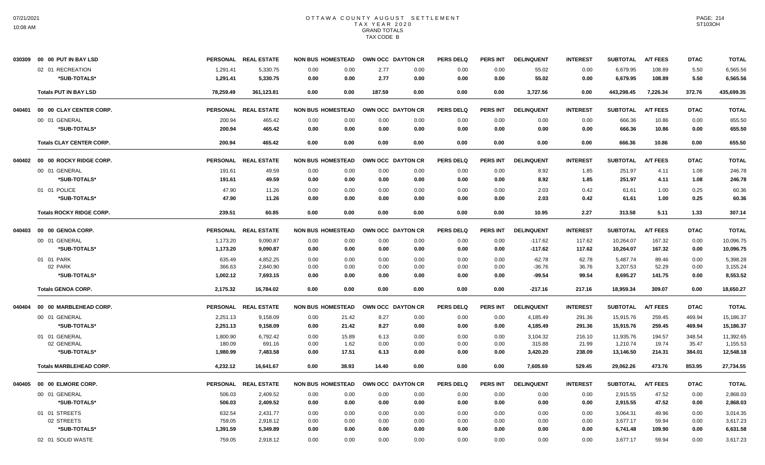|        | 030309 00 00 PUT IN BAY LSD     |           | PERSONAL REAL ESTATE | <b>NON BUS HOMESTEAD</b> |       | OWN OCC DAYTON CR |      | <b>PERS DELQ</b> | PERS INT        | <b>DELINQUENT</b> | <b>INTEREST</b> | <b>SUBTOTAL</b> | <b>A/T FEES</b> | <b>DTAC</b> | <b>TOTAL</b> |
|--------|---------------------------------|-----------|----------------------|--------------------------|-------|-------------------|------|------------------|-----------------|-------------------|-----------------|-----------------|-----------------|-------------|--------------|
|        | 02 01 RECREATION                | 1,291.41  | 5,330.75             | 0.00                     | 0.00  | 2.77              | 0.00 | 0.00             | 0.00            | 55.02             | 0.00            | 6,679.95        | 108.89          | 5.50        | 6,565.56     |
|        | *SUB-TOTALS*                    | 1,291.41  | 5,330.75             | 0.00                     | 0.00  | 2.77              | 0.00 | 0.00             | 0.00            | 55.02             | 0.00            | 6,679.95        | 108.89          | 5.50        | 6,565.56     |
|        | <b>Totals PUT IN BAY LSD</b>    | 78,259.49 | 361,123.81           | 0.00                     | 0.00  | 187.59            | 0.00 | 0.00             | 0.00            | 3,727.56          | 0.00            | 443,298.45      | 7,226.34        | 372.76      | 435,699.35   |
| 040401 | 00 00 CLAY CENTER CORP.         |           | PERSONAL REAL ESTATE | <b>NON BUS HOMESTEAD</b> |       | OWN OCC DAYTON CR |      | <b>PERS DELQ</b> | <b>PERS INT</b> | <b>DELINQUENT</b> | <b>INTEREST</b> | <b>SUBTOTAL</b> | <b>A/T FEES</b> | <b>DTAC</b> | <b>TOTAL</b> |
|        | 00 01 GENERAL                   | 200.94    | 465.42               | 0.00                     | 0.00  | 0.00              | 0.00 | 0.00             | 0.00            | 0.00              | 0.00            | 666.36          | 10.86           | 0.00        | 655.50       |
|        | *SUB-TOTALS*                    | 200.94    | 465.42               | 0.00                     | 0.00  | 0.00              | 0.00 | 0.00             | 0.00            | 0.00              | 0.00            | 666.36          | 10.86           | 0.00        | 655.50       |
|        | <b>Totals CLAY CENTER CORP.</b> | 200.94    | 465.42               | 0.00                     | 0.00  | 0.00              | 0.00 | 0.00             | 0.00            | 0.00              | 0.00            | 666.36          | 10.86           | 0.00        | 655.50       |
|        | 040402 00 00 ROCKY RIDGE CORP.  |           | PERSONAL REAL ESTATE | <b>NON BUS HOMESTEAD</b> |       | OWN OCC DAYTON CR |      | <b>PERS DELQ</b> | <b>PERS INT</b> | <b>DELINQUENT</b> | <b>INTEREST</b> | <b>SUBTOTAL</b> | <b>A/T FEES</b> | <b>DTAC</b> | <b>TOTAL</b> |
|        | 00 01 GENERAL                   | 191.61    | 49.59                | 0.00                     | 0.00  | 0.00              | 0.00 | 0.00             | 0.00            | 8.92              | 1.85            | 251.97          | 4.11            | 1.08        | 246.78       |
|        | *SUB-TOTALS*                    | 191.61    | 49.59                | 0.00                     | 0.00  | 0.00              | 0.00 | 0.00             | 0.00            | 8.92              | 1.85            | 251.97          | 4.11            | 1.08        | 246.78       |
|        | 01 01 POLICE                    | 47.90     | 11.26                | 0.00                     | 0.00  | 0.00              | 0.00 | 0.00             | 0.00            | 2.03              | 0.42            | 61.61           | 1.00            | 0.25        | 60.36        |
|        | *SUB-TOTALS*                    | 47.90     | 11.26                | 0.00                     | 0.00  | 0.00              | 0.00 | 0.00             | 0.00            | 2.03              | 0.42            | 61.61           | 1.00            | 0.25        | 60.36        |
|        | <b>Totals ROCKY RIDGE CORP.</b> | 239.51    | 60.85                | 0.00                     | 0.00  | 0.00              | 0.00 | 0.00             | 0.00            | 10.95             | 2.27            | 313.58          | 5.11            | 1.33        | 307.14       |
|        | 040403 00 00 GENOA CORP.        |           | PERSONAL REAL ESTATE | <b>NON BUS HOMESTEAD</b> |       | OWN OCC DAYTON CR |      | <b>PERS DELQ</b> | PERS INT        | <b>DELINQUENT</b> | <b>INTEREST</b> | <b>SUBTOTAL</b> | <b>A/T FEES</b> | <b>DTAC</b> | <b>TOTAL</b> |
|        | 00 01 GENERAL                   | 1,173.20  | 9,090.87             | 0.00                     | 0.00  | 0.00              | 0.00 | 0.00             | 0.00            | $-117.62$         | 117.62          | 10,264.07       | 167.32          | 0.00        | 10,096.75    |
|        | *SUB-TOTALS*                    | 1,173.20  | 9,090.87             | 0.00                     | 0.00  | 0.00              | 0.00 | 0.00             | 0.00            | $-117.62$         | 117.62          | 10,264.07       | 167.32          | 0.00        | 10,096.75    |
|        | 01 01 PARK                      | 635.49    | 4.852.25             | 0.00                     | 0.00  | 0.00              | 0.00 | 0.00             | 0.00            | $-62.78$          | 62.78           | 5,487.74        | 89.46           | 0.00        | 5.398.28     |
|        | 02 PARK                         | 366.63    | 2,840.90             | 0.00                     | 0.00  | 0.00              | 0.00 | 0.00             | 0.00            | $-36.76$          | 36.76           | 3,207.53        | 52.29           | 0.00        | 3,155.24     |
|        | *SUB-TOTALS*                    | 1,002.12  | 7,693.15             | 0.00                     | 0.00  | 0.00              | 0.00 | 0.00             | 0.00            | -99.54            | 99.54           | 8,695.27        | 141.75          | 0.00        | 8,553.52     |
|        | <b>Totals GENOA CORP.</b>       | 2,175.32  | 16,784.02            | 0.00                     | 0.00  | 0.00              | 0.00 | 0.00             | 0.00            | $-217.16$         | 217.16          | 18,959.34       | 309.07          | 0.00        | 18,650.27    |
| 040404 | 00 00 MARBLEHEAD CORP.          |           | PERSONAL REAL ESTATE | <b>NON BUS HOMESTEAD</b> |       | OWN OCC DAYTON CR |      | <b>PERS DELQ</b> | <b>PERS INT</b> | <b>DELINQUENT</b> | <b>INTEREST</b> | <b>SUBTOTAL</b> | <b>A/T FEES</b> | <b>DTAC</b> | <b>TOTAL</b> |
|        | 00 01 GENERAL                   | 2,251.13  | 9,158.09             | 0.00                     | 21.42 | 8.27              | 0.00 | 0.00             | 0.00            | 4,185.49          | 291.36          | 15,915.76       | 259.45          | 469.94      | 15,186.37    |
|        | *SUB-TOTALS*                    | 2,251.13  | 9,158.09             | 0.00                     | 21.42 | 8.27              | 0.00 | 0.00             | 0.00            | 4,185.49          | 291.36          | 15,915.76       | 259.45          | 469.94      | 15,186.37    |
|        | 01 01 GENERAL                   | 1,800.90  | 6,792.42             | 0.00                     | 15.89 | 6.13              | 0.00 | 0.00             | 0.00            | 3,104.32          | 216.10          | 11,935.76       | 194.57          | 348.54      | 11,392.65    |
|        | 02 GENERAL                      | 180.09    | 691.16               | 0.00                     | 1.62  | 0.00              | 0.00 | 0.00             | 0.00            | 315.88            | 21.99           | 1,210.74        | 19.74           | 35.47       | 1,155.53     |
|        | *SUB-TOTALS*                    | 1,980.99  | 7,483.58             | 0.00                     | 17.51 | 6.13              | 0.00 | 0.00             | 0.00            | 3,420.20          | 238.09          | 13,146.50       | 214.31          | 384.01      | 12,548.18    |
|        | <b>Totals MARBLEHEAD CORP.</b>  | 4,232.12  | 16,641.67            | 0.00                     | 38.93 | 14.40             | 0.00 | 0.00             | 0.00            | 7,605.69          | 529.45          | 29,062.26       | 473.76          | 853.95      | 27,734.55    |
|        | 040405 00 00 ELMORE CORP.       |           | PERSONAL REAL ESTATE | <b>NON BUS HOMESTEAD</b> |       | OWN OCC DAYTON CR |      | <b>PERS DELQ</b> | <b>PERS INT</b> | <b>DELINQUENT</b> | <b>INTEREST</b> | <b>SUBTOTAL</b> | <b>A/T FEES</b> | <b>DTAC</b> | <b>TOTAL</b> |
|        | 00 01 GENERAL                   | 506.03    | 2,409.52             | 0.00                     | 0.00  | 0.00              | 0.00 | 0.00             | 0.00            | 0.00              | 0.00            | 2,915.55        | 47.52           | 0.00        | 2,868.03     |
|        | *SUB-TOTALS*                    | 506.03    | 2,409.52             | 0.00                     | 0.00  | 0.00              | 0.00 | 0.00             | 0.00            | 0.00              | 0.00            | 2,915.55        | 47.52           | 0.00        | 2,868.03     |
|        | 01 01 STREETS                   | 632.54    | 2,431.77             | 0.00                     | 0.00  | 0.00              | 0.00 | 0.00             | 0.00            | 0.00              | 0.00            | 3,064.31        | 49.96           | 0.00        | 3,014.35     |
|        | 02 STREETS                      | 759.05    | 2,918.12             | 0.00                     | 0.00  | 0.00              | 0.00 | 0.00             | 0.00            | 0.00              | 0.00            | 3,677.17        | 59.94           | 0.00        | 3,617.23     |
|        | *SUB-TOTALS*                    | 1,391.59  | 5,349.89             | 0.00                     | 0.00  | 0.00              | 0.00 | 0.00             | 0.00            | 0.00              | 0.00            | 6,741.48        | 109.90          | 0.00        | 6,631.58     |
|        | 02 01 SOLID WASTE               | 759.05    | 2,918.12             | 0.00                     | 0.00  | 0.00              | 0.00 | 0.00             | 0.00            | 0.00              | 0.00            | 3,677.17        | 59.94           | 0.00        | 3,617.23     |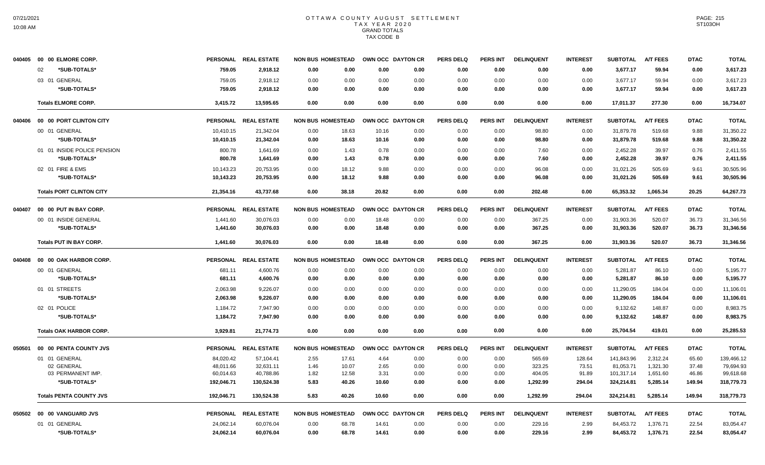| 040405 | 00 00 ELMORE CORP.              |            | PERSONAL REAL ESTATE | NON BUS HOMESTEAD OWN OCC DAYTON CR |                   |      | <b>PERS DELQ</b> | PERS INT        | <b>DELINQUENT</b> | <b>INTEREST</b> | <b>SUBTOTAL</b> | <b>A/T FEES</b> | <b>DTAC</b> | <b>TOTAL</b> |
|--------|---------------------------------|------------|----------------------|-------------------------------------|-------------------|------|------------------|-----------------|-------------------|-----------------|-----------------|-----------------|-------------|--------------|
|        | *SUB-TOTALS*<br>02              | 759.05     | 2,918.12             | 0.00<br>0.00                        | 0.00              | 0.00 | 0.00             | 0.00            | 0.00              | 0.00            | 3,677.17        | 59.94           | 0.00        | 3,617.23     |
|        | 03 01 GENERAL                   | 759.05     | 2.918.12             | 0.00<br>0.00                        | 0.00              | 0.00 | 0.00             | 0.00            | 0.00              | 0.00            | 3.677.17        | 59.94           | 0.00        | 3,617.23     |
|        | *SUB-TOTALS*                    | 759.05     | 2,918.12             | 0.00<br>0.00                        | 0.00              | 0.00 | 0.00             | 0.00            | 0.00              | 0.00            | 3,677.17        | 59.94           | 0.00        | 3,617.23     |
|        | <b>Totals ELMORE CORP.</b>      | 3,415.72   | 13,595.65            | 0.00<br>0.00                        | 0.00              | 0.00 | 0.00             | 0.00            | 0.00              | 0.00            | 17,011.37       | 277.30          | 0.00        | 16,734.07    |
| 040406 | 00 00 PORT CLINTON CITY         |            | PERSONAL REAL ESTATE | <b>NON BUS HOMESTEAD</b>            | OWN OCC DAYTON CR |      | <b>PERS DELQ</b> | <b>PERS INT</b> | <b>DELINQUENT</b> | <b>INTEREST</b> | <b>SUBTOTAL</b> | <b>A/T FEES</b> | <b>DTAC</b> | <b>TOTAL</b> |
|        | 00 01 GENERAL                   | 10,410.15  | 21,342.04            | 0.00<br>18.63                       | 10.16             | 0.00 | 0.00             | 0.00            | 98.80             | 0.00            | 31,879.78       | 519.68          | 9.88        | 31,350.22    |
|        | *SUB-TOTALS*                    | 10,410.15  | 21,342.04            | 0.00<br>18.63                       | 10.16             | 0.00 | 0.00             | 0.00            | 98.80             | 0.00            | 31,879.78       | 519.68          | 9.88        | 31,350.22    |
|        | 01 01 INSIDE POLICE PENSION     | 800.78     | 1,641.69             | 0.00<br>1.43                        | 0.78              | 0.00 | 0.00             | 0.00            | 7.60              | 0.00            | 2,452.28        | 39.97           | 0.76        | 2,411.55     |
|        | *SUB-TOTALS*                    | 800.78     | 1,641.69             | 0.00<br>1.43                        | 0.78              | 0.00 | 0.00             | 0.00            | 7.60              | 0.00            | 2,452.28        | 39.97           | 0.76        | 2,411.55     |
|        | 02 01 FIRE & EMS                | 10,143.23  | 20,753.95            | 0.00<br>18.12                       | 9.88              | 0.00 | 0.00             | 0.00            | 96.08             | 0.00            | 31,021.26       | 505.69          | 9.61        | 30,505.96    |
|        | *SUB-TOTALS*                    | 10,143.23  | 20,753.95            | 0.00<br>18.12                       | 9.88              | 0.00 | 0.00             | 0.00            | 96.08             | 0.00            | 31,021.26       | 505.69          | 9.61        | 30,505.96    |
|        | <b>Totals PORT CLINTON CITY</b> | 21,354.16  | 43,737.68            | 0.00<br>38.18                       | 20.82             | 0.00 | 0.00             | 0.00            | 202.48            | 0.00            | 65,353.32       | 1,065.34        | 20.25       | 64,267.73    |
| 040407 | 00 00 PUT IN BAY CORP.          |            | PERSONAL REAL ESTATE | <b>NON BUS HOMESTEAD</b>            | OWN OCC DAYTON CR |      | <b>PERS DELQ</b> | <b>PERS INT</b> | <b>DELINQUENT</b> | <b>INTEREST</b> | <b>SUBTOTAL</b> | <b>A/T FEES</b> | <b>DTAC</b> | <b>TOTAL</b> |
|        | 00 01 INSIDE GENERAL            | 1,441.60   | 30,076.03            | 0.00<br>0.00                        | 18.48             | 0.00 | 0.00             | 0.00            | 367.25            | 0.00            | 31,903.36       | 520.07          | 36.73       | 31,346.56    |
|        | *SUB-TOTALS*                    | 1,441.60   | 30.076.03            | 0.00<br>0.00                        | 18.48             | 0.00 | 0.00             | 0.00            | 367.25            | 0.00            | 31,903.36       | 520.07          | 36.73       | 31,346.56    |
|        | <b>Totals PUT IN BAY CORP.</b>  | 1,441.60   | 30,076.03            | 0.00<br>0.00                        | 18.48             | 0.00 | 0.00             | 0.00            | 367.25            | 0.00            | 31,903.36       | 520.07          | 36.73       | 31,346.56    |
| 040408 | 00 00 OAK HARBOR CORP.          |            | PERSONAL REAL ESTATE | <b>NON BUS HOMESTEAD</b>            | OWN OCC DAYTON CR |      | <b>PERS DELQ</b> | <b>PERS INT</b> | <b>DELINQUENT</b> | <b>INTEREST</b> | <b>SUBTOTAL</b> | <b>A/T FEES</b> | <b>DTAC</b> | <b>TOTAL</b> |
|        | 00 01 GENERAL                   | 681.11     | 4,600.76             | 0.00<br>0.00                        | 0.00              | 0.00 | 0.00             | 0.00            | 0.00              | 0.00            | 5,281.87        | 86.10           | 0.00        | 5,195.77     |
|        | *SUB-TOTALS*                    | 681.11     | 4,600.76             | 0.00<br>0.00                        | 0.00              | 0.00 | 0.00             | 0.00            | 0.00              | 0.00            | 5,281.87        | 86.10           | 0.00        | 5,195.77     |
|        | 01 01 STREETS                   | 2,063.98   | 9,226.07             | 0.00<br>0.00                        | 0.00              | 0.00 | 0.00             | 0.00            | 0.00              | 0.00            | 11,290.05       | 184.04          | 0.00        | 11,106.01    |
|        | *SUB-TOTALS*                    | 2,063.98   | 9,226.07             | 0.00<br>0.00                        | 0.00              | 0.00 | 0.00             | 0.00            | 0.00              | 0.00            | 11,290.05       | 184.04          | 0.00        | 11,106.01    |
|        | 02 01 POLICE                    | 1,184.72   | 7,947.90             | 0.00<br>0.00                        | 0.00              | 0.00 | 0.00             | 0.00            | 0.00              | 0.00            | 9,132.62        | 148.87          | 0.00        | 8,983.75     |
|        | *SUB-TOTALS*                    | 1,184.72   | 7,947.90             | 0.00<br>0.00                        | 0.00              | 0.00 | 0.00             | 0.00            | 0.00              | 0.00            | 9,132.62        | 148.87          | 0.00        | 8,983.75     |
|        | <b>Totals OAK HARBOR CORP.</b>  | 3.929.81   | 21.774.73            | 0.00<br>0.00                        | 0.00              | 0.00 | 0.00             | 0.00            | 0.00              | 0.00            | 25.704.54       | 419.01          | 0.00        | 25,285.53    |
| 050501 | 00 00 PENTA COUNTY JVS          |            | PERSONAL REAL ESTATE | <b>NON BUS HOMESTEAD</b>            | OWN OCC DAYTON CR |      | <b>PERS DELQ</b> | <b>PERS INT</b> | <b>DELINQUENT</b> | <b>INTEREST</b> | <b>SUBTOTAL</b> | <b>A/T FEES</b> | <b>DTAC</b> | <b>TOTAL</b> |
|        | 01 01 GENERAL                   | 84,020.42  | 57,104.41            | 2.55<br>17.61                       | 4.64              | 0.00 | 0.00             | 0.00            | 565.69            | 128.64          | 141,843.96      | 2,312.24        | 65.60       | 139,466.12   |
|        | 02 GENERAL                      | 48,011.66  | 32.631.11            | 1.46<br>10.07                       | 2.65              | 0.00 | 0.00             | 0.00            | 323.25            | 73.51           | 81,053.71       | 1,321.30        | 37.48       | 79,694.93    |
|        | 03 PERMANENT IMP.               | 60,014.63  | 40,788.86            | 1.82<br>12.58                       | 3.31              | 0.00 | 0.00             | 0.00            | 404.05            | 91.89           | 101,317.14      | 1,651.60        | 46.86       | 99,618.68    |
|        | *SUB-TOTALS*                    | 192,046.71 | 130,524.38           | 5.83<br>40.26                       | 10.60             | 0.00 | 0.00             | 0.00            | 1,292.99          | 294.04          | 324,214.81      | 5,285.14        | 149.94      | 318,779.73   |
|        | <b>Totals PENTA COUNTY JVS</b>  | 192,046.71 | 130,524.38           | 5.83<br>40.26                       | 10.60             | 0.00 | 0.00             | 0.00            | 1,292.99          | 294.04          | 324,214.81      | 5,285.14        | 149.94      | 318,779.73   |
|        | 050502 00 00 VANGUARD JVS       |            | PERSONAL REAL ESTATE | <b>NON BUS HOMESTEAD</b>            | OWN OCC DAYTON CR |      | <b>PERS DELQ</b> | PERS INT        | <b>DELINQUENT</b> | <b>INTEREST</b> | <b>SUBTOTAL</b> | <b>A/T FEES</b> | <b>DTAC</b> | <b>TOTAL</b> |
|        | 01 01 GENERAL                   | 24,062.14  | 60,076.04            | 0.00<br>68.78                       | 14.61             | 0.00 | 0.00             | 0.00            | 229.16            | 2.99            | 84,453.72       | 1,376.71        | 22.54       | 83,054.47    |
|        | *SUB-TOTALS*                    | 24,062.14  | 60,076.04            | 0.00<br>68.78                       | 14.61             | 0.00 | 0.00             | 0.00            | 229.16            | 2.99            | 84,453.72       | 1,376.71        | 22.54       | 83,054.47    |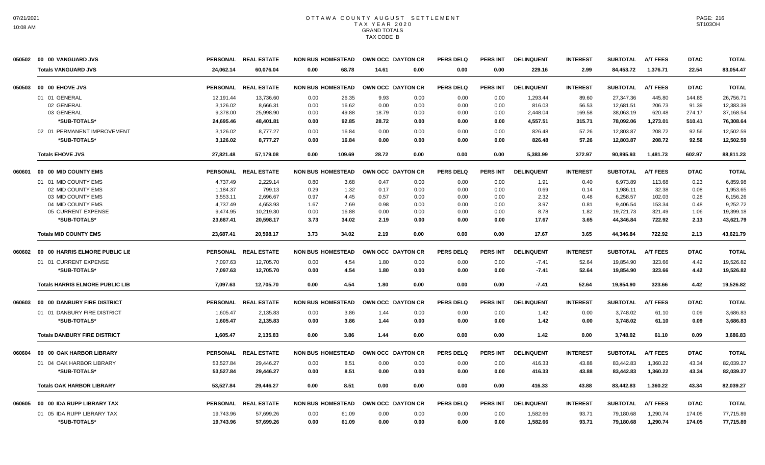| 050502 | 00 00 VANGUARD JVS                     |                 | PERSONAL REAL ESTATE | <b>NON BUS HOMESTEAD</b> | OWN OCC DAYTON CR |      | <b>PERS DELQ</b> | <b>PERS INT</b> | <b>DELINQUENT</b> | <b>INTEREST</b> | <b>SUBTOTAL</b> | <b>A/T FEES</b> | <b>DTAC</b> | <b>TOTAL</b> |
|--------|----------------------------------------|-----------------|----------------------|--------------------------|-------------------|------|------------------|-----------------|-------------------|-----------------|-----------------|-----------------|-------------|--------------|
|        | <b>Totals VANGUARD JVS</b>             | 24,062.14       | 60,076.04            | 68.78<br>0.00            | 14.61             | 0.00 | 0.00             | 0.00            | 229.16            | 2.99            | 84,453.72       | 1,376.71        | 22.54       | 83,054.47    |
| 050503 | 00 00 EHOVE JVS                        |                 | PERSONAL REAL ESTATE | <b>NON BUS HOMESTEAD</b> | OWN OCC DAYTON CR |      | <b>PERS DELQ</b> | <b>PERS INT</b> | <b>DELINQUENT</b> | <b>INTEREST</b> | <b>SUBTOTAL</b> | <b>A/T FEES</b> | <b>DTAC</b> | <b>TOTAL</b> |
|        | 01 01 GENERAL                          | 12,191.44       | 13,736.60            | 0.00<br>26.35            | 9.93              | 0.00 | 0.00             | 0.00            | 1,293.44          | 89.60           | 27,347.36       | 445.80          | 144.85      | 26,756.71    |
|        | 02 GENERAL                             | 3,126.02        | 8,666.31             | 0.00<br>16.62            | 0.00              | 0.00 | 0.00             | 0.00            | 816.03            | 56.53           | 12,681.51       | 206.73          | 91.39       | 12,383.39    |
|        | 03 GENERAL                             | 9,378.00        | 25,998.90            | 49.88<br>0.00            | 18.79             | 0.00 | 0.00             | 0.00            | 2,448.04          | 169.58          | 38,063.19       | 620.48          | 274.17      | 37,168.54    |
|        | *SUB-TOTALS*                           | 24,695.46       | 48,401.81            | 92.85<br>0.00            | 28.72             | 0.00 | 0.00             | 0.00            | 4,557.51          | 315.71          | 78,092.06       | 1,273.01        | 510.41      | 76,308.64    |
|        | 02 01 PERMANENT IMPROVEMENT            | 3,126.02        | 8,777.27             | 0.00<br>16.84            | 0.00              | 0.00 | 0.00             | 0.00            | 826.48            | 57.26           | 12,803.87       | 208.72          | 92.56       | 12,502.59    |
|        | *SUB-TOTALS*                           | 3,126.02        | 8,777.27             | 0.00<br>16.84            | 0.00              | 0.00 | 0.00             | 0.00            | 826.48            | 57.26           | 12,803.87       | 208.72          | 92.56       | 12,502.59    |
|        | <b>Totals EHOVE JVS</b>                | 27,821.48       | 57,179.08            | 0.00<br>109.69           | 28.72             | 0.00 | 0.00             | 0.00            | 5,383.99          | 372.97          | 90,895.93       | 1,481.73        | 602.97      | 88,811.23    |
| 060601 | 00 00 MID COUNTY EMS                   |                 | PERSONAL REAL ESTATE | <b>NON BUS HOMESTEAD</b> | OWN OCC DAYTON CR |      | <b>PERS DELQ</b> | PERS INT        | <b>DELINQUENT</b> | <b>INTEREST</b> | <b>SUBTOTAL</b> | <b>A/T FEES</b> | <b>DTAC</b> | <b>TOTAL</b> |
|        | 01 01 MID COUNTY EMS                   | 4,737.49        | 2,229.14             | 3.68<br>0.80             | 0.47              | 0.00 | 0.00             | 0.00            | 1.91              | 0.40            | 6,973.89        | 113.68          | 0.23        | 6,859.98     |
|        | 02 MID COUNTY EMS                      | 1,184.37        | 799.13               | 1.32<br>0.29             | 0.17              | 0.00 | 0.00             | 0.00            | 0.69              | 0.14            | 1.986.11        | 32.38           | 0.08        | 1,953.65     |
|        | 03 MID COUNTY EMS                      | 3,553.11        | 2,696.67             | 0.97<br>4.45             | 0.57              | 0.00 | 0.00             | 0.00            | 2.32              | 0.48            | 6,258.57        | 102.03          | 0.28        | 6,156.26     |
|        | 04 MID COUNTY EMS                      | 4,737.49        | 4,653.93             | 1.67<br>7.69             | 0.98              | 0.00 | 0.00             | 0.00            | 3.97              | 0.81            | 9,406.54        | 153.34          | 0.48        | 9,252.72     |
|        | 05 CURRENT EXPENSE                     | 9,474.95        | 10,219.30            | 0.00<br>16.88            | 0.00              | 0.00 | 0.00             | 0.00            | 8.78              | 1.82            | 19,721.73       | 321.49          | 1.06        | 19,399.18    |
|        | *SUB-TOTALS*                           | 23,687.41       | 20.598.17            | 3.73<br>34.02            | 2.19              | 0.00 | 0.00             | 0.00            | 17.67             | 3.65            | 44,346.84       | 722.92          | 2.13        | 43,621.79    |
|        | <b>Totals MID COUNTY EMS</b>           | 23,687.41       | 20,598.17            | 3.73<br>34.02            | 2.19              | 0.00 | 0.00             | 0.00            | 17.67             | 3.65            | 44,346.84       | 722.92          | 2.13        | 43,621.79    |
| 060602 | 00 00 HARRIS ELMORE PUBLIC LIE         |                 | PERSONAL REAL ESTATE | <b>NON BUS HOMESTEAD</b> | OWN OCC DAYTON CR |      | <b>PERS DELQ</b> | PERS INT        | <b>DELINQUENT</b> | <b>INTEREST</b> | <b>SUBTOTAL</b> | <b>A/T FEES</b> | <b>DTAC</b> | <b>TOTAL</b> |
|        | 01 01 CURRENT EXPENSE                  | 7,097.63        | 12,705.70            | 4.54<br>0.00             | 1.80              | 0.00 | 0.00             | 0.00            | $-7.41$           | 52.64           | 19,854.90       | 323.66          | 4.42        | 19,526.82    |
|        | *SUB-TOTALS*                           | 7,097.63        | 12,705.70            | 4.54<br>0.00             | 1.80              | 0.00 | 0.00             | 0.00            | $-7.41$           | 52.64           | 19,854.90       | 323.66          | 4.42        | 19,526.82    |
|        | <b>Totals HARRIS ELMORE PUBLIC LIB</b> | 7,097.63        | 12,705.70            | 4.54<br>0.00             | 1.80              | 0.00 | 0.00             | 0.00            | $-7.41$           | 52.64           | 19,854.90       | 323.66          | 4.42        | 19,526.82    |
| 060603 | 00 00 DANBURY FIRE DISTRICT            |                 | PERSONAL REAL ESTATE | <b>NON BUS HOMESTEAD</b> | OWN OCC DAYTON CR |      | <b>PERS DELQ</b> | PERS INT        | <b>DELINQUENT</b> | <b>INTEREST</b> | <b>SUBTOTAL</b> | <b>A/T FEES</b> | <b>DTAC</b> | <b>TOTAL</b> |
|        | 01 01 DANBURY FIRE DISTRICT            | 1.605.47        | 2,135.83             | 3.86<br>0.00             | 1.44              | 0.00 | 0.00             | 0.00            | 1.42              | 0.00            | 3,748.02        | 61.10           | 0.09        | 3,686.83     |
|        | *SUB-TOTALS*                           | 1,605.47        | 2,135.83             | 0.00<br>3.86             | 1.44              | 0.00 | 0.00             | 0.00            | 1.42              | 0.00            | 3,748.02        | 61.10           | 0.09        | 3,686.83     |
|        | <b>Totals DANBURY FIRE DISTRICT</b>    | 1,605.47        | 2,135.83             | 0.00<br>3.86             | 1.44              | 0.00 | 0.00             | 0.00            | 1.42              | 0.00            | 3,748.02        | 61.10           | 0.09        | 3,686.83     |
| 060604 | 00 00 OAK HARBOR LIBRARY               | <b>PERSONAL</b> | <b>REAL ESTATE</b>   | <b>NON BUS HOMESTEAD</b> | OWN OCC DAYTON CR |      | <b>PERS DELQ</b> | <b>PERS INT</b> | <b>DELINQUENT</b> | <b>INTEREST</b> | <b>SUBTOTAL</b> | <b>A/T FEES</b> | <b>DTAC</b> | <b>TOTAL</b> |
|        | 01 04 OAK HARBOR LIBRARY               | 53,527.84       | 29,446.27            | 8.51<br>0.00             | 0.00              | 0.00 | 0.00             | 0.00            | 416.33            | 43.88           | 83,442.83       | 1,360.22        | 43.34       | 82,039.27    |
|        | *SUB-TOTALS*                           | 53,527.84       | 29,446.27            | 8.51<br>0.00             | 0.00              | 0.00 | 0.00             | 0.00            | 416.33            | 43.88           | 83,442.83       | 1,360.22        | 43.34       | 82,039.27    |
|        | <b>Totals OAK HARBOR LIBRARY</b>       | 53,527.84       | 29.446.27            | 8.51<br>0.00             | 0.00              | 0.00 | 0.00             | 0.00            | 416.33            | 43.88           | 83.442.83       | 1.360.22        | 43.34       | 82.039.27    |
| 060605 | 00 00 IDA RUPP LIBRARY TAX             | <b>PERSONAL</b> | <b>REAL ESTATE</b>   | <b>NON BUS HOMESTEAD</b> | OWN OCC DAYTON CR |      | <b>PERS DELQ</b> | <b>PERS INT</b> | <b>DELINQUENT</b> | <b>INTEREST</b> | <b>SUBTOTAL</b> | <b>A/T FEES</b> | <b>DTAC</b> | <b>TOTAL</b> |
|        | 01 05 IDA RUPP LIBRARY TAX             | 19.743.96       | 57,699.26            | 0.00<br>61.09            | 0.00              | 0.00 | 0.00             | 0.00            | 1,582.66          | 93.71           | 79,180.68       | 1,290.74        | 174.05      | 77,715.89    |
|        | *SUB-TOTALS*                           | 19,743.96       | 57,699.26            | 0.00<br>61.09            | 0.00              | 0.00 | 0.00             | 0.00            | 1,582.66          | 93.71           | 79,180.68       | 1,290.74        | 174.05      | 77,715.89    |
|        |                                        |                 |                      |                          |                   |      |                  |                 |                   |                 |                 |                 |             |              |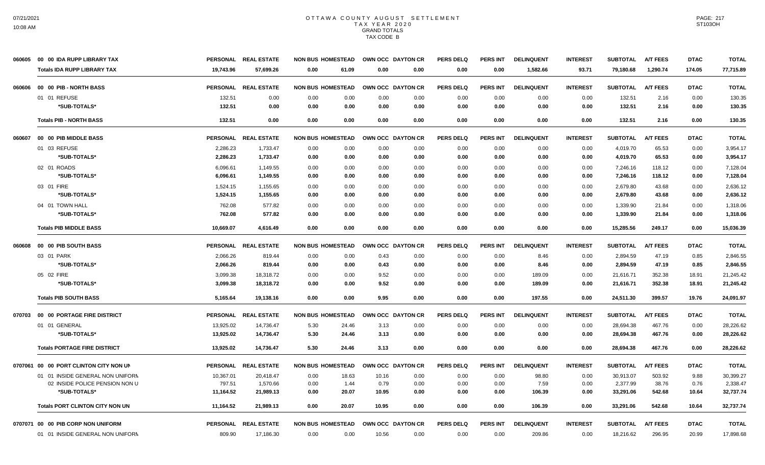| 060605 | 00 00 IDA RUPP LIBRARY TAX             |                 | PERSONAL REAL ESTATE | <b>NON BUS HOMESTEAD</b> |       | OWN OCC DAYTON CR | <b>PERS DELQ</b> | <b>PERS INT</b> | <b>DELINQUENT</b> | <b>INTEREST</b> | <b>SUBTOTAL</b> | <b>A/T FEES</b> | <b>DTAC</b> | <b>TOTAL</b> |
|--------|----------------------------------------|-----------------|----------------------|--------------------------|-------|-------------------|------------------|-----------------|-------------------|-----------------|-----------------|-----------------|-------------|--------------|
|        | <b>Totals IDA RUPP LIBRARY TAX</b>     | 19.743.96       | 57.699.26            | 0.00<br>61.09            | 0.00  | 0.00              | 0.00             | 0.00            | 1,582.66          | 93.71           | 79,180.68       | 1.290.74        | 174.05      | 77.715.89    |
| 060606 | 00 00 PIB - NORTH BASS                 |                 | PERSONAL REAL ESTATE | <b>NON BUS HOMESTEAD</b> |       | OWN OCC DAYTON CR | <b>PERS DELQ</b> | <b>PERS INT</b> | <b>DELINQUENT</b> | <b>INTEREST</b> | <b>SUBTOTAL</b> | <b>A/T FEES</b> | <b>DTAC</b> | <b>TOTAL</b> |
|        | 01 01 REFUSE                           | 132.51          | 0.00                 | 0.00<br>0.00             | 0.00  | 0.00              | 0.00             | 0.00            | 0.00              | 0.00            | 132.51          | 2.16            | 0.00        | 130.35       |
|        | *SUB-TOTALS*                           | 132.51          | 0.00                 | 0.00<br>0.00             | 0.00  | 0.00              | 0.00             | 0.00            | 0.00              | 0.00            | 132.51          | 2.16            | 0.00        | 130.35       |
|        | <b>Totals PIB - NORTH BASS</b>         | 132.51          | 0.00                 | 0.00<br>0.00             | 0.00  | 0.00              | 0.00             | 0.00            | 0.00              | 0.00            | 132.51          | 2.16            | 0.00        | 130.35       |
| 060607 | 00 00 PIB MIDDLE BASS                  |                 | PERSONAL REAL ESTATE | <b>NON BUS HOMESTEAD</b> |       | OWN OCC DAYTON CR | <b>PERS DELQ</b> | <b>PERS INT</b> | <b>DELINQUENT</b> | <b>INTEREST</b> | <b>SUBTOTAL</b> | <b>A/T FEES</b> | <b>DTAC</b> | <b>TOTAL</b> |
|        | 01 03 REFUSE                           | 2,286.23        | 1,733.47             | 0.00<br>0.00             | 0.00  | 0.00              | 0.00             | 0.00            | 0.00              | 0.00            | 4,019.70        | 65.53           | 0.00        | 3.954.17     |
|        | *SUB-TOTALS*                           | 2,286.23        | 1,733.47             | 0.00<br>0.00             | 0.00  | 0.00              | 0.00             | 0.00            | 0.00              | 0.00            | 4,019.70        | 65.53           | 0.00        | 3,954.17     |
|        | 02 01 ROADS                            | 6,096.61        | 1,149.55             | 0.00<br>0.00             | 0.00  | 0.00              | 0.00             | 0.00            | 0.00              | 0.00            | 7,246.16        | 118.12          | 0.00        | 7.128.04     |
|        | *SUB-TOTALS*                           | 6,096.61        | 1,149.55             | 0.00<br>0.00             | 0.00  | 0.00              | 0.00             | 0.00            | 0.00              | 0.00            | 7,246.16        | 118.12          | 0.00        | 7,128.04     |
|        | 03 01 FIRE                             | 1.524.15        | 1,155.65             | 0.00<br>0.00             | 0.00  | 0.00              | 0.00             | 0.00            | 0.00              | 0.00            | 2.679.80        | 43.68           | 0.00        | 2,636.12     |
|        | *SUB-TOTALS*                           | 1,524.15        | 1,155.65             | 0.00<br>0.00             | 0.00  | 0.00              | 0.00             | 0.00            | 0.00              | 0.00            | 2,679.80        | 43.68           | 0.00        | 2,636.12     |
|        | 04 01 TOWN HALL                        | 762.08          | 577.82               | 0.00<br>0.00             | 0.00  | 0.00              | 0.00             | 0.00            | 0.00              | 0.00            | 1,339.90        | 21.84           | 0.00        | 1,318.06     |
|        | *SUB-TOTALS*                           | 762.08          | 577.82               | 0.00<br>0.00             | 0.00  | 0.00              | 0.00             | 0.00            | 0.00              | 0.00            | 1,339.90        | 21.84           | 0.00        | 1,318.06     |
|        | <b>Totals PIB MIDDLE BASS</b>          | 10,669.07       | 4,616.49             | 0.00<br>0.00             | 0.00  | 0.00              | 0.00             | 0.00            | 0.00              | 0.00            | 15,285.56       | 249.17          | 0.00        | 15,036.39    |
| 060608 | 00 00 PIB SOUTH BASS                   | <b>PERSONAL</b> | <b>REAL ESTATE</b>   | <b>NON BUS HOMESTEAD</b> |       | OWN OCC DAYTON CR | <b>PERS DELQ</b> | <b>PERS INT</b> | <b>DELINQUENT</b> | <b>INTEREST</b> | <b>SUBTOTAL</b> | <b>A/T FEES</b> | <b>DTAC</b> | <b>TOTAL</b> |
|        | 03 01 PARK                             | 2,066.26        | 819.44               | 0.00<br>0.00             | 0.43  | 0.00              | 0.00             | 0.00            | 8.46              | 0.00            | 2,894.59        | 47.19           | 0.85        | 2,846.55     |
|        | *SUB-TOTALS*                           | 2,066.26        | 819.44               | 0.00<br>0.00             | 0.43  | 0.00              | 0.00             | 0.00            | 8.46              | 0.00            | 2,894.59        | 47.19           | 0.85        | 2,846.55     |
|        | 05 02 FIRE                             | 3,099.38        | 18,318.72            | 0.00<br>0.00             | 9.52  | 0.00              | 0.00             | 0.00            | 189.09            | 0.00            | 21,616.71       | 352.38          | 18.91       | 21,245.42    |
|        | *SUB-TOTALS*                           | 3,099.38        | 18,318.72            | 0.00<br>0.00             | 9.52  | 0.00              | 0.00             | 0.00            | 189.09            | 0.00            | 21,616.71       | 352.38          | 18.91       | 21,245.42    |
|        | <b>Totals PIB SOUTH BASS</b>           | 5,165.64        | 19,138.16            | 0.00<br>0.00             | 9.95  | 0.00              | 0.00             | 0.00            | 197.55            | 0.00            | 24,511.30       | 399.57          | 19.76       | 24,091.97    |
| 070703 | <b>00 00 PORTAGE FIRE DISTRICT</b>     |                 | PERSONAL REAL ESTATE | <b>NON BUS HOMESTEAD</b> |       | OWN OCC DAYTON CR | <b>PERS DELQ</b> | <b>PERS INT</b> | <b>DELINQUENT</b> | <b>INTEREST</b> | <b>SUBTOTAL</b> | <b>A/T FEES</b> | <b>DTAC</b> | <b>TOTAL</b> |
|        | 01 01 GENERAL                          | 13,925.02       | 14,736.47            | 5.30<br>24.46            | 3.13  | 0.00              | 0.00             | 0.00            | 0.00              | 0.00            | 28,694.38       | 467.76          | 0.00        | 28,226.62    |
|        | *SUB-TOTALS*                           | 13,925.02       | 14,736.47            | 5.30<br>24.46            | 3.13  | 0.00              | 0.00             | 0.00            | 0.00              | 0.00            | 28,694.38       | 467.76          | 0.00        | 28,226.62    |
|        | <b>Totals PORTAGE FIRE DISTRICT</b>    | 13,925.02       | 14,736.47            | 5.30<br>24.46            | 3.13  | 0.00              | 0.00             | 0.00            | 0.00              | 0.00            | 28,694.38       | 467.76          | 0.00        | 28,226.62    |
|        | 0707061 00 00 PORT CLINTON CITY NON UN |                 | PERSONAL REAL ESTATE | <b>NON BUS HOMESTEAD</b> |       | OWN OCC DAYTON CR | <b>PERS DELQ</b> | PERS INT        | <b>DELINQUENT</b> | <b>INTEREST</b> | <b>SUBTOTAL</b> | <b>A/T FEES</b> | <b>DTAC</b> | <b>TOTAL</b> |
|        | 01 01 INSIDE GENERAL NON UNIFORM       | 10,367.01       | 20,418.47            | 0.00<br>18.63            | 10.16 | 0.00              | 0.00             | 0.00            | 98.80             | 0.00            | 30,913.07       | 503.92          | 9.88        | 30,399.27    |
|        | 02 INSIDE POLICE PENSION NON U         | 797.51          | 1,570.66             | 1.44<br>0.00             | 0.79  | 0.00              | 0.00             | 0.00            | 7.59              | 0.00            | 2,377.99        | 38.76           | 0.76        | 2,338.47     |
|        | *SUB-TOTALS*                           | 11,164.52       | 21,989.13            | 20.07<br>0.00            | 10.95 | 0.00              | 0.00             | 0.00            | 106.39            | 0.00            | 33,291.06       | 542.68          | 10.64       | 32,737.74    |
|        | <b>Totals PORT CLINTON CITY NON UN</b> | 11,164.52       | 21,989.13            | 0.00<br>20.07            | 10.95 | 0.00              | 0.00             | 0.00            | 106.39            | 0.00            | 33,291.06       | 542.68          | 10.64       | 32,737.74    |
|        | 0707071 00 00 PIB CORP NON UNIFORM     |                 | PERSONAL REAL ESTATE | <b>NON BUS HOMESTEAD</b> |       | OWN OCC DAYTON CR | <b>PERS DELQ</b> | <b>PERS INT</b> | <b>DELINQUENT</b> | <b>INTEREST</b> | <b>SUBTOTAL</b> | <b>A/T FEES</b> | <b>DTAC</b> | <b>TOTAL</b> |
|        | 01 01 INSIDE GENERAL NON UNIFORM       | 809.90          | 17,186.30            | 0.00<br>0.00             | 10.56 | 0.00              | 0.00             | 0.00            | 209.86            | 0.00            | 18,216.62       | 296.95          | 20.99       | 17,898.68    |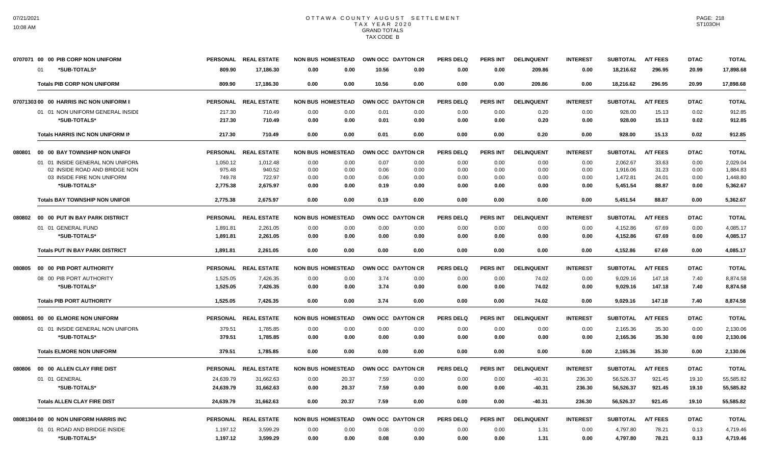|        | 0707071 00 00 PIB CORP NON UNIFORM         | <b>PERSONAL</b>    | <b>REAL ESTATE</b>   | <b>NON BUS HOMESTEAD</b> |              | OWN OCC DAYTON CR |                  | <b>PERS DELQ</b> | <b>PERS INT</b> | <b>DELINQUENT</b> | <b>INTEREST</b> | <b>SUBTOTAL</b>      | <b>A/T FEES</b> | <b>DTAC</b>  | <b>TOTAL</b>         |
|--------|--------------------------------------------|--------------------|----------------------|--------------------------|--------------|-------------------|------------------|------------------|-----------------|-------------------|-----------------|----------------------|-----------------|--------------|----------------------|
|        | *SUB-TOTALS*<br>01                         | 809.90             | 17,186.30            | 0.00                     | 0.00         | 10.56             | 0.00             | 0.00             | 0.00            | 209.86            | 0.00            | 18,216.62            | 296.95          | 20.99        | 17,898.68            |
|        | <b>Totals PIB CORP NON UNIFORM</b>         | 809.90             | 17,186.30            | 0.00                     | 0.00         | 10.56             | 0.00             | 0.00             | 0.00            | 209.86            | 0.00            | 18,216.62            | 296.95          | 20.99        | 17,898.68            |
|        | 07071303 00 00 HARRIS INC NON UNIFORM II   | <b>PERSONAL</b>    | <b>REAL ESTATE</b>   | <b>NON BUS HOMESTEAD</b> |              | OWN OCC DAYTON CR |                  | <b>PERS DELQ</b> | <b>PERS INT</b> | <b>DELINQUENT</b> | <b>INTEREST</b> | <b>SUBTOTAL</b>      | <b>A/T FEES</b> | <b>DTAC</b>  | <b>TOTAL</b>         |
|        | 01 01 NON UNIFORM GENERAL INSIDE           | 217.30             | 710.49               | 0.00                     | 0.00         | 0.01              | 0.00             | 0.00             | 0.00            | 0.20              | 0.00            | 928.00               | 15.13           | 0.02         | 912.85               |
|        | *SUB-TOTALS*                               | 217.30             | 710.49               | 0.00                     | 0.00         | 0.01              | 0.00             | 0.00             | 0.00            | 0.20              | 0.00            | 928.00               | 15.13           | 0.02         | 912.85               |
|        | Totals HARRIS INC NON UNIFORM IN           | 217.30             | 710.49               | 0.00                     | 0.00         | 0.01              | 0.00             | 0.00             | 0.00            | 0.20              | 0.00            | 928.00               | 15.13           | 0.02         | 912.85               |
| 080801 | 00 00 BAY TOWNSHIP NON UNIFOR              | <b>PERSONAL</b>    | <b>REAL ESTATE</b>   | <b>NON BUS HOMESTEAD</b> |              | OWN OCC DAYTON CR |                  | <b>PERS DELQ</b> | <b>PERS INT</b> | <b>DELINQUENT</b> | <b>INTEREST</b> | <b>SUBTOTAL</b>      | <b>A/T FEES</b> | <b>DTAC</b>  | <b>TOTAL</b>         |
|        | 01 01 INSIDE GENERAL NON UNIFORM           | 1,050.12           | 1,012.48             | 0.00                     | 0.00         | 0.07              | 0.00             | 0.00             | 0.00            | 0.00              | 0.00            | 2,062.67             | 33.63           | 0.00         | 2,029.04             |
|        | 02 INSIDE ROAD AND BRIDGE NON              | 975.48             | 940.52               | 0.00                     | 0.00         | 0.06              | 0.00             | 0.00             | 0.00            | 0.00              | 0.00            | 1,916.06             | 31.23           | 0.00         | 1,884.83             |
|        | 03 INSIDE FIRE NON UNIFORM<br>*SUB-TOTALS* | 749.78<br>2,775.38 | 722.97<br>2,675.97   | 0.00<br>0.00             | 0.00<br>0.00 | 0.06<br>0.19      | 0.00<br>0.00     | 0.00<br>0.00     | 0.00<br>0.00    | 0.00<br>0.00      | 0.00<br>0.00    | 1,472.81<br>5,451.54 | 24.01<br>88.87  | 0.00<br>0.00 | 1,448.80<br>5,362.67 |
|        | <b>Totals BAY TOWNSHIP NON UNIFOR</b>      | 2,775.38           | 2,675.97             | 0.00                     | 0.00         | 0.19              | 0.00             | 0.00             | 0.00            | 0.00              | 0.00            | 5,451.54             | 88.87           | 0.00         | 5,362.67             |
| 080802 | 00 00 PUT IN BAY PARK DISTRICT             |                    | PERSONAL REAL ESTATE | <b>NON BUS HOMESTEAD</b> |              | OWN OCC DAYTON CR |                  | <b>PERS DELQ</b> | <b>PERS INT</b> | <b>DELINQUENT</b> | <b>INTEREST</b> | <b>SUBTOTAL</b>      | <b>A/T FEES</b> | <b>DTAC</b>  | <b>TOTAL</b>         |
|        | 01 01 GENERAL FUND                         | 1,891.81           | 2,261.05             | 0.00                     | 0.00         | 0.00              | 0.00             | 0.00             | 0.00            | 0.00              | 0.00            | 4,152.86             | 67.69           | 0.00         | 4,085.17             |
|        | *SUB-TOTALS*                               | 1,891.81           | 2,261.05             | 0.00                     | 0.00         | 0.00              | 0.00             | 0.00             | 0.00            | 0.00              | 0.00            | 4,152.86             | 67.69           | 0.00         | 4,085.17             |
|        | <b>Totals PUT IN BAY PARK DISTRICT</b>     | 1.891.81           | 2.261.05             | 0.00                     | 0.00         | 0.00              | 0.00             | 0.00             | 0.00            | 0.00              | 0.00            | 4.152.86             | 67.69           | 0.00         | 4,085.17             |
| 080805 | 00 00 PIB PORT AUTHORITY                   |                    | PERSONAL REAL ESTATE | <b>NON BUS HOMESTEAD</b> |              | OWN OCC DAYTON CR |                  | <b>PERS DELQ</b> | <b>PERS INT</b> | <b>DELINQUENT</b> | <b>INTEREST</b> | <b>SUBTOTAL</b>      | <b>A/T FEES</b> | <b>DTAC</b>  | <b>TOTAL</b>         |
|        | 08 00 PIB PORT AUTHORITY                   | 1,525.05           | 7,426.35             | 0.00                     | 0.00         | 3.74              | 0.00             | 0.00             | 0.00            | 74.02             | 0.00            | 9,029.16             | 147.18          | 7.40         | 8,874.58             |
|        | *SUB-TOTALS*                               | 1,525.05           | 7,426.35             | 0.00                     | 0.00         | 3.74              | 0.00             | 0.00             | 0.00            | 74.02             | 0.00            | 9,029.16             | 147.18          | 7.40         | 8,874.58             |
|        | <b>Totals PIB PORT AUTHORITY</b>           | 1,525.05           | 7,426.35             | 0.00                     | 0.00         | 3.74              | 0.00             | 0.00             | 0.00            | 74.02             | 0.00            | 9,029.16             | 147.18          | 7.40         | 8,874.58             |
|        | 0808051 00 00 ELMORE NON UNIFORM           | <b>PERSONAL</b>    | <b>REAL ESTATE</b>   | <b>NON BUS HOMESTEAD</b> |              | OWN OCC DAYTON CR |                  | <b>PERS DELQ</b> | <b>PERS INT</b> | <b>DELINQUENT</b> | <b>INTEREST</b> | <b>SUBTOTAL</b>      | <b>A/T FEES</b> | <b>DTAC</b>  | <b>TOTAL</b>         |
|        | 01 01 INSIDE GENERAL NON UNIFORM           | 379.51             | 1,785.85             | 0.00                     | 0.00         | 0.00              | 0.00             | 0.00             | 0.00            | 0.00              | 0.00            | 2,165.36             | 35.30           | 0.00         | 2,130.06             |
|        | *SUB-TOTALS*                               | 379.51             | 1,785.85             | 0.00                     | 0.00         | 0.00              | 0.00             | 0.00             | 0.00            | 0.00              | 0.00            | 2,165.36             | 35.30           | 0.00         | 2,130.06             |
|        | <b>Totals ELMORE NON UNIFORM</b>           | 379.51             | 1,785.85             | 0.00                     | 0.00         | 0.00              | 0.00             | 0.00             | 0.00            | 0.00              | 0.00            | 2,165.36             | 35.30           | 0.00         | 2,130.06             |
| 080806 | 00 00 ALLEN CLAY FIRE DIST                 | <b>PERSONAL</b>    | <b>REAL ESTATE</b>   | <b>NON BUS HOMESTEAD</b> |              | OWN OCC DAYTON CR |                  | <b>PERS DELQ</b> | <b>PERS INT</b> | <b>DELINQUENT</b> | <b>INTEREST</b> | <b>SUBTOTAL</b>      | <b>A/T FEES</b> | <b>DTAC</b>  | <b>TOTAL</b>         |
|        | 01 01 GENERAL                              | 24,639.79          | 31,662.63            | 0.00                     | 20.37        | 7.59              | 0.00             | 0.00             | 0.00            | $-40.31$          | 236.30          | 56,526.37            | 921.45          | 19.10        | 55,585.82            |
|        | *SUB-TOTALS*                               | 24,639.79          | 31,662.63            | 0.00                     | 20.37        | 7.59              | 0.00             | 0.00             | 0.00            | -40.31            | 236.30          | 56,526.37            | 921.45          | 19.10        | 55,585.82            |
|        | <b>Totals ALLEN CLAY FIRE DIST</b>         | 24,639.79          | 31,662.63            | 0.00                     | 20.37        | 7.59              | 0.00             | 0.00             | 0.00            | $-40.31$          | 236.30          | 56,526.37            | 921.45          | 19.10        | 55,585.82            |
|        | 08081304 00 00 NON UNIFORM HARRIS INC      | <b>PERSONAL</b>    | <b>REAL ESTATE</b>   | <b>NON BUS HOMESTEAD</b> |              | <b>OWN OCC</b>    | <b>DAYTON CR</b> | <b>PERS DELQ</b> | <b>PERS INT</b> | <b>DELINQUENT</b> | <b>INTEREST</b> | <b>SUBTOTAL</b>      | <b>A/T FEES</b> | <b>DTAC</b>  | <b>TOTAL</b>         |
|        | 01 01 ROAD AND BRIDGE INSIDE               | 1,197.12           | 3,599.29             | 0.00                     | 0.00         | 0.08              | 0.00             | 0.00             | 0.00            | 1.31              | 0.00            | 4,797.80             | 78.21           | 0.13         | 4,719.46             |
|        | *SUB-TOTALS*                               | 1,197.12           | 3,599.29             | 0.00                     | 0.00         | 0.08              | 0.00             | 0.00             | 0.00            | 1.31              | 0.00            | 4,797.80             | 78.21           | 0.13         | 4,719.46             |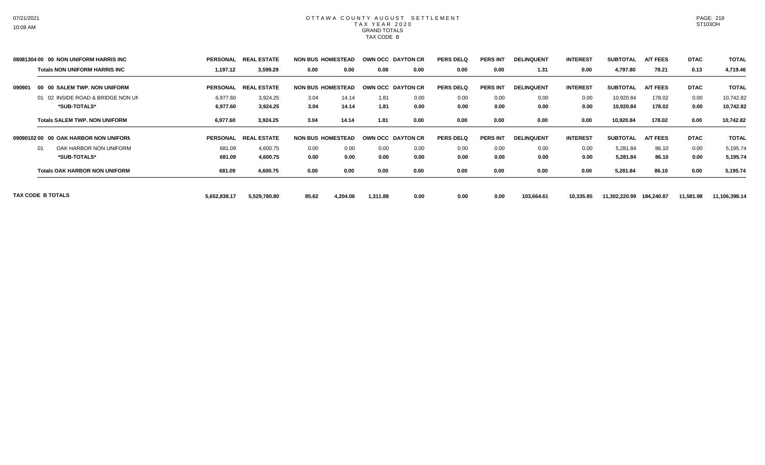|        | 08081304 00 00 NON UNIFORM HARRIS INC | <b>PERSONAL</b> | <b>REAL ESTATE</b> | <b>NON BUS HOMESTEAD</b> |          |          | <b>OWN OCC DAYTON CR</b> | <b>PERS DELQ</b> | <b>PERS INT</b> | <b>DELINQUENT</b> | <b>INTEREST</b> | <b>SUBTOTAL</b> | <b>A/T FEES</b> | <b>DTAC</b> | <b>TOTAL</b>  |
|--------|---------------------------------------|-----------------|--------------------|--------------------------|----------|----------|--------------------------|------------------|-----------------|-------------------|-----------------|-----------------|-----------------|-------------|---------------|
|        | <b>Totals NON UNIFORM HARRIS INC</b>  | 1,197.12        | 3,599.29           | 0.00                     | 0.00     | 0.08     | 0.00                     | 0.00             | 0.00            | 1.31              | 0.00            | 4,797.80        | 78.21           | 0.13        | 4,719.46      |
| 090901 | 00 00 SALEM TWP, NON UNIFORM          | <b>PERSONAL</b> | <b>REAL ESTATE</b> | <b>NON BUS HOMESTEAD</b> |          |          | <b>OWN OCC DAYTON CR</b> | <b>PERS DELQ</b> | <b>PERS INT</b> | <b>DELINQUENT</b> | <b>INTEREST</b> | <b>SUBTOTAL</b> | <b>A/T FEES</b> | <b>DTAC</b> | <b>TOTAL</b>  |
|        | 01 02 INSIDE ROAD & BRIDGE NON UN     | 6,977.60        | 3,924.25           | 3.04                     | 14.14    | 1.81     | 0.00                     | 0.00             | 0.00            | 0.00              | 0.00            | 10,920.84       | 178.02          | 0.00        | 10,742.82     |
|        | *SUB-TOTALS*                          | 6,977.60        | 3,924.25           | 3.04                     | 14.14    | 1.81     | 0.00                     | 0.00             | 0.00            | 0.00              | 0.00            | 10,920.84       | 178.02          | 0.00        | 10,742.82     |
|        | <b>Totals SALEM TWP, NON UNIFORM</b>  | 6,977.60        | 3,924.25           | 3.04                     | 14.14    | 1.81     | 0.00                     | 0.00             | 0.00            | 0.00              | 0.00            | 10,920.84       | 178.02          | 0.00        | 10,742.82     |
|        | 09090102 00 00 OAK HARBOR NON UNIFORN | <b>PERSONAL</b> | <b>REAL ESTATE</b> | <b>NON BUS HOMESTEAD</b> |          |          | <b>OWN OCC DAYTON CR</b> | <b>PERS DELQ</b> | <b>PERS INT</b> | <b>DELINQUENT</b> | <b>INTEREST</b> | <b>SUBTOTAL</b> | <b>A/T FEES</b> | <b>DTAC</b> | <b>TOTAL</b>  |
|        | OAK HARBOR NON UNIFORM<br>01          | 681.09          | 4,600.75           | 0.00                     | 0.00     | 0.00     | 0.00                     | 0.00             | 0.00            | 0.00              | 0.00            | 5,281.84        | 86.10           | 0.00        | 5,195.74      |
|        | *SUB-TOTALS*                          | 681.09          | 4,600.75           | 0.00                     | 0.00     | 0.00     | 0.00                     | 0.00             | 0.00            | 0.00              | 0.00            | 5,281.84        | 86.10           | 0.00        | 5,195.74      |
|        | <b>Totals OAK HARBOR NON UNIFORM</b>  | 681.09          | 4,600.75           | 0.00                     | 0.00     | 0.00     | 0.00                     | 0.00             | 0.00            | 0.00              | 0.00            | 5,281.84        | 86.10           | 0.00        | 5,195.74      |
|        | TAX CODE B TOTALS                     | 5,652,838.17    | 5,529,780.80       | 85.62                    | 4,204.06 | 1,311.88 | 0.00                     | 0.00             | 0.00            | 103,664.61        | 10,335.85       | 11,302,220.99   | 184,240.87      | 11,581.98   | 11,106,398.14 |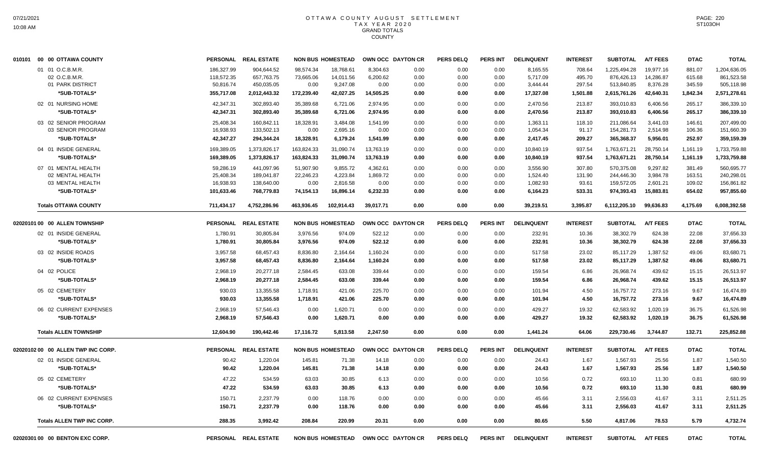| 010101 00 00 OTTAWA COUNTY         | <b>PERSONAL</b> | <b>REAL ESTATE</b>   |            | <b>NON BUS HOMESTEAD</b> |           | OWN OCC DAYTON CR                   | <b>PERS DELQ</b> | <b>PERS INT</b> | <b>DELINQUENT</b> | <b>INTEREST</b> | <b>SUBTOTAL</b> | <b>A/T FEES</b> | <b>DTAC</b> | <b>TOTAL</b> |
|------------------------------------|-----------------|----------------------|------------|--------------------------|-----------|-------------------------------------|------------------|-----------------|-------------------|-----------------|-----------------|-----------------|-------------|--------------|
| 01 01 O.C.B.M.R.                   | 186,327.99      | 904,644.52           | 98,574.34  | 18,768.61                | 8,304.63  | 0.00                                | 0.00             | 0.00            | 8,165.55          | 708.64          | 1,225,494.28    | 19,977.16       | 881.07      | 1,204,636.05 |
| 02 O.C.B.M.R                       | 118,572.35      | 657,763.75           | 73,665.06  | 14,011.56                | 6,200.62  | 0.00                                | 0.00             | 0.00            | 5,717.09          | 495.70          | 876,426.13      | 14,286.87       | 615.68      | 861,523.58   |
| 01 PARK DISTRICT                   | 50,816.74       | 450,035.05           | 0.00       | 9.247.08                 | 0.00      | 0.00                                | 0.00             | 0.00            | 3,444.44          | 297.54          | 513,840.85      | 8,376.28        | 345.59      | 505,118.98   |
| *SUB-TOTALS*                       | 355,717.08      | 2,012,443.32         | 172,239.40 | 42,027.25                | 14,505.25 | 0.00                                | 0.00             | 0.00            | 17,327.08         | 1,501.88        | 2,615,761.26    | 42,640.31       | 1,842.34    | 2,571,278.61 |
| 02 01 NURSING HOME                 | 42,347.31       | 302,893.40           | 35,389.68  | 6,721.06                 | 2,974.95  | 0.00                                | 0.00             | 0.00            | 2,470.56          | 213.87          | 393,010.83      | 6,406.56        | 265.17      | 386,339.10   |
| *SUB-TOTALS*                       | 42,347.31       | 302,893.40           | 35,389.68  | 6,721.06                 | 2,974.95  | 0.00                                | 0.00             | 0.00            | 2,470.56          | 213.87          | 393,010.83      | 6,406.56        | 265.17      | 386,339.10   |
| 03 02 SENIOR PROGRAM               | 25,408.34       | 160,842.11           | 18,328.91  | 3.484.08                 | 1.541.99  | 0.00                                | 0.00             | 0.00            | 1,363.11          | 118.10          | 211,086.64      | 3.441.03        | 146.61      | 207,499.00   |
| 03 SENIOR PROGRAM                  | 16,938.93       | 133,502.13           | 0.00       | 2,695.16                 | 0.00      | 0.00                                | 0.00             | 0.00            | 1,054.34          | 91.17           | 154,281.73      | 2,514.98        | 106.36      | 151,660.39   |
| *SUB-TOTALS*                       | 42,347.27       | 294,344.24           | 18,328.91  | 6,179.24                 | 1,541.99  | 0.00                                | 0.00             | 0.00            | 2,417.45          | 209.27          | 365,368.37      | 5,956.01        | 252.97      | 359,159.39   |
| 04 01 INSIDE GENERAL               | 169,389.05      | 1,373,826.17         | 163,824.33 | 31,090.74                | 13,763.19 | 0.00                                | 0.00             | 0.00            | 10,840.19         | 937.54          | 1,763,671.21    | 28,750.14       | 1,161.19    | 1,733,759.88 |
| *SUB-TOTALS*                       | 169,389.05      | 1,373,826.17         | 163,824.33 | 31,090.74                | 13,763.19 | 0.00                                | 0.00             | 0.00            | 10,840.19         | 937.54          | 1,763,671.21    | 28,750.14       | 1,161.19    | 1,733,759.88 |
| 07 01 MENTAL HEALTH                | 59,286.19       | 441,097.96           | 51,907.90  | 9,855.72                 | 4,362.61  | 0.00                                | 0.00             | 0.00            | 3,556.90          | 307.80          | 570,375.08      | 9,297.82        | 381.49      | 560,695.77   |
| 02 MENTAL HEALTH                   | 25,408.34       | 189,041.87           | 22,246.23  | 4,223.84                 | 1,869.72  | 0.00                                | 0.00             | 0.00            | 1,524.40          | 131.90          | 244,446.30      | 3,984.78        | 163.51      | 240,298.01   |
| 03 MENTAL HEALTH                   | 16,938.93       | 138,640.00           | 0.00       | 2,816.58                 | 0.00      | 0.00                                | 0.00             | 0.00            | 1,082.93          | 93.61           | 159,572.05      | 2,601.21        | 109.02      | 156,861.82   |
| *SUB-TOTALS*                       | 101,633.46      | 768,779.83           | 74,154.13  | 16,896.14                | 6,232.33  | 0.00                                | 0.00             | 0.00            | 6,164.23          | 533.31          | 974,393.43      | 15,883.81       | 654.02      | 957,855.60   |
| <b>Totals OTTAWA COUNTY</b>        | 711,434.17      | 4,752,286.96         | 463,936.45 | 102,914.43               | 39,017.71 | 0.00                                | 0.00             | 0.00            | 39,219.51         | 3,395.87        | 6,112,205.10    | 99,636.83       | 4,175.69    | 6,008,392.58 |
| 02020101 00 00 ALLEN TOWNSHIP      |                 | PERSONAL REAL ESTATE |            | <b>NON BUS HOMESTEAD</b> |           | OWN OCC DAYTON CR                   | <b>PERS DELQ</b> | <b>PERS INT</b> | <b>DELINQUENT</b> | <b>INTEREST</b> | <b>SUBTOTAL</b> | <b>A/T FEES</b> | <b>DTAC</b> | <b>TOTAL</b> |
| 02 01 INSIDE GENERAL               | 1,780.91        | 30,805.84            | 3,976.56   | 974.09                   | 522.12    | 0.00                                | 0.00             | 0.00            | 232.91            | 10.36           | 38,302.79       | 624.38          | 22.08       | 37,656.33    |
| *SUB-TOTALS*                       | 1,780.91        | 30,805.84            | 3,976.56   | 974.09                   | 522.12    | 0.00                                | 0.00             | 0.00            | 232.91            | 10.36           | 38,302.79       | 624.38          | 22.08       | 37,656.33    |
| 03 02 INSIDE ROADS                 | 3,957.58        | 68,457.43            | 8,836.80   | 2,164.64                 | 1,160.24  | 0.00                                | 0.00             | 0.00            | 517.58            | 23.02           | 85,117.29       | 1,387.52        | 49.06       | 83,680.71    |
| *SUB-TOTALS*                       | 3,957.58        | 68,457.43            | 8,836.80   | 2,164.64                 | 1,160.24  | 0.00                                | 0.00             | 0.00            | 517.58            | 23.02           | 85,117.29       | 1,387.52        | 49.06       | 83,680.71    |
| 04 02 POLICE                       | 2,968.19        | 20,277.18            | 2,584.45   | 633.08                   | 339.44    | 0.00                                | 0.00             | 0.00            | 159.54            | 6.86            | 26,968.74       | 439.62          | 15.15       | 26,513.97    |
| *SUB-TOTALS*                       | 2,968.19        | 20,277.18            | 2,584.45   | 633.08                   | 339.44    | 0.00                                | 0.00             | 0.00            | 159.54            | 6.86            | 26,968.74       | 439.62          | 15.15       | 26,513.97    |
| 05 02 CEMETERY                     | 930.03          | 13,355.58            | 1,718.91   | 421.06                   | 225.70    | 0.00                                | 0.00             | 0.00            | 101.94            | 4.50            | 16,757.72       | 273.16          | 9.67        | 16,474.89    |
| *SUB-TOTALS*                       | 930.03          | 13,355.58            | 1,718.91   | 421.06                   | 225.70    | 0.00                                | 0.00             | 0.00            | 101.94            | 4.50            | 16,757.72       | 273.16          | 9.67        | 16,474.89    |
| 06 02 CURRENT EXPENSES             | 2,968.19        | 57,546.43            | 0.00       | 1,620.71                 | 0.00      | 0.00                                | 0.00             | 0.00            | 429.27            | 19.32           | 62,583.92       | 1,020.19        | 36.75       | 61,526.98    |
| *SUB-TOTALS*                       | 2,968.19        | 57,546.43            | 0.00       | 1,620.71                 | 0.00      | 0.00                                | 0.00             | 0.00            | 429.27            | 19.32           | 62,583.92       | 1,020.19        | 36.75       | 61,526.98    |
| <b>Totals ALLEN TOWNSHIP</b>       | 12,604.90       | 190,442.46           | 17,116.72  | 5,813.58                 | 2,247.50  | 0.00                                | 0.00             | 0.00            | 1,441.24          | 64.06           | 229,730.46      | 3,744.87        | 132.71      | 225,852.88   |
| 02020102 00 00 ALLEN TWP INC CORP. | <b>PERSONAL</b> | <b>REAL ESTATE</b>   |            | <b>NON BUS HOMESTEAD</b> |           | OWN OCC DAYTON CR                   | <b>PERS DELQ</b> | <b>PERS INT</b> | <b>DELINQUENT</b> | <b>INTEREST</b> | <b>SUBTOTAL</b> | <b>A/T FEES</b> | <b>DTAC</b> | <b>TOTAL</b> |
| 02 01 INSIDE GENERAL               | 90.42           | 1,220.04             | 145.81     | 71.38                    | 14.18     | 0.00                                | 0.00             | 0.00            | 24.43             | 1.67            | 1.567.93        | 25.56           | 1.87        | 1,540.50     |
| *SUB-TOTALS*                       | 90.42           | 1,220.04             | 145.81     | 71.38                    | 14.18     | 0.00                                | 0.00             | 0.00            | 24.43             | 1.67            | 1,567.93        | 25.56           | 1.87        | 1,540.50     |
| 05 02 CEMETERY                     | 47.22           | 534.59               | 63.03      | 30.85                    | 6.13      | 0.00                                | 0.00             | 0.00            | 10.56             | 0.72            | 693.10          | 11.30           | 0.81        | 680.99       |
| *SUB-TOTALS*                       | 47.22           | 534.59               | 63.03      | 30.85                    | 6.13      | 0.00                                | 0.00             | 0.00            | 10.56             | 0.72            | 693.10          | 11.30           | 0.81        | 680.99       |
| 06 02 CURRENT EXPENSES             | 150.71          | 2,237.79             | 0.00       | 118.76                   | 0.00      | 0.00                                | 0.00             | 0.00            | 45.66             | 3.11            | 2,556.03        | 41.67           | 3.11        | 2,511.25     |
| *SUB-TOTALS*                       | 150.71          | 2,237.79             | 0.00       | 118.76                   | 0.00      | 0.00                                | 0.00             | 0.00            | 45.66             | 3.11            | 2,556.03        | 41.67           | 3.11        | 2,511.25     |
| <b>Totals ALLEN TWP INC CORP.</b>  | 288.35          | 3,992.42             | 208.84     | 220.99                   | 20.31     | 0.00                                | 0.00             | 0.00            | 80.65             | 5.50            | 4,817.06        | 78.53           | 5.79        | 4,732.74     |
| 02020301 00 00 BENTON EXC CORP.    |                 | PERSONAL REAL ESTATE |            |                          |           | NON BUS HOMESTEAD OWN OCC DAYTON CR | <b>PERS DELQ</b> | <b>PERS INT</b> | <b>DELINQUENT</b> | <b>INTEREST</b> | <b>SUBTOTAL</b> | <b>A/T FEES</b> | <b>DTAC</b> | <b>TOTAL</b> |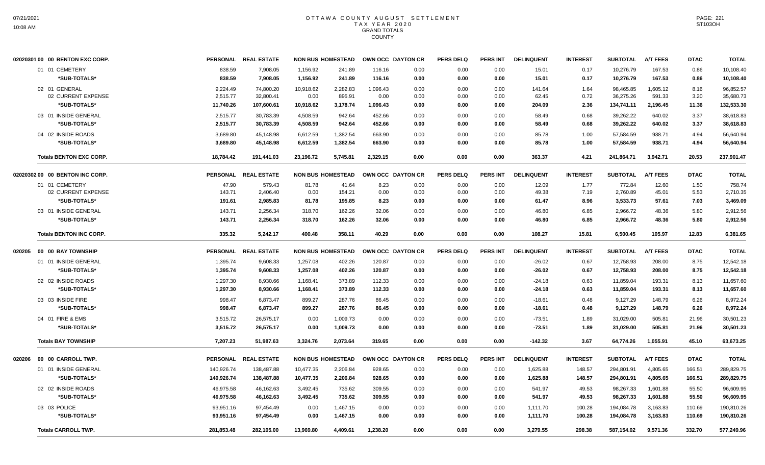|        | 02020301 00 00 BENTON EXC CORP. |            | PERSONAL REAL ESTATE | <b>NON BUS HOMESTEAD</b> |          |          | OWN OCC DAYTON CR | <b>PERS DELQ</b> | <b>PERS INT</b> | <b>DELINQUENT</b> | <b>INTEREST</b> | <b>SUBTOTAL</b> | <b>A/T FEES</b> | <b>DTAC</b> | <b>TOTAL</b> |
|--------|---------------------------------|------------|----------------------|--------------------------|----------|----------|-------------------|------------------|-----------------|-------------------|-----------------|-----------------|-----------------|-------------|--------------|
|        | 01 01 CEMETERY                  | 838.59     | 7,908.05             | 1,156.92                 | 241.89   | 116.16   | 0.00              | 0.00             | 0.00            | 15.01             | 0.17            | 10,276.79       | 167.53          | 0.86        | 10,108.40    |
|        | *SUB-TOTALS*                    | 838.59     | 7,908.05             | 1,156.92                 | 241.89   | 116.16   | 0.00              | 0.00             | 0.00            | 15.01             | 0.17            | 10,276.79       | 167.53          | 0.86        | 10,108.40    |
|        | 02 01 GENERAL                   | 9,224.49   | 74,800.20            | 10,918.62                | 2,282.83 | 1,096.43 | 0.00              | 0.00             | 0.00            | 141.64            | 1.64            | 98,465.85       | 1,605.12        | 8.16        | 96,852.57    |
|        | 02 CURRENT EXPENSE              | 2,515.77   | 32,800.41            | 0.00                     | 895.91   | 0.00     | 0.00              | 0.00             | 0.00            | 62.45             | 0.72            | 36,275.26       | 591.33          | 3.20        | 35,680.73    |
|        | *SUB-TOTALS*                    | 11,740.26  | 107,600.61           | 10,918.62                | 3,178.74 | 1,096.43 | 0.00              | 0.00             | 0.00            | 204.09            | 2.36            | 134,741.11      | 2,196.45        | 11.36       | 132,533.30   |
|        | 03 01 INSIDE GENERAL            | 2,515.77   | 30,783.39            | 4,508.59                 | 942.64   | 452.66   | 0.00              | 0.00             | 0.00            | 58.49             | 0.68            | 39,262.22       | 640.02          | 3.37        | 38,618.83    |
|        | *SUB-TOTALS*                    | 2,515.77   | 30,783.39            | 4,508.59                 | 942.64   | 452.66   | 0.00              | 0.00             | 0.00            | 58.49             | 0.68            | 39,262.22       | 640.02          | 3.37        | 38,618.83    |
|        | 04 02 INSIDE ROADS              | 3.689.80   | 45.148.98            | 6.612.59                 | 1.382.54 | 663.90   | 0.00              | 0.00             | 0.00            | 85.78             | 1.00            | 57.584.59       | 938.71          | 4.94        | 56,640.94    |
|        | *SUB-TOTALS*                    | 3,689.80   | 45,148.98            | 6,612.59                 | 1,382.54 | 663.90   | 0.00              | 0.00             | 0.00            | 85.78             | 1.00            | 57,584.59       | 938.71          | 4.94        | 56,640.94    |
|        | <b>Totals BENTON EXC CORP.</b>  | 18,784.42  | 191,441.03           | 23,196.72                | 5,745.81 | 2,329.15 | 0.00              | 0.00             | 0.00            | 363.37            | 4.21            | 241,864.71      | 3,942.71        | 20.53       | 237,901.47   |
|        | 02020302 00 00 BENTON INC CORP. |            | PERSONAL REAL ESTATE | <b>NON BUS HOMESTEAD</b> |          |          | OWN OCC DAYTON CR | <b>PERS DELQ</b> | <b>PERS INT</b> | <b>DELINQUENT</b> | <b>INTEREST</b> | <b>SUBTOTAL</b> | <b>A/T FEES</b> | <b>DTAC</b> | <b>TOTAL</b> |
|        | 01 01 CEMETERY                  | 47.90      | 579.43               | 81.78                    | 41.64    | 8.23     | 0.00              | 0.00             | 0.00            | 12.09             | 1.77            | 772.84          | 12.60           | 1.50        | 758.74       |
|        | 02 CURRENT EXPENSE              | 143.71     | 2,406.40             | 0.00                     | 154.21   | 0.00     | 0.00              | 0.00             | 0.00            | 49.38             | 7.19            | 2,760.89        | 45.01           | 5.53        | 2,710.35     |
|        | *SUB-TOTALS*                    | 191.61     | 2,985.83             | 81.78                    | 195.85   | 8.23     | 0.00              | 0.00             | 0.00            | 61.47             | 8.96            | 3,533.73        | 57.61           | 7.03        | 3,469.09     |
|        | 03 01 INSIDE GENERAL            | 143.71     | 2,256.34             | 318.70                   | 162.26   | 32.06    | 0.00              | 0.00             | 0.00            | 46.80             | 6.85            | 2,966.72        | 48.36           | 5.80        | 2,912.56     |
|        | *SUB-TOTALS*                    | 143.71     | 2,256.34             | 318.70                   | 162.26   | 32.06    | 0.00              | 0.00             | 0.00            | 46.80             | 6.85            | 2,966.72        | 48.36           | 5.80        | 2,912.56     |
|        | <b>Totals BENTON INC CORP.</b>  | 335.32     | 5.242.17             | 400.48                   | 358.11   | 40.29    | 0.00              | 0.00             | 0.00            | 108.27            | 15.81           | 6.500.45        | 105.97          | 12.83       | 6,381.65     |
| 020205 | 00 00 BAY TOWNSHIP              |            | PERSONAL REAL ESTATE | <b>NON BUS HOMESTEAD</b> |          |          | OWN OCC DAYTON CR | <b>PERS DELQ</b> | PERS INT        | <b>DELINQUENT</b> | <b>INTEREST</b> | <b>SUBTOTAL</b> | <b>A/T FEES</b> | <b>DTAC</b> | <b>TOTAL</b> |
|        | 01 01 INSIDE GENERAL            | 1,395.74   | 9,608.33             | 1,257.08                 | 402.26   | 120.87   | 0.00              | 0.00             | 0.00            | $-26.02$          | 0.67            | 12,758.93       | 208.00          | 8.75        | 12,542.18    |
|        | *SUB-TOTALS*                    | 1,395.74   | 9,608.33             | 1,257.08                 | 402.26   | 120.87   | 0.00              | 0.00             | 0.00            | $-26.02$          | 0.67            | 12,758.93       | 208.00          | 8.75        | 12,542.18    |
|        | 02 02 INSIDE ROADS              | 1,297.30   | 8,930.66             | 1,168.41                 | 373.89   | 112.33   | 0.00              | 0.00             | 0.00            | $-24.18$          | 0.63            | 11,859.04       | 193.31          | 8.13        | 11,657.60    |
|        | *SUB-TOTALS*                    | 1,297.30   | 8,930.66             | 1,168.41                 | 373.89   | 112.33   | 0.00              | 0.00             | 0.00            | $-24.18$          | 0.63            | 11,859.04       | 193.31          | 8.13        | 11,657.60    |
|        | 03 03 INSIDE FIRE               | 998.47     | 6,873.47             | 899.27                   | 287.76   | 86.45    | 0.00              | 0.00             | 0.00            | $-18.61$          | 0.48            | 9,127.29        | 148.79          | 6.26        | 8,972.24     |
|        | *SUB-TOTALS*                    | 998.47     | 6,873.47             | 899.27                   | 287.76   | 86.45    | 0.00              | 0.00             | 0.00            | $-18.61$          | 0.48            | 9,127.29        | 148.79          | 6.26        | 8,972.24     |
|        | 04 01 FIRE & EMS                | 3,515.72   | 26,575.17            | 0.00                     | 1,009.73 | 0.00     | 0.00              | 0.00             | 0.00            | $-73.51$          | 1.89            | 31,029.00       | 505.81          | 21.96       | 30,501.23    |
|        | *SUB-TOTALS*                    | 3,515.72   | 26,575.17            | 0.00                     | 1.009.73 | 0.00     | 0.00              | 0.00             | 0.00            | $-73.51$          | 1.89            | 31,029.00       | 505.81          | 21.96       | 30,501.23    |
|        | <b>Totals BAY TOWNSHIP</b>      | 7,207.23   | 51,987.63            | 3,324.76                 | 2,073.64 | 319.65   | 0.00              | 0.00             | 0.00            | $-142.32$         | 3.67            | 64,774.26       | 1,055.91        | 45.10       | 63,673.25    |
| 020206 | 00 00 CARROLL TWP.              |            | PERSONAL REAL ESTATE | <b>NON BUS HOMESTEAD</b> |          |          | OWN OCC DAYTON CR | <b>PERS DELQ</b> | <b>PERS INT</b> | <b>DELINQUENT</b> | <b>INTEREST</b> | <b>SUBTOTAL</b> | <b>A/T FEES</b> | <b>DTAC</b> | <b>TOTAL</b> |
|        | 01 01 INSIDE GENERAL            | 140,926.74 | 138,487.88           | 10,477.35                | 2,206.84 | 928.65   | 0.00              | 0.00             | 0.00            | 1,625.88          | 148.57          | 294,801.91      | 4,805.65        | 166.51      | 289,829.75   |
|        | *SUB-TOTALS*                    | 140,926.74 | 138,487.88           | 10,477.35                | 2,206.84 | 928.65   | 0.00              | 0.00             | 0.00            | 1,625.88          | 148.57          | 294,801.91      | 4,805.65        | 166.51      | 289,829.75   |
|        | 02 02 INSIDE ROADS              | 46,975.58  | 46,162.63            | 3,492.45                 | 735.62   | 309.55   | 0.00              | 0.00             | 0.00            | 541.97            | 49.53           | 98,267.33       | 1,601.88        | 55.50       | 96,609.95    |
|        | *SUB-TOTALS*                    | 46,975.58  | 46,162.63            | 3,492.45                 | 735.62   | 309.55   | 0.00              | 0.00             | 0.00            | 541.97            | 49.53           | 98,267.33       | 1,601.88        | 55.50       | 96,609.95    |
|        | 03 03 POLICE                    | 93,951.16  | 97,454.49            | 0.00                     | 1,467.15 | 0.00     | 0.00              | 0.00             | 0.00            | 1,111.70          | 100.28          | 194,084.78      | 3,163.83        | 110.69      | 190,810.26   |
|        | *SUB-TOTALS*                    | 93,951.16  | 97,454.49            | 0.00                     | 1,467.15 | 0.00     | 0.00              | 0.00             | 0.00            | 1,111.70          | 100.28          | 194,084.78      | 3,163.83        | 110.69      | 190,810.26   |
|        | <b>Totals CARROLL TWP.</b>      | 281,853.48 | 282,105.00           | 13.969.80                | 4.409.61 | 1,238.20 | 0.00              | 0.00             | 0.00            | 3,279.55          | 298.38          | 587,154.02      | 9,571.36        | 332.70      | 577,249.96   |
|        |                                 |            |                      |                          |          |          |                   |                  |                 |                   |                 |                 |                 |             |              |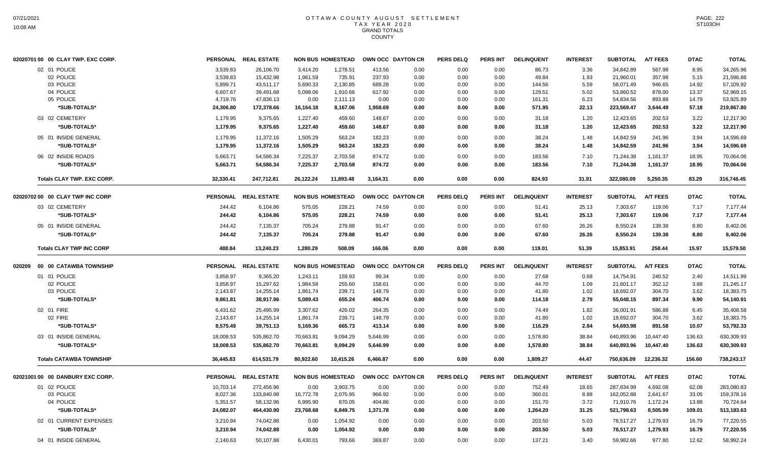| 02020701 00 00 CLAY TWP. EXC CORP. |                 | PERSONAL REAL ESTATE |           | <b>NON BUS HOMESTEAD</b> |                   | OWN OCC DAYTON CR | <b>PERS DELQ</b> | <b>PERS INT</b> | <b>DELINQUENT</b> | <b>INTEREST</b> | <b>SUBTOTAL</b> | <b>A/T FEES</b> | <b>DTAC</b> | <b>TOTAL</b> |
|------------------------------------|-----------------|----------------------|-----------|--------------------------|-------------------|-------------------|------------------|-----------------|-------------------|-----------------|-----------------|-----------------|-------------|--------------|
| 02 01 POLICE                       | 3.539.83        | 26,106.70            | 3.414.20  | 1,278.51                 | 413.56            | 0.00              | 0.00             | 0.00            | 86.73             | 3.36            | 34.842.89       | 567.98          | 8.95        | 34,265.96    |
| 02 POLICE                          | 3,539.83        | 15,432.98            | 1,961.59  | 735.91                   | 237.93            | 0.00              | 0.00             | 0.00            | 49.84             | 1.93            | 21,960.01       | 357.98          | 5.15        | 21,596.88    |
| 03 POLICE                          | 5,899.71        | 43,511.17            | 5,690.33  | 2,130.85                 | 689.28            | 0.00              | 0.00             | 0.00            | 144.56            | 5.59            | 58,071.49       | 946.65          | 14.92       | 57,109.92    |
| 04 POLICE                          | 6,607.67        | 39,491.68            | 5,098.06  | 1,910.66                 | 617.92            | 0.00              | 0.00             | 0.00            | 129.51            | 5.02            | 53,860.52       | 878.00          | 13.37       | 52,969.15    |
| 05 POLICE                          | 4,719.76        | 47,836.13            | 0.00      | 2,111.13                 | 0.00              | 0.00              | 0.00             | 0.00            | 161.31            | 6.23            | 54,834.56       | 893.88          | 14.79       | 53,925.89    |
| *SUB-TOTALS*                       | 24,306.80       | 172,378.66           | 16,164.18 | 8,167.06                 | 1,958.69          | 0.00              | 0.00             | 0.00            | 571.95            | 22.13           | 223,569.47      | 3,644.49        | 57.18       | 219,867.80   |
| 03 02 CEMETERY                     | 1,179.95        | 9,375.65             | 1,227.40  | 459.60                   | 148.67            | 0.00              | 0.00             | 0.00            | 31.18             | 1.20            | 12,423.65       | 202.53          | 3.22        | 12,217.90    |
| *SUB-TOTALS*                       | 1,179.95        | 9,375.65             | 1,227.40  | 459.60                   | 148.67            | 0.00              | 0.00             | 0.00            | 31.18             | 1.20            | 12,423.65       | 202.53          | 3.22        | 12,217.90    |
| 05 01 INSIDE GENERAL               | 1,179.95        | 11,372.16            | 1,505.29  | 563.24                   | 182.23            | 0.00              | 0.00             | 0.00            | 38.24             | 1.48            | 14,842.59       | 241.96          | 3.94        | 14,596.69    |
| *SUB-TOTALS*                       | 1,179.95        | 11,372.16            | 1,505.29  | 563.24                   | 182.23            | 0.00              | 0.00             | 0.00            | 38.24             | 1.48            | 14,842.59       | 241.96          | 3.94        | 14,596.69    |
| 06 02 INSIDE ROADS                 | 5,663.71        | 54,586.34            | 7,225.37  | 2,703.58                 | 874.72            | 0.00              | 0.00             | 0.00            | 183.56            | 7.10            | 71,244.38       | 1,161.37        | 18.95       | 70,064.06    |
| *SUB-TOTALS*                       | 5,663.71        | 54,586.34            | 7,225.37  | 2,703.58                 | 874.72            | 0.00              | 0.00             | 0.00            | 183.56            | 7.10            | 71,244.38       | 1,161.37        | 18.95       | 70,064.06    |
| Totals CLAY TWP. EXC CORP.         | 32,330.41       | 247,712.81           | 26,122.24 | 11,893.48                | 3,164.31          | 0.00              | 0.00             | 0.00            | 824.93            | 31.91           | 322,080.09      | 5,250.35        | 83.29       | 316,746.45   |
| 02020702 00 00 CLAY TWP INC CORP   |                 | PERSONAL REAL ESTATE |           | <b>NON BUS HOMESTEAD</b> |                   | OWN OCC DAYTON CR | <b>PERS DELQ</b> | <b>PERS INT</b> | <b>DELINQUENT</b> | <b>INTEREST</b> | <b>SUBTOTAL</b> | <b>A/T FEES</b> | <b>DTAC</b> | <b>TOTAL</b> |
| 03 02 CEMETERY                     | 244.42          | 6,104.86             | 575.05    | 228.21                   | 74.59             | 0.00              | 0.00             | 0.00            | 51.41             | 25.13           | 7,303.67        | 119.06          | 7.17        | 7.177.44     |
| *SUB-TOTALS*                       | 244.42          | 6,104.86             | 575.05    | 228.21                   | 74.59             | 0.00              | 0.00             | 0.00            | 51.41             | 25.13           | 7,303.67        | 119.06          | 7.17        | 7,177.44     |
| 05 01 INSIDE GENERAL               | 244.42          | 7,135.37             | 705.24    | 279.88                   | 91.47             | 0.00              | 0.00             | 0.00            | 67.60             | 26.26           | 8,550.24        | 139.38          | 8.80        | 8,402.06     |
| *SUB-TOTALS*                       | 244.42          | 7,135.37             | 705.24    | 279.88                   | 91.47             | 0.00              | 0.00             | 0.00            | 67.60             | 26.26           | 8,550.24        | 139.38          | 8.80        | 8,402.06     |
| <b>Totals CLAY TWP INC CORP</b>    | 488.84          | 13,240.23            | 1,280.29  | 508.09                   | 166.06            | 0.00              | 0.00             | 0.00            | 119.01            | 51.39           | 15,853.91       | 258.44          | 15.97       | 15,579.50    |
| 020209 00 00 CATAWBA TOWNSHIP      |                 | PERSONAL REAL ESTATE |           | <b>NON BUS HOMESTEAD</b> |                   | OWN OCC DAYTON CR | <b>PERS DELQ</b> | <b>PERS INT</b> | <b>DELINQUENT</b> | <b>INTEREST</b> | <b>SUBTOTAL</b> | <b>A/T FEES</b> | <b>DTAC</b> | <b>TOTAL</b> |
| 01 01 POLICE                       | 3,858.97        | 9,365.20             | 1,243.11  | 159.93                   | 99.34             | 0.00              | 0.00             | 0.00            | 27.68             | 0.68            | 14,754.91       | 240.52          | 2.40        | 14,511.99    |
| 02 POLICE                          | 3,858.97        | 15,297.62            | 1.984.58  | 255.60                   | 158.61            | 0.00              | 0.00             | 0.00            | 44.70             | 1.09            | 21,601.17       | 352.12          | 3.88        | 21,245.17    |
| 03 POLICE                          | 2,143.87        | 14,255.14            | 1,861.74  | 239.71                   | 148.79            | 0.00              | 0.00             | 0.00            | 41.80             | 1.02            | 18,692.07       | 304.70          | 3.62        | 18,383.75    |
| *SUB-TOTALS*                       | 9,861.81        | 38,917.96            | 5,089.43  | 655.24                   | 406.74            | 0.00              | 0.00             | 0.00            | 114.18            | 2.79            | 55,048.15       | 897.34          | 9.90        | 54,140.91    |
| 02 01 FIRE                         | 6,431.62        | 25,495.99            | 3,307.62  | 426.02                   | 264.35            | 0.00              | 0.00             | 0.00            | 74.49             | 1.82            | 36,001.91       | 586.88          | 6.45        | 35.408.58    |
| 02 FIRE                            | 2,143.87        | 14,255.14            | 1,861.74  | 239.71                   | 148.79            | 0.00              | 0.00             | 0.00            | 41.80             | 1.02            | 18,692.07       | 304.70          | 3.62        | 18,383.75    |
| *SUB-TOTALS*                       | 8,575.49        | 39,751.13            | 5,169.36  | 665.73                   | 413.14            | 0.00              | 0.00             | 0.00            | 116.29            | 2.84            | 54,693.98       | 891.58          | 10.07       | 53,792.33    |
| 03 01 INSIDE GENERAL               | 18,008.53       | 535,862.70           | 70,663.81 | 9,094.29                 | 5,646.99          | 0.00              | 0.00             | 0.00            | 1,578.80          | 38.84           | 640,893.96      | 10,447.40       | 136.63      | 630,309.93   |
| *SUB-TOTALS*                       | 18,008.53       | 535,862.70           | 70,663.81 | 9,094.29                 | 5,646.99          | 0.00              | 0.00             | 0.00            | 1,578.80          | 38.84           | 640,893.96      | 10,447.40       | 136.63      | 630,309.93   |
| <b>Totals CATAWBA TOWNSHIP</b>     | 36,445.83       | 614,531.79           | 80,922.60 | 10,415.26                | 6,466.87          | 0.00              | 0.00             | 0.00            | 1,809.27          | 44.47           | 750,636.09      | 12,236.32       | 156.60      | 738,243.17   |
| 02021001 00 00 DANBURY EXC CORP.   | <b>PERSONAL</b> | <b>REAL ESTATE</b>   |           | <b>NON BUS HOMESTEAD</b> | OWN OCC DAYTON CR |                   | <b>PERS DELQ</b> | <b>PERS INT</b> | <b>DELINQUENT</b> | <b>INTEREST</b> | <b>SUBTOTAL</b> | <b>A/T FEES</b> | <b>DTAC</b> | <b>TOTAL</b> |
| 01 02 POLICE                       | 10,703.14       | 272,456.96           | 0.00      | 3,903.75                 | 0.00              | 0.00              | 0.00             | 0.00            | 752.49            | 18.65           | 287,834.99      | 4,692.08        | 62.08       | 283,080.83   |
| 03 POLICE                          | 8,027.36        | 133,840.98           | 16,772.78 | 2,075.95                 | 966.92            | 0.00              | 0.00             | 0.00            | 360.01            | 8.88            | 162,052.88      | 2,641.67        | 33.05       | 159,378.16   |
| 04 POLICE                          | 5,351.57        | 58,132.96            | 6,995.90  | 870.05                   | 404.86            | 0.00              | 0.00             | 0.00            | 151.70            | 3.72            | 71,910.76       | 1,172.24        | 13.88       | 70,724.64    |
| *SUB-TOTALS*                       | 24,082.07       | 464,430.90           | 23,768.68 | 6,849.75                 | 1,371.78          | 0.00              | 0.00             | 0.00            | 1,264.20          | 31.25           | 521,798.63      | 8,505.99        | 109.01      | 513,183.63   |
| 02 01 CURRENT EXPENSES             | 3,210.94        | 74,042.88            | 0.00      | 1,054.92                 | 0.00              | 0.00              | 0.00             | 0.00            | 203.50            | 5.03            | 78,517.27       | 1,279.93        | 16.79       | 77,220.55    |
| *SUB-TOTALS*                       | 3,210.94        | 74,042.88            | 0.00      | 1,054.92                 | 0.00              | 0.00              | 0.00             | 0.00            | 203.50            | 5.03            | 78,517.27       | 1,279.93        | 16.79       | 77,220.55    |
| 04 01 INSIDE GENERAL               | 2,140.63        | 50,107.88            | 6,430.01  | 793.66                   | 369.87            | 0.00              | 0.00             | 0.00            | 137.21            | 3.40            | 59,982.66       | 977.80          | 12.62       | 58,992.24    |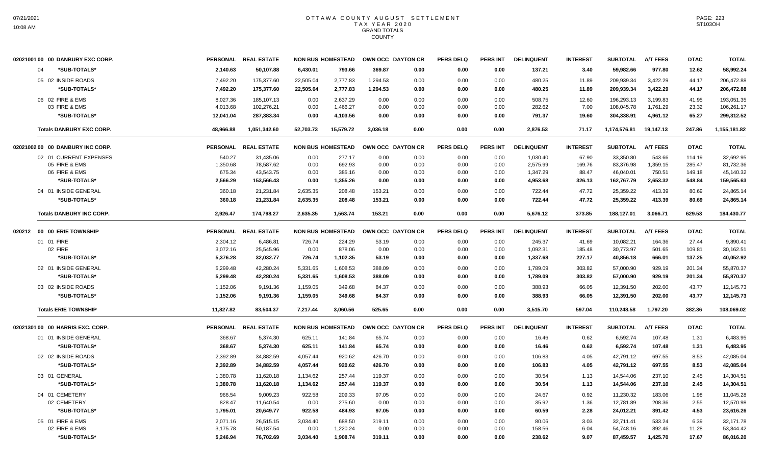| 369.87<br>3.40<br>977.80<br>12.62<br>04<br>*SUB-TOTALS*<br>2,140.63<br>50,107.88<br>6,430.01<br>793.66<br>0.00<br>0.00<br>0.00<br>137.21<br>59,982.66<br>175,377.60<br>22,505.04<br>2,777.83<br>1,294.53<br>480.25<br>209,939.34<br>3,422.29<br>44.17<br>05 02 INSIDE ROADS<br>7,492.20<br>0.00<br>0.00<br>0.00<br>11.89<br>*SUB-TOTALS*<br>175,377.60<br>7,492.20<br>22,505.04<br>2,777.83<br>1,294.53<br>0.00<br>0.00<br>480.25<br>11.89<br>209,939.34<br>3,422.29<br>44.17<br>0.00<br>06 02 FIRE & EMS<br>8,027.36<br>185,107.13<br>0.00<br>2.637.29<br>0.00<br>0.00<br>0.00<br>0.00<br>508.75<br>12.60<br>196,293.13<br>3.199.83<br>41.95<br>03 FIRE & EMS<br>4.013.68<br>102.276.21<br>0.00<br>1.466.27<br>0.00<br>282.62<br>7.00<br>108,045.78<br>1,761.29<br>23.32<br>0.00<br>0.00<br>0.00<br>*SUB-TOTALS*<br>12,041.04<br>287,383.34<br>0.00<br>4,103.56<br>0.00<br>0.00<br>0.00<br>0.00<br>791.37<br>19.60<br>304,338.91<br>4,961.12<br>65.27<br><b>Totals DANBURY EXC CORP.</b><br>1,051,342.60<br>15,579.72<br>3,036.18<br>2,876.53<br>1,174,576.81<br>19,147.13<br>247.86<br>48.966.88<br>52,703.73<br>0.00<br>0.00<br>0.00<br>71.17<br>02021002 00 00 DANBURY INC CORP.<br>PERSONAL REAL ESTATE<br><b>NON BUS HOMESTEAD</b><br>OWN OCC DAYTON CR<br><b>PERS DELQ</b><br><b>PERS INT</b><br><b>DELINQUENT</b><br><b>INTEREST</b><br><b>SUBTOTAL</b><br>A/T FEES<br><b>DTAC</b><br>02 01 CURRENT EXPENSES<br>277.17<br>0.00<br>67.90<br>33,350.80<br>543.66<br>540.27<br>31,435.06<br>0.00<br>0.00<br>0.00<br>0.00<br>1,030.40<br>114.19<br>05 FIRE & EMS<br>1,350.68<br>78,587.62<br>0.00<br>692.93<br>0.00<br>0.00<br>0.00<br>2,575.99<br>169.76<br>83,376.98<br>1,359.15<br>285.47<br>0.00<br>06 FIRE & EMS<br>675.34<br>43,543.75<br>385.16<br>750.51<br>0.00<br>0.00<br>0.00<br>0.00<br>0.00<br>1,347.29<br>88.47<br>46,040.01<br>149.18<br>4,953.68<br>*SUB-TOTALS*<br>2,566.29<br>153,566.43<br>0.00<br>1,355.26<br>0.00<br>0.00<br>0.00<br>0.00<br>326.13<br>162,767.79<br>2,653.32<br>548.84<br>04 01 INSIDE GENERAL<br>360.18<br>2,635.35<br>153.21<br>722.44<br>47.72<br>25,359.22<br>80.69<br>21,231.84<br>208.48<br>0.00<br>0.00<br>0.00<br>413.39<br>25,359.22<br>360.18<br>2,635.35<br>208.48<br>153.21<br>722.44<br>47.72<br>413.39<br>80.69<br>*SUB-TOTALS*<br>21,231.84<br>0.00<br>0.00<br>0.00<br><b>Totals DANBURY INC CORP.</b><br>2,926.47<br>174,798.27<br>2,635.35<br>1,563.74<br>153.21<br>0.00<br>0.00<br>5,676.12<br>373.85<br>188,127.01<br>3,066.71<br>629.53<br>0.00<br>PERSONAL REAL ESTATE<br>PERS INT<br><b>DTAC</b><br>020212 00 00 ERIE TOWNSHIP<br><b>NON BUS HOMESTEAD</b><br>OWN OCC DAYTON CR<br><b>PERS DELQ</b><br><b>DELINQUENT</b><br><b>INTEREST</b><br><b>SUBTOTAL</b><br><b>A/T FEES</b><br>01 01 FIRE<br>2,304.12<br>6,486.81<br>726.74<br>224.29<br>53.19<br>0.00<br>0.00<br>245.37<br>41.69<br>10,082.21<br>164.36<br>27.44<br>0.00<br>02 FIRE<br>3,072.16<br>25,545.96<br>0.00<br>878.06<br>0.00<br>0.00<br>0.00<br>0.00<br>1,092.31<br>185.48<br>30,773.97<br>501.65<br>109.81<br>*SUB-TOTALS*<br>5,376.28<br>32,032.77<br>726.74<br>1,102.35<br>53.19<br>0.00<br>1,337.68<br>227.17<br>40,856.18<br>666.01<br>137.25<br>0.00<br>0.00<br>5.299.48<br>42.280.24<br>5,331.65<br>1.608.53<br>388.09<br>0.00<br>1,789.09<br>303.82<br>57,000.90<br>929.19<br>201.34<br>02 01 INSIDE GENERAL<br>0.00<br>0.00<br>*SUB-TOTALS*<br>5,299.48<br>42,280.24<br>5,331.65<br>1,608.53<br>388.09<br>0.00<br>0.00<br>0.00<br>1,789.09<br>303.82<br>57,000.90<br>929.19<br>201.34<br>03 02 INSIDE ROADS<br>1,152.06<br>9,191.36<br>1,159.05<br>349.68<br>84.37<br>0.00<br>0.00<br>388.93<br>66.05<br>12,391.50<br>202.00<br>43.77<br>0.00<br>*SUB-TOTALS*<br>84.37<br>12,391.50<br>43.77<br>1,152.06<br>9,191.36<br>1,159.05<br>349.68<br>0.00<br>0.00<br>0.00<br>388.93<br>66.05<br>202.00 | 02021001 00 00 DANBURY EXC CORP. | <b>PERSONAL</b> | <b>REAL ESTATE</b> | <b>NON BUS HOMESTEAD</b> | OWN OCC DAYTON CR | <b>PERS DELQ</b> | PERS INT | <b>DELINQUENT</b> | <b>INTEREST</b> | <b>SUBTOTAL</b> | <b>A/T FEES</b> | <b>DTAC</b> | <b>TOTAL</b> |
|-------------------------------------------------------------------------------------------------------------------------------------------------------------------------------------------------------------------------------------------------------------------------------------------------------------------------------------------------------------------------------------------------------------------------------------------------------------------------------------------------------------------------------------------------------------------------------------------------------------------------------------------------------------------------------------------------------------------------------------------------------------------------------------------------------------------------------------------------------------------------------------------------------------------------------------------------------------------------------------------------------------------------------------------------------------------------------------------------------------------------------------------------------------------------------------------------------------------------------------------------------------------------------------------------------------------------------------------------------------------------------------------------------------------------------------------------------------------------------------------------------------------------------------------------------------------------------------------------------------------------------------------------------------------------------------------------------------------------------------------------------------------------------------------------------------------------------------------------------------------------------------------------------------------------------------------------------------------------------------------------------------------------------------------------------------------------------------------------------------------------------------------------------------------------------------------------------------------------------------------------------------------------------------------------------------------------------------------------------------------------------------------------------------------------------------------------------------------------------------------------------------------------------------------------------------------------------------------------------------------------------------------------------------------------------------------------------------------------------------------------------------------------------------------------------------------------------------------------------------------------------------------------------------------------------------------------------------------------------------------------------------------------------------------------------------------------------------------------------------------------------------------------------------------------------------------------------------------------------------------------------------------------------------------------------------------------------------------------------------------------------------------------------------------------------------------------------------------------------------------------------------------------------------------------------------------------------------------------------------------------------------------------------------------------------------------------------------------------------------------------------------------------------------------------------------------------------------------|----------------------------------|-----------------|--------------------|--------------------------|-------------------|------------------|----------|-------------------|-----------------|-----------------|-----------------|-------------|--------------|
|                                                                                                                                                                                                                                                                                                                                                                                                                                                                                                                                                                                                                                                                                                                                                                                                                                                                                                                                                                                                                                                                                                                                                                                                                                                                                                                                                                                                                                                                                                                                                                                                                                                                                                                                                                                                                                                                                                                                                                                                                                                                                                                                                                                                                                                                                                                                                                                                                                                                                                                                                                                                                                                                                                                                                                                                                                                                                                                                                                                                                                                                                                                                                                                                                                                                                                                                                                                                                                                                                                                                                                                                                                                                                                                                                                                                                                           |                                  |                 |                    |                          |                   |                  |          |                   |                 |                 |                 |             | 58,992.24    |
|                                                                                                                                                                                                                                                                                                                                                                                                                                                                                                                                                                                                                                                                                                                                                                                                                                                                                                                                                                                                                                                                                                                                                                                                                                                                                                                                                                                                                                                                                                                                                                                                                                                                                                                                                                                                                                                                                                                                                                                                                                                                                                                                                                                                                                                                                                                                                                                                                                                                                                                                                                                                                                                                                                                                                                                                                                                                                                                                                                                                                                                                                                                                                                                                                                                                                                                                                                                                                                                                                                                                                                                                                                                                                                                                                                                                                                           |                                  |                 |                    |                          |                   |                  |          |                   |                 |                 |                 |             | 206,472.88   |
|                                                                                                                                                                                                                                                                                                                                                                                                                                                                                                                                                                                                                                                                                                                                                                                                                                                                                                                                                                                                                                                                                                                                                                                                                                                                                                                                                                                                                                                                                                                                                                                                                                                                                                                                                                                                                                                                                                                                                                                                                                                                                                                                                                                                                                                                                                                                                                                                                                                                                                                                                                                                                                                                                                                                                                                                                                                                                                                                                                                                                                                                                                                                                                                                                                                                                                                                                                                                                                                                                                                                                                                                                                                                                                                                                                                                                                           |                                  |                 |                    |                          |                   |                  |          |                   |                 |                 |                 |             | 206,472.88   |
|                                                                                                                                                                                                                                                                                                                                                                                                                                                                                                                                                                                                                                                                                                                                                                                                                                                                                                                                                                                                                                                                                                                                                                                                                                                                                                                                                                                                                                                                                                                                                                                                                                                                                                                                                                                                                                                                                                                                                                                                                                                                                                                                                                                                                                                                                                                                                                                                                                                                                                                                                                                                                                                                                                                                                                                                                                                                                                                                                                                                                                                                                                                                                                                                                                                                                                                                                                                                                                                                                                                                                                                                                                                                                                                                                                                                                                           |                                  |                 |                    |                          |                   |                  |          |                   |                 |                 |                 |             | 193,051.35   |
|                                                                                                                                                                                                                                                                                                                                                                                                                                                                                                                                                                                                                                                                                                                                                                                                                                                                                                                                                                                                                                                                                                                                                                                                                                                                                                                                                                                                                                                                                                                                                                                                                                                                                                                                                                                                                                                                                                                                                                                                                                                                                                                                                                                                                                                                                                                                                                                                                                                                                                                                                                                                                                                                                                                                                                                                                                                                                                                                                                                                                                                                                                                                                                                                                                                                                                                                                                                                                                                                                                                                                                                                                                                                                                                                                                                                                                           |                                  |                 |                    |                          |                   |                  |          |                   |                 |                 |                 |             | 106,261.17   |
|                                                                                                                                                                                                                                                                                                                                                                                                                                                                                                                                                                                                                                                                                                                                                                                                                                                                                                                                                                                                                                                                                                                                                                                                                                                                                                                                                                                                                                                                                                                                                                                                                                                                                                                                                                                                                                                                                                                                                                                                                                                                                                                                                                                                                                                                                                                                                                                                                                                                                                                                                                                                                                                                                                                                                                                                                                                                                                                                                                                                                                                                                                                                                                                                                                                                                                                                                                                                                                                                                                                                                                                                                                                                                                                                                                                                                                           |                                  |                 |                    |                          |                   |                  |          |                   |                 |                 |                 |             | 299,312.52   |
|                                                                                                                                                                                                                                                                                                                                                                                                                                                                                                                                                                                                                                                                                                                                                                                                                                                                                                                                                                                                                                                                                                                                                                                                                                                                                                                                                                                                                                                                                                                                                                                                                                                                                                                                                                                                                                                                                                                                                                                                                                                                                                                                                                                                                                                                                                                                                                                                                                                                                                                                                                                                                                                                                                                                                                                                                                                                                                                                                                                                                                                                                                                                                                                                                                                                                                                                                                                                                                                                                                                                                                                                                                                                                                                                                                                                                                           |                                  |                 |                    |                          |                   |                  |          |                   |                 |                 |                 |             | 1,155,181.82 |
|                                                                                                                                                                                                                                                                                                                                                                                                                                                                                                                                                                                                                                                                                                                                                                                                                                                                                                                                                                                                                                                                                                                                                                                                                                                                                                                                                                                                                                                                                                                                                                                                                                                                                                                                                                                                                                                                                                                                                                                                                                                                                                                                                                                                                                                                                                                                                                                                                                                                                                                                                                                                                                                                                                                                                                                                                                                                                                                                                                                                                                                                                                                                                                                                                                                                                                                                                                                                                                                                                                                                                                                                                                                                                                                                                                                                                                           |                                  |                 |                    |                          |                   |                  |          |                   |                 |                 |                 |             | <b>TOTAL</b> |
|                                                                                                                                                                                                                                                                                                                                                                                                                                                                                                                                                                                                                                                                                                                                                                                                                                                                                                                                                                                                                                                                                                                                                                                                                                                                                                                                                                                                                                                                                                                                                                                                                                                                                                                                                                                                                                                                                                                                                                                                                                                                                                                                                                                                                                                                                                                                                                                                                                                                                                                                                                                                                                                                                                                                                                                                                                                                                                                                                                                                                                                                                                                                                                                                                                                                                                                                                                                                                                                                                                                                                                                                                                                                                                                                                                                                                                           |                                  |                 |                    |                          |                   |                  |          |                   |                 |                 |                 |             | 32,692.95    |
|                                                                                                                                                                                                                                                                                                                                                                                                                                                                                                                                                                                                                                                                                                                                                                                                                                                                                                                                                                                                                                                                                                                                                                                                                                                                                                                                                                                                                                                                                                                                                                                                                                                                                                                                                                                                                                                                                                                                                                                                                                                                                                                                                                                                                                                                                                                                                                                                                                                                                                                                                                                                                                                                                                                                                                                                                                                                                                                                                                                                                                                                                                                                                                                                                                                                                                                                                                                                                                                                                                                                                                                                                                                                                                                                                                                                                                           |                                  |                 |                    |                          |                   |                  |          |                   |                 |                 |                 |             | 81,732.36    |
|                                                                                                                                                                                                                                                                                                                                                                                                                                                                                                                                                                                                                                                                                                                                                                                                                                                                                                                                                                                                                                                                                                                                                                                                                                                                                                                                                                                                                                                                                                                                                                                                                                                                                                                                                                                                                                                                                                                                                                                                                                                                                                                                                                                                                                                                                                                                                                                                                                                                                                                                                                                                                                                                                                                                                                                                                                                                                                                                                                                                                                                                                                                                                                                                                                                                                                                                                                                                                                                                                                                                                                                                                                                                                                                                                                                                                                           |                                  |                 |                    |                          |                   |                  |          |                   |                 |                 |                 |             | 45,140.32    |
|                                                                                                                                                                                                                                                                                                                                                                                                                                                                                                                                                                                                                                                                                                                                                                                                                                                                                                                                                                                                                                                                                                                                                                                                                                                                                                                                                                                                                                                                                                                                                                                                                                                                                                                                                                                                                                                                                                                                                                                                                                                                                                                                                                                                                                                                                                                                                                                                                                                                                                                                                                                                                                                                                                                                                                                                                                                                                                                                                                                                                                                                                                                                                                                                                                                                                                                                                                                                                                                                                                                                                                                                                                                                                                                                                                                                                                           |                                  |                 |                    |                          |                   |                  |          |                   |                 |                 |                 |             | 159,565.63   |
|                                                                                                                                                                                                                                                                                                                                                                                                                                                                                                                                                                                                                                                                                                                                                                                                                                                                                                                                                                                                                                                                                                                                                                                                                                                                                                                                                                                                                                                                                                                                                                                                                                                                                                                                                                                                                                                                                                                                                                                                                                                                                                                                                                                                                                                                                                                                                                                                                                                                                                                                                                                                                                                                                                                                                                                                                                                                                                                                                                                                                                                                                                                                                                                                                                                                                                                                                                                                                                                                                                                                                                                                                                                                                                                                                                                                                                           |                                  |                 |                    |                          |                   |                  |          |                   |                 |                 |                 |             | 24,865.14    |
|                                                                                                                                                                                                                                                                                                                                                                                                                                                                                                                                                                                                                                                                                                                                                                                                                                                                                                                                                                                                                                                                                                                                                                                                                                                                                                                                                                                                                                                                                                                                                                                                                                                                                                                                                                                                                                                                                                                                                                                                                                                                                                                                                                                                                                                                                                                                                                                                                                                                                                                                                                                                                                                                                                                                                                                                                                                                                                                                                                                                                                                                                                                                                                                                                                                                                                                                                                                                                                                                                                                                                                                                                                                                                                                                                                                                                                           |                                  |                 |                    |                          |                   |                  |          |                   |                 |                 |                 |             | 24,865.14    |
|                                                                                                                                                                                                                                                                                                                                                                                                                                                                                                                                                                                                                                                                                                                                                                                                                                                                                                                                                                                                                                                                                                                                                                                                                                                                                                                                                                                                                                                                                                                                                                                                                                                                                                                                                                                                                                                                                                                                                                                                                                                                                                                                                                                                                                                                                                                                                                                                                                                                                                                                                                                                                                                                                                                                                                                                                                                                                                                                                                                                                                                                                                                                                                                                                                                                                                                                                                                                                                                                                                                                                                                                                                                                                                                                                                                                                                           |                                  |                 |                    |                          |                   |                  |          |                   |                 |                 |                 |             | 184,430.77   |
|                                                                                                                                                                                                                                                                                                                                                                                                                                                                                                                                                                                                                                                                                                                                                                                                                                                                                                                                                                                                                                                                                                                                                                                                                                                                                                                                                                                                                                                                                                                                                                                                                                                                                                                                                                                                                                                                                                                                                                                                                                                                                                                                                                                                                                                                                                                                                                                                                                                                                                                                                                                                                                                                                                                                                                                                                                                                                                                                                                                                                                                                                                                                                                                                                                                                                                                                                                                                                                                                                                                                                                                                                                                                                                                                                                                                                                           |                                  |                 |                    |                          |                   |                  |          |                   |                 |                 |                 |             | <b>TOTAL</b> |
|                                                                                                                                                                                                                                                                                                                                                                                                                                                                                                                                                                                                                                                                                                                                                                                                                                                                                                                                                                                                                                                                                                                                                                                                                                                                                                                                                                                                                                                                                                                                                                                                                                                                                                                                                                                                                                                                                                                                                                                                                                                                                                                                                                                                                                                                                                                                                                                                                                                                                                                                                                                                                                                                                                                                                                                                                                                                                                                                                                                                                                                                                                                                                                                                                                                                                                                                                                                                                                                                                                                                                                                                                                                                                                                                                                                                                                           |                                  |                 |                    |                          |                   |                  |          |                   |                 |                 |                 |             | 9,890.41     |
|                                                                                                                                                                                                                                                                                                                                                                                                                                                                                                                                                                                                                                                                                                                                                                                                                                                                                                                                                                                                                                                                                                                                                                                                                                                                                                                                                                                                                                                                                                                                                                                                                                                                                                                                                                                                                                                                                                                                                                                                                                                                                                                                                                                                                                                                                                                                                                                                                                                                                                                                                                                                                                                                                                                                                                                                                                                                                                                                                                                                                                                                                                                                                                                                                                                                                                                                                                                                                                                                                                                                                                                                                                                                                                                                                                                                                                           |                                  |                 |                    |                          |                   |                  |          |                   |                 |                 |                 |             | 30,162.51    |
|                                                                                                                                                                                                                                                                                                                                                                                                                                                                                                                                                                                                                                                                                                                                                                                                                                                                                                                                                                                                                                                                                                                                                                                                                                                                                                                                                                                                                                                                                                                                                                                                                                                                                                                                                                                                                                                                                                                                                                                                                                                                                                                                                                                                                                                                                                                                                                                                                                                                                                                                                                                                                                                                                                                                                                                                                                                                                                                                                                                                                                                                                                                                                                                                                                                                                                                                                                                                                                                                                                                                                                                                                                                                                                                                                                                                                                           |                                  |                 |                    |                          |                   |                  |          |                   |                 |                 |                 |             | 40,052.92    |
|                                                                                                                                                                                                                                                                                                                                                                                                                                                                                                                                                                                                                                                                                                                                                                                                                                                                                                                                                                                                                                                                                                                                                                                                                                                                                                                                                                                                                                                                                                                                                                                                                                                                                                                                                                                                                                                                                                                                                                                                                                                                                                                                                                                                                                                                                                                                                                                                                                                                                                                                                                                                                                                                                                                                                                                                                                                                                                                                                                                                                                                                                                                                                                                                                                                                                                                                                                                                                                                                                                                                                                                                                                                                                                                                                                                                                                           |                                  |                 |                    |                          |                   |                  |          |                   |                 |                 |                 |             | 55,870.37    |
|                                                                                                                                                                                                                                                                                                                                                                                                                                                                                                                                                                                                                                                                                                                                                                                                                                                                                                                                                                                                                                                                                                                                                                                                                                                                                                                                                                                                                                                                                                                                                                                                                                                                                                                                                                                                                                                                                                                                                                                                                                                                                                                                                                                                                                                                                                                                                                                                                                                                                                                                                                                                                                                                                                                                                                                                                                                                                                                                                                                                                                                                                                                                                                                                                                                                                                                                                                                                                                                                                                                                                                                                                                                                                                                                                                                                                                           |                                  |                 |                    |                          |                   |                  |          |                   |                 |                 |                 |             | 55,870.37    |
|                                                                                                                                                                                                                                                                                                                                                                                                                                                                                                                                                                                                                                                                                                                                                                                                                                                                                                                                                                                                                                                                                                                                                                                                                                                                                                                                                                                                                                                                                                                                                                                                                                                                                                                                                                                                                                                                                                                                                                                                                                                                                                                                                                                                                                                                                                                                                                                                                                                                                                                                                                                                                                                                                                                                                                                                                                                                                                                                                                                                                                                                                                                                                                                                                                                                                                                                                                                                                                                                                                                                                                                                                                                                                                                                                                                                                                           |                                  |                 |                    |                          |                   |                  |          |                   |                 |                 |                 |             | 12,145.73    |
|                                                                                                                                                                                                                                                                                                                                                                                                                                                                                                                                                                                                                                                                                                                                                                                                                                                                                                                                                                                                                                                                                                                                                                                                                                                                                                                                                                                                                                                                                                                                                                                                                                                                                                                                                                                                                                                                                                                                                                                                                                                                                                                                                                                                                                                                                                                                                                                                                                                                                                                                                                                                                                                                                                                                                                                                                                                                                                                                                                                                                                                                                                                                                                                                                                                                                                                                                                                                                                                                                                                                                                                                                                                                                                                                                                                                                                           |                                  |                 |                    |                          |                   |                  |          |                   |                 |                 |                 |             | 12,145.73    |
| <b>Totals ERIE TOWNSHIP</b><br>11,827.82<br>83,504.37<br>7,217.44<br>3,060.56<br>525.65<br>0.00<br>0.00<br>0.00<br>3,515.70<br>597.04<br>110,248.58<br>1,797.20<br>382.36                                                                                                                                                                                                                                                                                                                                                                                                                                                                                                                                                                                                                                                                                                                                                                                                                                                                                                                                                                                                                                                                                                                                                                                                                                                                                                                                                                                                                                                                                                                                                                                                                                                                                                                                                                                                                                                                                                                                                                                                                                                                                                                                                                                                                                                                                                                                                                                                                                                                                                                                                                                                                                                                                                                                                                                                                                                                                                                                                                                                                                                                                                                                                                                                                                                                                                                                                                                                                                                                                                                                                                                                                                                                 |                                  |                 |                    |                          |                   |                  |          |                   |                 |                 |                 |             | 108,069.02   |
| <b>REAL ESTATE</b><br><b>NON BUS HOMESTEAD</b><br>OWN OCC DAYTON CR<br><b>PERS DELQ</b><br><b>PERS INT</b><br><b>DELINQUENT</b><br><b>INTEREST</b><br><b>SUBTOTAL</b><br><b>A/T FEES</b><br><b>DTAC</b><br>02021301 00 00 HARRIS EXC. CORP.<br><b>PERSONAL</b>                                                                                                                                                                                                                                                                                                                                                                                                                                                                                                                                                                                                                                                                                                                                                                                                                                                                                                                                                                                                                                                                                                                                                                                                                                                                                                                                                                                                                                                                                                                                                                                                                                                                                                                                                                                                                                                                                                                                                                                                                                                                                                                                                                                                                                                                                                                                                                                                                                                                                                                                                                                                                                                                                                                                                                                                                                                                                                                                                                                                                                                                                                                                                                                                                                                                                                                                                                                                                                                                                                                                                                            |                                  |                 |                    |                          |                   |                  |          |                   |                 |                 |                 |             | <b>TOTAL</b> |
| 01 01 INSIDE GENERAL<br>141.84<br>6,592.74<br>368.67<br>5,374.30<br>625.11<br>65.74<br>0.00<br>0.00<br>0.00<br>16.46<br>0.62<br>107.48<br>1.31                                                                                                                                                                                                                                                                                                                                                                                                                                                                                                                                                                                                                                                                                                                                                                                                                                                                                                                                                                                                                                                                                                                                                                                                                                                                                                                                                                                                                                                                                                                                                                                                                                                                                                                                                                                                                                                                                                                                                                                                                                                                                                                                                                                                                                                                                                                                                                                                                                                                                                                                                                                                                                                                                                                                                                                                                                                                                                                                                                                                                                                                                                                                                                                                                                                                                                                                                                                                                                                                                                                                                                                                                                                                                            |                                  |                 |                    |                          |                   |                  |          |                   |                 |                 |                 |             | 6,483.95     |
| 368.67<br>5,374.30<br>625.11<br>141.84<br>65.74<br>0.00<br>16.46<br>0.62<br>6,592.74<br>107.48<br>*SUB-TOTALS*<br>0.00<br>0.00<br>1.31                                                                                                                                                                                                                                                                                                                                                                                                                                                                                                                                                                                                                                                                                                                                                                                                                                                                                                                                                                                                                                                                                                                                                                                                                                                                                                                                                                                                                                                                                                                                                                                                                                                                                                                                                                                                                                                                                                                                                                                                                                                                                                                                                                                                                                                                                                                                                                                                                                                                                                                                                                                                                                                                                                                                                                                                                                                                                                                                                                                                                                                                                                                                                                                                                                                                                                                                                                                                                                                                                                                                                                                                                                                                                                    |                                  |                 |                    |                          |                   |                  |          |                   |                 |                 |                 |             | 6,483.95     |
| 02 02 INSIDE ROADS<br>2,392.89<br>4,057.44<br>4.05<br>42,791.12<br>697.55<br>8.53<br>34,882.59<br>920.62<br>426.70<br>0.00<br>0.00<br>0.00<br>106.83                                                                                                                                                                                                                                                                                                                                                                                                                                                                                                                                                                                                                                                                                                                                                                                                                                                                                                                                                                                                                                                                                                                                                                                                                                                                                                                                                                                                                                                                                                                                                                                                                                                                                                                                                                                                                                                                                                                                                                                                                                                                                                                                                                                                                                                                                                                                                                                                                                                                                                                                                                                                                                                                                                                                                                                                                                                                                                                                                                                                                                                                                                                                                                                                                                                                                                                                                                                                                                                                                                                                                                                                                                                                                      |                                  |                 |                    |                          |                   |                  |          |                   |                 |                 |                 |             | 42,085.04    |
| *SUB-TOTALS*<br>2,392.89<br>34,882.59<br>4,057.44<br>426.70<br>0.00<br>4.05<br>42,791.12<br>697.55<br>8.53<br>920.62<br>0.00<br>0.00<br>106.83                                                                                                                                                                                                                                                                                                                                                                                                                                                                                                                                                                                                                                                                                                                                                                                                                                                                                                                                                                                                                                                                                                                                                                                                                                                                                                                                                                                                                                                                                                                                                                                                                                                                                                                                                                                                                                                                                                                                                                                                                                                                                                                                                                                                                                                                                                                                                                                                                                                                                                                                                                                                                                                                                                                                                                                                                                                                                                                                                                                                                                                                                                                                                                                                                                                                                                                                                                                                                                                                                                                                                                                                                                                                                            |                                  |                 |                    |                          |                   |                  |          |                   |                 |                 |                 |             | 42,085.04    |
| 03 01 GENERAL<br>1,380.78<br>11,620.18<br>257.44<br>119.37<br>0.00<br>0.00<br>1.13<br>14,544.06<br>237.10<br>2.45<br>1,134.62<br>0.00<br>30.54                                                                                                                                                                                                                                                                                                                                                                                                                                                                                                                                                                                                                                                                                                                                                                                                                                                                                                                                                                                                                                                                                                                                                                                                                                                                                                                                                                                                                                                                                                                                                                                                                                                                                                                                                                                                                                                                                                                                                                                                                                                                                                                                                                                                                                                                                                                                                                                                                                                                                                                                                                                                                                                                                                                                                                                                                                                                                                                                                                                                                                                                                                                                                                                                                                                                                                                                                                                                                                                                                                                                                                                                                                                                                            |                                  |                 |                    |                          |                   |                  |          |                   |                 |                 |                 |             | 14,304.51    |
| *SUB-TOTALS*<br>1,380.78<br>257.44<br>119.37<br>0.00<br>1.13<br>14,544.06<br>237.10<br>2.45<br>11,620.18<br>1,134.62<br>0.00<br>0.00<br>30.54                                                                                                                                                                                                                                                                                                                                                                                                                                                                                                                                                                                                                                                                                                                                                                                                                                                                                                                                                                                                                                                                                                                                                                                                                                                                                                                                                                                                                                                                                                                                                                                                                                                                                                                                                                                                                                                                                                                                                                                                                                                                                                                                                                                                                                                                                                                                                                                                                                                                                                                                                                                                                                                                                                                                                                                                                                                                                                                                                                                                                                                                                                                                                                                                                                                                                                                                                                                                                                                                                                                                                                                                                                                                                             |                                  |                 |                    |                          |                   |                  |          |                   |                 |                 |                 |             | 14,304.51    |
| 04 01 CEMETERY<br>922.58<br>966.54<br>9,009.23<br>209.33<br>97.05<br>0.00<br>0.00<br>0.00<br>24.67<br>0.92<br>11,230.32<br>183.06<br>1.98                                                                                                                                                                                                                                                                                                                                                                                                                                                                                                                                                                                                                                                                                                                                                                                                                                                                                                                                                                                                                                                                                                                                                                                                                                                                                                                                                                                                                                                                                                                                                                                                                                                                                                                                                                                                                                                                                                                                                                                                                                                                                                                                                                                                                                                                                                                                                                                                                                                                                                                                                                                                                                                                                                                                                                                                                                                                                                                                                                                                                                                                                                                                                                                                                                                                                                                                                                                                                                                                                                                                                                                                                                                                                                 |                                  |                 |                    |                          |                   |                  |          |                   |                 |                 |                 |             | 11,045.28    |
| 02 CEMETERY<br>828.47<br>11,640.54<br>0.00<br>275.60<br>0.00<br>0.00<br>35.92<br>1.36<br>12,781.89<br>208.36<br>2.55<br>0.00<br>0.00                                                                                                                                                                                                                                                                                                                                                                                                                                                                                                                                                                                                                                                                                                                                                                                                                                                                                                                                                                                                                                                                                                                                                                                                                                                                                                                                                                                                                                                                                                                                                                                                                                                                                                                                                                                                                                                                                                                                                                                                                                                                                                                                                                                                                                                                                                                                                                                                                                                                                                                                                                                                                                                                                                                                                                                                                                                                                                                                                                                                                                                                                                                                                                                                                                                                                                                                                                                                                                                                                                                                                                                                                                                                                                      |                                  |                 |                    |                          |                   |                  |          |                   |                 |                 |                 |             | 12,570.98    |
| *SUB-TOTALS*<br>922.58<br>484.93<br>2.28<br>1,795.01<br>20,649.77<br>97.05<br>0.00<br>0.00<br>0.00<br>60.59<br>24,012.21<br>391.42<br>4.53                                                                                                                                                                                                                                                                                                                                                                                                                                                                                                                                                                                                                                                                                                                                                                                                                                                                                                                                                                                                                                                                                                                                                                                                                                                                                                                                                                                                                                                                                                                                                                                                                                                                                                                                                                                                                                                                                                                                                                                                                                                                                                                                                                                                                                                                                                                                                                                                                                                                                                                                                                                                                                                                                                                                                                                                                                                                                                                                                                                                                                                                                                                                                                                                                                                                                                                                                                                                                                                                                                                                                                                                                                                                                                |                                  |                 |                    |                          |                   |                  |          |                   |                 |                 |                 |             | 23,616.26    |
| 05 01 FIRE & EMS<br>2,071.16<br>26,515.15<br>3,034.40<br>688.50<br>319.11<br>0.00<br>0.00<br>80.06<br>3.03<br>32,711.41<br>533.24<br>6.39<br>0.00                                                                                                                                                                                                                                                                                                                                                                                                                                                                                                                                                                                                                                                                                                                                                                                                                                                                                                                                                                                                                                                                                                                                                                                                                                                                                                                                                                                                                                                                                                                                                                                                                                                                                                                                                                                                                                                                                                                                                                                                                                                                                                                                                                                                                                                                                                                                                                                                                                                                                                                                                                                                                                                                                                                                                                                                                                                                                                                                                                                                                                                                                                                                                                                                                                                                                                                                                                                                                                                                                                                                                                                                                                                                                         |                                  |                 |                    |                          |                   |                  |          |                   |                 |                 |                 |             | 32,171.78    |
| 02 FIRE & EMS<br>3,175.78<br>50,187.54<br>0.00<br>1,220.24<br>0.00<br>0.00<br>0.00<br>158.56<br>6.04<br>54,748.16<br>892.46<br>11.28<br>0.00                                                                                                                                                                                                                                                                                                                                                                                                                                                                                                                                                                                                                                                                                                                                                                                                                                                                                                                                                                                                                                                                                                                                                                                                                                                                                                                                                                                                                                                                                                                                                                                                                                                                                                                                                                                                                                                                                                                                                                                                                                                                                                                                                                                                                                                                                                                                                                                                                                                                                                                                                                                                                                                                                                                                                                                                                                                                                                                                                                                                                                                                                                                                                                                                                                                                                                                                                                                                                                                                                                                                                                                                                                                                                              |                                  |                 |                    |                          |                   |                  |          |                   |                 |                 |                 |             | 53,844.42    |
| *SUB-TOTALS*<br>5,246.94<br>76,702.69<br>3,034.40<br>1,908.74<br>319.11<br>0.00<br>0.00<br>0.00<br>238.62<br>9.07<br>87,459.57<br>1,425.70<br>17.67                                                                                                                                                                                                                                                                                                                                                                                                                                                                                                                                                                                                                                                                                                                                                                                                                                                                                                                                                                                                                                                                                                                                                                                                                                                                                                                                                                                                                                                                                                                                                                                                                                                                                                                                                                                                                                                                                                                                                                                                                                                                                                                                                                                                                                                                                                                                                                                                                                                                                                                                                                                                                                                                                                                                                                                                                                                                                                                                                                                                                                                                                                                                                                                                                                                                                                                                                                                                                                                                                                                                                                                                                                                                                       |                                  |                 |                    |                          |                   |                  |          |                   |                 |                 |                 |             | 86,016.20    |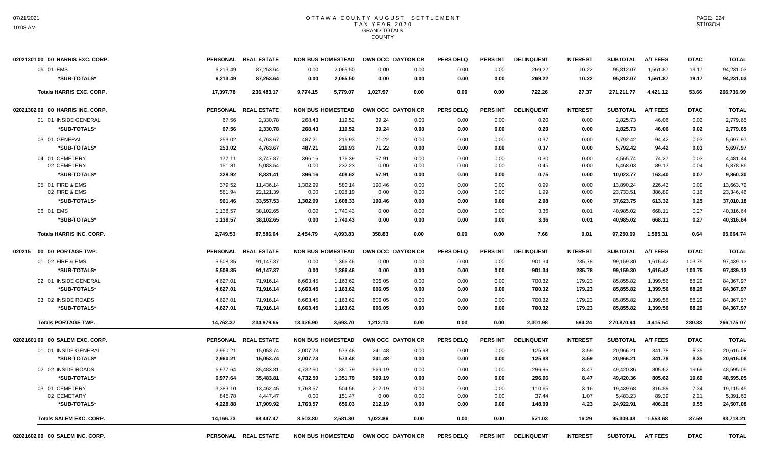| 02021301 00 00 HARRIS EXC. CORP. |                                 |           | PERSONAL REAL ESTATE |           |                          | NON BUS HOMESTEAD OWN OCC DAYTON CR |      | <b>PERS DELQ</b> | <b>PERS INT</b> | <b>DELINQUENT</b> | <b>INTEREST</b> | <b>SUBTOTAL</b> | <b>A/T FEES</b> | <b>DTAC</b> | <b>TOTAL</b> |
|----------------------------------|---------------------------------|-----------|----------------------|-----------|--------------------------|-------------------------------------|------|------------------|-----------------|-------------------|-----------------|-----------------|-----------------|-------------|--------------|
| 06 01 EMS                        |                                 | 6,213.49  | 87,253.64            | 0.00      | 2,065.50                 | 0.00                                | 0.00 | 0.00             | 0.00            | 269.22            | 10.22           | 95,812.07       | 1,561.87        | 19.17       | 94,231.03    |
|                                  | *SUB-TOTALS*                    | 6,213.49  | 87,253.64            | 0.00      | 2,065.50                 | 0.00                                | 0.00 | 0.00             | 0.00            | 269.22            | 10.22           | 95,812.07       | 1,561.87        | 19.17       | 94,231.03    |
|                                  | <b>Totals HARRIS EXC, CORP.</b> | 17,397.78 | 236,483.17           | 9.774.15  | 5.779.07                 | 1.027.97                            | 0.00 | 0.00             | 0.00            | 722.26            | 27.37           | 271.211.77      | 4,421.12        | 53.66       | 266,736.99   |
| 02021302 00 00 HARRIS INC. CORP. |                                 |           | PERSONAL REAL ESTATE |           | <b>NON BUS HOMESTEAD</b> | OWN OCC DAYTON CR                   |      | <b>PERS DELQ</b> | <b>PERS INT</b> | <b>DELINQUENT</b> | <b>INTEREST</b> | <b>SUBTOTAL</b> | <b>A/T FEES</b> | <b>DTAC</b> | <b>TOTAL</b> |
| 01 01 INSIDE GENERAL             |                                 | 67.56     | 2,330.78             | 268.43    | 119.52                   | 39.24                               | 0.00 | 0.00             | 0.00            | 0.20              | 0.00            | 2,825.73        | 46.06           | 0.02        | 2,779.65     |
|                                  | *SUB-TOTALS*                    | 67.56     | 2,330.78             | 268.43    | 119.52                   | 39.24                               | 0.00 | 0.00             | 0.00            | 0.20              | 0.00            | 2,825.73        | 46.06           | 0.02        | 2,779.65     |
| 03 01 GENERAL                    |                                 | 253.02    | 4,763.67             | 487.21    | 216.93                   | 71.22                               | 0.00 | 0.00             | 0.00            | 0.37              | 0.00            | 5,792.42        | 94.42           | 0.03        | 5,697.97     |
|                                  | *SUB-TOTALS*                    | 253.02    | 4,763.67             | 487.21    | 216.93                   | 71.22                               | 0.00 | 0.00             | 0.00            | 0.37              | 0.00            | 5,792.42        | 94.42           | 0.03        | 5,697.97     |
| 04 01 CEMETERY                   |                                 | 177.11    | 3,747.87             | 396.16    | 176.39                   | 57.91                               | 0.00 | 0.00             | 0.00            | 0.30              | 0.00            | 4,555.74        | 74.27           | 0.03        | 4,481.44     |
| 02 CEMETERY                      |                                 | 151.81    | 5,083.54             | 0.00      | 232.23                   | 0.00                                | 0.00 | 0.00             | 0.00            | 0.45              | 0.00            | 5,468.03        | 89.13           | 0.04        | 5,378.86     |
|                                  | *SUB-TOTALS*                    | 328.92    | 8,831.41             | 396.16    | 408.62                   | 57.91                               | 0.00 | 0.00             | 0.00            | 0.75              | 0.00            | 10,023.77       | 163.40          | 0.07        | 9.860.30     |
| 05 01 FIRE & EMS                 |                                 | 379.52    | 11.436.14            | 1.302.99  | 580.14                   | 190.46                              | 0.00 | 0.00             | 0.00            | 0.99              | 0.00            | 13.890.24       | 226.43          | 0.09        | 13.663.72    |
| 02 FIRE & EMS                    |                                 | 581.94    | 22,121.39            | 0.00      | 1,028.19                 | 0.00                                | 0.00 | 0.00             | 0.00            | 1.99              | 0.00            | 23,733.51       | 386.89          | 0.16        | 23,346.46    |
|                                  | *SUB-TOTALS*                    | 961.46    | 33,557.53            | 1,302.99  | 1,608.33                 | 190.46                              | 0.00 | 0.00             | 0.00            | 2.98              | 0.00            | 37,623.75       | 613.32          | 0.25        | 37,010.18    |
| 06 01 EMS                        |                                 | 1,138.57  | 38,102.65            | 0.00      | 1,740.43                 | 0.00                                | 0.00 | 0.00             | 0.00            | 3.36              | 0.01            | 40,985.02       | 668.11          | 0.27        | 40,316.64    |
|                                  | *SUB-TOTALS*                    | 1,138.57  | 38,102.65            | 0.00      | 1,740.43                 | 0.00                                | 0.00 | 0.00             | 0.00            | 3.36              | 0.01            | 40,985.02       | 668.11          | 0.27        | 40,316.64    |
|                                  | <b>Totals HARRIS INC. CORP.</b> | 2,749.53  | 87,586.04            | 2,454.79  | 4,093.83                 | 358.83                              | 0.00 | 0.00             | 0.00            | 7.66              | 0.01            | 97,250.69       | 1,585.31        | 0.64        | 95,664.74    |
| 020215 00 00 PORTAGE TWP.        |                                 |           | PERSONAL REAL ESTATE |           | <b>NON BUS HOMESTEAD</b> | OWN OCC DAYTON CR                   |      | <b>PERS DELQ</b> | <b>PERS INT</b> | <b>DELINQUENT</b> | <b>INTEREST</b> | <b>SUBTOTAL</b> | <b>A/T FEES</b> | <b>DTAC</b> | <b>TOTAL</b> |
| 01 02 FIRE & EMS                 |                                 | 5,508.35  | 91,147.37            | 0.00      | 1,366.46                 | 0.00                                | 0.00 | 0.00             | 0.00            | 901.34            | 235.78          | 99,159.30       | 1,616.42        | 103.75      | 97,439.13    |
|                                  | *SUB-TOTALS*                    | 5,508.35  | 91,147.37            | 0.00      | 1,366.46                 | 0.00                                | 0.00 | 0.00             | 0.00            | 901.34            | 235.78          | 99,159.30       | 1,616.42        | 103.75      | 97,439.13    |
| 02 01 INSIDE GENERAL             |                                 | 4,627.01  | 71,916.14            | 6,663.45  | 1,163.62                 | 606.05                              | 0.00 | 0.00             | 0.00            | 700.32            | 179.23          | 85,855.82       | 1,399.56        | 88.29       | 84,367.97    |
|                                  | *SUB-TOTALS*                    | 4,627.01  | 71,916.14            | 6,663.45  | 1,163.62                 | 606.05                              | 0.00 | 0.00             | 0.00            | 700.32            | 179.23          | 85,855.82       | 1,399.56        | 88.29       | 84,367.97    |
| 03 02 INSIDE ROADS               |                                 | 4,627.01  | 71,916.14            | 6,663.45  | 1,163.62                 | 606.05                              | 0.00 | 0.00             | 0.00            | 700.32            | 179.23          | 85,855.82       | 1,399.56        | 88.29       | 84,367.97    |
|                                  | *SUB-TOTALS*                    | 4,627.01  | 71,916.14            | 6,663.45  | 1,163.62                 | 606.05                              | 0.00 | 0.00             | 0.00            | 700.32            | 179.23          | 85,855.82       | 1,399.56        | 88.29       | 84,367.97    |
| <b>Totals PORTAGE TWP.</b>       |                                 | 14,762.37 | 234,979.65           | 13,326.90 | 3,693.70                 | 1,212.10                            | 0.00 | 0.00             | 0.00            | 2,301.98          | 594.24          | 270,870.94      | 4,415.54        | 280.33      | 266,175.07   |
| 02021601 00 00 SALEM EXC. CORP.  |                                 |           | PERSONAL REAL ESTATE |           | <b>NON BUS HOMESTEAD</b> | OWN OCC DAYTON CR                   |      | <b>PERS DELQ</b> | <b>PERS INT</b> | <b>DELINQUENT</b> | <b>INTEREST</b> | <b>SUBTOTAL</b> | <b>A/T FEES</b> | <b>DTAC</b> | <b>TOTAL</b> |
| 01 01 INSIDE GENERAL             |                                 | 2,960.21  | 15,053.74            | 2,007.73  | 573.48                   | 241.48                              | 0.00 | 0.00             | 0.00            | 125.98            | 3.59            | 20,966.21       | 341.78          | 8.35        | 20,616.08    |
|                                  | *SUB-TOTALS*                    | 2,960.21  | 15,053.74            | 2,007.73  | 573.48                   | 241.48                              | 0.00 | 0.00             | 0.00            | 125.98            | 3.59            | 20,966.21       | 341.78          | 8.35        | 20,616.08    |
| 02 02 INSIDE ROADS               |                                 | 6,977.64  | 35,483.81            | 4,732.50  | 1,351.79                 | 569.19                              | 0.00 | 0.00             | 0.00            | 296.96            | 8.47            | 49,420.36       | 805.62          | 19.69       | 48,595.05    |
|                                  | *SUB-TOTALS*                    | 6,977.64  | 35.483.81            | 4,732.50  | 1.351.79                 | 569.19                              | 0.00 | 0.00             | 0.00            | 296.96            | 8.47            | 49,420.36       | 805.62          | 19.69       | 48,595.05    |
| 03 01 CEMETERY                   |                                 | 3,383.10  | 13.462.45            | 1,763.57  | 504.56                   | 212.19                              | 0.00 | 0.00             | 0.00            | 110.65            | 3.16            | 19.439.68       | 316.89          | 7.34        | 19.115.45    |
| 02 CEMETARY                      |                                 | 845.78    | 4,447.47             | 0.00      | 151.47                   | 0.00                                | 0.00 | 0.00             | 0.00            | 37.44             | 1.07            | 5,483.23        | 89.39           | 2.21        | 5,391.63     |
|                                  | *SUB-TOTALS*                    | 4,228.88  | 17,909.92            | 1,763.57  | 656.03                   | 212.19                              | 0.00 | 0.00             | 0.00            | 148.09            | 4.23            | 24,922.91       | 406.28          | 9.55        | 24,507.08    |
|                                  | <b>Totals SALEM EXC, CORP.</b>  | 14,166.73 | 68,447.47            | 8.503.80  | 2.581.30                 | 1.022.86                            | 0.00 | 0.00             | 0.00            | 571.03            | 16.29           | 95,309.48       | 1.553.68        | 37.59       | 93,718.21    |
| 0202160200 00 SALEM INC. CORP.   |                                 |           | PERSONAL REAL ESTATE |           | <b>NON BUS HOMESTEAD</b> | OWN OCC DAYTON CR                   |      | <b>PERS DELQ</b> | <b>PERS INT</b> | <b>DELINQUENT</b> | <b>INTEREST</b> | <b>SUBTOTAL</b> | <b>A/T FEES</b> | <b>DTAC</b> | <b>TOTAL</b> |

PAGE: 224 ST103OH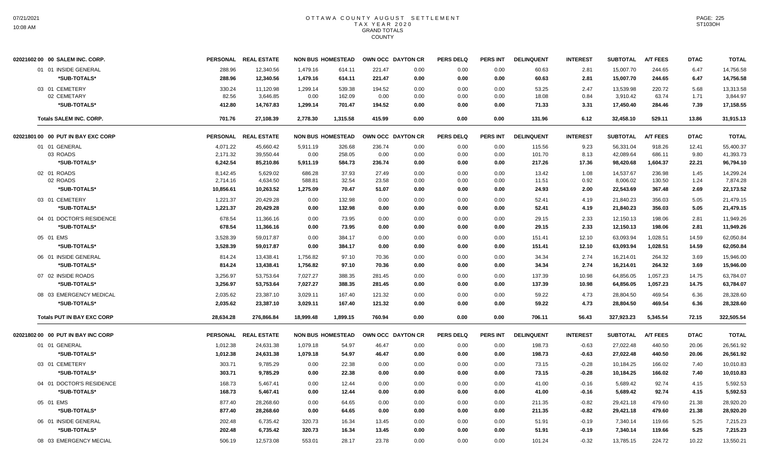| 02021602 00 00 SALEM INC. CORP.    |           | PERSONAL REAL ESTATE | <b>NON BUS HOMESTEAD</b> |          |        | OWN OCC DAYTON CR | <b>PERS DELQ</b> | <b>PERS INT</b> | <b>DELINQUENT</b> | <b>INTEREST</b> | <b>SUBTOTAL</b> | <b>A/T FEES</b> | <b>DTAC</b> | <b>TOTAL</b> |
|------------------------------------|-----------|----------------------|--------------------------|----------|--------|-------------------|------------------|-----------------|-------------------|-----------------|-----------------|-----------------|-------------|--------------|
| 01 01 INSIDE GENERAL               | 288.96    | 12,340.56            | 1,479.16                 | 614.11   | 221.47 | 0.00              | 0.00             | 0.00            | 60.63             | 2.81            | 15,007.70       | 244.65          | 6.47        | 14,756.58    |
| *SUB-TOTALS*                       | 288.96    | 12,340.56            | 1,479.16                 | 614.11   | 221.47 | 0.00              | 0.00             | 0.00            | 60.63             | 2.81            | 15,007.70       | 244.65          | 6.47        | 14,756.58    |
| 03 01 CEMETERY                     | 330.24    | 11,120.98            | 1,299.14                 | 539.38   | 194.52 | 0.00              | 0.00             | 0.00            | 53.25             | 2.47            | 13,539.98       | 220.72          | 5.68        | 13,313.58    |
| 02 CEMETARY                        | 82.56     | 3,646.85             | 0.00                     | 162.09   | 0.00   | 0.00              | 0.00             | 0.00            | 18.08             | 0.84            | 3,910.42        | 63.74           | 1.71        | 3,844.97     |
| *SUB-TOTALS*                       | 412.80    | 14,767.83            | 1,299.14                 | 701.47   | 194.52 | 0.00              | 0.00             | 0.00            | 71.33             | 3.31            | 17,450.40       | 284.46          | 7.39        | 17,158.55    |
| <b>Totals SALEM INC. CORP.</b>     | 701.76    | 27,108.39            | 2,778.30                 | 1,315.58 | 415.99 | 0.00              | 0.00             | 0.00            | 131.96            | 6.12            | 32,458.10       | 529.11          | 13.86       | 31.915.13    |
| 02021801 00 00 PUT IN BAY EXC CORP |           | PERSONAL REAL ESTATE | <b>NON BUS HOMESTEAD</b> |          |        | OWN OCC DAYTON CR | <b>PERS DELQ</b> | PERS INT        | <b>DELINQUENT</b> | <b>INTEREST</b> | <b>SUBTOTAL</b> | <b>A/T FEES</b> | <b>DTAC</b> | <b>TOTAL</b> |
| 01 01 GENERAL                      | 4.071.22  | 45.660.42            | 5.911.19                 | 326.68   | 236.74 | 0.00              | 0.00             | 0.00            | 115.56            | 9.23            | 56.331.04       | 918.26          | 12.41       | 55.400.37    |
| 03 ROADS                           | 2,171.32  | 39,550.44            | 0.00                     | 258.05   | 0.00   | 0.00              | 0.00             | 0.00            | 101.70            | 8.13            | 42,089.64       | 686.11          | 9.80        | 41,393.73    |
| *SUB-TOTALS*                       | 6,242.54  | 85,210.86            | 5,911.19                 | 584.73   | 236.74 | 0.00              | 0.00             | 0.00            | 217.26            | 17.36           | 98,420.68       | 1,604.37        | 22.21       | 96,794.10    |
| 02 01 ROADS                        | 8,142.45  | 5,629.02             | 686.28                   | 37.93    | 27.49  | 0.00              | 0.00             | 0.00            | 13.42             | 1.08            | 14,537.67       | 236.98          | 1.45        | 14,299.24    |
| 02 ROADS                           | 2,714.16  | 4,634.50             | 588.81                   | 32.54    | 23.58  | 0.00              | 0.00             | 0.00            | 11.51             | 0.92            | 8,006.02        | 130.50          | 1.24        | 7,874.28     |
| *SUB-TOTALS*                       | 10,856.61 | 10,263.52            | 1,275.09                 | 70.47    | 51.07  | 0.00              | 0.00             | 0.00            | 24.93             | 2.00            | 22,543.69       | 367.48          | 2.69        | 22,173.52    |
| 03 01 CEMETERY                     | 1,221.37  | 20,429.28            | 0.00                     | 132.98   | 0.00   | 0.00              | 0.00             | 0.00            | 52.41             | 4.19            | 21,840.23       | 356.03          | 5.05        | 21,479.15    |
| *SUB-TOTALS*                       | 1,221.37  | 20,429.28            | 0.00                     | 132.98   | 0.00   | 0.00              | 0.00             | 0.00            | 52.41             | 4.19            | 21,840.23       | 356.03          | 5.05        | 21,479.15    |
| 04 01 DOCTOR'S RESIDENCE           | 678.54    | 11,366.16            | 0.00                     | 73.95    | 0.00   | 0.00              | 0.00             | 0.00            | 29.15             | 2.33            | 12,150.13       | 198.06          | 2.81        | 11,949.26    |
| *SUB-TOTALS*                       | 678.54    | 11,366.16            | 0.00                     | 73.95    | 0.00   | 0.00              | 0.00             | 0.00            | 29.15             | 2.33            | 12,150.13       | 198.06          | 2.81        | 11.949.26    |
| 05 01 EMS                          | 3,528.39  | 59.017.87            | 0.00                     | 384.17   | 0.00   | 0.00              | 0.00             | 0.00            | 151.41            | 12.10           | 63,093.94       | 1.028.51        | 14.59       | 62.050.84    |
| *SUB-TOTALS*                       | 3,528.39  | 59,017.87            | 0.00                     | 384.17   | 0.00   | 0.00              | 0.00             | 0.00            | 151.41            | 12.10           | 63,093.94       | 1,028.51        | 14.59       | 62,050.84    |
| 06 01 INSIDE GENERAL               | 814.24    | 13,438.41            | 1,756.82                 | 97.10    | 70.36  | 0.00              | 0.00             | 0.00            | 34.34             | 2.74            | 16,214.01       | 264.32          | 3.69        | 15,946.00    |
| *SUB-TOTALS*                       | 814.24    | 13,438.41            | 1,756.82                 | 97.10    | 70.36  | 0.00              | 0.00             | 0.00            | 34.34             | 2.74            | 16,214.01       | 264.32          | 3.69        | 15,946.00    |
| 07 02 INSIDE ROADS                 | 3,256.97  | 53,753.64            | 7,027.27                 | 388.35   | 281.45 | 0.00              | 0.00             | 0.00            | 137.39            | 10.98           | 64,856.05       | 1,057.23        | 14.75       | 63,784.07    |
| *SUB-TOTALS*                       | 3,256.97  | 53,753.64            | 7,027.27                 | 388.35   | 281.45 | 0.00              | 0.00             | 0.00            | 137.39            | 10.98           | 64,856.05       | 1,057.23        | 14.75       | 63,784.07    |
| 08 03 EMERGENCY MEDICAL            | 2,035.62  | 23,387.10            | 3,029.11                 | 167.40   | 121.32 | 0.00              | 0.00             | 0.00            | 59.22             | 4.73            | 28,804.50       | 469.54          | 6.36        | 28,328.60    |
| *SUB-TOTALS*                       | 2,035.62  | 23,387.10            | 3,029.11                 | 167.40   | 121.32 | 0.00              | 0.00             | 0.00            | 59.22             | 4.73            | 28,804.50       | 469.54          | 6.36        | 28,328.60    |
| <b>Totals PUT IN BAY EXC CORP</b>  | 28,634.28 | 276,866.84           | 18,999.48                | 1,899.15 | 760.94 | 0.00              | 0.00             | 0.00            | 706.11            | 56.43           | 327,923.23      | 5,345.54        | 72.15       | 322,505.54   |
| 02021802 00 00 PUT IN BAY INC CORP |           | PERSONAL REAL ESTATE | <b>NON BUS HOMESTEAD</b> |          |        | OWN OCC DAYTON CR | <b>PERS DELQ</b> | PERS INT        | <b>DELINQUENT</b> | <b>INTEREST</b> | <b>SUBTOTAL</b> | <b>A/T FEES</b> | <b>DTAC</b> | <b>TOTAL</b> |
| 01 01 GENERAL                      | 1,012.38  | 24,631.38            | 1,079.18                 | 54.97    | 46.47  | 0.00              | 0.00             | 0.00            | 198.73            | $-0.63$         | 27,022.48       | 440.50          | 20.06       | 26,561.92    |
| *SUB-TOTALS*                       | 1,012.38  | 24,631.38            | 1,079.18                 | 54.97    | 46.47  | 0.00              | 0.00             | 0.00            | 198.73            | $-0.63$         | 27,022.48       | 440.50          | 20.06       | 26,561.92    |
| 03 01 CEMETERY                     | 303.71    | 9,785.29             | 0.00                     | 22.38    | 0.00   | 0.00              | 0.00             | 0.00            | 73.15             | $-0.28$         | 10,184.25       | 166.02          | 7.40        | 10,010.83    |
| *SUB-TOTALS*                       | 303.71    | 9,785.29             | 0.00                     | 22.38    | 0.00   | 0.00              | 0.00             | 0.00            | 73.15             | $-0.28$         | 10,184.25       | 166.02          | 7.40        | 10,010.83    |
| 04 01 DOCTOR'S RESIDENCE           | 168.73    | 5,467.41             | 0.00                     | 12.44    | 0.00   | 0.00              | 0.00             | 0.00            | 41.00             | $-0.16$         | 5,689.42        | 92.74           | 4.15        | 5,592.53     |
| *SUB-TOTALS*                       | 168.73    | 5,467.41             | 0.00                     | 12.44    | 0.00   | 0.00              | 0.00             | 0.00            | 41.00             | $-0.16$         | 5,689.42        | 92.74           | 4.15        | 5,592.53     |
| 05 01 EMS                          | 877.40    | 28,268.60            | 0.00                     | 64.65    | 0.00   | 0.00              | 0.00             | 0.00            | 211.35            | $-0.82$         | 29,421.18       | 479.60          | 21.38       | 28,920.20    |
| *SUB-TOTALS*                       | 877.40    | 28,268.60            | 0.00                     | 64.65    | 0.00   | 0.00              | 0.00             | 0.00            | 211.35            | $-0.82$         | 29,421.18       | 479.60          | 21.38       | 28,920.20    |
|                                    |           |                      |                          |          |        |                   |                  |                 |                   |                 |                 |                 |             |              |
| 06 01 INSIDE GENERAL               | 202.48    | 6,735.42             | 320.73                   | 16.34    | 13.45  | 0.00              | 0.00             | 0.00            | 51.91             | $-0.19$         | 7.340.14        | 119.66          | 5.25        | 7,215.23     |
| *SUB-TOTALS*                       | 202.48    | 6,735.42             | 320.73                   | 16.34    | 13.45  | 0.00              | 0.00             | 0.00            | 51.91             | $-0.19$         | 7,340.14        | 119.66          | 5.25        | 7,215.23     |
| 08 03 EMERGENCY MECIAL             | 506.19    | 12,573.08            | 553.01                   | 28.17    | 23.78  | 0.00              | 0.00             | 0.00            | 101.24            | $-0.32$         | 13,785.15       | 224.72          | 10.22       | 13,550.21    |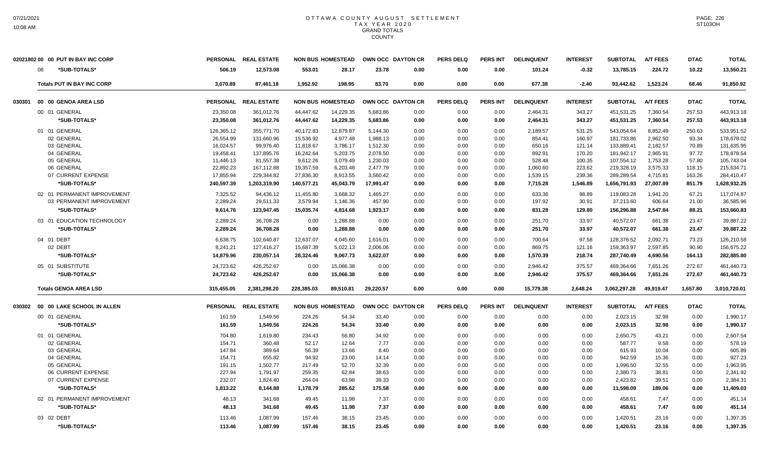| *SUB-TOTALS*<br>506.19<br>12,573.08<br>553.01<br>28.17<br>23.78<br>0.00<br>0.00<br>0.00<br>101.24<br>$-0.32$<br>13,785.15<br>224.72<br>10.22<br>08<br>1,952.92<br>677.38<br>93,442.62<br>1,523.24<br>68.46<br><b>Totals PUT IN BAY INC CORP</b><br>3,070.89<br>87,461.18<br>198.95<br>83.70<br>0.00<br>0.00<br>0.00<br>$-2.40$<br>PERSONAL REAL ESTATE<br><b>NON BUS HOMESTEAD</b><br>OWN OCC DAYTON CR<br><b>PERS DELQ</b><br><b>PERS INT</b><br><b>DELINQUENT</b><br><b>SUBTOTAL</b><br><b>DTAC</b><br>030301<br>00 00 GENOA AREA LSD<br><b>INTEREST</b><br><b>A/T FEES</b><br>00 01 GENERAL<br>23,350.08<br>361,012.76<br>44,447.62<br>14,229.35<br>5,683.86<br>0.00<br>0.00<br>0.00<br>2,464.31<br>343.27<br>451,531.25<br>7,360.54<br>257.53<br>*SUB-TOTALS*<br>23,350.08<br>44,447.62<br>14,229.35<br>5,683.86<br>0.00<br>343.27<br>451,531.25<br>7,360.54<br>257.53<br>361,012.76<br>0.00<br>0.00<br>2,464.31<br>40,172.83<br>12,879.87<br>5,144.30<br>543,054.64<br>8,852.49<br>01 01 GENERAL<br>126,365.12<br>355,771.70<br>0.00<br>0.00<br>0.00<br>2,189.57<br>531.25<br>250.63<br>02 GENERAL<br>26,554.99<br>131,660.96<br>15,536.92<br>4,977.48<br>1,988.13<br>0.00<br>0.00<br>0.00<br>160.97<br>181,733.86<br>2,962.50<br>93.34<br>854.41<br>03 GENERAL<br>16,024.57<br>99.976.40<br>11,818.67<br>3,786.17<br>1,512.30<br>0.00<br>0.00<br>0.00<br>650.16<br>121.14<br>133,889.41<br>2.182.57<br>70.89<br>19,458.41<br>16,242.64<br>892.91<br>181,942.17<br>2,965.91<br>04 GENERAL<br>137,895.76<br>5,203.75<br>2,078.50<br>0.00<br>0.00<br>0.00<br>170.20<br>97.72<br>107,554.12<br>05 GENERAL<br>11,446.13<br>81,557.38<br>9,612.26<br>3,079.49<br>1,230.03<br>0.00<br>0.00<br>0.00<br>528.48<br>100.35<br>1,753.28<br>57.80<br>19,357.59<br>223.62<br>219,328.19<br>3,575.33<br>06 GENERAL<br>22,892.23<br>167,112.88<br>6,203.48<br>2,477.79<br>0.00<br>0.00<br>0.00<br>118.15<br>1,060.60<br>289,289.54<br>07 CURRENT EXPENSE<br>17,855.94<br>229,344.82<br>27,836.30<br>8,913.55<br>3,560.42<br>239.36<br>4,715.81<br>163.26<br>0.00<br>0.00<br>0.00<br>1,539.15<br>*SUB-TOTALS*<br>240,597.39<br>1,203,319.90<br>140,577.21<br>45,043.79<br>17,991.47<br>0.00<br>0.00<br>7,715.28<br>1,546.89<br>1,656,791.93<br>27,007.89<br>851.79<br>0.00<br>02 01 PERMANENT IMPROVEMENT<br>7.325.52<br>94.436.12<br>1.465.27<br>633.36<br>119.083.28<br>67.21<br>11.455.80<br>3.668.32<br>0.00<br>0.00<br>0.00<br>98.89<br>1.941.20<br>03 PERMANENT IMPROVEMENT<br>2,289.24<br>3,579.94<br>457.90<br>197.92<br>606.64<br>21.00<br>29,511.33<br>1,146.36<br>0.00<br>0.00<br>0.00<br>30.91<br>37,213.60<br>123,947.45<br>2,547.84<br>*SUB-TOTALS*<br>9,614.76<br>15,035.74<br>4,814.68<br>1,923.17<br>0.00<br>0.00<br>0.00<br>831.28<br>129.80<br>156,296.88<br>88.21 | 02021802 00 00 PUT IN BAY INC CORP | PERSONAL REAL ESTATE | <b>NON BUS HOMESTEAD</b> | OWN OCC DAYTON CR | <b>PERS DELQ</b> | <b>PERS INT</b> | <b>DELINQUENT</b> | <b>INTEREST</b> | <b>SUBTOTAL</b> | A/T FEES | <b>DTAC</b> | <b>TOTAL</b> |
|----------------------------------------------------------------------------------------------------------------------------------------------------------------------------------------------------------------------------------------------------------------------------------------------------------------------------------------------------------------------------------------------------------------------------------------------------------------------------------------------------------------------------------------------------------------------------------------------------------------------------------------------------------------------------------------------------------------------------------------------------------------------------------------------------------------------------------------------------------------------------------------------------------------------------------------------------------------------------------------------------------------------------------------------------------------------------------------------------------------------------------------------------------------------------------------------------------------------------------------------------------------------------------------------------------------------------------------------------------------------------------------------------------------------------------------------------------------------------------------------------------------------------------------------------------------------------------------------------------------------------------------------------------------------------------------------------------------------------------------------------------------------------------------------------------------------------------------------------------------------------------------------------------------------------------------------------------------------------------------------------------------------------------------------------------------------------------------------------------------------------------------------------------------------------------------------------------------------------------------------------------------------------------------------------------------------------------------------------------------------------------------------------------------------------------------------------------------------------------------------------------------------------------------------------------------------------------------------------------------------------------------------------------------------------------------------------------------------------------------------------------------------------|------------------------------------|----------------------|--------------------------|-------------------|------------------|-----------------|-------------------|-----------------|-----------------|----------|-------------|--------------|
|                                                                                                                                                                                                                                                                                                                                                                                                                                                                                                                                                                                                                                                                                                                                                                                                                                                                                                                                                                                                                                                                                                                                                                                                                                                                                                                                                                                                                                                                                                                                                                                                                                                                                                                                                                                                                                                                                                                                                                                                                                                                                                                                                                                                                                                                                                                                                                                                                                                                                                                                                                                                                                                                                                                                                                            |                                    |                      |                          |                   |                  |                 |                   |                 |                 |          |             | 13,550.21    |
|                                                                                                                                                                                                                                                                                                                                                                                                                                                                                                                                                                                                                                                                                                                                                                                                                                                                                                                                                                                                                                                                                                                                                                                                                                                                                                                                                                                                                                                                                                                                                                                                                                                                                                                                                                                                                                                                                                                                                                                                                                                                                                                                                                                                                                                                                                                                                                                                                                                                                                                                                                                                                                                                                                                                                                            |                                    |                      |                          |                   |                  |                 |                   |                 |                 |          |             | 91,850.92    |
|                                                                                                                                                                                                                                                                                                                                                                                                                                                                                                                                                                                                                                                                                                                                                                                                                                                                                                                                                                                                                                                                                                                                                                                                                                                                                                                                                                                                                                                                                                                                                                                                                                                                                                                                                                                                                                                                                                                                                                                                                                                                                                                                                                                                                                                                                                                                                                                                                                                                                                                                                                                                                                                                                                                                                                            |                                    |                      |                          |                   |                  |                 |                   |                 |                 |          |             | <b>TOTAL</b> |
|                                                                                                                                                                                                                                                                                                                                                                                                                                                                                                                                                                                                                                                                                                                                                                                                                                                                                                                                                                                                                                                                                                                                                                                                                                                                                                                                                                                                                                                                                                                                                                                                                                                                                                                                                                                                                                                                                                                                                                                                                                                                                                                                                                                                                                                                                                                                                                                                                                                                                                                                                                                                                                                                                                                                                                            |                                    |                      |                          |                   |                  |                 |                   |                 |                 |          |             | 443,913.18   |
|                                                                                                                                                                                                                                                                                                                                                                                                                                                                                                                                                                                                                                                                                                                                                                                                                                                                                                                                                                                                                                                                                                                                                                                                                                                                                                                                                                                                                                                                                                                                                                                                                                                                                                                                                                                                                                                                                                                                                                                                                                                                                                                                                                                                                                                                                                                                                                                                                                                                                                                                                                                                                                                                                                                                                                            |                                    |                      |                          |                   |                  |                 |                   |                 |                 |          |             | 443,913.18   |
|                                                                                                                                                                                                                                                                                                                                                                                                                                                                                                                                                                                                                                                                                                                                                                                                                                                                                                                                                                                                                                                                                                                                                                                                                                                                                                                                                                                                                                                                                                                                                                                                                                                                                                                                                                                                                                                                                                                                                                                                                                                                                                                                                                                                                                                                                                                                                                                                                                                                                                                                                                                                                                                                                                                                                                            |                                    |                      |                          |                   |                  |                 |                   |                 |                 |          |             | 533,951.52   |
|                                                                                                                                                                                                                                                                                                                                                                                                                                                                                                                                                                                                                                                                                                                                                                                                                                                                                                                                                                                                                                                                                                                                                                                                                                                                                                                                                                                                                                                                                                                                                                                                                                                                                                                                                                                                                                                                                                                                                                                                                                                                                                                                                                                                                                                                                                                                                                                                                                                                                                                                                                                                                                                                                                                                                                            |                                    |                      |                          |                   |                  |                 |                   |                 |                 |          |             | 178,678.02   |
|                                                                                                                                                                                                                                                                                                                                                                                                                                                                                                                                                                                                                                                                                                                                                                                                                                                                                                                                                                                                                                                                                                                                                                                                                                                                                                                                                                                                                                                                                                                                                                                                                                                                                                                                                                                                                                                                                                                                                                                                                                                                                                                                                                                                                                                                                                                                                                                                                                                                                                                                                                                                                                                                                                                                                                            |                                    |                      |                          |                   |                  |                 |                   |                 |                 |          |             | 131,635.95   |
|                                                                                                                                                                                                                                                                                                                                                                                                                                                                                                                                                                                                                                                                                                                                                                                                                                                                                                                                                                                                                                                                                                                                                                                                                                                                                                                                                                                                                                                                                                                                                                                                                                                                                                                                                                                                                                                                                                                                                                                                                                                                                                                                                                                                                                                                                                                                                                                                                                                                                                                                                                                                                                                                                                                                                                            |                                    |                      |                          |                   |                  |                 |                   |                 |                 |          |             | 178,878.54   |
|                                                                                                                                                                                                                                                                                                                                                                                                                                                                                                                                                                                                                                                                                                                                                                                                                                                                                                                                                                                                                                                                                                                                                                                                                                                                                                                                                                                                                                                                                                                                                                                                                                                                                                                                                                                                                                                                                                                                                                                                                                                                                                                                                                                                                                                                                                                                                                                                                                                                                                                                                                                                                                                                                                                                                                            |                                    |                      |                          |                   |                  |                 |                   |                 |                 |          |             | 105,743.04   |
|                                                                                                                                                                                                                                                                                                                                                                                                                                                                                                                                                                                                                                                                                                                                                                                                                                                                                                                                                                                                                                                                                                                                                                                                                                                                                                                                                                                                                                                                                                                                                                                                                                                                                                                                                                                                                                                                                                                                                                                                                                                                                                                                                                                                                                                                                                                                                                                                                                                                                                                                                                                                                                                                                                                                                                            |                                    |                      |                          |                   |                  |                 |                   |                 |                 |          |             | 215,634.71   |
|                                                                                                                                                                                                                                                                                                                                                                                                                                                                                                                                                                                                                                                                                                                                                                                                                                                                                                                                                                                                                                                                                                                                                                                                                                                                                                                                                                                                                                                                                                                                                                                                                                                                                                                                                                                                                                                                                                                                                                                                                                                                                                                                                                                                                                                                                                                                                                                                                                                                                                                                                                                                                                                                                                                                                                            |                                    |                      |                          |                   |                  |                 |                   |                 |                 |          |             | 284,410.47   |
|                                                                                                                                                                                                                                                                                                                                                                                                                                                                                                                                                                                                                                                                                                                                                                                                                                                                                                                                                                                                                                                                                                                                                                                                                                                                                                                                                                                                                                                                                                                                                                                                                                                                                                                                                                                                                                                                                                                                                                                                                                                                                                                                                                                                                                                                                                                                                                                                                                                                                                                                                                                                                                                                                                                                                                            |                                    |                      |                          |                   |                  |                 |                   |                 |                 |          |             | 1,628,932.25 |
|                                                                                                                                                                                                                                                                                                                                                                                                                                                                                                                                                                                                                                                                                                                                                                                                                                                                                                                                                                                                                                                                                                                                                                                                                                                                                                                                                                                                                                                                                                                                                                                                                                                                                                                                                                                                                                                                                                                                                                                                                                                                                                                                                                                                                                                                                                                                                                                                                                                                                                                                                                                                                                                                                                                                                                            |                                    |                      |                          |                   |                  |                 |                   |                 |                 |          |             | 117.074.87   |
|                                                                                                                                                                                                                                                                                                                                                                                                                                                                                                                                                                                                                                                                                                                                                                                                                                                                                                                                                                                                                                                                                                                                                                                                                                                                                                                                                                                                                                                                                                                                                                                                                                                                                                                                                                                                                                                                                                                                                                                                                                                                                                                                                                                                                                                                                                                                                                                                                                                                                                                                                                                                                                                                                                                                                                            |                                    |                      |                          |                   |                  |                 |                   |                 |                 |          |             | 36,585.96    |
|                                                                                                                                                                                                                                                                                                                                                                                                                                                                                                                                                                                                                                                                                                                                                                                                                                                                                                                                                                                                                                                                                                                                                                                                                                                                                                                                                                                                                                                                                                                                                                                                                                                                                                                                                                                                                                                                                                                                                                                                                                                                                                                                                                                                                                                                                                                                                                                                                                                                                                                                                                                                                                                                                                                                                                            |                                    |                      |                          |                   |                  |                 |                   |                 |                 |          |             | 153,660.83   |
| 03 01 EDUCATION TECHNOLOGY<br>2.289.24<br>36,708.28<br>1.288.88<br>0.00<br>251.70<br>33.97<br>40,572.07<br>23.47<br>0.00<br>0.00<br>0.00<br>0.00<br>661.38                                                                                                                                                                                                                                                                                                                                                                                                                                                                                                                                                                                                                                                                                                                                                                                                                                                                                                                                                                                                                                                                                                                                                                                                                                                                                                                                                                                                                                                                                                                                                                                                                                                                                                                                                                                                                                                                                                                                                                                                                                                                                                                                                                                                                                                                                                                                                                                                                                                                                                                                                                                                                 |                                    |                      |                          |                   |                  |                 |                   |                 |                 |          |             | 39,887.22    |
| *SUB-TOTALS*<br>2,289.24<br>36,708.28<br>0.00<br>1,288.88<br>0.00<br>0.00<br>0.00<br>0.00<br>251.70<br>33.97<br>40,572.07<br>661.38<br>23.47                                                                                                                                                                                                                                                                                                                                                                                                                                                                                                                                                                                                                                                                                                                                                                                                                                                                                                                                                                                                                                                                                                                                                                                                                                                                                                                                                                                                                                                                                                                                                                                                                                                                                                                                                                                                                                                                                                                                                                                                                                                                                                                                                                                                                                                                                                                                                                                                                                                                                                                                                                                                                               |                                    |                      |                          |                   |                  |                 |                   |                 |                 |          |             | 39,887.22    |
|                                                                                                                                                                                                                                                                                                                                                                                                                                                                                                                                                                                                                                                                                                                                                                                                                                                                                                                                                                                                                                                                                                                                                                                                                                                                                                                                                                                                                                                                                                                                                                                                                                                                                                                                                                                                                                                                                                                                                                                                                                                                                                                                                                                                                                                                                                                                                                                                                                                                                                                                                                                                                                                                                                                                                                            |                                    |                      |                          |                   |                  |                 |                   |                 |                 |          |             |              |
| 04 01 DEBT<br>6,638.75<br>102,640.87<br>12,637.07<br>4,045.60<br>1,616.01<br>0.00<br>0.00<br>0.00<br>700.64<br>97.58<br>128,376.52<br>2,092.71<br>73.23                                                                                                                                                                                                                                                                                                                                                                                                                                                                                                                                                                                                                                                                                                                                                                                                                                                                                                                                                                                                                                                                                                                                                                                                                                                                                                                                                                                                                                                                                                                                                                                                                                                                                                                                                                                                                                                                                                                                                                                                                                                                                                                                                                                                                                                                                                                                                                                                                                                                                                                                                                                                                    |                                    |                      |                          |                   |                  |                 |                   |                 |                 |          |             | 126,210.58   |
| 02 DEBT<br>2,597.85<br>8,241.21<br>127,416.27<br>15,687.39<br>5,022.13<br>2,006.06<br>0.00<br>0.00<br>0.00<br>869.75<br>121.16<br>159,363.97<br>90.90                                                                                                                                                                                                                                                                                                                                                                                                                                                                                                                                                                                                                                                                                                                                                                                                                                                                                                                                                                                                                                                                                                                                                                                                                                                                                                                                                                                                                                                                                                                                                                                                                                                                                                                                                                                                                                                                                                                                                                                                                                                                                                                                                                                                                                                                                                                                                                                                                                                                                                                                                                                                                      |                                    |                      |                          |                   |                  |                 |                   |                 |                 |          |             | 156,675.22   |
| 14,879.96<br>230,057.14<br>28,324.46<br>9,067.73<br>3,622.07<br>218.74<br>287,740.49<br>4,690.56<br>164.13<br>*SUB-TOTALS*<br>0.00<br>0.00<br>0.00<br>1,570.39                                                                                                                                                                                                                                                                                                                                                                                                                                                                                                                                                                                                                                                                                                                                                                                                                                                                                                                                                                                                                                                                                                                                                                                                                                                                                                                                                                                                                                                                                                                                                                                                                                                                                                                                                                                                                                                                                                                                                                                                                                                                                                                                                                                                                                                                                                                                                                                                                                                                                                                                                                                                             |                                    |                      |                          |                   |                  |                 |                   |                 |                 |          |             | 282,885.80   |
| 05 01 SUBSTITUTE<br>24,723.62<br>426,252.67<br>2,946.42<br>375.57<br>469,364.66<br>7,651.26<br>272.67<br>0.00<br>15,066.38<br>0.00<br>0.00<br>0.00<br>0.00                                                                                                                                                                                                                                                                                                                                                                                                                                                                                                                                                                                                                                                                                                                                                                                                                                                                                                                                                                                                                                                                                                                                                                                                                                                                                                                                                                                                                                                                                                                                                                                                                                                                                                                                                                                                                                                                                                                                                                                                                                                                                                                                                                                                                                                                                                                                                                                                                                                                                                                                                                                                                 |                                    |                      |                          |                   |                  |                 |                   |                 |                 |          |             | 461,440.73   |
| *SUB-TOTALS*<br>24,723.62<br>426,252.67<br>15.066.38<br>2,946.42<br>375.57<br>469,364.66<br>7.651.26<br>272.67<br>0.00<br>0.00<br>0.00<br>0.00<br>0.00                                                                                                                                                                                                                                                                                                                                                                                                                                                                                                                                                                                                                                                                                                                                                                                                                                                                                                                                                                                                                                                                                                                                                                                                                                                                                                                                                                                                                                                                                                                                                                                                                                                                                                                                                                                                                                                                                                                                                                                                                                                                                                                                                                                                                                                                                                                                                                                                                                                                                                                                                                                                                     |                                    |                      |                          |                   |                  |                 |                   |                 |                 |          |             | 461,440.73   |
| 228,385.03<br>3,062,297.28<br>49,919.47<br>1,657.80<br><b>Totals GENOA AREA LSD</b><br>315,455.05<br>2,381,298.20<br>89.510.81<br>29,220.57<br>0.00<br>0.00<br>0.00<br>15,779.38<br>2,648.24                                                                                                                                                                                                                                                                                                                                                                                                                                                                                                                                                                                                                                                                                                                                                                                                                                                                                                                                                                                                                                                                                                                                                                                                                                                                                                                                                                                                                                                                                                                                                                                                                                                                                                                                                                                                                                                                                                                                                                                                                                                                                                                                                                                                                                                                                                                                                                                                                                                                                                                                                                               |                                    |                      |                          |                   |                  |                 |                   |                 |                 |          |             | 3,010,720.01 |
| <b>SUBTOTAL</b><br><b>A/T FEES</b><br><b>DTAC</b><br>PERSONAL REAL ESTATE<br><b>NON BUS HOMESTEAD</b><br><b>PERS DELQ</b><br><b>DELINQUENT</b><br>00 00 LAKE SCHOOL IN ALLEN<br>OWN OCC DAYTON CR<br><b>PERS INT</b><br><b>INTEREST</b><br>030302                                                                                                                                                                                                                                                                                                                                                                                                                                                                                                                                                                                                                                                                                                                                                                                                                                                                                                                                                                                                                                                                                                                                                                                                                                                                                                                                                                                                                                                                                                                                                                                                                                                                                                                                                                                                                                                                                                                                                                                                                                                                                                                                                                                                                                                                                                                                                                                                                                                                                                                          |                                    |                      |                          |                   |                  |                 |                   |                 |                 |          |             | <b>TOTAL</b> |
| 00 01 GENERAL<br>161.59<br>1,549.56<br>224.26<br>54.34<br>33.40<br>0.00<br>0.00<br>0.00<br>0.00<br>0.00<br>2,023.15<br>32.98<br>0.00                                                                                                                                                                                                                                                                                                                                                                                                                                                                                                                                                                                                                                                                                                                                                                                                                                                                                                                                                                                                                                                                                                                                                                                                                                                                                                                                                                                                                                                                                                                                                                                                                                                                                                                                                                                                                                                                                                                                                                                                                                                                                                                                                                                                                                                                                                                                                                                                                                                                                                                                                                                                                                       |                                    |                      |                          |                   |                  |                 |                   |                 |                 |          |             | 1,990.17     |
| *SUB-TOTALS*<br>161.59<br>54.34<br>1,549.56<br>224.26<br>33.40<br>0.00<br>0.00<br>0.00<br>0.00<br>0.00<br>2,023.15<br>32.98<br>0.00                                                                                                                                                                                                                                                                                                                                                                                                                                                                                                                                                                                                                                                                                                                                                                                                                                                                                                                                                                                                                                                                                                                                                                                                                                                                                                                                                                                                                                                                                                                                                                                                                                                                                                                                                                                                                                                                                                                                                                                                                                                                                                                                                                                                                                                                                                                                                                                                                                                                                                                                                                                                                                        |                                    |                      |                          |                   |                  |                 |                   |                 |                 |          |             | 1,990.17     |
| 01 01 GENERAL<br>704.80<br>1,619.80<br>234.43<br>56.80<br>34.92<br>0.00<br>0.00<br>0.00<br>0.00<br>2.650.75<br>43.21<br>0.00<br>0.00                                                                                                                                                                                                                                                                                                                                                                                                                                                                                                                                                                                                                                                                                                                                                                                                                                                                                                                                                                                                                                                                                                                                                                                                                                                                                                                                                                                                                                                                                                                                                                                                                                                                                                                                                                                                                                                                                                                                                                                                                                                                                                                                                                                                                                                                                                                                                                                                                                                                                                                                                                                                                                       |                                    |                      |                          |                   |                  |                 |                   |                 |                 |          |             | 2,607.54     |
| 02 GENERAL<br>154.71<br>360.48<br>52.17<br>12.64<br>7.77<br>0.00<br>0.00<br>0.00<br>0.00<br>0.00<br>587.77<br>9.58<br>0.00                                                                                                                                                                                                                                                                                                                                                                                                                                                                                                                                                                                                                                                                                                                                                                                                                                                                                                                                                                                                                                                                                                                                                                                                                                                                                                                                                                                                                                                                                                                                                                                                                                                                                                                                                                                                                                                                                                                                                                                                                                                                                                                                                                                                                                                                                                                                                                                                                                                                                                                                                                                                                                                 |                                    |                      |                          |                   |                  |                 |                   |                 |                 |          |             | 578.19       |
| 147.84<br>389.64<br>13.66<br>0.00<br>03 GENERAL<br>56.39<br>8.40<br>0.00<br>0.00<br>0.00<br>0.00<br>0.00<br>615.93<br>10.04                                                                                                                                                                                                                                                                                                                                                                                                                                                                                                                                                                                                                                                                                                                                                                                                                                                                                                                                                                                                                                                                                                                                                                                                                                                                                                                                                                                                                                                                                                                                                                                                                                                                                                                                                                                                                                                                                                                                                                                                                                                                                                                                                                                                                                                                                                                                                                                                                                                                                                                                                                                                                                                |                                    |                      |                          |                   |                  |                 |                   |                 |                 |          |             | 605.89       |
| 04 GENERAL<br>154.71<br>655.82<br>94.92<br>23.00<br>14.14<br>0.00<br>0.00<br>0.00<br>0.00<br>942.59<br>15.36<br>0.00<br>0.00                                                                                                                                                                                                                                                                                                                                                                                                                                                                                                                                                                                                                                                                                                                                                                                                                                                                                                                                                                                                                                                                                                                                                                                                                                                                                                                                                                                                                                                                                                                                                                                                                                                                                                                                                                                                                                                                                                                                                                                                                                                                                                                                                                                                                                                                                                                                                                                                                                                                                                                                                                                                                                               |                                    |                      |                          |                   |                  |                 |                   |                 |                 |          |             | 927.23       |
| 32.55<br>05 GENERAL<br>1,502.77<br>217.49<br>52.70<br>32.39<br>0.00<br>191.15<br>0.00<br>0.00<br>0.00<br>0.00<br>0.00<br>1.996.50                                                                                                                                                                                                                                                                                                                                                                                                                                                                                                                                                                                                                                                                                                                                                                                                                                                                                                                                                                                                                                                                                                                                                                                                                                                                                                                                                                                                                                                                                                                                                                                                                                                                                                                                                                                                                                                                                                                                                                                                                                                                                                                                                                                                                                                                                                                                                                                                                                                                                                                                                                                                                                          |                                    |                      |                          |                   |                  |                 |                   |                 |                 |          |             | 1,963.95     |
| 227.94<br>62.84<br>06 CURRENT EXPENSE<br>1,791.97<br>259.35<br>38.63<br>0.00<br>0.00<br>0.00<br>0.00<br>0.00<br>2,380.73<br>38.81<br>0.00                                                                                                                                                                                                                                                                                                                                                                                                                                                                                                                                                                                                                                                                                                                                                                                                                                                                                                                                                                                                                                                                                                                                                                                                                                                                                                                                                                                                                                                                                                                                                                                                                                                                                                                                                                                                                                                                                                                                                                                                                                                                                                                                                                                                                                                                                                                                                                                                                                                                                                                                                                                                                                  |                                    |                      |                          |                   |                  |                 |                   |                 |                 |          |             | 2,341.92     |
| 07 CURRENT EXPENSE<br>232.07<br>1,824.40<br>264.04<br>63.98<br>39.33<br>0.00<br>0.00<br>0.00<br>2,423.82<br>39.51<br>0.00<br>0.00<br>0.00                                                                                                                                                                                                                                                                                                                                                                                                                                                                                                                                                                                                                                                                                                                                                                                                                                                                                                                                                                                                                                                                                                                                                                                                                                                                                                                                                                                                                                                                                                                                                                                                                                                                                                                                                                                                                                                                                                                                                                                                                                                                                                                                                                                                                                                                                                                                                                                                                                                                                                                                                                                                                                  |                                    |                      |                          |                   |                  |                 |                   |                 |                 |          |             | 2,384.31     |
| *SUB-TOTALS*<br>1,813.22<br>8,144.88<br>1,178.79<br>285.62<br>175.58<br>0.00<br>0.00<br>0.00<br>0.00<br>0.00<br>11,598.09<br>189.06<br>0.00                                                                                                                                                                                                                                                                                                                                                                                                                                                                                                                                                                                                                                                                                                                                                                                                                                                                                                                                                                                                                                                                                                                                                                                                                                                                                                                                                                                                                                                                                                                                                                                                                                                                                                                                                                                                                                                                                                                                                                                                                                                                                                                                                                                                                                                                                                                                                                                                                                                                                                                                                                                                                                |                                    |                      |                          |                   |                  |                 |                   |                 |                 |          |             | 11,409.03    |
| 02 01 PERMANENT IMPROVEMENT<br>48.13<br>341.68<br>49.45<br>11.98<br>7.37<br>0.00<br>0.00<br>0.00<br>0.00<br>0.00<br>458.61<br>7.47<br>0.00                                                                                                                                                                                                                                                                                                                                                                                                                                                                                                                                                                                                                                                                                                                                                                                                                                                                                                                                                                                                                                                                                                                                                                                                                                                                                                                                                                                                                                                                                                                                                                                                                                                                                                                                                                                                                                                                                                                                                                                                                                                                                                                                                                                                                                                                                                                                                                                                                                                                                                                                                                                                                                 |                                    |                      |                          |                   |                  |                 |                   |                 |                 |          |             | 451.14       |
| *SUB-TOTALS*<br>48.13<br>341.68<br>49.45<br>11.98<br>7.37<br>0.00<br>0.00<br>0.00<br>458.61<br>7.47<br>0.00<br>0.00<br>0.00                                                                                                                                                                                                                                                                                                                                                                                                                                                                                                                                                                                                                                                                                                                                                                                                                                                                                                                                                                                                                                                                                                                                                                                                                                                                                                                                                                                                                                                                                                                                                                                                                                                                                                                                                                                                                                                                                                                                                                                                                                                                                                                                                                                                                                                                                                                                                                                                                                                                                                                                                                                                                                                |                                    |                      |                          |                   |                  |                 |                   |                 |                 |          |             | 451.14       |
| 03 02 DEBT<br>113.46<br>1,087.99<br>157.46<br>38.15<br>23.45<br>0.00<br>0.00<br>0.00<br>0.00<br>1,420.51<br>23.16<br>0.00<br>0.00                                                                                                                                                                                                                                                                                                                                                                                                                                                                                                                                                                                                                                                                                                                                                                                                                                                                                                                                                                                                                                                                                                                                                                                                                                                                                                                                                                                                                                                                                                                                                                                                                                                                                                                                                                                                                                                                                                                                                                                                                                                                                                                                                                                                                                                                                                                                                                                                                                                                                                                                                                                                                                          |                                    |                      |                          |                   |                  |                 |                   |                 |                 |          |             | 1,397.35     |
| 113.46<br>*SUB-TOTALS*<br>1.087.99<br>157.46<br>38.15<br>23.45<br>0.00<br>0.00<br>0.00<br>0.00<br>0.00<br>1,420.51<br>23.16<br>0.00                                                                                                                                                                                                                                                                                                                                                                                                                                                                                                                                                                                                                                                                                                                                                                                                                                                                                                                                                                                                                                                                                                                                                                                                                                                                                                                                                                                                                                                                                                                                                                                                                                                                                                                                                                                                                                                                                                                                                                                                                                                                                                                                                                                                                                                                                                                                                                                                                                                                                                                                                                                                                                        |                                    |                      |                          |                   |                  |                 |                   |                 |                 |          |             | 1,397.35     |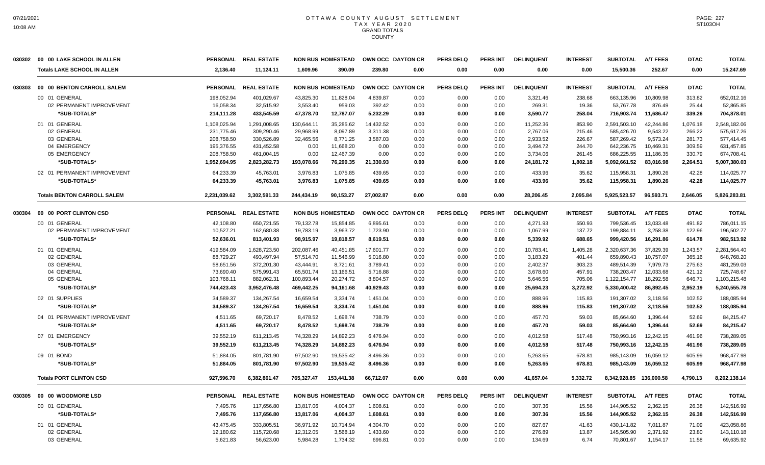|        | 030302 00 00 LAKE SCHOOL IN ALLEN  |              | PERSONAL REAL ESTATE |                      | <b>NON BUS HOMESTEAD</b> | OWN OCC DAYTON CR |      | <b>PERS DELQ</b> | <b>PERS INT</b> | <b>DELINQUENT</b> | <b>INTEREST</b> | <b>SUBTOTAL</b>        | <b>A/T FEES</b> | <b>DTAC</b> | <b>TOTAL</b> |
|--------|------------------------------------|--------------|----------------------|----------------------|--------------------------|-------------------|------|------------------|-----------------|-------------------|-----------------|------------------------|-----------------|-------------|--------------|
|        | <b>Totals LAKE SCHOOL IN ALLEN</b> | 2,136.40     | 11,124.11            | 1.609.96             | 390.09                   | 239.80            | 0.00 | 0.00             | 0.00            | 0.00              | 0.00            | 15,500.36              | 252.67          | 0.00        | 15,247.69    |
| 030303 | 00 00 BENTON CARROLL SALEM         |              | PERSONAL REAL ESTATE |                      | <b>NON BUS HOMESTEAD</b> | OWN OCC DAYTON CR |      | <b>PERS DELQ</b> | <b>PERS INT</b> | <b>DELINQUENT</b> | <b>INTEREST</b> | <b>SUBTOTAL</b>        | <b>A/T FEES</b> | <b>DTAC</b> | <b>TOTAL</b> |
|        | 00 01 GENERAL                      | 198,052.94   | 401,029.67           | 43,825.30            | 11,828.04                | 4,839.87          | 0.00 | 0.00             | 0.00            | 3,321.46          | 238.68          | 663,135.96             | 10,809.98       | 313.82      | 652,012.16   |
|        | 02 PERMANENT IMPROVEMENT           | 16,058.34    | 32,515.92            | 3,553.40             | 959.03                   | 392.42            | 0.00 | 0.00             | 0.00            | 269.31            | 19.36           | 53,767.78              | 876.49          | 25.44       | 52,865.85    |
|        | *SUB-TOTALS*                       | 214,111.28   | 433.545.59           | 47.378.70            | 12,787.07                | 5,232.29          | 0.00 | 0.00             | 0.00            | 3,590.77          | 258.04          | 716,903.74             | 11,686.47       | 339.26      | 704,878.01   |
|        | 01 01 GENERAL                      | 1,108,025.94 | 1,291,008.65         | 130,644.11           | 35,285.62                | 14,432.52         | 0.00 | 0.00             | 0.00            | 11,252.36         | 853.90          | 2,591,503.10           | 42,244.86       | 1,076.18    | 2,548,182.06 |
|        | 02 GENERAL                         | 231,775.46   | 309.290.46           | 29.968.99            | 8.097.89                 | 3.311.38          | 0.00 | 0.00             | 0.00            | 2.767.06          | 215.46          | 585.426.70             | 9,543.22        | 266.22      | 575,617.26   |
|        | 03 GENERAL                         | 208,758.50   | 330,526.89           | 32.465.56            | 8.771.25                 | 3,587.03          | 0.00 | 0.00             | 0.00            | 2,933.52          | 226.67          | 587.269.42             | 9.573.24        | 281.73      | 577,414.45   |
|        | 04 EMERGENCY                       | 195,376.55   | 431,452.58           | 0.00                 | 11,668.20                | 0.00              | 0.00 | 0.00             | 0.00            | 3,494.72          | 244.70          | 642,236.75             | 10,469.31       | 309.59      | 631,457.85   |
|        | 05 EMERGENCY                       | 208,758.50   | 461,004.15           | 0.00                 | 12,467.39                | 0.00              | 0.00 | 0.00             | 0.00            | 3,734.06          | 261.45          | 686,225.55             | 11,186.35       | 330.79      | 674,708.41   |
|        | *SUB-TOTALS*                       | 1,952,694.95 | 2,823,282.73         | 193,078.66           | 76,290.35                | 21,330.93         | 0.00 | 0.00             | 0.00            | 24,181.72         | 1,802.18        | 5,092,661.52           | 83,016.98       | 2,264.51    | 5,007,380.03 |
|        | 02 01 PERMANENT IMPROVEMENT        | 64,233.39    | 45,763.01            | 3,976.83             | 1.075.85                 | 439.65            | 0.00 | 0.00             | 0.00            | 433.96            | 35.62           | 115,958.31             | 1,890.26        | 42.28       | 114,025.77   |
|        | *SUB-TOTALS*                       | 64,233.39    | 45,763.01            | 3,976.83             | 1,075.85                 | 439.65            | 0.00 | 0.00             | 0.00            | 433.96            | 35.62           | 115,958.31             | 1,890.26        | 42.28       | 114.025.77   |
|        | <b>Totals BENTON CARROLL SALEM</b> | 2,231,039.62 | 3.302.591.33         | 244,434.19           | 90,153.27                | 27.002.87         | 0.00 | 0.00             | 0.00            | 28,206.45         | 2,095.84        | 5,925,523.57           | 96.593.71       | 2.646.05    | 5,826,283.81 |
| 030304 | 00 00 PORT CLINTON CSD             |              | PERSONAL REAL ESTATE |                      | <b>NON BUS HOMESTEAD</b> | OWN OCC DAYTON CR |      | <b>PERS DELQ</b> | PERS INT        | <b>DELINQUENT</b> | <b>INTEREST</b> | <b>SUBTOTAL</b>        | <b>A/T FEES</b> | <b>DTAC</b> | <b>TOTAL</b> |
|        | 00 01 GENERAL                      | 42,108.80    | 650,721.55           | 79,132.78            | 15,854.85                | 6,895.61          | 0.00 | 0.00             | 0.00            | 4,271.93          | 550.93          | 799,536.45             | 13,033.48       | 491.82      | 786,011.15   |
|        | 02 PERMANENT IMPROVEMENT           | 10,527.21    | 162,680.38           | 19,783.19            | 3,963.72                 | 1,723.90          | 0.00 | 0.00             | 0.00            | 1,067.99          | 137.72          | 199,884.11             | 3,258.38        | 122.96      | 196,502.77   |
|        | *SUB-TOTALS*                       | 52,636.01    | 813,401.93           | 98,915.97            | 19,818.57                | 8,619.51          | 0.00 | 0.00             | 0.00            | 5,339.92          | 688.65          | 999,420.56             | 16,291.86       | 614.78      | 982,513.92   |
|        | 01 01 GENERAL                      | 419,584.09   | 1,628,723.50         | 202,087.46           | 40,451.85                | 17,601.77         | 0.00 | 0.00             | 0.00            | 10,783.41         | 1,405.28        | 2,320,637.36           | 37,829.39       | 1,243.57    | 2,281,564.40 |
|        | 02 GENERAL                         | 88,729.27    | 493,497.94           | 57,514.70            | 11,546.99                | 5,016.80          | 0.00 | 0.00             | 0.00            | 3,183.29          | 401.44          | 659,890.43             | 10,757.07       | 365.16      | 648,768.20   |
|        | 03 GENERAL                         | 58,651.56    | 372,201.30           | 43,444.91            | 8,721.61                 | 3,789.41          | 0.00 | 0.00             | 0.00            | 2,402.37          | 303.23          | 489,514.39             | 7,979.73        | 275.63      | 481,259.03   |
|        | 04 GENERAL                         | 73,690.40    | 575,991.43           | 65,501.74            | 13,166.51                | 5,716.88          | 0.00 | 0.00             | 0.00            | 3,678.60          | 457.91          | 738,203.47             | 12,033.68       | 421.12      | 725,748.67   |
|        | 05 GENERAL                         | 103,768.11   | 882,062.31           | 100,893.44           | 20,274.72                | 8,804.57          | 0.00 | 0.00             | 0.00            | 5,646.56          | 705.06          | 1,122,154.77           | 18,292.58       | 646.71      | 1,103,215.48 |
|        | *SUB-TOTALS*                       | 744,423.43   | 3,952,476.48         | 469,442.25           | 94,161.68                | 40,929.43         | 0.00 | 0.00             | 0.00            | 25,694.23         | 3,272.92        | 5,330,400.42           | 86,892.45       | 2,952.19    | 5,240,555.78 |
|        | 02 01 SUPPLIES                     | 34,589.37    | 134,267.54           | 16,659.54            | 3,334.74                 | 1,451.04          | 0.00 | 0.00             | 0.00            | 888.96            | 115.83          | 191,307.02             | 3,118.56        | 102.52      | 188,085.94   |
|        | *SUB-TOTALS*                       | 34,589.37    | 134,267.54           | 16,659.54            | 3,334.74                 | 1,451.04          | 0.00 | 0.00             | 0.00            | 888.96            | 115.83          | 191,307.02             | 3,118.56        | 102.52      | 188,085.94   |
|        | 04 01 PERMANENT IMPROVEMENT        | 4,511.65     | 69,720.17            |                      | 1,698.74                 | 738.79            | 0.00 | 0.00             | 0.00            | 457.70            | 59.03           |                        | 1,396.44        | 52.69       | 84,215.47    |
|        | *SUB-TOTALS*                       | 4,511.65     | 69,720.17            | 8,478.52<br>8,478.52 | 1,698.74                 | 738.79            | 0.00 | 0.00             | 0.00            | 457.70            | 59.03           | 85,664.60<br>85,664.60 | 1,396.44        | 52.69       | 84,215.47    |
|        |                                    |              |                      |                      |                          |                   |      |                  |                 |                   |                 |                        |                 |             |              |
|        | 07 01 EMERGENCY                    | 39,552.19    | 611.213.45           | 74.328.29            | 14.892.23                | 6.476.94          | 0.00 | 0.00             | 0.00            | 4,012.58          | 517.48          | 750.993.16             | 12.242.15       | 461.96      | 738,289.05   |
|        | *SUB-TOTALS*                       | 39,552.19    | 611,213.45           | 74,328.29            | 14,892.23                | 6,476.94          | 0.00 | 0.00             | 0.00            | 4,012.58          | 517.48          | 750,993.16             | 12,242.15       | 461.96      | 738,289.05   |
|        | 09 01 BOND                         | 51,884.05    | 801,781.90           | 97,502.90            | 19,535.42                | 8,496.36          | 0.00 | 0.00             | 0.00            | 5,263.65          | 678.81          | 985,143.09             | 16,059.12       | 605.99      | 968,477.98   |
|        | *SUB-TOTALS*                       | 51,884.05    | 801,781.90           | 97.502.90            | 19.535.42                | 8,496.36          | 0.00 | 0.00             | 0.00            | 5,263.65          | 678.81          | 985,143.09             | 16,059.12       | 605.99      | 968,477.98   |
|        | <b>Totals PORT CLINTON CSD</b>     | 927,596.70   | 6,382,861.47         | 765,327.47           | 153,441.38               | 66,712.07         | 0.00 | 0.00             | 0.00            | 41,657.04         | 5,332.72        | 8,342,928.85           | 136,000.58      | 4,790.13    | 8,202,138.14 |
| 030305 | 00 00 WOODMORE LSD                 |              | PERSONAL REAL ESTATE |                      | <b>NON BUS HOMESTEAD</b> | OWN OCC DAYTON CR |      | <b>PERS DELQ</b> | <b>PERS INT</b> | <b>DELINQUENT</b> | <b>INTEREST</b> | <b>SUBTOTAL</b>        | <b>A/T FEES</b> | <b>DTAC</b> | <b>TOTAL</b> |
|        | 00 01 GENERAL                      | 7,495.76     | 117,656.80           | 13,817.06            | 4,004.37                 | 1,608.61          | 0.00 | 0.00             | 0.00            | 307.36            | 15.56           | 144,905.52             | 2,362.15        | 26.38       | 142,516.99   |
|        | *SUB-TOTALS*                       | 7,495.76     | 117,656.80           | 13,817.06            | 4,004.37                 | 1,608.61          | 0.00 | 0.00             | 0.00            | 307.36            | 15.56           | 144,905.52             | 2,362.15        | 26.38       | 142,516.99   |
|        | 01 01 GENERAL                      | 43,475.45    | 333,805.51           | 36,971.92            | 10.714.94                | 4.304.70          | 0.00 | 0.00             | 0.00            | 827.67            | 41.63           | 430.141.82             | 7.011.87        | 71.09       | 423,058.86   |
|        | 02 GENERAL                         | 12,180.62    | 115,720.68           | 12,312.05            | 3,568.19                 | 1,433.60          | 0.00 | 0.00             | 0.00            | 276.89            | 13.87           | 145,505.90             | 2,371.92        | 23.80       | 143,110.18   |
|        | 03 GENERAL                         | 5,621.83     | 56,623.00            | 5,984.28             | 1,734.32                 | 696.81            | 0.00 | 0.00             | 0.00            | 134.69            | 6.74            | 70,801.67              | 1,154.17        | 11.58       | 69,635.92    |
|        |                                    |              |                      |                      |                          |                   |      |                  |                 |                   |                 |                        |                 |             |              |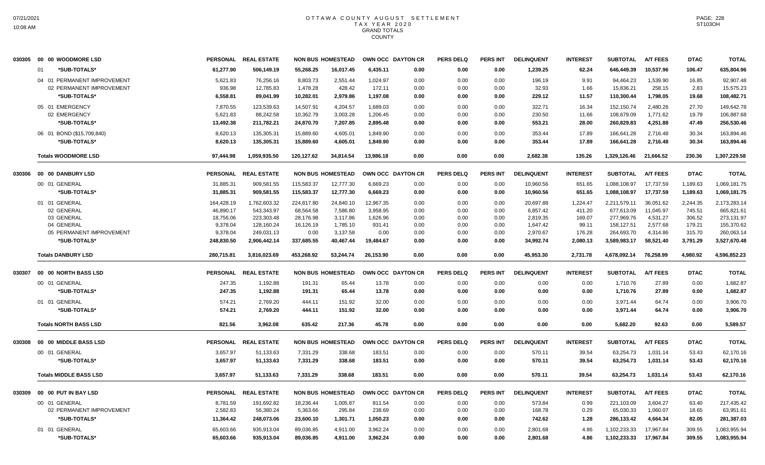|        | 030305 00 00 WOODMORE LSD     |                 | PERSONAL REAL ESTATE |            | <b>NON BUS HOMESTEAD</b> |           | OWN OCC DAYTON CR | <b>PERS DELQ</b> | <b>PERS INT</b> | <b>DELINQUENT</b> | <b>INTEREST</b> | <b>SUBTOTAL</b> | <b>A/T FEES</b> | <b>DTAC</b> | <b>TOTAL</b> |
|--------|-------------------------------|-----------------|----------------------|------------|--------------------------|-----------|-------------------|------------------|-----------------|-------------------|-----------------|-----------------|-----------------|-------------|--------------|
|        | *SUB-TOTALS*<br>01            | 61,277.90       | 506.149.19           | 55.268.25  | 16.017.45                | 6,435.11  | 0.00              | 0.00             | 0.00            | 1,239.25          | 62.24           | 646.449.39      | 10,537.96       | 106.47      | 635,804.96   |
|        | 04 01 PERMANENT IMPROVEMENT   | 5,621.83        | 76,256.16            | 8,803.73   | 2,551.44                 | 1,024.97  | 0.00              | 0.00             | 0.00            | 196.19            | 9.91            | 94,464.23       | 1,539.90        | 16.85       | 92,907.48    |
|        | 02 PERMANENT IMPROVEMENT      | 936.98          | 12,785.83            | 1,478.28   | 428.42                   | 172.11    | 0.00              | 0.00             | 0.00            | 32.93             | 1.66            | 15,836.21       | 258.15          | 2.83        | 15,575.23    |
|        | *SUB-TOTALS*                  | 6,558.81        | 89,041.99            | 10,282.01  | 2,979.86                 | 1,197.08  | 0.00              | 0.00             | 0.00            | 229.12            | 11.57           | 110,300.44      | 1,798.05        | 19.68       | 108,482.71   |
|        | 05 01 EMERGENCY               | 7,870.55        | 123,539.63           | 14,507.91  | 4,204.57                 | 1,689.03  | 0.00              | 0.00             | 0.00            | 322.71            | 16.34           | 152,150.74      | 2,480.26        | 27.70       | 149,642.78   |
|        | 02 EMERGENCY                  | 5,621.83        | 88,242.58            | 10,362.79  | 3,003.28                 | 1,206.45  | 0.00              | 0.00             | 0.00            | 230.50            | 11.66           | 108,679.09      | 1,771.62        | 19.79       | 106,887.68   |
|        | *SUB-TOTALS*                  | 13,492.38       | 211,782.21           | 24,870.70  | 7,207.85                 | 2,895.48  | 0.00              | 0.00             | 0.00            | 553.21            | 28.00           | 260,829.83      | 4,251.88        | 47.49       | 256,530.46   |
|        | 06 01 BOND (\$15,709,840)     | 8.620.13        | 135.305.31           | 15.889.60  | 4.605.01                 | 1.849.90  | 0.00              | 0.00             | 0.00            | 353.44            | 17.89           | 166.641.28      | 2.716.48        | 30.34       | 163,894.46   |
|        | *SUB-TOTALS*                  | 8,620.13        | 135,305.31           | 15,889.60  | 4,605.01                 | 1,849.90  | 0.00              | 0.00             | 0.00            | 353.44            | 17.89           | 166,641.28      | 2,716.48        | 30.34       | 163,894.46   |
|        | <b>Totals WOODMORE LSD</b>    | 97,444.98       | 1,059,935.50         | 120.127.62 | 34,814.54                | 13.986.18 | 0.00              | 0.00             | 0.00            | 2,682.38          | 135.26          | 1,329,126.46    | 21.666.52       | 230.36      | 1,307,229.58 |
| 030306 | 00 00 DANBURY LSD             | <b>PERSONAL</b> | <b>REAL ESTATE</b>   |            | <b>NON BUS HOMESTEAD</b> |           | OWN OCC DAYTON CR | <b>PERS DELQ</b> | <b>PERS INT</b> | <b>DELINQUENT</b> | <b>INTEREST</b> | <b>SUBTOTAL</b> | <b>A/T FEES</b> | <b>DTAC</b> | <b>TOTAL</b> |
|        | 00 01 GENERAL                 | 31,885.31       | 909,581.55           | 115,583.37 | 12,777.30                | 6,669.23  | 0.00              | 0.00             | 0.00            | 10,960.56         | 651.65          | 1,088,108.97    | 17,737.59       | 1,189.63    | 1,069,181.75 |
|        | *SUB-TOTALS*                  | 31,885.31       | 909,581.55           | 115,583.37 | 12,777.30                | 6,669.23  | 0.00              | 0.00             | 0.00            | 10,960.56         | 651.65          | 1,088,108.97    | 17,737.59       | 1,189.63    | 1,069,181.75 |
|        | 01 01 GENERAL                 | 164,428.19      | 1,762,603.32         | 224,817.80 | 24,840.10                | 12,967.35 | 0.00              | 0.00             | 0.00            | 20,697.88         | 1,224.47        | 2,211,579.11    | 36,051.62       | 2,244.35    | 2,173,283.14 |
|        | 02 GENERAL                    | 46,890.17       | 543,343.97           | 68,564.58  | 7,586.80                 | 3,958.95  | 0.00              | 0.00             | 0.00            | 6,857.42          | 411.20          | 677,613.09      | 11,045.97       | 745.51      | 665,821.61   |
|        | 03 GENERAL                    | 18,756.06       | 223,303.48           | 28,176.98  | 3,117.86                 | 1,626.96  | 0.00              | 0.00             | 0.00            | 2,819.35          | 169.07          | 277,969.76      | 4,531.27        | 306.52      | 273,131.97   |
|        | 04 GENERAL                    | 9,378.04        | 128,160.24           | 16,126.19  | 1,785.10                 | 931.41    | 0.00              | 0.00             | 0.00            | 1,647.42          | 99.11           | 158,127.51      | 2,577.68        | 179.21      | 155,370.62   |
|        | 05 PERMANENT IMPROVEMENT      | 9,378.04        | 249,031.13           | 0.00       | 3,137.58                 | 0.00      | 0.00              | 0.00             | 0.00            | 2,970.67          | 176.28          | 264,693.70      | 4,314.86        | 315.70      | 260,063.14   |
|        | *SUB-TOTALS*                  | 248.830.50      | 2,906,442.14         | 337,685.55 | 40.467.44                | 19.484.67 | 0.00              | 0.00             | 0.00            | 34,992.74         | 2.080.13        | 3,589,983.17    | 58,521.40       | 3,791.29    | 3,527,670.48 |
|        | <b>Totals DANBURY LSD</b>     | 280,715.81      | 3,816,023.69         | 453,268.92 | 53,244.74                | 26,153.90 | 0.00              | 0.00             | 0.00            | 45,953.30         | 2,731.78        | 4,678,092.14    | 76,258.99       | 4,980.92    | 4,596,852.23 |
| 030307 | 00 00 NORTH BASS LSD          | <b>PERSONAL</b> | <b>REAL ESTATE</b>   |            | <b>NON BUS HOMESTEAD</b> |           | OWN OCC DAYTON CR | <b>PERS DELQ</b> | PERS INT        | <b>DELINQUENT</b> | <b>INTEREST</b> | <b>SUBTOTAL</b> | <b>A/T FEES</b> | <b>DTAC</b> | <b>TOTAL</b> |
|        | 00 01 GENERAL                 | 247.35          | 1,192.88             | 191.31     | 65.44                    | 13.78     | 0.00              | 0.00             | 0.00            | 0.00              | 0.00            | 1,710.76        | 27.89           | 0.00        | 1,682.87     |
|        | *SUB-TOTALS*                  | 247.35          | 1,192.88             | 191.31     | 65.44                    | 13.78     | 0.00              | 0.00             | 0.00            | 0.00              | 0.00            | 1,710.76        | 27.89           | 0.00        | 1,682.87     |
|        | 01 01 GENERAL                 | 574.21          | 2,769.20             | 444.11     | 151.92                   | 32.00     | 0.00              | 0.00             | 0.00            | 0.00              | 0.00            | 3.971.44        | 64.74           | 0.00        | 3,906.70     |
|        | *SUB-TOTALS*                  | 574.21          | 2,769.20             | 444.11     | 151.92                   | 32.00     | 0.00              | 0.00             | 0.00            | 0.00              | 0.00            | 3,971.44        | 64.74           | 0.00        | 3,906.70     |
|        | <b>Totals NORTH BASS LSD</b>  | 821.56          | 3,962.08             | 635.42     | 217.36                   | 45.78     | 0.00              | 0.00             | 0.00            | 0.00              | 0.00            | 5,682.20        | 92.63           | 0.00        | 5,589.57     |
| 030308 | 00 00 MIDDLE BASS LSD         | <b>PERSONAL</b> | <b>REAL ESTATE</b>   |            | <b>NON BUS HOMESTEAD</b> |           | OWN OCC DAYTON CR | <b>PERS DELQ</b> | <b>PERS INT</b> | <b>DELINQUENT</b> | <b>INTEREST</b> | <b>SUBTOTAL</b> | <b>A/T FEES</b> | <b>DTAC</b> | <b>TOTAL</b> |
|        |                               |                 |                      |            |                          |           |                   |                  |                 |                   |                 |                 |                 |             |              |
|        | 00 01 GENERAL                 | 3,657.97        | 51,133.63            | 7,331.29   | 338.68                   | 183.51    | 0.00              | 0.00             | 0.00            | 570.11            | 39.54           | 63,254.73       | 1,031.14        | 53.43       | 62,170.16    |
|        | *SUB-TOTALS*                  | 3,657.97        | 51,133.63            | 7,331.29   | 338.68                   | 183.51    | 0.00              | 0.00             | 0.00            | 570.11            | 39.54           | 63,254.73       | 1,031.14        | 53.43       | 62,170.16    |
|        | <b>Totals MIDDLE BASS LSD</b> | 3,657.97        | 51,133.63            | 7,331.29   | 338.68                   | 183.51    | 0.00              | 0.00             | 0.00            | 570.11            | 39.54           | 63,254.73       | 1,031.14        | 53.43       | 62,170.16    |
| 030309 | 00 00 PUT IN BAY LSD          |                 | PERSONAL REAL ESTATE |            | <b>NON BUS HOMESTEAD</b> |           | OWN OCC DAYTON CR | <b>PERS DELQ</b> | PERS INT        | <b>DELINQUENT</b> | <b>INTEREST</b> | <b>SUBTOTAL</b> | A/T FEES        | <b>DTAC</b> | <b>TOTAL</b> |
|        | 00 01 GENERAL                 | 8,781.59        | 191,692.82           | 18,236.44  | 1,005.87                 | 811.54    | 0.00              | 0.00             | 0.00            | 573.84            | 0.99            | 221,103.09      | 3,604.27        | 63.40       | 217,435.42   |
|        | 02 PERMANENT IMPROVEMENT      | 2,582.83        | 56,380.24            | 5,363.66   | 295.84                   | 238.69    | 0.00              | 0.00             | 0.00            | 168.78            | 0.29            | 65,030.33       | 1,060.07        | 18.65       | 63,951.61    |
|        | *SUB-TOTALS*                  | 11,364.42       | 248,073.06           | 23,600.10  | 1,301.71                 | 1,050.23  | 0.00              | 0.00             | 0.00            | 742.62            | 1.28            | 286,133.42      | 4,664.34        | 82.05       | 281,387.03   |
|        | 01 01 GENERAL                 | 65,603.66       | 935.913.04           | 89.036.85  | 4.911.00                 | 3.962.24  | 0.00              | 0.00             | 0.00            | 2.801.68          | 4.86            | 1.102.233.33    | 17.967.84       | 309.55      | 1.083.955.94 |
|        | *SUB-TOTALS*                  | 65,603.66       | 935.913.04           | 89,036.85  | 4.911.00                 | 3,962.24  | 0.00              | 0.00             | 0.00            | 2,801.68          | 4.86            | 1,102,233.33    | 17,967.84       | 309.55      | 1,083,955.94 |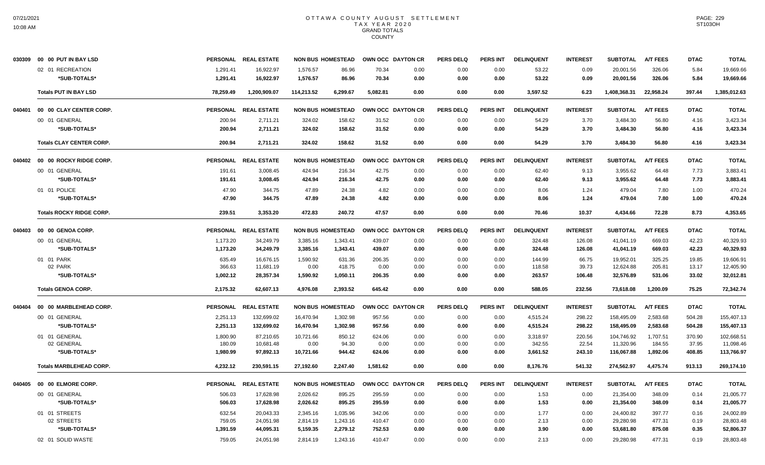|        | 030309 00 00 PUT IN BAY LSD     |           | PERSONAL REAL ESTATE |            | <b>NON BUS HOMESTEAD</b> |          | OWN OCC DAYTON CR | <b>PERS DELQ</b> | <b>PERS INT</b> | <b>DELINQUENT</b> | <b>INTEREST</b> | <b>SUBTOTAL</b> | <b>A/T FEES</b> | <b>DTAC</b> | <b>TOTAL</b> |
|--------|---------------------------------|-----------|----------------------|------------|--------------------------|----------|-------------------|------------------|-----------------|-------------------|-----------------|-----------------|-----------------|-------------|--------------|
|        | 02 01 RECREATION                | 1,291.41  | 16,922.97            | 1,576.57   | 86.96                    | 70.34    | 0.00              | 0.00             | 0.00            | 53.22             | 0.09            | 20,001.56       | 326.06          | 5.84        | 19,669.66    |
|        | *SUB-TOTALS*                    | 1,291.41  | 16,922.97            | 1,576.57   | 86.96                    | 70.34    | 0.00              | 0.00             | 0.00            | 53.22             | 0.09            | 20,001.56       | 326.06          | 5.84        | 19,669.66    |
|        | <b>Totals PUT IN BAY LSD</b>    | 78,259.49 | 1,200,909.07         | 114,213.52 | 6,299.67                 | 5,082.81 | 0.00              | 0.00             | 0.00            | 3,597.52          | 6.23            | 1,408,368.31    | 22,958.24       | 397.44      | 1,385,012.63 |
| 040401 | 00 00 CLAY CENTER CORP.         |           | PERSONAL REAL ESTATE |            | <b>NON BUS HOMESTEAD</b> |          | OWN OCC DAYTON CR | <b>PERS DELQ</b> | <b>PERS INT</b> | <b>DELINQUENT</b> | <b>INTEREST</b> | <b>SUBTOTAL</b> | <b>A/T FEES</b> | <b>DTAC</b> | <b>TOTAL</b> |
|        | 00 01 GENERAL                   | 200.94    | 2,711.21             | 324.02     | 158.62                   | 31.52    | 0.00              | 0.00             | 0.00            | 54.29             | 3.70            | 3,484.30        | 56.80           | 4.16        | 3,423.34     |
|        | *SUB-TOTALS*                    | 200.94    | 2,711.21             | 324.02     | 158.62                   | 31.52    | 0.00              | 0.00             | 0.00            | 54.29             | 3.70            | 3,484.30        | 56.80           | 4.16        | 3,423.34     |
|        | <b>Totals CLAY CENTER CORP.</b> | 200.94    | 2,711.21             | 324.02     | 158.62                   | 31.52    | 0.00              | 0.00             | 0.00            | 54.29             | 3.70            | 3,484.30        | 56.80           | 4.16        | 3,423.34     |
|        | 040402 00 00 ROCKY RIDGE CORP.  |           | PERSONAL REAL ESTATE |            | <b>NON BUS HOMESTEAD</b> |          | OWN OCC DAYTON CR | <b>PERS DELQ</b> | <b>PERS INT</b> | <b>DELINQUENT</b> | <b>INTEREST</b> | <b>SUBTOTAL</b> | <b>A/T FEES</b> | <b>DTAC</b> | <b>TOTAL</b> |
|        | 00 01 GENERAL                   | 191.61    | 3,008.45             | 424.94     | 216.34                   | 42.75    | 0.00              | 0.00             | 0.00            | 62.40             | 9.13            | 3.955.62        | 64.48           | 7.73        | 3.883.41     |
|        | *SUB-TOTALS*                    | 191.61    | 3,008.45             | 424.94     | 216.34                   | 42.75    | 0.00              | 0.00             | 0.00            | 62.40             | 9.13            | 3,955.62        | 64.48           | 7.73        | 3,883.41     |
|        | 01 01 POLICE                    | 47.90     | 344.75               | 47.89      | 24.38                    | 4.82     | 0.00              | 0.00             | 0.00            | 8.06              | 1.24            | 479.04          | 7.80            | 1.00        | 470.24       |
|        | *SUB-TOTALS*                    | 47.90     | 344.75               | 47.89      | 24.38                    | 4.82     | 0.00              | 0.00             | 0.00            | 8.06              | 1.24            | 479.04          | 7.80            | 1.00        | 470.24       |
|        | <b>Totals ROCKY RIDGE CORP.</b> | 239.51    | 3,353.20             | 472.83     | 240.72                   | 47.57    | 0.00              | 0.00             | 0.00            | 70.46             | 10.37           | 4,434.66        | 72.28           | 8.73        | 4,353.65     |
| 040403 | 00 00 GENOA CORP.               |           | PERSONAL REAL ESTATE |            | <b>NON BUS HOMESTEAD</b> |          | OWN OCC DAYTON CR | <b>PERS DELQ</b> | <b>PERS INT</b> | <b>DELINQUENT</b> | <b>INTEREST</b> | <b>SUBTOTAL</b> | <b>A/T FEES</b> | <b>DTAC</b> | <b>TOTAL</b> |
|        | 00 01 GENERAL                   | 1,173.20  | 34,249.79            | 3,385.16   | 1,343.41                 | 439.07   | 0.00              | 0.00             | 0.00            | 324.48            | 126.08          | 41,041.19       | 669.03          | 42.23       | 40,329.93    |
|        | *SUB-TOTALS*                    | 1,173.20  | 34,249.79            | 3,385.16   | 1,343.41                 | 439.07   | 0.00              | 0.00             | 0.00            | 324.48            | 126.08          | 41,041.19       | 669.03          | 42.23       | 40,329.93    |
|        | 01 01 PARK                      | 635.49    | 16,676.15            | 1,590.92   | 631.36                   | 206.35   | 0.00              | 0.00             | 0.00            | 144.99            | 66.75           | 19,952.01       | 325.25          | 19.85       | 19.606.91    |
|        | 02 PARK                         | 366.63    | 11,681.19            | 0.00       | 418.75                   | 0.00     | 0.00              | 0.00             | 0.00            | 118.58            | 39.73           | 12,624.88       | 205.81          | 13.17       | 12,405.90    |
|        | *SUB-TOTALS*                    | 1,002.12  | 28,357.34            | 1,590.92   | 1,050.11                 | 206.35   | 0.00              | 0.00             | 0.00            | 263.57            | 106.48          | 32,576.89       | 531.06          | 33.02       | 32,012.81    |
|        | <b>Totals GENOA CORP.</b>       | 2,175.32  | 62,607.13            | 4.976.08   | 2,393.52                 | 645.42   | 0.00              | 0.00             | 0.00            | 588.05            | 232.56          | 73,618.08       | 1.200.09        | 75.25       | 72,342.74    |
|        | 040404 00 00 MARBLEHEAD CORP.   |           | PERSONAL REAL ESTATE |            | <b>NON BUS HOMESTEAD</b> |          | OWN OCC DAYTON CR | <b>PERS DELQ</b> | <b>PERS INT</b> | <b>DELINQUENT</b> | <b>INTEREST</b> | <b>SUBTOTAL</b> | <b>A/T FEES</b> | <b>DTAC</b> | <b>TOTAL</b> |
|        | 00 01 GENERAL                   | 2,251.13  | 132,699.02           | 16,470.94  | 1,302.98                 | 957.56   | 0.00              | 0.00             | 0.00            | 4,515.24          | 298.22          | 158,495.09      | 2,583.68        | 504.28      | 155,407.13   |
|        | *SUB-TOTALS*                    | 2,251.13  | 132,699.02           | 16,470.94  | 1,302.98                 | 957.56   | 0.00              | 0.00             | 0.00            | 4,515.24          | 298.22          | 158,495.09      | 2,583.68        | 504.28      | 155,407.13   |
|        | 01 01 GENERAL                   | 1,800.90  | 87,210.65            | 10,721.66  | 850.12                   | 624.06   | 0.00              | 0.00             | 0.00            | 3,318.97          | 220.56          | 104,746.92      | 1,707.51        | 370.90      | 102,668.51   |
|        | 02 GENERAL                      | 180.09    | 10,681.48            | 0.00       | 94.30                    | 0.00     | 0.00              | 0.00             | 0.00            | 342.55            | 22.54           | 11,320.96       | 184.55          | 37.95       | 11,098.46    |
|        | *SUB-TOTALS*                    | 1,980.99  | 97,892.13            | 10,721.66  | 944.42                   | 624.06   | 0.00              | 0.00             | 0.00            | 3,661.52          | 243.10          | 116,067.88      | 1,892.06        | 408.85      | 113,766.97   |
|        | <b>Totals MARBLEHEAD CORP.</b>  | 4,232.12  | 230,591.15           | 27,192.60  | 2,247.40                 | 1,581.62 | 0.00              | 0.00             | 0.00            | 8,176.76          | 541.32          | 274,562.97      | 4,475.74        | 913.13      | 269,174.10   |
|        | 040405  00  00  ELMORE CORP.    |           | PERSONAL REAL ESTATE |            | <b>NON BUS HOMESTEAD</b> |          | OWN OCC DAYTON CR | <b>PERS DELQ</b> | <b>PERS INT</b> | <b>DELINQUENT</b> | <b>INTEREST</b> | <b>SUBTOTAL</b> | <b>A/T FEES</b> | <b>DTAC</b> | <b>TOTAL</b> |
|        | 00 01 GENERAL                   | 506.03    | 17,628.98            | 2,026.62   | 895.25                   | 295.59   | 0.00              | 0.00             | 0.00            | 1.53              | 0.00            | 21,354.00       | 348.09          | 0.14        | 21,005.77    |
|        | *SUB-TOTALS*                    | 506.03    | 17,628.98            | 2,026.62   | 895.25                   | 295.59   | 0.00              | 0.00             | 0.00            | 1.53              | 0.00            | 21,354.00       | 348.09          | 0.14        | 21,005.77    |
|        | 01 01 STREETS                   | 632.54    | 20,043.33            | 2,345.16   | 1,035.96                 | 342.06   | 0.00              | 0.00             | 0.00            | 1.77              | 0.00            | 24,400.82       | 397.77          | 0.16        | 24,002.89    |
|        | 02 STREETS                      | 759.05    | 24,051.98            | 2,814.19   | 1,243.16                 | 410.47   | 0.00              | 0.00             | 0.00            | 2.13              | 0.00            | 29,280.98       | 477.31          | 0.19        | 28,803.48    |
|        | *SUB-TOTALS*                    | 1,391.59  | 44,095.31            | 5,159.35   | 2,279.12                 | 752.53   | 0.00              | 0.00             | 0.00            | 3.90              | 0.00            | 53,681.80       | 875.08          | 0.35        | 52,806.37    |
|        | 02 01 SOLID WASTE               | 759.05    | 24,051.98            | 2,814.19   | 1,243.16                 | 410.47   | 0.00              | 0.00             | 0.00            | 2.13              | 0.00            | 29,280.98       | 477.31          | 0.19        | 28,803.48    |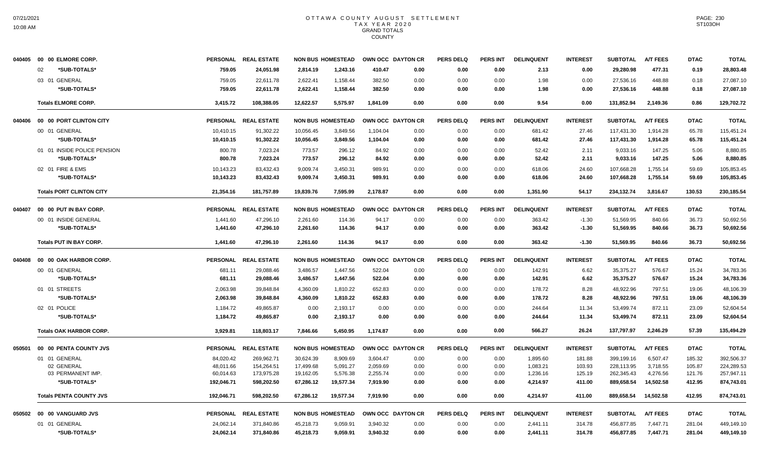|        | 040405 00 00 ELMORE CORP.       | <b>PERSONAL</b> | <b>REAL ESTATE</b>   |           | <b>NON BUS HOMESTEAD</b> | OWN OCC DAYTON CR |      | <b>PERS DELQ</b> | <b>PERS INT</b> | <b>DELINQUENT</b> | <b>INTEREST</b> | <b>SUBTOTAL</b> | <b>A/T FEES</b> | <b>DTAC</b> | <b>TOTAL</b> |
|--------|---------------------------------|-----------------|----------------------|-----------|--------------------------|-------------------|------|------------------|-----------------|-------------------|-----------------|-----------------|-----------------|-------------|--------------|
|        | *SUB-TOTALS*<br>02              | 759.05          | 24,051.98            | 2,814.19  | 1,243.16                 | 410.47            | 0.00 | 0.00             | 0.00            | 2.13              | 0.00            | 29,280.98       | 477.31          | 0.19        | 28,803.48    |
|        | 03 01 GENERAL                   | 759.05          | 22,611.78            | 2,622.41  | 1,158.44                 | 382.50            | 0.00 | 0.00             | 0.00            | 1.98              | 0.00            | 27,536.16       | 448.88          | 0.18        | 27,087.10    |
|        | *SUB-TOTALS*                    | 759.05          | 22,611.78            | 2,622.41  | 1,158.44                 | 382.50            | 0.00 | 0.00             | 0.00            | 1.98              | 0.00            | 27,536.16       | 448.88          | 0.18        | 27,087.10    |
|        | <b>Totals ELMORE CORP.</b>      | 3,415.72        | 108,388.05           | 12,622.57 | 5,575.97                 | 1,841.09          | 0.00 | 0.00             | 0.00            | 9.54              | 0.00            | 131,852.94      | 2,149.36        | 0.86        | 129,702.72   |
| 040406 | 00 00 PORT CLINTON CITY         | <b>PERSONAL</b> | <b>REAL ESTATE</b>   |           | <b>NON BUS HOMESTEAD</b> | OWN OCC DAYTON CR |      | <b>PERS DELQ</b> | <b>PERS INT</b> | <b>DELINQUENT</b> | <b>INTEREST</b> | <b>SUBTOTAL</b> | <b>A/T FEES</b> | <b>DTAC</b> | <b>TOTAL</b> |
|        | 00 01 GENERAL                   | 10,410.15       | 91,302.22            | 10,056.45 | 3,849.56                 | 1,104.04          | 0.00 | 0.00             | 0.00            | 681.42            | 27.46           | 117,431.30      | 1,914.28        | 65.78       | 115,451.24   |
|        | *SUB-TOTALS*                    | 10,410.15       | 91,302.22            | 10,056.45 | 3,849.56                 | 1,104.04          | 0.00 | 0.00             | 0.00            | 681.42            | 27.46           | 117,431.30      | 1,914.28        | 65.78       | 115,451.24   |
|        | 01 01 INSIDE POLICE PENSION     | 800.78          | 7,023.24             | 773.57    | 296.12                   | 84.92             | 0.00 | 0.00             | 0.00            | 52.42             | 2.11            | 9,033.16        | 147.25          | 5.06        | 8,880.85     |
|        | *SUB-TOTALS*                    | 800.78          | 7.023.24             | 773.57    | 296.12                   | 84.92             | 0.00 | 0.00             | 0.00            | 52.42             | 2.11            | 9,033.16        | 147.25          | 5.06        | 8,880.85     |
|        | 02 01 FIRE & EMS                | 10,143.23       | 83,432.43            | 9,009.74  | 3,450.31                 | 989.91            | 0.00 | 0.00             | 0.00            | 618.06            | 24.60           | 107,668.28      | 1,755.14        | 59.69       | 105,853.45   |
|        | *SUB-TOTALS*                    | 10,143.23       | 83,432.43            | 9,009.74  | 3,450.31                 | 989.91            | 0.00 | 0.00             | 0.00            | 618.06            | 24.60           | 107,668.28      | 1,755.14        | 59.69       | 105,853.45   |
|        | <b>Totals PORT CLINTON CITY</b> | 21,354.16       | 181,757.89           | 19,839.76 | 7,595.99                 | 2,178.87          | 0.00 | 0.00             | 0.00            | 1,351.90          | 54.17           | 234,132.74      | 3,816.67        | 130.53      | 230,185.54   |
| 040407 | 00 00 PUT IN BAY CORP.          | <b>PERSONAL</b> | <b>REAL ESTATE</b>   |           | <b>NON BUS HOMESTEAD</b> | OWN OCC DAYTON CR |      | <b>PERS DELQ</b> | <b>PERS INT</b> | <b>DELINQUENT</b> | <b>INTEREST</b> | <b>SUBTOTAL</b> | <b>A/T FEES</b> | <b>DTAC</b> | <b>TOTAL</b> |
|        | 00 01 INSIDE GENERAL            | 1,441.60        | 47,296.10            | 2,261.60  | 114.36                   | 94.17             | 0.00 | 0.00             | 0.00            | 363.42            | $-1.30$         | 51,569.95       | 840.66          | 36.73       | 50,692.56    |
|        | *SUB-TOTALS*                    | 1.441.60        | 47,296.10            | 2.261.60  | 114.36                   | 94.17             | 0.00 | 0.00             | 0.00            | 363.42            | $-1.30$         | 51.569.95       | 840.66          | 36.73       | 50,692.56    |
|        | <b>Totals PUT IN BAY CORP.</b>  | 1,441.60        | 47,296.10            | 2,261.60  | 114.36                   | 94.17             | 0.00 | 0.00             | 0.00            | 363.42            | $-1.30$         | 51,569.95       | 840.66          | 36.73       | 50,692.56    |
| 040408 | 00 00 OAK HARBOR CORP.          |                 | PERSONAL REAL ESTATE |           | <b>NON BUS HOMESTEAD</b> | OWN OCC DAYTON CR |      | <b>PERS DELQ</b> | <b>PERS INT</b> | <b>DELINQUENT</b> | <b>INTEREST</b> | <b>SUBTOTAL</b> | <b>A/T FEES</b> | <b>DTAC</b> | <b>TOTAL</b> |
|        | 00 01 GENERAL                   | 681.11          | 29,088.46            | 3,486.57  | 1,447.56                 | 522.04            | 0.00 | 0.00             | 0.00            | 142.91            | 6.62            | 35,375.27       | 576.67          | 15.24       | 34,783.36    |
|        | *SUB-TOTALS*                    | 681.11          | 29,088.46            | 3,486.57  | 1,447.56                 | 522.04            | 0.00 | 0.00             | 0.00            | 142.91            | 6.62            | 35,375.27       | 576.67          | 15.24       | 34,783.36    |
|        | 01 01 STREETS                   | 2,063.98        | 39,848.84            | 4,360.09  | 1,810.22                 | 652.83            | 0.00 | 0.00             | 0.00            | 178.72            | 8.28            | 48,922.96       | 797.51          | 19.06       | 48,106.39    |
|        | *SUB-TOTALS*                    | 2,063.98        | 39,848.84            | 4,360.09  | 1,810.22                 | 652.83            | 0.00 | 0.00             | 0.00            | 178.72            | 8.28            | 48,922.96       | 797.51          | 19.06       | 48,106.39    |
|        | 02 01 POLICE                    | 1,184.72        | 49,865.87            | 0.00      | 2,193.17                 | 0.00              | 0.00 | 0.00             | 0.00            | 244.64            | 11.34           | 53,499.74       | 872.11          | 23.09       | 52,604.54    |
|        | *SUB-TOTALS*                    | 1,184.72        | 49.865.87            | 0.00      | 2,193.17                 | 0.00              | 0.00 | 0.00             | 0.00            | 244.64            | 11.34           | 53,499.74       | 872.11          | 23.09       | 52,604.54    |
|        | <b>Totals OAK HARBOR CORP.</b>  | 3,929.81        | 118,803.17           | 7,846.66  | 5,450.95                 | 1,174.87          | 0.00 | 0.00             | 0.00            | 566.27            | 26.24           | 137,797.97      | 2,246.29        | 57.39       | 135,494.29   |
| 050501 | 00 00 PENTA COUNTY JVS          |                 | PERSONAL REAL ESTATE |           | <b>NON BUS HOMESTEAD</b> | OWN OCC DAYTON CR |      | <b>PERS DELQ</b> | <b>PERS INT</b> | <b>DELINQUENT</b> | <b>INTEREST</b> | <b>SUBTOTAL</b> | <b>A/T FEES</b> | <b>DTAC</b> | <b>TOTAL</b> |
|        | 01 01 GENERAL                   | 84,020.42       | 269,962.71           | 30,624.39 | 8,909.69                 | 3,604.47          | 0.00 | 0.00             | 0.00            | 1,895.60          | 181.88          | 399.199.16      | 6,507.47        | 185.32      | 392,506.37   |
|        | 02 GENERAL                      | 48,011.66       | 154,264.51           | 17,499.68 | 5,091.27                 | 2,059.69          | 0.00 | 0.00             | 0.00            | 1,083.21          | 103.93          | 228,113.95      | 3,718.55        | 105.87      | 224,289.53   |
|        | 03 PERMANENT IMP.               | 60,014.63       | 173,975.28           | 19,162.05 | 5,576.38                 | 2,255.74          | 0.00 | 0.00             | 0.00            | 1,236.16          | 125.19          | 262,345.43      | 4,276.56        | 121.76      | 257,947.11   |
|        | *SUB-TOTALS*                    | 192,046.71      | 598,202.50           | 67,286.12 | 19,577.34                | 7,919.90          | 0.00 | 0.00             | 0.00            | 4,214.97          | 411.00          | 889,658.54      | 14,502.58       | 412.95      | 874,743.01   |
|        | <b>Totals PENTA COUNTY JVS</b>  | 192.046.71      | 598.202.50           | 67.286.12 | 19,577.34                | 7.919.90          | 0.00 | 0.00             | 0.00            | 4.214.97          | 411.00          | 889.658.54      | 14.502.58       | 412.95      | 874,743.01   |
|        | 050502 00 00 VANGUARD JVS       | <b>PERSONAL</b> | <b>REAL ESTATE</b>   |           | <b>NON BUS HOMESTEAD</b> | OWN OCC DAYTON CR |      | <b>PERS DELQ</b> | <b>PERS INT</b> | <b>DELINQUENT</b> | <b>INTEREST</b> | <b>SUBTOTAL</b> | <b>A/T FEES</b> | <b>DTAC</b> | <b>TOTAL</b> |
|        | 01 01 GENERAL                   | 24,062.14       | 371,840.86           | 45,218.73 | 9,059.91                 | 3,940.32          | 0.00 | 0.00             | 0.00            | 2,441.11          | 314.78          | 456,877.85      | 7,447.71        | 281.04      | 449,149.10   |
|        | *SUB-TOTALS*                    | 24,062.14       | 371,840.86           | 45,218.73 | 9,059.91                 | 3,940.32          | 0.00 | 0.00             | 0.00            | 2,441.11          | 314.78          | 456,877.85      | 7,447.71        | 281.04      | 449,149.10   |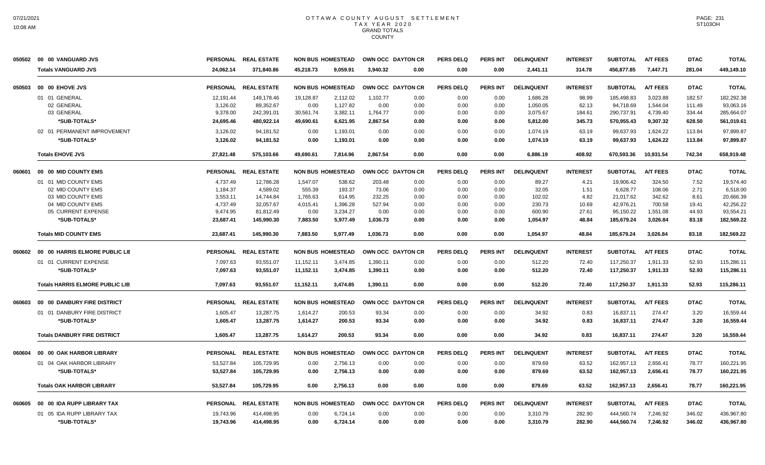| 050502 | 00 00 VANGUARD JVS                     |                 | PERSONAL REAL ESTATE | <b>NON BUS HOMESTEAD</b> |                          | OWN OCC DAYTON CR |      | <b>PERS DELQ</b> | <b>PERS INT</b> | <b>DELINQUENT</b> | <b>INTEREST</b> | <b>SUBTOTAL</b> | <b>A/T FEES</b> | <b>DTAC</b> | <b>TOTAL</b> |
|--------|----------------------------------------|-----------------|----------------------|--------------------------|--------------------------|-------------------|------|------------------|-----------------|-------------------|-----------------|-----------------|-----------------|-------------|--------------|
|        | <b>Totals VANGUARD JVS</b>             | 24,062.14       | 371,840.86           | 45,218.73                | 9,059.91                 | 3,940.32          | 0.00 | 0.00             | 0.00            | 2,441.11          | 314.78          | 456,877.85      | 7,447.71        | 281.04      | 449,149.10   |
| 050503 | 00 00 EHOVE JVS                        | <b>PERSONAL</b> | <b>REAL ESTATE</b>   |                          | <b>NON BUS HOMESTEAD</b> | OWN OCC DAYTON CR |      | <b>PERS DELQ</b> | PERS INT        | <b>DELINQUENT</b> | <b>INTEREST</b> | <b>SUBTOTAL</b> | <b>A/T FEES</b> | <b>DTAC</b> | <b>TOTAL</b> |
|        | 01 01 GENERAL                          | 12,191.44       | 149,178.46           | 19,128.87                | 2,112.02                 | 1,102.77          | 0.00 | 0.00             | 0.00            | 1,686.28          | 98.99           | 185,498.83      | 3,023.88        | 182.57      | 182,292.38   |
|        | 02 GENERAL                             | 3,126.02        | 89,352.67            | 0.00                     | 1,127.82                 | 0.00              | 0.00 | 0.00             | 0.00            | 1,050.05          | 62.13           | 94.718.69       | 1.544.04        | 111.49      | 93,063.16    |
|        | 03 GENERAL                             | 9,378.00        | 242,391.01           | 30,561.74                | 3,382.11                 | 1,764.77          | 0.00 | 0.00             | 0.00            | 3,075.67          | 184.61          | 290,737.91      | 4,739.40        | 334.44      | 285,664.07   |
|        | *SUB-TOTALS*                           | 24,695.46       | 480,922.14           | 49,690.61                | 6,621.95                 | 2,867.54          | 0.00 | 0.00             | 0.00            | 5,812.00          | 345.73          | 570,955.43      | 9,307.32        | 628.50      | 561,019.61   |
|        | 02 01 PERMANENT IMPROVEMENT            | 3,126.02        | 94,181.52            | 0.00                     | 1,193.01                 | 0.00              | 0.00 | 0.00             | 0.00            | 1,074.19          | 63.19           | 99,637.93       | 1,624.22        | 113.84      | 97,899.87    |
|        | *SUB-TOTALS*                           | 3,126.02        | 94,181.52            | 0.00                     | 1,193.01                 | 0.00              | 0.00 | 0.00             | 0.00            | 1,074.19          | 63.19           | 99,637.93       | 1,624.22        | 113.84      | 97,899.87    |
|        | <b>Totals EHOVE JVS</b>                | 27,821.48       | 575,103.66           | 49,690.61                | 7,814.96                 | 2,867.54          | 0.00 | 0.00             | 0.00            | 6,886.19          | 408.92          | 670,593.36      | 10,931.54       | 742.34      | 658,919.48   |
| 060601 | 00 00 MID COUNTY EMS                   |                 | PERSONAL REAL ESTATE |                          | <b>NON BUS HOMESTEAD</b> | OWN OCC DAYTON CR |      | <b>PERS DELQ</b> | <b>PERS INT</b> | <b>DELINQUENT</b> | <b>INTEREST</b> | <b>SUBTOTAL</b> | <b>A/T FEES</b> | <b>DTAC</b> | <b>TOTAL</b> |
|        | 01 01 MID COUNTY EMS                   | 4.737.49        | 12,786.28            | 1,547.07                 | 538.62                   | 203.48            | 0.00 | 0.00             | 0.00            | 89.27             | 4.21            | 19.906.42       | 324.50          | 7.52        | 19.574.40    |
|        | 02 MID COUNTY EMS                      | 1,184.37        | 4,589.02             | 555.39                   | 193.37                   | 73.06             | 0.00 | 0.00             | 0.00            | 32.05             | 1.51            | 6,628.77        | 108.06          | 2.71        | 6,518.00     |
|        | 03 MID COUNTY EMS                      | 3,553.11        | 14,744.84            | 1,765.63                 | 614.95                   | 232.25            | 0.00 | 0.00             | 0.00            | 102.02            | 4.82            | 21,017.62       | 342.62          | 8.61        | 20,666.39    |
|        | 04 MID COUNTY EMS                      | 4,737.49        | 32,057.67            | 4,015.41                 | 1,396.28                 | 527.94            | 0.00 | 0.00             | 0.00            | 230.73            | 10.69           | 42,976.21       | 700.58          | 19.41       | 42,256.22    |
|        | 05 CURRENT EXPENSE                     | 9,474.95        | 81,812.49            | 0.00                     | 3,234.27                 | 0.00              | 0.00 | 0.00             | 0.00            | 600.90            | 27.61           | 95,150.22       | 1,551.08        | 44.93       | 93,554.21    |
|        | *SUB-TOTALS*                           | 23,687.41       | 145,990.30           | 7,883.50                 | 5,977.49                 | 1,036.73          | 0.00 | 0.00             | 0.00            | 1,054.97          | 48.84           | 185,679.24      | 3,026.84        | 83.18       | 182,569.22   |
|        | <b>Totals MID COUNTY EMS</b>           | 23,687.41       | 145.990.30           | 7,883.50                 | 5,977.49                 | 1,036.73          | 0.00 | 0.00             | 0.00            | 1,054.97          | 48.84           | 185,679.24      | 3,026.84        | 83.18       | 182,569.22   |
| 060602 | 00 00 HARRIS ELMORE PUBLIC LIE         |                 | PERSONAL REAL ESTATE |                          | <b>NON BUS HOMESTEAD</b> | OWN OCC DAYTON CR |      | <b>PERS DELQ</b> | <b>PERS INT</b> | <b>DELINQUENT</b> | <b>INTEREST</b> | <b>SUBTOTAL</b> | <b>A/T FEES</b> | <b>DTAC</b> | <b>TOTAL</b> |
|        | 01 01 CURRENT EXPENSE                  | 7,097.63        | 93,551.07            | 11,152.11                | 3,474.85                 | 1,390.11          | 0.00 | 0.00             | 0.00            | 512.20            | 72.40           | 117,250.37      | 1,911.33        | 52.93       | 115,286.11   |
|        | *SUB-TOTALS*                           | 7,097.63        | 93,551.07            | 11,152.11                | 3,474.85                 | 1,390.11          | 0.00 | 0.00             | 0.00            | 512.20            | 72.40           | 117,250.37      | 1,911.33        | 52.93       | 115,286.11   |
|        | <b>Totals HARRIS ELMORE PUBLIC LIB</b> | 7.097.63        | 93.551.07            | 11.152.11                | 3.474.85                 | 1.390.11          | 0.00 | 0.00             | 0.00            | 512.20            | 72.40           | 117,250.37      | 1.911.33        | 52.93       | 115,286.11   |
| 060603 | 00 00 DANBURY FIRE DISTRICT            |                 | PERSONAL REAL ESTATE |                          | <b>NON BUS HOMESTEAD</b> | OWN OCC DAYTON CR |      | <b>PERS DELQ</b> | <b>PERS INT</b> | <b>DELINQUENT</b> | <b>INTEREST</b> | <b>SUBTOTAL</b> | <b>A/T FEES</b> | <b>DTAC</b> | <b>TOTAL</b> |
|        | 01 01 DANBURY FIRE DISTRICT            | 1,605.47        | 13,287.75            | 1,614.27                 | 200.53                   | 93.34             | 0.00 | 0.00             | 0.00            | 34.92             | 0.83            | 16,837.11       | 274.47          | 3.20        | 16,559.44    |
|        | *SUB-TOTALS*                           | 1.605.47        | 13,287.75            | 1,614.27                 | 200.53                   | 93.34             | 0.00 | 0.00             | 0.00            | 34.92             | 0.83            | 16,837.11       | 274.47          | 3.20        | 16.559.44    |
|        | <b>Totals DANBURY FIRE DISTRICT</b>    | 1,605.47        | 13,287.75            | 1,614.27                 | 200.53                   | 93.34             | 0.00 | 0.00             | 0.00            | 34.92             | 0.83            | 16,837.11       | 274.47          | 3.20        | 16,559.44    |
| 060604 | 00 00 OAK HARBOR LIBRARY               | <b>PERSONAL</b> | <b>REAL ESTATE</b>   |                          | <b>NON BUS HOMESTEAD</b> | OWN OCC DAYTON CR |      | <b>PERS DELQ</b> | <b>PERS INT</b> | <b>DELINQUENT</b> | <b>INTEREST</b> | <b>SUBTOTAL</b> | <b>A/T FEES</b> | <b>DTAC</b> | <b>TOTAL</b> |
|        | 01 04 OAK HARBOR LIBRARY               | 53,527.84       | 105.729.95           | 0.00                     | 2,756.13                 | 0.00              | 0.00 | 0.00             | 0.00            | 879.69            | 63.52           | 162.957.13      | 2.656.41        | 78.77       | 160,221.95   |
|        | *SUB-TOTALS*                           | 53,527.84       | 105,729.95           | 0.00                     | 2,756.13                 | 0.00              | 0.00 | 0.00             | 0.00            | 879.69            | 63.52           | 162,957.13      | 2,656.41        | 78.77       | 160,221.95   |
|        | <b>Totals OAK HARBOR LIBRARY</b>       | 53,527.84       | 105.729.95           | 0.00                     | 2,756.13                 | 0.00              | 0.00 | 0.00             | 0.00            | 879.69            | 63.52           | 162,957.13      | 2,656.41        | 78.77       | 160,221.95   |
| 060605 | 00 00 IDA RUPP LIBRARY TAX             | <b>PERSONAL</b> | <b>REAL ESTATE</b>   |                          | <b>NON BUS HOMESTEAD</b> | OWN OCC DAYTON CR |      | <b>PERS DELQ</b> | <b>PERS INT</b> | <b>DELINQUENT</b> | <b>INTEREST</b> | <b>SUBTOTAL</b> | <b>A/T FEES</b> | <b>DTAC</b> | <b>TOTAL</b> |
|        | 01 05 IDA RUPP LIBRARY TAX             | 19,743.96       | 414,498.95           | 0.00                     | 6,724.14                 | 0.00              | 0.00 | 0.00             | 0.00            | 3,310.79          | 282.90          | 444,560.74      | 7,246.92        | 346.02      | 436,967.80   |
|        | *SUB-TOTALS*                           | 19,743.96       | 414,498.95           | 0.00                     | 6,724.14                 | 0.00              | 0.00 | 0.00             | 0.00            | 3,310.79          | 282.90          | 444,560.74      | 7,246.92        | 346.02      | 436,967.80   |
|        |                                        |                 |                      |                          |                          |                   |      |                  |                 |                   |                 |                 |                 |             |              |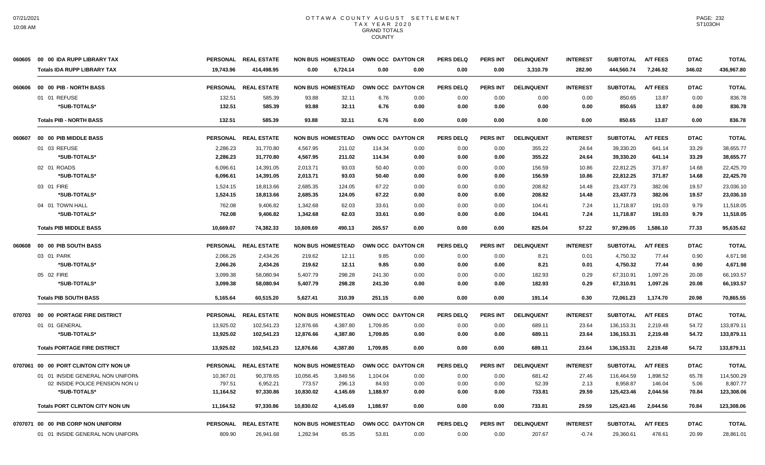| 060605 | 00 00 IDA RUPP LIBRARY TAX             |                 | PERSONAL REAL ESTATE |           | <b>NON BUS HOMESTEAD</b> |          | OWN OCC DAYTON CR | <b>PERS DELQ</b> | <b>PERS INT</b> | <b>DELINQUENT</b> | <b>INTEREST</b> | <b>SUBTOTAL</b> | <b>A/T FEES</b> | <b>DTAC</b> | <b>TOTAL</b> |
|--------|----------------------------------------|-----------------|----------------------|-----------|--------------------------|----------|-------------------|------------------|-----------------|-------------------|-----------------|-----------------|-----------------|-------------|--------------|
|        | <b>Totals IDA RUPP LIBRARY TAX</b>     | 19.743.96       | 414,498.95           | 0.00      | 6,724.14                 | 0.00     | 0.00              | 0.00             | 0.00            | 3,310.79          | 282.90          | 444,560.74      | 7,246.92        | 346.02      | 436,967.80   |
| 060606 | 00 00 PIB - NORTH BASS                 |                 | PERSONAL REAL ESTATE |           | <b>NON BUS HOMESTEAD</b> |          | OWN OCC DAYTON CR | <b>PERS DELO</b> | <b>PERS INT</b> | <b>DELINQUENT</b> | <b>INTEREST</b> | <b>SUBTOTAL</b> | <b>A/T FEES</b> | <b>DTAC</b> | <b>TOTAL</b> |
|        | 01 01 REFUSE                           | 132.51          | 585.39               | 93.88     | 32.11                    | 6.76     | 0.00              | 0.00             | 0.00            | 0.00              | 0.00            | 850.65          | 13.87           | 0.00        | 836.78       |
|        | *SUB-TOTALS*                           | 132.51          | 585.39               | 93.88     | 32.11                    | 6.76     | 0.00              | 0.00             | 0.00            | 0.00              | 0.00            | 850.65          | 13.87           | 0.00        | 836.78       |
|        | <b>Totals PIB - NORTH BASS</b>         | 132.51          | 585.39               | 93.88     | 32.11                    | 6.76     | 0.00              | 0.00             | 0.00            | 0.00              | 0.00            | 850.65          | 13.87           | 0.00        | 836.78       |
| 060607 | 00 00 PIB MIDDLE BASS                  | <b>PERSONAL</b> | <b>REAL ESTATE</b>   |           | <b>NON BUS HOMESTEAD</b> |          | OWN OCC DAYTON CR | PERS DELO        | <b>PERS INT</b> | <b>DELINQUENT</b> | <b>INTEREST</b> | <b>SUBTOTAL</b> | <b>A/T FEES</b> | <b>DTAC</b> | <b>TOTAL</b> |
|        | 01 03 REFUSE                           | 2,286.23        | 31,770.80            | 4,567.95  | 211.02                   | 114.34   | 0.00              | 0.00             | 0.00            | 355.22            | 24.64           | 39,330.20       | 641.14          | 33.29       | 38,655.77    |
|        | *SUB-TOTALS*                           | 2,286.23        | 31,770.80            | 4,567.95  | 211.02                   | 114.34   | 0.00              | 0.00             | 0.00            | 355.22            | 24.64           | 39,330.20       | 641.14          | 33.29       | 38,655.77    |
|        | 02 01 ROADS                            | 6,096.61        | 14,391.05            | 2,013.71  | 93.03                    | 50.40    | 0.00              | 0.00             | 0.00            | 156.59            | 10.86           | 22,812.25       | 371.87          | 14.68       | 22,425.70    |
|        | *SUB-TOTALS*                           | 6,096.61        | 14,391.05            | 2,013.71  | 93.03                    | 50.40    | 0.00              | 0.00             | 0.00            | 156.59            | 10.86           | 22,812.25       | 371.87          | 14.68       | 22,425.70    |
|        | 03 01 FIRE                             | 1,524.15        | 18,813.66            | 2,685.35  | 124.05                   | 67.22    | 0.00              | 0.00             | 0.00            | 208.82            | 14.48           | 23,437.73       | 382.06          | 19.57       | 23,036.10    |
|        | *SUB-TOTALS*                           | 1,524.15        | 18,813.66            | 2.685.35  | 124.05                   | 67.22    | 0.00              | 0.00             | 0.00            | 208.82            | 14.48           | 23,437.73       | 382.06          | 19.57       | 23.036.10    |
|        | 04 01 TOWN HALL                        | 762.08          | 9,406.82             | 1,342.68  | 62.03                    | 33.61    | 0.00              | 0.00             | 0.00            | 104.41            | 7.24            | 11,718.87       | 191.03          | 9.79        | 11,518.05    |
|        | *SUB-TOTALS*                           | 762.08          | 9,406.82             | 1,342.68  | 62.03                    | 33.61    | 0.00              | 0.00             | 0.00            | 104.41            | 7.24            | 11,718.87       | 191.03          | 9.79        | 11,518.05    |
|        | <b>Totals PIB MIDDLE BASS</b>          | 10,669.07       | 74.382.33            | 10.609.69 | 490.13                   | 265.57   | 0.00              | 0.00             | 0.00            | 825.04            | 57.22           | 97,299.05       | 1,586.10        | 77.33       | 95,635.62    |
| 060608 | 00 00 PIB SOUTH BASS                   | <b>PERSONAL</b> | <b>REAL ESTATE</b>   |           | <b>NON BUS HOMESTEAD</b> |          | OWN OCC DAYTON CR | <b>PERS DELQ</b> | <b>PERS INT</b> | <b>DELINQUENT</b> | <b>INTEREST</b> | <b>SUBTOTAL</b> | <b>A/T FEES</b> | <b>DTAC</b> | <b>TOTAL</b> |
|        | 03 01 PARK                             | 2,066.26        | 2,434.26             | 219.62    | 12.11                    | 9.85     | 0.00              | 0.00             | 0.00            | 8.21              | 0.01            | 4,750.32        | 77.44           | 0.90        | 4,671.98     |
|        | *SUB-TOTALS*                           | 2.066.26        | 2.434.26             | 219.62    | 12.11                    | 9.85     | 0.00              | 0.00             | 0.00            | 8.21              | 0.01            | 4,750.32        | 77.44           | 0.90        | 4,671.98     |
|        | 05 02 FIRE                             | 3,099.38        | 58,080.94            | 5,407.79  | 298.28                   | 241.30   | 0.00              | 0.00             | 0.00            | 182.93            | 0.29            | 67,310.91       | 1,097.26        | 20.08       | 66,193.57    |
|        | *SUB-TOTALS*                           | 3,099.38        | 58,080.94            | 5,407.79  | 298.28                   | 241.30   | 0.00              | 0.00             | 0.00            | 182.93            | 0.29            | 67,310.91       | 1,097.26        | 20.08       | 66,193.57    |
|        | <b>Totals PIB SOUTH BASS</b>           | 5,165.64        | 60,515.20            | 5,627.41  | 310.39                   | 251.15   | 0.00              | 0.00             | 0.00            | 191.14            | 0.30            | 72,061.23       | 1,174.70        | 20.98       | 70,865.55    |
| 070703 | 00 00 PORTAGE FIRE DISTRICT            | <b>PERSONAL</b> | <b>REAL ESTATE</b>   |           | <b>NON BUS HOMESTEAD</b> |          | OWN OCC DAYTON CR | <b>PERS DELQ</b> | <b>PERS INT</b> | <b>DELINQUENT</b> | <b>INTEREST</b> | <b>SUBTOTAL</b> | <b>A/T FEES</b> | <b>DTAC</b> | <b>TOTAL</b> |
|        | 01 01 GENERAL                          | 13,925.02       | 102,541.23           | 12,876.66 | 4,387.80                 | 1,709.85 | 0.00              | 0.00             | 0.00            | 689.11            | 23.64           | 136,153.31      | 2,219.48        | 54.72       | 133,879.11   |
|        | *SUB-TOTALS*                           | 13,925.02       | 102,541.23           | 12,876.66 | 4,387.80                 | 1,709.85 | 0.00              | 0.00             | 0.00            | 689.11            | 23.64           | 136,153.31      | 2,219.48        | 54.72       | 133,879.11   |
|        | <b>Totals PORTAGE FIRE DISTRICT</b>    | 13.925.02       | 102,541.23           | 12,876.66 | 4,387.80                 | 1.709.85 | 0.00              | 0.00             | 0.00            | 689.11            | 23.64           | 136,153.31      | 2.219.48        | 54.72       | 133,879.11   |
|        | 0707061 00 00 PORT CLINTON CITY NON UN |                 | PERSONAL REAL ESTATE |           | <b>NON BUS HOMESTEAD</b> |          | OWN OCC DAYTON CR | <b>PERS DELQ</b> | <b>PERS INT</b> | <b>DELINQUENT</b> | <b>INTEREST</b> | <b>SUBTOTAL</b> | <b>A/T FEES</b> | <b>DTAC</b> | <b>TOTAL</b> |
|        | 01 01 INSIDE GENERAL NON UNIFORM       | 10,367.01       | 90,378.65            | 10,056.45 | 3,849.56                 | 1,104.04 | 0.00              | 0.00             | 0.00            | 681.42            | 27.46           | 116,464.59      | 1,898.52        | 65.78       | 114,500.29   |
|        | 02 INSIDE POLICE PENSION NON U         | 797.51          | 6,952.21             | 773.57    | 296.13                   | 84.93    | 0.00              | 0.00             | 0.00            | 52.39             | 2.13            | 8,958.87        | 146.04          | 5.06        | 8,807.77     |
|        | *SUB-TOTALS*                           | 11,164.52       | 97,330.86            | 10,830.02 | 4,145.69                 | 1,188.97 | 0.00              | 0.00             | 0.00            | 733.81            | 29.59           | 125,423.46      | 2,044.56        | 70.84       | 123,308.06   |
|        | <b>Totals PORT CLINTON CITY NON UN</b> | 11.164.52       | 97,330.86            | 10.830.02 | 4.145.69                 | 1.188.97 | 0.00              | 0.00             | 0.00            | 733.81            | 29.59           | 125,423.46      | 2.044.56        | 70.84       | 123,308.06   |
|        | 0707071 00 00 PIB CORP NON UNIFORM     |                 | PERSONAL REAL ESTATE |           | <b>NON BUS HOMESTEAD</b> |          | OWN OCC DAYTON CR | <b>PERS DELQ</b> | PERS INT        | <b>DELINQUENT</b> | <b>INTEREST</b> | <b>SUBTOTAL</b> | <b>A/T FEES</b> | <b>DTAC</b> | <b>TOTAL</b> |
|        | 01 01 INSIDE GENERAL NON UNIFORM       | 809.90          | 26,941.68            | 1,282.94  | 65.35                    | 53.81    | 0.00              | 0.00             | 0.00            | 207.67            | $-0.74$         | 29,360.61       | 478.61          | 20.99       | 28,861.01    |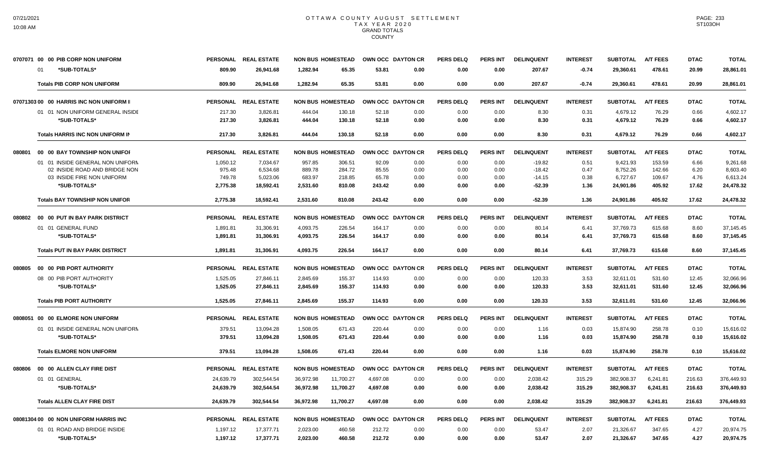|        | 0707071 00 00 PIB CORP NON UNIFORM         |                  | PERSONAL REAL ESTATE  | <b>NON BUS HOMESTEAD</b>               |                 | OWN OCC DAYTON CR | <b>PERS DELQ</b> | PERS INT        | <b>DELINQUENT</b>    | <b>INTEREST</b> | <b>SUBTOTAL</b>       | <b>A/T FEES</b>  | <b>DTAC</b>   | <b>TOTAL</b>          |
|--------|--------------------------------------------|------------------|-----------------------|----------------------------------------|-----------------|-------------------|------------------|-----------------|----------------------|-----------------|-----------------------|------------------|---------------|-----------------------|
|        | *SUB-TOTALS*<br>01                         | 809.90           | 26,941.68             | 1,282.94                               | 65.35<br>53.81  | 0.00              | 0.00             | 0.00            | 207.67               | $-0.74$         | 29,360.61             | 478.61           | 20.99         | 28,861.01             |
|        | <b>Totals PIB CORP NON UNIFORM</b>         | 809.90           | 26.941.68             | 1.282.94<br>65.35                      | 53.81           | 0.00              | 0.00             | 0.00            | 207.67               | $-0.74$         | 29,360.61             | 478.61           | 20.99         | 28,861.01             |
|        | 07071303 00 00 HARRIS INC NON UNIFORM II   | <b>PERSONAL</b>  | <b>REAL ESTATE</b>    | <b>NON BUS HOMESTEAD</b>               |                 | OWN OCC DAYTON CR | <b>PERS DELQ</b> | <b>PERS INT</b> | <b>DELINQUENT</b>    | <b>INTEREST</b> | <b>SUBTOTAL</b>       | <b>A/T FEES</b>  | <b>DTAC</b>   | <b>TOTAL</b>          |
|        | 01 01 NON UNIFORM GENERAL INSIDE           | 217.30           | 3,826.81              | 444.04<br>130.18                       | 52.18           | 0.00              | 0.00             | 0.00            | 8.30                 | 0.31            | 4,679.12              | 76.29            | 0.66          | 4,602.17              |
|        | *SUB-TOTALS*                               | 217.30           | 3,826.81              | 444.04<br>130.18                       | 52.18           | 0.00              | 0.00             | 0.00            | 8.30                 | 0.31            | 4,679.12              | 76.29            | 0.66          | 4,602.17              |
|        | Totals HARRIS INC NON UNIFORM IN           | 217.30           | 3,826.81              | 444.04<br>130.18                       | 52.18           | 0.00              | 0.00             | 0.00            | 8.30                 | 0.31            | 4,679.12              | 76.29            | 0.66          | 4,602.17              |
| 080801 | 00 00 BAY TOWNSHIP NON UNIFOR              | <b>PERSONAL</b>  | <b>REAL ESTATE</b>    | <b>NON BUS HOMESTEAD</b>               |                 | OWN OCC DAYTON CR | <b>PERS DELQ</b> | <b>PERS INT</b> | <b>DELINQUENT</b>    | <b>INTEREST</b> | <b>SUBTOTAL</b>       | <b>A/T FEES</b>  | <b>DTAC</b>   | <b>TOTAL</b>          |
|        | 01 01 INSIDE GENERAL NON UNIFORM           | 1,050.12         | 7,034.67              | 957.85<br>306.51                       | 92.09           | 0.00              | 0.00             | 0.00            | $-19.82$             | 0.51            | 9,421.93              | 153.59           | 6.66          | 9,261.68              |
|        | 02 INSIDE ROAD AND BRIDGE NON              | 975.48<br>749.78 | 6.534.68              | 889.78<br>284.72                       | 85.55           | 0.00              | 0.00             | 0.00            | $-18.42$             | 0.47            | 8.752.26              | 142.66           | 6.20          | 8.603.40              |
|        | 03 INSIDE FIRE NON UNIFORM<br>*SUB-TOTALS* | 2.775.38         | 5,023.06<br>18.592.41 | 683.97<br>218.85<br>2.531.60<br>810.08 | 65.78<br>243.42 | 0.00<br>0.00      | 0.00<br>0.00     | 0.00<br>0.00    | $-14.15$<br>$-52.39$ | 0.38<br>1.36    | 6,727.67<br>24.901.86 | 109.67<br>405.92 | 4.76<br>17.62 | 6,613.24<br>24.478.32 |
|        | <b>Totals BAY TOWNSHIP NON UNIFOR</b>      | 2,775.38         | 18,592.41             | 2,531.60<br>810.08                     | 243.42          | 0.00              | 0.00             | 0.00            | $-52.39$             | 1.36            | 24,901.86             | 405.92           | 17.62         | 24,478.32             |
| 080802 | 00 00 PUT IN BAY PARK DISTRICT             | <b>PERSONAL</b>  | <b>REAL ESTATE</b>    | <b>NON BUS HOMESTEAD</b>               |                 | OWN OCC DAYTON CR | <b>PERS DELQ</b> | <b>PERS INT</b> | <b>DELINQUENT</b>    | <b>INTEREST</b> | <b>SUBTOTAL</b>       | <b>A/T FEES</b>  | <b>DTAC</b>   | <b>TOTAL</b>          |
|        | 01 01 GENERAL FUND                         | 1,891.81         | 31,306.91             | 4,093.75<br>226.54                     | 164.17          | 0.00              | 0.00             | 0.00            | 80.14                | 6.41            | 37,769.73             | 615.68           | 8.60          | 37.145.45             |
|        | *SUB-TOTALS*                               | 1,891.81         | 31,306.91             | 226.54<br>4,093.75                     | 164.17          | 0.00              | 0.00             | 0.00            | 80.14                | 6.41            | 37,769.73             | 615.68           | 8.60          | 37,145.45             |
|        | <b>Totals PUT IN BAY PARK DISTRICT</b>     | 1,891.81         | 31,306.91             | 4,093.75<br>226.54                     | 164.17          | 0.00              | 0.00             | 0.00            | 80.14                | 6.41            | 37,769.73             | 615.68           | 8.60          | 37,145.45             |
| 080805 | 00 00 PIB PORT AUTHORITY                   | <b>PERSONAL</b>  | <b>REAL ESTATE</b>    | <b>NON BUS HOMESTEAD</b>               |                 | OWN OCC DAYTON CR | <b>PERS DELQ</b> | <b>PERS INT</b> | <b>DELINQUENT</b>    | <b>INTEREST</b> | <b>SUBTOTAL</b>       | <b>A/T FEES</b>  | <b>DTAC</b>   | <b>TOTAL</b>          |
|        | 08 00 PIB PORT AUTHORITY                   | 1,525.05         | 27,846.11             | 2,845.69<br>155.37                     | 114.93          | 0.00              | 0.00             | 0.00            | 120.33               | 3.53            | 32,611.01             | 531.60           | 12.45         | 32,066.96             |
|        | *SUB-TOTALS*                               | 1,525.05         | 27,846.11             | 2,845.69<br>155.37                     | 114.93          | 0.00              | 0.00             | 0.00            | 120.33               | 3.53            | 32,611.01             | 531.60           | 12.45         | 32,066.96             |
|        | <b>Totals PIB PORT AUTHORITY</b>           | 1,525.05         | 27,846.11             | 2,845.69<br>155.37                     | 114.93          | 0.00              | 0.00             | 0.00            | 120.33               | 3.53            | 32,611.01             | 531.60           | 12.45         | 32,066.96             |
|        | 0808051 00 00 ELMORE NON UNIFORM           | <b>PERSONAL</b>  | <b>REAL ESTATE</b>    | <b>NON BUS HOMESTEAD</b>               |                 | OWN OCC DAYTON CR | <b>PERS DELO</b> | <b>PERS INT</b> | <b>DELINQUENT</b>    | <b>INTEREST</b> | <b>SUBTOTAL</b>       | <b>A/T FEES</b>  | <b>DTAC</b>   | <b>TOTAL</b>          |
|        | 01 01 INSIDE GENERAL NON UNIFORM           | 379.51           | 13,094.28             | 1,508.05<br>671.43                     | 220.44          | 0.00              | 0.00             | 0.00            | 1.16                 | 0.03            | 15,874.90             | 258.78           | 0.10          | 15,616.02             |
|        | *SUB-TOTALS*                               | 379.51           | 13,094.28             | 1,508.05<br>671.43                     | 220.44          | 0.00              | 0.00             | 0.00            | 1.16                 | 0.03            | 15,874.90             | 258.78           | 0.10          | 15,616.02             |
|        | <b>Totals ELMORE NON UNIFORM</b>           | 379.51           | 13.094.28             | 1.508.05<br>671.43                     | 220.44          | 0.00              | 0.00             | 0.00            | 1.16                 | 0.03            | 15.874.90             | 258.78           | 0.10          | 15,616.02             |
| 080806 | 00 00 ALLEN CLAY FIRE DIST                 | <b>PERSONAL</b>  | <b>REAL ESTATE</b>    | <b>NON BUS HOMESTEAD</b>               |                 | OWN OCC DAYTON CR | <b>PERS DELO</b> | <b>PERS INT</b> | <b>DELINQUENT</b>    | <b>INTEREST</b> | <b>SUBTOTAL</b>       | <b>A/T FEES</b>  | <b>DTAC</b>   | <b>TOTAL</b>          |
|        | 01 01 GENERAL                              | 24,639.79        | 302,544.54            | 36,972.98<br>11,700.27                 | 4,697.08        | 0.00              | 0.00             | 0.00            | 2,038.42             | 315.29          | 382,908.37            | 6,241.81         | 216.63        | 376,449.93            |
|        | *SUB-TOTALS*                               | 24,639.79        | 302,544.54            | 36,972.98<br>11,700.27                 | 4,697.08        | 0.00              | 0.00             | 0.00            | 2,038.42             | 315.29          | 382,908.37            | 6,241.81         | 216.63        | 376,449.93            |
|        | <b>Totals ALLEN CLAY FIRE DIST</b>         | 24,639.79        | 302.544.54            | 36.972.98<br>11.700.27                 | 4.697.08        | 0.00              | 0.00             | 0.00            | 2,038.42             | 315.29          | 382,908.37            | 6.241.81         | 216.63        | 376,449.93            |
|        | 08081304 00 00 NON UNIFORM HARRIS INC      | <b>PERSONAL</b>  | <b>REAL ESTATE</b>    | <b>NON BUS HOMESTEAD</b>               |                 | OWN OCC DAYTON CR | <b>PERS DELQ</b> | <b>PERS INT</b> | <b>DELINQUENT</b>    | <b>INTEREST</b> | <b>SUBTOTAL</b>       | <b>A/T FEES</b>  | <b>DTAC</b>   | <b>TOTAL</b>          |
|        | 01 01 ROAD AND BRIDGE INSIDE               | 1,197.12         | 17,377.71             | 2,023.00<br>460.58                     | 212.72          | 0.00              | 0.00             | 0.00            | 53.47                | 2.07            | 21,326.67             | 347.65           | 4.27          | 20,974.75             |
|        | *SUB-TOTALS*                               | 1,197.12         | 17,377.71             | 2,023.00<br>460.58                     | 212.72          | 0.00              | 0.00             | 0.00            | 53.47                | 2.07            | 21,326.67             | 347.65           | 4.27          | 20,974.75             |